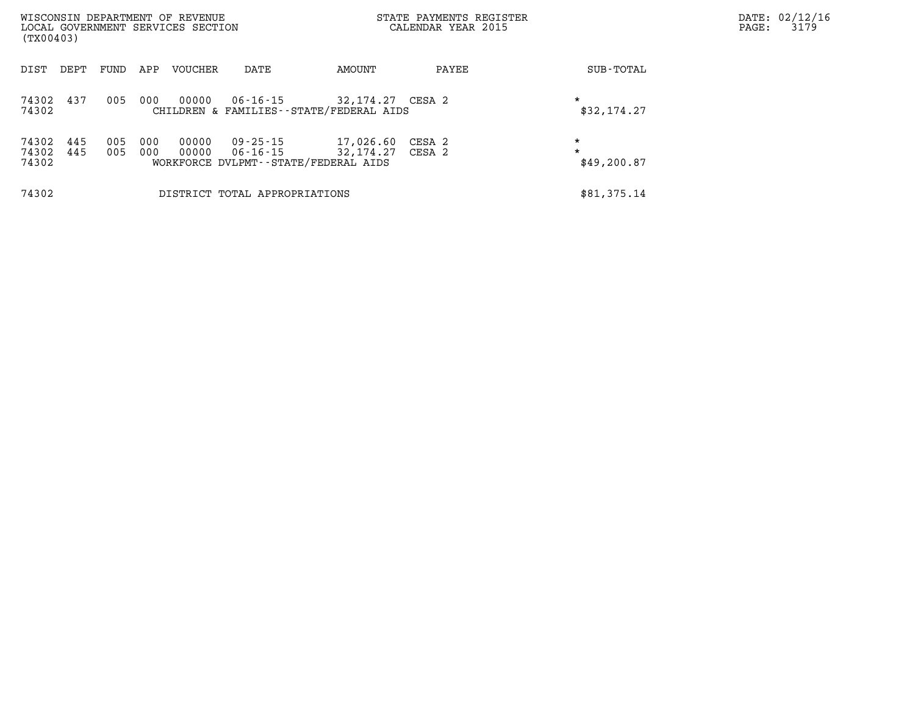| WISCONSIN DEPARTMENT OF REVENUE<br>LOCAL GOVERNMENT SERVICES SECTION<br>(TX00403) |            |            |                |                               |                                                                | STATE PAYMENTS REGISTER<br>CALENDAR YEAR 2015 |                                   | PAGE: | DATE: 02/12/16<br>3179 |
|-----------------------------------------------------------------------------------|------------|------------|----------------|-------------------------------|----------------------------------------------------------------|-----------------------------------------------|-----------------------------------|-------|------------------------|
| DEPT<br>DIST                                                                      | FUND       | APP        | VOUCHER        | DATE                          | AMOUNT                                                         | PAYEE                                         | SUB-TOTAL                         |       |                        |
| 74302<br>437<br>74302                                                             | 005        | 000        | 00000          | 06-16-15                      | 32,174.27 CESA 2<br>CHILDREN & FAMILIES--STATE/FEDERAL AIDS    |                                               | $\star$<br>\$32,174.27            |       |                        |
| 74302<br>445<br>74302<br>445<br>74302                                             | 005<br>005 | 000<br>000 | 00000<br>00000 | 09 - 25 - 15<br>06-16-15      | 17,026.60<br>32,174.27<br>WORKFORCE DVLPMT--STATE/FEDERAL AIDS | CESA 2<br>CESA 2                              | $\star$<br>$\star$<br>\$49,200.87 |       |                        |
| 74302                                                                             |            |            |                | DISTRICT TOTAL APPROPRIATIONS |                                                                |                                               | \$81,375.14                       |       |                        |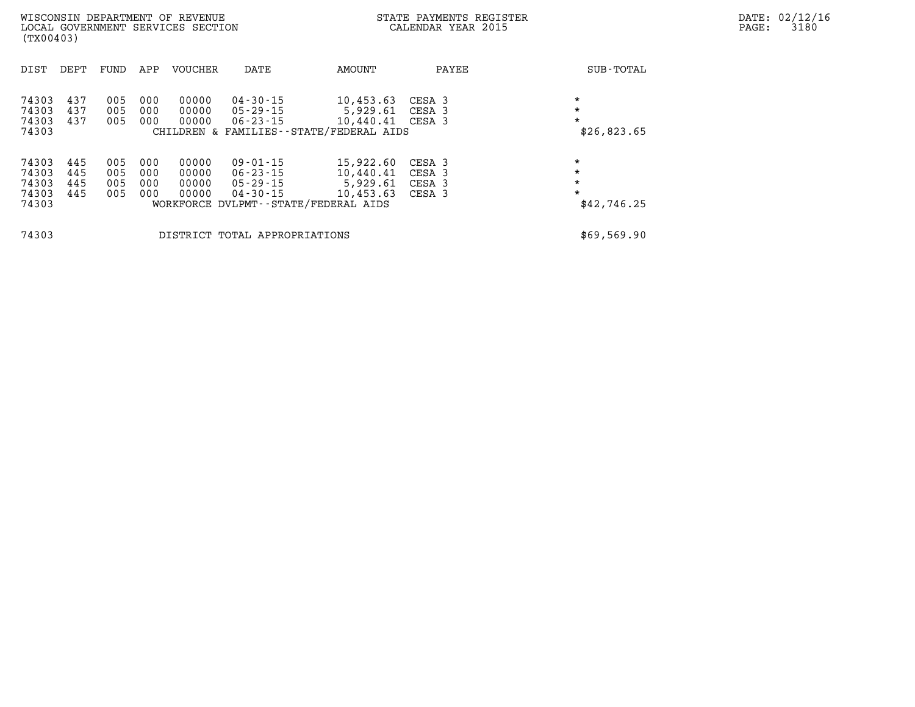| WISCONSIN DEPARTMENT OF REVENUE<br>LOCAL GOVERNMENT SERVICES SECTION<br>(TX00403) |                          |                          |                          |                                  |                                                          |                                                                                         | STATE PAYMENTS REGISTER<br>CALENDAR YEAR 2015 |                                              | DATE: 02/12/16<br>3180<br>PAGE: |
|-----------------------------------------------------------------------------------|--------------------------|--------------------------|--------------------------|----------------------------------|----------------------------------------------------------|-----------------------------------------------------------------------------------------|-----------------------------------------------|----------------------------------------------|---------------------------------|
| DIST                                                                              | DEPT                     | FUND                     | APP                      | VOUCHER                          | DATE                                                     | AMOUNT                                                                                  | PAYEE                                         | SUB-TOTAL                                    |                                 |
| 74303<br>74303<br>74303<br>74303                                                  | 437<br>437<br>437        | 005<br>005<br>005        | 000<br>000<br>000        | 00000<br>00000<br>00000          | 04 - 30 - 15<br>05-29-15<br>06-23-15                     | 10,453.63<br>5,929.61<br>10,440.41 CESA 3<br>CHILDREN & FAMILIES--STATE/FEDERAL AIDS    | CESA 3<br>CESA 3                              | $\star$<br>$\star$<br>\$26,823.65            |                                 |
| 74303<br>74303<br>74303<br>74303<br>74303                                         | 445<br>445<br>445<br>445 | 005<br>005<br>005<br>005 | 000<br>000<br>000<br>000 | 00000<br>00000<br>00000<br>00000 | $09 - 01 - 15$<br>06-23-15<br>05-29-15<br>$04 - 30 - 15$ | 15,922.60<br>10,440.41<br>5,929.61<br>10,453.63<br>WORKFORCE DVLPMT--STATE/FEDERAL AIDS | CESA 3<br>CESA 3<br>CESA 3<br>CESA 3          | $\star$<br>$\star$<br>$\star$<br>\$42,746.25 |                                 |
| 74303                                                                             |                          |                          |                          |                                  | DISTRICT TOTAL APPROPRIATIONS                            |                                                                                         |                                               | \$69,569.90                                  |                                 |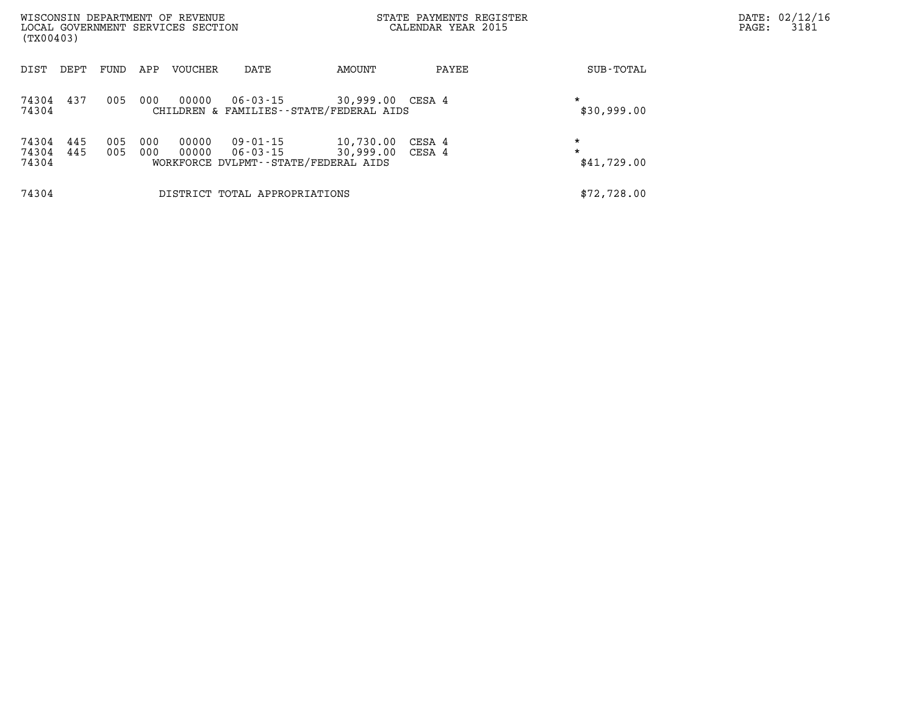| (TX00403)               |            |            |            | WISCONSIN DEPARTMENT OF REVENUE<br>LOCAL GOVERNMENT SERVICES SECTION |                               |                                                                | STATE PAYMENTS REGISTER<br>CALENDAR YEAR 2015 |                                   | PAGE: | DATE: 02/12/16<br>3181 |
|-------------------------|------------|------------|------------|----------------------------------------------------------------------|-------------------------------|----------------------------------------------------------------|-----------------------------------------------|-----------------------------------|-------|------------------------|
| DIST                    | DEPT       | FUND       | APP        | VOUCHER                                                              | DATE                          | AMOUNT                                                         | PAYEE                                         | SUB-TOTAL                         |       |                        |
| 74304 437<br>74304      |            | 005        | 000        | 00000                                                                | 06 - 03 - 15                  | 30,999.00 CESA 4<br>CHILDREN & FAMILIES - - STATE/FEDERAL AIDS |                                               | $\star$<br>\$30,999.00            |       |                        |
| 74304<br>74304<br>74304 | 445<br>445 | 005<br>005 | 000<br>000 | 00000<br>00000                                                       | 09-01-15<br>06-03-15          | 10,730.00<br>30,999.00<br>WORKFORCE DVLPMT--STATE/FEDERAL AIDS | CESA 4<br>CESA 4                              | $\star$<br>$\star$<br>\$41,729.00 |       |                        |
| 74304                   |            |            |            |                                                                      | DISTRICT TOTAL APPROPRIATIONS |                                                                |                                               | \$72,728.00                       |       |                        |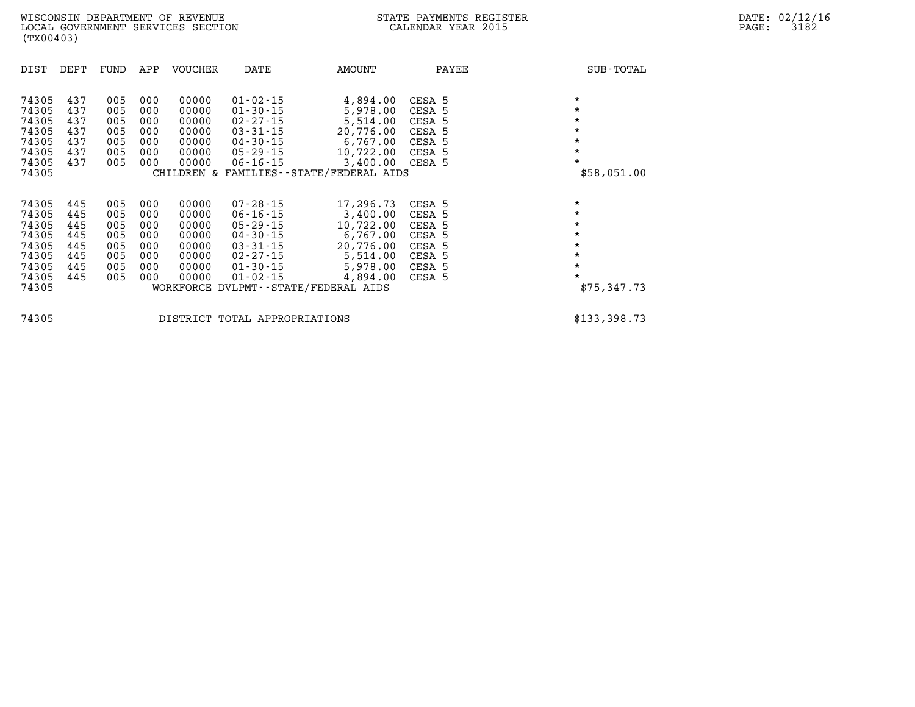| 74305<br>74305<br>74305<br>74305<br>74305<br>74305<br>74305<br>74305 | DEPT              | FUND              | APP               | <b>VOUCHER</b>          | DATE                                         | AMOUNT                                                                  | PAYEE                      | SUB-TOTAL                         |
|----------------------------------------------------------------------|-------------------|-------------------|-------------------|-------------------------|----------------------------------------------|-------------------------------------------------------------------------|----------------------------|-----------------------------------|
|                                                                      | 437<br>437        | 005<br>005        | 000<br>000        | 00000<br>00000          | $01 - 02 - 15$<br>$01 - 30 - 15$             | 4,894.00<br>5,978.00                                                    | CESA 5<br>CESA 5           | $\star$<br>$\star$                |
|                                                                      | 437<br>437<br>437 | 005<br>005<br>005 | 000<br>000<br>000 | 00000<br>00000<br>00000 | 02-27-15<br>03-31-15<br>04-30-15             | 5,514.00<br>20,776.00<br>6,767.00                                       | CESA 5<br>CESA 5<br>CESA 5 | $\star$<br>$\star$<br>$\star$     |
|                                                                      | 437<br>437        | 005<br>005        | 000<br>000        | 00000<br>00000          | 05-29-15<br>$06 - 16 - 15$                   | 10,722.00<br>3,400.00 CESA 5<br>CHILDREN & FAMILIES--STATE/FEDERAL AIDS | CESA 5                     | $\star$<br>$\star$<br>\$58,051.00 |
|                                                                      |                   |                   |                   |                         |                                              |                                                                         |                            |                                   |
| 74305<br>74305                                                       | 445<br>445        | 005<br>005        | 000<br>000        | 00000<br>00000          | $07 - 28 - 15$<br>06-16-15                   | 17,296.73<br>3,400.00                                                   | CESA 5<br>CESA 5           | $\star$<br>$\star$<br>$\star$     |
| 74305<br>74305<br>74305                                              | 445<br>445<br>445 | 005<br>005<br>005 | 000<br>000<br>000 | 00000<br>00000<br>00000 | $05 - 29 - 15$<br>04-30-15<br>$03 - 31 - 15$ | 10,722.00<br>6,767.00<br>20,776.00                                      | CESA 5<br>CESA 5<br>CESA 5 | $\star$<br>$\star$                |
| 74305<br>74305<br>74305                                              | 445<br>445<br>445 | 005<br>005<br>005 | 000<br>000<br>000 | 00000<br>00000<br>00000 | 02-27-15<br>$01 - 30 - 15$<br>$01 - 02 - 15$ | 5,514.00<br>5,978.00<br>4,894.00                                        | CESA 5<br>CESA 5<br>CESA 5 | $\star$<br>$\star$<br>$\star$     |
| 74305                                                                |                   |                   |                   |                         |                                              | WORKFORCE DVLPMT--STATE/FEDERAL AIDS                                    |                            | \$75,347.73                       |

**74305 DISTRICT TOTAL APPROPRIATIONS \$133,398.73**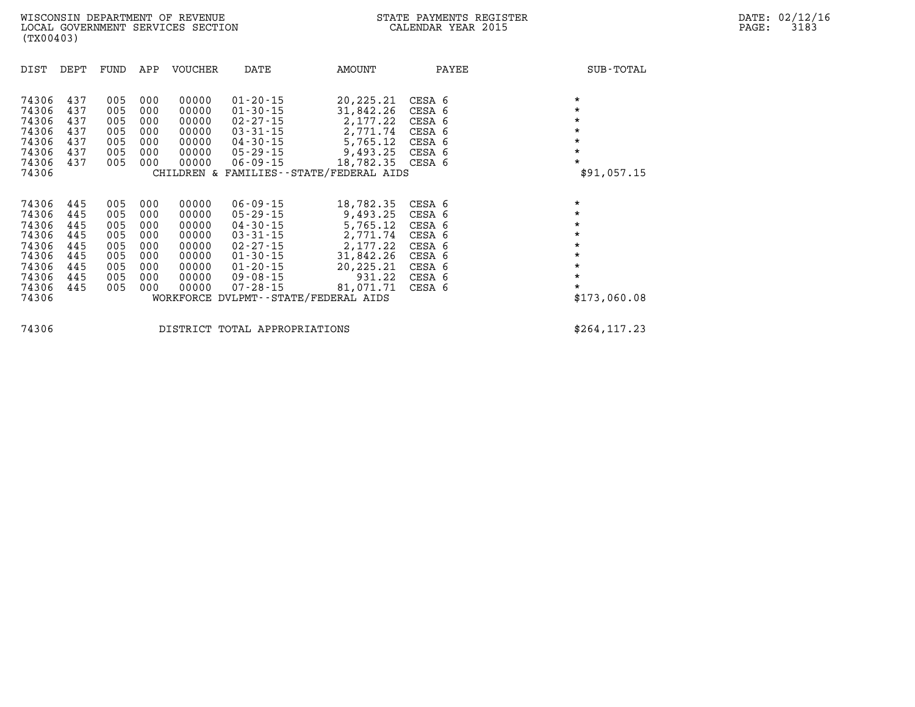| DIST                                                                                   | DEPT                                                        | FUND                                                        | APP                                                         | VOUCHER                                                                       | DATE                                                                                                                                                           | AMOUNT                                                                                                                                             | PAYEE                                                                                  | SUB-TOTAL                                                                                                       |
|----------------------------------------------------------------------------------------|-------------------------------------------------------------|-------------------------------------------------------------|-------------------------------------------------------------|-------------------------------------------------------------------------------|----------------------------------------------------------------------------------------------------------------------------------------------------------------|----------------------------------------------------------------------------------------------------------------------------------------------------|----------------------------------------------------------------------------------------|-----------------------------------------------------------------------------------------------------------------|
| 74306<br>74306<br>74306<br>74306<br>74306<br>74306<br>74306<br>74306                   | 437<br>437<br>437<br>437<br>437<br>437<br>437               | 005<br>005<br>005<br>005<br>005<br>005<br>005               | 000<br>000<br>000<br>000<br>000<br>000<br>000               | 00000<br>00000<br>00000<br>00000<br>00000<br>00000<br>00000                   | $01 - 20 - 15$<br>$01 - 30 - 15$<br>$02 - 27 - 15$<br>$03 - 31 - 15$<br>$04 - 30 - 15$<br>$05 - 29 - 15$<br>$06 - 09 - 15$                                     | 20,225.21<br>31,842.26<br>2,177.22<br>2,771.74<br>5,765.12<br>9,493.25<br>18,782.35 CESA 6<br>CHILDREN & FAMILIES - - STATE/FEDERAL AIDS           | CESA 6<br>CESA 6<br>CESA 6<br>CESA 6<br>CESA 6<br>CESA 6                               | $\star$<br>$\star$<br>$\star$<br>$\star$<br>$\star$<br>$\star$<br>*<br>\$91,057.15                              |
| 74306<br>74306<br>74306<br>74306<br>74306<br>74306<br>74306<br>74306<br>74306<br>74306 | 445<br>445<br>445<br>445<br>445<br>445<br>445<br>445<br>445 | 005<br>005<br>005<br>005<br>005<br>005<br>005<br>005<br>005 | 000<br>000<br>000<br>000<br>000<br>000<br>000<br>000<br>000 | 00000<br>00000<br>00000<br>00000<br>00000<br>00000<br>00000<br>00000<br>00000 | $06 - 09 - 15$<br>$05 - 29 - 15$<br>$04 - 30 - 15$<br>$03 - 31 - 15$<br>$02 - 27 - 15$<br>$01 - 30 - 15$<br>$01 - 20 - 15$<br>$09 - 08 - 15$<br>$07 - 28 - 15$ | 18,782.35<br>9,493.25<br>5,765.12<br>2,771.74<br>2,177.22<br>31,842.26<br>20,225.21<br>931.22<br>81,071.71<br>WORKFORCE DVLPMT--STATE/FEDERAL AIDS | CESA 6<br>CESA 6<br>CESA 6<br>CESA 6<br>CESA 6<br>CESA 6<br>CESA 6<br>CESA 6<br>CESA 6 | $\star$<br>$\star$<br>$\star$<br>$\star$<br>$\star$<br>$\star$<br>$\star$<br>$\star$<br>$\star$<br>\$173,060.08 |
| 74306                                                                                  |                                                             |                                                             |                                                             |                                                                               | DISTRICT TOTAL APPROPRIATIONS                                                                                                                                  |                                                                                                                                                    |                                                                                        | \$264, 117.23                                                                                                   |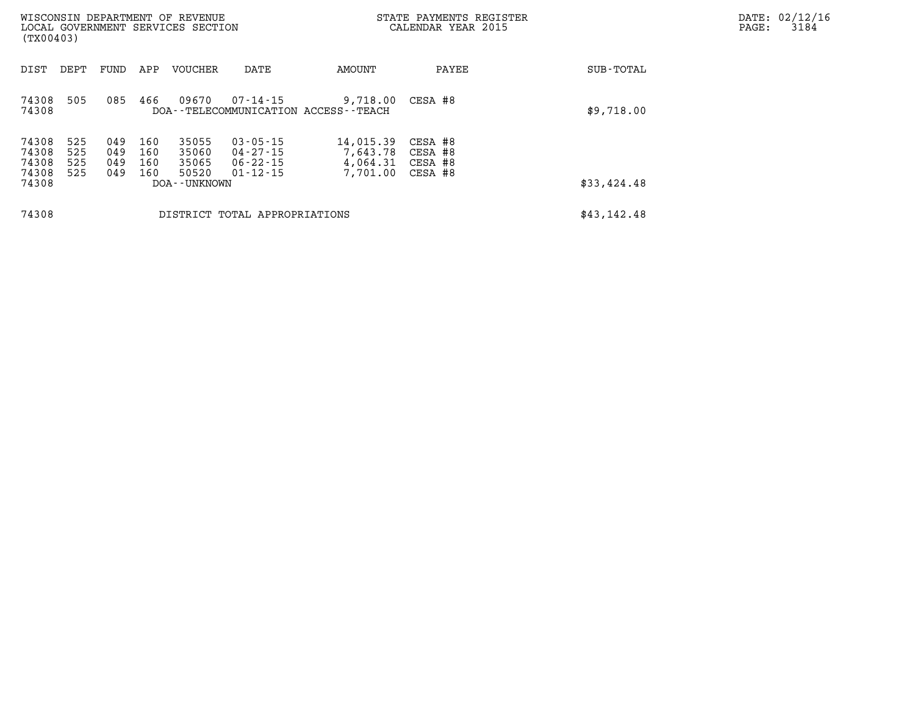| DATE: | 02/12/16 |
|-------|----------|
| PAGE: | 3184     |

| (TX00403)                                 |                          |                          |                          | WISCONSIN DEPARTMENT OF REVENUE<br>LOCAL GOVERNMENT SERVICES SECTION |                                                              |                                                       | STATE PAYMENTS REGISTER<br>CALENDAR YEAR 2015 | DATE: 02/12/1<br>PAGE:<br>3184 |  |
|-------------------------------------------|--------------------------|--------------------------|--------------------------|----------------------------------------------------------------------|--------------------------------------------------------------|-------------------------------------------------------|-----------------------------------------------|--------------------------------|--|
| DIST                                      | DEPT                     | FUND                     | APP                      | <b>VOUCHER</b>                                                       | DATE                                                         | AMOUNT                                                | PAYEE                                         | SUB-TOTAL                      |  |
| 74308<br>74308                            | 505                      | 085                      | 466                      | 09670                                                                | 07-14-15                                                     | 9,718.00<br>DOA--TELECOMMUNICATION ACCESS--TEACH      | CESA #8                                       | \$9,718.00                     |  |
| 74308<br>74308<br>74308<br>74308<br>74308 | 525<br>525<br>525<br>525 | 049<br>049<br>049<br>049 | 160<br>160<br>160<br>160 | 35055<br>35060<br>35065<br>50520<br>DOA - - UNKNOWN                  | $03 - 05 - 15$<br>04 - 27 - 15<br>06-22-15<br>$01 - 12 - 15$ | 14,015.39<br>7,643.78<br>4,064.31 CESA #8<br>7,701.00 | CESA #8<br>CESA #8<br>CESA #8                 | \$33,424.48                    |  |
| 74308                                     |                          |                          |                          |                                                                      | DISTRICT TOTAL APPROPRIATIONS                                |                                                       |                                               | \$43,142.48                    |  |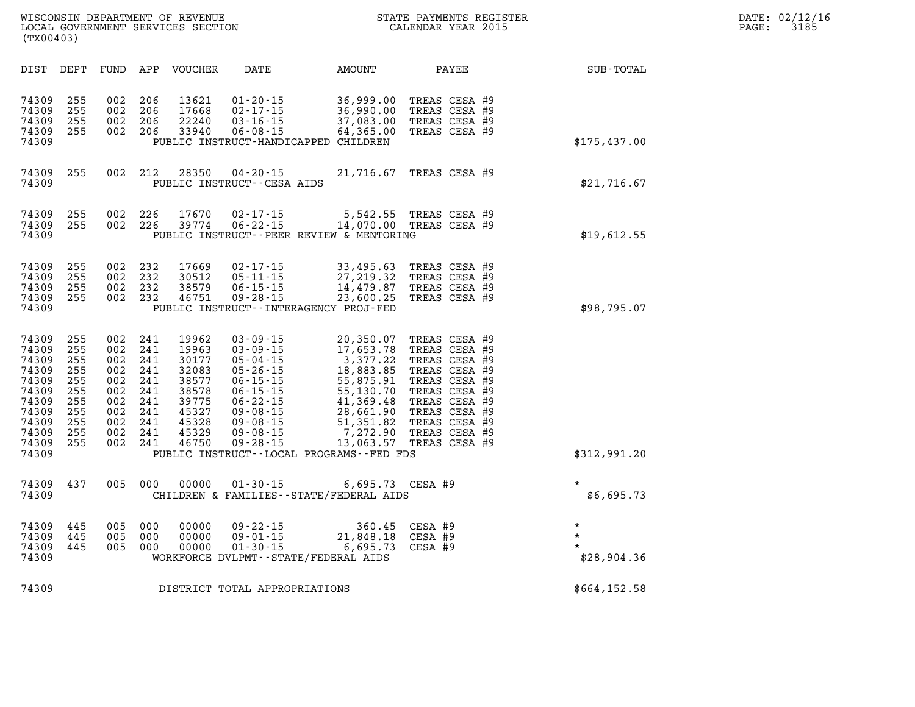| $\mathtt{DATE}$ : | 02/12/16 |
|-------------------|----------|
| PAGE:             | 3185     |

|                                           | (TX00403)                |                          |                          | WISCONSIN DEPARTMENT OF REVENUE<br>LOCAL GOVERNMENT SERVICES SECTION |                                                                                                              |                                                  | STATE PAYMENTS REGISTER<br>CALENDAR YEAR 2015                    |              | PAGE: | DATE: 02/12/16<br>3185 |
|-------------------------------------------|--------------------------|--------------------------|--------------------------|----------------------------------------------------------------------|--------------------------------------------------------------------------------------------------------------|--------------------------------------------------|------------------------------------------------------------------|--------------|-------|------------------------|
| DIST                                      | DEPT                     | FUND                     | APP                      | <b>VOUCHER</b>                                                       | DATE                                                                                                         | AMOUNT                                           | PAYEE                                                            | SUB-TOTAL    |       |                        |
| 74309<br>74309<br>74309<br>74309<br>74309 | 255<br>255<br>255<br>255 | 002<br>002<br>002<br>002 | 206<br>206<br>206<br>206 | 13621<br>17668<br>22240<br>33940                                     | $01 - 20 - 15$<br>$02 - 17 - 15$<br>$03 - 16 - 15$<br>$06 - 08 - 15$<br>PUBLIC INSTRUCT-HANDICAPPED CHILDREN | 36,999.00<br>36,990.00<br>37,083.00<br>64,365.00 | TREAS CESA #9<br>TREAS CESA #9<br>TREAS CESA #9<br>TREAS CESA #9 | \$175,437.00 |       |                        |

| 74309<br>74309<br>74309<br>74309<br>74309                                                                | 255<br>255<br>255<br>255                                                  | 002<br>002<br>002<br>002                                                  | 206<br>206<br>206<br>206                                                  | 13621<br>17668<br>22240<br>33940                                                                | $01 - 20 - 15$<br>$02 - 17 - 15$<br>$03 - 16 - 15$<br>$06 - 08 - 15$                                                                                                                         | 36,999.00<br>36,990.00<br>37,083.00<br>64,365.00<br>PUBLIC INSTRUCT-HANDICAPPED CHILDREN                                                                                              | TREAS CESA #9<br>TREAS CESA #9<br>TREAS CESA #9<br>TREAS CESA #9                                                                                                                        | \$175,437.00                      |
|----------------------------------------------------------------------------------------------------------|---------------------------------------------------------------------------|---------------------------------------------------------------------------|---------------------------------------------------------------------------|-------------------------------------------------------------------------------------------------|----------------------------------------------------------------------------------------------------------------------------------------------------------------------------------------------|---------------------------------------------------------------------------------------------------------------------------------------------------------------------------------------|-----------------------------------------------------------------------------------------------------------------------------------------------------------------------------------------|-----------------------------------|
| 74309<br>74309                                                                                           | 255                                                                       | 002                                                                       | 212                                                                       | 28350                                                                                           | $04 - 20 - 15$<br>PUBLIC INSTRUCT--CESA AIDS                                                                                                                                                 | 21,716.67                                                                                                                                                                             | TREAS CESA #9                                                                                                                                                                           | \$21,716.67                       |
| 74309<br>74309<br>74309                                                                                  | 255<br>255                                                                | 002<br>002                                                                | 226<br>226                                                                | 17670<br>39774                                                                                  | $02 - 17 - 15$<br>$06 - 22 - 15$                                                                                                                                                             | 5,542.55<br>14,070.00 TREAS CESA #9<br>PUBLIC INSTRUCT--PEER REVIEW & MENTORING                                                                                                       | TREAS CESA #9                                                                                                                                                                           | \$19,612.55                       |
| 74309<br>74309<br>74309<br>74309<br>74309                                                                | 255<br>255<br>255<br>255                                                  | 002<br>002<br>002<br>002                                                  | 232<br>232<br>232<br>232                                                  | 17669<br>30512<br>38579<br>46751                                                                | $02 - 17 - 15$<br>$05 - 11 - 15$<br>$06 - 15 - 15$<br>$09 - 28 - 15$                                                                                                                         | 33,495.63<br>27,219.32<br>14,479.87<br>23,600.25<br>PUBLIC INSTRUCT - - INTERAGENCY PROJ-FED                                                                                          | TREAS CESA #9<br>TREAS CESA #9<br>TREAS CESA #9<br>TREAS CESA #9                                                                                                                        | \$98,795.07                       |
| 74309<br>74309<br>74309<br>74309<br>74309<br>74309<br>74309<br>74309<br>74309<br>74309<br>74309<br>74309 | 255<br>255<br>255<br>255<br>255<br>255<br>255<br>255<br>255<br>255<br>255 | 002<br>002<br>002<br>002<br>002<br>002<br>002<br>002<br>002<br>002<br>002 | 241<br>241<br>241<br>241<br>241<br>241<br>241<br>241<br>241<br>241<br>241 | 19962<br>19963<br>30177<br>32083<br>38577<br>38578<br>39775<br>45327<br>45328<br>45329<br>46750 | $03 - 09 - 15$<br>$03 - 09 - 15$<br>$05 - 04 - 15$<br>$05 - 26 - 15$<br>$06 - 15 - 15$<br>$06 - 15 - 15$<br>$06 - 22 - 15$<br>09-08-15<br>$09 - 08 - 15$<br>$09 - 08 - 15$<br>$09 - 28 - 15$ | 20,350.07<br>17,653.78<br>3,377.22<br>18,883.85<br>55,875.91<br>55,130.70<br>41,369.48<br>28,661.90<br>51,351.82<br>7,272.90<br>13,063.57<br>PUBLIC INSTRUCT--LOCAL PROGRAMS--FED FDS | TREAS CESA #9<br>TREAS CESA #9<br>TREAS CESA #9<br>TREAS CESA #9<br>TREAS CESA #9<br>TREAS CESA #9<br>TREAS CESA #9<br>TREAS CESA #9<br>TREAS CESA #9<br>TREAS CESA #9<br>TREAS CESA #9 | \$312,991.20                      |
| 74309<br>74309                                                                                           | 437                                                                       | 005                                                                       | 000                                                                       | 00000                                                                                           | $01 - 30 - 15$                                                                                                                                                                               | 6,695.73<br>CHILDREN & FAMILIES - - STATE/FEDERAL AIDS                                                                                                                                | CESA #9                                                                                                                                                                                 | $\star$<br>\$6,695.73             |
| 74309<br>74309<br>74309<br>74309                                                                         | 445<br>445<br>445                                                         | 005<br>005<br>005                                                         | 000<br>000<br>000                                                         | 00000<br>00000<br>00000                                                                         | $09 - 22 - 15$<br>$09 - 01 - 15$<br>$01 - 30 - 15$                                                                                                                                           | 360.45<br>21,848.18<br>6,695.73<br>WORKFORCE DVLPMT--STATE/FEDERAL AIDS                                                                                                               | CESA #9<br>CESA #9<br>CESA #9                                                                                                                                                           | $\star$<br>$\star$<br>\$28,904.36 |
| 74309                                                                                                    |                                                                           |                                                                           |                                                                           |                                                                                                 | DISTRICT TOTAL APPROPRIATIONS                                                                                                                                                                |                                                                                                                                                                                       |                                                                                                                                                                                         | \$664,152.58                      |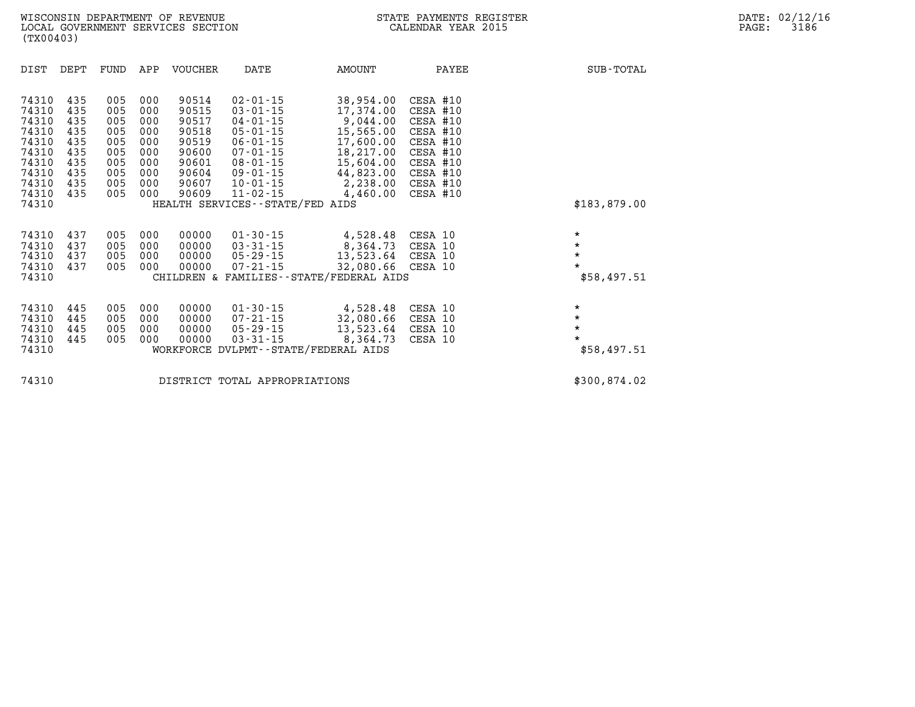| DIST                                                                                            | DEPT                                                               | FUND                                                               | APP                                                                | VOUCHER                                                                                | DATE                                                                                                                                                                                                                | AMOUNT                                                                                                                      | PAYEE                                                                                                                | SUB-TOTAL                                               |  |
|-------------------------------------------------------------------------------------------------|--------------------------------------------------------------------|--------------------------------------------------------------------|--------------------------------------------------------------------|----------------------------------------------------------------------------------------|---------------------------------------------------------------------------------------------------------------------------------------------------------------------------------------------------------------------|-----------------------------------------------------------------------------------------------------------------------------|----------------------------------------------------------------------------------------------------------------------|---------------------------------------------------------|--|
| 74310<br>74310<br>74310<br>74310<br>74310<br>74310<br>74310<br>74310<br>74310<br>74310<br>74310 | 435<br>435<br>435<br>435<br>435<br>435<br>435<br>435<br>435<br>435 | 005<br>005<br>005<br>005<br>005<br>005<br>005<br>005<br>005<br>005 | 000<br>000<br>000<br>000<br>000<br>000<br>000<br>000<br>000<br>000 | 90514<br>90515<br>90517<br>90518<br>90519<br>90600<br>90601<br>90604<br>90607<br>90609 | $02 - 01 - 15$<br>$03 - 01 - 15$<br>$04 - 01 - 15$<br>$05 - 01 - 15$<br>$06 - 01 - 15$<br>$07 - 01 - 15$<br>$08 - 01 - 15$<br>$09 - 01 - 15$<br>$10 - 01 - 15$<br>$11 - 02 - 15$<br>HEALTH SERVICES--STATE/FED AIDS | 38,954.00<br>17,374.00<br>9,044.00<br>15,565.00<br>17,600.00<br>18,217.00<br>15,604.00<br>44,823.00<br>2,238.00<br>4,460.00 | CESA #10<br>CESA #10<br>CESA #10<br>CESA #10<br>CESA #10<br>CESA #10<br>CESA #10<br>CESA #10<br>CESA #10<br>CESA #10 | \$183,879.00                                            |  |
| 74310<br>74310<br>74310<br>74310<br>74310                                                       | 437<br>437<br>437<br>437                                           | 005<br>005<br>005<br>005                                           | 000<br>000<br>000<br>000                                           | 00000<br>00000<br>00000<br>00000                                                       | $01 - 30 - 15$<br>$03 - 31 - 15$<br>05-29-15<br>$07 - 21 - 15$                                                                                                                                                      | 4,528.48<br>8,364.73<br>13,523.64<br>32,080.66 CESA 10<br>CHILDREN & FAMILIES--STATE/FEDERAL AIDS                           | CESA 10<br>CESA 10<br>CESA 10                                                                                        | $\star$<br>$\star$<br>$\star$<br>$\star$<br>\$58,497.51 |  |
| 74310<br>74310<br>74310<br>74310<br>74310                                                       | 445<br>445<br>445<br>445                                           | 005<br>005<br>005<br>005                                           | 000<br>000<br>000<br>000                                           | 00000<br>00000<br>00000<br>00000                                                       | $01 - 30 - 15$<br>07-21-15<br>05-29-15<br>$03 - 31 - 15$                                                                                                                                                            | 4,528.48<br>32,080.66<br>13,523.64<br>8,364.73<br>WORKFORCE DVLPMT--STATE/FEDERAL AIDS                                      | CESA 10<br>CESA 10<br>CESA 10<br>CESA 10                                                                             | $\star$<br>$\star$<br>$\star$<br>$\star$<br>\$58,497.51 |  |

**74310 DISTRICT TOTAL APPROPRIATIONS \$300,874.02**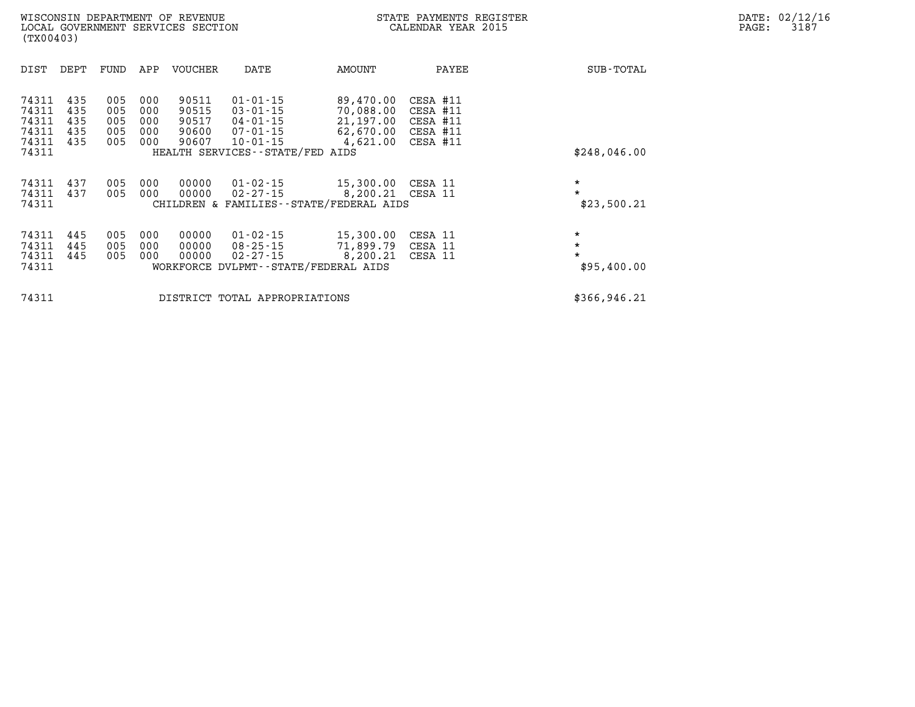| DIST                                               | DEPT                            | FUND                            | APP                             | <b>VOUCHER</b>                            | DATE                                                                                                    | AMOUNT                                                                                  | PAYEE                | SUB-TOTAL                                    |
|----------------------------------------------------|---------------------------------|---------------------------------|---------------------------------|-------------------------------------------|---------------------------------------------------------------------------------------------------------|-----------------------------------------------------------------------------------------|----------------------|----------------------------------------------|
| 74311<br>74311<br>74311<br>74311<br>74311<br>74311 | 435<br>435<br>435<br>435<br>435 | 005<br>005<br>005<br>005<br>005 | 000<br>000<br>000<br>000<br>000 | 90511<br>90515<br>90517<br>90600<br>90607 | $01 - 01 - 15$<br>$03 - 01 - 15$<br>04-01-15<br>07-01-15<br>10-01-15<br>HEALTH SERVICES--STATE/FED AIDS | 89,470.00<br>70,088.00 CESA #11<br>21,197.00<br>62,670.00 CESA #11<br>4,621.00 CESA #11 | CESA #11<br>CESA #11 | \$248,046.00                                 |
| 74311<br>74311<br>74311                            | 437<br>437                      | 005<br>005                      | 000<br>000                      | 00000<br>00000                            | 01-02-15<br>02-27-15                                                                                    | 15,300.00<br>8,200.21 CESA 11<br>CHILDREN & FAMILIES - - STATE/FEDERAL AIDS             | CESA 11              | $\star$<br>$\star$<br>\$23,500.21            |
| 74311<br>74311<br>74311<br>74311                   | 445<br>445<br>445               | 005<br>005<br>005               | 000<br>000<br>000               | 00000<br>00000<br>00000                   | $01 - 02 - 15$<br>08-25-15<br>02-27-15<br>WORKFORCE DVLPMT--STATE/FEDERAL AIDS                          | 15,300.00<br>71,899.79 CESA 11<br>8,200.21                                              | CESA 11<br>CESA 11   | $\star$<br>$\star$<br>$\star$<br>\$95,400.00 |
| 74311                                              |                                 |                                 |                                 |                                           | DISTRICT TOTAL APPROPRIATIONS                                                                           |                                                                                         |                      | \$366,946.21                                 |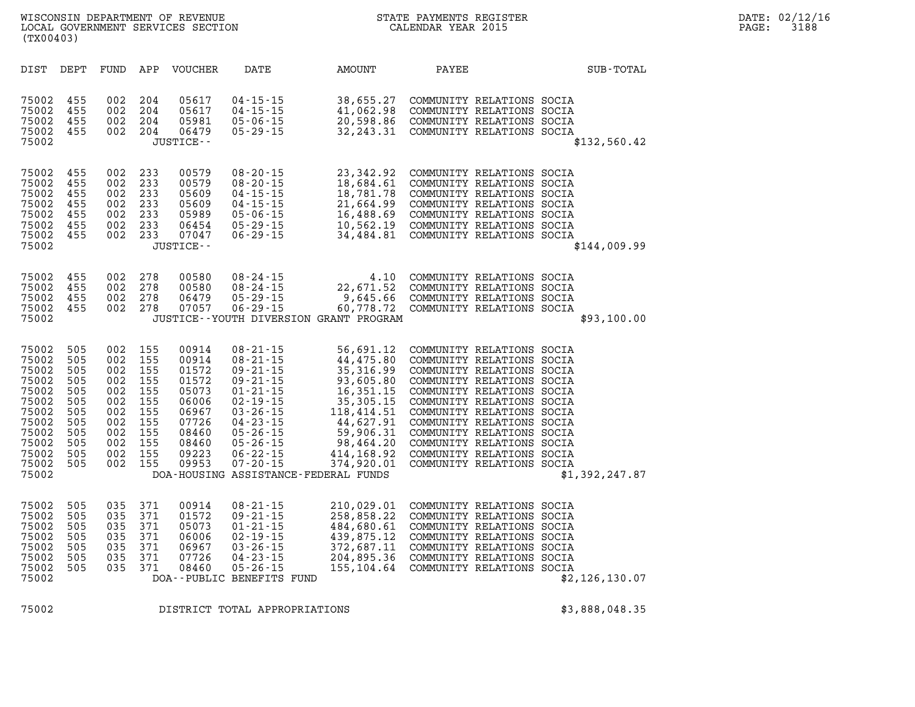| (TX00403)                                 |                          |                          |                          | WISCONSIN DEPARTMENT OF REVENUE<br>LOCAL GOVERNMENT SERVICES SECTION |                                                                       |               |                                                    | STATE PAYMENTS REGISTER<br>CALENDAR YEAR 2015 |                                                                                                                  |              |
|-------------------------------------------|--------------------------|--------------------------|--------------------------|----------------------------------------------------------------------|-----------------------------------------------------------------------|---------------|----------------------------------------------------|-----------------------------------------------|------------------------------------------------------------------------------------------------------------------|--------------|
| DIST                                      | DEPT                     | FUND                     | APP                      | <b>VOUCHER</b>                                                       | DATE                                                                  | <b>AMOUNT</b> |                                                    | PAYEE                                         |                                                                                                                  | SUB-TOTAL    |
| 75002<br>75002<br>75002<br>75002<br>75002 | 455<br>455<br>455<br>455 | 002<br>002<br>002<br>002 | 204<br>204<br>204<br>204 | 05617<br>05617<br>05981<br>06479<br>JUSTICE--                        | $04 - 15 - 15$<br>$04 - 15 - 15$<br>$05 - 06 - 15$<br>$0.5 - 29 - 15$ |               | 38,655.27<br>41,062.98<br>20,598.86<br>32, 243, 31 |                                               | COMMUNITY RELATIONS SOCIA<br>COMMUNITY RELATIONS SOCIA<br>COMMUNITY RELATIONS SOCIA<br>COMMUNITY RELATIONS SOCIA | \$132,560.42 |
| ワヒハハつ                                     | 155                      | ററാ                      | າາາ                      | 00570                                                                | $00 - 20 - 15$                                                        |               | רם כו <i>ו</i> כ כר                                |                                               | COMMITATION BELATIONS SOCIA                                                                                      |              |

| 75002<br>75002<br>75002<br>75002<br>75002                                                                         | 455<br>455<br>455<br>455                                                         | 002<br>002<br>002<br>002                                                         | 204<br>204<br>204<br>204                                                         | 05617<br>05617<br>05981<br>06479<br>JUSTICE--                                                            | $04 - 15 - 15$<br>$04 - 15 - 15$<br>$05 - 06 - 15$<br>$05 - 29 - 15$                                                                                                                                                                                         | 38,655.27<br>41,062.98<br>20,598.86<br>32, 243.31                                                                                                              | COMMUNITY RELATIONS SOCIA<br>COMMUNITY RELATIONS SOCIA<br>COMMUNITY RELATIONS SOCIA<br>COMMUNITY RELATIONS SOCIA                                                                                                                                                                                                                                         | \$132,560.42   |
|-------------------------------------------------------------------------------------------------------------------|----------------------------------------------------------------------------------|----------------------------------------------------------------------------------|----------------------------------------------------------------------------------|----------------------------------------------------------------------------------------------------------|--------------------------------------------------------------------------------------------------------------------------------------------------------------------------------------------------------------------------------------------------------------|----------------------------------------------------------------------------------------------------------------------------------------------------------------|----------------------------------------------------------------------------------------------------------------------------------------------------------------------------------------------------------------------------------------------------------------------------------------------------------------------------------------------------------|----------------|
| 75002<br>75002<br>75002<br>75002<br>75002<br>75002<br>75002<br>75002                                              | 455<br>455<br>455<br>455<br>455<br>455<br>455                                    | 002<br>002<br>002<br>002<br>002<br>002<br>002                                    | 233<br>233<br>233<br>233<br>233<br>233<br>233                                    | 00579<br>00579<br>05609<br>05609<br>05989<br>06454<br>07047<br>JUSTICE--                                 | $08 - 20 - 15$<br>$08 - 20 - 15$<br>$04 - 15 - 15$<br>$04 - 15 - 15$<br>$05 - 06 - 15$<br>$05 - 29 - 15$<br>$06 - 29 - 15$                                                                                                                                   | 23,342.92<br>18,684.61<br>18,781.78<br>21,664.99<br>16,488.69<br>10,562.19<br>34,484.81                                                                        | COMMUNITY RELATIONS SOCIA<br>COMMUNITY RELATIONS SOCIA<br>COMMUNITY RELATIONS SOCIA<br>COMMUNITY RELATIONS SOCIA<br>COMMUNITY RELATIONS SOCIA<br>COMMUNITY RELATIONS SOCIA<br>COMMUNITY RELATIONS SOCIA                                                                                                                                                  | \$144,009.99   |
| 75002<br>75002<br>75002<br>75002<br>75002                                                                         | 455<br>455<br>455<br>455                                                         | 002<br>002<br>002<br>002                                                         | 278<br>278<br>278<br>278                                                         | 00580<br>00580<br>06479<br>07057                                                                         | $08 - 24 - 15$<br>$08 - 24 - 15$<br>$05 - 29 - 15$<br>$06 - 29 - 15$<br>JUSTICE -- YOUTH DIVERSION GRANT PROGRAM                                                                                                                                             | 4.10<br>22,671.52<br>9,645.66<br>60,778.72                                                                                                                     | COMMUNITY RELATIONS SOCIA<br>COMMUNITY RELATIONS SOCIA<br>COMMUNITY RELATIONS SOCIA<br>COMMUNITY RELATIONS SOCIA                                                                                                                                                                                                                                         | \$93,100.00    |
| 75002<br>75002<br>75002<br>75002<br>75002<br>75002<br>75002<br>75002<br>75002<br>75002<br>75002<br>75002<br>75002 | 505<br>505<br>505<br>505<br>505<br>505<br>505<br>505<br>505<br>505<br>505<br>505 | 002<br>002<br>002<br>002<br>002<br>002<br>002<br>002<br>002<br>002<br>002<br>002 | 155<br>155<br>155<br>155<br>155<br>155<br>155<br>155<br>155<br>155<br>155<br>155 | 00914<br>00914<br>01572<br>01572<br>05073<br>06006<br>06967<br>07726<br>08460<br>08460<br>09223<br>09953 | $08 - 21 - 15$<br>$08 - 21 - 15$<br>$09 - 21 - 15$<br>$09 - 21 - 15$<br>$01 - 21 - 15$<br>$02 - 19 - 15$<br>$03 - 26 - 15$<br>$04 - 23 - 15$<br>$05 - 26 - 15$<br>$05 - 26 - 15$<br>$06 - 22 - 15$<br>$07 - 20 - 15$<br>DOA-HOUSING ASSISTANCE-FEDERAL FUNDS | 56,691.12<br>44,475.80<br>35, 316.99<br>93,605.80<br>16,351.15<br>35, 305. 15<br>118,414.51<br>44,627.91<br>59,906.31<br>98,464.20<br>414,168.92<br>374,920.01 | COMMUNITY RELATIONS SOCIA<br>COMMUNITY RELATIONS SOCIA<br>COMMUNITY RELATIONS SOCIA<br>COMMUNITY RELATIONS SOCIA<br>COMMUNITY RELATIONS SOCIA<br>COMMUNITY RELATIONS SOCIA<br>COMMUNITY RELATIONS SOCIA<br>COMMUNITY RELATIONS SOCIA<br>COMMUNITY RELATIONS SOCIA<br>COMMUNITY RELATIONS SOCIA<br>COMMUNITY RELATIONS SOCIA<br>COMMUNITY RELATIONS SOCIA | \$1,392,247.87 |
| 75002<br>75002<br>75002<br>75002<br>75002<br>75002<br>75002<br>75002                                              | 505<br>505<br>505<br>505<br>505<br>505<br>505                                    | 035<br>035<br>035<br>035<br>035<br>035<br>035                                    | 371<br>371<br>371<br>371<br>371<br>371<br>371                                    | 00914<br>01572<br>05073<br>06006<br>06967<br>07726<br>08460                                              | $08 - 21 - 15$<br>$09 - 21 - 15$<br>$01 - 21 - 15$<br>$02 - 19 - 15$<br>$03 - 26 - 15$<br>$04 - 23 - 15$<br>$05 - 26 - 15$<br>DOA--PUBLIC BENEFITS FUND                                                                                                      | 210,029.01<br>258,858.22<br>484,680.61<br>439,875.12<br>372,687.11<br>204,895.36<br>155,104.64                                                                 | COMMUNITY RELATIONS SOCIA<br>COMMUNITY RELATIONS SOCIA<br>COMMUNITY RELATIONS SOCIA<br>COMMUNITY RELATIONS SOCIA<br>COMMUNITY RELATIONS SOCIA<br>COMMUNITY RELATIONS SOCIA<br>COMMUNITY RELATIONS SOCIA                                                                                                                                                  | \$2,126,130.07 |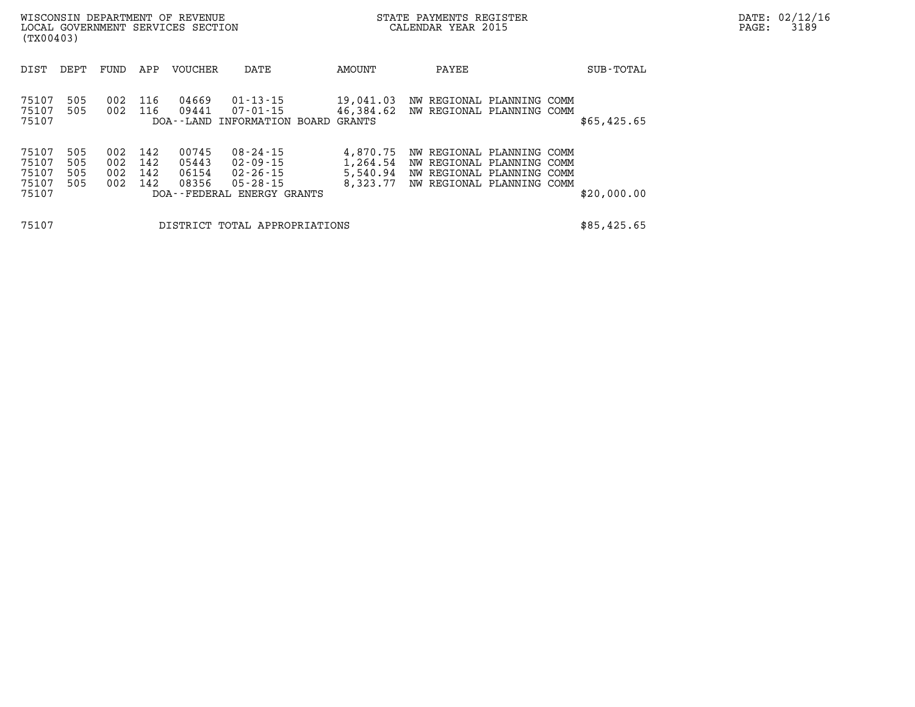| (TX00403)                                 |                          |                          |                          | WISCONSIN DEPARTMENT OF REVENUE<br>LOCAL GOVERNMENT SERVICES SECTION |                                                                            |                                  | STATE PAYMENTS REGISTER<br>CALENDAR YEAR 2015                                                                             | $\mathtt{PAGE:}$ | DATE: 02/12/16<br>3189 |  |  |
|-------------------------------------------|--------------------------|--------------------------|--------------------------|----------------------------------------------------------------------|----------------------------------------------------------------------------|----------------------------------|---------------------------------------------------------------------------------------------------------------------------|------------------|------------------------|--|--|
| DIST                                      | DEPT                     | FUND                     | APP                      | VOUCHER                                                              | DATE                                                                       | AMOUNT                           | PAYEE                                                                                                                     |                  | SUB-TOTAL              |  |  |
| 75107<br>75107<br>75107                   | 505<br>505               | 002<br>002               | 116<br>116               | 04669<br>09441                                                       | 01-13-15<br>07-01-15<br>DOA--LAND INFORMATION BOARD GRANTS                 | 19,041.03                        | NW REGIONAL PLANNING COMM<br>46,384.62 NW REGIONAL PLANNING COMM                                                          |                  | \$65,425.65            |  |  |
| 75107<br>75107<br>75107<br>75107<br>75107 | 505<br>505<br>505<br>505 | 002<br>002<br>002<br>002 | 142<br>142<br>142<br>142 | 00745<br>05443<br>06154<br>08356                                     | 08-24-15<br>02-09-15<br>02-26-15<br>05-28-15<br>DOA--FEDERAL ENERGY GRANTS | 4,870.75<br>1,264.54<br>8,323.77 | NW REGIONAL PLANNING COMM<br>NW REGIONAL PLANNING COMM<br>5,540.94 NW REGIONAL PLANNING COMM<br>NW REGIONAL PLANNING COMM |                  | \$20,000.00            |  |  |
| 75107                                     |                          |                          |                          |                                                                      | DISTRICT TOTAL APPROPRIATIONS                                              |                                  |                                                                                                                           |                  | \$85,425.65            |  |  |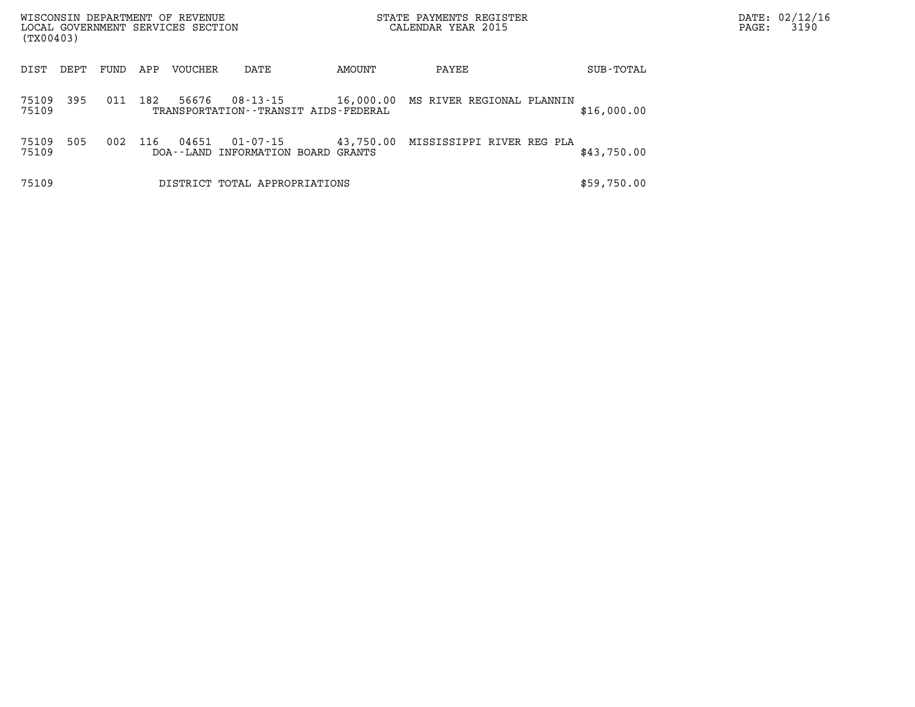|                | WISCONSIN DEPARTMENT OF REVENUE<br>LOCAL GOVERNMENT SERVICES SECTION<br>(TX00403) |      |     |                |                                                       |           | STATE PAYMENTS REGISTER<br>CALENDAR YEAR 2015 |             | PAGE: | DATE: 02/12/16<br>3190 |
|----------------|-----------------------------------------------------------------------------------|------|-----|----------------|-------------------------------------------------------|-----------|-----------------------------------------------|-------------|-------|------------------------|
| DIST           | DEPT                                                                              | FUND | APP | <b>VOUCHER</b> | DATE                                                  | AMOUNT    | PAYEE                                         | SUB-TOTAL   |       |                        |
| 75109<br>75109 | 395                                                                               | 011  | 182 | 56676          | 08-13-15<br>TRANSPORTATION - - TRANSIT AIDS - FEDERAL |           | 16,000.00 MS RIVER REGIONAL PLANNIN           | \$16,000.00 |       |                        |
| 75109<br>75109 | 505                                                                               | 002  | 116 | 04651          | 01-07-15<br>DOA--LAND INFORMATION BOARD GRANTS        | 43,750.00 | MISSISSIPPI RIVER REG PLA                     | \$43,750.00 |       |                        |
| 75109          |                                                                                   |      |     |                | DISTRICT TOTAL APPROPRIATIONS                         |           |                                               | \$59,750.00 |       |                        |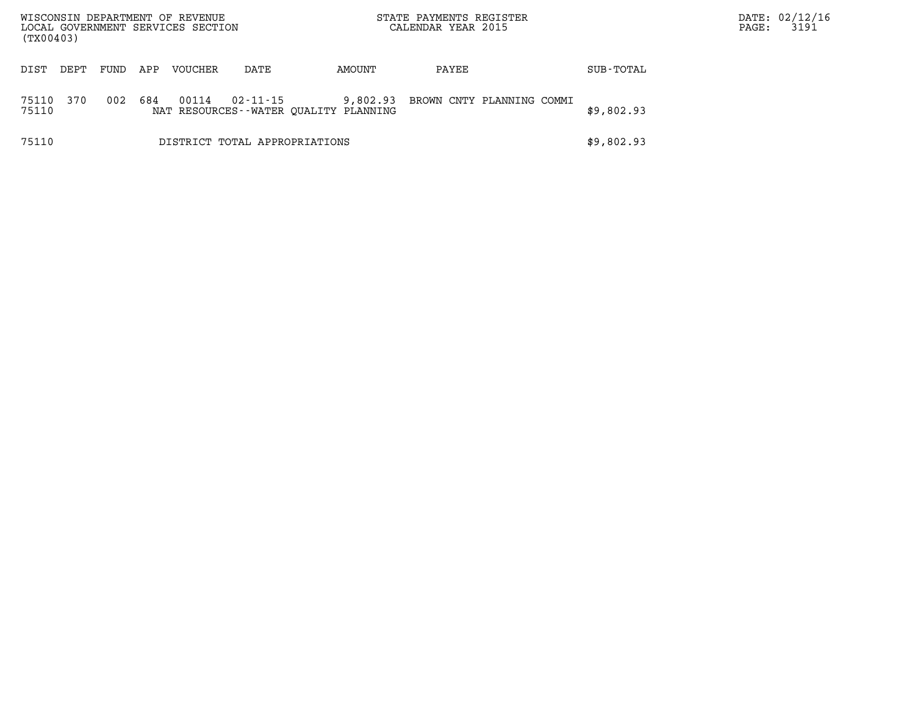| (TX00403)      |      |      |     | WISCONSIN DEPARTMENT OF REVENUE<br>LOCAL GOVERNMENT SERVICES SECTION |                |                                                   | STATE PAYMENTS REGISTER<br>CALENDAR YEAR 2015 |                           |            | PAGE: | DATE: 02/12/16<br>3191 |
|----------------|------|------|-----|----------------------------------------------------------------------|----------------|---------------------------------------------------|-----------------------------------------------|---------------------------|------------|-------|------------------------|
| DIST           | DEPT | FUND | APP | <b>VOUCHER</b>                                                       | DATE           | AMOUNT                                            | PAYEE                                         |                           | SUB-TOTAL  |       |                        |
| 75110<br>75110 | 370  | 002  | 684 | 00114                                                                | $02 - 11 - 15$ | 9,802.93<br>NAT RESOURCES--WATER OUALITY PLANNING |                                               | BROWN CNTY PLANNING COMMI | \$9,802.93 |       |                        |
| 75110          |      |      |     |                                                                      |                | DISTRICT TOTAL APPROPRIATIONS                     |                                               |                           | \$9,802.93 |       |                        |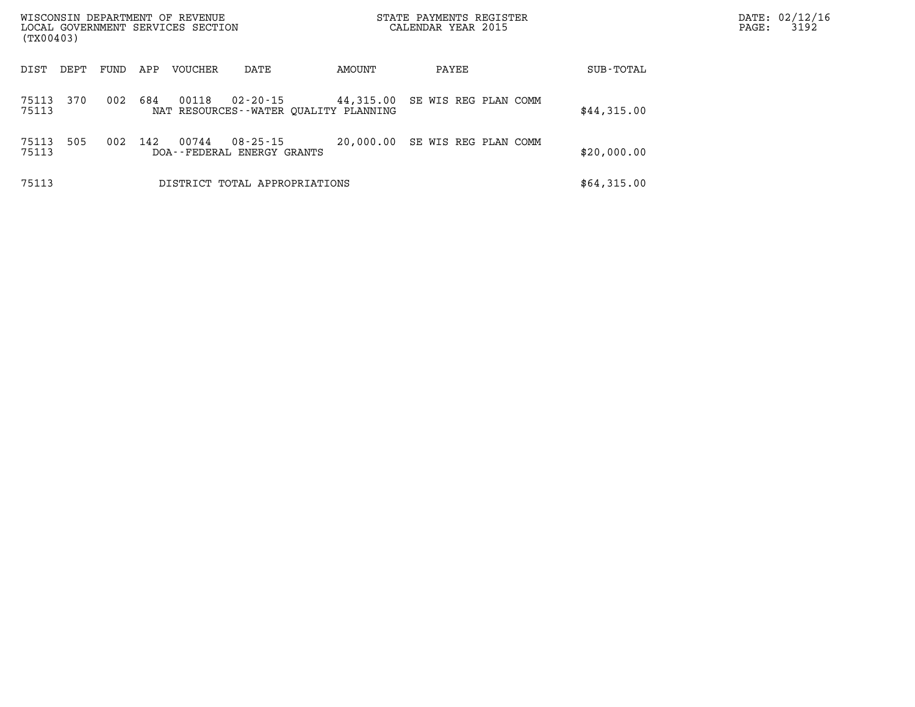| (TX00403)      |      |      |     | WISCONSIN DEPARTMENT OF REVENUE<br>LOCAL GOVERNMENT SERVICES SECTION |                                                   |           | STATE PAYMENTS REGISTER<br>CALENDAR YEAR 2015 |             | DATE: 02/12/16<br>PAGE: | 3192 |
|----------------|------|------|-----|----------------------------------------------------------------------|---------------------------------------------------|-----------|-----------------------------------------------|-------------|-------------------------|------|
| DIST           | DEPT | FUND | APP | <b>VOUCHER</b>                                                       | DATE                                              | AMOUNT    | PAYEE                                         | SUB-TOTAL   |                         |      |
| 75113<br>75113 | 370  | 002  | 684 | 00118                                                                | 02-20-15<br>NAT RESOURCES--WATER OUALITY PLANNING | 44,315.00 | SE WIS REG PLAN COMM                          | \$44,315.00 |                         |      |
| 75113<br>75113 | 505  | 002  | 142 | 00744                                                                | $08 - 25 - 15$<br>DOA--FEDERAL ENERGY GRANTS      | 20,000.00 | SE WIS REG PLAN COMM                          | \$20,000.00 |                         |      |
| 75113          |      |      |     |                                                                      | DISTRICT TOTAL APPROPRIATIONS                     |           |                                               | \$64,315.00 |                         |      |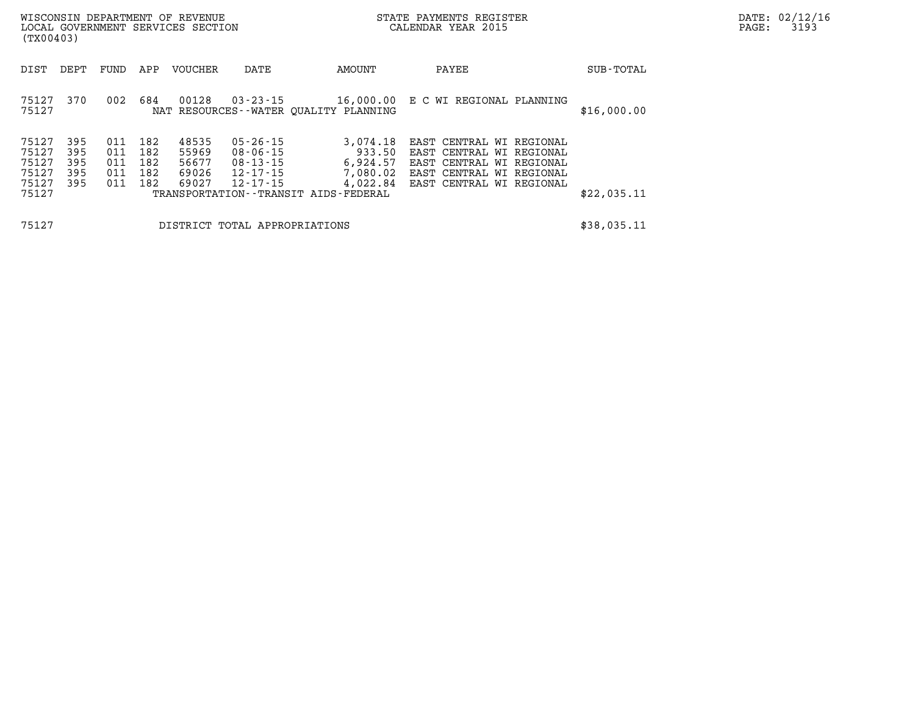| (TX00403)                                          |                                 |                                 |                                 | WISCONSIN DEPARTMENT OF REVENUE<br>LOCAL GOVERNMENT SERVICES SECTION |                                                          |                                                                                                     | STATE PAYMENTS REGISTER<br>CALENDAR YEAR 2015                                                                                            |  | DATE: 02/12/16<br>3193<br>$\mathtt{PAGE:}$ |  |
|----------------------------------------------------|---------------------------------|---------------------------------|---------------------------------|----------------------------------------------------------------------|----------------------------------------------------------|-----------------------------------------------------------------------------------------------------|------------------------------------------------------------------------------------------------------------------------------------------|--|--------------------------------------------|--|
| DIST                                               | DEPT                            | FUND                            | APP                             | VOUCHER                                                              | DATE                                                     | AMOUNT                                                                                              | PAYEE                                                                                                                                    |  | SUB-TOTAL                                  |  |
| 75127<br>75127                                     | 370                             | 002                             | 684                             | 00128                                                                | 03-23-15                                                 | NAT RESOURCES--WATER QUALITY PLANNING                                                               | 16,000.00 E C WI REGIONAL PLANNING                                                                                                       |  | \$16,000.00                                |  |
| 75127<br>75127<br>75127<br>75127<br>75127<br>75127 | 395<br>395<br>395<br>395<br>395 | 011<br>011<br>011<br>011<br>011 | 182<br>182<br>182<br>182<br>182 | 48535<br>55969<br>56677<br>69026<br>69027                            | 05-26-15<br>08-06-15<br>08-13-15<br>12-17-15<br>12-17-15 | 3,074.18<br>933.50<br>6,924.57<br>7,080.02<br>4,022.84<br>TRANSPORTATION - - TRANSIT AIDS - FEDERAL | EAST CENTRAL WI REGIONAL<br>EAST CENTRAL WI REGIONAL<br>EAST CENTRAL WI REGIONAL<br>EAST CENTRAL WI REGIONAL<br>EAST CENTRAL WI REGIONAL |  | \$22,035.11                                |  |
| 75127                                              |                                 |                                 |                                 |                                                                      | DISTRICT TOTAL APPROPRIATIONS                            |                                                                                                     |                                                                                                                                          |  | \$38,035.11                                |  |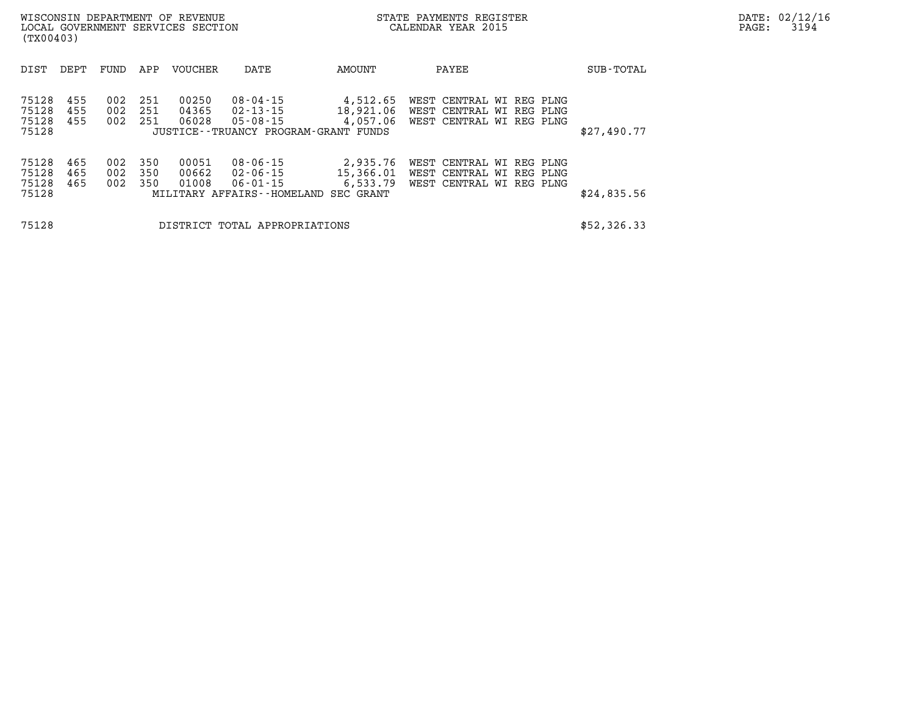|                                  | WISCONSIN DEPARTMENT OF REVENUE<br>LOCAL GOVERNMENT SERVICES SECTION<br>(TX00403) |                   |                    |                         |                                                                               |                                   | STATE PAYMENTS REGISTER<br>CALENDAR YEAR 2015                                    |  | $\mathtt{PAGE}$ : | DATE: 02/12/16<br>3194 |  |
|----------------------------------|-----------------------------------------------------------------------------------|-------------------|--------------------|-------------------------|-------------------------------------------------------------------------------|-----------------------------------|----------------------------------------------------------------------------------|--|-------------------|------------------------|--|
| DIST                             | DEPT                                                                              | FUND              | APP                | <b>VOUCHER</b>          | DATE                                                                          | AMOUNT                            | PAYEE                                                                            |  | SUB-TOTAL         |                        |  |
| 75128<br>75128<br>75128<br>75128 | 455<br>455<br>455                                                                 | 002<br>002<br>002 | 251<br>251<br>-251 | 00250<br>04365<br>06028 | 08-04-15<br>02-13-15<br>05-08-15<br>JUSTICE - - TRUANCY PROGRAM - GRANT FUNDS | 4,512.65<br>18,921.06<br>4,057.06 | WEST CENTRAL WI REG PLNG<br>WEST CENTRAL WI REG PLNG<br>WEST CENTRAL WI REG PLNG |  | \$27,490.77       |                        |  |
| 75128<br>75128<br>75128<br>75128 | 465<br>465<br>465                                                                 | 002<br>002<br>002 | 350<br>350<br>350  | 00051<br>00662<br>01008 | 08-06-15<br>02-06-15<br>06-01-15<br>MILITARY AFFAIRS--HOMELAND SEC GRANT      | 2,935.76<br>15,366.01<br>6,533.79 | WEST CENTRAL WI REG PLNG<br>WEST CENTRAL WI REG PLNG<br>WEST CENTRAL WI REG PLNG |  | \$24,835.56       |                        |  |
| 75128                            |                                                                                   |                   |                    |                         | DISTRICT TOTAL APPROPRIATIONS                                                 |                                   |                                                                                  |  | \$52,326.33       |                        |  |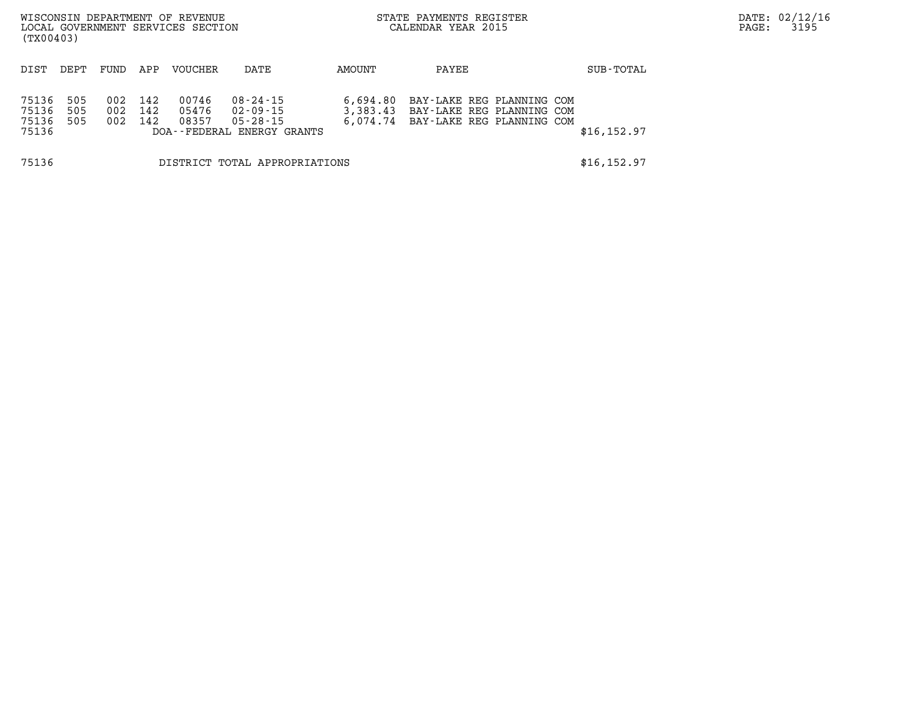| (TX00403)                        |                   |                   |                   | WISCONSIN DEPARTMENT OF REVENUE<br>LOCAL GOVERNMENT SERVICES SECTION |                                                                                  |                                  | STATE PAYMENTS REGISTER<br>CALENDAR YEAR 2015                                       |              | PAGE: | DATE: 02/12/16<br>3195 |
|----------------------------------|-------------------|-------------------|-------------------|----------------------------------------------------------------------|----------------------------------------------------------------------------------|----------------------------------|-------------------------------------------------------------------------------------|--------------|-------|------------------------|
| DIST                             | DEPT              | FUND              | APP               | <b>VOUCHER</b>                                                       | DATE                                                                             | AMOUNT                           | PAYEE                                                                               | SUB-TOTAL    |       |                        |
| 75136<br>75136<br>75136<br>75136 | 505<br>505<br>505 | 002<br>002<br>002 | 142<br>142<br>142 | 00746<br>05476<br>08357                                              | $08 - 24 - 15$<br>$02 - 09 - 15$<br>$05 - 28 - 15$<br>DOA--FEDERAL ENERGY GRANTS | 6,694.80<br>3,383.43<br>6,074.74 | BAY-LAKE REG PLANNING COM<br>BAY-LAKE REG PLANNING COM<br>BAY-LAKE REG PLANNING COM | \$16, 152.97 |       |                        |
| 75136                            |                   |                   |                   |                                                                      | DISTRICT TOTAL APPROPRIATIONS                                                    |                                  |                                                                                     | \$16, 152.97 |       |                        |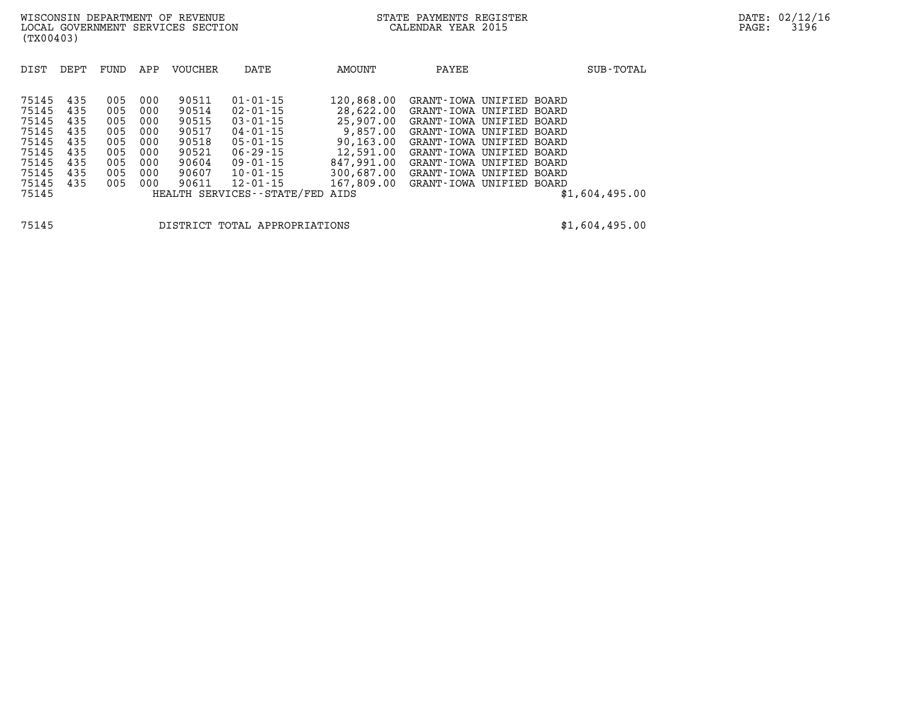| DIST  | DEPT | FUND | APP | <b>VOUCHER</b> | DATE                            | AMOUNT                              | PAYEE                               |  | SUB-TOTAL      |
|-------|------|------|-----|----------------|---------------------------------|-------------------------------------|-------------------------------------|--|----------------|
|       |      |      |     |                |                                 |                                     |                                     |  |                |
| 75145 | 435  | 005  | 000 | 90511          | $01 - 01 - 15$                  | 120,868.00                          | GRANT-IOWA UNIFIED BOARD            |  |                |
| 75145 | 435  | 005  | 000 | 90514          | 02-01-15                        |                                     | 28,622.00 GRANT-IOWA UNIFIED BOARD  |  |                |
| 75145 | 435  | 005  | 000 | 90515          | $03 - 01 - 15$                  |                                     | 25,907.00 GRANT-IOWA UNIFIED BOARD  |  |                |
| 75145 | 435  | 005  | 000 | 90517          | 04-01-15                        |                                     | 9,857.00 GRANT-IOWA UNIFIED BOARD   |  |                |
| 75145 | 435  | 005  | 000 | 90518          | 05-01-15                        |                                     | 90,163.00 GRANT-IOWA UNIFIED BOARD  |  |                |
| 75145 | 435  | 005  | 000 | 90521          | $06 - 29 - 15$                  |                                     | 12,591.00 GRANT-IOWA UNIFIED BOARD  |  |                |
| 75145 | 435  | 005  | 000 | 90604          | 09-01-15                        | 847,991.00                          | GRANT-IOWA UNIFIED BOARD            |  |                |
| 75145 | 435  | 005  | 000 | 90607          | 10-01-15                        |                                     | 300,687.00 GRANT-IOWA UNIFIED BOARD |  |                |
| 75145 | 435  | 005  | 000 | 90611          | 12-01-15                        | 167,809.00 GRANT-IOWA UNIFIED BOARD |                                     |  |                |
| 75145 |      |      |     |                | HEALTH SERVICES--STATE/FED AIDS |                                     |                                     |  | \$1,604,495.00 |
|       |      |      |     |                |                                 |                                     |                                     |  |                |
|       |      |      |     |                |                                 |                                     |                                     |  |                |

**75145 DISTRICT TOTAL APPROPRIATIONS \$1,604,495.00**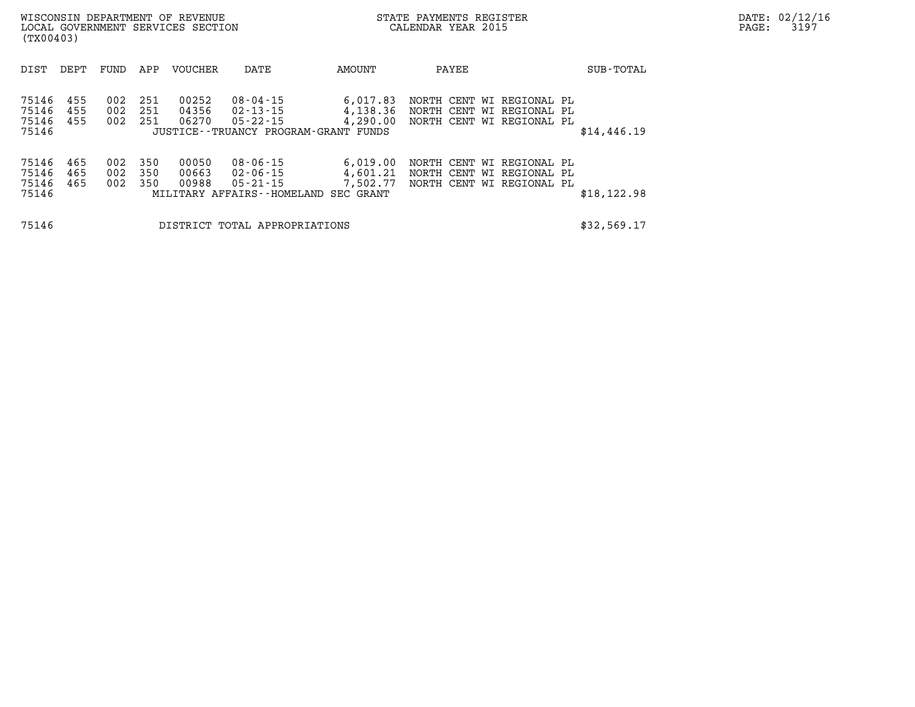| (TX00403)                        |                   |                   |                     | WISCONSIN DEPARTMENT OF REVENUE<br>LOCAL GOVERNMENT SERVICES SECTION |                                                                             | STATE PAYMENTS REGISTER<br>CALENDAR YEAR 2015 | DATE: 02/12/16<br>3197<br>$\mathtt{PAGE}$ : |                                                                                     |              |  |
|----------------------------------|-------------------|-------------------|---------------------|----------------------------------------------------------------------|-----------------------------------------------------------------------------|-----------------------------------------------|---------------------------------------------|-------------------------------------------------------------------------------------|--------------|--|
| DIST                             | DEPT              | FUND              | APP                 | <b>VOUCHER</b>                                                       | DATE                                                                        | AMOUNT                                        | PAYEE                                       |                                                                                     | SUB-TOTAL    |  |
| 75146<br>75146<br>75146<br>75146 | 455<br>455<br>455 | 002<br>002<br>002 | -251<br>251<br>-251 | 00252<br>04356<br>06270                                              | 08-04-15<br>02-13-15<br>05-22-15<br>JUSTICE - TRUANCY PROGRAM - GRANT FUNDS | 6,017.83<br>4,138.36<br>4,290.00              |                                             | NORTH CENT WI REGIONAL PL<br>NORTH CENT WI REGIONAL PL<br>NORTH CENT WI REGIONAL PL | \$14,446.19  |  |
| 75146<br>75146<br>75146<br>75146 | 465<br>465<br>465 | 002<br>002<br>002 | 350<br>350<br>350   | 00050<br>00663<br>00988                                              | 08-06-15<br>02-06-15<br>05-21-15<br>MILITARY AFFAIRS--HOMELAND SEC GRANT    | 6,019.00<br>4,601.21<br>7,502.77              |                                             | NORTH CENT WI REGIONAL PL<br>NORTH CENT WI REGIONAL PL<br>NORTH CENT WI REGIONAL PL | \$18, 122.98 |  |
| 75146                            |                   |                   |                     |                                                                      | DISTRICT TOTAL APPROPRIATIONS                                               |                                               |                                             |                                                                                     | \$32,569.17  |  |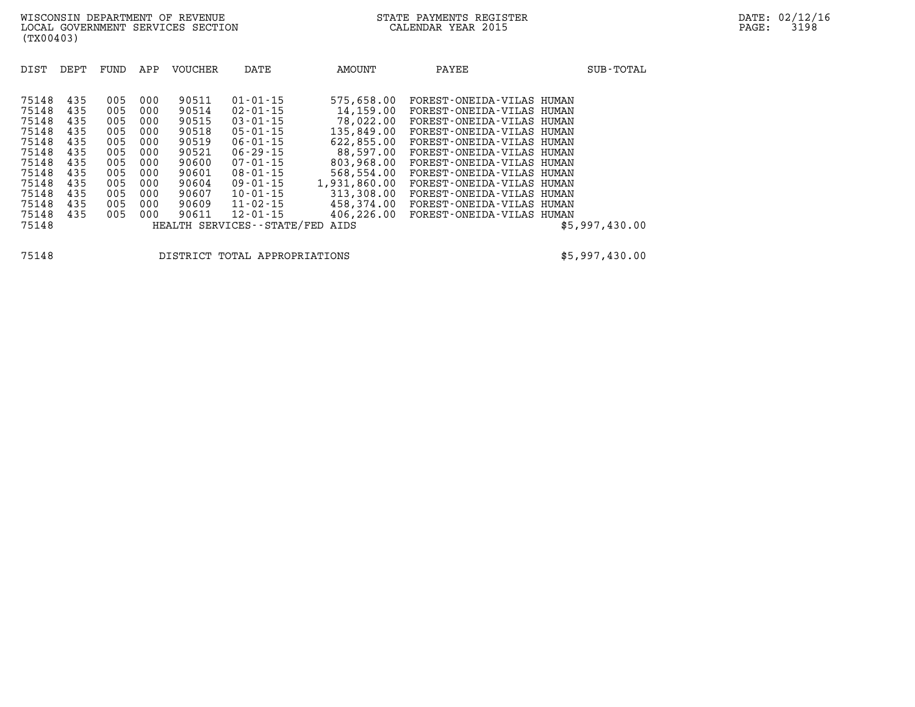| DIST<br>DEPT                                                                                                                                                                                          | FUND                                                                             | APP                                                                              | <b>VOUCHER</b>                                                                                           | DATE                                                                                                                                                                                                                                                  | AMOUNT                                                                                                                                                                      | PAYEE                                                                                                                                                                                                                                                                                                                                                    | SUB-TOTAL      |
|-------------------------------------------------------------------------------------------------------------------------------------------------------------------------------------------------------|----------------------------------------------------------------------------------|----------------------------------------------------------------------------------|----------------------------------------------------------------------------------------------------------|-------------------------------------------------------------------------------------------------------------------------------------------------------------------------------------------------------------------------------------------------------|-----------------------------------------------------------------------------------------------------------------------------------------------------------------------------|----------------------------------------------------------------------------------------------------------------------------------------------------------------------------------------------------------------------------------------------------------------------------------------------------------------------------------------------------------|----------------|
| 75148<br>435<br>75148<br>435<br>75148<br>435<br>75148<br>435<br>75148<br>435<br>75148<br>435<br>75148<br>435<br>75148<br>435<br>75148<br>435<br>75148<br>435<br>75148<br>435<br>75148<br>435<br>75148 | 005<br>005<br>005<br>005<br>005<br>005<br>005<br>005<br>005<br>005<br>005<br>005 | 000<br>000<br>000<br>000<br>000<br>000<br>000<br>000<br>000<br>000<br>000<br>000 | 90511<br>90514<br>90515<br>90518<br>90519<br>90521<br>90600<br>90601<br>90604<br>90607<br>90609<br>90611 | $01 - 01 - 15$<br>$02 - 01 - 15$<br>$03 - 01 - 15$<br>$05 - 01 - 15$<br>$06 - 01 - 15$<br>$06 - 29 - 15$<br>$07 - 01 - 15$<br>$08 - 01 - 15$<br>$09 - 01 - 15$<br>$10 - 01 - 15$<br>$11 - 02 - 15$<br>$12 - 01 - 15$<br>HEALTH SERVICES - - STATE/FED | 575,658.00<br>14,159.00<br>78,022.00<br>135,849.00<br>622,855.00<br>88,597.00<br>803,968.00<br>568,554.00<br>1,931,860.00<br>313,308.00<br>458,374.00<br>406,226.00<br>AIDS | FOREST-ONEIDA-VILAS HUMAN<br>FOREST-ONEIDA-VILAS HUMAN<br>FOREST-ONEIDA-VILAS HUMAN<br>FOREST-ONEIDA-VILAS HUMAN<br>FOREST-ONEIDA-VILAS HUMAN<br>FOREST-ONEIDA-VILAS HUMAN<br>FOREST-ONEIDA-VILAS HUMAN<br>FOREST-ONEIDA-VILAS HUMAN<br>FOREST-ONEIDA-VILAS HUMAN<br>FOREST-ONEIDA-VILAS HUMAN<br>FOREST-ONEIDA-VILAS HUMAN<br>FOREST-ONEIDA-VILAS HUMAN | \$5,997,430.00 |

**75148 DISTRICT TOTAL APPROPRIATIONS \$5,997,430.00**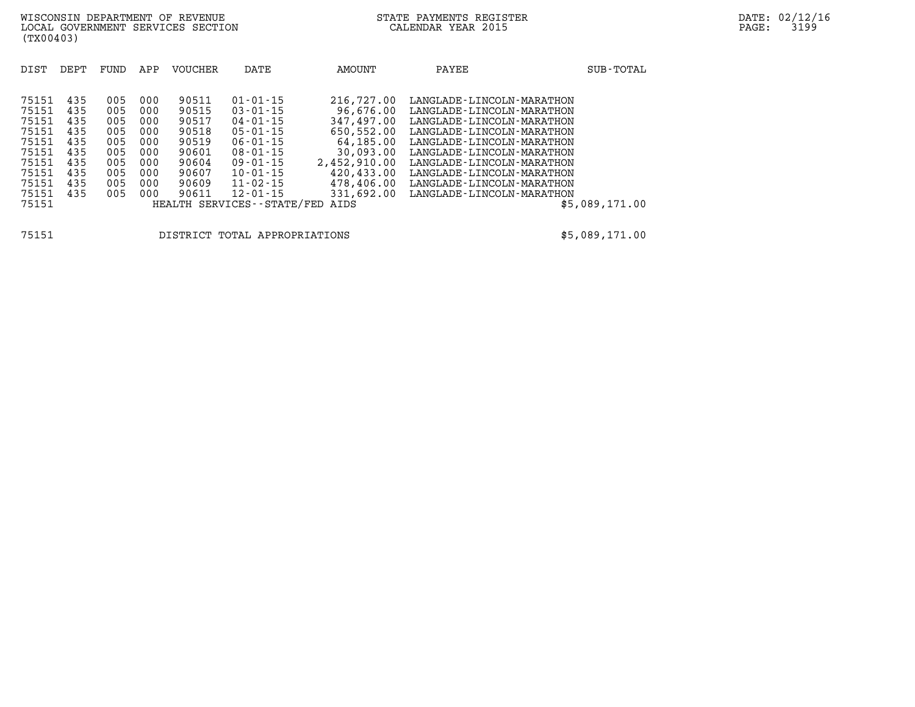| DIST                                                                                            | DEPT                                                               | FUND                                                               | APP                                                                | <b>VOUCHER</b>                                                                         | DATE                                                                                                                                                                                                              | AMOUNT                                                                                                                                          | PAYEE                                                                                                                                                                                                                                                                                                                                  | SUB-TOTAL      |
|-------------------------------------------------------------------------------------------------|--------------------------------------------------------------------|--------------------------------------------------------------------|--------------------------------------------------------------------|----------------------------------------------------------------------------------------|-------------------------------------------------------------------------------------------------------------------------------------------------------------------------------------------------------------------|-------------------------------------------------------------------------------------------------------------------------------------------------|----------------------------------------------------------------------------------------------------------------------------------------------------------------------------------------------------------------------------------------------------------------------------------------------------------------------------------------|----------------|
| 75151<br>75151<br>75151<br>75151<br>75151<br>75151<br>75151<br>75151<br>75151<br>75151<br>75151 | 435<br>435<br>435<br>435<br>435<br>435<br>435<br>435<br>435<br>435 | 005<br>005<br>005<br>005<br>005<br>005<br>005<br>005<br>005<br>005 | 000<br>000<br>000<br>000<br>000<br>000<br>000<br>000<br>000<br>000 | 90511<br>90515<br>90517<br>90518<br>90519<br>90601<br>90604<br>90607<br>90609<br>90611 | $01 - 01 - 15$<br>$03 - 01 - 15$<br>$04 - 01 - 15$<br>$05 - 01 - 15$<br>$06 - 01 - 15$<br>$08 - 01 - 15$<br>$09 - 01 - 15$<br>$10 - 01 - 15$<br>$11 - 02 - 15$<br>$12 - 01 - 15$<br>HEALTH SERVICES - - STATE/FED | 216,727.00<br>96,676.00<br>347,497.00<br>650,552.00<br>64,185.00<br>30,093.00<br>2,452,910.00<br>420,433.00<br>478,406.00<br>331,692.00<br>AIDS | LANGLADE - LINCOLN - MARATHON<br>LANGLADE - LINCOLN - MARATHON<br>LANGLADE - LINCOLN - MARATHON<br>LANGLADE - LINCOLN - MARATHON<br>LANGLADE - LINCOLN - MARATHON<br>LANGLADE - LINCOLN - MARATHON<br>LANGLADE - LINCOLN - MARATHON<br>LANGLADE - LINCOLN - MARATHON<br>LANGLADE - LINCOLN - MARATHON<br>LANGLADE - LINCOLN - MARATHON | \$5,089,171.00 |

**75151 DISTRICT TOTAL APPROPRIATIONS \$5,089,171.00**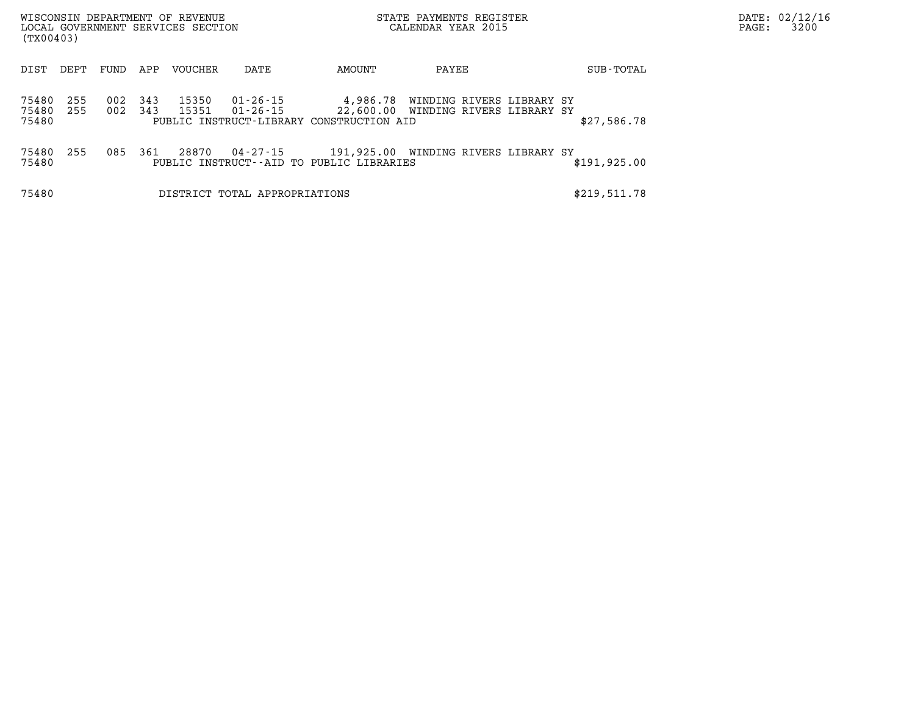| (TX00403)               |            |            |            | WISCONSIN DEPARTMENT OF REVENUE<br>LOCAL GOVERNMENT SERVICES SECTION |                               |                                                                                  | STATE PAYMENTS REGISTER<br>CALENDAR YEAR 2015                    |               | PAGE: | DATE: 02/12/16<br>3200 |
|-------------------------|------------|------------|------------|----------------------------------------------------------------------|-------------------------------|----------------------------------------------------------------------------------|------------------------------------------------------------------|---------------|-------|------------------------|
| DIST                    | DEPT       | FUND       | APP        | VOUCHER                                                              | DATE                          | AMOUNT                                                                           | PAYEE                                                            | SUB-TOTAL     |       |                        |
| 75480<br>75480<br>75480 | 255<br>255 | 002<br>002 | 343<br>343 | 15350<br>15351                                                       | 01-26-15<br>01-26-15          | 4,986.78<br>PUBLIC INSTRUCT-LIBRARY CONSTRUCTION AID                             | WINDING RIVERS LIBRARY SY<br>22,600.00 WINDING RIVERS LIBRARY SY | \$27,586.78   |       |                        |
| 75480<br>75480          | 255        | 085        | 361        | 28870                                                                | 04-27-15                      | 191,925.00 WINDING RIVERS LIBRARY SY<br>PUBLIC INSTRUCT--AID TO PUBLIC LIBRARIES |                                                                  | \$191, 925.00 |       |                        |
| 75480                   |            |            |            |                                                                      | DISTRICT TOTAL APPROPRIATIONS |                                                                                  |                                                                  | \$219,511.78  |       |                        |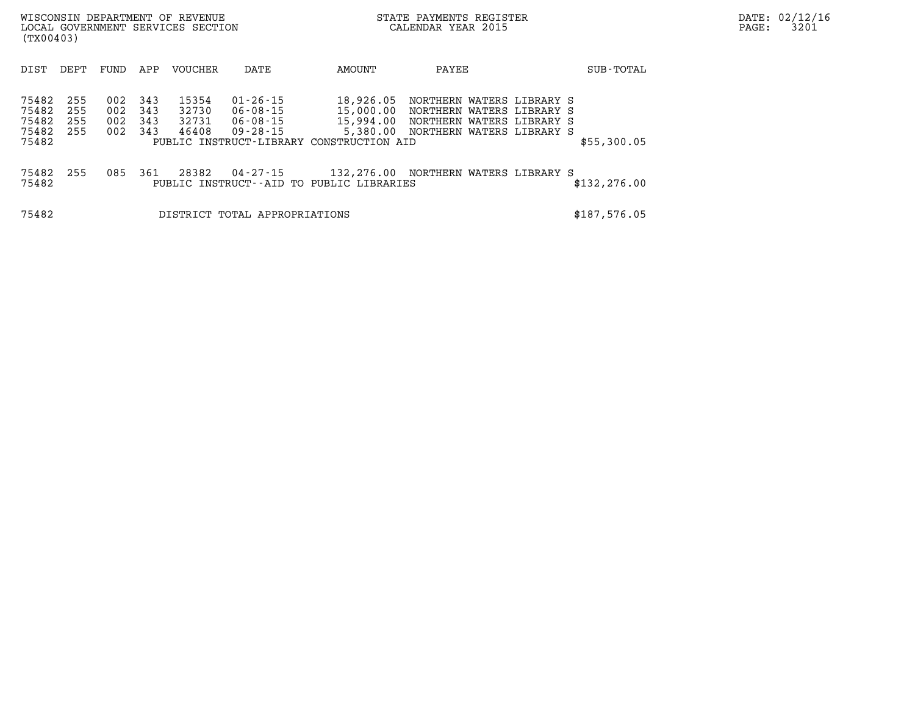| WISCONSIN DEPARTMENT OF REVENUE<br>LOCAL GOVERNMENT SERVICES SECTION<br>(TX00403)                                                                                 | STATE PAYMENTS REGISTER<br>CALENDAR YEAR 2015                                                                                                                                                                                                                               |               | DATE: 02/12/16<br>3201<br>PAGE: |
|-------------------------------------------------------------------------------------------------------------------------------------------------------------------|-----------------------------------------------------------------------------------------------------------------------------------------------------------------------------------------------------------------------------------------------------------------------------|---------------|---------------------------------|
| DEPT<br><b>VOUCHER</b><br>DIST<br>FUND<br>APP                                                                                                                     | AMOUNT<br>PAYEE<br>DATE                                                                                                                                                                                                                                                     | SUB-TOTAL     |                                 |
| 255<br>75482<br>343<br>15354<br>002<br>75482<br>002<br>343<br>32730<br>255<br>75482<br>255<br>002<br>343<br>32731<br>75482<br>255<br>343<br>002<br>46408<br>75482 | $01 - 26 - 15$<br>18,926.05<br>NORTHERN WATERS LIBRARY S<br>06-08-15<br>15,000.00<br>NORTHERN WATERS LIBRARY S<br>06-08-15<br>15,994.00<br>NORTHERN WATERS LIBRARY S<br>5,380.00<br>$09 - 28 - 15$<br>NORTHERN WATERS LIBRARY S<br>PUBLIC INSTRUCT-LIBRARY CONSTRUCTION AID | \$55,300.05   |                                 |
| 255<br>75482<br>085<br>28382<br>361<br>75482                                                                                                                      | 04-27-15<br>132,276.00 NORTHERN WATERS LIBRARY S<br>PUBLIC INSTRUCT--AID TO PUBLIC LIBRARIES                                                                                                                                                                                | \$132, 276.00 |                                 |
| 75482                                                                                                                                                             | DISTRICT TOTAL APPROPRIATIONS                                                                                                                                                                                                                                               | \$187,576.05  |                                 |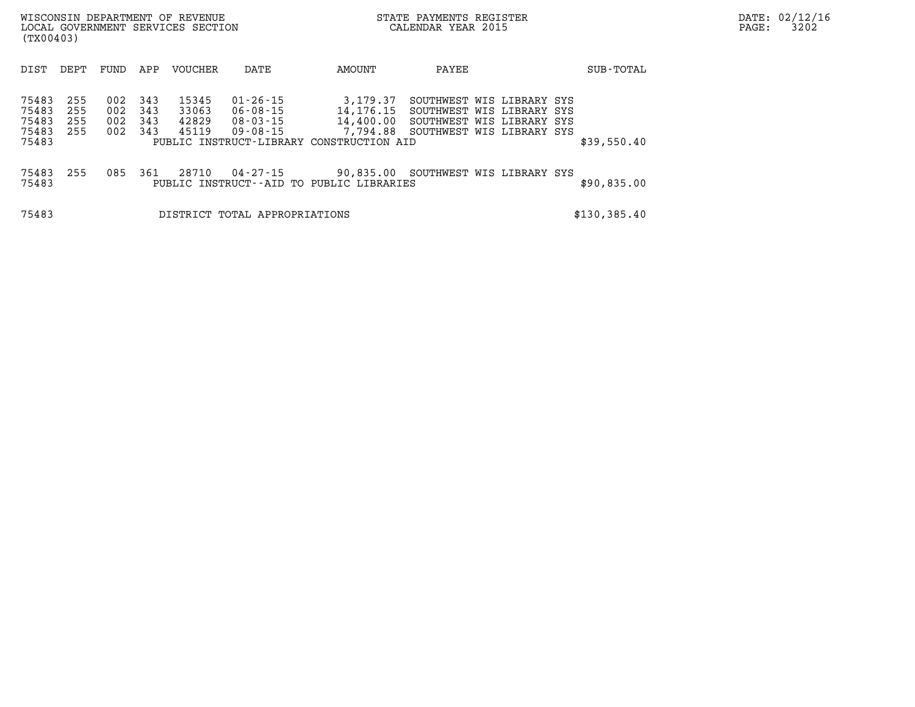| (TX00403) |      |      |     | WISCONSIN DEPARTMENT OF REVENUE<br>LOCAL GOVERNMENT SERVICES SECTION |      |        | STATE PAYMENTS REGISTER<br>CALENDAR YEAR 2015 |           | PAGE: | DATE: 02/12/16<br>3202 |
|-----------|------|------|-----|----------------------------------------------------------------------|------|--------|-----------------------------------------------|-----------|-------|------------------------|
| DIST      | DEPT | FUND | APP | VOUCHER                                                              | DATE | AMOUNT | PAYEE                                         | SUB-TOTAL |       |                        |

| 75483<br>75483<br>75483<br>75483<br>75483 | 255<br>255<br>255<br>255 | 002<br>002<br>002<br>002 | 343<br>343<br>343<br>343 | 15345<br>33063<br>42829<br>45119 | $01 - 26 - 15$<br>$06 - 08 - 15$<br>$08 - 03 - 15$<br>$09 - 08 - 15$ | 3,179.37<br>14,176.15<br>14,400.00<br>7,794.88<br>PUBLIC INSTRUCT-LIBRARY CONSTRUCTION AID | SOUTHWEST WIS LIBRARY SYS<br>SOUTHWEST WIS LIBRARY SYS<br>SOUTHWEST WIS LIBRARY SYS<br>SOUTHWEST WIS LIBRARY SYS |  |             |
|-------------------------------------------|--------------------------|--------------------------|--------------------------|----------------------------------|----------------------------------------------------------------------|--------------------------------------------------------------------------------------------|------------------------------------------------------------------------------------------------------------------|--|-------------|
|                                           |                          |                          |                          |                                  |                                                                      |                                                                                            |                                                                                                                  |  | \$39,550.40 |
| 75483<br>75483                            | 255                      | 085                      | 361                      | 28710                            | $04 - 27 - 15$                                                       | 90,835.00<br>PUBLIC INSTRUCT--AID TO PUBLIC LIBRARIES                                      | SOUTHWEST WIS LIBRARY SYS                                                                                        |  | \$90,835.00 |

**75483 DISTRICT TOTAL APPROPRIATIONS \$130,385.40**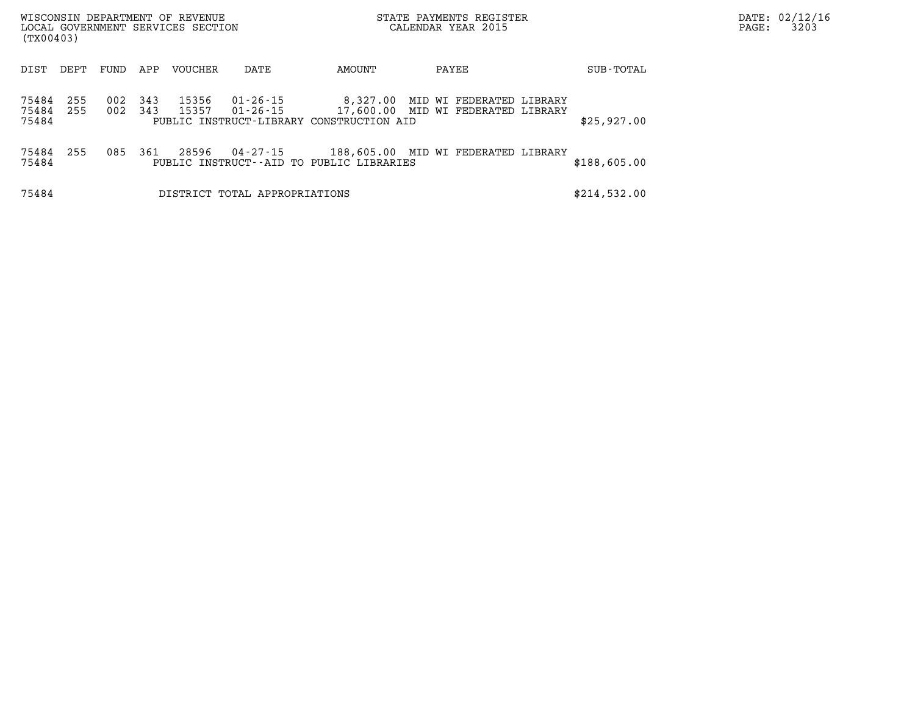| (TX00403)               |            |            |            | WISCONSIN DEPARTMENT OF REVENUE<br>LOCAL GOVERNMENT SERVICES SECTION |                               |                                                      | STATE PAYMENTS REGISTER<br>CALENDAR YEAR 2015                  |              | DATE: 02/12/16<br>3203<br>PAGE: |
|-------------------------|------------|------------|------------|----------------------------------------------------------------------|-------------------------------|------------------------------------------------------|----------------------------------------------------------------|--------------|---------------------------------|
| DIST                    | DEPT       | FUND       | APP        | VOUCHER                                                              | DATE                          | AMOUNT                                               | PAYEE                                                          | SUB-TOTAL    |                                 |
| 75484<br>75484<br>75484 | 255<br>255 | 002<br>002 | 343<br>343 | 15356<br>15357                                                       | 01-26-15<br>01-26-15          | 8,327.00<br>PUBLIC INSTRUCT-LIBRARY CONSTRUCTION AID | MID WI FEDERATED LIBRARY<br>17,600.00 MID WI FEDERATED LIBRARY | \$25,927.00  |                                 |
| 75484<br>75484          | 255        | 085        | 361        | 28596                                                                | 04-27-15                      | PUBLIC INSTRUCT--AID TO PUBLIC LIBRARIES             | 188,605.00 MID WI FEDERATED LIBRARY                            | \$188,605.00 |                                 |
| 75484                   |            |            |            |                                                                      | DISTRICT TOTAL APPROPRIATIONS |                                                      |                                                                | \$214,532.00 |                                 |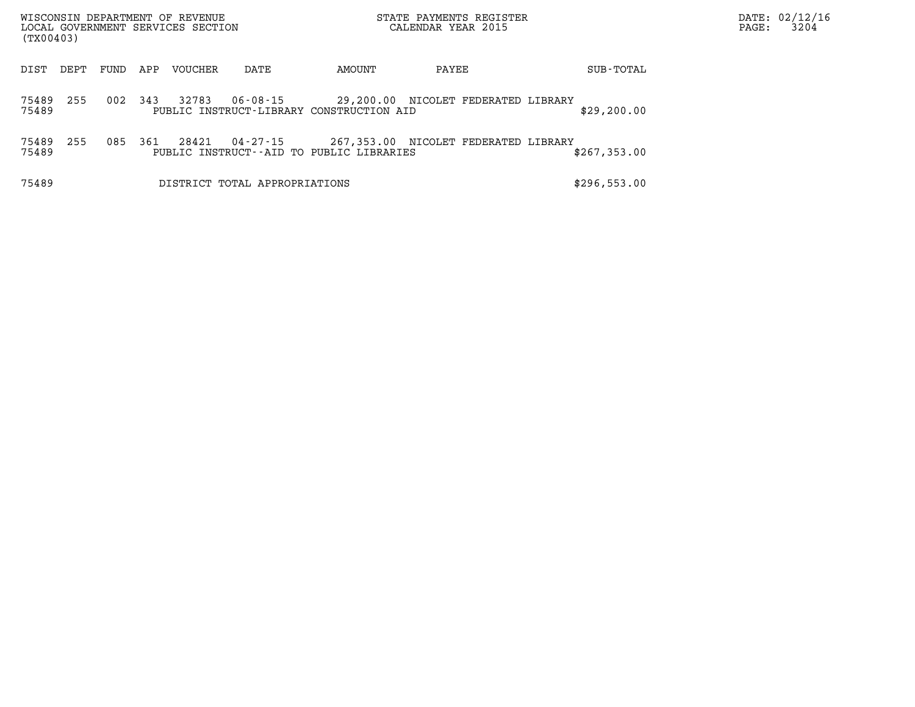| (TX00403)      |      |      |     | WISCONSIN DEPARTMENT OF REVENUE<br>LOCAL GOVERNMENT SERVICES SECTION |                               |                                          | STATE PAYMENTS REGISTER<br>CALENDAR YEAR 2015 |              | DATE: 02/12/1<br>PAGE: | 3204 |
|----------------|------|------|-----|----------------------------------------------------------------------|-------------------------------|------------------------------------------|-----------------------------------------------|--------------|------------------------|------|
| DIST           | DEPT | FUND | APP | <b>VOUCHER</b>                                                       | DATE                          | AMOUNT                                   | PAYEE                                         | SUB-TOTAL    |                        |      |
| 75489<br>75489 | 255  | 002  | 343 | 32783                                                                | $06 - 08 - 15$                | PUBLIC INSTRUCT-LIBRARY CONSTRUCTION AID | 29,200.00 NICOLET FEDERATED LIBRARY           | \$29, 200.00 |                        |      |
| 75489<br>75489 | 255  | 085  | 361 | 28421                                                                | 04-27-15                      | PUBLIC INSTRUCT--AID TO PUBLIC LIBRARIES | 267,353.00 NICOLET FEDERATED LIBRARY          | \$267,353.00 |                        |      |
| 75489          |      |      |     |                                                                      | DISTRICT TOTAL APPROPRIATIONS |                                          |                                               | \$296,553.00 |                        |      |

**DATE: 02/12/16<br>PAGE: 3204**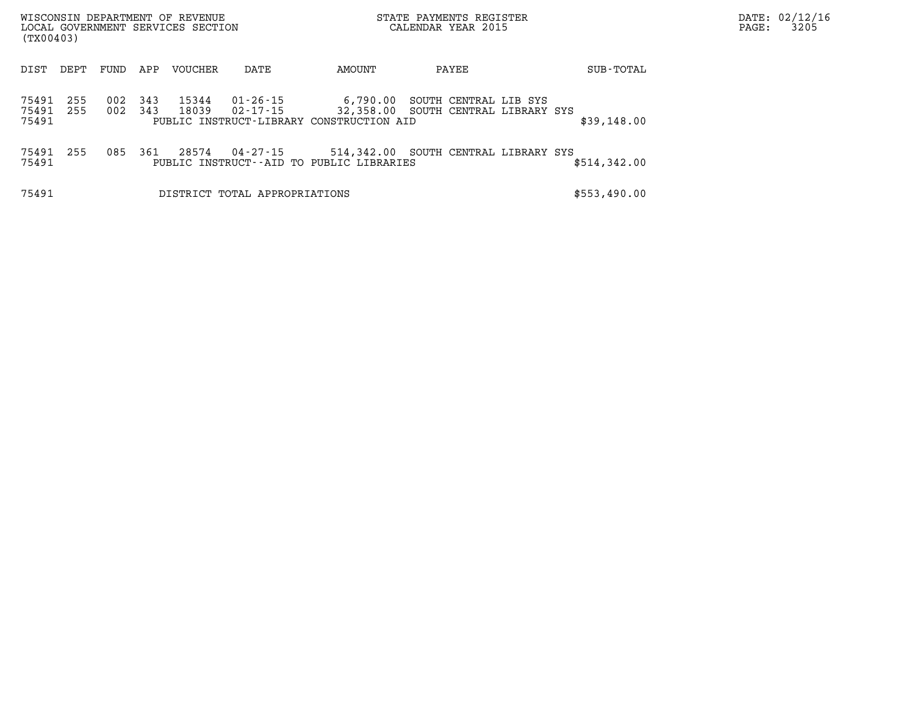| (TX00403)               |            |            |            | WISCONSIN DEPARTMENT OF REVENUE<br>LOCAL GOVERNMENT SERVICES SECTION |                               |                                                                                             | STATE PAYMENTS REGISTER<br>CALENDAR YEAR 2015 |                       |              | PAGE: | DATE: 02/12/16<br>3205 |
|-------------------------|------------|------------|------------|----------------------------------------------------------------------|-------------------------------|---------------------------------------------------------------------------------------------|-----------------------------------------------|-----------------------|--------------|-------|------------------------|
| DIST                    | DEPT       | FUND       | APP        | VOUCHER                                                              | DATE                          | AMOUNT                                                                                      | PAYEE                                         |                       | SUB-TOTAL    |       |                        |
| 75491<br>75491<br>75491 | 255<br>255 | 002<br>002 | 343<br>343 | 15344<br>18039                                                       | 01-26-15<br>02-17-15          | 6,790.00<br>32,358.00 SOUTH CENTRAL LIBRARY SYS<br>PUBLIC INSTRUCT-LIBRARY CONSTRUCTION AID |                                               | SOUTH CENTRAL LIB SYS | \$39,148.00  |       |                        |
| 75491<br>75491          | 255        | 085        | 361        | 28574                                                                | 04-27-15                      | 514,342.00 SOUTH CENTRAL LIBRARY SYS<br>PUBLIC INSTRUCT--AID TO PUBLIC LIBRARIES            |                                               |                       | \$514,342.00 |       |                        |
| 75491                   |            |            |            |                                                                      | DISTRICT TOTAL APPROPRIATIONS |                                                                                             |                                               |                       | \$553,490.00 |       |                        |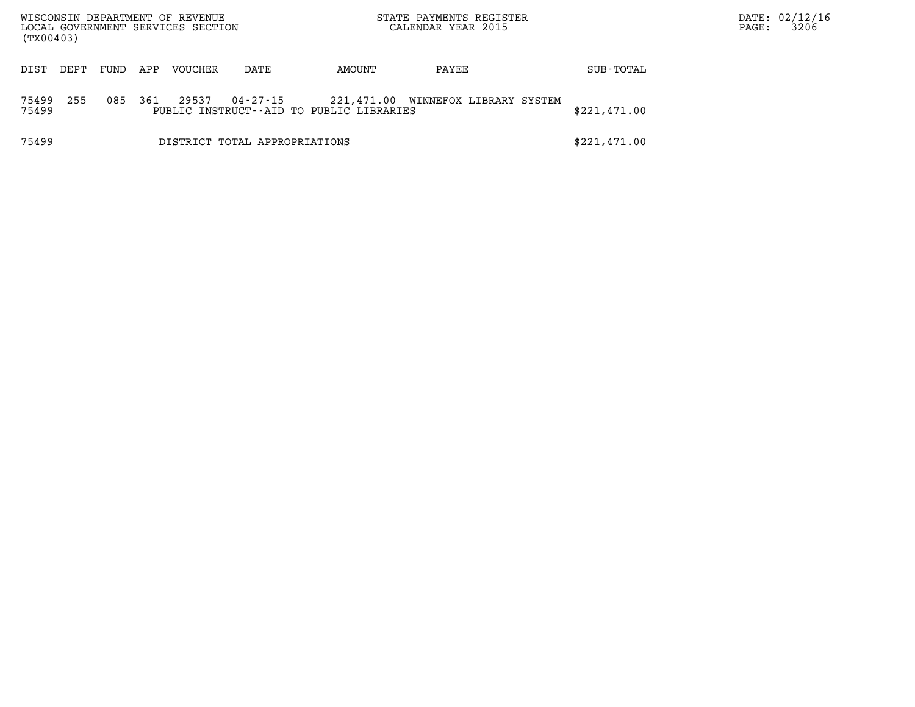| (TX00403)      |      |      |     | WISCONSIN DEPARTMENT OF REVENUE<br>LOCAL GOVERNMENT SERVICES SECTION |                               |                                          | STATE PAYMENTS REGISTER<br>CALENDAR YEAR 2015 |              | PAGE: | DATE: 02/12/16<br>3206 |
|----------------|------|------|-----|----------------------------------------------------------------------|-------------------------------|------------------------------------------|-----------------------------------------------|--------------|-------|------------------------|
| DIST           | DEPT | FUND | APP | VOUCHER                                                              | DATE                          | AMOUNT                                   | PAYEE                                         | SUB-TOTAL    |       |                        |
| 75499<br>75499 | 255  | 085  | 361 | 29537                                                                | 04-27-15                      | PUBLIC INSTRUCT--AID TO PUBLIC LIBRARIES | 221,471.00 WINNEFOX LIBRARY SYSTEM            | \$221,471.00 |       |                        |
| 75499          |      |      |     |                                                                      | DISTRICT TOTAL APPROPRIATIONS |                                          |                                               | \$221,471.00 |       |                        |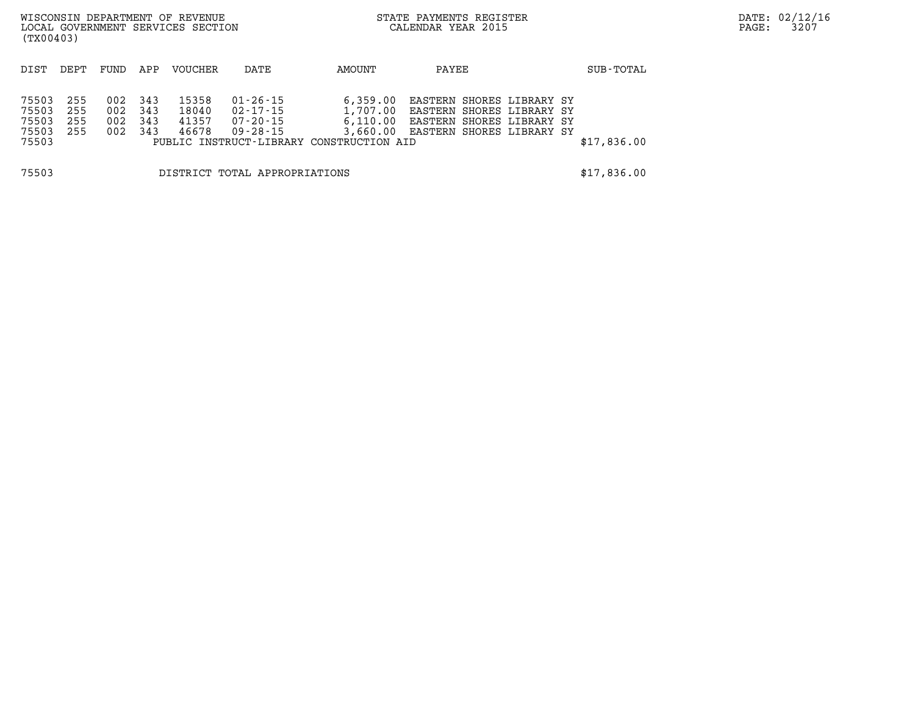| (TX00403)                                 |                          |                          |                          | WISCONSIN DEPARTMENT OF REVENUE<br>LOCAL GOVERNMENT SERVICES SECTION |                                                          |                                                                              | STATE PAYMENTS REGISTER<br>CALENDAR YEAR 2015 |                                                                                                                           |             | DATE: 02/12/16<br>3207<br>PAGE: |
|-------------------------------------------|--------------------------|--------------------------|--------------------------|----------------------------------------------------------------------|----------------------------------------------------------|------------------------------------------------------------------------------|-----------------------------------------------|---------------------------------------------------------------------------------------------------------------------------|-------------|---------------------------------|
| DIST                                      | DEPT                     | FUND                     | APP                      | VOUCHER                                                              | DATE                                                     | AMOUNT                                                                       | PAYEE                                         |                                                                                                                           | SUB-TOTAL   |                                 |
| 75503<br>75503<br>75503<br>75503<br>75503 | 255<br>255<br>255<br>255 | 002<br>002<br>002<br>002 | 343<br>343<br>343<br>343 | 15358<br>18040<br>41357<br>46678                                     | $01 - 26 - 15$<br>$02 - 17 - 15$<br>07-20-15<br>09-28-15 | 6,359.00<br>1,707.00<br>6,110.00<br>PUBLIC INSTRUCT-LIBRARY CONSTRUCTION AID |                                               | EASTERN SHORES LIBRARY SY<br>EASTERN SHORES LIBRARY SY<br>EASTERN SHORES LIBRARY SY<br>3,660.00 EASTERN SHORES LIBRARY SY | \$17,836.00 |                                 |
| 75503                                     |                          |                          |                          |                                                                      | DISTRICT TOTAL APPROPRIATIONS                            |                                                                              |                                               |                                                                                                                           | \$17,836.00 |                                 |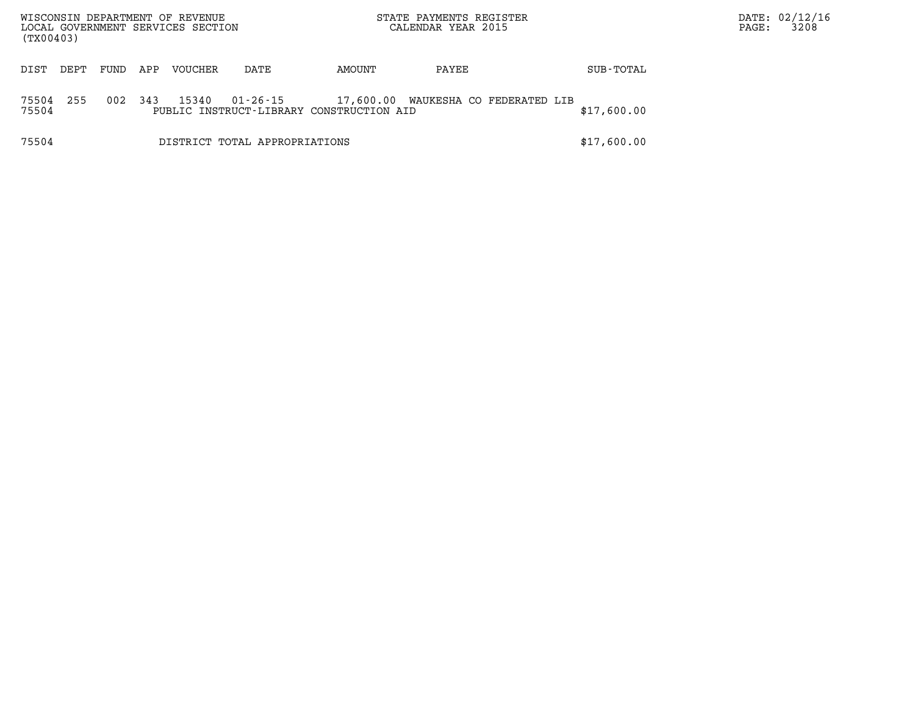| (TX00403)      |      |      |     | WISCONSIN DEPARTMENT OF REVENUE<br>LOCAL GOVERNMENT SERVICES SECTION |                               |                                          | STATE PAYMENTS REGISTER<br>CALENDAR YEAR 2015 |             | DATE: 02/12/16<br>PAGE: | 3208 |
|----------------|------|------|-----|----------------------------------------------------------------------|-------------------------------|------------------------------------------|-----------------------------------------------|-------------|-------------------------|------|
| DIST           | DEPT | FUND | APP | VOUCHER                                                              | DATE                          | AMOUNT                                   | PAYEE                                         | SUB-TOTAL   |                         |      |
| 75504<br>75504 | 255  | 002  | 343 | 15340                                                                | 01-26-15                      | PUBLIC INSTRUCT-LIBRARY CONSTRUCTION AID | 17,600.00 WAUKESHA CO FEDERATED LIB           | \$17,600.00 |                         |      |
| 75504          |      |      |     |                                                                      | DISTRICT TOTAL APPROPRIATIONS |                                          |                                               | \$17,600.00 |                         |      |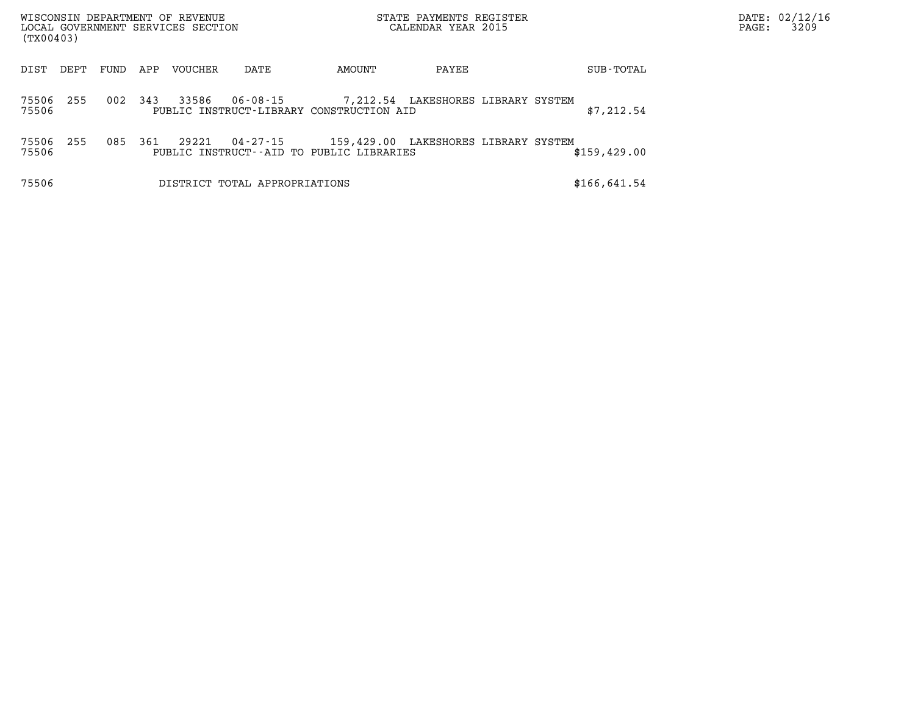| (TX00403)      |      |      |     | WISCONSIN DEPARTMENT OF REVENUE<br>LOCAL GOVERNMENT SERVICES SECTION |                               |                                                                                  | STATE PAYMENTS REGISTER<br>CALENDAR YEAR 2015 |  |               | PAGE: | DATE: 02/12/16<br>3209 |
|----------------|------|------|-----|----------------------------------------------------------------------|-------------------------------|----------------------------------------------------------------------------------|-----------------------------------------------|--|---------------|-------|------------------------|
| DIST           | DEPT | FUND | APP | <b>VOUCHER</b>                                                       | DATE                          | AMOUNT                                                                           | PAYEE                                         |  | SUB-TOTAL     |       |                        |
| 75506<br>75506 | 255  | 002  | 343 | 33586                                                                | $06 - 08 - 15$                | PUBLIC INSTRUCT-LIBRARY CONSTRUCTION AID                                         | 7,212.54 LAKESHORES LIBRARY SYSTEM            |  | \$7,212.54    |       |                        |
| 75506<br>75506 | 255  | 085  | 361 | 29221                                                                | 04-27-15                      | 159,429.00 LAKESHORES LIBRARY SYSTEM<br>PUBLIC INSTRUCT--AID TO PUBLIC LIBRARIES |                                               |  | \$159, 429.00 |       |                        |
| 75506          |      |      |     |                                                                      | DISTRICT TOTAL APPROPRIATIONS |                                                                                  |                                               |  | \$166,641.54  |       |                        |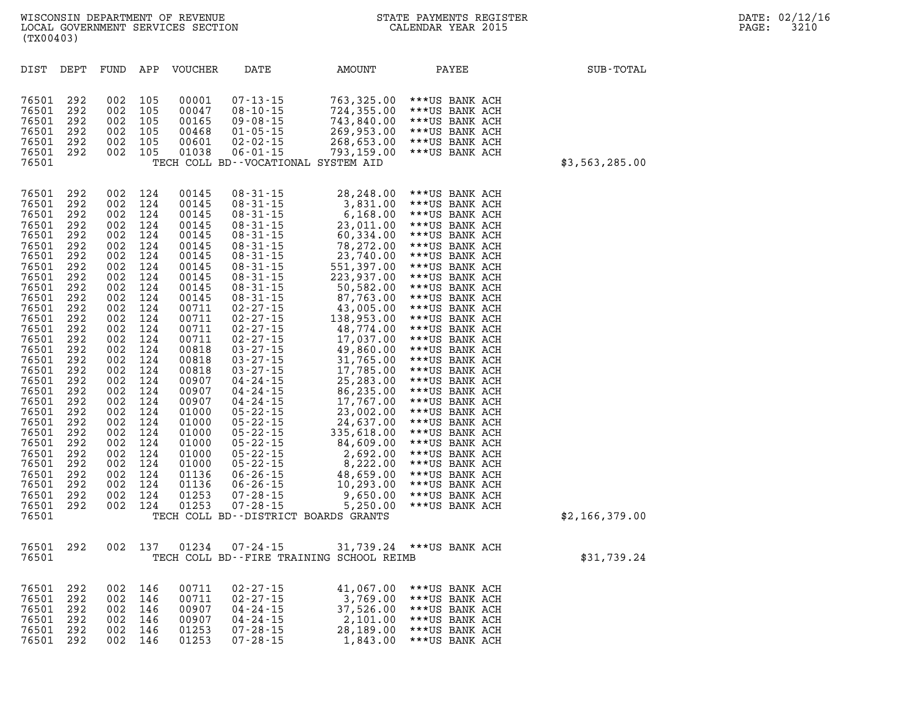|                  |                                                                                                                                                                                                                                                                                                                                                                                                                                                                                                                                                                            |                                                                                                                                                                                                                                                                                                                                                                                                                                                       |                                                                                                                                                                                                                                                                                                                                                                                                                                                                                                                                                                            |                                                                                                                                                                                                                                                                                     |                                                                                                                                                                                                                       |                                                                                                                                                                                                                       |                                                                                                                                                                                                                       | (TX00403)                                                                                                                                                                                                                                                                                    |
|------------------|----------------------------------------------------------------------------------------------------------------------------------------------------------------------------------------------------------------------------------------------------------------------------------------------------------------------------------------------------------------------------------------------------------------------------------------------------------------------------------------------------------------------------------------------------------------------------|-------------------------------------------------------------------------------------------------------------------------------------------------------------------------------------------------------------------------------------------------------------------------------------------------------------------------------------------------------------------------------------------------------------------------------------------------------|----------------------------------------------------------------------------------------------------------------------------------------------------------------------------------------------------------------------------------------------------------------------------------------------------------------------------------------------------------------------------------------------------------------------------------------------------------------------------------------------------------------------------------------------------------------------------|-------------------------------------------------------------------------------------------------------------------------------------------------------------------------------------------------------------------------------------------------------------------------------------|-----------------------------------------------------------------------------------------------------------------------------------------------------------------------------------------------------------------------|-----------------------------------------------------------------------------------------------------------------------------------------------------------------------------------------------------------------------|-----------------------------------------------------------------------------------------------------------------------------------------------------------------------------------------------------------------------|----------------------------------------------------------------------------------------------------------------------------------------------------------------------------------------------------------------------------------------------------------------------------------------------|
| <b>SUB-TOTAL</b> | PAYEE                                                                                                                                                                                                                                                                                                                                                                                                                                                                                                                                                                      | AMOUNT                                                                                                                                                                                                                                                                                                                                                                                                                                                | DATE                                                                                                                                                                                                                                                                                                                                                                                                                                                                                                                                                                       | <b>VOUCHER</b>                                                                                                                                                                                                                                                                      | APP                                                                                                                                                                                                                   | FUND                                                                                                                                                                                                                  | DEPT                                                                                                                                                                                                                  | DIST                                                                                                                                                                                                                                                                                         |
| \$3,563,285.00   | ***US BANK ACH<br>***US BANK ACH<br>***US BANK ACH<br>***US BANK ACH<br>***US BANK ACH<br>***US BANK ACH                                                                                                                                                                                                                                                                                                                                                                                                                                                                   | 763,325.00<br>724,355.00<br>743,840.00<br>269,953.00<br>268,653.00<br>793,159.00                                                                                                                                                                                                                                                                                                                                                                      | $07 - 13 - 15$<br>$08 - 10 - 15$<br>$09 - 08 - 15$<br>$01 - 05 - 15$<br>$02 - 02 - 15$<br>$06 - 01 - 15$<br>TECH COLL BD--VOCATIONAL SYSTEM AID                                                                                                                                                                                                                                                                                                                                                                                                                            | 00001<br>00047<br>00165<br>00468<br>00601<br>01038                                                                                                                                                                                                                                  | 105<br>105<br>105<br>105<br>105<br>105                                                                                                                                                                                | 002<br>002<br>002<br>002<br>002<br>002                                                                                                                                                                                | 292<br>292<br>292<br>292<br>292<br>292                                                                                                                                                                                | 76501<br>76501<br>76501<br>76501<br>76501<br>76501<br>76501                                                                                                                                                                                                                                  |
| \$2,166,379.00   | ***US BANK ACH<br>***US BANK ACH<br>***US BANK ACH<br>***US BANK ACH<br>***US BANK ACH<br>***US BANK ACH<br>***US BANK ACH<br>***US BANK ACH<br>***US BANK ACH<br>***US BANK ACH<br>***US BANK ACH<br>***US BANK ACH<br>***US BANK ACH<br>***US BANK ACH<br>***US BANK ACH<br>***US BANK ACH<br>***US BANK ACH<br>***US BANK ACH<br>***US BANK ACH<br>***US BANK ACH<br>***US BANK ACH<br>***US BANK ACH<br>***US BANK ACH<br>***US BANK ACH<br>***US BANK ACH<br>***US BANK ACH<br>***US BANK ACH<br>***US BANK ACH<br>***US BANK ACH<br>***US BANK ACH<br>***US BANK ACH | 28,248.00<br>3,831.00<br>6,168.00<br>23,011.00<br>60,334.00<br>78,272.00<br>23,740.00<br>551,397.00<br>223,937.00<br>50,582.00<br>87,763.00<br>43,005.00<br>138,953.00<br>48,774.00<br>17,037.00<br>49,860.00<br>31,765.00<br>17,785.00<br>25,283.00<br>86,235.00<br>17,767.00<br>23,002.00<br>24,637.00<br>335,618.00<br>84,609.00<br>2,692.00<br>8,222.00<br>48,659.00<br>10,293.00<br>9,650.00<br>5,250.00<br>TECH COLL BD--DISTRICT BOARDS GRANTS | $08 - 31 - 15$<br>$08 - 31 - 15$<br>$08 - 31 - 15$<br>$08 - 31 - 15$<br>$08 - 31 - 15$<br>$08 - 31 - 15$<br>$08 - 31 - 15$<br>$08 - 31 - 15$<br>$08 - 31 - 15$<br>$08 - 31 - 15$<br>$08 - 31 - 15$<br>$02 - 27 - 15$<br>$02 - 27 - 15$<br>$02 - 27 - 15$<br>$02 - 27 - 15$<br>$03 - 27 - 15$<br>$03 - 27 - 15$<br>$03 - 27 - 15$<br>$04 - 24 - 15$<br>$04 - 24 - 15$<br>$04 - 24 - 15$<br>$05 - 22 - 15$<br>$05 - 22 - 15$<br>$05 - 22 - 15$<br>$05 - 22 - 15$<br>$05 - 22 - 15$<br>$05 - 22 - 15$<br>$06 - 26 - 15$<br>$06 - 26 - 15$<br>$07 - 28 - 15$<br>$07 - 28 - 15$ | 00145<br>00145<br>00145<br>00145<br>00145<br>00145<br>00145<br>00145<br>00145<br>00145<br>00145<br>00711<br>00711<br>00711<br>00711<br>00818<br>00818<br>00818<br>00907<br>00907<br>00907<br>01000<br>01000<br>01000<br>01000<br>01000<br>01000<br>01136<br>01136<br>01253<br>01253 | 124<br>124<br>124<br>124<br>124<br>124<br>124<br>124<br>124<br>124<br>124<br>124<br>124<br>124<br>124<br>124<br>124<br>124<br>124<br>124<br>124<br>124<br>124<br>124<br>124<br>124<br>124<br>124<br>124<br>124<br>124 | 002<br>002<br>002<br>002<br>002<br>002<br>002<br>002<br>002<br>002<br>002<br>002<br>002<br>002<br>002<br>002<br>002<br>002<br>002<br>002<br>002<br>002<br>002<br>002<br>002<br>002<br>002<br>002<br>002<br>002<br>002 | 292<br>292<br>292<br>292<br>292<br>292<br>292<br>292<br>292<br>292<br>292<br>292<br>292<br>292<br>292<br>292<br>292<br>292<br>292<br>292<br>292<br>292<br>292<br>292<br>292<br>292<br>292<br>292<br>292<br>292<br>292 | 76501<br>76501<br>76501<br>76501<br>76501<br>76501<br>76501<br>76501<br>76501<br>76501<br>76501<br>76501<br>76501<br>76501<br>76501<br>76501<br>76501<br>76501<br>76501<br>76501<br>76501<br>76501<br>76501<br>76501<br>76501<br>76501<br>76501<br>76501<br>76501<br>76501<br>76501<br>76501 |
| \$31,739.24      | ***US BANK ACH                                                                                                                                                                                                                                                                                                                                                                                                                                                                                                                                                             | 31,739.24<br>TECH COLL BD--FIRE TRAINING SCHOOL REIMB                                                                                                                                                                                                                                                                                                                                                                                                 | 07-24-15                                                                                                                                                                                                                                                                                                                                                                                                                                                                                                                                                                   | 01234                                                                                                                                                                                                                                                                               | 137                                                                                                                                                                                                                   | 002                                                                                                                                                                                                                   | 292                                                                                                                                                                                                                   | 76501<br>76501                                                                                                                                                                                                                                                                               |
|                  | ***US BANK ACH<br>***US BANK ACH<br>***US BANK ACH<br>***US BANK ACH<br>***US BANK ACH<br>***US BANK ACH                                                                                                                                                                                                                                                                                                                                                                                                                                                                   | 41,067.00<br>3,769.00<br>37,526.00<br>2,101.00<br>28,189.00<br>1,843.00                                                                                                                                                                                                                                                                                                                                                                               | $02 - 27 - 15$<br>$02 - 27 - 15$<br>$04 - 24 - 15$<br>$04 - 24 - 15$<br>$07 - 28 - 15$<br>$07 - 28 - 15$                                                                                                                                                                                                                                                                                                                                                                                                                                                                   | 00711<br>00711<br>00907<br>00907<br>01253<br>01253                                                                                                                                                                                                                                  | 146<br>146<br>146<br>146<br>146<br>146                                                                                                                                                                                | 002<br>002<br>002<br>002<br>002<br>002                                                                                                                                                                                | 292<br>292<br>292<br>292<br>292<br>292                                                                                                                                                                                | 76501<br>76501<br>76501<br>76501<br>76501<br>76501                                                                                                                                                                                                                                           |

LOCAL GOVERNMENT SERVICES SECTION

**WISCONSIN DEPARTMENT OF REVENUE STATE PAYMENTS REGISTER DATE: 02/12/16**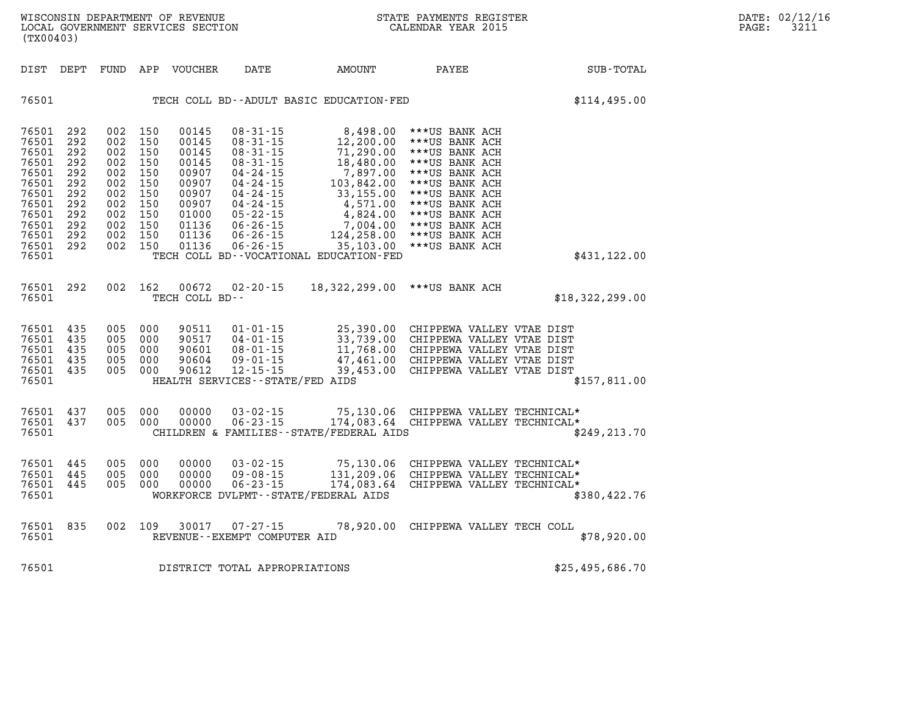|      | (TX00403)                                                                                                                                                                                             |                                                                                  |                                                                                  |                                                                                                          |                                                                                                                                                                                                                      |                                                                                                                                                                                                 |                                                                                                                                                                                                                      |                 |
|------|-------------------------------------------------------------------------------------------------------------------------------------------------------------------------------------------------------|----------------------------------------------------------------------------------|----------------------------------------------------------------------------------|----------------------------------------------------------------------------------------------------------|----------------------------------------------------------------------------------------------------------------------------------------------------------------------------------------------------------------------|-------------------------------------------------------------------------------------------------------------------------------------------------------------------------------------------------|----------------------------------------------------------------------------------------------------------------------------------------------------------------------------------------------------------------------|-----------------|
| DIST | DEPT                                                                                                                                                                                                  | FUND                                                                             | APP                                                                              | VOUCHER                                                                                                  | DATE                                                                                                                                                                                                                 | AMOUNT                                                                                                                                                                                          | <b>PAYEE</b>                                                                                                                                                                                                         | SUB-TOTAL       |
|      | 76501                                                                                                                                                                                                 |                                                                                  |                                                                                  |                                                                                                          |                                                                                                                                                                                                                      | TECH COLL BD--ADULT BASIC EDUCATION-FED                                                                                                                                                         |                                                                                                                                                                                                                      | \$114,495.00    |
|      | 76501<br>292<br>76501<br>292<br>76501<br>292<br>76501<br>292<br>76501<br>292<br>76501<br>292<br>76501<br>292<br>76501<br>292<br>76501<br>292<br>76501<br>292<br>76501<br>292<br>76501<br>292<br>76501 | 002<br>002<br>002<br>002<br>002<br>002<br>002<br>002<br>002<br>002<br>002<br>002 | 150<br>150<br>150<br>150<br>150<br>150<br>150<br>150<br>150<br>150<br>150<br>150 | 00145<br>00145<br>00145<br>00145<br>00907<br>00907<br>00907<br>00907<br>01000<br>01136<br>01136<br>01136 | $08 - 31 - 15$<br>$08 - 31 - 15$<br>$08 - 31 - 15$<br>$08 - 31 - 15$<br>$04 - 24 - 15$<br>$04 - 24 - 15$<br>$04 - 24 - 15$<br>$04 - 24 - 15$<br>$05 - 22 - 15$<br>$06 - 26 - 15$<br>$06 - 26 - 15$<br>$06 - 26 - 15$ | 8,498.00<br>12,200.00<br>71,290.00<br>18,480.00<br>7,897.00<br>103,842.00<br>33,155.00<br>4,571.00<br>4,824.00<br>7,004.00<br>124,258.00<br>35,103.00<br>TECH COLL BD--VOCATIONAL EDUCATION-FED | ***US BANK ACH<br>***US BANK ACH<br>***US BANK ACH<br>***US BANK ACH<br>***US BANK ACH<br>***US BANK ACH<br>***US BANK ACH<br>***US BANK ACH<br>***US BANK ACH<br>***US BANK ACH<br>***US BANK ACH<br>***US BANK ACH | \$431, 122.00   |
|      | 292<br>76501<br>76501                                                                                                                                                                                 | 002                                                                              | 162                                                                              | 00672<br>TECH COLL BD--                                                                                  | $02 - 20 - 15$                                                                                                                                                                                                       | 18,322,299.00                                                                                                                                                                                   | ***US BANK ACH                                                                                                                                                                                                       | \$18,322,299.00 |
|      | 76501<br>435<br>76501<br>435<br>76501<br>435<br>76501<br>435<br>76501<br>435<br>76501                                                                                                                 | 005<br>005<br>005<br>005<br>005                                                  | 000<br>000<br>000<br>000<br>000                                                  | 90511<br>90517<br>90601<br>90604<br>90612                                                                | $01 - 01 - 15$<br>$04 - 01 - 15$<br>$08 - 01 - 15$<br>$09 - 01 - 15$<br>$12 - 15 - 15$<br>HEALTH SERVICES--STATE/FED AIDS                                                                                            | 25,390.00<br>33,739.00<br>11,768.00<br>47,461.00<br>39,453.00                                                                                                                                   | CHIPPEWA VALLEY VTAE DIST<br>CHIPPEWA VALLEY VTAE DIST<br>CHIPPEWA VALLEY VTAE DIST<br>CHIPPEWA VALLEY VTAE DIST<br>CHIPPEWA VALLEY VTAE DIST                                                                        | \$157,811.00    |
|      | 76501<br>437<br>76501<br>437<br>76501                                                                                                                                                                 | 005<br>005                                                                       | 000<br>000                                                                       | 00000<br>00000                                                                                           | $03 - 02 - 15$<br>$06 - 23 - 15$                                                                                                                                                                                     | 75,130.06<br>174,083.64<br>CHILDREN & FAMILIES - - STATE/FEDERAL AIDS                                                                                                                           | CHIPPEWA VALLEY TECHNICAL*<br>CHIPPEWA VALLEY TECHNICAL*                                                                                                                                                             | \$249, 213.70   |
|      | 76501<br>445<br>76501<br>445<br>76501<br>445<br>76501                                                                                                                                                 | 005<br>005<br>005                                                                | 000<br>000<br>000                                                                | 00000<br>00000<br>00000                                                                                  | $03 - 02 - 15$<br>$09 - 08 - 15$<br>$06 - 23 - 15$                                                                                                                                                                   | 75,130.06<br>131,209.06<br>174,083.64<br>WORKFORCE DVLPMT--STATE/FEDERAL AIDS                                                                                                                   | CHIPPEWA VALLEY TECHNICAL*<br>CHIPPEWA VALLEY TECHNICAL*<br>CHIPPEWA VALLEY TECHNICAL*                                                                                                                               | \$380,422.76    |
|      | 835<br>76501<br>76501                                                                                                                                                                                 | 002                                                                              | 109                                                                              | 30017                                                                                                    | $07 - 27 - 15$<br>REVENUE--EXEMPT COMPUTER AID                                                                                                                                                                       | 78,920.00                                                                                                                                                                                       | CHIPPEWA VALLEY TECH COLL                                                                                                                                                                                            | \$78,920.00     |
|      | 76501                                                                                                                                                                                                 |                                                                                  |                                                                                  |                                                                                                          | DISTRICT TOTAL APPROPRIATIONS                                                                                                                                                                                        |                                                                                                                                                                                                 |                                                                                                                                                                                                                      | \$25,495,686.70 |

LOCAL GOVERNMENT SERVICES SECTION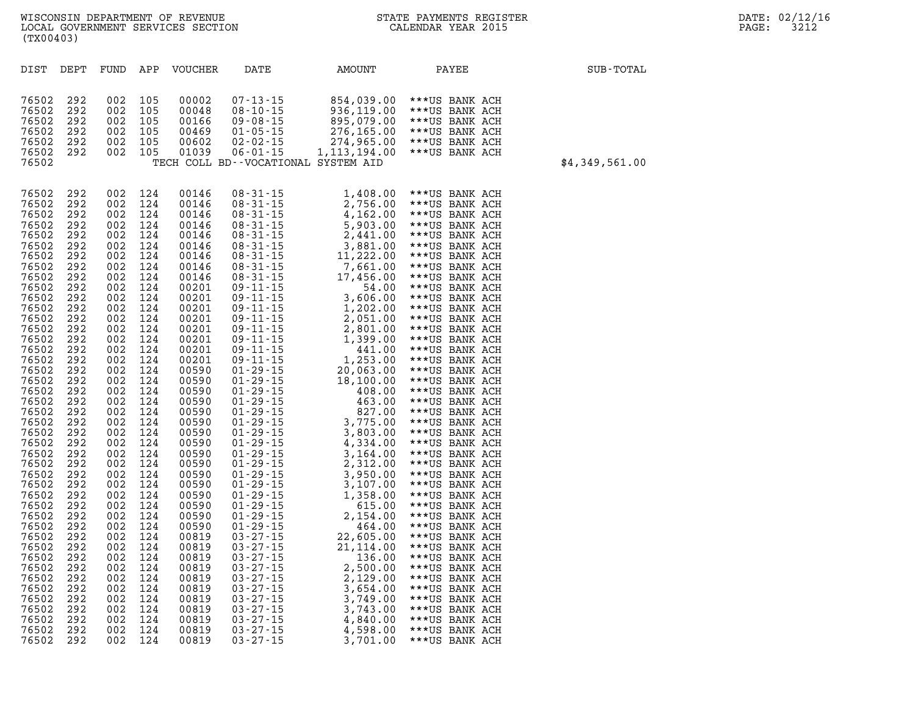| DIST           | DEPT       | FUND       | APP        | <b>VOUCHER</b> | DATE                                | AMOUNT               | PAYEE                            | SUB-TOTAL      |
|----------------|------------|------------|------------|----------------|-------------------------------------|----------------------|----------------------------------|----------------|
|                |            |            |            |                |                                     |                      |                                  |                |
|                |            |            |            |                |                                     |                      |                                  |                |
| 76502          | 292        | 002        | 105        | 00002          | $07 - 13 - 15$                      | 854,039.00           | ***US BANK ACH                   |                |
| 76502          | 292        | 002        | 105        | 00048          | $08 - 10 - 15$                      | 936,119.00           | ***US BANK ACH                   |                |
| 76502          | 292        | 002        | 105        | 00166          | $09 - 08 - 15$                      | 895,079.00           | ***US BANK ACH                   |                |
| 76502          | 292        | 002        | 105        | 00469          | $01 - 05 - 15$                      | 276,165.00           | ***US BANK ACH                   |                |
| 76502          | 292        | 002        | 105        | 00602          | $02 - 02 - 15$                      | 274,965.00           | ***US BANK ACH                   |                |
| 76502          | 292        | 002        | 105        | 01039          | $06 - 01 - 15$                      | 1, 113, 194.00       | ***US BANK ACH                   |                |
| 76502          |            |            |            |                | TECH COLL BD--VOCATIONAL SYSTEM AID |                      |                                  | \$4,349,561.00 |
|                |            |            |            |                |                                     |                      |                                  |                |
| 76502          | 292        | 002        | 124        | 00146          | $08 - 31 - 15$                      | 1,408.00             | ***US BANK ACH                   |                |
| 76502          | 292        | 002        | 124        | 00146          | $08 - 31 - 15$                      | 2,756.00             | ***US BANK ACH                   |                |
| 76502          | 292        | 002        | 124        | 00146          | $08 - 31 - 15$                      | 4,162.00             | ***US BANK ACH                   |                |
| 76502          | 292        | 002        | 124        | 00146          | $08 - 31 - 15$                      | 5,903.00             | ***US BANK ACH                   |                |
| 76502          | 292        | 002        | 124        | 00146          | $08 - 31 - 15$                      | 2,441.00             | ***US BANK ACH                   |                |
| 76502          | 292        | 002        | 124        | 00146          | $08 - 31 - 15$                      | 3,881.00             | ***US BANK ACH                   |                |
| 76502          | 292        | 002        | 124        | 00146          | $08 - 31 - 15$                      | 11,222.00            | ***US BANK ACH                   |                |
| 76502          | 292        | 002        | 124        | 00146          | $08 - 31 - 15$                      | 7,661.00             | ***US BANK ACH                   |                |
| 76502          | 292        | 002        | 124        | 00146          | $08 - 31 - 15$                      | 17,456.00            | ***US BANK ACH                   |                |
| 76502          | 292        | 002        | 124        | 00201          | $09 - 11 - 15$                      | 54.00                | ***US BANK ACH                   |                |
| 76502          | 292        | 002        | 124        | 00201          | $09 - 11 - 15$                      | 3,606.00             | ***US BANK ACH                   |                |
| 76502          | 292        | 002        | 124        | 00201          | $09 - 11 - 15$                      | 1,202.00             | ***US BANK ACH                   |                |
| 76502          | 292        | 002        | 124        | 00201          | $09 - 11 - 15$                      | 2,051.00             | ***US BANK ACH                   |                |
| 76502          | 292        | 002        | 124        | 00201          | $09 - 11 - 15$                      | 2,801.00             | ***US BANK ACH                   |                |
| 76502          | 292        | 002        | 124        | 00201          | $09 - 11 - 15$                      | 1,399.00             | ***US BANK ACH                   |                |
| 76502          | 292        | 002        | 124        | 00201          | $09 - 11 - 15$                      | 441.00               | ***US BANK ACH                   |                |
| 76502          | 292        | 002        | 124        | 00201          | $09 - 11 - 15$                      | 1,253.00             | ***US BANK ACH                   |                |
| 76502          | 292        | 002        | 124        | 00590          | $01 - 29 - 15$                      | 20,063.00            | ***US BANK ACH                   |                |
| 76502          | 292        | 002        | 124        | 00590          | $01 - 29 - 15$                      | 18,100.00            | ***US BANK ACH                   |                |
| 76502          | 292        | 002        | 124        | 00590          | $01 - 29 - 15$                      | 408.00               | ***US BANK ACH                   |                |
| 76502          | 292        | 002        | 124        | 00590          | $01 - 29 - 15$                      | 463.00               | ***US BANK ACH                   |                |
| 76502          | 292        | 002        | 124        | 00590          | $01 - 29 - 15$                      | 827.00               | ***US BANK ACH                   |                |
| 76502          | 292        | 002        | 124        | 00590          | $01 - 29 - 15$                      | 3,775.00             | ***US BANK ACH                   |                |
| 76502          | 292        | 002        | 124        | 00590          | $01 - 29 - 15$                      | 3,803.00             | ***US BANK ACH                   |                |
| 76502          | 292        | 002        | 124        | 00590          | $01 - 29 - 15$                      | 4,334.00             | ***US BANK ACH                   |                |
| 76502          | 292        | 002        | 124        | 00590          | $01 - 29 - 15$                      | 3,164.00             | ***US BANK ACH                   |                |
| 76502<br>76502 | 292        | 002<br>002 | 124        | 00590          | $01 - 29 - 15$<br>$01 - 29 - 15$    | 2,312.00             | ***US BANK ACH                   |                |
| 76502          | 292<br>292 | 002        | 124<br>124 | 00590<br>00590 | $01 - 29 - 15$                      | 3,950.00<br>3,107.00 | ***US BANK ACH<br>***US BANK ACH |                |
| 76502          | 292        | 002        | 124        | 00590          | $01 - 29 - 15$                      | 1,358.00             | ***US BANK ACH                   |                |
| 76502          | 292        | 002        | 124        | 00590          | $01 - 29 - 15$                      | 615.00               | ***US BANK ACH                   |                |
| 76502          | 292        | 002        | 124        | 00590          | $01 - 29 - 15$                      | 2,154.00             | ***US BANK ACH                   |                |
| 76502          | 292        | 002        | 124        | 00590          | $01 - 29 - 15$                      | 464.00               | ***US BANK ACH                   |                |
| 76502          | 292        | 002        | 124        | 00819          | $03 - 27 - 15$                      | 22,605.00            | ***US BANK ACH                   |                |
| 76502          | 292        | 002        | 124        | 00819          | $03 - 27 - 15$                      | 21,114.00            | ***US BANK ACH                   |                |
| 76502          | 292        | 002        | 124        | 00819          | $03 - 27 - 15$                      | 136.00               | ***US BANK ACH                   |                |
| 76502          | 292        | 002        | 124        | 00819          | $03 - 27 - 15$                      | 2,500.00             | ***US BANK ACH                   |                |
| 76502          | 292        | 002        | 124        | 00819          | $03 - 27 - 15$                      | 2,129.00             | ***US BANK ACH                   |                |
| 76502          | 292        | 002        | 124        | 00819          | $03 - 27 - 15$                      | 3,654.00             | ***US BANK ACH                   |                |
| 76502          | 292        | 002        | 124        | 00819          | $03 - 27 - 15$                      | 3,749.00             | ***US BANK ACH                   |                |
| 76502          | 292        | 002        | 124        | 00819          | $03 - 27 - 15$                      | 3,743.00             | ***US BANK ACH                   |                |
| 76502          | 292        | 002        | 124        | 00819          | $03 - 27 - 15$                      | 4,840.00             | ***US BANK ACH                   |                |
| 76502          | 292        | 002        | 124        | 00819          | $03 - 27 - 15$                      | 4,598.00             | ***US BANK ACH                   |                |
| 76502          | 292        | 002        | 124        | 00819          | $03 - 27 - 15$                      | 3,701.00             | ***US BANK ACH                   |                |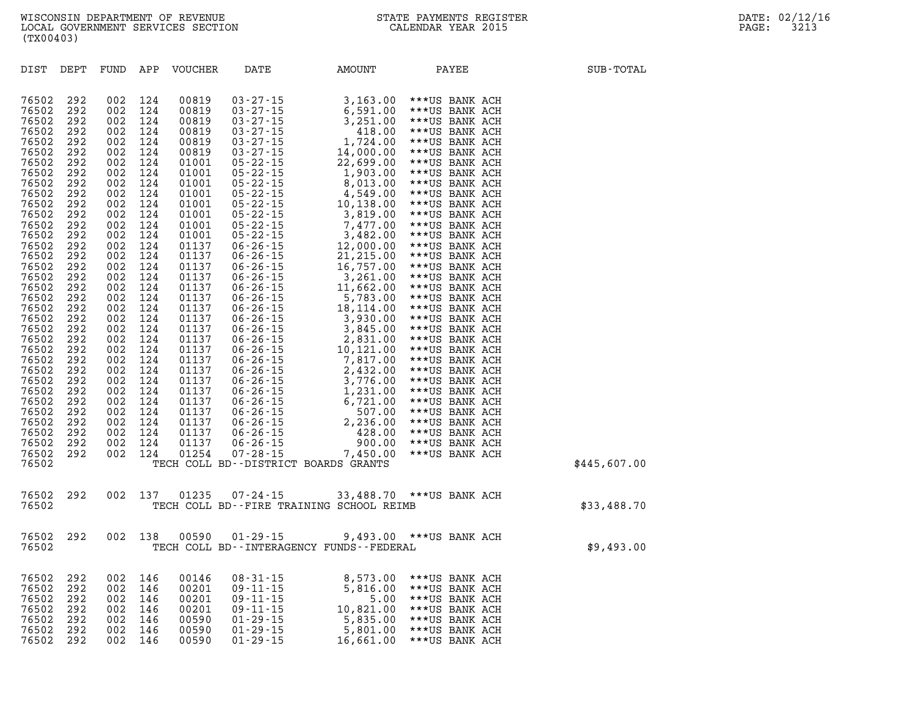| DIST           | DEPT       | FUND       | APP        | <b>VOUCHER</b> | DATE                                                           | AMOUNT                                                                                                                                                                                                                                                                    | PAYEE                            | SUB-TOTAL    |
|----------------|------------|------------|------------|----------------|----------------------------------------------------------------|---------------------------------------------------------------------------------------------------------------------------------------------------------------------------------------------------------------------------------------------------------------------------|----------------------------------|--------------|
|                |            |            |            |                |                                                                |                                                                                                                                                                                                                                                                           |                                  |              |
| 76502          | 292        | 002        | 124        | 00819          | $03 - 27 - 15$<br>03 - 27 - 15<br>03 - 27 - 15<br>23 - 27 - 15 | 3,163.00                                                                                                                                                                                                                                                                  | ***US BANK ACH                   |              |
| 76502          | 292        | 002        | 124        | 00819          |                                                                | 6,591.00                                                                                                                                                                                                                                                                  | ***US BANK ACH                   |              |
| 76502          | 292        | 002        | 124        | 00819          |                                                                | 3,251.00                                                                                                                                                                                                                                                                  | ***US BANK ACH                   |              |
| 76502<br>76502 | 292<br>292 | 002<br>002 | 124<br>124 | 00819<br>00819 |                                                                | 418.00<br>1,724.00                                                                                                                                                                                                                                                        | ***US BANK ACH<br>***US BANK ACH |              |
| 76502          | 292        | 002        | 124        | 00819          | $03 - 27 - 15$<br>03 - 27 - 15<br>03 - 27 - 15                 | 14,000.00                                                                                                                                                                                                                                                                 | ***US BANK ACH                   |              |
| 76502          | 292        | 002        | 124        | 01001          |                                                                | $\begin{array}{cccc} 03-27-15 & 1,724.000 \\ 03-27-15 & 14,000.00 \\ 05-22-15 & 2,699.00 \\ 05-22-15 & 1,903.00 \\ 05-22-15 & 4,549.00 \\ 05-22-15 & 3,819.00 \\ 05-22-15 & 3,819.00 \\ 05-22-15 & 3,482.00 \\ 05-22-15 & 3,482.00 \\ 06-26-15 & 12,000.00 \\ 06-26-15 &$ | ***US BANK ACH                   |              |
| 76502          | 292        | 002        | 124        | 01001          |                                                                |                                                                                                                                                                                                                                                                           | ***US BANK ACH                   |              |
| 76502          | 292        | 002        | 124        | 01001          |                                                                |                                                                                                                                                                                                                                                                           | ***US BANK ACH                   |              |
| 76502          | 292        | 002        | 124        | 01001          |                                                                |                                                                                                                                                                                                                                                                           | ***US BANK ACH                   |              |
| 76502          | 292        | 002        | 124        | 01001          |                                                                |                                                                                                                                                                                                                                                                           | ***US BANK ACH                   |              |
| 76502          | 292        | 002        | 124        | 01001          |                                                                |                                                                                                                                                                                                                                                                           | ***US BANK ACH                   |              |
| 76502          | 292        | 002        | 124        | 01001          |                                                                |                                                                                                                                                                                                                                                                           | ***US BANK ACH                   |              |
| 76502          | 292        | 002        | 124        | 01001          |                                                                |                                                                                                                                                                                                                                                                           | ***US BANK ACH                   |              |
| 76502          | 292        | 002        | 124        | 01137          |                                                                |                                                                                                                                                                                                                                                                           | ***US BANK ACH                   |              |
| 76502<br>76502 | 292<br>292 | 002<br>002 | 124<br>124 | 01137<br>01137 |                                                                |                                                                                                                                                                                                                                                                           | ***US BANK ACH                   |              |
| 76502          | 292        | 002        | 124        | 01137          |                                                                |                                                                                                                                                                                                                                                                           | ***US BANK ACH<br>***US BANK ACH |              |
| 76502          | 292        | 002        | 124        | 01137          |                                                                |                                                                                                                                                                                                                                                                           | ***US BANK ACH                   |              |
| 76502          | 292        | 002        | 124        | 01137          |                                                                |                                                                                                                                                                                                                                                                           | ***US BANK ACH                   |              |
| 76502          | 292        | 002        | 124        | 01137          |                                                                |                                                                                                                                                                                                                                                                           | ***US BANK ACH                   |              |
| 76502          | 292        | 002        | 124        | 01137          |                                                                |                                                                                                                                                                                                                                                                           | ***US BANK ACH                   |              |
| 76502          | 292        | 002        | 124        | 01137          |                                                                |                                                                                                                                                                                                                                                                           | ***US BANK ACH                   |              |
| 76502          | 292        | 002        | 124        | 01137          |                                                                |                                                                                                                                                                                                                                                                           | ***US BANK ACH                   |              |
| 76502          | 292        | 002        | 124        | 01137          |                                                                |                                                                                                                                                                                                                                                                           | ***US BANK ACH                   |              |
| 76502          | 292        | 002        | 124        | 01137          |                                                                |                                                                                                                                                                                                                                                                           | ***US BANK ACH                   |              |
| 76502          | 292        | 002        | 124        | 01137          |                                                                |                                                                                                                                                                                                                                                                           | ***US BANK ACH                   |              |
| 76502          | 292        | 002        | 124        | 01137          |                                                                |                                                                                                                                                                                                                                                                           | ***US BANK ACH                   |              |
| 76502          | 292        | 002        | 124        | 01137          |                                                                |                                                                                                                                                                                                                                                                           | ***US BANK ACH                   |              |
| 76502<br>76502 | 292<br>292 | 002<br>002 | 124<br>124 | 01137<br>01137 |                                                                |                                                                                                                                                                                                                                                                           | ***US BANK ACH<br>***US BANK ACH |              |
| 76502          | 292        | 002        | 124        | 01137          |                                                                |                                                                                                                                                                                                                                                                           | ***US BANK ACH                   |              |
| 76502          | 292        | 002        | 124        | 01137          |                                                                |                                                                                                                                                                                                                                                                           | ***US BANK ACH                   |              |
| 76502          | 292        | 002        | 124        | 01137          |                                                                |                                                                                                                                                                                                                                                                           | ***US BANK ACH                   |              |
| 76502          | 292        | 002        | 124        | 01254          |                                                                |                                                                                                                                                                                                                                                                           | ***US BANK ACH                   |              |
| 76502          |            |            |            |                |                                                                | TECH COLL BD--DISTRICT BOARDS GRANTS                                                                                                                                                                                                                                      |                                  | \$445,607.00 |
|                |            |            |            |                |                                                                |                                                                                                                                                                                                                                                                           |                                  |              |
| 76502          | 292        | 002        | 137        | 01235          | $07 - 24 - 15$                                                 |                                                                                                                                                                                                                                                                           | 33,488.70 *** US BANK ACH        |              |
| 76502          |            |            |            |                |                                                                | TECH COLL BD--FIRE TRAINING SCHOOL REIMB                                                                                                                                                                                                                                  |                                  | \$33,488.70  |
|                |            |            |            |                |                                                                |                                                                                                                                                                                                                                                                           |                                  |              |
|                |            |            |            |                |                                                                |                                                                                                                                                                                                                                                                           |                                  |              |
| 76502<br>76502 | 292        | 002        | 138        | 00590          | $01 - 29 - 15$                                                 | TECH COLL BD--INTERAGENCY FUNDS--FEDERAL                                                                                                                                                                                                                                  | 9,493.00 *** US BANK ACH         | \$9,493.00   |
|                |            |            |            |                |                                                                |                                                                                                                                                                                                                                                                           |                                  |              |
|                |            |            |            |                |                                                                |                                                                                                                                                                                                                                                                           |                                  |              |
| 76502          | 292        | 002<br>002 | 146        | 00146          | $08 - 31 - 15$                                                 | 8,573.00                                                                                                                                                                                                                                                                  | ***US BANK ACH                   |              |
| 76502<br>76502 | 292<br>292 | 002        | 146<br>146 | 00201<br>00201 | $09 - 11 - 15$<br>$09 - 11 - 15$                               | 5,816.00<br>5.00                                                                                                                                                                                                                                                          | ***US BANK ACH<br>***US BANK ACH |              |
| 76502          | 292        | 002        | 146        | 00201          | $09 - 11 - 15$                                                 | 10,821.00                                                                                                                                                                                                                                                                 | ***US BANK ACH                   |              |
| 76502          | 292        | 002        | 146        | 00590          | $01 - 29 - 15$                                                 | 5,835.00                                                                                                                                                                                                                                                                  | ***US BANK ACH                   |              |
| 76502          | 292        | 002        | 146        | 00590          | $01 - 29 - 15$                                                 | 5,801.00                                                                                                                                                                                                                                                                  | ***US BANK ACH                   |              |

**76502 292 002 146 00590 01-29-15 16,661.00 \*\*\*US BANK ACH**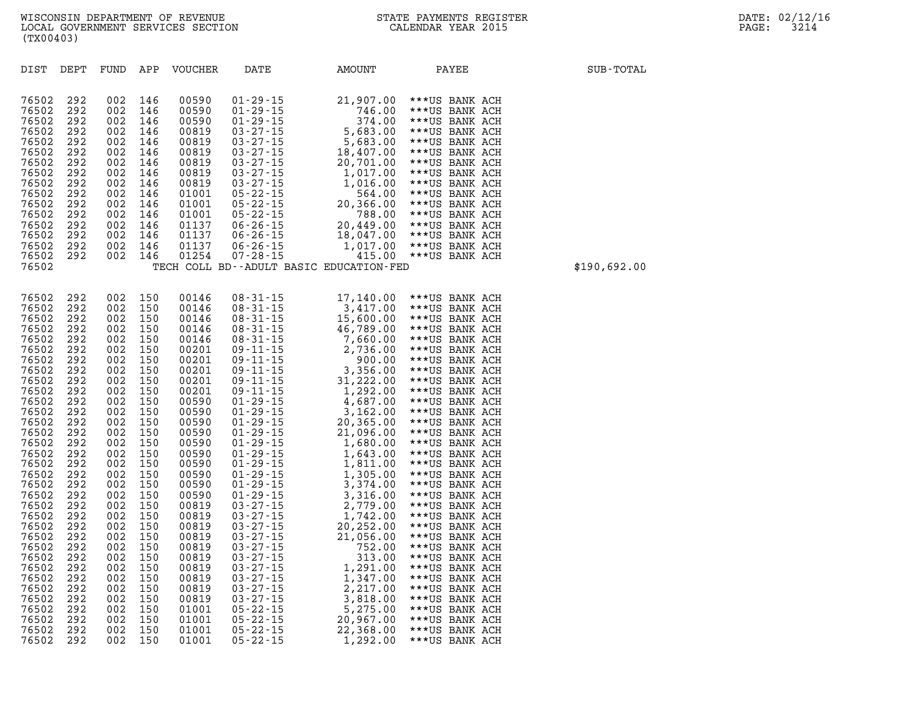| DIST           | DEPT       | FUND       | APP        | <b>VOUCHER</b> | DATE                                                                                                                                                                                                                                                                                                                                           | AMOUNT                                                                                                                                                                                                                                                                     | PAYEE                            | SUB-TOTAL    |
|----------------|------------|------------|------------|----------------|------------------------------------------------------------------------------------------------------------------------------------------------------------------------------------------------------------------------------------------------------------------------------------------------------------------------------------------------|----------------------------------------------------------------------------------------------------------------------------------------------------------------------------------------------------------------------------------------------------------------------------|----------------------------------|--------------|
| 76502          | 292        | 002        | 146        | 00590          | $01 - 29 - 15$                                                                                                                                                                                                                                                                                                                                 | 21,907.00                                                                                                                                                                                                                                                                  | ***US BANK ACH                   |              |
| 76502          | 292        | 002        | 146        | 00590          | $01 - 29 - 15$                                                                                                                                                                                                                                                                                                                                 | 746.00                                                                                                                                                                                                                                                                     | ***US BANK ACH                   |              |
| 76502          | 292        | 002        | 146        | 00590          | $01 - 29 - 15$                                                                                                                                                                                                                                                                                                                                 | 374.00                                                                                                                                                                                                                                                                     | ***US BANK ACH                   |              |
| 76502          | 292        | 002        | 146        | 00819          | $03 - 27 - 15$<br>03 - 27 - 15<br>03 - 27 - 15                                                                                                                                                                                                                                                                                                 | 5,683.00                                                                                                                                                                                                                                                                   | ***US BANK ACH                   |              |
| 76502          | 292        | 002        | 146        | 00819          |                                                                                                                                                                                                                                                                                                                                                | 5,683.00                                                                                                                                                                                                                                                                   | ***US BANK ACH                   |              |
| 76502          | 292        | 002        | 146        | 00819          |                                                                                                                                                                                                                                                                                                                                                | 18,407.00                                                                                                                                                                                                                                                                  | ***US BANK ACH                   |              |
| 76502          | 292        | 002        | 146        | 00819          | $\begin{array}{cccc} 03\text{-}27\text{-}15 & 14 \\ 03\text{-}27\text{-}15 & 2 \\ 03\text{-}27\text{-}15 & 1 \\ 05\text{-}22\text{-}15 & 2 \\ 05\text{-}22\text{-}15 & 2 \\ 05\text{-}22\text{-}15 & 2 \\ 06\text{-}26\text{-}15 & 2 \\ 06\text{-}26\text{-}15 & 1 \\ 06\text{-}26\text{-}15 & 1 \\ 06\text{-}26\text{-}15 & 1 \\ \end{array}$ | 20,701.00                                                                                                                                                                                                                                                                  | ***US BANK ACH                   |              |
| 76502          | 292        | 002        | 146        | 00819          |                                                                                                                                                                                                                                                                                                                                                | 1,017.00                                                                                                                                                                                                                                                                   | ***US BANK ACH                   |              |
| 76502          | 292        | 002        | 146        | 00819          |                                                                                                                                                                                                                                                                                                                                                | 1,016.00                                                                                                                                                                                                                                                                   | ***US BANK ACH                   |              |
| 76502          | 292        | 002        | 146        | 01001          |                                                                                                                                                                                                                                                                                                                                                | 564.00                                                                                                                                                                                                                                                                     | ***US BANK ACH                   |              |
| 76502          | 292        | 002        | 146        | 01001          |                                                                                                                                                                                                                                                                                                                                                | 20,366.00                                                                                                                                                                                                                                                                  | ***US BANK ACH                   |              |
| 76502          | 292        | 002        | 146        | 01001          |                                                                                                                                                                                                                                                                                                                                                | 788.00                                                                                                                                                                                                                                                                     | ***US BANK ACH                   |              |
| 76502          | 292        | 002        | 146        | 01137          |                                                                                                                                                                                                                                                                                                                                                | 20,449.00                                                                                                                                                                                                                                                                  | ***US BANK ACH                   |              |
| 76502          | 292        | 002        | 146        | 01137          |                                                                                                                                                                                                                                                                                                                                                | 18,047.00                                                                                                                                                                                                                                                                  | ***US BANK ACH                   |              |
| 76502          | 292        | 002        | 146        | 01137          | $06 - 26 - 15$                                                                                                                                                                                                                                                                                                                                 | 1,017.00                                                                                                                                                                                                                                                                   | ***US BANK ACH                   |              |
| 76502          | 292        | 002        | 146        | 01254          | $07 - 28 - 15$                                                                                                                                                                                                                                                                                                                                 | 415.00                                                                                                                                                                                                                                                                     | ***US BANK ACH                   | \$190,692.00 |
| 76502          |            |            |            |                |                                                                                                                                                                                                                                                                                                                                                | TECH COLL BD--ADULT BASIC EDUCATION-FED                                                                                                                                                                                                                                    |                                  |              |
|                |            |            |            |                |                                                                                                                                                                                                                                                                                                                                                |                                                                                                                                                                                                                                                                            |                                  |              |
| 76502          | 292        | 002        | 150        | 00146          | $08 - 31 - 15$                                                                                                                                                                                                                                                                                                                                 | 17,140.00                                                                                                                                                                                                                                                                  | ***US BANK ACH                   |              |
| 76502          | 292        | 002        | 150        | 00146          |                                                                                                                                                                                                                                                                                                                                                | 3,417.00                                                                                                                                                                                                                                                                   | ***US BANK ACH                   |              |
| 76502          | 292        | 002        | 150        | 00146          | $08 - 31 - 15$<br>08 - 31 - 15                                                                                                                                                                                                                                                                                                                 | 15,600.00                                                                                                                                                                                                                                                                  | ***US BANK ACH                   |              |
| 76502          | 292        | 002        | 150        | 00146          |                                                                                                                                                                                                                                                                                                                                                |                                                                                                                                                                                                                                                                            | ***US BANK ACH                   |              |
| 76502          | 292        | 002        | 150        | 00146          |                                                                                                                                                                                                                                                                                                                                                |                                                                                                                                                                                                                                                                            | ***US BANK ACH                   |              |
| 76502          | 292        | 002        | 150        | 00201          |                                                                                                                                                                                                                                                                                                                                                |                                                                                                                                                                                                                                                                            | ***US BANK ACH                   |              |
| 76502          | 292        | 002        | 150        | 00201          |                                                                                                                                                                                                                                                                                                                                                |                                                                                                                                                                                                                                                                            | ***US BANK ACH                   |              |
| 76502          | 292        | 002        | 150        | 00201          |                                                                                                                                                                                                                                                                                                                                                |                                                                                                                                                                                                                                                                            | ***US BANK ACH                   |              |
| 76502<br>76502 | 292<br>292 | 002<br>002 | 150<br>150 | 00201<br>00201 |                                                                                                                                                                                                                                                                                                                                                |                                                                                                                                                                                                                                                                            | ***US BANK ACH<br>***US BANK ACH |              |
| 76502          | 292        | 002        | 150        | 00590          |                                                                                                                                                                                                                                                                                                                                                |                                                                                                                                                                                                                                                                            | ***US BANK ACH                   |              |
| 76502          | 292        | 002        | 150        | 00590          |                                                                                                                                                                                                                                                                                                                                                |                                                                                                                                                                                                                                                                            | ***US BANK ACH                   |              |
| 76502          | 292        | 002        | 150        | 00590          |                                                                                                                                                                                                                                                                                                                                                |                                                                                                                                                                                                                                                                            | ***US BANK ACH                   |              |
| 76502          | 292        | 002        | 150        | 00590          |                                                                                                                                                                                                                                                                                                                                                |                                                                                                                                                                                                                                                                            | ***US BANK ACH                   |              |
| 76502          | 292        | 002        | 150        | 00590          |                                                                                                                                                                                                                                                                                                                                                |                                                                                                                                                                                                                                                                            | ***US BANK ACH                   |              |
| 76502          | 292        | 002        | 150        | 00590          |                                                                                                                                                                                                                                                                                                                                                |                                                                                                                                                                                                                                                                            | ***US BANK ACH                   |              |
| 76502          | 292        | 002        | 150        | 00590          |                                                                                                                                                                                                                                                                                                                                                |                                                                                                                                                                                                                                                                            | ***US BANK ACH                   |              |
| 76502          | 292        | 002        | 150        | 00590          |                                                                                                                                                                                                                                                                                                                                                |                                                                                                                                                                                                                                                                            | ***US BANK ACH                   |              |
| 76502          | 292        | 002        | 150        | 00590          |                                                                                                                                                                                                                                                                                                                                                |                                                                                                                                                                                                                                                                            | ***US BANK ACH                   |              |
| 76502          | 292        | 002        | 150        | 00590          |                                                                                                                                                                                                                                                                                                                                                |                                                                                                                                                                                                                                                                            | ***US BANK ACH                   |              |
| 76502          | 292        | 002        | 150        | 00819          |                                                                                                                                                                                                                                                                                                                                                |                                                                                                                                                                                                                                                                            | ***US BANK ACH                   |              |
| 76502          | 292        | 002        | 150        | 00819          |                                                                                                                                                                                                                                                                                                                                                |                                                                                                                                                                                                                                                                            | ***US BANK ACH                   |              |
| 76502          | 292        | 002        | 150        | 00819          |                                                                                                                                                                                                                                                                                                                                                |                                                                                                                                                                                                                                                                            | ***US BANK ACH                   |              |
| 76502          | 292        | 002        | 150        | 00819          |                                                                                                                                                                                                                                                                                                                                                |                                                                                                                                                                                                                                                                            | ***US BANK ACH                   |              |
| 76502          | 292        | 002        | 150        | 00819          |                                                                                                                                                                                                                                                                                                                                                |                                                                                                                                                                                                                                                                            | ***US BANK ACH                   |              |
| 76502<br>76502 | 292<br>292 | 002<br>002 | 150<br>150 | 00819<br>00819 |                                                                                                                                                                                                                                                                                                                                                | 08-31-15<br>08-31-15<br>08-31-15<br>08-31-15<br>08-31-15<br>08-31-15<br>15,660.00<br>09-11-15<br>7,660.00<br>09-11-15<br>2,736.00<br>09-11-15<br>3,356.00<br>09-11-15<br>3,356.00<br>09-11-15<br>3,356.00<br>09-11-15<br>3,162.00<br>00-29-15<br>4,687.00<br>01-29-15<br>2 | ***US BANK ACH<br>***US BANK ACH |              |
| 76502          | 292        | 002        | 150        | 00819          |                                                                                                                                                                                                                                                                                                                                                |                                                                                                                                                                                                                                                                            | ***US BANK ACH                   |              |
| 76502          | 292        | 002        | 150        | 00819          |                                                                                                                                                                                                                                                                                                                                                |                                                                                                                                                                                                                                                                            | ***US BANK ACH                   |              |
| 76502          | 292        | 002        | 150        | 00819          |                                                                                                                                                                                                                                                                                                                                                |                                                                                                                                                                                                                                                                            | ***US BANK ACH                   |              |
| 76502          | 292        | 002        | 150        | 01001          |                                                                                                                                                                                                                                                                                                                                                |                                                                                                                                                                                                                                                                            | ***US BANK ACH                   |              |
| 76502          | 292        | 002        | 150        | 01001          | $05 - 22 - 15$                                                                                                                                                                                                                                                                                                                                 | 20,967.00                                                                                                                                                                                                                                                                  | ***US BANK ACH                   |              |
| 76502          | 292        | 002        | 150        | 01001          | $05 - 22 - 15$                                                                                                                                                                                                                                                                                                                                 | 22,368.00                                                                                                                                                                                                                                                                  | ***US BANK ACH                   |              |
|                |            |            |            |                |                                                                                                                                                                                                                                                                                                                                                |                                                                                                                                                                                                                                                                            |                                  |              |

**76502 292 002 150 01001 05-22-15 1,292.00 \*\*\*US BANK ACH**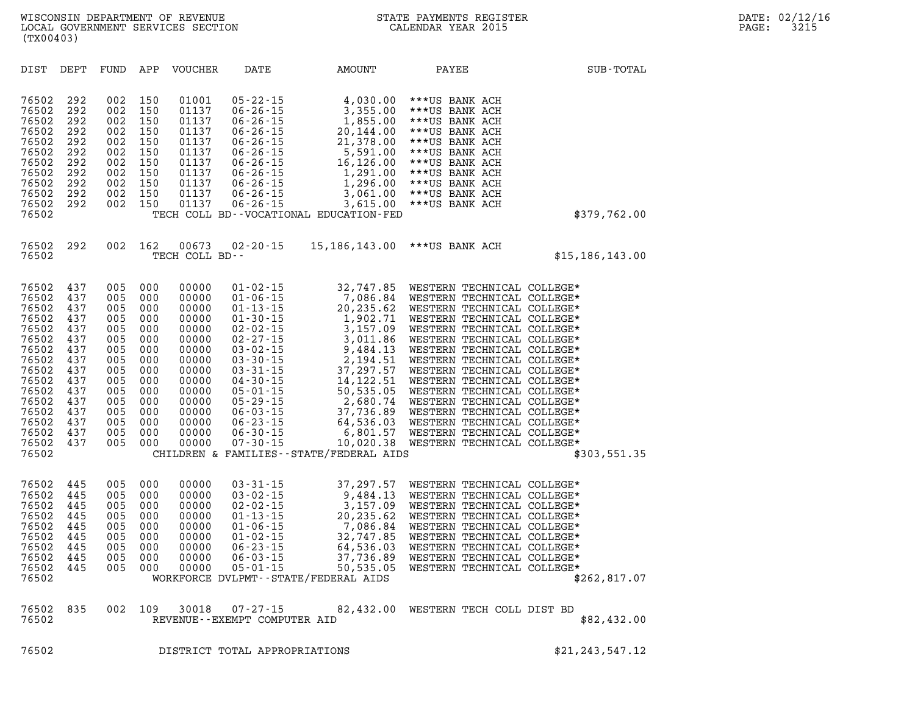| DIST                                                                                                                                                  | DEPT                                                                                                         | FUND                                                                                                         | APP                                                                                                          | <b>VOUCHER</b>                                                                                                                               | DATE                                                                                                                                                                                                                                                                                         | AMOUNT                                                                                                                                                                                                                                           | PAYEE                                                                                                                                                                                                                                                                                                                                                                                                                                                                                        | SUB-TOTAL         |
|-------------------------------------------------------------------------------------------------------------------------------------------------------|--------------------------------------------------------------------------------------------------------------|--------------------------------------------------------------------------------------------------------------|--------------------------------------------------------------------------------------------------------------|----------------------------------------------------------------------------------------------------------------------------------------------|----------------------------------------------------------------------------------------------------------------------------------------------------------------------------------------------------------------------------------------------------------------------------------------------|--------------------------------------------------------------------------------------------------------------------------------------------------------------------------------------------------------------------------------------------------|----------------------------------------------------------------------------------------------------------------------------------------------------------------------------------------------------------------------------------------------------------------------------------------------------------------------------------------------------------------------------------------------------------------------------------------------------------------------------------------------|-------------------|
| 76502<br>76502<br>76502<br>76502<br>76502<br>76502<br>76502<br>76502<br>76502<br>76502<br>76502<br>76502                                              | 292<br>292<br>292<br>292<br>292<br>292<br>292<br>292<br>292<br>292<br>292                                    | 002<br>002<br>002<br>002<br>002<br>002<br>002<br>002<br>002<br>002<br>002                                    | 150<br>150<br>150<br>150<br>150<br>150<br>150<br>150<br>150<br>150<br>150                                    | 01001<br>01137<br>01137<br>01137<br>01137<br>01137<br>01137<br>01137<br>01137<br>01137<br>01137                                              | $05 - 22 - 15$<br>$06 - 26 - 15$<br>$06 - 26 - 15$<br>$06 - 26 - 15$<br>$06 - 26 - 15$<br>$06 - 26 - 15$<br>$06 - 26 - 15$<br>$06 - 26 - 15$<br>$06 - 26 - 15$<br>$06 - 26 - 15$<br>$06 - 26 - 15$                                                                                           | 4,030.00<br>3,355.00<br>1,855.00<br>20,144.00<br>21,378.00<br>5,591.00<br>16,126.00<br>1,291.00<br>1,296.00<br>3,061.00<br>3,615.00<br>TECH COLL BD--VOCATIONAL EDUCATION-FED                                                                    | ***US BANK ACH<br>***US BANK ACH<br>***US BANK ACH<br>***US BANK ACH<br>***US BANK ACH<br>***US BANK ACH<br>***US BANK ACH<br>***US BANK ACH<br>***US BANK ACH<br>***US BANK ACH<br>***US BANK ACH                                                                                                                                                                                                                                                                                           | \$379,762.00      |
| 76502<br>76502                                                                                                                                        | 292                                                                                                          | 002                                                                                                          | 162                                                                                                          | 00673<br>TECH COLL BD--                                                                                                                      | 02-20-15                                                                                                                                                                                                                                                                                     | 15,186,143.00                                                                                                                                                                                                                                    | ***US BANK ACH                                                                                                                                                                                                                                                                                                                                                                                                                                                                               | \$15, 186, 143.00 |
| 76502<br>76502<br>76502<br>76502<br>76502<br>76502<br>76502<br>76502<br>76502<br>76502<br>76502<br>76502<br>76502<br>76502<br>76502<br>76502<br>76502 | 437<br>437<br>437<br>437<br>437<br>437<br>437<br>437<br>437<br>437<br>437<br>437<br>437<br>437<br>437<br>437 | 005<br>005<br>005<br>005<br>005<br>005<br>005<br>005<br>005<br>005<br>005<br>005<br>005<br>005<br>005<br>005 | 000<br>000<br>000<br>000<br>000<br>000<br>000<br>000<br>000<br>000<br>000<br>000<br>000<br>000<br>000<br>000 | 00000<br>00000<br>00000<br>00000<br>00000<br>00000<br>00000<br>00000<br>00000<br>00000<br>00000<br>00000<br>00000<br>00000<br>00000<br>00000 | $01 - 02 - 15$<br>$01 - 06 - 15$<br>$01 - 13 - 15$<br>$01 - 30 - 15$<br>$02 - 02 - 15$<br>$02 - 27 - 15$<br>$03 - 02 - 15$<br>$03 - 30 - 15$<br>$03 - 31 - 15$<br>$04 - 30 - 15$<br>$05 - 01 - 15$<br>$05 - 29 - 15$<br>$06 - 03 - 15$<br>$06 - 23 - 15$<br>$06 - 30 - 15$<br>$07 - 30 - 15$ | 32,747.85<br>7,086.84<br>20,235.62<br>1,902.71<br>3,157.09<br>3,011.86<br>9,484.13<br>2,194.51<br>37,297.57<br>14, 122.51<br>50,535.05<br>2,680.74<br>37,736.89<br>64,536.03<br>6,801.57<br>10,020.38<br>CHILDREN & FAMILIES--STATE/FEDERAL AIDS | WESTERN TECHNICAL COLLEGE*<br>WESTERN TECHNICAL COLLEGE*<br>WESTERN TECHNICAL COLLEGE*<br>WESTERN TECHNICAL COLLEGE*<br>WESTERN TECHNICAL COLLEGE*<br>WESTERN TECHNICAL COLLEGE*<br>WESTERN TECHNICAL COLLEGE*<br>WESTERN TECHNICAL COLLEGE*<br>WESTERN TECHNICAL COLLEGE*<br>WESTERN TECHNICAL COLLEGE*<br>WESTERN TECHNICAL COLLEGE*<br>WESTERN TECHNICAL COLLEGE*<br>WESTERN TECHNICAL COLLEGE*<br>WESTERN TECHNICAL COLLEGE*<br>WESTERN TECHNICAL COLLEGE*<br>WESTERN TECHNICAL COLLEGE* | \$303,551.35      |
| 76502<br>76502<br>76502<br>76502<br>76502<br>76502<br>76502<br>76502<br>76502<br>76502                                                                | 445<br>445<br>445<br>445<br>445<br>445<br>445<br>445<br>445                                                  | 005<br>005<br>005<br>005<br>005<br>005<br>005<br>005<br>005                                                  | 000<br>000<br>000<br>000<br>000<br>000<br>000<br>000<br>000                                                  | 00000<br>00000<br>00000<br>00000<br>00000<br>00000<br>00000<br>00000<br>00000                                                                | $03 - 31 - 15$<br>$03 - 02 - 15$<br>$02 - 02 - 15$<br>$01 - 13 - 15$<br>$01 - 06 - 15$<br>$01 - 02 - 15$<br>$06 - 23 - 15$<br>$06 - 03 - 15$<br>$05 - 01 - 15$                                                                                                                               | 37,297.57<br>9,484.13<br>3,157.09<br>20, 235.62<br>7,086.84<br>32,747.85<br>64,536.03<br>37,736.89<br>50,535.05<br>WORKFORCE DVLPMT--STATE/FEDERAL AIDS                                                                                          | WESTERN TECHNICAL COLLEGE*<br>WESTERN TECHNICAL COLLEGE*<br>WESTERN TECHNICAL COLLEGE*<br>WESTERN TECHNICAL COLLEGE*<br>WESTERN TECHNICAL COLLEGE*<br>WESTERN TECHNICAL COLLEGE*<br>WESTERN TECHNICAL COLLEGE*<br>WESTERN TECHNICAL COLLEGE*<br>WESTERN TECHNICAL COLLEGE*                                                                                                                                                                                                                   | \$262,817.07      |
| 76502<br>76502                                                                                                                                        | 835                                                                                                          | 002                                                                                                          | 109                                                                                                          | 30018                                                                                                                                        | $07 - 27 - 15$<br>REVENUE--EXEMPT COMPUTER AID                                                                                                                                                                                                                                               |                                                                                                                                                                                                                                                  | 82,432.00 WESTERN TECH COLL DIST BD                                                                                                                                                                                                                                                                                                                                                                                                                                                          | \$82,432.00       |

**76502 DISTRICT TOTAL APPROPRIATIONS \$21,243,547.12**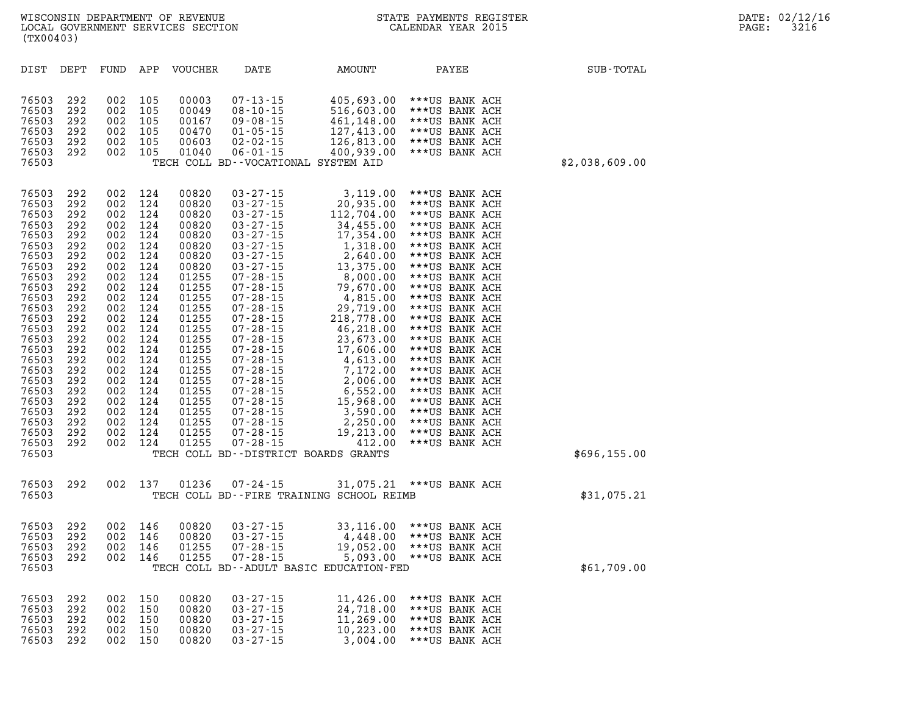| (TX00403)                                                                                                                                                                                                                              |                                                                                                                                                                             |                                                                                                                                                                             |                                                                                                                                                                             |                                                                                                                                                                                                                               |                                                                                                                                                                                                                                                                                                                                                                                                                                                          |                                                                                                                                                                                                                                                                                                                                                               |                                                                                                                                                                                                                                                                                                                                                                                                                                                                |                |
|----------------------------------------------------------------------------------------------------------------------------------------------------------------------------------------------------------------------------------------|-----------------------------------------------------------------------------------------------------------------------------------------------------------------------------|-----------------------------------------------------------------------------------------------------------------------------------------------------------------------------|-----------------------------------------------------------------------------------------------------------------------------------------------------------------------------|-------------------------------------------------------------------------------------------------------------------------------------------------------------------------------------------------------------------------------|----------------------------------------------------------------------------------------------------------------------------------------------------------------------------------------------------------------------------------------------------------------------------------------------------------------------------------------------------------------------------------------------------------------------------------------------------------|---------------------------------------------------------------------------------------------------------------------------------------------------------------------------------------------------------------------------------------------------------------------------------------------------------------------------------------------------------------|----------------------------------------------------------------------------------------------------------------------------------------------------------------------------------------------------------------------------------------------------------------------------------------------------------------------------------------------------------------------------------------------------------------------------------------------------------------|----------------|
| DIST                                                                                                                                                                                                                                   | DEPT                                                                                                                                                                        | FUND                                                                                                                                                                        | APP                                                                                                                                                                         | <b>VOUCHER</b>                                                                                                                                                                                                                | DATE                                                                                                                                                                                                                                                                                                                                                                                                                                                     | AMOUNT                                                                                                                                                                                                                                                                                                                                                        | PAYEE                                                                                                                                                                                                                                                                                                                                                                                                                                                          | SUB-TOTAL      |
| 76503<br>76503<br>76503<br>76503<br>76503<br>76503<br>76503                                                                                                                                                                            | 292<br>292<br>292<br>292<br>292<br>292                                                                                                                                      | 002<br>002<br>002<br>002<br>002<br>002                                                                                                                                      | 105<br>105<br>105<br>105<br>105<br>105                                                                                                                                      | 00003<br>00049<br>00167<br>00470<br>00603<br>01040                                                                                                                                                                            | $07 - 13 - 15$<br>$08 - 10 - 15$<br>$09 - 08 - 15$<br>$01 - 05 - 15$<br>$02 - 02 - 15$<br>$06 - 01 - 15$                                                                                                                                                                                                                                                                                                                                                 | 405,693.00<br>516,603.00<br>461,148.00<br>127,413.00<br>126,813.00<br>400,939.00<br>TECH COLL BD--VOCATIONAL SYSTEM AID                                                                                                                                                                                                                                       | ***US BANK ACH<br>***US BANK ACH<br>***US BANK ACH<br>***US BANK ACH<br>***US BANK ACH<br>***US BANK ACH                                                                                                                                                                                                                                                                                                                                                       | \$2,038,609.00 |
| 76503<br>76503<br>76503<br>76503<br>76503<br>76503<br>76503<br>76503<br>76503<br>76503<br>76503<br>76503<br>76503<br>76503<br>76503<br>76503<br>76503<br>76503<br>76503<br>76503<br>76503<br>76503<br>76503<br>76503<br>76503<br>76503 | 292<br>292<br>292<br>292<br>292<br>292<br>292<br>292<br>292<br>292<br>292<br>292<br>292<br>292<br>292<br>292<br>292<br>292<br>292<br>292<br>292<br>292<br>292<br>292<br>292 | 002<br>002<br>002<br>002<br>002<br>002<br>002<br>002<br>002<br>002<br>002<br>002<br>002<br>002<br>002<br>002<br>002<br>002<br>002<br>002<br>002<br>002<br>002<br>002<br>002 | 124<br>124<br>124<br>124<br>124<br>124<br>124<br>124<br>124<br>124<br>124<br>124<br>124<br>124<br>124<br>124<br>124<br>124<br>124<br>124<br>124<br>124<br>124<br>124<br>124 | 00820<br>00820<br>00820<br>00820<br>00820<br>00820<br>00820<br>00820<br>01255<br>01255<br>01255<br>01255<br>01255<br>01255<br>01255<br>01255<br>01255<br>01255<br>01255<br>01255<br>01255<br>01255<br>01255<br>01255<br>01255 | $03 - 27 - 15$<br>$03 - 27 - 15$<br>$03 - 27 - 15$<br>$03 - 27 - 15$<br>$03 - 27 - 15$<br>$03 - 27 - 15$<br>$03 - 27 - 15$<br>$03 - 27 - 15$<br>$07 - 28 - 15$<br>$07 - 28 - 15$<br>$07 - 28 - 15$<br>$07 - 28 - 15$<br>$07 - 28 - 15$<br>$07 - 28 - 15$<br>$07 - 28 - 15$<br>$07 - 28 - 15$<br>$07 - 28 - 15$<br>07-28-15<br>$07 - 28 - 15$<br>$07 - 28 - 15$<br>$07 - 28 - 15$<br>$07 - 28 - 15$<br>$07 - 28 - 15$<br>$07 - 28 - 15$<br>$07 - 28 - 15$ | 3,119.00<br>20,935.00<br>112,704.00<br>34,455.00<br>17,354.00<br>1,318.00<br>2,640.00<br>13,375.00<br>8,000.00<br>79,670.00<br>4,815.00<br>29,719.00<br>218,778.00<br>46,218.00<br>23,673.00<br>17,606.00<br>4,613.00<br>7,172.00<br>2,006.00<br>6,552.00<br>15,968.00<br>3,590.00<br>2,250.00<br>19,213.00<br>412.00<br>TECH COLL BD--DISTRICT BOARDS GRANTS | ***US BANK ACH<br>***US BANK ACH<br>***US BANK ACH<br>***US BANK ACH<br>***US BANK ACH<br>***US BANK ACH<br>***US BANK ACH<br>***US BANK ACH<br>***US BANK ACH<br>***US BANK ACH<br>***US BANK ACH<br>***US BANK ACH<br>***US BANK ACH<br>***US BANK ACH<br>***US BANK ACH<br>***US BANK ACH<br>***US BANK ACH<br>***US BANK ACH<br>***US BANK ACH<br>***US BANK ACH<br>***US BANK ACH<br>***US BANK ACH<br>***US BANK ACH<br>***US BANK ACH<br>***US BANK ACH | \$696,155.00   |
| 76503<br>76503                                                                                                                                                                                                                         | 292                                                                                                                                                                         | 002                                                                                                                                                                         | 137                                                                                                                                                                         | 01236                                                                                                                                                                                                                         | 07-24-15                                                                                                                                                                                                                                                                                                                                                                                                                                                 | 31,075.21<br>TECH COLL BD--FIRE TRAINING SCHOOL REIMB                                                                                                                                                                                                                                                                                                         | ***US BANK ACH                                                                                                                                                                                                                                                                                                                                                                                                                                                 | \$31,075.21    |
| 76503<br>76503<br>76503<br>76503<br>76503                                                                                                                                                                                              | 292<br>292<br>292<br>292                                                                                                                                                    | 002<br>002<br>002<br>002                                                                                                                                                    | 146<br>146<br>146<br>146                                                                                                                                                    | 00820<br>00820<br>01255<br>01255                                                                                                                                                                                              | $03 - 27 - 15$<br>$03 - 27 - 15$<br>$07 - 28 - 15$<br>$07 - 28 - 15$                                                                                                                                                                                                                                                                                                                                                                                     | 33,116.00<br>4,448.00<br>19,052.00<br>5,093.00<br>TECH COLL BD--ADULT BASIC EDUCATION-FED                                                                                                                                                                                                                                                                     | ***US BANK ACH<br>***US BANK ACH<br>***US BANK ACH<br>***US BANK ACH                                                                                                                                                                                                                                                                                                                                                                                           | \$61,709.00    |
| 76503<br>76503<br>76503                                                                                                                                                                                                                | 292<br>292<br>292                                                                                                                                                           | 002<br>002<br>002                                                                                                                                                           | 150<br>150<br>150                                                                                                                                                           | 00820<br>00820<br>00820                                                                                                                                                                                                       | $03 - 27 - 15$<br>$03 - 27 - 15$<br>$03 - 27 - 15$                                                                                                                                                                                                                                                                                                                                                                                                       | 11,426.00<br>24,718.00<br>11,269.00                                                                                                                                                                                                                                                                                                                           | ***US BANK ACH<br>***US BANK ACH<br>***US BANK ACH                                                                                                                                                                                                                                                                                                                                                                                                             |                |

**76503 292 002 150 00820 03-27-15 10,223.00 \*\*\*US BANK ACH 76503 292 002 150 00820 03-27-15 3,004.00 \*\*\*US BANK ACH**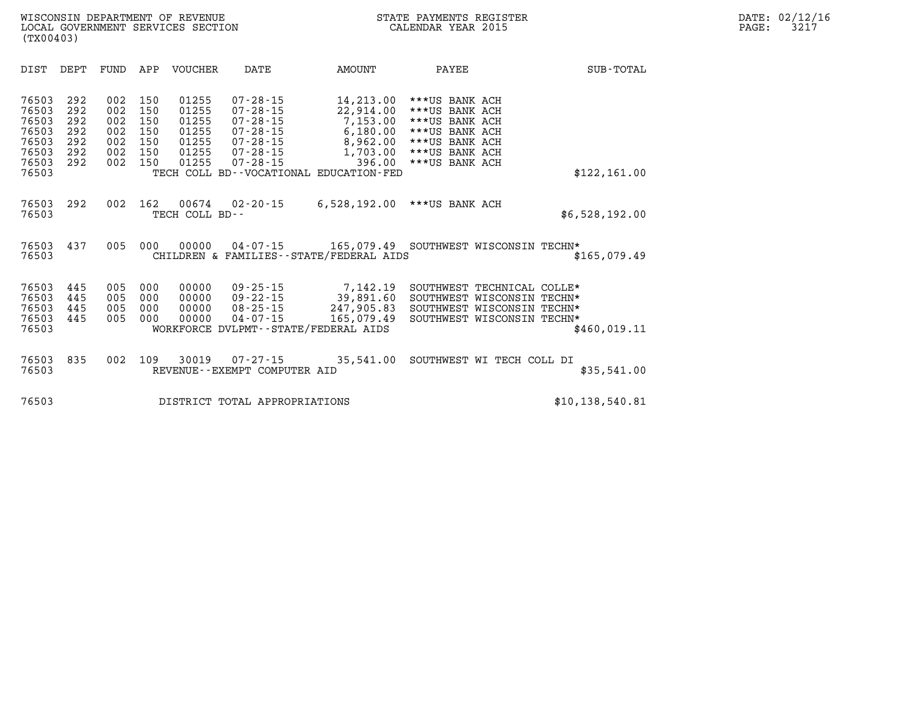| DIST                                                                 | DEPT                                          | FUND                                          | APP                                           | <b>VOUCHER</b>                                              | DATE                                                                                                                       | <b>AMOUNT</b>                                                                                                              | PAYEE                                                                                                                      | SUB-TOTAL         |
|----------------------------------------------------------------------|-----------------------------------------------|-----------------------------------------------|-----------------------------------------------|-------------------------------------------------------------|----------------------------------------------------------------------------------------------------------------------------|----------------------------------------------------------------------------------------------------------------------------|----------------------------------------------------------------------------------------------------------------------------|-------------------|
| 76503<br>76503<br>76503<br>76503<br>76503<br>76503<br>76503<br>76503 | 292<br>292<br>292<br>292<br>292<br>292<br>292 | 002<br>002<br>002<br>002<br>002<br>002<br>002 | 150<br>150<br>150<br>150<br>150<br>150<br>150 | 01255<br>01255<br>01255<br>01255<br>01255<br>01255<br>01255 | $07 - 28 - 15$<br>$07 - 28 - 15$<br>$07 - 28 - 15$<br>$07 - 28 - 15$<br>$07 - 28 - 15$<br>$07 - 28 - 15$<br>$07 - 28 - 15$ | 14,213.00<br>22,914.00<br>7,153.00<br>6,180.00<br>8,962.00<br>1,703.00<br>396.00<br>TECH COLL BD--VOCATIONAL EDUCATION-FED | ***US BANK ACH<br>***US BANK ACH<br>***US BANK ACH<br>***US BANK ACH<br>***US BANK ACH<br>***US BANK ACH<br>***US BANK ACH | \$122, 161.00     |
| 76503<br>76503                                                       | 292                                           | 002                                           | 162                                           | 00674<br>TECH COLL BD--                                     | $02 - 20 - 15$                                                                                                             | 6,528,192.00                                                                                                               | ***US BANK ACH                                                                                                             | \$6,528,192.00    |
| 76503<br>76503                                                       | 437                                           | 005                                           | 000                                           | 00000                                                       | $04 - 07 - 15$                                                                                                             | CHILDREN & FAMILIES - - STATE/FEDERAL AIDS                                                                                 | 165,079.49 SOUTHWEST WISCONSIN TECHN*                                                                                      | \$165,079.49      |
| 76503<br>76503<br>76503<br>76503<br>76503                            | 445<br>445<br>445<br>445                      | 005<br>005<br>005<br>005                      | 000<br>000<br>000<br>000                      | 00000<br>00000<br>00000<br>00000                            | $09 - 25 - 15$<br>$09 - 22 - 15$<br>$08 - 25 - 15$<br>$04 - 07 - 15$                                                       | 7,142.19<br>39,891.60<br>247,905.83<br>165,079.49<br>WORKFORCE DVLPMT--STATE/FEDERAL AIDS                                  | SOUTHWEST TECHNICAL COLLE*<br>SOUTHWEST WISCONSIN TECHN*<br>SOUTHWEST WISCONSIN TECHN*<br>SOUTHWEST WISCONSIN TECHN*       | \$460,019.11      |
| 76503<br>76503                                                       | 835                                           | 002                                           | 109                                           | 30019                                                       | $07 - 27 - 15$<br>REVENUE - - EXEMPT COMPUTER AID                                                                          | 35,541.00                                                                                                                  | SOUTHWEST WI TECH COLL DI                                                                                                  | \$35,541.00       |
| 76503                                                                |                                               |                                               |                                               |                                                             | DISTRICT TOTAL APPROPRIATIONS                                                                                              |                                                                                                                            |                                                                                                                            | \$10, 138, 540.81 |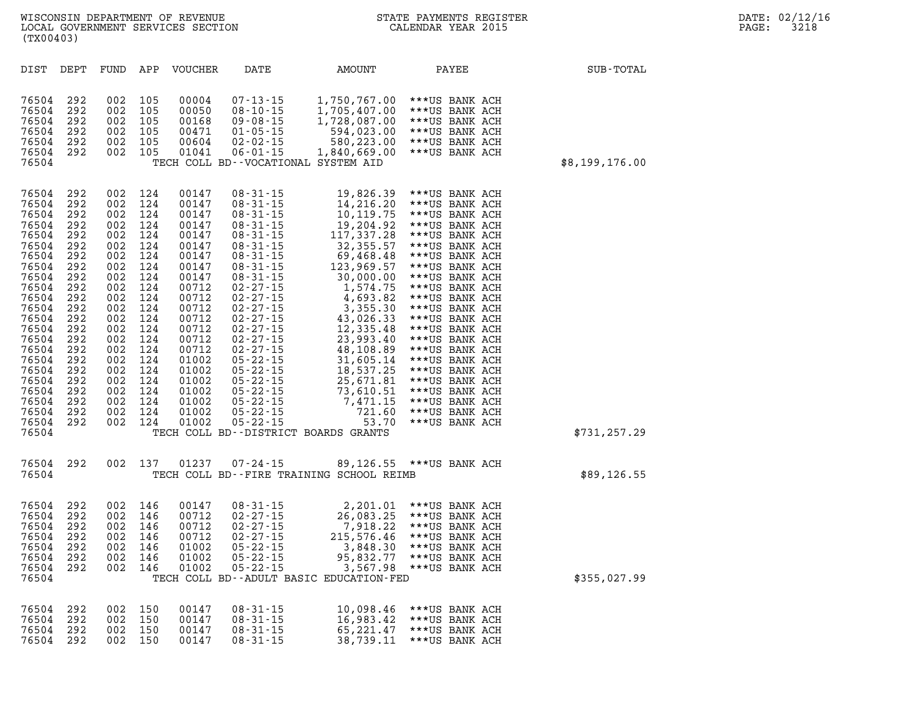| DIST                                                                                                                                                                                                        | DEPT                                                                                                                                                          | FUND                                                                                                                                                          | APP                                                                                                                                                           | <b>VOUCHER</b>                                                                                                                                                                                              | DATE                                                                                                                                                                                                                                                                                                                                                                                                                 | AMOUNT                                                                                                                                                                                                                                                                                           | PAYEE                                                                                                                                                                                                                                                                                                                                                                                                                      | SUB-TOTAL      |
|-------------------------------------------------------------------------------------------------------------------------------------------------------------------------------------------------------------|---------------------------------------------------------------------------------------------------------------------------------------------------------------|---------------------------------------------------------------------------------------------------------------------------------------------------------------|---------------------------------------------------------------------------------------------------------------------------------------------------------------|-------------------------------------------------------------------------------------------------------------------------------------------------------------------------------------------------------------|----------------------------------------------------------------------------------------------------------------------------------------------------------------------------------------------------------------------------------------------------------------------------------------------------------------------------------------------------------------------------------------------------------------------|--------------------------------------------------------------------------------------------------------------------------------------------------------------------------------------------------------------------------------------------------------------------------------------------------|----------------------------------------------------------------------------------------------------------------------------------------------------------------------------------------------------------------------------------------------------------------------------------------------------------------------------------------------------------------------------------------------------------------------------|----------------|
| 76504<br>76504<br>76504<br>76504<br>76504<br>76504<br>76504                                                                                                                                                 | 292<br>292<br>292<br>292<br>292<br>292                                                                                                                        | 002<br>002<br>002<br>002<br>002<br>002                                                                                                                        | 105<br>105<br>105<br>105<br>105<br>105                                                                                                                        | 00004<br>00050<br>00168<br>00471<br>00604<br>01041                                                                                                                                                          | $07 - 13 - 15$<br>$08 - 10 - 15$<br>$09 - 08 - 15$<br>$01 - 05 - 15$<br>$02 - 02 - 15$<br>$06 - 01 - 15$                                                                                                                                                                                                                                                                                                             | 1,750,767.00<br>1,705,407.00<br>1,728,087.00<br>594,023.00<br>580,223.00<br>1,840,669.00<br>TECH COLL BD--VOCATIONAL SYSTEM AID                                                                                                                                                                  | ***US BANK ACH<br>***US BANK ACH<br>***US BANK ACH<br>***US BANK ACH<br>***US BANK ACH<br>***US BANK ACH                                                                                                                                                                                                                                                                                                                   | \$8,199,176.00 |
| 76504<br>76504<br>76504<br>76504<br>76504<br>76504<br>76504<br>76504<br>76504<br>76504<br>76504<br>76504<br>76504<br>76504<br>76504<br>76504<br>76504<br>76504<br>76504<br>76504<br>76504<br>76504<br>76504 | 292<br>292<br>292<br>292<br>292<br>292<br>292<br>292<br>292<br>292<br>292<br>292<br>292<br>292<br>292<br>292<br>292<br>292<br>292<br>292<br>292<br>292<br>292 | 002<br>002<br>002<br>002<br>002<br>002<br>002<br>002<br>002<br>002<br>002<br>002<br>002<br>002<br>002<br>002<br>002<br>002<br>002<br>002<br>002<br>002<br>002 | 124<br>124<br>124<br>124<br>124<br>124<br>124<br>124<br>124<br>124<br>124<br>124<br>124<br>124<br>124<br>124<br>124<br>124<br>124<br>124<br>124<br>124<br>124 | 00147<br>00147<br>00147<br>00147<br>00147<br>00147<br>00147<br>00147<br>00147<br>00712<br>00712<br>00712<br>00712<br>00712<br>00712<br>00712<br>01002<br>01002<br>01002<br>01002<br>01002<br>01002<br>01002 | $08 - 31 - 15$<br>$08 - 31 - 15$<br>$08 - 31 - 15$<br>$08 - 31 - 15$<br>$08 - 31 - 15$<br>$08 - 31 - 15$<br>$08 - 31 - 15$<br>$08 - 31 - 15$<br>$08 - 31 - 15$<br>02-27-15<br>$02 - 27 - 15$<br>$02 - 27 - 15$<br>$02 - 27 - 15$<br>$02 - 27 - 15$<br>$02 - 27 - 15$<br>$02 - 27 - 15$<br>$05 - 22 - 15$<br>$05 - 22 - 15$<br>$05 - 22 - 15$<br>$05 - 22 - 15$<br>$05 - 22 - 15$<br>$05 - 22 - 15$<br>$05 - 22 - 15$ | 19,826.39<br>14,216.20<br>10, 119.75<br>19,204.92<br>117,337.28<br>32, 355.57<br>69,468.48<br>123,969.57<br>30,000.00<br>1,574.75<br>4,693.82<br>3,355.30<br>43,026.33<br>12,335.48<br>23,993.40<br>48,108.89<br>31,605.14<br>18,537.25<br>25,671.81<br>73,610.51<br>7,471.15<br>721.60<br>53.70 | ***US BANK ACH<br>***US BANK ACH<br>***US BANK ACH<br>***US BANK ACH<br>***US BANK ACH<br>***US BANK ACH<br>***US BANK ACH<br>***US BANK ACH<br>***US BANK ACH<br>***US BANK ACH<br>***US BANK ACH<br>***US BANK ACH<br>***US BANK ACH<br>***US BANK ACH<br>***US BANK ACH<br>***US BANK ACH<br>***US BANK ACH<br>***US BANK ACH<br>***US BANK ACH<br>***US BANK ACH<br>***US BANK ACH<br>***US BANK ACH<br>***US BANK ACH |                |
| 76504                                                                                                                                                                                                       |                                                                                                                                                               |                                                                                                                                                               |                                                                                                                                                               |                                                                                                                                                                                                             |                                                                                                                                                                                                                                                                                                                                                                                                                      | TECH COLL BD--DISTRICT BOARDS GRANTS                                                                                                                                                                                                                                                             |                                                                                                                                                                                                                                                                                                                                                                                                                            | \$731,257.29   |
| 76504<br>76504                                                                                                                                                                                              | 292                                                                                                                                                           | 002                                                                                                                                                           | 137                                                                                                                                                           | 01237                                                                                                                                                                                                       | $07 - 24 - 15$                                                                                                                                                                                                                                                                                                                                                                                                       | 89,126.55<br>TECH COLL BD--FIRE TRAINING SCHOOL REIMB                                                                                                                                                                                                                                            | ***US BANK ACH                                                                                                                                                                                                                                                                                                                                                                                                             | \$89,126.55    |
| 76504<br>76504<br>76504<br>76504<br>76504<br>76504<br>76504<br>76504                                                                                                                                        | 292<br>292<br>292<br>292<br>292<br>292<br>292                                                                                                                 | 002<br>002<br>002<br>002<br>002<br>002<br>002                                                                                                                 | 146<br>146<br>146<br>146<br>146<br>146<br>146                                                                                                                 | 00147<br>00712<br>00712<br>00712<br>01002<br>01002<br>01002                                                                                                                                                 | $08 - 31 - 15$<br>$02 - 27 - 15$<br>$02 - 27 - 15$<br>$02 - 27 - 15$<br>$05 - 22 - 15$<br>$05 - 22 - 15$<br>$05 - 22 - 15$                                                                                                                                                                                                                                                                                           | 2,201.01<br>26,083.25<br>7,918.22<br>215,576.46<br>3,848.30<br>95,832.77<br>3,567.98<br>TECH COLL BD--ADULT BASIC EDUCATION-FED                                                                                                                                                                  | ***US BANK ACH<br>***US BANK ACH<br>***US BANK ACH<br>***US BANK ACH<br>***US BANK ACH<br>***US BANK ACH<br>***US BANK ACH                                                                                                                                                                                                                                                                                                 | \$355,027.99   |
| 76504<br>76504<br>76504<br>76504                                                                                                                                                                            | 292<br>292<br>292<br>292                                                                                                                                      | 002<br>002<br>002<br>002                                                                                                                                      | 150<br>150<br>150<br>150                                                                                                                                      | 00147<br>00147<br>00147<br>00147                                                                                                                                                                            | $08 - 31 - 15$<br>$08 - 31 - 15$<br>$08 - 31 - 15$<br>08-31-15                                                                                                                                                                                                                                                                                                                                                       | 10,098.46<br>16,983.42<br>65,221.47<br>38,739.11                                                                                                                                                                                                                                                 | ***US BANK ACH<br>***US BANK ACH<br>***US BANK ACH<br>***US BANK ACH                                                                                                                                                                                                                                                                                                                                                       |                |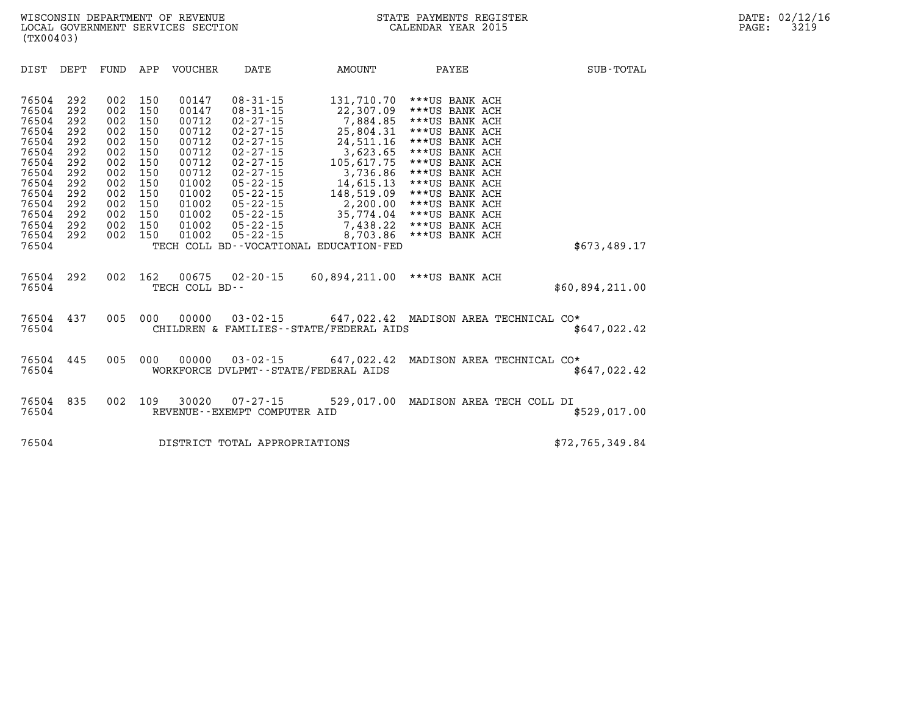| DIST<br>DEPT<br>FUND                                                                                                                                                                                                                                                                                                                    | APP<br><b>VOUCHER</b>                                                                                                                                                                                                        | DATE                                                                                                                                                                                                                                                     | AMOUNT                                                                                                                                                                                                                    | PAYEE                                                                                                                                                                                                                                                    | SUB-TOTAL       |
|-----------------------------------------------------------------------------------------------------------------------------------------------------------------------------------------------------------------------------------------------------------------------------------------------------------------------------------------|------------------------------------------------------------------------------------------------------------------------------------------------------------------------------------------------------------------------------|----------------------------------------------------------------------------------------------------------------------------------------------------------------------------------------------------------------------------------------------------------|---------------------------------------------------------------------------------------------------------------------------------------------------------------------------------------------------------------------------|----------------------------------------------------------------------------------------------------------------------------------------------------------------------------------------------------------------------------------------------------------|-----------------|
| 002<br>76504<br>292<br>292<br>002<br>76504<br>76504<br>292<br>002<br>76504<br>292<br>002<br>002<br>76504<br>292<br>002<br>76504<br>292<br>292<br>002<br>76504<br>292<br>002<br>76504<br>002<br>76504<br>292<br>002<br>76504<br>292<br>292<br>002<br>76504<br>292<br>002<br>76504<br>292<br>002<br>76504<br>002<br>292<br>76504<br>76504 | 150<br>00147<br>150<br>00147<br>150<br>00712<br>150<br>00712<br>150<br>00712<br>150<br>00712<br>150<br>00712<br>150<br>00712<br>150<br>01002<br>150<br>01002<br>150<br>01002<br>150<br>01002<br>150<br>01002<br>150<br>01002 | $08 - 31 - 15$<br>$08 - 31 - 15$<br>$02 - 27 - 15$<br>$02 - 27 - 15$<br>$02 - 27 - 15$<br>$02 - 27 - 15$<br>$02 - 27 - 15$<br>$02 - 27 - 15$<br>$05 - 22 - 15$<br>$05 - 22 - 15$<br>$05 - 22 - 15$<br>$05 - 22 - 15$<br>$05 - 22 - 15$<br>$05 - 22 - 15$ | 131,710.70<br>22,307.09<br>7,884.85<br>25,804.31<br>24,511.16<br>3,623.65<br>105,617.75<br>3,736.86<br>14,615.13<br>148,519.09<br>2,200.00<br>35,774.04<br>7,438.22<br>8,703.86<br>TECH COLL BD--VOCATIONAL EDUCATION-FED | ***US BANK ACH<br>***US BANK ACH<br>***US BANK ACH<br>***US BANK ACH<br>***US BANK ACH<br>***US BANK ACH<br>***US BANK ACH<br>***US BANK ACH<br>***US BANK ACH<br>***US BANK ACH<br>***US BANK ACH<br>***US BANK ACH<br>***US BANK ACH<br>***US BANK ACH | \$673,489.17    |
| 76504<br>292<br>002<br>76504                                                                                                                                                                                                                                                                                                            | 162<br>00675<br>TECH COLL BD--                                                                                                                                                                                               | $02 - 20 - 15$                                                                                                                                                                                                                                           | 60,894,211.00                                                                                                                                                                                                             | ***US BANK ACH                                                                                                                                                                                                                                           | \$60,894,211.00 |
| 005<br>76504<br>437<br>76504                                                                                                                                                                                                                                                                                                            | 000<br>00000                                                                                                                                                                                                                 | $03 - 02 - 15$                                                                                                                                                                                                                                           | CHILDREN & FAMILIES - - STATE/FEDERAL AIDS                                                                                                                                                                                | 647,022.42 MADISON AREA TECHNICAL CO*                                                                                                                                                                                                                    | \$647,022.42    |
| 76504<br>445<br>005<br>76504                                                                                                                                                                                                                                                                                                            | 000<br>00000                                                                                                                                                                                                                 | $03 - 02 - 15$<br>WORKFORCE DVLPMT--STATE/FEDERAL AIDS                                                                                                                                                                                                   | 647,022.42                                                                                                                                                                                                                | MADISON AREA TECHNICAL CO*                                                                                                                                                                                                                               | \$647,022.42    |
| 835<br>002<br>76504<br>76504                                                                                                                                                                                                                                                                                                            | 109<br>30020                                                                                                                                                                                                                 | $07 - 27 - 15$<br>REVENUE--EXEMPT COMPUTER AID                                                                                                                                                                                                           |                                                                                                                                                                                                                           | 529,017.00 MADISON AREA TECH COLL DI                                                                                                                                                                                                                     | \$529,017.00    |
| 76504                                                                                                                                                                                                                                                                                                                                   |                                                                                                                                                                                                                              | DISTRICT TOTAL APPROPRIATIONS                                                                                                                                                                                                                            |                                                                                                                                                                                                                           |                                                                                                                                                                                                                                                          | \$72,765,349.84 |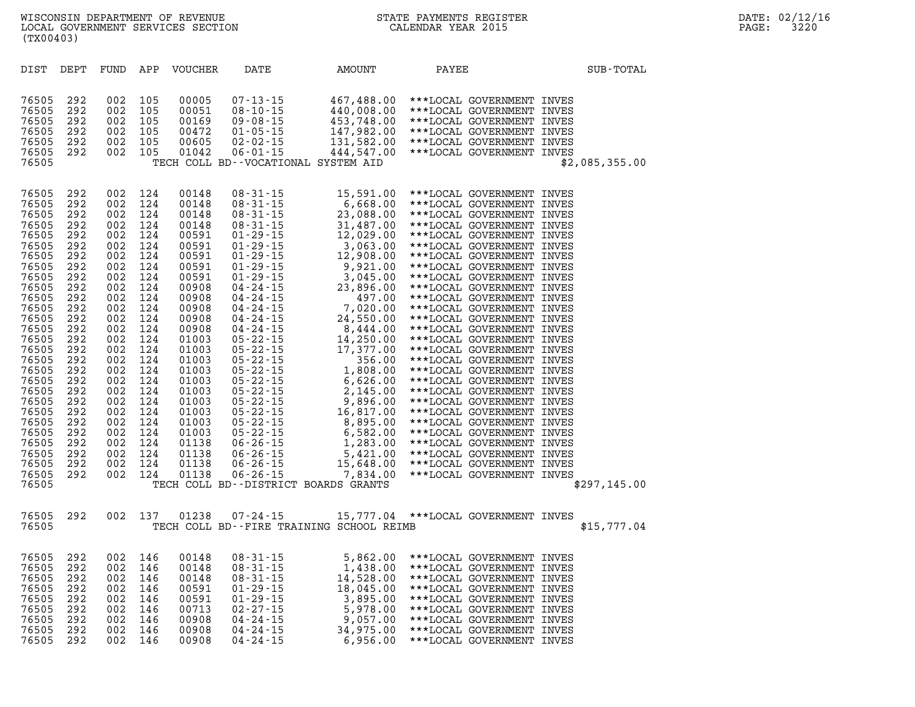| (TX00403)                                                                                                                                                                                                                                                         |                                                                                                                                                                                                  |                                                                                                                                                                                                  |                                                                                                                                                                                                  |                                                                                                                                                                                                                                                          |                                                                                                                                                                                                                                                                                                                                                                                                                                                                                                                      |                                                                                                                                                                                                                                                                                                                                                                                             |                                                                                                                                                                                                                                                                                                                                                                                                                                                                              |                                                                                                                                                                                                                                                                                                                                                          |                |
|-------------------------------------------------------------------------------------------------------------------------------------------------------------------------------------------------------------------------------------------------------------------|--------------------------------------------------------------------------------------------------------------------------------------------------------------------------------------------------|--------------------------------------------------------------------------------------------------------------------------------------------------------------------------------------------------|--------------------------------------------------------------------------------------------------------------------------------------------------------------------------------------------------|----------------------------------------------------------------------------------------------------------------------------------------------------------------------------------------------------------------------------------------------------------|----------------------------------------------------------------------------------------------------------------------------------------------------------------------------------------------------------------------------------------------------------------------------------------------------------------------------------------------------------------------------------------------------------------------------------------------------------------------------------------------------------------------|---------------------------------------------------------------------------------------------------------------------------------------------------------------------------------------------------------------------------------------------------------------------------------------------------------------------------------------------------------------------------------------------|------------------------------------------------------------------------------------------------------------------------------------------------------------------------------------------------------------------------------------------------------------------------------------------------------------------------------------------------------------------------------------------------------------------------------------------------------------------------------|----------------------------------------------------------------------------------------------------------------------------------------------------------------------------------------------------------------------------------------------------------------------------------------------------------------------------------------------------------|----------------|
| DIST                                                                                                                                                                                                                                                              | DEPT                                                                                                                                                                                             | FUND                                                                                                                                                                                             | APP                                                                                                                                                                                              | <b>VOUCHER</b>                                                                                                                                                                                                                                           | DATE                                                                                                                                                                                                                                                                                                                                                                                                                                                                                                                 | AMOUNT                                                                                                                                                                                                                                                                                                                                                                                      | PAYEE                                                                                                                                                                                                                                                                                                                                                                                                                                                                        |                                                                                                                                                                                                                                                                                                                                                          | SUB-TOTAL      |
| 76505<br>76505<br>76505<br>76505<br>76505<br>76505<br>76505                                                                                                                                                                                                       | 292<br>292<br>292<br>292<br>292<br>292                                                                                                                                                           | 002<br>002<br>002<br>002<br>002<br>002                                                                                                                                                           | 105<br>105<br>105<br>105<br>105<br>105                                                                                                                                                           | 00005<br>00051<br>00169<br>00472<br>00605<br>01042                                                                                                                                                                                                       | $07 - 13 - 15$<br>$08 - 10 - 15$<br>$09 - 08 - 15$<br>$01 - 05 - 15$<br>$02 - 02 - 15$<br>$06 - 01 - 15$                                                                                                                                                                                                                                                                                                                                                                                                             | 467,488.00<br>440,008.00<br>453,748.00<br>147,982.00<br>131,582.00<br>444,547.00<br>TECH COLL BD--VOCATIONAL SYSTEM AID                                                                                                                                                                                                                                                                     | ***LOCAL GOVERNMENT INVES<br>***LOCAL GOVERNMENT INVES<br>***LOCAL GOVERNMENT INVES<br>***LOCAL GOVERNMENT INVES<br>***LOCAL GOVERNMENT INVES                                                                                                                                                                                                                                                                                                                                | ***LOCAL GOVERNMENT INVES                                                                                                                                                                                                                                                                                                                                | \$2,085,355.00 |
| 76505<br>76505<br>76505<br>76505<br>76505<br>76505<br>76505<br>76505<br>76505<br>76505<br>76505<br>76505<br>76505<br>76505<br>76505<br>76505<br>76505<br>76505<br>76505<br>76505<br>76505<br>76505<br>76505<br>76505<br>76505<br>76505<br>76505<br>76505<br>76505 | 292<br>292<br>292<br>292<br>292<br>292<br>292<br>292<br>292<br>292<br>292<br>292<br>292<br>292<br>292<br>292<br>292<br>292<br>292<br>292<br>292<br>292<br>292<br>292<br>292<br>292<br>292<br>292 | 002<br>002<br>002<br>002<br>002<br>002<br>002<br>002<br>002<br>002<br>002<br>002<br>002<br>002<br>002<br>002<br>002<br>002<br>002<br>002<br>002<br>002<br>002<br>002<br>002<br>002<br>002<br>002 | 124<br>124<br>124<br>124<br>124<br>124<br>124<br>124<br>124<br>124<br>124<br>124<br>124<br>124<br>124<br>124<br>124<br>124<br>124<br>124<br>124<br>124<br>124<br>124<br>124<br>124<br>124<br>124 | 00148<br>00148<br>00148<br>00148<br>00591<br>00591<br>00591<br>00591<br>00591<br>00908<br>00908<br>00908<br>00908<br>00908<br>01003<br>01003<br>01003<br>01003<br>01003<br>01003<br>01003<br>01003<br>01003<br>01003<br>01138<br>01138<br>01138<br>01138 | $08 - 31 - 15$<br>$08 - 31 - 15$<br>$08 - 31 - 15$<br>$08 - 31 - 15$<br>$01 - 29 - 15$<br>$01 - 29 - 15$<br>$01 - 29 - 15$<br>$01 - 29 - 15$<br>$01 - 29 - 15$<br>$04 - 24 - 15$<br>$04 - 24 - 15$<br>$04 - 24 - 15$<br>$04 - 24 - 15$<br>$04 - 24 - 15$<br>$05 - 22 - 15$<br>$05 - 22 - 15$<br>$05 - 22 - 15$<br>$05 - 22 - 15$<br>$05 - 22 - 15$<br>$05 - 22 - 15$<br>$05 - 22 - 15$<br>$05 - 22 - 15$<br>$05 - 22 - 15$<br>$05 - 22 - 15$<br>$06 - 26 - 15$<br>$06 - 26 - 15$<br>$06 - 26 - 15$<br>$06 - 26 - 15$ | 15,591.00<br>6,668.00<br>23,088.00<br>31,487.00<br>12,029.00<br>3,063.00<br>12,908.00<br>9,921.00<br>3,045.00<br>23,896.00<br>497.00<br>7,020.00<br>24,550.00<br>8,444.00<br>14,250.00<br>17,377.00<br>356.00<br>1,808.00<br>6,626.00<br>2,145.00<br>9,896.00<br>16,817.00<br>8,895.00<br>6,582.00<br>1,283.00<br>5,421.00<br>15,648.00<br>7,834.00<br>TECH COLL BD--DISTRICT BOARDS GRANTS | ***LOCAL GOVERNMENT INVES<br>***LOCAL GOVERNMENT INVES<br>***LOCAL GOVERNMENT INVES<br>***LOCAL GOVERNMENT INVES<br>***LOCAL GOVERNMENT INVES<br>***LOCAL GOVERNMENT INVES<br>***LOCAL GOVERNMENT INVES<br>***LOCAL GOVERNMENT INVES<br>***LOCAL GOVERNMENT INVES<br>***LOCAL GOVERNMENT INVES<br>***LOCAL GOVERNMENT INVES<br>***LOCAL GOVERNMENT INVES<br>***LOCAL GOVERNMENT INVES<br>***LOCAL GOVERNMENT INVES<br>***LOCAL GOVERNMENT INVES<br>***LOCAL GOVERNMENT INVES | ***LOCAL GOVERNMENT INVES<br>***LOCAL GOVERNMENT INVES<br>***LOCAL GOVERNMENT INVES<br>***LOCAL GOVERNMENT INVES<br>***LOCAL GOVERNMENT INVES<br>***LOCAL GOVERNMENT INVES<br>***LOCAL GOVERNMENT INVES<br>***LOCAL GOVERNMENT INVES<br>***LOCAL GOVERNMENT INVES<br>***LOCAL GOVERNMENT INVES<br>***LOCAL GOVERNMENT INVES<br>***LOCAL GOVERNMENT INVES | \$297,145.00   |
| 76505<br>76505                                                                                                                                                                                                                                                    | 292                                                                                                                                                                                              | 002                                                                                                                                                                                              | 137                                                                                                                                                                                              | 01238                                                                                                                                                                                                                                                    | $07 - 24 - 15$                                                                                                                                                                                                                                                                                                                                                                                                                                                                                                       | TECH COLL BD--FIRE TRAINING SCHOOL REIMB                                                                                                                                                                                                                                                                                                                                                    | 15,777.04 ***LOCAL GOVERNMENT INVES                                                                                                                                                                                                                                                                                                                                                                                                                                          |                                                                                                                                                                                                                                                                                                                                                          | \$15,777.04    |
| 76505<br>76505<br>76505<br>76505<br>76505<br>76505<br>76505<br>76505<br>76505                                                                                                                                                                                     | 292<br>292<br>292<br>292<br>292<br>292<br>292<br>292<br>292                                                                                                                                      | 002<br>002<br>002<br>002<br>002<br>002<br>002<br>002<br>002                                                                                                                                      | 146<br>146<br>146<br>146<br>146<br>146<br>146<br>146<br>146                                                                                                                                      | 00148<br>00148<br>00148<br>00591<br>00591<br>00713<br>00908<br>00908<br>00908                                                                                                                                                                            | $08 - 31 - 15$<br>$08 - 31 - 15$<br>$08 - 31 - 15$<br>$01 - 29 - 15$<br>$01 - 29 - 15$<br>$02 - 27 - 15$<br>$04 - 24 - 15$<br>$04 - 24 - 15$<br>$04 - 24 - 15$                                                                                                                                                                                                                                                                                                                                                       | 5,862.00<br>1,438.00<br>14,528.00<br>18,045.00<br>3,895.00<br>5,978.00<br>9,057.00<br>34,975.00<br>6,956.00                                                                                                                                                                                                                                                                                 |                                                                                                                                                                                                                                                                                                                                                                                                                                                                              | ***LOCAL GOVERNMENT INVES<br>***LOCAL GOVERNMENT INVES<br>***LOCAL GOVERNMENT INVES<br>***LOCAL GOVERNMENT INVES<br>***LOCAL GOVERNMENT INVES<br>***LOCAL GOVERNMENT INVES<br>***LOCAL GOVERNMENT INVES<br>***LOCAL GOVERNMENT INVES<br>***LOCAL GOVERNMENT INVES                                                                                        |                |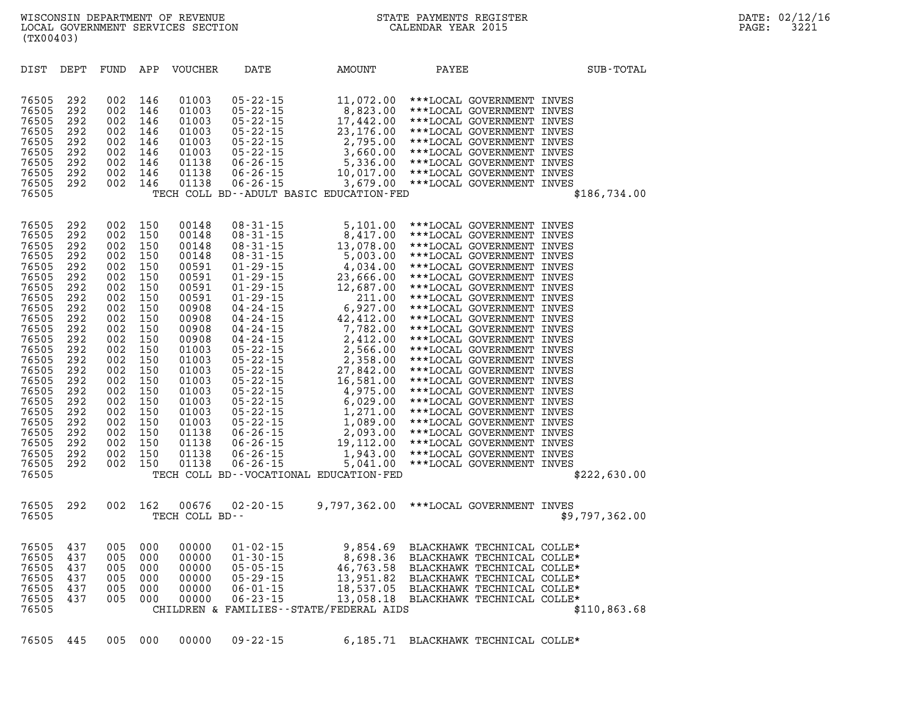| DIST                                                                                                                                                                                                                          | DEPT                                                                                                                                                                 | FUND                                                                                                                                                                 | APP                                                                                                                                                                  | <b>VOUCHER</b>                                                                                                                                                                                                       | DATE                                                                                                                                                                                                                                                                                                                     | AMOUNT                                                                                                                                                                                                                        | PAYEE                                                                                                                                                                                                                                                                                                                                                                                                                                                                                                                                                                                                                                                                                                                                                                                                    | SUB-TOTAL      |
|-------------------------------------------------------------------------------------------------------------------------------------------------------------------------------------------------------------------------------|----------------------------------------------------------------------------------------------------------------------------------------------------------------------|----------------------------------------------------------------------------------------------------------------------------------------------------------------------|----------------------------------------------------------------------------------------------------------------------------------------------------------------------|----------------------------------------------------------------------------------------------------------------------------------------------------------------------------------------------------------------------|--------------------------------------------------------------------------------------------------------------------------------------------------------------------------------------------------------------------------------------------------------------------------------------------------------------------------|-------------------------------------------------------------------------------------------------------------------------------------------------------------------------------------------------------------------------------|----------------------------------------------------------------------------------------------------------------------------------------------------------------------------------------------------------------------------------------------------------------------------------------------------------------------------------------------------------------------------------------------------------------------------------------------------------------------------------------------------------------------------------------------------------------------------------------------------------------------------------------------------------------------------------------------------------------------------------------------------------------------------------------------------------|----------------|
| 76505<br>76505<br>76505<br>76505<br>76505<br>76505<br>76505<br>76505<br>76505<br>76505                                                                                                                                        | 292<br>292<br>292<br>292<br>292<br>292<br>292<br>292<br>292                                                                                                          | 002<br>002<br>002<br>002<br>002<br>002<br>002<br>002<br>002                                                                                                          | 146<br>146<br>146<br>146<br>146<br>146<br>146<br>146<br>146                                                                                                          | 01003<br>01003<br>01003<br>01003<br>01003<br>01003<br>01138<br>01138<br>01138                                                                                                                                        | $05 - 22 - 15$<br>$05 - 22 - 15$<br>$05 - 22 - 15$<br>$05 - 22 - 15$<br>$05 - 22 - 15$<br>$05 - 22 - 15$<br>$06 - 26 - 15$<br>$06 - 26 - 15$<br>$06 - 26 - 15$                                                                                                                                                           | 8,823.00<br>23,176.00<br>2,795.00<br>TECH COLL BD--ADULT BASIC EDUCATION-FED                                                                                                                                                  | 11,072.00 ***LOCAL GOVERNMENT INVES<br>***LOCAL GOVERNMENT INVES<br>17,442.00 ***LOCAL GOVERNMENT INVES<br>***LOCAL GOVERNMENT INVES<br>***LOCAL GOVERNMENT INVES<br>3,660.00 ***LOCAL GOVERNMENT INVES<br>5,336.00 ***LOCAL GOVERNMENT INVES<br>10,017.00 ***LOCAL GOVERNMENT INVES<br>3,679.00 ***LOCAL GOVERNMENT INVES                                                                                                                                                                                                                                                                                                                                                                                                                                                                               | \$186,734.00   |
| 76505<br>76505<br>76505<br>76505<br>76505<br>76505<br>76505<br>76505<br>76505<br>76505<br>76505<br>76505<br>76505<br>76505<br>76505<br>76505<br>76505<br>76505<br>76505<br>76505<br>76505<br>76505<br>76505<br>76505<br>76505 | 292<br>292<br>292<br>292<br>292<br>292<br>292<br>292<br>292<br>292<br>292<br>292<br>292<br>292<br>292<br>292<br>292<br>292<br>292<br>292<br>292<br>292<br>292<br>292 | 002<br>002<br>002<br>002<br>002<br>002<br>002<br>002<br>002<br>002<br>002<br>002<br>002<br>002<br>002<br>002<br>002<br>002<br>002<br>002<br>002<br>002<br>002<br>002 | 150<br>150<br>150<br>150<br>150<br>150<br>150<br>150<br>150<br>150<br>150<br>150<br>150<br>150<br>150<br>150<br>150<br>150<br>150<br>150<br>150<br>150<br>150<br>150 | 00148<br>00148<br>00148<br>00148<br>00591<br>00591<br>00591<br>00591<br>00908<br>00908<br>00908<br>00908<br>01003<br>01003<br>01003<br>01003<br>01003<br>01003<br>01003<br>01003<br>01138<br>01138<br>01138<br>01138 | $08 - 31 - 15$<br>08-31-15<br>08-31-15<br>08-31-15<br>08-31-15<br>01-29-15<br>01-29-15<br>01-29-15<br>01-29-15<br>04-24-15<br>04-24-15<br>04-24-15<br>04-24-15<br>04-24-15<br>05-22-15<br>05-22-15<br>05-22-15<br>05-22-15<br>05-22-15<br>05-22-15<br>05-22-15<br>05-22-15<br>05-22-15<br>05-22-15<br>05-22-15<br>05-22- | 5,101.00<br>4,034.00<br>23,666.00<br>12,687.00<br>211.00<br>6,927.00<br>42,412.00<br>7,782.00<br>2,412.00<br>2,566.00<br>2,358.00<br>27,842.00<br>16,581.00<br>4,975.00<br>1,271.00<br>TECH COLL BD--VOCATIONAL EDUCATION-FED | ***LOCAL GOVERNMENT INVES<br>8,417.00 ***LOCAL GOVERNMENT INVES<br>13,078.00 ***LOCAL GOVERNMENT INVES<br>5,003.00 ***LOCAL GOVERNMENT INVES<br>***LOCAL GOVERNMENT INVES<br>***LOCAL GOVERNMENT INVES<br>***LOCAL GOVERNMENT INVES<br>***LOCAL GOVERNMENT INVES<br>***LOCAL GOVERNMENT INVES<br>***LOCAL GOVERNMENT INVES<br>***LOCAL GOVERNMENT INVES<br>***LOCAL GOVERNMENT INVES<br>***LOCAL GOVERNMENT INVES<br>***LOCAL GOVERNMENT INVES<br>***LOCAL GOVERNMENT INVES<br>***LOCAL GOVERNMENT INVES<br>***LOCAL GOVERNMENT INVES<br>6,029.00 ***LOCAL GOVERNMENT INVES<br>***LOCAL GOVERNMENT INVES<br>1,089.00 ***LOCAL GOVERNMENT INVES<br>2,093.00 ***LOCAL GOVERNMENT INVES<br>19,112.00 ***LOCAL GOVERNMENT INVES<br>1,943.00 ***LOCAL GOVERNMENT INVES<br>5,041.00 *** LOCAL GOVERNMENT INVES | \$222,630.00   |
| 76505<br>76505                                                                                                                                                                                                                | 292                                                                                                                                                                  | 002                                                                                                                                                                  | 162                                                                                                                                                                  | 00676<br>TECH COLL BD--                                                                                                                                                                                              | $02 - 20 - 15$                                                                                                                                                                                                                                                                                                           |                                                                                                                                                                                                                               | 9,797,362.00 ***LOCAL GOVERNMENT INVES                                                                                                                                                                                                                                                                                                                                                                                                                                                                                                                                                                                                                                                                                                                                                                   | \$9,797,362.00 |
| 76505<br>76505<br>76505<br>76505<br>76505<br>76505<br>76505                                                                                                                                                                   | 437<br>437<br>437<br>437<br>437<br>437                                                                                                                               | 005<br>005<br>005<br>005<br>005<br>005                                                                                                                               | 000<br>000<br>000<br>000<br>000<br>000                                                                                                                               | 00000<br>00000<br>00000<br>00000<br>00000<br>00000                                                                                                                                                                   | $01 - 02 - 15$<br>$01 - 30 - 15$<br>$05 - 05 - 15$<br>$05 - 29 - 15$<br>$06 - 01 - 15$<br>$06 - 23 - 15$                                                                                                                                                                                                                 | CHILDREN & FAMILIES - - STATE/FEDERAL AIDS                                                                                                                                                                                    | 9,854.69 BLACKHAWK TECHNICAL COLLE*<br>8,698.36 BLACKHAWK TECHNICAL COLLE*<br>46,763.58 BLACKHAWK TECHNICAL COLLE*<br>13,951.82 BLACKHAWK TECHNICAL COLLE*<br>18,537.05 BLACKHAWK TECHNICAL COLLE*<br>13,058.18 BLACKHAWK TECHNICAL COLLE*                                                                                                                                                                                                                                                                                                                                                                                                                                                                                                                                                               | \$110,863.68   |
| 76505                                                                                                                                                                                                                         | 445                                                                                                                                                                  | 005                                                                                                                                                                  | 000                                                                                                                                                                  | 00000                                                                                                                                                                                                                | $09 - 22 - 15$                                                                                                                                                                                                                                                                                                           | 6,185.71                                                                                                                                                                                                                      | BLACKHAWK TECHNICAL COLLE*                                                                                                                                                                                                                                                                                                                                                                                                                                                                                                                                                                                                                                                                                                                                                                               |                |

LOCAL GOVERNMENT SERVICES SECTION

**(TX00403)**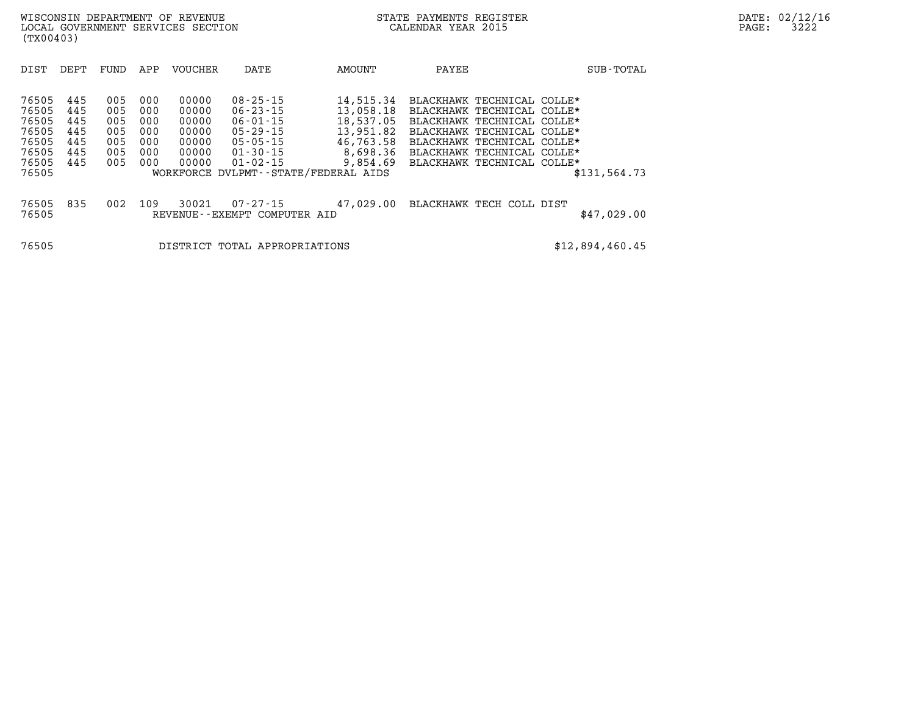| DIST                                                                 | DEPT                                          | FUND                                          | APP                                           | <b>VOUCHER</b>                                              | DATE                                                                                                                                           | <b>AMOUNT</b>                                                                         | PAYEE                                                                                                                                                                                                          | SUB-TOTAL       |
|----------------------------------------------------------------------|-----------------------------------------------|-----------------------------------------------|-----------------------------------------------|-------------------------------------------------------------|------------------------------------------------------------------------------------------------------------------------------------------------|---------------------------------------------------------------------------------------|----------------------------------------------------------------------------------------------------------------------------------------------------------------------------------------------------------------|-----------------|
| 76505<br>76505<br>76505<br>76505<br>76505<br>76505<br>76505<br>76505 | 445<br>445<br>445<br>445<br>445<br>445<br>445 | 005<br>005<br>005<br>005<br>005<br>005<br>005 | 000<br>000<br>000<br>000<br>000<br>000<br>000 | 00000<br>00000<br>00000<br>00000<br>00000<br>00000<br>00000 | $08 - 25 - 15$<br>$06 - 23 - 15$<br>06-01-15<br>05 - 29 - 15<br>05-05-15<br>01-30-15<br>$01 - 02 - 15$<br>WORKFORCE DVLPMT--STATE/FEDERAL AIDS | 14,515.34<br>13,058.18<br>18,537.05<br>13,951.82<br>46,763.58<br>8,698.36<br>9,854.69 | BLACKHAWK TECHNICAL COLLE*<br>BLACKHAWK TECHNICAL COLLE*<br>BLACKHAWK TECHNICAL COLLE*<br>BLACKHAWK TECHNICAL COLLE*<br>BLACKHAWK TECHNICAL COLLE*<br>BLACKHAWK TECHNICAL COLLE*<br>BLACKHAWK TECHNICAL COLLE* | \$131,564.73    |
| 76505<br>76505                                                       | 835                                           | 002                                           | 109                                           | 30021                                                       | $07 - 27 - 15$<br>REVENUE--EXEMPT COMPUTER AID                                                                                                 | 47,029.00                                                                             | BLACKHAWK TECH COLL DIST                                                                                                                                                                                       | \$47,029.00     |
| 76505                                                                |                                               |                                               |                                               |                                                             | DISTRICT TOTAL APPROPRIATIONS                                                                                                                  |                                                                                       |                                                                                                                                                                                                                | \$12,894,460.45 |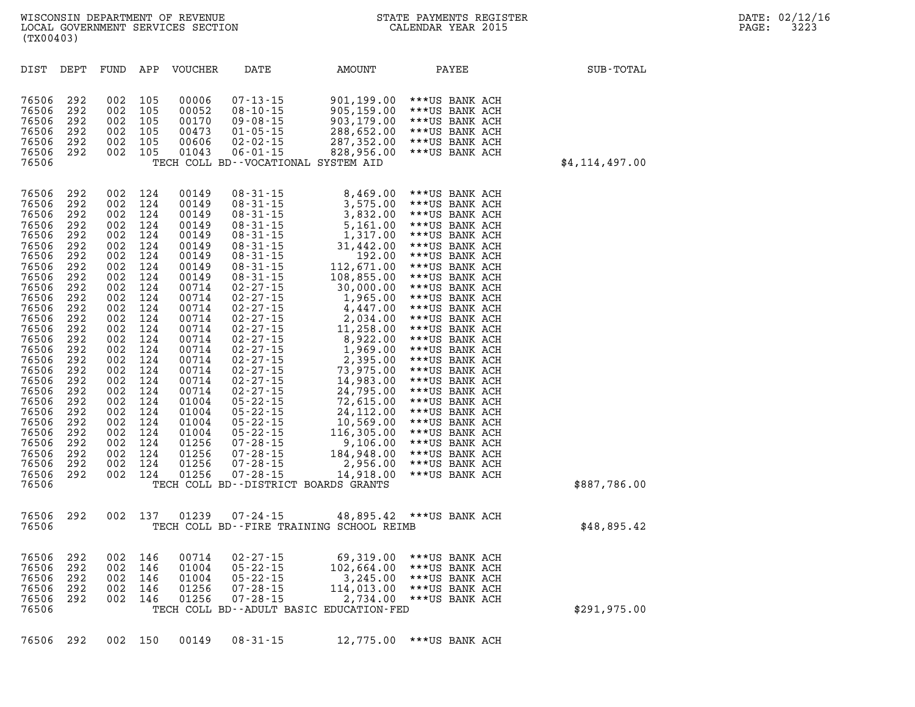| (TX00403)                                                                                                                                                                                                                                                         | LOCAL GOVERNMENT SERVICES SECTION                                                                                                                                                                                                                                                                                                                                                                    |                                                                                                                                                                                                  |                                                                                                                                                                                                                                                          |                                                                                                                                                                                                                                                                                                                                                                                                                                                                                                                      |                                                                                                                                                                                                                                                                                                                                                                                                      | CALENDAR YEAR 2015                                                                                                                                                                                                                                                                                                                                                                                                                                                                                                   |                  |
|-------------------------------------------------------------------------------------------------------------------------------------------------------------------------------------------------------------------------------------------------------------------|------------------------------------------------------------------------------------------------------------------------------------------------------------------------------------------------------------------------------------------------------------------------------------------------------------------------------------------------------------------------------------------------------|--------------------------------------------------------------------------------------------------------------------------------------------------------------------------------------------------|----------------------------------------------------------------------------------------------------------------------------------------------------------------------------------------------------------------------------------------------------------|----------------------------------------------------------------------------------------------------------------------------------------------------------------------------------------------------------------------------------------------------------------------------------------------------------------------------------------------------------------------------------------------------------------------------------------------------------------------------------------------------------------------|------------------------------------------------------------------------------------------------------------------------------------------------------------------------------------------------------------------------------------------------------------------------------------------------------------------------------------------------------------------------------------------------------|----------------------------------------------------------------------------------------------------------------------------------------------------------------------------------------------------------------------------------------------------------------------------------------------------------------------------------------------------------------------------------------------------------------------------------------------------------------------------------------------------------------------|------------------|
| DIST                                                                                                                                                                                                                                                              | DEPT<br>FUND                                                                                                                                                                                                                                                                                                                                                                                         | APP                                                                                                                                                                                              | VOUCHER                                                                                                                                                                                                                                                  | DATE                                                                                                                                                                                                                                                                                                                                                                                                                                                                                                                 | AMOUNT                                                                                                                                                                                                                                                                                                                                                                                               | PAYEE                                                                                                                                                                                                                                                                                                                                                                                                                                                                                                                | SUB-TOTAL        |
| 76506<br>76506<br>76506<br>76506<br>76506<br>76506<br>76506                                                                                                                                                                                                       | 292<br>002<br>292<br>002<br>292<br>002<br>292<br>002<br>292<br>002<br>292<br>002                                                                                                                                                                                                                                                                                                                     | 105<br>105<br>105<br>105<br>105<br>105                                                                                                                                                           | 00006<br>00052<br>00170<br>00473<br>00606<br>01043                                                                                                                                                                                                       | $07 - 13 - 15$<br>$08 - 10 - 15$<br>$09 - 08 - 15$<br>$01 - 05 - 15$<br>$02 - 02 - 15$<br>$06 - 01 - 15$                                                                                                                                                                                                                                                                                                                                                                                                             | 901,199.00<br>905,159.00<br>903,179.00<br>288,652.00<br>287,352.00<br>828,956.00<br>TECH COLL BD--VOCATIONAL SYSTEM AID                                                                                                                                                                                                                                                                              | ***US BANK ACH<br>***US BANK ACH<br>***US BANK ACH<br>***US BANK ACH<br>***US BANK ACH<br>***US BANK ACH                                                                                                                                                                                                                                                                                                                                                                                                             | \$4, 114, 497.00 |
| 76506<br>76506<br>76506<br>76506<br>76506<br>76506<br>76506<br>76506<br>76506<br>76506<br>76506<br>76506<br>76506<br>76506<br>76506<br>76506<br>76506<br>76506<br>76506<br>76506<br>76506<br>76506<br>76506<br>76506<br>76506<br>76506<br>76506<br>76506<br>76506 | 292<br>002<br>292<br>002<br>292<br>002<br>292<br>002<br>292<br>002<br>292<br>002<br>292<br>002<br>292<br>002<br>292<br>002<br>292<br>002<br>292<br>002<br>292<br>002<br>292<br>002<br>292<br>002<br>292<br>002<br>292<br>002<br>292<br>002<br>292<br>002<br>292<br>002<br>292<br>002<br>292<br>002<br>292<br>002<br>292<br>002<br>292<br>002<br>292<br>002<br>292<br>002<br>292<br>002<br>292<br>002 | 124<br>124<br>124<br>124<br>124<br>124<br>124<br>124<br>124<br>124<br>124<br>124<br>124<br>124<br>124<br>124<br>124<br>124<br>124<br>124<br>124<br>124<br>124<br>124<br>124<br>124<br>124<br>124 | 00149<br>00149<br>00149<br>00149<br>00149<br>00149<br>00149<br>00149<br>00149<br>00714<br>00714<br>00714<br>00714<br>00714<br>00714<br>00714<br>00714<br>00714<br>00714<br>00714<br>01004<br>01004<br>01004<br>01004<br>01256<br>01256<br>01256<br>01256 | $08 - 31 - 15$<br>$08 - 31 - 15$<br>$08 - 31 - 15$<br>$08 - 31 - 15$<br>$08 - 31 - 15$<br>$08 - 31 - 15$<br>$08 - 31 - 15$<br>$08 - 31 - 15$<br>$08 - 31 - 15$<br>$02 - 27 - 15$<br>$02 - 27 - 15$<br>$02 - 27 - 15$<br>$02 - 27 - 15$<br>$02 - 27 - 15$<br>$02 - 27 - 15$<br>$02 - 27 - 15$<br>$02 - 27 - 15$<br>$02 - 27 - 15$<br>$02 - 27 - 15$<br>$02 - 27 - 15$<br>$05 - 22 - 15$<br>$05 - 22 - 15$<br>$05 - 22 - 15$<br>$05 - 22 - 15$<br>$07 - 28 - 15$<br>$07 - 28 - 15$<br>$07 - 28 - 15$<br>$07 - 28 - 15$ | 8,469.00<br>3,575.00<br>3,832.00<br>5,161.00<br>1,317.00<br>31,442.00<br>192.00<br>112,671.00<br>108,855.00<br>30,000.00<br>1,965.00<br>4,447.00<br>2,034.00<br>11,258.00<br>8,922.00<br>1,969.00<br>2,395.00<br>73,975.00<br>14,983.00<br>24,795.00<br>72,615.00<br>24,112.00<br>10,569.00<br>116,305.00<br>9,106.00<br>184,948.00<br>2,956.00<br>14,918.00<br>TECH COLL BD--DISTRICT BOARDS GRANTS | ***US BANK ACH<br>***US BANK ACH<br>***US BANK ACH<br>***US BANK ACH<br>***US BANK ACH<br>***US BANK ACH<br>***US BANK ACH<br>***US BANK ACH<br>***US BANK ACH<br>***US BANK ACH<br>***US BANK ACH<br>***US BANK ACH<br>***US BANK ACH<br>***US BANK ACH<br>***US BANK ACH<br>***US BANK ACH<br>***US BANK ACH<br>***US BANK ACH<br>***US BANK ACH<br>***US BANK ACH<br>***US BANK ACH<br>***US BANK ACH<br>***US BANK ACH<br>***US BANK ACH<br>***US BANK ACH<br>***US BANK ACH<br>***US BANK ACH<br>***US BANK ACH | \$887,786.00     |
| 76506<br>76506                                                                                                                                                                                                                                                    | 292<br>002                                                                                                                                                                                                                                                                                                                                                                                           | 137                                                                                                                                                                                              | 01239                                                                                                                                                                                                                                                    | $07 - 24 - 15$                                                                                                                                                                                                                                                                                                                                                                                                                                                                                                       | 48,895.42<br>TECH COLL BD--FIRE TRAINING SCHOOL REIMB                                                                                                                                                                                                                                                                                                                                                | ***US BANK ACH                                                                                                                                                                                                                                                                                                                                                                                                                                                                                                       | \$48,895.42      |
| 76506<br>76506<br>76506<br>76506<br>76506<br>76506                                                                                                                                                                                                                | 292<br>002<br>292<br>002<br>292<br>002<br>292<br>002<br>292<br>002                                                                                                                                                                                                                                                                                                                                   | 146<br>146<br>146<br>146<br>146                                                                                                                                                                  | 00714<br>01004<br>01004<br>01256<br>01256                                                                                                                                                                                                                | $02 - 27 - 15$<br>$05 - 22 - 15$<br>$05 - 22 - 15$<br>$07 - 28 - 15$<br>$07 - 28 - 15$                                                                                                                                                                                                                                                                                                                                                                                                                               | 69,319.00<br>102,664.00<br>3,245.00<br>114,013.00<br>2,734.00<br>TECH COLL BD--ADULT BASIC EDUCATION-FED                                                                                                                                                                                                                                                                                             | ***US BANK ACH<br>***US BANK ACH<br>***US BANK ACH<br>***US BANK ACH<br>***US BANK ACH                                                                                                                                                                                                                                                                                                                                                                                                                               | \$291, 975.00    |
| 76506                                                                                                                                                                                                                                                             | 292                                                                                                                                                                                                                                                                                                                                                                                                  | 002 150                                                                                                                                                                                          | 00149                                                                                                                                                                                                                                                    | $08 - 31 - 15$                                                                                                                                                                                                                                                                                                                                                                                                                                                                                                       | 12,775.00                                                                                                                                                                                                                                                                                                                                                                                            | ***US BANK ACH                                                                                                                                                                                                                                                                                                                                                                                                                                                                                                       |                  |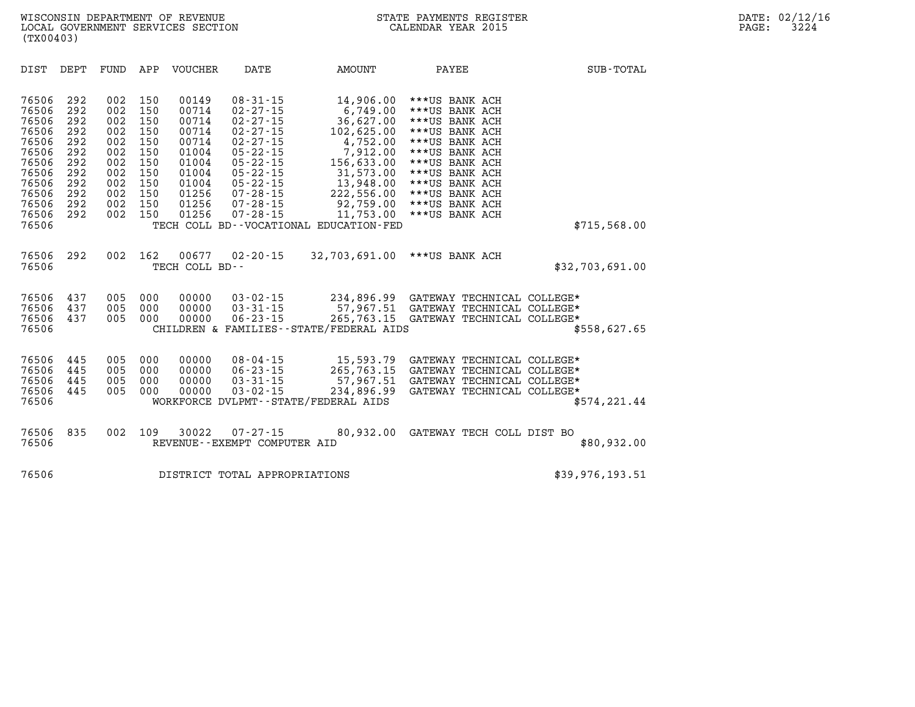| DIST                                                                                                              | DEPT                                                                             | FUND                                                                             | APP                                                                              | <b>VOUCHER</b>                                                                                           | DATE                                                                                                                                                                                                                 | AMOUNT                                                                                                                                                                                             | PAYEE                                                                                                                                                                                                                | SUB-TOTAL       |
|-------------------------------------------------------------------------------------------------------------------|----------------------------------------------------------------------------------|----------------------------------------------------------------------------------|----------------------------------------------------------------------------------|----------------------------------------------------------------------------------------------------------|----------------------------------------------------------------------------------------------------------------------------------------------------------------------------------------------------------------------|----------------------------------------------------------------------------------------------------------------------------------------------------------------------------------------------------|----------------------------------------------------------------------------------------------------------------------------------------------------------------------------------------------------------------------|-----------------|
| 76506<br>76506<br>76506<br>76506<br>76506<br>76506<br>76506<br>76506<br>76506<br>76506<br>76506<br>76506<br>76506 | 292<br>292<br>292<br>292<br>292<br>292<br>292<br>292<br>292<br>292<br>292<br>292 | 002<br>002<br>002<br>002<br>002<br>002<br>002<br>002<br>002<br>002<br>002<br>002 | 150<br>150<br>150<br>150<br>150<br>150<br>150<br>150<br>150<br>150<br>150<br>150 | 00149<br>00714<br>00714<br>00714<br>00714<br>01004<br>01004<br>01004<br>01004<br>01256<br>01256<br>01256 | $08 - 31 - 15$<br>$02 - 27 - 15$<br>$02 - 27 - 15$<br>$02 - 27 - 15$<br>$02 - 27 - 15$<br>$05 - 22 - 15$<br>$05 - 22 - 15$<br>$05 - 22 - 15$<br>$05 - 22 - 15$<br>$07 - 28 - 15$<br>$07 - 28 - 15$<br>$07 - 28 - 15$ | 14,906.00<br>6,749.00<br>36,627.00<br>102,625.00<br>4,752.00<br>7,912.00<br>156,633.00<br>31,573.00<br>13,948.00<br>222,556.00<br>92,759.00<br>11,753.00<br>TECH COLL BD--VOCATIONAL EDUCATION-FED | ***US BANK ACH<br>***US BANK ACH<br>***US BANK ACH<br>***US BANK ACH<br>***US BANK ACH<br>***US BANK ACH<br>***US BANK ACH<br>***US BANK ACH<br>***US BANK ACH<br>***US BANK ACH<br>***US BANK ACH<br>***US BANK ACH | \$715,568.00    |
| 76506<br>76506                                                                                                    | 292                                                                              | 002                                                                              | 162                                                                              | 00677<br>TECH COLL BD--                                                                                  | $02 - 20 - 15$                                                                                                                                                                                                       | 32,703,691.00                                                                                                                                                                                      | ***US BANK ACH                                                                                                                                                                                                       | \$32,703,691.00 |
| 76506<br>76506<br>76506<br>76506                                                                                  | 437<br>437<br>437                                                                | 005<br>005<br>005                                                                | 000<br>000<br>000                                                                | 00000<br>00000<br>00000                                                                                  | $03 - 02 - 15$<br>$03 - 31 - 15$<br>$06 - 23 - 15$                                                                                                                                                                   | 57,967.51<br>265,763.15<br>CHILDREN & FAMILIES - - STATE/FEDERAL AIDS                                                                                                                              | 234,896.99 GATEWAY TECHNICAL COLLEGE*<br>GATEWAY TECHNICAL COLLEGE*<br>GATEWAY TECHNICAL COLLEGE*                                                                                                                    | \$558,627.65    |
| 76506<br>76506<br>76506<br>76506<br>76506                                                                         | 445<br>445<br>445<br>445                                                         | 005<br>005<br>005<br>005                                                         | 000<br>000<br>000<br>000                                                         | 00000<br>00000<br>00000<br>00000                                                                         | $08 - 04 - 15$<br>$06 - 23 - 15$<br>$03 - 31 - 15$<br>$03 - 02 - 15$                                                                                                                                                 | 15,593.79<br>265,763.15<br>57,967.51<br>234,896.99<br>WORKFORCE DVLPMT--STATE/FEDERAL AIDS                                                                                                         | GATEWAY TECHNICAL COLLEGE*<br>GATEWAY TECHNICAL COLLEGE*<br>GATEWAY TECHNICAL COLLEGE*<br>GATEWAY TECHNICAL COLLEGE*                                                                                                 | \$574, 221.44   |
| 76506<br>76506                                                                                                    | 835                                                                              | 002                                                                              | 109                                                                              | 30022                                                                                                    | $07 - 27 - 15$<br>REVENUE--EXEMPT COMPUTER AID                                                                                                                                                                       | 80,932.00                                                                                                                                                                                          | GATEWAY TECH COLL DIST BO                                                                                                                                                                                            | \$80,932.00     |
| 76506                                                                                                             |                                                                                  |                                                                                  |                                                                                  |                                                                                                          | DISTRICT TOTAL APPROPRIATIONS                                                                                                                                                                                        |                                                                                                                                                                                                    |                                                                                                                                                                                                                      | \$39,976,193.51 |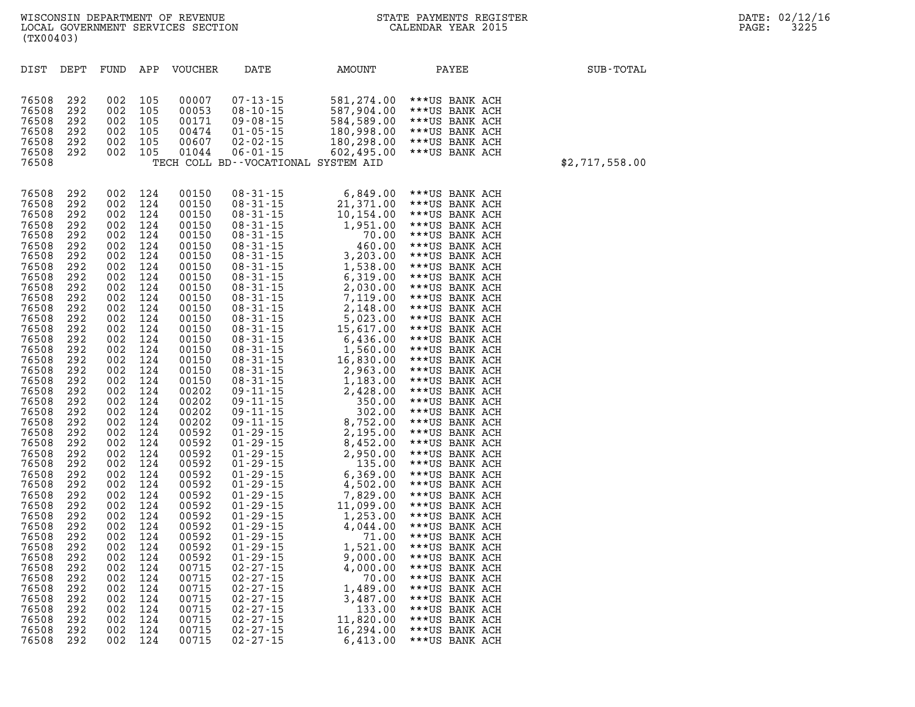| DIST  | DEPT       | FUND       | APP        | <b>VOUCHER</b> | DATE                                | AMOUNT     | PAYEE          | SUB-TOTAL      |
|-------|------------|------------|------------|----------------|-------------------------------------|------------|----------------|----------------|
|       |            |            |            |                |                                     |            |                |                |
|       |            |            |            |                |                                     |            |                |                |
| 76508 | 292        | 002        | 105        | 00007          | $07 - 13 - 15$                      | 581,274.00 | ***US BANK ACH |                |
| 76508 | 292        | 002        | 105        | 00053          | $08 - 10 - 15$                      | 587,904.00 | ***US BANK ACH |                |
| 76508 | 292        | 002        | 105        | 00171          | $09 - 08 - 15$                      | 584,589.00 | ***US BANK ACH |                |
| 76508 | 292        | 002        | 105        | 00474          | $01 - 05 - 15$                      | 180,998.00 | ***US BANK ACH |                |
| 76508 | 292        | 002        | 105        | 00607          | $02 - 02 - 15$                      | 180,298.00 | ***US BANK ACH |                |
| 76508 | 292        | 002        | 105        | 01044          | $06 - 01 - 15$                      | 602,495.00 | ***US BANK ACH |                |
| 76508 |            |            |            |                | TECH COLL BD--VOCATIONAL SYSTEM AID |            |                | \$2,717,558.00 |
|       |            |            |            |                |                                     |            |                |                |
| 76508 | 292        | 002        | 124        | 00150          | $08 - 31 - 15$                      | 6,849.00   | ***US BANK ACH |                |
| 76508 | 292        | 002        | 124        | 00150          | $08 - 31 - 15$                      | 21,371.00  | ***US BANK ACH |                |
| 76508 | 292        | 002        | 124        | 00150          | $08 - 31 - 15$                      | 10,154.00  | ***US BANK ACH |                |
| 76508 | 292        | 002        | 124        | 00150          | $08 - 31 - 15$                      | 1,951.00   | ***US BANK ACH |                |
| 76508 | 292        | 002        | 124        | 00150          | $08 - 31 - 15$                      | 70.00      | ***US BANK ACH |                |
| 76508 | 292        | 002        | 124        | 00150          | $08 - 31 - 15$                      | 460.00     | ***US BANK ACH |                |
| 76508 | 292        | 002        | 124        | 00150          | $08 - 31 - 15$                      | 3,203.00   | ***US BANK ACH |                |
| 76508 | 292        | 002        | 124        | 00150          | $08 - 31 - 15$                      | 1,538.00   | ***US BANK ACH |                |
| 76508 | 292        | 002        | 124        | 00150          | $08 - 31 - 15$                      | 6,319.00   | ***US BANK ACH |                |
| 76508 | 292        | 002        | 124        | 00150          | $08 - 31 - 15$                      | 2,030.00   | ***US BANK ACH |                |
| 76508 | 292        | 002        | 124        | 00150          | $08 - 31 - 15$                      | 7,119.00   | ***US BANK ACH |                |
| 76508 | 292        | 002        | 124        | 00150          | $08 - 31 - 15$                      | 2,148.00   | ***US BANK ACH |                |
| 76508 | 292        | 002        | 124        | 00150          | $08 - 31 - 15$                      | 5,023.00   | ***US BANK ACH |                |
| 76508 | 292        | 002        | 124        | 00150          | $08 - 31 - 15$                      | 15,617.00  | ***US BANK ACH |                |
| 76508 | 292        | 002        | 124        | 00150          | $08 - 31 - 15$                      | 6,436.00   | ***US BANK ACH |                |
| 76508 | 292        | 002        | 124        | 00150          | $08 - 31 - 15$                      | 1,560.00   | ***US BANK ACH |                |
| 76508 | 292        | 002        | 124        | 00150          | $08 - 31 - 15$                      | 16,830.00  | ***US BANK ACH |                |
| 76508 | 292        | 002        | 124        | 00150          | $08 - 31 - 15$                      | 2,963.00   | ***US BANK ACH |                |
| 76508 | 292        | 002        | 124        | 00150          | $08 - 31 - 15$                      | 1,183.00   | ***US BANK ACH |                |
| 76508 | 292        | 002        | 124        | 00202          | $09 - 11 - 15$                      | 2,428.00   | ***US BANK ACH |                |
| 76508 | 292        | 002        | 124        | 00202          | $09 - 11 - 15$                      | 350.00     | ***US BANK ACH |                |
| 76508 | 292        | 002        | 124        | 00202          | $09 - 11 - 15$                      | 302.00     | ***US BANK ACH |                |
| 76508 | 292        | 002        | 124        | 00202          | $09 - 11 - 15$                      | 8,752.00   | ***US BANK ACH |                |
| 76508 | 292        | 002        | 124        | 00592          | $01 - 29 - 15$                      | 2,195.00   | ***US BANK ACH |                |
| 76508 | 292        | 002        | 124        | 00592          | $01 - 29 - 15$                      | 8,452.00   | ***US BANK ACH |                |
| 76508 | 292        | 002        | 124        | 00592          | $01 - 29 - 15$                      | 2,950.00   | ***US BANK ACH |                |
| 76508 | 292        | 002        | 124        | 00592          | $01 - 29 - 15$                      | 135.00     | ***US BANK ACH |                |
| 76508 | 292        | 002        | 124        | 00592          | $01 - 29 - 15$                      | 6,369.00   | ***US BANK ACH |                |
| 76508 | 292        | 002        | 124        | 00592          | $01 - 29 - 15$                      | 4,502.00   | ***US BANK ACH |                |
| 76508 | 292        | 002        | 124        | 00592          | $01 - 29 - 15$                      | 7,829.00   | ***US BANK ACH |                |
| 76508 | 292        | 002        | 124        | 00592          | $01 - 29 - 15$                      | 11,099.00  | ***US BANK ACH |                |
| 76508 | 292        | 002        | 124        | 00592          | $01 - 29 - 15$                      | 1,253.00   | ***US BANK ACH |                |
| 76508 | 292        | 002        | 124        | 00592          | $01 - 29 - 15$                      | 4,044.00   | ***US BANK ACH |                |
| 76508 | 292        | 002        | 124        | 00592          | $01 - 29 - 15$                      | 71.00      | ***US BANK ACH |                |
| 76508 | 292        | 002        | 124        | 00592          | $01 - 29 - 15$                      | 1,521.00   | ***US BANK ACH |                |
| 76508 | 292        | 002        | 124        | 00592          | $01 - 29 - 15$                      | 9,000.00   | ***US BANK ACH |                |
| 76508 | 292        | 002        | 124        | 00715          | $02 - 27 - 15$                      | 4,000.00   | ***US BANK ACH |                |
| 76508 | 292        | 002        | 124        | 00715          | $02 - 27 - 15$                      | 70.00      | ***US BANK ACH |                |
| 76508 | 292        | 002        | 124        | 00715          | $02 - 27 - 15$                      | 1,489.00   | ***US BANK ACH |                |
| 76508 | 292        | 002        | 124        | 00715          | $02 - 27 - 15$                      | 3,487.00   | ***US BANK ACH |                |
| 76508 | 292        | 002<br>002 | 124<br>124 | 00715<br>00715 | $02 - 27 - 15$<br>$02 - 27 - 15$    | 133.00     | ***US BANK ACH |                |
| 76508 | 292<br>292 |            |            |                | $02 - 27 - 15$                      | 11,820.00  | ***US BANK ACH |                |
| 76508 | 292        | 002<br>002 | 124<br>124 | 00715<br>00715 |                                     | 16,294.00  | ***US BANK ACH |                |
| 76508 |            |            |            |                | $02 - 27 - 15$                      | 6,413.00   | ***US BANK ACH |                |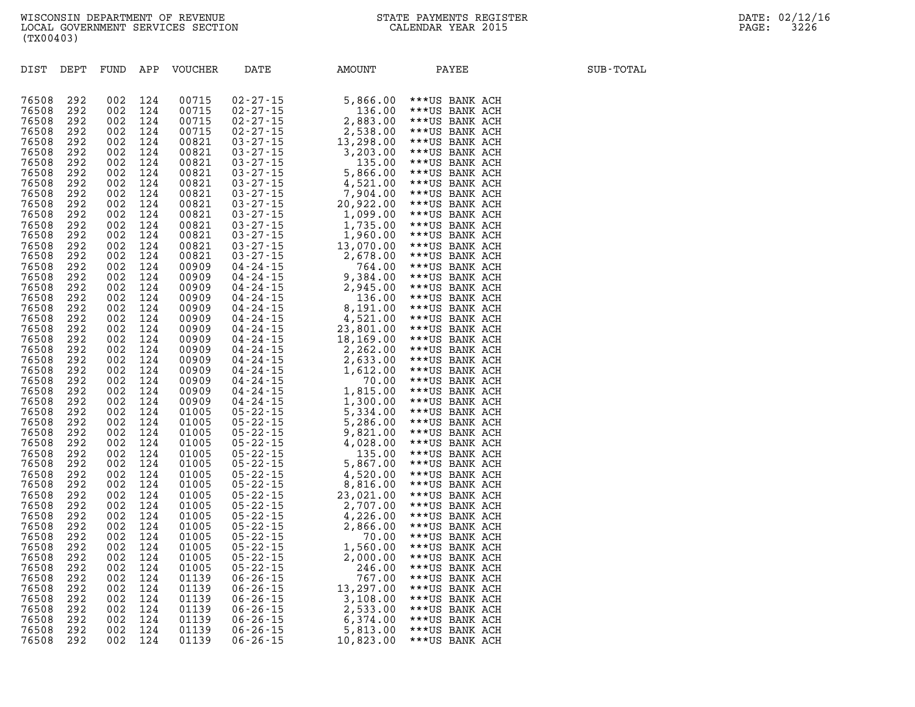| DIST           | DEPT       | FUND       | APP        | <b>VOUCHER</b> | DATE                                                                                                                    | AMOUNT               | PAYEE                            | SUB-TOTAL |
|----------------|------------|------------|------------|----------------|-------------------------------------------------------------------------------------------------------------------------|----------------------|----------------------------------|-----------|
|                |            |            |            |                |                                                                                                                         |                      |                                  |           |
|                |            |            |            |                |                                                                                                                         |                      |                                  |           |
| 76508          | 292        | 002        | 124        | 00715          | $02 - 27 - 15$                                                                                                          | 5,866.00             | ***US BANK ACH                   |           |
| 76508          | 292        | 002        | 124        | 00715          | $02 - 27 - 15$                                                                                                          | 136.00               | ***US BANK ACH                   |           |
| 76508          | 292        | 002        | 124        | 00715          | $02 - 27 - 15$                                                                                                          | 2,883.00             | ***US BANK ACH                   |           |
| 76508          | 292        | 002        | 124        | 00715          | $02 - 27 - 15$                                                                                                          | 2,538.00             | ***US BANK ACH                   |           |
| 76508          | 292        | 002        | 124        | 00821          | $03 - 27 - 15$                                                                                                          | 13,298.00            | ***US BANK ACH                   |           |
| 76508          | 292        | 002        | 124        | 00821          | $03 - 27 - 15$                                                                                                          | 3,203.00             | ***US BANK ACH                   |           |
| 76508          | 292        | 002        | 124        | 00821          | $03 - 27 - 15$                                                                                                          | 135.00               | ***US BANK ACH                   |           |
| 76508<br>76508 | 292<br>292 | 002<br>002 | 124<br>124 | 00821<br>00821 | $03 - 27 - 15$<br>$03 - 27 - 15$                                                                                        | 5,866.00<br>4,521.00 | ***US BANK ACH<br>***US BANK ACH |           |
| 76508          | 292        | 002        | 124        | 00821          | $03 - 27 - 15$                                                                                                          | 7,904.00             | ***US BANK ACH                   |           |
| 76508          | 292        | 002        | 124        | 00821          | $03 - 27 - 15$                                                                                                          | 20,922.00            | ***US BANK ACH                   |           |
| 76508          | 292        | 002        | 124        | 00821          | $03 - 27 - 15$                                                                                                          | 1,099.00             | ***US BANK ACH                   |           |
| 76508          | 292        | 002        | 124        | 00821          | $03 - 27 - 15$                                                                                                          | 1,735.00             | ***US BANK ACH                   |           |
| 76508          | 292        | 002        | 124        | 00821          | $03 - 27 - 15$                                                                                                          | 1,960.00             | ***US BANK ACH                   |           |
| 76508          | 292        | 002        | 124        | 00821          | $03 - 27 - 15$                                                                                                          | 13,070.00            | ***US BANK ACH                   |           |
| 76508          | 292        | 002        | 124        | 00821          | $03 - 27 - 15$                                                                                                          | 2,678.00             | ***US BANK ACH                   |           |
| 76508          | 292        | 002        | 124        | 00909          | 04 - 24 - 15                                                                                                            | 764.00               | ***US BANK ACH                   |           |
| 76508          | 292        | 002        | 124        | 00909          | $04 - 24 - 15$                                                                                                          | 9,384.00             | ***US BANK ACH                   |           |
| 76508          | 292        | 002        | 124        | 00909          | $04 - 24 - 15$                                                                                                          | 2,945.00             | ***US BANK ACH                   |           |
| 76508          | 292        | 002        | 124        | 00909          | 04 - 24 - 15                                                                                                            | 136.00               | ***US BANK ACH                   |           |
| 76508          | 292        | 002        | 124        | 00909          | $04 - 24 - 15$                                                                                                          | 8,191.00             | ***US BANK ACH                   |           |
| 76508          | 292        | 002        | 124        | 00909          | 04-24-15                                                                                                                | 4,521.00             | ***US BANK ACH                   |           |
| 76508          | 292        | 002        | 124        | 00909          | 04-24-15                                                                                                                | 23,801.00            | ***US BANK ACH                   |           |
| 76508          | 292        | 002        | 124        | 00909          | $04 - 24 - 15$                                                                                                          | 18,169.00            | ***US BANK ACH                   |           |
| 76508          | 292        | 002        | 124        | 00909          |                                                                                                                         | 2,262.00             | ***US BANK ACH                   |           |
| 76508          | 292        | 002        | 124        | 00909          | $04 - 24 - 15$ $04 - 24 - 15$ $04 - 24 - 15$ $04 - 24 - 15$ $04 - 24 - 15$ $04 - 24 - 15$ $04 - 24 - 15$ $04 - 24 - 15$ | 2,633.00             | ***US BANK ACH                   |           |
| 76508          | 292        | 002        | 124        | 00909          |                                                                                                                         | 1,612.00             | ***US BANK ACH                   |           |
| 76508          | 292        | 002        | 124        | 00909          |                                                                                                                         | 70.00                | ***US BANK ACH                   |           |
| 76508          | 292        | 002        | 124        | 00909          |                                                                                                                         | 1,815.00             | ***US BANK ACH                   |           |
| 76508          | 292        | 002        | 124        | 00909          |                                                                                                                         | 1,300.00             | ***US BANK ACH                   |           |
| 76508          | 292        | 002        | 124        | 01005          | $05 - 22 - 15$                                                                                                          | 5,334.00             | ***US BANK ACH                   |           |
| 76508<br>76508 | 292<br>292 | 002<br>002 | 124<br>124 | 01005<br>01005 | $05 - 22 - 15$<br>$05 - 22 - 15$                                                                                        | 5,286.00             | ***US BANK ACH                   |           |
| 76508          | 292        | 002        | 124        | 01005          | $05 - 22 - 15$                                                                                                          | 9,821.00<br>4,028.00 | ***US BANK ACH<br>***US BANK ACH |           |
| 76508          | 292        | 002        | 124        | 01005          | $05 - 22 - 15$                                                                                                          | 135.00               | ***US BANK ACH                   |           |
| 76508          | 292        | 002        | 124        | 01005          | $05 - 22 - 15$                                                                                                          | 5,867.00             | ***US BANK ACH                   |           |
| 76508          | 292        | 002        | 124        | 01005          | $05 - 22 - 15$                                                                                                          | 4,520.00             | ***US BANK ACH                   |           |
| 76508          | 292        | 002        | 124        | 01005          | $05 - 22 - 15$                                                                                                          | 8,816.00             | ***US BANK ACH                   |           |
| 76508          | 292        | 002        | 124        | 01005          | $05 - 22 - 15$                                                                                                          | 23,021.00            | ***US BANK ACH                   |           |
| 76508          | 292        | 002        | 124        | 01005          | $05 - 22 - 15$                                                                                                          | 2,707.00             | ***US BANK ACH                   |           |
| 76508          | 292        | 002        | 124        | 01005          | $05 - 22 - 15$                                                                                                          | 4,226.00             | ***US BANK ACH                   |           |
| 76508          | 292        | 002        | 124        | 01005          | $05 - 22 - 15$                                                                                                          | 2,866.00             | ***US BANK ACH                   |           |
| 76508          | 292        | 002        | 124        | 01005          | $05 - 22 - 15$                                                                                                          | 70.00                | ***US BANK ACH                   |           |
| 76508          | 292        | 002        | 124        | 01005          | $05 - 22 - 15$                                                                                                          | 1,560.00             | ***US BANK ACH                   |           |
| 76508          | 292        | 002        | 124        | 01005          | $05 - 22 - 15$                                                                                                          | 2,000.00             | ***US BANK ACH                   |           |
| 76508          | 292        | 002        | 124        | 01005          | $05 - 22 - 15$                                                                                                          | 246.00               | ***US BANK ACH                   |           |
| 76508          | 292        | 002        | 124        | 01139          | $06 - 26 - 15$                                                                                                          | 767.00               | ***US BANK ACH                   |           |
| 76508          | 292        | 002        | 124        | 01139          | $06 - 26 - 15$                                                                                                          | 13,297.00            | ***US BANK ACH                   |           |
| 76508          | 292        | 002        | 124        | 01139          | $06 - 26 - 15$                                                                                                          | 3,108.00             | ***US BANK ACH                   |           |
| 76508          | 292        | 002        | 124        | 01139          | $06 - 26 - 15$                                                                                                          | 2,533.00             | ***US BANK ACH                   |           |
| 76508          | 292        | 002        | 124        | 01139          | $06 - 26 - 15$                                                                                                          | 6,374.00             | ***US BANK ACH                   |           |
| 76508          | 292        | 002        | 124        | 01139          | $06 - 26 - 15$                                                                                                          | 5,813.00             | ***US BANK ACH                   |           |
| 76508          | 292        | 002        | 124        | 01139          | $06 - 26 - 15$                                                                                                          | 10,823.00            | ***US BANK ACH                   |           |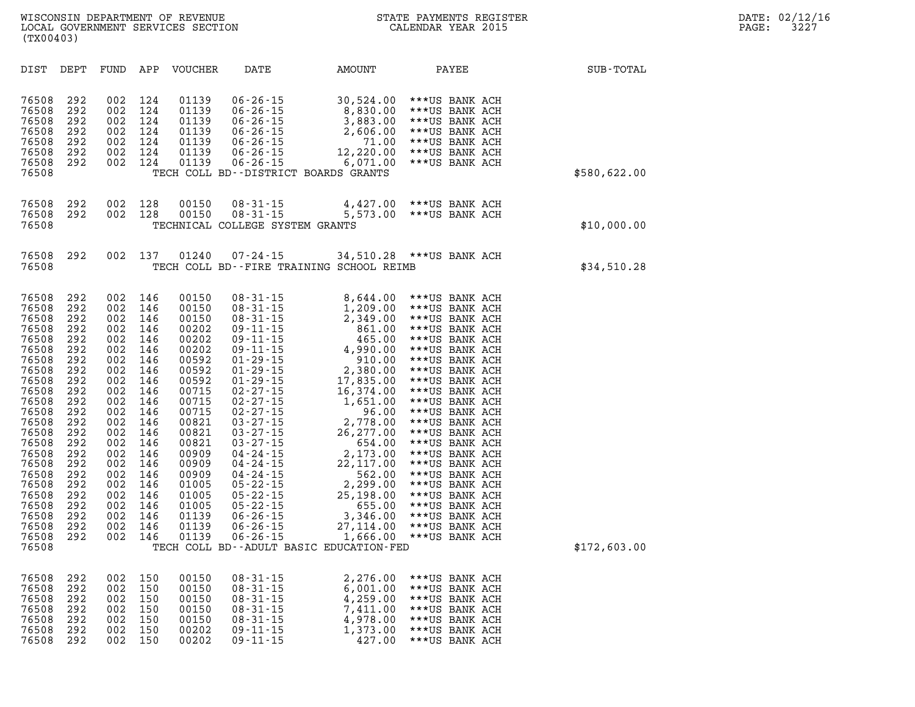| DIST<br>DEPT<br>FUND                                                                                                                                                                                                                                                                                                                                                                                                                                                                                                                                                          | APP<br><b>VOUCHER</b>                                                                                                                                                                                                                                                                                                                                                                        | DATE                                                                                                                                                                                                                                                                                                                                                                                                                              | AMOUNT                                                                                                                                                                                                                                                                                                                                     | PAYEE                                                                                                                                                                                                                                                                                                                                                                                                                                        | SUB-TOTAL    |
|-------------------------------------------------------------------------------------------------------------------------------------------------------------------------------------------------------------------------------------------------------------------------------------------------------------------------------------------------------------------------------------------------------------------------------------------------------------------------------------------------------------------------------------------------------------------------------|----------------------------------------------------------------------------------------------------------------------------------------------------------------------------------------------------------------------------------------------------------------------------------------------------------------------------------------------------------------------------------------------|-----------------------------------------------------------------------------------------------------------------------------------------------------------------------------------------------------------------------------------------------------------------------------------------------------------------------------------------------------------------------------------------------------------------------------------|--------------------------------------------------------------------------------------------------------------------------------------------------------------------------------------------------------------------------------------------------------------------------------------------------------------------------------------------|----------------------------------------------------------------------------------------------------------------------------------------------------------------------------------------------------------------------------------------------------------------------------------------------------------------------------------------------------------------------------------------------------------------------------------------------|--------------|
| 76508<br>002<br>292<br>76508<br>292<br>002<br>76508<br>292<br>002<br>76508<br>292<br>002<br>76508<br>292<br>002<br>76508<br>292<br>002<br>76508<br>292<br>002<br>76508                                                                                                                                                                                                                                                                                                                                                                                                        | 124<br>01139<br>124<br>01139<br>124<br>01139<br>124<br>01139<br>124<br>01139<br>124<br>01139<br>124<br>01139                                                                                                                                                                                                                                                                                 | $06 - 26 - 15$<br>$06 - 26 - 15$<br>$06 - 26 - 15$<br>$06 - 26 - 15$<br>$06 - 26 - 15$<br>$06 - 26 - 15$<br>$06 - 26 - 15$<br>TECH COLL BD--DISTRICT BOARDS GRANTS                                                                                                                                                                                                                                                                | 30,524.00<br>8,830.00<br>3,883.00<br>2,606.00<br>71.00<br>12,220.00<br>6,071.00                                                                                                                                                                                                                                                            | ***US BANK ACH<br>***US BANK ACH<br>***US BANK ACH<br>***US BANK ACH<br>***US BANK ACH<br>***US BANK ACH<br>***US BANK ACH                                                                                                                                                                                                                                                                                                                   | \$580,622.00 |
| 76508<br>292<br>002<br>76508<br>292<br>002<br>76508                                                                                                                                                                                                                                                                                                                                                                                                                                                                                                                           | 128<br>00150<br>128<br>00150                                                                                                                                                                                                                                                                                                                                                                 | $08 - 31 - 15$<br>$08 - 31 - 15$<br>TECHNICAL COLLEGE SYSTEM GRANTS                                                                                                                                                                                                                                                                                                                                                               |                                                                                                                                                                                                                                                                                                                                            | 4,427.00 *** US BANK ACH<br>5,573.00 *** US BANK ACH                                                                                                                                                                                                                                                                                                                                                                                         | \$10,000.00  |
| 76508<br>292<br>002<br>76508                                                                                                                                                                                                                                                                                                                                                                                                                                                                                                                                                  | 137<br>01240                                                                                                                                                                                                                                                                                                                                                                                 | $07 - 24 - 15$                                                                                                                                                                                                                                                                                                                                                                                                                    | TECH COLL BD--FIRE TRAINING SCHOOL REIMB                                                                                                                                                                                                                                                                                                   | 34,510.28 *** US BANK ACH                                                                                                                                                                                                                                                                                                                                                                                                                    | \$34,510.28  |
| 002<br>76508<br>292<br>76508<br>292<br>002<br>76508<br>292<br>002<br>76508<br>292<br>002<br>76508<br>292<br>002<br>76508<br>292<br>002<br>76508<br>292<br>002<br>76508<br>292<br>002<br>76508<br>292<br>002<br>76508<br>292<br>002<br>76508<br>292<br>002<br>76508<br>292<br>002<br>76508<br>292<br>002<br>76508<br>292<br>002<br>76508<br>292<br>002<br>76508<br>292<br>002<br>76508<br>292<br>002<br>76508<br>292<br>002<br>76508<br>292<br>002<br>76508<br>292<br>002<br>76508<br>292<br>002<br>76508<br>292<br>002<br>002<br>76508<br>292<br>002<br>76508<br>292<br>76508 | 146<br>00150<br>146<br>00150<br>146<br>00150<br>146<br>00202<br>146<br>00202<br>146<br>00202<br>146<br>00592<br>146<br>00592<br>146<br>00592<br>00715<br>146<br>146<br>00715<br>146<br>00715<br>146<br>00821<br>146<br>00821<br>146<br>00821<br>146<br>00909<br>146<br>00909<br>146<br>00909<br>146<br>01005<br>146<br>01005<br>146<br>01005<br>01139<br>146<br>146<br>01139<br>146<br>01139 | $08 - 31 - 15$<br>$08 - 31 - 15$<br>$08 - 31 - 15$<br>$09 - 11 - 15$<br>09 - 11 - 15<br>09 - 11 - 15<br>29 - 15<br>$01 - 29 - 15$<br>$01 - 29 - 15$<br>$02 - 27 - 15$<br>$02 - 27 - 15$<br>$02 - 27 - 15$<br>$03 - 27 - 15$<br>$03 - 27 - 15$<br>$03 - 27 - 15$<br>$04 - 24 - 15$<br>$04 - 24 - 15$<br>$04 - 24 - 15$<br>$05 - 22 - 15$<br>$05 - 22 - 15$<br>$05 - 22 - 15$<br>$06 - 26 - 15$<br>$06 - 26 - 15$<br>$06 - 26 - 15$ | 8,644.00<br>1,209.00<br>2,349.00<br>861.00<br>465.00<br>4,990.00<br>910.00<br>2,380.00<br>17,835.00<br>16,374.00<br>1,651.00<br>96.00<br>2,778.00<br>26.277<br>26, 277.00<br>654.00<br>2,173.00<br>22,117.00<br>562.00<br>2,299.00<br>25,198.00<br>655.00<br>3,346.00<br>27, 114.00<br>1,666.00<br>TECH COLL BD--ADULT BASIC EDUCATION-FED | ***US BANK ACH<br>***US BANK ACH<br>***US BANK ACH<br>***US BANK ACH<br>***US BANK ACH<br>***US BANK ACH<br>***US BANK ACH<br>***US BANK ACH<br>***US BANK ACH<br>***US BANK ACH<br>***US BANK ACH<br>***US BANK ACH<br>***US BANK ACH<br>***US BANK ACH<br>***US BANK ACH<br>***US BANK ACH<br>***US BANK ACH<br>***US BANK ACH<br>***US BANK ACH<br>***US BANK ACH<br>***US BANK ACH<br>***US BANK ACH<br>***US BANK ACH<br>***US BANK ACH | \$172,603.00 |
| 76508<br>292<br>002<br>76508<br>292<br>002<br>76508<br>002<br>292<br>76508<br>292<br>002<br>76508<br>292<br>002<br>76508<br>292<br>002<br>76508<br>292<br>002                                                                                                                                                                                                                                                                                                                                                                                                                 | 150<br>00150<br>150<br>00150<br>150<br>00150<br>150<br>00150<br>150<br>00150<br>150<br>00202<br>150<br>00202                                                                                                                                                                                                                                                                                 | $08 - 31 - 15$<br>$08 - 31 - 15$<br>$08 - 31 - 15$<br>$08 - 31 - 15$<br>$08 - 31 - 15$<br>$09 - 11 - 15$<br>$09 - 11 - 15$                                                                                                                                                                                                                                                                                                        | 2,276.00<br>6,001.00<br>4,259.00<br>7,411.00<br>4,978.00<br>1,373.00<br>427.00                                                                                                                                                                                                                                                             | ***US BANK ACH<br>***US BANK ACH<br>***US BANK ACH<br>***US BANK ACH<br>***US BANK ACH<br>***US BANK ACH<br>***US BANK ACH                                                                                                                                                                                                                                                                                                                   |              |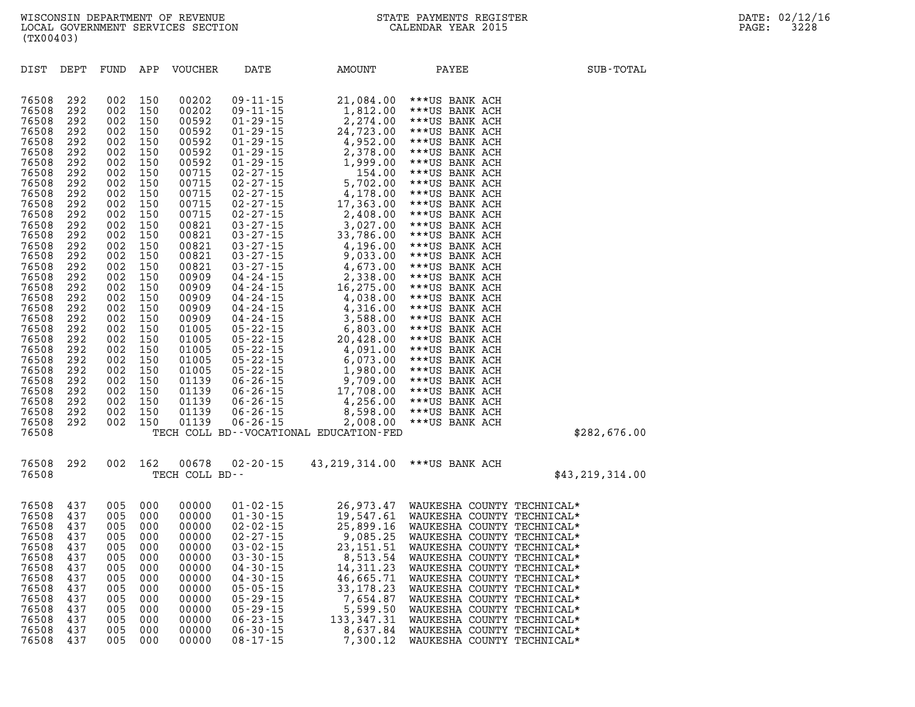| 76508 | 292 | 002        | 150 | 00202          | $09 - 11 - 15$                                                           | 21,084.00                              | ***US BANK ACH                       |                   |
|-------|-----|------------|-----|----------------|--------------------------------------------------------------------------|----------------------------------------|--------------------------------------|-------------------|
| 76508 | 292 | 002        | 150 | 00202          | $09 - 11 - 15$                                                           | 1,812.00                               | ***US BANK ACH                       |                   |
| 76508 | 292 | 002        | 150 | 00592          | $01 - 29 - 15$                                                           | 2,274.00                               | ***US BANK ACH                       |                   |
| 76508 | 292 | 002        | 150 | 00592          | $01 - 29 - 15$                                                           | 24,723.00                              | ***US BANK ACH                       |                   |
| 76508 | 292 | 002        | 150 | 00592          | $01 - 29 - 15$                                                           | 4,952.00                               | ***US BANK ACH                       |                   |
| 76508 | 292 | 002        | 150 | 00592          | $01 - 29 - 15$                                                           | 2,378.00                               | ***US BANK ACH                       |                   |
| 76508 | 292 | 002        | 150 | 00592          | $01 - 29 - 15$                                                           | 1,999.00                               | ***US BANK ACH                       |                   |
| 76508 | 292 | 002        | 150 | 00715          | $02 - 27 - 15$                                                           | 154.00                                 | ***US BANK ACH                       |                   |
| 76508 | 292 | 002        | 150 | 00715          | $02 - 27 - 15$                                                           | 5,702.00                               | ***US BANK ACH                       |                   |
| 76508 | 292 | 002        | 150 | 00715          | $02 - 27 - 15$                                                           | 4,178.00                               | ***US BANK ACH                       |                   |
| 76508 | 292 | 002        | 150 | 00715          | $02 - 27 - 15$                                                           | 17,363.00                              | ***US BANK ACH                       |                   |
| 76508 | 292 | 002        | 150 | 00715          | $02 - 27 - 15$                                                           | 2,408.00                               | ***US BANK ACH                       |                   |
| 76508 | 292 | 002        | 150 | 00821          | $03 - 27 - 15$                                                           | 3,027.00                               | ***US BANK ACH                       |                   |
| 76508 | 292 | 002        | 150 | 00821          | $03 - 27 - 15$                                                           | 33,786.00                              | ***US BANK ACH                       |                   |
| 76508 | 292 | 002        | 150 | 00821          |                                                                          | 4,196.00                               | ***US BANK ACH                       |                   |
| 76508 | 292 | 002        | 150 | 00821          | 03 - 27 - 15<br>03 - 27 - 15                                             | 9,033.00                               | ***US BANK ACH                       |                   |
| 76508 | 292 | 002        | 150 | 00821          |                                                                          | 4,673.00                               | ***US BANK ACH                       |                   |
| 76508 | 292 | 002        | 150 | 00909          |                                                                          | 2,338.00                               | ***US BANK ACH                       |                   |
| 76508 | 292 | 002        | 150 | 00909          |                                                                          | 16,275.00                              | ***US BANK ACH                       |                   |
| 76508 | 292 | 002        | 150 | 00909          | u - 2 / - 15<br>04 - 24 - 15<br>04 - 24 - 15<br>04 - 24 - <sup>1 E</sup> | 4,038.00                               | ***US BANK ACH                       |                   |
| 76508 | 292 | 002        | 150 | 00909          | 04 - 24 - 15<br>04 - 24 - 15                                             | 4,316.00                               | ***US BANK ACH                       |                   |
| 76508 | 292 | 002        | 150 | 00909          | $04 - 24 - 15$                                                           | 3,588.00                               | ***US BANK ACH                       |                   |
| 76508 | 292 | 002        | 150 | 01005          | $05 - 22 - 15$                                                           |                                        |                                      |                   |
| 76508 | 292 |            |     |                | $05 - 22 - 15$                                                           | 6,803.00                               | ***US BANK ACH                       |                   |
|       |     | 002        | 150 | 01005          |                                                                          | 20,428.00                              | ***US BANK ACH                       |                   |
| 76508 | 292 | 002        | 150 | 01005          | $05 - 22 - 15$                                                           | 4,091.00                               | ***US BANK ACH                       |                   |
| 76508 | 292 | 002        | 150 | 01005          | $05 - 22 - 15$                                                           | 6,073.00                               | ***US BANK ACH                       |                   |
| 76508 | 292 | 002        | 150 | 01005          | $05 - 22 - 15$                                                           | 1,980.00                               | ***US BANK ACH                       |                   |
| 76508 | 292 | 002        | 150 | 01139          | $06 - 26 - 15$                                                           | 9,709.00                               | ***US BANK ACH                       |                   |
| 76508 | 292 | 002        | 150 | 01139          | $06 - 26 - 15$                                                           | 17,708.00                              | ***US BANK ACH                       |                   |
| 76508 | 292 | 002        | 150 | 01139          | $06 - 26 - 15$                                                           | 4,256.00                               | ***US BANK ACH                       |                   |
| 76508 | 292 | 002        | 150 | 01139          | $06 - 26 - 15$                                                           | 8,598.00                               | ***US BANK ACH                       |                   |
| 76508 | 292 | 002        | 150 | 01139          | $06 - 26 - 15$                                                           | 2,008.00                               | ***US BANK ACH                       |                   |
| 76508 |     |            |     |                |                                                                          | TECH COLL BD--VOCATIONAL EDUCATION-FED |                                      | \$282,676.00      |
| 76508 | 292 | 002        | 162 | 00678          | $02 - 20 - 15$                                                           | 43,219,314.00                          | ***US BANK ACH                       |                   |
| 76508 |     |            |     | TECH COLL BD-- |                                                                          |                                        |                                      | \$43, 219, 314.00 |
|       |     |            |     |                |                                                                          |                                        |                                      |                   |
| 76508 | 437 | 005        | 000 | 00000          | $01 - 02 - 15$                                                           |                                        | 26,973.47 WAUKESHA COUNTY TECHNICAL* |                   |
| 76508 | 437 | 005        | 000 | 00000          | $01 - 30 - 15$                                                           | 19,547.61                              | WAUKESHA COUNTY TECHNICAL*           |                   |
| 76508 | 437 | 005        | 000 | 00000          | 02-02-15                                                                 | 25,899.16                              | WAUKESHA COUNTY TECHNICAL*           |                   |
| 76508 | 437 | 005        | 000 | 00000          | $02 - 27 - 15$                                                           | 9,085.25                               | WAUKESHA COUNTY TECHNICAL*           |                   |
| 76508 | 437 | 005        | 000 | 00000          | $03 - 02 - 15$                                                           | 23, 151.51                             | WAUKESHA COUNTY TECHNICAL*           |                   |
| 76508 | 137 | <b>005</b> | nnn | nnnnn          | 03-30-15                                                                 |                                        | 8 513 54 WAIIKECHA COUNTY TECHNICAL* |                   |

**DIST DEPT FUND APP VOUCHER DATE AMOUNT PAYEE SUB-TOTAL** 

| 76508 | 437 | 005 | 000 | 00000 | $01 - 02 - 15$ | 26,973.47    |          |        | WAUKESHA COUNTY TECHNICAL* |
|-------|-----|-----|-----|-------|----------------|--------------|----------|--------|----------------------------|
| 76508 | 437 | 005 | 000 | 00000 | $01 - 30 - 15$ | 19,547.61    | WAUKESHA |        | COUNTY TECHNICAL*          |
| 76508 | 437 | 005 | 000 | 00000 | $02 - 02 - 15$ | 25,899.16    |          |        | WAUKESHA COUNTY TECHNICAL* |
| 76508 | 437 | 005 | 000 | 00000 | $02 - 27 - 15$ | 9,085.25     |          |        | WAUKESHA COUNTY TECHNICAL* |
| 76508 | 437 | 005 | 000 | 00000 | $03 - 02 - 15$ | 23, 151. 51  |          |        | WAUKESHA COUNTY TECHNICAL* |
| 76508 | 437 | 005 | 000 | 00000 | $03 - 30 - 15$ | 8,513.54     |          |        | WAUKESHA COUNTY TECHNICAL* |
| 76508 | 437 | 005 | 000 | 00000 | $04 - 30 - 15$ | 14, 311, 23  |          |        | WAUKESHA COUNTY TECHNICAL* |
| 76508 | 437 | 005 | 000 | 00000 | $04 - 30 - 15$ | 46,665.71    |          |        | WAUKESHA COUNTY TECHNICAL* |
| 76508 | 437 | 005 | 000 | 00000 | $05 - 05 - 15$ | 33, 178. 23  |          |        | WAUKESHA COUNTY TECHNICAL* |
| 76508 | 437 | 005 | 000 | 00000 | $05 - 29 - 15$ | 7,654.87     |          |        | WAUKESHA COUNTY TECHNICAL* |
| 76508 | 437 | 005 | 000 | 00000 | $05 - 29 - 15$ | 5,599.50     | WAUKESHA |        | COUNTY TECHNICAL*          |
| 76508 | 437 | 005 | 000 | 00000 | $06 - 23 - 15$ | 133, 347. 31 | WAUKESHA |        | COUNTY TECHNICAL*          |
| 76508 | 437 | 005 | 000 | 00000 | $06 - 30 - 15$ | 8,637.84     | WAUKESHA | COUNTY | TECHNICAL*                 |
| 76508 | 437 | 005 | 000 | 00000 | $08 - 17 - 15$ | 7,300.12     |          |        | WAUKESHA COUNTY TECHNICAL* |
|       |     |     |     |       |                |              |          |        |                            |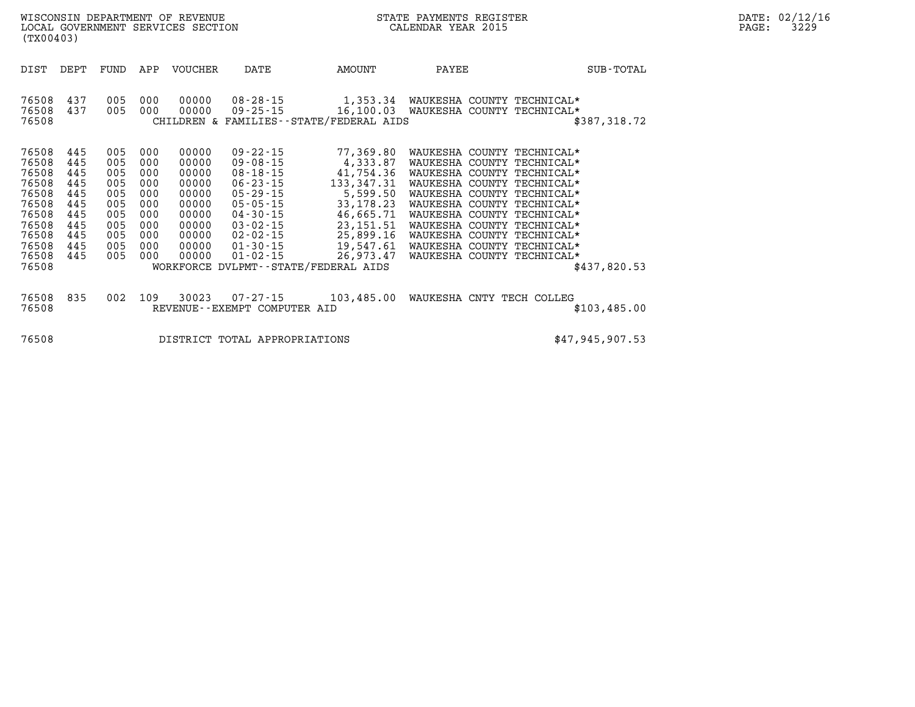| (TX00403)                                                                                                | WISCONSIN DEPARTMENT OF REVENUE<br>LOCAL GOVERNMENT SERVICES SECTION      |                                                                           |                                                                           |                                                                                                 |                                                                                                        |                                                                                                                                                                                                                                                   | STATE PAYMENTS REGISTER<br>CALENDAR YEAR 2015                                                                                                                                                                                                                                                                                          |              | DATE: 02/12/16<br>3229<br>PAGE: |
|----------------------------------------------------------------------------------------------------------|---------------------------------------------------------------------------|---------------------------------------------------------------------------|---------------------------------------------------------------------------|-------------------------------------------------------------------------------------------------|--------------------------------------------------------------------------------------------------------|---------------------------------------------------------------------------------------------------------------------------------------------------------------------------------------------------------------------------------------------------|----------------------------------------------------------------------------------------------------------------------------------------------------------------------------------------------------------------------------------------------------------------------------------------------------------------------------------------|--------------|---------------------------------|
| DIST                                                                                                     | DEPT                                                                      | FUND                                                                      | APP                                                                       | VOUCHER                                                                                         | DATE                                                                                                   | AMOUNT                                                                                                                                                                                                                                            | PAYEE                                                                                                                                                                                                                                                                                                                                  | SUB-TOTAL    |                                 |
| 76508<br>76508<br>76508                                                                                  | 437<br>437                                                                | 005<br>005                                                                | 000<br>000                                                                | 00000<br>00000                                                                                  |                                                                                                        | $08 - 28 - 15$ 1, 353.34<br>CHILDREN & FAMILIES - - STATE/FEDERAL AIDS                                                                                                                                                                            | WAUKESHA COUNTY TECHNICAL*<br>09-25-15 16,100.03 WAUKESHA COUNTY TECHNICAL*                                                                                                                                                                                                                                                            | \$387,318.72 |                                 |
| 76508<br>76508<br>76508<br>76508<br>76508<br>76508<br>76508<br>76508<br>76508<br>76508<br>76508<br>76508 | 445<br>445<br>445<br>445<br>445<br>445<br>445<br>445<br>445<br>445<br>445 | 005<br>005<br>005<br>005<br>005<br>005<br>005<br>005<br>005<br>005<br>005 | 000<br>000<br>000<br>000<br>000<br>000<br>000<br>000<br>000<br>000<br>000 | 00000<br>00000<br>00000<br>00000<br>00000<br>00000<br>00000<br>00000<br>00000<br>00000<br>00000 | 09 - 22 - 15<br>09-08-15<br>$08 - 18 - 15$<br>$06 - 23 - 15$<br>$05 - 29 - 15$<br>05-05-15<br>04-30-15 | 77,369.80<br>4,333.87<br>41,754.36<br>133,347.31<br>5,599.50<br>33, 178. 23<br>46,665.71<br>03-02-15 23,151.51<br>02-02-15 25,899.16<br>$01 - 30 - 15$<br>$01 - 02 - 15$<br>$01 - 02 - 15$<br>$26,973.47$<br>WORKFORCE DVLPMT--STATE/FEDERAL AIDS | WAUKESHA COUNTY TECHNICAL*<br>WAUKESHA COUNTY TECHNICAL*<br>WAUKESHA COUNTY TECHNICAL*<br>WAUKESHA COUNTY TECHNICAL*<br>WAUKESHA COUNTY TECHNICAL*<br>WAUKESHA COUNTY TECHNICAL*<br>WAUKESHA COUNTY TECHNICAL*<br>WAUKESHA COUNTY TECHNICAL*<br>WAUKESHA COUNTY TECHNICAL*<br>WAUKESHA COUNTY TECHNICAL*<br>WAUKESHA COUNTY TECHNICAL* | \$437,820.53 |                                 |
| 76508<br>76508                                                                                           | 835                                                                       | 002                                                                       | 109                                                                       | 30023                                                                                           | REVENUE--EXEMPT COMPUTER AID                                                                           |                                                                                                                                                                                                                                                   | 07-27-15 103,485.00 WAUKESHA CNTY TECH COLLEG                                                                                                                                                                                                                                                                                          | \$103,485.00 |                                 |

**76508 DISTRICT TOTAL APPROPRIATIONS \$47,945,907.53**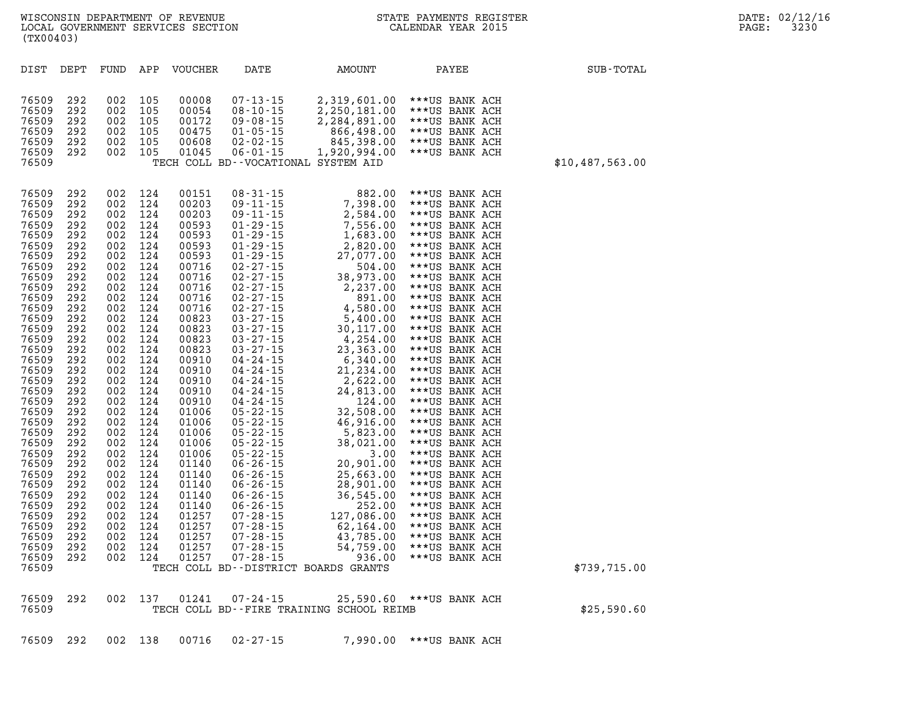| (TX00403)                                                                                                                                                                                                                                                                                                                                 |                                                                                                                                                                                                                                                          |                                                                                                                                                                                                                                                          |                                                                                                                                                                                                                                                          |                                                                                                                                                                                                                                                                                                                                  |                                                                                                                                                                                                                                                                                                                                                                                                                                                                                                                                                                                                                                                                    |                                                                                                                                                                                                                                                                                                                                                                                                                                                                                        |                                                                                                                                                                                                                                                                                                                                                                                                                                                                                                                                                                                                                                                                      |                 |
|-------------------------------------------------------------------------------------------------------------------------------------------------------------------------------------------------------------------------------------------------------------------------------------------------------------------------------------------|----------------------------------------------------------------------------------------------------------------------------------------------------------------------------------------------------------------------------------------------------------|----------------------------------------------------------------------------------------------------------------------------------------------------------------------------------------------------------------------------------------------------------|----------------------------------------------------------------------------------------------------------------------------------------------------------------------------------------------------------------------------------------------------------|----------------------------------------------------------------------------------------------------------------------------------------------------------------------------------------------------------------------------------------------------------------------------------------------------------------------------------|--------------------------------------------------------------------------------------------------------------------------------------------------------------------------------------------------------------------------------------------------------------------------------------------------------------------------------------------------------------------------------------------------------------------------------------------------------------------------------------------------------------------------------------------------------------------------------------------------------------------------------------------------------------------|----------------------------------------------------------------------------------------------------------------------------------------------------------------------------------------------------------------------------------------------------------------------------------------------------------------------------------------------------------------------------------------------------------------------------------------------------------------------------------------|----------------------------------------------------------------------------------------------------------------------------------------------------------------------------------------------------------------------------------------------------------------------------------------------------------------------------------------------------------------------------------------------------------------------------------------------------------------------------------------------------------------------------------------------------------------------------------------------------------------------------------------------------------------------|-----------------|
| DIST                                                                                                                                                                                                                                                                                                                                      | DEPT                                                                                                                                                                                                                                                     | FUND                                                                                                                                                                                                                                                     | APP                                                                                                                                                                                                                                                      | <b>VOUCHER</b>                                                                                                                                                                                                                                                                                                                   | DATE                                                                                                                                                                                                                                                                                                                                                                                                                                                                                                                                                                                                                                                               | AMOUNT                                                                                                                                                                                                                                                                                                                                                                                                                                                                                 | PAYEE                                                                                                                                                                                                                                                                                                                                                                                                                                                                                                                                                                                                                                                                | SUB-TOTAL       |
| 76509<br>76509<br>76509<br>76509<br>76509<br>76509<br>76509                                                                                                                                                                                                                                                                               | 292<br>292<br>292<br>292<br>292<br>292                                                                                                                                                                                                                   | 002<br>002<br>002<br>002<br>002<br>002                                                                                                                                                                                                                   | 105<br>105<br>105<br>105<br>105<br>105                                                                                                                                                                                                                   | 00008<br>00054<br>00172<br>00475<br>00608<br>01045                                                                                                                                                                                                                                                                               | $07 - 13 - 15$<br>$08 - 10 - 15$<br>$09 - 08 - 15$<br>$01 - 05 - 15$<br>$02 - 02 - 15$<br>$06 - 01 - 15$                                                                                                                                                                                                                                                                                                                                                                                                                                                                                                                                                           | 2,319,601.00<br>2,250,181.00<br>2,284,891.00<br>866,498.00<br>845,398.00<br>1,920,994.00<br>TECH COLL BD--VOCATIONAL SYSTEM AID                                                                                                                                                                                                                                                                                                                                                        | ***US BANK ACH<br>***US BANK ACH<br>***US BANK ACH<br>***US BANK ACH<br>***US BANK ACH<br>***US BANK ACH                                                                                                                                                                                                                                                                                                                                                                                                                                                                                                                                                             | \$10,487,563.00 |
| 76509<br>76509<br>76509<br>76509<br>76509<br>76509<br>76509<br>76509<br>76509<br>76509<br>76509<br>76509<br>76509<br>76509<br>76509<br>76509<br>76509<br>76509<br>76509<br>76509<br>76509<br>76509<br>76509<br>76509<br>76509<br>76509<br>76509<br>76509<br>76509<br>76509<br>76509<br>76509<br>76509<br>76509<br>76509<br>76509<br>76509 | 292<br>292<br>292<br>292<br>292<br>292<br>292<br>292<br>292<br>292<br>292<br>292<br>292<br>292<br>292<br>292<br>292<br>292<br>292<br>292<br>292<br>292<br>292<br>292<br>292<br>292<br>292<br>292<br>292<br>292<br>292<br>292<br>292<br>292<br>292<br>292 | 002<br>002<br>002<br>002<br>002<br>002<br>002<br>002<br>002<br>002<br>002<br>002<br>002<br>002<br>002<br>002<br>002<br>002<br>002<br>002<br>002<br>002<br>002<br>002<br>002<br>002<br>002<br>002<br>002<br>002<br>002<br>002<br>002<br>002<br>002<br>002 | 124<br>124<br>124<br>124<br>124<br>124<br>124<br>124<br>124<br>124<br>124<br>124<br>124<br>124<br>124<br>124<br>124<br>124<br>124<br>124<br>124<br>124<br>124<br>124<br>124<br>124<br>124<br>124<br>124<br>124<br>124<br>124<br>124<br>124<br>124<br>124 | 00151<br>00203<br>00203<br>00593<br>00593<br>00593<br>00593<br>00716<br>00716<br>00716<br>00716<br>00716<br>00823<br>00823<br>00823<br>00823<br>00910<br>00910<br>00910<br>00910<br>00910<br>01006<br>01006<br>01006<br>01006<br>01006<br>01140<br>01140<br>01140<br>01140<br>01140<br>01257<br>01257<br>01257<br>01257<br>01257 | $08 - 31 - 15$<br>$09 - 11 - 15$<br>$09 - 11 - 15$<br>$01 - 29 - 15$<br>$01 - 29 - 15$<br>$01 - 29 - 15$<br>$01 - 29 - 15$<br>$02 - 27 - 15$<br>$02 - 27 - 15$<br>$02 - 27 - 15$<br>$02 - 27 - 15$<br>$02 - 27 - 15$<br>$03 - 27 - 15$<br>$03 - 27 - 15$<br>$03 - 27 - 15$<br>$03 - 27 - 15$<br>$04 - 24 - 15$<br>$04 - 24 - 15$<br>04 - 24 - 15<br>$04 - 24 - 15$<br>$04 - 24 - 15$<br>$05 - 22 - 15$<br>$05 - 22 - 15$<br>$05 - 22 - 15$<br>$05 - 22 - 15$<br>$05 - 22 - 15$<br>$06 - 26 - 15$<br>$06 - 26 - 15$<br>$06 - 26 - 15$<br>$06 - 26 - 15$<br>$06 - 26 - 15$<br>$07 - 28 - 15$<br>$07 - 28 - 15$<br>$07 - 28 - 15$<br>$07 - 28 - 15$<br>$07 - 28 - 15$ | 882.00<br>7,398.00<br>2,584.00<br>7,556.00<br>1,683.00<br>2,820.00<br>27,077.00<br>504.00<br>38,973.00<br>2,237.00<br>891.00<br>4,580.00<br>5,400.00<br>30,117.00<br>4,254.00<br>23,363.00<br>6,340.00<br>21,234.00<br>2,622.00<br>24,813.00<br>124.00<br>32,508.00<br>46,916.00<br>5,823.00<br>38,021.00<br>3.00<br>20,901.00<br>25,663.00<br>28,901.00<br>36,545.00<br>252.00<br>127,086.00<br>62,164.00<br>43,785.00<br>54,759.00<br>936.00<br>TECH COLL BD--DISTRICT BOARDS GRANTS | ***US BANK ACH<br>***US BANK ACH<br>***US BANK ACH<br>***US BANK ACH<br>***US BANK ACH<br>***US BANK ACH<br>***US BANK ACH<br>***US BANK ACH<br>***US BANK ACH<br>***US BANK ACH<br>***US BANK ACH<br>***US BANK ACH<br>***US BANK ACH<br>***US BANK ACH<br>***US BANK ACH<br>***US BANK ACH<br>***US BANK ACH<br>***US BANK ACH<br>***US BANK ACH<br>***US BANK ACH<br>***US BANK ACH<br>***US BANK ACH<br>***US BANK ACH<br>***US BANK ACH<br>***US BANK ACH<br>***US BANK ACH<br>***US BANK ACH<br>***US BANK ACH<br>***US BANK ACH<br>***US BANK ACH<br>***US BANK ACH<br>***US BANK ACH<br>***US BANK ACH<br>***US BANK ACH<br>***US BANK ACH<br>***US BANK ACH | \$739,715.00    |
| 76509<br>76509                                                                                                                                                                                                                                                                                                                            | 292                                                                                                                                                                                                                                                      | 002                                                                                                                                                                                                                                                      | 137                                                                                                                                                                                                                                                      | 01241                                                                                                                                                                                                                                                                                                                            | 07-24-15                                                                                                                                                                                                                                                                                                                                                                                                                                                                                                                                                                                                                                                           | 25,590.60<br>TECH COLL BD--FIRE TRAINING SCHOOL REIMB                                                                                                                                                                                                                                                                                                                                                                                                                                  | ***US BANK ACH                                                                                                                                                                                                                                                                                                                                                                                                                                                                                                                                                                                                                                                       | \$25,590.60     |

LOCAL GOVERNMENT SERVICES SECTION

**76509 292 002 138 00716 02-27-15 7,990.00 \*\*\*US BANK ACH**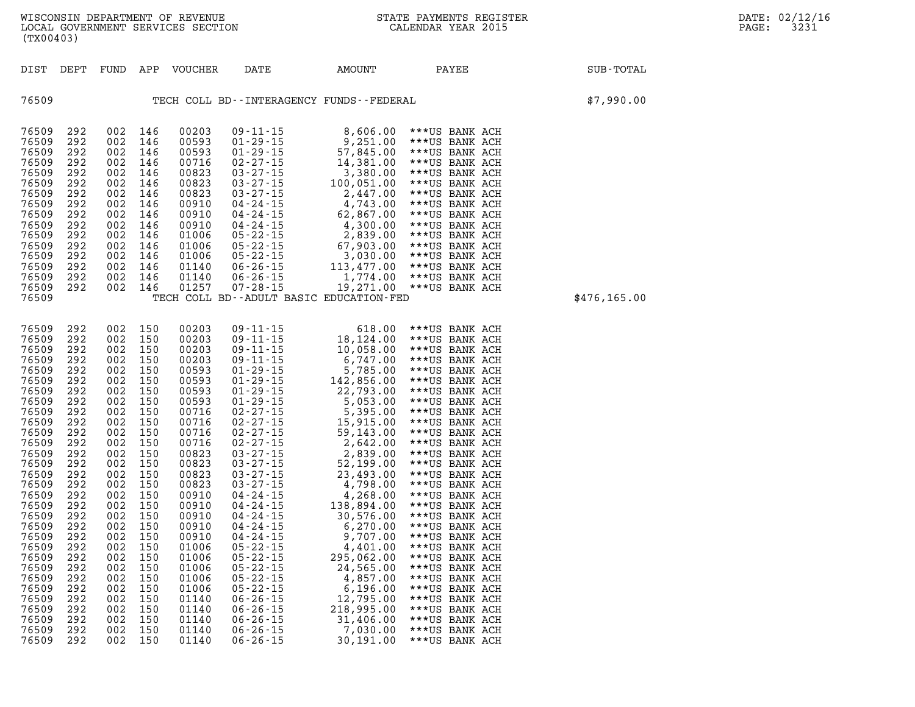**DIST DEPT FUND APP VOUCHER DATE AMOUNT PAYEE SUB-TOTAL 76509 TECH COLL BD--INTERAGENCY FUNDS--FEDERAL \$7,990.00 76509 292 002 146 00203 09-11-15 8,606.00 \*\*\*US BANK ACH 76509 292 002 146 00593 01-29-15 9,251.00 \*\*\*US BANK ACH 76509 292 002 146 00593 01-29-15 57,845.00 \*\*\*US BANK ACH 76509 292 002 146 00716 02-27-15 14,381.00 \*\*\*US BANK ACH 76509 292 002 146 00823 03-27-15 3,380.00 \*\*\*US BANK ACH 76509 292 002 146 00823 03-27-15 100,051.00 \*\*\*US BANK ACH 76509 292 002 146 00823 03-27-15 2,447.00 \*\*\*US BANK ACH 76509 292 002 146 00910 04-24-15 4,743.00 \*\*\*US BANK ACH 76509 292 002 146 00910 04-24-15 62,867.00 \*\*\*US BANK ACH 76509 292 002 146 00910 04-24-15 4,300.00 \*\*\*US BANK ACH 76509 292 002 146 01006 05-22-15 2,839.00 \*\*\*US BANK ACH 76509 292 002 146 01006 05-22-15 67,903.00 \*\*\*US BANK ACH 76509 292 002 146 01006 05-22-15 3,030.00 \*\*\*US BANK ACH 76509 292 002 146 01140 06-26-15 113,477.00 \*\*\*US BANK ACH 76509 292 002 146 01140 06-26-15 1,774.00 \*\*\*US BANK ACH 76509 292 002 146 01257 07-28-15 19,271.00 \*\*\*US BANK ACH 76509 TECH COLL BD--ADULT BASIC EDUCATION-FED \$476,165.00 76509 292 002 150 00203 09-11-15 618.00 \*\*\*US BANK ACH 76509 292 002 150 00203 09-11-15 18,124.00 \*\*\*US BANK ACH 76509 292 002 150 00203 09-11-15 10,058.00 \*\*\*US BANK ACH 76509 292 002 150 00203 09-11-15 6,747.00 \*\*\*US BANK ACH 76509 292 002 150 00593 01-29-15 5,785.00 \*\*\*US BANK ACH 76509 292 002 150 00593 01-29-15 142,856.00 \*\*\*US BANK ACH 76509 292 002 150 00593 01-29-15 22,793.00 \*\*\*US BANK ACH 76509 292 002 150 00593 01-29-15 5,053.00 \*\*\*US BANK ACH 76509 292 002 150 00716 02-27-15 5,395.00 \*\*\*US BANK ACH 76509 292 002 150 00716 02-27-15 15,915.00 \*\*\*US BANK ACH 76509 292 002 150 00716 02-27-15 59,143.00 \*\*\*US BANK ACH 76509 292 002 150 00716 02-27-15 2,642.00 \*\*\*US BANK ACH 76509 292 002 150 00823 03-27-15 2,839.00 \*\*\*US BANK ACH 76509 292 002 150 00823 03-27-15 52,199.00 \*\*\*US BANK ACH 76509 292 002 150 00823 03-27-15 23,493.00 \*\*\*US BANK ACH 76509 292 002 150 00823 03-27-15 4,798.00 \*\*\*US BANK ACH 76509 292 002 150 00910 04-24-15 4,268.00 \*\*\*US BANK ACH 76509 292 002 150 00910 04-24-15 138,894.00 \*\*\*US BANK ACH 76509 292 002 150 00910 04-24-15 30,576.00 \*\*\*US BANK ACH 76509 292 002 150 00910 04-24-15 6,270.00 \*\*\*US BANK ACH 76509 292 002 150 00910 04-24-15 9,707.00 \*\*\*US BANK ACH 76509 292 002 150 01006 05-22-15 4,401.00 \*\*\*US BANK ACH 76509 292 002 150 01006 05-22-15 295,062.00 \*\*\*US BANK ACH 76509 292 002 150 01006 05-22-15 24,565.00 \*\*\*US BANK ACH 76509 292 002 150 01006 05-22-15 4,857.00 \*\*\*US BANK ACH 76509 292 002 150 01006 05-22-15 6,196.00 \*\*\*US BANK ACH 76509 292 002 150 01140 06-26-15 12,795.00 \*\*\*US BANK ACH 76509 292 002 150 01140 06-26-15 218,995.00 \*\*\*US BANK ACH 76509 292 002 150 01140 06-26-15 31,406.00 \*\*\*US BANK ACH 76509 292 002 150 01140 06-26-15 7,030.00 \*\*\*US BANK ACH** 

**76509 292 002 150 01140 06-26-15 30,191.00 \*\*\*US BANK ACH**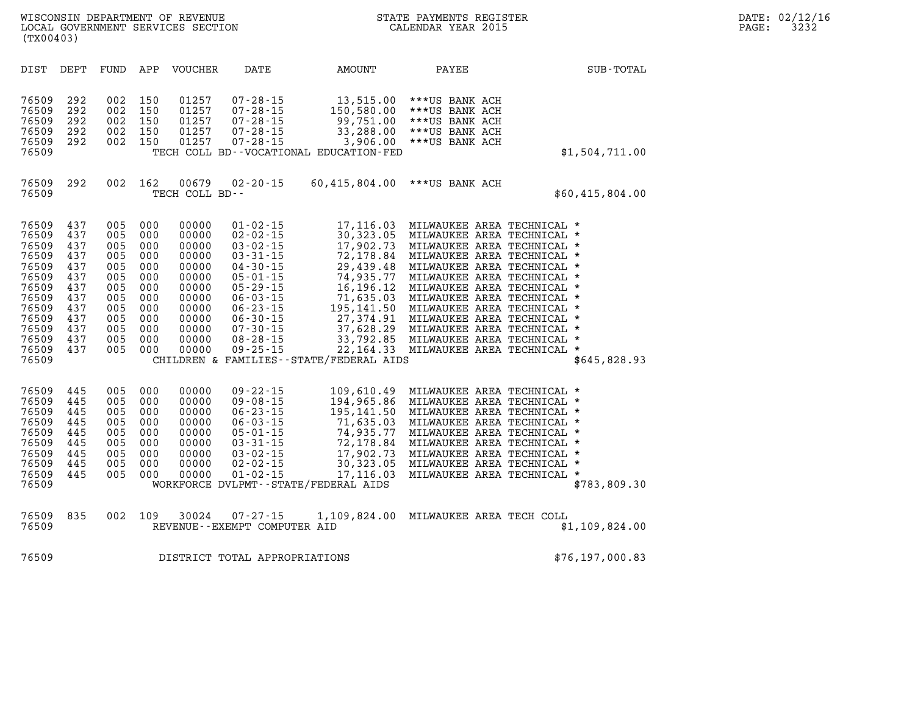| DATE: | 02/12/16 |
|-------|----------|
| PAGE: | 3232     |

| WISCONSIN DEPARTMENT OF REVENUE<br>LOCAL GOVERNMENT SERVICES SECTION<br>(TX00403) | STATE PAYMENTS REGISTER<br>CALENDAR YEAR 2015 | DATE: 02/12/16<br>3232<br>PAGE: |
|-----------------------------------------------------------------------------------|-----------------------------------------------|---------------------------------|
| VOUCHER<br>FUND<br>DATE<br>DEPT<br>DIST<br>APP                                    | AMOUNT<br>PAYEE                               | SUB-TOTAL                       |

|  | STATE PAYMENTS REGISTER |  |
|--|-------------------------|--|
|  | CALENDAR YEAR 2015      |  |

| DIST           | DEPT       | FUND       | APP        | VOUCHER        | DATE                                 | AMOUNT                                     | PAYEE                                                                         | SUB-TOTAL       |
|----------------|------------|------------|------------|----------------|--------------------------------------|--------------------------------------------|-------------------------------------------------------------------------------|-----------------|
|                |            |            |            |                |                                      |                                            |                                                                               |                 |
| 76509<br>76509 | 292<br>292 | 002<br>002 | 150<br>150 | 01257<br>01257 | $07 - 28 - 15$<br>$07 - 28 - 15$     | 13,515.00                                  | ***US BANK ACH<br>***US BANK ACH                                              |                 |
| 76509          | 292        | 002        | 150        | 01257          | $07 - 28 - 15$                       | 150,580.00<br>99,751.00                    | ***US BANK ACH                                                                |                 |
| 76509          | 292        | 002        | 150        | 01257          | $07 - 28 - 15$                       |                                            | 33,288.00 *** US BANK ACH                                                     |                 |
| 76509          | 292        | 002        | 150        | 01257          | $07 - 28 - 15$                       | 3,906.00                                   | ***US BANK ACH                                                                |                 |
| 76509          |            |            |            |                |                                      | TECH COLL BD--VOCATIONAL EDUCATION-FED     |                                                                               | \$1,504,711.00  |
|                |            |            |            |                |                                      |                                            |                                                                               |                 |
| 76509          | 292        | 002        | 162        | 00679          | $02 - 20 - 15$                       | 60,415,804.00                              | ***US BANK ACH                                                                |                 |
| 76509          |            |            |            | TECH COLL BD-- |                                      |                                            |                                                                               | \$60,415,804.00 |
|                |            |            |            |                |                                      |                                            |                                                                               |                 |
| 76509          | 437        | 005        | 000        | 00000          | $01 - 02 - 15$                       |                                            | 17,116.03 MILWAUKEE AREA TECHNICAL *                                          |                 |
| 76509          | 437        | 005        | 000        | 00000          | $02 - 02 - 15$                       |                                            | 30,323.05 MILWAUKEE AREA TECHNICAL *                                          |                 |
| 76509          | 437        | 005        | 000        | 00000          | $03 - 02 - 15$                       | 17,902.73                                  | MILWAUKEE AREA TECHNICAL *                                                    |                 |
| 76509          | 437        | 005        | 000        | 00000          | $03 - 31 - 15$                       | 72,178.84                                  | MILWAUKEE AREA TECHNICAL *                                                    |                 |
| 76509          | 437        | 005        | 000        | 00000          | $04 - 30 - 15$                       | 29,439.48                                  | MILWAUKEE AREA TECHNICAL *                                                    |                 |
| 76509          | 437        | 005        | 000        | 00000          | $05 - 01 - 15$                       | 74,935.77                                  | MILWAUKEE AREA TECHNICAL *                                                    |                 |
| 76509          | 437        | 005        | 000        | 00000          | $05 - 29 - 15$                       |                                            | 16,196.12 MILWAUKEE AREA TECHNICAL *                                          |                 |
| 76509          | 437        | 005        | 000        | 00000          | $06 - 03 - 15$                       |                                            | 71,635.03 MILWAUKEE AREA TECHNICAL *                                          |                 |
| 76509          | 437        | 005        | 000        | 00000          | $06 - 23 - 15$                       |                                            |                                                                               |                 |
| 76509          | 437        | 005        | 000        | 00000          | $06 - 30 - 15$                       |                                            | 195,141.50 MILWAUKEE AREA TECHNICAL *<br>27,374.91 MILWAUKEE AREA TECHNICAL * |                 |
| 76509          | 437        | 005        | 000        | 00000          | $07 - 30 - 15$                       |                                            |                                                                               |                 |
| 76509          | 437        | 005        | 000        | 00000          | $08 - 28 - 15$                       |                                            | 37,628.29 MILWAUKEE AREA TECHNICAL *<br>33,792.85 MILWAUKEE AREA TECHNICAL *  |                 |
| 76509          | 437        | 005        | 000        | 00000          | $09 - 25 - 15$                       |                                            | 22,164.33 MILWAUKEE AREA TECHNICAL                                            | $\star$         |
| 76509          |            |            |            |                |                                      | CHILDREN & FAMILIES - - STATE/FEDERAL AIDS |                                                                               | \$645,828.93    |
|                |            |            |            |                |                                      |                                            |                                                                               |                 |
| 76509          | 445        | 005        | 000        | 00000          | $09 - 22 - 15$                       |                                            | 109,610.49 MILWAUKEE AREA TECHNICAL *                                         |                 |
| 76509          | 445        | 005        | 000        | 00000          | $09 - 08 - 15$                       |                                            | 194,965.86 MILWAUKEE AREA TECHNICAL *                                         |                 |
| 76509          | 445        | 005        | 000        | 00000          | $06 - 23 - 15$                       |                                            | 195,141.50 MILWAUKEE AREA TECHNICAL *                                         |                 |
| 76509          | 445        | 005        | 000        | 00000          | $06 - 03 - 15$                       | 71,635.03                                  | MILWAUKEE AREA TECHNICAL *                                                    |                 |
| 76509          | 445        | 005        | 000        | 00000          | $05 - 01 - 15$                       | 74,935.77                                  | MILWAUKEE AREA TECHNICAL *                                                    |                 |
| 76509          | 445        | 005        | 000        | 00000          | $03 - 31 - 15$                       | 72,178.84                                  | MILWAUKEE AREA TECHNICAL *                                                    |                 |
| 76509          | 445        | 005        | 000        | 00000          | $03 - 02 - 15$                       | 17,902.73                                  | MILWAUKEE AREA TECHNICAL *                                                    |                 |
| 76509          | 445        | 005        | 000        | 00000          | $02 - 02 - 15$                       |                                            | 30,323.05 MILWAUKEE AREA TECHNICAL                                            | $\star$         |
| 76509          | 445        | 005        | 000        | 00000          | $01 - 02 - 15$                       | 17,116.03                                  | MILWAUKEE AREA TECHNICAL *                                                    |                 |
| 76509          |            |            |            |                | WORKFORCE DVLPMT--STATE/FEDERAL AIDS |                                            |                                                                               | \$783,809.30    |
|                |            |            |            |                |                                      |                                            |                                                                               |                 |
| 76509          | 835        | 002        | 109        | 30024          | $07 - 27 - 15$                       |                                            | 1,109,824.00 MILWAUKEE AREA TECH COLL                                         |                 |
| 76509          |            |            |            |                | REVENUE--EXEMPT COMPUTER AID         |                                            |                                                                               | \$1,109,824.00  |
|                |            |            |            |                |                                      |                                            |                                                                               |                 |
| 76509          |            |            |            |                | DISTRICT TOTAL APPROPRIATIONS        |                                            |                                                                               | \$76,197,000.83 |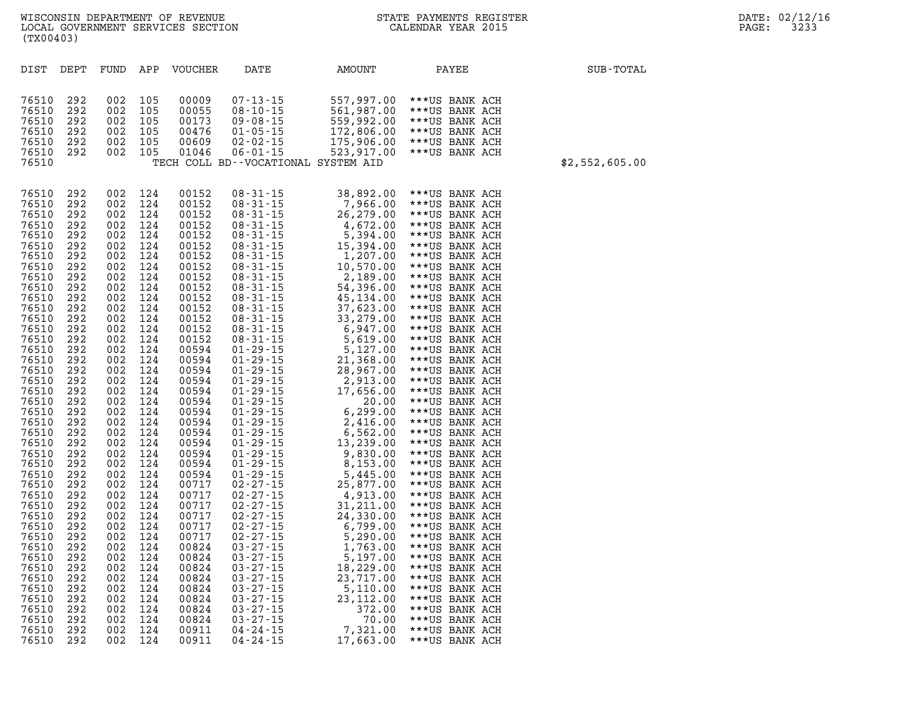| DIST           | DEPT       | FUND       | APP        | <b>VOUCHER</b> | DATE                                | AMOUNT                | PAYEE                            | SUB-TOTAL      |
|----------------|------------|------------|------------|----------------|-------------------------------------|-----------------------|----------------------------------|----------------|
|                |            |            |            |                |                                     |                       |                                  |                |
|                |            |            |            |                |                                     |                       |                                  |                |
| 76510          | 292        | 002        | 105        | 00009          | $07 - 13 - 15$                      | 557,997.00            | ***US BANK ACH                   |                |
| 76510          | 292        | 002        | 105        | 00055          | $08 - 10 - 15$                      | 561,987.00            | ***US BANK ACH                   |                |
| 76510          | 292        | 002        | 105        | 00173          | $09 - 08 - 15$                      | 559,992.00            | ***US BANK ACH                   |                |
| 76510          | 292        | 002        | 105        | 00476          | $01 - 05 - 15$                      | 172,806.00            | ***US BANK ACH                   |                |
| 76510          | 292        | 002        | 105        | 00609          | $02 - 02 - 15$                      | 175,906.00            | ***US BANK ACH                   |                |
| 76510          | 292        | 002        | 105        | 01046          | $06 - 01 - 15$                      | 523,917.00            | ***US BANK ACH                   |                |
| 76510          |            |            |            |                | TECH COLL BD--VOCATIONAL SYSTEM AID |                       |                                  | \$2,552,605.00 |
|                |            |            |            |                |                                     |                       |                                  |                |
| 76510          | 292        | 002        | 124        | 00152          | $08 - 31 - 15$                      | 38,892.00             | ***US BANK ACH                   |                |
| 76510          | 292        | 002        | 124        | 00152          | $08 - 31 - 15$                      | 7,966.00              | ***US BANK ACH                   |                |
| 76510          | 292        | 002        | 124        | 00152          | $08 - 31 - 15$                      | 26,279.00             | ***US BANK ACH                   |                |
| 76510          | 292        | 002        | 124        | 00152          | 08-31-15                            | 4,672.00              | ***US BANK ACH                   |                |
| 76510          | 292        | 002        | 124        | 00152          | $08 - 31 - 15$                      | 5,394.00              | ***US BANK ACH                   |                |
| 76510          | 292        | 002        | 124        | 00152          | $08 - 31 - 15$                      | 15,394.00             | ***US BANK ACH                   |                |
| 76510          | 292        | 002        | 124        | 00152          | $08 - 31 - 15$                      | 1,207.00              | ***US BANK ACH                   |                |
| 76510          | 292        | 002        | 124        | 00152          | $08 - 31 - 15$                      | 10,570.00             | ***US BANK ACH                   |                |
| 76510          | 292        | 002        | 124        | 00152          | $08 - 31 - 15$                      | 2,189.00              | ***US BANK ACH                   |                |
| 76510          | 292        | 002        | 124        | 00152          | 08-31-15                            | 54,396.00             | ***US BANK ACH                   |                |
| 76510          | 292        | 002        | 124        | 00152          | $08 - 31 - 15$                      | 45,134.00             | ***US BANK ACH                   |                |
| 76510          | 292        | 002        | 124        | 00152          | $08 - 31 - 15$                      | 37,623.00             | ***US BANK ACH                   |                |
| 76510          | 292        | 002        | 124        | 00152          | $08 - 31 - 15$                      | 33,279.00             | ***US BANK ACH                   |                |
| 76510          | 292        | 002        | 124        | 00152          | $08 - 31 - 15$                      | 6,947.00              | ***US BANK ACH                   |                |
| 76510          | 292        | 002        | 124        | 00152          | $08 - 31 - 15$                      | 5,619.00              | ***US BANK ACH                   |                |
| 76510          | 292        | 002        | 124        | 00594          | $01 - 29 - 15$                      | 5,127.00              | ***US BANK ACH                   |                |
| 76510          | 292        | 002        | 124        | 00594          | $01 - 29 - 15$                      | 21,368.00             | ***US BANK ACH                   |                |
| 76510          | 292        | 002        | 124        | 00594          | $01 - 29 - 15$                      | 28,967.00             | ***US BANK ACH                   |                |
| 76510          | 292        | 002        | 124        | 00594          | $01 - 29 - 15$                      | 2,913.00              | ***US BANK ACH                   |                |
| 76510          | 292        | 002        | 124        | 00594          | $01 - 29 - 15$                      | 17,656.00             | ***US BANK ACH                   |                |
| 76510          | 292        | 002        | 124        | 00594          | $01 - 29 - 15$                      | 20.00                 | ***US BANK ACH                   |                |
| 76510          | 292        | 002        | 124        | 00594          | $01 - 29 - 15$                      | 6, 299.00             | ***US BANK ACH                   |                |
| 76510          | 292        | 002        | 124        | 00594          | $01 - 29 - 15$                      | 2,416.00              | ***US BANK ACH                   |                |
| 76510          | 292        | 002        | 124        | 00594          | $01 - 29 - 15$                      | 6,562.00              | ***US BANK ACH                   |                |
| 76510          | 292        | 002        | 124        | 00594          | $01 - 29 - 15$                      | 13,239.00             | ***US BANK ACH                   |                |
| 76510<br>76510 | 292        | 002        | 124        | 00594          | $01 - 29 - 15$                      | 9,830.00              | ***US BANK ACH                   |                |
| 76510          | 292<br>292 | 002<br>002 | 124<br>124 | 00594<br>00594 | $01 - 29 - 15$<br>$01 - 29 - 15$    | 8,153.00              | ***US BANK ACH                   |                |
| 76510          | 292        | 002        | 124        | 00717          | $02 - 27 - 15$                      | 5,445.00<br>25,877.00 | ***US BANK ACH<br>***US BANK ACH |                |
| 76510          | 292        | 002        | 124        | 00717          | $02 - 27 - 15$                      | 4,913.00              | ***US BANK ACH                   |                |
| 76510          | 292        | 002        | 124        | 00717          | $02 - 27 - 15$                      | 31,211.00             | ***US BANK ACH                   |                |
| 76510          | 292        | 002        | 124        | 00717          | $02 - 27 - 15$                      | 24,330.00             | ***US BANK ACH                   |                |
| 76510          | 292        | 002        | 124        | 00717          | $02 - 27 - 15$                      | 6,799.00              | ***US BANK ACH                   |                |
| 76510          | 292        | 002        | 124        | 00717          | $02 - 27 - 15$                      | 5,290.00              | ***US BANK ACH                   |                |
| 76510          | 292        | 002        | 124        | 00824          | $03 - 27 - 15$                      | 1,763.00              | ***US BANK ACH                   |                |
| 76510          | 292        | 002        | 124        | 00824          | $03 - 27 - 15$                      | 5,197.00              | ***US BANK ACH                   |                |
| 76510          | 292        | 002        | 124        | 00824          | $03 - 27 - 15$                      | 18,229.00             | ***US BANK ACH                   |                |
| 76510          | 292        | 002        | 124        | 00824          | $03 - 27 - 15$                      | 23,717.00             | ***US BANK ACH                   |                |
| 76510          | 292        | 002        | 124        | 00824          | $03 - 27 - 15$                      | 5,110.00              | ***US BANK ACH                   |                |
| 76510          | 292        | 002        | 124        | 00824          | $03 - 27 - 15$                      | 23,112.00             | ***US BANK ACH                   |                |
| 76510          | 292        | 002        | 124        | 00824          | $03 - 27 - 15$                      | 372.00                | ***US BANK ACH                   |                |
| 76510          | 292        | 002        | 124        | 00824          | $03 - 27 - 15$                      | 70.00                 | ***US BANK ACH                   |                |
| 76510          | 292        | 002        | 124        | 00911          | $04 - 24 - 15$                      | 7,321.00              | ***US BANK ACH                   |                |
| 76510          | 292        | 002        | 124        | 00911          | $04 - 24 - 15$                      | 17,663.00             | ***US BANK ACH                   |                |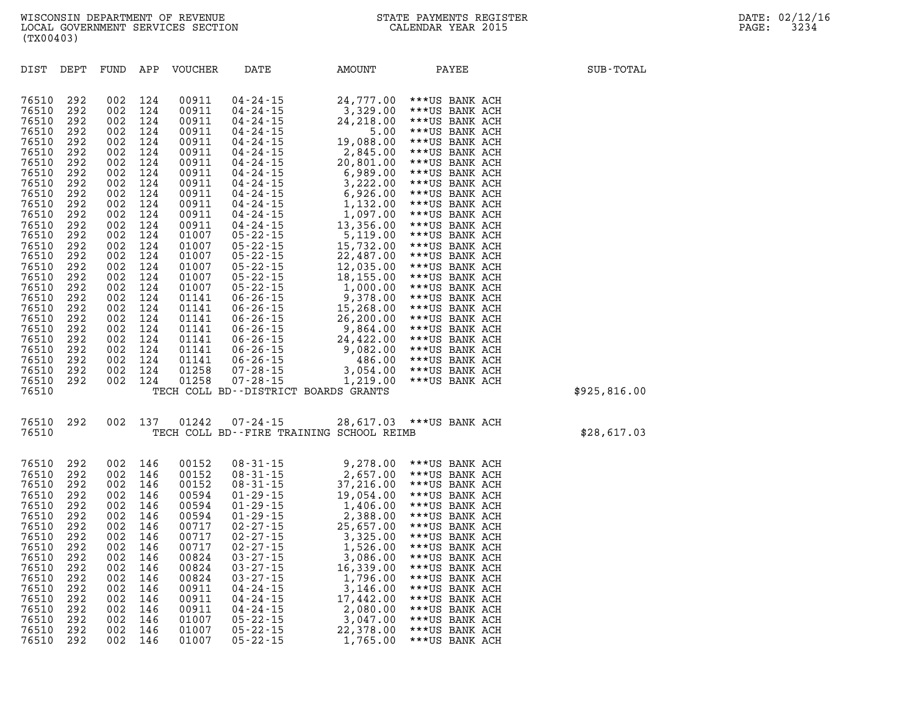| DIST                             | DEPT                     | FUND                     | APP                      | <b>VOUCHER</b>                   | DATE                                                                                           | AMOUNT                                                                 | PAYEE                                                                | SUB-TOTAL    |
|----------------------------------|--------------------------|--------------------------|--------------------------|----------------------------------|------------------------------------------------------------------------------------------------|------------------------------------------------------------------------|----------------------------------------------------------------------|--------------|
| 76510<br>76510<br>76510          | 292<br>292<br>292        | 002<br>002<br>002        | 124<br>124<br>124        | 00911<br>00911<br>00911          | $04 - 24 - 15$<br>$04 - 24 - 15$<br>04 - 24 - 15                                               | 24,777.00<br>3,329.00<br>24,218.00                                     | ***US BANK ACH<br>***US BANK ACH<br>***US BANK ACH                   |              |
| 76510<br>76510<br>76510          | 292<br>292<br>292        | 002<br>002<br>002        | 124<br>124<br>124        | 00911<br>00911<br>00911          | $04 - 24 - 15$<br>$04 - 24 - 15$<br>$04 - 24 - 15$                                             | 5.00<br>19,088.00<br>2,845.00                                          | ***US BANK ACH<br>***US BANK ACH<br>***US BANK ACH                   |              |
| 76510<br>76510<br>76510          | 292<br>292<br>292        | 002<br>002<br>002        | 124<br>124<br>124        | 00911<br>00911<br>00911          | $04 - 24 - 15$<br>04 - 24 - 15<br>$04 - 24 - 15$                                               | 20,801.00<br>6,989.00<br>3,222.00                                      | ***US BANK ACH<br>***US BANK ACH<br>***US BANK ACH                   |              |
| 76510<br>76510<br>76510<br>76510 | 292<br>292<br>292<br>292 | 002<br>002<br>002<br>002 | 124<br>124<br>124<br>124 | 00911<br>00911<br>00911<br>00911 | $04 - 24 - 15$<br>$04 - 24 - 15$<br>$04 - 24 - 15$<br>$04 - 24 - 15$                           | 6,926.00<br>1,132.00<br>1,097.00<br>13,356.00                          | ***US BANK ACH<br>***US BANK ACH<br>***US BANK ACH<br>***US BANK ACH |              |
| 76510<br>76510<br>76510          | 292<br>292<br>292        | 002<br>002<br>002        | 124<br>124<br>124        | 01007<br>01007<br>01007          | $05 - 22 - 15$<br>$05 - 22 - 15$<br>$05 - 22 - 15$                                             | 5,119.00<br>15,732.00<br>22,487.00                                     | ***US BANK ACH<br>***US BANK ACH<br>***US BANK ACH                   |              |
| 76510<br>76510<br>76510          | 292<br>292<br>292        | 002<br>002<br>002        | 124<br>124<br>124        | 01007<br>01007<br>01007          | $05 - 22 - 15$<br>05 - 22 - 15<br>05 - 22 - 15<br>05 - 22 - 15<br>06 - 26 - 15<br>06 - 26 - 15 | 12,035.00<br>18,155.00<br>1,000.00                                     | ***US BANK ACH<br>***US BANK ACH<br>***US BANK ACH                   |              |
| 76510<br>76510<br>76510          | 292<br>292<br>292        | 002<br>002<br>002        | 124<br>124<br>124        | 01141<br>01141<br>01141          | $06 - 26 - 15$                                                                                 | 9,378.00<br>15,268.00<br>26,200.00                                     | ***US BANK ACH<br>***US BANK ACH<br>***US BANK ACH                   |              |
| 76510<br>76510<br>76510          | 292<br>292<br>292        | 002<br>002<br>002        | 124<br>124<br>124        | 01141<br>01141<br>01141          | $06 - 26 - 15$<br>$06 - 26 - 15$<br>06 - 26 - 15<br>06 - 26 - 15                               | 9,864.00<br>24,422.00<br>9,082.00                                      | ***US BANK ACH<br>***US BANK ACH<br>***US BANK ACH                   |              |
| 76510<br>76510<br>76510<br>76510 | 292<br>292<br>292        | 002<br>002<br>002        | 124<br>124<br>124        | 01141<br>01258<br>01258          | $07 - 28 - 15$<br>$07 - 28 - 15$                                                               | 486.00<br>3,054.00<br>1,219.00<br>TECH COLL BD--DISTRICT BOARDS GRANTS | ***US BANK ACH<br>***US BANK ACH<br>***US BANK ACH                   | \$925,816.00 |
| 76510                            | 292                      | 002                      | 137                      | 01242                            | 07-24-15                                                                                       |                                                                        | 28,617.03 *** US BANK ACH                                            |              |
| 76510                            |                          |                          |                          |                                  |                                                                                                | TECH COLL BD--FIRE TRAINING SCHOOL REIMB                               |                                                                      | \$28,617.03  |
| 76510<br>76510<br>76510<br>76510 | 292<br>292<br>292<br>292 | 002<br>002<br>002<br>002 | 146<br>146<br>146<br>146 | 00152<br>00152<br>00152<br>00594 | $08 - 31 - 15$<br>$08 - 31 - 15$<br>$08 - 31 - 15$                                             | 9,278.00<br>2,657.00<br>37,216.00                                      | ***US BANK ACH<br>***US BANK ACH<br>***US BANK ACH                   |              |
| 76510<br>76510<br>76510          | 292<br>292<br>292        | 002<br>002<br>002        | 146<br>146<br>146        | 00594<br>00594<br>00717          | $01 - 29 - 15$<br>$01 - 29 - 15$<br>$01 - 29 - 15$<br>$02 - 27 - 15$                           | 19,054.00<br>1,406.00<br>2,388.00<br>25,657.00                         | ***US BANK ACH<br>***US BANK ACH<br>***US BANK ACH<br>***US BANK ACH |              |
| 76510<br>76510<br>76510<br>76510 | 292<br>292<br>292<br>292 | 002<br>002<br>002<br>002 | 146<br>146<br>146<br>146 | 00717<br>00717<br>00824<br>00824 | $02 - 27 - 15$<br>$02 - 27 - 15$<br>$03 - 27 - 15$<br>$03 - 27 - 15$                           | 3,325.00<br>1,526.00<br>3,086.00<br>16,339.00                          | ***US BANK ACH<br>***US BANK ACH<br>***US BANK ACH<br>***US BANK ACH |              |
| 76510<br>76510<br>76510          | 292<br>292<br>292        | 002<br>002<br>002        | 146<br>146<br>146        | 00824<br>00911<br>00911          | $03 - 27 - 15$<br>$04 - 24 - 15$<br>04 - 24 - 15                                               | 1,796.00<br>3,146.00<br>17,442.00                                      | ***US BANK ACH<br>***US BANK ACH<br>***US BANK ACH                   |              |
| 76510                            | 292                      | 002                      | 146                      | 00911                            | $04 - 24 - 15$                                                                                 | 2,080.00                                                               | ***US BANK ACH                                                       |              |

**76510 292 002 146 01007 05-22-15 3,047.00 \*\*\*US BANK ACH 76510 292 002 146 01007 05-22-15 22,378.00 \*\*\*US BANK ACH 76510 292 002 146 01007 05-22-15 1,765.00 \*\*\*US BANK ACH**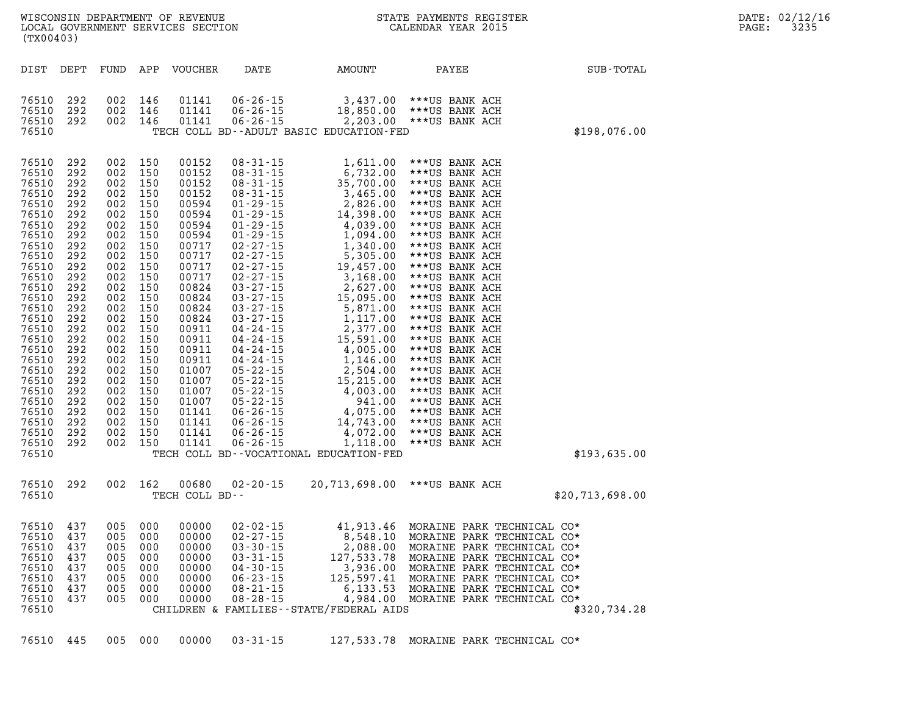| DATE: | 02/12/16 |
|-------|----------|
| PAGE: | 3235     |

| (TX00403)      |            |            |            | WISCONSIN DEPARTMENT OF REVENUE<br>LOCAL GOVERNMENT SERVICES SECTION |                                  |                                                      | STATE PAYMENTS REGISTER<br>CALENDAR YEAR 2015 |              |  |  |  |
|----------------|------------|------------|------------|----------------------------------------------------------------------|----------------------------------|------------------------------------------------------|-----------------------------------------------|--------------|--|--|--|
| DIST           | DEPT       | FUND       | APP        | <b>VOUCHER</b>                                                       | DATE                             | AMOUNT                                               | PAYEE                                         | SUB-TOTAL    |  |  |  |
| 76510          | 292        | 002        | 146        | 01141                                                                | $06 - 26 - 15$                   | 3,437.00                                             | ***US BANK ACH                                |              |  |  |  |
| 76510          | 292        | 002        | 146        | 01141                                                                | 06-26-15                         | 18,850.00                                            | ***US BANK ACH                                |              |  |  |  |
| 76510<br>76510 | 292        | 002        | 146        | 01141                                                                | $06 - 26 - 15$                   | 2, 203.00<br>TECH COLL BD--ADULT BASIC EDUCATION-FED | ***US BANK ACH                                | \$198,076.00 |  |  |  |
|                |            |            |            |                                                                      |                                  |                                                      |                                               |              |  |  |  |
| 76510          | 292        | 002        | 150        | 00152                                                                | $08 - 31 - 15$                   | 1,611.00                                             | ***US BANK ACH                                |              |  |  |  |
| 76510          | 292        | 002        | 150        | 00152                                                                | $08 - 31 - 15$                   | 6,732.00                                             | ***US BANK ACH                                |              |  |  |  |
| 76510          | 292        | 002        | 150        | 00152                                                                | $08 - 31 - 15$                   | 35,700.00                                            | ***US BANK ACH                                |              |  |  |  |
| 76510          | 292        | 002        | 150        | 00152                                                                | $08 - 31 - 15$                   | 3,465.00                                             | ***US BANK ACH                                |              |  |  |  |
| 76510          | 292<br>292 | 002<br>002 | 150<br>150 | 00594<br>00594                                                       | $01 - 29 - 15$<br>$01 - 29 - 15$ | 2,826.00<br>14,398.00                                | ***US BANK ACH<br>***US BANK ACH              |              |  |  |  |
| 76510<br>76510 | 292        | 002        | 150        | 00594                                                                | $01 - 29 - 15$                   | 4,039.00                                             | ***US BANK ACH                                |              |  |  |  |
| 76510          | 292        | 002        | 150        | 00594                                                                | $01 - 29 - 15$                   | 1,094.00                                             | ***US BANK ACH                                |              |  |  |  |
| 76510          | 292        | 002        | 150        | 00717                                                                | $02 - 27 - 15$                   | 1,340.00                                             | ***US BANK ACH                                |              |  |  |  |
| 76510          | 292        | 002        | 150        | 00717                                                                | $02 - 27 - 15$                   | 5,305.00                                             | ***US BANK ACH                                |              |  |  |  |
| 76510          | 292        | 002        | 150        | 00717                                                                | $02 - 27 - 15$                   | 19,457.00                                            | ***US BANK ACH                                |              |  |  |  |
| 76510          | 292        | 002        | 150        | 00717                                                                | $02 - 27 - 15$                   | 3,168.00                                             | ***US BANK ACH                                |              |  |  |  |
| 76510          | 292        | 002        | 150        | 00824                                                                | $03 - 27 - 15$                   | 2,627.00                                             | ***US BANK ACH                                |              |  |  |  |
| 76510          | 292        | 002        | 150        | 00824                                                                | $03 - 27 - 15$                   | 15,095.00                                            | ***US BANK ACH                                |              |  |  |  |
| 76510          | 292        | 002        | 150        | 00824                                                                | $03 - 27 - 15$                   | 5,871.00                                             | ***US BANK ACH                                |              |  |  |  |
| 76510          | 292        | nn?        | 150        | 00824                                                                | $03 - 27 - 15$                   | 1 117 00                                             | ***IIS RANK ACH                               |              |  |  |  |

| 76510 | 292 | 002 | 150 | 00594          | $01 - 29 - 15$ | 4,039.00                                   | ***US BANK ACH             |                 |
|-------|-----|-----|-----|----------------|----------------|--------------------------------------------|----------------------------|-----------------|
| 76510 | 292 | 002 | 150 | 00594          | $01 - 29 - 15$ | 1,094.00                                   | ***US BANK ACH             |                 |
| 76510 | 292 | 002 | 150 | 00717          | $02 - 27 - 15$ | 1,340.00                                   | ***US BANK ACH             |                 |
| 76510 | 292 | 002 | 150 | 00717          | $02 - 27 - 15$ | 5,305.00                                   | ***US BANK ACH             |                 |
| 76510 | 292 | 002 | 150 | 00717          | $02 - 27 - 15$ | 19,457.00                                  | ***US BANK ACH             |                 |
| 76510 | 292 | 002 | 150 | 00717          | $02 - 27 - 15$ | 3,168.00                                   | ***US BANK ACH             |                 |
| 76510 | 292 | 002 | 150 | 00824          | $03 - 27 - 15$ | 2,627.00                                   | ***US BANK ACH             |                 |
| 76510 | 292 | 002 | 150 | 00824          | $03 - 27 - 15$ | 15,095.00                                  | ***US BANK ACH             |                 |
| 76510 | 292 | 002 | 150 | 00824          | $03 - 27 - 15$ | 5,871.00                                   | ***US BANK ACH             |                 |
| 76510 | 292 | 002 | 150 | 00824          | $03 - 27 - 15$ | 1,117.00                                   | ***US BANK ACH             |                 |
| 76510 | 292 | 002 | 150 | 00911          | 04-24-15       | 2,377.00                                   | ***US BANK ACH             |                 |
| 76510 | 292 | 002 | 150 | 00911          | $04 - 24 - 15$ | 15,591.00                                  | ***US BANK ACH             |                 |
| 76510 | 292 | 002 | 150 | 00911          | $04 - 24 - 15$ | 4,005.00                                   | ***US BANK ACH             |                 |
| 76510 | 292 | 002 | 150 | 00911          | $04 - 24 - 15$ | 1,146.00                                   | ***US BANK ACH             |                 |
| 76510 | 292 | 002 | 150 | 01007          | $05 - 22 - 15$ | 2,504.00                                   | ***US BANK ACH             |                 |
| 76510 | 292 | 002 | 150 | 01007          | $05 - 22 - 15$ | 15,215.00                                  | ***US BANK ACH             |                 |
| 76510 | 292 | 002 | 150 | 01007          | $05 - 22 - 15$ | 4,003.00                                   | ***US BANK ACH             |                 |
| 76510 | 292 | 002 | 150 | 01007          | $05 - 22 - 15$ | 941.00                                     | ***US BANK ACH             |                 |
| 76510 | 292 | 002 | 150 | 01141          | $06 - 26 - 15$ | 4,075.00                                   | ***US BANK ACH             |                 |
| 76510 | 292 | 002 | 150 | 01141          | $06 - 26 - 15$ | 14,743.00                                  | ***US BANK ACH             |                 |
| 76510 | 292 | 002 | 150 | 01141          | $06 - 26 - 15$ | 4,072.00                                   | ***US BANK ACH             |                 |
| 76510 | 292 | 002 | 150 | 01141          | $06 - 26 - 15$ | 1,118.00                                   | ***US BANK ACH             |                 |
| 76510 |     |     |     |                |                | TECH COLL BD--VOCATIONAL EDUCATION-FED     |                            | \$193,635.00    |
|       |     |     |     |                |                |                                            |                            |                 |
| 76510 | 292 | 002 | 162 | 00680          | $02 - 20 - 15$ | 20,713,698.00                              | ***US BANK ACH             |                 |
| 76510 |     |     |     | TECH COLL BD-- |                |                                            |                            | \$20,713,698.00 |
|       |     |     |     |                |                |                                            |                            |                 |
| 76510 | 437 | 005 | 000 | 00000          | $02 - 02 - 15$ | 41,913.46                                  | MORAINE PARK TECHNICAL CO* |                 |
| 76510 | 437 | 005 | 000 | 00000          | $02 - 27 - 15$ | 8,548.10                                   | MORAINE PARK TECHNICAL CO* |                 |
| 76510 | 437 | 005 | 000 | 00000          | $03 - 30 - 15$ | 2,088.00                                   | MORAINE PARK TECHNICAL CO* |                 |
| 76510 | 437 | 005 | 000 | 00000          | $03 - 31 - 15$ | 127,533.78                                 | MORAINE PARK TECHNICAL CO* |                 |
| 76510 | 437 | 005 | 000 | 00000          | $04 - 30 - 15$ | 3,936.00                                   | MORAINE PARK TECHNICAL CO* |                 |
| 76510 | 437 | 005 | 000 | 00000          | $06 - 23 - 15$ | 125,597.41                                 | MORAINE PARK TECHNICAL CO* |                 |
| 76510 | 437 | 005 | 000 | 00000          | $08 - 21 - 15$ | 6,133.53                                   | MORAINE PARK TECHNICAL CO* |                 |
| 76510 | 437 | 005 | 000 | 00000          | $08 - 28 - 15$ | 4,984.00                                   | MORAINE PARK TECHNICAL CO* |                 |
| 76510 |     |     |     |                |                | CHILDREN & FAMILIES - - STATE/FEDERAL AIDS |                            | \$320,734.28    |

|  |  |  |  |  | 76510 445 005 000 00000 03-31-15 |  | 127,533.78 MORAINE PARK TECHNICAL CO* |  |
|--|--|--|--|--|----------------------------------|--|---------------------------------------|--|
|--|--|--|--|--|----------------------------------|--|---------------------------------------|--|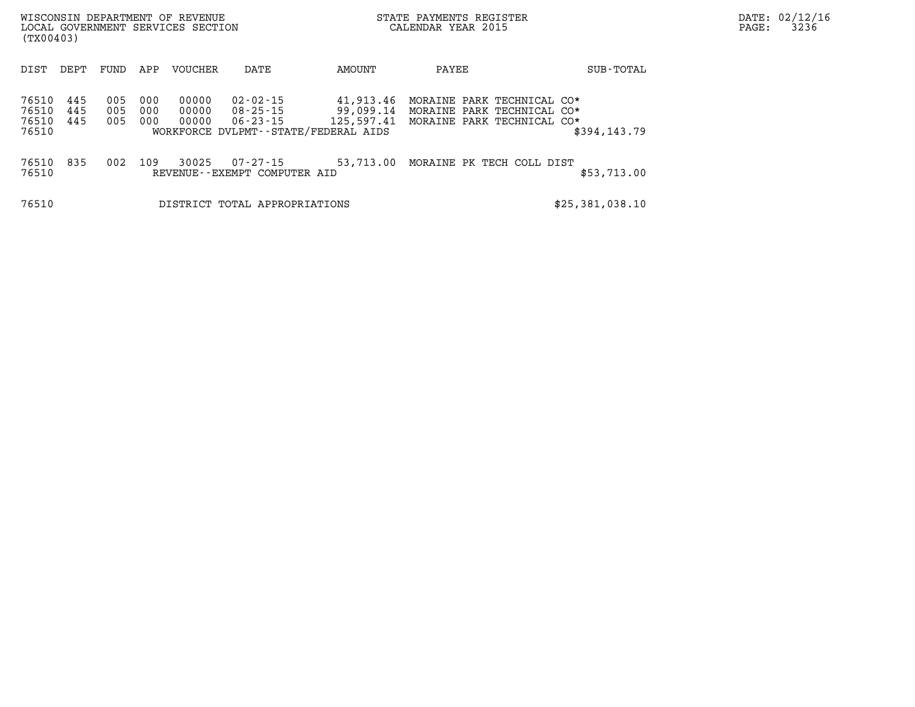| WISCONSIN DEPARTMENT OF REVENUE<br>LOCAL GOVERNMENT SERVICES SECTION<br>(TX00403) |                   |                   |                         |                                                  |                                                              | STATE PAYMENTS REGISTER<br>CALENDAR YEAR 2015                                          |                 | DATE: 02/12/16<br>3236<br>$\mathtt{PAGE:}$ |
|-----------------------------------------------------------------------------------|-------------------|-------------------|-------------------------|--------------------------------------------------|--------------------------------------------------------------|----------------------------------------------------------------------------------------|-----------------|--------------------------------------------|
| DIST<br>DEPT                                                                      | FUND              | APP               | VOUCHER                 | DATE                                             | AMOUNT                                                       | PAYEE                                                                                  | SUB-TOTAL       |                                            |
| 76510<br>445<br>76510<br>445<br>76510<br>445<br>76510                             | 005<br>005<br>005 | 000<br>000<br>000 | 00000<br>00000<br>00000 | 02-02-15<br>WORKFORCE DVLPMT--STATE/FEDERAL AIDS | 41,913.46<br>$08 - 25 - 15$ 99,099.14<br>06-23-15 125,597.41 | MORAINE PARK TECHNICAL CO*<br>MORAINE PARK TECHNICAL CO*<br>MORAINE PARK TECHNICAL CO* | \$394,143.79    |                                            |
| 76510 835<br>76510                                                                | 002               | 109               | 30025                   | 07-27-15<br>REVENUE--EXEMPT COMPUTER AID         | 53,713.00                                                    | MORAINE PK TECH COLL DIST                                                              | \$53,713.00     |                                            |
| 76510                                                                             |                   |                   |                         | DISTRICT TOTAL APPROPRIATIONS                    |                                                              |                                                                                        | \$25,381,038.10 |                                            |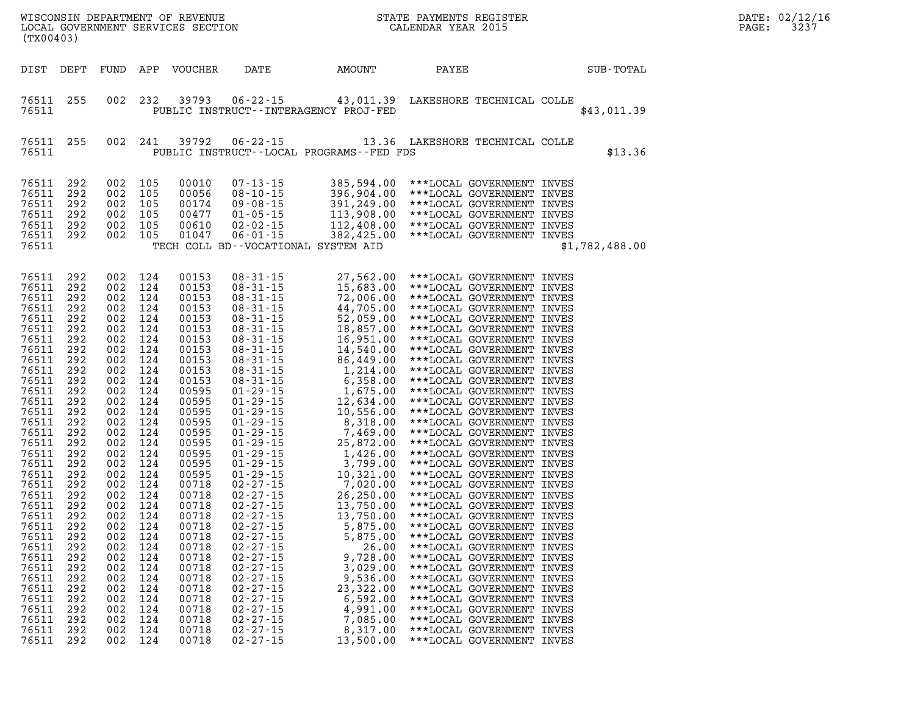| DATE:             | 02/12/16 |
|-------------------|----------|
| $\mathtt{PAGE}$ : | 3237     |

| (TX00403)                                                                                                                                                                                                                                                                                                                            |                                                                                                                                                                                                                                                   |                                                                           |                                                                                                                                                                                                                                                                                                                                                              |                                                                                                                                                                                                                                                                                                                                  |                                                                                                                                                                                                                      |                                                                                                                                                                                                                                                                                                                                                                                                                               |       |                                                                                                                                                                                                                                                                                                                                                          |                | DATE: 02/12/1<br>PAGE:<br>3237 |
|--------------------------------------------------------------------------------------------------------------------------------------------------------------------------------------------------------------------------------------------------------------------------------------------------------------------------------------|---------------------------------------------------------------------------------------------------------------------------------------------------------------------------------------------------------------------------------------------------|---------------------------------------------------------------------------|--------------------------------------------------------------------------------------------------------------------------------------------------------------------------------------------------------------------------------------------------------------------------------------------------------------------------------------------------------------|----------------------------------------------------------------------------------------------------------------------------------------------------------------------------------------------------------------------------------------------------------------------------------------------------------------------------------|----------------------------------------------------------------------------------------------------------------------------------------------------------------------------------------------------------------------|-------------------------------------------------------------------------------------------------------------------------------------------------------------------------------------------------------------------------------------------------------------------------------------------------------------------------------------------------------------------------------------------------------------------------------|-------|----------------------------------------------------------------------------------------------------------------------------------------------------------------------------------------------------------------------------------------------------------------------------------------------------------------------------------------------------------|----------------|--------------------------------|
| DIST DEPT                                                                                                                                                                                                                                                                                                                            |                                                                                                                                                                                                                                                   |                                                                           |                                                                                                                                                                                                                                                                                                                                                              | FUND APP VOUCHER                                                                                                                                                                                                                                                                                                                 | <b>DATE</b>                                                                                                                                                                                                          | AMOUNT                                                                                                                                                                                                                                                                                                                                                                                                                        | PAYEE |                                                                                                                                                                                                                                                                                                                                                          | SUB-TOTAL      |                                |
| 76511 255<br>76511                                                                                                                                                                                                                                                                                                                   |                                                                                                                                                                                                                                                   |                                                                           | 002 232                                                                                                                                                                                                                                                                                                                                                      | 39793                                                                                                                                                                                                                                                                                                                            |                                                                                                                                                                                                                      | 06-22-15 43,011.39 LAKESHORE TECHNICAL COLLE<br>PUBLIC INSTRUCT--INTERAGENCY PROJ-FED                                                                                                                                                                                                                                                                                                                                         |       |                                                                                                                                                                                                                                                                                                                                                          | \$43,011.39    |                                |
| 76511 255<br>76511                                                                                                                                                                                                                                                                                                                   |                                                                                                                                                                                                                                                   |                                                                           | 002 241                                                                                                                                                                                                                                                                                                                                                      | 39792                                                                                                                                                                                                                                                                                                                            |                                                                                                                                                                                                                      | 06-22-15 13.36 LAKESHORE TECHNICAL COLLE<br>PUBLIC INSTRUCT--LOCAL PROGRAMS--FED FDS                                                                                                                                                                                                                                                                                                                                          |       |                                                                                                                                                                                                                                                                                                                                                          | \$13.36        |                                |
| 76511<br>76511<br>76511<br>76511<br>76511<br>76511 292<br>76511                                                                                                                                                                                                                                                                      | 292<br>292<br>292<br>292<br>292                                                                                                                                                                                                                   |                                                                           | 002 105<br>002 105<br>002 105<br>002 105<br>002 105<br>002 105                                                                                                                                                                                                                                                                                               | 00010<br>00056<br>00174<br>00477<br>00610<br>01047                                                                                                                                                                                                                                                                               |                                                                                                                                                                                                                      | $\begin{tabular}{lllllllllllllllllllllll} 07-13-15 & 385,594.00 & **+Local GOVERIMENT INVES \\ 08-10-15 & 396,904.00 & **+Local GOVERIMENT INVES \\ 09-08-15 & 391,249.00 & **+Local GOVERIMENT INVES \\ 01-05-15 & 113,908.00 & **+Local GOVERIMENT INVES \\ 02-02-15 & 112,408.00 & **+Local GOVERIMENT INVES \\ 06-01-15 & 382,425.00 & **+Local GOVERIMENT INVES \\ \end{tabular}$<br>TECH COLL BD--VOCATIONAL SYSTEM AID |       |                                                                                                                                                                                                                                                                                                                                                          | \$1,782,488.00 |                                |
| 76511<br>76511<br>76511<br>76511<br>76511<br>76511<br>76511<br>76511<br>76511<br>76511<br>76511<br>76511<br>76511<br>76511<br>76511<br>76511<br>76511<br>76511<br>76511<br>76511<br>76511<br>76511<br>76511<br>76511<br>76511 292<br>76511<br>76511<br>76511<br>76511<br>76511<br>76511<br>76511<br>76511<br>76511<br>76511<br>76511 | 292<br>292<br>292<br>292<br>292<br>292<br>292<br>292<br>292<br>292<br>292<br>292<br>292<br>292<br>292<br>292<br>292<br>292<br>292<br>292<br>292<br>292<br>292<br>292<br>292<br>292<br>292<br>292<br>292<br>292<br>292<br>292<br>292<br>292<br>292 | 002<br>002<br>002<br>002<br>002<br>002<br>002<br>002<br>002<br>002<br>002 | 002 124<br>002 124<br>002 124<br>002 124<br>002 124<br>002 124<br>002 124<br>002 124<br>002 124<br>002 124<br>002 124<br>002 124<br>002 124<br>002 124<br>002 124<br>002 124<br>002 124<br>002 124<br>002 124<br>002 124<br>002 124<br>002 124<br>002 124<br>002 124<br>002 124<br>124<br>124<br>124<br>124<br>124<br>124<br>124<br>124<br>124<br>124<br>124 | 00153<br>00153<br>00153<br>00153<br>00153<br>00153<br>00153<br>00153<br>00153<br>00153<br>00153<br>00595<br>00595<br>00595<br>00595<br>00595<br>00595<br>00595<br>00595<br>00595<br>00718<br>00718<br>00718<br>00718<br>00718<br>00718<br>00718<br>00718<br>00718<br>00718<br>00718<br>00718<br>00718<br>00718<br>00718<br>00718 | $02 - 27 - 15$<br>$02 - 27 - 15$<br>$02 - 27 - 15$<br>$02 - 27 - 15$<br>$02 - 27 - 15$<br>$02 - 27 - 15$<br>$02 - 27 - 15$<br>$02 - 27 - 15$<br>$02 - 27 - 15$<br>$02 - 27 - 15$<br>$02 - 27 - 15$<br>$02 - 27 - 15$ | 5,875.00<br>5,875.00<br>26.00<br>9,728.00<br>3,029.00<br>9,536.00<br>23,322.00<br>6,592.00<br>4,991.00<br>7,085.00<br>8,317.00<br>13,500.00                                                                                                                                                                                                                                                                                   |       | ***LOCAL GOVERNMENT INVES<br>***LOCAL GOVERNMENT INVES<br>***LOCAL GOVERNMENT INVES<br>***LOCAL GOVERNMENT INVES<br>***LOCAL GOVERNMENT INVES<br>***LOCAL GOVERNMENT INVES<br>***LOCAL GOVERNMENT INVES<br>***LOCAL GOVERNMENT INVES<br>***LOCAL GOVERNMENT INVES<br>***LOCAL GOVERNMENT INVES<br>***LOCAL GOVERNMENT INVES<br>***LOCAL GOVERNMENT INVES |                |                                |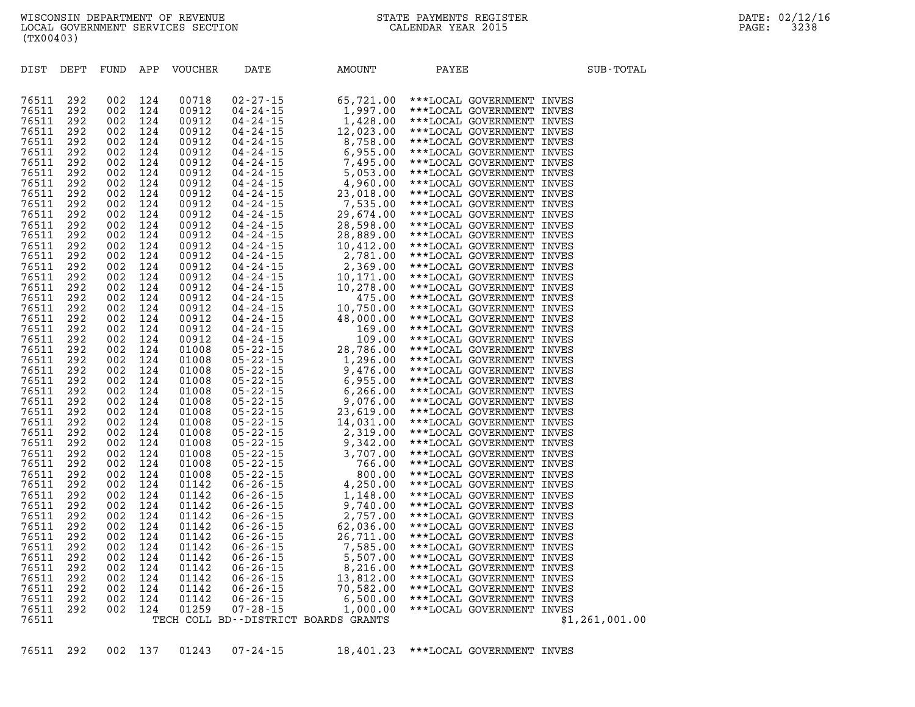| 76511 | 292 | 002 | 124 | 00718 |                                      |  |                |  |
|-------|-----|-----|-----|-------|--------------------------------------|--|----------------|--|
| 76511 | 292 | 002 | 124 | 00912 |                                      |  |                |  |
| 76511 | 292 | 002 | 124 | 00912 |                                      |  |                |  |
| 76511 | 292 | 002 | 124 | 00912 |                                      |  |                |  |
| 76511 | 292 | 002 | 124 | 00912 |                                      |  |                |  |
| 76511 | 292 | 002 | 124 | 00912 |                                      |  |                |  |
| 76511 | 292 | 002 | 124 | 00912 |                                      |  |                |  |
| 76511 | 292 | 002 | 124 | 00912 |                                      |  |                |  |
| 76511 | 292 | 002 | 124 | 00912 |                                      |  |                |  |
|       | 292 | 002 | 124 |       |                                      |  |                |  |
| 76511 |     |     |     | 00912 |                                      |  |                |  |
| 76511 | 292 | 002 | 124 | 00912 |                                      |  |                |  |
| 76511 | 292 | 002 | 124 | 00912 |                                      |  |                |  |
| 76511 | 292 | 002 | 124 | 00912 |                                      |  |                |  |
| 76511 | 292 | 002 | 124 | 00912 |                                      |  |                |  |
| 76511 | 292 | 002 | 124 | 00912 |                                      |  |                |  |
| 76511 | 292 | 002 | 124 | 00912 |                                      |  |                |  |
| 76511 | 292 | 002 | 124 | 00912 |                                      |  |                |  |
| 76511 | 292 | 002 | 124 | 00912 |                                      |  |                |  |
| 76511 | 292 | 002 | 124 | 00912 |                                      |  |                |  |
| 76511 | 292 | 002 | 124 | 00912 |                                      |  |                |  |
| 76511 | 292 | 002 | 124 | 00912 |                                      |  |                |  |
| 76511 | 292 | 002 | 124 | 00912 |                                      |  |                |  |
| 76511 | 292 | 002 | 124 | 00912 |                                      |  |                |  |
| 76511 | 292 | 002 | 124 | 00912 |                                      |  |                |  |
| 76511 | 292 | 002 | 124 | 01008 |                                      |  |                |  |
| 76511 | 292 | 002 | 124 | 01008 |                                      |  |                |  |
| 76511 | 292 | 002 | 124 | 01008 |                                      |  |                |  |
| 76511 | 292 | 002 | 124 | 01008 |                                      |  |                |  |
| 76511 | 292 | 002 | 124 | 01008 |                                      |  |                |  |
| 76511 | 292 | 002 | 124 | 01008 |                                      |  |                |  |
| 76511 | 292 | 002 | 124 | 01008 |                                      |  |                |  |
| 76511 | 292 | 002 | 124 | 01008 |                                      |  |                |  |
| 76511 |     | 002 | 124 | 01008 |                                      |  |                |  |
|       | 292 |     |     |       |                                      |  |                |  |
| 76511 | 292 | 002 | 124 | 01008 |                                      |  |                |  |
| 76511 | 292 | 002 | 124 | 01008 |                                      |  |                |  |
| 76511 | 292 | 002 | 124 | 01008 |                                      |  |                |  |
| 76511 | 292 | 002 | 124 | 01008 |                                      |  |                |  |
| 76511 | 292 | 002 | 124 | 01142 |                                      |  |                |  |
| 76511 | 292 | 002 | 124 | 01142 |                                      |  |                |  |
| 76511 | 292 | 002 | 124 | 01142 |                                      |  |                |  |
| 76511 | 292 | 002 | 124 | 01142 |                                      |  |                |  |
| 76511 | 292 | 002 | 124 | 01142 |                                      |  |                |  |
| 76511 | 292 | 002 | 124 | 01142 |                                      |  |                |  |
| 76511 | 292 | 002 | 124 | 01142 |                                      |  |                |  |
| 76511 | 292 | 002 | 124 | 01142 |                                      |  |                |  |
| 76511 | 292 | 002 | 124 | 01142 |                                      |  |                |  |
| 76511 | 292 | 002 | 124 | 01142 |                                      |  |                |  |
| 76511 | 292 | 002 | 124 | 01142 |                                      |  |                |  |
| 76511 | 292 | 002 | 124 | 01142 |                                      |  |                |  |
| 76511 | 292 | 002 | 124 | 01259 |                                      |  |                |  |
| 76511 |     |     |     |       | TECH COLL BD--DISTRICT BOARDS GRANTS |  | \$1,261,001.00 |  |
|       |     |     |     |       |                                      |  |                |  |
|       |     |     |     |       |                                      |  |                |  |

**76511 292 002 137 01243 07-24-15 18,401.23 \*\*\*LOCAL GOVERNMENT INVES** 

DIST DEPT FUND APP VOUCHER DATE AMOUNT PAYEE **PAYEE** SUB-TOTAL

**WISCONSIN DEPARTMENT OF REVENUE STATE PAYMENTS REGISTER DATE: 02/12/16**  LOCAL GOVERNMENT SERVICES SECTION **(TX00403)**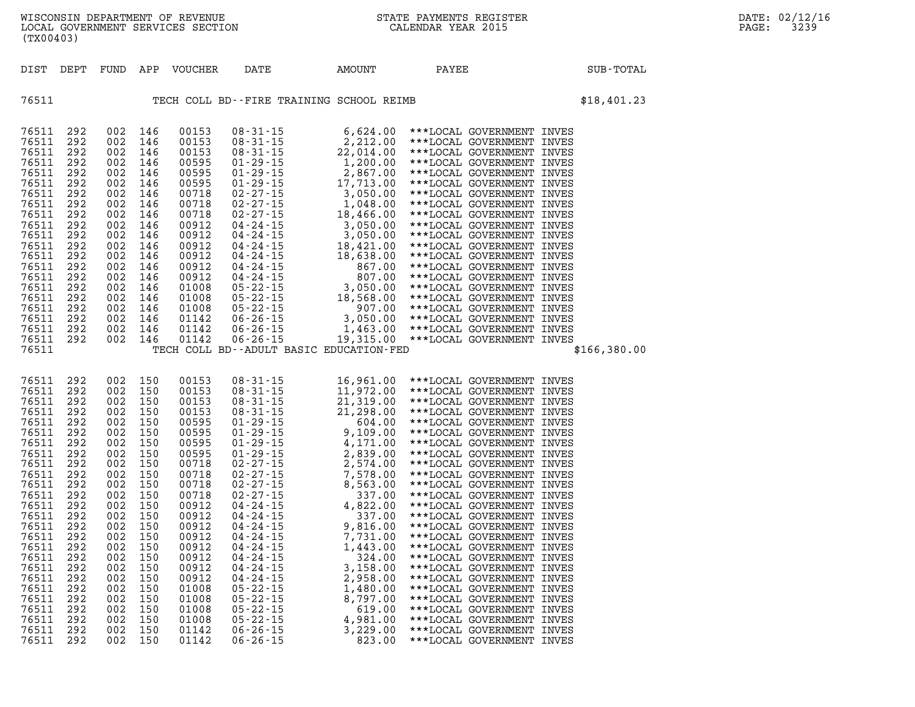**(TX00403)** 

| DIST                                                                                                                                                                                                                                   | DEPT                                                                                                                                                                               | FUND                                                                                                                                                                               | APP                                                                                                                                                                                | VOUCHER                                                                                                                                                                                                                                | DATE                                                                                                                                                                                                                                                                                                                     | AMOUNT | PAYEE                                                                                                                                                                                                                                                                                                                                                                                                                                                                                                                                                                                                                                                                                                                                                                                    | SUB-TOTAL    |
|----------------------------------------------------------------------------------------------------------------------------------------------------------------------------------------------------------------------------------------|------------------------------------------------------------------------------------------------------------------------------------------------------------------------------------|------------------------------------------------------------------------------------------------------------------------------------------------------------------------------------|------------------------------------------------------------------------------------------------------------------------------------------------------------------------------------|----------------------------------------------------------------------------------------------------------------------------------------------------------------------------------------------------------------------------------------|--------------------------------------------------------------------------------------------------------------------------------------------------------------------------------------------------------------------------------------------------------------------------------------------------------------------------|--------|------------------------------------------------------------------------------------------------------------------------------------------------------------------------------------------------------------------------------------------------------------------------------------------------------------------------------------------------------------------------------------------------------------------------------------------------------------------------------------------------------------------------------------------------------------------------------------------------------------------------------------------------------------------------------------------------------------------------------------------------------------------------------------------|--------------|
| 76511                                                                                                                                                                                                                                  |                                                                                                                                                                                    |                                                                                                                                                                                    |                                                                                                                                                                                    |                                                                                                                                                                                                                                        | TECH COLL BD--FIRE TRAINING SCHOOL REIMB                                                                                                                                                                                                                                                                                 |        |                                                                                                                                                                                                                                                                                                                                                                                                                                                                                                                                                                                                                                                                                                                                                                                          | \$18,401.23  |
| 76511<br>76511<br>76511<br>76511<br>76511<br>76511<br>76511<br>76511<br>76511<br>76511<br>76511<br>76511<br>76511<br>76511<br>76511<br>76511<br>76511<br>76511<br>76511<br>76511<br>76511<br>76511                                     | 292<br>292<br>292<br>292<br>292<br>292<br>292<br>292<br>292<br>292<br>292<br>292<br>292<br>292<br>292<br>292<br>292<br>292<br>292<br>292<br>292                                    | 002<br>002<br>002<br>002<br>002<br>002<br>002<br>002<br>002<br>002<br>002<br>002<br>002<br>002<br>002<br>002<br>002<br>002<br>002<br>002<br>002                                    | 146<br>146<br>146<br>146<br>146<br>146<br>146<br>146<br>146<br>146<br>146<br>146<br>146<br>146<br>146<br>146<br>146<br>146<br>146<br>146<br>146                                    | 00153<br>00153<br>00153<br>00595<br>00595<br>00595<br>00718<br>00718<br>00718<br>00912<br>00912<br>00912<br>00912<br>00912<br>00912<br>01008<br>01008<br>01008<br>01142<br>01142<br>01142                                              | TECH COLL BD--ADULT BASIC EDUCATION-FED                                                                                                                                                                                                                                                                                  |        |                                                                                                                                                                                                                                                                                                                                                                                                                                                                                                                                                                                                                                                                                                                                                                                          | \$166,380.00 |
| 76511<br>76511<br>76511<br>76511<br>76511<br>76511<br>76511<br>76511<br>76511<br>76511<br>76511<br>76511<br>76511<br>76511<br>76511<br>76511<br>76511<br>76511<br>76511<br>76511<br>76511<br>76511<br>76511<br>76511<br>76511<br>76511 | 292<br>292<br>292<br>292<br>292<br>292<br>292<br>292<br>292<br>292<br>292<br>292<br>292<br>292<br>292<br>292<br>292<br>292<br>292<br>292<br>292<br>292<br>292<br>292<br>292<br>292 | 002<br>002<br>002<br>002<br>002<br>002<br>002<br>002<br>002<br>002<br>002<br>002<br>002<br>002<br>002<br>002<br>002<br>002<br>002<br>002<br>002<br>002<br>002<br>002<br>002<br>002 | 150<br>150<br>150<br>150<br>150<br>150<br>150<br>150<br>150<br>150<br>150<br>150<br>150<br>150<br>150<br>150<br>150<br>150<br>150<br>150<br>150<br>150<br>150<br>150<br>150<br>150 | 00153<br>00153<br>00153<br>00153<br>00595<br>00595<br>00595<br>00595<br>00718<br>00718<br>00718<br>00718<br>00912<br>00912<br>00912<br>00912<br>00912<br>00912<br>00912<br>00912<br>01008<br>01008<br>01008<br>01008<br>01142<br>01142 | $\begin{array}{cccc} 08\hbox{-}31\hbox{-}15 & 16\hbox{-}961.00 \\ 08\hbox{-}31\hbox{-}15 & 11\hbox{-}972.00 \\ 08\hbox{-}31\hbox{-}15 & 21\hbox{-}319.00 \\ 08\hbox{-}31\hbox{-}15 & 21\hbox{-}298.00 \\ 01\hbox{-}29\hbox{-}15 & 9\hbox{-}109.00 \\ 01\hbox{-}29\hbox{-}15 & 4\hbox{-}171.00 \\ 01\hbox{-}29\hbox{-}15$ |        | 16,961.00 ***LOCAL GOVERNMENT INVES<br>***LOCAL GOVERNMENT INVES<br>***LOCAL GOVERNMENT INVES<br>***LOCAL GOVERNMENT INVES<br>***LOCAL GOVERNMENT INVES<br>***LOCAL GOVERNMENT INVES<br>***LOCAL GOVERNMENT INVES<br>***LOCAL GOVERNMENT INVES<br>***LOCAL GOVERNMENT INVES<br>***LOCAL GOVERNMENT INVES<br>***LOCAL GOVERNMENT INVES<br>***LOCAL GOVERNMENT INVES<br>***LOCAL GOVERNMENT INVES<br>***LOCAL GOVERNMENT INVES<br>***LOCAL GOVERNMENT INVES<br>***LOCAL GOVERNMENT INVES<br>***LOCAL GOVERNMENT INVES<br>***LOCAL GOVERNMENT INVES<br>***LOCAL GOVERNMENT INVES<br>***LOCAL GOVERNMENT INVES<br>***LOCAL GOVERNMENT INVES<br>***LOCAL GOVERNMENT INVES<br>***LOCAL GOVERNMENT INVES<br>***LOCAL GOVERNMENT INVES<br>***LOCAL GOVERNMENT INVES<br>***LOCAL GOVERNMENT INVES |              |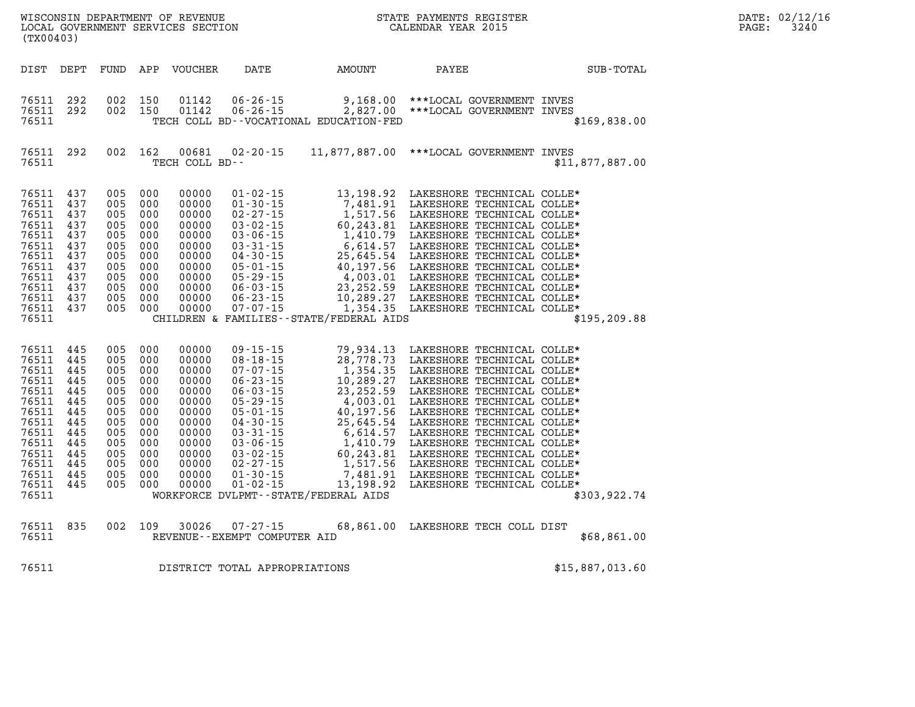| DATE: | 02/12/16 |
|-------|----------|
| PAGE: | 3240     |

| (TX00403)                                                                                                                           |                                                                                                |                                                                                                |                                                                                                |                                                                                                                            |                                                                                                                                                                                                                                                                                                  |                                                                                                                                                                                       |                                                                                                                                                                                                                                                                                                                                                                                                                                  |                 |
|-------------------------------------------------------------------------------------------------------------------------------------|------------------------------------------------------------------------------------------------|------------------------------------------------------------------------------------------------|------------------------------------------------------------------------------------------------|----------------------------------------------------------------------------------------------------------------------------|--------------------------------------------------------------------------------------------------------------------------------------------------------------------------------------------------------------------------------------------------------------------------------------------------|---------------------------------------------------------------------------------------------------------------------------------------------------------------------------------------|----------------------------------------------------------------------------------------------------------------------------------------------------------------------------------------------------------------------------------------------------------------------------------------------------------------------------------------------------------------------------------------------------------------------------------|-----------------|
| DIST                                                                                                                                | DEPT                                                                                           | FUND                                                                                           | APP                                                                                            | VOUCHER                                                                                                                    | DATE                                                                                                                                                                                                                                                                                             | AMOUNT                                                                                                                                                                                | PAYEE                                                                                                                                                                                                                                                                                                                                                                                                                            | SUB-TOTAL       |
| 76511<br>76511<br>76511                                                                                                             | 292<br>292                                                                                     | 002<br>002                                                                                     | 150<br>150                                                                                     | 01142<br>01142                                                                                                             | $06 - 26 - 15$<br>$06 - 26 - 15$                                                                                                                                                                                                                                                                 | TECH COLL BD--VOCATIONAL EDUCATION-FED                                                                                                                                                |                                                                                                                                                                                                                                                                                                                                                                                                                                  | \$169,838.00    |
| 76511<br>76511                                                                                                                      | 292                                                                                            | 002                                                                                            | 162                                                                                            | 00681<br>TECH COLL BD--                                                                                                    | $02 - 20 - 15$                                                                                                                                                                                                                                                                                   |                                                                                                                                                                                       | 11,877,887.00 *** LOCAL GOVERNMENT INVES                                                                                                                                                                                                                                                                                                                                                                                         | \$11,877,887.00 |
| 76511<br>76511<br>76511<br>76511<br>76511<br>76511<br>76511<br>76511<br>76511<br>76511<br>76511<br>76511<br>76511                   | 437<br>437<br>437<br>437<br>437<br>437<br>437<br>437<br>437<br>437<br>437<br>437               | 005<br>005<br>005<br>005<br>005<br>005<br>005<br>005<br>005<br>005<br>005<br>005               | 000<br>000<br>000<br>000<br>000<br>000<br>000<br>000<br>000<br>000<br>000<br>000               | 00000<br>00000<br>00000<br>00000<br>00000<br>00000<br>00000<br>00000<br>00000<br>00000<br>00000<br>00000                   | $01 - 02 - 15$<br>$01 - 30 - 15$<br>$02 - 27 - 15$<br>$03 - 02 - 15$<br>$03 - 06 - 15$<br>$03 - 31 - 15$<br>$04 - 30 - 15$<br>$05 - 01 - 15$<br>$05 - 29 - 15$<br>$06 - 03 - 15$<br>$06 - 23 - 15$<br>$07 - 07 - 15$                                                                             | 13,198.92<br>7,481.91<br>1,517.56<br>60,243.81<br>1,410.79<br>6,614.57<br>25,645.54<br>40,197.56<br>4,003.01<br>23, 252.59<br>10,289.27<br>CHILDREN & FAMILIES - - STATE/FEDERAL AIDS | LAKESHORE TECHNICAL COLLE*<br>LAKESHORE TECHNICAL COLLE*<br>LAKESHORE TECHNICAL COLLE*<br>LAKESHORE TECHNICAL COLLE*<br>LAKESHORE TECHNICAL COLLE*<br>LAKESHORE TECHNICAL COLLE*<br>LAKESHORE TECHNICAL COLLE*<br>LAKESHORE TECHNICAL COLLE*<br>LAKESHORE TECHNICAL COLLE*<br>LAKESHORE TECHNICAL COLLE*<br>LAKESHORE TECHNICAL COLLE*<br>1,354.35 LAKESHORE TECHNICAL COLLE*                                                    | \$195, 209.88   |
| 76511<br>76511<br>76511<br>76511<br>76511<br>76511<br>76511<br>76511<br>76511<br>76511<br>76511<br>76511<br>76511<br>76511<br>76511 | 445<br>445<br>445<br>445<br>445<br>445<br>445<br>445<br>445<br>445<br>445<br>445<br>445<br>445 | 005<br>005<br>005<br>005<br>005<br>005<br>005<br>005<br>005<br>005<br>005<br>005<br>005<br>005 | 000<br>000<br>000<br>000<br>000<br>000<br>000<br>000<br>000<br>000<br>000<br>000<br>000<br>000 | 00000<br>00000<br>00000<br>00000<br>00000<br>00000<br>00000<br>00000<br>00000<br>00000<br>00000<br>00000<br>00000<br>00000 | $09 - 15 - 15$<br>$08 - 18 - 15$<br>$07 - 07 - 15$<br>$06 - 23 - 15$<br>$06 - 03 - 15$<br>$05 - 29 - 15$<br>$05 - 01 - 15$<br>$04 - 30 - 15$<br>$03 - 31 - 15$<br>$03 - 06 - 15$<br>$03 - 02 - 15$<br>$02 - 27 - 15$<br>$01 - 30 - 15$<br>$01 - 02 - 15$<br>WORKFORCE DVLPMT--STATE/FEDERAL AIDS | 79,934.13<br>28,778.73<br>1,354.35<br>10,289.27<br>23, 252.59<br>4,003.01<br>40, 197.56<br>25,645.54<br>6,614.57<br>1,410.79<br>60,243.81<br>1,517.56<br>7,481.91<br>13, 198.92       | LAKESHORE TECHNICAL COLLE*<br>LAKESHORE TECHNICAL COLLE*<br>LAKESHORE TECHNICAL COLLE*<br>LAKESHORE TECHNICAL COLLE*<br>LAKESHORE TECHNICAL COLLE*<br>LAKESHORE TECHNICAL COLLE*<br>LAKESHORE TECHNICAL COLLE*<br>LAKESHORE TECHNICAL COLLE*<br>LAKESHORE TECHNICAL COLLE*<br>LAKESHORE TECHNICAL COLLE*<br>LAKESHORE TECHNICAL COLLE*<br>LAKESHORE TECHNICAL COLLE*<br>LAKESHORE TECHNICAL COLLE*<br>LAKESHORE TECHNICAL COLLE* | \$303,922.74    |
| 76511<br>76511                                                                                                                      | 835                                                                                            | 002                                                                                            | 109                                                                                            | 30026                                                                                                                      | $07 - 27 - 15$<br>REVENUE - - EXEMPT COMPUTER AID                                                                                                                                                                                                                                                |                                                                                                                                                                                       | 68,861.00 LAKESHORE TECH COLL DIST                                                                                                                                                                                                                                                                                                                                                                                               | \$68,861.00     |
| 76511                                                                                                                               |                                                                                                |                                                                                                |                                                                                                |                                                                                                                            | DISTRICT TOTAL APPROPRIATIONS                                                                                                                                                                                                                                                                    |                                                                                                                                                                                       |                                                                                                                                                                                                                                                                                                                                                                                                                                  | \$15,887,013.60 |

WISCONSIN DEPARTMENT OF REVENUE STATE STATE PAYMENTS REGISTER LOCAL GOVERNMENT SERVICES SECTION

LOCAL GOVERNMENT SERVICES SECTION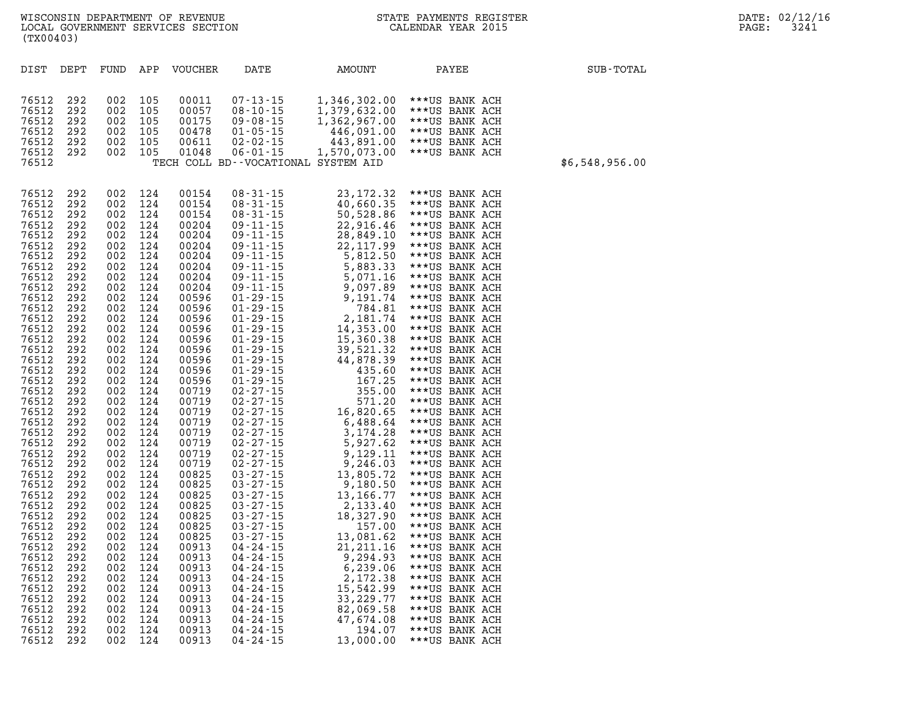| DIST           | DEPT       | FUND       | APP        | <b>VOUCHER</b> | DATE                             | <b>AMOUNT</b>                       | PAYEE                            | SUB-TOTAL      |
|----------------|------------|------------|------------|----------------|----------------------------------|-------------------------------------|----------------------------------|----------------|
| 76512          | 292        | 002        | 105        | 00011          | $07 - 13 - 15$                   | 1,346,302.00                        | ***US BANK ACH                   |                |
| 76512          | 292        | 002        | 105        | 00057          | $08 - 10 - 15$                   | 1,379,632.00                        | ***US BANK ACH                   |                |
| 76512          | 292        | 002        | 105        | 00175          | $09 - 08 - 15$                   | 1,362,967.00                        | ***US BANK ACH                   |                |
| 76512          | 292        | 002        | 105        | 00478          | $01 - 05 - 15$                   | 446,091.00                          | ***US BANK ACH                   |                |
| 76512          | 292        | 002        | 105        | 00611          | $02 - 02 - 15$                   | 443,891.00                          | ***US BANK ACH                   |                |
| 76512          | 292        | 002        | 105        | 01048          | $06 - 01 - 15$                   | 1,570,073.00                        | ***US BANK ACH                   |                |
| 76512          |            |            |            |                |                                  | TECH COLL BD--VOCATIONAL SYSTEM AID |                                  | \$6,548,956.00 |
|                |            |            |            |                |                                  |                                     |                                  |                |
| 76512          | 292        | 002        | 124        | 00154          | $08 - 31 - 15$                   | 23, 172.32                          | ***US BANK ACH                   |                |
| 76512          | 292        | 002        | 124        | 00154          | $08 - 31 - 15$                   | 40,660.35                           | ***US BANK ACH                   |                |
| 76512          | 292        | 002        | 124        | 00154          | $08 - 31 - 15$                   | 50,528.86                           | ***US BANK ACH                   |                |
| 76512          | 292        | 002        | 124        | 00204          | 09 - 11 - 15                     | 22,916.46                           | ***US BANK ACH                   |                |
| 76512          | 292        | 002        | 124        | 00204          | $09 - 11 - 15$                   | 28,849.10                           | ***US BANK ACH                   |                |
| 76512          | 292        | 002        | 124        | 00204          | $09 - 11 - 15$                   | 22, 117.99                          | ***US BANK ACH                   |                |
| 76512          | 292        | 002        | 124        | 00204          | $09 - 11 - 15$                   | 5,812.50                            | ***US BANK ACH                   |                |
| 76512          | 292        | 002        | 124        | 00204<br>00204 | $09 - 11 - 15$<br>$09 - 11 - 15$ | 5,883.33<br>5,071.16                | ***US BANK ACH                   |                |
| 76512<br>76512 | 292<br>292 | 002<br>002 | 124<br>124 | 00204          | $09 - 11 - 15$                   | 9,097.89                            | ***US BANK ACH<br>***US BANK ACH |                |
| 76512          | 292        | 002        | 124        | 00596          | $01 - 29 - 15$                   | 9,191.74                            | ***US BANK ACH                   |                |
| 76512          | 292        | 002        | 124        | 00596          | $01 - 29 - 15$                   | 784.81                              | ***US BANK ACH                   |                |
| 76512          | 292        | 002        | 124        | 00596          | $01 - 29 - 15$                   | 2,181.74                            | ***US BANK ACH                   |                |
| 76512          | 292        | 002        | 124        | 00596          | $01 - 29 - 15$                   | 14,353.00                           | ***US BANK ACH                   |                |
| 76512          | 292        | 002        | 124        | 00596          | $01 - 29 - 15$                   | 15,360.38                           | ***US BANK ACH                   |                |
| 76512          | 292        | 002        | 124        | 00596          | $01 - 29 - 15$                   | 39,521.32                           | ***US BANK ACH                   |                |
| 76512          | 292        | 002        | 124        | 00596          | $01 - 29 - 15$                   | 44,878.39                           | ***US BANK ACH                   |                |
| 76512          | 292        | 002        | 124        | 00596          | $01 - 29 - 15$                   | 435.60                              | ***US BANK ACH                   |                |
| 76512<br>76512 | 292<br>292 | 002<br>002 | 124<br>124 | 00596<br>00719 | $01 - 29 - 15$<br>$02 - 27 - 15$ | 167.25<br>355.00                    | ***US BANK ACH<br>***US BANK ACH |                |
| 76512          | 292        | 002        | 124        | 00719          | $02 - 27 - 15$                   | 571.20                              | ***US BANK ACH                   |                |
| 76512          | 292        | 002        | 124        | 00719          | $02 - 27 - 15$                   | 16,820.65                           | ***US BANK ACH                   |                |
| 76512          | 292        | 002        | 124        | 00719          | $02 - 27 - 15$                   | 6,488.64                            | ***US BANK ACH                   |                |
| 76512          | 292        | 002        | 124        | 00719          | $02 - 27 - 15$                   | 3,174.28                            | ***US BANK ACH                   |                |
| 76512          | 292        | 002        | 124        | 00719          | $02 - 27 - 15$                   | 5,927.62                            | ***US BANK ACH                   |                |
| 76512          | 292        | 002        | 124        | 00719          | $02 - 27 - 15$                   | 9,129.11                            | ***US BANK ACH                   |                |
| 76512          | 292        | 002        | 124        | 00719          | $02 - 27 - 15$                   | 9,246.03                            | ***US BANK ACH                   |                |
| 76512<br>76512 | 292<br>292 | 002<br>002 | 124<br>124 | 00825<br>00825 | $03 - 27 - 15$<br>$03 - 27 - 15$ | 13,805.72<br>9,180.50               | ***US BANK ACH<br>***US BANK ACH |                |
| 76512          | 292        | 002        | 124        | 00825          | $03 - 27 - 15$                   | 13,166.77                           | ***US BANK ACH                   |                |
| 76512          | 292        | 002        | 124        | 00825          | $03 - 27 - 15$                   | 2,133.40                            | ***US BANK ACH                   |                |
| 76512          | 292        | 002        | 124        | 00825          | $03 - 27 - 15$                   | 18,327.90                           | ***US BANK ACH                   |                |
| 76512          | 292        | 002        | 124        | 00825          | $03 - 27 - 15$                   | 157.00                              | ***US BANK ACH                   |                |
| 76512          | 292        | 002        | 124        | 00825          | $03 - 27 - 15$                   | 13,081.62                           | ***US BANK ACH                   |                |
| 76512          | 292        | 002        | 124        | 00913          | $04 - 24 - 15$                   | 21, 211.16                          | ***US BANK ACH                   |                |
| 76512          | 292        | 002        | 124        | 00913          | 04 - 24 - 15                     | 9,294.93                            | ***US BANK ACH                   |                |
| 76512          | 292        | 002        | 124        | 00913          | $04 - 24 - 15$                   | 6,239.06                            | ***US BANK ACH                   |                |
| 76512<br>76512 | 292<br>292 | 002<br>002 | 124<br>124 | 00913<br>00913 | 04-24-15<br>$04 - 24 - 15$       | 2,172.38<br>15,542.99               | ***US BANK ACH<br>***US BANK ACH |                |
| 76512          | 292        | 002        | 124        | 00913          | $04 - 24 - 15$                   | 33, 229. 77                         | ***US BANK ACH                   |                |
| 76512          | 292        | 002        | 124        | 00913          | $04 - 24 - 15$                   | 82,069.58                           | ***US BANK ACH                   |                |
| 76512          | 292        | 002        | 124        | 00913          | $04 - 24 - 15$                   | 47,674.08                           | ***US BANK ACH                   |                |
| 76512          | 292        | 002        | 124        | 00913          | $04 - 24 - 15$                   | 194.07                              | ***US BANK ACH                   |                |
| 76512          | 292        | 002        | 124        | 00913          | 04 - 24 - 15                     | 13,000.00                           | ***US BANK ACH                   |                |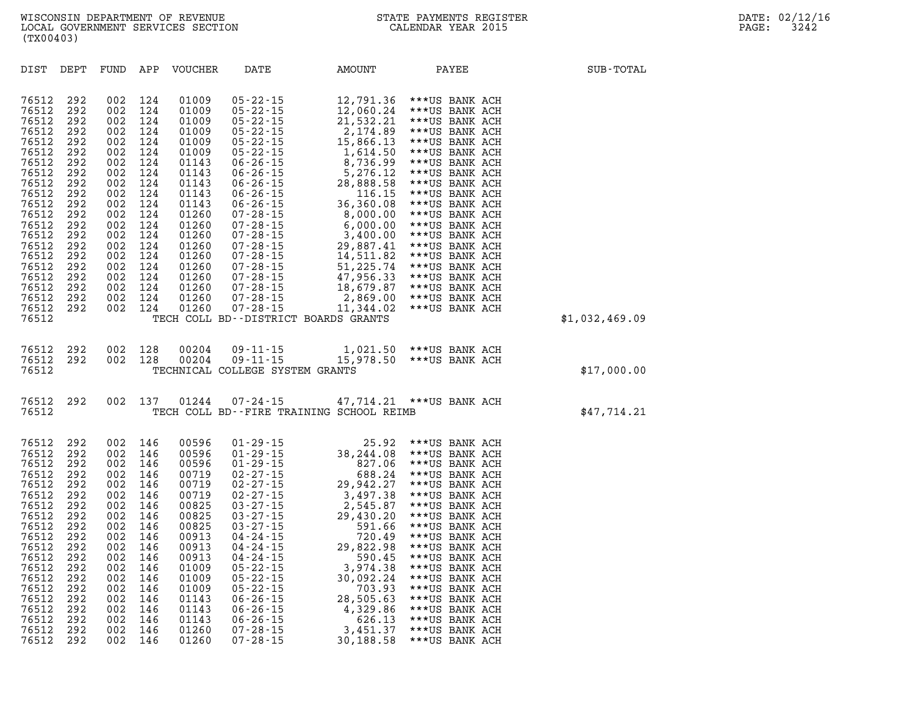| DIST                                                                                                                                                                                      | DEPT                                                                                                                                            | FUND                                                                                                                                            | APP                                                                                                                                             | VOUCHER                                                                                                                                                                                   | DATE                                                                                                                                                                                                                                                                                                                                            | AMOUNT                                                                                                                                                                                                                                                                          | PAYEE                                                                                                                                                                                                                                                                                                                                                                                  | SUB-TOTAL      |
|-------------------------------------------------------------------------------------------------------------------------------------------------------------------------------------------|-------------------------------------------------------------------------------------------------------------------------------------------------|-------------------------------------------------------------------------------------------------------------------------------------------------|-------------------------------------------------------------------------------------------------------------------------------------------------|-------------------------------------------------------------------------------------------------------------------------------------------------------------------------------------------|-------------------------------------------------------------------------------------------------------------------------------------------------------------------------------------------------------------------------------------------------------------------------------------------------------------------------------------------------|---------------------------------------------------------------------------------------------------------------------------------------------------------------------------------------------------------------------------------------------------------------------------------|----------------------------------------------------------------------------------------------------------------------------------------------------------------------------------------------------------------------------------------------------------------------------------------------------------------------------------------------------------------------------------------|----------------|
| 76512<br>76512<br>76512<br>76512<br>76512<br>76512<br>76512<br>76512<br>76512<br>76512<br>76512<br>76512<br>76512<br>76512<br>76512<br>76512<br>76512<br>76512<br>76512<br>76512<br>76512 | 292<br>292<br>292<br>292<br>292<br>292<br>292<br>292<br>292<br>292<br>292<br>292<br>292<br>292<br>292<br>292<br>292<br>292<br>292<br>292<br>292 | 002<br>002<br>002<br>002<br>002<br>002<br>002<br>002<br>002<br>002<br>002<br>002<br>002<br>002<br>002<br>002<br>002<br>002<br>002<br>002<br>002 | 124<br>124<br>124<br>124<br>124<br>124<br>124<br>124<br>124<br>124<br>124<br>124<br>124<br>124<br>124<br>124<br>124<br>124<br>124<br>124<br>124 | 01009<br>01009<br>01009<br>01009<br>01009<br>01009<br>01143<br>01143<br>01143<br>01143<br>01143<br>01260<br>01260<br>01260<br>01260<br>01260<br>01260<br>01260<br>01260<br>01260<br>01260 | $05 - 22 - 15$<br>05-22-15<br>05-22-15<br>05-22-15<br>05-22-15<br>05-22-15<br>05-22-15<br>06-26-15<br>06-26-15<br>06-26-15<br>06-26-15<br>06-26-15<br>06-26-15<br>06-26-15<br>07-28-15<br>07-28-15<br>07-28-15<br>07-28-15<br>07-28-15<br>07-28-15<br>07-28-15<br>07-28-15<br>$07 - 28 - 15$<br>07 - 28 - 15<br>07 - 28 - 15<br>$07 - 28 - 15$  | 12,791.36<br>12,060.24<br>21,532.21<br>2,174.89<br>15,866.13<br>15,866.13<br>1,614.50<br>8,736.99<br>5,276.12<br>28,888.58<br>116.15<br>36,360.08<br>8,000.00<br>6,000.00<br>3,400.00<br>29,887.41<br>14,511.82<br>51,225.74<br>47,956.33<br>18,679.87<br>2,869.00<br>11,344.02 | ***US BANK ACH<br>***US BANK ACH<br>***US BANK ACH<br>***US BANK ACH<br>***US BANK ACH<br>***US BANK ACH<br>***US BANK ACH<br>***US BANK ACH<br>***US BANK ACH<br>***US BANK ACH<br>***US BANK ACH<br>***US BANK ACH<br>***US BANK ACH<br>***US BANK ACH<br>***US BANK ACH<br>***US BANK ACH<br>***US BANK ACH<br>***US BANK ACH<br>***US BANK ACH<br>***US BANK ACH<br>***US BANK ACH |                |
| 76512                                                                                                                                                                                     |                                                                                                                                                 |                                                                                                                                                 |                                                                                                                                                 |                                                                                                                                                                                           | TECH COLL BD--DISTRICT BOARDS GRANTS                                                                                                                                                                                                                                                                                                            |                                                                                                                                                                                                                                                                                 |                                                                                                                                                                                                                                                                                                                                                                                        | \$1,032,469.09 |
| 76512<br>76512<br>76512                                                                                                                                                                   | 292<br>292                                                                                                                                      | 002<br>002                                                                                                                                      | 128<br>128                                                                                                                                      | 00204<br>00204                                                                                                                                                                            | 09 - 11 - 15<br>09 - 11 - 15<br>TECHNICAL COLLEGE SYSTEM GRANTS                                                                                                                                                                                                                                                                                 |                                                                                                                                                                                                                                                                                 | 1,021.50 *** US BANK ACH<br>15,978.50 *** US BANK ACH                                                                                                                                                                                                                                                                                                                                  | \$17,000.00    |
| 76512<br>76512                                                                                                                                                                            | 292                                                                                                                                             | 002                                                                                                                                             | 137                                                                                                                                             | 01244                                                                                                                                                                                     | $07 - 24 - 15$<br>TECH COLL BD--FIRE TRAINING SCHOOL REIMB                                                                                                                                                                                                                                                                                      |                                                                                                                                                                                                                                                                                 | 47,714.21 *** US BANK ACH                                                                                                                                                                                                                                                                                                                                                              | \$47,714.21    |
| 76512<br>76512<br>76512<br>76512<br>76512<br>76512<br>76512<br>76512<br>76512<br>76512<br>76512<br>76512<br>76512<br>76512<br>76512<br>76512<br>76512<br>76512<br>76512<br>76512          | 292<br>292<br>292<br>292<br>292<br>292<br>292<br>292<br>292<br>292<br>292<br>292<br>292<br>292<br>292<br>292<br>292<br>292<br>292<br>292        | 002<br>002<br>002<br>002<br>002<br>002<br>002<br>002<br>002<br>002<br>002<br>002<br>002<br>002<br>002<br>002<br>002<br>002<br>002<br>002        | 146<br>146<br>146<br>146<br>146<br>146<br>146<br>146<br>146<br>146<br>146<br>146<br>146<br>146<br>146<br>146<br>146<br>146<br>146<br>146        | 00596<br>00596<br>00596<br>00719<br>00719<br>00719<br>00825<br>00825<br>00825<br>00913<br>00913<br>00913<br>01009<br>01009<br>01009<br>01143<br>01143<br>01143<br>01260<br>01260          | $\begin{array}{cccc} 01\hbox{-} 29\hbox{-} 15 \\ 01\hbox{-} 29\hbox{-} 15 \\ 01\hbox{-} 29\hbox{-} 15 \\ 02\hbox{-} 27\hbox{-} 15 \\ 02\hbox{-} 27\hbox{-} 15 \\ 02\hbox{-} 27\hbox{-} 15 \\ 02\hbox{-} 27\hbox{-} 15 \\ 03\hbox{-} 27\hbox{-} 15 \\ 03\hbox{-} 27\hbox{-} 15 \\ 03\hbox{-} 27\hbox{-} 15 \\ 04\hbox{-} 24\h$<br>$07 - 28 - 15$ | 25.92<br>38,244.08<br>827.06<br>688.24<br>29,942.27<br>3,497.38<br>2,545.87<br>29,430.20<br>591.66<br>720.49<br>29,822.98<br>590.45<br>3,974.38<br>30,092.24<br>703.93<br>28,505.63<br>4,329.86<br>626.13<br>3,451.37<br>30,188.58                                              | ***US BANK ACH<br>***US BANK ACH<br>***US BANK ACH<br>***US BANK ACH<br>***US BANK ACH<br>***US BANK ACH<br>***US BANK ACH<br>***US BANK ACH<br>***US BANK ACH<br>***US BANK ACH<br>***US BANK ACH<br>***US BANK ACH<br>***US BANK ACH<br>***US BANK ACH<br>***US BANK ACH<br>***US BANK ACH<br>***US BANK ACH<br>***US BANK ACH<br>***US BANK ACH<br>***US BANK ACH                   |                |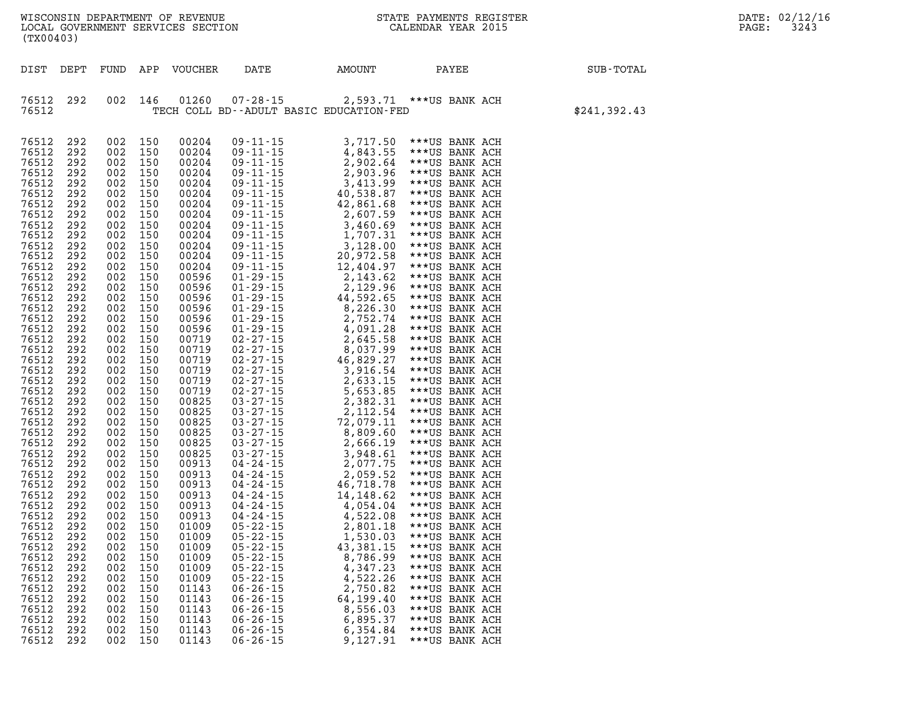|                   | DATE: 02/12/16 |
|-------------------|----------------|
| $\mathtt{PAGE}$ : | 3243           |

| (TX00403)                                                                                                                                                                                                                                                                                                                                                                                                                                                                                                                                                                                                                                                                                                                                                                                                                                                                                                                                                                                                                                                                            |                                                                                                                                                                                                                                                                                                                                    |                                                                                                                                                                                                                                                                                                                                                                                                                            |                                                                                                          |                                                                       |                                                                                                                                                                                                                                                                                                                                                                                                                                                                                |              |
|--------------------------------------------------------------------------------------------------------------------------------------------------------------------------------------------------------------------------------------------------------------------------------------------------------------------------------------------------------------------------------------------------------------------------------------------------------------------------------------------------------------------------------------------------------------------------------------------------------------------------------------------------------------------------------------------------------------------------------------------------------------------------------------------------------------------------------------------------------------------------------------------------------------------------------------------------------------------------------------------------------------------------------------------------------------------------------------|------------------------------------------------------------------------------------------------------------------------------------------------------------------------------------------------------------------------------------------------------------------------------------------------------------------------------------|----------------------------------------------------------------------------------------------------------------------------------------------------------------------------------------------------------------------------------------------------------------------------------------------------------------------------------------------------------------------------------------------------------------------------|----------------------------------------------------------------------------------------------------------|-----------------------------------------------------------------------|--------------------------------------------------------------------------------------------------------------------------------------------------------------------------------------------------------------------------------------------------------------------------------------------------------------------------------------------------------------------------------------------------------------------------------------------------------------------------------|--------------|
| DIST DEPT                                                                                                                                                                                                                                                                                                                                                                                                                                                                                                                                                                                                                                                                                                                                                                                                                                                                                                                                                                                                                                                                            |                                                                                                                                                                                                                                                                                                                                    |                                                                                                                                                                                                                                                                                                                                                                                                                            |                                                                                                          |                                                                       | FUND APP VOUCHER DATE AMOUNT PAYEE                                                                                                                                                                                                                                                                                                                                                                                                                                             | SUB-TOTAL    |
| 76512<br>292<br>002<br>76512                                                                                                                                                                                                                                                                                                                                                                                                                                                                                                                                                                                                                                                                                                                                                                                                                                                                                                                                                                                                                                                         | 146                                                                                                                                                                                                                                                                                                                                | 01260                                                                                                                                                                                                                                                                                                                                                                                                                      | TECH COLL BD--ADULT BASIC EDUCATION-FED                                                                  |                                                                       | 07-28-15 2,593.71 *** US BANK ACH                                                                                                                                                                                                                                                                                                                                                                                                                                              | \$241,392.43 |
| 76512<br>292<br>002<br>292<br>76512<br>002<br>76512<br>292<br>002<br>76512<br>292<br>002<br>76512<br>292<br>002<br>76512<br>292<br>002<br>76512<br>292<br>002<br>76512<br>292<br>002<br>76512<br>292<br>002<br>76512<br>292<br>002<br>76512<br>292<br>002<br>76512<br>292<br>002<br>76512<br>292<br>002<br>76512<br>292<br>002<br>76512<br>292<br>002<br>76512<br>292<br>002<br>76512<br>292<br>002<br>76512<br>292<br>002<br>76512<br>292<br>002<br>76512<br>292<br>002<br>76512<br>292<br>002<br>76512<br>292<br>002<br>76512<br>292<br>002<br>76512<br>292<br>002<br>76512<br>292<br>002<br>76512<br>292<br>002<br>76512<br>292<br>002<br>76512<br>292<br>002<br>76512<br>292<br>002<br>76512<br>292<br>002<br>76512<br>292<br>002<br>76512<br>292<br>002<br>76512<br>292<br>002<br>76512<br>292<br>002<br>76512<br>292<br>002<br>76512<br>292<br>002<br>76512<br>292<br>002<br>76512<br>292<br>002<br>76512<br>292<br>002<br>76512 292<br>76512<br>292<br>002<br>76512<br>292<br>002<br>76512<br>292<br>002<br>76512<br>292<br>002<br>76512<br>292<br>002<br>76512<br>292<br>002 | 150<br>150<br>150<br>150<br>150<br>150<br>150<br>150<br>150<br>150<br>150<br>150<br>150<br>150<br>150<br>150<br>150<br>150<br>150<br>150<br>150<br>150<br>150<br>150<br>150<br>150<br>150<br>150<br>150<br>150<br>150<br>150<br>150<br>150<br>150<br>150<br>150<br>150<br>150<br>002 150<br>150<br>150<br>150<br>150<br>150<br>150 | 00204<br>00204<br>00204<br>00204<br>00204<br>00204<br>00204<br>00204<br>00204<br>00204<br>00204<br>00204<br>00204<br>00596<br>00596<br>00596<br>00596<br>00596<br>00596<br>00719<br>00719<br>00719<br>00719<br>00719<br>00719<br>00825<br>00825<br>00825<br>00825<br>00825<br>00825<br>00913<br>00913<br>00913<br>00913<br>00913<br>00913<br>01009<br>01009<br>01009<br>01009<br>01009<br>01009<br>01143<br>01143<br>01143 | $05 - 22 - 15$<br>$05 - 22 - 15$<br>$05 - 22 - 15$<br>$06 - 26 - 15$<br>$06 - 26 - 15$<br>$06 - 26 - 15$ | 8,786.99<br>4,347.23<br>4,522.26<br>2,750.82<br>64,199.40<br>8,556.03 | $\begin{tabular}{cccccccc} $D^0$ & $11\cdot 15$ & $3\,,717\,,50$ & $***$ & $***$ & BAMK ACH \\ 09-11\cdot 15 & $4\,,840\,,556 & $***$ & $3\text{BANK ACH} \\ 09-11\cdot 15 & $2\,,902\,,64 & $***$ & $3\text{BANK ACH} \\ 09-11\cdot 15 & $2\,,902\,,64 & $***$ & $3\text{BANK ACH} \\ 09-11\cdot 15 & $3\,,413\,,99 & $***$ & $3\text{BANK ACH} \\ 09-11\cdot 15$<br>***US BANK ACH<br>***US BANK ACH<br>***US BANK ACH<br>***US BANK ACH<br>***US BANK ACH<br>***US BANK ACH |              |
| 76512<br>292<br>002<br>76512<br>292<br>002<br>76512<br>292<br>002                                                                                                                                                                                                                                                                                                                                                                                                                                                                                                                                                                                                                                                                                                                                                                                                                                                                                                                                                                                                                    | 150<br>150<br>150                                                                                                                                                                                                                                                                                                                  | 01143<br>01143<br>01143                                                                                                                                                                                                                                                                                                                                                                                                    | $06 - 26 - 15$<br>$06 - 26 - 15$<br>$06 - 26 - 15$                                                       | 6,895.37<br>6,354.84<br>9,127.91                                      | ***US BANK ACH<br>***US BANK ACH<br>***US BANK ACH                                                                                                                                                                                                                                                                                                                                                                                                                             |              |

**WISCONSIN DEPARTMENT OF REVENUE STATE STATE PAYMENTS REGISTER**<br>LOCAL GOVERNMENT SERVICES SECTION STATE: OF BALENDAR YEAR 2015

LOCAL GOVERNMENT SERVICES SECTION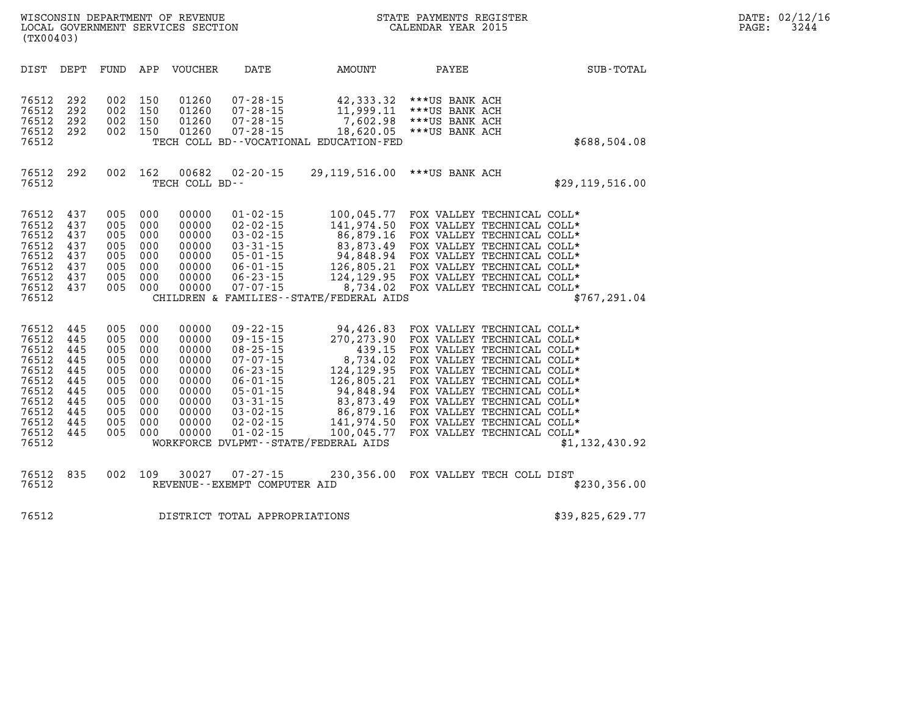| DATE: | 02/12/16 |
|-------|----------|
| PAGE: | 3244     |

| DIST<br>DEPT<br>FUND                                                                                                                                                                                                                                               | APP<br>VOUCHER<br>DATE                                                                                                                                                                                                                                                                                                                                                                                                     | AMOUNT<br>PAYEE                                                                                                                                                                                                                                 | SUB-TOTAL                                                                                                                                                                                                                                                                                                                                                |
|--------------------------------------------------------------------------------------------------------------------------------------------------------------------------------------------------------------------------------------------------------------------|----------------------------------------------------------------------------------------------------------------------------------------------------------------------------------------------------------------------------------------------------------------------------------------------------------------------------------------------------------------------------------------------------------------------------|-------------------------------------------------------------------------------------------------------------------------------------------------------------------------------------------------------------------------------------------------|----------------------------------------------------------------------------------------------------------------------------------------------------------------------------------------------------------------------------------------------------------------------------------------------------------------------------------------------------------|
| 76512<br>292<br>002<br>76512<br>292<br>002<br>76512<br>292<br>002<br>76512<br>292<br>002<br>76512                                                                                                                                                                  | 150<br>01260<br>$07 - 28 - 15$<br>$07 - 28 - 15$<br>150<br>01260<br>150<br>01260<br>$07 - 28 - 15$<br>150<br>01260<br>$07 - 28 - 15$<br>TECH COLL BD--VOCATIONAL EDUCATION-FED                                                                                                                                                                                                                                             | 42,333.32 *** US BANK ACH<br>11,999.11 *** US BANK ACH<br>7,602.98<br>***US BANK ACH<br>18,620.05<br>***US BANK ACH                                                                                                                             | \$688,504.08                                                                                                                                                                                                                                                                                                                                             |
| 76512<br>292<br>002<br>76512                                                                                                                                                                                                                                       | 162<br>00682<br>$02 - 20 - 15$<br>TECH COLL BD--                                                                                                                                                                                                                                                                                                                                                                           | 29,119,516.00 *** US BANK ACH                                                                                                                                                                                                                   | \$29, 119, 516.00                                                                                                                                                                                                                                                                                                                                        |
| 76512<br>437<br>005<br>76512<br>437<br>005<br>76512<br>005<br>437<br>76512<br>437<br>005<br>76512<br>437<br>005<br>76512<br>437<br>005<br>76512<br>437<br>005<br>76512<br>437<br>005<br>76512                                                                      | 000<br>00000<br>$01 - 02 - 15$<br>000<br>00000<br>$02 - 02 - 15$<br>000<br>00000<br>$03 - 02 - 15$<br>$03 - 31 - 15$<br>000<br>00000<br>000<br>00000<br>$05 - 01 - 15$<br>000<br>00000<br>$06 - 01 - 15$<br>000<br>00000<br>$06 - 23 - 15$<br>000<br>00000<br>$07 - 07 - 15$<br>CHILDREN & FAMILIES - - STATE/FEDERAL AIDS                                                                                                 | 100,045.77 FOX VALLEY TECHNICAL COLL*<br>141,974.50<br>86,879.16<br>83,873.49<br>94,848.94 FOX VALLEY TECHNICAL COLL*<br>126,805.21 FOX VALLEY TECHNICAL COLL*<br>124, 129.95 FOX VALLEY TECHNICAL COLL*<br>8,734.02 FOX VALLEY TECHNICAL COLL* | FOX VALLEY TECHNICAL COLL*<br>FOX VALLEY TECHNICAL COLL*<br>FOX VALLEY TECHNICAL COLL*<br>\$767,291.04                                                                                                                                                                                                                                                   |
| 76512<br>445<br>005<br>76512<br>445<br>005<br>76512<br>445<br>005<br>76512<br>445<br>005<br>76512<br>445<br>005<br>76512<br>005<br>445<br>76512<br>445<br>005<br>76512<br>005<br>445<br>76512<br>445<br>005<br>76512<br>445<br>005<br>76512<br>445<br>005<br>76512 | $09 - 22 - 15$<br>000<br>00000<br>$09 - 15 - 15$<br>000<br>00000<br>000<br>00000<br>$08 - 25 - 15$<br>$07 - 07 - 15$<br>000<br>00000<br>000<br>00000<br>$06 - 23 - 15$<br>000<br>00000<br>$06 - 01 - 15$<br>000<br>00000<br>$05 - 01 - 15$<br>000<br>00000<br>$03 - 31 - 15$<br>000<br>00000<br>$03 - 02 - 15$<br>000<br>00000<br>$02 - 02 - 15$<br>000<br>00000<br>$01 - 02 - 15$<br>WORKFORCE DVLPMT--STATE/FEDERAL AIDS | 94,426.83<br>270, 273.90<br>439.15<br>8,734.02<br>124, 129.95<br>126,805.21<br>94,848.94<br>83,873.49<br>86,879.16<br>141,974.50<br>100,045.77                                                                                                  | FOX VALLEY TECHNICAL COLL*<br>FOX VALLEY TECHNICAL COLL*<br>FOX VALLEY TECHNICAL COLL*<br>FOX VALLEY TECHNICAL COLL*<br>FOX VALLEY TECHNICAL COLL*<br>FOX VALLEY TECHNICAL COLL*<br>FOX VALLEY TECHNICAL COLL*<br>FOX VALLEY TECHNICAL COLL*<br>FOX VALLEY TECHNICAL COLL*<br>FOX VALLEY TECHNICAL COLL*<br>FOX VALLEY TECHNICAL COLL*<br>\$1,132,430.92 |
| 835<br>76512<br>002<br>76512                                                                                                                                                                                                                                       | 109<br>30027<br>$07 - 27 - 15$<br>REVENUE - - EXEMPT COMPUTER AID                                                                                                                                                                                                                                                                                                                                                          | 230,356.00 FOX VALLEY TECH COLL DIST                                                                                                                                                                                                            | \$230,356.00                                                                                                                                                                                                                                                                                                                                             |

WISCONSIN DEPARTMENT OF REVENUE STATE STATE PAYMENTS REGISTER LOCAL GOVERNMENT SERVICES SECTION

LOCAL GOVERNMENT SERVICES SECTION

**(TX00403)** 

**76512 DISTRICT TOTAL APPROPRIATIONS \$39,825,629.77**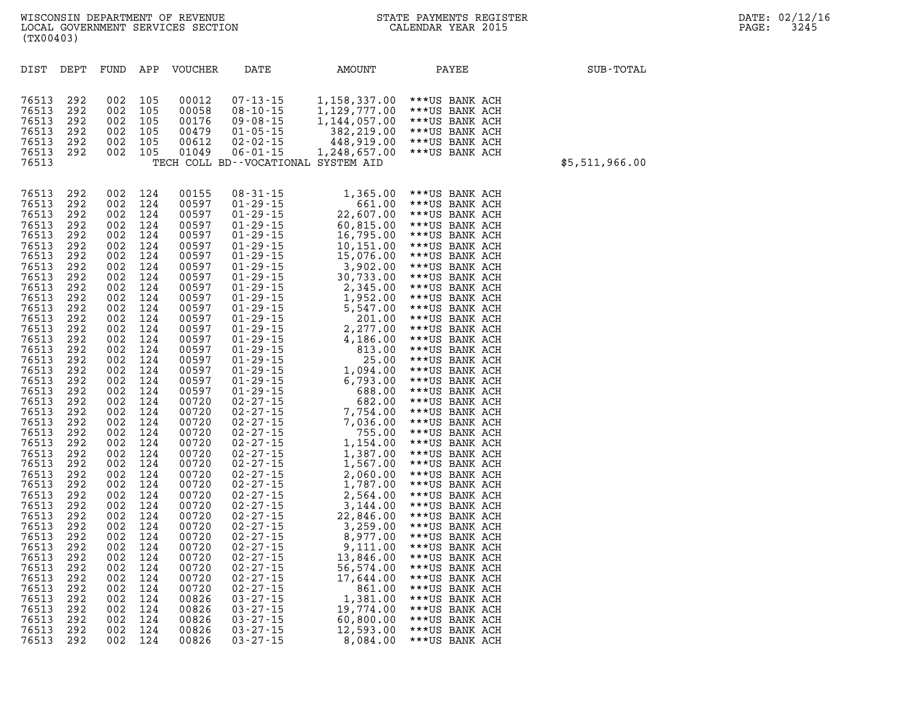| DIST           | DEPT       | FUND       | APP        | <b>VOUCHER</b> | DATE                                                  | AMOUNT                | PAYEE                            | SUB-TOTAL      |
|----------------|------------|------------|------------|----------------|-------------------------------------------------------|-----------------------|----------------------------------|----------------|
|                |            |            |            |                |                                                       |                       |                                  |                |
| 76513          | 292        | 002        | 105        | 00012          | $07 - 13 - 15$                                        | 1,158,337.00          | ***US BANK ACH                   |                |
| 76513          | 292        | 002        | 105        | 00058          | $08 - 10 - 15$                                        | 1, 129, 777.00        | ***US BANK ACH                   |                |
| 76513          | 292        | 002        | 105        | 00176          | $09 - 08 - 15$                                        | 1, 144, 057.00        | ***US BANK ACH                   |                |
| 76513          | 292        | 002        | 105        | 00479          | $01 - 05 - 15$                                        | 382,219.00            | ***US BANK ACH                   |                |
| 76513          | 292        | 002        | 105        | 00612          | $02 - 02 - 15$                                        | 448,919.00            | ***US BANK ACH                   |                |
| 76513<br>76513 | 292        | 002        | 105        | 01049          | $06 - 01 - 15$<br>TECH COLL BD--VOCATIONAL SYSTEM AID | 1,248,657.00          | ***US BANK ACH                   |                |
|                |            |            |            |                |                                                       |                       |                                  | \$5,511,966.00 |
|                |            |            |            |                |                                                       |                       |                                  |                |
| 76513          | 292        | 002        | 124<br>124 | 00155          | $08 - 31 - 15$                                        | 1,365.00              | ***US BANK ACH                   |                |
| 76513<br>76513 | 292<br>292 | 002<br>002 | 124        | 00597<br>00597 | $01 - 29 - 15$<br>$01 - 29 - 15$                      | 661.00<br>22,607.00   | ***US BANK ACH                   |                |
| 76513          | 292        | 002        | 124        | 00597          | $01 - 29 - 15$                                        | 60,815.00             | ***US BANK ACH<br>***US BANK ACH |                |
| 76513          | 292        | 002        | 124        | 00597          | $01 - 29 - 15$                                        | 16,795.00             | ***US BANK ACH                   |                |
| 76513          | 292        | 002        | 124        | 00597          | $01 - 29 - 15$                                        | 10,151.00             | ***US BANK ACH                   |                |
| 76513          | 292        | 002        | 124        | 00597          | $01 - 29 - 15$                                        | 15,076.00             | ***US BANK ACH                   |                |
| 76513          | 292        | 002        | 124        | 00597          | $01 - 29 - 15$                                        | 3,902.00              | ***US BANK ACH                   |                |
| 76513          | 292        | 002        | 124        | 00597          | $01 - 29 - 15$                                        | 30,733.00             | ***US BANK ACH                   |                |
| 76513          | 292        | 002        | 124        | 00597          | $01 - 29 - 15$                                        | 2,345.00              | ***US BANK ACH                   |                |
| 76513          | 292        | 002        | 124        | 00597          | $01 - 29 - 15$                                        | 1,952.00              | ***US BANK ACH                   |                |
| 76513          | 292        | 002        | 124        | 00597          | $01 - 29 - 15$                                        | 5,547.00              | ***US BANK ACH                   |                |
| 76513          | 292        | 002        | 124        | 00597          | $01 - 29 - 15$                                        | 201.00                | ***US BANK ACH                   |                |
| 76513          | 292        | 002        | 124        | 00597          | $01 - 29 - 15$                                        | 2,277.00              | ***US BANK ACH                   |                |
| 76513<br>76513 | 292<br>292 | 002<br>002 | 124<br>124 | 00597<br>00597 | $01 - 29 - 15$                                        | 4,186.00              | ***US BANK ACH                   |                |
| 76513          | 292        | 002        | 124        | 00597          | $01 - 29 - 15$<br>$01 - 29 - 15$                      | 813.00<br>25.00       | ***US BANK ACH<br>***US BANK ACH |                |
| 76513          | 292        | 002        | 124        | 00597          | $01 - 29 - 15$                                        | 1,094.00              | ***US BANK ACH                   |                |
| 76513          | 292        | 002        | 124        | 00597          | $01 - 29 - 15$                                        | 6,793.00              | ***US BANK ACH                   |                |
| 76513          | 292        | 002        | 124        | 00597          | $01 - 29 - 15$                                        | 688.00                | ***US BANK ACH                   |                |
| 76513          | 292        | 002        | 124        | 00720          | $02 - 27 - 15$                                        | 682.00                | ***US BANK ACH                   |                |
| 76513          | 292        | 002        | 124        | 00720          | $02 - 27 - 15$                                        | 7,754.00              | ***US BANK ACH                   |                |
| 76513          | 292        | 002        | 124        | 00720          | $02 - 27 - 15$                                        | 7,036.00              | ***US BANK ACH                   |                |
| 76513          | 292        | 002        | 124        | 00720          | $02 - 27 - 15$                                        | 755.00                | ***US BANK ACH                   |                |
| 76513          | 292        | 002        | 124        | 00720          | $02 - 27 - 15$                                        | 1,154.00              | ***US BANK ACH                   |                |
| 76513          | 292        | 002        | 124        | 00720          | $02 - 27 - 15$                                        | 1,387.00              | ***US BANK ACH                   |                |
| 76513          | 292        | 002        | 124        | 00720          | $02 - 27 - 15$                                        | 1,567.00              | ***US BANK ACH                   |                |
| 76513<br>76513 | 292<br>292 | 002<br>002 | 124<br>124 | 00720<br>00720 | $02 - 27 - 15$<br>$02 - 27 - 15$                      | 2,060.00<br>1,787.00  | ***US BANK ACH<br>***US BANK ACH |                |
| 76513          | 292        | 002        | 124        | 00720          | $02 - 27 - 15$                                        | 2,564.00              | ***US BANK ACH                   |                |
| 76513          | 292        | 002        | 124        | 00720          | $02 - 27 - 15$                                        | 3,144.00              | ***US BANK ACH                   |                |
| 76513          | 292        | 002        | 124        | 00720          | $02 - 27 - 15$                                        | 22,846.00             | ***US BANK ACH                   |                |
| 76513          | 292        | 002        | 124        | 00720          | $02 - 27 - 15$                                        | 3,259.00              | ***US BANK ACH                   |                |
| 76513          | 292        | 002        | 124        | 00720          | $02 - 27 - 15$                                        | 8,977.00              | ***US BANK ACH                   |                |
| 76513          | 292        | 002        | 124        | 00720          | $02 - 27 - 15$                                        | 9,111.00              | ***US BANK ACH                   |                |
| 76513          | 292        | 002        | 124        | 00720          | $02 - 27 - 15$                                        | 13,846.00             | ***US BANK ACH                   |                |
| 76513          | 292        | 002        | 124        | 00720          | $02 - 27 - 15$                                        | 56,574.00             | ***US BANK ACH                   |                |
| 76513          | 292        | 002        | 124        | 00720          | $02 - 27 - 15$                                        | 17,644.00             | ***US BANK ACH                   |                |
| 76513          | 292        | 002        | 124        | 00720          | $02 - 27 - 15$                                        | 861.00                | ***US BANK ACH                   |                |
| 76513<br>76513 | 292<br>292 | 002<br>002 | 124<br>124 | 00826<br>00826 | $03 - 27 - 15$<br>$03 - 27 - 15$                      | 1,381.00<br>19,774.00 | ***US BANK ACH<br>***US BANK ACH |                |
| 76513          | 292        | 002        | 124        | 00826          | $03 - 27 - 15$                                        | 60,800.00             | ***US BANK ACH                   |                |
| 76513          | 292        | 002        | 124        | 00826          | $03 - 27 - 15$                                        | 12,593.00             | ***US BANK ACH                   |                |
| 76513          | 292        | 002        | 124        | 00826          | $03 - 27 - 15$                                        | 8,084.00              | ***US BANK ACH                   |                |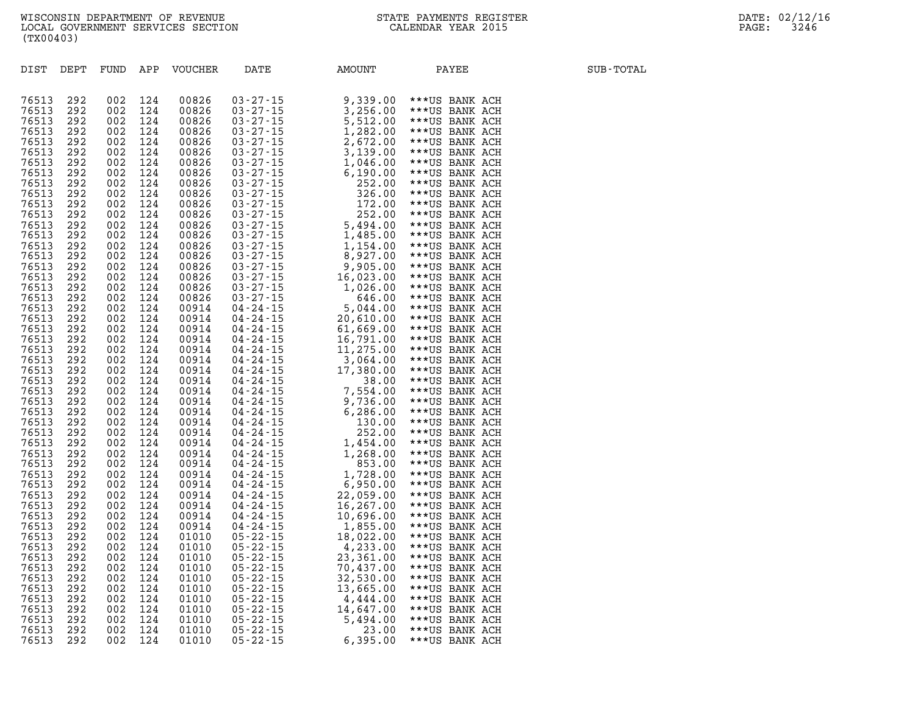| 76513<br>292<br>002<br>124<br>00826<br>$03 - 27 - 15$<br>9,339.00<br>***US BANK ACH<br>76513<br>292<br>002<br>124<br>00826<br>$03 - 27 - 15$<br>3,256.00<br>***US BANK ACH<br>76513<br>292<br>002<br>124<br>00826<br>$03 - 27 - 15$<br>5,512.00<br>***US BANK ACH<br>$\begin{smallmatrix} 0 & 3 & -27 & -15 \\ 0 & 3 & -27 & -15 \\ 0 & 3 & -27 & -15 \\ 0 & 3 & -27 & -15 \\ 0 & 3 & -27 & -15 \\ 0 & 3 & -27 & -15 \\ 0 & 3 & -27 & -15 \\ 0 & 3 & -27 & -15 \\ 0 & 3 & -27 & -15 \\ 0 & 3 & -27 & -15 \\ 0 & 3 & -27 & -15 \\ 0 & 3 & -27 & -15 \\ 0 & 3 & -27 & -15 \\ 0 & 3 & -27 & -15 \\ 0 & 3 & -27 & -15 \\ 0 & $<br>76513<br>292<br>002<br>124<br>00826<br>1,282.00<br>***US BANK ACH<br>76513<br>292<br>002<br>124<br>00826<br>2,672.00<br>***US BANK ACH<br>76513<br>292<br>002<br>124<br>00826<br>3,139.00<br>***US BANK ACH<br>76513<br>292<br>002<br>124<br>00826<br>***US BANK ACH<br>1,046.00<br>76513<br>292<br>002<br>124<br>00826<br>6,190.00<br>***US BANK ACH<br>292<br>124<br>76513<br>002<br>00826<br>252.00<br>***US BANK ACH<br>76513<br>292<br>002<br>124<br>00826<br>326.00<br>***US BANK ACH<br>172.00<br>76513<br>292<br>002<br>124<br>00826<br>***US BANK ACH<br>76513<br>292<br>124<br>252.00<br>002<br>00826<br>***US BANK ACH<br>76513<br>5,494.00<br>292<br>002<br>124<br>00826<br>***US BANK ACH<br>76513<br>292<br>002<br>124<br>00826<br>1,485.00<br>***US BANK ACH<br>76513<br>292<br>002<br>124<br>00826<br>1,154.00<br>***US BANK ACH<br>76513<br>292<br>002<br>124<br>00826<br>8,927.00<br>***US BANK ACH<br>76513<br>292<br>002<br>124<br>00826<br>9,905.00<br>***US BANK ACH<br>76513<br>292<br>002<br>124<br>00826<br>16,023.00<br>***US BANK ACH<br>76513<br>292<br>002<br>124<br>00826<br>1,026.00<br>***US BANK ACH<br>76513<br>292<br>00826<br>002<br>124<br>646.00<br>***US BANK ACH<br>76513<br>292<br>002<br>124<br>00914<br>5,044.00<br>***US BANK ACH<br>76513<br>292<br>002<br>00914<br>124<br>20,610.00<br>***US BANK ACH<br>76513<br>292<br>002<br>124<br>00914<br>61,669.00<br>***US BANK ACH<br>76513<br>292<br>002<br>124<br>00914<br>16,791.00<br>***US BANK ACH<br>76513<br>292<br>002<br>124<br>00914<br>11,275.00<br>***US BANK ACH<br>76513<br>292<br>00914<br>002<br>124<br>3,064.00<br>***US BANK ACH<br>76513<br>292<br>124<br>17,380.00<br>002<br>00914<br>***US BANK ACH<br>76513<br>292<br>002<br>124<br>00914<br>38.00<br>***US BANK ACH<br>7,554.00<br>76513<br>292<br>002<br>00914<br>124<br>***US BANK ACH<br>76513<br>292<br>002<br>124<br>00914<br>9,736.00<br>***US BANK ACH<br>76513<br>292<br>002<br>124<br>00914<br>6,286.00<br>***US BANK ACH<br>76513<br>292<br>002<br>124<br>00914<br>130.00<br>***US BANK ACH<br>76513<br>292<br>002<br>124<br>00914<br>252.00<br>***US BANK ACH<br>76513<br>292<br>002<br>124<br>00914<br>1,454.00<br>***US BANK ACH<br>76513<br>292<br>002<br>124<br>00914<br>1,268.00<br>***US BANK ACH<br>76513<br>292<br>002<br>124<br>00914<br>853.00<br>***US BANK ACH<br>76513<br>292<br>1,728.00<br>002<br>124<br>00914<br>***US BANK ACH<br>76513<br>292<br>002<br>124<br>00914<br>6,950.00<br>***US BANK ACH<br>76513<br>292<br>002<br>124<br>00914<br>22,059.00<br>***US BANK ACH<br>76513<br>292<br>124<br>00914<br>16,267.00<br>002<br>***US BANK ACH<br>76513<br>292<br>002<br>124<br>00914<br>10,696.00<br>***US BANK ACH<br>76513<br>292<br>002<br>124<br>00914<br>1,855.00<br>***US BANK ACH<br>76513<br>292<br>002<br>124<br>01010<br>18,022.00<br>***US BANK ACH<br>76513<br>292<br>002<br>124<br>01010<br>4,233.00<br>***US BANK ACH<br>76513<br>292<br>002<br>124<br>01010<br>23,361.00<br>***US BANK ACH<br>76513<br>292<br>002<br>124<br>01010<br>70,437.00<br>***US BANK ACH<br>76513<br>292<br>002<br>124<br>01010<br>32,530.00<br>***US BANK ACH<br>76513<br>292<br>124<br>002<br>01010<br>13,665.00<br>***US BANK ACH<br>76513<br>292<br>002<br>124<br>01010<br>4,444.00<br>***US BANK ACH | DIST  | DEPT | FUND | APP | VOUCHER | DATE | AMOUNT    | PAYEE          | SUB-TOTAL |
|-----------------------------------------------------------------------------------------------------------------------------------------------------------------------------------------------------------------------------------------------------------------------------------------------------------------------------------------------------------------------------------------------------------------------------------------------------------------------------------------------------------------------------------------------------------------------------------------------------------------------------------------------------------------------------------------------------------------------------------------------------------------------------------------------------------------------------------------------------------------------------------------------------------------------------------------------------------------------------------------------------------------------------------------------------------------------------------------------------------------------------------------------------------------------------------------------------------------------------------------------------------------------------------------------------------------------------------------------------------------------------------------------------------------------------------------------------------------------------------------------------------------------------------------------------------------------------------------------------------------------------------------------------------------------------------------------------------------------------------------------------------------------------------------------------------------------------------------------------------------------------------------------------------------------------------------------------------------------------------------------------------------------------------------------------------------------------------------------------------------------------------------------------------------------------------------------------------------------------------------------------------------------------------------------------------------------------------------------------------------------------------------------------------------------------------------------------------------------------------------------------------------------------------------------------------------------------------------------------------------------------------------------------------------------------------------------------------------------------------------------------------------------------------------------------------------------------------------------------------------------------------------------------------------------------------------------------------------------------------------------------------------------------------------------------------------------------------------------------------------------------------------------------------------------------------------------------------------------------------------------------------------------------------------------------------------------------------------------------------------------------------------------------------------------------------------------------------------------------------------------------------------------------------------------------------------------------------------------------------------------------------------------------------------------------------------------------------------------------------------------------------------------------------------------------------------------------------------------------------------------------------------------------------------------------|-------|------|------|-----|---------|------|-----------|----------------|-----------|
|                                                                                                                                                                                                                                                                                                                                                                                                                                                                                                                                                                                                                                                                                                                                                                                                                                                                                                                                                                                                                                                                                                                                                                                                                                                                                                                                                                                                                                                                                                                                                                                                                                                                                                                                                                                                                                                                                                                                                                                                                                                                                                                                                                                                                                                                                                                                                                                                                                                                                                                                                                                                                                                                                                                                                                                                                                                                                                                                                                                                                                                                                                                                                                                                                                                                                                                                                                                                                                                                                                                                                                                                                                                                                                                                                                                                                                                                                                                             |       |      |      |     |         |      |           |                |           |
|                                                                                                                                                                                                                                                                                                                                                                                                                                                                                                                                                                                                                                                                                                                                                                                                                                                                                                                                                                                                                                                                                                                                                                                                                                                                                                                                                                                                                                                                                                                                                                                                                                                                                                                                                                                                                                                                                                                                                                                                                                                                                                                                                                                                                                                                                                                                                                                                                                                                                                                                                                                                                                                                                                                                                                                                                                                                                                                                                                                                                                                                                                                                                                                                                                                                                                                                                                                                                                                                                                                                                                                                                                                                                                                                                                                                                                                                                                                             |       |      |      |     |         |      |           |                |           |
|                                                                                                                                                                                                                                                                                                                                                                                                                                                                                                                                                                                                                                                                                                                                                                                                                                                                                                                                                                                                                                                                                                                                                                                                                                                                                                                                                                                                                                                                                                                                                                                                                                                                                                                                                                                                                                                                                                                                                                                                                                                                                                                                                                                                                                                                                                                                                                                                                                                                                                                                                                                                                                                                                                                                                                                                                                                                                                                                                                                                                                                                                                                                                                                                                                                                                                                                                                                                                                                                                                                                                                                                                                                                                                                                                                                                                                                                                                                             |       |      |      |     |         |      |           |                |           |
|                                                                                                                                                                                                                                                                                                                                                                                                                                                                                                                                                                                                                                                                                                                                                                                                                                                                                                                                                                                                                                                                                                                                                                                                                                                                                                                                                                                                                                                                                                                                                                                                                                                                                                                                                                                                                                                                                                                                                                                                                                                                                                                                                                                                                                                                                                                                                                                                                                                                                                                                                                                                                                                                                                                                                                                                                                                                                                                                                                                                                                                                                                                                                                                                                                                                                                                                                                                                                                                                                                                                                                                                                                                                                                                                                                                                                                                                                                                             |       |      |      |     |         |      |           |                |           |
|                                                                                                                                                                                                                                                                                                                                                                                                                                                                                                                                                                                                                                                                                                                                                                                                                                                                                                                                                                                                                                                                                                                                                                                                                                                                                                                                                                                                                                                                                                                                                                                                                                                                                                                                                                                                                                                                                                                                                                                                                                                                                                                                                                                                                                                                                                                                                                                                                                                                                                                                                                                                                                                                                                                                                                                                                                                                                                                                                                                                                                                                                                                                                                                                                                                                                                                                                                                                                                                                                                                                                                                                                                                                                                                                                                                                                                                                                                                             |       |      |      |     |         |      |           |                |           |
|                                                                                                                                                                                                                                                                                                                                                                                                                                                                                                                                                                                                                                                                                                                                                                                                                                                                                                                                                                                                                                                                                                                                                                                                                                                                                                                                                                                                                                                                                                                                                                                                                                                                                                                                                                                                                                                                                                                                                                                                                                                                                                                                                                                                                                                                                                                                                                                                                                                                                                                                                                                                                                                                                                                                                                                                                                                                                                                                                                                                                                                                                                                                                                                                                                                                                                                                                                                                                                                                                                                                                                                                                                                                                                                                                                                                                                                                                                                             |       |      |      |     |         |      |           |                |           |
|                                                                                                                                                                                                                                                                                                                                                                                                                                                                                                                                                                                                                                                                                                                                                                                                                                                                                                                                                                                                                                                                                                                                                                                                                                                                                                                                                                                                                                                                                                                                                                                                                                                                                                                                                                                                                                                                                                                                                                                                                                                                                                                                                                                                                                                                                                                                                                                                                                                                                                                                                                                                                                                                                                                                                                                                                                                                                                                                                                                                                                                                                                                                                                                                                                                                                                                                                                                                                                                                                                                                                                                                                                                                                                                                                                                                                                                                                                                             |       |      |      |     |         |      |           |                |           |
|                                                                                                                                                                                                                                                                                                                                                                                                                                                                                                                                                                                                                                                                                                                                                                                                                                                                                                                                                                                                                                                                                                                                                                                                                                                                                                                                                                                                                                                                                                                                                                                                                                                                                                                                                                                                                                                                                                                                                                                                                                                                                                                                                                                                                                                                                                                                                                                                                                                                                                                                                                                                                                                                                                                                                                                                                                                                                                                                                                                                                                                                                                                                                                                                                                                                                                                                                                                                                                                                                                                                                                                                                                                                                                                                                                                                                                                                                                                             |       |      |      |     |         |      |           |                |           |
|                                                                                                                                                                                                                                                                                                                                                                                                                                                                                                                                                                                                                                                                                                                                                                                                                                                                                                                                                                                                                                                                                                                                                                                                                                                                                                                                                                                                                                                                                                                                                                                                                                                                                                                                                                                                                                                                                                                                                                                                                                                                                                                                                                                                                                                                                                                                                                                                                                                                                                                                                                                                                                                                                                                                                                                                                                                                                                                                                                                                                                                                                                                                                                                                                                                                                                                                                                                                                                                                                                                                                                                                                                                                                                                                                                                                                                                                                                                             |       |      |      |     |         |      |           |                |           |
|                                                                                                                                                                                                                                                                                                                                                                                                                                                                                                                                                                                                                                                                                                                                                                                                                                                                                                                                                                                                                                                                                                                                                                                                                                                                                                                                                                                                                                                                                                                                                                                                                                                                                                                                                                                                                                                                                                                                                                                                                                                                                                                                                                                                                                                                                                                                                                                                                                                                                                                                                                                                                                                                                                                                                                                                                                                                                                                                                                                                                                                                                                                                                                                                                                                                                                                                                                                                                                                                                                                                                                                                                                                                                                                                                                                                                                                                                                                             |       |      |      |     |         |      |           |                |           |
|                                                                                                                                                                                                                                                                                                                                                                                                                                                                                                                                                                                                                                                                                                                                                                                                                                                                                                                                                                                                                                                                                                                                                                                                                                                                                                                                                                                                                                                                                                                                                                                                                                                                                                                                                                                                                                                                                                                                                                                                                                                                                                                                                                                                                                                                                                                                                                                                                                                                                                                                                                                                                                                                                                                                                                                                                                                                                                                                                                                                                                                                                                                                                                                                                                                                                                                                                                                                                                                                                                                                                                                                                                                                                                                                                                                                                                                                                                                             |       |      |      |     |         |      |           |                |           |
|                                                                                                                                                                                                                                                                                                                                                                                                                                                                                                                                                                                                                                                                                                                                                                                                                                                                                                                                                                                                                                                                                                                                                                                                                                                                                                                                                                                                                                                                                                                                                                                                                                                                                                                                                                                                                                                                                                                                                                                                                                                                                                                                                                                                                                                                                                                                                                                                                                                                                                                                                                                                                                                                                                                                                                                                                                                                                                                                                                                                                                                                                                                                                                                                                                                                                                                                                                                                                                                                                                                                                                                                                                                                                                                                                                                                                                                                                                                             |       |      |      |     |         |      |           |                |           |
|                                                                                                                                                                                                                                                                                                                                                                                                                                                                                                                                                                                                                                                                                                                                                                                                                                                                                                                                                                                                                                                                                                                                                                                                                                                                                                                                                                                                                                                                                                                                                                                                                                                                                                                                                                                                                                                                                                                                                                                                                                                                                                                                                                                                                                                                                                                                                                                                                                                                                                                                                                                                                                                                                                                                                                                                                                                                                                                                                                                                                                                                                                                                                                                                                                                                                                                                                                                                                                                                                                                                                                                                                                                                                                                                                                                                                                                                                                                             |       |      |      |     |         |      |           |                |           |
|                                                                                                                                                                                                                                                                                                                                                                                                                                                                                                                                                                                                                                                                                                                                                                                                                                                                                                                                                                                                                                                                                                                                                                                                                                                                                                                                                                                                                                                                                                                                                                                                                                                                                                                                                                                                                                                                                                                                                                                                                                                                                                                                                                                                                                                                                                                                                                                                                                                                                                                                                                                                                                                                                                                                                                                                                                                                                                                                                                                                                                                                                                                                                                                                                                                                                                                                                                                                                                                                                                                                                                                                                                                                                                                                                                                                                                                                                                                             |       |      |      |     |         |      |           |                |           |
|                                                                                                                                                                                                                                                                                                                                                                                                                                                                                                                                                                                                                                                                                                                                                                                                                                                                                                                                                                                                                                                                                                                                                                                                                                                                                                                                                                                                                                                                                                                                                                                                                                                                                                                                                                                                                                                                                                                                                                                                                                                                                                                                                                                                                                                                                                                                                                                                                                                                                                                                                                                                                                                                                                                                                                                                                                                                                                                                                                                                                                                                                                                                                                                                                                                                                                                                                                                                                                                                                                                                                                                                                                                                                                                                                                                                                                                                                                                             |       |      |      |     |         |      |           |                |           |
|                                                                                                                                                                                                                                                                                                                                                                                                                                                                                                                                                                                                                                                                                                                                                                                                                                                                                                                                                                                                                                                                                                                                                                                                                                                                                                                                                                                                                                                                                                                                                                                                                                                                                                                                                                                                                                                                                                                                                                                                                                                                                                                                                                                                                                                                                                                                                                                                                                                                                                                                                                                                                                                                                                                                                                                                                                                                                                                                                                                                                                                                                                                                                                                                                                                                                                                                                                                                                                                                                                                                                                                                                                                                                                                                                                                                                                                                                                                             |       |      |      |     |         |      |           |                |           |
|                                                                                                                                                                                                                                                                                                                                                                                                                                                                                                                                                                                                                                                                                                                                                                                                                                                                                                                                                                                                                                                                                                                                                                                                                                                                                                                                                                                                                                                                                                                                                                                                                                                                                                                                                                                                                                                                                                                                                                                                                                                                                                                                                                                                                                                                                                                                                                                                                                                                                                                                                                                                                                                                                                                                                                                                                                                                                                                                                                                                                                                                                                                                                                                                                                                                                                                                                                                                                                                                                                                                                                                                                                                                                                                                                                                                                                                                                                                             |       |      |      |     |         |      |           |                |           |
|                                                                                                                                                                                                                                                                                                                                                                                                                                                                                                                                                                                                                                                                                                                                                                                                                                                                                                                                                                                                                                                                                                                                                                                                                                                                                                                                                                                                                                                                                                                                                                                                                                                                                                                                                                                                                                                                                                                                                                                                                                                                                                                                                                                                                                                                                                                                                                                                                                                                                                                                                                                                                                                                                                                                                                                                                                                                                                                                                                                                                                                                                                                                                                                                                                                                                                                                                                                                                                                                                                                                                                                                                                                                                                                                                                                                                                                                                                                             |       |      |      |     |         |      |           |                |           |
|                                                                                                                                                                                                                                                                                                                                                                                                                                                                                                                                                                                                                                                                                                                                                                                                                                                                                                                                                                                                                                                                                                                                                                                                                                                                                                                                                                                                                                                                                                                                                                                                                                                                                                                                                                                                                                                                                                                                                                                                                                                                                                                                                                                                                                                                                                                                                                                                                                                                                                                                                                                                                                                                                                                                                                                                                                                                                                                                                                                                                                                                                                                                                                                                                                                                                                                                                                                                                                                                                                                                                                                                                                                                                                                                                                                                                                                                                                                             |       |      |      |     |         |      |           |                |           |
|                                                                                                                                                                                                                                                                                                                                                                                                                                                                                                                                                                                                                                                                                                                                                                                                                                                                                                                                                                                                                                                                                                                                                                                                                                                                                                                                                                                                                                                                                                                                                                                                                                                                                                                                                                                                                                                                                                                                                                                                                                                                                                                                                                                                                                                                                                                                                                                                                                                                                                                                                                                                                                                                                                                                                                                                                                                                                                                                                                                                                                                                                                                                                                                                                                                                                                                                                                                                                                                                                                                                                                                                                                                                                                                                                                                                                                                                                                                             |       |      |      |     |         |      |           |                |           |
|                                                                                                                                                                                                                                                                                                                                                                                                                                                                                                                                                                                                                                                                                                                                                                                                                                                                                                                                                                                                                                                                                                                                                                                                                                                                                                                                                                                                                                                                                                                                                                                                                                                                                                                                                                                                                                                                                                                                                                                                                                                                                                                                                                                                                                                                                                                                                                                                                                                                                                                                                                                                                                                                                                                                                                                                                                                                                                                                                                                                                                                                                                                                                                                                                                                                                                                                                                                                                                                                                                                                                                                                                                                                                                                                                                                                                                                                                                                             |       |      |      |     |         |      |           |                |           |
|                                                                                                                                                                                                                                                                                                                                                                                                                                                                                                                                                                                                                                                                                                                                                                                                                                                                                                                                                                                                                                                                                                                                                                                                                                                                                                                                                                                                                                                                                                                                                                                                                                                                                                                                                                                                                                                                                                                                                                                                                                                                                                                                                                                                                                                                                                                                                                                                                                                                                                                                                                                                                                                                                                                                                                                                                                                                                                                                                                                                                                                                                                                                                                                                                                                                                                                                                                                                                                                                                                                                                                                                                                                                                                                                                                                                                                                                                                                             |       |      |      |     |         |      |           |                |           |
|                                                                                                                                                                                                                                                                                                                                                                                                                                                                                                                                                                                                                                                                                                                                                                                                                                                                                                                                                                                                                                                                                                                                                                                                                                                                                                                                                                                                                                                                                                                                                                                                                                                                                                                                                                                                                                                                                                                                                                                                                                                                                                                                                                                                                                                                                                                                                                                                                                                                                                                                                                                                                                                                                                                                                                                                                                                                                                                                                                                                                                                                                                                                                                                                                                                                                                                                                                                                                                                                                                                                                                                                                                                                                                                                                                                                                                                                                                                             |       |      |      |     |         |      |           |                |           |
|                                                                                                                                                                                                                                                                                                                                                                                                                                                                                                                                                                                                                                                                                                                                                                                                                                                                                                                                                                                                                                                                                                                                                                                                                                                                                                                                                                                                                                                                                                                                                                                                                                                                                                                                                                                                                                                                                                                                                                                                                                                                                                                                                                                                                                                                                                                                                                                                                                                                                                                                                                                                                                                                                                                                                                                                                                                                                                                                                                                                                                                                                                                                                                                                                                                                                                                                                                                                                                                                                                                                                                                                                                                                                                                                                                                                                                                                                                                             |       |      |      |     |         |      |           |                |           |
|                                                                                                                                                                                                                                                                                                                                                                                                                                                                                                                                                                                                                                                                                                                                                                                                                                                                                                                                                                                                                                                                                                                                                                                                                                                                                                                                                                                                                                                                                                                                                                                                                                                                                                                                                                                                                                                                                                                                                                                                                                                                                                                                                                                                                                                                                                                                                                                                                                                                                                                                                                                                                                                                                                                                                                                                                                                                                                                                                                                                                                                                                                                                                                                                                                                                                                                                                                                                                                                                                                                                                                                                                                                                                                                                                                                                                                                                                                                             |       |      |      |     |         |      |           |                |           |
|                                                                                                                                                                                                                                                                                                                                                                                                                                                                                                                                                                                                                                                                                                                                                                                                                                                                                                                                                                                                                                                                                                                                                                                                                                                                                                                                                                                                                                                                                                                                                                                                                                                                                                                                                                                                                                                                                                                                                                                                                                                                                                                                                                                                                                                                                                                                                                                                                                                                                                                                                                                                                                                                                                                                                                                                                                                                                                                                                                                                                                                                                                                                                                                                                                                                                                                                                                                                                                                                                                                                                                                                                                                                                                                                                                                                                                                                                                                             |       |      |      |     |         |      |           |                |           |
|                                                                                                                                                                                                                                                                                                                                                                                                                                                                                                                                                                                                                                                                                                                                                                                                                                                                                                                                                                                                                                                                                                                                                                                                                                                                                                                                                                                                                                                                                                                                                                                                                                                                                                                                                                                                                                                                                                                                                                                                                                                                                                                                                                                                                                                                                                                                                                                                                                                                                                                                                                                                                                                                                                                                                                                                                                                                                                                                                                                                                                                                                                                                                                                                                                                                                                                                                                                                                                                                                                                                                                                                                                                                                                                                                                                                                                                                                                                             |       |      |      |     |         |      |           |                |           |
|                                                                                                                                                                                                                                                                                                                                                                                                                                                                                                                                                                                                                                                                                                                                                                                                                                                                                                                                                                                                                                                                                                                                                                                                                                                                                                                                                                                                                                                                                                                                                                                                                                                                                                                                                                                                                                                                                                                                                                                                                                                                                                                                                                                                                                                                                                                                                                                                                                                                                                                                                                                                                                                                                                                                                                                                                                                                                                                                                                                                                                                                                                                                                                                                                                                                                                                                                                                                                                                                                                                                                                                                                                                                                                                                                                                                                                                                                                                             |       |      |      |     |         |      |           |                |           |
|                                                                                                                                                                                                                                                                                                                                                                                                                                                                                                                                                                                                                                                                                                                                                                                                                                                                                                                                                                                                                                                                                                                                                                                                                                                                                                                                                                                                                                                                                                                                                                                                                                                                                                                                                                                                                                                                                                                                                                                                                                                                                                                                                                                                                                                                                                                                                                                                                                                                                                                                                                                                                                                                                                                                                                                                                                                                                                                                                                                                                                                                                                                                                                                                                                                                                                                                                                                                                                                                                                                                                                                                                                                                                                                                                                                                                                                                                                                             |       |      |      |     |         |      |           |                |           |
|                                                                                                                                                                                                                                                                                                                                                                                                                                                                                                                                                                                                                                                                                                                                                                                                                                                                                                                                                                                                                                                                                                                                                                                                                                                                                                                                                                                                                                                                                                                                                                                                                                                                                                                                                                                                                                                                                                                                                                                                                                                                                                                                                                                                                                                                                                                                                                                                                                                                                                                                                                                                                                                                                                                                                                                                                                                                                                                                                                                                                                                                                                                                                                                                                                                                                                                                                                                                                                                                                                                                                                                                                                                                                                                                                                                                                                                                                                                             |       |      |      |     |         |      |           |                |           |
|                                                                                                                                                                                                                                                                                                                                                                                                                                                                                                                                                                                                                                                                                                                                                                                                                                                                                                                                                                                                                                                                                                                                                                                                                                                                                                                                                                                                                                                                                                                                                                                                                                                                                                                                                                                                                                                                                                                                                                                                                                                                                                                                                                                                                                                                                                                                                                                                                                                                                                                                                                                                                                                                                                                                                                                                                                                                                                                                                                                                                                                                                                                                                                                                                                                                                                                                                                                                                                                                                                                                                                                                                                                                                                                                                                                                                                                                                                                             |       |      |      |     |         |      |           |                |           |
|                                                                                                                                                                                                                                                                                                                                                                                                                                                                                                                                                                                                                                                                                                                                                                                                                                                                                                                                                                                                                                                                                                                                                                                                                                                                                                                                                                                                                                                                                                                                                                                                                                                                                                                                                                                                                                                                                                                                                                                                                                                                                                                                                                                                                                                                                                                                                                                                                                                                                                                                                                                                                                                                                                                                                                                                                                                                                                                                                                                                                                                                                                                                                                                                                                                                                                                                                                                                                                                                                                                                                                                                                                                                                                                                                                                                                                                                                                                             |       |      |      |     |         |      |           |                |           |
|                                                                                                                                                                                                                                                                                                                                                                                                                                                                                                                                                                                                                                                                                                                                                                                                                                                                                                                                                                                                                                                                                                                                                                                                                                                                                                                                                                                                                                                                                                                                                                                                                                                                                                                                                                                                                                                                                                                                                                                                                                                                                                                                                                                                                                                                                                                                                                                                                                                                                                                                                                                                                                                                                                                                                                                                                                                                                                                                                                                                                                                                                                                                                                                                                                                                                                                                                                                                                                                                                                                                                                                                                                                                                                                                                                                                                                                                                                                             |       |      |      |     |         |      |           |                |           |
|                                                                                                                                                                                                                                                                                                                                                                                                                                                                                                                                                                                                                                                                                                                                                                                                                                                                                                                                                                                                                                                                                                                                                                                                                                                                                                                                                                                                                                                                                                                                                                                                                                                                                                                                                                                                                                                                                                                                                                                                                                                                                                                                                                                                                                                                                                                                                                                                                                                                                                                                                                                                                                                                                                                                                                                                                                                                                                                                                                                                                                                                                                                                                                                                                                                                                                                                                                                                                                                                                                                                                                                                                                                                                                                                                                                                                                                                                                                             |       |      |      |     |         |      |           |                |           |
|                                                                                                                                                                                                                                                                                                                                                                                                                                                                                                                                                                                                                                                                                                                                                                                                                                                                                                                                                                                                                                                                                                                                                                                                                                                                                                                                                                                                                                                                                                                                                                                                                                                                                                                                                                                                                                                                                                                                                                                                                                                                                                                                                                                                                                                                                                                                                                                                                                                                                                                                                                                                                                                                                                                                                                                                                                                                                                                                                                                                                                                                                                                                                                                                                                                                                                                                                                                                                                                                                                                                                                                                                                                                                                                                                                                                                                                                                                                             |       |      |      |     |         |      |           |                |           |
|                                                                                                                                                                                                                                                                                                                                                                                                                                                                                                                                                                                                                                                                                                                                                                                                                                                                                                                                                                                                                                                                                                                                                                                                                                                                                                                                                                                                                                                                                                                                                                                                                                                                                                                                                                                                                                                                                                                                                                                                                                                                                                                                                                                                                                                                                                                                                                                                                                                                                                                                                                                                                                                                                                                                                                                                                                                                                                                                                                                                                                                                                                                                                                                                                                                                                                                                                                                                                                                                                                                                                                                                                                                                                                                                                                                                                                                                                                                             |       |      |      |     |         |      |           |                |           |
|                                                                                                                                                                                                                                                                                                                                                                                                                                                                                                                                                                                                                                                                                                                                                                                                                                                                                                                                                                                                                                                                                                                                                                                                                                                                                                                                                                                                                                                                                                                                                                                                                                                                                                                                                                                                                                                                                                                                                                                                                                                                                                                                                                                                                                                                                                                                                                                                                                                                                                                                                                                                                                                                                                                                                                                                                                                                                                                                                                                                                                                                                                                                                                                                                                                                                                                                                                                                                                                                                                                                                                                                                                                                                                                                                                                                                                                                                                                             |       |      |      |     |         |      |           |                |           |
|                                                                                                                                                                                                                                                                                                                                                                                                                                                                                                                                                                                                                                                                                                                                                                                                                                                                                                                                                                                                                                                                                                                                                                                                                                                                                                                                                                                                                                                                                                                                                                                                                                                                                                                                                                                                                                                                                                                                                                                                                                                                                                                                                                                                                                                                                                                                                                                                                                                                                                                                                                                                                                                                                                                                                                                                                                                                                                                                                                                                                                                                                                                                                                                                                                                                                                                                                                                                                                                                                                                                                                                                                                                                                                                                                                                                                                                                                                                             |       |      |      |     |         |      |           |                |           |
|                                                                                                                                                                                                                                                                                                                                                                                                                                                                                                                                                                                                                                                                                                                                                                                                                                                                                                                                                                                                                                                                                                                                                                                                                                                                                                                                                                                                                                                                                                                                                                                                                                                                                                                                                                                                                                                                                                                                                                                                                                                                                                                                                                                                                                                                                                                                                                                                                                                                                                                                                                                                                                                                                                                                                                                                                                                                                                                                                                                                                                                                                                                                                                                                                                                                                                                                                                                                                                                                                                                                                                                                                                                                                                                                                                                                                                                                                                                             |       |      |      |     |         |      |           |                |           |
|                                                                                                                                                                                                                                                                                                                                                                                                                                                                                                                                                                                                                                                                                                                                                                                                                                                                                                                                                                                                                                                                                                                                                                                                                                                                                                                                                                                                                                                                                                                                                                                                                                                                                                                                                                                                                                                                                                                                                                                                                                                                                                                                                                                                                                                                                                                                                                                                                                                                                                                                                                                                                                                                                                                                                                                                                                                                                                                                                                                                                                                                                                                                                                                                                                                                                                                                                                                                                                                                                                                                                                                                                                                                                                                                                                                                                                                                                                                             |       |      |      |     |         |      |           |                |           |
|                                                                                                                                                                                                                                                                                                                                                                                                                                                                                                                                                                                                                                                                                                                                                                                                                                                                                                                                                                                                                                                                                                                                                                                                                                                                                                                                                                                                                                                                                                                                                                                                                                                                                                                                                                                                                                                                                                                                                                                                                                                                                                                                                                                                                                                                                                                                                                                                                                                                                                                                                                                                                                                                                                                                                                                                                                                                                                                                                                                                                                                                                                                                                                                                                                                                                                                                                                                                                                                                                                                                                                                                                                                                                                                                                                                                                                                                                                                             |       |      |      |     |         |      |           |                |           |
|                                                                                                                                                                                                                                                                                                                                                                                                                                                                                                                                                                                                                                                                                                                                                                                                                                                                                                                                                                                                                                                                                                                                                                                                                                                                                                                                                                                                                                                                                                                                                                                                                                                                                                                                                                                                                                                                                                                                                                                                                                                                                                                                                                                                                                                                                                                                                                                                                                                                                                                                                                                                                                                                                                                                                                                                                                                                                                                                                                                                                                                                                                                                                                                                                                                                                                                                                                                                                                                                                                                                                                                                                                                                                                                                                                                                                                                                                                                             |       |      |      |     |         |      |           |                |           |
|                                                                                                                                                                                                                                                                                                                                                                                                                                                                                                                                                                                                                                                                                                                                                                                                                                                                                                                                                                                                                                                                                                                                                                                                                                                                                                                                                                                                                                                                                                                                                                                                                                                                                                                                                                                                                                                                                                                                                                                                                                                                                                                                                                                                                                                                                                                                                                                                                                                                                                                                                                                                                                                                                                                                                                                                                                                                                                                                                                                                                                                                                                                                                                                                                                                                                                                                                                                                                                                                                                                                                                                                                                                                                                                                                                                                                                                                                                                             |       |      |      |     |         |      |           |                |           |
|                                                                                                                                                                                                                                                                                                                                                                                                                                                                                                                                                                                                                                                                                                                                                                                                                                                                                                                                                                                                                                                                                                                                                                                                                                                                                                                                                                                                                                                                                                                                                                                                                                                                                                                                                                                                                                                                                                                                                                                                                                                                                                                                                                                                                                                                                                                                                                                                                                                                                                                                                                                                                                                                                                                                                                                                                                                                                                                                                                                                                                                                                                                                                                                                                                                                                                                                                                                                                                                                                                                                                                                                                                                                                                                                                                                                                                                                                                                             |       |      |      |     |         |      |           |                |           |
|                                                                                                                                                                                                                                                                                                                                                                                                                                                                                                                                                                                                                                                                                                                                                                                                                                                                                                                                                                                                                                                                                                                                                                                                                                                                                                                                                                                                                                                                                                                                                                                                                                                                                                                                                                                                                                                                                                                                                                                                                                                                                                                                                                                                                                                                                                                                                                                                                                                                                                                                                                                                                                                                                                                                                                                                                                                                                                                                                                                                                                                                                                                                                                                                                                                                                                                                                                                                                                                                                                                                                                                                                                                                                                                                                                                                                                                                                                                             |       |      |      |     |         |      |           |                |           |
|                                                                                                                                                                                                                                                                                                                                                                                                                                                                                                                                                                                                                                                                                                                                                                                                                                                                                                                                                                                                                                                                                                                                                                                                                                                                                                                                                                                                                                                                                                                                                                                                                                                                                                                                                                                                                                                                                                                                                                                                                                                                                                                                                                                                                                                                                                                                                                                                                                                                                                                                                                                                                                                                                                                                                                                                                                                                                                                                                                                                                                                                                                                                                                                                                                                                                                                                                                                                                                                                                                                                                                                                                                                                                                                                                                                                                                                                                                                             |       |      |      |     |         |      |           |                |           |
|                                                                                                                                                                                                                                                                                                                                                                                                                                                                                                                                                                                                                                                                                                                                                                                                                                                                                                                                                                                                                                                                                                                                                                                                                                                                                                                                                                                                                                                                                                                                                                                                                                                                                                                                                                                                                                                                                                                                                                                                                                                                                                                                                                                                                                                                                                                                                                                                                                                                                                                                                                                                                                                                                                                                                                                                                                                                                                                                                                                                                                                                                                                                                                                                                                                                                                                                                                                                                                                                                                                                                                                                                                                                                                                                                                                                                                                                                                                             |       |      |      |     |         |      |           |                |           |
|                                                                                                                                                                                                                                                                                                                                                                                                                                                                                                                                                                                                                                                                                                                                                                                                                                                                                                                                                                                                                                                                                                                                                                                                                                                                                                                                                                                                                                                                                                                                                                                                                                                                                                                                                                                                                                                                                                                                                                                                                                                                                                                                                                                                                                                                                                                                                                                                                                                                                                                                                                                                                                                                                                                                                                                                                                                                                                                                                                                                                                                                                                                                                                                                                                                                                                                                                                                                                                                                                                                                                                                                                                                                                                                                                                                                                                                                                                                             |       |      |      |     |         |      |           |                |           |
|                                                                                                                                                                                                                                                                                                                                                                                                                                                                                                                                                                                                                                                                                                                                                                                                                                                                                                                                                                                                                                                                                                                                                                                                                                                                                                                                                                                                                                                                                                                                                                                                                                                                                                                                                                                                                                                                                                                                                                                                                                                                                                                                                                                                                                                                                                                                                                                                                                                                                                                                                                                                                                                                                                                                                                                                                                                                                                                                                                                                                                                                                                                                                                                                                                                                                                                                                                                                                                                                                                                                                                                                                                                                                                                                                                                                                                                                                                                             | 76513 | 292  | 002  | 124 | 01010   |      | 14,647.00 | ***US BANK ACH |           |
| 76513<br>292<br>002<br>124<br>01010<br>5,494.00<br>***US BANK ACH                                                                                                                                                                                                                                                                                                                                                                                                                                                                                                                                                                                                                                                                                                                                                                                                                                                                                                                                                                                                                                                                                                                                                                                                                                                                                                                                                                                                                                                                                                                                                                                                                                                                                                                                                                                                                                                                                                                                                                                                                                                                                                                                                                                                                                                                                                                                                                                                                                                                                                                                                                                                                                                                                                                                                                                                                                                                                                                                                                                                                                                                                                                                                                                                                                                                                                                                                                                                                                                                                                                                                                                                                                                                                                                                                                                                                                                           |       |      |      |     |         |      |           |                |           |
| 76513<br>292<br>124<br>01010<br>002<br>23.00<br>***US BANK ACH                                                                                                                                                                                                                                                                                                                                                                                                                                                                                                                                                                                                                                                                                                                                                                                                                                                                                                                                                                                                                                                                                                                                                                                                                                                                                                                                                                                                                                                                                                                                                                                                                                                                                                                                                                                                                                                                                                                                                                                                                                                                                                                                                                                                                                                                                                                                                                                                                                                                                                                                                                                                                                                                                                                                                                                                                                                                                                                                                                                                                                                                                                                                                                                                                                                                                                                                                                                                                                                                                                                                                                                                                                                                                                                                                                                                                                                              |       |      |      |     |         |      |           |                |           |
|                                                                                                                                                                                                                                                                                                                                                                                                                                                                                                                                                                                                                                                                                                                                                                                                                                                                                                                                                                                                                                                                                                                                                                                                                                                                                                                                                                                                                                                                                                                                                                                                                                                                                                                                                                                                                                                                                                                                                                                                                                                                                                                                                                                                                                                                                                                                                                                                                                                                                                                                                                                                                                                                                                                                                                                                                                                                                                                                                                                                                                                                                                                                                                                                                                                                                                                                                                                                                                                                                                                                                                                                                                                                                                                                                                                                                                                                                                                             | 76513 | 292  | 002  | 124 | 01010   |      | 6,395.00  | ***US BANK ACH |           |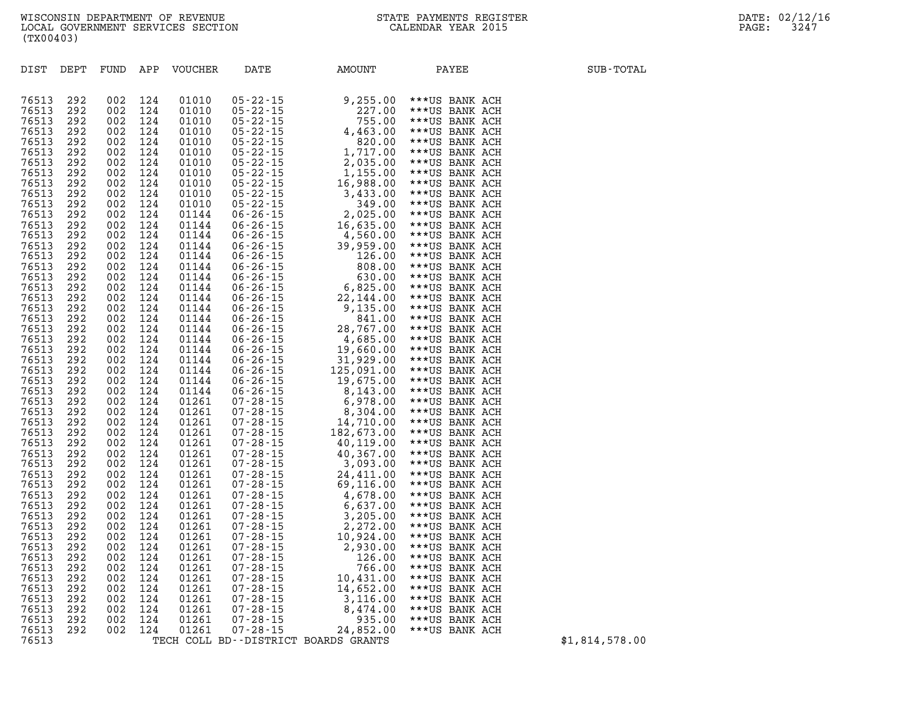| DIST           | DEPT       | FUND       | APP        | <b>VOUCHER</b> | DATE                                                                                                                                                                                                                                                                                                                     | AMOUNT     | PAYEE          | SUB-TOTAL |
|----------------|------------|------------|------------|----------------|--------------------------------------------------------------------------------------------------------------------------------------------------------------------------------------------------------------------------------------------------------------------------------------------------------------------------|------------|----------------|-----------|
|                |            |            |            |                |                                                                                                                                                                                                                                                                                                                          |            |                |           |
|                |            |            |            |                |                                                                                                                                                                                                                                                                                                                          |            |                |           |
| 76513          | 292        | 002        | 124        | 01010          | $05 - 22 - 15$                                                                                                                                                                                                                                                                                                           | 9,255.00   | ***US BANK ACH |           |
| 76513          | 292        | 002        | 124        | 01010          | $05 - 22 - 15$                                                                                                                                                                                                                                                                                                           | 227.00     | ***US BANK ACH |           |
| 76513          | 292        | 002        | 124        | 01010          | $05 - 22 - 15$                                                                                                                                                                                                                                                                                                           | 755.00     | ***US BANK ACH |           |
| 76513          | 292        | 002        | 124        | 01010          | $05 - 22 - 15$                                                                                                                                                                                                                                                                                                           | 4,463.00   | ***US BANK ACH |           |
| 76513          | 292        | 002        | 124        | 01010          | $05 - 22 - 15$                                                                                                                                                                                                                                                                                                           | 820.00     | ***US BANK ACH |           |
| 76513          | 292        | 002        | 124        | 01010          | $05 - 22 - 15$                                                                                                                                                                                                                                                                                                           | 1,717.00   | ***US BANK ACH |           |
| 76513          | 292        | 002        | 124        | 01010          | $05 - 22 - 15$<br>05-22-15<br>05-22-15<br>05-22-15<br>05-22-15<br>05-22-15<br>06-26-15<br>06-26-15<br>06-26-15<br>06-26-15<br>06-26-15<br>06-26-15<br>06-26-15<br>06-26-15<br>06-26-15<br>06-26-15<br>06-26-15<br>06-26-15<br>06-26-15<br>06-26-15<br>06-26-15<br>06-26-15<br>06-26-15<br>06-26-15<br>06-26-15<br>06-26- | 2,035.00   | ***US BANK ACH |           |
| 76513          | 292        | 002        | 124        | 01010          |                                                                                                                                                                                                                                                                                                                          | 1,155.00   | ***US BANK ACH |           |
| 76513          | 292        | 002        | 124        | 01010          |                                                                                                                                                                                                                                                                                                                          | 16,988.00  | ***US BANK ACH |           |
| 76513          | 292        | 002        | 124        | 01010          |                                                                                                                                                                                                                                                                                                                          | 3,433.00   | ***US BANK ACH |           |
| 76513          | 292        | 002        | 124        | 01010          |                                                                                                                                                                                                                                                                                                                          | 349.00     | ***US BANK ACH |           |
| 76513          | 292        | 002        | 124        | 01144          |                                                                                                                                                                                                                                                                                                                          | 2,025.00   | ***US BANK ACH |           |
| 76513          | 292        | 002        | 124        | 01144          |                                                                                                                                                                                                                                                                                                                          | 16,635.00  | ***US BANK ACH |           |
| 76513          | 292        | 002        | 124        | 01144          |                                                                                                                                                                                                                                                                                                                          | 4,560.00   | ***US BANK ACH |           |
| 76513          | 292        | 002        | 124        | 01144          |                                                                                                                                                                                                                                                                                                                          | 39,959.00  | ***US BANK ACH |           |
| 76513          | 292        | 002        | 124        | 01144          |                                                                                                                                                                                                                                                                                                                          | 126.00     | ***US BANK ACH |           |
| 76513          | 292        | 002        | 124        | 01144          |                                                                                                                                                                                                                                                                                                                          | 808.00     | ***US BANK ACH |           |
| 76513          | 292        | 002        | 124        | 01144          |                                                                                                                                                                                                                                                                                                                          | 630.00     | ***US BANK ACH |           |
| 76513          | 292        | 002        | 124        | 01144          |                                                                                                                                                                                                                                                                                                                          | 6,825.00   | ***US BANK ACH |           |
| 76513          | 292        | 002        | 124        | 01144          |                                                                                                                                                                                                                                                                                                                          | 22,144.00  | ***US BANK ACH |           |
| 76513          | 292        | 002        | 124        | 01144          |                                                                                                                                                                                                                                                                                                                          | 9,135.00   | ***US BANK ACH |           |
| 76513          | 292        | 002        | 124        | 01144          |                                                                                                                                                                                                                                                                                                                          | 841.00     | ***US BANK ACH |           |
| 76513          | 292        | 002        | 124        | 01144          |                                                                                                                                                                                                                                                                                                                          | 28,767.00  | ***US BANK ACH |           |
| 76513          | 292        | 002        | 124        | 01144          |                                                                                                                                                                                                                                                                                                                          | 4,685.00   | ***US BANK ACH |           |
| 76513          | 292        | 002        | 124        | 01144          |                                                                                                                                                                                                                                                                                                                          | 19,660.00  | ***US BANK ACH |           |
| 76513          | 292        | 002        | 124        | 01144          | $06 - 26 - 15$                                                                                                                                                                                                                                                                                                           | 31,929.00  | ***US BANK ACH |           |
| 76513          | 292        | 002        | 124        | 01144          | $06 - 26 - 15$                                                                                                                                                                                                                                                                                                           | 125,091.00 | ***US BANK ACH |           |
| 76513          | 292        | 002        | 124        | 01144          | $06 - 26 - 15$                                                                                                                                                                                                                                                                                                           | 19,675.00  | ***US BANK ACH |           |
| 76513          | 292        | 002        | 124        | 01144          |                                                                                                                                                                                                                                                                                                                          | 8,143.00   | ***US BANK ACH |           |
| 76513          | 292        | 002        | 124        | 01261          | 06 - 26 - 15<br>07 - 28 - 15<br>07 - 28 - 15<br>07 - 28 - 15                                                                                                                                                                                                                                                             | 6,978.00   | ***US BANK ACH |           |
| 76513          | 292        | 002        | 124        | 01261          |                                                                                                                                                                                                                                                                                                                          | 8,304.00   | ***US BANK ACH |           |
| 76513          | 292        | 002        | 124        | 01261          |                                                                                                                                                                                                                                                                                                                          | 14,710.00  | ***US BANK ACH |           |
| 76513          | 292        | 002        | 124        | 01261          |                                                                                                                                                                                                                                                                                                                          | 182,673.00 | ***US BANK ACH |           |
| 76513          | 292        | 002        | 124        |                |                                                                                                                                                                                                                                                                                                                          |            |                |           |
| 76513          |            |            | 124        | 01261          |                                                                                                                                                                                                                                                                                                                          | 40,119.00  | ***US BANK ACH |           |
| 76513          | 292<br>292 | 002<br>002 | 124        | 01261<br>01261 |                                                                                                                                                                                                                                                                                                                          | 40,367.00  | ***US BANK ACH |           |
|                |            |            |            |                |                                                                                                                                                                                                                                                                                                                          | 3,093.00   | ***US BANK ACH |           |
| 76513<br>76513 | 292        | 002<br>002 | 124<br>124 | 01261<br>01261 |                                                                                                                                                                                                                                                                                                                          | 24,411.00  | ***US BANK ACH |           |
| 76513          | 292        |            |            |                |                                                                                                                                                                                                                                                                                                                          | 69,116.00  | ***US BANK ACH |           |
|                | 292        | 002        | 124        | 01261          |                                                                                                                                                                                                                                                                                                                          | 4,678.00   | ***US BANK ACH |           |
| 76513          | 292        | 002        | 124        | 01261          |                                                                                                                                                                                                                                                                                                                          | 6,637.00   | ***US BANK ACH |           |
| 76513          | 292        | 002        | 124        | 01261          |                                                                                                                                                                                                                                                                                                                          | 3,205.00   | ***US BANK ACH |           |
| 76513          | 292        | 002        | 124        | 01261          |                                                                                                                                                                                                                                                                                                                          | 2,272.00   | ***US BANK ACH |           |
| 76513          | 292        | 002        | 124        | 01261          |                                                                                                                                                                                                                                                                                                                          | 10,924.00  | ***US BANK ACH |           |
| 76513          | 292        | 002        | 124        | 01261          | 07 - 28 - 15<br>07 - 28 - 15<br>07 - 28 - 15<br>07 - 28 - 15<br>07 - 28 - 15<br>07 - 28 - 15<br>07 - 28 - 15<br>07 - 28 - 15<br>07 - 28 - 15<br>07 - 28 - 15<br>07 - 28 - 15<br>07 - 28 - 15<br>07 - 28 - 15<br>07 - 28 - 15<br>07 - 28 - 15<br>07 - 28 - 15<br>07 - 28 - 15<br>0                                        | 2,930.00   | ***US BANK ACH |           |
| 76513          | 292        | 002        | 124        | 01261          |                                                                                                                                                                                                                                                                                                                          | 126.00     | ***US BANK ACH |           |
| 76513          | 292        | 002        | 124        | 01261          |                                                                                                                                                                                                                                                                                                                          | 766.00     | ***US BANK ACH |           |
| 76513          | 292        | 002        | 124        | 01261          | $07 - 28 - 15$                                                                                                                                                                                                                                                                                                           | 10,431.00  | ***US BANK ACH |           |
| 76513          | 292        | 002        | 124        | 01261          | $07 - 28 - 15$                                                                                                                                                                                                                                                                                                           | 14,652.00  | ***US BANK ACH |           |
| 76513          | 292        | 002        | 124        | 01261          | $07 - 28 - 15$                                                                                                                                                                                                                                                                                                           | 3,116.00   | ***US BANK ACH |           |
| 76513          | 292        | 002        | 124        | 01261          | $07 - 28 - 15$                                                                                                                                                                                                                                                                                                           | 8,474.00   | ***US BANK ACH |           |
| 76513          | 292        | 002        | 124        | 01261          | $07 - 28 - 15$                                                                                                                                                                                                                                                                                                           | 935.00     | ***US BANK ACH |           |
| 76513          | 292        | 002        | 124        | 01261          | $07 - 28 - 15$                                                                                                                                                                                                                                                                                                           | 24,852.00  | ***US BANK ACH |           |

**76513 TECH COLL BD--DISTRICT BOARDS GRANTS \$1,814,578.00**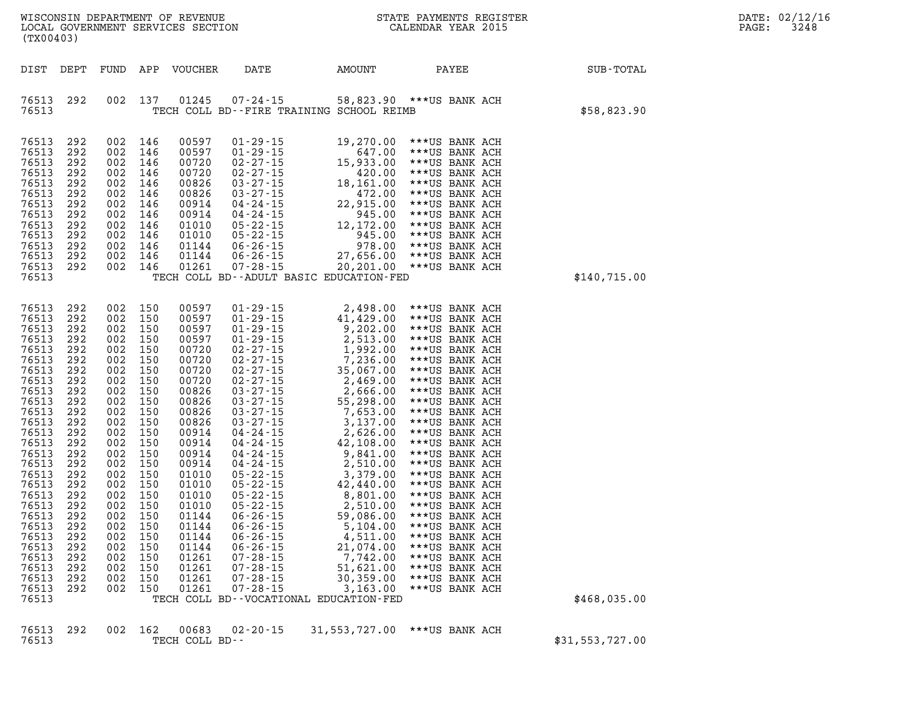| FUND APP VOUCHER<br>DATE<br>AMOUNT<br>PAYEE<br>SUB-TOTAL<br>DIST DEPT<br>137<br>01245<br>76513<br>292<br>002<br>$07 - 24 - 15$<br>58,823.90 ***US BANK ACH                                                                                                                                                                                                                                                                                                                                                                                                                                                                                                                                                                                                                                                                                                                                                                                                                                                                                                                                                                                                                                                                                                                                                                                                                                                                                                                                                                                                                                                                                                                                                                                                                                                                                                                                                                                                                                                                                                                                                                                                                                                                                                                                                                                                                                                                                                                                                   |  |
|--------------------------------------------------------------------------------------------------------------------------------------------------------------------------------------------------------------------------------------------------------------------------------------------------------------------------------------------------------------------------------------------------------------------------------------------------------------------------------------------------------------------------------------------------------------------------------------------------------------------------------------------------------------------------------------------------------------------------------------------------------------------------------------------------------------------------------------------------------------------------------------------------------------------------------------------------------------------------------------------------------------------------------------------------------------------------------------------------------------------------------------------------------------------------------------------------------------------------------------------------------------------------------------------------------------------------------------------------------------------------------------------------------------------------------------------------------------------------------------------------------------------------------------------------------------------------------------------------------------------------------------------------------------------------------------------------------------------------------------------------------------------------------------------------------------------------------------------------------------------------------------------------------------------------------------------------------------------------------------------------------------------------------------------------------------------------------------------------------------------------------------------------------------------------------------------------------------------------------------------------------------------------------------------------------------------------------------------------------------------------------------------------------------------------------------------------------------------------------------------------------------|--|
|                                                                                                                                                                                                                                                                                                                                                                                                                                                                                                                                                                                                                                                                                                                                                                                                                                                                                                                                                                                                                                                                                                                                                                                                                                                                                                                                                                                                                                                                                                                                                                                                                                                                                                                                                                                                                                                                                                                                                                                                                                                                                                                                                                                                                                                                                                                                                                                                                                                                                                              |  |
| \$58,823.90<br>76513<br>TECH COLL BD--FIRE TRAINING SCHOOL REIMB                                                                                                                                                                                                                                                                                                                                                                                                                                                                                                                                                                                                                                                                                                                                                                                                                                                                                                                                                                                                                                                                                                                                                                                                                                                                                                                                                                                                                                                                                                                                                                                                                                                                                                                                                                                                                                                                                                                                                                                                                                                                                                                                                                                                                                                                                                                                                                                                                                             |  |
| 002 146<br>76513<br>292<br>00597<br>$01 - 29 - 15$<br>19,270.00<br>***US BANK ACH<br>002 146<br>00597<br>$01 - 29 - 15$<br>76513<br>292<br>647.00<br>***US BANK ACH<br>002 146<br>76513<br>00720<br>$02 - 27 - 15$<br>15,933.00<br>292<br>***US BANK ACH<br>76513<br>002 146<br>00720<br>$02 - 27 - 15$<br>292<br>420.00<br>***US BANK ACH<br>76513<br>002 146<br>00826<br>$03 - 27 - 15$<br>18,161.00<br>292<br>***US BANK ACH<br>76513<br>00826<br>$03 - 27 - 15$<br>292<br>002 146<br>472.00<br>***US BANK ACH<br>002 146<br>22,915.00<br>76513<br>00914<br>$04 - 24 - 15$<br>292<br>***US BANK ACH<br>76513<br>002 146<br>00914<br>04-24-15<br>292<br>945.00<br>***US BANK ACH<br>76513<br>002 146<br>$05 - 22 - 15$<br>12,172.00<br>292<br>01010<br>***US BANK ACH<br>76513<br>01010<br>$05 - 22 - 15$<br>945.00<br>292<br>002 146<br>***US BANK ACH<br>76513<br>002 146<br>978.00<br>292<br>01144<br>$06 - 26 - 15$<br>***US BANK ACH<br>002 146<br>27,656.00<br>76513<br>292<br>01144<br>$06 - 26 - 15$<br>***US BANK ACH<br>76513<br>002 146<br>01261<br>292<br>$07 - 28 - 15$<br>20,201.00 *** US BANK ACH<br>\$140,715.00<br>76513<br>TECH COLL BD--ADULT BASIC EDUCATION-FED                                                                                                                                                                                                                                                                                                                                                                                                                                                                                                                                                                                                                                                                                                                                                                                                                                                                                                                                                                                                                                                                                                                                                                                                                                                                                                                      |  |
| 002 150<br>76513<br>292<br>00597<br>$01 - 29 - 15$<br>2,498.00<br>***US BANK ACH<br>76513<br>002 150<br>00597<br>$01 - 29 - 15$<br>292<br>41,429.00<br>***US BANK ACH<br>002 150<br>76513<br>00597<br>$01 - 29 - 15$<br>292<br>9,202.00<br>***US BANK ACH<br>002 150<br>00597<br>$01 - 29 - 15$<br>2,513.00<br>76513<br>292<br>***US BANK ACH<br>00720<br>76513<br>002 150<br>$02 - 27 - 15$<br>292<br>1,992.00<br>***US BANK ACH<br>76513<br>00720<br>$02 - 27 - 15$<br>292<br>002 150<br>7,236.00<br>***US BANK ACH<br>76513<br>002 150<br>00720<br>$02 - 27 - 15$<br>35,067.00<br>292<br>***US BANK ACH<br>00720<br>76513<br>$02 - 27 - 15$<br>292<br>002 150<br>2,469.00<br>***US BANK ACH<br>76513<br>002 150<br>00826<br>$03 - 27 - 15$<br>2,666.00<br>292<br>***US BANK ACH<br>76513<br>00826<br>$03 - 27 - 15$<br>292<br>002 150<br>55,298.00<br>***US BANK ACH<br>76513<br>002 150<br>00826<br>$03 - 27 - 15$<br>7,653.00<br>292<br>***US BANK ACH<br>76513<br>00826<br>$03 - 27 - 15$<br>292<br>002 150<br>3,137.00<br>***US BANK ACH<br>76513<br>002 150<br>00914<br>$04 - 24 - 15$<br>2,626.00<br>292<br>***US BANK ACH<br>76513<br>00914<br>04-24-15<br>292<br>002 150<br>42,108.00<br>***US BANK ACH<br>76513<br>002 150<br>00914<br>$04 - 24 - 15$<br>292<br>9,841.00<br>***US BANK ACH<br>00914<br>04-24-15<br>76513<br>292<br>002 150<br>2,510.00<br>***US BANK ACH<br>76513<br>002 150<br>$05 - 22 - 15$<br>292<br>01010<br>3,379.00<br>***US BANK ACH<br>01010<br>05-22-15<br>76513<br>292<br>002 150<br>42,440.00<br>***US BANK ACH<br>76513<br>002 150<br>$05 - 22 - 15$<br>292<br>01010<br>8,801.00<br>***US BANK ACH<br>01010<br>$05 - 22 - 15$<br>76513<br>292<br>002 150<br>2,510.00<br>***US BANK ACH<br>002 150<br>01144<br>76513<br>292<br>$06 - 26 - 15$<br>59,086.00<br>***US BANK ACH<br>$06 - 26 - 15$<br>76513<br>292<br>002 150<br>01144<br>5,104.00<br>***US BANK ACH<br>76513<br>292<br>002<br>150<br>01144<br>$06 - 26 - 15$<br>4,511.00<br>***US BANK ACH<br>76513<br>292<br>002 150<br>01144<br>$06 - 26 - 15$<br>21,074.00<br>***US BANK ACH<br>76513<br>150<br>01261<br>7,742.00<br>292<br>002<br>$07 - 28 - 15$<br>***US BANK ACH<br>76513<br>01261<br>$07 - 28 - 15$<br>292<br>002 150<br>51,621.00<br>***US BANK ACH<br>76513<br>002 150<br>01261<br>292<br>$07 - 28 - 15$<br>30,359.00<br>***US BANK ACH<br>01261<br>$07 - 28 - 15$<br>76513<br>292<br>002 150<br>3,163.00<br>***US BANK ACH<br>76513<br>\$468,035.00<br>TECH COLL BD--VOCATIONAL EDUCATION-FED |  |
|                                                                                                                                                                                                                                                                                                                                                                                                                                                                                                                                                                                                                                                                                                                                                                                                                                                                                                                                                                                                                                                                                                                                                                                                                                                                                                                                                                                                                                                                                                                                                                                                                                                                                                                                                                                                                                                                                                                                                                                                                                                                                                                                                                                                                                                                                                                                                                                                                                                                                                              |  |

**76513 292 002 162 00683 02-20-15 31,553,727.00 \*\*\*US BANK ACH 76513 TECH COLL BD-- \$31,553,727.00**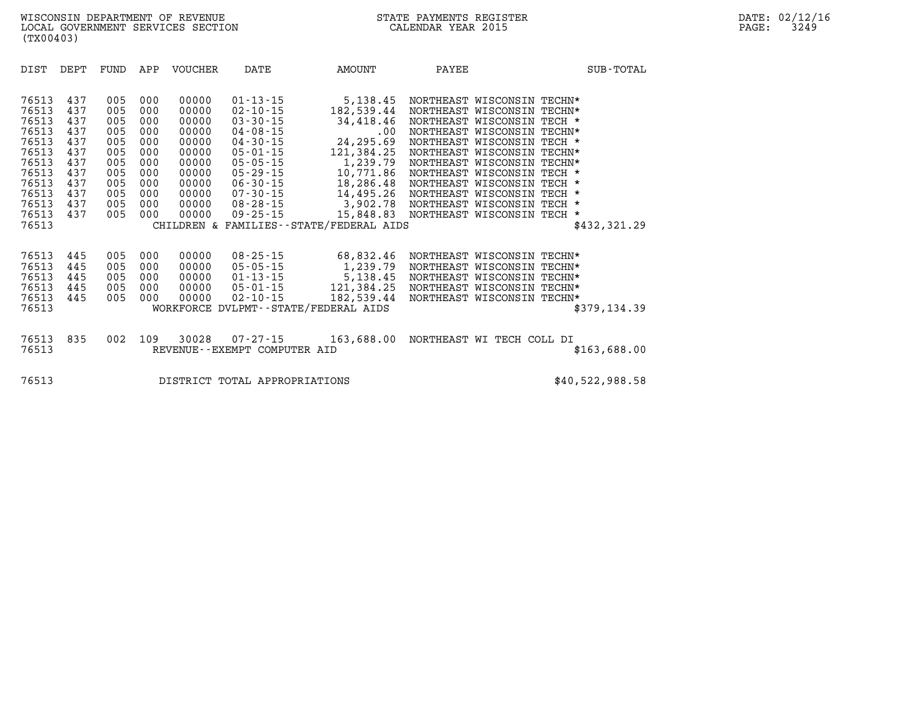| DIST                                                                                                              | DEPT                                                                             | FUND                                                                             | APP                                                                              | VOUCHER                                                                                                  | DATE                                                                                                                                                                                                                 | AMOUNT                                                                                                                                                                                               | PAYEE                                                                    |                                                                                                                                                                                                                                                |                                                          | SUB-TOTAL       |
|-------------------------------------------------------------------------------------------------------------------|----------------------------------------------------------------------------------|----------------------------------------------------------------------------------|----------------------------------------------------------------------------------|----------------------------------------------------------------------------------------------------------|----------------------------------------------------------------------------------------------------------------------------------------------------------------------------------------------------------------------|------------------------------------------------------------------------------------------------------------------------------------------------------------------------------------------------------|--------------------------------------------------------------------------|------------------------------------------------------------------------------------------------------------------------------------------------------------------------------------------------------------------------------------------------|----------------------------------------------------------|-----------------|
| 76513<br>76513<br>76513<br>76513<br>76513<br>76513<br>76513<br>76513<br>76513<br>76513<br>76513<br>76513<br>76513 | 437<br>437<br>437<br>437<br>437<br>437<br>437<br>437<br>437<br>437<br>437<br>437 | 005<br>005<br>005<br>005<br>005<br>005<br>005<br>005<br>005<br>005<br>005<br>005 | 000<br>000<br>000<br>000<br>000<br>000<br>000<br>000<br>000<br>000<br>000<br>000 | 00000<br>00000<br>00000<br>00000<br>00000<br>00000<br>00000<br>00000<br>00000<br>00000<br>00000<br>00000 | $01 - 13 - 15$<br>$02 - 10 - 15$<br>$03 - 30 - 15$<br>$04 - 08 - 15$<br>$04 - 30 - 15$<br>$05 - 01 - 15$<br>$05 - 05 - 15$<br>$05 - 29 - 15$<br>$06 - 30 - 15$<br>$07 - 30 - 15$<br>$08 - 28 - 15$<br>$09 - 25 - 15$ | 5,138.45<br>182,539.44<br>34,418.46<br>$.00 \,$<br>24,295.69<br>121,384.25<br>1,239.79<br>10,771.86<br>18,286.48<br>14,495.26<br>3,902.78<br>15,848.83<br>CHILDREN & FAMILIES - - STATE/FEDERAL AIDS | NORTHEAST WISCONSIN<br>NORTHEAST WISCONSIN<br>NORTHEAST WISCONSIN TECH * | NORTHEAST WISCONSIN TECHN*<br>NORTHEAST WISCONSIN<br>NORTHEAST WISCONSIN<br>NORTHEAST WISCONSIN TECHN*<br>NORTHEAST WISCONSIN<br>NORTHEAST WISCONSIN TECHN*<br>NORTHEAST WISCONSIN<br>NORTHEAST WISCONSIN TECH *<br>NORTHEAST WISCONSIN TECH * | TECHN*<br>TECH *<br>TECH *<br>TECHN*<br>TECH *<br>TECH * | \$432,321.29    |
| 76513<br>76513<br>76513<br>76513<br>76513<br>76513                                                                | 445<br>445<br>445<br>445<br>445                                                  | 005<br>005<br>005<br>005<br>005                                                  | 000<br>000<br>000<br>000<br>000                                                  | 00000<br>00000<br>00000<br>00000<br>00000                                                                | $08 - 25 - 15$<br>$05 - 05 - 15$<br>$01 - 13 - 15$<br>$05 - 01 - 15$<br>$02 - 10 - 15$                                                                                                                               | 68,832.46<br>1,239.79<br>5,138.45<br>121,384.25<br>182,539.44<br>WORKFORCE DVLPMT--STATE/FEDERAL AIDS                                                                                                |                                                                          | NORTHEAST WISCONSIN TECHN*<br>NORTHEAST WISCONSIN<br>NORTHEAST WISCONSIN TECHN*<br>NORTHEAST WISCONSIN TECHN*<br>NORTHEAST WISCONSIN                                                                                                           | TECHN*<br>TECHN*                                         | \$379,134.39    |
| 76513<br>76513                                                                                                    | 835                                                                              | 002                                                                              | 109                                                                              | 30028                                                                                                    | $07 - 27 - 15$<br>REVENUE--EXEMPT COMPUTER AID                                                                                                                                                                       | 163,688.00                                                                                                                                                                                           |                                                                          | NORTHEAST WI TECH COLL DI                                                                                                                                                                                                                      |                                                          | \$163,688.00    |
| 76513                                                                                                             |                                                                                  |                                                                                  |                                                                                  |                                                                                                          | DISTRICT TOTAL APPROPRIATIONS                                                                                                                                                                                        |                                                                                                                                                                                                      |                                                                          |                                                                                                                                                                                                                                                |                                                          | \$40,522,988.58 |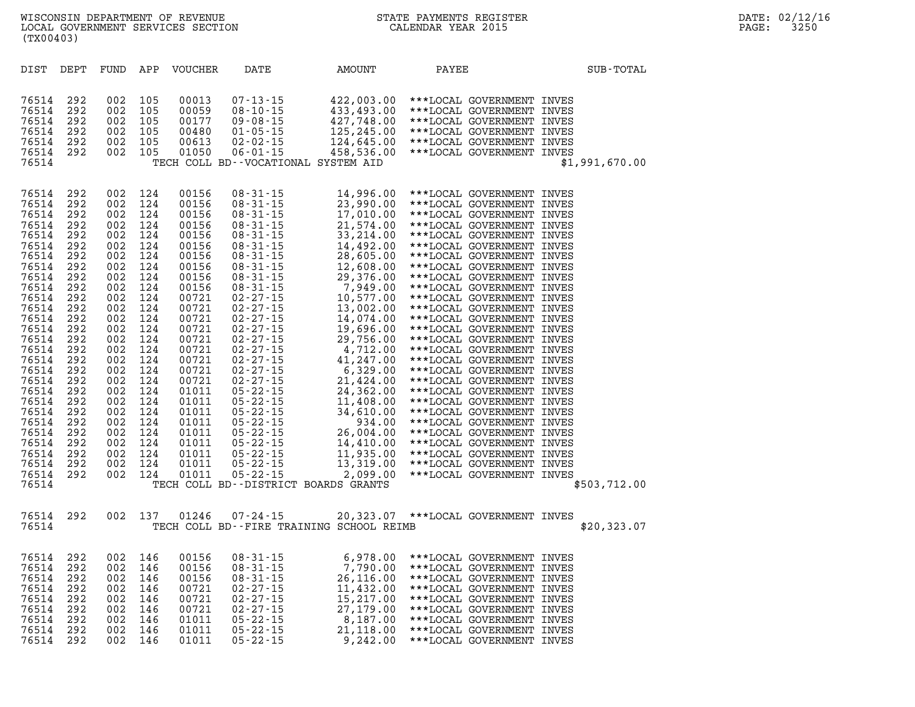| DIST                                                                                                                                                                                                                                                              | DEPT                                                                                                                                                                                             | FUND                                                                                                                                                                                             | APP                                                                                                                                                                                              | <b>VOUCHER</b>                                                                                                                                                                                                                                           | DATE                                                                                                                                                                                                                                                                                                                                                                                                                                                                                                                 | AMOUNT                                                                                                                                                                                                                                                                                                              | PAYEE                                                                                                                                                                                                                                                                                                                                                                                                                                                                                                                                                                                                                                                                                                                                                                                                                                                                                                       | SUB-TOTAL      |
|-------------------------------------------------------------------------------------------------------------------------------------------------------------------------------------------------------------------------------------------------------------------|--------------------------------------------------------------------------------------------------------------------------------------------------------------------------------------------------|--------------------------------------------------------------------------------------------------------------------------------------------------------------------------------------------------|--------------------------------------------------------------------------------------------------------------------------------------------------------------------------------------------------|----------------------------------------------------------------------------------------------------------------------------------------------------------------------------------------------------------------------------------------------------------|----------------------------------------------------------------------------------------------------------------------------------------------------------------------------------------------------------------------------------------------------------------------------------------------------------------------------------------------------------------------------------------------------------------------------------------------------------------------------------------------------------------------|---------------------------------------------------------------------------------------------------------------------------------------------------------------------------------------------------------------------------------------------------------------------------------------------------------------------|-------------------------------------------------------------------------------------------------------------------------------------------------------------------------------------------------------------------------------------------------------------------------------------------------------------------------------------------------------------------------------------------------------------------------------------------------------------------------------------------------------------------------------------------------------------------------------------------------------------------------------------------------------------------------------------------------------------------------------------------------------------------------------------------------------------------------------------------------------------------------------------------------------------|----------------|
| 76514<br>76514<br>76514<br>76514<br>76514<br>76514<br>76514                                                                                                                                                                                                       | 292<br>292<br>292<br>292<br>292<br>292                                                                                                                                                           | 002<br>002<br>002<br>002<br>002<br>002                                                                                                                                                           | 105<br>105<br>105<br>105<br>105<br>105                                                                                                                                                           | 00013<br>00059<br>00177<br>00480<br>00613<br>01050                                                                                                                                                                                                       | $07 - 13 - 15$<br>$08 - 10 - 15$<br>$09 - 08 - 15$<br>$01 - 05 - 15$<br>$02 - 02 - 15$<br>$06 - 01 - 15$                                                                                                                                                                                                                                                                                                                                                                                                             | 458,536.00<br>TECH COLL BD--VOCATIONAL SYSTEM AID                                                                                                                                                                                                                                                                   | 422,003.00 ***LOCAL GOVERNMENT INVES<br>433,493.00 *** LOCAL GOVERNMENT INVES<br>427,748.00 ***LOCAL GOVERNMENT INVES<br>125, 245.00 *** LOCAL GOVERNMENT INVES<br>124,645.00 *** LOCAL GOVERNMENT INVES<br>***LOCAL GOVERNMENT INVES                                                                                                                                                                                                                                                                                                                                                                                                                                                                                                                                                                                                                                                                       | \$1,991,670.00 |
| 76514<br>76514<br>76514<br>76514<br>76514<br>76514<br>76514<br>76514<br>76514<br>76514<br>76514<br>76514<br>76514<br>76514<br>76514<br>76514<br>76514<br>76514<br>76514<br>76514<br>76514<br>76514<br>76514<br>76514<br>76514<br>76514<br>76514<br>76514<br>76514 | 292<br>292<br>292<br>292<br>292<br>292<br>292<br>292<br>292<br>292<br>292<br>292<br>292<br>292<br>292<br>292<br>292<br>292<br>292<br>292<br>292<br>292<br>292<br>292<br>292<br>292<br>292<br>292 | 002<br>002<br>002<br>002<br>002<br>002<br>002<br>002<br>002<br>002<br>002<br>002<br>002<br>002<br>002<br>002<br>002<br>002<br>002<br>002<br>002<br>002<br>002<br>002<br>002<br>002<br>002<br>002 | 124<br>124<br>124<br>124<br>124<br>124<br>124<br>124<br>124<br>124<br>124<br>124<br>124<br>124<br>124<br>124<br>124<br>124<br>124<br>124<br>124<br>124<br>124<br>124<br>124<br>124<br>124<br>124 | 00156<br>00156<br>00156<br>00156<br>00156<br>00156<br>00156<br>00156<br>00156<br>00156<br>00721<br>00721<br>00721<br>00721<br>00721<br>00721<br>00721<br>00721<br>00721<br>01011<br>01011<br>01011<br>01011<br>01011<br>01011<br>01011<br>01011<br>01011 | $08 - 31 - 15$<br>$08 - 31 - 15$<br>$08 - 31 - 15$<br>$08 - 31 - 15$<br>$08 - 31 - 15$<br>$08 - 31 - 15$<br>$08 - 31 - 15$<br>$08 - 31 - 15$<br>$08 - 31 - 15$<br>$08 - 31 - 15$<br>$02 - 27 - 15$<br>$02 - 27 - 15$<br>$02 - 27 - 15$<br>$02 - 27 - 15$<br>$02 - 27 - 15$<br>$02 - 27 - 15$<br>$02 - 27 - 15$<br>$02 - 27 - 15$<br>$02 - 27 - 15$<br>$05 - 22 - 15$<br>$05 - 22 - 15$<br>$05 - 22 - 15$<br>$05 - 22 - 15$<br>$05 - 22 - 15$<br>$05 - 22 - 15$<br>$05 - 22 - 15$<br>$05 - 22 - 15$<br>$05 - 22 - 15$ | 14,996.00<br>23,990.00<br>21,574.00<br>33, 214.00<br>14,492.00<br>28,605.00<br>12,608.00<br>29,376.00<br>7,949.00<br>10,577.00<br>13,002.00<br>14,074.00<br>19,696.00<br>29,756.00<br>4,712.00<br>41,247.00<br>6,329.00<br>21,424.00<br>24,362.00<br>34,610.00<br>26,004.00<br>TECH COLL BD--DISTRICT BOARDS GRANTS | ***LOCAL GOVERNMENT INVES<br>***LOCAL GOVERNMENT INVES<br>17,010.00 ***LOCAL GOVERNMENT INVES<br>***LOCAL GOVERNMENT INVES<br>***LOCAL GOVERNMENT INVES<br>***LOCAL GOVERNMENT INVES<br>***LOCAL GOVERNMENT INVES<br>***LOCAL GOVERNMENT INVES<br>***LOCAL GOVERNMENT INVES<br>***LOCAL GOVERNMENT INVES<br>***LOCAL GOVERNMENT INVES<br>***LOCAL GOVERNMENT INVES<br>***LOCAL GOVERNMENT INVES<br>***LOCAL GOVERNMENT INVES<br>***LOCAL GOVERNMENT INVES<br>***LOCAL GOVERNMENT INVES<br>***LOCAL GOVERNMENT INVES<br>***LOCAL GOVERNMENT INVES<br>***LOCAL GOVERNMENT INVES<br>***LOCAL GOVERNMENT INVES<br>11,408.00 ***LOCAL GOVERNMENT INVES<br>***LOCAL GOVERNMENT INVES<br>934.00 *** LOCAL GOVERNMENT INVES<br>***LOCAL GOVERNMENT INVES<br>14,410.00 ***LOCAL GOVERNMENT INVES<br>11,935.00 ***LOCAL GOVERNMENT INVES<br>13,319.00 ***LOCAL GOVERNMENT INVES<br>2,099.00 ***LOCAL GOVERNMENT INVES | \$503,712.00   |
| 76514<br>76514                                                                                                                                                                                                                                                    | 292                                                                                                                                                                                              | 002                                                                                                                                                                                              | 137                                                                                                                                                                                              | 01246                                                                                                                                                                                                                                                    | 07-24-15                                                                                                                                                                                                                                                                                                                                                                                                                                                                                                             | TECH COLL BD--FIRE TRAINING SCHOOL REIMB                                                                                                                                                                                                                                                                            | 20,323.07 ***LOCAL GOVERNMENT INVES                                                                                                                                                                                                                                                                                                                                                                                                                                                                                                                                                                                                                                                                                                                                                                                                                                                                         | \$20,323.07    |
| 76514<br>76514<br>76514<br>76514<br>76514<br>76514<br>76514<br>76514<br>76514                                                                                                                                                                                     | 292<br>292<br>292<br>292<br>292<br>292<br>292<br>292<br>292                                                                                                                                      | 002<br>002<br>002<br>002<br>002<br>002<br>002<br>002<br>002                                                                                                                                      | 146<br>146<br>146<br>146<br>146<br>146<br>146<br>146<br>146                                                                                                                                      | 00156<br>00156<br>00156<br>00721<br>00721<br>00721<br>01011<br>01011<br>01011                                                                                                                                                                            | $08 - 31 - 15$<br>$08 - 31 - 15$<br>$08 - 31 - 15$<br>$02 - 27 - 15$<br>$02 - 27 - 15$<br>$02 - 27 - 15$<br>$05 - 22 - 15$<br>$05 - 22 - 15$<br>$05 - 22 - 15$                                                                                                                                                                                                                                                                                                                                                       | 6,978.00<br>7,790.00<br>15,217.00<br>27,179.00<br>8,187.00<br>21,118.00<br>9,242.00                                                                                                                                                                                                                                 | ***LOCAL GOVERNMENT INVES<br>***LOCAL GOVERNMENT INVES<br>26,116.00 ***LOCAL GOVERNMENT INVES<br>11,432.00 *** LOCAL GOVERNMENT INVES<br>***LOCAL GOVERNMENT INVES<br>***LOCAL GOVERNMENT INVES<br>***LOCAL GOVERNMENT INVES<br>***LOCAL GOVERNMENT INVES<br>***LOCAL GOVERNMENT INVES                                                                                                                                                                                                                                                                                                                                                                                                                                                                                                                                                                                                                      |                |

**(TX00403)**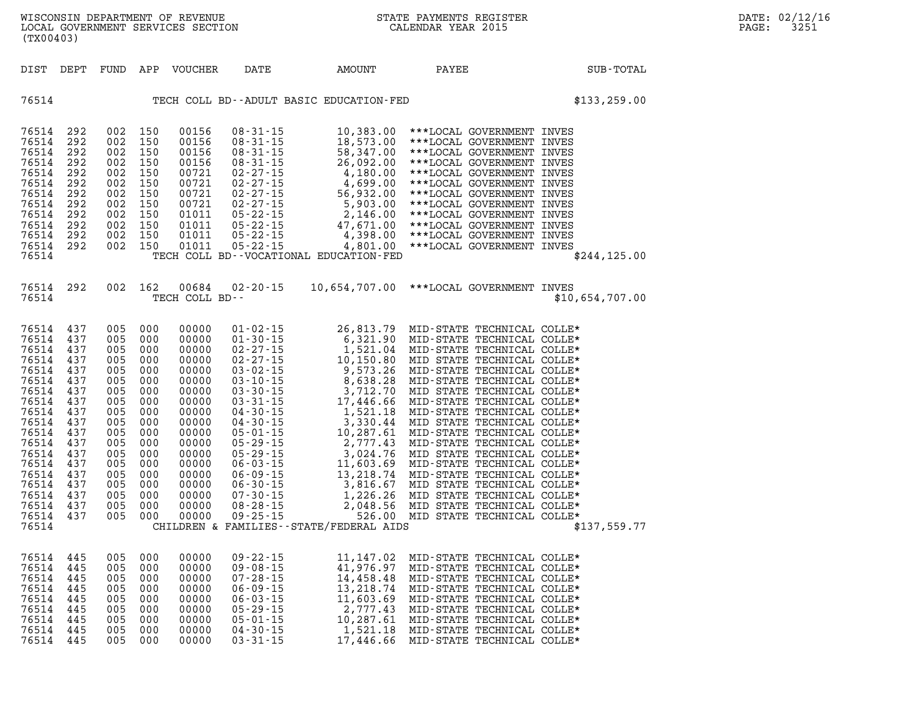| DIST                                                                                                                                                                             | DEPT                                                                                                                              | FUND                                                                                                                              | APP                                                                                                                               | VOUCHER                                                                                                                                                                 | DATE           | AMOUNT                                                                                                                                                                                                                                                                                                                                                                           | <b>PAYEE</b>                                                                                                                                                                                                                                                                                                                                             | <b>SUB-TOTAL</b> |
|----------------------------------------------------------------------------------------------------------------------------------------------------------------------------------|-----------------------------------------------------------------------------------------------------------------------------------|-----------------------------------------------------------------------------------------------------------------------------------|-----------------------------------------------------------------------------------------------------------------------------------|-------------------------------------------------------------------------------------------------------------------------------------------------------------------------|----------------|----------------------------------------------------------------------------------------------------------------------------------------------------------------------------------------------------------------------------------------------------------------------------------------------------------------------------------------------------------------------------------|----------------------------------------------------------------------------------------------------------------------------------------------------------------------------------------------------------------------------------------------------------------------------------------------------------------------------------------------------------|------------------|
| 76514                                                                                                                                                                            |                                                                                                                                   |                                                                                                                                   |                                                                                                                                   |                                                                                                                                                                         |                | TECH COLL BD--ADULT BASIC EDUCATION-FED                                                                                                                                                                                                                                                                                                                                          |                                                                                                                                                                                                                                                                                                                                                          | \$133, 259.00    |
| 76514<br>76514<br>76514<br>76514<br>76514<br>76514<br>76514<br>76514<br>76514<br>76514<br>76514<br>76514<br>76514                                                                | 292<br>292<br>292<br>292<br>292<br>292<br>292<br>292<br>292<br>292<br>292<br>292                                                  | 002<br>002<br>002<br>002<br>002<br>002<br>002<br>002<br>002<br>002<br>002<br>002                                                  | 150<br>150<br>150<br>150<br>150<br>150<br>150<br>150<br>150<br>150<br>150<br>150                                                  | 00156<br>00156<br>00156<br>00156<br>00721<br>00721<br>00721<br>00721<br>01011<br>01011<br>01011<br>01011                                                                | $08 - 31 - 15$ | 10,383.00<br>08-31-15<br>08-31-15<br>08-31-15<br>08-31-15<br>08-31-15<br>08-31-15<br>08-27-15<br>02-27-15<br>4,699.00<br>02-27-15<br>56,932.00<br>02-27-15<br>56,932.00<br>02-27-15<br>56,932.00<br>05-22-15<br>4,699.00<br>05-22-15<br>4,699.00<br>05-22-15<br>4,699.00<br>05-22-15<br><br>47,671.00<br>4,398.00<br>4,801.00<br>TECH COLL BD--VOCATIONAL EDUCATION-FED          | ***LOCAL GOVERNMENT INVES<br>***LOCAL GOVERNMENT INVES<br>***LOCAL GOVERNMENT INVES<br>***LOCAL GOVERNMENT INVES<br>***LOCAL GOVERNMENT INVES<br>***LOCAL GOVERNMENT INVES<br>***LOCAL GOVERNMENT INVES<br>***LOCAL GOVERNMENT INVES<br>***LOCAL GOVERNMENT INVES<br>***LOCAL GOVERNMENT INVES<br>***LOCAL GOVERNMENT INVES<br>***LOCAL GOVERNMENT INVES | \$244, 125.00    |
| 76514<br>76514                                                                                                                                                                   | 292                                                                                                                               | 002                                                                                                                               | 162                                                                                                                               | 00684<br>TECH COLL BD--                                                                                                                                                 | $02 - 20 - 15$ |                                                                                                                                                                                                                                                                                                                                                                                  | 10,654,707.00 ***LOCAL GOVERNMENT INVES                                                                                                                                                                                                                                                                                                                  | \$10,654,707.00  |
| 76514<br>76514<br>76514<br>76514<br>76514<br>76514<br>76514<br>76514<br>76514<br>76514<br>76514<br>76514<br>76514<br>76514<br>76514<br>76514<br>76514<br>76514<br>76514<br>76514 | 437<br>437<br>437<br>437<br>437<br>437<br>437<br>437<br>437<br>437<br>437<br>437<br>437<br>437<br>437<br>437<br>437<br>437<br>437 | 005<br>005<br>005<br>005<br>005<br>005<br>005<br>005<br>005<br>005<br>005<br>005<br>005<br>005<br>005<br>005<br>005<br>005<br>005 | 000<br>000<br>000<br>000<br>000<br>000<br>000<br>000<br>000<br>000<br>000<br>000<br>000<br>000<br>000<br>000<br>000<br>000<br>000 | 00000<br>00000<br>00000<br>00000<br>00000<br>00000<br>00000<br>00000<br>00000<br>00000<br>00000<br>00000<br>00000<br>00000<br>00000<br>00000<br>00000<br>00000<br>00000 |                | CHILDREN & FAMILIES - - STATE/FEDERAL AIDS                                                                                                                                                                                                                                                                                                                                       |                                                                                                                                                                                                                                                                                                                                                          | \$137,559.77     |
| 76514<br>76514<br>76514<br>76514<br>76514<br>76514<br>76514<br>76514<br>76514                                                                                                    | 445<br>445<br>445<br>445<br>445<br>445<br>445<br>445<br>445                                                                       | 005<br>005<br>005<br>005<br>005<br>005<br>005<br>005<br>005                                                                       | 000<br>000<br>000<br>000<br>000<br>000<br>000<br>000<br>000                                                                       | 00000<br>00000<br>00000<br>00000<br>00000<br>00000<br>00000<br>00000<br>00000                                                                                           |                | $\begin{array}{llll} 09\,\text{-}\,22\,\text{-}\,15 & 11\,,\,147\,\text{-}\,02 \\ 09\,\text{-}\,08\,\text{-}\,15 & 41\,,\,976\,\text{-}\,97 \\ 07\,\text{-}\,28\,\text{-}\,15 & 14\,,\,458\,\text{-}\,48 \\ 06\,\text{-}\,09\,\text{-}\,15 & 13\,,\,218\,\text{-}\,74 \\ 06\,\text{-}\,03\,\text{-}\,15 & 11\,,\,603\,\text{-}\,69 \\ 05\,\text{-}\,29\,\text{-}\,$<br>17,446.66 | MID-STATE TECHNICAL COLLE*<br>MID-STATE TECHNICAL COLLE*<br>MID-STATE TECHNICAL COLLE*<br>MID-STATE TECHNICAL COLLE*<br>MID-STATE TECHNICAL COLLE*<br>MID-STATE TECHNICAL COLLE*<br>MID-STATE TECHNICAL COLLE*<br>MID-STATE TECHNICAL COLLE*<br>MID-STATE TECHNICAL COLLE*                                                                               |                  |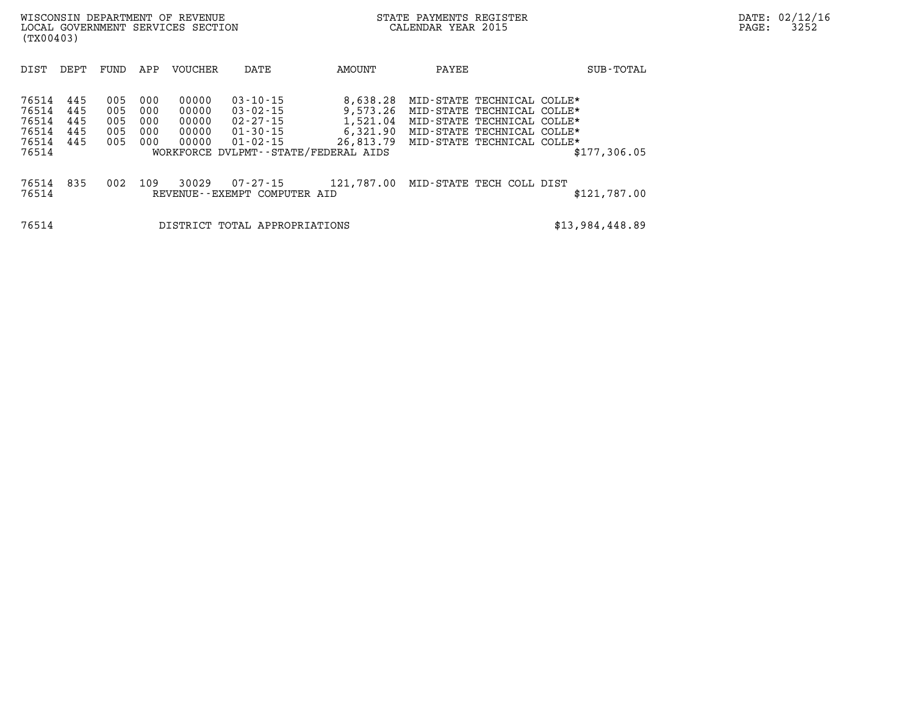| (TX00403)                                                                             | WISCONSIN DEPARTMENT OF REVENUE<br>LOCAL GOVERNMENT SERVICES SECTION |                                 |                                           |                                                                                  |                                                                                                   |                                                                                                                                                    | STATE PAYMENTS REGISTER<br>CALENDAR YEAR 2015 |                 | DATE: 02/12/16<br>3252<br>PAGE: |
|---------------------------------------------------------------------------------------|----------------------------------------------------------------------|---------------------------------|-------------------------------------------|----------------------------------------------------------------------------------|---------------------------------------------------------------------------------------------------|----------------------------------------------------------------------------------------------------------------------------------------------------|-----------------------------------------------|-----------------|---------------------------------|
| DIST<br>DEPT                                                                          | FUND                                                                 | APP                             | VOUCHER                                   | DATE                                                                             | AMOUNT                                                                                            | PAYEE                                                                                                                                              |                                               | SUB-TOTAL       |                                 |
| 76514<br>445<br>76514<br>445<br>76514<br>445<br>76514<br>445<br>76514<br>445<br>76514 | 005<br>005<br>005<br>005<br>005                                      | 000<br>000<br>000<br>000<br>000 | 00000<br>00000<br>00000<br>00000<br>00000 | $03 - 10 - 15$<br>$03 - 02 - 15$<br>02-27-15<br>$01 - 30 - 15$<br>$01 - 02 - 15$ | 8,638.28<br>9,573.26<br>1,521.04<br>6,321.90<br>26,813.79<br>WORKFORCE DVLPMT--STATE/FEDERAL AIDS | MID-STATE TECHNICAL COLLE*<br>MID-STATE TECHNICAL COLLE*<br>MID-STATE TECHNICAL COLLE*<br>MID-STATE TECHNICAL COLLE*<br>MID-STATE TECHNICAL COLLE* |                                               | \$177,306.05    |                                 |
| 835<br>76514<br>76514                                                                 | 002                                                                  | 109                             | 30029                                     | 07-27-15<br>REVENUE--EXEMPT COMPUTER AID                                         | 121,787.00                                                                                        | MID-STATE TECH COLL DIST                                                                                                                           |                                               | \$121,787.00    |                                 |
| 76514                                                                                 |                                                                      |                                 |                                           | DISTRICT TOTAL APPROPRIATIONS                                                    |                                                                                                   |                                                                                                                                                    |                                               | \$13,984,448.89 |                                 |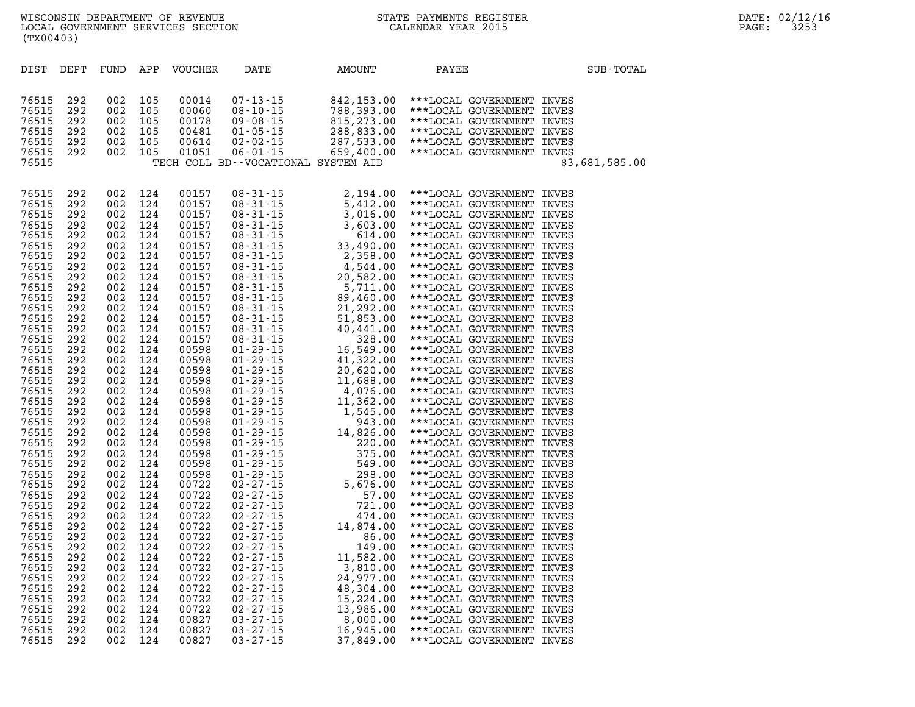| DIST           | DEPT       | FUND       | APP        | <b>VOUCHER</b> | DATE | AMOUNT                                                                                                                                                                                                                                                                                                                    | PAYEE |                                                        | SUB-TOTAL      |
|----------------|------------|------------|------------|----------------|------|---------------------------------------------------------------------------------------------------------------------------------------------------------------------------------------------------------------------------------------------------------------------------------------------------------------------------|-------|--------------------------------------------------------|----------------|
|                |            |            |            |                |      |                                                                                                                                                                                                                                                                                                                           |       |                                                        |                |
|                |            |            |            |                |      |                                                                                                                                                                                                                                                                                                                           |       |                                                        |                |
| 76515          | 292        | 002        | 105        |                |      | 00014 07-13-15 842,153.00 ***LOCAL GOVERNMENT INVES<br>00060 08-10-15 788,393.00 ***LOCAL GOVERNMENT INVES<br>00178 09-08-15 815,273.00 ***LOCAL GOVERNMENT INVES<br>00481 01-05-15 288,833.00 ***LOCAL GOVERNMENT INVES<br>00614 02-0                                                                                    |       |                                                        |                |
| 76515          | 292        | 002        | 105        |                |      |                                                                                                                                                                                                                                                                                                                           |       |                                                        |                |
| 76515          | 292        | 002        | 105        |                |      |                                                                                                                                                                                                                                                                                                                           |       |                                                        |                |
| 76515          | 292        | 002        | 105        |                |      |                                                                                                                                                                                                                                                                                                                           |       |                                                        |                |
| 76515          | 292        | 002        | 105        |                |      |                                                                                                                                                                                                                                                                                                                           |       |                                                        |                |
| 76515          | 292        | 002        | 105        |                |      |                                                                                                                                                                                                                                                                                                                           |       |                                                        |                |
| 76515          |            |            |            |                |      |                                                                                                                                                                                                                                                                                                                           |       |                                                        | \$3,681,585.00 |
|                |            |            |            |                |      |                                                                                                                                                                                                                                                                                                                           |       |                                                        |                |
|                |            |            |            |                |      | $\begin{array}{cccccccc} 0.9 & -31 & -15 & 2 & 194 & 00 \\ 0.8 & -31 & -15 & 5 & 412 & 00 \\ 0.8 & -31 & -15 & 3 & 603 & 00 \\ 0.8 & -31 & -15 & 3 & 603 & 00 \\ 0.8 & -31 & -15 & 3 & 614 & 00 \\ 0.8 & -31 & -15 & 2 & 2 & 358 & 00 \\ 0.8 & -31 & -15 & 4 & 544 & 00 \\ 0.8 & -31 & -15 & 5 & 711 & 00 \\ 0.8 & -31 &$ |       |                                                        |                |
| 76515          | 292<br>292 | 002        | 124        | 00157          |      |                                                                                                                                                                                                                                                                                                                           |       | 2,194.00 *** LOCAL GOVERNMENT INVES                    |                |
| 76515          |            | 002        | 124        | 00157          |      |                                                                                                                                                                                                                                                                                                                           |       | ***LOCAL GOVERNMENT INVES                              |                |
| 76515<br>76515 | 292<br>292 | 002<br>002 | 124<br>124 | 00157<br>00157 |      |                                                                                                                                                                                                                                                                                                                           |       | ***LOCAL GOVERNMENT INVES<br>***LOCAL GOVERNMENT INVES |                |
| 76515          | 292        | 002        | 124        | 00157          |      |                                                                                                                                                                                                                                                                                                                           |       | ***LOCAL GOVERNMENT INVES                              |                |
|                | 292        |            |            |                |      |                                                                                                                                                                                                                                                                                                                           |       |                                                        |                |
| 76515          |            | 002        | 124        | 00157          |      |                                                                                                                                                                                                                                                                                                                           |       | ***LOCAL GOVERNMENT INVES                              |                |
| 76515          | 292        | 002        | 124        | 00157          |      |                                                                                                                                                                                                                                                                                                                           |       | ***LOCAL GOVERNMENT INVES                              |                |
| 76515          | 292<br>292 | 002        | 124        | 00157          |      |                                                                                                                                                                                                                                                                                                                           |       | ***LOCAL GOVERNMENT INVES                              |                |
| 76515<br>76515 |            | 002        | 124        | 00157          |      |                                                                                                                                                                                                                                                                                                                           |       | ***LOCAL GOVERNMENT INVES                              |                |
|                | 292        | 002        | 124        | 00157          |      |                                                                                                                                                                                                                                                                                                                           |       | ***LOCAL GOVERNMENT INVES                              |                |
| 76515          | 292        | 002        | 124        | 00157          |      |                                                                                                                                                                                                                                                                                                                           |       | ***LOCAL GOVERNMENT INVES                              |                |
| 76515          | 292        | 002        | 124        | 00157          |      |                                                                                                                                                                                                                                                                                                                           |       | ***LOCAL GOVERNMENT INVES                              |                |
| 76515          | 292        | 002        | 124        | 00157          |      |                                                                                                                                                                                                                                                                                                                           |       | ***LOCAL GOVERNMENT INVES                              |                |
| 76515          | 292        | 002        | 124        | 00157          |      |                                                                                                                                                                                                                                                                                                                           |       | ***LOCAL GOVERNMENT INVES                              |                |
| 76515          | 292        | 002        | 124        | 00157          |      |                                                                                                                                                                                                                                                                                                                           |       | ***LOCAL GOVERNMENT INVES                              |                |
| 76515          | 292        | 002        | 124        | 00598          |      |                                                                                                                                                                                                                                                                                                                           |       | ***LOCAL GOVERNMENT INVES                              |                |
| 76515          | 292        | 002        | 124        | 00598          |      |                                                                                                                                                                                                                                                                                                                           |       | ***LOCAL GOVERNMENT INVES                              |                |
| 76515          | 292        | 002        | 124        | 00598          |      |                                                                                                                                                                                                                                                                                                                           |       | ***LOCAL GOVERNMENT INVES                              |                |
| 76515          | 292        | 002        | 124        | 00598          |      |                                                                                                                                                                                                                                                                                                                           |       | ***LOCAL GOVERNMENT INVES                              |                |
| 76515          | 292        | 002        | 124        | 00598          |      |                                                                                                                                                                                                                                                                                                                           |       | ***LOCAL GOVERNMENT INVES                              |                |
| 76515          | 292        | 002        | 124        | 00598          |      |                                                                                                                                                                                                                                                                                                                           |       | ***LOCAL GOVERNMENT INVES                              |                |
| 76515          | 292        | 002        | 124        | 00598          |      |                                                                                                                                                                                                                                                                                                                           |       | ***LOCAL GOVERNMENT INVES                              |                |
| 76515          | 292        | 002        | 124        | 00598          |      |                                                                                                                                                                                                                                                                                                                           |       | ***LOCAL GOVERNMENT INVES                              |                |
| 76515          | 292        | 002        | 124        | 00598          |      |                                                                                                                                                                                                                                                                                                                           |       | ***LOCAL GOVERNMENT INVES                              |                |
| 76515          | 292        | 002        | 124        | 00598          |      |                                                                                                                                                                                                                                                                                                                           |       | ***LOCAL GOVERNMENT INVES                              |                |
| 76515          | 292        | 002        | 124        | 00598          |      |                                                                                                                                                                                                                                                                                                                           |       | ***LOCAL GOVERNMENT INVES                              |                |
| 76515          | 292        | 002        | 124        | 00598          |      |                                                                                                                                                                                                                                                                                                                           |       | ***LOCAL GOVERNMENT INVES                              |                |
| 76515          | 292        | 002        | 124        | 00598          |      |                                                                                                                                                                                                                                                                                                                           |       | ***LOCAL GOVERNMENT INVES                              |                |
| 76515          | 292        | 002        | 124        | 00722          |      |                                                                                                                                                                                                                                                                                                                           |       | ***LOCAL GOVERNMENT INVES                              |                |
| 76515          | 292        | 002        | 124        | 00722          |      |                                                                                                                                                                                                                                                                                                                           |       | ***LOCAL GOVERNMENT INVES                              |                |
| 76515          | 292        | 002        | 124        | 00722          |      |                                                                                                                                                                                                                                                                                                                           |       | ***LOCAL GOVERNMENT INVES                              |                |
| 76515          | 292        | 002        | 124        | 00722          |      |                                                                                                                                                                                                                                                                                                                           |       | ***LOCAL GOVERNMENT INVES                              |                |
| 76515          | 292        | 002        | 124        | 00722          |      |                                                                                                                                                                                                                                                                                                                           |       | ***LOCAL GOVERNMENT INVES                              |                |
| 76515          | 292        | 002        | 124        | 00722          |      |                                                                                                                                                                                                                                                                                                                           |       | ***LOCAL GOVERNMENT INVES                              |                |
| 76515          | 292        | 002        | 124        | 00722          |      |                                                                                                                                                                                                                                                                                                                           |       | ***LOCAL GOVERNMENT INVES                              |                |
| 76515          | 292        | 002        | 124        | 00722          |      |                                                                                                                                                                                                                                                                                                                           |       | ***LOCAL GOVERNMENT INVES                              |                |
| 76515          | 292        | 002        | 124        | 00722          |      |                                                                                                                                                                                                                                                                                                                           |       | ***LOCAL GOVERNMENT INVES                              |                |
| 76515          | 292        | 002        | 124        | 00722          |      |                                                                                                                                                                                                                                                                                                                           |       | ***LOCAL GOVERNMENT INVES                              |                |
| 76515          | 292        | 002        | 124        | 00722          |      |                                                                                                                                                                                                                                                                                                                           |       | ***LOCAL GOVERNMENT INVES                              |                |
| 76515          | 292        | 002        | 124        | 00722          |      |                                                                                                                                                                                                                                                                                                                           |       | ***LOCAL GOVERNMENT INVES                              |                |
| 76515          | 292        | 002        | 124        | 00722          |      |                                                                                                                                                                                                                                                                                                                           |       | ***LOCAL GOVERNMENT INVES                              |                |
| 76515          | 292        | 002        | 124        | 00827          |      |                                                                                                                                                                                                                                                                                                                           |       | ***LOCAL GOVERNMENT INVES                              |                |
| 76515          | 292        | 002        | 124        | 00827          |      |                                                                                                                                                                                                                                                                                                                           |       | ***LOCAL GOVERNMENT INVES                              |                |
| 76515          | 292        | 002        | 124        | 00827          |      |                                                                                                                                                                                                                                                                                                                           |       | ***LOCAL GOVERNMENT INVES                              |                |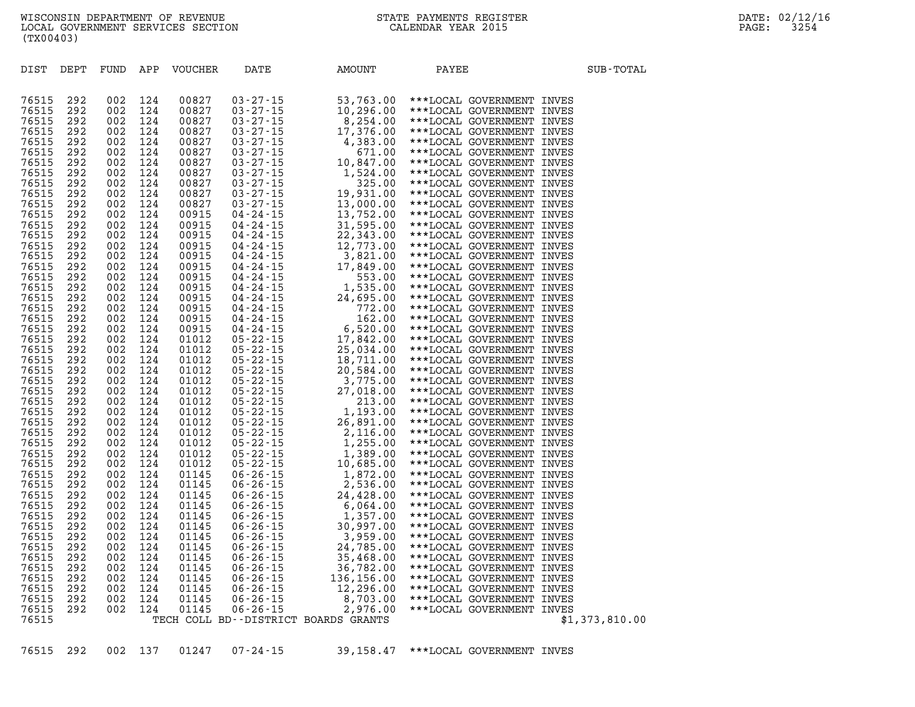| DIST  | DEPT | FUND | APP | <b>VOUCHER</b> | DATE | AMOUNT                                                                                                                                                                                                                                                                                                                                                                                   | PAYEE                               | SUB-TOTAL      |
|-------|------|------|-----|----------------|------|------------------------------------------------------------------------------------------------------------------------------------------------------------------------------------------------------------------------------------------------------------------------------------------------------------------------------------------------------------------------------------------|-------------------------------------|----------------|
|       |      |      |     |                |      |                                                                                                                                                                                                                                                                                                                                                                                          |                                     |                |
|       |      |      |     |                |      |                                                                                                                                                                                                                                                                                                                                                                                          |                                     |                |
| 76515 | 292  | 002  | 124 | 00827          |      |                                                                                                                                                                                                                                                                                                                                                                                          | 53,763.00 ***LOCAL GOVERNMENT INVES |                |
| 76515 | 292  | 002  | 124 | 00827          |      |                                                                                                                                                                                                                                                                                                                                                                                          | ***LOCAL GOVERNMENT INVES           |                |
| 76515 | 292  | 002  | 124 | 00827          |      |                                                                                                                                                                                                                                                                                                                                                                                          | ***LOCAL GOVERNMENT INVES           |                |
| 76515 | 292  | 002  | 124 | 00827          |      |                                                                                                                                                                                                                                                                                                                                                                                          | ***LOCAL GOVERNMENT INVES           |                |
| 76515 | 292  | 002  | 124 | 00827          |      |                                                                                                                                                                                                                                                                                                                                                                                          | ***LOCAL GOVERNMENT INVES           |                |
| 76515 | 292  | 002  | 124 | 00827          |      |                                                                                                                                                                                                                                                                                                                                                                                          | ***LOCAL GOVERNMENT INVES           |                |
| 76515 | 292  | 002  | 124 | 00827          |      |                                                                                                                                                                                                                                                                                                                                                                                          | ***LOCAL GOVERNMENT INVES           |                |
| 76515 | 292  | 002  | 124 | 00827          |      |                                                                                                                                                                                                                                                                                                                                                                                          | ***LOCAL GOVERNMENT INVES           |                |
| 76515 | 292  | 002  | 124 | 00827          |      |                                                                                                                                                                                                                                                                                                                                                                                          | ***LOCAL GOVERNMENT INVES           |                |
| 76515 | 292  | 002  | 124 | 00827          |      |                                                                                                                                                                                                                                                                                                                                                                                          | ***LOCAL GOVERNMENT INVES           |                |
| 76515 | 292  | 002  | 124 | 00827          |      |                                                                                                                                                                                                                                                                                                                                                                                          | ***LOCAL GOVERNMENT INVES           |                |
| 76515 | 292  | 002  | 124 | 00915          |      |                                                                                                                                                                                                                                                                                                                                                                                          | ***LOCAL GOVERNMENT INVES           |                |
| 76515 | 292  | 002  | 124 | 00915          |      |                                                                                                                                                                                                                                                                                                                                                                                          | ***LOCAL GOVERNMENT INVES           |                |
| 76515 | 292  | 002  | 124 | 00915          |      |                                                                                                                                                                                                                                                                                                                                                                                          | ***LOCAL GOVERNMENT INVES           |                |
| 76515 | 292  | 002  | 124 | 00915          |      |                                                                                                                                                                                                                                                                                                                                                                                          | ***LOCAL GOVERNMENT INVES           |                |
| 76515 | 292  | 002  | 124 | 00915          |      |                                                                                                                                                                                                                                                                                                                                                                                          | ***LOCAL GOVERNMENT INVES           |                |
| 76515 | 292  | 002  | 124 | 00915          |      |                                                                                                                                                                                                                                                                                                                                                                                          | ***LOCAL GOVERNMENT INVES           |                |
| 76515 | 292  | 002  | 124 | 00915          |      |                                                                                                                                                                                                                                                                                                                                                                                          | ***LOCAL GOVERNMENT INVES           |                |
| 76515 | 292  | 002  | 124 | 00915          |      |                                                                                                                                                                                                                                                                                                                                                                                          | ***LOCAL GOVERNMENT INVES           |                |
| 76515 | 292  | 002  | 124 | 00915          |      |                                                                                                                                                                                                                                                                                                                                                                                          | ***LOCAL GOVERNMENT INVES           |                |
| 76515 | 292  | 002  | 124 | 00915          |      |                                                                                                                                                                                                                                                                                                                                                                                          | ***LOCAL GOVERNMENT INVES           |                |
| 76515 | 292  | 002  | 124 | 00915          |      |                                                                                                                                                                                                                                                                                                                                                                                          | ***LOCAL GOVERNMENT INVES           |                |
| 76515 | 292  | 002  | 124 | 00915          |      |                                                                                                                                                                                                                                                                                                                                                                                          | ***LOCAL GOVERNMENT INVES           |                |
| 76515 | 292  | 002  | 124 | 01012          |      |                                                                                                                                                                                                                                                                                                                                                                                          | ***LOCAL GOVERNMENT INVES           |                |
| 76515 | 292  | 002  | 124 | 01012          |      |                                                                                                                                                                                                                                                                                                                                                                                          | ***LOCAL GOVERNMENT INVES           |                |
| 76515 | 292  | 002  | 124 | 01012          |      |                                                                                                                                                                                                                                                                                                                                                                                          | ***LOCAL GOVERNMENT INVES           |                |
| 76515 | 292  | 002  | 124 | 01012          |      |                                                                                                                                                                                                                                                                                                                                                                                          | ***LOCAL GOVERNMENT INVES           |                |
| 76515 | 292  | 002  | 124 | 01012          |      |                                                                                                                                                                                                                                                                                                                                                                                          | ***LOCAL GOVERNMENT INVES           |                |
| 76515 | 292  | 002  | 124 | 01012          |      |                                                                                                                                                                                                                                                                                                                                                                                          | ***LOCAL GOVERNMENT INVES           |                |
| 76515 | 292  | 002  | 124 | 01012          |      |                                                                                                                                                                                                                                                                                                                                                                                          | ***LOCAL GOVERNMENT INVES           |                |
| 76515 | 292  | 002  | 124 | 01012          |      |                                                                                                                                                                                                                                                                                                                                                                                          | ***LOCAL GOVERNMENT INVES           |                |
| 76515 | 292  | 002  | 124 | 01012          |      |                                                                                                                                                                                                                                                                                                                                                                                          | ***LOCAL GOVERNMENT INVES           |                |
| 76515 | 292  | 002  | 124 | 01012          |      |                                                                                                                                                                                                                                                                                                                                                                                          | ***LOCAL GOVERNMENT INVES           |                |
| 76515 | 292  | 002  | 124 | 01012          |      |                                                                                                                                                                                                                                                                                                                                                                                          | ***LOCAL GOVERNMENT INVES           |                |
| 76515 | 292  | 002  | 124 | 01012          |      |                                                                                                                                                                                                                                                                                                                                                                                          | ***LOCAL GOVERNMENT INVES           |                |
| 76515 | 292  | 002  | 124 | 01012          |      |                                                                                                                                                                                                                                                                                                                                                                                          | ***LOCAL GOVERNMENT INVES           |                |
| 76515 | 292  | 002  | 124 | 01145          |      |                                                                                                                                                                                                                                                                                                                                                                                          | ***LOCAL GOVERNMENT INVES           |                |
| 76515 | 292  | 002  | 124 | 01145          |      |                                                                                                                                                                                                                                                                                                                                                                                          | ***LOCAL GOVERNMENT INVES           |                |
| 76515 | 292  | 002  | 124 | 01145          |      |                                                                                                                                                                                                                                                                                                                                                                                          | ***LOCAL GOVERNMENT INVES           |                |
| 76515 | 292  | 002  | 124 | 01145          |      |                                                                                                                                                                                                                                                                                                                                                                                          | ***LOCAL GOVERNMENT INVES           |                |
| 76515 | 292  | 002  | 124 | 01145          |      |                                                                                                                                                                                                                                                                                                                                                                                          | ***LOCAL GOVERNMENT INVES           |                |
| 76515 | 292  | 002  | 124 | 01145          |      |                                                                                                                                                                                                                                                                                                                                                                                          | ***LOCAL GOVERNMENT INVES           |                |
| 76515 | 292  | 002  | 124 | 01145          |      |                                                                                                                                                                                                                                                                                                                                                                                          | ***LOCAL GOVERNMENT INVES           |                |
| 76515 | 292  | 002  | 124 | 01145          |      |                                                                                                                                                                                                                                                                                                                                                                                          | ***LOCAL GOVERNMENT INVES           |                |
| 76515 | 292  | 002  | 124 | 01145          |      |                                                                                                                                                                                                                                                                                                                                                                                          | ***LOCAL GOVERNMENT INVES           |                |
| 76515 | 292  | 002  | 124 | 01145          |      |                                                                                                                                                                                                                                                                                                                                                                                          | ***LOCAL GOVERNMENT INVES           |                |
| 76515 | 292  | 002  | 124 | 01145          |      |                                                                                                                                                                                                                                                                                                                                                                                          | ***LOCAL GOVERNMENT INVES           |                |
| 76515 | 292  | 002  | 124 | 01145          |      |                                                                                                                                                                                                                                                                                                                                                                                          | ***LOCAL GOVERNMENT INVES           |                |
| 76515 | 292  | 002  | 124 | 01145          |      |                                                                                                                                                                                                                                                                                                                                                                                          | ***LOCAL GOVERNMENT INVES           |                |
| 76515 | 292  | 002  | 124 | 01145          |      |                                                                                                                                                                                                                                                                                                                                                                                          | ***LOCAL GOVERNMENT INVES           |                |
| 76515 |      |      |     |                |      | $\begin{tabular}{@{}c@{}}\textbf{DATE} & & & & & & \\ \textbf{AMOUTT} & & & & & & \\ \textbf{03-27-15} & & & & & & 53,76300 \\ \textbf{03-27-15} & & & & & 10,29600 \\ \textbf{03-27-15} & & & & & 71.37600 \\ \textbf{03-27-15} & & & & & 67100 \\ \textbf{03-27-15} & & & & & 67100 \\ \textbf{03-27-15} & & & & & 67100 \\ \textbf{03-27-15}$<br>TECH COLL BD--DISTRICT BOARDS GRANTS |                                     | \$1,373,810.00 |
|       |      |      |     |                |      |                                                                                                                                                                                                                                                                                                                                                                                          |                                     |                |

**76515 292 002 137 01247 07-24-15 39,158.47 \*\*\*LOCAL GOVERNMENT INVES**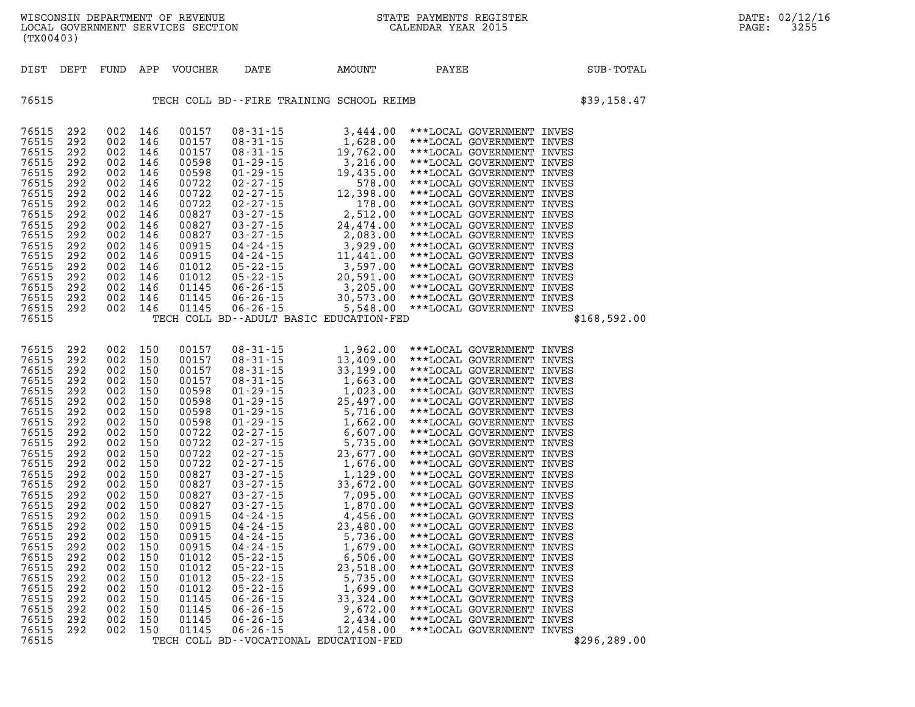| DIST                                                                                                                                                                                                                                                              | DEPT                                                                                                                                                                                             | FUND                                                                                                                                                                                             |                                                                                                                                                                                                  | APP VOUCHER                                                                                                                                                                                                                                              | <b>AMOUNT</b><br>DATE                   | PAYEE                                    | SUB-TOTAL    |
|-------------------------------------------------------------------------------------------------------------------------------------------------------------------------------------------------------------------------------------------------------------------|--------------------------------------------------------------------------------------------------------------------------------------------------------------------------------------------------|--------------------------------------------------------------------------------------------------------------------------------------------------------------------------------------------------|--------------------------------------------------------------------------------------------------------------------------------------------------------------------------------------------------|----------------------------------------------------------------------------------------------------------------------------------------------------------------------------------------------------------------------------------------------------------|-----------------------------------------|------------------------------------------|--------------|
| 76515                                                                                                                                                                                                                                                             |                                                                                                                                                                                                  |                                                                                                                                                                                                  |                                                                                                                                                                                                  |                                                                                                                                                                                                                                                          |                                         | TECH COLL BD--FIRE TRAINING SCHOOL REIMB | \$39,158.47  |
| 76515<br>76515<br>76515<br>76515<br>76515<br>76515<br>76515<br>76515<br>76515<br>76515<br>76515<br>76515<br>76515<br>76515<br>76515<br>76515<br>76515<br>76515<br>76515                                                                                           | 292<br>292<br>292<br>292<br>292<br>292<br>292<br>292<br>292<br>292<br>292<br>292<br>292<br>292<br>292<br>292<br>292<br>292                                                                       | 002<br>002<br>002<br>002<br>002<br>002<br>002<br>002<br>002<br>002<br>002<br>002<br>002<br>002<br>002<br>002<br>002<br>002                                                                       | 146<br>146<br>146<br>146<br>146<br>146<br>146<br>146<br>146<br>146<br>146<br>146<br>146<br>146<br>146<br>146<br>146<br>146                                                                       | 00157<br>00157<br>00157<br>00598<br>00598<br>00722<br>00722<br>00722<br>00827<br>00827<br>00827<br>00915<br>00915<br>01012<br>01012<br>01145<br>01145<br>01145                                                                                           | TECH COLL BD--ADULT BASIC EDUCATION-FED |                                          | \$168,592.00 |
| 76515<br>76515<br>76515<br>76515<br>76515<br>76515<br>76515<br>76515<br>76515<br>76515<br>76515<br>76515<br>76515<br>76515<br>76515<br>76515<br>76515<br>76515<br>76515<br>76515<br>76515<br>76515<br>76515<br>76515<br>76515<br>76515<br>76515<br>76515<br>76515 | 292<br>292<br>292<br>292<br>292<br>292<br>292<br>292<br>292<br>292<br>292<br>292<br>292<br>292<br>292<br>292<br>292<br>292<br>292<br>292<br>292<br>292<br>292<br>292<br>292<br>292<br>292<br>292 | 002<br>002<br>002<br>002<br>002<br>002<br>002<br>002<br>002<br>002<br>002<br>002<br>002<br>002<br>002<br>002<br>002<br>002<br>002<br>002<br>002<br>002<br>002<br>002<br>002<br>002<br>002<br>002 | 150<br>150<br>150<br>150<br>150<br>150<br>150<br>150<br>150<br>150<br>150<br>150<br>150<br>150<br>150<br>150<br>150<br>150<br>150<br>150<br>150<br>150<br>150<br>150<br>150<br>150<br>150<br>150 | 00157<br>00157<br>00157<br>00157<br>00598<br>00598<br>00598<br>00598<br>00722<br>00722<br>00722<br>00722<br>00827<br>00827<br>00827<br>00827<br>00915<br>00915<br>00915<br>00915<br>01012<br>01012<br>01012<br>01012<br>01145<br>01145<br>01145<br>01145 | TECH COLL BD--VOCATIONAL EDUCATION-FED  |                                          | \$296,289.00 |

LOCAL GOVERNMENT SERVICES SECTION

**(TX00403)**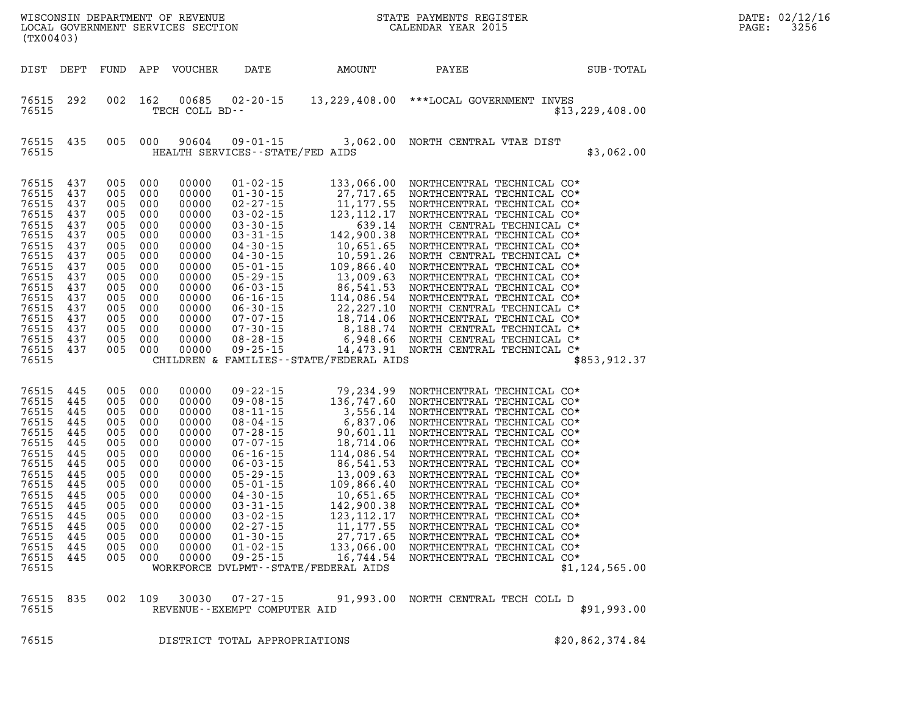| DATE: | 02/12/16 |
|-------|----------|
| PAGE: | 3256     |

| WISCONSIN DEPARTMENT OF REVENUE<br>LOCAL GOVERNMENT SERVICES SECTION FOR THE STATE PAYMENTS REGIST<br>(TY00403)<br>(TX00403)                                   |                                                                                                                     |                                                                                                                     |                                                                                                                     |                                                                                                                                                       |                                                                      |                                                                              | STATE PAYMENTS REGISTER                                                                                                        |                   |
|----------------------------------------------------------------------------------------------------------------------------------------------------------------|---------------------------------------------------------------------------------------------------------------------|---------------------------------------------------------------------------------------------------------------------|---------------------------------------------------------------------------------------------------------------------|-------------------------------------------------------------------------------------------------------------------------------------------------------|----------------------------------------------------------------------|------------------------------------------------------------------------------|--------------------------------------------------------------------------------------------------------------------------------|-------------------|
| DIST                                                                                                                                                           | DEPT                                                                                                                | FUND APP                                                                                                            |                                                                                                                     | VOUCHER                                                                                                                                               | DATE                                                                 | AMOUNT                                                                       | PAYEE                                                                                                                          | SUB-TOTAL         |
| 76515<br>76515                                                                                                                                                 | 292                                                                                                                 | 002                                                                                                                 | 162                                                                                                                 | TECH COLL BD--                                                                                                                                        |                                                                      |                                                                              | 00685  02-20-15  13, 229, 408.00 *** LOCAL GOVERNMENT INVES                                                                    | \$13, 229, 408.00 |
| 76515<br>76515                                                                                                                                                 | 435                                                                                                                 | 005                                                                                                                 | 000                                                                                                                 | 90604                                                                                                                                                 | $09 - 01 - 15$<br>HEALTH SERVICES - - STATE/FED AIDS                 |                                                                              | 3,062.00 NORTH CENTRAL VTAE DIST                                                                                               | \$3,062.00        |
| 76515<br>76515<br>76515<br>76515<br>76515<br>76515<br>76515<br>76515<br>76515<br>76515<br>76515<br>76515<br>76515<br>76515<br>76515<br>76515<br>76515<br>76515 | 437<br>437<br>437<br>437<br>437<br>437<br>437<br>437<br>437<br>437<br>437<br>437<br>437<br>437<br>437<br>437<br>437 | 005<br>005<br>005<br>005<br>005<br>005<br>005<br>005<br>005<br>005<br>005<br>005<br>005<br>005<br>005<br>005<br>005 | 000<br>000<br>000<br>000<br>000<br>000<br>000<br>000<br>000<br>000<br>000<br>000<br>000<br>000<br>000<br>000<br>000 | 00000<br>00000<br>00000<br>00000<br>00000<br>00000<br>00000<br>00000<br>00000<br>00000<br>00000<br>00000<br>00000<br>00000<br>00000<br>00000<br>00000 | $09 - 25 - 15$                                                       | CHILDREN & FAMILIES - - STATE/FEDERAL AIDS                                   | 14,473.91 NORTH CENTRAL TECHNICAL C*                                                                                           | \$853, 912.37     |
| 76515<br>76515<br>76515<br>76515<br>76515<br>76515<br>76515<br>76515<br>76515<br>76515<br>76515<br>76515<br>76515<br>76515<br>76515<br>76515<br>76515<br>76515 | 445<br>445<br>445<br>445<br>445<br>445<br>445<br>445<br>445<br>445<br>445<br>445<br>445<br>445<br>445<br>445<br>445 | 005<br>005<br>005<br>005<br>005<br>005<br>005<br>005<br>005<br>005<br>005<br>005<br>005<br>005<br>005<br>005<br>005 | 000<br>000<br>000<br>000<br>000<br>000<br>000<br>000<br>000<br>000<br>000<br>000<br>000<br>000<br>000<br>000<br>000 | 00000<br>00000<br>00000<br>00000<br>00000<br>00000<br>00000<br>00000<br>00000<br>00000<br>00000<br>00000<br>00000<br>00000<br>00000<br>00000<br>00000 | $02 - 27 - 15$<br>$01 - 30 - 15$<br>$01 - 02 - 15$<br>$09 - 25 - 15$ | 27,717.65<br>133,066.00<br>16,744.54<br>WORKFORCE DVLPMT--STATE/FEDERAL AIDS | 11,177.55 NORTHCENTRAL TECHNICAL CO*<br>NORTHCENTRAL TECHNICAL CO*<br>NORTHCENTRAL TECHNICAL CO*<br>NORTHCENTRAL TECHNICAL CO* | \$1,124,565.00    |
| 76515<br>76515                                                                                                                                                 | 835                                                                                                                 | 002                                                                                                                 | 109                                                                                                                 | 30030                                                                                                                                                 | $07 - 27 - 15$<br>REVENUE--EXEMPT COMPUTER AID                       |                                                                              | 91,993.00 NORTH CENTRAL TECH COLL D                                                                                            | \$91,993.00       |

**76515 DISTRICT TOTAL APPROPRIATIONS \$20,862,374.84**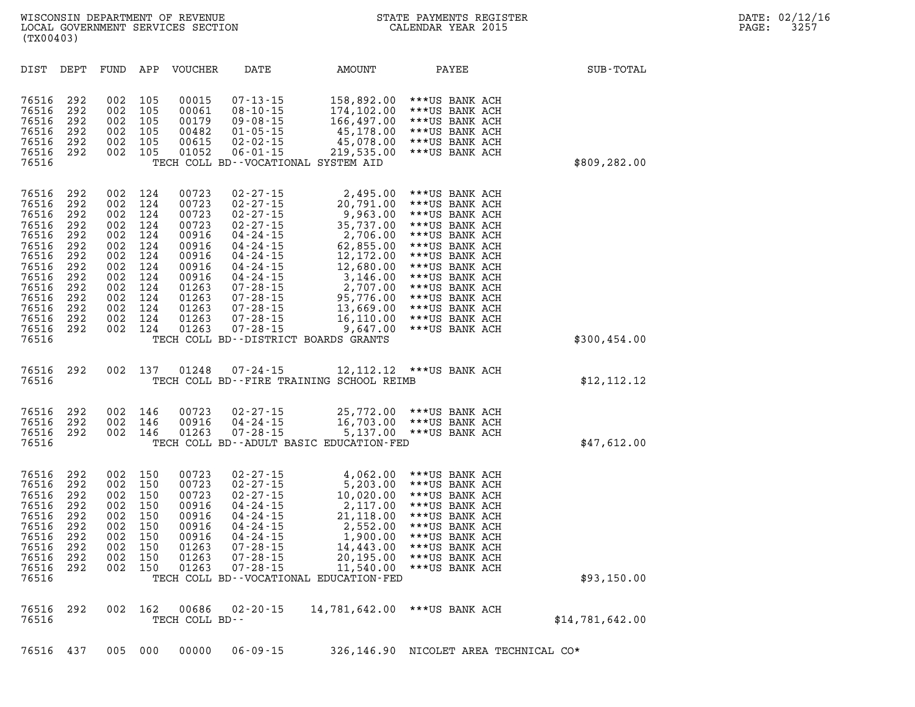| DIST                                                                                                                                | DEPT                                                                                           | FUND                                                                                           | APP                                                                                            | <b>VOUCHER</b>                                                                                                             | DATE                                                                                                                                                                                                                                                 | <b>AMOUNT</b>                                                                                                                                                                                                        | PAYEE                                                                                                                                                                                                                                                    | SUB-TOTAL       |
|-------------------------------------------------------------------------------------------------------------------------------------|------------------------------------------------------------------------------------------------|------------------------------------------------------------------------------------------------|------------------------------------------------------------------------------------------------|----------------------------------------------------------------------------------------------------------------------------|------------------------------------------------------------------------------------------------------------------------------------------------------------------------------------------------------------------------------------------------------|----------------------------------------------------------------------------------------------------------------------------------------------------------------------------------------------------------------------|----------------------------------------------------------------------------------------------------------------------------------------------------------------------------------------------------------------------------------------------------------|-----------------|
| 76516<br>76516<br>76516<br>76516<br>76516<br>76516<br>76516                                                                         | 292<br>292<br>292<br>292<br>292<br>292                                                         | 002<br>002<br>002<br>002<br>002<br>002                                                         | 105<br>105<br>105<br>105<br>105<br>105                                                         | 00015<br>00061<br>00179<br>00482<br>00615<br>01052                                                                         | $07 - 13 - 15$<br>$08 - 10 - 15$<br>$09 - 08 - 15$<br>$01 - 05 - 15$<br>02-02-15<br>$06 - 01 - 15$                                                                                                                                                   | 158,892.00<br>174,102.00<br>166,497.00<br>45,178.00<br>45,078.00<br>219,535.00<br>TECH COLL BD--VOCATIONAL SYSTEM AID                                                                                                | ***US BANK ACH<br>***US BANK ACH<br>***US BANK ACH<br>***US BANK ACH<br>***US BANK ACH<br>***US BANK ACH                                                                                                                                                 | \$809,282.00    |
| 76516<br>76516<br>76516<br>76516<br>76516<br>76516<br>76516<br>76516<br>76516<br>76516<br>76516<br>76516<br>76516<br>76516<br>76516 | 292<br>292<br>292<br>292<br>292<br>292<br>292<br>292<br>292<br>292<br>292<br>292<br>292<br>292 | 002<br>002<br>002<br>002<br>002<br>002<br>002<br>002<br>002<br>002<br>002<br>002<br>002<br>002 | 124<br>124<br>124<br>124<br>124<br>124<br>124<br>124<br>124<br>124<br>124<br>124<br>124<br>124 | 00723<br>00723<br>00723<br>00723<br>00916<br>00916<br>00916<br>00916<br>00916<br>01263<br>01263<br>01263<br>01263<br>01263 | $02 - 27 - 15$<br>$02 - 27 - 15$<br>$02 - 27 - 15$<br>$02 - 27 - 15$<br>04 - 24 - 15<br>$04 - 24 - 15$<br>$04 - 24 - 15$<br>$04 - 24 - 15$<br>04 - 24 - 15<br>$07 - 28 - 15$<br>$07 - 28 - 15$<br>$07 - 28 - 15$<br>$07 - 28 - 15$<br>$07 - 28 - 15$ | 2,495.00<br>20,791.00<br>9,963.00<br>35,737.00<br>2,706.00<br>62,855.00<br>12,172.00<br>12,680.00<br>3,146.00<br>2,707.00<br>95,776.00<br>13,669.00<br>16,110.00<br>9,647.00<br>TECH COLL BD--DISTRICT BOARDS GRANTS | ***US BANK ACH<br>***US BANK ACH<br>***US BANK ACH<br>***US BANK ACH<br>***US BANK ACH<br>***US BANK ACH<br>***US BANK ACH<br>***US BANK ACH<br>***US BANK ACH<br>***US BANK ACH<br>***US BANK ACH<br>***US BANK ACH<br>***US BANK ACH<br>***US BANK ACH | \$300,454.00    |
| 76516<br>76516                                                                                                                      | 292                                                                                            | 002                                                                                            | 137                                                                                            | 01248                                                                                                                      | 07-24-15                                                                                                                                                                                                                                             | 12,112.12<br>TECH COLL BD--FIRE TRAINING SCHOOL REIMB                                                                                                                                                                | ***US BANK ACH                                                                                                                                                                                                                                           | \$12,112.12     |
| 76516<br>76516<br>76516<br>76516                                                                                                    | 292<br>292<br>292                                                                              | 002<br>002<br>002                                                                              | 146<br>146<br>146                                                                              | 00723<br>00916<br>01263                                                                                                    | 02-27-15<br>$04 - 24 - 15$<br>$07 - 28 - 15$                                                                                                                                                                                                         | 25,772.00<br>16,703.00<br>5,137.00<br>TECH COLL BD--ADULT BASIC EDUCATION-FED                                                                                                                                        | ***US BANK ACH<br>***US BANK ACH<br>***US BANK ACH                                                                                                                                                                                                       | \$47,612.00     |
| 76516<br>76516<br>76516<br>76516<br>76516<br>76516<br>76516<br>76516<br>76516<br>76516<br>76516                                     | 292<br>292<br>292<br>292<br>292<br>292<br>292<br>292<br>292<br>292                             | 002<br>002<br>002<br>002<br>002<br>002<br>002<br>002<br>002<br>002                             | 150<br>150<br>150<br>150<br>150<br>150<br>150<br>150<br>150<br>150                             | 00723<br>00723<br>00723<br>00916<br>00916<br>00916<br>00916<br>01263<br>01263<br>01263                                     | $02 - 27 - 15$<br>$02 - 27 - 15$<br>$02 - 27 - 15$<br>$04 - 24 - 15$<br>$04 - 24 - 15$<br>$04 - 24 - 15$<br>$04 - 24 - 15$<br>$07 - 28 - 15$<br>$07 - 28 - 15$<br>$07 - 28 - 15$                                                                     | 4,062.00<br>5,203.00<br>10,020.00<br>2,117.00<br>21,118.00<br>2,552.00<br>1,900.00<br>14,443.00<br>20,195.00<br>11,540.00<br>TECH COLL BD--VOCATIONAL EDUCATION-FED                                                  | ***US BANK ACH<br>***US BANK ACH<br>***US BANK ACH<br>***US BANK ACH<br>***US BANK ACH<br>***US BANK ACH<br>***US BANK ACH<br>***US BANK ACH<br>***US BANK ACH<br>***US BANK ACH                                                                         | \$93,150.00     |
| 76516<br>76516                                                                                                                      | 292                                                                                            | 002                                                                                            | 162                                                                                            | 00686<br>TECH COLL BD--                                                                                                    | $02 - 20 - 15$                                                                                                                                                                                                                                       | 14,781,642.00                                                                                                                                                                                                        | ***US BANK ACH                                                                                                                                                                                                                                           | \$14,781,642.00 |
| 76516                                                                                                                               | 437                                                                                            | 005                                                                                            | 000                                                                                            | 00000                                                                                                                      | $06 - 09 - 15$                                                                                                                                                                                                                                       | 326,146.90                                                                                                                                                                                                           | NICOLET AREA TECHNICAL CO*                                                                                                                                                                                                                               |                 |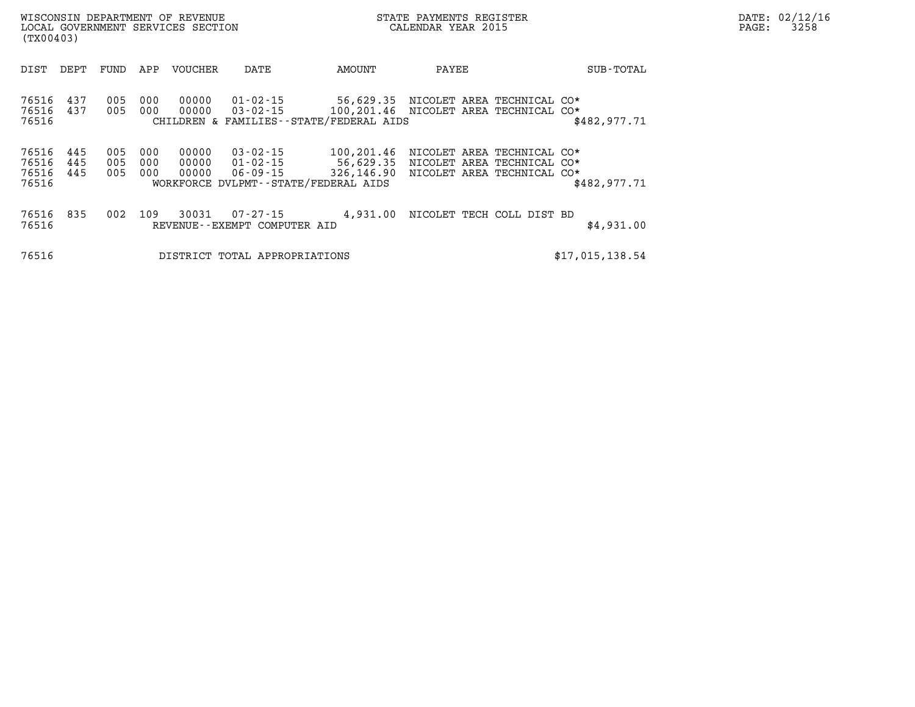| WISCONSIN DEPARTMENT OF REVENUE<br>(TX00403)                        | LOCAL GOVERNMENT SERVICES SECTION                                                                                | STATE PAYMENTS REGISTER<br>CALENDAR YEAR 2015                                                              |                                            | DATE: 02/12/16<br>3258<br>$\mathtt{PAGE:}$ |
|---------------------------------------------------------------------|------------------------------------------------------------------------------------------------------------------|------------------------------------------------------------------------------------------------------------|--------------------------------------------|--------------------------------------------|
| DEPT<br>FUND<br>DIST                                                | VOUCHER<br>APP<br>DATE                                                                                           | PAYEE<br>AMOUNT                                                                                            | SUB-TOTAL                                  |                                            |
| 76516<br>437<br>005<br>76516<br>437<br>76516                        | 00000<br>000<br>005 000<br>00000<br>CHILDREN & FAMILIES--STATE/FEDERAL AIDS                                      | 01-02-15 56,629.35 NICOLET AREA TECHNICAL CO*<br>$03 - 02 - 15$ 100, 201.46 NICOLET AREA TECHNICAL CO*     | \$482,977.71                               |                                            |
| 445<br>76516<br>005<br>76516<br>445<br>76516<br>445<br>005<br>76516 | 00000<br>03-02-15<br>000<br>005 000<br>00000<br>00000<br>000<br>06-09-15<br>WORKFORCE DVLPMT--STATE/FEDERAL AIDS | 100,201.46<br>$01 - 02 - 15$ 56,629.35 NICOLET AREA TECHNICAL CO*<br>326,146.90 NICOLET AREA TECHNICAL CO* | NICOLET AREA TECHNICAL CO*<br>\$482,977.71 |                                            |
| 76516 835<br>002<br>76516                                           | 30031<br>109<br>07-27-15<br>REVENUE--EXEMPT COMPUTER AID                                                         | 4,931.00 NICOLET TECH COLL DIST BD                                                                         | \$4,931.00                                 |                                            |
| 76516                                                               | DISTRICT TOTAL APPROPRIATIONS                                                                                    |                                                                                                            | \$17,015,138.54                            |                                            |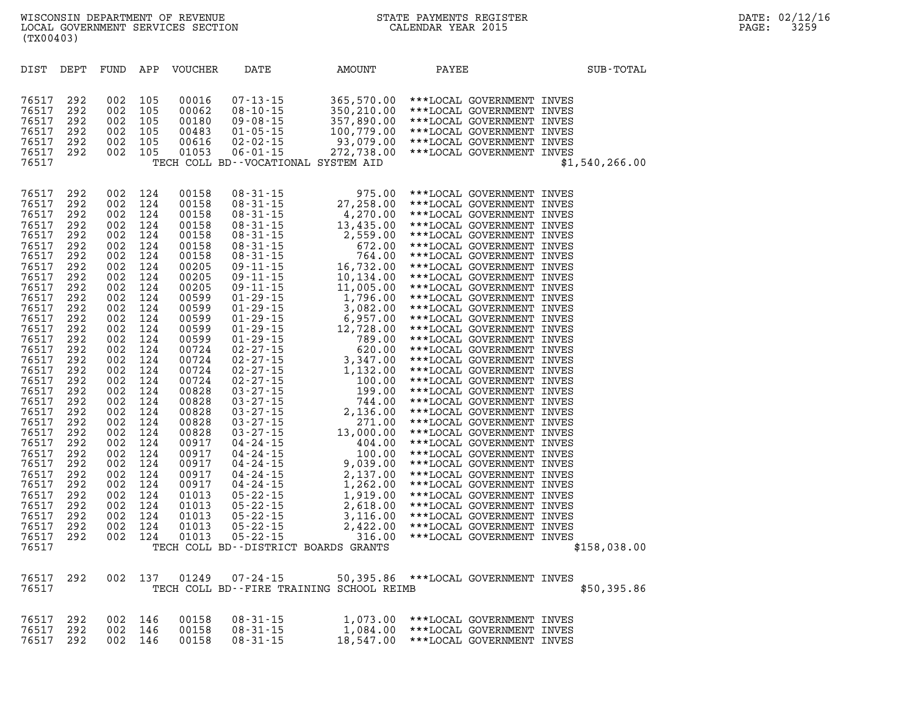| 76517 | 292 | 002 | 105 |       |                                                                |                                                                                                                                                                                                                                                                                                                                           |                                     |                |
|-------|-----|-----|-----|-------|----------------------------------------------------------------|-------------------------------------------------------------------------------------------------------------------------------------------------------------------------------------------------------------------------------------------------------------------------------------------------------------------------------------------|-------------------------------------|----------------|
| 76517 | 292 | 002 | 105 |       |                                                                |                                                                                                                                                                                                                                                                                                                                           |                                     |                |
| 76517 | 292 | 002 | 105 |       |                                                                |                                                                                                                                                                                                                                                                                                                                           |                                     |                |
| 76517 |     |     |     |       |                                                                |                                                                                                                                                                                                                                                                                                                                           |                                     | \$1,540,266.00 |
|       |     |     |     |       |                                                                |                                                                                                                                                                                                                                                                                                                                           |                                     |                |
|       |     |     |     |       |                                                                |                                                                                                                                                                                                                                                                                                                                           |                                     |                |
| 76517 | 292 | 002 | 124 | 00158 |                                                                |                                                                                                                                                                                                                                                                                                                                           | 975.00 ***LOCAL GOVERNMENT INVES    |                |
| 76517 | 292 | 002 | 124 | 00158 |                                                                |                                                                                                                                                                                                                                                                                                                                           | ***LOCAL GOVERNMENT INVES           |                |
| 76517 | 292 | 002 | 124 | 00158 |                                                                |                                                                                                                                                                                                                                                                                                                                           | ***LOCAL GOVERNMENT INVES           |                |
| 76517 | 292 | 002 | 124 | 00158 |                                                                |                                                                                                                                                                                                                                                                                                                                           | ***LOCAL GOVERNMENT INVES           |                |
| 76517 | 292 | 002 | 124 | 00158 |                                                                |                                                                                                                                                                                                                                                                                                                                           | ***LOCAL GOVERNMENT INVES           |                |
| 76517 | 292 | 002 | 124 | 00158 |                                                                |                                                                                                                                                                                                                                                                                                                                           | ***LOCAL GOVERNMENT INVES           |                |
| 76517 | 292 | 002 | 124 | 00158 |                                                                |                                                                                                                                                                                                                                                                                                                                           | ***LOCAL GOVERNMENT INVES           |                |
| 76517 | 292 | 002 | 124 | 00205 |                                                                |                                                                                                                                                                                                                                                                                                                                           | ***LOCAL GOVERNMENT INVES           |                |
| 76517 |     | 002 |     | 00205 |                                                                |                                                                                                                                                                                                                                                                                                                                           |                                     |                |
|       | 292 |     | 124 |       |                                                                |                                                                                                                                                                                                                                                                                                                                           | ***LOCAL GOVERNMENT INVES           |                |
| 76517 | 292 | 002 | 124 | 00205 |                                                                |                                                                                                                                                                                                                                                                                                                                           | ***LOCAL GOVERNMENT INVES           |                |
| 76517 | 292 | 002 | 124 | 00599 |                                                                |                                                                                                                                                                                                                                                                                                                                           | ***LOCAL GOVERNMENT INVES           |                |
| 76517 | 292 | 002 | 124 | 00599 |                                                                |                                                                                                                                                                                                                                                                                                                                           | ***LOCAL GOVERNMENT INVES           |                |
| 76517 | 292 | 002 | 124 | 00599 |                                                                |                                                                                                                                                                                                                                                                                                                                           | ***LOCAL GOVERNMENT INVES           |                |
| 76517 | 292 | 002 | 124 | 00599 |                                                                |                                                                                                                                                                                                                                                                                                                                           | ***LOCAL GOVERNMENT INVES           |                |
| 76517 | 292 | 002 | 124 | 00599 |                                                                |                                                                                                                                                                                                                                                                                                                                           | ***LOCAL GOVERNMENT INVES           |                |
| 76517 | 292 | 002 | 124 | 00724 |                                                                |                                                                                                                                                                                                                                                                                                                                           | ***LOCAL GOVERNMENT INVES           |                |
| 76517 | 292 | 002 | 124 | 00724 |                                                                |                                                                                                                                                                                                                                                                                                                                           | ***LOCAL GOVERNMENT INVES           |                |
| 76517 | 292 | 002 | 124 | 00724 |                                                                |                                                                                                                                                                                                                                                                                                                                           | ***LOCAL GOVERNMENT INVES           |                |
| 76517 | 292 | 002 | 124 | 00724 |                                                                |                                                                                                                                                                                                                                                                                                                                           | ***LOCAL GOVERNMENT INVES           |                |
| 76517 | 292 | 002 | 124 | 00828 |                                                                |                                                                                                                                                                                                                                                                                                                                           | ***LOCAL GOVERNMENT INVES           |                |
| 76517 | 292 | 002 | 124 | 00828 |                                                                |                                                                                                                                                                                                                                                                                                                                           | ***LOCAL GOVERNMENT INVES           |                |
| 76517 | 292 | 002 | 124 | 00828 |                                                                |                                                                                                                                                                                                                                                                                                                                           | ***LOCAL GOVERNMENT INVES           |                |
| 76517 | 292 | 002 | 124 | 00828 |                                                                |                                                                                                                                                                                                                                                                                                                                           | ***LOCAL GOVERNMENT INVES           |                |
| 76517 | 292 | 002 | 124 | 00828 |                                                                |                                                                                                                                                                                                                                                                                                                                           | ***LOCAL GOVERNMENT INVES           |                |
| 76517 | 292 | 002 | 124 | 00917 |                                                                |                                                                                                                                                                                                                                                                                                                                           | ***LOCAL GOVERNMENT INVES           |                |
| 76517 | 292 | 002 | 124 | 00917 |                                                                |                                                                                                                                                                                                                                                                                                                                           | ***LOCAL GOVERNMENT INVES           |                |
| 76517 | 292 | 002 | 124 | 00917 |                                                                |                                                                                                                                                                                                                                                                                                                                           | ***LOCAL GOVERNMENT INVES           |                |
| 76517 | 292 | 002 | 124 | 00917 |                                                                |                                                                                                                                                                                                                                                                                                                                           | ***LOCAL GOVERNMENT INVES           |                |
| 76517 | 292 | 002 | 124 | 00917 |                                                                |                                                                                                                                                                                                                                                                                                                                           | ***LOCAL GOVERNMENT INVES           |                |
| 76517 | 292 | 002 | 124 | 01013 |                                                                |                                                                                                                                                                                                                                                                                                                                           | ***LOCAL GOVERNMENT INVES           |                |
| 76517 | 292 | 002 | 124 | 01013 |                                                                |                                                                                                                                                                                                                                                                                                                                           | ***LOCAL GOVERNMENT INVES           |                |
| 76517 | 292 | 002 | 124 | 01013 |                                                                |                                                                                                                                                                                                                                                                                                                                           | ***LOCAL GOVERNMENT INVES           |                |
| 76517 | 292 | 002 | 124 | 01013 |                                                                |                                                                                                                                                                                                                                                                                                                                           | ***LOCAL GOVERNMENT INVES           |                |
| 76517 | 292 | 002 | 124 | 01013 |                                                                |                                                                                                                                                                                                                                                                                                                                           | ***LOCAL GOVERNMENT INVES           |                |
| 76517 |     |     |     |       | TECH COLL BD--DISTRICT BOARDS GRANTS                           |                                                                                                                                                                                                                                                                                                                                           |                                     | \$158,038.00   |
|       |     |     |     |       |                                                                | $\begin{array}{cccc} 08\text{-}31\text{-}15 & 975.00 \\ 08\text{-}31\text{-}15 & 27,258.00 \\ 08\text{-}31\text{-}15 & 4,270.00 \\ 08\text{-}31\text{-}15 & 13,435.00 \\ 08\text{-}31\text{-}15 & 2,559.00 \\ 08\text{-}31\text{-}15 & 672.00 \\ 08\text{-}31\text{-}15 & 672.00 \\ 08\text{-}31\text{-}15 & 674.00 \\ 09\text{-}11\text$ |                                     |                |
|       |     |     |     |       |                                                                |                                                                                                                                                                                                                                                                                                                                           |                                     |                |
| 76517 | 292 | 002 | 137 | 01249 | $07 - 24 - 15$                                                 |                                                                                                                                                                                                                                                                                                                                           | 50,395.86 ***LOCAL GOVERNMENT INVES |                |
| 76517 |     |     |     |       | TECH COLL BD--FIRE TRAINING SCHOOL REIMB                       |                                                                                                                                                                                                                                                                                                                                           |                                     | \$50,395.86    |
| 76517 | 292 | 002 | 146 | 00158 |                                                                |                                                                                                                                                                                                                                                                                                                                           |                                     |                |
| 76517 | 292 | 002 | 146 | 00158 |                                                                | 1,073.00 ***LOCAL GOVERNMENT INVES<br>1,084.00 ***LOCAL GOVERNMENT INVES                                                                                                                                                                                                                                                                  |                                     |                |
| 76517 | 292 | 002 | 146 | 00158 | 08 - 31 - 15<br>08 - 31 - 15<br>09 - 31 - 15<br>$08 - 31 - 15$ | 18,547.00                                                                                                                                                                                                                                                                                                                                 | ***LOCAL GOVERNMENT INVES           |                |
|       |     |     |     |       |                                                                |                                                                                                                                                                                                                                                                                                                                           |                                     |                |

**76517 292 002 105 00016 07-13-15 365,570.00 \*\*\*LOCAL GOVERNMENT INVES 76517 292 002 105 00062 08-10-15 350,210.00 \*\*\*LOCAL GOVERNMENT INVES 76517 292 002 105 00180 09-08-15 357,890.00 \*\*\*LOCAL GOVERNMENT INVES** 

| WISCONSIN DEPARTMENT OF REVENUE<br>LOCAL GOVERNMENT SERVICES SECTION<br>(TX00403) |      |      |     |         |      |        | STATE PAYMENTS REGISTER<br>CALENDAR YEAR 2015 |           | PAGE: | DATE: 02/12/16<br>3259 |
|-----------------------------------------------------------------------------------|------|------|-----|---------|------|--------|-----------------------------------------------|-----------|-------|------------------------|
| DIST                                                                              | DEPT | FUND | APP | VOUCHER | DATE | AMOUNT | PAYEE                                         | SUB-TOTAL |       |                        |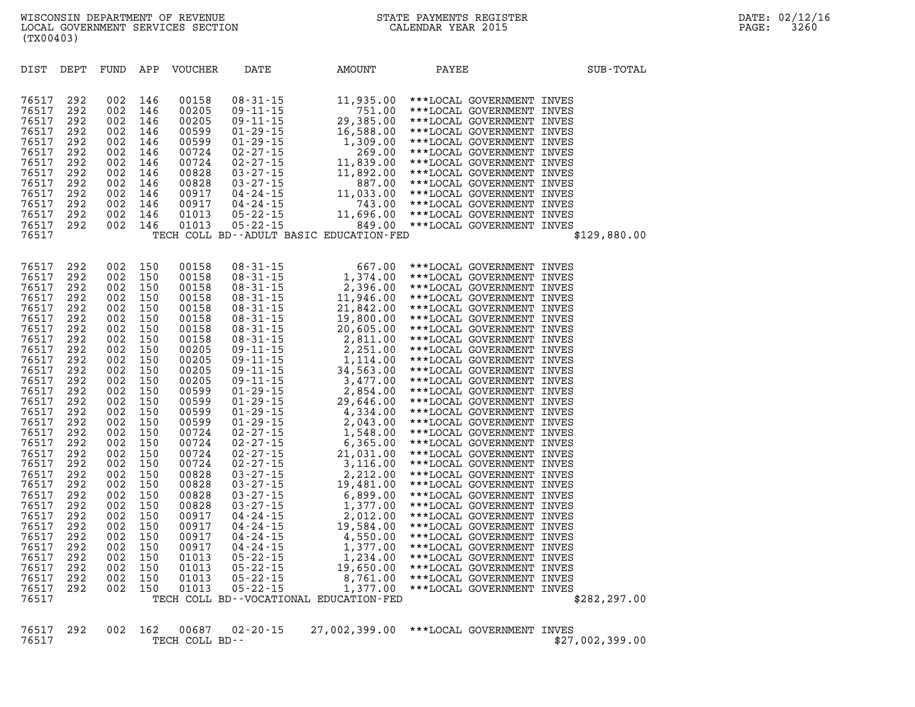|  | STATE PAYMENTS REGISTER |
|--|-------------------------|
|  | CALENDAR YEAR 2015      |

**(TX00403) DIST DEPT FUND APP VOUCHER DATE AMOUNT PAYEE SUB-TOTAL 76517 292 002 146 00158 08-31-15 11,935.00 \*\*\*LOCAL GOVERNMENT INVES 76517 292 002 146 00205 09-11-15 751.00 \*\*\*LOCAL GOVERNMENT INVES 76517 292 002 146 00205 09-11-15 29,385.00 \*\*\*LOCAL GOVERNMENT INVES 76517 292 002 146 00599 01-29-15 16,588.00 \*\*\*LOCAL GOVERNMENT INVES 76517 292 002 146 00599 01-29-15 1,309.00 \*\*\*LOCAL GOVERNMENT INVES 76517 292 002 146 00724 02-27-15 269.00 \*\*\*LOCAL GOVERNMENT INVES 76517 292 002 146 00724 02-27-15 11,839.00 \*\*\*LOCAL GOVERNMENT INVES 76517 292 002 146 00828 03-27-15 11,892.00 \*\*\*LOCAL GOVERNMENT INVES 76517 292 002 146 00828 03-27-15 887.00 \*\*\*LOCAL GOVERNMENT INVES** 

| 76517<br>76517<br>76517<br>76517<br>76517<br>76517<br>76517<br>76517<br>76517<br>76517<br>76517<br>76517<br>76517<br>76517<br>76517<br>76517<br>76517<br>76517<br>76517<br>76517<br>76517<br>76517<br>76517 | 292<br>292<br>292<br>292<br>292<br>292<br>292<br>292<br>292<br>292<br>292<br>292<br>292<br>292<br>292<br>292<br>292<br>292<br>292<br>292<br>292<br>292<br>292 | 002<br>002<br>002<br>002<br>002<br>002<br>002<br>002<br>002<br>002<br>002<br>002<br>002<br>002<br>002<br>002<br>002<br>002<br>002<br>002<br>002<br>002<br>002 | 150<br>150<br>150<br>150<br>150<br>150<br>150<br>150<br>150<br>150<br>150<br>150<br>150<br>150<br>150<br>150<br>150<br>150<br>150<br>150<br>150<br>150<br>150 | 00158<br>00158<br>00158<br>00158<br>00158<br>00158<br>00158<br>00158<br>00205<br>00205<br>00205<br>00205<br>00599<br>00599<br>00599<br>00599<br>00724<br>00724<br>00724<br>00724<br>00828<br>00828<br>00828 | $08 - 31 - 15$<br>$08 - 31 - 15$<br>$08 - 31 - 15$<br>$08 - 31 - 15$<br>$08 - 31 - 15$<br>$08 - 31 - 15$<br>$08 - 31 - 15$<br>$08 - 31 - 15$<br>$09 - 11 - 15$<br>$09 - 11 - 15$<br>$09 - 11 - 15$<br>$09 - 11 - 15$<br>$01 - 29 - 15$<br>$01 - 29 - 15$<br>$01 - 29 - 15$<br>$01 - 29 - 15$<br>$02 - 27 - 15$<br>$02 - 27 - 15$<br>$02 - 27 - 15$<br>$02 - 27 - 15$<br>$03 - 27 - 15$<br>$03 - 27 - 15$<br>$03 - 27 - 15$ | 667.00<br>1,374.00<br>2,396.00<br>11,946.00<br>21,842.00<br>19,800.00<br>20,605.00<br>2,811.00<br>2,251.00<br>1,114.00<br>34,563.00<br>3,477.00<br>2,854.00<br>29,646.00<br>4,334.00<br>2,043.00<br>1,548.00<br>6,365.00<br>21,031.00<br>3,116.00<br>2,212.00<br>19,481.00<br>6,899.00 | ***LOCAL GOVERNMENT INVES<br>***LOCAL GOVERNMENT<br>***LOCAL GOVERNMENT<br>***LOCAL GOVERNMENT<br>***LOCAL GOVERNMENT<br>***LOCAL GOVERNMENT<br>***LOCAL GOVERNMENT<br>***LOCAL GOVERNMENT<br>***LOCAL GOVERNMENT<br>***LOCAL GOVERNMENT<br>***LOCAL GOVERNMENT<br>***LOCAL GOVERNMENT<br>***LOCAL GOVERNMENT<br>***LOCAL GOVERNMENT<br>***LOCAL GOVERNMENT<br>***LOCAL GOVERNMENT<br>***LOCAL GOVERNMENT<br>***LOCAL GOVERNMENT<br>***LOCAL GOVERNMENT<br>***LOCAL GOVERNMENT<br>***LOCAL GOVERNMENT<br>***LOCAL GOVERNMENT<br>***LOCAL GOVERNMENT | INVES<br>INVES<br>INVES<br>INVES<br>INVES<br>INVES<br>INVES<br>INVES<br>INVES<br>INVES<br>INVES<br>INVES<br>INVES<br>INVES<br>INVES<br>INVES<br>INVES<br>INVES<br>INVES<br>INVES<br>INVES<br>INVES |
|-------------------------------------------------------------------------------------------------------------------------------------------------------------------------------------------------------------|---------------------------------------------------------------------------------------------------------------------------------------------------------------|---------------------------------------------------------------------------------------------------------------------------------------------------------------|---------------------------------------------------------------------------------------------------------------------------------------------------------------|-------------------------------------------------------------------------------------------------------------------------------------------------------------------------------------------------------------|----------------------------------------------------------------------------------------------------------------------------------------------------------------------------------------------------------------------------------------------------------------------------------------------------------------------------------------------------------------------------------------------------------------------------|----------------------------------------------------------------------------------------------------------------------------------------------------------------------------------------------------------------------------------------------------------------------------------------|-----------------------------------------------------------------------------------------------------------------------------------------------------------------------------------------------------------------------------------------------------------------------------------------------------------------------------------------------------------------------------------------------------------------------------------------------------------------------------------------------------------------------------------------------------|----------------------------------------------------------------------------------------------------------------------------------------------------------------------------------------------------|
|                                                                                                                                                                                                             |                                                                                                                                                               |                                                                                                                                                               |                                                                                                                                                               |                                                                                                                                                                                                             |                                                                                                                                                                                                                                                                                                                                                                                                                            |                                                                                                                                                                                                                                                                                        |                                                                                                                                                                                                                                                                                                                                                                                                                                                                                                                                                     |                                                                                                                                                                                                    |
|                                                                                                                                                                                                             |                                                                                                                                                               |                                                                                                                                                               |                                                                                                                                                               |                                                                                                                                                                                                             |                                                                                                                                                                                                                                                                                                                                                                                                                            |                                                                                                                                                                                                                                                                                        |                                                                                                                                                                                                                                                                                                                                                                                                                                                                                                                                                     |                                                                                                                                                                                                    |
|                                                                                                                                                                                                             |                                                                                                                                                               |                                                                                                                                                               |                                                                                                                                                               |                                                                                                                                                                                                             |                                                                                                                                                                                                                                                                                                                                                                                                                            |                                                                                                                                                                                                                                                                                        |                                                                                                                                                                                                                                                                                                                                                                                                                                                                                                                                                     |                                                                                                                                                                                                    |
|                                                                                                                                                                                                             |                                                                                                                                                               |                                                                                                                                                               |                                                                                                                                                               |                                                                                                                                                                                                             |                                                                                                                                                                                                                                                                                                                                                                                                                            |                                                                                                                                                                                                                                                                                        |                                                                                                                                                                                                                                                                                                                                                                                                                                                                                                                                                     |                                                                                                                                                                                                    |
|                                                                                                                                                                                                             |                                                                                                                                                               |                                                                                                                                                               |                                                                                                                                                               |                                                                                                                                                                                                             |                                                                                                                                                                                                                                                                                                                                                                                                                            |                                                                                                                                                                                                                                                                                        |                                                                                                                                                                                                                                                                                                                                                                                                                                                                                                                                                     |                                                                                                                                                                                                    |
|                                                                                                                                                                                                             |                                                                                                                                                               |                                                                                                                                                               |                                                                                                                                                               |                                                                                                                                                                                                             |                                                                                                                                                                                                                                                                                                                                                                                                                            |                                                                                                                                                                                                                                                                                        |                                                                                                                                                                                                                                                                                                                                                                                                                                                                                                                                                     |                                                                                                                                                                                                    |
|                                                                                                                                                                                                             |                                                                                                                                                               |                                                                                                                                                               |                                                                                                                                                               |                                                                                                                                                                                                             |                                                                                                                                                                                                                                                                                                                                                                                                                            |                                                                                                                                                                                                                                                                                        |                                                                                                                                                                                                                                                                                                                                                                                                                                                                                                                                                     |                                                                                                                                                                                                    |
|                                                                                                                                                                                                             |                                                                                                                                                               |                                                                                                                                                               |                                                                                                                                                               |                                                                                                                                                                                                             |                                                                                                                                                                                                                                                                                                                                                                                                                            |                                                                                                                                                                                                                                                                                        |                                                                                                                                                                                                                                                                                                                                                                                                                                                                                                                                                     |                                                                                                                                                                                                    |
|                                                                                                                                                                                                             |                                                                                                                                                               |                                                                                                                                                               |                                                                                                                                                               |                                                                                                                                                                                                             |                                                                                                                                                                                                                                                                                                                                                                                                                            |                                                                                                                                                                                                                                                                                        |                                                                                                                                                                                                                                                                                                                                                                                                                                                                                                                                                     |                                                                                                                                                                                                    |
|                                                                                                                                                                                                             |                                                                                                                                                               |                                                                                                                                                               |                                                                                                                                                               |                                                                                                                                                                                                             |                                                                                                                                                                                                                                                                                                                                                                                                                            |                                                                                                                                                                                                                                                                                        |                                                                                                                                                                                                                                                                                                                                                                                                                                                                                                                                                     |                                                                                                                                                                                                    |
|                                                                                                                                                                                                             |                                                                                                                                                               |                                                                                                                                                               |                                                                                                                                                               |                                                                                                                                                                                                             |                                                                                                                                                                                                                                                                                                                                                                                                                            |                                                                                                                                                                                                                                                                                        |                                                                                                                                                                                                                                                                                                                                                                                                                                                                                                                                                     |                                                                                                                                                                                                    |
|                                                                                                                                                                                                             |                                                                                                                                                               |                                                                                                                                                               |                                                                                                                                                               |                                                                                                                                                                                                             |                                                                                                                                                                                                                                                                                                                                                                                                                            |                                                                                                                                                                                                                                                                                        |                                                                                                                                                                                                                                                                                                                                                                                                                                                                                                                                                     |                                                                                                                                                                                                    |
| 76517                                                                                                                                                                                                       | 292                                                                                                                                                           | 002                                                                                                                                                           | 150                                                                                                                                                           | 00828                                                                                                                                                                                                       | $03 - 27 - 15$                                                                                                                                                                                                                                                                                                                                                                                                             | 1,377.00                                                                                                                                                                                                                                                                               | ***LOCAL GOVERNMENT                                                                                                                                                                                                                                                                                                                                                                                                                                                                                                                                 | INVES                                                                                                                                                                                              |
| 76517                                                                                                                                                                                                       | 292                                                                                                                                                           | 002                                                                                                                                                           | 150                                                                                                                                                           | 00917                                                                                                                                                                                                       | $04 - 24 - 15$                                                                                                                                                                                                                                                                                                                                                                                                             | 2,012.00                                                                                                                                                                                                                                                                               | ***LOCAL GOVERNMENT                                                                                                                                                                                                                                                                                                                                                                                                                                                                                                                                 | INVES                                                                                                                                                                                              |
| 76517                                                                                                                                                                                                       | 292                                                                                                                                                           | 002                                                                                                                                                           | 150                                                                                                                                                           | 00917                                                                                                                                                                                                       | $04 - 24 - 15$                                                                                                                                                                                                                                                                                                                                                                                                             | 19,584.00                                                                                                                                                                                                                                                                              | ***LOCAL GOVERNMENT                                                                                                                                                                                                                                                                                                                                                                                                                                                                                                                                 | INVES                                                                                                                                                                                              |
| 76517                                                                                                                                                                                                       | 292                                                                                                                                                           | 002                                                                                                                                                           | 150                                                                                                                                                           | 00917                                                                                                                                                                                                       | $04 - 24 - 15$                                                                                                                                                                                                                                                                                                                                                                                                             | 4,550.00                                                                                                                                                                                                                                                                               | ***LOCAL GOVERNMENT                                                                                                                                                                                                                                                                                                                                                                                                                                                                                                                                 | INVES                                                                                                                                                                                              |
| 76517                                                                                                                                                                                                       | 292                                                                                                                                                           | 002                                                                                                                                                           | 150                                                                                                                                                           | 00917                                                                                                                                                                                                       | $04 - 24 - 15$                                                                                                                                                                                                                                                                                                                                                                                                             | 1,377.00                                                                                                                                                                                                                                                                               | ***LOCAL GOVERNMENT                                                                                                                                                                                                                                                                                                                                                                                                                                                                                                                                 | INVES                                                                                                                                                                                              |
| 76517                                                                                                                                                                                                       | 292                                                                                                                                                           | 002                                                                                                                                                           | 150                                                                                                                                                           | 01013                                                                                                                                                                                                       | $05 - 22 - 15$                                                                                                                                                                                                                                                                                                                                                                                                             | 1,234.00                                                                                                                                                                                                                                                                               | ***LOCAL GOVERNMENT                                                                                                                                                                                                                                                                                                                                                                                                                                                                                                                                 | INVES                                                                                                                                                                                              |
| 76517                                                                                                                                                                                                       | 292                                                                                                                                                           | 002                                                                                                                                                           | 150                                                                                                                                                           | 01013                                                                                                                                                                                                       | $05 - 22 - 15$                                                                                                                                                                                                                                                                                                                                                                                                             | 19,650.00                                                                                                                                                                                                                                                                              | ***LOCAL GOVERNMENT                                                                                                                                                                                                                                                                                                                                                                                                                                                                                                                                 | INVES                                                                                                                                                                                              |
| 76517                                                                                                                                                                                                       | 292                                                                                                                                                           | 002                                                                                                                                                           | 150                                                                                                                                                           | 01013                                                                                                                                                                                                       | $05 - 22 - 15$                                                                                                                                                                                                                                                                                                                                                                                                             | 8,761.00                                                                                                                                                                                                                                                                               | ***LOCAL GOVERNMENT                                                                                                                                                                                                                                                                                                                                                                                                                                                                                                                                 | INVES                                                                                                                                                                                              |
| 76517                                                                                                                                                                                                       | 292                                                                                                                                                           | 002                                                                                                                                                           | 150                                                                                                                                                           | 01013                                                                                                                                                                                                       | $05 - 22 - 15$                                                                                                                                                                                                                                                                                                                                                                                                             | 1,377.00                                                                                                                                                                                                                                                                               | ***LOCAL GOVERNMENT                                                                                                                                                                                                                                                                                                                                                                                                                                                                                                                                 | INVES                                                                                                                                                                                              |
| 76517                                                                                                                                                                                                       |                                                                                                                                                               |                                                                                                                                                               |                                                                                                                                                               |                                                                                                                                                                                                             | TECH COLL BD--VOCATIONAL EDUCATION-FED                                                                                                                                                                                                                                                                                                                                                                                     |                                                                                                                                                                                                                                                                                        |                                                                                                                                                                                                                                                                                                                                                                                                                                                                                                                                                     | \$282, 297.00                                                                                                                                                                                      |
|                                                                                                                                                                                                             |                                                                                                                                                               |                                                                                                                                                               |                                                                                                                                                               |                                                                                                                                                                                                             |                                                                                                                                                                                                                                                                                                                                                                                                                            |                                                                                                                                                                                                                                                                                        |                                                                                                                                                                                                                                                                                                                                                                                                                                                                                                                                                     |                                                                                                                                                                                                    |

**76517 292 002 146 00917 04-24-15 11,033.00 \*\*\*LOCAL GOVERNMENT INVES 76517 292 002 146 00917 04-24-15 743.00 \*\*\*LOCAL GOVERNMENT INVES 76517 292 002 146 01013 05-22-15 11,696.00 \*\*\*LOCAL GOVERNMENT INVES** 

**76517 TECH COLL BD--ADULT BASIC EDUCATION-FED \$129,880.00** 

**76517 292 002 146 01013 05-22-15 849.00 \*\*\*LOCAL GOVERNMENT INVES** 

|       |  |                | 76517 292 002 162 00687 02–20–15 27,002,399.00 ***LOCAL GOVERNMENT INVES |  |                 |  |
|-------|--|----------------|--------------------------------------------------------------------------|--|-----------------|--|
| 76517 |  | TECH COLL BD-- |                                                                          |  | \$27,002,399.00 |  |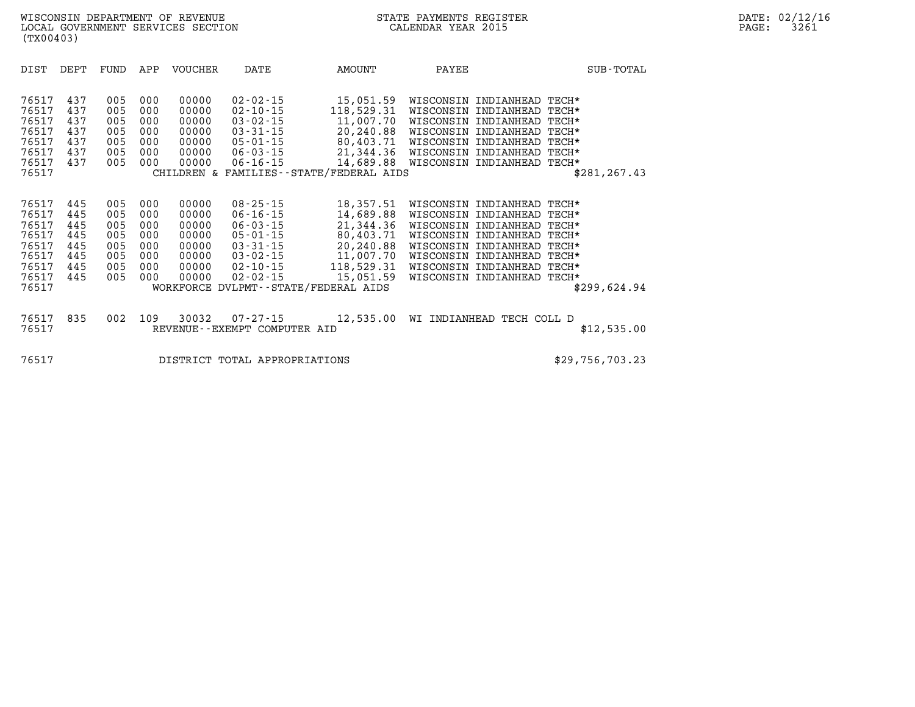| DIST                                                                          | DEPT                                                 | FUND                                                 | APP                                                  | <b>VOUCHER</b>                                                       | DATE                                                                                                                                         | AMOUNT                                                                                                                                        | PAYEE                                                                      |                                                                                                                                            | SUB-TOTAL                                                                            |
|-------------------------------------------------------------------------------|------------------------------------------------------|------------------------------------------------------|------------------------------------------------------|----------------------------------------------------------------------|----------------------------------------------------------------------------------------------------------------------------------------------|-----------------------------------------------------------------------------------------------------------------------------------------------|----------------------------------------------------------------------------|--------------------------------------------------------------------------------------------------------------------------------------------|--------------------------------------------------------------------------------------|
| 76517<br>76517<br>76517<br>76517<br>76517<br>76517<br>76517<br>76517          | 437<br>437<br>437<br>437<br>437<br>437<br>437        | 005<br>005<br>005<br>005<br>005<br>005<br>005        | 000<br>000<br>000<br>000<br>000<br>000<br>000        | 00000<br>00000<br>00000<br>00000<br>00000<br>00000<br>00000          | $02 - 02 - 15$<br>$02 - 10 - 15$<br>$03 - 02 - 15$<br>$03 - 31 - 15$<br>$05 - 01 - 15$<br>$06 - 03 - 15$<br>$06 - 16 - 15$                   | 15,051.59<br>118,529.31<br>11,007.70<br>20,240.88<br>80,403.71<br>21,344.36<br>14,689.88<br>CHILDREN & FAMILIES - - STATE/FEDERAL AIDS        | WISCONSIN<br>WISCONSIN<br>WISCONSIN<br>WISCONSIN<br>WISCONSIN<br>WISCONSIN | INDIANHEAD<br>INDIANHEAD<br>INDIANHEAD<br>INDIANHEAD<br>INDIANHEAD<br>INDIANHEAD<br>WISCONSIN INDIANHEAD                                   | TECH*<br>TECH*<br>TECH*<br>TECH*<br>TECH*<br>TECH*<br>TECH*<br>\$281, 267.43         |
| 76517<br>76517<br>76517<br>76517<br>76517<br>76517<br>76517<br>76517<br>76517 | 445<br>445<br>445<br>445<br>445<br>445<br>445<br>445 | 005<br>005<br>005<br>005<br>005<br>005<br>005<br>005 | 000<br>000<br>000<br>000<br>000<br>000<br>000<br>000 | 00000<br>00000<br>00000<br>00000<br>00000<br>00000<br>00000<br>00000 | $08 - 25 - 15$<br>$06 - 16 - 15$<br>$06 - 03 - 15$<br>$05 - 01 - 15$<br>$03 - 31 - 15$<br>$03 - 02 - 15$<br>$02 - 10 - 15$<br>$02 - 02 - 15$ | 18,357.51<br>14,689.88<br>21,344.36<br>80,403.71<br>20,240.88<br>11,007.70<br>118,529.31<br>15,051.59<br>WORKFORCE DVLPMT--STATE/FEDERAL AIDS | WISCONSIN<br>WISCONSIN<br>WISCONSIN<br>WISCONSIN<br>WISCONSIN              | INDIANHEAD<br>INDIANHEAD<br>INDIANHEAD<br>INDIANHEAD<br>WISCONSIN INDIANHEAD<br>INDIANHEAD<br>WISCONSIN INDIANHEAD<br>WISCONSIN INDIANHEAD | TECH*<br>TECH*<br>TECH*<br>TECH*<br>TECH*<br>TECH*<br>TECH*<br>TECH*<br>\$299,624.94 |
| 76517<br>76517                                                                | 835                                                  | 002                                                  | 109                                                  | 30032                                                                | $07 - 27 - 15$<br>REVENUE--EXEMPT COMPUTER AID                                                                                               | 12,535.00                                                                                                                                     | WI                                                                         | INDIANHEAD TECH COLL D                                                                                                                     | \$12,535.00                                                                          |
| 76517                                                                         |                                                      |                                                      |                                                      |                                                                      | DISTRICT TOTAL APPROPRIATIONS                                                                                                                |                                                                                                                                               |                                                                            |                                                                                                                                            | \$29,756,703.23                                                                      |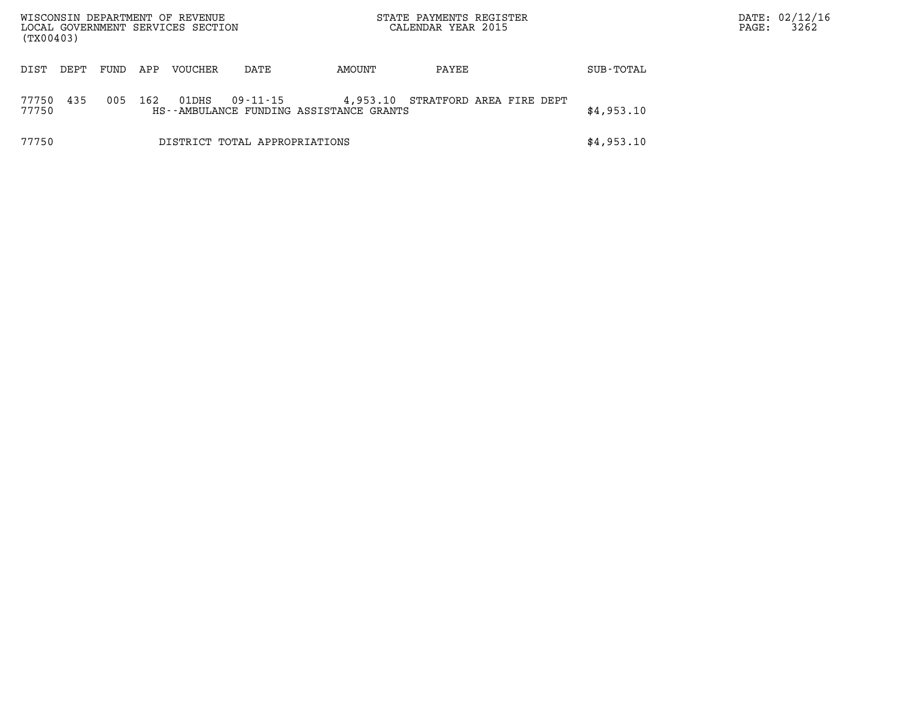| (TX00403)      |                               |      |     | WISCONSIN DEPARTMENT OF REVENUE<br>LOCAL GOVERNMENT SERVICES SECTION |                                                     |          | STATE PAYMENTS REGISTER<br>CALENDAR YEAR 2015 |            | PAGE: | DATE: 02/12/16<br>3262 |
|----------------|-------------------------------|------|-----|----------------------------------------------------------------------|-----------------------------------------------------|----------|-----------------------------------------------|------------|-------|------------------------|
| DIST           | DEPT                          | FUND | APP | <b>VOUCHER</b>                                                       | DATE                                                | AMOUNT   | PAYEE                                         | SUB-TOTAL  |       |                        |
| 77750<br>77750 | 435                           | 005  | 162 | 01DHS                                                                | 09-11-15<br>HS--AMBULANCE FUNDING ASSISTANCE GRANTS | 4,953.10 | STRATFORD AREA FIRE DEPT                      | \$4,953.10 |       |                        |
| 77750          | DISTRICT TOTAL APPROPRIATIONS |      |     |                                                                      |                                                     |          |                                               | \$4,953.10 |       |                        |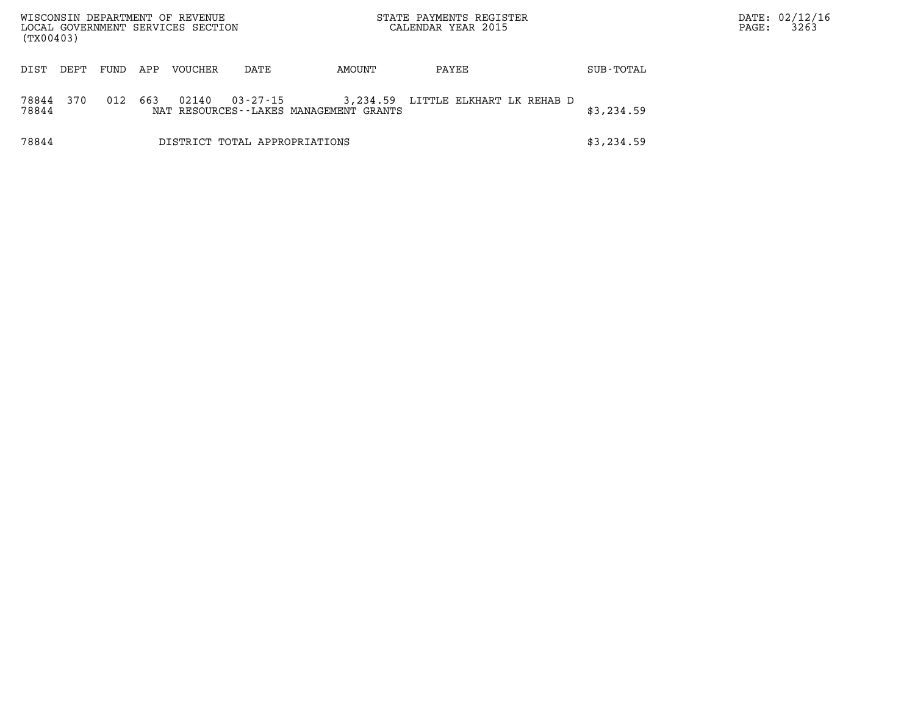| (TX00403)      |      |      |     | WISCONSIN DEPARTMENT OF REVENUE<br>LOCAL GOVERNMENT SERVICES SECTION |                               |                                                       | STATE PAYMENTS REGISTER<br>CALENDAR YEAR 2015 |            | PAGE: | DATE: 02/12/16<br>3263 |
|----------------|------|------|-----|----------------------------------------------------------------------|-------------------------------|-------------------------------------------------------|-----------------------------------------------|------------|-------|------------------------|
| DIST           | DEPT | FUND | APP | <b>VOUCHER</b>                                                       | DATE                          | AMOUNT                                                | PAYEE                                         | SUB-TOTAL  |       |                        |
| 78844<br>78844 | 370  | 012  | 663 | 02140                                                                | 03-27-15                      | 3,234.59<br>NAT RESOURCES - - LAKES MANAGEMENT GRANTS | LITTLE ELKHART LK REHAB D                     | \$3,234.59 |       |                        |
| 78844          |      |      |     |                                                                      | DISTRICT TOTAL APPROPRIATIONS |                                                       |                                               | \$3,234.59 |       |                        |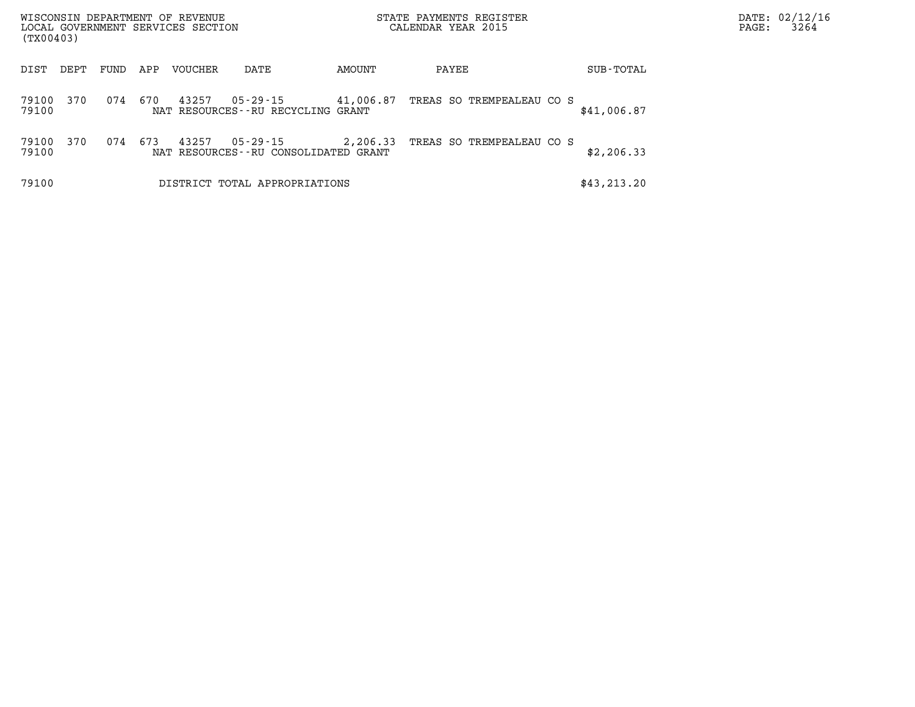| (TX00403)      |      |      |     | WISCONSIN DEPARTMENT OF REVENUE<br>LOCAL GOVERNMENT SERVICES SECTION |                                                  |           | STATE PAYMENTS REGISTER<br>CALENDAR YEAR 2015 | PAGE:        | DATE: 02/12/16<br>3264 |  |
|----------------|------|------|-----|----------------------------------------------------------------------|--------------------------------------------------|-----------|-----------------------------------------------|--------------|------------------------|--|
| DIST           | DEPT | FUND | APP | VOUCHER                                                              | DATE                                             | AMOUNT    | PAYEE                                         | SUB-TOTAL    |                        |  |
| 79100<br>79100 | 370  | 074  | 670 | 43257                                                                | 05-29-15<br>NAT RESOURCES--RU RECYCLING GRANT    | 41,006.87 | TREAS SO TREMPEALEAU CO S                     | \$41,006.87  |                        |  |
| 79100<br>79100 | 370  | 074  | 673 | 43257                                                                | 05-29-15<br>NAT RESOURCES--RU CONSOLIDATED GRANT | 2,206.33  | TREAS SO TREMPEALEAU CO S                     | \$2,206.33   |                        |  |
| 79100          |      |      |     |                                                                      | DISTRICT TOTAL APPROPRIATIONS                    |           |                                               | \$43, 213.20 |                        |  |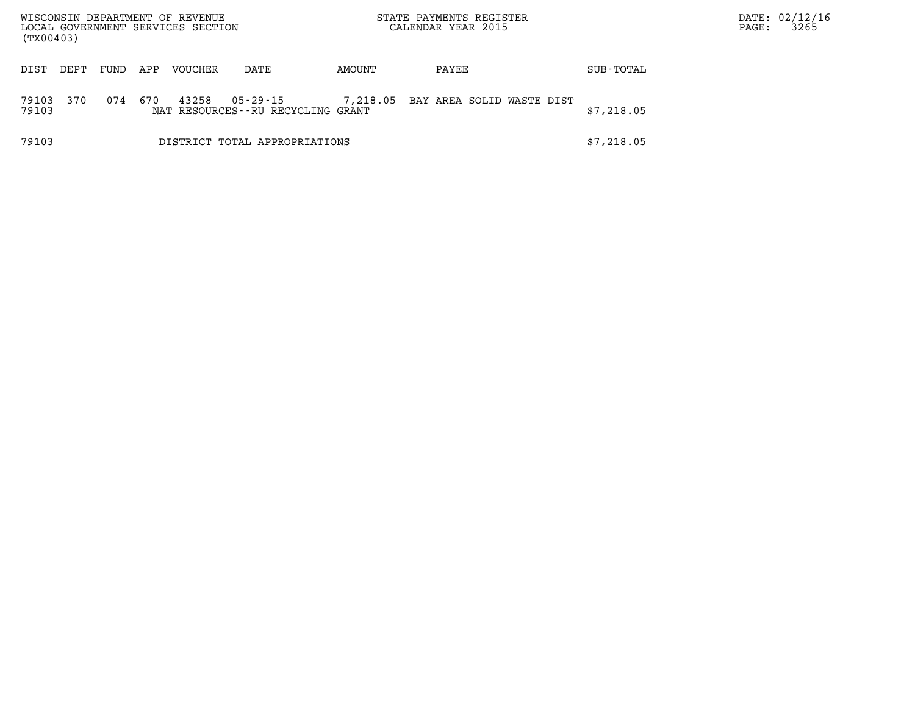| (TX00403)      |      |      |     | WISCONSIN DEPARTMENT OF REVENUE<br>LOCAL GOVERNMENT SERVICES SECTION |                                               |          | STATE PAYMENTS REGISTER<br>CALENDAR YEAR 2015 |            | PAGE: | DATE: 02/12/16<br>3265 |
|----------------|------|------|-----|----------------------------------------------------------------------|-----------------------------------------------|----------|-----------------------------------------------|------------|-------|------------------------|
| DIST           | DEPT | FUND | APP | <b>VOUCHER</b>                                                       | DATE                                          | AMOUNT   | PAYEE                                         | SUB-TOTAL  |       |                        |
| 79103<br>79103 | 370  | 074  | 670 | 43258                                                                | 05-29-15<br>NAT RESOURCES--RU RECYCLING GRANT | 7,218.05 | BAY AREA SOLID WASTE DIST                     | \$7,218.05 |       |                        |
| 79103          |      |      |     |                                                                      | DISTRICT TOTAL APPROPRIATIONS                 |          |                                               | \$7,218.05 |       |                        |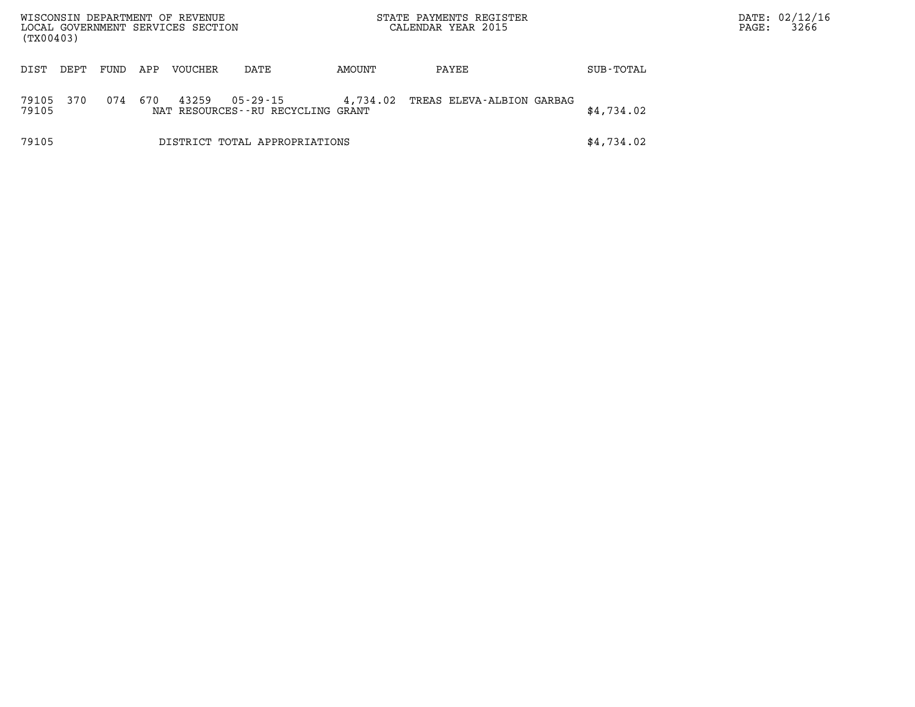| (TX00403)      |      |      |     | WISCONSIN DEPARTMENT OF REVENUE<br>LOCAL GOVERNMENT SERVICES SECTION |                                               |          | STATE PAYMENTS REGISTER<br>CALENDAR YEAR 2015 |            | PAGE: | DATE: 02/12/16<br>3266 |
|----------------|------|------|-----|----------------------------------------------------------------------|-----------------------------------------------|----------|-----------------------------------------------|------------|-------|------------------------|
| DIST           | DEPT | FUND | APP | <b>VOUCHER</b>                                                       | DATE                                          | AMOUNT   | PAYEE                                         | SUB-TOTAL  |       |                        |
| 79105<br>79105 | 370  | 074  | 670 | 43259                                                                | 05-29-15<br>NAT RESOURCES--RU RECYCLING GRANT | 4,734.02 | TREAS ELEVA-ALBION GARBAG                     | \$4,734.02 |       |                        |
| 79105          |      |      |     |                                                                      | DISTRICT TOTAL APPROPRIATIONS                 |          |                                               | \$4,734.02 |       |                        |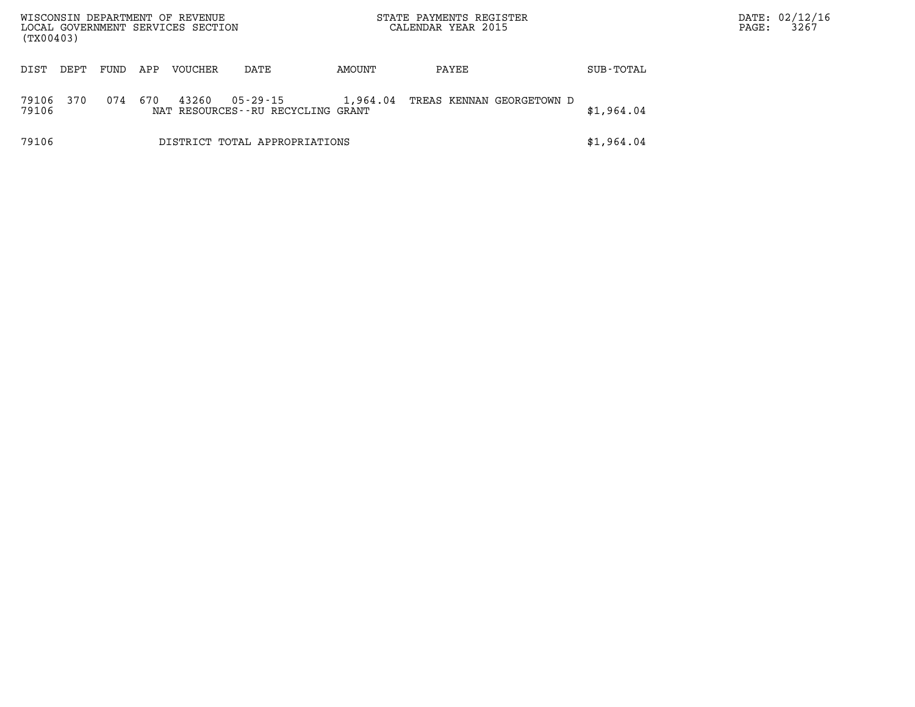| (TX00403)      |      |      |     | WISCONSIN DEPARTMENT OF REVENUE<br>LOCAL GOVERNMENT SERVICES SECTION |                                               |          | STATE PAYMENTS REGISTER<br>CALENDAR YEAR 2015 |            | PAGE: | DATE: 02/12/16<br>3267 |
|----------------|------|------|-----|----------------------------------------------------------------------|-----------------------------------------------|----------|-----------------------------------------------|------------|-------|------------------------|
| DIST           | DEPT | FUND | APP | <b>VOUCHER</b>                                                       | DATE                                          | AMOUNT   | PAYEE                                         | SUB-TOTAL  |       |                        |
| 79106<br>79106 | 370  | 074  | 670 | 43260                                                                | 05-29-15<br>NAT RESOURCES--RU RECYCLING GRANT | 1,964.04 | TREAS KENNAN GEORGETOWN D                     | \$1,964.04 |       |                        |
| 79106          |      |      |     |                                                                      | DISTRICT TOTAL APPROPRIATIONS                 |          |                                               | \$1,964.04 |       |                        |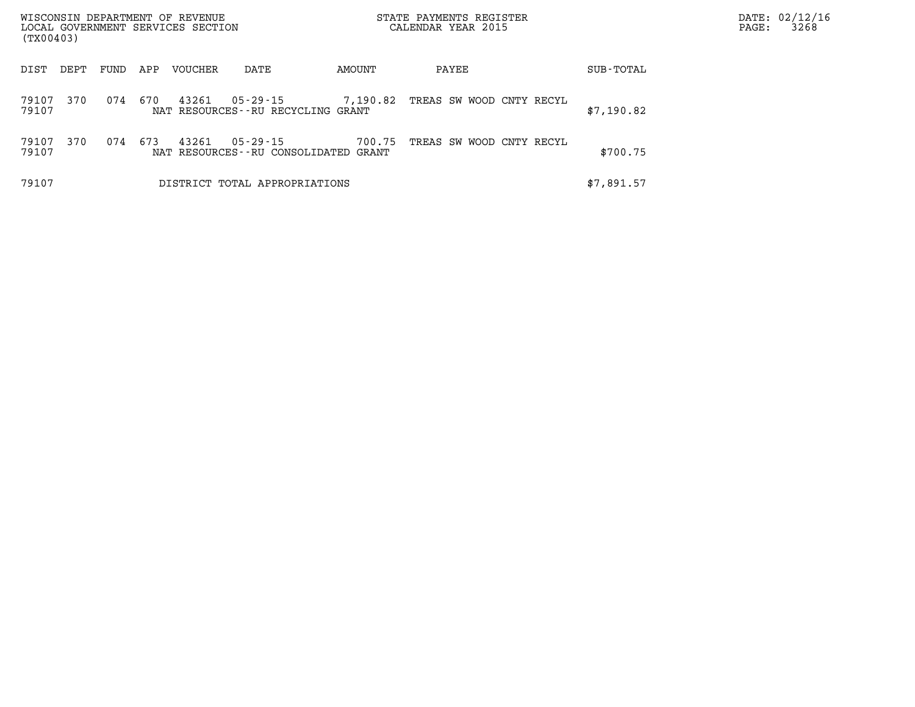| (TX00403)      |      |      |     | WISCONSIN DEPARTMENT OF REVENUE<br>LOCAL GOVERNMENT SERVICES SECTION |                                                        |          | STATE PAYMENTS REGISTER<br>CALENDAR YEAR 2015 |            | DATE: 02/12/16<br>3268<br>PAGE: |
|----------------|------|------|-----|----------------------------------------------------------------------|--------------------------------------------------------|----------|-----------------------------------------------|------------|---------------------------------|
| DIST           | DEPT | FUND | APP | <b>VOUCHER</b>                                                       | DATE                                                   | AMOUNT   | PAYEE                                         | SUB-TOTAL  |                                 |
| 79107<br>79107 | 370  | 074  | 670 | 43261                                                                | 05-29-15<br>NAT RESOURCES--RU RECYCLING GRANT          | 7,190.82 | TREAS SW WOOD CNTY RECYL                      | \$7,190.82 |                                 |
| 79107<br>79107 | 370  | 074  | 673 | 43261                                                                | $05 - 29 - 15$<br>NAT RESOURCES--RU CONSOLIDATED GRANT | 700.75   | TREAS SW WOOD CNTY RECYL                      | \$700.75   |                                 |
| 79107          |      |      |     |                                                                      | DISTRICT TOTAL APPROPRIATIONS                          |          |                                               | \$7,891.57 |                                 |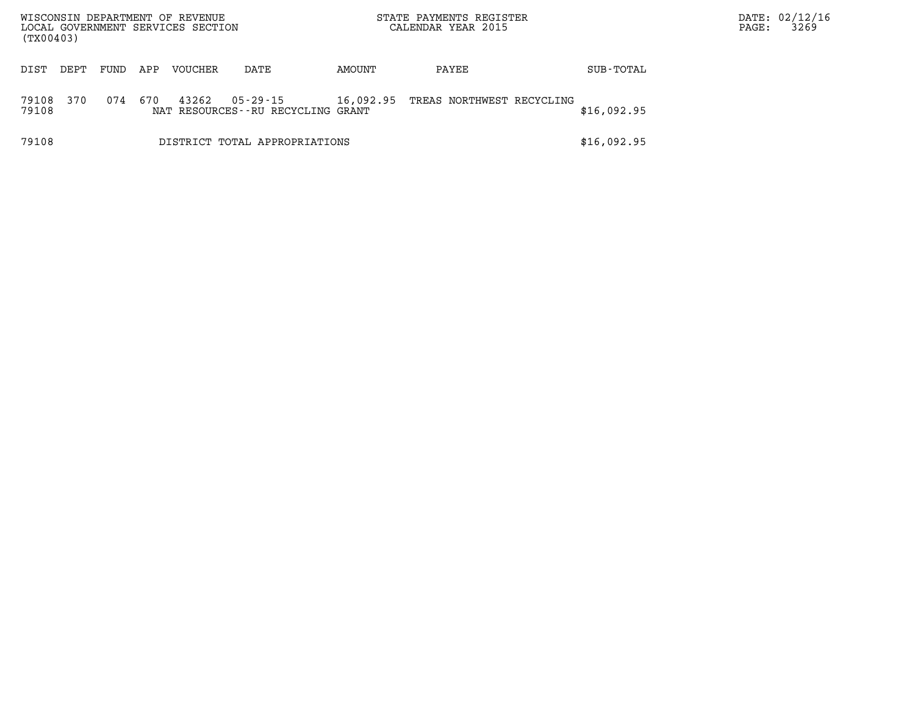| (TX00403)      |      |      |     | WISCONSIN DEPARTMENT OF REVENUE<br>LOCAL GOVERNMENT SERVICES SECTION |                                                   |           | STATE PAYMENTS REGISTER<br>CALENDAR YEAR 2015 |             | PAGE: | DATE: 02/12/16<br>3269 |
|----------------|------|------|-----|----------------------------------------------------------------------|---------------------------------------------------|-----------|-----------------------------------------------|-------------|-------|------------------------|
| DIST           | DEPT | FUND | APP | VOUCHER                                                              | DATE                                              | AMOUNT    | PAYEE                                         | SUB-TOTAL   |       |                        |
| 79108<br>79108 | 370  | 074  | 670 | 43262                                                                | 05 - 29 - 15<br>NAT RESOURCES--RU RECYCLING GRANT | 16,092.95 | TREAS NORTHWEST RECYCLING                     | \$16,092.95 |       |                        |
| 79108          |      |      |     |                                                                      | DISTRICT TOTAL APPROPRIATIONS                     |           |                                               | \$16,092.95 |       |                        |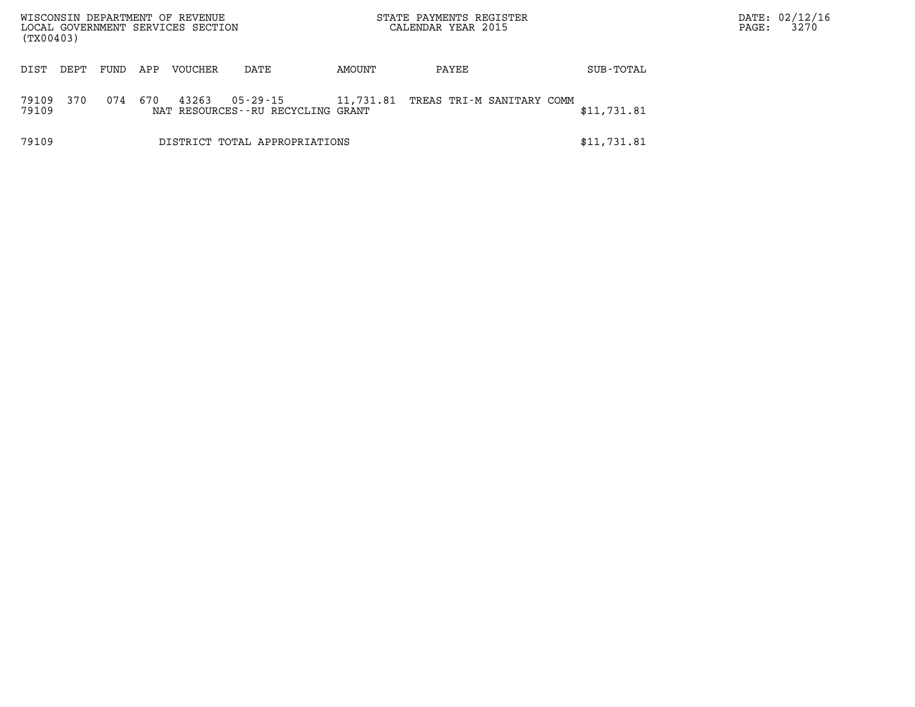| (TX00403)      |      |      |     | WISCONSIN DEPARTMENT OF REVENUE<br>LOCAL GOVERNMENT SERVICES SECTION |                                               |           | STATE PAYMENTS REGISTER<br>CALENDAR YEAR 2015 |             | PAGE: | DATE: 02/12/16<br>3270 |
|----------------|------|------|-----|----------------------------------------------------------------------|-----------------------------------------------|-----------|-----------------------------------------------|-------------|-------|------------------------|
| DIST           | DEPT | FUND | APP | VOUCHER                                                              | DATE                                          | AMOUNT    | PAYEE                                         | SUB-TOTAL   |       |                        |
| 79109<br>79109 | 370  | 074  | 670 | 43263                                                                | 05-29-15<br>NAT RESOURCES--RU RECYCLING GRANT | 11,731.81 | TREAS TRI-M SANITARY COMM                     | \$11,731.81 |       |                        |
| 79109          |      |      |     |                                                                      | DISTRICT TOTAL APPROPRIATIONS                 |           |                                               | \$11,731.81 |       |                        |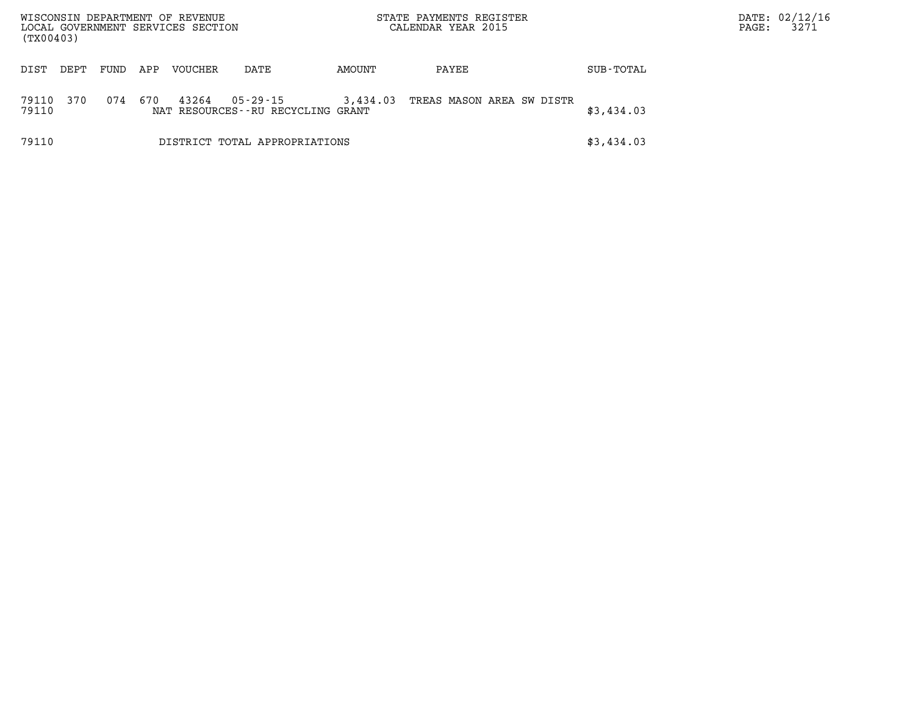| WISCONSIN DEPARTMENT OF REVENUE<br>LOCAL GOVERNMENT SERVICES SECTION<br>(TX00403) |      |      |     |         |                                                     |          | STATE PAYMENTS REGISTER<br>CALENDAR YEAR 2015 |            | PAGE: | DATE: 02/12/16<br>3271 |
|-----------------------------------------------------------------------------------|------|------|-----|---------|-----------------------------------------------------|----------|-----------------------------------------------|------------|-------|------------------------|
| DIST                                                                              | DEPT | FUND | APP | VOUCHER | DATE                                                | AMOUNT   | PAYEE                                         | SUB-TOTAL  |       |                        |
| 79110<br>79110                                                                    | 370  | 074  | 670 | 43264   | $05 - 29 - 15$<br>NAT RESOURCES--RU RECYCLING GRANT | 3,434.03 | TREAS MASON AREA SW DISTR                     | \$3,434.03 |       |                        |
| 79110                                                                             |      |      |     |         | DISTRICT TOTAL APPROPRIATIONS                       |          |                                               | \$3,434.03 |       |                        |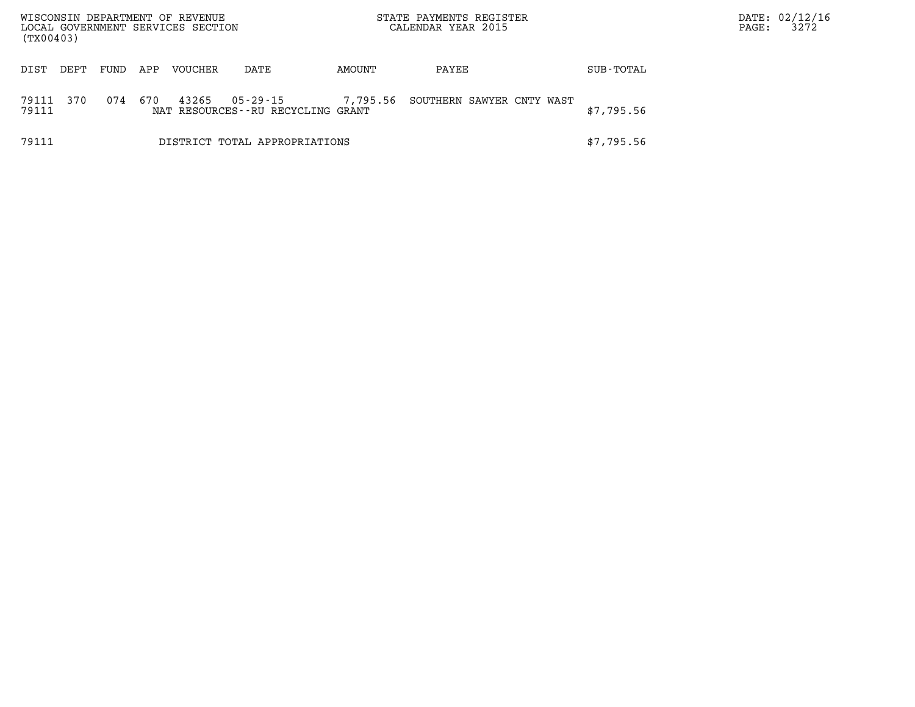| WISCONSIN DEPARTMENT OF REVENUE<br>LOCAL GOVERNMENT SERVICES SECTION<br>(TX00403) |      |      |     |         |                                                   |          | STATE PAYMENTS REGISTER<br>CALENDAR YEAR 2015 |            | PAGE: | DATE: 02/12/16<br>3272 |
|-----------------------------------------------------------------------------------|------|------|-----|---------|---------------------------------------------------|----------|-----------------------------------------------|------------|-------|------------------------|
| DIST                                                                              | DEPT | FUND | APP | VOUCHER | DATE                                              | AMOUNT   | PAYEE                                         | SUB-TOTAL  |       |                        |
| 79111<br>79111                                                                    | 370  | 074  | 670 | 43265   | 05 - 29 - 15<br>NAT RESOURCES--RU RECYCLING GRANT | 7,795.56 | SOUTHERN SAWYER CNTY WAST                     | \$7,795.56 |       |                        |
| 79111                                                                             |      |      |     |         | DISTRICT TOTAL APPROPRIATIONS                     |          |                                               | \$7,795.56 |       |                        |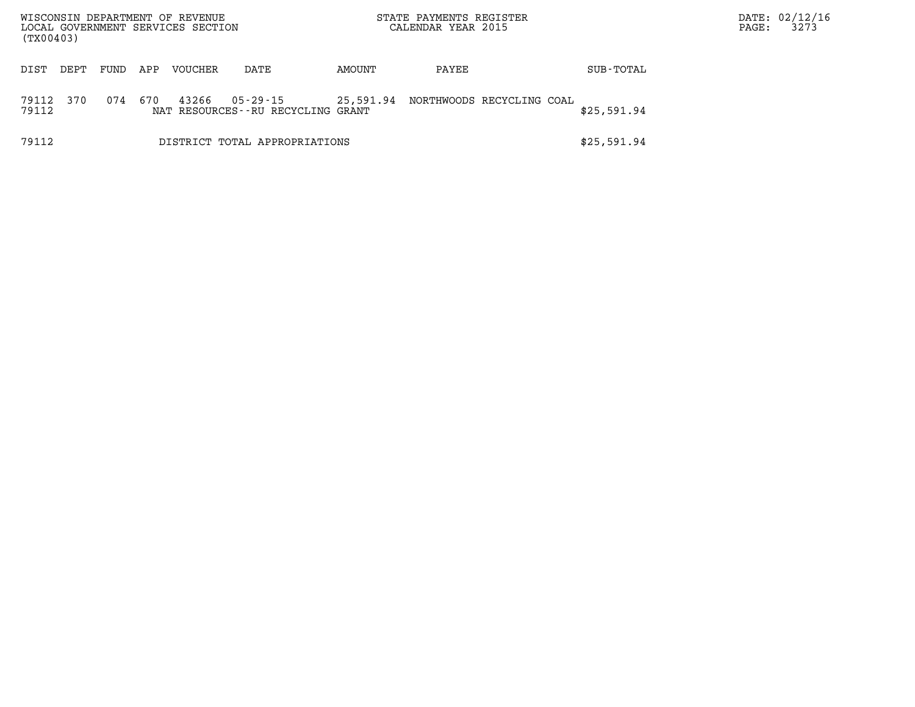| WISCONSIN DEPARTMENT OF REVENUE<br>LOCAL GOVERNMENT SERVICES SECTION<br>(TX00403) |                               |      |     |         |                                               | STATE PAYMENTS REGISTER<br>CALENDAR YEAR 2015 |                           |  |  |             | PAGE: | DATE: 02/12/16<br>3273 |
|-----------------------------------------------------------------------------------|-------------------------------|------|-----|---------|-----------------------------------------------|-----------------------------------------------|---------------------------|--|--|-------------|-------|------------------------|
| DIST                                                                              | DEPT                          | FUND | APP | VOUCHER | DATE                                          | AMOUNT                                        | PAYEE                     |  |  | SUB-TOTAL   |       |                        |
| 79112<br>79112                                                                    | 370                           | 074  | 670 | 43266   | 05-29-15<br>NAT RESOURCES--RU RECYCLING GRANT | 25,591.94                                     | NORTHWOODS RECYCLING COAL |  |  | \$25,591.94 |       |                        |
| 79112                                                                             | DISTRICT TOTAL APPROPRIATIONS |      |     |         |                                               |                                               |                           |  |  | \$25,591.94 |       |                        |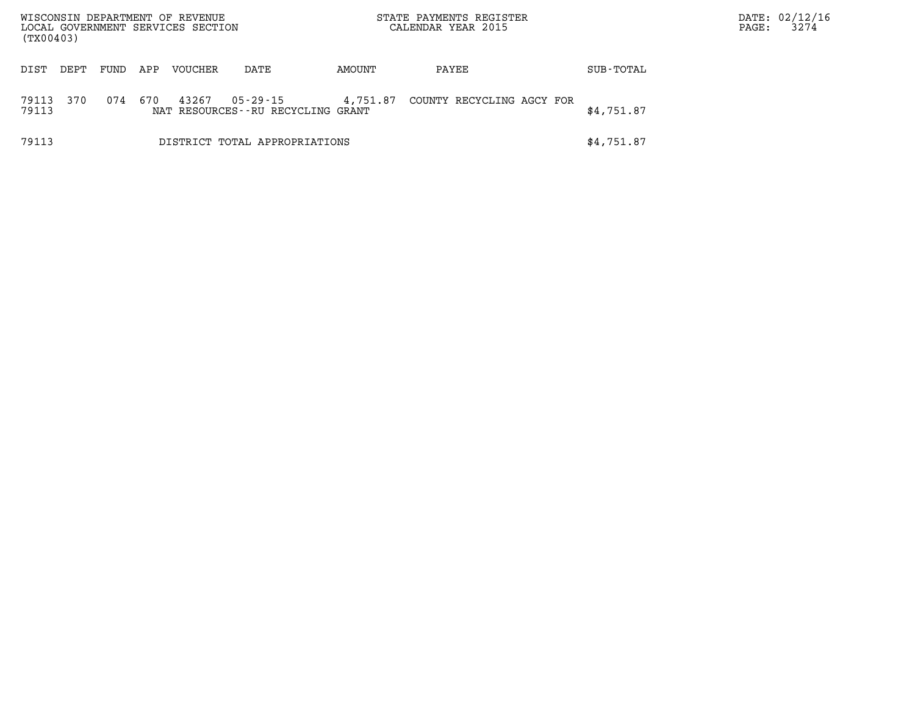| WISCONSIN DEPARTMENT OF REVENUE<br>LOCAL GOVERNMENT SERVICES SECTION<br>(TX00403) |      |      |     |                |                                                   |          | STATE PAYMENTS REGISTER<br>CALENDAR YEAR 2015 |            | PAGE: | DATE: 02/12/16<br>3274 |
|-----------------------------------------------------------------------------------|------|------|-----|----------------|---------------------------------------------------|----------|-----------------------------------------------|------------|-------|------------------------|
| DIST                                                                              | DEPT | FUND | APP | <b>VOUCHER</b> | DATE                                              | AMOUNT   | PAYEE                                         | SUB-TOTAL  |       |                        |
| 79113<br>79113                                                                    | 370  | 074  | 670 | 43267          | 05 - 29 - 15<br>NAT RESOURCES--RU RECYCLING GRANT | 4,751.87 | COUNTY RECYCLING AGCY FOR                     | \$4,751.87 |       |                        |
| 79113                                                                             |      |      |     |                | DISTRICT TOTAL APPROPRIATIONS                     |          |                                               | \$4,751.87 |       |                        |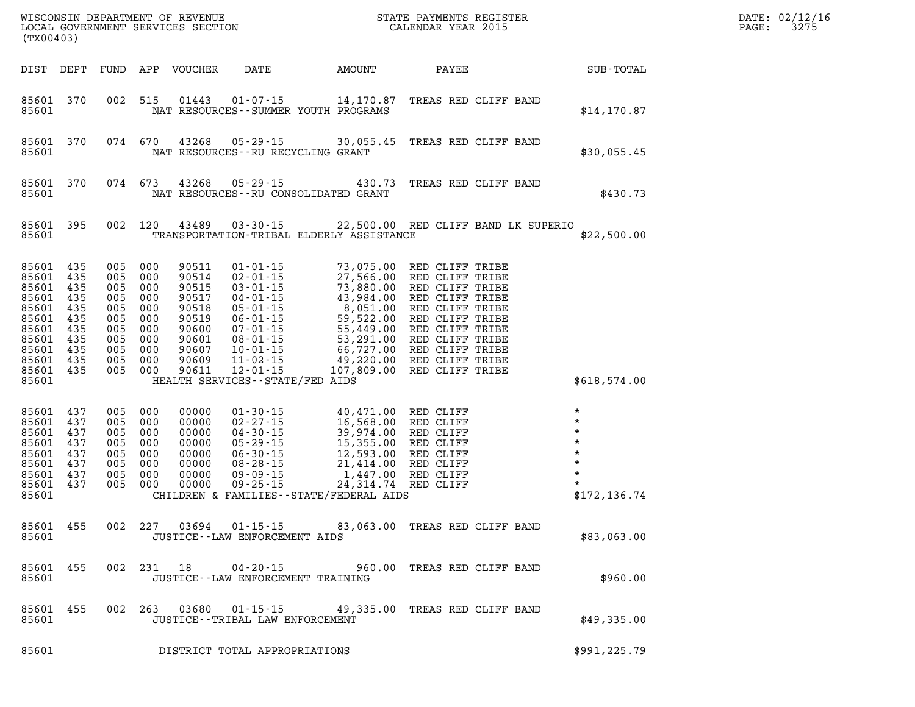| (TX00403)                                                                                                                      |                                                                    |                                                                    | WISCONSIN DEPARTMENT OF REVENUE<br>LOCAL GOVERNMENT SERVICES SECTION                   |                                                      | STATE PAYMENTS REGISTER<br>CALENDAR YEAR 2015                                                                                                                                                                                                                                                                          |       |                                                                                                                                                                                    | DATE: 02/12/16<br>3275<br>PAGE:                                                                            |  |
|--------------------------------------------------------------------------------------------------------------------------------|--------------------------------------------------------------------|--------------------------------------------------------------------|----------------------------------------------------------------------------------------|------------------------------------------------------|------------------------------------------------------------------------------------------------------------------------------------------------------------------------------------------------------------------------------------------------------------------------------------------------------------------------|-------|------------------------------------------------------------------------------------------------------------------------------------------------------------------------------------|------------------------------------------------------------------------------------------------------------|--|
| DIST DEPT                                                                                                                      |                                                                    |                                                                    | FUND APP VOUCHER                                                                       | <b>DATE</b>                                          | AMOUNT                                                                                                                                                                                                                                                                                                                 | PAYEE |                                                                                                                                                                                    | SUB-TOTAL                                                                                                  |  |
| 85601 370<br>85601                                                                                                             |                                                                    | 002 515                                                            | 01443                                                                                  |                                                      | $01 - 07 - 15$ 14, 170.87<br>NAT RESOURCES - - SUMMER YOUTH PROGRAMS                                                                                                                                                                                                                                                   |       | TREAS RED CLIFF BAND                                                                                                                                                               | \$14, 170.87                                                                                               |  |
| 85601 370<br>85601                                                                                                             |                                                                    | 074 670                                                            | 43268                                                                                  | $05 - 29 - 15$                                       | 30,055.45<br>NAT RESOURCES--RU RECYCLING GRANT                                                                                                                                                                                                                                                                         |       | TREAS RED CLIFF BAND                                                                                                                                                               | \$30,055.45                                                                                                |  |
| 85601 370<br>85601                                                                                                             |                                                                    | 074 673                                                            | 43268                                                                                  | $05 - 29 - 15$                                       | 430.73<br>NAT RESOURCES - - RU CONSOLIDATED GRANT                                                                                                                                                                                                                                                                      |       | TREAS RED CLIFF BAND                                                                                                                                                               | \$430.73                                                                                                   |  |
| 85601 395<br>85601                                                                                                             |                                                                    | 002 120                                                            | 43489                                                                                  |                                                      | 03-30-15 22,500.00 RED CLIFF BAND LK SUPERIO<br>TRANSPORTATION-TRIBAL ELDERLY ASSISTANCE                                                                                                                                                                                                                               |       |                                                                                                                                                                                    | \$22,500.00                                                                                                |  |
| 85601 435<br>85601 435<br>85601 435<br>85601 435<br>85601 435<br>85601 435<br>85601 435<br>85601 435<br>85601 435<br>85601 435 | 005<br>005<br>005<br>005<br>005<br>005<br>005<br>005<br>005<br>005 | 000<br>000<br>000<br>000<br>000<br>000<br>000<br>000<br>000<br>000 | 90511<br>90514<br>90515<br>90517<br>90518<br>90519<br>90600<br>90601<br>90607<br>90609 |                                                      | 01-01-15<br>02-01-15<br>02-01-15<br>03-01-15<br>03-01-15<br>04-01-15<br>05-01-15<br>43,984.00<br>RED CLIFF TRIBE<br>05-01-15<br>8,051.00<br>RED CLIFF TRIBE<br>06-01-15<br>59,522.00<br>RED CLIFF TRIBE<br>07-01-15<br>55,449.00<br>RED CLIFF TRIBE<br>08-01-15<br>5                                                   |       |                                                                                                                                                                                    |                                                                                                            |  |
| 85601 435<br>85601                                                                                                             | 005                                                                | 000                                                                | 90611                                                                                  | HEALTH SERVICES--STATE/FED AIDS                      |                                                                                                                                                                                                                                                                                                                        |       |                                                                                                                                                                                    | \$618,574.00                                                                                               |  |
| 85601 437<br>85601 437<br>85601 437<br>85601 437<br>85601 437<br>85601 437<br>85601 437<br>85601 437<br>85601                  | 005<br>005<br>005<br>005<br>005<br>005<br>005<br>005               | 000<br>000<br>000<br>000<br>000<br>000<br>000<br>000               | 00000<br>00000<br>00000<br>00000<br>00000<br>00000<br>00000<br>00000                   |                                                      | 01-30-15<br>02-27-15<br>02-27-15<br>04-30-15<br>16,568.00<br>16,568.00<br>RED CLIFF<br>04-30-15<br>15,355.00<br>RED CLIFF<br>06-30-15<br>12,593.00<br>RED CLIFF<br>08-28-15<br>21,414.00<br>RED CLIFF<br>09-09-15<br>1,447.00<br>RED CLIFF<br>09-25-15<br>24,314.74<br>R<br>CHILDREN & FAMILIES - - STATE/FEDERAL AIDS |       | 40,471.00 RED CLIFF<br>16,568.00 RED CLIFF<br>39,974.00 RED CLIFF<br>15,355.00 RED CLIFF<br>12,593.00 RED CLIFF<br>21,414.00 RED CLIFF<br>1,447.00 RED CLIFF<br>1,447.00 RED CLIFF | $\star$<br>$\star$<br>$\star$<br>$\star$<br>$\star$<br>$\pmb{\star}$<br>$\star$<br>$\star$<br>\$172,136.74 |  |
| 85601 455<br>85601                                                                                                             |                                                                    | 002 227                                                            | 03694                                                                                  | $01 - 15 - 15$<br>JUSTICE - - LAW ENFORCEMENT AIDS   | 83,063.00                                                                                                                                                                                                                                                                                                              |       | TREAS RED CLIFF BAND                                                                                                                                                               | \$83,063.00                                                                                                |  |
| 85601 455<br>85601                                                                                                             |                                                                    |                                                                    | 002 231 18                                                                             |                                                      | 04-20-15 960.00 TREAS RED CLIFF BAND<br>JUSTICE - - LAW ENFORCEMENT TRAINING                                                                                                                                                                                                                                           |       |                                                                                                                                                                                    | \$960.00                                                                                                   |  |
| 85601 455<br>85601                                                                                                             |                                                                    | 002 263                                                            | 03680                                                                                  | $01 - 15 - 15$<br>JUSTICE - - TRIBAL LAW ENFORCEMENT |                                                                                                                                                                                                                                                                                                                        |       | 49,335.00 TREAS RED CLIFF BAND                                                                                                                                                     | \$49,335.00                                                                                                |  |
| 85601                                                                                                                          |                                                                    |                                                                    |                                                                                        | DISTRICT TOTAL APPROPRIATIONS                        |                                                                                                                                                                                                                                                                                                                        |       |                                                                                                                                                                                    | \$991, 225.79                                                                                              |  |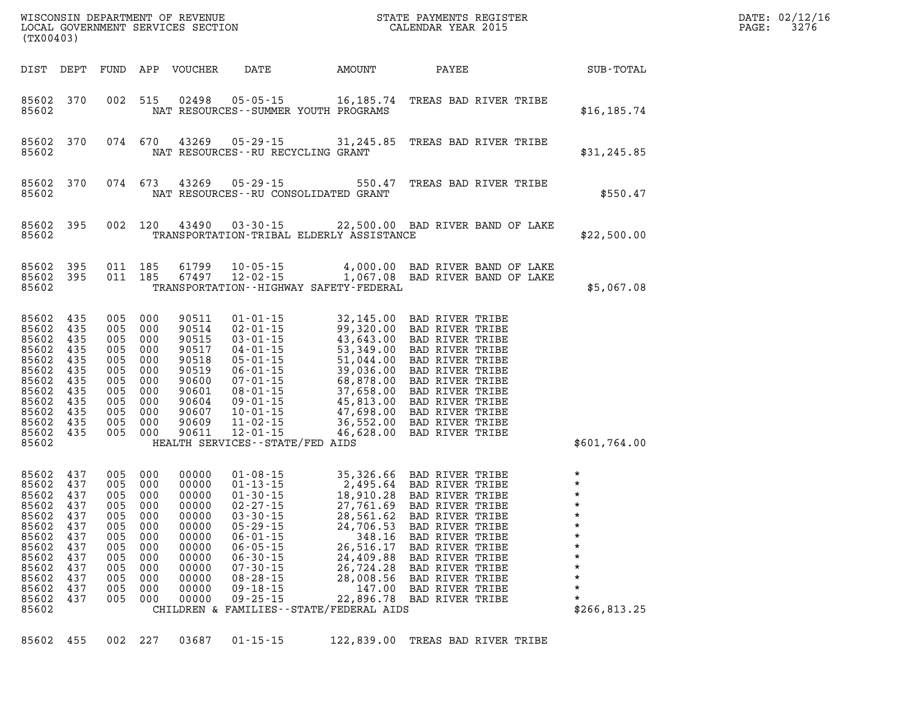|                                                                                                                                                               | WISCONSIN DEPARTMENT OF REVENUE<br>LOCAL GOVERNMENT SERVICES SECTION COLENDAR YEAR 2015<br>(TX00403) |                                                                     |                                                                                           |                                                                                                                   |                                                                                                                                                                                                                                                                                                                                                                                                                                                |                                                                      | STATE PAYMENTS REGISTER                                                                                                                                          |                   | DATE: 02/12/16<br>$\mathtt{PAGE}$ :<br>3276                                    |  |
|---------------------------------------------------------------------------------------------------------------------------------------------------------------|------------------------------------------------------------------------------------------------------|---------------------------------------------------------------------|-------------------------------------------------------------------------------------------|-------------------------------------------------------------------------------------------------------------------|------------------------------------------------------------------------------------------------------------------------------------------------------------------------------------------------------------------------------------------------------------------------------------------------------------------------------------------------------------------------------------------------------------------------------------------------|----------------------------------------------------------------------|------------------------------------------------------------------------------------------------------------------------------------------------------------------|-------------------|--------------------------------------------------------------------------------|--|
|                                                                                                                                                               |                                                                                                      |                                                                     |                                                                                           | DIST DEPT FUND APP VOUCHER                                                                                        |                                                                                                                                                                                                                                                                                                                                                                                                                                                |                                                                      |                                                                                                                                                                  | DATE AMOUNT PAYEE | SUB-TOTAL                                                                      |  |
| 85602 370<br>85602                                                                                                                                            |                                                                                                      |                                                                     |                                                                                           |                                                                                                                   | 002 515 02498 05-05-15 16,185.74 TREAS BAD RIVER TRIBE<br>NAT RESOURCES - - SUMMER YOUTH PROGRAMS                                                                                                                                                                                                                                                                                                                                              |                                                                      |                                                                                                                                                                  |                   | \$16, 185.74                                                                   |  |
| 85602 370<br>85602                                                                                                                                            |                                                                                                      |                                                                     |                                                                                           |                                                                                                                   | 074 670 43269 05-29-15 31,245.85 TREAS BAD RIVER TRIBE<br>NAT RESOURCES - - RU RECYCLING GRANT                                                                                                                                                                                                                                                                                                                                                 |                                                                      |                                                                                                                                                                  |                   | \$31, 245.85                                                                   |  |
| 85602 370<br>85602                                                                                                                                            |                                                                                                      |                                                                     | 074 673                                                                                   |                                                                                                                   | 43269  05-29-15  550.47  TREAS BAD RIVER TRIBE<br>NAT RESOURCES--RU CONSOLIDATED GRANT                                                                                                                                                                                                                                                                                                                                                         |                                                                      |                                                                                                                                                                  |                   | \$550.47                                                                       |  |
| 85602 395<br>85602                                                                                                                                            |                                                                                                      |                                                                     |                                                                                           |                                                                                                                   | 002 120 43490 03-30-15 22,500.00 BAD RIVER BAND OF LAKE<br>TRANSPORTATION-TRIBAL ELDERLY ASSISTANCE                                                                                                                                                                                                                                                                                                                                            |                                                                      |                                                                                                                                                                  |                   | \$22,500.00                                                                    |  |
| 85602 395<br>85602 395<br>85602                                                                                                                               |                                                                                                      |                                                                     |                                                                                           |                                                                                                                   | 011 185 61799 10-05-15 4,000.00 BAD RIVER BAND OF LAKE<br>011 185 67497 12-02-15 1,067.08 BAD RIVER BAND OF LAKE<br>TRANSPORTATION - - HIGHWAY SAFETY - FEDERAL                                                                                                                                                                                                                                                                                |                                                                      |                                                                                                                                                                  |                   | \$5,067.08                                                                     |  |
| 85602 435<br>85602 435<br>85602 435<br>85602<br>85602 435<br>85602 435<br>85602 435<br>85602 435<br>85602 435<br>85602 435<br>85602 435<br>85602 435<br>85602 | 435                                                                                                  | 005 000<br>005 000<br>005 000<br>005 000<br>005 000<br>005 000      | 005 000<br>005 000<br>005 000<br>005 000<br>005 000<br>005 000                            | 90511<br>90514<br>90515<br>90517<br>90518<br>90519<br>90600<br>90601<br>90604<br>90607<br>90609<br>90611          | 01-01-15 32, 145.00 BAD RIVER TRIBE<br>02-01-15 99, 320.00 BAD RIVER TRIBE<br>03-01-15 43, 643.00 BAD RIVER TRIBE<br>04-01-15 53, 349.00 BAD RIVER TRIBE<br>05-01-15 51, 044.00 BAD RIVER TRIBE<br>06-01-15 39, 036.00 BAD RIVER TRIBE<br><br>HEALTH SERVICES--STATE/FED AIDS                                                                                                                                                                  |                                                                      |                                                                                                                                                                  |                   | \$601,764.00                                                                   |  |
| 85602 437<br>85602 437<br>85602<br>85602 437<br>85602 437<br>85602 437<br>85602<br>85602<br>85602<br>85602<br>85602<br>85602<br>85602<br>85602                | 437<br>437<br>437<br>437<br>437<br>437<br>437<br>437                                                 | 005 000<br>005 000<br>005<br>005<br>005<br>005<br>005<br>005<br>005 | 005 000<br>005 000<br>005 000<br>005 000<br>000<br>000<br>000<br>000<br>000<br>000<br>000 | 00000<br>00000<br>00000<br>00000<br>00000<br>00000<br>00000<br>00000<br>00000<br>00000<br>00000<br>00000<br>00000 | 01-08-15 35,326.66 BAD RIVER TRIBE<br>01-13-15 2,495.64 BAD RIVER TRIBE<br>01-30-15 18,910.28 BAD RIVER TRIBE<br>02-27-15 27,761.69 BAD RIVER TRIBE<br>03-30-15 28,561.62 BAD RIVER TRIBE<br>05-29-15 24,706.53 BAD RIVER TRIBE<br>05-29-15 24,706.53 BAD RIVER TRIBE<br>$06 - 01 - 15$<br>$06 - 05 - 15$<br>$06 - 30 - 15$<br>$07 - 30 - 15$<br>$08 - 28 - 15$<br>$09 - 18 - 15$<br>$09 - 25 - 15$<br>CHILDREN & FAMILIES--STATE/FEDERAL AIDS | 348.16<br>26,516.17<br>24,409.88<br>26,724.28<br>28,008.56<br>147.00 | <b>BAD RIVER TRIBE</b><br>BAD RIVER TRIBE<br><b>BAD RIVER TRIBE</b><br>BAD RIVER TRIBE<br><b>BAD RIVER TRIBE</b><br>BAD RIVER TRIBE<br>22,896.78 BAD RIVER TRIBE |                   | $\star$<br>$\star$<br>$\star$<br>$\star$<br>$\star$<br>$\star$<br>\$266,813.25 |  |

|  |  |  |  |  | 85602 455 002 227 03687 01-15-15 |  | 122,839.00 TREAS BAD RIVER TRIBE |  |
|--|--|--|--|--|----------------------------------|--|----------------------------------|--|
|--|--|--|--|--|----------------------------------|--|----------------------------------|--|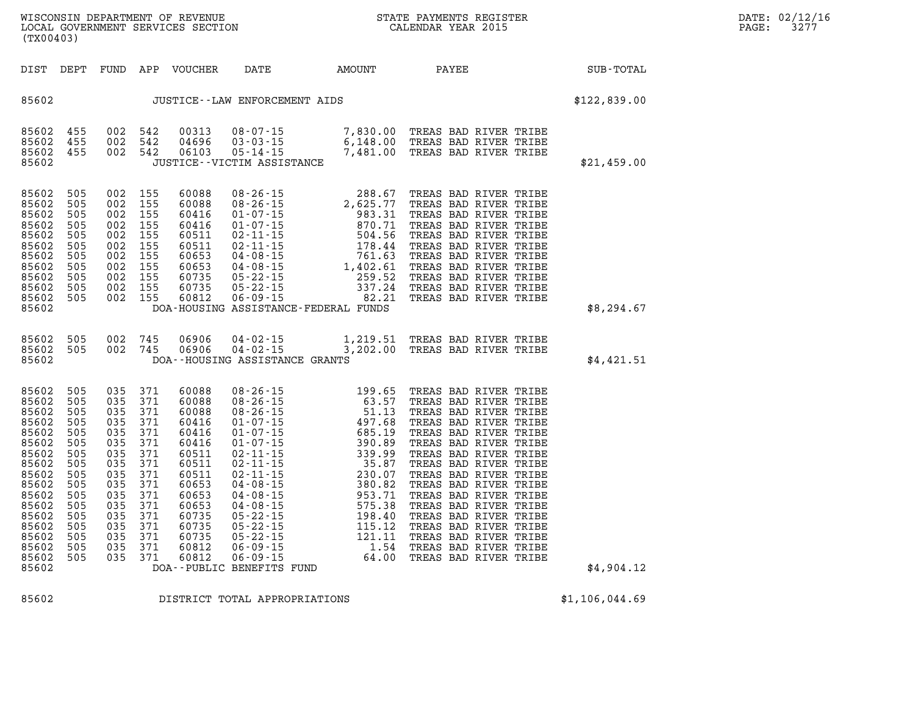| WISCONSIN DEPARTMENT OF<br>REVENUE | STATE PAYMENTS REGISTER | DATE: | 02/12/16             |
|------------------------------------|-------------------------|-------|----------------------|
| LOCAL GOVERNMENT SERVICES SECTION  | CALENDAR YEAR 2015      |       | $\cap$ $\cap$<br>321 |

| DIST DEPT                                                                                                                                                      |                                                                                                                     | FUND                                                                                                                |                                                                                                                     | APP VOUCHER                                                                                                                                           | DATE                             | AMOUNT PAYEE                         |                                                                                                                                                                                                                                                                            | SUB-TOTAL    |
|----------------------------------------------------------------------------------------------------------------------------------------------------------------|---------------------------------------------------------------------------------------------------------------------|---------------------------------------------------------------------------------------------------------------------|---------------------------------------------------------------------------------------------------------------------|-------------------------------------------------------------------------------------------------------------------------------------------------------|----------------------------------|--------------------------------------|----------------------------------------------------------------------------------------------------------------------------------------------------------------------------------------------------------------------------------------------------------------------------|--------------|
| 85602                                                                                                                                                          |                                                                                                                     |                                                                                                                     |                                                                                                                     |                                                                                                                                                       | JUSTICE - - LAW ENFORCEMENT AIDS |                                      |                                                                                                                                                                                                                                                                            | \$122,839.00 |
| 85602<br>85602<br>85602<br>85602                                                                                                                               | 455<br>455<br>455                                                                                                   | 002<br>002<br>002<br>$\frac{1}{2}$                                                                                  | 542<br>542<br>542                                                                                                   | 00313<br>04696<br>06103                                                                                                                               | JUSTICE--VICTIM ASSISTANCE       |                                      | 08-07-15 7,830.00 TREAS BAD RIVER TRIBE<br>03-03-15 6,148.00 TREAS BAD RIVER TRIBE<br>05-14-15 7,481.00 TREAS BAD RIVER TRIBE<br>77CTIM ASSISTANCE                                                                                                                         | \$21,459.00  |
| 85602<br>85602<br>85602<br>85602<br>85602<br>85602<br>85602<br>85602<br>85602<br>85602<br>85602<br>85602                                                       | 505<br>505<br>505<br>505<br>505<br>505<br>505<br>505<br>505<br>505<br>505                                           | 002<br>002<br>002<br>002<br>002<br>002<br>002<br>002<br>002<br>002<br>002                                           | 155<br>155<br>155<br>155<br>155<br>155<br>155<br>155<br>155<br>155<br>155                                           | 60088<br>60088<br>60416<br>60416<br>60511<br>60511<br>60653<br>60653<br>60735<br>60735<br>60812                                                       |                                  | DOA-HOUSING ASSISTANCE-FEDERAL FUNDS | 08-26-15<br>08-26-15<br>08-26-15<br>08-26-15<br>01-07-15<br>01-07-15<br>02-11-15<br>02-11-15<br>02-11-15<br>04-08-15<br>04-08-15<br>04-08-15<br>04-08-15<br>04-08-15<br>05-22-15<br>05-22-15<br>05-22-15<br>06-09-15<br>06-08-15<br>06-08-15<br>06-08-15<br>06-22-15<br>06 | \$8,294.67   |
| 85602<br>85602<br>85602                                                                                                                                        | 505<br>505                                                                                                          |                                                                                                                     |                                                                                                                     |                                                                                                                                                       | DOA--HOUSING ASSISTANCE GRANTS   |                                      | 002 745 06906 04-02-15 1,219.51 TREAS BAD RIVER TRIBE<br>002 745 06906 04-02-15 3,202.00 TREAS BAD RIVER TRIBE                                                                                                                                                             | \$4,421.51   |
| 85602<br>85602<br>85602<br>85602<br>85602<br>85602<br>85602<br>85602<br>85602<br>85602<br>85602<br>85602<br>85602<br>85602<br>85602<br>85602<br>85602<br>85602 | 505<br>505<br>505<br>505<br>505<br>505<br>505<br>505<br>505<br>505<br>505<br>505<br>505<br>505<br>505<br>505<br>505 | 035<br>035<br>035<br>035<br>035<br>035<br>035<br>035<br>035<br>035<br>035<br>035<br>035<br>035<br>035<br>035<br>035 | 371<br>371<br>371<br>371<br>371<br>371<br>371<br>371<br>371<br>371<br>371<br>371<br>371<br>371<br>371<br>371<br>371 | 60088<br>60088<br>60088<br>60416<br>60416<br>60416<br>60511<br>60511<br>60511<br>60653<br>60653<br>60653<br>60735<br>60735<br>60735<br>60812<br>60812 | DOA--PUBLIC BENEFITS FUND        |                                      |                                                                                                                                                                                                                                                                            | \$4,904.12   |

**(TX00403)** 

**85602 DISTRICT TOTAL APPROPRIATIONS \$1,106,044.69**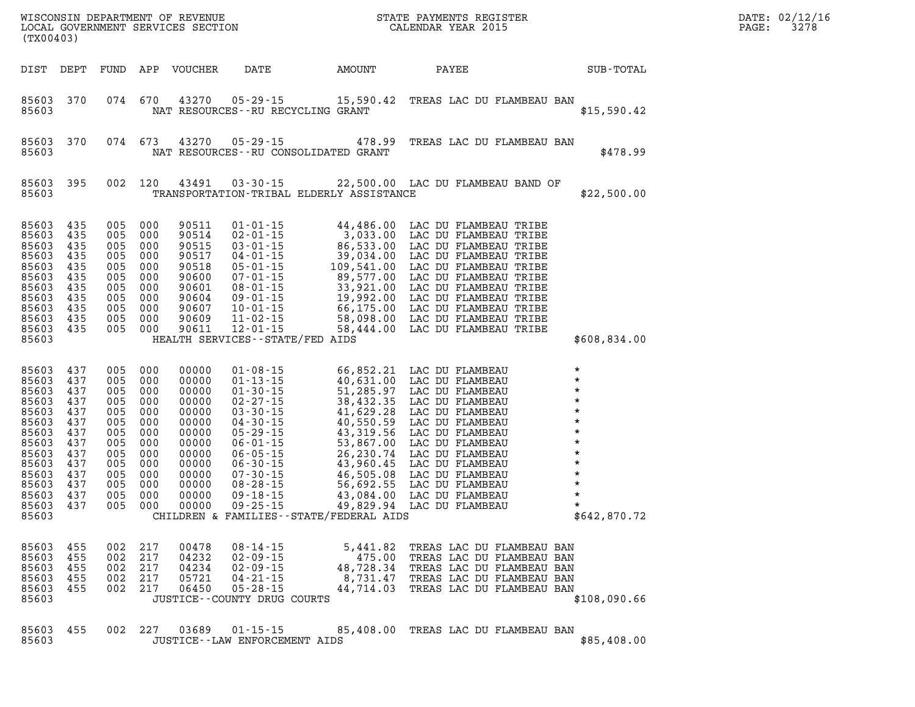| (TX00403)                                                                                                                               |                                                                                         |                                                                                                |                                                                                                |                                                                                                                            |                                                                                                                                                                                                                                                          | WISCONSIN DEPARTMENT OF REVENUE<br>LOCAL GOVERNMENT SERVICES SECTION COLENDAR YEAR 2015                                                                                                                                                                                                      | STATE PAYMENTS REGISTER                                                                                                                       |  | DATE: 02/12/16<br>PAGE:<br>3278                                                                      |  |
|-----------------------------------------------------------------------------------------------------------------------------------------|-----------------------------------------------------------------------------------------|------------------------------------------------------------------------------------------------|------------------------------------------------------------------------------------------------|----------------------------------------------------------------------------------------------------------------------------|----------------------------------------------------------------------------------------------------------------------------------------------------------------------------------------------------------------------------------------------------------|----------------------------------------------------------------------------------------------------------------------------------------------------------------------------------------------------------------------------------------------------------------------------------------------|-----------------------------------------------------------------------------------------------------------------------------------------------|--|------------------------------------------------------------------------------------------------------|--|
| DIST DEPT                                                                                                                               |                                                                                         | FUND                                                                                           | APP                                                                                            | VOUCHER                                                                                                                    | DATE                                                                                                                                                                                                                                                     | <b>EXAMPLE THE AMOUNT</b>                                                                                                                                                                                                                                                                    | PAYEE                                                                                                                                         |  | SUB-TOTAL                                                                                            |  |
| 85603<br>85603                                                                                                                          | 370                                                                                     | 074                                                                                            | 670                                                                                            | 43270                                                                                                                      | $05 - 29 - 15$<br>NAT RESOURCES - - RU RECYCLING GRANT                                                                                                                                                                                                   | 15,590.42 TREAS LAC DU FLAMBEAU BAN                                                                                                                                                                                                                                                          |                                                                                                                                               |  | \$15,590.42                                                                                          |  |
| 85603<br>85603                                                                                                                          | 370                                                                                     | 074                                                                                            | 673                                                                                            | 43270                                                                                                                      | $05 - 29 - 15$                                                                                                                                                                                                                                           | 478.99<br>NAT RESOURCES - - RU CONSOLIDATED GRANT                                                                                                                                                                                                                                            | TREAS LAC DU FLAMBEAU BAN                                                                                                                     |  | \$478.99                                                                                             |  |
| 85603<br>85603                                                                                                                          | 395                                                                                     |                                                                                                | 002 120                                                                                        | 43491                                                                                                                      | $03 - 30 - 15$                                                                                                                                                                                                                                           | 22,500.00 LAC DU FLAMBEAU BAND OF<br>TRANSPORTATION-TRIBAL ELDERLY ASSISTANCE                                                                                                                                                                                                                |                                                                                                                                               |  | \$22,500.00                                                                                          |  |
| 85603<br>85603<br>85603<br>85603<br>85603<br>85603<br>85603<br>85603<br>85603<br>85603<br>85603 435<br>85603                            | 435<br>435<br>435<br>435<br>435<br>435<br>435<br>435<br>435<br>435                      | 005<br>005<br>005<br>005<br>005<br>005<br>005<br>005<br>005 000                                | 000<br>005 000<br>000<br>000<br>000<br>005 000<br>000<br>000<br>000<br>000                     | 90511<br>90514<br>90515<br>90517<br>90518<br>90600<br>90601<br>90604<br>90607<br>90609<br>90611                            | $01 - 01 - 15$<br>$02 - 01 - 15$<br>$03 - 01 - 15$<br>$04 - 01 - 15$<br>$05 - 01 - 15$<br>$07 - 01 - 15$<br>$08 - 01 - 15$<br>09-01-15<br>$10 - 01 - 15$<br>$11 - 02 - 15$<br>$12 - 01 - 15$<br>HEALTH SERVICES -- STATE/FED AIDS                        | 44,486.00 LAC DU FLAMBEAU TRIBE<br>3,033.00 LAC DU FLAMBEAU TRIBE<br>86,533.00 LAC DU FLAMBEAU TRIBE<br>39,034.00 LAC DU FLAMBEAU TRIBE<br>39,034.00 LAC DU FLAMBEAU TRIBE<br>109,541.00 LAC DU FLAMBEAU TRIBE<br>89,577.00 LAC DU FLAMBEAU TRI<br>58,444.00                                 | LAC DU FLAMBEAU TRIBE                                                                                                                         |  | \$608,834.00                                                                                         |  |
| 85603<br>85603<br>85603<br>85603<br>85603<br>85603<br>85603<br>85603<br>85603<br>85603<br>85603<br>85603<br>85603<br>85603 437<br>85603 | 437<br>437<br>437<br>437<br>437<br>437<br>437<br>437<br>437<br>437<br>437<br>437<br>437 | 005<br>005<br>005<br>005<br>005<br>005<br>005<br>005<br>005<br>005<br>005<br>005<br>005<br>005 | 000<br>000<br>000<br>000<br>000<br>000<br>000<br>000<br>000<br>000<br>000<br>000<br>000<br>000 | 00000<br>00000<br>00000<br>00000<br>00000<br>00000<br>00000<br>00000<br>00000<br>00000<br>00000<br>00000<br>00000<br>00000 | $01 - 08 - 15$<br>$01 - 13 - 15$<br>$01 - 30 - 15$<br>$02 - 27 - 15$<br>$03 - 30 - 15$<br>$04 - 30 - 15$<br>$05 - 29 - 15$<br>$06 - 01 - 15$<br>$06 - 05 - 15$<br>$06 - 30 - 15$<br>$07 - 30 - 15$<br>$08 - 28 - 15$<br>$09 - 18 - 15$<br>$09 - 25 - 15$ | 66,852.21 LAC DU FLAMBEAU<br>40,631.00 LAC DU FLAMBEAU<br>51,285.97 LAC DU FLAMBEAU<br>38,432.35 LAC DU FLAMBEAU<br>41,629.28 LAC DU FLAMBEAU<br>40,550.59 LAC DU FLAMBEAU<br>43,319.56 LAC DU FLAMBEAU<br>53,867.00 LAC DU FLAMBEAU<br>26,230<br>CHILDREN & FAMILIES - - STATE/FEDERAL AIDS |                                                                                                                                               |  | $\star$<br>$\star$<br>$\star$<br>$\star$<br>$\star$<br>$\star$<br>$\star$<br>$\star$<br>\$642,870.72 |  |
| 85603<br>85603<br>85603<br>85603<br>85603<br>85603                                                                                      | 455<br>455<br>455<br>455<br>455                                                         | 002<br>002<br>002<br>002<br>002                                                                | 217<br>217<br>217<br>217<br>217                                                                | 00478<br>04232<br>04234<br>05721<br>06450                                                                                  | $08 - 14 - 15$<br>$02 - 09 - 15$<br>$02 - 09 - 15$<br>$04 - 21 - 15$<br>$05 - 28 - 15$<br>JUSTICE -- COUNTY DRUG COURTS                                                                                                                                  | 5,441.82<br>475.00<br>48,728.34<br>8,731.47<br>44,714.03                                                                                                                                                                                                                                     | TREAS LAC DU FLAMBEAU BAN<br>TREAS LAC DU FLAMBEAU BAN<br>TREAS LAC DU FLAMBEAU BAN<br>TREAS LAC DU FLAMBEAU BAN<br>TREAS LAC DU FLAMBEAU BAN |  | \$108,090.66                                                                                         |  |
| 85603<br>85603                                                                                                                          | 455                                                                                     | 002                                                                                            | 227                                                                                            | 03689                                                                                                                      | $01 - 15 - 15$<br>JUSTICE - - LAW ENFORCEMENT AIDS                                                                                                                                                                                                       |                                                                                                                                                                                                                                                                                              | 85,408.00 TREAS LAC DU FLAMBEAU BAN                                                                                                           |  | \$85,408.00                                                                                          |  |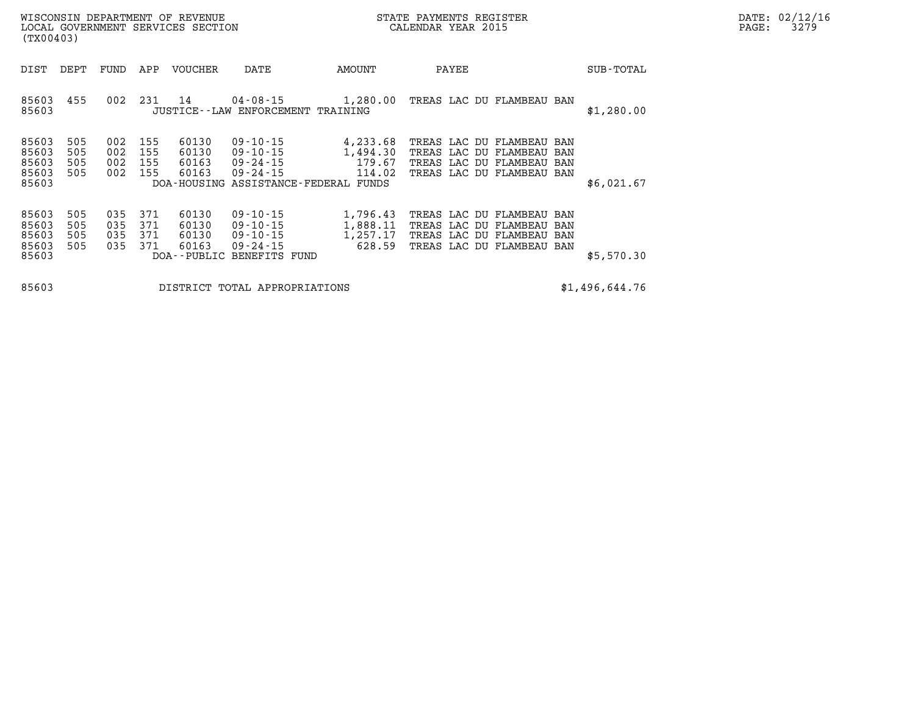| WISCONSIN DEPARTMENT OF REVENUE<br>LOCAL GOVERNMENT SERVICES SECTION<br>(TX00403) |                          |                          |                          |                                  |                                                                                                      |                                            | STATE PAYMENTS REGISTER<br>CALENDAR YEAR 2015                                                                    |            | DATE: 02/12/16<br>3279<br>PAGE: |
|-----------------------------------------------------------------------------------|--------------------------|--------------------------|--------------------------|----------------------------------|------------------------------------------------------------------------------------------------------|--------------------------------------------|------------------------------------------------------------------------------------------------------------------|------------|---------------------------------|
| DIST                                                                              | DEPT                     | FUND                     | APP                      | VOUCHER                          | DATE                                                                                                 | AMOUNT                                     | PAYEE                                                                                                            | SUB-TOTAL  |                                 |
| 85603<br>85603                                                                    | 455                      | 002                      | 231                      | 14                               | 04-08-15<br>JUSTICE -- LAW ENFORCEMENT TRAINING                                                      | 1,280.00                                   | TREAS LAC DU FLAMBEAU BAN                                                                                        | \$1,280.00 |                                 |
| 85603<br>85603<br>85603<br>85603<br>85603                                         | 505<br>505<br>505<br>505 | 002<br>002<br>002<br>002 | 155<br>155<br>155<br>155 | 60130<br>60130<br>60163<br>60163 | $09 - 10 - 15$<br>09-10-15<br>09 - 24 - 15<br>$09 - 24 - 15$<br>DOA-HOUSING ASSISTANCE-FEDERAL FUNDS | 4,233.68<br>1,494.30<br>179.67<br>114.02   | TREAS LAC DU FLAMBEAU BAN<br>TREAS LAC DU FLAMBEAU BAN<br>TREAS LAC DU FLAMBEAU BAN<br>TREAS LAC DU FLAMBEAU BAN | \$6,021.67 |                                 |
| 85603<br>85603<br>85603<br>85603<br>85603                                         | 505<br>505<br>505<br>505 | 035<br>035<br>035<br>035 | 371<br>371<br>371<br>371 | 60130<br>60130<br>60130<br>60163 | $09 - 10 - 15$<br>09-10-15<br>09-10-15<br>$09 - 24 - 15$<br>DOA--PUBLIC BENEFITS FUND                | 1,796.43<br>1,888.11<br>1,257.17<br>628.59 | TREAS LAC DU FLAMBEAU BAN<br>TREAS LAC DU FLAMBEAU BAN<br>TREAS LAC DU FLAMBEAU BAN<br>TREAS LAC DU FLAMBEAU BAN | \$5,570.30 |                                 |

**85603 DISTRICT TOTAL APPROPRIATIONS \$1,496,644.76**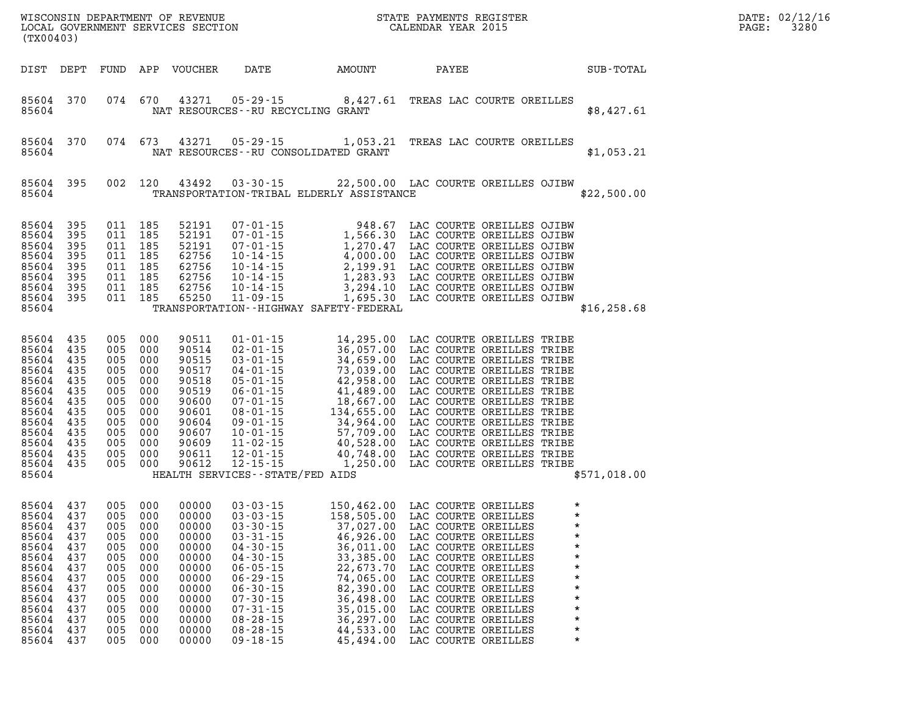| (TX00403)                                                                                                                                                                      |                                                                           |                                                                                                            |                                                                           |                                                                                                                            |                                                                                                                                                                                                                                                          |                                                                                                                                                                                                                                                                                                             |                                                                                                                                                                                                                                                           |              | $R = \frac{1}{2}$                                   | DATE: 02/12/16<br>PAGE:<br>3280 |  |
|--------------------------------------------------------------------------------------------------------------------------------------------------------------------------------|---------------------------------------------------------------------------|------------------------------------------------------------------------------------------------------------|---------------------------------------------------------------------------|----------------------------------------------------------------------------------------------------------------------------|----------------------------------------------------------------------------------------------------------------------------------------------------------------------------------------------------------------------------------------------------------|-------------------------------------------------------------------------------------------------------------------------------------------------------------------------------------------------------------------------------------------------------------------------------------------------------------|-----------------------------------------------------------------------------------------------------------------------------------------------------------------------------------------------------------------------------------------------------------|--------------|-----------------------------------------------------|---------------------------------|--|
|                                                                                                                                                                                |                                                                           |                                                                                                            |                                                                           |                                                                                                                            |                                                                                                                                                                                                                                                          | DIST DEPT FUND APP VOUCHER DATE AMOUNT                                                                                                                                                                                                                                                                      |                                                                                                                                                                                                                                                           | <b>PAYEE</b> | SUB-TOTAL                                           |                                 |  |
| 85604                                                                                                                                                                          | 85604 370                                                                 |                                                                                                            |                                                                           |                                                                                                                            |                                                                                                                                                                                                                                                          | 074 670 43271 05-29-15 8,427.61 TREAS LAC COURTE OREILLES<br>NAT RESOURCES -- RU RECYCLING GRANT                                                                                                                                                                                                            |                                                                                                                                                                                                                                                           |              | \$8,427.61                                          |                                 |  |
| 85604                                                                                                                                                                          | 85604 370                                                                 |                                                                                                            | 074 673                                                                   |                                                                                                                            |                                                                                                                                                                                                                                                          | 43271  05-29-15  1,053.21  TREAS LAC COURTE OREILLES<br>NAT RESOURCES--RU CONSOLIDATED GRANT                                                                                                                                                                                                                |                                                                                                                                                                                                                                                           |              | \$1,053.21                                          |                                 |  |
| 85604                                                                                                                                                                          | 85604 395                                                                 |                                                                                                            | 002 120                                                                   |                                                                                                                            |                                                                                                                                                                                                                                                          | 43492  03-30-15  22,500.00 LAC COURTE OREILLES OJIBW<br>TRANSPORTATION-TRIBAL ELDERLY ASSISTANCE                                                                                                                                                                                                            |                                                                                                                                                                                                                                                           |              | \$22,500.00                                         |                                 |  |
| 85604 395<br>85604 395<br>85604 395<br>85604 395<br>85604 395<br>85604 395<br>85604 395<br>85604 395<br>85604                                                                  |                                                                           | 011 185<br>011 185<br>011 185<br>011 185<br>011 185<br>011 185<br>011 185                                  | 011 185                                                                   | 52191<br>52191<br>52191<br>62756<br>62756<br>62756<br>62756<br>65250                                                       |                                                                                                                                                                                                                                                          | 07-01-15<br>07-01-15<br>07-01-15<br>1,566.30<br>07-01-15<br>1,270.47<br>LAC COURTE OREILLES OJIBW<br>10-14-15<br>4,000.00<br>LAC COURTE OREILLES OJIBW<br>10-14-15<br>1,283.93<br>LAC COURTE OREILLES OJIBW<br>10-14-15<br>1,283.93<br>LAC COURTE OREILLES O<br>TRANSPORTATION - - HIGHWAY SAFETY - FEDERAL |                                                                                                                                                                                                                                                           |              | \$16, 258.68                                        |                                 |  |
| 85604 435<br>85604 435<br>85604 435<br>85604 435<br>85604 435<br>85604 435<br>85604 435<br>85604 435<br>85604 435<br>85604 435<br>85604 435<br>85604 435<br>85604 435<br>85604 |                                                                           | 005 000<br>005 000<br>005<br>005<br>005<br>005<br>005<br>005<br>005<br>005<br>005<br>005 000<br>005 000    | 000<br>000<br>000<br>000<br>000<br>000<br>000<br>000<br>000               | 90511<br>90514<br>90515<br>90517<br>90518<br>90519<br>90600<br>90601<br>90604<br>90607<br>90609<br>90611<br>90612          | HEALTH SERVICES--STATE/FED AIDS                                                                                                                                                                                                                          | 01-01-15<br>02-01-15<br>36,057.00 LAC COURTE OREILLES TRIBE<br>03-01-15<br>34,659.00 LAC COURTE OREILLES TRIBE<br>04-01-15<br>73,039.00 LAC COURTE OREILLES TRIBE<br>05-01-15<br>42,958.00 LAC COURTE OREILLES TRIBE<br>06-01-15<br>41,489.00 LAC                                                           |                                                                                                                                                                                                                                                           |              | \$571,018.00                                        |                                 |  |
| 85604 437<br>85604 437<br>85604 437<br>85604<br>85604<br>85604<br>85604<br>85604<br>85604<br>85604<br>85604<br>85604<br>85604<br>85604                                         | 437<br>437<br>437<br>437<br>437<br>437<br>437<br>437<br>437<br>437<br>437 | 005 000<br>005 000<br>005 000<br>005<br>005<br>005<br>005<br>005<br>005<br>005<br>005<br>005<br>005<br>005 | 000<br>000<br>000<br>000<br>000<br>000<br>000<br>000<br>000<br>000<br>000 | 00000<br>00000<br>00000<br>00000<br>00000<br>00000<br>00000<br>00000<br>00000<br>00000<br>00000<br>00000<br>00000<br>00000 | $03 - 03 - 15$<br>$03 - 03 - 15$<br>$03 - 30 - 15$<br>$03 - 31 - 15$<br>$04 - 30 - 15$<br>$04 - 30 - 15$<br>$06 - 05 - 15$<br>$06 - 29 - 15$<br>$06 - 30 - 15$<br>$07 - 30 - 15$<br>$07 - 31 - 15$<br>$08 - 28 - 15$<br>$08 - 28 - 15$<br>$09 - 18 - 15$ | 150,462.00 LAC COURTE OREILLES<br>158,505.00 LAC COURTE OREILLES<br>37,027.00 LAC COURTE OREILLES<br>46,926.00<br>36,011.00<br>33,385.00<br>22,673.70<br>74,065.00<br>82,390.00<br>36,498.00<br>35,015.00<br>36,297.00<br>44,533.00<br>45,494.00                                                            | LAC COURTE OREILLES<br>LAC COURTE OREILLES<br>LAC COURTE OREILLES<br>LAC COURTE OREILLES<br>LAC COURTE OREILLES<br>LAC COURTE OREILLES<br>LAC COURTE OREILLES<br>LAC COURTE OREILLES<br>LAC COURTE OREILLES<br>LAC COURTE OREILLES<br>LAC COURTE OREILLES |              | $\star$<br>$\star$<br>$\star$<br>$\star$<br>$\star$ |                                 |  |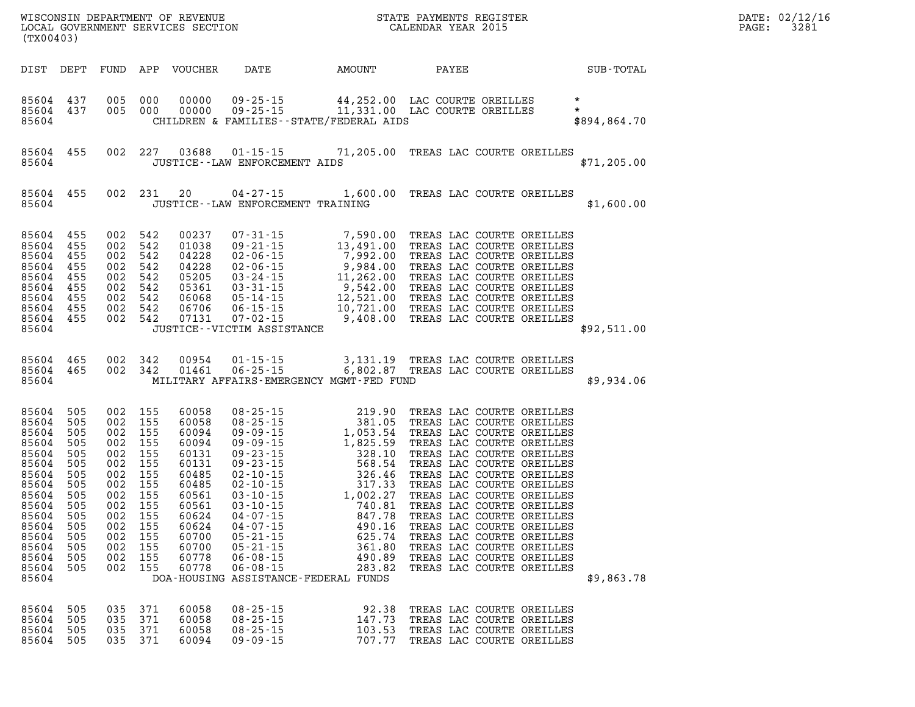| (TX00403)                                                                                                                                             |                                                                                                              |                                                                                                              |                                                                                                              |                                                                                                                                              |                                                                                                                                                             | WISCONSIN DEPARTMENT OF REVENUE<br>LOCAL GOVERNMENT SERVICES SECTION<br>(TX00403)                                                                                                                                                                                                                                |                                                                                                                                                                                                                                                                                                                                                                                                                                                                              |              |  |  |  |
|-------------------------------------------------------------------------------------------------------------------------------------------------------|--------------------------------------------------------------------------------------------------------------|--------------------------------------------------------------------------------------------------------------|--------------------------------------------------------------------------------------------------------------|----------------------------------------------------------------------------------------------------------------------------------------------|-------------------------------------------------------------------------------------------------------------------------------------------------------------|------------------------------------------------------------------------------------------------------------------------------------------------------------------------------------------------------------------------------------------------------------------------------------------------------------------|------------------------------------------------------------------------------------------------------------------------------------------------------------------------------------------------------------------------------------------------------------------------------------------------------------------------------------------------------------------------------------------------------------------------------------------------------------------------------|--------------|--|--|--|
| DIST                                                                                                                                                  | DEPT                                                                                                         | FUND                                                                                                         | APP                                                                                                          | VOUCHER                                                                                                                                      | DATE                                                                                                                                                        | AMOUNT                                                                                                                                                                                                                                                                                                           | PAYEE                                                                                                                                                                                                                                                                                                                                                                                                                                                                        | SUB-TOTAL    |  |  |  |
| 85604<br>85604<br>85604                                                                                                                               | 437<br>437                                                                                                   | 005<br>005                                                                                                   | 000<br>000                                                                                                   | 00000<br>00000                                                                                                                               |                                                                                                                                                             | CHILDREN & FAMILIES - - STATE/FEDERAL AIDS                                                                                                                                                                                                                                                                       | 09-25-15 44,252.00 LAC COURTE OREILLES *<br>09-25-15 11,331.00 LAC COURTE OREILLES *                                                                                                                                                                                                                                                                                                                                                                                         | \$894,864.70 |  |  |  |
| 85604<br>85604                                                                                                                                        | 455                                                                                                          | 002                                                                                                          | 227                                                                                                          |                                                                                                                                              | 03688 01-15-15<br>JUSTICE -- LAW ENFORCEMENT AIDS                                                                                                           |                                                                                                                                                                                                                                                                                                                  | 71,205.00 TREAS LAC COURTE OREILLES                                                                                                                                                                                                                                                                                                                                                                                                                                          | \$71, 205.00 |  |  |  |
| 85604<br>85604                                                                                                                                        | 455                                                                                                          | 002                                                                                                          | 231                                                                                                          | 20                                                                                                                                           | $04 - 27 - 15$<br>JUSTICE - - LAW ENFORCEMENT TRAINING                                                                                                      | 1,600.00                                                                                                                                                                                                                                                                                                         | TREAS LAC COURTE OREILLES                                                                                                                                                                                                                                                                                                                                                                                                                                                    | \$1,600.00   |  |  |  |
| 85604<br>85604<br>85604<br>85604<br>85604<br>85604<br>85604<br>85604<br>85604<br>85604                                                                | 455<br>455<br>455<br>455<br>455<br>455<br>455<br>455<br>455                                                  | 002<br>002<br>002<br>002<br>002<br>002<br>002<br>002<br>002                                                  | 542<br>542<br>542<br>542<br>542<br>542<br>542<br>542<br>542                                                  | 00237<br>01038<br>04228<br>04228<br>05205<br>05361<br>06068<br>06706<br>07131                                                                | $07 - 31 - 15$<br>$09 - 21 - 15$<br>$02 - 06 - 15$<br>02-06-15<br>$03 - 24 - 15$<br>$03 - 31 - 15$<br>05-14-15<br>06-15-15<br>JUSTICE - - VICTIM ASSISTANCE | 7,590.00<br>7,590.00<br>13,491.00<br>7,992.00<br>9,984.00<br>9,542.00<br>9,542.00<br>12,521.00<br>10,721.00<br>06-15-15    10,721.00<br>07-02-15     9,408.00                                                                                                                                                    | TREAS LAC COURTE OREILLES<br>TREAS LAC COURTE OREILLES<br>TREAS LAC COURTE OREILLES<br>TREAS LAC COURTE OREILLES<br>TREAS LAC COURTE OREILLES<br>TREAS LAC COURTE OREILLES<br>TREAS LAC COURTE OREILLES<br>TREAS LAC COURTE OREILLES<br>TREAS LAC COURTE OREILLES                                                                                                                                                                                                            | \$92,511.00  |  |  |  |
| 85604<br>85604<br>85604                                                                                                                               | 465<br>465                                                                                                   | 002<br>002                                                                                                   | 342<br>342                                                                                                   | 00954<br>01461                                                                                                                               | $01 - 15 - 15$                                                                                                                                              | MILITARY AFFAIRS-EMERGENCY MGMT-FED FUND                                                                                                                                                                                                                                                                         |                                                                                                                                                                                                                                                                                                                                                                                                                                                                              | \$9,934.06   |  |  |  |
| 85604<br>85604<br>85604<br>85604<br>85604<br>85604<br>85604<br>85604<br>85604<br>85604<br>85604<br>85604<br>85604<br>85604<br>85604<br>85604<br>85604 | 505<br>505<br>505<br>505<br>505<br>505<br>505<br>505<br>505<br>505<br>505<br>505<br>505<br>505<br>505<br>505 | 002<br>002<br>002<br>002<br>002<br>002<br>002<br>002<br>002<br>002<br>002<br>002<br>002<br>002<br>002<br>002 | 155<br>155<br>155<br>155<br>155<br>155<br>155<br>155<br>155<br>155<br>155<br>155<br>155<br>155<br>155<br>155 | 60058<br>60058<br>60094<br>60094<br>60131<br>60131<br>60485<br>60485<br>60561<br>60561<br>60624<br>60624<br>60700<br>60700<br>60778<br>60778 | $06 - 08 - 15$<br>$06 - 08 - 15$                                                                                                                            | EMEAR 219.<br>25-15 219.<br>25-15 381.05 TKEP<br>9-09-15 1,053.54 TREP<br>9-09-15 1,825.59 TRE<br>9-23-15 328.10 TRJ<br>09-23-15 568.54 TP<br>02-10-15 568.54 TP<br>02-10-15 326.46 T<br>03-10-15 1,002.27<br>03-10-15 1,002.27<br>03-10-15 1,002.27<br>490.89<br>283.82<br>DOA-HOUSING ASSISTANCE-FEDERAL FUNDS | TREAS LAC COURTE OREILLES<br>TREAS LAC COURTE OREILLES<br>TREAS LAC COURTE OREILLES<br>TREAS LAC COURTE OREILLES<br>TREAS LAC COURTE OREILLES<br>TREAS LAC COURTE OREILLES<br>TREAS LAC COURTE OREILLES<br>TREAS LAC COURTE OREILLES<br>TREAS LAC COURTE OREILLES<br>TREAS LAC COURTE OREILLES<br>TREAS LAC COURTE OREILLES<br>TREAS LAC COURTE OREILLES<br>TREAS LAC COURTE OREILLES<br>TREAS LAC COURTE OREILLES<br>TREAS LAC COURTE OREILLES<br>TREAS LAC COURTE OREILLES | \$9,863.78   |  |  |  |
| 85604<br>85604<br>85604<br>85604                                                                                                                      | 505<br>505<br>505<br>505                                                                                     | 035<br>035<br>035<br>035                                                                                     | 371<br>371<br>371<br>371                                                                                     | 60058<br>60058<br>60058<br>60094                                                                                                             | $08 - 25 - 15$<br>$08 - 25 - 15$<br>$08 - 25 - 15$<br>$09 - 09 - 15$                                                                                        | 92.38<br>147.73<br>103.53<br>707.77                                                                                                                                                                                                                                                                              | TREAS LAC COURTE OREILLES<br>TREAS LAC COURTE OREILLES<br>TREAS LAC COURTE OREILLES<br>TREAS LAC COURTE OREILLES                                                                                                                                                                                                                                                                                                                                                             |              |  |  |  |

**DATE: 02/12/16<br>PAGE: 3281**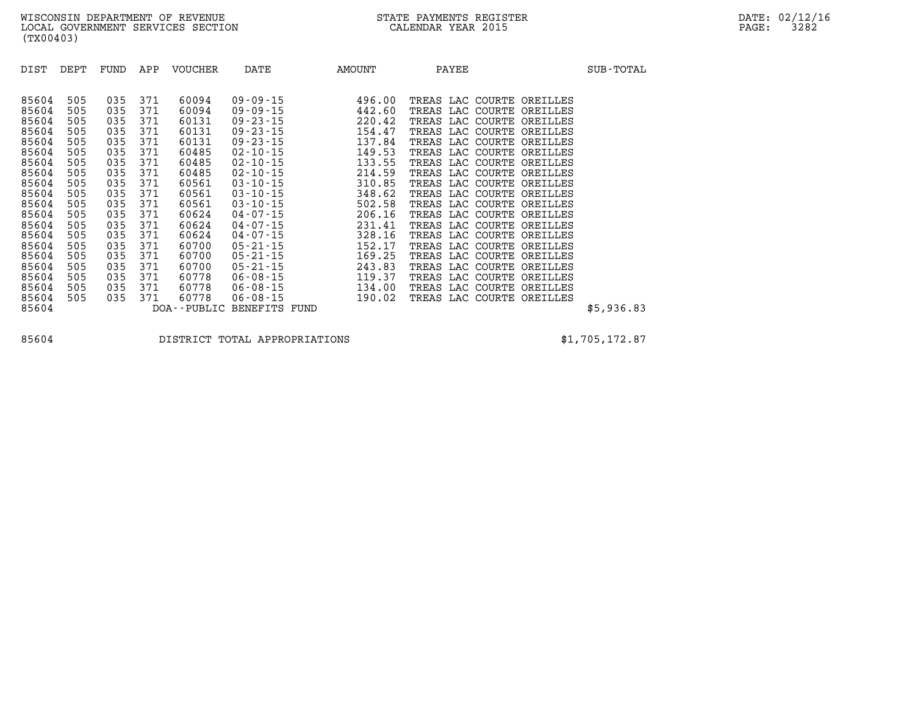| DIST  | DEPT | FUND | APP | <b>VOUCHER</b> | DATE                      | AMOUNT | PAYEE                     | SUB-TOTAL  |
|-------|------|------|-----|----------------|---------------------------|--------|---------------------------|------------|
|       |      |      |     |                |                           |        |                           |            |
| 85604 | 505  | 035  | 371 | 60094          | $09 - 09 - 15$            | 496.00 | TREAS LAC COURTE OREILLES |            |
| 85604 | 505  | 035  | 371 | 60094          | 09 - 09 - 15              | 442.60 | TREAS LAC COURTE OREILLES |            |
| 85604 | 505  | 035  | 371 | 60131          | $09 - 23 - 15$            | 220.42 | TREAS LAC COURTE OREILLES |            |
| 85604 | 505  | 035  | 371 | 60131          | $09 - 23 - 15$            | 154.47 | TREAS LAC COURTE OREILLES |            |
| 85604 | 505  | 035  | 371 | 60131          | $09 - 23 - 15$            | 137.84 | TREAS LAC COURTE OREILLES |            |
| 85604 | 505  | 035  | 371 | 60485          | $02 - 10 - 15$            | 149.53 | TREAS LAC COURTE OREILLES |            |
| 85604 | 505  | 035  | 371 | 60485          | 02-10-15                  | 133.55 | TREAS LAC COURTE OREILLES |            |
| 85604 | 505  | 035  | 371 | 60485          | $02 - 10 - 15$            | 214.59 | TREAS LAC COURTE OREILLES |            |
| 85604 | 505  | 035  | 371 | 60561          | $03 - 10 - 15$            | 310.85 | TREAS LAC COURTE OREILLES |            |
| 85604 | 505  | 035  | 371 | 60561          | $03 - 10 - 15$            | 348.62 | TREAS LAC COURTE OREILLES |            |
| 85604 | 505  | 035  | 371 | 60561          | $03 - 10 - 15$            | 502.58 | TREAS LAC COURTE OREILLES |            |
| 85604 | 505  | 035  | 371 | 60624          | $04 - 07 - 15$            | 206.16 | TREAS LAC COURTE OREILLES |            |
| 85604 | 505  | 035  | 371 | 60624          | $04 - 07 - 15$            | 231.41 | TREAS LAC COURTE OREILLES |            |
| 85604 | 505  | 035  | 371 | 60624          | $04 - 07 - 15$            | 328.16 | TREAS LAC COURTE OREILLES |            |
| 85604 | 505  | 035  | 371 | 60700          | $05 - 21 - 15$            | 152.17 | TREAS LAC COURTE OREILLES |            |
| 85604 | 505  | 035  | 371 | 60700          | $05 - 21 - 15$            | 169.25 | TREAS LAC COURTE OREILLES |            |
| 85604 | 505  | 035  | 371 | 60700          | $05 - 21 - 15$            | 243.83 | TREAS LAC COURTE OREILLES |            |
| 85604 | 505  | 035  | 371 | 60778          | $06 - 08 - 15$            | 119.37 | TREAS LAC COURTE OREILLES |            |
| 85604 | 505  | 035  | 371 | 60778          | 06-08-15                  | 134.00 | TREAS LAC COURTE OREILLES |            |
| 85604 | 505  | 035  | 371 | 60778          | $06 - 08 - 15$            | 190.02 | TREAS LAC COURTE OREILLES |            |
| 85604 |      |      |     |                | DOA--PUBLIC BENEFITS FUND |        |                           | \$5,936.83 |

**85604 DISTRICT TOTAL APPROPRIATIONS \$1,705,172.87**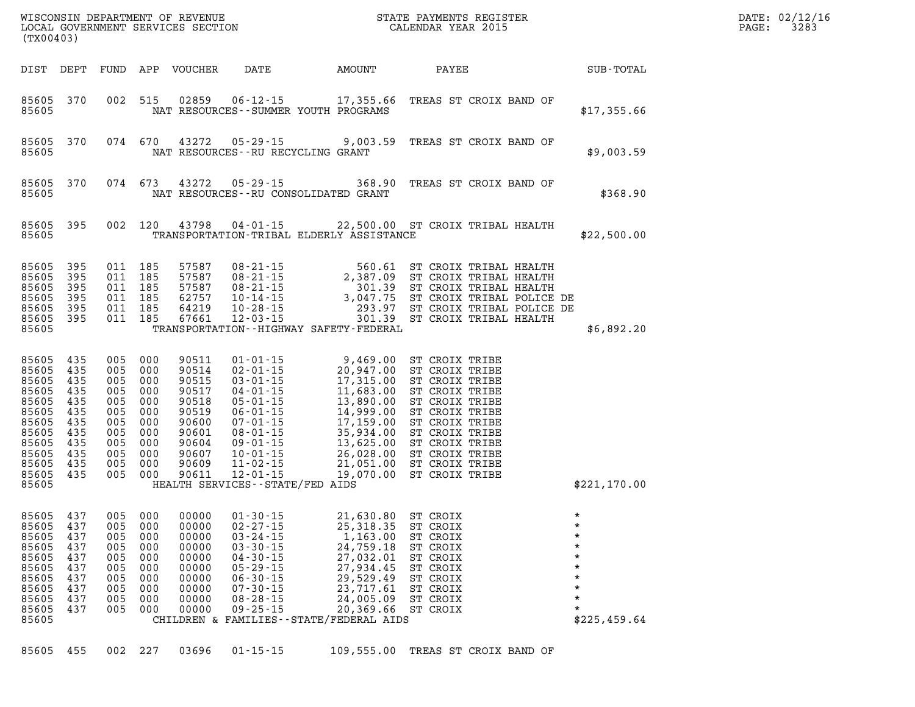| (TX00403)                                                                                                             |                                                                           |                                                                                              |                                                             |                                                                                                          |                                                                                                                                                                                                                                                            |                                                                                                                                                                                                                                                                                                               |                                                                                                                                                                                                                      |                                                                                | DATE: 02/12/16<br>PAGE: | 3283 |
|-----------------------------------------------------------------------------------------------------------------------|---------------------------------------------------------------------------|----------------------------------------------------------------------------------------------|-------------------------------------------------------------|----------------------------------------------------------------------------------------------------------|------------------------------------------------------------------------------------------------------------------------------------------------------------------------------------------------------------------------------------------------------------|---------------------------------------------------------------------------------------------------------------------------------------------------------------------------------------------------------------------------------------------------------------------------------------------------------------|----------------------------------------------------------------------------------------------------------------------------------------------------------------------------------------------------------------------|--------------------------------------------------------------------------------|-------------------------|------|
|                                                                                                                       | DIST DEPT                                                                 |                                                                                              |                                                             | FUND APP VOUCHER                                                                                         | DATE                                                                                                                                                                                                                                                       | AMOUNT                                                                                                                                                                                                                                                                                                        | PAYEE                                                                                                                                                                                                                | SUB-TOTAL                                                                      |                         |      |
| 85605 370<br>85605                                                                                                    |                                                                           | 002 515                                                                                      |                                                             | 02859                                                                                                    |                                                                                                                                                                                                                                                            | 06-12-15 17,355.66<br>NAT RESOURCES - - SUMMER YOUTH PROGRAMS                                                                                                                                                                                                                                                 | TREAS ST CROIX BAND OF                                                                                                                                                                                               | \$17,355.66                                                                    |                         |      |
| 85605<br>85605                                                                                                        | 370                                                                       | 074 670                                                                                      |                                                             | 43272                                                                                                    | $05 - 29 - 15$<br>NAT RESOURCES -- RU RECYCLING GRANT                                                                                                                                                                                                      | 9,003.59                                                                                                                                                                                                                                                                                                      | TREAS ST CROIX BAND OF                                                                                                                                                                                               | \$9,003.59                                                                     |                         |      |
| 85605<br>85605                                                                                                        | 370                                                                       | 074 673                                                                                      |                                                             | 43272                                                                                                    |                                                                                                                                                                                                                                                            | $05 - 29 - 15$ 368.90<br>NAT RESOURCES - - RU CONSOLIDATED GRANT                                                                                                                                                                                                                                              | TREAS ST CROIX BAND OF                                                                                                                                                                                               | \$368.90                                                                       |                         |      |
| 85605<br>85605                                                                                                        | 395                                                                       | 002 120                                                                                      |                                                             | 43798                                                                                                    |                                                                                                                                                                                                                                                            | 04-01-15 22,500.00 ST CROIX TRIBAL HEALTH<br>TRANSPORTATION-TRIBAL ELDERLY ASSISTANCE                                                                                                                                                                                                                         |                                                                                                                                                                                                                      | \$22,500.00                                                                    |                         |      |
| 85605<br>85605<br>85605<br>85605<br>85605<br>85605<br>85605                                                           | 395<br>395<br>395<br>395<br>395<br>395                                    | 011 185<br>011 185<br>011 185<br>011<br>011<br>011 185                                       | 185<br>185                                                  | 57587<br>57587<br>57587<br>62757<br>64219<br>67661                                                       | 12-03-15                                                                                                                                                                                                                                                   | 08-21-15<br>08-21-15<br>08-21-15<br>2,387.09<br>2,387.09<br>560.61<br>ST CROIX TRIBAL HEALTH<br>08-21-15<br>3,047.75<br>3,047.75<br>ST CROIX TRIBAL HEALTH<br>293.97<br>ST CROIX TRIBAL POLICE DE<br>10-28-15<br>293.97<br>ST CROIX TRIBAL POLICE DE<br>12-03-<br>TRANSPORTATION - - HIGHWAY SAFETY - FEDERAL |                                                                                                                                                                                                                      | \$6,892.20                                                                     |                         |      |
| 85605<br>85605<br>85605<br>85605<br>85605<br>85605<br>85605<br>85605<br>85605<br>85605<br>85605<br>85605 435<br>85605 | 435<br>435<br>435<br>435<br>435<br>435<br>435<br>435<br>435<br>435<br>435 | 005<br>005 000<br>005<br>005 000<br>005<br>005<br>005<br>005<br>005<br>005<br>005<br>005 000 | 000<br>000<br>000<br>000<br>000<br>000<br>000<br>000<br>000 | 90511<br>90514<br>90515<br>90517<br>90518<br>90519<br>90600<br>90601<br>90604<br>90607<br>90609<br>90611 | $01 - 01 - 15$<br>$02 - 01 - 15$<br>$03 - 01 - 15$<br>$04 - 01 - 15$<br>$05 - 01 - 15$<br>$06 - 01 - 15$<br>$07 - 01 - 15$<br>$08 - 01 - 15$<br>$09 - 01 - 15$<br>$10 - 01 - 15$<br>$11 - 02 - 15$<br>$12 - 01 - 15$<br>HEALTH SERVICES - - STATE/FED AIDS | 9,469.00<br>9,469.00<br>20,947.00<br>17,315.00<br>11,683.00<br>11,683.00<br>14,999.00<br>14,999.00<br>17,159.00<br>35,934.00<br>26,028.00<br>21,051.00<br>21,051.00<br>7/FFD ATDS                                                                                                                             | ST CROIX TRIBE<br>ST CROIX TRIBE<br>ST CROIX TRIBE<br>ST CROIX TRIBE<br>ST CROIX TRIBE<br>ST CROIX TRIBE<br>ST CROIX TRIBE<br>ST CROIX TRIBE<br>ST CROIX TRIBE<br>ST CROIX TRIBE<br>ST CROIX TRIBE<br>ST CROIX TRIBE | \$221,170.00                                                                   |                         |      |
| 85605<br>85605<br>85605<br>85605<br>85605<br>85605<br>85605<br>85605<br>85605<br>85605<br>85605                       | 437<br>437<br>437<br>437<br>437<br>437<br>437<br>437<br>437<br>437        | 005<br>005 000<br>005<br>005<br>005<br>005<br>005<br>005<br>005<br>005                       | 000<br>000<br>000<br>000<br>000<br>000<br>000<br>000<br>000 | 00000<br>00000<br>00000<br>00000<br>00000<br>00000<br>00000<br>00000<br>00000<br>00000                   | $01 - 30 - 15$<br>$02 - 27 - 15$<br>$03 - 24 - 15$<br>$03 - 30 - 15$<br>$04 - 30 - 15$<br>$05 - 29 - 15$<br>$06 - 30 - 15$<br>$07 - 30 - 15$<br>$08 - 28 - 15$<br>$09 - 25 - 15$                                                                           | 21,630.80 ST CROIX<br>25,318.35 ST CROIX<br>1,163.00<br>24,759.18<br>27,032.01<br>27,934.45<br>29,529.49<br>23,717.61<br>24,005.09<br>20,369.66<br>CHILDREN & FAMILIES - - STATE/FEDERAL AIDS                                                                                                                 | ST CROIX<br>ST CROIX<br>ST CROIX<br>ST CROIX<br>ST CROIX<br>ST CROIX<br>ST CROIX<br>ST CROIX                                                                                                                         | $\star$<br>$\star$<br>$\star$<br>$\star$<br>$\star$<br>$\star$<br>\$225,459.64 |                         |      |

**85605 455 002 227 03696 01-15-15 109,555.00 TREAS ST CROIX BAND OF**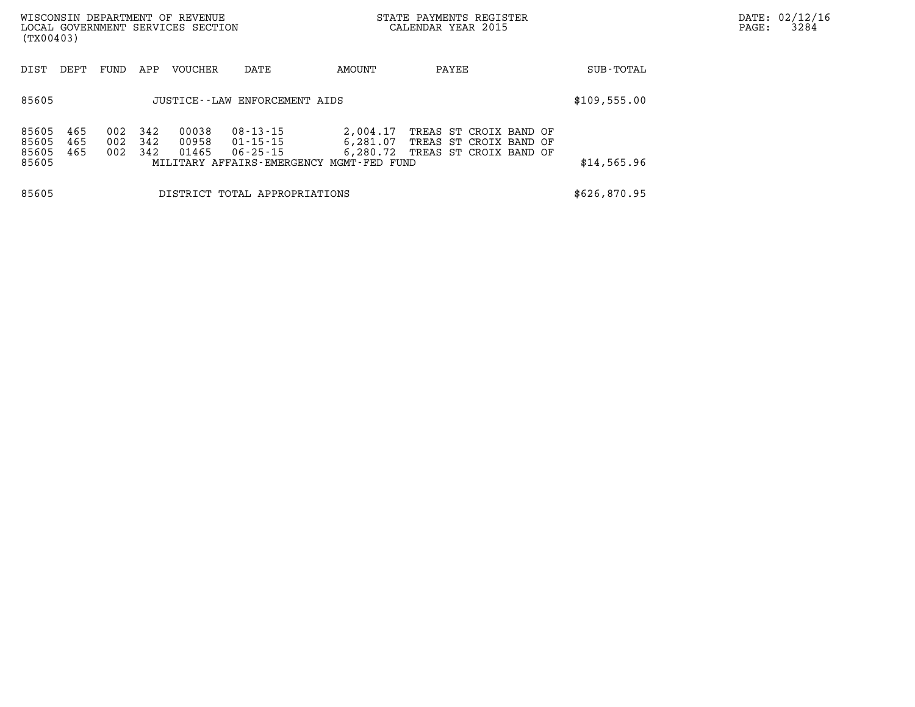| (TX00403)                        |                                |                   |                   | WISCONSIN DEPARTMENT OF REVENUE<br>LOCAL GOVERNMENT SERVICES SECTION |                                                    |                                                                              | STATE PAYMENTS REGISTER<br>CALENDAR YEAR 2015                              |             | DATE: 02/12/16<br>3284<br>PAGE: |
|----------------------------------|--------------------------------|-------------------|-------------------|----------------------------------------------------------------------|----------------------------------------------------|------------------------------------------------------------------------------|----------------------------------------------------------------------------|-------------|---------------------------------|
| DIST                             | DEPT                           | FUND              | APP               | VOUCHER                                                              | DATE                                               | AMOUNT                                                                       | PAYEE                                                                      | SUB-TOTAL   |                                 |
| 85605                            | JUSTICE - LAW ENFORCEMENT AIDS |                   |                   |                                                                      |                                                    |                                                                              |                                                                            |             |                                 |
| 85605<br>85605<br>85605<br>85605 | 465<br>465<br>465              | 002<br>002<br>002 | 342<br>342<br>342 | 00038<br>00958<br>01465                                              | $08 - 13 - 15$<br>$01 - 15 - 15$<br>$06 - 25 - 15$ | 2,004.17<br>6,281.07<br>6,280.72<br>MILITARY AFFAIRS-EMERGENCY MGMT-FED FUND | TREAS ST CROIX BAND OF<br>TREAS ST CROIX BAND OF<br>TREAS ST CROIX BAND OF | \$14,565.96 |                                 |
| 85605                            |                                |                   |                   |                                                                      | DISTRICT TOTAL APPROPRIATIONS                      | \$626,870.95                                                                 |                                                                            |             |                                 |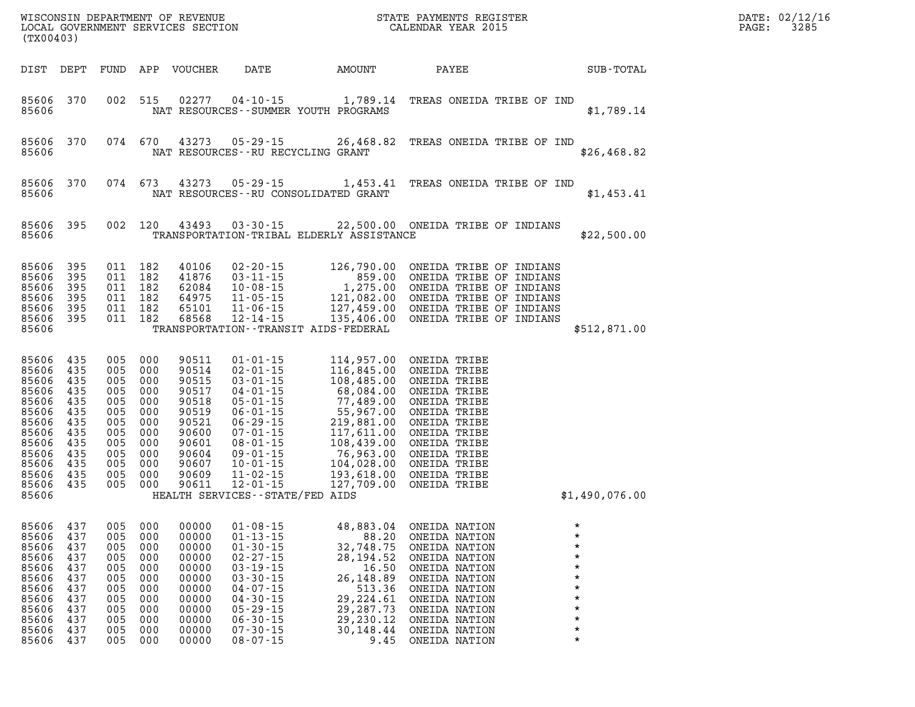| STATE PAYMENTS REGISTER<br>CALENDAR YEAR 2015<br>WISCONSIN DEPARTMENT OF REVENUE<br>LOCAL GOVERNMENT SERVICES SECTION<br>(TX00403) |                                                                                  |                                                                                                             |                                                                           |                                                                                                                   |                                                                                                                                                                                                                                                                           |                                                                                                                                                                                            |                                                                                                                                                                                                              | DATE: 02/12/16<br>3285<br>PAGE:                                                                          |  |
|------------------------------------------------------------------------------------------------------------------------------------|----------------------------------------------------------------------------------|-------------------------------------------------------------------------------------------------------------|---------------------------------------------------------------------------|-------------------------------------------------------------------------------------------------------------------|---------------------------------------------------------------------------------------------------------------------------------------------------------------------------------------------------------------------------------------------------------------------------|--------------------------------------------------------------------------------------------------------------------------------------------------------------------------------------------|--------------------------------------------------------------------------------------------------------------------------------------------------------------------------------------------------------------|----------------------------------------------------------------------------------------------------------|--|
| DIST DEPT                                                                                                                          |                                                                                  |                                                                                                             |                                                                           | FUND APP VOUCHER                                                                                                  | DATE                                                                                                                                                                                                                                                                      | AMOUNT                                                                                                                                                                                     | PAYEE                                                                                                                                                                                                        | SUB-TOTAL                                                                                                |  |
| 85606 370<br>85606                                                                                                                 |                                                                                  |                                                                                                             | 002 515                                                                   |                                                                                                                   |                                                                                                                                                                                                                                                                           | 02277  04-10-15  1,789.14<br>NAT RESOURCES - - SUMMER YOUTH PROGRAMS                                                                                                                       | TREAS ONEIDA TRIBE OF IND                                                                                                                                                                                    | \$1,789.14                                                                                               |  |
| 85606<br>85606                                                                                                                     | 370                                                                              | 074 670                                                                                                     |                                                                           | 43273                                                                                                             | 05-29-15<br>NAT RESOURCES - - RU RECYCLING GRANT                                                                                                                                                                                                                          | 26,468.82                                                                                                                                                                                  | TREAS ONEIDA TRIBE OF IND                                                                                                                                                                                    | \$26,468.82                                                                                              |  |
| 85606<br>85606                                                                                                                     | 370                                                                              | 074 673                                                                                                     |                                                                           |                                                                                                                   | 43273 05-29-15                                                                                                                                                                                                                                                            | 1,453.41<br>NAT RESOURCES - - RU CONSOLIDATED GRANT                                                                                                                                        | TREAS ONEIDA TRIBE OF IND                                                                                                                                                                                    | \$1,453.41                                                                                               |  |
| 85606<br>85606                                                                                                                     | 395                                                                              |                                                                                                             | 002 120                                                                   | 43493                                                                                                             | $03 - 30 - 15$                                                                                                                                                                                                                                                            | 22,500.00 ONEIDA TRIBE OF INDIANS<br>TRANSPORTATION-TRIBAL ELDERLY ASSISTANCE                                                                                                              |                                                                                                                                                                                                              | \$22,500.00                                                                                              |  |
| 85606<br>85606<br>85606<br>85606<br>85606<br>85606 395<br>85606                                                                    | 395<br>395<br>395<br>395<br>395                                                  | 011 182<br>011 182<br>011 182<br>011 182<br>011 182<br>011 182                                              |                                                                           | 40106<br>41876<br>62084<br>64975<br>65101<br>68568                                                                | $02 - 20 - 15$<br>$03 - 11 - 15$<br>10-08-15<br>$11 - 05 - 15$<br>$11 - 06 - 15$<br>12-14-15                                                                                                                                                                              | 126,790.00<br>859.00<br>1,275.00<br>$121,082.00$<br>$127,459.00$<br>$135,406.00$<br>TRANSPORTATION - - TRANSIT AIDS - FEDERAL                                                              | ONEIDA TRIBE OF INDIANS<br>ONEIDA TRIBE OF INDIANS<br>ONEIDA TRIBE OF INDIANS<br>ONEIDA TRIBE OF INDIANS<br>ONEIDA TRIBE OF INDIANS<br>ONEIDA TRIBE OF INDIANS                                               | \$512,871.00                                                                                             |  |
| 85606<br>85606<br>85606<br>85606<br>85606<br>85606<br>85606<br>85606<br>85606<br>85606<br>85606<br>85606<br>85606 435<br>85606     | 435<br>435<br>435<br>435<br>435<br>435<br>435<br>435<br>435<br>435<br>435<br>435 | 005<br>005 000<br>005 000<br>005 000<br>005<br>005<br>005<br>005<br>005<br>005 000<br>005<br>005<br>005 000 | 000<br>000<br>000<br>000<br>000<br>000<br>000<br>000                      | 90511<br>90514<br>90515<br>90517<br>90518<br>90519<br>90521<br>90600<br>90601<br>90604<br>90607<br>90609<br>90611 | $01 - 01 - 15$<br>$02 - 01 - 15$<br>$03 - 01 - 15$<br>$04 - 01 - 15$<br>$05 - 01 - 15$<br>$06 - 01 - 15$<br>$06 - 29 - 15$<br>$07 - 01 - 15$<br>$08 - 01 - 15$<br>$09 - 01 - 15$<br>$10 - 01 - 15$<br>$11 - 02 - 15$<br>$12 - 01 - 15$<br>HEALTH SERVICES--STATE/FED AIDS | 114,957.00<br>116,845.00<br>108, 100.<br>68, 084.00<br>77.489.00<br>77,489.00<br>55,967.00<br>$219,881.00 \ 117,611.00 \ 108,439.00 \ 76,963.00$<br>104,028.00<br>193,618.00<br>127,709.00 | ONEIDA TRIBE<br>ONEIDA TRIBE<br>ONEIDA TRIBE<br>ONEIDA TRIBE<br>ONEIDA TRIBE<br>ONEIDA TRIBE<br>ONEIDA TRIBE<br>ONEIDA TRIBE<br>ONEIDA TRIBE<br>ONEIDA TRIBE<br>ONEIDA TRIBE<br>ONEIDA TRIBE<br>ONEIDA TRIBE | \$1,490,076.00                                                                                           |  |
| 85606 437<br>85606<br>85606<br>85606<br>85606<br>85606<br>85606<br>85606<br>85606<br>85606<br>85606<br>85606                       | 437<br>437<br>437<br>437<br>437<br>437<br>437<br>437<br>437<br>437<br>437        | 005 000<br>005<br>005<br>005<br>005<br>005<br>005<br>005<br>005<br>005<br>005<br>005                        | 000<br>000<br>000<br>000<br>000<br>000<br>000<br>000<br>000<br>000<br>000 | 00000<br>00000<br>00000<br>00000<br>00000<br>00000<br>00000<br>00000<br>00000<br>00000<br>00000<br>00000          | $01 - 08 - 15$<br>$01 - 13 - 15$<br>$01 - 30 - 15$<br>$02 - 27 - 15$<br>$03 - 19 - 15$<br>$03 - 30 - 15$<br>$04 - 07 - 15$<br>$04 - 30 - 15$<br>$05 - 29 - 15$<br>$06 - 30 - 15$<br>$07 - 30 - 15$<br>$08 - 07 - 15$                                                      | 48,883.04<br>88.20<br>32,748.75<br>28, 194.52<br>16.50<br>26,148.89<br>513.36<br>29, 224.61<br>29, 287. 73<br>29,230.12<br>30,148.44<br>9.45                                               | ONEIDA NATION<br>ONEIDA NATION<br>ONEIDA NATION<br>ONEIDA NATION<br>ONEIDA NATION<br>ONEIDA NATION<br>ONEIDA NATION<br>ONEIDA NATION<br>ONEIDA NATION<br>ONEIDA NATION<br>ONEIDA NATION<br>ONEIDA NATION     | $\star$<br>$\star$<br>$\star$<br>$\star$<br>$\star$<br>$\star$<br>$\star$<br>*<br>*<br>*<br>*<br>$\star$ |  |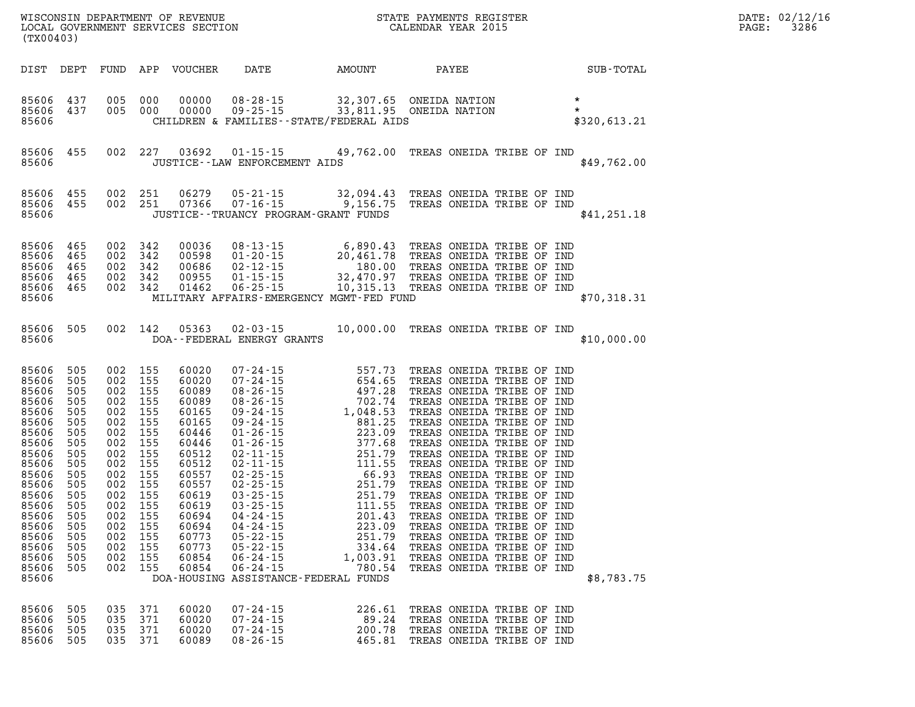| WISCONSIN DEPARTMENT OF REVENUE<br>LOCAL GOVERNMENT SERVICES SECTION FOR THE SALENDAR YEAR 2015<br>(TX00403)                                                                            |                                                                                                                          |                                                                                             |                                                                                                                   |                                                                                                                                                                                          |                                                                                                        |                              |                                                                                                                                                                                                                                         | $\mathbb{R}^n$ | DATE: 02/12/16<br>$\mathtt{PAGE}$ :<br>3286 |
|-----------------------------------------------------------------------------------------------------------------------------------------------------------------------------------------|--------------------------------------------------------------------------------------------------------------------------|---------------------------------------------------------------------------------------------|-------------------------------------------------------------------------------------------------------------------|------------------------------------------------------------------------------------------------------------------------------------------------------------------------------------------|--------------------------------------------------------------------------------------------------------|------------------------------|-----------------------------------------------------------------------------------------------------------------------------------------------------------------------------------------------------------------------------------------|----------------|---------------------------------------------|
|                                                                                                                                                                                         |                                                                                                                          |                                                                                             |                                                                                                                   |                                                                                                                                                                                          |                                                                                                        |                              | DIST DEPT FUND APP VOUCHER DATE AMOUNT PAYEE SUB-TOTAL                                                                                                                                                                                  |                |                                             |
|                                                                                                                                                                                         |                                                                                                                          |                                                                                             |                                                                                                                   |                                                                                                                                                                                          |                                                                                                        |                              |                                                                                                                                                                                                                                         |                |                                             |
| 85606                                                                                                                                                                                   |                                                                                                                          |                                                                                             |                                                                                                                   |                                                                                                                                                                                          | JUSTICE--LAW ENFORCEMENT AIDS                                                                          |                              | 85606 455 002 227 03692 01-15-15 49,762.00 TREAS ONEIDA TRIBE OF IND                                                                                                                                                                    | \$49,762.00    |                                             |
| 85606                                                                                                                                                                                   |                                                                                                                          |                                                                                             |                                                                                                                   |                                                                                                                                                                                          | JUSTICE - TRUANCY PROGRAM - GRANT FUNDS                                                                |                              | 85606 455 002 251 06279 05-21-15 32,094.43 TREAS ONEIDA TRIBE OF IND<br>85606 455 002 251 07366 07-16-15 9,156.75 TREAS ONEIDA TRIBE OF IND                                                                                             | \$41,251.18    |                                             |
|                                                                                                                                                                                         |                                                                                                                          |                                                                                             |                                                                                                                   |                                                                                                                                                                                          |                                                                                                        |                              | 85606 465 002 342 00036 08-13-15 6,890.43 TREAS ONEIDA TRIBE OF IND<br>85606 465 002 342 00598 01-20-15 20,461.78 TREAS ONEIDA TRIBE OF IND<br>85606 465 002 342 00686 02-12-15 180.00 TREAS ONEIDA TRIBE OF IND<br>85606 465 002 342 0 | \$70,318.31    |                                             |
|                                                                                                                                                                                         |                                                                                                                          |                                                                                             |                                                                                                                   |                                                                                                                                                                                          | 85606 DOA--FEDERAL ENERGY GRANTS                                                                       |                              | 85606 505 002 142 05363 02-03-15 10,000.00 TREAS ONEIDA TRIBE OF IND                                                                                                                                                                    | \$10,000.00    |                                             |
| 85606<br>85606<br>85606<br>85606<br>85606<br>85606<br>85606 505<br>85606<br>85606<br>85606<br>85606 505<br>85606 505<br>85606 505<br>85606<br>85606<br>85606<br>85606<br>85606<br>85606 | 85606 505<br>505<br>505<br>505<br>505<br>505<br>505<br>505<br>505<br>505<br>505<br>85606 505<br>505<br>505<br>505<br>505 | 002 155<br>002 155<br>002 155<br>002 155<br>002 155<br>002 155<br>002 155<br>002 155<br>002 | 002 155<br>002 155<br>002 155<br>002 155<br>002 155<br>002 155<br>002 155<br>155<br>002 155<br>002 155<br>002 155 | 60020<br>60020<br>60089<br>60089<br>60165<br>60165<br>60446<br>60446<br>60512<br>60512<br>60557<br>60557<br>60619<br>60619<br>60694<br>002 155 60694<br>60773<br>60773<br>60854<br>60854 | $05 - 22 - 15$<br>05-22-15<br>$06 - 24 - 15$<br>$06 - 24 - 15$<br>DOA-HOUSING ASSISTANCE-FEDERAL FUNDS | 334.64<br>1,003.91<br>780.54 | 04-24-15  223.09 TREAS ONEIDA TRIBE OF IND<br>251.79 TREAS ONEIDA TRIBE OF IND<br>TREAS ONEIDA TRIBE OF IND<br>TREAS ONEIDA TRIBE OF IND<br>TREAS ONEIDA TRIBE OF IND                                                                   | \$8,783.75     |                                             |
| 85606<br>85606<br>85606<br>85606                                                                                                                                                        | 505<br>505<br>505<br>505                                                                                                 | 035                                                                                         | 035 371<br>371<br>035 371<br>035 371                                                                              | 60020<br>60020<br>60020<br>60089                                                                                                                                                         | $07 - 24 - 15$<br>$07 - 24 - 15$<br>$07 - 24 - 15$<br>$08 - 26 - 15$                                   | 226.61<br>89.24<br>200.78    | TREAS ONEIDA TRIBE OF IND<br>TREAS ONEIDA TRIBE OF IND<br>TREAS ONEIDA TRIBE OF IND<br>465.81 TREAS ONEIDA TRIBE OF IND                                                                                                                 |                |                                             |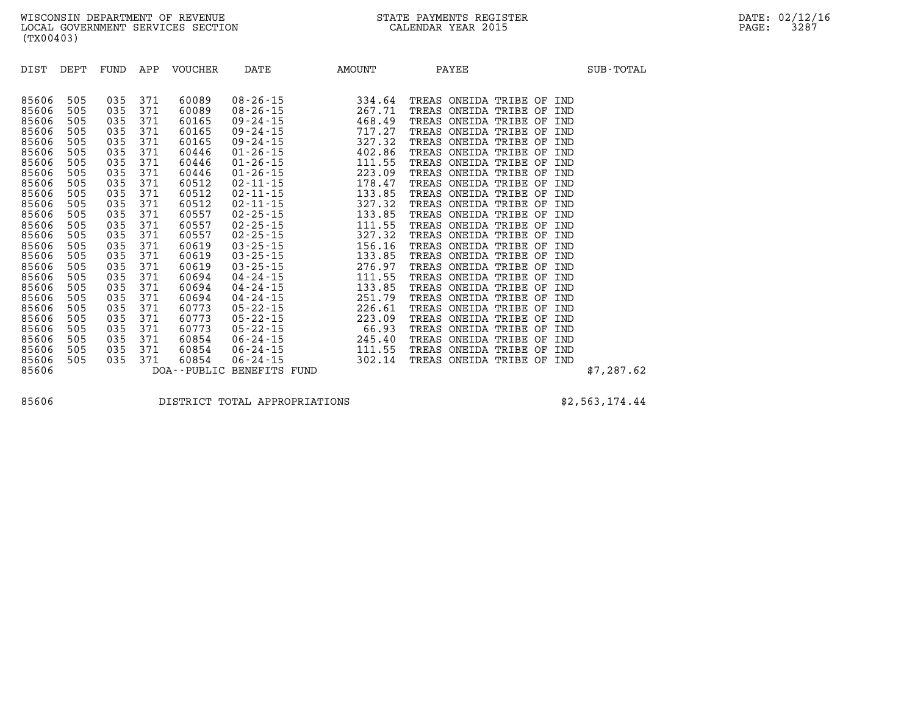| DIST  | DEPT | FUND | APP | VOUCHER | DATE                      | AMOUNT |       | PAYEE                     |  |     | SUB-TOTAL  |
|-------|------|------|-----|---------|---------------------------|--------|-------|---------------------------|--|-----|------------|
|       |      |      |     |         |                           |        |       |                           |  |     |            |
| 85606 | 505  | 035  | 371 | 60089   | $08 - 26 - 15$            | 334.64 |       | TREAS ONEIDA TRIBE OF IND |  |     |            |
| 85606 | 505  | 035  | 371 | 60089   | $08 - 26 - 15$            | 267.71 | TREAS | ONEIDA TRIBE OF IND       |  |     |            |
| 85606 | 505  | 035  | 371 | 60165   | 09-24-15                  | 468.49 | TREAS | ONEIDA TRIBE OF           |  | IND |            |
| 85606 | 505  | 035  | 371 | 60165   | $09 - 24 - 15$            | 717.27 | TREAS | ONEIDA TRIBE OF           |  | IND |            |
| 85606 | 505  | 035  | 371 | 60165   | 09-24-15                  | 327.32 | TREAS | ONEIDA TRIBE OF           |  | IND |            |
| 85606 | 505  | 035  | 371 | 60446   | $01 - 26 - 15$            | 402.86 | TREAS | ONEIDA TRIBE OF           |  | IND |            |
| 85606 | 505  | 035  | 371 | 60446   | $01 - 26 - 15$            | 111.55 | TREAS | ONEIDA TRIBE OF           |  | IND |            |
| 85606 | 505  | 035  | 371 | 60446   | $01 - 26 - 15$            | 223.09 | TREAS | ONEIDA TRIBE OF           |  | IND |            |
| 85606 | 505  | 035  | 371 | 60512   | $02 - 11 - 15$            | 178.47 | TREAS | ONEIDA TRIBE OF           |  | IND |            |
| 85606 | 505  | 035  | 371 | 60512   | $02 - 11 - 15$            | 133.85 | TREAS | ONEIDA TRIBE OF           |  | IND |            |
| 85606 | 505  | 035  | 371 | 60512   | $02 - 11 - 15$            | 327.32 | TREAS | ONEIDA TRIBE OF           |  | IND |            |
| 85606 | 505  | 035  | 371 | 60557   | $02 - 25 - 15$            | 133.85 | TREAS | ONEIDA TRIBE OF           |  | IND |            |
| 85606 | 505  | 035  | 371 | 60557   | $02 - 25 - 15$            | 111.55 | TREAS | ONEIDA TRIBE OF           |  | IND |            |
| 85606 | 505  | 035  | 371 | 60557   | $02 - 25 - 15$            | 327.32 | TREAS | ONEIDA TRIBE OF           |  | IND |            |
| 85606 | 505  | 035  | 371 | 60619   | $03 - 25 - 15$            | 156.16 | TREAS | ONEIDA TRIBE OF           |  | IND |            |
| 85606 | 505  | 035  | 371 | 60619   | $03 - 25 - 15$            | 133.85 | TREAS | ONEIDA TRIBE OF           |  | IND |            |
| 85606 | 505  | 035  | 371 | 60619   | $03 - 25 - 15$            | 276.97 | TREAS | ONEIDA TRIBE OF           |  | IND |            |
| 85606 | 505  | 035  | 371 | 60694   | $04 - 24 - 15$            | 111.55 | TREAS | ONEIDA TRIBE OF           |  | IND |            |
| 85606 | 505  | 035  | 371 | 60694   | $04 - 24 - 15$            | 133.85 | TREAS | ONEIDA TRIBE OF           |  | IND |            |
| 85606 | 505  | 035  | 371 | 60694   | 04-24-15                  | 251.79 | TREAS | ONEIDA TRIBE OF           |  | IND |            |
| 85606 | 505  | 035  | 371 | 60773   | $05 - 22 - 15$            | 226.61 | TREAS | ONEIDA TRIBE OF           |  | IND |            |
| 85606 | 505  | 035  | 371 | 60773   | $05 - 22 - 15$            | 223.09 | TREAS | ONEIDA TRIBE OF           |  | IND |            |
| 85606 | 505  | 035  | 371 | 60773   | $05 - 22 - 15$            | 66.93  | TREAS | ONEIDA TRIBE OF           |  | IND |            |
| 85606 | 505  | 035  | 371 | 60854   | $06 - 24 - 15$            | 245.40 | TREAS | ONEIDA TRIBE OF           |  | IND |            |
| 85606 | 505  | 035  | 371 | 60854   | $06 - 24 - 15$            | 111.55 | TREAS | ONEIDA TRIBE OF           |  | IND |            |
| 85606 | 505  | 035  | 371 | 60854   | $06 - 24 - 15$            | 302.14 |       | TREAS ONEIDA TRIBE OF     |  | IND |            |
| 85606 |      |      |     |         | DOA--PUBLIC BENEFITS FUND |        |       |                           |  |     | \$7,287.62 |

**85606 DISTRICT TOTAL APPROPRIATIONS \$2,563,174.44**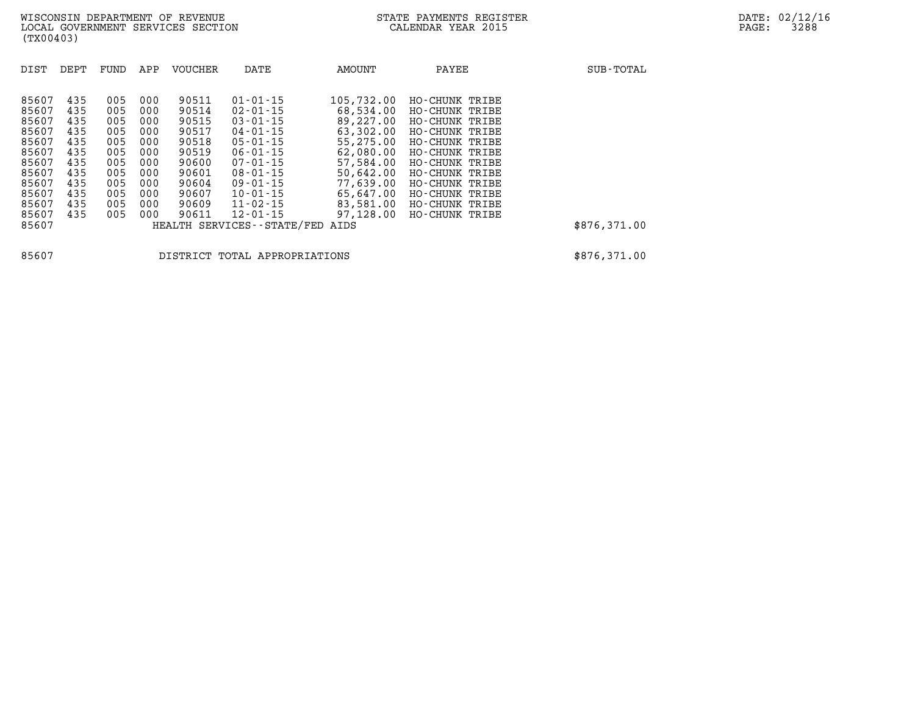| DIST  | DEPT | FUND | APP | <b>VOUCHER</b> | DATE                          | AMOUNT     | PAYEE          | SUB-TOTAL    |
|-------|------|------|-----|----------------|-------------------------------|------------|----------------|--------------|
| 85607 | 435  | 005  | 000 | 90511          | $01 - 01 - 15$                | 105,732.00 | HO-CHUNK TRIBE |              |
| 85607 | 435  | 005  | 000 | 90514          | $02 - 01 - 15$                | 68,534.00  | HO-CHUNK TRIBE |              |
| 85607 | 435  | 005  | 000 | 90515          | $03 - 01 - 15$                | 89,227.00  | HO-CHUNK TRIBE |              |
| 85607 | 435  | 005  | 000 | 90517          | $04 - 01 - 15$                | 63,302.00  | HO-CHUNK TRIBE |              |
| 85607 | 435  | 005  | 000 | 90518          | $05 - 01 - 15$                | 55,275.00  | HO-CHUNK TRIBE |              |
| 85607 | 435  | 005  | 000 | 90519          | $06 - 01 - 15$                | 62,080.00  | HO-CHUNK TRIBE |              |
| 85607 | 435  | 005  | 000 | 90600          | $07 - 01 - 15$                | 57,584.00  | HO-CHUNK TRIBE |              |
| 85607 | 435  | 005  | 000 | 90601          | $08 - 01 - 15$                | 50,642.00  | HO-CHUNK TRIBE |              |
| 85607 | 435  | 005  | 000 | 90604          | $09 - 01 - 15$                | 77,639.00  | HO-CHUNK TRIBE |              |
| 85607 | 435  | 005  | 000 | 90607          | $10 - 01 - 15$                | 65,647.00  | HO-CHUNK TRIBE |              |
| 85607 | 435  | 005  | 000 | 90609          | $11 - 02 - 15$                | 83,581.00  | HO-CHUNK TRIBE |              |
| 85607 | 435  | 005  | 000 | 90611          | $12 - 01 - 15$                | 97,128.00  | HO-CHUNK TRIBE |              |
| 85607 |      |      |     |                | HEALTH SERVICES - - STATE/FED | AIDS       |                | \$876,371.00 |
|       |      |      |     |                |                               |            |                |              |

**85607 DISTRICT TOTAL APPROPRIATIONS \$876,371.00**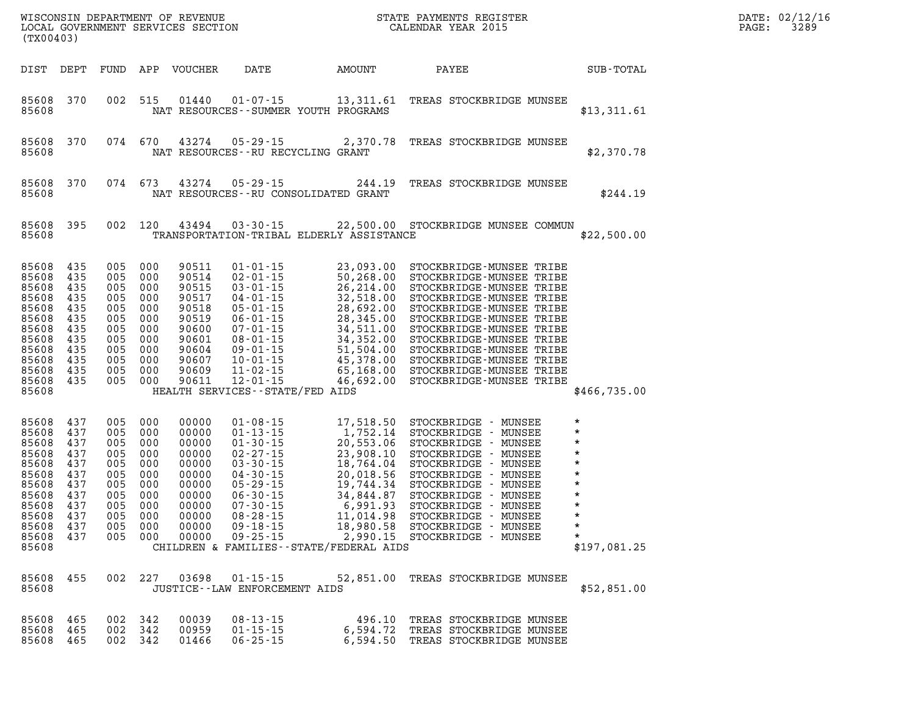| WISCONSIN DEPARTMENT OF REVENUE<br>LOCAL GOVERNMENT SERVICES SECTION CALENDAR YEAR 2015<br>(TX00403)                                                  |                          |                                                          |                                                                                                           |                                                                                                          |                                                            |                                                                                                                                                                                                                                                             |                                                                                                                                    | DATE: 02/12/16<br>PAGE:<br>3289 |
|-------------------------------------------------------------------------------------------------------------------------------------------------------|--------------------------|----------------------------------------------------------|-----------------------------------------------------------------------------------------------------------|----------------------------------------------------------------------------------------------------------|------------------------------------------------------------|-------------------------------------------------------------------------------------------------------------------------------------------------------------------------------------------------------------------------------------------------------------|------------------------------------------------------------------------------------------------------------------------------------|---------------------------------|
| DIST DEPT                                                                                                                                             |                          |                                                          |                                                                                                           | FUND APP VOUCHER                                                                                         | DATE AMOUNT                                                | <b>PAYEE</b>                                                                                                                                                                                                                                                | SUB-TOTAL                                                                                                                          |                                 |
| 85608 370<br>85608                                                                                                                                    |                          |                                                          | 002 515                                                                                                   |                                                                                                          | 01440  01-07-15<br>NAT RESOURCES - - SUMMER YOUTH PROGRAMS | 13,311.61 TREAS STOCKBRIDGE MUNSEE                                                                                                                                                                                                                          | \$13,311.61                                                                                                                        |                                 |
| 85608 370<br>85608                                                                                                                                    |                          |                                                          | 074 670                                                                                                   | 43274                                                                                                    | 05-29-15<br>NAT RESOURCES--RU RECYCLING GRANT              | 2,370.78 TREAS STOCKBRIDGE MUNSEE                                                                                                                                                                                                                           | \$2,370.78                                                                                                                         |                                 |
| 85608 370<br>85608                                                                                                                                    |                          |                                                          | 074 673                                                                                                   | 43274                                                                                                    | 05-29-15<br>NAT RESOURCES--RU CONSOLIDATED GRANT           | 244.19 TREAS STOCKBRIDGE MUNSEE                                                                                                                                                                                                                             | \$244.19                                                                                                                           |                                 |
| 85608<br>85608                                                                                                                                        | 395                      |                                                          | 002 120                                                                                                   | 43494                                                                                                    | $03 - 30 - 15$<br>TRANSPORTATION-TRIBAL ELDERLY ASSISTANCE | 22,500.00 STOCKBRIDGE MUNSEE COMMUN                                                                                                                                                                                                                         | \$22,500.00                                                                                                                        |                                 |
| 85608 435<br>85608 435<br>85608<br>85608 435<br>85608<br>85608 435<br>85608<br>85608 435<br>85608<br>85608 435<br>85608 435<br>85608 435<br>85608     | 435<br>435<br>435<br>435 | 005 000<br>005<br>005<br>005                             | 005 000<br>005 000<br>005 000<br>000<br>005 000<br>000<br>005 000<br>005 000<br>005 000<br>000<br>005 000 | 90511<br>90514<br>90515<br>90517<br>90518<br>90519<br>90600<br>90601<br>90604<br>90607<br>90609<br>90611 | HEALTH SERVICES--STATE/FED AIDS                            | 01-01-15<br>02-01-15<br>02-01-15<br>50,268.00<br>03-01-15<br>26,214.00<br>STOCKBRIDGE-MUNSEE TRIBE<br>04-01-15<br>28,692.00<br>STOCKBRIDGE-MUNSEE TRIBE<br>05-01-15<br>28,692.00<br>STOCKBRIDGE-MUNSEE TRIBE<br>07-01-15<br>28,345.00<br>STOCKBRIDGE-MUNSEE | \$466,735.00                                                                                                                       |                                 |
| 85608 437<br>85608 437<br>85608 437<br>85608<br>85608 437<br>85608<br>85608 437<br>85608<br>85608 437<br>85608 437<br>85608 437<br>85608 437<br>85608 | 437<br>437<br>437        | 005 000<br>005<br>005<br>005<br>005<br>005<br>005<br>005 | 005 000<br>005 000<br>000<br>000<br>000<br>000<br>000<br>000<br>000                                       | 00000<br>00000<br>00000<br>00000<br>00000<br>00000<br>00000<br>00000<br>00000<br>00000                   | CHILDREN & FAMILIES--STATE/FEDERAL AIDS                    | $0.05$ $0.00$ $0.0000$ $0.9 - 18 - 15$ $0.980.58$ STOCKBRIDGE - MUNSEE $0.05$ $0.00$ $0.0000$ $0.9 - 25 - 15$ $2,990.15$ STOCKBRIDGE - MUNSEE                                                                                                               | $\star$<br>$^\star$<br>$^\star$<br>$\star$<br>$^\star$<br>$^\star$<br>$^\star$<br>*<br>$\ast$<br>*<br>*<br>$\star$<br>\$197,081.25 |                                 |
| 85608 455<br>85608                                                                                                                                    |                          |                                                          |                                                                                                           |                                                                                                          | JUSTICE - - LAW ENFORCEMENT AIDS                           | 002 227 03698 01-15-15 52,851.00 TREAS STOCKBRIDGE MUNSEE                                                                                                                                                                                                   | \$52,851.00                                                                                                                        |                                 |
| 85608 465<br>85608 465<br>85608 465                                                                                                                   |                          |                                                          | 002 342<br>002 342<br>002 342                                                                             | 00039<br>00959<br>01466                                                                                  | $06 - 25 - 15$                                             | 08-13-15 496.10 TREAS STOCKBRIDGE MUNSEE<br>01-15-15 6,594.72 TREAS STOCKBRIDGE MUNSEE<br>6,594.50 TREAS STOCKBRIDGE MUNSEE                                                                                                                                 |                                                                                                                                    |                                 |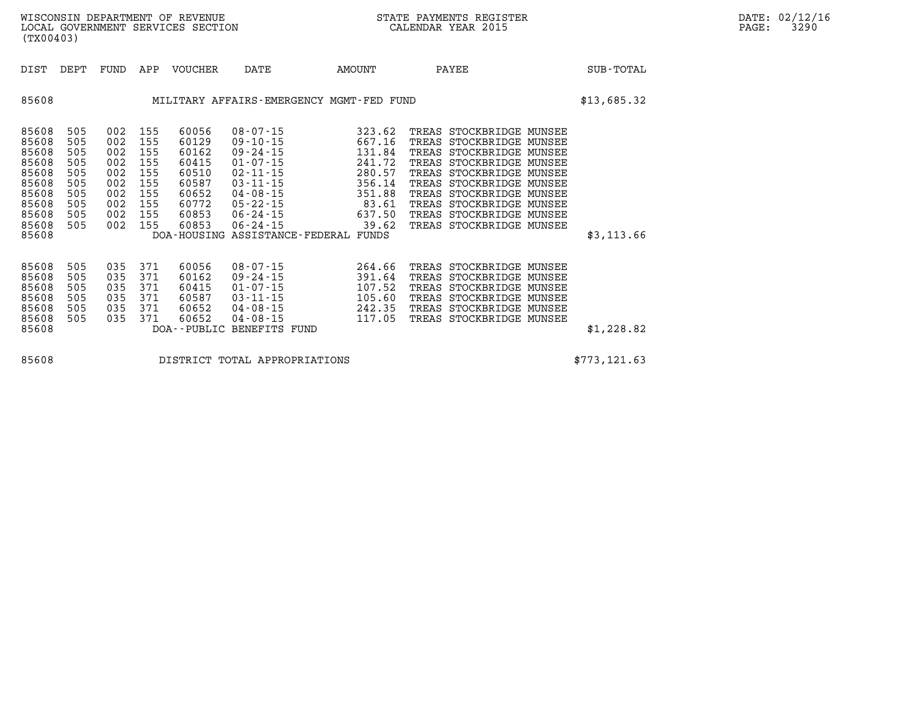| WISCONSIN DEPARTMENT OF REVENUE   | STATE PAYMENTS REGISTER |       | DATE: 02/12/16 |
|-----------------------------------|-------------------------|-------|----------------|
| LOCAL GOVERNMENT SERVICES SECTION | CALENDAR YEAR 2015      | PAGE: | 3290           |

| (TX00403)                                                                                       |                                                                    |                                                                    |                                                                    |                                                                                        |                                                                                                                                                                                                                    |                                                                                                         |                                                                                                                                                                                                                                                                                                                 |              |
|-------------------------------------------------------------------------------------------------|--------------------------------------------------------------------|--------------------------------------------------------------------|--------------------------------------------------------------------|----------------------------------------------------------------------------------------|--------------------------------------------------------------------------------------------------------------------------------------------------------------------------------------------------------------------|---------------------------------------------------------------------------------------------------------|-----------------------------------------------------------------------------------------------------------------------------------------------------------------------------------------------------------------------------------------------------------------------------------------------------------------|--------------|
| DIST                                                                                            | DEPT                                                               | FUND                                                               | APP                                                                | <b>VOUCHER</b>                                                                         | DATE                                                                                                                                                                                                               | AMOUNT                                                                                                  | PAYEE                                                                                                                                                                                                                                                                                                           | SUB-TOTAL    |
| 85608                                                                                           |                                                                    |                                                                    |                                                                    |                                                                                        | MILITARY AFFAIRS-EMERGENCY MGMT-FED FUND                                                                                                                                                                           |                                                                                                         |                                                                                                                                                                                                                                                                                                                 | \$13,685.32  |
| 85608<br>85608<br>85608<br>85608<br>85608<br>85608<br>85608<br>85608<br>85608<br>85608<br>85608 | 505<br>505<br>505<br>505<br>505<br>505<br>505<br>505<br>505<br>505 | 002<br>002<br>002<br>002<br>002<br>002<br>002<br>002<br>002<br>002 | 155<br>155<br>155<br>155<br>155<br>155<br>155<br>155<br>155<br>155 | 60056<br>60129<br>60162<br>60415<br>60510<br>60587<br>60652<br>60772<br>60853<br>60853 | $08 - 07 - 15$<br>$09 - 10 - 15$<br>$09 - 24 - 15$<br>$01 - 07 - 15$<br>$02 - 11 - 15$<br>$03 - 11 - 15$<br>$04 - 08 - 15$<br>$05 - 22 - 15$<br>$06 - 24 - 15$<br>$06 - 24 - 15$<br>DOA-HOUSING ASSISTANCE-FEDERAL | 323.62<br>667.16<br>131.84<br>241.72<br>280.57<br>356.14<br>351.88<br>83.61<br>637.50<br>39.62<br>FUNDS | TREAS STOCKBRIDGE MUNSEE<br>STOCKBRIDGE MUNSEE<br>TREAS<br>TREAS<br>STOCKBRIDGE MUNSEE<br>TREAS<br>STOCKBRIDGE MUNSEE<br>TREAS<br>STOCKBRIDGE MUNSEE<br>TREAS<br>STOCKBRIDGE MUNSEE<br>TREAS<br>STOCKBRIDGE MUNSEE<br>TREAS<br>STOCKBRIDGE MUNSEE<br>STOCKBRIDGE MUNSEE<br>TREAS<br>TREAS<br>STOCKBRIDGE MUNSEE | \$3,113.66   |
| 85608<br>85608<br>85608<br>85608<br>85608<br>85608<br>85608                                     | 505<br>505<br>505<br>505<br>505<br>505                             | 035<br>035<br>035<br>035<br>035<br>035                             | 371<br>371<br>371<br>371<br>371<br>371                             | 60056<br>60162<br>60415<br>60587<br>60652<br>60652<br>DOA--PUBLIC                      | $08 - 07 - 15$<br>$09 - 24 - 15$<br>$01 - 07 - 15$<br>$03 - 11 - 15$<br>$04 - 08 - 15$<br>$04 - 08 - 15$<br>BENEFITS FUND                                                                                          | 264.66<br>391.64<br>107.52<br>105.60<br>242.35<br>117.05                                                | TREAS<br>STOCKBRIDGE MUNSEE<br>TREAS<br>STOCKBRIDGE MUNSEE<br>TREAS<br>STOCKBRIDGE MUNSEE<br>TREAS<br>STOCKBRIDGE MUNSEE<br>TREAS<br>STOCKBRIDGE MUNSEE<br>TREAS<br>STOCKBRIDGE MUNSEE                                                                                                                          | \$1,228.82   |
| 85608                                                                                           |                                                                    |                                                                    |                                                                    |                                                                                        | DISTRICT TOTAL APPROPRIATIONS                                                                                                                                                                                      |                                                                                                         |                                                                                                                                                                                                                                                                                                                 | \$773,121.63 |

WISCONSIN DEPARTMENT OF REVENUE **STATE PAYMENTS REGISTER**<br>LOCAL GOVERNMENT SERVICES SECTION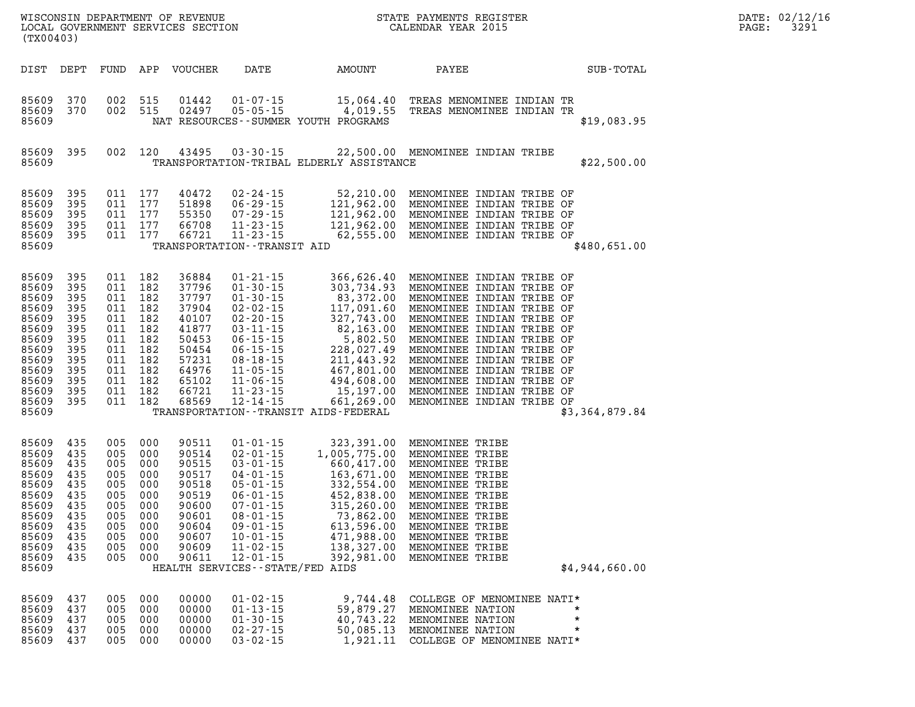| (TX00403)                                                                                                                  |                                                                                         |                                 |                                                                                                                                             |                                                                                                                   |                                                                                                                                                                                                                                                      |                                                                                                                                                     | STATE PAYMENTS REGISTER                                                                                                                                                                                                                                           | $\mathbb{R}^2$ | DATE: 02/12/16<br>$\mathtt{PAGE:}$<br>3291 |  |
|----------------------------------------------------------------------------------------------------------------------------|-----------------------------------------------------------------------------------------|---------------------------------|---------------------------------------------------------------------------------------------------------------------------------------------|-------------------------------------------------------------------------------------------------------------------|------------------------------------------------------------------------------------------------------------------------------------------------------------------------------------------------------------------------------------------------------|-----------------------------------------------------------------------------------------------------------------------------------------------------|-------------------------------------------------------------------------------------------------------------------------------------------------------------------------------------------------------------------------------------------------------------------|----------------|--------------------------------------------|--|
| DIST DEPT                                                                                                                  |                                                                                         |                                 |                                                                                                                                             | FUND APP VOUCHER                                                                                                  |                                                                                                                                                                                                                                                      | DATE AMOUNT                                                                                                                                         | PAYEE SUB-TOTAL                                                                                                                                                                                                                                                   |                |                                            |  |
| 85609<br>85609<br>85609                                                                                                    | 370<br>370                                                                              |                                 | 002 515<br>002 515                                                                                                                          |                                                                                                                   |                                                                                                                                                                                                                                                      | NAT RESOURCES - - SUMMER YOUTH PROGRAMS                                                                                                             | $\begin{array}{cccc} 01442 & 01\cdot 07\cdot 15 & 15\,, 064\,.40 & \text{TREAS MENOMINEE INDIAN TR}\\ 02497 & 05\cdot 05\cdot 15 & 4\,, 019\,.55 & \text{TREAS MENOMINEE INDIAN TR} \end{array}$                                                                  |                | \$19,083.95                                |  |
| 85609<br>85609                                                                                                             | 395                                                                                     |                                 | 002 120                                                                                                                                     | 43495                                                                                                             |                                                                                                                                                                                                                                                      | TRANSPORTATION-TRIBAL ELDERLY ASSISTANCE                                                                                                            | 03-30-15 22,500.00 MENOMINEE INDIAN TRIBE                                                                                                                                                                                                                         |                | \$22,500.00                                |  |
| 85609<br>85609<br>85609<br>85609<br>85609<br>85609                                                                         | 395<br>395<br>395<br>395<br>395                                                         |                                 | 011 177<br>011 177<br>011 177<br>011 177<br>011 177                                                                                         | 40472<br>51898<br>55350<br>66708<br>66721                                                                         | TRANSPORTATION - - TRANSIT AID                                                                                                                                                                                                                       |                                                                                                                                                     | 02-24-15 52,210.00 MENOMINEE INDIAN TRIBE OF 06-29-15 121,962.00 MENOMINEE INDIAN TRIBE OF 07-29-15 121,962.00 MENOMINEE INDIAN TRIBE OF 11-23-15 20.00 MENOMINEE INDIAN TRIBE OF $11-23-15$ 121,962.00 MENOMINEE INDIAN TRIBE                                    |                | \$480,651.00                               |  |
| 85609<br>85609<br>85609<br>85609<br>85609<br>85609<br>85609<br>85609<br>85609<br>85609<br>85609<br>85609<br>85609<br>85609 | 395<br>395<br>395<br>395<br>395<br>395<br>395<br>395<br>395<br>395<br>395<br>395<br>395 |                                 | 011 182<br>011 182<br>011 182<br>011 182<br>011 182<br>011 182<br>011 182<br>011 182<br>011 182<br>011 182<br>011 182<br>011 182<br>011 182 | 36884<br>37796<br>37797<br>37904<br>40107<br>41877<br>50453<br>50454<br>57231<br>64976<br>65102<br>66721<br>68569 | $01 - 21 - 15$<br>$01 - 30 - 15$<br>$01 - 30 - 15$<br>$02 - 02 - 15$<br>$02 - 20 - 15$<br>$03 - 11 - 15$<br>$06 - 15 - 15$<br>$06 - 15 - 15$<br>$08 - 18 - 15$<br>$11 - 05 - 15$<br>$11 - 06 - 15$<br>$11 - 23 - 15$<br>$12 - 14 - 15$               | TRANSPORTATION - - TRANSIT AIDS - FEDERAL                                                                                                           | 366, 626.40 MENOMINEE INDIAN TRIBE OF 303, 734.93 MENOMINEE INDIAN TRIBE OF 83, 372.00 MENOMINEE INDIAN TRIBE OF 117, 091.60 MENOMINEE INDIAN TRIBE OF 327, 743.00 MENOMINEE INDIAN TRIBE OF 82, 163.00 MENOMINEE INDIAN TRIBE                                    |                | \$3,364,879.84                             |  |
| 85609<br>85609<br>85609<br>85609<br>85609<br>85609<br>85609<br>85609<br>85609 435<br>85609<br>85609<br>85609<br>85609      | 435<br>435<br>435<br>435<br>435<br>435<br>435<br>435<br>435<br>435<br>435               | 005<br>005<br>005<br>005<br>005 | 005 000<br>005 000<br>005 000<br>005 000<br>005 000<br>000<br>005 000<br>000<br>005 000<br>000<br>000<br>000                                | 90511<br>90514<br>90515<br>90517<br>90518<br>90519<br>90600<br>90601<br>90604<br>90607<br>90609<br>90611          | $01 - 01 - 15$<br>$02 - 01 - 15$<br>$03 - 01 - 15$<br>$04 - 01 - 15$<br>$05 - 01 - 15$<br>$06 - 01 - 15$<br>$07 - 01 - 15$<br>$08 - 01 - 15$<br>$09 - 01 - 15$<br>$10 - 01 - 15$<br>$11 - 02 - 15$<br>12-01-15<br>HEALTH SERVICES - - STATE/FED AIDS | 323, 391.00<br>1, 005, 775.00<br>660, 417.00<br>163, 671.00<br>332, 554.00<br>452, 838.00<br>315, 260.00<br>73, 862.00<br>613, 596.00<br>392,981.00 | MENOMINEE TRIBE<br>MENOMINEE TRIBE<br>MENOMINEE TRIBE<br>MENOMINEE TRIBE<br>MENOMINEE TRIBE<br>MENOMINEE TRIBE<br>MENOMINEE TRIBE<br>MENOMINEE TRIBE<br>613,596.00 MENOMINEE TRIBE<br>471,988.00 MENOMINEE TRIBE<br>138,327.00 MENOMINEE TRIBE<br>MENOMINEE TRIBE |                | \$4,944,660.00                             |  |
| 85609<br>85609<br>85609<br>85609<br>85609                                                                                  | 437<br>437<br>437<br>437<br>437                                                         | 005<br>005<br>005<br>005<br>005 | 000<br>000<br>000<br>000<br>000                                                                                                             | 00000<br>00000<br>00000<br>00000<br>00000                                                                         | $01 - 02 - 15$<br>$01 - 13 - 15$<br>$01 - 30 - 15$<br>$02 - 27 - 15$<br>$03 - 02 - 15$                                                                                                                                                               | 9,744.48<br>59,879.27<br>40,743.22<br>50,085.13<br>1,921.11                                                                                         | COLLEGE OF MENOMINEE NATI*<br>MENOMINEE NATION<br>MENOMINEE NATION<br>MENOMINEE NATION<br>COLLEGE OF MENOMINEE NATI*                                                                                                                                              |                | $\star$                                    |  |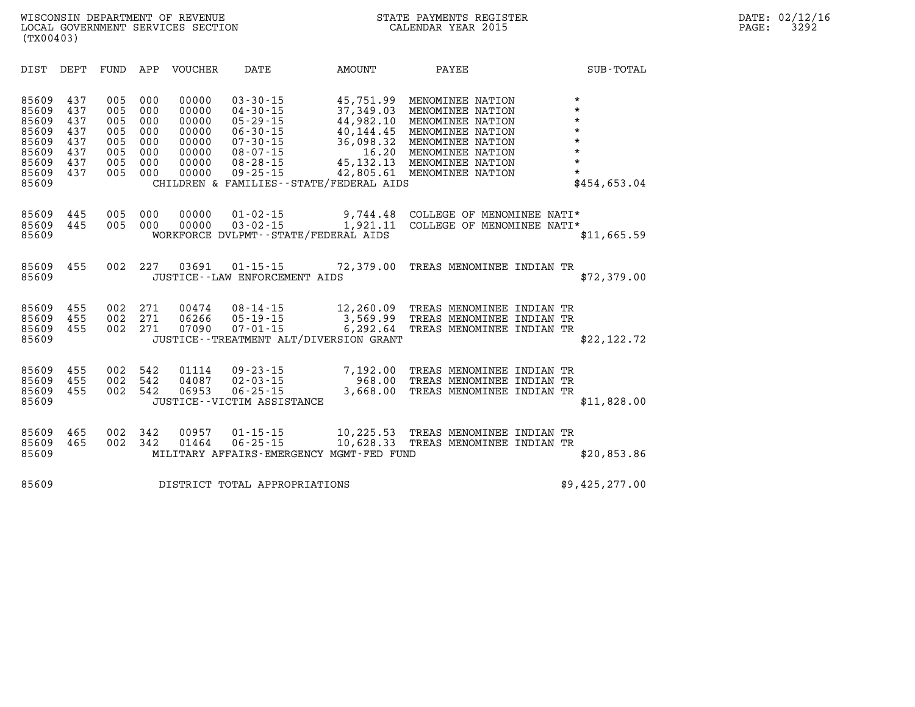| DIST                                                                          | DEPT                                                 | FUND                                                 | APP                                                  | <b>VOUCHER</b>                                                       | DATE                                                                                                                                                                                       | <b>AMOUNT</b>                                                                                      | PAYEE                                                                                                                                                        | SUB-TOTAL                                                                                            |
|-------------------------------------------------------------------------------|------------------------------------------------------|------------------------------------------------------|------------------------------------------------------|----------------------------------------------------------------------|--------------------------------------------------------------------------------------------------------------------------------------------------------------------------------------------|----------------------------------------------------------------------------------------------------|--------------------------------------------------------------------------------------------------------------------------------------------------------------|------------------------------------------------------------------------------------------------------|
| 85609<br>85609<br>85609<br>85609<br>85609<br>85609<br>85609<br>85609<br>85609 | 437<br>437<br>437<br>437<br>437<br>437<br>437<br>437 | 005<br>005<br>005<br>005<br>005<br>005<br>005<br>005 | 000<br>000<br>000<br>000<br>000<br>000<br>000<br>000 | 00000<br>00000<br>00000<br>00000<br>00000<br>00000<br>00000<br>00000 | $03 - 30 - 15$<br>$04 - 30 - 15$<br>$05 - 29 - 15$<br>$06 - 30 - 15$<br>$07 - 30 - 15$<br>$08 - 07 - 15$<br>$08 - 28 - 15$<br>$09 - 25 - 15$<br>CHILDREN & FAMILIES - - STATE/FEDERAL AIDS | 45,751.99<br>37,349.03<br>44,982.10<br>40,144.45<br>36,098.32<br>16.20<br>45, 132. 13<br>42,805.61 | MENOMINEE NATION<br>MENOMINEE NATION<br>MENOMINEE NATION<br>MENOMINEE NATION<br>MENOMINEE NATION<br>MENOMINEE NATION<br>MENOMINEE NATION<br>MENOMINEE NATION | $\star$<br>$\star$<br>$\star$<br>$\star$<br>$\star$<br>$\star$<br>$\star$<br>$\star$<br>\$454,653.04 |
| 85609<br>85609<br>85609                                                       | 445<br>445                                           | 005<br>005                                           | 000<br>000                                           | 00000<br>00000                                                       | $01 - 02 - 15$<br>$03 - 02 - 15$<br>WORKFORCE DVLPMT--STATE/FEDERAL AIDS                                                                                                                   | 9,744.48<br>1,921.11                                                                               | COLLEGE OF MENOMINEE NATI*<br>COLLEGE OF MENOMINEE NATI*                                                                                                     | \$11,665.59                                                                                          |
| 85609<br>85609                                                                | 455                                                  | 002                                                  | 227                                                  | 03691                                                                | $01 - 15 - 15$<br>JUSTICE - - LAW ENFORCEMENT AIDS                                                                                                                                         | 72,379.00                                                                                          | TREAS MENOMINEE INDIAN TR                                                                                                                                    | \$72,379.00                                                                                          |
| 85609<br>85609<br>85609<br>85609                                              | 455<br>455<br>455                                    | 002<br>002<br>002                                    | 271<br>271<br>271                                    | 00474<br>06266<br>07090                                              | $08 - 14 - 15$<br>$05 - 19 - 15$<br>$07 - 01 - 15$<br>JUSTICE - - TREATMENT ALT/DIVERSION GRANT                                                                                            | 12,260.09<br>3,569.99<br>6,292.64                                                                  | TREAS MENOMINEE INDIAN TR<br>TREAS MENOMINEE INDIAN TR<br>TREAS MENOMINEE INDIAN TR                                                                          | \$22, 122.72                                                                                         |
| 85609<br>85609<br>85609<br>85609                                              | 455<br>455<br>455                                    | 002<br>002<br>002                                    | 542<br>542<br>542                                    | 01114<br>04087<br>06953                                              | $09 - 23 - 15$<br>$02 - 03 - 15$<br>$06 - 25 - 15$<br>JUSTICE - - VICTIM ASSISTANCE                                                                                                        | 7,192.00<br>968.00<br>3,668.00                                                                     | TREAS MENOMINEE INDIAN TR<br>TREAS MENOMINEE INDIAN<br>TREAS MENOMINEE INDIAN TR                                                                             | ТR<br>\$11,828.00                                                                                    |
| 85609<br>85609<br>85609                                                       | 465<br>465                                           | 002<br>002                                           | 342<br>342                                           | 00957<br>01464                                                       | $01 - 15 - 15$<br>$06 - 25 - 15$<br>MILITARY AFFAIRS-EMERGENCY MGMT-FED FUND                                                                                                               | 10,225.53<br>10,628.33                                                                             | TREAS MENOMINEE INDIAN<br>TREAS MENOMINEE INDIAN TR                                                                                                          | ТR<br>\$20,853.86                                                                                    |
| 85609                                                                         |                                                      |                                                      |                                                      |                                                                      | DISTRICT TOTAL APPROPRIATIONS                                                                                                                                                              |                                                                                                    |                                                                                                                                                              | \$9,425,277.00                                                                                       |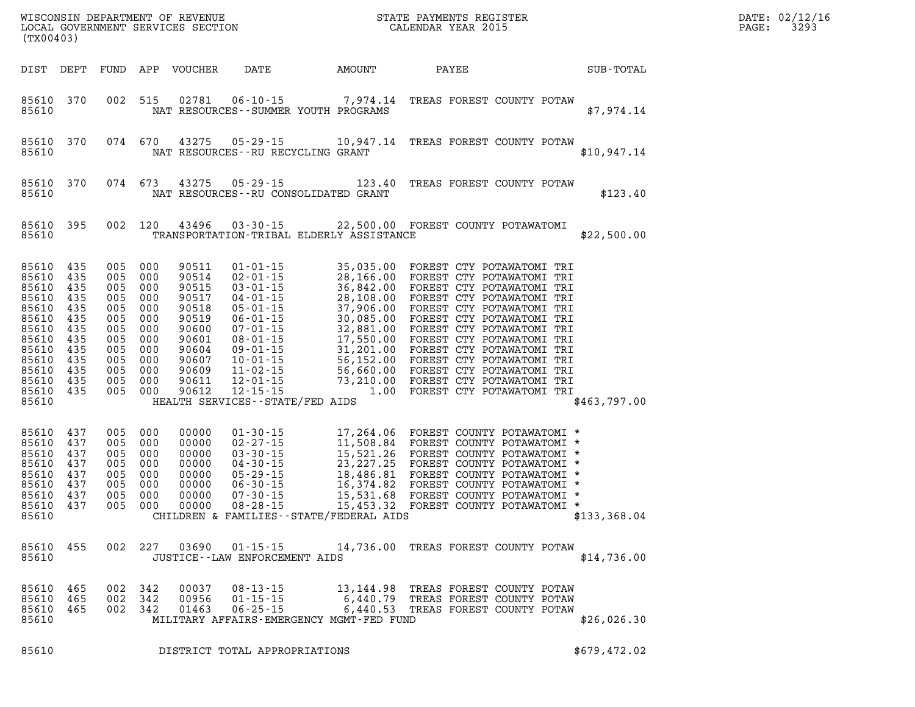| (TX00403)                                                                                                                                      |                                                      |                       |                                                                                                                                  |                                                                                                                   |                                                      |                                          | $R = \frac{1}{2}$<br>DATE: 02/12/1<br>3293<br>PAGE:                                                                                                                                                                                                                               |              |  |
|------------------------------------------------------------------------------------------------------------------------------------------------|------------------------------------------------------|-----------------------|----------------------------------------------------------------------------------------------------------------------------------|-------------------------------------------------------------------------------------------------------------------|------------------------------------------------------|------------------------------------------|-----------------------------------------------------------------------------------------------------------------------------------------------------------------------------------------------------------------------------------------------------------------------------------|--------------|--|
| DIST DEPT                                                                                                                                      |                                                      |                       |                                                                                                                                  | FUND APP VOUCHER                                                                                                  | <b>DATE</b>                                          | AMOUNT                                   | <b>PAYEE</b>                                                                                                                                                                                                                                                                      | SUB-TOTAL    |  |
| 85610 370<br>85610                                                                                                                             |                                                      |                       | 002 515                                                                                                                          |                                                                                                                   |                                                      | NAT RESOURCES - - SUMMER YOUTH PROGRAMS  | 02781  06-10-15  7,974.14  TREAS FOREST COUNTY POTAW                                                                                                                                                                                                                              | \$7,974.14   |  |
| 85610 370<br>85610                                                                                                                             |                                                      |                       | 074 670                                                                                                                          |                                                                                                                   | NAT RESOURCES--RU RECYCLING GRANT                    |                                          | 43275  05-29-15  10,947.14  TREAS FOREST COUNTY POTAW                                                                                                                                                                                                                             | \$10,947.14  |  |
| 85610 370<br>85610                                                                                                                             |                                                      |                       | 074 673                                                                                                                          |                                                                                                                   | 43275 05-29-15                                       | NAT RESOURCES - - RU CONSOLIDATED GRANT  | 123.40 TREAS FOREST COUNTY POTAW                                                                                                                                                                                                                                                  | \$123.40     |  |
| 85610 395<br>85610                                                                                                                             |                                                      |                       |                                                                                                                                  |                                                                                                                   |                                                      | TRANSPORTATION-TRIBAL ELDERLY ASSISTANCE | 002 120 43496 03-30-15 22,500.00 FOREST COUNTY POTAWATOMI                                                                                                                                                                                                                         | \$22,500.00  |  |
| 85610 435<br>85610<br>85610<br>85610<br>85610<br>85610<br>85610<br>85610<br>85610 435<br>85610<br>85610 435<br>85610 435<br>85610 435<br>85610 | 435<br>435<br>435<br>435<br>435<br>435<br>435<br>435 | 005 000               | 005 000<br>005 000<br>005 000<br>005 000<br>005 000<br>005 000<br>005 000<br>005 000<br>005 000<br>005 000<br>005 000<br>005 000 | 90511<br>90514<br>90515<br>90517<br>90518<br>90519<br>90600<br>90601<br>90604<br>90607<br>90609<br>90611<br>90612 | $01 - 01 - 15$<br>HEALTH SERVICES - - STATE/FED AIDS |                                          | 35,035.00 FOREST CTY POTAWATOMI TRI<br>01-01-15 35,035.00 FOREST CTY POTAWATOMI TRI<br>02-01-15 28,166.00 FOREST CTY POTAWATOMI TRI<br>03-01-15 36,842.00 FOREST CTY POTAWATOMI TRI<br>04-01-15 28,108.00 FOREST CTY POTAWATOMI TRI<br>05-01-15 37,906.00 FOREST CTY POTAWATOMI T | \$463,797.00 |  |
| 85610 437<br>85610<br>85610<br>85610<br>85610<br>85610<br>85610<br>85610 437<br>85610                                                          | 437<br>437<br>437<br>437<br>437<br>437               | 005<br>005<br>005 000 | 005 000<br>005 000<br>005 000<br>005 000<br>005 000<br>000<br>000                                                                | 00000<br>00000<br>00000<br>00000<br>00000<br>00000<br>00000<br>00000                                              |                                                      | CHILDREN & FAMILIES--STATE/FEDERAL AIDS  | 01-30-15<br>02-27-15<br>17,264.06 FOREST COUNTY POTAWATOMI *<br>03-30-15<br>05-29-15<br>05-29-15<br>06-30-15<br>06-30-15<br>16,374.82 FOREST COUNTY POTAWATOMI *<br>07-30-15<br>07-30-15<br>16,374.82 FOREST COUNTY POTAWATOMI *<br>07-30-15                                      | \$133,368.04 |  |
| 85610 455<br>85610                                                                                                                             |                                                      |                       | 002 227                                                                                                                          |                                                                                                                   | JUSTICE - - LAW ENFORCEMENT AIDS                     |                                          | 03690  01-15-15  14,736.00  TREAS FOREST COUNTY POTAW                                                                                                                                                                                                                             | \$14,736.00  |  |
| 85610<br>85610<br>85610<br>85610                                                                                                               | 465<br>465<br>465                                    |                       | 002 342<br>002 342<br>002 342                                                                                                    | 00037<br>00956<br>01463                                                                                           | $08 - 13 - 15$<br>$01 - 15 - 15$<br>$06 - 25 - 15$   | MILITARY AFFAIRS-EMERGENCY MGMT-FED FUND | 13,144.98 TREAS FOREST COUNTY POTAW<br>6,440.79 TREAS FOREST COUNTY POTAW<br>6,440.53 TREAS FOREST COUNTY POTAW                                                                                                                                                                   | \$26,026.30  |  |
| 85610                                                                                                                                          |                                                      |                       |                                                                                                                                  |                                                                                                                   | DISTRICT TOTAL APPROPRIATIONS                        |                                          |                                                                                                                                                                                                                                                                                   | \$679,472.02 |  |

**DATE: 02/12/16<br>PAGE: 3293**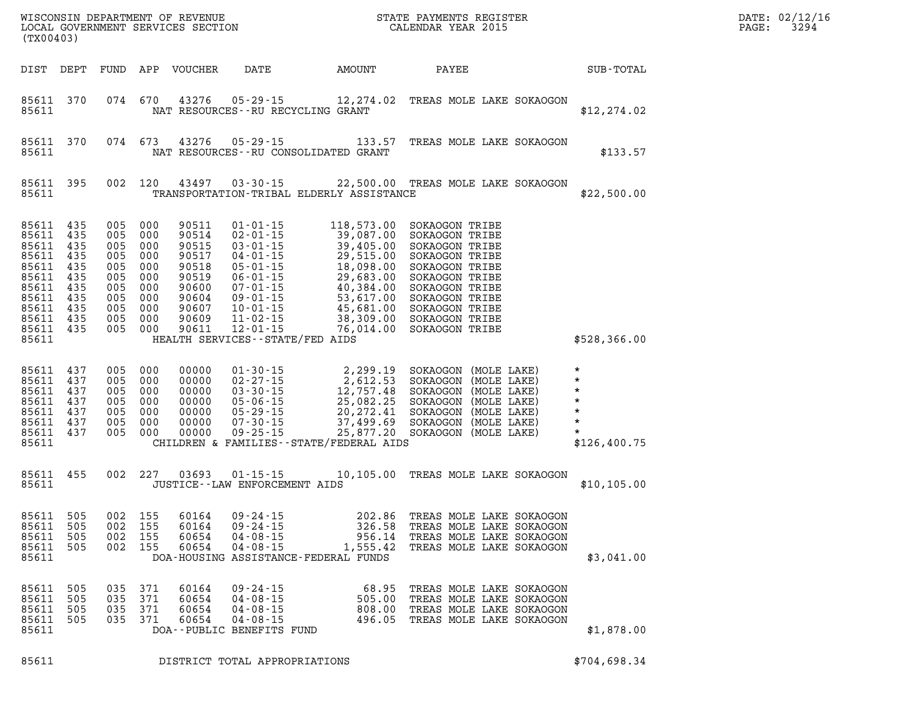|                                                                                                         | WISCONSIN DEPARTMENT OF REVENUE<br>LOCAL GOVERNMENT SERVICES SECTION<br>CALENDAR YEAR 2015<br>(TX00403) |                                                                                                                       |                          |                                                                                                 |                                                                                                   |                                                                                                                                                                                                                                                                                                                                                                            |                                                                                                                                                                                                    |  |                                                                                     | PAGE: | DATE: 02/12/16<br>3294 |
|---------------------------------------------------------------------------------------------------------|---------------------------------------------------------------------------------------------------------|-----------------------------------------------------------------------------------------------------------------------|--------------------------|-------------------------------------------------------------------------------------------------|---------------------------------------------------------------------------------------------------|----------------------------------------------------------------------------------------------------------------------------------------------------------------------------------------------------------------------------------------------------------------------------------------------------------------------------------------------------------------------------|----------------------------------------------------------------------------------------------------------------------------------------------------------------------------------------------------|--|-------------------------------------------------------------------------------------|-------|------------------------|
| DIST DEPT                                                                                               |                                                                                                         |                                                                                                                       |                          | FUND APP VOUCHER                                                                                |                                                                                                   | DATE AMOUNT                                                                                                                                                                                                                                                                                                                                                                | <b>PAYEE</b>                                                                                                                                                                                       |  | SUB-TOTAL                                                                           |       |                        |
| 85611 370<br>85611                                                                                      |                                                                                                         | 074 670                                                                                                               |                          | 43276                                                                                           | NAT RESOURCES -- RU RECYCLING GRANT                                                               |                                                                                                                                                                                                                                                                                                                                                                            | 05-29-15 12, 274.02 TREAS MOLE LAKE SOKAOGON                                                                                                                                                       |  | \$12, 274.02                                                                        |       |                        |
| 85611 370<br>85611                                                                                      |                                                                                                         |                                                                                                                       | 074 673                  | 43276                                                                                           |                                                                                                   | NAT RESOURCES--RU CONSOLIDATED GRANT                                                                                                                                                                                                                                                                                                                                       | 05-29-15 133.57 TREAS MOLE LAKE SOKAOGON                                                                                                                                                           |  | \$133.57                                                                            |       |                        |
| 85611                                                                                                   | 85611 395                                                                                               |                                                                                                                       | 002 120                  | 43497                                                                                           |                                                                                                   | TRANSPORTATION-TRIBAL ELDERLY ASSISTANCE                                                                                                                                                                                                                                                                                                                                   | 03-30-15 22,500.00 TREAS MOLE LAKE SOKAOGON                                                                                                                                                        |  | \$22,500.00                                                                         |       |                        |
| 85611 435<br>85611<br>85611<br>85611<br>85611<br>85611<br>85611<br>85611<br>85611<br>85611<br>85611 435 | 435<br>435<br>435<br>435<br>435<br>435<br>435<br>435<br>435                                             | 005 000<br>005 000<br>005 000<br>005 000<br>005 000<br>005 000<br>005 000<br>005 000<br>005 000<br>005 000<br>005 000 |                          | 90511<br>90514<br>90515<br>90517<br>90518<br>90519<br>90600<br>90604<br>90607<br>90609<br>90611 | $01 - 01 - 15$                                                                                    | 118,573.00<br>$\begin{array}{cccc} 01\text{-}01\text{-}15 & 118\text{, }573\text{, }00 \\ 02\text{-}01\text{-}15 & 39\text{, }087\text{, }00 \\ 03\text{-}01\text{-}15 & 39\text{, }405\text{, }00 \\ 04\text{-}01\text{-}15 & 29\text{, }515\text{, }00 \\ 05\text{-}01\text{-}15 & 18\text{, }098\text{, }00 \\ 06\text{-}01\text{-}15 & 29\text{, }683\text{, }00 \\ 0$ | SOKAOGON TRIBE<br>SOKAOGON TRIBE<br>SOKAOGON TRIBE<br>SOKAOGON TRIBE<br>SOKAOGON TRIBE<br>SOKAOGON TRIBE<br>SOKAOGON TRIBE<br>SOKAOGON TRIBE<br>SOKAOGON TRIBE<br>SOKAOGON TRIBE<br>SOKAOGON TRIBE |  |                                                                                     |       |                        |
| 85611<br>85611<br>85611<br>85611<br>85611<br>85611<br>85611<br>85611 437<br>85611                       | 437<br>437<br>437<br>437<br>437<br>437                                                                  | 005 000<br>005 000<br>005 000<br>005 000<br>005 000<br>005<br>005 000                                                 | 000                      | 00000<br>00000<br>00000<br>00000<br>00000<br>00000<br>00000                                     | HEALTH SERVICES - - STATE/FED AIDS                                                                | CHILDREN & FAMILIES - - STATE/FEDERAL AIDS                                                                                                                                                                                                                                                                                                                                 |                                                                                                                                                                                                    |  | \$528,366.00<br>$\star$<br>$\star$<br>$\star$<br>$\star$<br>$\star$<br>\$126,400.75 |       |                        |
| 85611 455<br>85611                                                                                      |                                                                                                         |                                                                                                                       | 002 227                  | 03693                                                                                           | JUSTICE -- LAW ENFORCEMENT AIDS                                                                   |                                                                                                                                                                                                                                                                                                                                                                            | 01-15-15 10,105.00 TREAS MOLE LAKE SOKAOGON                                                                                                                                                        |  | \$10, 105.00                                                                        |       |                        |
| 85611 505<br>85611<br>85611<br>85611<br>85611                                                           | 505<br>505<br>505                                                                                       | 002 155<br>002<br>002<br>002                                                                                          | 155<br>155<br>155        | 60164<br>60164<br>60654<br>60654                                                                | $09 - 24 - 15$<br>$09 - 24 - 15$<br>$04 - 08 - 15$<br>$04 - 08 - 15$                              | 326.58<br>956.14<br>1,555.42<br>DOA-HOUSING ASSISTANCE-FEDERAL FUNDS                                                                                                                                                                                                                                                                                                       | 202.86 TREAS MOLE LAKE SOKAOGON<br>TREAS MOLE LAKE SOKAOGON<br>TREAS MOLE LAKE SOKAOGON<br>TREAS MOLE LAKE SOKAOGON                                                                                |  | \$3,041.00                                                                          |       |                        |
| 85611<br>85611<br>85611<br>85611<br>85611                                                               | 505<br>505<br>505<br>505                                                                                | 035<br>035<br>035<br>035                                                                                              | 371<br>371<br>371<br>371 | 60164<br>60654<br>60654<br>60654                                                                | $09 - 24 - 15$<br>$04 - 08 - 15$<br>$04 - 08 - 15$<br>$04 - 08 - 15$<br>DOA--PUBLIC BENEFITS FUND | 68.95<br>505.00<br>808.00<br>496.05                                                                                                                                                                                                                                                                                                                                        | TREAS MOLE LAKE SOKAOGON<br>TREAS MOLE LAKE SOKAOGON<br>TREAS MOLE LAKE SOKAOGON<br>TREAS MOLE LAKE SOKAOGON                                                                                       |  | \$1,878.00                                                                          |       |                        |

**85611 DISTRICT TOTAL APPROPRIATIONS \$704,698.34**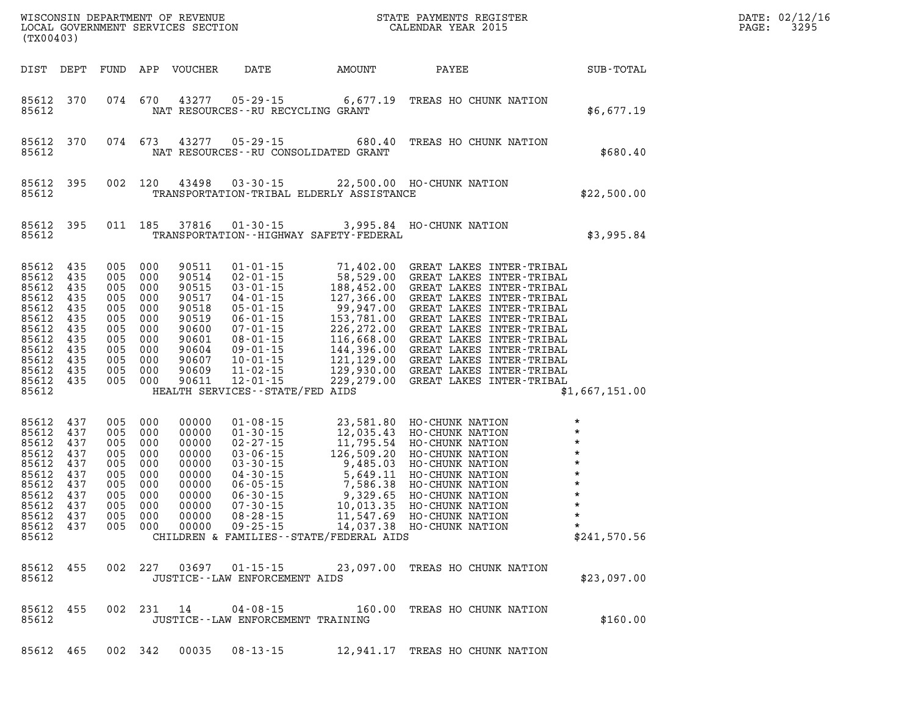| (TX00403)                                                                                                                                                                                    |                                                                                                                                  |               |                                                                                                          |                                      |                                             |                                                                                                                                                                                                                                                          |                                                                                                                            | DATE: 02/12/16<br>3295<br>PAGE: |
|----------------------------------------------------------------------------------------------------------------------------------------------------------------------------------------------|----------------------------------------------------------------------------------------------------------------------------------|---------------|----------------------------------------------------------------------------------------------------------|--------------------------------------|---------------------------------------------|----------------------------------------------------------------------------------------------------------------------------------------------------------------------------------------------------------------------------------------------------------|----------------------------------------------------------------------------------------------------------------------------|---------------------------------|
| DIST DEPT FUND APP VOUCHER                                                                                                                                                                   |                                                                                                                                  |               |                                                                                                          |                                      | DATE AMOUNT PAYEE                           |                                                                                                                                                                                                                                                          | SUB-TOTAL                                                                                                                  |                                 |
| 85612 370<br>85612                                                                                                                                                                           | 074 670                                                                                                                          |               |                                                                                                          | NAT RESOURCES -- RU RECYCLING GRANT  |                                             | 43277 05-29-15 6,677.19 TREAS HO CHUNK NATION                                                                                                                                                                                                            | \$6,677.19                                                                                                                 |                                 |
| 85612 370<br>85612                                                                                                                                                                           | 074 673                                                                                                                          |               | 43277                                                                                                    |                                      | NAT RESOURCES - - RU CONSOLIDATED GRANT     | 05-29-15 680.40 TREAS HO CHUNK NATION                                                                                                                                                                                                                    | \$680.40                                                                                                                   |                                 |
| 85612<br>395<br>85612                                                                                                                                                                        |                                                                                                                                  | 002 120 43498 |                                                                                                          |                                      | TRANSPORTATION-TRIBAL ELDERLY ASSISTANCE    | 03-30-15 22,500.00 HO-CHUNK NATION                                                                                                                                                                                                                       | \$22,500.00                                                                                                                |                                 |
| 85612 395<br>85612                                                                                                                                                                           |                                                                                                                                  | 011 185 37816 |                                                                                                          |                                      | TRANSPORTATION - - HIGHWAY SAFETY - FEDERAL | 01-30-15 3,995.84 HO-CHUNK NATION                                                                                                                                                                                                                        | \$3,995.84                                                                                                                 |                                 |
| 85612 435<br>85612<br>435<br>85612<br>435<br>85612<br>435<br>85612<br>435<br>85612<br>435<br>85612<br>435<br>85612<br>435<br>85612<br>435<br>85612<br>435<br>85612 435<br>85612 435<br>85612 | 005 000<br>005 000<br>005 000<br>005 000<br>005 000<br>005 000<br>005 000<br>005 000<br>005 000<br>005 000<br>005 000<br>005 000 |               | 90511<br>90514<br>90515<br>90517<br>90518<br>90519<br>90600<br>90601<br>90604<br>90607<br>90609<br>90611 | HEALTH SERVICES - - STATE/FED AIDS   |                                             | 01-01-15 71,402.00 GREAT LAKES INTER-TRIBAL<br>02-01-15 58,529.00 GREAT LAKES INTER-TRIBAL<br>03-01-15 188,452.00 GREAT LAKES INTER-TRIBAL<br>04-01-15 127,366.00 GREAT LAKES INTER-TRIBAL<br>05-01-15 99,947.00 GREAT LAKES INTER-TRIBAL<br>            | \$1,667,151.00                                                                                                             |                                 |
| 85612<br>437<br>85612<br>437<br>85612<br>437<br>85612<br>437<br>85612<br>437<br>85612<br>437<br>85612<br>437<br>85612<br>437<br>85612<br>437<br>85612 437<br>85612 437<br>85612              | 005 000<br>005 000<br>005 000<br>005 000<br>005 000<br>005 000<br>005 000<br>005 000<br>005 000<br>005 000<br>005                | 000           | 00000<br>00000<br>00000<br>00000<br>00000<br>00000<br>00000<br>00000<br>00000<br>00000<br>00000          |                                      | CHILDREN & FAMILIES--STATE/FEDERAL AIDS     | 01-08-15<br>01-30-15<br>01-30-15<br>12,035.43 HO-CHUNK NATION<br>02-27-15<br>11,795.54 HO-CHUNK NATION<br>03-06-15<br>126,509.20 HO-CHUNK NATION<br>03-30-15<br>9,485.03 HO-CHUNK NATION<br>06-30-15<br>7,586.38 HO-CHUNK NATION<br>06-30-15<br>9,329.65 | $\star$<br>$\star$<br>$\star$<br>$\star$<br>$\star$<br>$\star$<br>$\star$<br>$\star$<br>$\star$<br>$\star$<br>\$241,570.56 |                                 |
| 85612 455<br>85612                                                                                                                                                                           |                                                                                                                                  |               |                                                                                                          | JUSTICE -- LAW ENFORCEMENT AIDS      |                                             | 002 227 03697 01-15-15 23,097.00 TREAS HO CHUNK NATION                                                                                                                                                                                                   | \$23,097.00                                                                                                                |                                 |
| 85612 455<br>85612                                                                                                                                                                           |                                                                                                                                  | 002 231 14    |                                                                                                          | JUSTICE - - LAW ENFORCEMENT TRAINING |                                             | 04-08-15 160.00 TREAS HO CHUNK NATION                                                                                                                                                                                                                    | \$160.00                                                                                                                   |                                 |
| 85612 465                                                                                                                                                                                    | 002 342                                                                                                                          |               | 00035                                                                                                    | 08-13-15                             |                                             | 12,941.17 TREAS HO CHUNK NATION                                                                                                                                                                                                                          |                                                                                                                            |                                 |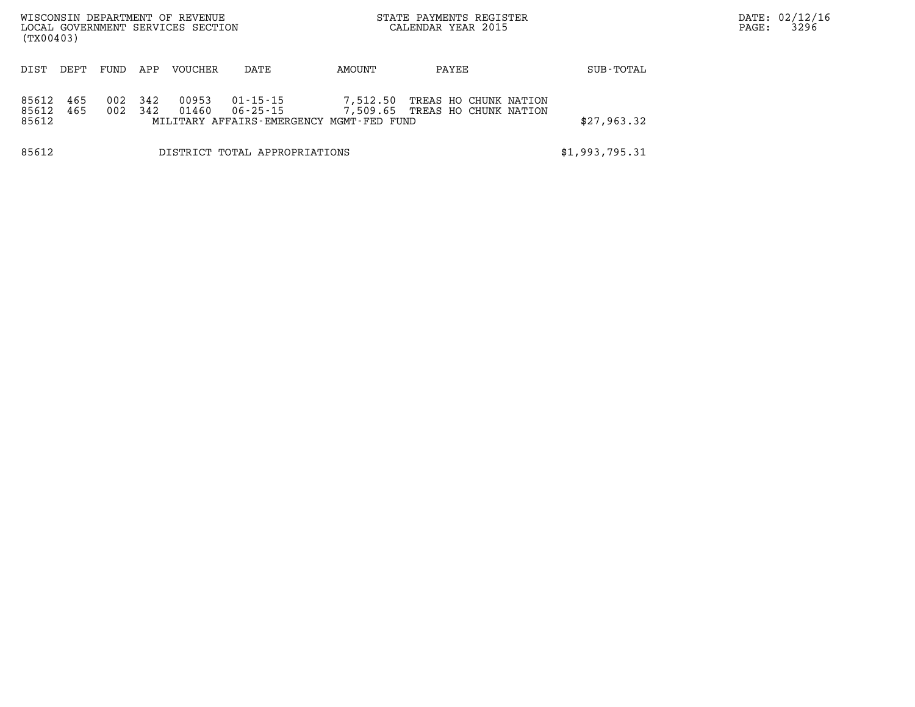| (TX00403)               |            |            |            | WISCONSIN DEPARTMENT OF REVENUE<br>LOCAL GOVERNMENT SERVICES SECTION |                               |                                                      | STATE PAYMENTS REGISTER<br>CALENDAR YEAR 2015           |                | DATE: 02/12/16<br>3296<br>PAGE: |
|-------------------------|------------|------------|------------|----------------------------------------------------------------------|-------------------------------|------------------------------------------------------|---------------------------------------------------------|----------------|---------------------------------|
| DIST                    | DEPT       | FUND       | APP        | VOUCHER                                                              | DATE                          | AMOUNT                                               | PAYEE                                                   | SUB-TOTAL      |                                 |
| 85612<br>85612<br>85612 | 465<br>465 | 002<br>002 | 342<br>342 | 00953<br>01460                                                       | 01-15-15<br>06-25-15          | 7,512.50<br>MILITARY AFFAIRS-EMERGENCY MGMT-FED FUND | TREAS HO CHUNK NATION<br>7,509.65 TREAS HO CHUNK NATION | \$27,963.32    |                                 |
| 85612                   |            |            |            |                                                                      | DISTRICT TOTAL APPROPRIATIONS |                                                      |                                                         | \$1,993,795.31 |                                 |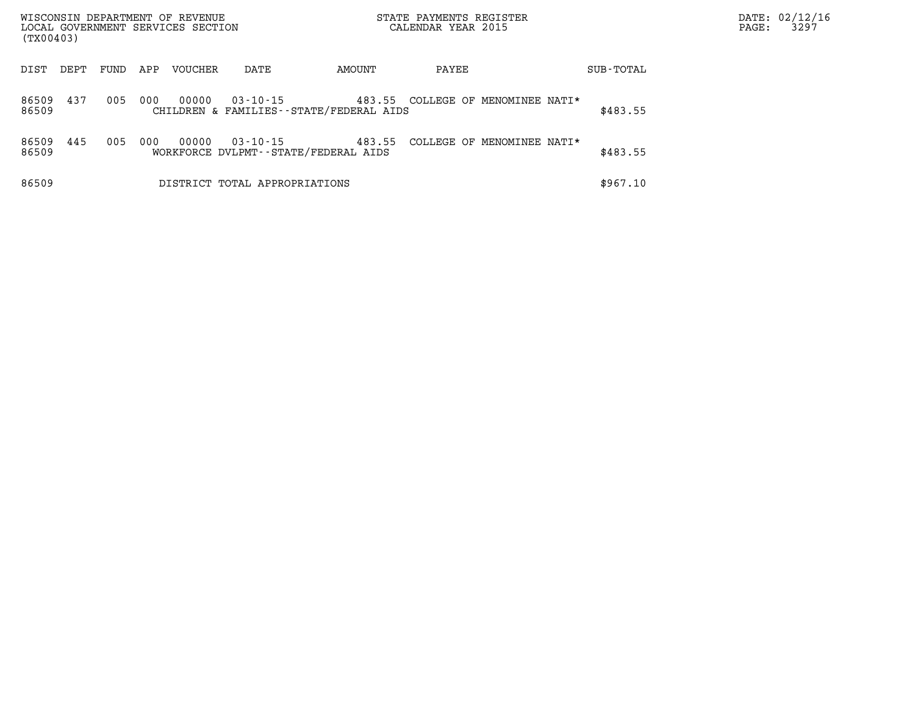| (TX00403)      |      |      |     | WISCONSIN DEPARTMENT OF REVENUE<br>LOCAL GOVERNMENT SERVICES SECTION |                               |                                                | STATE PAYMENTS REGISTER<br>CALENDAR YEAR 2015 | DATE: 02/12/16<br>3297<br>PAGE:   |           |  |
|----------------|------|------|-----|----------------------------------------------------------------------|-------------------------------|------------------------------------------------|-----------------------------------------------|-----------------------------------|-----------|--|
| DIST           | DEPT | FUND | APP | <b>VOUCHER</b>                                                       | DATE                          | AMOUNT                                         | PAYEE                                         |                                   | SUB-TOTAL |  |
| 86509<br>86509 | 437  | 005  | 000 | 00000                                                                | 03-10-15                      | CHILDREN & FAMILIES--STATE/FEDERAL AIDS        |                                               | 483.55 COLLEGE OF MENOMINEE NATI* | \$483.55  |  |
| 86509<br>86509 | 445  | 005  | 000 | 00000                                                                | $03 - 10 - 15$                | 483.55<br>WORKFORCE DVLPMT--STATE/FEDERAL AIDS |                                               | COLLEGE OF MENOMINEE NATI*        | \$483.55  |  |
| 86509          |      |      |     |                                                                      | DISTRICT TOTAL APPROPRIATIONS |                                                |                                               |                                   | \$967.10  |  |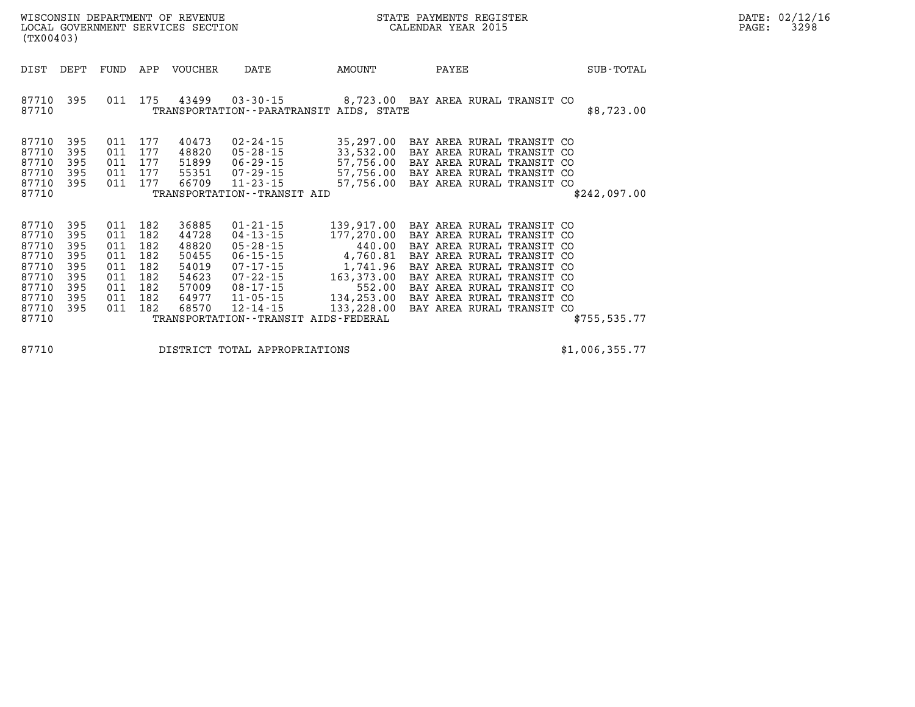| (TX00403)                                                                              |                                                             |                                                             |                                                             | WISCONSIN DEPARTMENT OF REVENUE<br>LOCAL GOVERNMENT SERVICES SECTION          |                                                                                                                                                    | STATE PAYMENTS REGISTER<br>CALENDAR YEAR 2015                                                                                                 |                                                                                                                                                                                                                                                                              |               |  |  |
|----------------------------------------------------------------------------------------|-------------------------------------------------------------|-------------------------------------------------------------|-------------------------------------------------------------|-------------------------------------------------------------------------------|----------------------------------------------------------------------------------------------------------------------------------------------------|-----------------------------------------------------------------------------------------------------------------------------------------------|------------------------------------------------------------------------------------------------------------------------------------------------------------------------------------------------------------------------------------------------------------------------------|---------------|--|--|
| DIST                                                                                   | DEPT                                                        | FUND                                                        | APP                                                         | <b>VOUCHER</b>                                                                | DATE                                                                                                                                               | AMOUNT                                                                                                                                        | PAYEE                                                                                                                                                                                                                                                                        | SUB-TOTAL     |  |  |
| 87710<br>87710                                                                         | 395                                                         | 011                                                         | 175                                                         | 43499                                                                         |                                                                                                                                                    | TRANSPORTATION - - PARATRANSIT AIDS, STATE                                                                                                    | 03-30-15  8,723.00 BAY AREA RURAL TRANSIT CO                                                                                                                                                                                                                                 | \$8,723.00    |  |  |
| 87710<br>87710<br>87710<br>87710<br>87710<br>87710                                     | 395<br>395<br>395<br>395<br>395                             | 011<br>011<br>011<br>011<br>011                             | 177<br>177<br>177<br>177<br>177                             | 40473<br>48820<br>51899<br>66709                                              | $02 - 24 - 15$<br>$05 - 28 - 15$<br>06-29-15<br>55351 07-29-15<br>$11 - 23 - 15$<br>TRANSPORTATION - - TRANSIT AID                                 | 35,297.00<br>57,756.00                                                                                                                        | BAY AREA RURAL TRANSIT CO<br>33,532.00 BAY AREA RURAL TRANSIT CO<br>BAY AREA RURAL TRANSIT CO<br>57,756.00 BAY AREA RURAL TRANSIT CO<br>57,756.00 BAY AREA RURAL TRANSIT CO                                                                                                  | \$242,097.00  |  |  |
| 87710<br>87710<br>87710<br>87710<br>87710<br>87710<br>87710<br>87710<br>87710<br>87710 | 395<br>395<br>395<br>395<br>395<br>395<br>395<br>395<br>395 | 011<br>011<br>011<br>011<br>011<br>011<br>011<br>011<br>011 | 182<br>182<br>182<br>182<br>182<br>182<br>182<br>182<br>182 | 36885<br>44728<br>48820<br>50455<br>54019<br>54623<br>57009<br>64977<br>68570 | $01 - 21 - 15$<br>$04 - 13 - 15$<br>$05 - 28 - 15$<br>$06 - 15 - 15$<br>$07 - 17 - 15$<br>07-22-15<br>08-17-15<br>$11 - 05 - 15$<br>$12 - 14 - 15$ | 177,270.00<br>440.00<br>4,760.81<br>1,741.96<br>163,373.00<br>552.00<br>134,253.00<br>133,228.00<br>TRANSPORTATION - - TRANSIT AIDS - FEDERAL | 139,917.00 BAY AREA RURAL TRANSIT CO<br>BAY AREA RURAL TRANSIT CO<br>BAY AREA RURAL TRANSIT CO<br>BAY AREA RURAL TRANSIT CO<br>BAY AREA RURAL TRANSIT CO<br>BAY AREA RURAL TRANSIT CO<br>BAY AREA RURAL TRANSIT CO<br>BAY AREA RURAL TRANSIT CO<br>BAY AREA RURAL TRANSIT CO | \$755, 535.77 |  |  |

**87710 DISTRICT TOTAL APPROPRIATIONS \$1,006,355.77**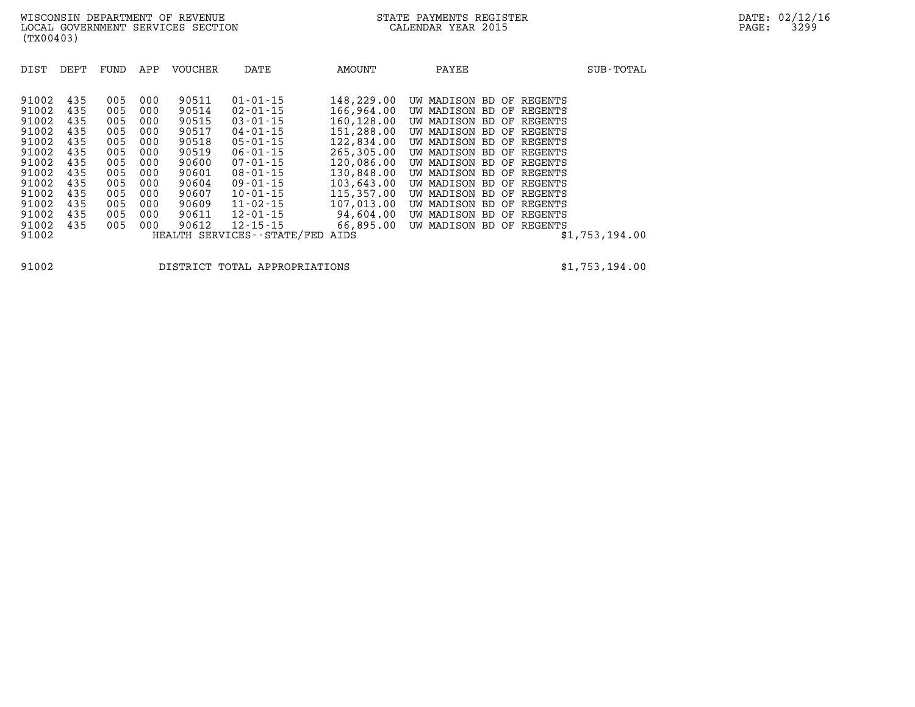| 91002<br>91002<br>91002<br>91002<br>91002 | 435<br>435<br>435<br>435<br>435 | 005<br>005<br>005<br>005        | 000<br>000<br>000<br>000<br>000 | 90511<br>90514<br>90515<br>90517<br>90518 | $01 - 01 - 15$<br>$02 - 01 - 15$<br>$03 - 01 - 15$<br>$04 - 01 - 15$<br>$05 - 01 - 15$                | 148,229.00<br>166,964.00<br>160,128.00<br>151,288.00<br>122,834.00 | UW MADISON BD OF REGENTS<br>UW MADISON<br>UW MADISON BD OF REGENTS<br>UW MADISON                                                         | BD OF REGENTS<br>BD OF REGENTS                   |
|-------------------------------------------|---------------------------------|---------------------------------|---------------------------------|-------------------------------------------|-------------------------------------------------------------------------------------------------------|--------------------------------------------------------------------|------------------------------------------------------------------------------------------------------------------------------------------|--------------------------------------------------|
| 91002<br>91002<br>91002<br>91002          | 435<br>435<br>435<br>435        | 005<br>005<br>005<br>005<br>005 | 000<br>000<br>000<br>000        | 90519<br>90600<br>90601<br>90604          | $06 - 01 - 15$<br>$07 - 01 - 15$<br>$08 - 01 - 15$<br>$09 - 01 - 15$                                  | 265,305,00<br>120,086.00<br>130,848.00<br>103,643.00               | UW MADISON BD OF REGENTS<br>UW MADISON BD OF REGENTS<br>UW MADISON BD OF REGENTS<br>UW MADISON BD OF REGENTS<br>UW MADISON BD OF REGENTS |                                                  |
| 91002<br>91002<br>91002<br>91002<br>91002 | 435<br>435<br>435<br>435        | 005<br>005<br>005<br>005        | 000<br>000<br>000<br>000        | 90607<br>90609<br>90611<br>90612          | $10 - 01 - 15$<br>$11 - 02 - 15$<br>$12 - 01 - 15$<br>$12 - 15 - 15$<br>HEALTH SERVICES - - STATE/FED | 115,357.00<br>107,013,00<br>94,604.00<br>66,895.00<br>AIDS         | UW MADISON BD OF REGENTS<br>UW MADISON<br>UW MADISON<br>UW MADISON BD OF REGENTS                                                         | BD OF REGENTS<br>BD OF REGENTS<br>\$1,753,194.00 |

**91002 DISTRICT TOTAL APPROPRIATIONS \$1,753,194.00**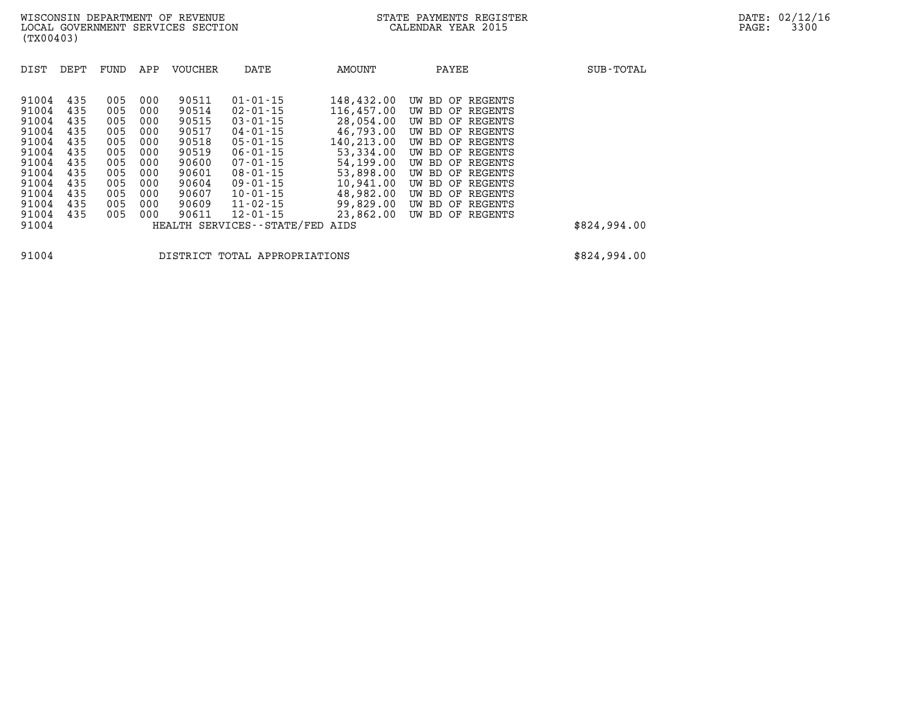| DIST           | DEPT       | FUND       | APP        | <b>VOUCHER</b> | DATE                                            | <b>AMOUNT</b>            | PAYEE                                   | SUB-TOTAL    |
|----------------|------------|------------|------------|----------------|-------------------------------------------------|--------------------------|-----------------------------------------|--------------|
| 91004<br>91004 | 435<br>435 | 005        | 000        | 90511<br>90514 | $01 - 01 - 15$                                  | 148,432.00<br>116,457.00 | OF REGENTS<br>UW BD                     |              |
| 91004          | 435        | 005<br>005 | 000<br>000 | 90515          | $02 - 01 - 15$<br>$03 - 01 - 15$                | 28,054.00                | UW BD OF REGENTS<br>OF REGENTS<br>UW BD |              |
| 91004<br>91004 | 435<br>435 | 005<br>005 | 000<br>000 | 90517<br>90518 | $04 - 01 - 15$<br>$05 - 01 - 15$                | 46,793.00<br>140,213.00  | UW BD OF REGENTS<br>UW BD OF REGENTS    |              |
| 91004<br>91004 | 435<br>435 | 005<br>005 | 000<br>000 | 90519<br>90600 | $06 - 01 - 15$<br>$07 - 01 - 15$                | 53,334.00<br>54,199.00   | UW BD OF REGENTS<br>UW BD OF REGENTS    |              |
| 91004<br>91004 | 435<br>435 | 005<br>005 | 000<br>000 | 90601<br>90604 | $08 - 01 - 15$<br>$09 - 01 - 15$                | 53,898,00<br>10,941.00   | OF REGENTS<br>UW BD<br>UW BD OF REGENTS |              |
| 91004<br>91004 | 435<br>435 | 005<br>005 | 000<br>000 | 90607<br>90609 | $10 - 01 - 15$<br>$11 - 02 - 15$                | 48,982.00<br>99,829,00   | OF REGENTS<br>UW BD<br>UW BD OF REGENTS |              |
| 91004<br>91004 | 435        | 005        | 000        | 90611          | $12 - 01 - 15$<br>HEALTH SERVICES - - STATE/FED | 23,862.00<br>AIDS        | UW BD OF REGENTS                        | \$824,994.00 |
|                |            |            |            |                |                                                 |                          |                                         |              |

**91004 DISTRICT TOTAL APPROPRIATIONS \$824,994.00**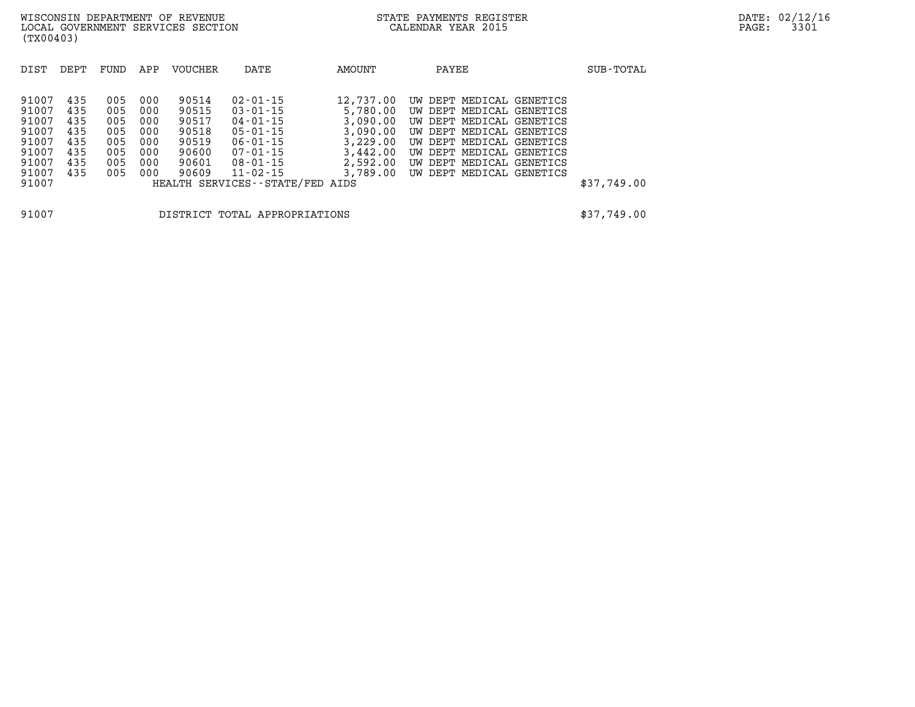| DIST                                                                          | DEPT                                                 | FUND                                                 | APP                                                  | <b>VOUCHER</b>                                                       | DATE                                                                                                                                                                            | AMOUNT                                                                                        | PAYEE                                                                                                                                                                                                                              | SUB-TOTAL   |
|-------------------------------------------------------------------------------|------------------------------------------------------|------------------------------------------------------|------------------------------------------------------|----------------------------------------------------------------------|---------------------------------------------------------------------------------------------------------------------------------------------------------------------------------|-----------------------------------------------------------------------------------------------|------------------------------------------------------------------------------------------------------------------------------------------------------------------------------------------------------------------------------------|-------------|
| 91007<br>91007<br>91007<br>91007<br>91007<br>91007<br>91007<br>91007<br>91007 | 435<br>435<br>435<br>435<br>435<br>435<br>435<br>435 | 005<br>005<br>005<br>005<br>005<br>005<br>005<br>005 | 000<br>000<br>000<br>000<br>000<br>000<br>000<br>000 | 90514<br>90515<br>90517<br>90518<br>90519<br>90600<br>90601<br>90609 | $02 - 01 - 15$<br>$03 - 01 - 15$<br>$04 - 01 - 15$<br>$05 - 01 - 15$<br>$06 - 01 - 15$<br>$07 - 01 - 15$<br>$08 - 01 - 15$<br>$11 - 02 - 15$<br>HEALTH SERVICES--STATE/FED AIDS | 12,737.00<br>5,780.00<br>3,090.00<br>3,090.00<br>3,229.00<br>3,442.00<br>2,592.00<br>3,789.00 | UW DEPT MEDICAL<br>GENETICS<br>UW DEPT MEDICAL GENETICS<br>UW DEPT MEDICAL GENETICS<br>UW DEPT MEDICAL GENETICS<br>UW DEPT MEDICAL GENETICS<br>UW DEPT MEDICAL GENETICS<br>UW DEPT MEDICAL<br>GENETICS<br>UW DEPT MEDICAL GENETICS | \$37,749.00 |
| 91007                                                                         |                                                      |                                                      |                                                      |                                                                      | DISTRICT TOTAL APPROPRIATIONS                                                                                                                                                   |                                                                                               |                                                                                                                                                                                                                                    | \$37,749.00 |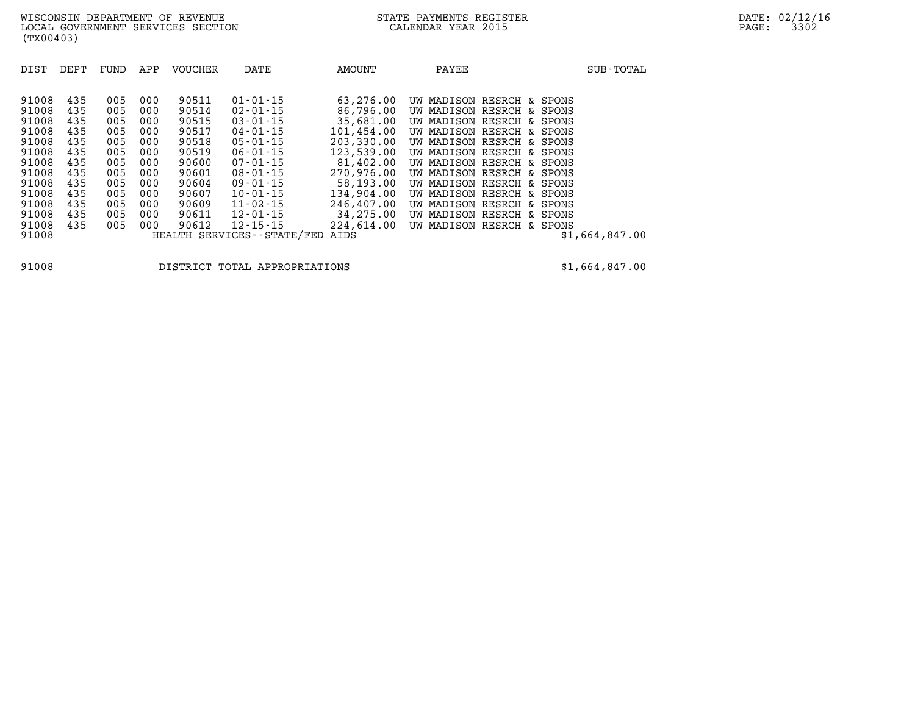| DIST           | DEPT       | FUND       | APP        | <b>VOUCHER</b> | DATE                             | AMOUNT                   | PAYEE                          |                              |                      | SUB-TOTAL      |
|----------------|------------|------------|------------|----------------|----------------------------------|--------------------------|--------------------------------|------------------------------|----------------------|----------------|
| 91008          | 435        | 005        | 000        | 90511          | $01 - 01 - 15$                   | 63,276.00                | MADISON RESRCH<br>UW           |                              | & SPONS              |                |
| 91008<br>91008 | 435<br>435 | 005<br>005 | 000<br>000 | 90514<br>90515 | $02 - 01 - 15$<br>$03 - 01 - 15$ | 86,796.00<br>35,681.00   | MADISON<br>UW<br>MADISON<br>UW | RESRCH<br>RESRCH<br>δc       | SPONS<br>δc<br>SPONS |                |
| 91008<br>91008 | 435<br>435 | 005<br>005 | 000<br>000 | 90517<br>90518 | $04 - 01 - 15$<br>$05 - 01 - 15$ | 101,454.00<br>203,330.00 | MADISON<br>UW<br>UW MADISON    | RESRCH<br>δc<br>RESRCH<br>&. | SPONS<br>SPONS       |                |
| 91008<br>91008 | 435<br>435 | 005<br>005 | 000<br>000 | 90519<br>90600 | $06 - 01 - 15$<br>$07 - 01 - 15$ | 123,539.00<br>81,402.00  | MADISON<br>UW<br>UW MADISON    | RESRCH<br>&<br>RESRCH        | SPONS<br>& SPONS     |                |
| 91008<br>91008 | 435<br>435 | 005<br>005 | 000<br>000 | 90601<br>90604 | $08 - 01 - 15$<br>$09 - 01 - 15$ | 270,976.00<br>58,193.00  | UW MADISON<br>UW MADISON       | RESRCH<br>RESRCH             | & SPONS<br>& SPONS   |                |
| 91008<br>91008 | 435<br>435 | 005<br>005 | 000<br>000 | 90607<br>90609 | $10 - 01 - 15$<br>$11 - 02 - 15$ | 134,904.00<br>246,407.00 | MADISON<br>UW<br>MADISON<br>UW | RESRCH<br>&.<br>RESRCH       | SPONS<br>& SPONS     |                |
| 91008<br>91008 | 435<br>435 | 005<br>005 | 000<br>000 | 90611<br>90612 | $12 - 01 - 15$<br>$12 - 15 - 15$ | 34,275.00<br>224,614.00  | MADISON<br>UW<br>MADISON<br>UW | RESRCH<br>RESRCH             | & SPONS<br>& SPONS   |                |
| 91008          |            |            |            |                | HEALTH SERVICES - - STATE/FED    | AIDS                     |                                |                              |                      | \$1,664,847.00 |

**91008 DISTRICT TOTAL APPROPRIATIONS \$1,664,847.00**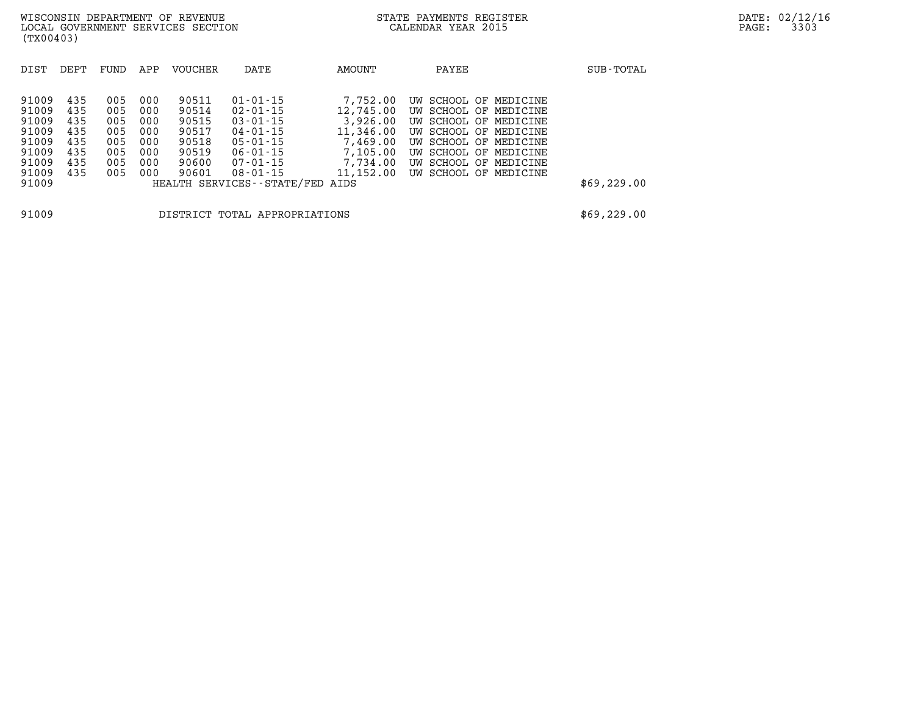| DIST  | DEPT | FUND | APP | VOUCHER | DATE                          | AMOUNT    | PAYEE                 | SUB-TOTAL   |
|-------|------|------|-----|---------|-------------------------------|-----------|-----------------------|-------------|
|       |      |      |     |         |                               |           |                       |             |
| 91009 | 435  | 005  | 000 | 90511   | $01 - 01 - 15$                | 7,752.00  | UW SCHOOL OF MEDICINE |             |
| 91009 | 435  | 005  | 000 | 90514   | $02 - 01 - 15$                | 12,745.00 | UW SCHOOL OF MEDICINE |             |
| 91009 | 435  | 005  | 000 | 90515   | $03 - 01 - 15$                | 3,926.00  | UW SCHOOL OF MEDICINE |             |
| 91009 | 435  | 005  | 000 | 90517   | $04 - 01 - 15$                | 11,346.00 | UW SCHOOL OF MEDICINE |             |
| 91009 | 435  | 005  | 000 | 90518   | $05 - 01 - 15$                | 7,469.00  | UW SCHOOL OF MEDICINE |             |
| 91009 | 435  | 005  | 000 | 90519   | $06 - 01 - 15$                | 7,105.00  | UW SCHOOL OF MEDICINE |             |
| 91009 | 435  | 005  | 000 | 90600   | 07-01-15                      | 7,734.00  | UW SCHOOL OF MEDICINE |             |
| 91009 | 435  | 005  | 000 | 90601   | $08 - 01 - 15$                | 11,152.00 | UW SCHOOL OF MEDICINE |             |
| 91009 |      |      |     |         | HEALTH SERVICES--STATE/FED    | AIDS      |                       | \$69,229.00 |
| 91009 |      |      |     |         | DISTRICT TOTAL APPROPRIATIONS |           |                       | \$69,229.00 |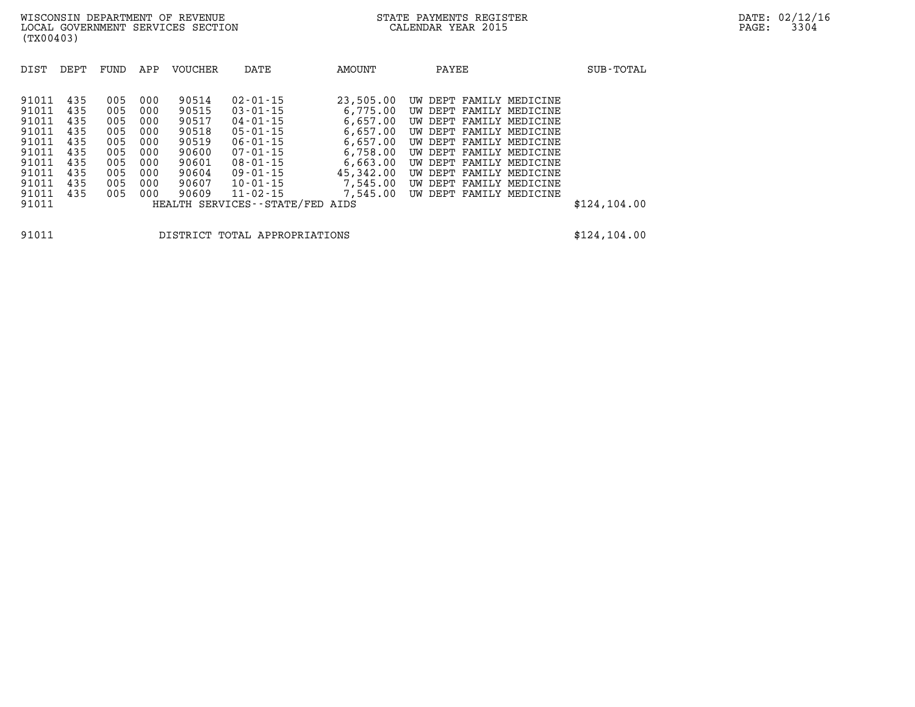| DIST                                                        | DEPT                                          | FUND                                          | APP                                           | VOUCHER                                                     | DATE                                                                                                                       | AMOUNT                                                                            | PAYEE                                                                                                                                                                                     | SUB-TOTAL    |
|-------------------------------------------------------------|-----------------------------------------------|-----------------------------------------------|-----------------------------------------------|-------------------------------------------------------------|----------------------------------------------------------------------------------------------------------------------------|-----------------------------------------------------------------------------------|-------------------------------------------------------------------------------------------------------------------------------------------------------------------------------------------|--------------|
| 91011<br>91011<br>91011<br>91011<br>91011<br>91011<br>91011 | 435<br>435<br>435<br>435<br>435<br>435<br>435 | 005<br>005<br>005<br>005<br>005<br>005<br>005 | 000<br>000<br>000<br>000<br>000<br>000<br>000 | 90514<br>90515<br>90517<br>90518<br>90519<br>90600<br>90601 | $02 - 01 - 15$<br>$03 - 01 - 15$<br>$04 - 01 - 15$<br>$05 - 01 - 15$<br>$06 - 01 - 15$<br>$07 - 01 - 15$<br>$08 - 01 - 15$ | 23,505.00<br>6,775.00<br>6,657.00<br>6.657.00<br>6,657.00<br>6,758.00<br>6,663.00 | UW DEPT FAMILY MEDICINE<br>UW DEPT FAMILY MEDICINE<br>UW DEPT FAMILY MEDICINE<br>UW DEPT FAMILY MEDICINE<br>UW DEPT FAMILY MEDICINE<br>UW DEPT FAMILY MEDICINE<br>UW DEPT FAMILY MEDICINE |              |
| 91011<br>91011<br>91011<br>91011                            | 435<br>435<br>435                             | 005<br>005<br>005                             | 000<br>000<br>000                             | 90604<br>90607<br>90609                                     | 09-01-15<br>$10 - 01 - 15$<br>$11 - 02 - 15$<br>HEALTH SERVICES--STATE/FED AIDS                                            | 45,342,00<br>7,545.00<br>7,545.00                                                 | UW DEPT FAMILY MEDICINE<br>UW DEPT FAMILY MEDICINE<br>UW DEPT FAMILY MEDICINE                                                                                                             | \$124,104.00 |

**91011 DISTRICT TOTAL APPROPRIATIONS \$124,104.00**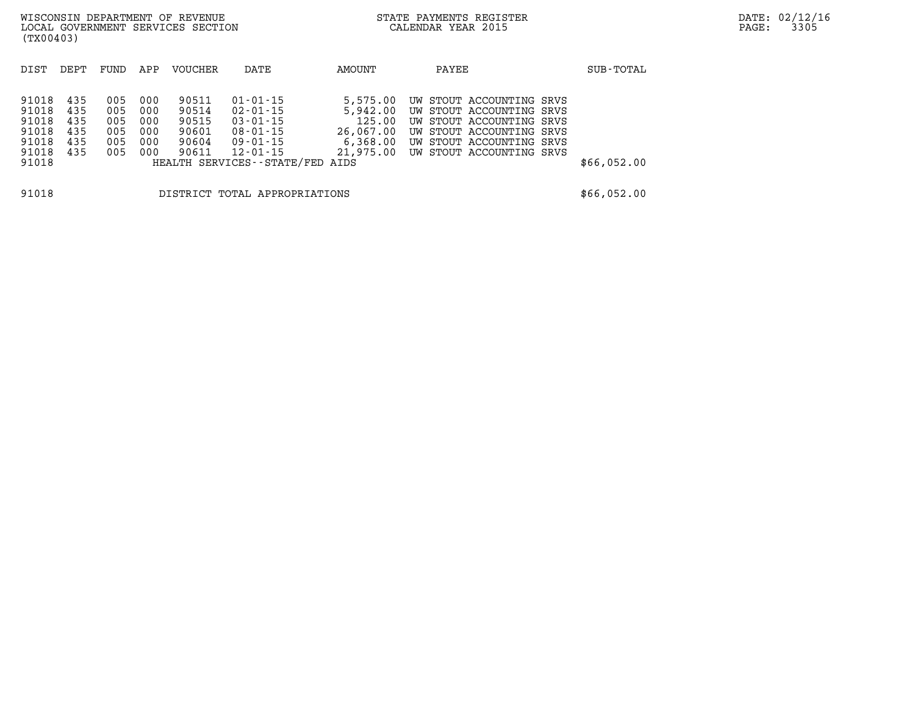| (TX00403)                                                   |                                        |                                        |                                        | WISCONSIN DEPARTMENT OF REVENUE<br>LOCAL GOVERNMENT SERVICES SECTION |                                                                                                               |                                             | STATE PAYMENTS REGISTER<br>CALENDAR YEAR 2015                                                                                                                                           |  | PAGE:       | DATE: 02/12/16<br>3305 |  |
|-------------------------------------------------------------|----------------------------------------|----------------------------------------|----------------------------------------|----------------------------------------------------------------------|---------------------------------------------------------------------------------------------------------------|---------------------------------------------|-----------------------------------------------------------------------------------------------------------------------------------------------------------------------------------------|--|-------------|------------------------|--|
| DIST                                                        | DEPT                                   | FUND                                   | APP                                    | VOUCHER                                                              | DATE                                                                                                          | AMOUNT                                      | PAYEE                                                                                                                                                                                   |  | SUB-TOTAL   |                        |  |
| 91018<br>91018<br>91018<br>91018<br>91018<br>91018<br>91018 | 435<br>435<br>435<br>435<br>435<br>435 | 005<br>005<br>005<br>005<br>005<br>005 | 000<br>000<br>000<br>000<br>000<br>000 | 90511<br>90514<br>90515<br>90601<br>90604<br>90611                   | $01 - 01 - 15$<br>02-01-15<br>03-01-15<br>08-01-15<br>09-01-15<br>12-01-15<br>HEALTH SERVICES--STATE/FED AIDS | 5,575.00<br>5,942.00<br>125.00<br>26,067.00 | UW STOUT ACCOUNTING SRVS<br>UW STOUT ACCOUNTING SRVS<br>UW STOUT ACCOUNTING SRVS<br>UW STOUT ACCOUNTING SRVS<br>6,368.00 UW STOUT ACCOUNTING SRVS<br>21,975.00 UW STOUT ACCOUNTING SRVS |  | \$66,052.00 |                        |  |
| 91018                                                       |                                        |                                        |                                        |                                                                      | DISTRICT TOTAL APPROPRIATIONS                                                                                 |                                             |                                                                                                                                                                                         |  | \$66,052.00 |                        |  |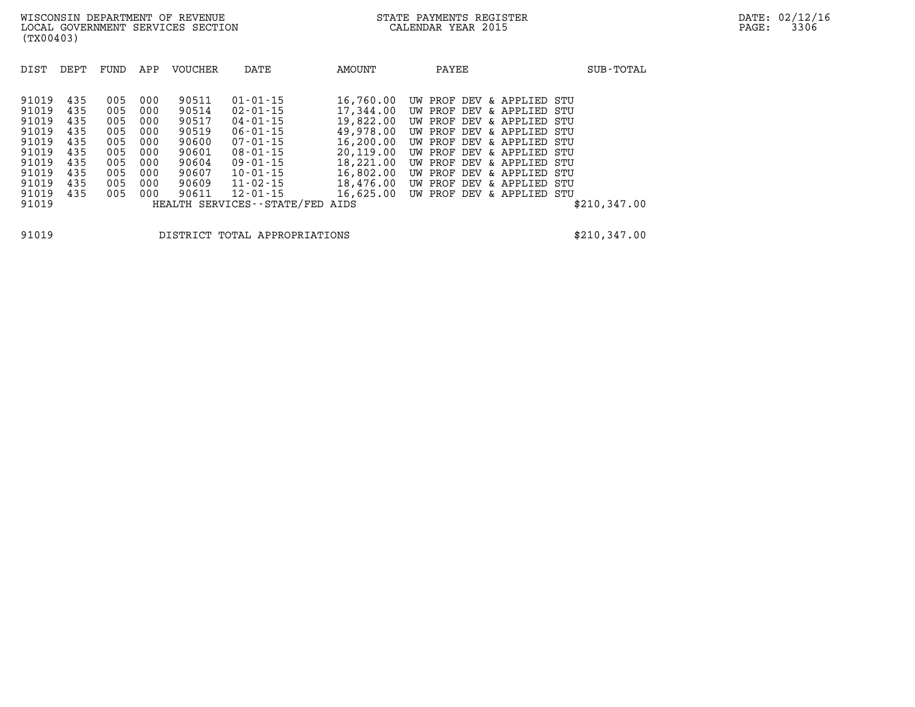| DIST           | DEPT       | FUND       | APP        | VOUCHER        | DATE                                        | AMOUNT                 | PAYEE                                                  | SUB-TOTAL    |
|----------------|------------|------------|------------|----------------|---------------------------------------------|------------------------|--------------------------------------------------------|--------------|
| 91019          | 435        | 005        | 000        | 90511          | $01 - 01 - 15$                              | 16,760.00              | UW PROF DEV & APPLIED STU                              |              |
| 91019<br>91019 | 435<br>435 | 005<br>005 | 000<br>000 | 90514<br>90517 | $02 - 01 - 15$<br>$04 - 01 - 15$            | 17,344.00<br>19,822.00 | UW PROF DEV & APPLIED<br>UW PROF DEV & APPLIED STU     | STU          |
| 91019          | 435        | 005        | 000        | 90519          | $06 - 01 - 15$                              | 49,978.00              | UW PROF DEV & APPLIED STU                              |              |
| 91019<br>91019 | 435<br>435 | 005<br>005 | 000<br>000 | 90600<br>90601 | $07 - 01 - 15$<br>$08 - 01 - 15$            | 16,200.00<br>20,119.00 | UW PROF DEV & APPLIED STU<br>UW PROF DEV & APPLIED STU |              |
| 91019          | 435        | 005        | 000        | 90604          | $09 - 01 - 15$                              | 18,221.00              | UW PROF DEV & APPLIED                                  | STU          |
| 91019<br>91019 | 435<br>435 | 005<br>005 | 000<br>000 | 90607<br>90609 | $10 - 01 - 15$<br>$11 - 02 - 15$            | 16,802.00<br>18,476.00 | UW PROF DEV & APPLIED STU<br>UW PROF DEV & APPLIED STU |              |
| 91019<br>91019 | 435        | 005        | 000        | 90611          | 12-01-15<br>HEALTH SERVICES--STATE/FED AIDS | 16,625.00              | UW PROF DEV & APPLIED STU                              | \$210,347.00 |
|                |            |            |            |                |                                             |                        |                                                        |              |

**91019 DISTRICT TOTAL APPROPRIATIONS \$210,347.00**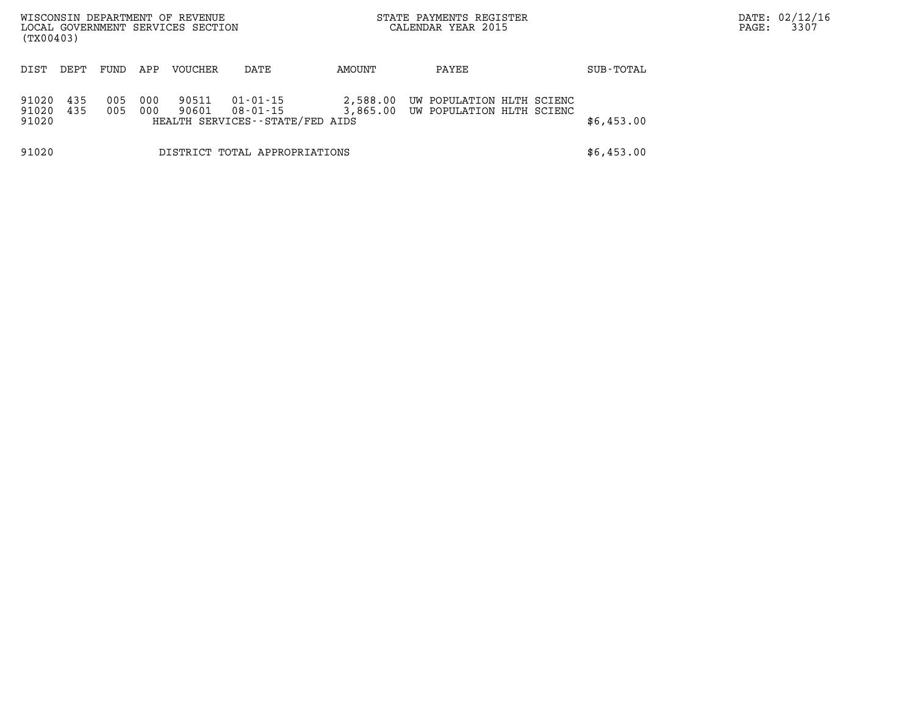| (TX00403)               |            |            |            | WISCONSIN DEPARTMENT OF REVENUE<br>LOCAL GOVERNMENT SERVICES SECTION |                                                         |          | STATE PAYMENTS REGISTER<br>CALENDAR YEAR 2015                   |            | DATE: 02/12/16<br>3307<br>PAGE: |
|-------------------------|------------|------------|------------|----------------------------------------------------------------------|---------------------------------------------------------|----------|-----------------------------------------------------------------|------------|---------------------------------|
| DIST                    | DEPT       | FUND       | APP        | VOUCHER                                                              | DATE                                                    | AMOUNT   | PAYEE                                                           | SUB-TOTAL  |                                 |
| 91020<br>91020<br>91020 | 435<br>435 | 005<br>005 | 000<br>000 | 90511<br>90601                                                       | 01-01-15<br>08-01-15<br>HEALTH SERVICES--STATE/FED AIDS | 2,588.00 | UW POPULATION HLTH SCIENC<br>3,865.00 UW POPULATION HLTH SCIENC | \$6,453.00 |                                 |
| 91020                   |            |            |            |                                                                      | DISTRICT TOTAL APPROPRIATIONS                           |          |                                                                 | \$6,453.00 |                                 |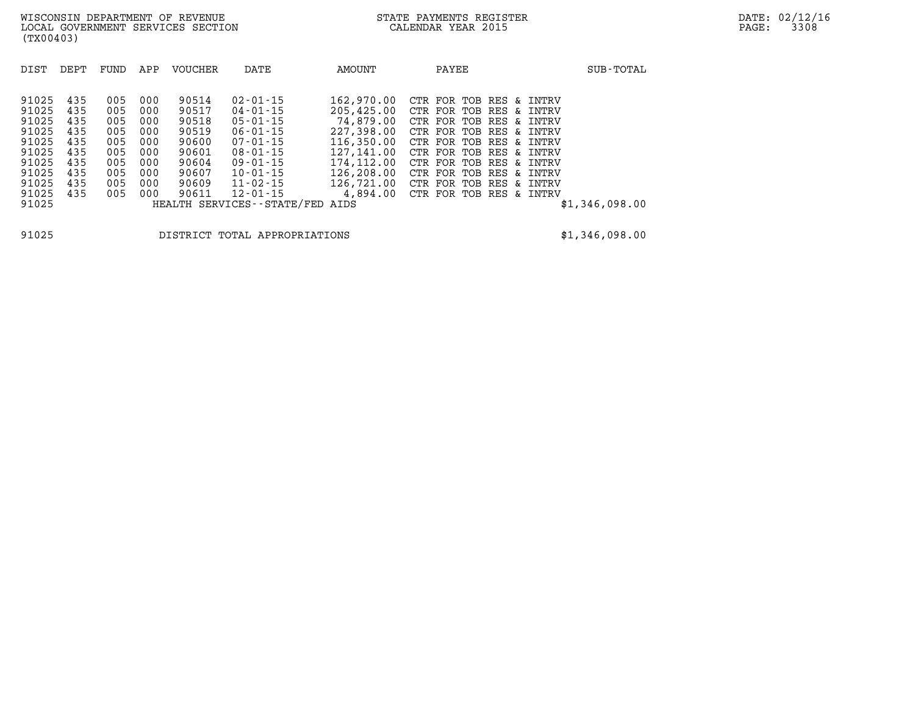| DIST                                                                                            | DEPT                                                               | FUND                                                               | APP                                                                | VOUCHER                                                                                | DATE                                                                                                                                                                                                          | AMOUNT                                                                                                                                | PAYEE                                                                                                                                                                                                                                                                      | SUB-TOTAL      |
|-------------------------------------------------------------------------------------------------|--------------------------------------------------------------------|--------------------------------------------------------------------|--------------------------------------------------------------------|----------------------------------------------------------------------------------------|---------------------------------------------------------------------------------------------------------------------------------------------------------------------------------------------------------------|---------------------------------------------------------------------------------------------------------------------------------------|----------------------------------------------------------------------------------------------------------------------------------------------------------------------------------------------------------------------------------------------------------------------------|----------------|
| 91025<br>91025<br>91025<br>91025<br>91025<br>91025<br>91025<br>91025<br>91025<br>91025<br>91025 | 435<br>435<br>435<br>435<br>435<br>435<br>435<br>435<br>435<br>435 | 005<br>005<br>005<br>005<br>005<br>005<br>005<br>005<br>005<br>005 | 000<br>000<br>000<br>000<br>000<br>000<br>000<br>000<br>000<br>000 | 90514<br>90517<br>90518<br>90519<br>90600<br>90601<br>90604<br>90607<br>90609<br>90611 | $02 - 01 - 15$<br>$04 - 01 - 15$<br>$05 - 01 - 15$<br>$06 - 01 - 15$<br>07-01-15<br>$08 - 01 - 15$<br>$09 - 01 - 15$<br>$10 - 01 - 15$<br>$11 - 02 - 15$<br>$12 - 01 - 15$<br>HEALTH SERVICES--STATE/FED AIDS | 162,970.00<br>205,425.00<br>74,879.00<br>227,398,00<br>116,350.00<br>127,141.00<br>174,112.00<br>126,208.00<br>126,721.00<br>4,894.00 | CTR FOR TOB RES & INTRV<br>CTR FOR TOB RES & INTRV<br>CTR FOR TOB RES & INTRV<br>CTR FOR TOB RES & INTRV<br>CTR FOR TOB RES & INTRV<br>CTR FOR TOB RES & INTRV<br>CTR FOR TOB RES & INTRV<br>CTR FOR TOB RES & INTRV<br>CTR FOR TOB RES & INTRV<br>CTR FOR TOB RES & INTRV | \$1,346,098.00 |
|                                                                                                 |                                                                    |                                                                    |                                                                    |                                                                                        |                                                                                                                                                                                                               |                                                                                                                                       |                                                                                                                                                                                                                                                                            |                |

**91025 DISTRICT TOTAL APPROPRIATIONS \$1,346,098.00**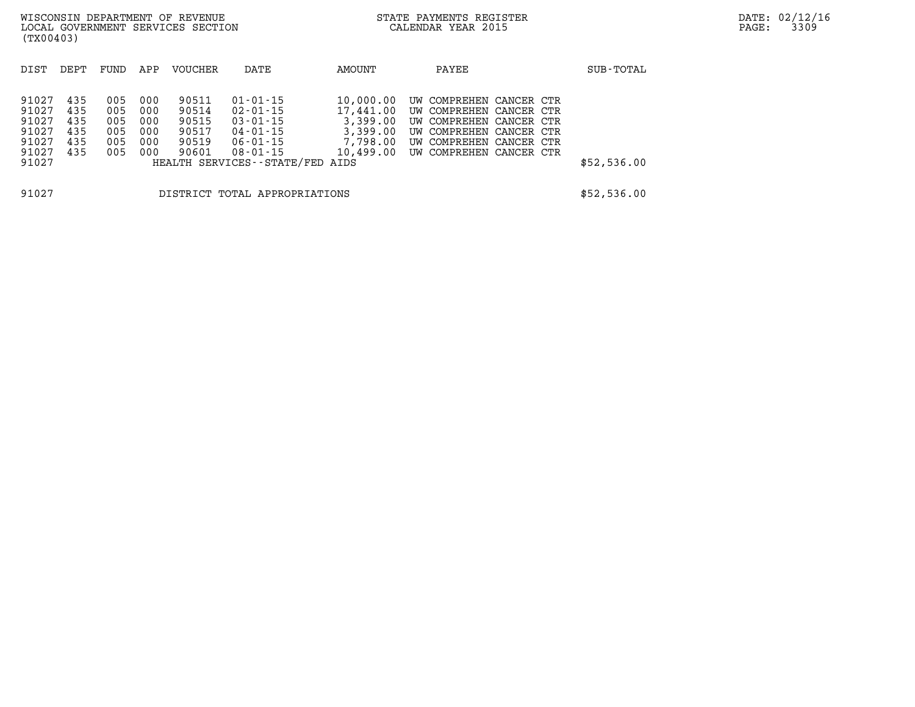| (TX00403)                                                   |                                        |                                        |                                        | WISCONSIN DEPARTMENT OF REVENUE<br>LOCAL GOVERNMENT SERVICES SECTION |                                                                                                         |                                                            | STATE PAYMENTS REGISTER<br>CALENDAR YEAR 2015                                                                                                                            |             | DATE: 02/12/16<br>3309<br>PAGE: |
|-------------------------------------------------------------|----------------------------------------|----------------------------------------|----------------------------------------|----------------------------------------------------------------------|---------------------------------------------------------------------------------------------------------|------------------------------------------------------------|--------------------------------------------------------------------------------------------------------------------------------------------------------------------------|-------------|---------------------------------|
| DIST                                                        | DEPT                                   | FUND                                   | APP                                    | VOUCHER                                                              | DATE                                                                                                    | AMOUNT                                                     | PAYEE                                                                                                                                                                    | SUB-TOTAL   |                                 |
| 91027<br>91027<br>91027<br>91027<br>91027<br>91027<br>91027 | 435<br>435<br>435<br>435<br>435<br>435 | 005<br>005<br>005<br>005<br>005<br>005 | 000<br>000<br>000<br>000<br>000<br>000 | 90511<br>90514<br>90515<br>90517<br>90519<br>90601                   | 01-01-15<br>02-01-15<br>03-01-15<br>04-01-15<br>06-01-15<br>08-01-15<br>HEALTH SERVICES--STATE/FED AIDS | 10,000.00<br>17,441.00<br>3,399.00<br>3,399.00<br>7,798.00 | UW COMPREHEN CANCER CTR<br>UW COMPREHEN CANCER CTR<br>UW COMPREHEN CANCER CTR<br>UW COMPREHEN CANCER CTR<br>UW COMPREHEN CANCER CTR<br>10,499.00 UW COMPREHEN CANCER CTR | \$52,536.00 |                                 |
| 91027                                                       |                                        |                                        |                                        |                                                                      | DISTRICT TOTAL APPROPRIATIONS                                                                           |                                                            |                                                                                                                                                                          | \$52,536.00 |                                 |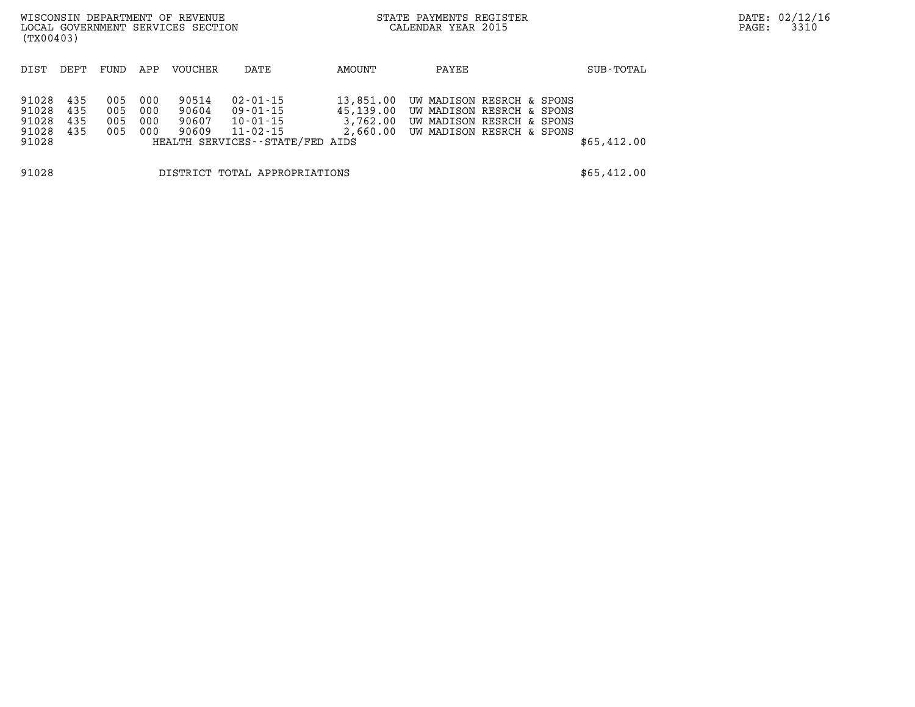| (TX00403)                                 |                          |                          |                          | WISCONSIN DEPARTMENT OF REVENUE<br>LOCAL GOVERNMENT SERVICES SECTION |                                                                                 |                                    | STATE PAYMENTS REGISTER<br>CALENDAR YEAR 2015 |                                                                                                                           |             | DATE: 02/12/16<br>3310<br>PAGE: |
|-------------------------------------------|--------------------------|--------------------------|--------------------------|----------------------------------------------------------------------|---------------------------------------------------------------------------------|------------------------------------|-----------------------------------------------|---------------------------------------------------------------------------------------------------------------------------|-------------|---------------------------------|
| DIST                                      | DEPT                     | FUND                     | APP                      | VOUCHER                                                              | DATE                                                                            | AMOUNT                             | PAYEE                                         |                                                                                                                           | SUB-TOTAL   |                                 |
| 91028<br>91028<br>91028<br>91028<br>91028 | 435<br>435<br>435<br>435 | 005<br>005<br>005<br>005 | 000<br>000<br>000<br>000 | 90514<br>90604<br>90607<br>90609                                     | 02-01-15<br>09-01-15<br>10-01-15<br>11-02-15<br>HEALTH SERVICES--STATE/FED AIDS | 13,851.00<br>45,139.00<br>3,762.00 |                                               | UW MADISON RESRCH & SPONS<br>UW MADISON RESRCH & SPONS<br>UW MADISON RESRCH & SPONS<br>2,660.00 UW MADISON RESRCH & SPONS | \$65,412.00 |                                 |
| 91028                                     |                          |                          |                          |                                                                      | DISTRICT TOTAL APPROPRIATIONS                                                   |                                    |                                               |                                                                                                                           | \$65,412.00 |                                 |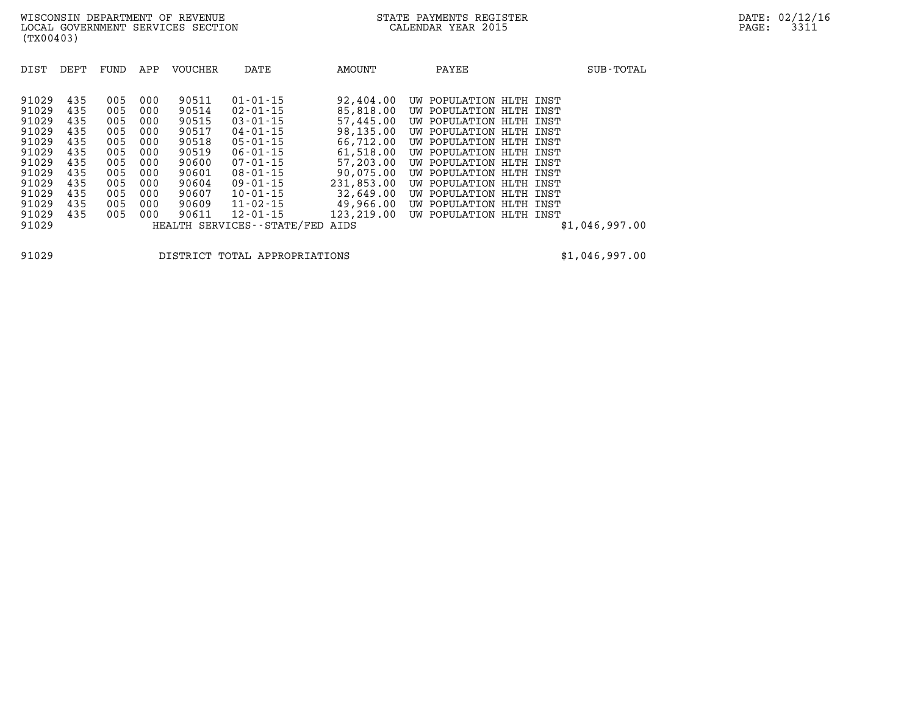| 91029<br>435<br>90511<br>$01 - 01 - 15$<br>92,404.00<br>005<br>000<br>UW POPULATION HLTH INST<br>85,818.00<br>91029<br>435<br>005<br>90514<br>$02 - 01 - 15$<br>000<br>UW POPULATION HLTH<br>INST<br>91029<br>90515<br>$03 - 01 - 15$<br>57,445.00<br>000<br>435<br>005<br>UW POPULATION HLTH<br>INST<br>98,135.00<br>91029<br>$04 - 01 - 15$<br>435<br>000<br>90517<br>005<br>UW POPULATION HLTH INST<br>91029<br>$05 - 01 - 15$<br>66,712.00<br>435<br>005<br>90518<br>000<br>UW POPULATION HLTH<br>INST<br>91029<br>61,518.00<br>90519<br>435<br>000<br>$06 - 01 - 15$<br>005<br>UW POPULATION HLTH INST<br>57,203,00<br>91029<br>90600<br>$07 - 01 - 15$<br>435<br>005<br>000<br>UW POPULATION HLTH INST<br>90,075.00<br>91029<br>90601<br>$08 - 01 - 15$<br>435<br>005<br>000<br>UW POPULATION HLTH<br>INST | DIST  | DEPT | FUND | APP | <b>VOUCHER</b> | DATE           | AMOUNT     | PAYEE                   | SUB-TOTAL |
|------------------------------------------------------------------------------------------------------------------------------------------------------------------------------------------------------------------------------------------------------------------------------------------------------------------------------------------------------------------------------------------------------------------------------------------------------------------------------------------------------------------------------------------------------------------------------------------------------------------------------------------------------------------------------------------------------------------------------------------------------------------------------------------------------------------|-------|------|------|-----|----------------|----------------|------------|-------------------------|-----------|
| 32,649.00<br>91029<br>$10 - 01 - 15$<br>435<br>90607<br>005<br>000<br>UW POPULATION HLTH INST<br>91029<br>$11 - 02 - 15$<br>49,966.00<br>435<br>90609<br>005<br>000<br>UW POPULATION HLTH<br>INST<br>123,219.00<br>91029<br>90611<br>$12 - 01 - 15$<br>435<br>005<br>000<br>UW POPULATION HLTH INST<br>91029<br>HEALTH SERVICES - - STATE/FED<br>\$1,046,997.00<br>AIDS                                                                                                                                                                                                                                                                                                                                                                                                                                          | 91029 | 435  | 005  | 000 | 90604          | $09 - 01 - 15$ | 231,853.00 | UW POPULATION HLTH INST |           |

**91029 DISTRICT TOTAL APPROPRIATIONS \$1,046,997.00**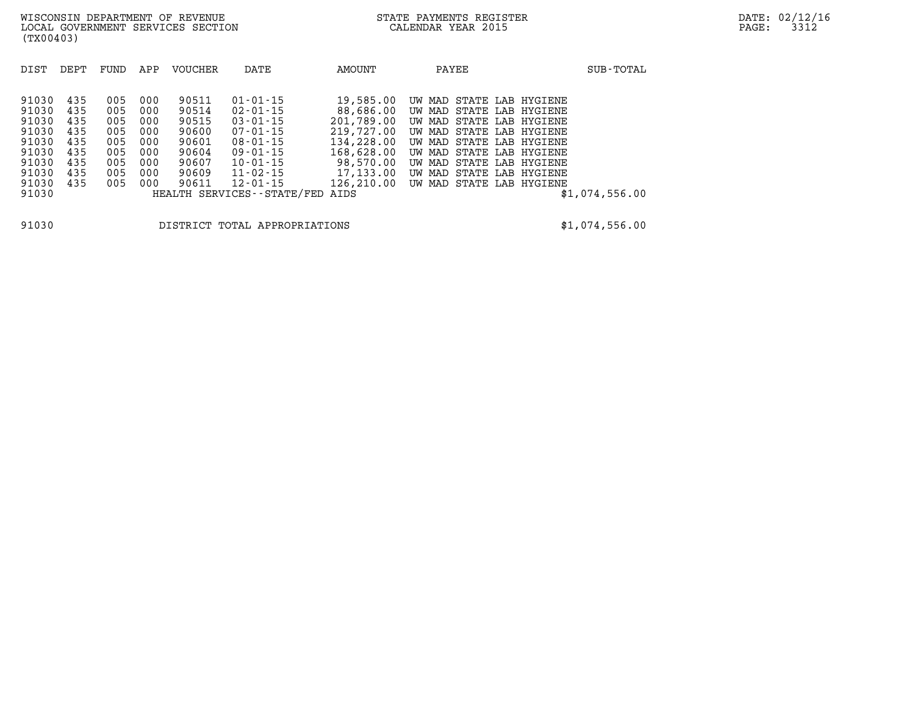| DIST  | DEPT | FUND | APP | <b>VOUCHER</b> | DATE                       | AMOUNT     | PAYEE                    | SUB-TOTAL      |
|-------|------|------|-----|----------------|----------------------------|------------|--------------------------|----------------|
|       |      |      |     |                |                            |            |                          |                |
| 91030 | 435  | 005  | 000 | 90511          | $01 - 01 - 15$             | 19,585.00  | UW MAD STATE LAB HYGIENE |                |
| 91030 | 435  | 005  | 000 | 90514          | 02-01-15                   | 88,686.00  | UW MAD STATE LAB HYGIENE |                |
| 91030 | 435  | 005  | 000 | 90515          | $03 - 01 - 15$             | 201,789.00 | UW MAD STATE LAB HYGIENE |                |
| 91030 | 435  | 005  | 000 | 90600          | $07 - 01 - 15$             | 219,727.00 | UW MAD STATE LAB HYGIENE |                |
| 91030 | 435  | 005  | 000 | 90601          | $08 - 01 - 15$             | 134,228.00 | UW MAD STATE LAB HYGIENE |                |
| 91030 | 435  | 005  | 000 | 90604          | $09 - 01 - 15$             | 168,628.00 | UW MAD STATE LAB HYGIENE |                |
| 91030 | 435  | 005  | 000 | 90607          | $10 - 01 - 15$             | 98,570.00  | UW MAD STATE LAB HYGIENE |                |
| 91030 | 435  | 005  | 000 | 90609          | $11 - 02 - 15$             | 17,133.00  | UW MAD STATE LAB HYGIENE |                |
| 91030 | 435  | 005  | 000 | 90611          | $12 - 01 - 15$             | 126,210.00 | UW MAD STATE LAB HYGIENE |                |
| 91030 |      |      |     |                | HEALTH SERVICES--STATE/FED | AIDS       |                          | \$1,074,556.00 |
|       |      |      |     |                |                            |            |                          |                |
|       |      |      |     |                |                            |            |                          |                |

**91030 DISTRICT TOTAL APPROPRIATIONS \$1,074,556.00**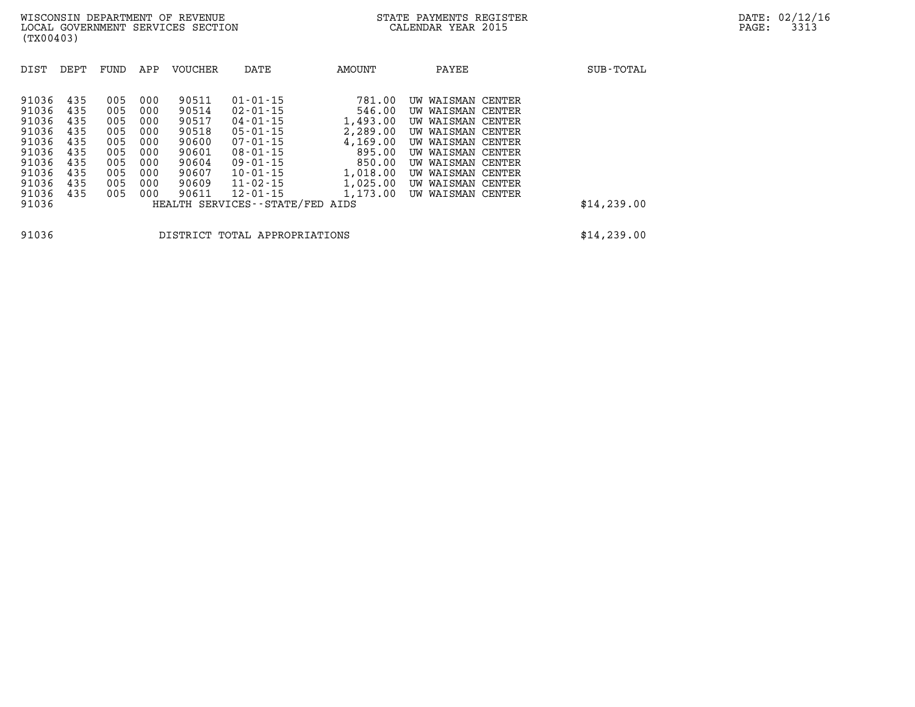| DIST                                                        | DEPT                                          | FUND                                          | APP                                           | <b>VOUCHER</b>                                              | DATE                                                                                                                       | AMOUNT                                                                   | PAYEE                                                                                                                                              | SUB-TOTAL    |
|-------------------------------------------------------------|-----------------------------------------------|-----------------------------------------------|-----------------------------------------------|-------------------------------------------------------------|----------------------------------------------------------------------------------------------------------------------------|--------------------------------------------------------------------------|----------------------------------------------------------------------------------------------------------------------------------------------------|--------------|
| 91036<br>91036<br>91036<br>91036<br>91036<br>91036<br>91036 | 435<br>435<br>435<br>435<br>435<br>435<br>435 | 005<br>005<br>005<br>005<br>005<br>005<br>005 | 000<br>000<br>000<br>000<br>000<br>000<br>000 | 90511<br>90514<br>90517<br>90518<br>90600<br>90601<br>90604 | $01 - 01 - 15$<br>$02 - 01 - 15$<br>$04 - 01 - 15$<br>$05 - 01 - 15$<br>$07 - 01 - 15$<br>$08 - 01 - 15$<br>$09 - 01 - 15$ | 781.00<br>546.00<br>1,493.00<br>2,289.00<br>4,169.00<br>895.00<br>850.00 | WAISMAN CENTER<br>UW<br>UW WAISMAN CENTER<br>UW WAISMAN CENTER<br>UW WAISMAN CENTER<br>UW WAISMAN CENTER<br>UW WAISMAN CENTER<br>UW WAISMAN CENTER |              |
| 91036<br>91036<br>91036<br>91036                            | 435<br>435<br>435                             | 005<br>005<br>005                             | 000<br>000<br>000                             | 90607<br>90609<br>90611                                     | $10 - 01 - 15$<br>$11 - 02 - 15$<br>$12 - 01 - 15$<br>HEALTH SERVICES--STATE/FED AIDS                                      | 1,018.00<br>1,025.00<br>1,173.00                                         | UW WAISMAN CENTER<br>UW WAISMAN CENTER<br>WAISMAN CENTER<br>UW                                                                                     | \$14, 239.00 |

**91036 DISTRICT TOTAL APPROPRIATIONS \$14,239.00**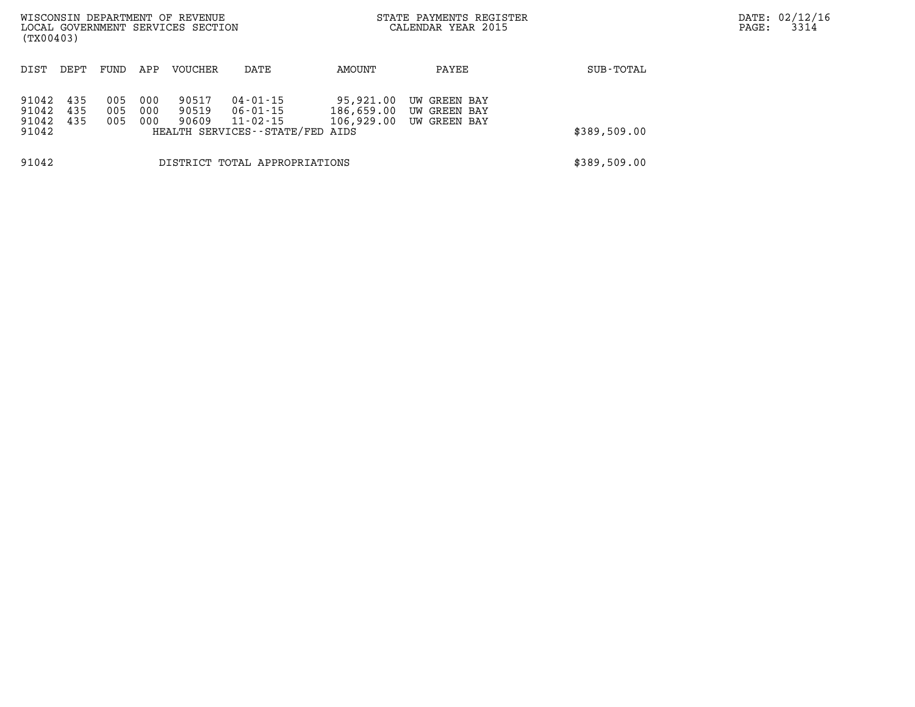| (TX00403)                        |                   |                   |                   | WISCONSIN DEPARTMENT OF REVENUE<br>LOCAL GOVERNMENT SERVICES SECTION |                                                                     |                                       | STATE PAYMENTS REGISTER<br>CALENDAR YEAR 2015 |              | PAGE: | DATE: 02/12/16<br>3314 |
|----------------------------------|-------------------|-------------------|-------------------|----------------------------------------------------------------------|---------------------------------------------------------------------|---------------------------------------|-----------------------------------------------|--------------|-------|------------------------|
| DIST                             | DEPT              | FUND              | APP               | <b>VOUCHER</b>                                                       | DATE                                                                | AMOUNT                                | PAYEE                                         | SUB-TOTAL    |       |                        |
| 91042<br>91042<br>91042<br>91042 | 435<br>435<br>435 | 005<br>005<br>005 | 000<br>000<br>000 | 90517<br>90519<br>90609                                              | 04-01-15<br>06-01-15<br>11-02-15<br>HEALTH SERVICES--STATE/FED AIDS | 95,921.00<br>186,659.00<br>106,929.00 | UW GREEN BAY<br>UW GREEN BAY<br>UW GREEN BAY  | \$389,509.00 |       |                        |
| 91042                            |                   |                   |                   |                                                                      | DISTRICT TOTAL APPROPRIATIONS                                       |                                       |                                               | \$389,509.00 |       |                        |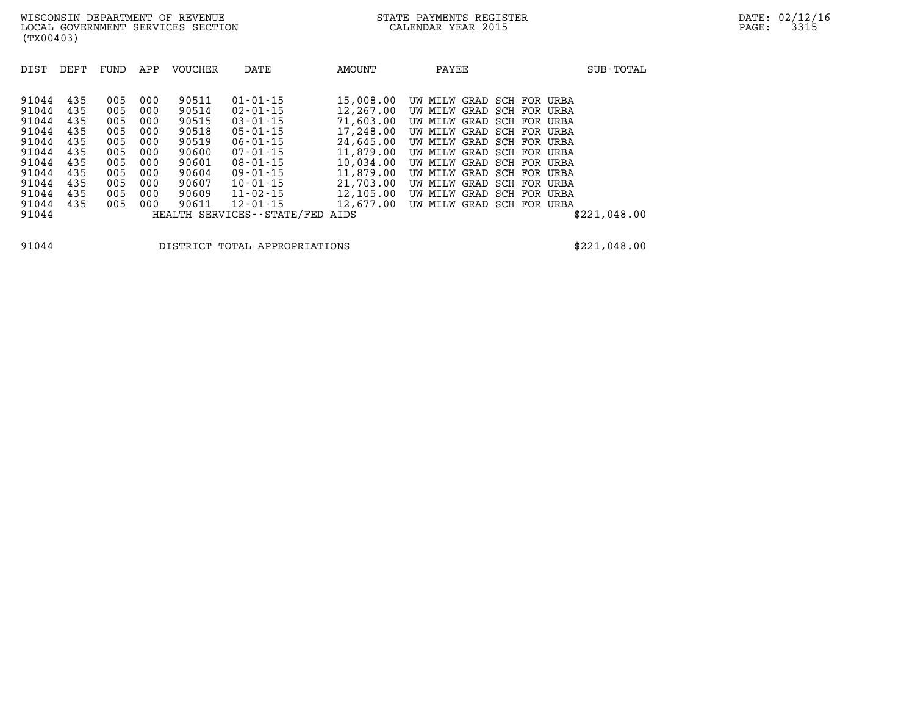| DIST                                                                                                     | DEPT                                                                      | FUND                                                                      | APP                                                                       | VOUCHER                                                                                         | DATE                                                                                                                                                                                                                                | AMOUNT                                                                                                                                              | PAYEE                                                                                                                                                                                                                                                                                                                                                                                | SUB-TOTAL    |
|----------------------------------------------------------------------------------------------------------|---------------------------------------------------------------------------|---------------------------------------------------------------------------|---------------------------------------------------------------------------|-------------------------------------------------------------------------------------------------|-------------------------------------------------------------------------------------------------------------------------------------------------------------------------------------------------------------------------------------|-----------------------------------------------------------------------------------------------------------------------------------------------------|--------------------------------------------------------------------------------------------------------------------------------------------------------------------------------------------------------------------------------------------------------------------------------------------------------------------------------------------------------------------------------------|--------------|
| 91044<br>91044<br>91044<br>91044<br>91044<br>91044<br>91044<br>91044<br>91044<br>91044<br>91044<br>91044 | 435<br>435<br>435<br>435<br>435<br>435<br>435<br>435<br>435<br>435<br>435 | 005<br>005<br>005<br>005<br>005<br>005<br>005<br>005<br>005<br>005<br>005 | 000<br>000<br>000<br>000<br>000<br>000<br>000<br>000<br>000<br>000<br>000 | 90511<br>90514<br>90515<br>90518<br>90519<br>90600<br>90601<br>90604<br>90607<br>90609<br>90611 | $01 - 01 - 15$<br>$02 - 01 - 15$<br>$03 - 01 - 15$<br>$05 - 01 - 15$<br>$06 - 01 - 15$<br>$07 - 01 - 15$<br>$08 - 01 - 15$<br>$09 - 01 - 15$<br>$10 - 01 - 15$<br>$11 - 02 - 15$<br>$12 - 01 - 15$<br>HEALTH SERVICES - - STATE/FED | 15,008.00<br>12,267.00<br>71,603.00<br>17,248.00<br>24,645.00<br>11,879.00<br>10,034.00<br>11,879.00<br>21,703.00<br>12,105.00<br>12,677.00<br>AIDS | GRAD<br>SCH FOR URBA<br>UW MILW<br>GRAD SCH FOR URBA<br>UW MILW<br>GRAD SCH FOR URBA<br>UW MILW<br>SCH FOR<br>GRAD<br>UW MILW<br>URBA<br>SCH FOR URBA<br>GRAD<br>UW MILW<br>GRAD SCH FOR URBA<br>UW MILW<br>GRAD<br>SCH FOR<br>UW MILW<br>URBA<br>GRAD SCH FOR URBA<br>UW MILW<br>GRAD SCH FOR URBA<br>UW MILW<br>SCH FOR<br>GRAD<br>UW MILW<br>URBA<br>GRAD SCH FOR URBA<br>UW MILW | \$221.048.00 |

**91044 DISTRICT TOTAL APPROPRIATIONS \$221,048.00**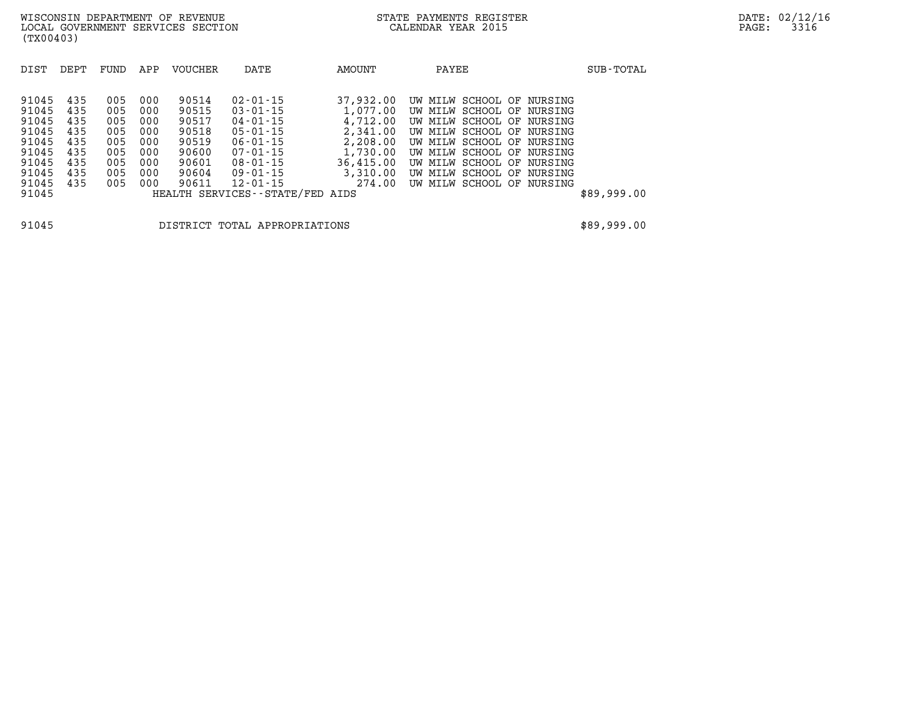| DIST  | DEPT | FUND | APP | VOUCHER | DATE                            | AMOUNT    | PAYEE                        | SUB-TOTAL   |
|-------|------|------|-----|---------|---------------------------------|-----------|------------------------------|-------------|
|       |      |      |     |         |                                 |           |                              |             |
| 91045 | 435  | 005  | 000 | 90514   | $02 - 01 - 15$                  | 37,932.00 | UW MILW SCHOOL OF<br>NURSING |             |
| 91045 | 435  | 005  | 000 | 90515   | $03 - 01 - 15$                  | 1,077.00  | UW MILW SCHOOL OF<br>NURSING |             |
| 91045 | 435  | 005  | 000 | 90517   | $04 - 01 - 15$                  | 4,712.00  | UW MILW SCHOOL OF<br>NURSING |             |
| 91045 | 435  | 005  | 000 | 90518   | $05 - 01 - 15$                  | 2,341.00  | UW MILW SCHOOL OF<br>NURSING |             |
| 91045 | 435  | 005  | 000 | 90519   | $06 - 01 - 15$                  | 2,208.00  | UW MILW SCHOOL OF<br>NURSING |             |
| 91045 | 435  | 005  | 000 | 90600   | $07 - 01 - 15$                  | 1,730.00  | UW MILW SCHOOL OF<br>NURSING |             |
| 91045 | 435  | 005  | 000 | 90601   | $08 - 01 - 15$                  | 36,415.00 | UW MILW SCHOOL OF<br>NURSING |             |
| 91045 | 435  | 005  | 000 | 90604   | $09 - 01 - 15$                  | 3,310.00  | UW MILW SCHOOL OF<br>NURSING |             |
| 91045 | 435  | 005  | 000 | 90611   | $12 - 01 - 15$                  | 274.00    | UW MILW SCHOOL OF<br>NURSING |             |
| 91045 |      |      |     |         | HEALTH SERVICES--STATE/FED AIDS |           |                              | \$89,999.00 |
|       |      |      |     |         |                                 |           |                              |             |
|       |      |      |     |         |                                 |           |                              |             |

**91045 DISTRICT TOTAL APPROPRIATIONS \$89,999.00**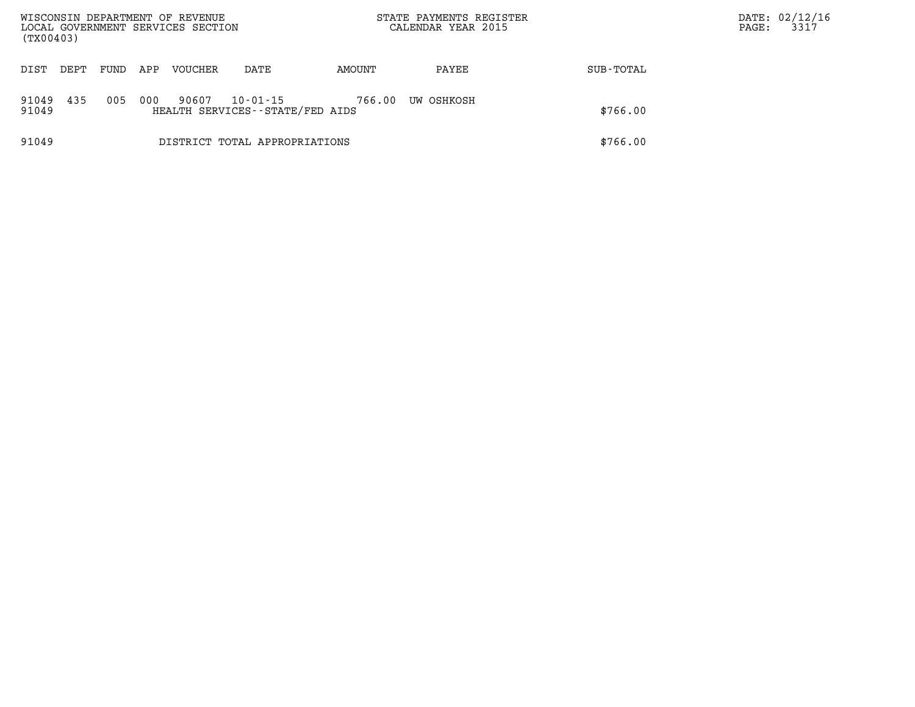| WISCONSIN DEPARTMENT OF REVENUE<br>LOCAL GOVERNMENT SERVICES SECTION<br>(TX00403) |      |      |     |                |                                                   | STATE PAYMENTS REGISTER<br>CALENDAR YEAR 2015 |            |           | PAGE: | DATE: 02/12/16<br>3317 |
|-----------------------------------------------------------------------------------|------|------|-----|----------------|---------------------------------------------------|-----------------------------------------------|------------|-----------|-------|------------------------|
| DIST                                                                              | DEPT | FUND | APP | <b>VOUCHER</b> | DATE                                              | AMOUNT                                        | PAYEE      | SUB-TOTAL |       |                        |
| 91049<br>91049                                                                    | 435  | 005  | 000 | 90607          | $10 - 01 - 15$<br>HEALTH SERVICES--STATE/FED AIDS | 766.00                                        | UW OSHKOSH | \$766.00  |       |                        |
| 91049                                                                             |      |      |     |                | DISTRICT TOTAL APPROPRIATIONS                     |                                               |            | \$766.00  |       |                        |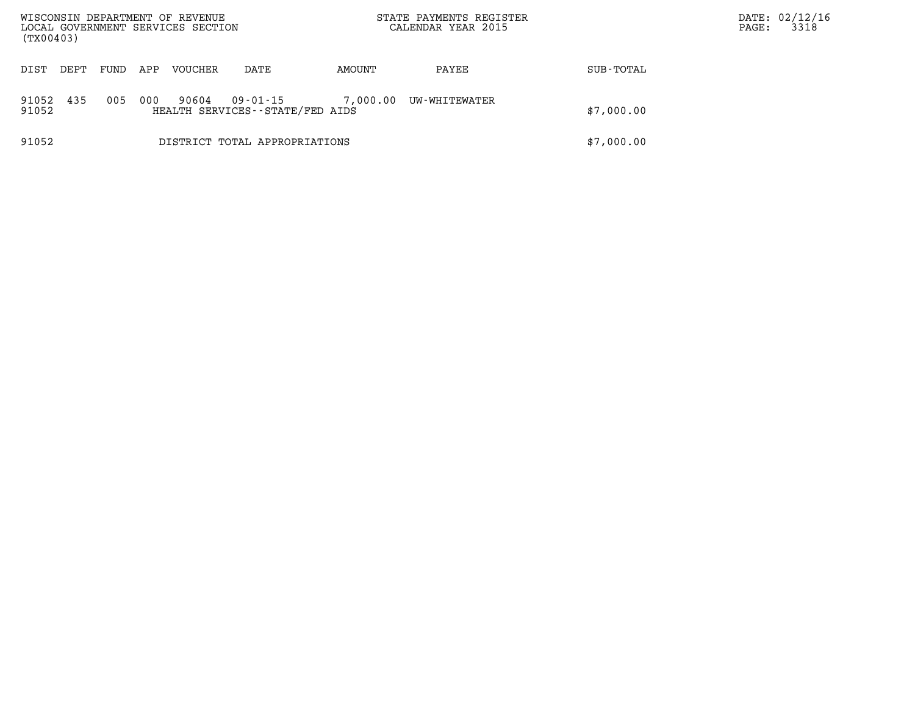| (TX00403)      |      |      |     | WISCONSIN DEPARTMENT OF REVENUE<br>LOCAL GOVERNMENT SERVICES SECTION |                                             | STATE PAYMENTS REGISTER<br>CALENDAR YEAR 2015 |               |            | DATE: 02/12/16<br>3318<br>PAGE: |
|----------------|------|------|-----|----------------------------------------------------------------------|---------------------------------------------|-----------------------------------------------|---------------|------------|---------------------------------|
| DIST           | DEPT | FUND | APP | VOUCHER                                                              | DATE                                        | AMOUNT                                        | PAYEE         | SUB-TOTAL  |                                 |
| 91052<br>91052 | 435  | 005  | 000 | 90604                                                                | 09-01-15<br>HEALTH SERVICES--STATE/FED AIDS | 7,000.00                                      | UW-WHITEWATER | \$7,000.00 |                                 |
| 91052          |      |      |     |                                                                      | DISTRICT TOTAL APPROPRIATIONS               |                                               |               | \$7,000.00 |                                 |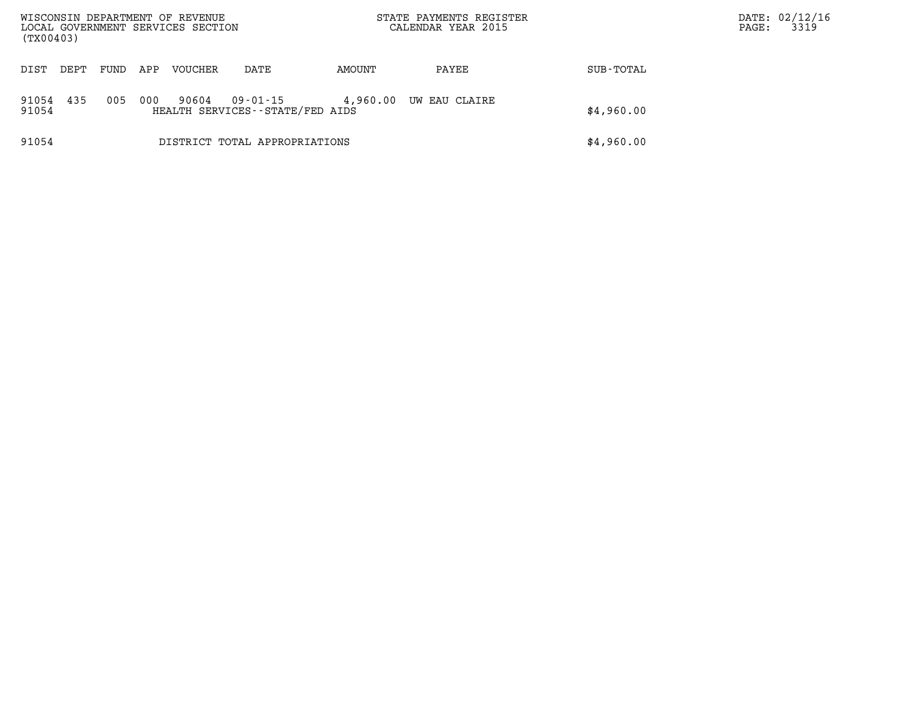| WISCONSIN DEPARTMENT OF REVENUE<br>LOCAL GOVERNMENT SERVICES SECTION<br>(TX00403) |      |      |     |         |                                             | STATE PAYMENTS REGISTER<br>CALENDAR YEAR 2015 |               |            | DATE: 02/12/16<br>3319<br>PAGE: |
|-----------------------------------------------------------------------------------|------|------|-----|---------|---------------------------------------------|-----------------------------------------------|---------------|------------|---------------------------------|
| DIST                                                                              | DEPT | FUND | APP | VOUCHER | DATE                                        | AMOUNT                                        | PAYEE         | SUB-TOTAL  |                                 |
| 91054<br>91054                                                                    | 435  | 005  | 000 | 90604   | 09-01-15<br>HEALTH SERVICES--STATE/FED AIDS | 4,960.00                                      | UW EAU CLAIRE | \$4,960.00 |                                 |
| 91054                                                                             |      |      |     |         | DISTRICT TOTAL APPROPRIATIONS               |                                               |               | \$4,960.00 |                                 |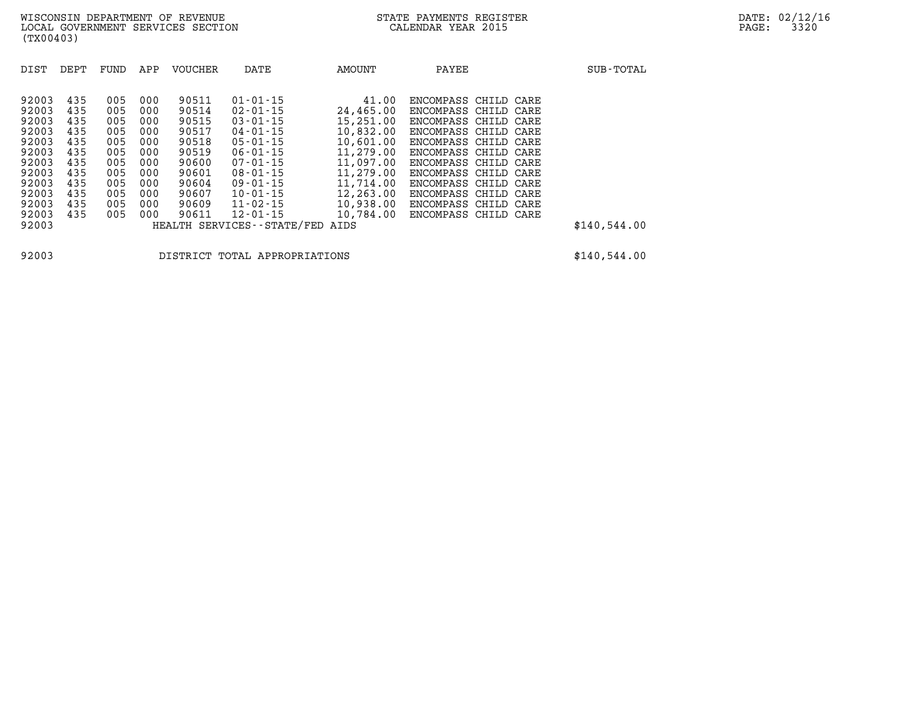| DIST  | DEPT | FUND | APP | <b>VOUCHER</b> | DATE                          | AMOUNT    | PAYEE                | SUB-TOTAL    |
|-------|------|------|-----|----------------|-------------------------------|-----------|----------------------|--------------|
|       |      |      |     |                |                               |           |                      |              |
| 92003 | 435  | 005  | 000 | 90511          | $01 - 01 - 15$                | 41.00     | ENCOMPASS CHILD CARE |              |
| 92003 | 435  | 005  | 000 | 90514          | $02 - 01 - 15$                | 24,465.00 | ENCOMPASS CHILD      | CARE         |
| 92003 | 435  | 005  | 000 | 90515          | $03 - 01 - 15$                | 15,251.00 | ENCOMPASS CHILD CARE |              |
| 92003 | 435  | 005  | 000 | 90517          | $04 - 01 - 15$                | 10,832.00 | ENCOMPASS CHILD CARE |              |
| 92003 | 435  | 005  | 000 | 90518          | $05 - 01 - 15$                | 10,601.00 | ENCOMPASS CHILD CARE |              |
| 92003 | 435  | 005  | 000 | 90519          | $06 - 01 - 15$                | 11,279.00 | ENCOMPASS CHILD CARE |              |
| 92003 | 435  | 005  | 000 | 90600          | $07 - 01 - 15$                | 11,097.00 | ENCOMPASS CHILD CARE |              |
| 92003 | 435  | 005  | 000 | 90601          | $08 - 01 - 15$                | 11,279.00 | ENCOMPASS CHILD CARE |              |
| 92003 | 435  | 005  | 000 | 90604          | $09 - 01 - 15$                | 11,714.00 | ENCOMPASS CHILD CARE |              |
| 92003 | 435  | 005  | 000 | 90607          | $10 - 01 - 15$                | 12,263.00 | ENCOMPASS CHILD CARE |              |
| 92003 | 435  | 005  | 000 | 90609          | $11 - 02 - 15$                | 10,938.00 | ENCOMPASS CHILD      | CARE         |
| 92003 | 435  | 005  | 000 | 90611          | $12 - 01 - 15$                | 10,784.00 | ENCOMPASS CHILD CARE |              |
| 92003 |      |      |     |                | HEALTH SERVICES - - STATE/FED | AIDS      |                      | \$140,544.00 |

**92003 DISTRICT TOTAL APPROPRIATIONS \$140,544.00**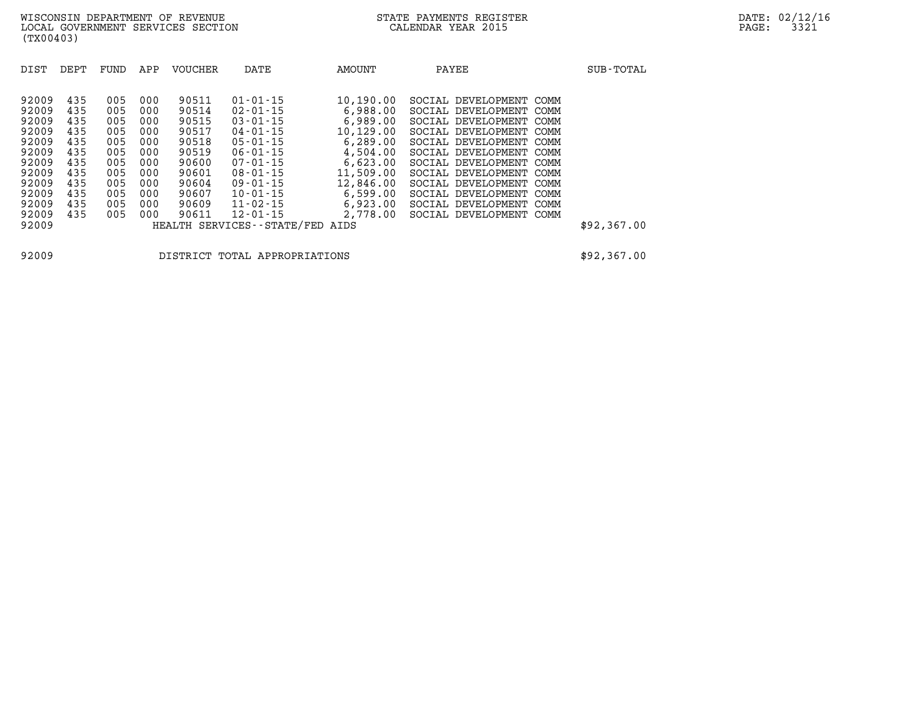| DIST<br>DEPT                                                                                                                                                                                          | FUND                                                                             | APP                                                                              | <b>VOUCHER</b>                                                                                           | DATE                                                                                                                                                                                                                                                  | AMOUNT                                                                                                                                                   | PAYEE                                                                                                                                                                                                                                                                                                                                              | SUB-TOTAL   |
|-------------------------------------------------------------------------------------------------------------------------------------------------------------------------------------------------------|----------------------------------------------------------------------------------|----------------------------------------------------------------------------------|----------------------------------------------------------------------------------------------------------|-------------------------------------------------------------------------------------------------------------------------------------------------------------------------------------------------------------------------------------------------------|----------------------------------------------------------------------------------------------------------------------------------------------------------|----------------------------------------------------------------------------------------------------------------------------------------------------------------------------------------------------------------------------------------------------------------------------------------------------------------------------------------------------|-------------|
| 92009<br>435<br>92009<br>435<br>92009<br>435<br>92009<br>435<br>92009<br>435<br>92009<br>435<br>92009<br>435<br>92009<br>435<br>92009<br>435<br>92009<br>435<br>92009<br>435<br>92009<br>435<br>92009 | 005<br>005<br>005<br>005<br>005<br>005<br>005<br>005<br>005<br>005<br>005<br>005 | 000<br>000<br>000<br>000<br>000<br>000<br>000<br>000<br>000<br>000<br>000<br>000 | 90511<br>90514<br>90515<br>90517<br>90518<br>90519<br>90600<br>90601<br>90604<br>90607<br>90609<br>90611 | $01 - 01 - 15$<br>$02 - 01 - 15$<br>$03 - 01 - 15$<br>$04 - 01 - 15$<br>$05 - 01 - 15$<br>$06 - 01 - 15$<br>$07 - 01 - 15$<br>$08 - 01 - 15$<br>$09 - 01 - 15$<br>$10 - 01 - 15$<br>$11 - 02 - 15$<br>$12 - 01 - 15$<br>HEALTH SERVICES - - STATE/FED | 10,190.00<br>6,988.00<br>6,989.00<br>10,129.00<br>6,289.00<br>4,504.00<br>6,623.00<br>11,509.00<br>12,846.00<br>6,599.00<br>6,923.00<br>2,778.00<br>AIDS | SOCIAL DEVELOPMENT COMM<br>SOCIAL DEVELOPMENT<br>COMM<br>SOCIAL DEVELOPMENT COMM<br>SOCIAL DEVELOPMENT<br>COMM<br>SOCIAL DEVELOPMENT<br>COMM<br>SOCIAL DEVELOPMENT COMM<br>SOCIAL DEVELOPMENT COMM<br>SOCIAL DEVELOPMENT<br>COMM<br>SOCIAL DEVELOPMENT COMM<br>SOCIAL DEVELOPMENT<br>COMM<br>SOCIAL DEVELOPMENT<br>COMM<br>SOCIAL DEVELOPMENT COMM | \$92,367.00 |

**92009 DISTRICT TOTAL APPROPRIATIONS \$92,367.00**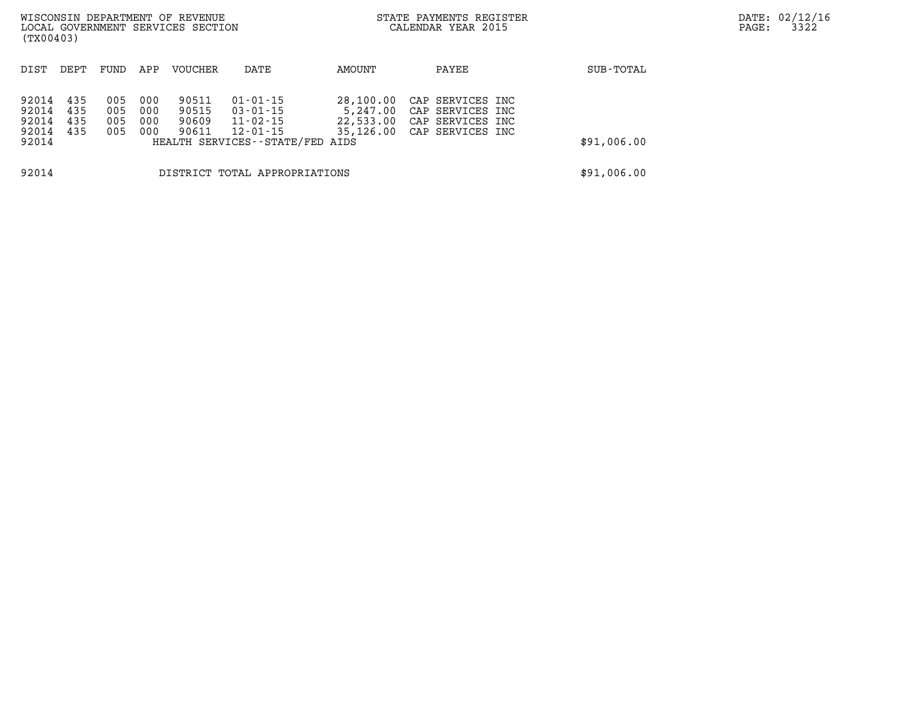| WISCONSIN DEPARTMENT OF REVENUE<br>LOCAL GOVERNMENT SERVICES SECTION<br>(TX00403) |                               |                          |                          |                                  |                                                                                       |                                    | STATE PAYMENTS REGISTER<br>CALENDAR YEAR 2015                                          |             | DATE: 02/12/16<br>3322<br>PAGE: |
|-----------------------------------------------------------------------------------|-------------------------------|--------------------------|--------------------------|----------------------------------|---------------------------------------------------------------------------------------|------------------------------------|----------------------------------------------------------------------------------------|-------------|---------------------------------|
| DIST                                                                              | DEPT                          | FUND                     | APP                      | VOUCHER                          | DATE                                                                                  | AMOUNT                             | PAYEE                                                                                  | SUB-TOTAL   |                                 |
| 92014<br>92014<br>92014<br>92014<br>92014                                         | 435<br>435<br>435<br>435      | 005<br>005<br>005<br>005 | 000<br>000<br>000<br>000 | 90511<br>90515<br>90609<br>90611 | 01-01-15<br>$03 - 01 - 15$<br>11-02-15<br>12-01-15<br>HEALTH SERVICES--STATE/FED AIDS | 28,100.00<br>5,247.00<br>22,533.00 | CAP SERVICES INC<br>CAP SERVICES INC<br>CAP SERVICES INC<br>35,126.00 CAP SERVICES INC | \$91,006.00 |                                 |
| 92014                                                                             | DISTRICT TOTAL APPROPRIATIONS |                          |                          |                                  |                                                                                       |                                    |                                                                                        | \$91,006.00 |                                 |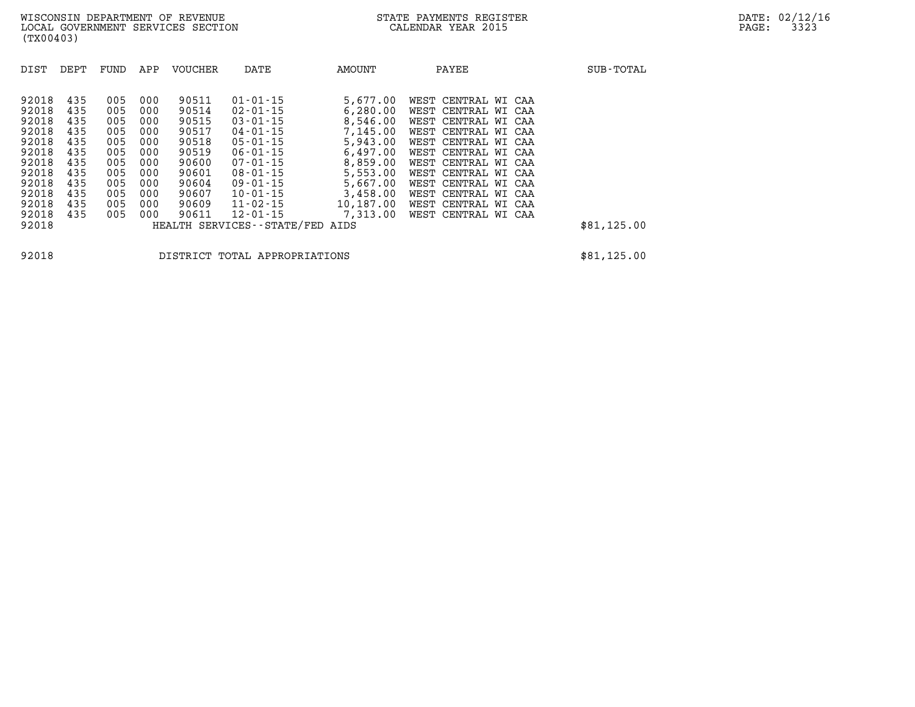| DIST  | DEPT | FUND | APP | <b>VOUCHER</b> | DATE                            | AMOUNT    | PAYEE               | SUB-TOTAL   |
|-------|------|------|-----|----------------|---------------------------------|-----------|---------------------|-------------|
| 92018 | 435  | 005  | 000 | 90511          | $01 - 01 - 15$                  | 5,677.00  | WEST CENTRAL WI CAA |             |
| 92018 | 435  | 005  | 000 | 90514          | $02 - 01 - 15$                  | 6,280.00  | WEST CENTRAL WI CAA |             |
| 92018 | 435  | 005  | 000 | 90515          | $03 - 01 - 15$                  | 8,546.00  | WEST CENTRAL WI CAA |             |
| 92018 | 435  | 005  | 000 | 90517          | $04 - 01 - 15$                  | 7,145.00  | WEST CENTRAL WI CAA |             |
| 92018 | 435  | 005  | 000 | 90518          | $05 - 01 - 15$                  | 5,943.00  | WEST CENTRAL WI CAA |             |
| 92018 | 435  | 005  | 000 | 90519          | $06 - 01 - 15$                  | 6,497.00  | WEST CENTRAL WI CAA |             |
| 92018 | 435  | 005  | 000 | 90600          | $07 - 01 - 15$                  | 8,859.00  | WEST CENTRAL WI CAA |             |
| 92018 | 435  | 005  | 000 | 90601          | $08 - 01 - 15$                  | 5,553.00  | WEST CENTRAL WI CAA |             |
| 92018 | 435  | 005  | 000 | 90604          | $09 - 01 - 15$                  | 5,667.00  | WEST CENTRAL WI CAA |             |
| 92018 | 435  | 005  | 000 | 90607          | $10 - 01 - 15$                  | 3,458.00  | WEST CENTRAL WI CAA |             |
| 92018 | 435  | 005  | 000 | 90609          | 11-02-15                        | 10,187.00 | WEST CENTRAL WI CAA |             |
| 92018 | 435  | 005  | 000 | 90611          | 12-01-15                        | 7,313.00  | WEST CENTRAL WI CAA |             |
| 92018 |      |      |     |                | HEALTH SERVICES--STATE/FED AIDS |           |                     | \$81,125.00 |

**92018 DISTRICT TOTAL APPROPRIATIONS \$81,125.00**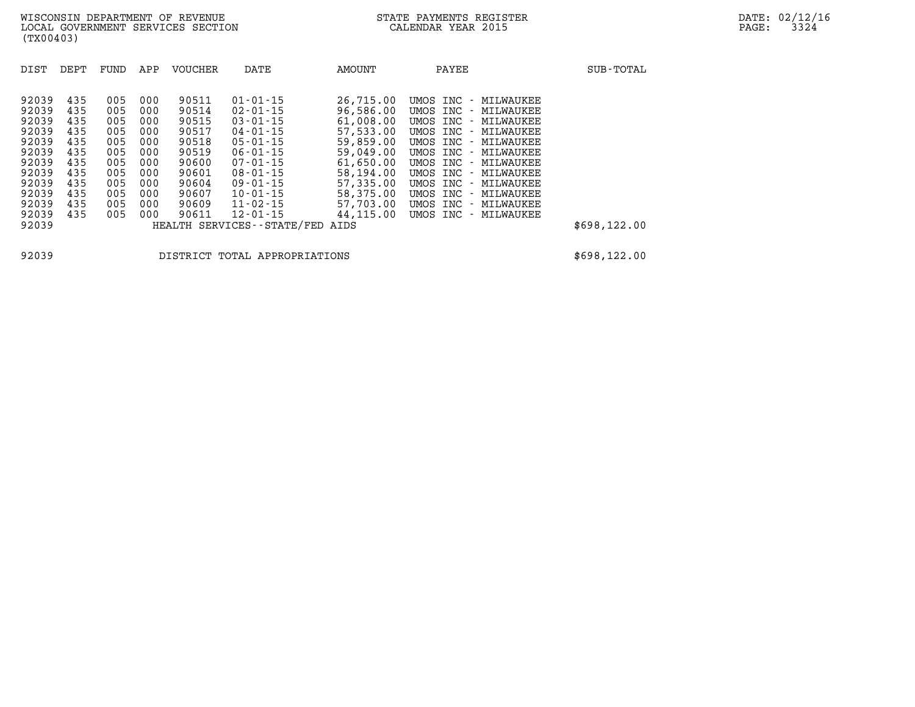| DEPT | FUND                                   | APP                                    | <b>VOUCHER</b>                         | DATE                                               | AMOUNT                                                                                                   | PAYEE                                                                                                       | SUB-TOTAL                                                                                    |
|------|----------------------------------------|----------------------------------------|----------------------------------------|----------------------------------------------------|----------------------------------------------------------------------------------------------------------|-------------------------------------------------------------------------------------------------------------|----------------------------------------------------------------------------------------------|
| 435  | 005                                    | 000                                    | 90511                                  | $01 - 01 - 15$                                     | 26,715.00                                                                                                | UMOS INC - MILWAUKEE                                                                                        |                                                                                              |
| 435  | 005                                    | 000                                    | 90515                                  | $03 - 01 - 15$                                     | 61,008.00                                                                                                | UMOS INC - MILWAUKEE                                                                                        |                                                                                              |
|      |                                        |                                        |                                        |                                                    |                                                                                                          | UMOS INC - MILWAUKEE                                                                                        |                                                                                              |
| 435  | 005                                    | 000                                    | 90519                                  | $06 - 01 - 15$                                     | 59,049.00                                                                                                | UMOS INC - MILWAUKEE                                                                                        |                                                                                              |
|      |                                        |                                        |                                        |                                                    |                                                                                                          | UMOS INC - MILWAUKEE                                                                                        |                                                                                              |
| 435  | 005                                    | 000                                    | 90604                                  | $09 - 01 - 15$                                     | 57,335.00                                                                                                | UMOS INC - MILWAUKEE                                                                                        |                                                                                              |
| 435  | 005                                    | 000                                    | 90607                                  | $10 - 01 - 15$                                     | 58,375.00                                                                                                | UMOS INC - MILWAUKEE                                                                                        |                                                                                              |
| 435  | 005                                    | 000                                    | 90611                                  | $12 - 01 - 15$                                     | 44,115.00                                                                                                | UMOS INC - MILWAUKEE                                                                                        |                                                                                              |
|      |                                        |                                        |                                        |                                                    | AIDS                                                                                                     |                                                                                                             | \$698,122.00                                                                                 |
|      | 435<br>435<br>435<br>435<br>435<br>435 | 005<br>005<br>005<br>005<br>005<br>005 | 000<br>000<br>000<br>000<br>000<br>000 | 90514<br>90517<br>90518<br>90600<br>90601<br>90609 | $02 - 01 - 15$<br>$04 - 01 - 15$<br>$05 - 01 - 15$<br>$07 - 01 - 15$<br>$08 - 01 - 15$<br>$11 - 02 - 15$ | 96,586.00<br>57,533.00<br>59,859.00<br>61,650.00<br>58,194.00<br>57,703.00<br>HEALTH SERVICES - - STATE/FED | UMOS INC - MILWAUKEE<br>UMOS INC - MILWAUKEE<br>UMOS INC - MILWAUKEE<br>UMOS INC - MILWAUKEE |

**92039 DISTRICT TOTAL APPROPRIATIONS \$698,122.00**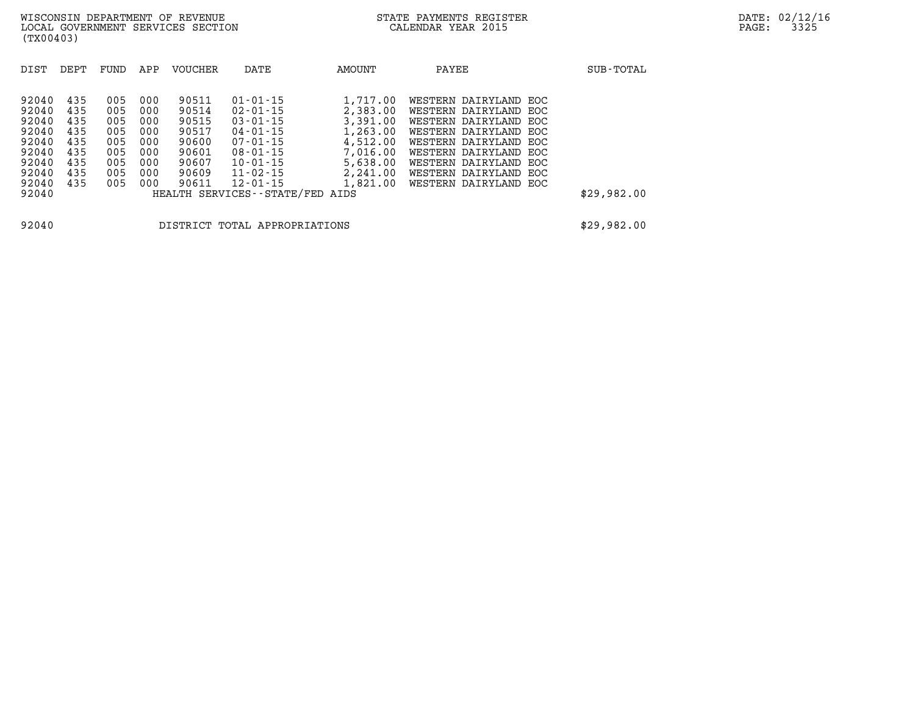| DIST                                                                          | DEPT                                                        | FUND                                                        | APP                                                         | <b>VOUCHER</b>                                                                | DATE                                                                                                                                                           | AMOUNT                                                                                                   | PAYEE                                                                                                                                                                                                                         | SUB-TOTAL   |
|-------------------------------------------------------------------------------|-------------------------------------------------------------|-------------------------------------------------------------|-------------------------------------------------------------|-------------------------------------------------------------------------------|----------------------------------------------------------------------------------------------------------------------------------------------------------------|----------------------------------------------------------------------------------------------------------|-------------------------------------------------------------------------------------------------------------------------------------------------------------------------------------------------------------------------------|-------------|
| 92040<br>92040<br>92040<br>92040<br>92040<br>92040<br>92040<br>92040<br>92040 | 435<br>435<br>435<br>435<br>435<br>435<br>435<br>435<br>435 | 005<br>005<br>005<br>005<br>005<br>005<br>005<br>005<br>005 | 000<br>000<br>000<br>000<br>000<br>000<br>000<br>000<br>000 | 90511<br>90514<br>90515<br>90517<br>90600<br>90601<br>90607<br>90609<br>90611 | $01 - 01 - 15$<br>$02 - 01 - 15$<br>$03 - 01 - 15$<br>$04 - 01 - 15$<br>$07 - 01 - 15$<br>$08 - 01 - 15$<br>$10 - 01 - 15$<br>$11 - 02 - 15$<br>$12 - 01 - 15$ | 1,717.00<br>2,383.00<br>3,391.00<br>1,263.00<br>4,512.00<br>7,016.00<br>5,638.00<br>2,241.00<br>1,821.00 | WESTERN DAIRYLAND EOC<br>WESTERN DAIRYLAND EOC<br>WESTERN DAIRYLAND EOC<br>WESTERN DAIRYLAND EOC<br>WESTERN DAIRYLAND EOC<br>WESTERN DAIRYLAND EOC<br>WESTERN DAIRYLAND EOC<br>WESTERN DAIRYLAND EOC<br>WESTERN DAIRYLAND EOC |             |
| 92040                                                                         |                                                             |                                                             |                                                             |                                                                               | HEALTH SERVICES--STATE/FED AIDS                                                                                                                                |                                                                                                          |                                                                                                                                                                                                                               | \$29,982.00 |
| 92040                                                                         |                                                             |                                                             |                                                             |                                                                               | DISTRICT TOTAL APPROPRIATIONS                                                                                                                                  |                                                                                                          |                                                                                                                                                                                                                               | \$29,982.00 |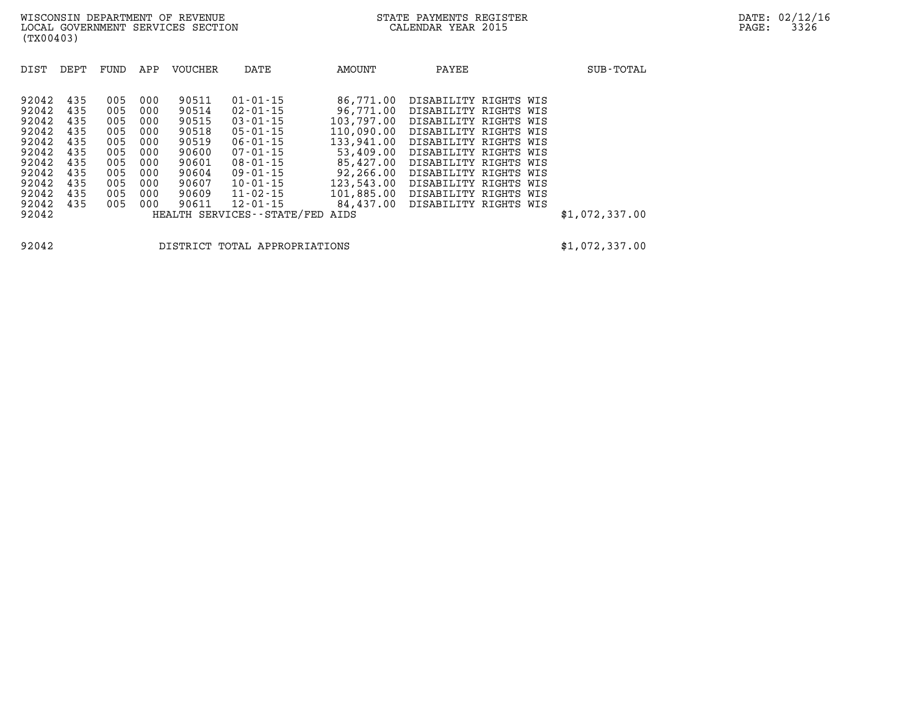| DIST           | DEPT       | FUND       | APP        | <b>VOUCHER</b> | DATE                                         | AMOUNT                   | PAYEE                                          | SUB-TOTAL      |
|----------------|------------|------------|------------|----------------|----------------------------------------------|--------------------------|------------------------------------------------|----------------|
| 92042<br>92042 | 435<br>435 | 005<br>005 | 000<br>000 | 90511<br>90514 | $01 - 01 - 15$<br>$02 - 01 - 15$             | 86,771.00<br>96,771.00   | DISABILITY RIGHTS WIS<br>DISABILITY RIGHTS WIS |                |
| 92042<br>92042 | 435<br>435 | 005<br>005 | 000<br>000 | 90515<br>90518 | $03 - 01 - 15$<br>$05 - 01 - 15$             | 103,797.00<br>110,090.00 | DISABILITY RIGHTS WIS<br>DISABILITY RIGHTS WIS |                |
| 92042<br>92042 | 435<br>435 | 005<br>005 | 000<br>000 | 90519<br>90600 | $06 - 01 - 15$<br>$07 - 01 - 15$             | 133,941.00<br>53,409.00  | DISABILITY RIGHTS WIS<br>DISABILITY RIGHTS WIS |                |
| 92042<br>92042 | 435<br>435 | 005<br>005 | 000<br>000 | 90601<br>90604 | $08 - 01 - 15$<br>$09 - 01 - 15$             | 85,427.00<br>92,266.00   | DISABILITY RIGHTS WIS<br>DISABILITY RIGHTS WIS |                |
| 92042<br>92042 | 435<br>435 | 005<br>005 | 000<br>000 | 90607<br>90609 | $10 - 01 - 15$<br>$11 - 02 - 15$             | 123,543.00<br>101,885.00 | DISABILITY RIGHTS WIS<br>DISABILITY RIGHTS WIS |                |
| 92042<br>92042 | 435        | 005        | 000        | 90611          | $12 - 01 - 15$<br>HEALTH SERVICES--STATE/FED | 84,437.00<br>AIDS        | DISABILITY RIGHTS WIS                          | \$1,072,337.00 |
|                |            |            |            |                |                                              |                          |                                                |                |

**92042 DISTRICT TOTAL APPROPRIATIONS \$1,072,337.00**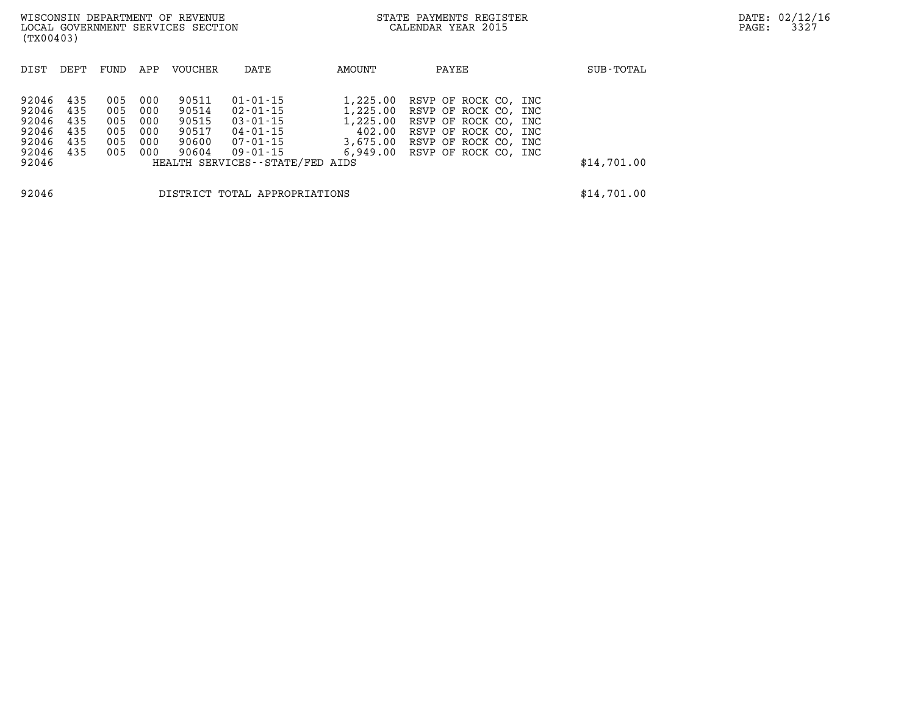| (TX00403)                                                           |                          |                                        |                                        | WISCONSIN DEPARTMENT OF REVENUE<br>LOCAL GOVERNMENT SERVICES SECTION |                                                                                                            | STATE PAYMENTS REGISTER<br>CALENDAR YEAR 2015 |                                                                                                                                                                | DATE: 02/12/16<br>3327<br>PAGE: |             |  |
|---------------------------------------------------------------------|--------------------------|----------------------------------------|----------------------------------------|----------------------------------------------------------------------|------------------------------------------------------------------------------------------------------------|-----------------------------------------------|----------------------------------------------------------------------------------------------------------------------------------------------------------------|---------------------------------|-------------|--|
| DIST                                                                | DEPT                     | FUND                                   | APP                                    | VOUCHER                                                              | DATE                                                                                                       | AMOUNT                                        | PAYEE                                                                                                                                                          |                                 | SUB-TOTAL   |  |
| 92046 435<br>92046<br>92046<br>92046<br>92046<br>92046 435<br>92046 | 435<br>435<br>435<br>435 | 005<br>005<br>005<br>005<br>005<br>005 | 000<br>000<br>000<br>000<br>000<br>000 | 90511<br>90514<br>90515<br>90517<br>90600<br>90604                   | 01-01-15<br>02-01-15<br>03-01-15<br>04-01-15<br>07-01-15<br>09-01-15<br>HEALTH SERVICES - - STATE/FED AIDS | 1,225.00<br>1,225.00<br>1,225.00<br>402.00    | RSVP OF ROCK CO, INC<br>RSVP OF ROCK CO, INC<br>RSVP OF ROCK CO, INC<br>RSVP OF ROCK CO, INC<br>3,675.00 RSVP OF ROCK CO, INC<br>6,949.00 RSVP OF ROCK CO, INC |                                 | \$14,701.00 |  |
| 92046                                                               |                          |                                        |                                        |                                                                      | DISTRICT TOTAL APPROPRIATIONS                                                                              |                                               |                                                                                                                                                                |                                 | \$14,701.00 |  |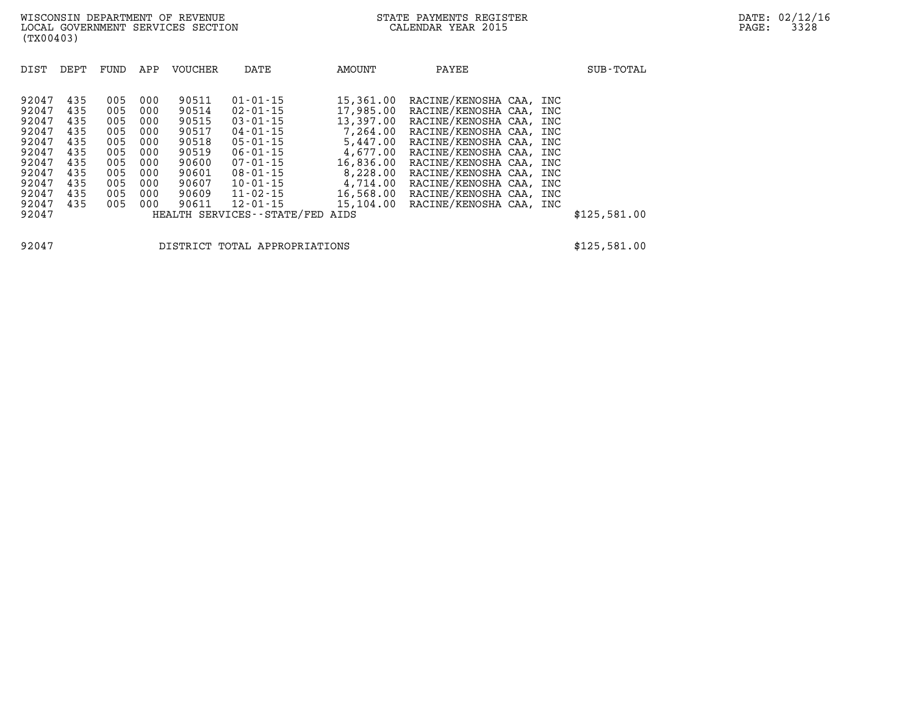| DIST  | DEPT | FUND | APP | <b>VOUCHER</b> | DATE                          | AMOUNT    | PAYEE                   |  | SUB-TOTAL    |
|-------|------|------|-----|----------------|-------------------------------|-----------|-------------------------|--|--------------|
|       |      |      |     |                |                               |           |                         |  |              |
| 92047 | 435  | 005  | 000 | 90511          | $01 - 01 - 15$                | 15,361.00 | RACINE/KENOSHA CAA, INC |  |              |
| 92047 | 435  | 005  | 000 | 90514          | $02 - 01 - 15$                | 17,985.00 | RACINE/KENOSHA CAA, INC |  |              |
| 92047 | 435  | 005  | 000 | 90515          | $03 - 01 - 15$                | 13,397.00 | RACINE/KENOSHA CAA, INC |  |              |
| 92047 | 435  | 005  | 000 | 90517          | $04 - 01 - 15$                | 7,264.00  | RACINE/KENOSHA CAA, INC |  |              |
| 92047 | 435  | 005  | 000 | 90518          | $05 - 01 - 15$                | 5,447.00  | RACINE/KENOSHA CAA, INC |  |              |
| 92047 | 435  | 005  | 000 | 90519          | $06 - 01 - 15$                | 4,677.00  | RACINE/KENOSHA CAA, INC |  |              |
| 92047 | 435  | 005  | 000 | 90600          | $07 - 01 - 15$                | 16,836.00 | RACINE/KENOSHA CAA, INC |  |              |
| 92047 | 435  | 005  | 000 | 90601          | $08 - 01 - 15$                | 8,228.00  | RACINE/KENOSHA CAA, INC |  |              |
| 92047 | 435  | 005  | 000 | 90607          | $10 - 01 - 15$                | 4,714.00  | RACINE/KENOSHA CAA, INC |  |              |
| 92047 | 435  | 005  | 000 | 90609          | $11 - 02 - 15$                | 16,568.00 | RACINE/KENOSHA CAA, INC |  |              |
| 92047 | 435  | 005  | 000 | 90611          | $12 - 01 - 15$                | 15,104.00 | RACINE/KENOSHA CAA, INC |  |              |
| 92047 |      |      |     |                | HEALTH SERVICES - - STATE/FED | AIDS      |                         |  | \$125,581.00 |

**92047 DISTRICT TOTAL APPROPRIATIONS \$125,581.00**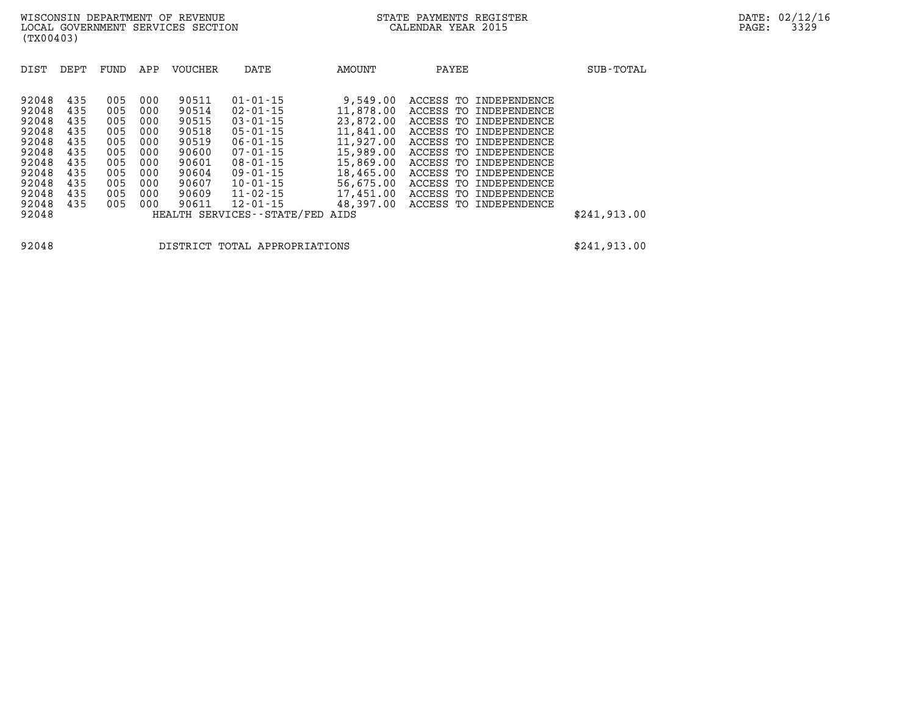| DIST  | DEPT | FUND | APP | <b>VOUCHER</b> | DATE                          | AMOUNT    | PAYEE                     | SUB-TOTAL    |
|-------|------|------|-----|----------------|-------------------------------|-----------|---------------------------|--------------|
|       |      |      |     |                |                               |           |                           |              |
| 92048 | 435  | 005  | 000 | 90511          | $01 - 01 - 15$                | 9,549.00  | ACCESS TO INDEPENDENCE    |              |
| 92048 | 435  | 005  | 000 | 90514          | $02 - 01 - 15$                | 11,878.00 | ACCESS TO INDEPENDENCE    |              |
| 92048 | 435  | 005  | 000 | 90515          | $03 - 01 - 15$                | 23,872,00 | ACCESS TO INDEPENDENCE    |              |
| 92048 | 435  | 005  | 000 | 90518          | $05 - 01 - 15$                | 11,841.00 | ACCESS TO INDEPENDENCE    |              |
| 92048 | 435  | 005  | 000 | 90519          | $06 - 01 - 15$                | 11,927.00 | ACCESS TO INDEPENDENCE    |              |
| 92048 | 435  | 005  | 000 | 90600          | $07 - 01 - 15$                | 15,989.00 | ACCESS TO INDEPENDENCE    |              |
| 92048 | 435  | 005  | 000 | 90601          | $08 - 01 - 15$                | 15,869.00 | ACCESS TO INDEPENDENCE    |              |
| 92048 | 435  | 005  | 000 | 90604          | $09 - 01 - 15$                | 18,465.00 | ACCESS TO INDEPENDENCE    |              |
| 92048 | 435  | 005  | 000 | 90607          | $10 - 01 - 15$                | 56,675.00 | ACCESS TO INDEPENDENCE    |              |
| 92048 | 435  | 005  | 000 | 90609          | $11 - 02 - 15$                | 17,451.00 | ACCESS TO<br>INDEPENDENCE |              |
| 92048 | 435  | 005  | 000 | 90611          | $12 - 01 - 15$                | 48,397.00 | ACCESS TO INDEPENDENCE    |              |
| 92048 |      |      |     |                | HEALTH SERVICES - - STATE/FED | AIDS      |                           | \$241,913.00 |

**92048 DISTRICT TOTAL APPROPRIATIONS \$241,913.00**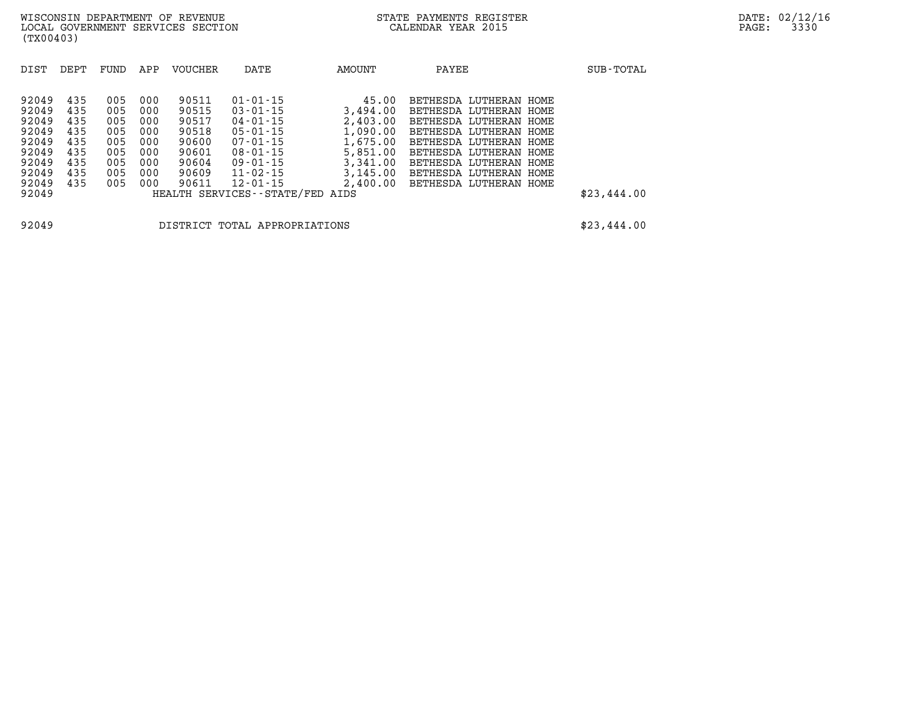| DIST                                                                                   | DEPT                                                        | FUND                                                        | APP                                                         | <b>VOUCHER</b>                                                                | DATE                                                                                                                                                                                              | AMOUNT                                                                                                | PAYEE                                                                                                                                                                                                                                  | SUB-TOTAL   |
|----------------------------------------------------------------------------------------|-------------------------------------------------------------|-------------------------------------------------------------|-------------------------------------------------------------|-------------------------------------------------------------------------------|---------------------------------------------------------------------------------------------------------------------------------------------------------------------------------------------------|-------------------------------------------------------------------------------------------------------|----------------------------------------------------------------------------------------------------------------------------------------------------------------------------------------------------------------------------------------|-------------|
| 92049<br>92049<br>92049<br>92049<br>92049<br>92049<br>92049<br>92049<br>92049<br>92049 | 435<br>435<br>435<br>435<br>435<br>435<br>435<br>435<br>435 | 005<br>005<br>005<br>005<br>005<br>005<br>005<br>005<br>005 | 000<br>000<br>000<br>000<br>000<br>000<br>000<br>000<br>000 | 90511<br>90515<br>90517<br>90518<br>90600<br>90601<br>90604<br>90609<br>90611 | $01 - 01 - 15$<br>$03 - 01 - 15$<br>$04 - 01 - 15$<br>$05 - 01 - 15$<br>$07 - 01 - 15$<br>$08 - 01 - 15$<br>$09 - 01 - 15$<br>$11 - 02 - 15$<br>$12 - 01 - 15$<br>HEALTH SERVICES--STATE/FED AIDS | 45.00<br>3,494.00<br>2,403.00<br>1,090.00<br>1,675.00<br>5,851.00<br>3,341.00<br>3,145.00<br>2,400.00 | BETHESDA LUTHERAN HOME<br>BETHESDA LUTHERAN HOME<br>BETHESDA LUTHERAN HOME<br>BETHESDA LUTHERAN HOME<br>BETHESDA LUTHERAN HOME<br>BETHESDA LUTHERAN HOME<br>BETHESDA LUTHERAN HOME<br>BETHESDA LUTHERAN HOME<br>BETHESDA LUTHERAN HOME | \$23,444.00 |
| 92049                                                                                  |                                                             |                                                             |                                                             |                                                                               | DISTRICT TOTAL APPROPRIATIONS                                                                                                                                                                     |                                                                                                       |                                                                                                                                                                                                                                        | \$23,444.00 |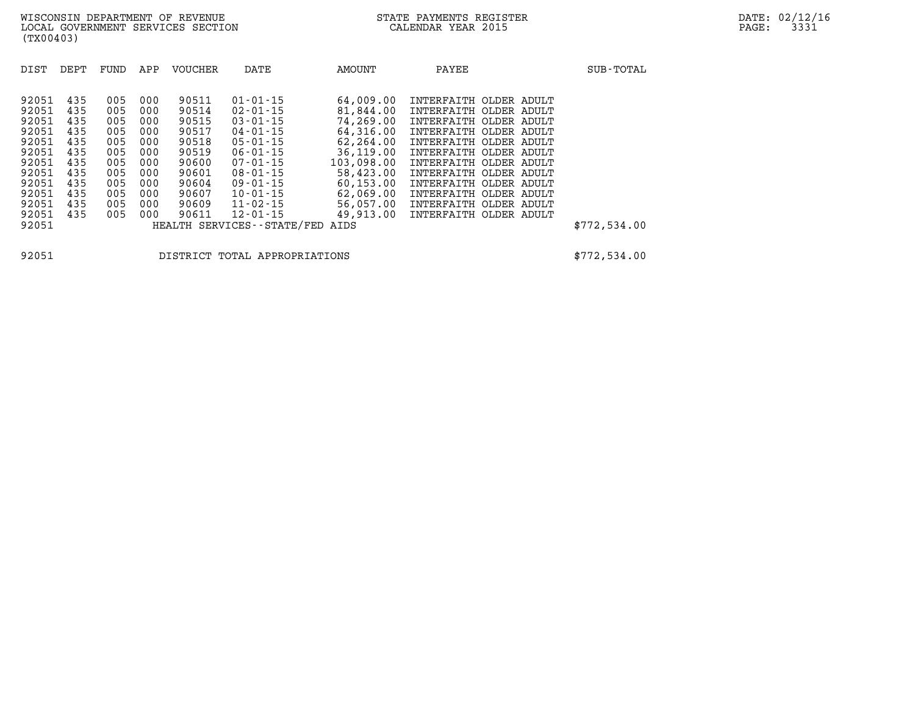| DIST                                                                 | DEPT                                                 | FUND                                                 | APP                                                  | <b>VOUCHER</b>                                                       | DATE                                                                                                                                   | AMOUNT                                                                                                | PAYEE |                                                                                                                                                                                                              | SUB-TOTAL    |
|----------------------------------------------------------------------|------------------------------------------------------|------------------------------------------------------|------------------------------------------------------|----------------------------------------------------------------------|----------------------------------------------------------------------------------------------------------------------------------------|-------------------------------------------------------------------------------------------------------|-------|--------------------------------------------------------------------------------------------------------------------------------------------------------------------------------------------------------------|--------------|
| 92051<br>92051<br>92051<br>92051<br>92051<br>92051<br>92051<br>92051 | 435<br>435<br>435<br>435<br>435<br>435<br>435<br>435 | 005<br>005<br>005<br>005<br>005<br>005<br>005<br>005 | 000<br>000<br>000<br>000<br>000<br>000<br>000<br>000 | 90511<br>90514<br>90515<br>90517<br>90518<br>90519<br>90600<br>90601 | $01 - 01 - 15$<br>$02 - 01 - 15$<br>$03 - 01 - 15$<br>04-01-15<br>$05 - 01 - 15$<br>$06 - 01 - 15$<br>$07 - 01 - 15$<br>$08 - 01 - 15$ | 64,009.00<br>81,844.00<br>74,269.00<br>64,316.00<br>62,264.00<br>36,119.00<br>103,098.00<br>58,423.00 |       | INTERFAITH OLDER ADULT<br>INTERFAITH OLDER ADULT<br>INTERFAITH OLDER ADULT<br>INTERFAITH OLDER ADULT<br>INTERFAITH OLDER ADULT<br>INTERFAITH OLDER ADULT<br>INTERFAITH OLDER ADULT<br>INTERFAITH OLDER ADULT |              |
| 92051<br>92051<br>92051<br>92051<br>92051                            | 435<br>435<br>435<br>435                             | 005<br>005<br>005<br>005                             | 000<br>000<br>000<br>000                             | 90604<br>90607<br>90609<br>90611                                     | $09 - 01 - 15$<br>$10 - 01 - 15$<br>11-02-15<br>$12 - 01 - 15$<br>HEALTH SERVICES - - STATE/FED                                        | 60,153.00<br>62,069.00<br>56,057.00<br>49,913.00<br>AIDS                                              |       | INTERFAITH OLDER ADULT<br>INTERFAITH OLDER ADULT<br>INTERFAITH OLDER ADULT<br>INTERFAITH OLDER ADULT                                                                                                         | \$772,534.00 |

**92051 DISTRICT TOTAL APPROPRIATIONS \$772,534.00**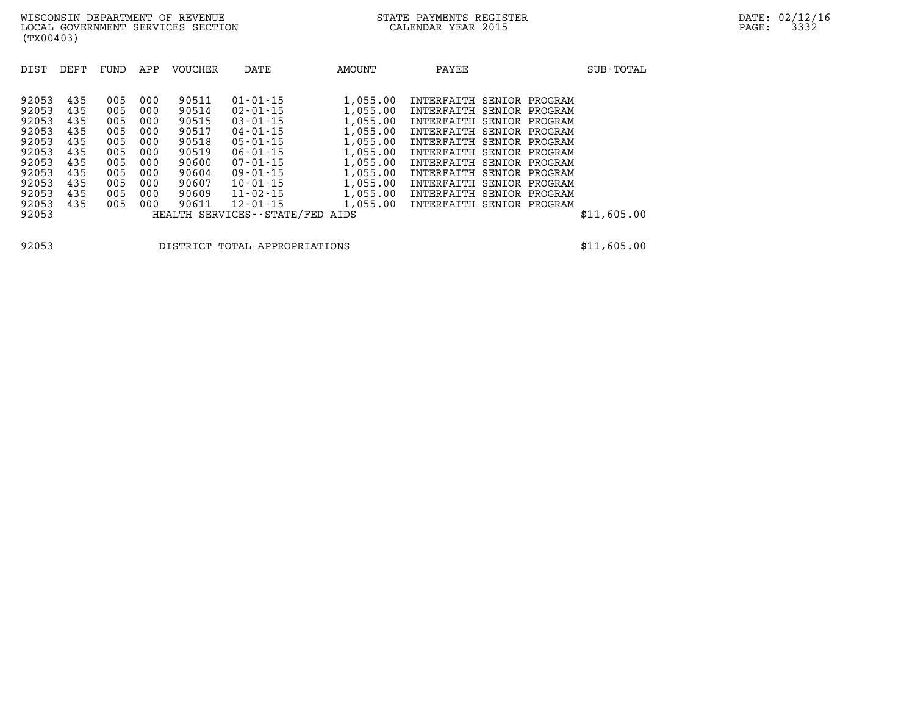| DIST  | DEPT | FUND | APP | <b>VOUCHER</b> | DATE                            | AMOUNT   | PAYEE                     |  | SUB-TOTAL   |
|-------|------|------|-----|----------------|---------------------------------|----------|---------------------------|--|-------------|
|       |      |      |     |                |                                 |          |                           |  |             |
| 92053 | 435  | 005  | 000 | 90511          | $01 - 01 - 15$                  | 1,055.00 | INTERFAITH SENIOR PROGRAM |  |             |
| 92053 | 435  | 005  | 000 | 90514          | $02 - 01 - 15$                  | 1,055.00 | INTERFAITH SENIOR PROGRAM |  |             |
| 92053 | 435  | 005  | 000 | 90515          | $03 - 01 - 15$                  | 1,055.00 | INTERFAITH SENIOR PROGRAM |  |             |
| 92053 | 435  | 005  | 000 | 90517          | $04 - 01 - 15$                  | 1,055.00 | INTERFAITH SENIOR PROGRAM |  |             |
| 92053 | 435  | 005  | 000 | 90518          | $05 - 01 - 15$                  | 1,055.00 | INTERFAITH SENIOR PROGRAM |  |             |
| 92053 | 435  | 005  | 000 | 90519          | $06 - 01 - 15$                  | 1,055.00 | INTERFAITH SENIOR PROGRAM |  |             |
| 92053 | 435  | 005  | 000 | 90600          | $07 - 01 - 15$                  | 1,055.00 | INTERFAITH SENIOR PROGRAM |  |             |
| 92053 | 435  | 005  | 000 | 90604          | $09 - 01 - 15$                  | 1,055.00 | INTERFAITH SENIOR PROGRAM |  |             |
| 92053 | 435  | 005  | 000 | 90607          | $10 - 01 - 15$                  | 1,055.00 | INTERFAITH SENIOR PROGRAM |  |             |
| 92053 | 435  | 005  | 000 | 90609          | $11 - 02 - 15$                  | 1,055.00 | INTERFAITH SENIOR PROGRAM |  |             |
| 92053 | 435  | 005  | 000 | 90611          | $12 - 01 - 15$                  | 1,055.00 | INTERFAITH SENIOR PROGRAM |  |             |
| 92053 |      |      |     |                | HEALTH SERVICES--STATE/FED AIDS |          |                           |  | \$11,605.00 |

**92053 DISTRICT TOTAL APPROPRIATIONS \$11,605.00**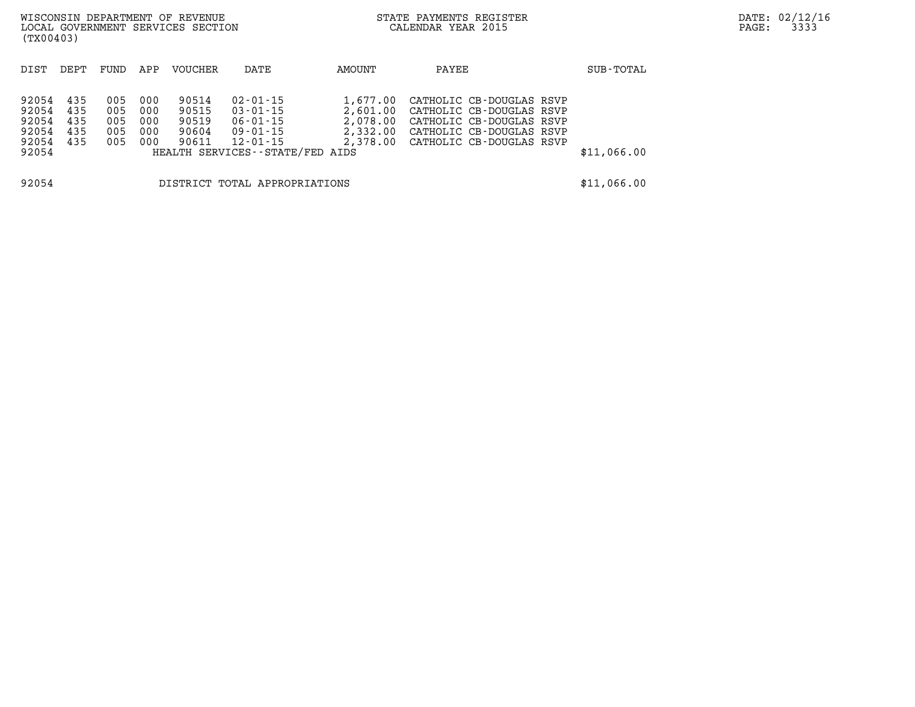| (TX00403)                                          |                                 |                                 |                                 | WISCONSIN DEPARTMENT OF REVENUE<br>LOCAL GOVERNMENT SERVICES SECTION |                                                                                                            |                                              | STATE PAYMENTS REGISTER<br>CALENDAR YEAR 2015                                                                                                     |  | PAGE:       | DATE: 02/12/16<br>3333 |  |
|----------------------------------------------------|---------------------------------|---------------------------------|---------------------------------|----------------------------------------------------------------------|------------------------------------------------------------------------------------------------------------|----------------------------------------------|---------------------------------------------------------------------------------------------------------------------------------------------------|--|-------------|------------------------|--|
| DIST                                               | DEPT                            | FUND                            | APP                             | VOUCHER                                                              | DATE                                                                                                       | AMOUNT                                       | PAYEE                                                                                                                                             |  | SUB-TOTAL   |                        |  |
| 92054<br>92054<br>92054<br>92054<br>92054<br>92054 | 435<br>435<br>435<br>435<br>435 | 005<br>005<br>005<br>005<br>005 | 000<br>000<br>000<br>000<br>000 | 90514<br>90515<br>90519<br>90604<br>90611                            | $02 - 01 - 15$<br>$03 - 01 - 15$<br>06-01-15<br>09-01-15<br>12-01-15<br>HEALTH SERVICES - - STATE/FED AIDS | 1,677.00<br>2,601.00<br>2,078.00<br>2,332.00 | CATHOLIC CB-DOUGLAS RSVP<br>CATHOLIC CB-DOUGLAS RSVP<br>CATHOLIC CB-DOUGLAS RSVP<br>CATHOLIC CB-DOUGLAS RSVP<br>2,378.00 CATHOLIC CB-DOUGLAS RSVP |  | \$11,066.00 |                        |  |
| 92054                                              |                                 |                                 |                                 |                                                                      | DISTRICT TOTAL APPROPRIATIONS                                                                              |                                              |                                                                                                                                                   |  | \$11,066.00 |                        |  |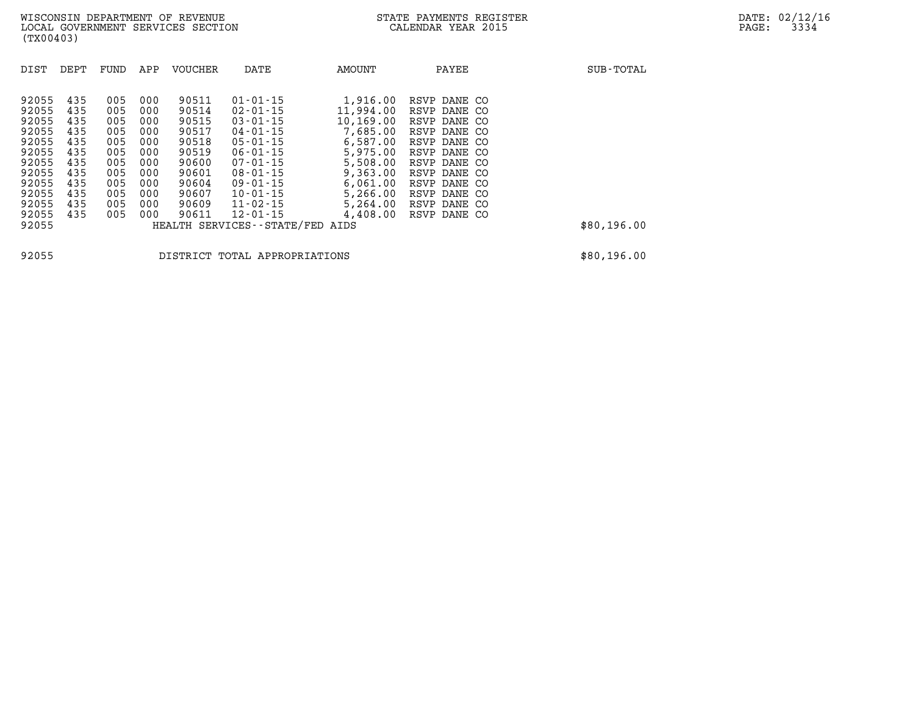| DIST                                                        | DEPT                                   | FUND                                   | APP                                    | <b>VOUCHER</b>                                     | DATE                                                                                                                                        | AMOUNT                                                                 | PAYEE                                                                                        | SUB-TOTAL   |
|-------------------------------------------------------------|----------------------------------------|----------------------------------------|----------------------------------------|----------------------------------------------------|---------------------------------------------------------------------------------------------------------------------------------------------|------------------------------------------------------------------------|----------------------------------------------------------------------------------------------|-------------|
| 92055<br>92055<br>92055<br>92055<br>92055<br>92055          | 435<br>435<br>435<br>435<br>435<br>435 | 005<br>005<br>005<br>005<br>005<br>005 | 000<br>000<br>000<br>000<br>000<br>000 | 90511<br>90514<br>90515<br>90517<br>90518<br>90519 | $01 - 01 - 15$<br>$02 - 01 - 15$<br>$03 - 01 - 15$<br>$04 - 01 - 15$<br>$05 - 01 - 15$<br>$06 - 01 - 15$                                    | 1,916.00<br>11,994.00<br>10,169.00<br>7,685.00<br>6,587.00<br>5,975.00 | RSVP DANE CO<br>RSVP DANE CO<br>RSVP DANE CO<br>RSVP DANE CO<br>RSVP DANE CO<br>RSVP DANE CO |             |
| 92055<br>92055<br>92055<br>92055<br>92055<br>92055<br>92055 | 435<br>435<br>435<br>435<br>435<br>435 | 005<br>005<br>005<br>005<br>005<br>005 | 000<br>000<br>000<br>000<br>000<br>000 | 90600<br>90601<br>90604<br>90607<br>90609<br>90611 | $07 - 01 - 15$<br>$08 - 01 - 15$<br>$09 - 01 - 15$<br>$10 - 01 - 15$<br>$11 - 02 - 15$<br>$12 - 01 - 15$<br>HEALTH SERVICES--STATE/FED AIDS | 5,508.00<br>9,363.00<br>6,061.00<br>5,266.00<br>5,264.00<br>4,408.00   | RSVP DANE CO<br>RSVP DANE CO<br>RSVP DANE CO<br>RSVP DANE CO<br>RSVP DANE CO<br>RSVP DANE CO | \$80,196.00 |

**92055 DISTRICT TOTAL APPROPRIATIONS \$80,196.00**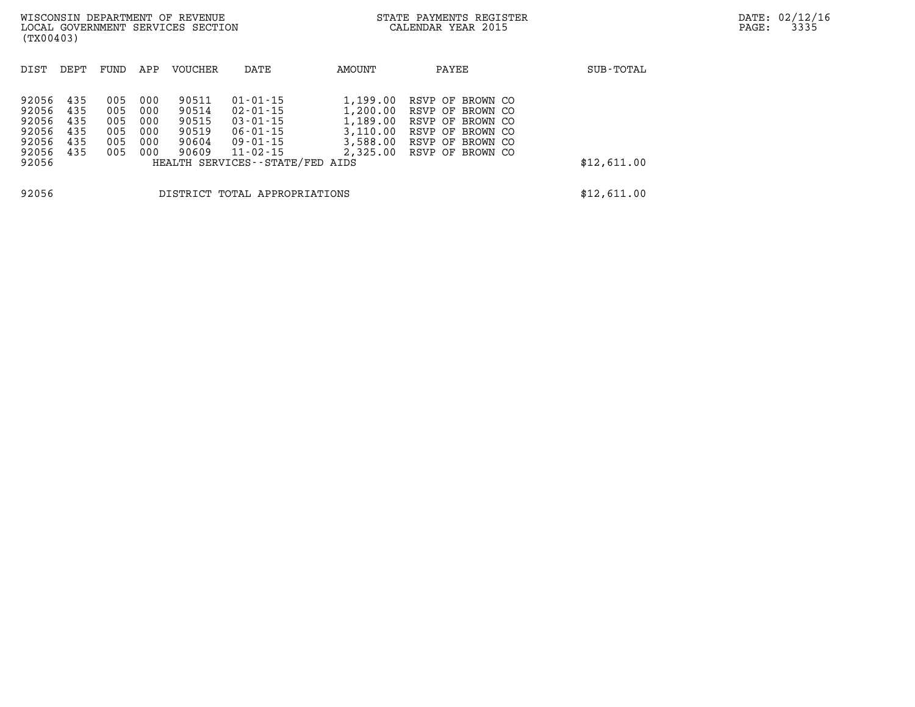| (TX00403)                                                   |                                        |                                        |                                        | WISCONSIN DEPARTMENT OF REVENUE<br>LOCAL GOVERNMENT SERVICES SECTION |                                                                                                                           |                                                                      | STATE PAYMENTS REGISTER<br>CALENDAR YEAR 2015                                                                        |             | DATE: 02/12/16<br>3335<br>PAGE: |
|-------------------------------------------------------------|----------------------------------------|----------------------------------------|----------------------------------------|----------------------------------------------------------------------|---------------------------------------------------------------------------------------------------------------------------|----------------------------------------------------------------------|----------------------------------------------------------------------------------------------------------------------|-------------|---------------------------------|
| DIST                                                        | DEPT                                   | FUND                                   | APP                                    | VOUCHER                                                              | DATE                                                                                                                      | AMOUNT                                                               | PAYEE                                                                                                                | SUB-TOTAL   |                                 |
| 92056<br>92056<br>92056<br>92056<br>92056<br>92056<br>92056 | 435<br>435<br>435<br>435<br>435<br>435 | 005<br>005<br>005<br>005<br>005<br>005 | 000<br>000<br>000<br>000<br>000<br>000 | 90511<br>90514<br>90515<br>90519<br>90604<br>90609                   | $01 - 01 - 15$<br>02-01-15<br>$03 - 01 - 15$<br>06-01-15<br>09-01-15<br>$11 - 02 - 15$<br>HEALTH SERVICES--STATE/FED AIDS | 1,199.00<br>1,200.00<br>1,189.00<br>3,110.00<br>3,588.00<br>2,325.00 | RSVP OF BROWN CO<br>RSVP OF BROWN CO<br>RSVP OF BROWN CO<br>RSVP OF BROWN CO<br>RSVP OF BROWN CO<br>RSVP OF BROWN CO | \$12,611.00 |                                 |
| 92056                                                       |                                        |                                        |                                        |                                                                      | DISTRICT TOTAL APPROPRIATIONS                                                                                             |                                                                      |                                                                                                                      | \$12,611.00 |                                 |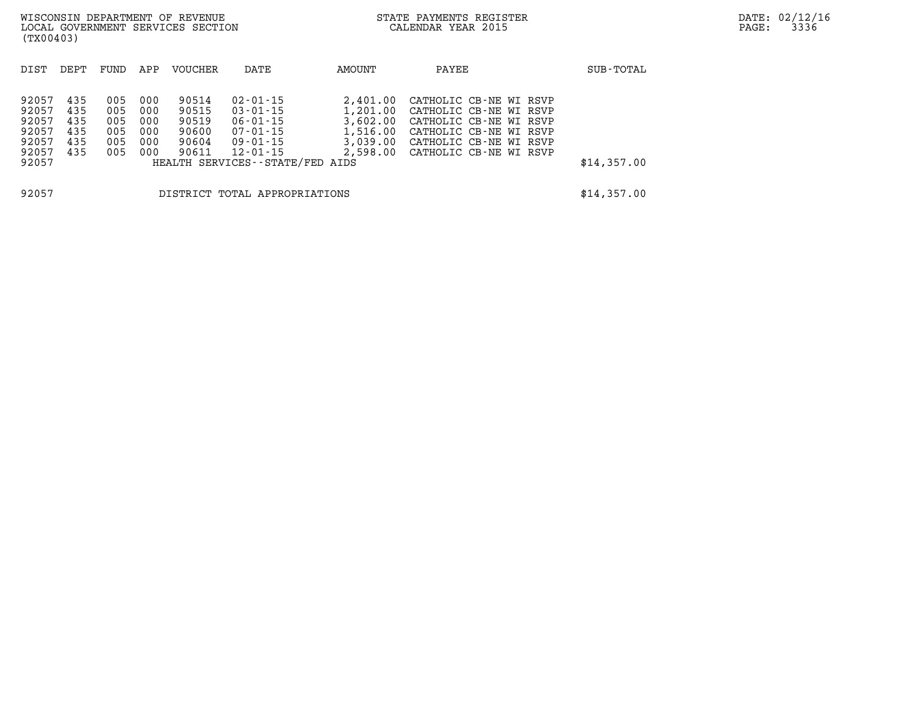| (TX00403)                                                   |                                        |                                        |                                        | WISCONSIN DEPARTMENT OF REVENUE<br>LOCAL GOVERNMENT SERVICES SECTION |                                                                                                                           |                                                          | STATE PAYMENTS REGISTER<br>CALENDAR YEAR 2015                                                                                                                     |             | PAGE: | DATE: 02/12/1<br>3336 |
|-------------------------------------------------------------|----------------------------------------|----------------------------------------|----------------------------------------|----------------------------------------------------------------------|---------------------------------------------------------------------------------------------------------------------------|----------------------------------------------------------|-------------------------------------------------------------------------------------------------------------------------------------------------------------------|-------------|-------|-----------------------|
| DIST                                                        | DEPT                                   | FUND                                   | APP                                    | <b>VOUCHER</b>                                                       | DATE                                                                                                                      | AMOUNT                                                   | PAYEE                                                                                                                                                             | SUB-TOTAL   |       |                       |
| 92057<br>92057<br>92057<br>92057<br>92057<br>92057<br>92057 | 435<br>435<br>435<br>435<br>435<br>435 | 005<br>005<br>005<br>005<br>005<br>005 | 000<br>000<br>000<br>000<br>000<br>000 | 90514<br>90515<br>90519<br>90600<br>90604<br>90611                   | 02-01-15<br>$03 - 01 - 15$<br>$06 - 01 - 15$<br>07-01-15<br>09-01-15<br>$12 - 01 - 15$<br>HEALTH SERVICES--STATE/FED AIDS | 2,401.00<br>1,201.00<br>3,602.00<br>1,516.00<br>3.039.00 | CATHOLIC CB-NE WI RSVP<br>CATHOLIC CB-NE WI RSVP<br>CATHOLIC CB-NE WI RSVP<br>CATHOLIC CB-NE WI RSVP<br>CATHOLIC CB-NE WI RSVP<br>2,598.00 CATHOLIC CB-NE WI RSVP | \$14,357.00 |       |                       |
| 92057                                                       |                                        |                                        |                                        |                                                                      | DISTRICT TOTAL APPROPRIATIONS                                                                                             |                                                          |                                                                                                                                                                   | \$14,357.00 |       |                       |

**DATE: 02/12/16<br>PAGE: 3336**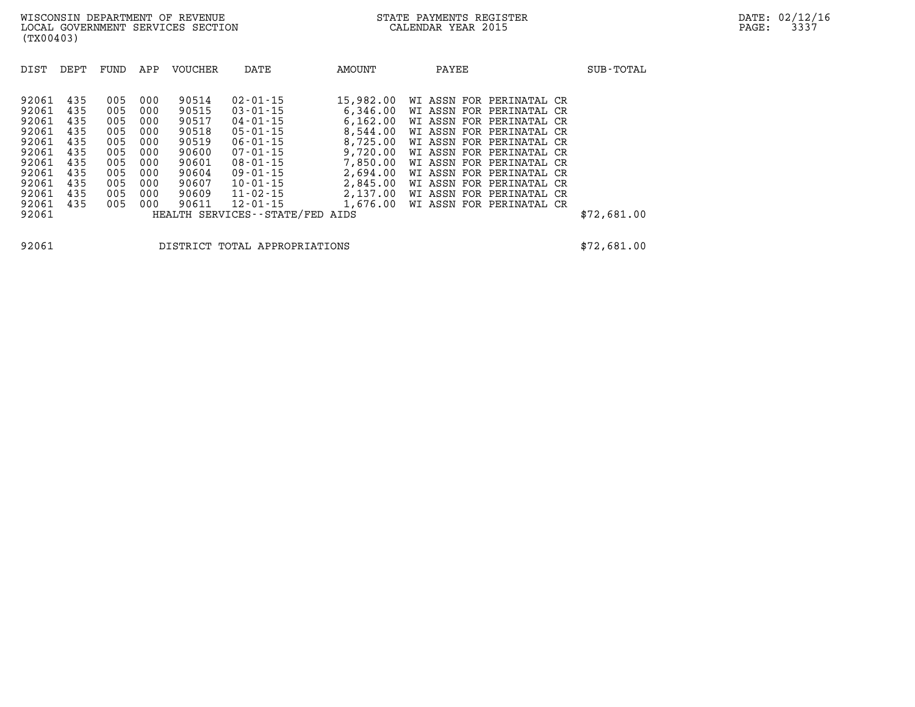| DIST  | DEPT | FUND | APP | <b>VOUCHER</b> | DATE                            | AMOUNT    | PAYEE                    | SUB-TOTAL   |
|-------|------|------|-----|----------------|---------------------------------|-----------|--------------------------|-------------|
| 92061 | 435  | 005  | 000 | 90514          | $02 - 01 - 15$                  | 15,982.00 | WI ASSN FOR PERINATAL CR |             |
| 92061 | 435  | 005  | 000 | 90515          | $03 - 01 - 15$                  | 6,346.00  | WI ASSN FOR PERINATAL CR |             |
| 92061 | 435  | 005  | 000 | 90517          | $04 - 01 - 15$                  | 6.162.00  | WI ASSN FOR PERINATAL CR |             |
| 92061 | 435  | 005  | 000 | 90518          | $05 - 01 - 15$                  | 8,544.00  | WI ASSN FOR PERINATAL CR |             |
| 92061 | 435  | 005  | 000 | 90519          | $06 - 01 - 15$                  | 8,725.00  | WI ASSN FOR PERINATAL CR |             |
| 92061 | 435  | 005  | 000 | 90600          | $07 - 01 - 15$                  | 9,720.00  | WI ASSN FOR PERINATAL CR |             |
| 92061 | 435  | 005  | 000 | 90601          | $08 - 01 - 15$                  | 7,850.00  | WI ASSN FOR PERINATAL CR |             |
| 92061 | 435  | 005  | 000 | 90604          | $09 - 01 - 15$                  | 2,694.00  | WI ASSN FOR PERINATAL CR |             |
| 92061 | 435  | 005  | 000 | 90607          | $10 - 01 - 15$                  | 2,845.00  | WI ASSN FOR PERINATAL CR |             |
| 92061 | 435  | 005  | 000 | 90609          | $11 - 02 - 15$                  | 2,137.00  | WI ASSN FOR PERINATAL CR |             |
| 92061 | 435  | 005  | 000 | 90611          | $12 - 01 - 15$                  | 1,676.00  | WI ASSN FOR PERINATAL CR |             |
| 92061 |      |      |     |                | HEALTH SERVICES--STATE/FED AIDS |           |                          | \$72,681.00 |

**92061 DISTRICT TOTAL APPROPRIATIONS \$72,681.00**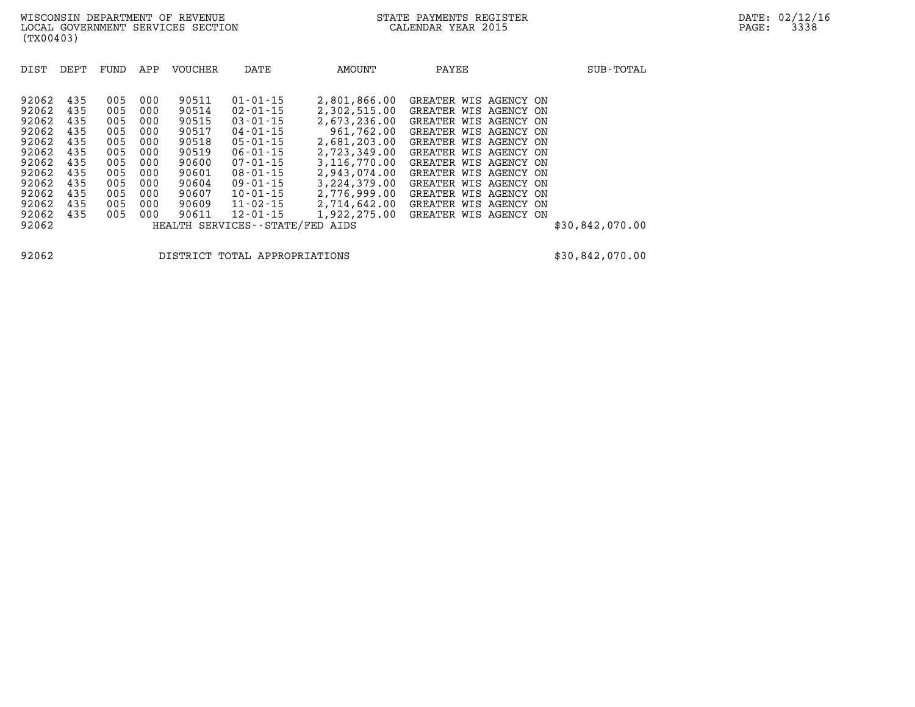| DIST                                                        | DEPT                                          | FUND                                          | APP                                           | <b>VOUCHER</b>                                              | DATE                                                                                                                       | AMOUNT                                                                                                          | PAYEE                                                                                                                                                                          | SUB-TOTAL       |
|-------------------------------------------------------------|-----------------------------------------------|-----------------------------------------------|-----------------------------------------------|-------------------------------------------------------------|----------------------------------------------------------------------------------------------------------------------------|-----------------------------------------------------------------------------------------------------------------|--------------------------------------------------------------------------------------------------------------------------------------------------------------------------------|-----------------|
| 92062<br>92062<br>92062<br>92062                            | 435<br>435<br>435<br>435                      | 005<br>005<br>005<br>005                      | 000<br>000<br>000<br>000                      | 90511<br>90514<br>90515<br>90517                            | $01 - 01 - 15$<br>$02 - 01 - 15$<br>$03 - 01 - 15$<br>$04 - 01 - 15$                                                       | 2,801,866.00<br>2,302,515.00<br>2,673,236.00<br>961,762.00                                                      | GREATER WIS AGENCY ON<br>GREATER WIS AGENCY ON<br>GREATER WIS AGENCY ON<br>GREATER WIS AGENCY ON                                                                               |                 |
| 92062<br>92062<br>92062<br>92062<br>92062<br>92062<br>92062 | 435<br>435<br>435<br>435<br>435<br>435<br>435 | 005<br>005<br>005<br>005<br>005<br>005<br>005 | 000<br>000<br>000<br>000<br>000<br>000<br>000 | 90518<br>90519<br>90600<br>90601<br>90604<br>90607<br>90609 | $05 - 01 - 15$<br>$06 - 01 - 15$<br>$07 - 01 - 15$<br>$08 - 01 - 15$<br>$09 - 01 - 15$<br>$10 - 01 - 15$<br>$11 - 02 - 15$ | 2,681,203.00<br>2,723,349.00<br>3,116,770.00<br>2,943,074.00<br>3, 224, 379, 00<br>2,776,999.00<br>2,714,642.00 | GREATER WIS AGENCY ON<br>GREATER WIS AGENCY ON<br>GREATER WIS AGENCY ON<br>GREATER WIS AGENCY ON<br>GREATER WIS AGENCY ON<br>GREATER WIS AGENCY ON<br>GREATER WIS AGENCY<br>ON |                 |
| 92062<br>92062                                              | 435                                           | 005                                           | 000                                           | 90611                                                       | $12 - 01 - 15$<br>HEALTH SERVICES - - STATE/FED                                                                            | 1,922,275.00<br>AIDS                                                                                            | GREATER WIS AGENCY ON                                                                                                                                                          | \$30,842,070.00 |

**92062 DISTRICT TOTAL APPROPRIATIONS \$30,842,070.00**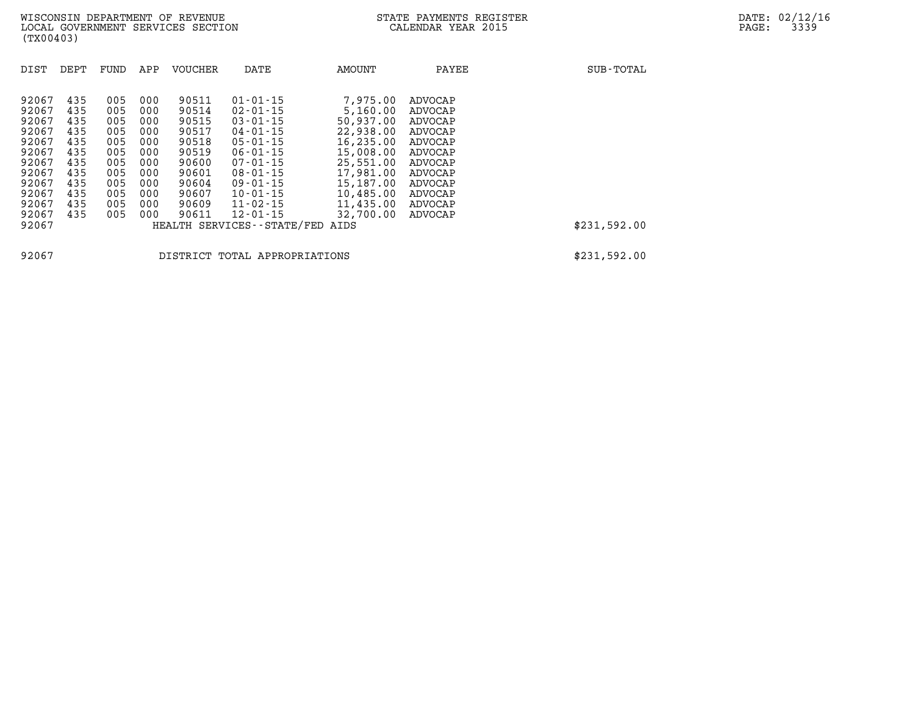| DIST  | DEPT | FUND | APP | <b>VOUCHER</b> | DATE                          | <b>AMOUNT</b> | PAYEE   | SUB-TOTAL    |
|-------|------|------|-----|----------------|-------------------------------|---------------|---------|--------------|
| 92067 | 435  | 005  | 000 | 90511          | $01 - 01 - 15$                | 7,975.00      | ADVOCAP |              |
| 92067 | 435  | 005  | 000 | 90514          | $02 - 01 - 15$                | 5,160.00      | ADVOCAP |              |
| 92067 | 435  | 005  | 000 | 90515          | $03 - 01 - 15$                | 50,937.00     | ADVOCAP |              |
| 92067 | 435  | 005  | 000 | 90517          | 04-01-15                      | 22,938,00     | ADVOCAP |              |
| 92067 | 435  | 005  | 000 | 90518          | $05 - 01 - 15$                | 16,235.00     | ADVOCAP |              |
| 92067 | 435  | 005  | 000 | 90519          | $06 - 01 - 15$                | 15,008.00     | ADVOCAP |              |
| 92067 | 435  | 005  | 000 | 90600          | $07 - 01 - 15$                | 25,551.00     | ADVOCAP |              |
| 92067 | 435  | 005  | 000 | 90601          | $08 - 01 - 15$                | 17,981.00     | ADVOCAP |              |
| 92067 | 435  | 005  | 000 | 90604          | $09 - 01 - 15$                | 15,187.00     | ADVOCAP |              |
| 92067 | 435  | 005  | 000 | 90607          | $10 - 01 - 15$                | 10,485.00     | ADVOCAP |              |
| 92067 | 435  | 005  | 000 | 90609          | $11 - 02 - 15$                | 11,435.00     | ADVOCAP |              |
| 92067 | 435  | 005  | 000 | 90611          | $12 - 01 - 15$                | 32,700.00     | ADVOCAP |              |
| 92067 |      |      |     |                | HEALTH SERVICES - - STATE/FED | AIDS          |         | \$231,592.00 |

**92067 DISTRICT TOTAL APPROPRIATIONS \$231,592.00**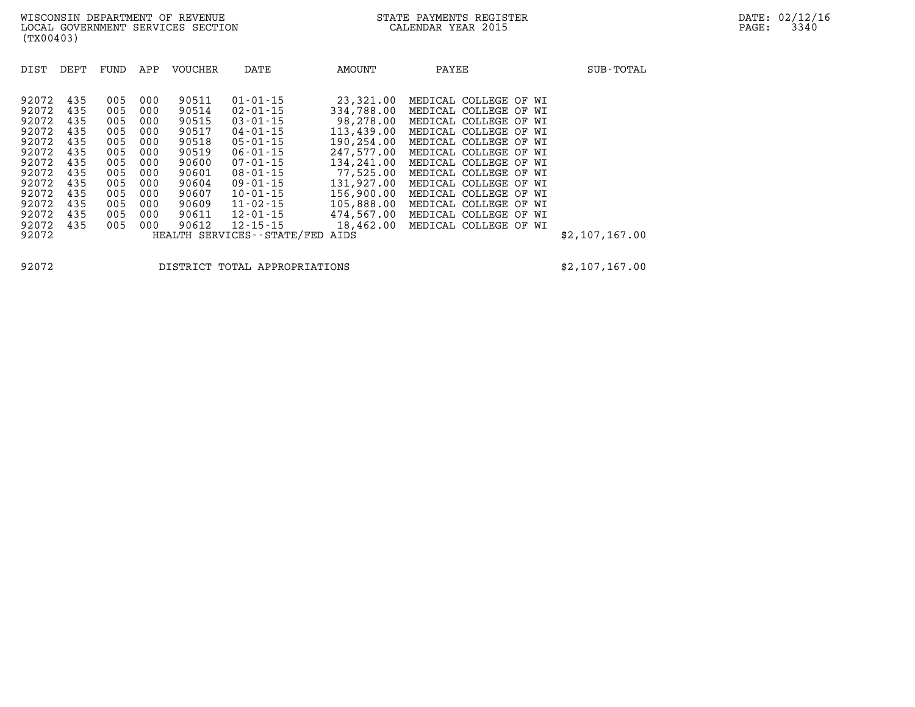| DIST                                                                                                                       | DEPT                                                                                    | <b>FUND</b>                                                                             | APP                                                                                     | <b>VOUCHER</b>                                                                                                    | DATE                                                                                                                                                                                                                                                           | AMOUNT                                                                                                                                                                                 | PAYEE                                                                                                                                                                                                                                                                                                                                                                 | SUB-TOTAL      |
|----------------------------------------------------------------------------------------------------------------------------|-----------------------------------------------------------------------------------------|-----------------------------------------------------------------------------------------|-----------------------------------------------------------------------------------------|-------------------------------------------------------------------------------------------------------------------|----------------------------------------------------------------------------------------------------------------------------------------------------------------------------------------------------------------------------------------------------------------|----------------------------------------------------------------------------------------------------------------------------------------------------------------------------------------|-----------------------------------------------------------------------------------------------------------------------------------------------------------------------------------------------------------------------------------------------------------------------------------------------------------------------------------------------------------------------|----------------|
| 92072<br>92072<br>92072<br>92072<br>92072<br>92072<br>92072<br>92072<br>92072<br>92072<br>92072<br>92072<br>92072<br>92072 | 435<br>435<br>435<br>435<br>435<br>435<br>435<br>435<br>435<br>435<br>435<br>435<br>435 | 005<br>005<br>005<br>005<br>005<br>005<br>005<br>005<br>005<br>005<br>005<br>005<br>005 | 000<br>000<br>000<br>000<br>000<br>000<br>000<br>000<br>000<br>000<br>000<br>000<br>000 | 90511<br>90514<br>90515<br>90517<br>90518<br>90519<br>90600<br>90601<br>90604<br>90607<br>90609<br>90611<br>90612 | $01 - 01 - 15$<br>$02 - 01 - 15$<br>$03 - 01 - 15$<br>$04 - 01 - 15$<br>$05 - 01 - 15$<br>$06 - 01 - 15$<br>$07 - 01 - 15$<br>$08 - 01 - 15$<br>$09 - 01 - 15$<br>$10 - 01 - 15$<br>$11 - 02 - 15$<br>12-01-15<br>$12 - 15 - 15$<br>HEALTH SERVICES--STATE/FED | 23,321.00<br>334,788.00<br>98,278.00<br>113,439.00<br>190,254.00<br>247,577,00<br>134,241.00<br>77,525.00<br>131,927.00<br>156,900.00<br>105,888.00<br>474,567.00<br>18,462.00<br>AIDS | MEDICAL COLLEGE OF WI<br>MEDICAL COLLEGE OF<br>WI<br>MEDICAL COLLEGE OF<br>WI<br>MEDICAL COLLEGE OF<br>WI<br>MEDICAL COLLEGE OF<br>WI<br>MEDICAL COLLEGE<br>OF<br>WI<br>MEDICAL COLLEGE OF<br>WI<br>MEDICAL COLLEGE OF<br>WI<br>MEDICAL COLLEGE OF<br>WI<br>MEDICAL COLLEGE OF<br>WI<br>MEDICAL COLLEGE OF<br>WI<br>MEDICAL COLLEGE OF<br>WI<br>MEDICAL COLLEGE OF WI | \$2,107,167.00 |
|                                                                                                                            |                                                                                         |                                                                                         |                                                                                         |                                                                                                                   |                                                                                                                                                                                                                                                                |                                                                                                                                                                                        |                                                                                                                                                                                                                                                                                                                                                                       |                |

**92072 DISTRICT TOTAL APPROPRIATIONS \$2,107,167.00**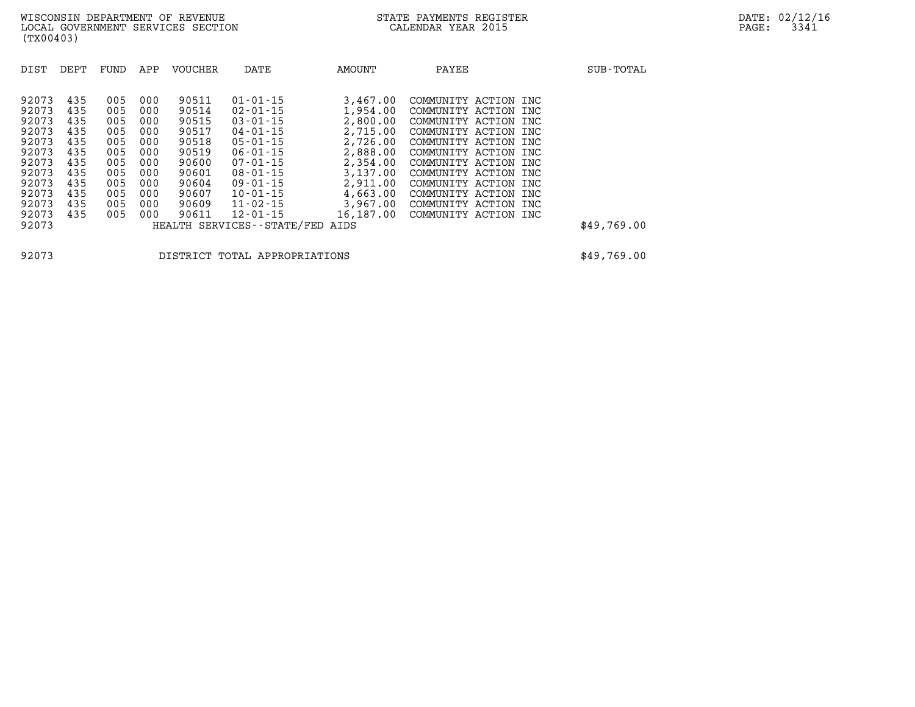| 90511<br>92073<br>435<br>$01 - 01 - 15$<br>3,467,00<br>005<br>000<br>COMMUNITY ACTION INC<br>90514<br>92073<br>435<br>005<br>000<br>$02 - 01 - 15$<br>1,954.00<br>COMMUNITY ACTION INC<br>92073<br>90515<br>435<br>005<br>000<br>$03 - 01 - 15$<br>2,800.00<br>COMMUNITY ACTION INC<br>2,715.00<br>92073<br>435<br>90517<br>005<br>000<br>$04 - 01 - 15$<br>COMMUNITY ACTION INC                                                                                                                                                                                                                                                                                                                                           | SUB-TOTAL   | PAYEE                | AMOUNT   | DATE           | <b>VOUCHER</b> | APP | FUND | DEPT | DIST  |
|----------------------------------------------------------------------------------------------------------------------------------------------------------------------------------------------------------------------------------------------------------------------------------------------------------------------------------------------------------------------------------------------------------------------------------------------------------------------------------------------------------------------------------------------------------------------------------------------------------------------------------------------------------------------------------------------------------------------------|-------------|----------------------|----------|----------------|----------------|-----|------|------|-------|
| 92073<br>90519<br>2,888.00<br>435<br>005<br>000<br>$06 - 01 - 15$<br>COMMUNITY ACTION INC<br>92073<br>435<br>005<br>000<br>90600<br>$07 - 01 - 15$<br>2,354.00<br>COMMUNITY ACTION INC<br>3,137.00<br>92073<br>90601<br>435<br>005<br>000<br>$08 - 01 - 15$<br>COMMUNITY ACTION INC<br>92073<br>90604<br>2,911.00<br>435<br>000<br>$09 - 01 - 15$<br>005<br>COMMUNITY ACTION INC<br>4,663.00<br>92073<br>90607<br>435<br>005<br>000<br>$10 - 01 - 15$<br>COMMUNITY ACTION INC<br>92073<br>90609<br>$11 - 02 - 15$<br>3,967,00<br>435<br>005<br>000<br>COMMUNITY ACTION INC<br>16,187.00<br>92073<br>435<br>005<br>000<br>90611<br>$12 - 01 - 15$<br>COMMUNITY ACTION INC<br>92073<br>HEALTH SERVICES - - STATE/FED<br>AIDS | \$49,769.00 | COMMUNITY ACTION INC | 2,726.00 | $05 - 01 - 15$ | 90518          | 000 | 005  | 435  | 92073 |

**92073 DISTRICT TOTAL APPROPRIATIONS \$49,769.00**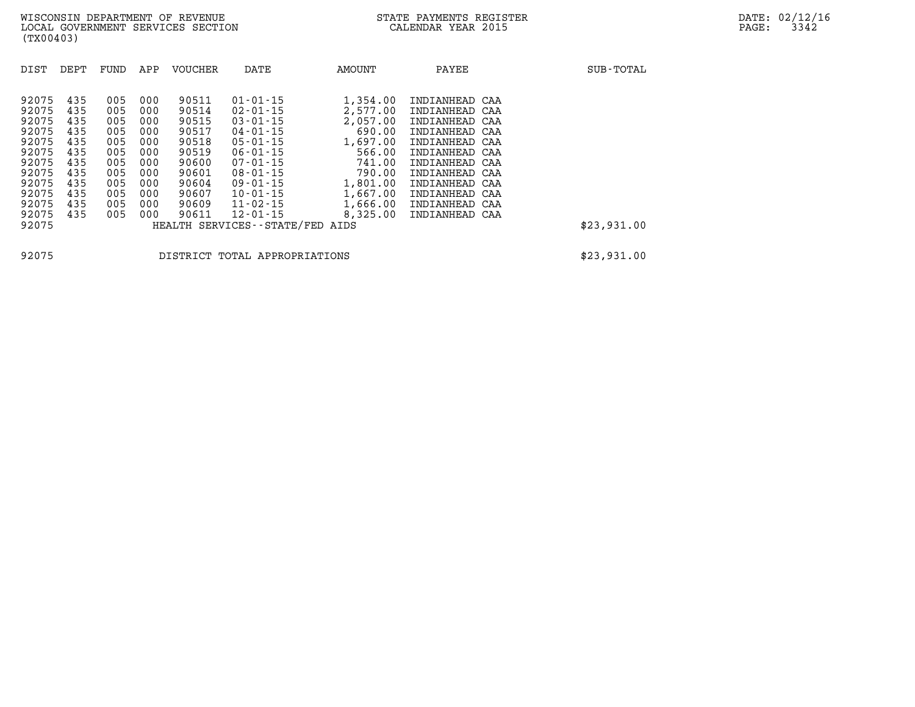| DIST                                                                                                              | DEPT                                                                             | FUND                                                                             | APP                                                                              | <b>VOUCHER</b>                                                                                           | DATE                                                                                                                                                                                                                                                    | AMOUNT                                                                                                                               | PAYEE                                                                                                                                                                                                                | SUB-TOTAL   |
|-------------------------------------------------------------------------------------------------------------------|----------------------------------------------------------------------------------|----------------------------------------------------------------------------------|----------------------------------------------------------------------------------|----------------------------------------------------------------------------------------------------------|---------------------------------------------------------------------------------------------------------------------------------------------------------------------------------------------------------------------------------------------------------|--------------------------------------------------------------------------------------------------------------------------------------|----------------------------------------------------------------------------------------------------------------------------------------------------------------------------------------------------------------------|-------------|
| 92075<br>92075<br>92075<br>92075<br>92075<br>92075<br>92075<br>92075<br>92075<br>92075<br>92075<br>92075<br>92075 | 435<br>435<br>435<br>435<br>435<br>435<br>435<br>435<br>435<br>435<br>435<br>435 | 005<br>005<br>005<br>005<br>005<br>005<br>005<br>005<br>005<br>005<br>005<br>005 | 000<br>000<br>000<br>000<br>000<br>000<br>000<br>000<br>000<br>000<br>000<br>000 | 90511<br>90514<br>90515<br>90517<br>90518<br>90519<br>90600<br>90601<br>90604<br>90607<br>90609<br>90611 | $01 - 01 - 15$<br>$02 - 01 - 15$<br>$03 - 01 - 15$<br>$04 - 01 - 15$<br>$05 - 01 - 15$<br>$06 - 01 - 15$<br>$07 - 01 - 15$<br>$08 - 01 - 15$<br>$09 - 01 - 15$<br>$10 - 01 - 15$<br>$11 - 02 - 15$<br>$12 - 01 - 15$<br>HEALTH SERVICES--STATE/FED AIDS | 1,354.00<br>2,577.00<br>2,057.00<br>690.00<br>1,697.00<br>566.00<br>741.00<br>790.00<br>1,801.00<br>1,667.00<br>1,666.00<br>8,325.00 | INDIANHEAD CAA<br>INDIANHEAD CAA<br>INDIANHEAD CAA<br>INDIANHEAD CAA<br>INDIANHEAD CAA<br>INDIANHEAD CAA<br>INDIANHEAD CAA<br>INDIANHEAD CAA<br>INDIANHEAD CAA<br>INDIANHEAD CAA<br>INDIANHEAD CAA<br>INDIANHEAD CAA | \$23,931.00 |

**92075 DISTRICT TOTAL APPROPRIATIONS \$23,931.00**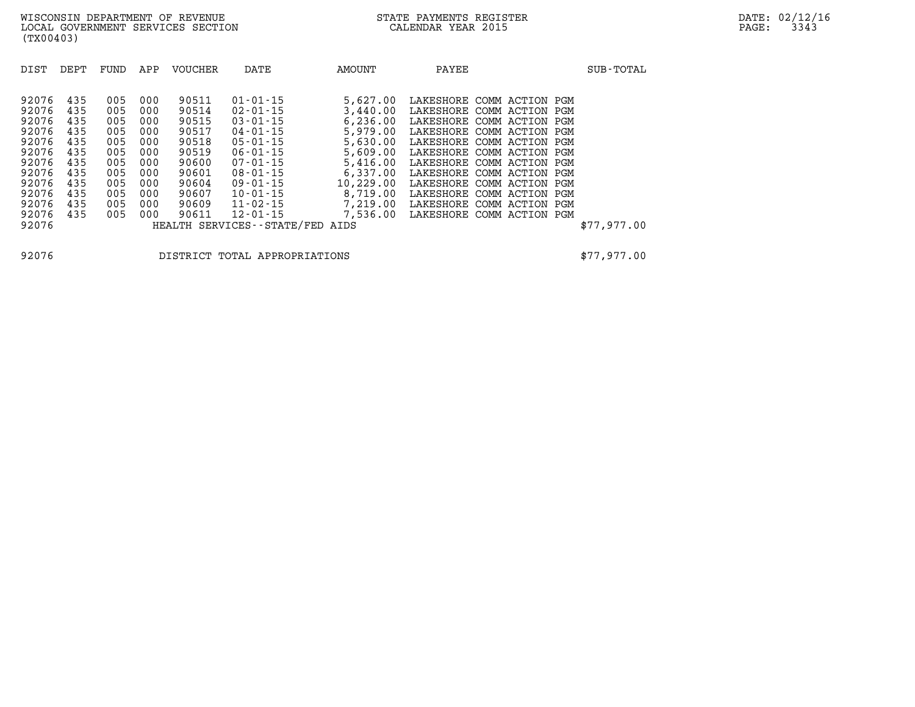| DIST                                                                                                              | DEPT                                                                             | FUND                                                                             | APP                                                                              | <b>VOUCHER</b>                                                                                           | DATE                                                                                                                                                                                                                                               | AMOUNT                                                                                                                                                  | PAYEE                                                                                                                                                                                                                    |                                                                                                                                                      | SUB-TOTAL   |
|-------------------------------------------------------------------------------------------------------------------|----------------------------------------------------------------------------------|----------------------------------------------------------------------------------|----------------------------------------------------------------------------------|----------------------------------------------------------------------------------------------------------|----------------------------------------------------------------------------------------------------------------------------------------------------------------------------------------------------------------------------------------------------|---------------------------------------------------------------------------------------------------------------------------------------------------------|--------------------------------------------------------------------------------------------------------------------------------------------------------------------------------------------------------------------------|------------------------------------------------------------------------------------------------------------------------------------------------------|-------------|
| 92076<br>92076<br>92076<br>92076<br>92076<br>92076<br>92076<br>92076<br>92076<br>92076<br>92076<br>92076<br>92076 | 435<br>435<br>435<br>435<br>435<br>435<br>435<br>435<br>435<br>435<br>435<br>435 | 005<br>005<br>005<br>005<br>005<br>005<br>005<br>005<br>005<br>005<br>005<br>005 | 000<br>000<br>000<br>000<br>000<br>000<br>000<br>000<br>000<br>000<br>000<br>000 | 90511<br>90514<br>90515<br>90517<br>90518<br>90519<br>90600<br>90601<br>90604<br>90607<br>90609<br>90611 | $01 - 01 - 15$<br>$02 - 01 - 15$<br>$03 - 01 - 15$<br>$04 - 01 - 15$<br>$05 - 01 - 15$<br>$06 - 01 - 15$<br>$07 - 01 - 15$<br>$08 - 01 - 15$<br>$09 - 01 - 15$<br>$10 - 01 - 15$<br>$11 - 02 - 15$<br>$12 - 01 - 15$<br>HEALTH SERVICES--STATE/FED | 5,627.00<br>3,440.00<br>6, 236, 00<br>5,979.00<br>5,630.00<br>5,609.00<br>5,416.00<br>6,337.00<br>10,229.00<br>8,719.00<br>7,219.00<br>7,536.00<br>AIDS | LAKESHORE COMM ACTION PGM<br>LAKESHORE<br>LAKESHORE<br>LAKESHORE COMM ACTION PGM<br>LAKESHORE<br>LAKESHORE COMM ACTION PGM<br>LAKESHORE COMM ACTION PGM<br>LAKESHORE<br>LAKESHORE<br>LAKESHORE<br>LAKESHORE<br>LAKESHORE | COMM ACTION PGM<br>COMM ACTION PGM<br>COMM ACTION PGM<br>COMM ACTION PGM<br>COMM ACTION PGM<br>COMM ACTION PGM<br>COMM ACTION PGM<br>COMM ACTION PGM | \$77,977.00 |

**92076 DISTRICT TOTAL APPROPRIATIONS \$77,977.00**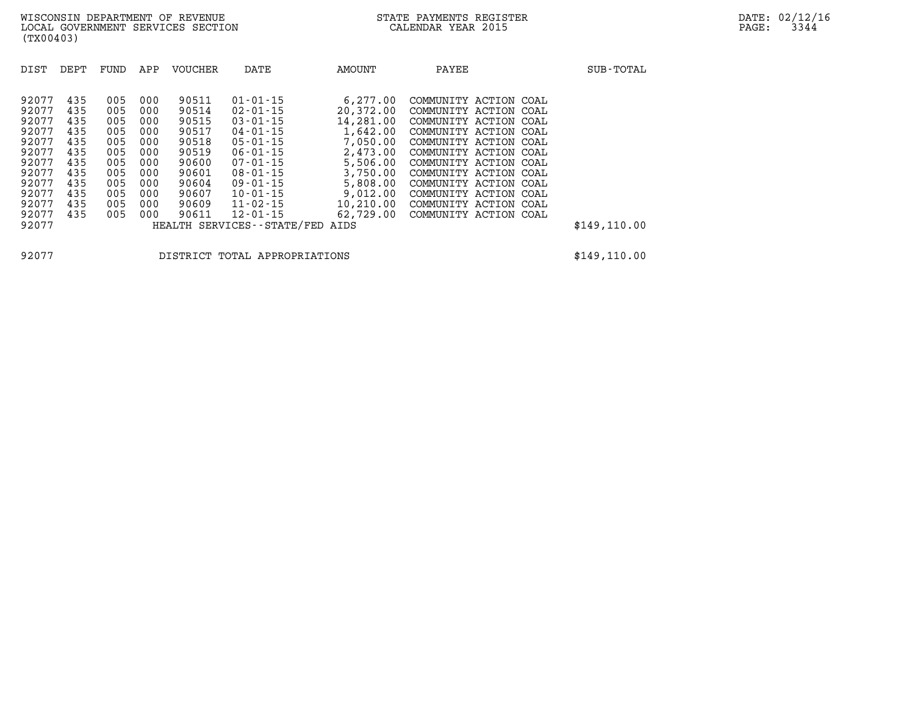| DIST  | DEPT | FUND | APP | <b>VOUCHER</b> | DATE                            | AMOUNT    | PAYEE                 |  | SUB-TOTAL     |
|-------|------|------|-----|----------------|---------------------------------|-----------|-----------------------|--|---------------|
| 92077 | 435  | 005  | 000 | 90511          | $01 - 01 - 15$                  | 6,277.00  | COMMUNITY ACTION COAL |  |               |
| 92077 | 435  | 005  | 000 | 90514          | $02 - 01 - 15$                  | 20,372.00 | COMMUNITY ACTION COAL |  |               |
| 92077 | 435  | 005  | 000 | 90515          | $03 - 01 - 15$                  | 14,281.00 | COMMUNITY ACTION COAL |  |               |
| 92077 | 435  | 005  | 000 | 90517          | $04 - 01 - 15$                  | 1,642.00  | COMMUNITY ACTION COAL |  |               |
| 92077 | 435  | 005  | 000 | 90518          | $05 - 01 - 15$                  | 7,050.00  | COMMUNITY ACTION COAL |  |               |
| 92077 | 435  | 005  | 000 | 90519          | $06 - 01 - 15$                  | 2,473.00  | COMMUNITY ACTION COAL |  |               |
| 92077 | 435  | 005  | 000 | 90600          | $07 - 01 - 15$                  | 5,506.00  | COMMUNITY ACTION COAL |  |               |
| 92077 | 435  | 005  | 000 | 90601          | $08 - 01 - 15$                  | 3,750.00  | COMMUNITY ACTION COAL |  |               |
| 92077 | 435  | 005  | 000 | 90604          | $09 - 01 - 15$                  | 5,808.00  | COMMUNITY ACTION COAL |  |               |
| 92077 | 435  | 005  | 000 | 90607          | $10 - 01 - 15$                  | 9,012.00  | COMMUNITY ACTION COAL |  |               |
| 92077 | 435  | 005  | 000 | 90609          | $11 - 02 - 15$                  | 10,210.00 | COMMUNITY ACTION COAL |  |               |
| 92077 | 435  | 005  | 000 | 90611          | $12 - 01 - 15$                  | 62,729.00 | COMMUNITY ACTION COAL |  |               |
| 92077 |      |      |     |                | HEALTH SERVICES--STATE/FED AIDS |           |                       |  | \$149, 110.00 |

**92077 DISTRICT TOTAL APPROPRIATIONS \$149,110.00**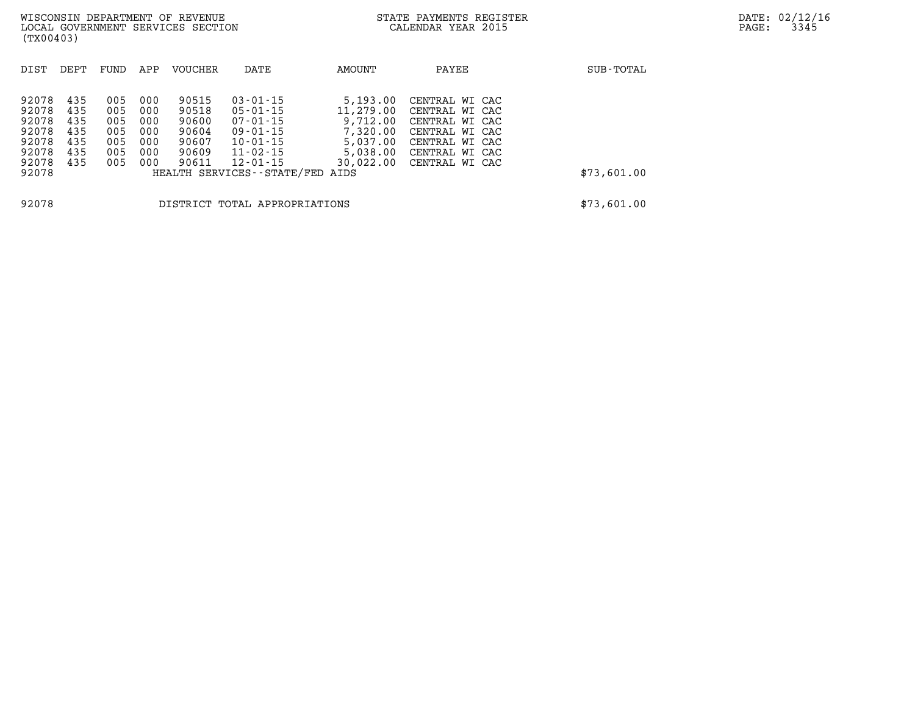| DIST                                      | DEPT                     | FUND                     | APP                      | <b>VOUCHER</b>                   | DATE                                                                                                    | AMOUNT                                        | PAYEE                                                                | SUB-TOTAL   |
|-------------------------------------------|--------------------------|--------------------------|--------------------------|----------------------------------|---------------------------------------------------------------------------------------------------------|-----------------------------------------------|----------------------------------------------------------------------|-------------|
| 92078<br>92078<br>92078                   | 435<br>435<br>435        | 005<br>005<br>005        | 000<br>000<br>000        | 90515<br>90518<br>90600          | $03 - 01 - 15$<br>$05 - 01 - 15$<br>$07 - 01 - 15$                                                      | 5,193.00<br>11,279.00<br>9,712.00             | CENTRAL WI CAC<br>CENTRAL WI CAC<br>CENTRAL WI CAC                   |             |
| 92078<br>92078<br>92078<br>92078<br>92078 | 435<br>435<br>435<br>435 | 005<br>005<br>005<br>005 | 000<br>000<br>000<br>000 | 90604<br>90607<br>90609<br>90611 | $09 - 01 - 15$<br>$10 - 01 - 15$<br>$11 - 02 - 15$<br>$12 - 01 - 15$<br>HEALTH SERVICES--STATE/FED AIDS | 7,320.00<br>5,037.00<br>5,038.00<br>30,022.00 | CENTRAL WI CAC<br>CENTRAL WI CAC<br>CENTRAL WI CAC<br>CENTRAL WI CAC | \$73,601.00 |
|                                           |                          |                          |                          |                                  |                                                                                                         |                                               |                                                                      |             |

**92078 DISTRICT TOTAL APPROPRIATIONS \$73,601.00**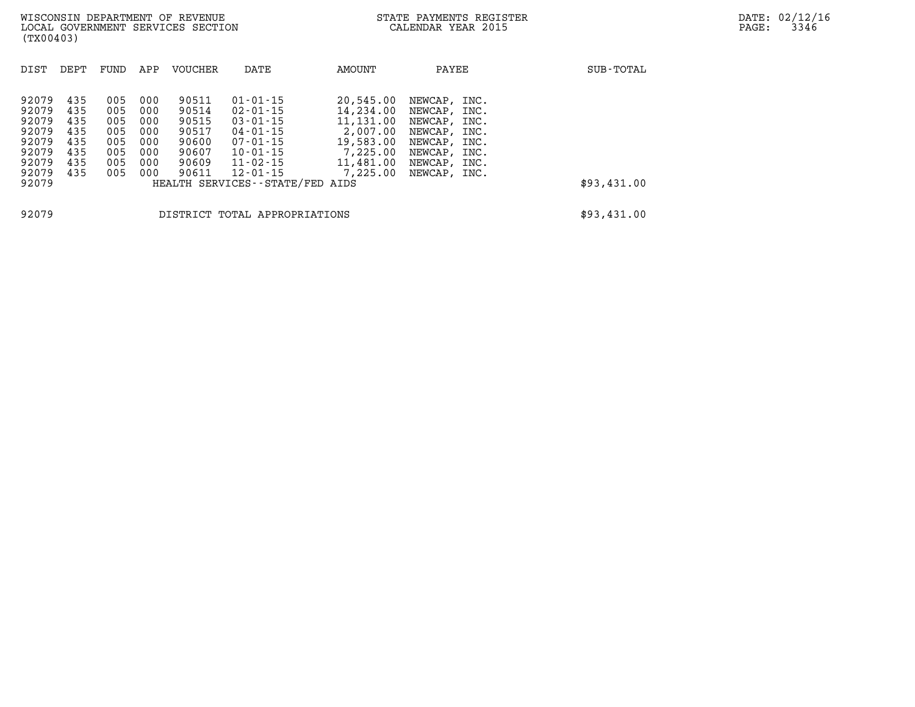**(TX00403)** 

| DIST                                                                          | DEPT                                                 | FUND                                                 | APP                                                  | VOUCHER                                                              | DATE                                                                                                                                                                            | AMOUNT                                                                                            | PAYEE                                                                                                                                          | SUB-TOTAL   |
|-------------------------------------------------------------------------------|------------------------------------------------------|------------------------------------------------------|------------------------------------------------------|----------------------------------------------------------------------|---------------------------------------------------------------------------------------------------------------------------------------------------------------------------------|---------------------------------------------------------------------------------------------------|------------------------------------------------------------------------------------------------------------------------------------------------|-------------|
| 92079<br>92079<br>92079<br>92079<br>92079<br>92079<br>92079<br>92079<br>92079 | 435<br>435<br>435<br>435<br>435<br>435<br>435<br>435 | 005<br>005<br>005<br>005<br>005<br>005<br>005<br>005 | 000<br>000<br>000<br>000<br>000<br>000<br>000<br>000 | 90511<br>90514<br>90515<br>90517<br>90600<br>90607<br>90609<br>90611 | $01 - 01 - 15$<br>$02 - 01 - 15$<br>$03 - 01 - 15$<br>$04 - 01 - 15$<br>$07 - 01 - 15$<br>$10 - 01 - 15$<br>$11 - 02 - 15$<br>$12 - 01 - 15$<br>HEALTH SERVICES--STATE/FED AIDS | 20,545.00<br>14,234.00<br>11,131.00<br>2,007.00<br>19,583.00<br>7,225.00<br>11,481.00<br>7,225,00 | NEWCAP, INC.<br>INC.<br>NEWCAP,<br>NEWCAP,<br>INC.<br>NEWCAP,<br>INC.<br>NEWCAP,<br>INC.<br>NEWCAP,<br>INC.<br>NEWCAP,<br>INC.<br>NEWCAP, INC. | \$93,431.00 |
| 92079                                                                         |                                                      |                                                      |                                                      |                                                                      | DISTRICT TOTAL APPROPRIATIONS                                                                                                                                                   |                                                                                                   |                                                                                                                                                | \$93,431.00 |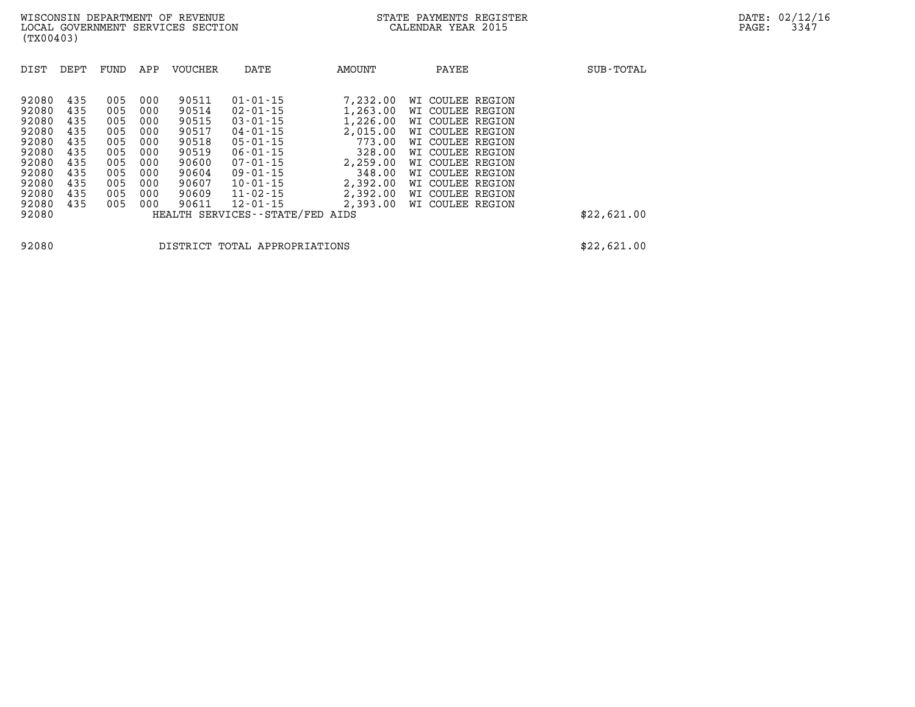| DIST                                                                                                     | DEPT                                                                      | FUND                                                                      | APP                                                                       | <b>VOUCHER</b>                                                                                  | DATE                                                                                                                                                                                                                                | AMOUNT                                                                                                                             | PAYEE |                                                                                                                                                                                                                          | SUB-TOTAL   |
|----------------------------------------------------------------------------------------------------------|---------------------------------------------------------------------------|---------------------------------------------------------------------------|---------------------------------------------------------------------------|-------------------------------------------------------------------------------------------------|-------------------------------------------------------------------------------------------------------------------------------------------------------------------------------------------------------------------------------------|------------------------------------------------------------------------------------------------------------------------------------|-------|--------------------------------------------------------------------------------------------------------------------------------------------------------------------------------------------------------------------------|-------------|
| 92080<br>92080<br>92080<br>92080<br>92080<br>92080<br>92080<br>92080<br>92080<br>92080<br>92080<br>92080 | 435<br>435<br>435<br>435<br>435<br>435<br>435<br>435<br>435<br>435<br>435 | 005<br>005<br>005<br>005<br>005<br>005<br>005<br>005<br>005<br>005<br>005 | 000<br>000<br>000<br>000<br>000<br>000<br>000<br>000<br>000<br>000<br>000 | 90511<br>90514<br>90515<br>90517<br>90518<br>90519<br>90600<br>90604<br>90607<br>90609<br>90611 | $01 - 01 - 15$<br>$02 - 01 - 15$<br>$03 - 01 - 15$<br>$04 - 01 - 15$<br>$05 - 01 - 15$<br>$06 - 01 - 15$<br>$07 - 01 - 15$<br>$09 - 01 - 15$<br>$10 - 01 - 15$<br>$11 - 02 - 15$<br>$12 - 01 - 15$<br>HEALTH SERVICES - - STATE/FED | 7,232.00<br>1,263.00<br>1,226.00<br>2,015.00<br>773.00<br>328.00<br>2,259.00<br>348.00<br>2,392.00<br>2,392.00<br>2,393.00<br>AIDS |       | WI COULEE REGION<br>WI COULEE REGION<br>WI COULEE REGION<br>WI COULEE REGION<br>WI COULEE REGION<br>WI COULEE REGION<br>WI COULEE REGION<br>WI COULEE REGION<br>WI COULEE REGION<br>WI COULEE REGION<br>WI COULEE REGION | \$22,621.00 |

**92080 DISTRICT TOTAL APPROPRIATIONS \$22,621.00**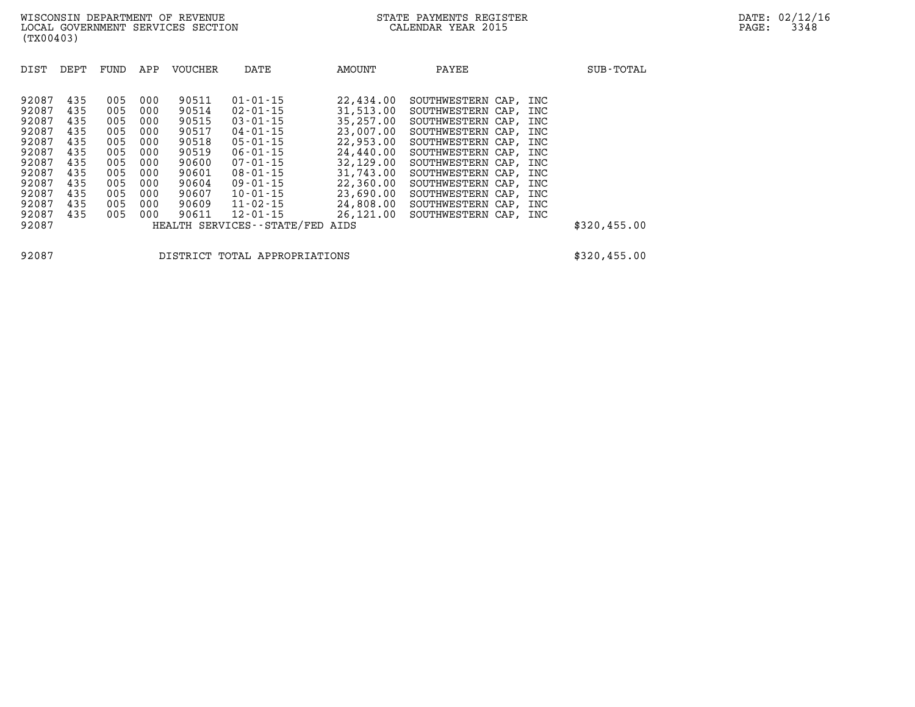| DIST                                                                                                              | DEPT                                                                             | APP<br>FUND                                                                                                                                                          | <b>VOUCHER</b>                                                                                           | DATE                                                                                                                                                                                                                                              | AMOUNT                                                                                                                                                   | PAYEE                                                                                                                                                                                                                                                                                                    | SUB-TOTAL    |
|-------------------------------------------------------------------------------------------------------------------|----------------------------------------------------------------------------------|----------------------------------------------------------------------------------------------------------------------------------------------------------------------|----------------------------------------------------------------------------------------------------------|---------------------------------------------------------------------------------------------------------------------------------------------------------------------------------------------------------------------------------------------------|----------------------------------------------------------------------------------------------------------------------------------------------------------|----------------------------------------------------------------------------------------------------------------------------------------------------------------------------------------------------------------------------------------------------------------------------------------------------------|--------------|
| 92087<br>92087<br>92087<br>92087<br>92087<br>92087<br>92087<br>92087<br>92087<br>92087<br>92087<br>92087<br>92087 | 435<br>435<br>435<br>435<br>435<br>435<br>435<br>435<br>435<br>435<br>435<br>435 | 005<br>000<br>005<br>000<br>005<br>000<br>005<br>000<br>005<br>000<br>005<br>000<br>005<br>000<br>005<br>000<br>005<br>000<br>005<br>000<br>005<br>000<br>005<br>000 | 90511<br>90514<br>90515<br>90517<br>90518<br>90519<br>90600<br>90601<br>90604<br>90607<br>90609<br>90611 | $01 - 01 - 15$<br>$02 - 01 - 15$<br>$03 - 01 - 15$<br>$04 - 01 - 15$<br>$05 - 01 - 15$<br>$06 - 01 - 15$<br>$07 - 01 - 15$<br>$08 - 01 - 15$<br>$09 - 01 - 15$<br>$10 - 01 - 15$<br>$11 - 02 - 15$<br>12-01-15<br>HEALTH SERVICES--STATE/FED AIDS | 22,434.00<br>31,513.00<br>35,257.00<br>23,007.00<br>22,953,00<br>24,440.00<br>32,129,00<br>31,743.00<br>22,360.00<br>23,690.00<br>24,808.00<br>26,121.00 | SOUTHWESTERN CAP, INC<br>SOUTHWESTERN CAP, INC<br>SOUTHWESTERN CAP, INC<br>SOUTHWESTERN CAP, INC<br>SOUTHWESTERN CAP, INC<br>SOUTHWESTERN CAP, INC<br>SOUTHWESTERN CAP, INC<br>SOUTHWESTERN CAP, INC<br>SOUTHWESTERN CAP, INC<br>SOUTHWESTERN CAP, INC<br>SOUTHWESTERN CAP, INC<br>SOUTHWESTERN CAP, INC | \$320,455.00 |

**92087 DISTRICT TOTAL APPROPRIATIONS \$320,455.00**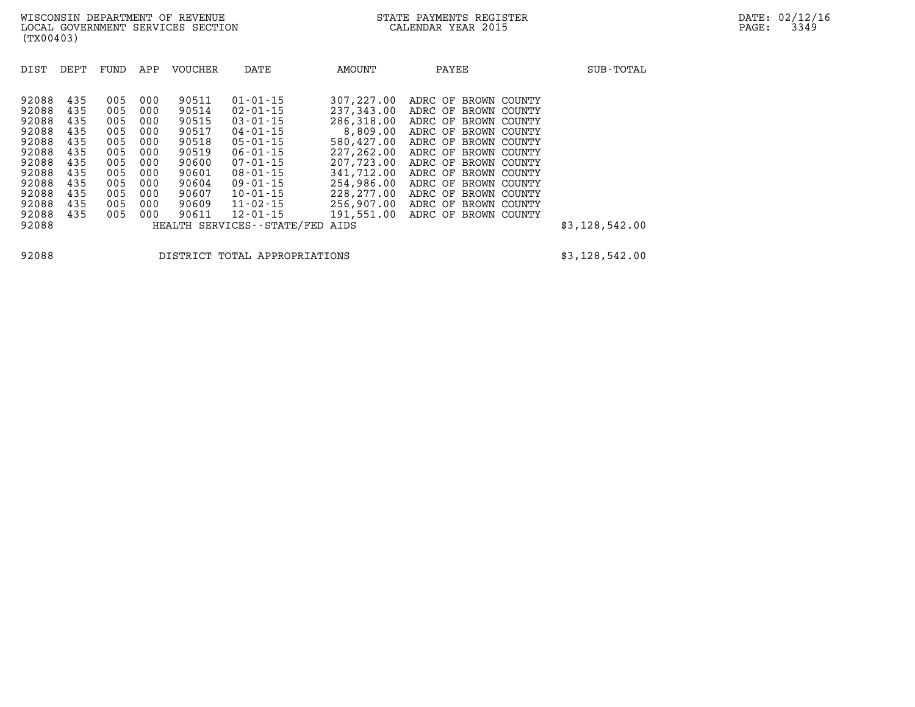| DIST                                                                                   | DEPT                                                               | FUND                                                               | APP                                                                | <b>VOUCHER</b>                                                                         | DATE                                                                                                                                                                       | <b>AMOUNT</b>                                                                                                                          | PAYEE                                                                                                                                                                                                                                        | SUB-TOTAL      |
|----------------------------------------------------------------------------------------|--------------------------------------------------------------------|--------------------------------------------------------------------|--------------------------------------------------------------------|----------------------------------------------------------------------------------------|----------------------------------------------------------------------------------------------------------------------------------------------------------------------------|----------------------------------------------------------------------------------------------------------------------------------------|----------------------------------------------------------------------------------------------------------------------------------------------------------------------------------------------------------------------------------------------|----------------|
| 92088<br>92088<br>92088<br>92088<br>92088<br>92088<br>92088<br>92088<br>92088<br>92088 | 435<br>435<br>435<br>435<br>435<br>435<br>435<br>435<br>435<br>435 | 005<br>005<br>005<br>005<br>005<br>005<br>005<br>005<br>005<br>005 | 000<br>000<br>000<br>000<br>000<br>000<br>000<br>000<br>000<br>000 | 90511<br>90514<br>90515<br>90517<br>90518<br>90519<br>90600<br>90601<br>90604<br>90607 | $01 - 01 - 15$<br>$02 - 01 - 15$<br>$03 - 01 - 15$<br>$04 - 01 - 15$<br>$05 - 01 - 15$<br>$06 - 01 - 15$<br>$07 - 01 - 15$<br>$08 - 01 - 15$<br>09-01-15<br>$10 - 01 - 15$ | 307,227,00<br>237,343,00<br>286,318.00<br>8,809.00<br>580,427.00<br>227,262,00<br>207,723,00<br>341,712.00<br>254,986.00<br>228,277.00 | ADRC OF BROWN COUNTY<br>ADRC OF BROWN COUNTY<br>ADRC OF BROWN COUNTY<br>ADRC OF BROWN COUNTY<br>ADRC OF BROWN COUNTY<br>ADRC OF BROWN COUNTY<br>ADRC OF BROWN COUNTY<br>ADRC OF BROWN COUNTY<br>ADRC OF BROWN COUNTY<br>ADRC OF BROWN COUNTY |                |
| 92088<br>92088                                                                         | 435<br>435                                                         | 005<br>005                                                         | 000<br>000                                                         | 90609<br>90611                                                                         | $11 - 02 - 15$<br>$12 - 01 - 15$                                                                                                                                           | 256,907.00<br>191,551.00                                                                                                               | ADRC OF BROWN<br>COUNTY<br>ADRC OF BROWN COUNTY                                                                                                                                                                                              |                |
| 92088                                                                                  |                                                                    |                                                                    |                                                                    |                                                                                        | HEALTH SERVICES - - STATE/FED                                                                                                                                              | AIDS                                                                                                                                   |                                                                                                                                                                                                                                              | \$3,128,542.00 |

**92088 DISTRICT TOTAL APPROPRIATIONS \$3,128,542.00**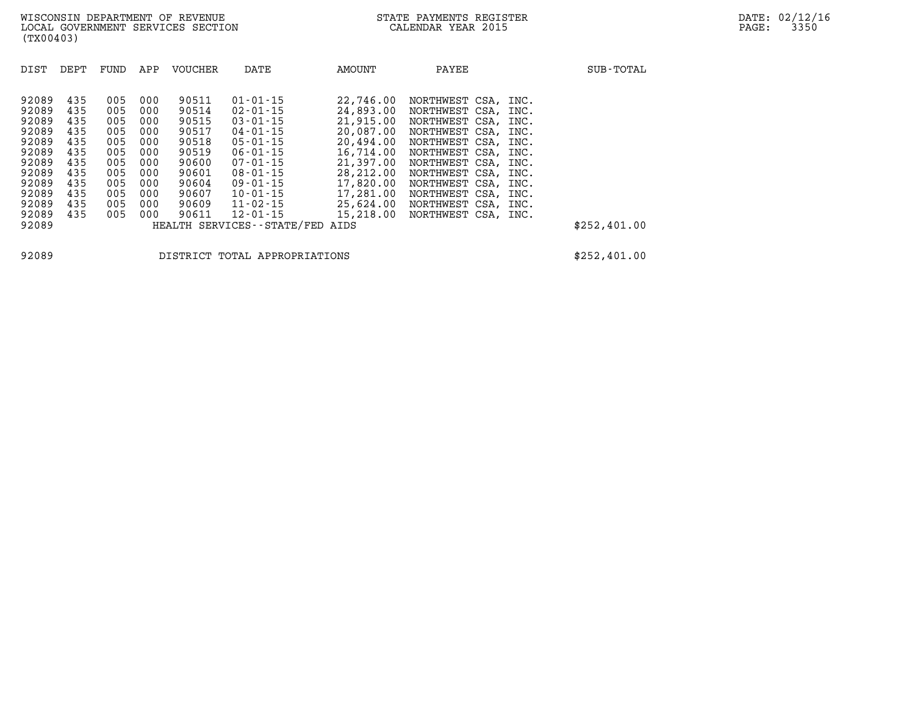| DIST           | DEPT       | FUND       | APP        | <b>VOUCHER</b> | DATE                                         | <b>AMOUNT</b>          | PAYEE                                 |      | SUB-TOTAL    |
|----------------|------------|------------|------------|----------------|----------------------------------------------|------------------------|---------------------------------------|------|--------------|
| 92089          | 435        | 005        | 000        | 90511          | $01 - 01 - 15$                               | 22,746.00              | NORTHWEST CSA, INC.                   |      |              |
| 92089<br>92089 | 435<br>435 | 005<br>005 | 000<br>000 | 90514<br>90515 | $02 - 01 - 15$<br>$03 - 01 - 15$             | 24,893.00<br>21,915.00 | NORTHWEST CSA,<br>NORTHWEST CSA, INC. | INC. |              |
| 92089<br>92089 | 435<br>435 | 005<br>005 | 000<br>000 | 90517<br>90518 | 04-01-15<br>$05 - 01 - 15$                   | 20,087.00<br>20,494.00 | NORTHWEST CSA,<br>NORTHWEST CSA, INC. | INC. |              |
| 92089          | 435        | 005        | 000        | 90519          | $06 - 01 - 15$                               | 16,714.00              | NORTHWEST CSA,                        | INC. |              |
| 92089<br>92089 | 435<br>435 | 005<br>005 | 000<br>000 | 90600<br>90601 | $07 - 01 - 15$<br>$08 - 01 - 15$             | 21,397.00<br>28,212.00 | NORTHWEST CSA, INC.<br>NORTHWEST CSA, | INC. |              |
| 92089<br>92089 | 435<br>435 | 005<br>005 | 000<br>000 | 90604<br>90607 | 09-01-15<br>$10 - 01 - 15$                   | 17,820.00<br>17,281.00 | NORTHWEST CSA, INC.<br>NORTHWEST CSA, | INC. |              |
| 92089          | 435        | 005        | 000        | 90609          | $11 - 02 - 15$                               | 25,624.00              | NORTHWEST CSA, INC.                   |      |              |
| 92089<br>92089 | 435        | 005        | 000        | 90611          | $12 - 01 - 15$<br>HEALTH SERVICES--STATE/FED | 15,218.00<br>AIDS      | NORTHWEST CSA, INC.                   |      | \$252,401.00 |
|                |            |            |            |                |                                              |                        |                                       |      |              |

**92089 DISTRICT TOTAL APPROPRIATIONS \$252,401.00**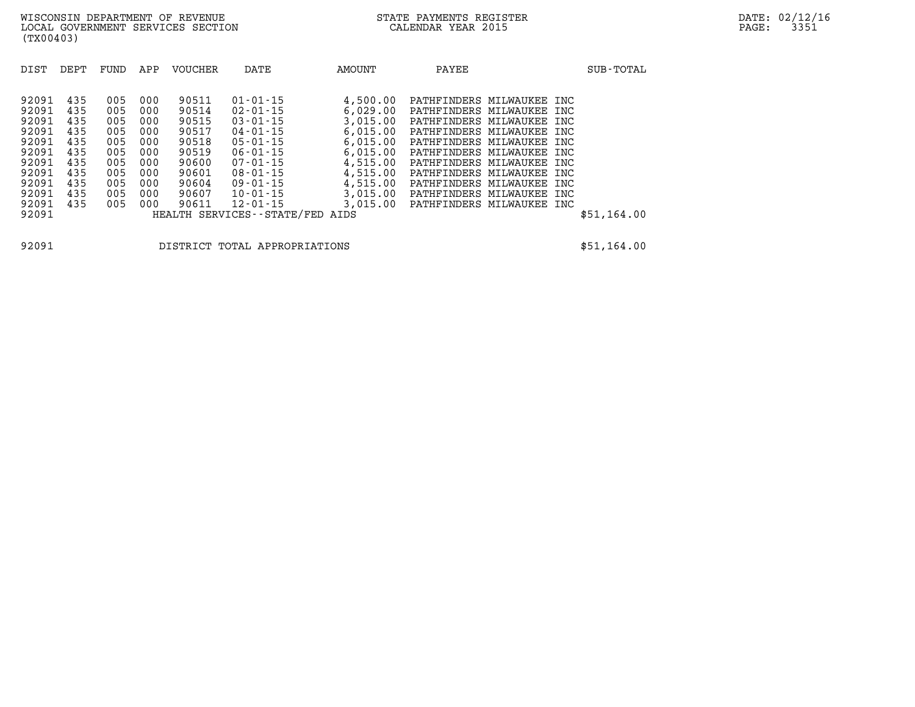| ل 1 ± <i>∪ ∆ ل</i> |     | , v v v | vvv | ノ リ ノ エ コ | ىد ⊥ بەن                        | 0,042.00 | IAIIII INDERO MILDMAOREE INC       |  |             |
|--------------------|-----|---------|-----|-----------|---------------------------------|----------|------------------------------------|--|-------------|
| 92091              | 435 | 005     | 000 | 90515     | 03-01-15                        | 3,015.00 | PATHFINDERS MILWAUKEE INC          |  |             |
| 92091              | 435 | 005     | 000 | 90517     | 04-01-15                        | 6,015.00 | PATHFINDERS MILWAUKEE INC          |  |             |
| 92091              | 435 | 005     | 000 | 90518     | 05-01-15                        | 6,015.00 | PATHFINDERS MILWAUKEE INC          |  |             |
| 92091              | 435 | 005     | 000 | 90519     | 06-01-15                        | 6,015.00 | PATHFINDERS MILWAUKEE INC          |  |             |
| 92091              | 435 | 005     | 000 | 90600     | 07-01-15                        | 4,515.00 | PATHFINDERS MILWAUKEE INC          |  |             |
| 92091              | 435 | 005     | 000 | 90601     | 08-01-15                        | 4,515.00 | PATHFINDERS MILWAUKEE INC          |  |             |
| 92091              | 435 | 005     | 000 | 90604     | 09-01-15                        | 4,515.00 | PATHFINDERS MILWAUKEE INC          |  |             |
| 92091              | 435 | 005     | 000 | 90607     | 10-01-15                        | 3,015.00 | PATHFINDERS MILWAUKEE INC          |  |             |
| 92091              | 435 | 005     | 000 | 90611     | 12-01-15                        |          | 3,015.00 PATHFINDERS MILWAUKEE INC |  |             |
| 92091              |     |         |     |           | HEALTH SERVICES--STATE/FED AIDS |          |                                    |  | \$51,164.00 |
|                    |     |         |     |           |                                 |          |                                    |  |             |

**92091 DISTRICT TOTAL APPROPRIATIONS \$51,164.00**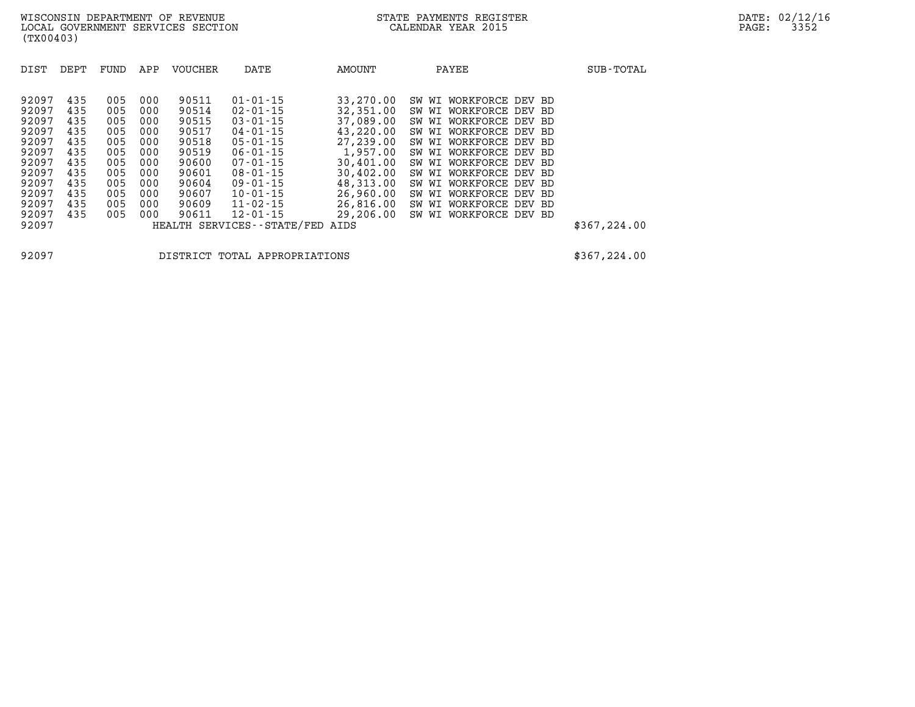| DIST                                                                                                              | DEPT                                                                             | FUND                                                                             | APP                                                                              | <b>VOUCHER</b>                                                                                           | DATE                                                                                                                                                                                                                                               | <b>AMOUNT</b>                                                                                                                                                   | PAYEE                                                                                                                                                                                                                                                                                                                                                             | SUB-TOTAL     |
|-------------------------------------------------------------------------------------------------------------------|----------------------------------------------------------------------------------|----------------------------------------------------------------------------------|----------------------------------------------------------------------------------|----------------------------------------------------------------------------------------------------------|----------------------------------------------------------------------------------------------------------------------------------------------------------------------------------------------------------------------------------------------------|-----------------------------------------------------------------------------------------------------------------------------------------------------------------|-------------------------------------------------------------------------------------------------------------------------------------------------------------------------------------------------------------------------------------------------------------------------------------------------------------------------------------------------------------------|---------------|
| 92097<br>92097<br>92097<br>92097<br>92097<br>92097<br>92097<br>92097<br>92097<br>92097<br>92097<br>92097<br>92097 | 435<br>435<br>435<br>435<br>435<br>435<br>435<br>435<br>435<br>435<br>435<br>435 | 005<br>005<br>005<br>005<br>005<br>005<br>005<br>005<br>005<br>005<br>005<br>005 | 000<br>000<br>000<br>000<br>000<br>000<br>000<br>000<br>000<br>000<br>000<br>000 | 90511<br>90514<br>90515<br>90517<br>90518<br>90519<br>90600<br>90601<br>90604<br>90607<br>90609<br>90611 | $01 - 01 - 15$<br>$02 - 01 - 15$<br>$03 - 01 - 15$<br>$04 - 01 - 15$<br>$05 - 01 - 15$<br>$06 - 01 - 15$<br>$07 - 01 - 15$<br>$08 - 01 - 15$<br>$09 - 01 - 15$<br>$10 - 01 - 15$<br>$11 - 02 - 15$<br>$12 - 01 - 15$<br>HEALTH SERVICES--STATE/FED | 33,270.00<br>32,351.00<br>37,089.00<br>43,220.00<br>27,239.00<br>1,957.00<br>30,401.00<br>30,402.00<br>48,313.00<br>26,960.00<br>26,816.00<br>29,206.00<br>AIDS | WORKFORCE<br>SW WI<br>DEV BD<br>WORKFORCE DEV BD<br>SW WI<br>WORKFORCE DEV BD<br>SW WI<br>WORKFORCE DEV BD<br>SW WI<br>WORKFORCE DEV BD<br>SW WI<br>WORKFORCE<br>SW WI<br>DEV BD<br>WORKFORCE DEV BD<br>SW WI<br>WORKFORCE DEV BD<br>SW WI<br>WORKFORCE DEV BD<br>SW WI<br>WORKFORCE DEV BD<br>SW WI<br>WORKFORCE<br>SW WI<br>DEV BD<br>WORKFORCE DEV BD<br>SW WI | \$367, 224.00 |
|                                                                                                                   |                                                                                  |                                                                                  |                                                                                  |                                                                                                          |                                                                                                                                                                                                                                                    |                                                                                                                                                                 |                                                                                                                                                                                                                                                                                                                                                                   |               |

**92097 DISTRICT TOTAL APPROPRIATIONS \$367,224.00**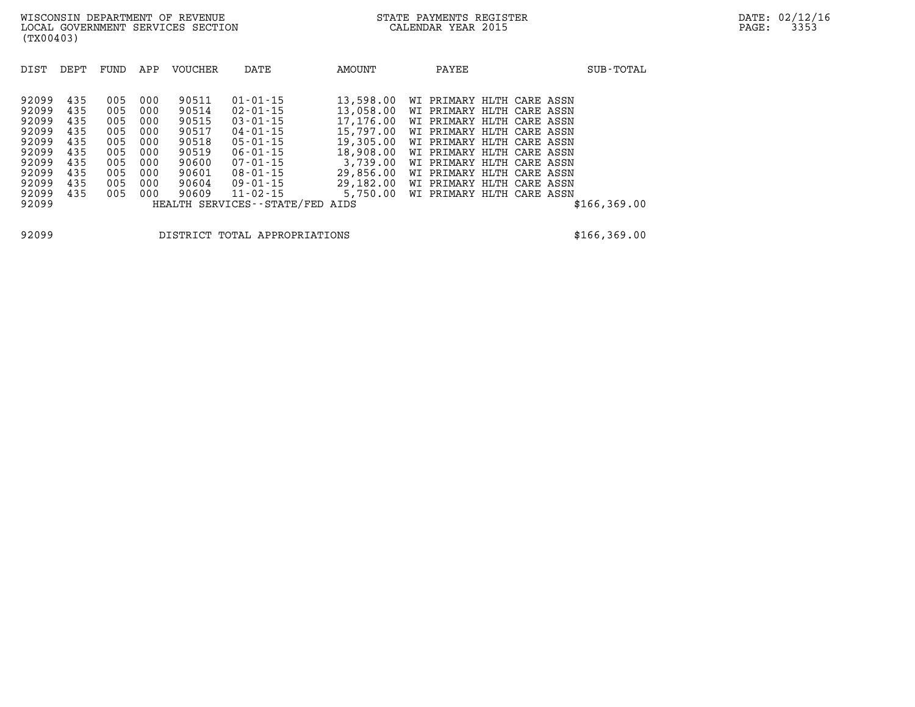| DIST           | DEPT | FUND | APP | VOUCHER | DATE                                            | AMOUNT           | PAYEE                     | SUB-TOTAL    |
|----------------|------|------|-----|---------|-------------------------------------------------|------------------|---------------------------|--------------|
| 92099          | 435  | 005  | 000 | 90511   | $01 - 01 - 15$                                  | 13,598.00        | WI PRIMARY HLTH CARE ASSN |              |
| 92099          | 435  | 005  | 000 | 90514   | 02-01-15                                        | 13,058.00        | WI PRIMARY HLTH CARE ASSN |              |
| 92099          | 435  | 005  | 000 | 90515   | $03 - 01 - 15$                                  | 17,176.00        | WI PRIMARY HLTH CARE ASSN |              |
| 92099          | 435  | 005  | 000 | 90517   | $04 - 01 - 15$                                  | 15,797.00        | WI PRIMARY HLTH CARE ASSN |              |
| 92099          | 435  | 005  | 000 | 90518   | $05 - 01 - 15$                                  | 19,305.00        | WI PRIMARY HLTH CARE ASSN |              |
| 92099          | 435  | 005  | 000 | 90519   | $06 - 01 - 15$                                  | 18,908.00        | WI PRIMARY HLTH CARE ASSN |              |
| 92099          | 435  | 005  | 000 | 90600   | $07 - 01 - 15$                                  | 3,739.00         | WI PRIMARY HLTH CARE ASSN |              |
| 92099          | 435  | 005  | 000 | 90601   | 08-01-15                                        | 29,856.00        | WI PRIMARY HLTH CARE ASSN |              |
| 92099          | 435  | 005  | 000 | 90604   | $09 - 01 - 15$                                  | 29,182.00        | WI PRIMARY HLTH CARE ASSN |              |
| 92099<br>92099 | 435  | 005  | 000 | 90609   | $11 - 02 - 15$<br>HEALTH SERVICES - - STATE/FED | 5,750.00<br>AIDS | WI PRIMARY HLTH CARE ASSN | \$166,369.00 |

**92099 DISTRICT TOTAL APPROPRIATIONS \$166,369.00**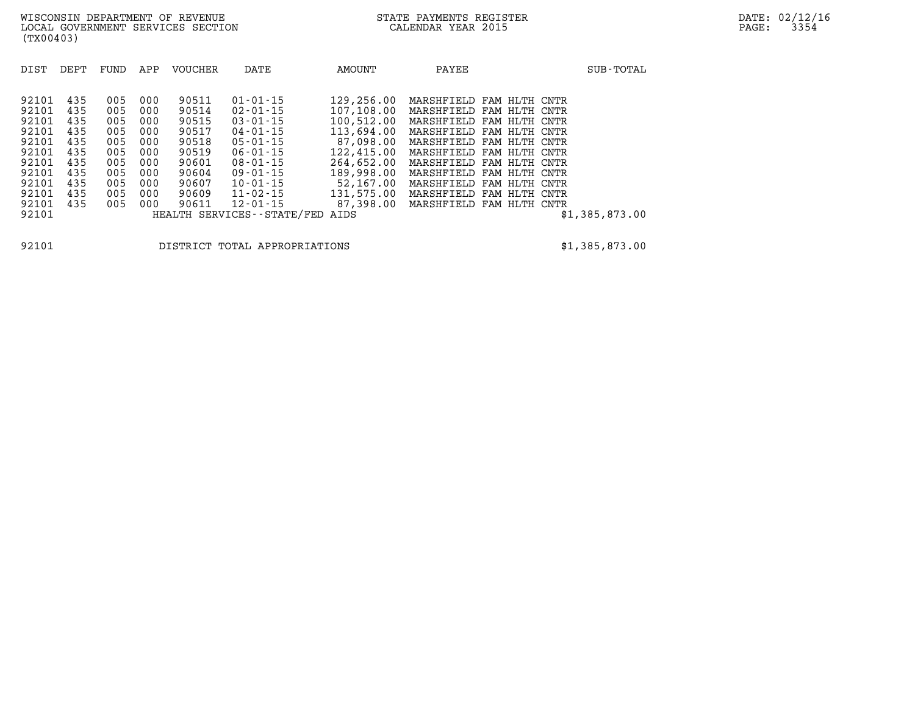| DIST                                                                                                     | DEPT                                                                      | FUND                                                                      | APP                                                                       | <b>VOUCHER</b>                                                                                  | DATE                                                                                                                                                                                                                 | AMOUNT                                                                                                                                                      | PAYEE                                                                                                                                                                                                                                                                                                       | SUB-TOTAL              |
|----------------------------------------------------------------------------------------------------------|---------------------------------------------------------------------------|---------------------------------------------------------------------------|---------------------------------------------------------------------------|-------------------------------------------------------------------------------------------------|----------------------------------------------------------------------------------------------------------------------------------------------------------------------------------------------------------------------|-------------------------------------------------------------------------------------------------------------------------------------------------------------|-------------------------------------------------------------------------------------------------------------------------------------------------------------------------------------------------------------------------------------------------------------------------------------------------------------|------------------------|
| 92101<br>92101<br>92101<br>92101<br>92101<br>92101<br>92101<br>92101<br>92101<br>92101<br>92101<br>92101 | 435<br>435<br>435<br>435<br>435<br>435<br>435<br>435<br>435<br>435<br>435 | 005<br>005<br>005<br>005<br>005<br>005<br>005<br>005<br>005<br>005<br>005 | 000<br>000<br>000<br>000<br>000<br>000<br>000<br>000<br>000<br>000<br>000 | 90511<br>90514<br>90515<br>90517<br>90518<br>90519<br>90601<br>90604<br>90607<br>90609<br>90611 | $01 - 01 - 15$<br>$02 - 01 - 15$<br>$03 - 01 - 15$<br>04-01-15<br>$05 - 01 - 15$<br>$06 - 01 - 15$<br>08-01-15<br>$09 - 01 - 15$<br>$10 - 01 - 15$<br>$11 - 02 - 15$<br>$12 - 01 - 15$<br>HEALTH SERVICES--STATE/FED | 129,256.00<br>107,108.00<br>100,512.00<br>113,694.00<br>87,098.00<br>122,415.00<br>264,652.00<br>189,998.00<br>52,167.00<br>131,575.00<br>87,398.00<br>AIDS | MARSHFIELD FAM HLTH CNTR<br>MARSHFIELD FAM HLTH CNTR<br>MARSHFIELD FAM HLTH CNTR<br>MARSHFIELD FAM HLTH CNTR<br>MARSHFIELD FAM HLTH CNTR<br>MARSHFIELD FAM HLTH CNTR<br>MARSHFIELD FAM HLTH CNTR<br>MARSHFIELD FAM HLTH<br>MARSHFIELD FAM HLTH CNTR<br>MARSHFIELD FAM HLTH CNTR<br>MARSHFIELD FAM HLTH CNTR | CNTR<br>\$1,385,873.00 |

**92101 DISTRICT TOTAL APPROPRIATIONS \$1,385,873.00**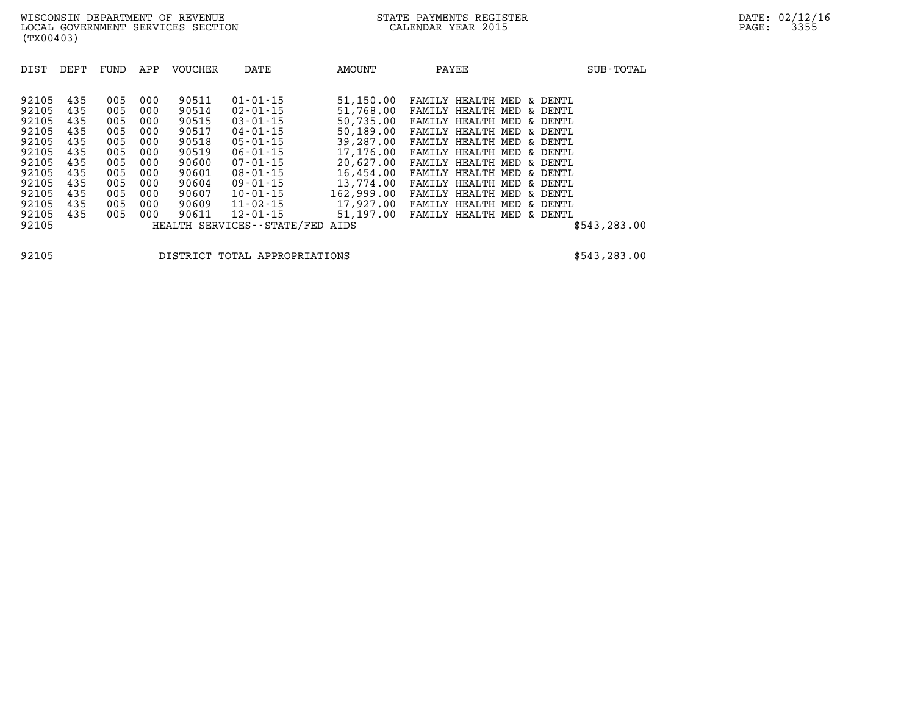| DIST<br>DEPT                                                                                                                                                                                          | FUND                                                                             | APP                                                                              | <b>VOUCHER</b>                                                                                           | DATE                                                                                                                                                                                                                                                  | AMOUNT                                                                                                                                                            | PAYEE                                                                                                                                                                                                                                         |                                                                                                                                                                                                                             | SUB-TOTAL     |
|-------------------------------------------------------------------------------------------------------------------------------------------------------------------------------------------------------|----------------------------------------------------------------------------------|----------------------------------------------------------------------------------|----------------------------------------------------------------------------------------------------------|-------------------------------------------------------------------------------------------------------------------------------------------------------------------------------------------------------------------------------------------------------|-------------------------------------------------------------------------------------------------------------------------------------------------------------------|-----------------------------------------------------------------------------------------------------------------------------------------------------------------------------------------------------------------------------------------------|-----------------------------------------------------------------------------------------------------------------------------------------------------------------------------------------------------------------------------|---------------|
| 92105<br>435<br>92105<br>435<br>92105<br>435<br>92105<br>435<br>92105<br>435<br>92105<br>435<br>92105<br>435<br>92105<br>435<br>435<br>92105<br>435<br>92105<br>92105<br>435<br>92105<br>435<br>92105 | 005<br>005<br>005<br>005<br>005<br>005<br>005<br>005<br>005<br>005<br>005<br>005 | 000<br>000<br>000<br>000<br>000<br>000<br>000<br>000<br>000<br>000<br>000<br>000 | 90511<br>90514<br>90515<br>90517<br>90518<br>90519<br>90600<br>90601<br>90604<br>90607<br>90609<br>90611 | $01 - 01 - 15$<br>$02 - 01 - 15$<br>$03 - 01 - 15$<br>$04 - 01 - 15$<br>$05 - 01 - 15$<br>$06 - 01 - 15$<br>$07 - 01 - 15$<br>$08 - 01 - 15$<br>$09 - 01 - 15$<br>$10 - 01 - 15$<br>$11 - 02 - 15$<br>$12 - 01 - 15$<br>HEALTH SERVICES - - STATE/FED | 51,150.00<br>51,768.00<br>50,735.00<br>50,189.00<br>39,287.00<br>17,176.00<br>20,627.00<br>16,454.00<br>13,774.00<br>162,999.00<br>17,927.00<br>51,197.00<br>AIDS | FAMILY<br>HEALTH MED<br>FAMILY<br>HEALTH<br>FAMILY<br>HEALTH<br>HEALTH<br>FAMILY<br>FAMILY<br>HEALTH<br>FAMILY HEALTH<br>FAMILY<br>HEALTH<br>FAMILY<br>HEALTH<br>FAMILY<br>HEALTH<br>FAMILY<br>HEALTH<br>FAMILY<br>HEALTH<br>FAMILY<br>HEALTH | & DENTL<br>DENTL<br>MED<br>δc<br>DENTL<br>MED<br>δc<br>DENTL<br>MED.<br>δc<br>MED<br>& DENTL<br>MED<br>& DENTL<br>& DENTL<br>MED<br>& DENTL<br>MED<br>& DENTL<br>MED<br>MED<br>& DENTL<br>MF.D<br>& DENTL<br>MED<br>& DENTL | \$543, 283.00 |

**92105 DISTRICT TOTAL APPROPRIATIONS \$543,283.00**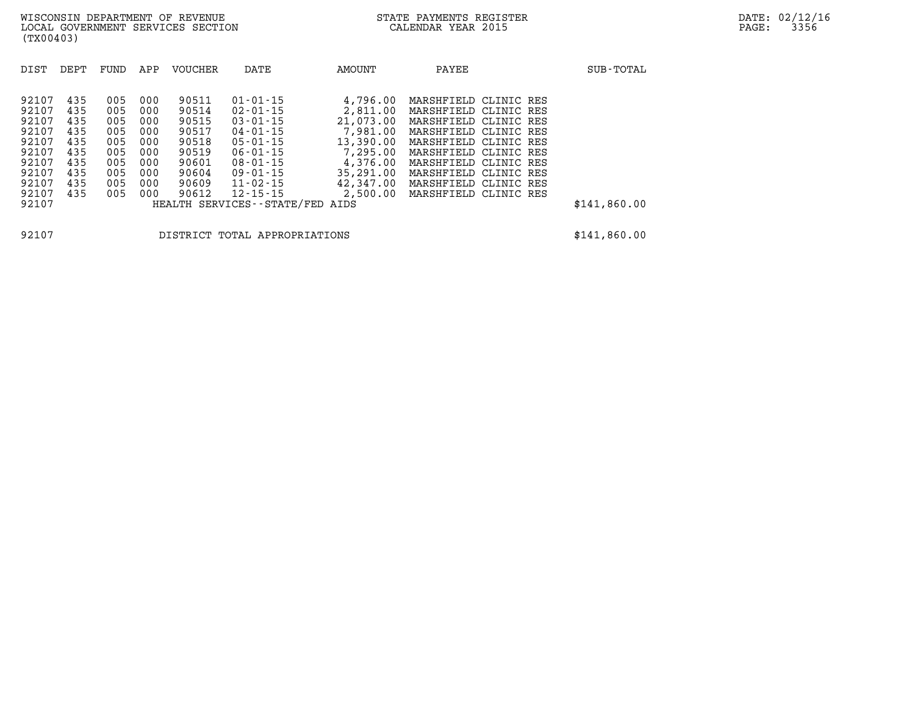| DIST                                                                 | DEPT                                                 | FUND                                                 | APP                                                  | <b>VOUCHER</b>                                                       | DATE                                                                                                                             | AMOUNT                                                                                          | PAYEE                                                                                                                                                                                                | SUB-TOTAL    |
|----------------------------------------------------------------------|------------------------------------------------------|------------------------------------------------------|------------------------------------------------------|----------------------------------------------------------------------|----------------------------------------------------------------------------------------------------------------------------------|-------------------------------------------------------------------------------------------------|------------------------------------------------------------------------------------------------------------------------------------------------------------------------------------------------------|--------------|
| 92107<br>92107<br>92107<br>92107<br>92107<br>92107<br>92107<br>92107 | 435<br>435<br>435<br>435<br>435<br>435<br>435<br>435 | 005<br>005<br>005<br>005<br>005<br>005<br>005<br>005 | 000<br>000<br>000<br>000<br>000<br>000<br>000<br>000 | 90511<br>90514<br>90515<br>90517<br>90518<br>90519<br>90601<br>90604 | $01 - 01 - 15$<br>$02 - 01 - 15$<br>$03 - 01 - 15$<br>04-01-15<br>$05 - 01 - 15$<br>$06 - 01 - 15$<br>$08 - 01 - 15$<br>09-01-15 | 4,796.00<br>2,811.00<br>21,073.00<br>7,981.00<br>13,390.00<br>7,295.00<br>4,376.00<br>35,291.00 | MARSHFIELD CLINIC RES<br>MARSHFIELD CLINIC RES<br>MARSHFIELD CLINIC RES<br>MARSHFIELD CLINIC RES<br>MARSHFIELD CLINIC RES<br>MARSHFIELD CLINIC RES<br>MARSHFIELD CLINIC RES<br>MARSHFIELD CLINIC RES |              |
| 92107<br>92107                                                       | 435<br>435                                           | 005<br>005                                           | 000<br>000                                           | 90609<br>90612                                                       | 11-02-15<br>12 - 15 - 15                                                                                                         | 42,347.00<br>2,500.00                                                                           | MARSHFIELD CLINIC RES<br>MARSHFIELD CLINIC RES                                                                                                                                                       |              |
| 92107                                                                |                                                      |                                                      |                                                      |                                                                      | HEALTH SERVICES--STATE/FED AIDS                                                                                                  |                                                                                                 |                                                                                                                                                                                                      | \$141,860.00 |

**92107 DISTRICT TOTAL APPROPRIATIONS \$141,860.00**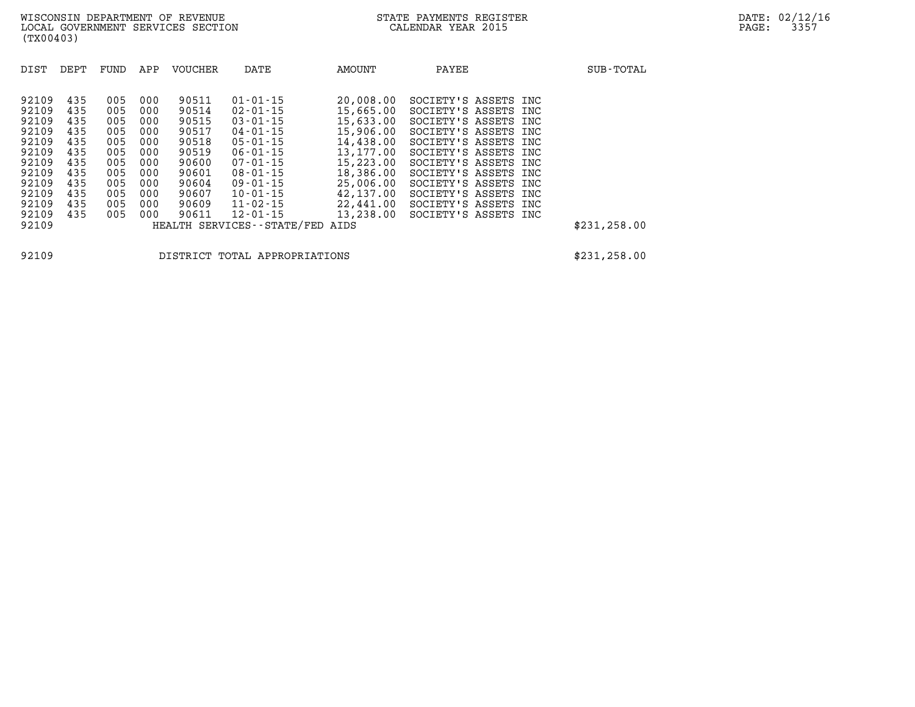| DIST  | DEPT | FUND | APP | <b>VOUCHER</b> | DATE                       | AMOUNT    | PAYEE                | SUB-TOTAL     |
|-------|------|------|-----|----------------|----------------------------|-----------|----------------------|---------------|
| 92109 | 435  | 005  | 000 | 90511          | $01 - 01 - 15$             | 20,008.00 | SOCIETY'S ASSETS INC |               |
| 92109 | 435  | 005  | 000 | 90514          | $02 - 01 - 15$             | 15,665.00 | SOCIETY'S ASSETS INC |               |
| 92109 | 435  | 005  | 000 | 90515          | $03 - 01 - 15$             | 15,633.00 | SOCIETY'S ASSETS INC |               |
| 92109 | 435  | 005  | 000 | 90517          | $04 - 01 - 15$             | 15,906.00 | SOCIETY'S ASSETS INC |               |
| 92109 | 435  | 005  | 000 | 90518          | $05 - 01 - 15$             | 14,438.00 | SOCIETY'S ASSETS INC |               |
| 92109 | 435  | 005  | 000 | 90519          | $06 - 01 - 15$             | 13,177.00 | SOCIETY'S ASSETS INC |               |
| 92109 | 435  | 005  | 000 | 90600          | $07 - 01 - 15$             | 15,223.00 | SOCIETY'S ASSETS INC |               |
| 92109 | 435  | 005  | 000 | 90601          | $08 - 01 - 15$             | 18,386.00 | SOCIETY'S ASSETS INC |               |
| 92109 | 435  | 005  | 000 | 90604          | 09-01-15                   | 25,006.00 | SOCIETY'S ASSETS INC |               |
| 92109 | 435  | 005  | 000 | 90607          | $10 - 01 - 15$             | 42,137.00 | SOCIETY'S ASSETS INC |               |
| 92109 | 435  | 005  | 000 | 90609          | $11 - 02 - 15$             | 22,441.00 | SOCIETY'S ASSETS INC |               |
| 92109 | 435  | 005  | 000 | 90611          | $12 - 01 - 15$             | 13,238.00 | SOCIETY'S ASSETS INC |               |
| 92109 |      |      |     |                | HEALTH SERVICES--STATE/FED | AIDS      |                      | \$231, 258.00 |

**92109 DISTRICT TOTAL APPROPRIATIONS \$231,258.00**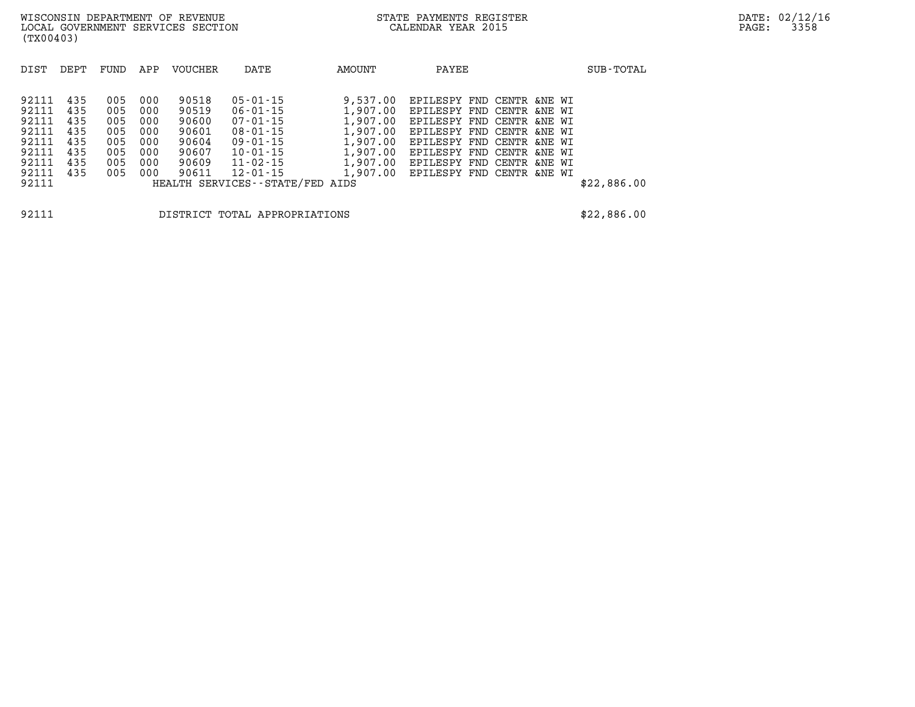| DIST  | DEPT | FUND | APP | <b>VOUCHER</b> | DATE                            | AMOUNT   | PAYEE                              |  | SUB-TOTAL   |
|-------|------|------|-----|----------------|---------------------------------|----------|------------------------------------|--|-------------|
|       |      |      |     |                |                                 |          |                                    |  |             |
| 92111 | 435  | 005  | 000 | 90518          | $05 - 01 - 15$                  | 9,537.00 | EPILESPY FND CENTR &NE WI          |  |             |
| 92111 | 435  | 005  | 000 | 90519          | 06-01-15                        | 1,907.00 | EPILESPY FND CENTR &NE WI          |  |             |
| 92111 | 435  | 005  | 000 | 90600          | 07-01-15                        | 1,907.00 | EPILESPY FND CENTR &NE WI          |  |             |
| 92111 | 435  | 005  | 000 | 90601          | $08 - 01 - 15$                  |          | 1,907.00 EPILESPY FND CENTR &NE WI |  |             |
| 92111 | 435  | 005  | 000 | 90604          | 09-01-15                        | 1,907.00 | EPILESPY FND CENTR &NE WI          |  |             |
| 92111 | 435  | 005  | 000 | 90607          | $10 - 01 - 15$                  | 1,907.00 | EPILESPY FND CENTR &NE WI          |  |             |
| 92111 | 435  | 005  | 000 | 90609          | 11-02-15                        |          | 1,907.00 EPILESPY FND CENTR &NE WI |  |             |
| 92111 | 435  | 005  | 000 | 90611          | 12-01-15                        |          | 1,907.00 EPILESPY FND CENTR &NE WI |  |             |
| 92111 |      |      |     |                | HEALTH SERVICES--STATE/FED AIDS |          |                                    |  | \$22,886.00 |
|       |      |      |     |                |                                 |          |                                    |  |             |
| 92111 |      |      |     |                | DISTRICT TOTAL APPROPRIATIONS   |          |                                    |  | \$22,886.00 |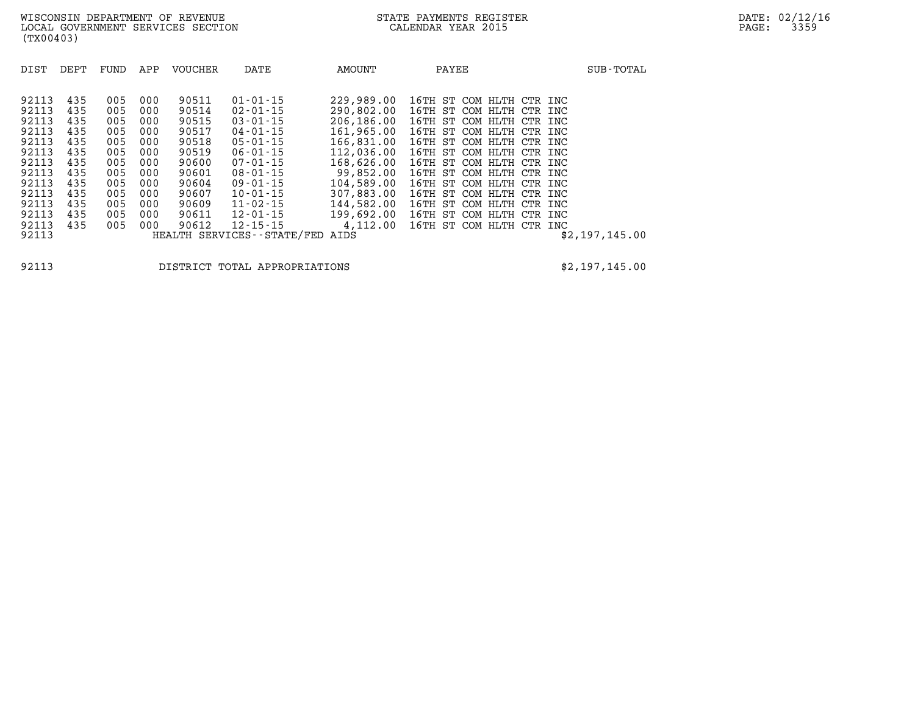| DIST                                                                                            | DEPT                                                                      | FUND                                                                      | APP                                                                       | VOUCHER                                                                                         | DATE                                                                                                                                                                                               | AMOUNT                                                                                                                                                | PAYEE                                                                                                                                                                                                                                                                                                                              | SUB-TOTAL      |
|-------------------------------------------------------------------------------------------------|---------------------------------------------------------------------------|---------------------------------------------------------------------------|---------------------------------------------------------------------------|-------------------------------------------------------------------------------------------------|----------------------------------------------------------------------------------------------------------------------------------------------------------------------------------------------------|-------------------------------------------------------------------------------------------------------------------------------------------------------|------------------------------------------------------------------------------------------------------------------------------------------------------------------------------------------------------------------------------------------------------------------------------------------------------------------------------------|----------------|
| 92113<br>92113<br>92113<br>92113<br>92113<br>92113<br>92113<br>92113<br>92113<br>92113<br>92113 | 435<br>435<br>435<br>435<br>435<br>435<br>435<br>435<br>435<br>435<br>435 | 005<br>005<br>005<br>005<br>005<br>005<br>005<br>005<br>005<br>005<br>005 | 000<br>000<br>000<br>000<br>000<br>000<br>000<br>000<br>000<br>000<br>000 | 90511<br>90514<br>90515<br>90517<br>90518<br>90519<br>90600<br>90601<br>90604<br>90607<br>90609 | $01 - 01 - 15$<br>$02 - 01 - 15$<br>$03 - 01 - 15$<br>$04 - 01 - 15$<br>$05 - 01 - 15$<br>$06 - 01 - 15$<br>$07 - 01 - 15$<br>$08 - 01 - 15$<br>$09 - 01 - 15$<br>$10 - 01 - 15$<br>$11 - 02 - 15$ | 229,989,00<br>290,802.00<br>206,186.00<br>161,965.00<br>166,831.00<br>112,036.00<br>168,626.00<br>99,852.00<br>104,589.00<br>307,883.00<br>144,582.00 | 16TH ST COM HLTH CTR INC<br>16TH ST COM HLTH CTR INC<br>16TH ST COM HLTH CTR INC<br>16TH ST COM HLTH CTR INC<br>16TH ST COM HLTH CTR INC<br>16TH ST COM HLTH CTR INC<br>16TH ST COM HLTH CTR INC<br>16TH ST COM HLTH CTR<br>INC<br>16TH<br>ST COM HLTH<br>CTR<br>INC<br>16TH ST COM HLTH CTR<br>INC<br>16TH ST COM HLTH CTR<br>INC |                |
| 92113<br>92113<br>92113                                                                         | 435<br>435                                                                | 005<br>005                                                                | 000<br>000                                                                | 90611<br>90612                                                                                  | $12 - 01 - 15$<br>$12 - 15 - 15$<br>HEALTH SERVICES--STATE/FED AIDS                                                                                                                                | 199,692.00<br>4,112.00                                                                                                                                | 16TH ST COM HLTH CTR INC<br>16TH ST COM HLTH CTR INC                                                                                                                                                                                                                                                                               | \$2,197,145.00 |

**92113 DISTRICT TOTAL APPROPRIATIONS \$2,197,145.00**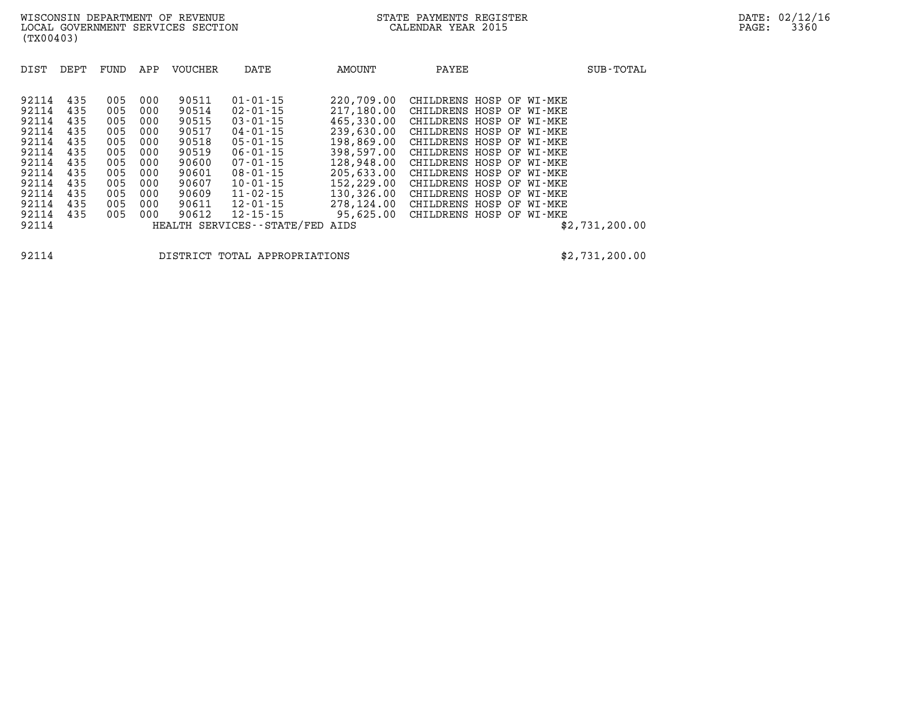| DIST  | DEPT | FUND | APP | VOUCHER | DATE                       | AMOUNT     | PAYEE                    |  | SUB-TOTAL      |
|-------|------|------|-----|---------|----------------------------|------------|--------------------------|--|----------------|
|       |      |      |     |         |                            |            |                          |  |                |
| 92114 | 435  | 005  | 000 | 90511   | $01 - 01 - 15$             | 220,709.00 | CHILDRENS HOSP OF WI-MKE |  |                |
| 92114 | 435  | 005  | 000 | 90514   | $02 - 01 - 15$             | 217,180.00 | CHILDRENS HOSP OF WI-MKE |  |                |
| 92114 | 435  | 005  | 000 | 90515   | $03 - 01 - 15$             | 465,330.00 | CHILDRENS HOSP OF WI-MKE |  |                |
| 92114 | 435  | 005  | 000 | 90517   | 04-01-15                   | 239,630.00 | CHILDRENS HOSP OF WI-MKE |  |                |
| 92114 | 435  | 005  | 000 | 90518   | 05-01-15                   | 198,869.00 | CHILDRENS HOSP OF WI-MKE |  |                |
| 92114 | 435  | 005  | 000 | 90519   | 06-01-15                   | 398,597.00 | CHILDRENS HOSP OF WI-MKE |  |                |
| 92114 | 435  | 005  | 000 | 90600   | 07-01-15                   | 128,948.00 | CHILDRENS HOSP OF WI-MKE |  |                |
| 92114 | 435  | 005  | 000 | 90601   | 08-01-15                   | 205,633,00 | CHILDRENS HOSP OF WI-MKE |  |                |
| 92114 | 435  | 005  | 000 | 90607   | $10 - 01 - 15$             | 152,229.00 | CHILDRENS HOSP OF WI-MKE |  |                |
| 92114 | 435  | 005  | 000 | 90609   | 11-02-15                   | 130,326.00 | CHILDRENS HOSP OF WI-MKE |  |                |
| 92114 | 435  | 005  | 000 | 90611   | 12-01-15                   | 278,124.00 | CHILDRENS HOSP OF WI-MKE |  |                |
| 92114 | 435  | 005  | 000 | 90612   | 12-15-15                   | 95,625.00  | CHILDRENS HOSP OF WI-MKE |  |                |
| 92114 |      |      |     |         | HEALTH SERVICES--STATE/FED | AIDS       |                          |  | \$2,731,200.00 |

**92114 DISTRICT TOTAL APPROPRIATIONS \$2,731,200.00**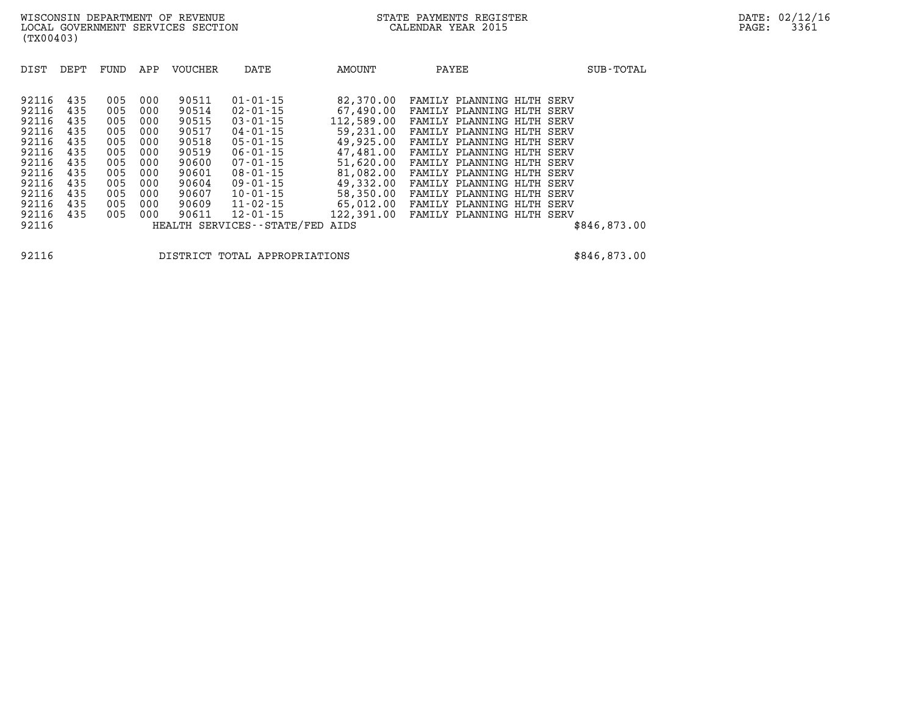| (TX00403)                                                                                                         |                                                                                  |                                                                                  |                                                                                  |                                                                                                          |                                                                                                                                                                                                                         |                                                                                                                                                                    |       |                                                                                                                                                                                                                                                                                                                            |      |                                      |              |
|-------------------------------------------------------------------------------------------------------------------|----------------------------------------------------------------------------------|----------------------------------------------------------------------------------|----------------------------------------------------------------------------------|----------------------------------------------------------------------------------------------------------|-------------------------------------------------------------------------------------------------------------------------------------------------------------------------------------------------------------------------|--------------------------------------------------------------------------------------------------------------------------------------------------------------------|-------|----------------------------------------------------------------------------------------------------------------------------------------------------------------------------------------------------------------------------------------------------------------------------------------------------------------------------|------|--------------------------------------|--------------|
| DIST                                                                                                              | DEPT                                                                             | FUND                                                                             | APP                                                                              | <b>VOUCHER</b>                                                                                           | DATE                                                                                                                                                                                                                    | AMOUNT                                                                                                                                                             | PAYEE |                                                                                                                                                                                                                                                                                                                            |      |                                      | SUB-TOTAL    |
| 92116<br>92116<br>92116<br>92116<br>92116<br>92116<br>92116<br>92116<br>92116<br>92116<br>92116<br>92116<br>92116 | 435<br>435<br>435<br>435<br>435<br>435<br>435<br>435<br>435<br>435<br>435<br>435 | 005<br>005<br>005<br>005<br>005<br>005<br>005<br>005<br>005<br>005<br>005<br>005 | 000<br>000<br>000<br>000<br>000<br>000<br>000<br>000<br>000<br>000<br>000<br>000 | 90511<br>90514<br>90515<br>90517<br>90518<br>90519<br>90600<br>90601<br>90604<br>90607<br>90609<br>90611 | $01 - 01 - 15$<br>$02 - 01 - 15$<br>$03 - 01 - 15$<br>04-01-15<br>05-01-15<br>06-01-15<br>07-01-15<br>$08 - 01 - 15$<br>$09 - 01 - 15$<br>$10 - 01 - 15$<br>$11 - 02 - 15$<br>12-01-15<br>HEALTH SERVICES - - STATE/FED | 82,370.00<br>67,490.00<br>112,589.00<br>59,231.00<br>49,925.00<br>47,481.00<br>51,620.00<br>81,082.00<br>49,332.00<br>58,350.00<br>65,012.00<br>122,391.00<br>AIDS |       | FAMILY PLANNING HLTH SERV<br>FAMILY PLANNING HLTH SERV<br>FAMILY PLANNING HLTH SERV<br>FAMILY PLANNING HLTH<br>FAMILY PLANNING HLTH<br>FAMILY PLANNING HLTH SERV<br>FAMILY PLANNING HLTH SERV<br>FAMILY PLANNING HLTH SERV<br>FAMILY PLANNING HLTH<br>FAMILY PLANNING HLTH<br>FAMILY PLANNING<br>FAMILY PLANNING HLTH SERV | HLTH | SERV<br>SERV<br>SERV<br>SERV<br>SERV | \$846,873.00 |
|                                                                                                                   |                                                                                  |                                                                                  |                                                                                  |                                                                                                          |                                                                                                                                                                                                                         |                                                                                                                                                                    |       |                                                                                                                                                                                                                                                                                                                            |      |                                      |              |

**92116 DISTRICT TOTAL APPROPRIATIONS \$846,873.00**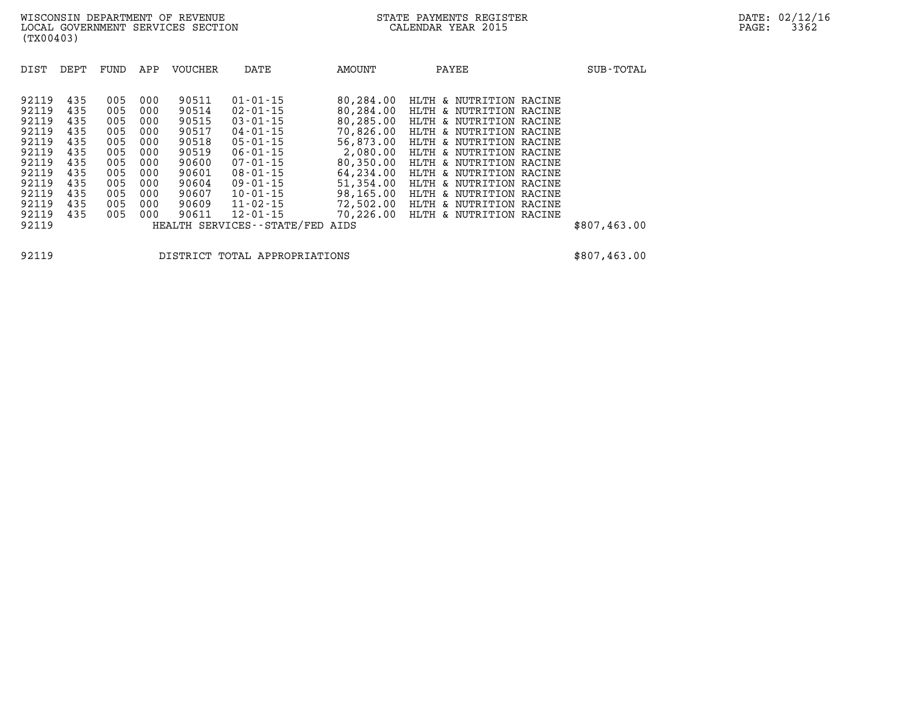| DIST  | DEPT | FUND | APP | <b>VOUCHER</b> | DATE                          | AMOUNT    | PAYEE                   | SUB-TOTAL    |
|-------|------|------|-----|----------------|-------------------------------|-----------|-------------------------|--------------|
|       |      |      |     |                |                               |           |                         |              |
| 92119 | 435  | 005  | 000 | 90511          | $01 - 01 - 15$                | 80,284.00 | HLTH & NUTRITION RACINE |              |
| 92119 | 435  | 005  | 000 | 90514          | $02 - 01 - 15$                | 80,284.00 | HLTH & NUTRITION RACINE |              |
| 92119 | 435  | 005  | 000 | 90515          | $03 - 01 - 15$                | 80,285.00 | HLTH & NUTRITION RACINE |              |
| 92119 | 435  | 005  | 000 | 90517          | $04 - 01 - 15$                | 70,826.00 | HLTH & NUTRITION RACINE |              |
| 92119 | 435  | 005  | 000 | 90518          | $05 - 01 - 15$                | 56,873.00 | HLTH & NUTRITION RACINE |              |
| 92119 | 435  | 005  | 000 | 90519          | $06 - 01 - 15$                | 2,080.00  | HLTH & NUTRITION RACINE |              |
| 92119 | 435  | 005  | 000 | 90600          | $07 - 01 - 15$                | 80,350.00 | HLTH & NUTRITION RACINE |              |
| 92119 | 435  | 005  | 000 | 90601          | $08 - 01 - 15$                | 64,234.00 | HLTH & NUTRITION RACINE |              |
| 92119 | 435  | 005  | 000 | 90604          | $09 - 01 - 15$                | 51,354.00 | HLTH & NUTRITION RACINE |              |
| 92119 | 435  | 005  | 000 | 90607          | $10 - 01 - 15$                | 98,165.00 | HLTH & NUTRITION RACINE |              |
| 92119 | 435  | 005  | 000 | 90609          | $11 - 02 - 15$                | 72,502.00 | HLTH & NUTRITION RACINE |              |
| 92119 | 435  | 005  | 000 | 90611          | $12 - 01 - 15$                | 70,226.00 | HLTH & NUTRITION RACINE |              |
| 92119 |      |      |     |                | HEALTH SERVICES - - STATE/FED | AIDS      |                         | \$807,463.00 |

**92119 DISTRICT TOTAL APPROPRIATIONS \$807,463.00**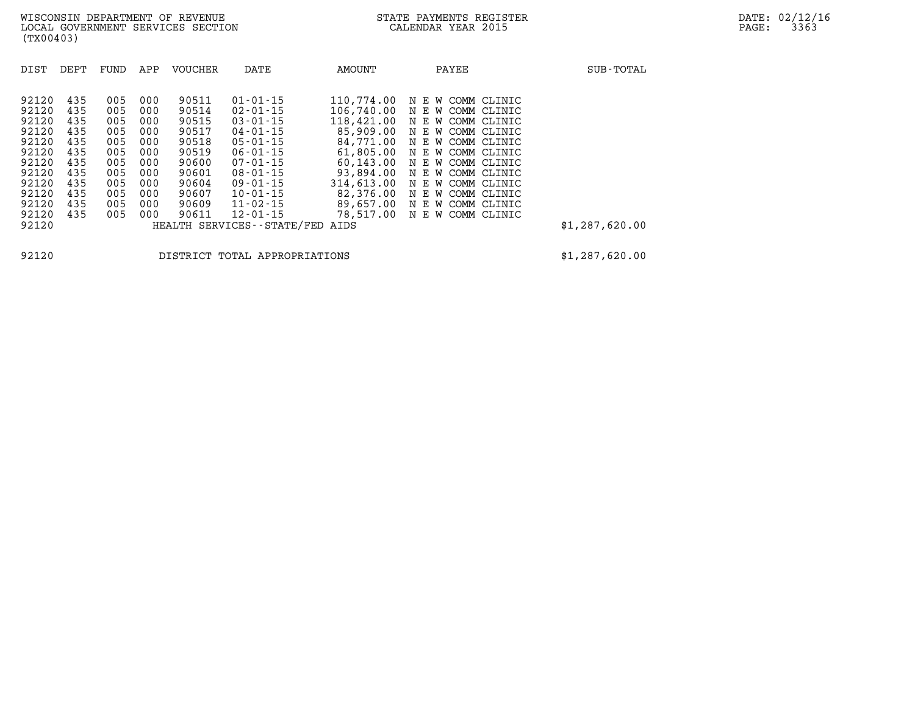| DIST                                                                                   | DEPT                                                               | FUND                                                               | APP                                                                | <b>VOUCHER</b>                                                                         | DATE                                                                                                                                                                             | <b>AMOUNT</b>                                                                                                                      | PAYEE                                                                                                                                                                                                          | SUB-TOTAL      |
|----------------------------------------------------------------------------------------|--------------------------------------------------------------------|--------------------------------------------------------------------|--------------------------------------------------------------------|----------------------------------------------------------------------------------------|----------------------------------------------------------------------------------------------------------------------------------------------------------------------------------|------------------------------------------------------------------------------------------------------------------------------------|----------------------------------------------------------------------------------------------------------------------------------------------------------------------------------------------------------------|----------------|
| 92120<br>92120<br>92120<br>92120<br>92120<br>92120<br>92120<br>92120<br>92120<br>92120 | 435<br>435<br>435<br>435<br>435<br>435<br>435<br>435<br>435<br>435 | 005<br>005<br>005<br>005<br>005<br>005<br>005<br>005<br>005<br>005 | 000<br>000<br>000<br>000<br>000<br>000<br>000<br>000<br>000<br>000 | 90511<br>90514<br>90515<br>90517<br>90518<br>90519<br>90600<br>90601<br>90604<br>90607 | $01 - 01 - 15$<br>$02 - 01 - 15$<br>$03 - 01 - 15$<br>$04 - 01 - 15$<br>$05 - 01 - 15$<br>$06 - 01 - 15$<br>$07 - 01 - 15$<br>$08 - 01 - 15$<br>$09 - 01 - 15$<br>$10 - 01 - 15$ | 110,774.00<br>106,740.00<br>118,421.00<br>85,909.00<br>84,771.00<br>61,805.00<br>60,143.00<br>93,894.00<br>314,613.00<br>82,376.00 | N E W COMM CLINIC<br>N E W COMM CLINIC<br>N E W COMM CLINIC<br>N E W COMM CLINIC<br>N E W COMM CLINIC<br>N E W COMM CLINIC<br>N E W COMM CLINIC<br>N E W COMM CLINIC<br>N E W COMM CLINIC<br>N E W COMM CLINIC |                |
| 92120<br>92120                                                                         | 435<br>435                                                         | 005<br>005                                                         | 000<br>000                                                         | 90609<br>90611                                                                         | $11 - 02 - 15$<br>$12 - 01 - 15$                                                                                                                                                 | 89,657.00<br>78,517.00                                                                                                             | N E W COMM CLINIC<br>N E W COMM CLINIC                                                                                                                                                                         |                |
| 92120                                                                                  |                                                                    |                                                                    |                                                                    |                                                                                        | HEALTH SERVICES - - STATE/FED                                                                                                                                                    | AIDS                                                                                                                               |                                                                                                                                                                                                                | \$1,287,620.00 |
|                                                                                        |                                                                    |                                                                    |                                                                    |                                                                                        |                                                                                                                                                                                  |                                                                                                                                    |                                                                                                                                                                                                                |                |

**92120 DISTRICT TOTAL APPROPRIATIONS \$1,287,620.00**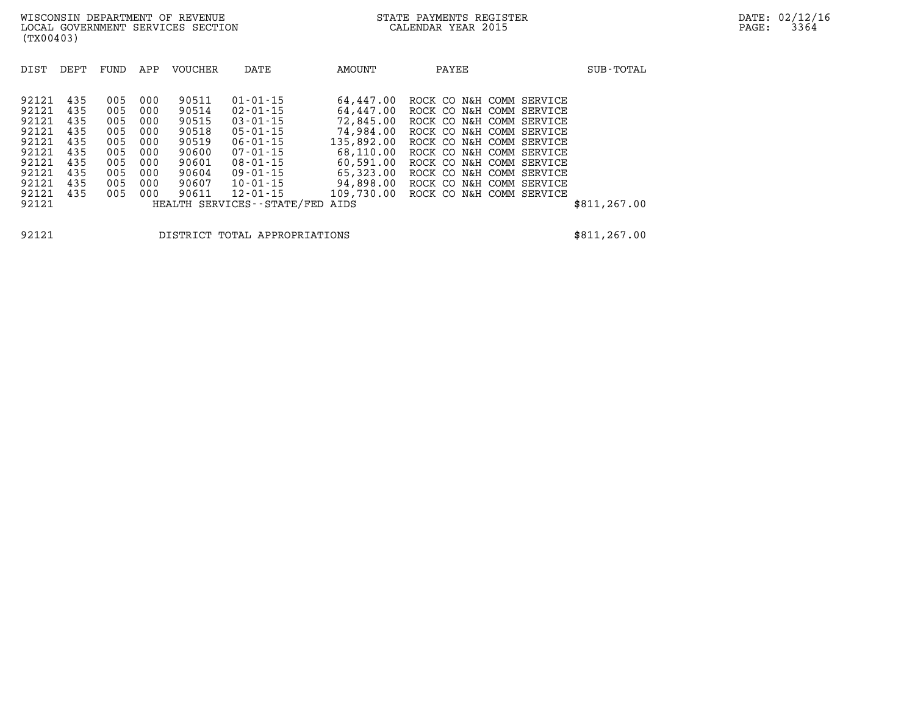| DIST  | DEPT | FUND | APP | <b>VOUCHER</b> | DATE                       | AMOUNT     | PAYEE                    | SUB-TOTAL     |
|-------|------|------|-----|----------------|----------------------------|------------|--------------------------|---------------|
| 92121 | 435  | 005  | 000 | 90511          | $01 - 01 - 15$             | 64,447.00  | ROCK CO N&H COMM SERVICE |               |
| 92121 | 435  | 005  | 000 | 90514          | $02 - 01 - 15$             | 64,447.00  | ROCK CO N&H COMM SERVICE |               |
| 92121 | 435  | 005  | 000 | 90515          | $03 - 01 - 15$             | 72,845.00  | ROCK CO N&H COMM SERVICE |               |
| 92121 | 435  | 005  | 000 | 90518          | $05 - 01 - 15$             | 74,984.00  | ROCK CO N&H COMM SERVICE |               |
| 92121 | 435  | 005  | 000 | 90519          | $06 - 01 - 15$             | 135,892.00 | ROCK CO N&H COMM SERVICE |               |
| 92121 | 435  | 005  | 000 | 90600          | $07 - 01 - 15$             | 68,110.00  | ROCK CO N&H COMM SERVICE |               |
| 92121 | 435  | 005  | 000 | 90601          | $08 - 01 - 15$             | 60,591.00  | ROCK CO N&H COMM SERVICE |               |
| 92121 | 435  | 005  | 000 | 90604          | 09-01-15                   | 65,323.00  | ROCK CO N&H COMM SERVICE |               |
| 92121 | 435  | 005  | 000 | 90607          | $10 - 01 - 15$             | 94,898.00  | ROCK CO N&H COMM SERVICE |               |
| 92121 | 435  | 005  | 000 | 90611          | 12-01-15                   | 109,730.00 | ROCK CO N&H COMM SERVICE |               |
| 92121 |      |      |     |                | HEALTH SERVICES--STATE/FED | AIDS       |                          | \$811, 267.00 |

**92121 DISTRICT TOTAL APPROPRIATIONS \$811,267.00**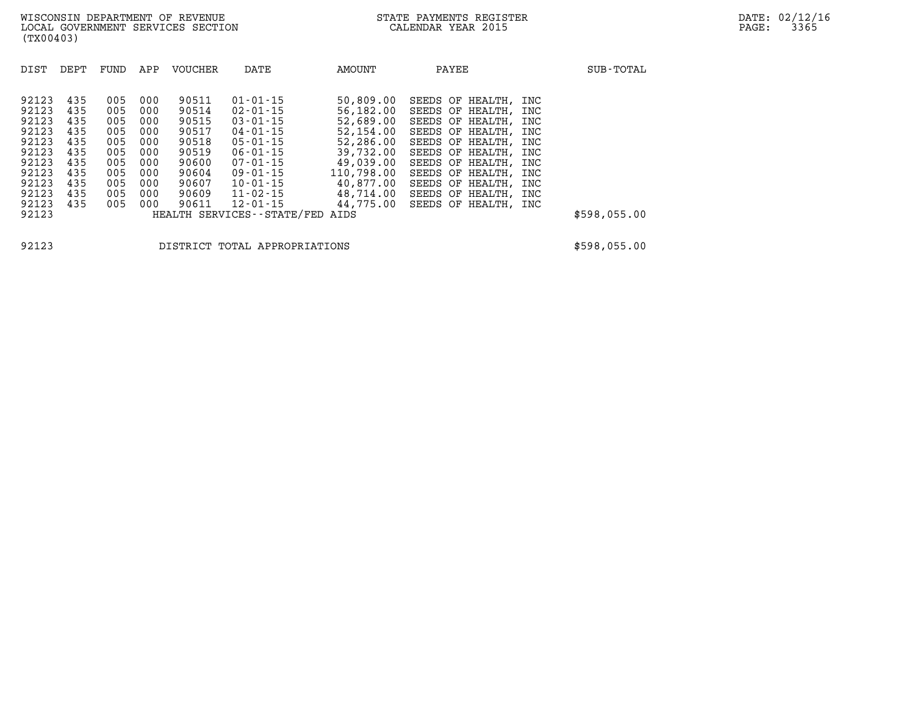| DIST  | DEPT | FUND | APP | <b>VOUCHER</b> | DATE                            | AMOUNT     | PAYEE                | SUB-TOTAL    |
|-------|------|------|-----|----------------|---------------------------------|------------|----------------------|--------------|
| 92123 | 435  | 005  | 000 | 90511          | $01 - 01 - 15$                  | 50,809.00  | SEEDS OF HEALTH, INC |              |
| 92123 | 435  | 005  | 000 | 90514          | 02-01-15                        | 56,182.00  | SEEDS OF HEALTH, INC |              |
| 92123 | 435  | 005  | 000 | 90515          | $03 - 01 - 15$                  | 52,689.00  | SEEDS OF HEALTH, INC |              |
| 92123 | 435  | 005  | 000 | 90517          | $04 - 01 - 15$                  | 52,154.00  | SEEDS OF HEALTH, INC |              |
| 92123 | 435  | 005  | 000 | 90518          | $05 - 01 - 15$                  | 52,286.00  | SEEDS OF HEALTH, INC |              |
| 92123 | 435  | 005  | 000 | 90519          | $06 - 01 - 15$                  | 39,732.00  | SEEDS OF HEALTH, INC |              |
| 92123 | 435  | 005  | 000 | 90600          | $07 - 01 - 15$                  | 49,039.00  | SEEDS OF HEALTH, INC |              |
| 92123 | 435  | 005  | 000 | 90604          | $09 - 01 - 15$                  | 110,798.00 | SEEDS OF HEALTH, INC |              |
| 92123 | 435  | 005  | 000 | 90607          | 10-01-15                        | 40,877.00  | SEEDS OF HEALTH, INC |              |
| 92123 | 435  | 005  | 000 | 90609          | 11-02-15                        | 48,714.00  | SEEDS OF HEALTH, INC |              |
| 92123 | 435  | 005  | 000 | 90611          | 12-01-15                        | 44,775.00  | SEEDS OF HEALTH, INC |              |
| 92123 |      |      |     |                | HEALTH SERVICES--STATE/FED AIDS |            |                      | \$598,055.00 |

**92123 DISTRICT TOTAL APPROPRIATIONS \$598,055.00**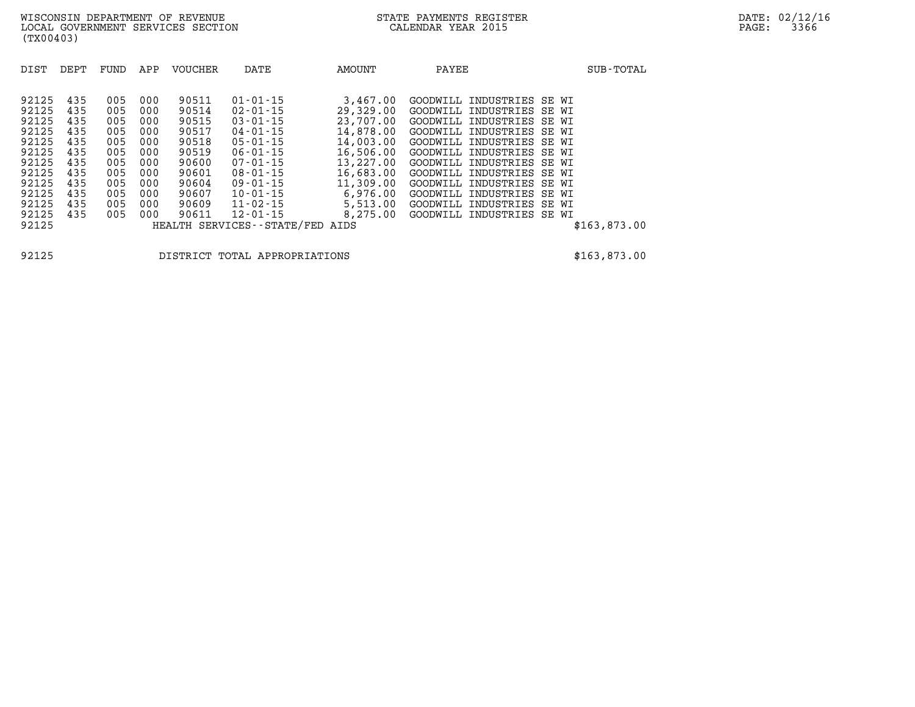| 92125 | 435 | 005 | 000 | 90511 | $01 - 01 - 15$                  | 3,467.00  | GOODWILL INDUSTRIES SE WI |              |
|-------|-----|-----|-----|-------|---------------------------------|-----------|---------------------------|--------------|
| 92125 | 435 | 005 | 000 | 90514 | $02 - 01 - 15$                  | 29,329,00 | GOODWILL INDUSTRIES SE WI |              |
| 92125 | 435 | 005 | 000 | 90515 | $03 - 01 - 15$                  | 23,707.00 | GOODWILL INDUSTRIES SE WI |              |
| 92125 | 435 | 005 | 000 | 90517 | 04-01-15                        | 14,878.00 | GOODWILL INDUSTRIES SE WI |              |
| 92125 | 435 | 005 | 000 | 90518 | 05-01-15                        | 14,003.00 | GOODWILL INDUSTRIES SE WI |              |
| 92125 | 435 | 005 | 000 | 90519 | $06 - 01 - 15$                  | 16,506.00 | GOODWILL INDUSTRIES SE WI |              |
| 92125 | 435 | 005 | 000 | 90600 | $07 - 01 - 15$                  | 13,227.00 | GOODWILL INDUSTRIES SE WI |              |
| 92125 | 435 | 005 | 000 | 90601 | $08 - 01 - 15$                  | 16,683.00 | GOODWILL INDUSTRIES SE WI |              |
| 92125 | 435 | 005 | 000 | 90604 | $09 - 01 - 15$                  | 11,309.00 | GOODWILL INDUSTRIES SE WI |              |
| 92125 | 435 | 005 | 000 | 90607 | 10-01-15                        | 6,976.00  | GOODWILL INDUSTRIES SE WI |              |
| 92125 | 435 | 005 | 000 | 90609 | 11-02-15                        | 5,513.00  | GOODWILL INDUSTRIES SE WI |              |
| 92125 | 435 | 005 | 000 | 90611 | $12 - 01 - 15$                  | 8,275.00  | GOODWILL INDUSTRIES SE WI |              |
| 92125 |     |     |     |       | HEALTH SERVICES--STATE/FED AIDS |           |                           | \$163,873.00 |
|       |     |     |     |       |                                 |           |                           |              |

**92125 DISTRICT TOTAL APPROPRIATIONS \$163,873.00**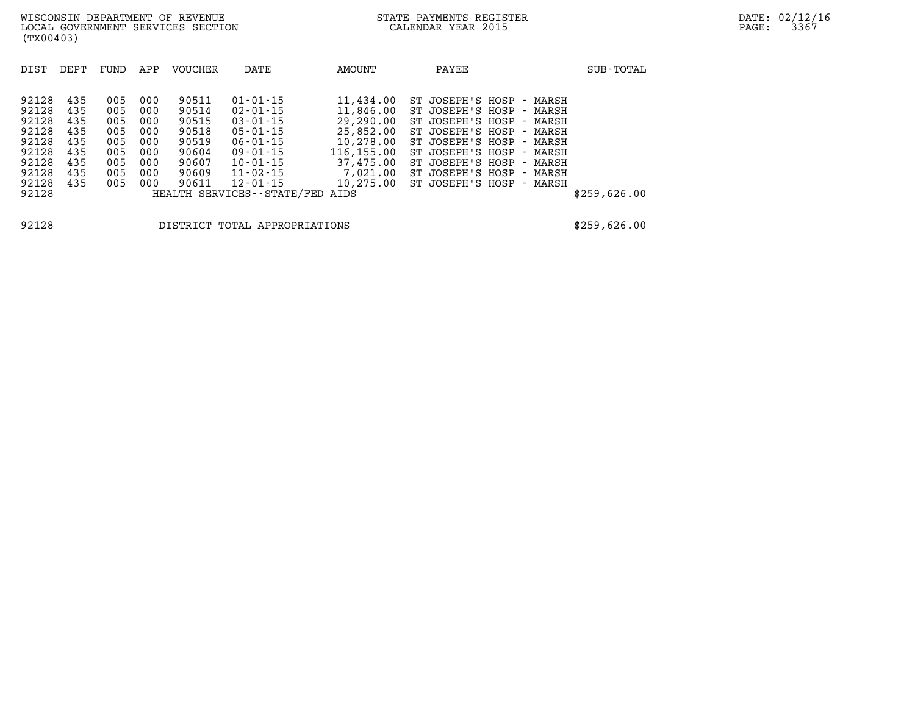| DIST  | DEPT | FUND | APP | VOUCHER | DATE                       | AMOUNT     | PAYEE                    | SUB-TOTAL    |
|-------|------|------|-----|---------|----------------------------|------------|--------------------------|--------------|
|       |      |      |     |         |                            |            |                          |              |
| 92128 | 435  | 005  | 000 | 90511   | $01 - 01 - 15$             | 11,434.00  | ST JOSEPH'S HOSP - MARSH |              |
| 92128 | 435  | 005  | 000 | 90514   | $02 - 01 - 15$             | 11,846.00  | ST JOSEPH'S HOSP - MARSH |              |
| 92128 | 435  | 005  | 000 | 90515   | $03 - 01 - 15$             | 29,290.00  | ST JOSEPH'S HOSP - MARSH |              |
| 92128 | 435  | 005  | 000 | 90518   | $05 - 01 - 15$             | 25,852.00  | ST JOSEPH'S HOSP - MARSH |              |
| 92128 | 435  | 005  | 000 | 90519   | $06 - 01 - 15$             | 10,278.00  | ST JOSEPH'S HOSP - MARSH |              |
| 92128 | 435  | 005  | 000 | 90604   | $09 - 01 - 15$             | 116,155.00 | ST JOSEPH'S HOSP - MARSH |              |
| 92128 | 435  | 005  | 000 | 90607   | $10 - 01 - 15$             | 37,475,00  | ST JOSEPH'S HOSP - MARSH |              |
| 92128 | 435  | 005  | 000 | 90609   | $11 - 02 - 15$             | 7,021.00   | ST JOSEPH'S HOSP - MARSH |              |
| 92128 | 435  | 005  | 000 | 90611   | $12 - 01 - 15$             | 10,275.00  | ST JOSEPH'S HOSP - MARSH |              |
| 92128 |      |      |     |         | HEALTH SERVICES--STATE/FED | AIDS       |                          | \$259,626.00 |
|       |      |      |     |         |                            |            |                          |              |
|       |      |      |     |         |                            |            |                          |              |

**92128 DISTRICT TOTAL APPROPRIATIONS \$259,626.00**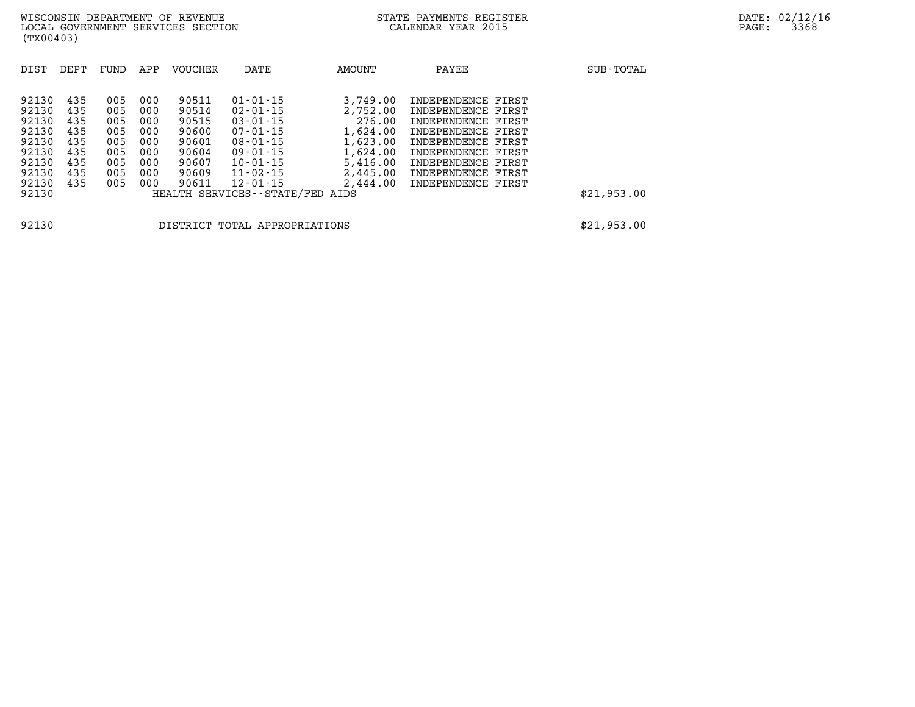| DIST                                                                                   | DEPT                                                        | FUND                                                        | APP                                                         | <b>VOUCHER</b>                                                                | DATE                                                                                                                                                                                        | AMOUNT                                                                                     | PAYEE                                                                                                                                                                                                       | SUB-TOTAL   |
|----------------------------------------------------------------------------------------|-------------------------------------------------------------|-------------------------------------------------------------|-------------------------------------------------------------|-------------------------------------------------------------------------------|---------------------------------------------------------------------------------------------------------------------------------------------------------------------------------------------|--------------------------------------------------------------------------------------------|-------------------------------------------------------------------------------------------------------------------------------------------------------------------------------------------------------------|-------------|
| 92130<br>92130<br>92130<br>92130<br>92130<br>92130<br>92130<br>92130<br>92130<br>92130 | 435<br>435<br>435<br>435<br>435<br>435<br>435<br>435<br>435 | 005<br>005<br>005<br>005<br>005<br>005<br>005<br>005<br>005 | 000<br>000<br>000<br>000<br>000<br>000<br>000<br>000<br>000 | 90511<br>90514<br>90515<br>90600<br>90601<br>90604<br>90607<br>90609<br>90611 | $01 - 01 - 15$<br>$02 - 01 - 15$<br>$03 - 01 - 15$<br>$07 - 01 - 15$<br>$08 - 01 - 15$<br>$09 - 01 - 15$<br>$10 - 01 - 15$<br>11-02-15<br>$12 - 01 - 15$<br>HEALTH SERVICES--STATE/FED AIDS | 3,749.00<br>2,752.00<br>276.00<br>1,624.00<br>1,623.00<br>1,624.00<br>5,416.00<br>2,445.00 | INDEPENDENCE FIRST<br>INDEPENDENCE FIRST<br>INDEPENDENCE FIRST<br>INDEPENDENCE FIRST<br>INDEPENDENCE FIRST<br>INDEPENDENCE FIRST<br>INDEPENDENCE FIRST<br>INDEPENDENCE FIRST<br>2,444.00 INDEPENDENCE FIRST | \$21,953.00 |
|                                                                                        |                                                             |                                                             |                                                             |                                                                               |                                                                                                                                                                                             |                                                                                            |                                                                                                                                                                                                             |             |
| 92130                                                                                  |                                                             |                                                             |                                                             |                                                                               | DISTRICT TOTAL APPROPRIATIONS                                                                                                                                                               |                                                                                            |                                                                                                                                                                                                             | \$21,953.00 |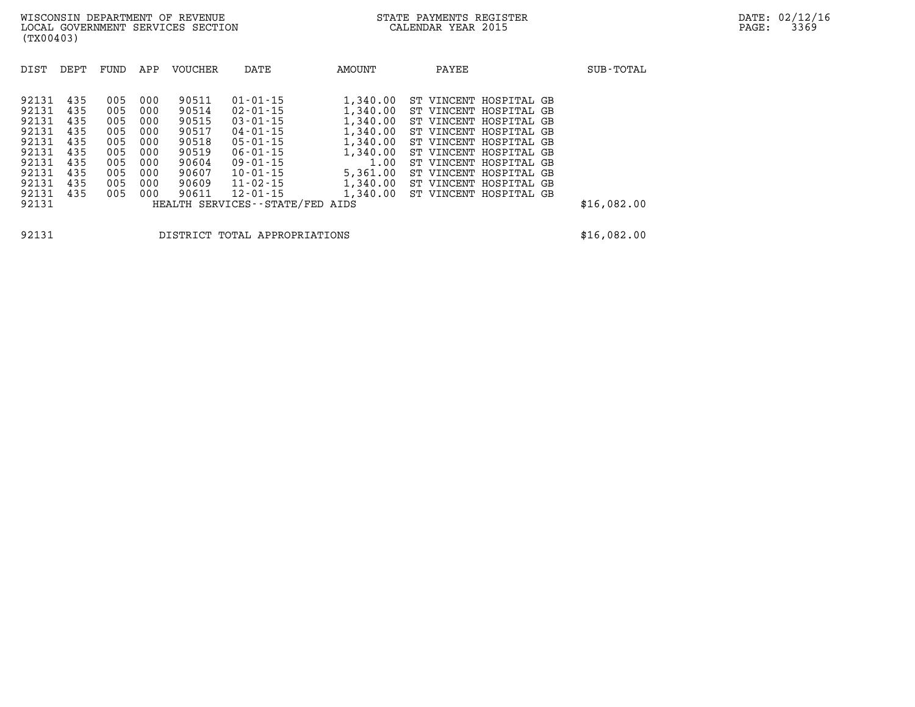| DIST                                                                                            | DEPT                                                               | FUND                                                               | APP                                                                | VOUCHER                                                                                | DATE                                                                                                                                                                                                                | AMOUNT                                                                                                           | PAYEE                                                                                                                                                                                                                                                            | SUB-TOTAL   |
|-------------------------------------------------------------------------------------------------|--------------------------------------------------------------------|--------------------------------------------------------------------|--------------------------------------------------------------------|----------------------------------------------------------------------------------------|---------------------------------------------------------------------------------------------------------------------------------------------------------------------------------------------------------------------|------------------------------------------------------------------------------------------------------------------|------------------------------------------------------------------------------------------------------------------------------------------------------------------------------------------------------------------------------------------------------------------|-------------|
| 92131<br>92131<br>92131<br>92131<br>92131<br>92131<br>92131<br>92131<br>92131<br>92131<br>92131 | 435<br>435<br>435<br>435<br>435<br>435<br>435<br>435<br>435<br>435 | 005<br>005<br>005<br>005<br>005<br>005<br>005<br>005<br>005<br>005 | 000<br>000<br>000<br>000<br>000<br>000<br>000<br>000<br>000<br>000 | 90511<br>90514<br>90515<br>90517<br>90518<br>90519<br>90604<br>90607<br>90609<br>90611 | $01 - 01 - 15$<br>$02 - 01 - 15$<br>$03 - 01 - 15$<br>$04 - 01 - 15$<br>$05 - 01 - 15$<br>$06 - 01 - 15$<br>$09 - 01 - 15$<br>$10 - 01 - 15$<br>$11 - 02 - 15$<br>$12 - 01 - 15$<br>HEALTH SERVICES--STATE/FED AIDS | 1,340.00<br>1,340.00<br>1,340.00<br>1,340.00<br>1,340.00<br>1,340.00<br>1.00<br>5,361.00<br>1,340.00<br>1,340.00 | ST VINCENT HOSPITAL GB<br>ST VINCENT HOSPITAL GB<br>ST VINCENT HOSPITAL GB<br>ST VINCENT HOSPITAL GB<br>ST VINCENT HOSPITAL GB<br>ST VINCENT HOSPITAL GB<br>ST VINCENT HOSPITAL GB<br>ST VINCENT HOSPITAL GB<br>ST VINCENT HOSPITAL GB<br>ST VINCENT HOSPITAL GB | \$16,082.00 |

**92131 DISTRICT TOTAL APPROPRIATIONS \$16,082.00**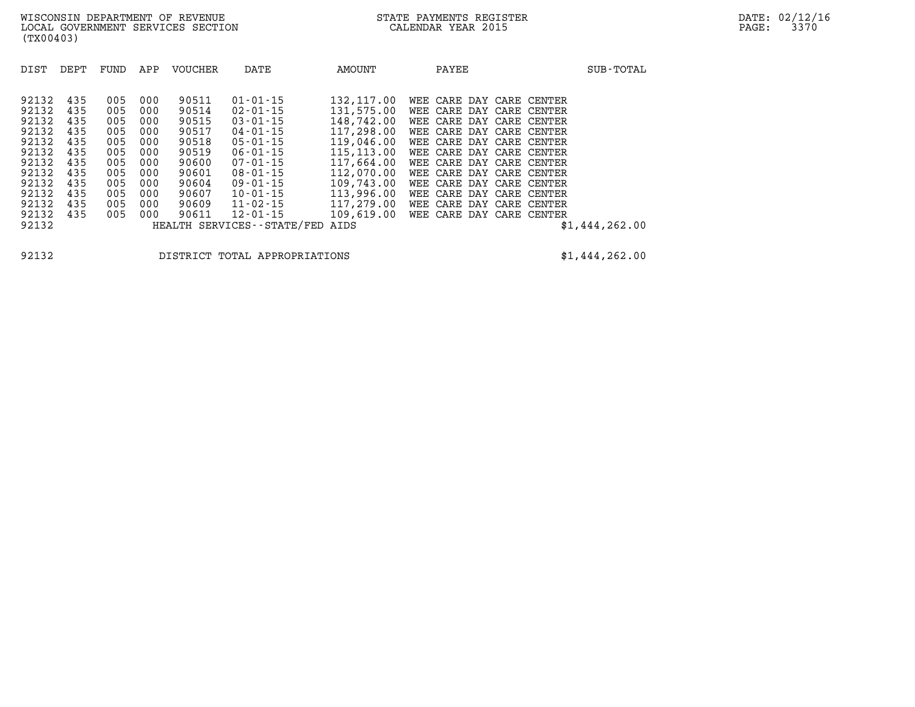| DIST                                                                 | DEPT                                                 | FUND                                                 | APP                                                  | <b>VOUCHER</b>                                                       | DATE                                                                                                                 | AMOUNT                                                                                                         | PAYEE                                                                                                                                                                                                                        | SUB-TOTAL      |
|----------------------------------------------------------------------|------------------------------------------------------|------------------------------------------------------|------------------------------------------------------|----------------------------------------------------------------------|----------------------------------------------------------------------------------------------------------------------|----------------------------------------------------------------------------------------------------------------|------------------------------------------------------------------------------------------------------------------------------------------------------------------------------------------------------------------------------|----------------|
| 92132<br>92132<br>92132<br>92132<br>92132<br>92132<br>92132<br>92132 | 435<br>435<br>435<br>435<br>435<br>435<br>435<br>435 | 005<br>005<br>005<br>005<br>005<br>005<br>005<br>005 | 000<br>000<br>000<br>000<br>000<br>000<br>000<br>000 | 90511<br>90514<br>90515<br>90517<br>90518<br>90519<br>90600<br>90601 | $01 - 01 - 15$<br>02-01-15<br>$03 - 01 - 15$<br>04-01-15<br>$05 - 01 - 15$<br>06-01-15<br>$07 - 01 - 15$<br>08-01-15 | 132,117.00<br>131,575.00<br>148,742.00<br>117,298.00<br>119,046.00<br>115, 113, 00<br>117,664.00<br>112,070.00 | WEE CARE DAY CARE CENTER<br>WEE CARE DAY CARE CENTER<br>WEE CARE DAY CARE CENTER<br>WEE CARE DAY CARE CENTER<br>WEE CARE DAY CARE CENTER<br>WEE CARE DAY CARE CENTER<br>WEE CARE DAY CARE CENTER<br>WEE CARE DAY CARE CENTER |                |
| 92132                                                                | 435                                                  | 005                                                  | 000                                                  | 90604                                                                | 09-01-15                                                                                                             | 109,743.00                                                                                                     | WEE CARE DAY CARE CENTER                                                                                                                                                                                                     |                |
| 92132<br>92132                                                       | 435<br>435                                           | 005<br>005                                           | 000<br>000                                           | 90607<br>90609                                                       | $10 - 01 - 15$<br>11-02-15                                                                                           | 113,996.00<br>117,279.00                                                                                       | WEE CARE DAY CARE CENTER<br>WEE CARE DAY CARE CENTER                                                                                                                                                                         |                |
| 92132                                                                | 435                                                  | 005                                                  | 000                                                  | 90611                                                                | 12-01-15                                                                                                             | 109,619.00                                                                                                     | WEE CARE DAY CARE CENTER                                                                                                                                                                                                     |                |
| 92132                                                                |                                                      |                                                      |                                                      |                                                                      | HEALTH SERVICES - - STATE/FED                                                                                        | AIDS                                                                                                           |                                                                                                                                                                                                                              | \$1,444,262.00 |

**(TX00403)** 

**92132 DISTRICT TOTAL APPROPRIATIONS \$1,444,262.00**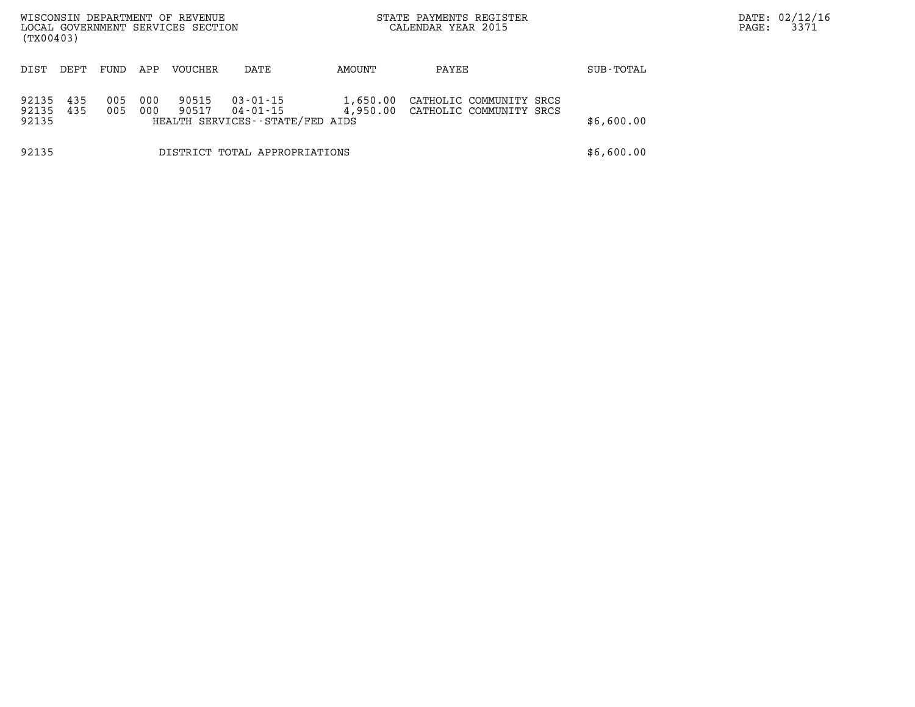| (TX00403)               |            |            |            | WISCONSIN DEPARTMENT OF REVENUE<br>LOCAL GOVERNMENT SERVICES SECTION |                                                               | STATE PAYMENTS REGISTER<br>CALENDAR YEAR 2015 |                                                             |            | DATE: 02/12/16<br>3371<br>PAGE: |
|-------------------------|------------|------------|------------|----------------------------------------------------------------------|---------------------------------------------------------------|-----------------------------------------------|-------------------------------------------------------------|------------|---------------------------------|
| DIST                    | DEPT       | FUND       | APP        | VOUCHER                                                              | DATE                                                          | AMOUNT                                        | PAYEE                                                       | SUB-TOTAL  |                                 |
| 92135<br>92135<br>92135 | 435<br>435 | 005<br>005 | 000<br>000 | 90515<br>90517                                                       | $03 - 01 - 15$<br>04-01-15<br>HEALTH SERVICES--STATE/FED AIDS | 1,650.00                                      | CATHOLIC COMMUNITY SRCS<br>4,950.00 CATHOLIC COMMUNITY SRCS | \$6,600.00 |                                 |
| 92135                   |            |            |            |                                                                      | DISTRICT TOTAL APPROPRIATIONS                                 |                                               |                                                             | \$6,600.00 |                                 |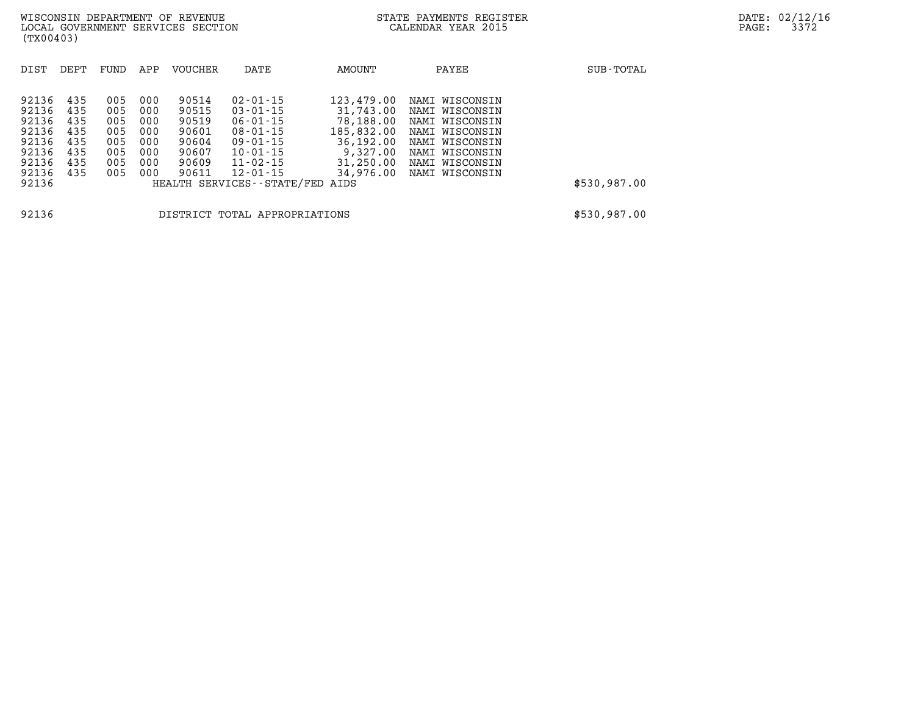| DIST                                                                          | DEPT                                                 | FUND                                                 | APP                                                  | <b>VOUCHER</b>                                                       | DATE                                                                                                                                                                      | AMOUNT                                                                                                | PAYEE                                                                                                                                        | SUB-TOTAL    |
|-------------------------------------------------------------------------------|------------------------------------------------------|------------------------------------------------------|------------------------------------------------------|----------------------------------------------------------------------|---------------------------------------------------------------------------------------------------------------------------------------------------------------------------|-------------------------------------------------------------------------------------------------------|----------------------------------------------------------------------------------------------------------------------------------------------|--------------|
| 92136<br>92136<br>92136<br>92136<br>92136<br>92136<br>92136<br>92136<br>92136 | 435<br>435<br>435<br>435<br>435<br>435<br>435<br>435 | 005<br>005<br>005<br>005<br>005<br>005<br>005<br>005 | 000<br>000<br>000<br>000<br>000<br>000<br>000<br>000 | 90514<br>90515<br>90519<br>90601<br>90604<br>90607<br>90609<br>90611 | $02 - 01 - 15$<br>$03 - 01 - 15$<br>$06 - 01 - 15$<br>$08 - 01 - 15$<br>$09 - 01 - 15$<br>$10 - 01 - 15$<br>$11 - 02 - 15$<br>12-01-15<br>HEALTH SERVICES--STATE/FED AIDS | 123,479.00<br>31,743.00<br>78,188.00<br>185,832.00<br>36,192.00<br>9,327.00<br>31,250.00<br>34,976.00 | NAMI WISCONSIN<br>NAMI WISCONSIN<br>NAMI WISCONSIN<br>NAMI WISCONSIN<br>NAMI WISCONSIN<br>NAMI WISCONSIN<br>NAMI WISCONSIN<br>NAMI WISCONSIN | \$530,987.00 |
| 92136                                                                         |                                                      |                                                      |                                                      |                                                                      | DISTRICT TOTAL APPROPRIATIONS                                                                                                                                             |                                                                                                       |                                                                                                                                              | \$530,987.00 |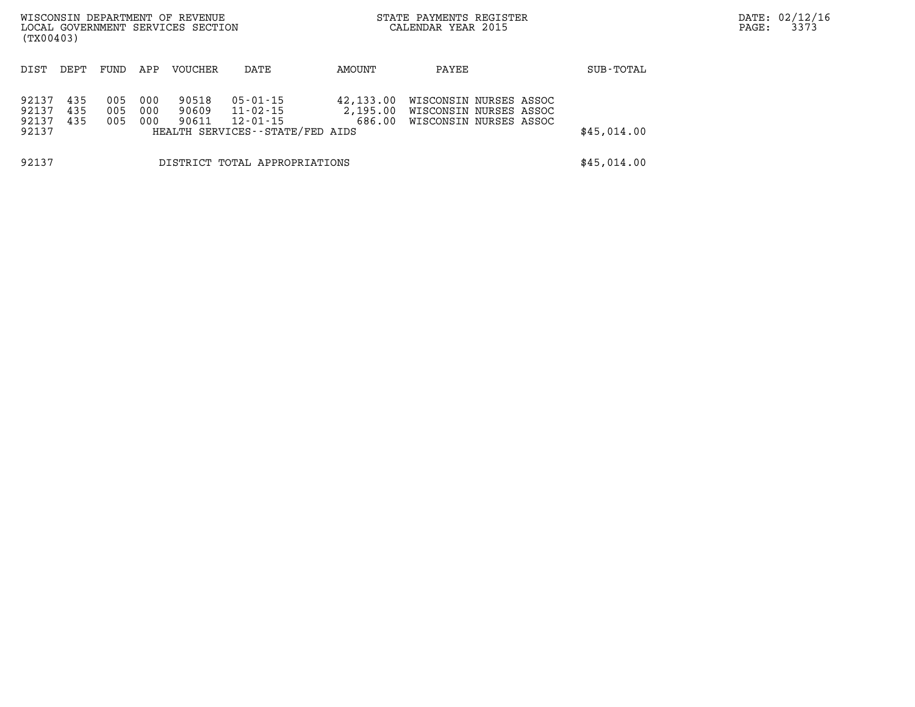| (TX00403)                        |                   |                   |                   | WISCONSIN DEPARTMENT OF REVENUE<br>LOCAL GOVERNMENT SERVICES SECTION |                                                                     | STATE PAYMENTS REGISTER<br>CALENDAR YEAR 2015 |                                                                            |             | PAGE: | DATE: 02/12/16<br>3373 |
|----------------------------------|-------------------|-------------------|-------------------|----------------------------------------------------------------------|---------------------------------------------------------------------|-----------------------------------------------|----------------------------------------------------------------------------|-------------|-------|------------------------|
| DIST                             | DEPT.             | FUND              | APP               | <b>VOUCHER</b>                                                       | DATE                                                                | AMOUNT                                        | PAYEE                                                                      | SUB-TOTAL   |       |                        |
| 92137<br>92137<br>92137<br>92137 | 435<br>435<br>435 | 005<br>005<br>005 | 000<br>000<br>000 | 90518<br>90609<br>90611                                              | 05-01-15<br>11-02-15<br>12-01-15<br>HEALTH SERVICES--STATE/FED AIDS | 42,133.00<br>2,195.00<br>686.00               | WISCONSIN NURSES ASSOC<br>WISCONSIN NURSES ASSOC<br>WISCONSIN NURSES ASSOC | \$45,014.00 |       |                        |
| 92137                            |                   |                   |                   |                                                                      | DISTRICT TOTAL APPROPRIATIONS                                       |                                               |                                                                            | \$45,014.00 |       |                        |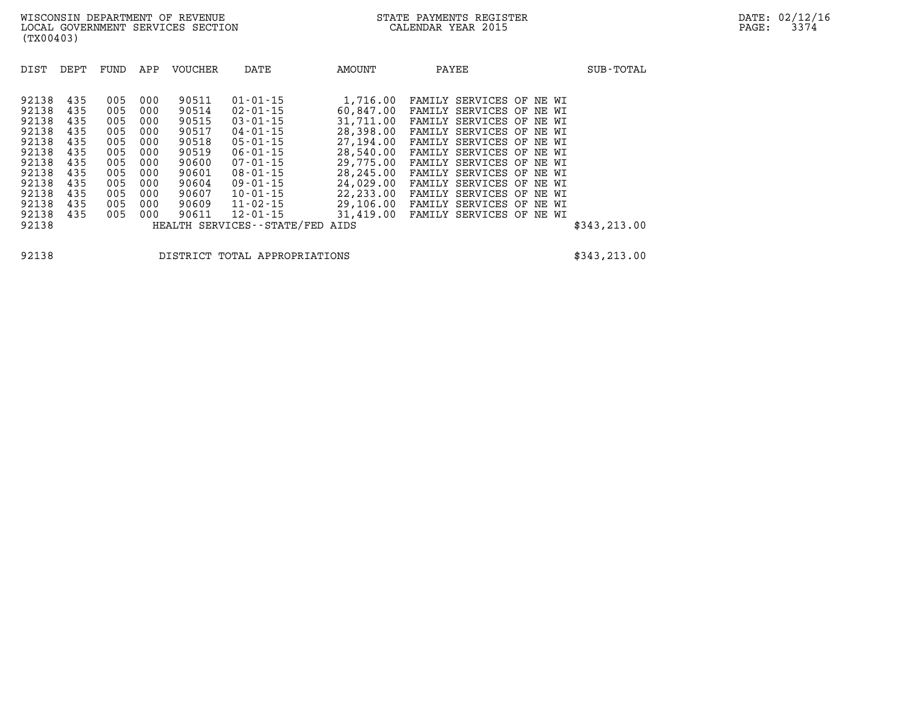**92138 DISTRICT TOTAL APPROPRIATIONS \$343,213.00**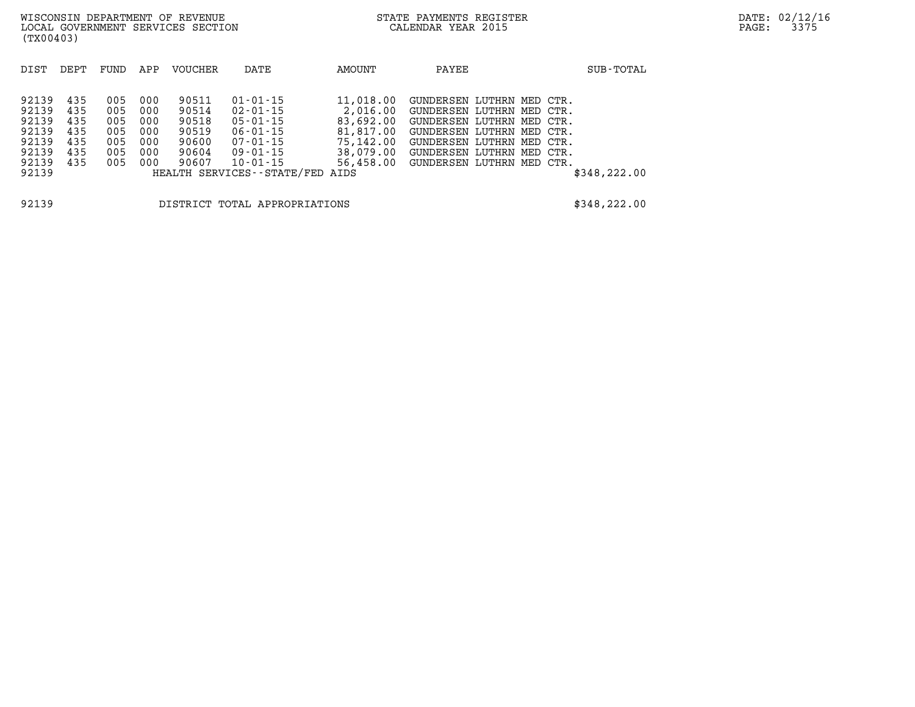| DEPT                                                                 | FUND | APP | VOUCHER | DATE           | AMOUNT    | PAYEE                                        | SUB-TOTAL                                                                                                                                                                                               |
|----------------------------------------------------------------------|------|-----|---------|----------------|-----------|----------------------------------------------|---------------------------------------------------------------------------------------------------------------------------------------------------------------------------------------------------------|
|                                                                      |      |     |         |                |           |                                              |                                                                                                                                                                                                         |
|                                                                      |      |     |         |                |           |                                              |                                                                                                                                                                                                         |
| 435                                                                  | 005  |     | 90511   | $01 - 01 - 15$ |           |                                              |                                                                                                                                                                                                         |
| 435                                                                  | 005  | 000 | 90514   | $02 - 01 - 15$ | 2,016.00  |                                              |                                                                                                                                                                                                         |
| 435                                                                  | 005  | 000 | 90518   | $05 - 01 - 15$ | 83,692.00 |                                              |                                                                                                                                                                                                         |
| 435                                                                  | 005  | 000 | 90519   | $06 - 01 - 15$ | 81,817.00 |                                              |                                                                                                                                                                                                         |
| 435                                                                  | 005  | 000 | 90600   | 07-01-15       | 75,142.00 |                                              |                                                                                                                                                                                                         |
| 435                                                                  | 005  | 000 | 90604   | 09-01-15       | 38,079.00 |                                              |                                                                                                                                                                                                         |
| 435                                                                  | 005  | 000 | 90607   | 10-01-15       | 56,458.00 |                                              |                                                                                                                                                                                                         |
|                                                                      |      |     |         |                |           |                                              | \$348, 222.00                                                                                                                                                                                           |
|                                                                      |      |     |         |                |           |                                              |                                                                                                                                                                                                         |
| 92139<br>92139<br>92139<br>92139<br>92139<br>92139<br>92139<br>92139 |      |     | 000     |                |           | 11,018.00<br>HEALTH SERVICES--STATE/FED AIDS | GUNDERSEN LUTHRN MED CTR.<br>GUNDERSEN LUTHRN MED CTR.<br>GUNDERSEN LUTHRN MED CTR.<br>GUNDERSEN LUTHRN MED CTR.<br>GUNDERSEN LUTHRN MED CTR.<br>GUNDERSEN LUTHRN MED CTR.<br>GUNDERSEN LUTHRN MED CTR. |

**92139 DISTRICT TOTAL APPROPRIATIONS \$348,222.00**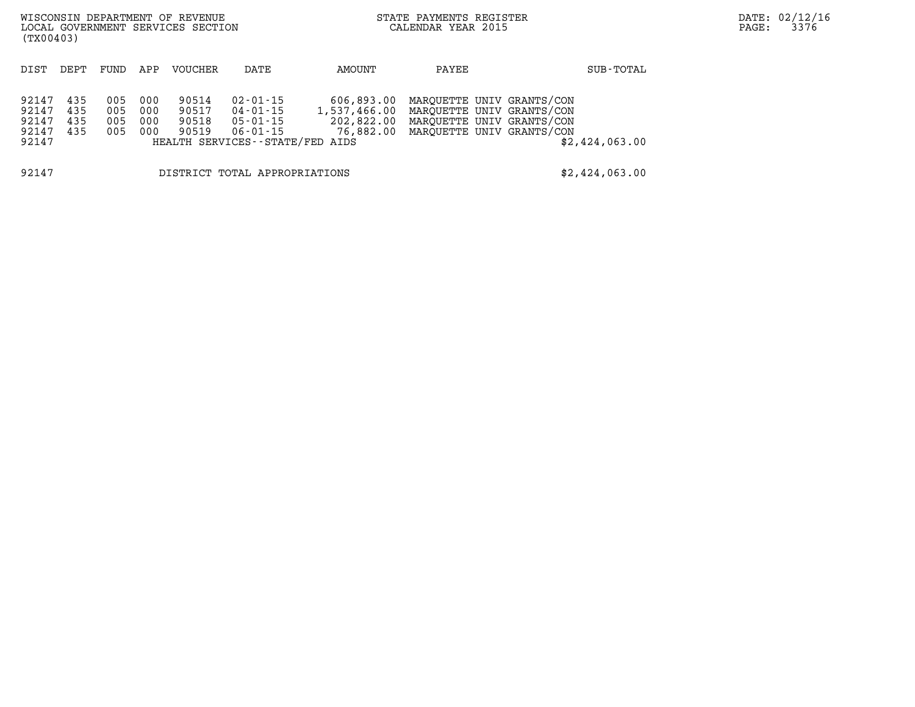| (TX00403)                                 |                          |                          |                          | WISCONSIN DEPARTMENT OF REVENUE<br>LOCAL GOVERNMENT SERVICES SECTION |                                                                                 |            | STATE PAYMENTS REGISTER<br>CALENDAR YEAR 2015                                                                                                      | DATE: 02/12/16<br>3376<br>PAGE: |  |
|-------------------------------------------|--------------------------|--------------------------|--------------------------|----------------------------------------------------------------------|---------------------------------------------------------------------------------|------------|----------------------------------------------------------------------------------------------------------------------------------------------------|---------------------------------|--|
| DIST                                      | DEPT                     | FUND                     | APP                      | VOUCHER                                                              | DATE                                                                            | AMOUNT     | PAYEE                                                                                                                                              | SUB-TOTAL                       |  |
| 92147<br>92147<br>92147<br>92147<br>92147 | 435<br>435<br>435<br>435 | 005<br>005<br>005<br>005 | 000<br>000<br>000<br>000 | 90514<br>90517<br>90518<br>90519                                     | 02-01-15<br>04-01-15<br>05-01-15<br>06-01-15<br>HEALTH SERVICES--STATE/FED AIDS | 606,893.00 | MAROUETTE UNIV GRANTS/CON<br>1,537,466.00 MAROUETTE UNIV GRANTS/CON<br>202,822.00 MAROUETTE UNIV GRANTS/CON<br>76,882.00 MAROUETTE UNIV GRANTS/CON | \$2,424,063.00                  |  |
| 92147                                     |                          |                          |                          |                                                                      | DISTRICT TOTAL APPROPRIATIONS                                                   |            |                                                                                                                                                    | \$2,424,063.00                  |  |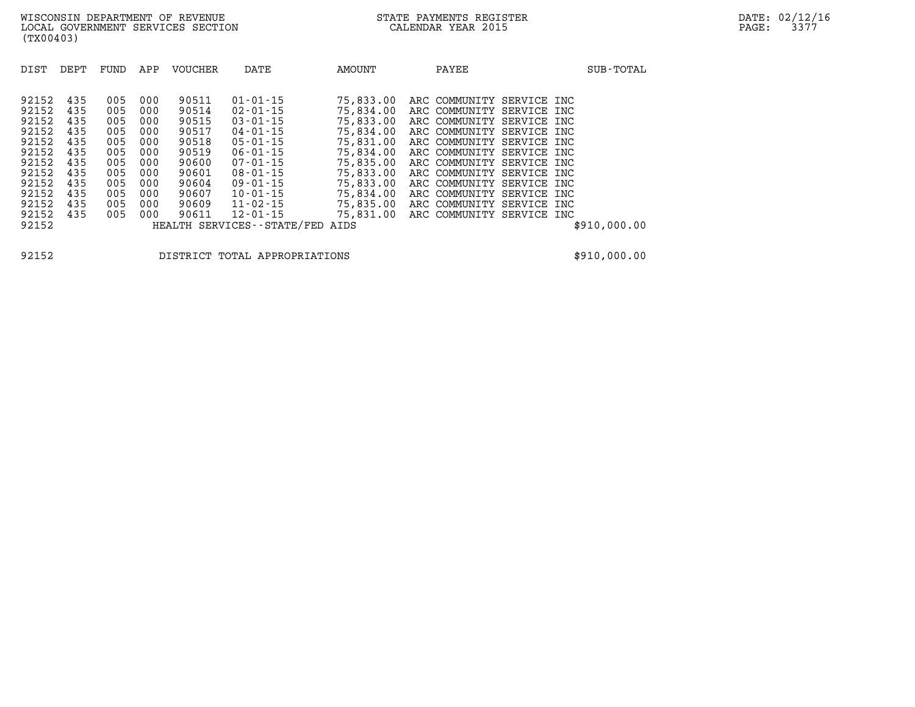| DIST  | DEPT | FUND | APP | <b>VOUCHER</b> | DATE                          | AMOUNT    | PAYEE                     |             | SUB-TOTAL    |
|-------|------|------|-----|----------------|-------------------------------|-----------|---------------------------|-------------|--------------|
|       |      |      |     |                |                               |           |                           |             |              |
| 92152 | 435  | 005  | 000 | 90511          | $01 - 01 - 15$                | 75,833.00 | ARC COMMUNITY             | SERVICE INC |              |
| 92152 | 435  | 005  | 000 | 90514          | $02 - 01 - 15$                | 75,834.00 | ARC COMMUNITY SERVICE INC |             |              |
| 92152 | 435  | 005  | 000 | 90515          | $03 - 01 - 15$                | 75,833.00 | ARC COMMUNITY SERVICE INC |             |              |
| 92152 | 435  | 005  | 000 | 90517          | $04 - 01 - 15$                | 75,834.00 | ARC COMMUNITY SERVICE INC |             |              |
| 92152 | 435  | 005  | 000 | 90518          | $05 - 01 - 15$                | 75,831.00 | ARC COMMUNITY SERVICE INC |             |              |
| 92152 | 435  | 005  | 000 | 90519          | $06 - 01 - 15$                | 75,834.00 | ARC COMMUNITY SERVICE INC |             |              |
| 92152 | 435  | 005  | 000 | 90600          | $07 - 01 - 15$                | 75,835.00 | ARC COMMUNITY SERVICE INC |             |              |
| 92152 | 435  | 005  | 000 | 90601          | $08 - 01 - 15$                | 75,833.00 | ARC COMMUNITY SERVICE INC |             |              |
| 92152 | 435  | 005  | 000 | 90604          | $09 - 01 - 15$                | 75,833,00 | ARC COMMUNITY             | SERVICE INC |              |
| 92152 | 435  | 005  | 000 | 90607          | $10 - 01 - 15$                | 75,834.00 | ARC COMMUNITY SERVICE INC |             |              |
| 92152 | 435  | 005  | 000 | 90609          | $11 - 02 - 15$                | 75,835.00 | ARC COMMUNITY SERVICE INC |             |              |
| 92152 | 435  | 005  | 000 | 90611          | $12 - 01 - 15$                | 75,831.00 | ARC COMMUNITY SERVICE INC |             |              |
| 92152 |      |      |     |                | HEALTH SERVICES - - STATE/FED | AIDS      |                           |             | \$910,000.00 |

**92152 DISTRICT TOTAL APPROPRIATIONS \$910,000.00**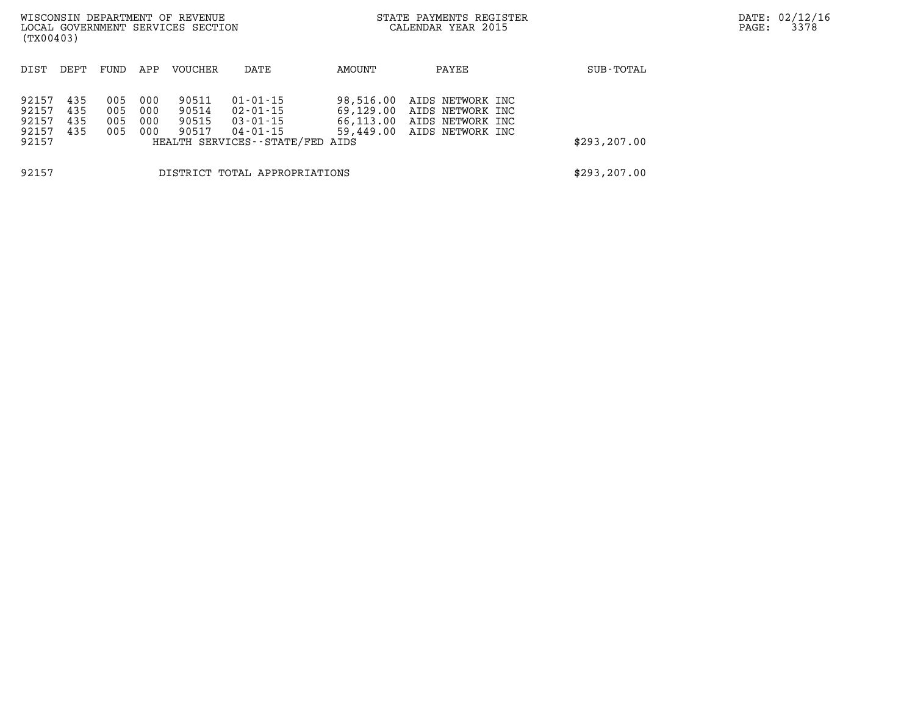| (TX00403)                                 |                          |                          |                          | WISCONSIN DEPARTMENT OF REVENUE<br>LOCAL GOVERNMENT SERVICES SECTION |                                                                                                   | STATE PAYMENTS REGISTER<br>CALENDAR YEAR 2015    |                                                                              |               | DATE: 02/12/16<br>3378<br>PAGE: |
|-------------------------------------------|--------------------------|--------------------------|--------------------------|----------------------------------------------------------------------|---------------------------------------------------------------------------------------------------|--------------------------------------------------|------------------------------------------------------------------------------|---------------|---------------------------------|
| DIST                                      | DEPT                     | FUND                     | APP                      | VOUCHER                                                              | DATE                                                                                              | AMOUNT                                           | PAYEE                                                                        | SUB-TOTAL     |                                 |
| 92157<br>92157<br>92157<br>92157<br>92157 | 435<br>435<br>435<br>435 | 005<br>005<br>005<br>005 | 000<br>000<br>000<br>000 | 90511<br>90514<br>90515<br>90517                                     | $01 - 01 - 15$<br>$02 - 01 - 15$<br>$03 - 01 - 15$<br>04-01-15<br>HEALTH SERVICES--STATE/FED AIDS | 98,516.00<br>69,129.00<br>66,113.00<br>59,449.00 | AIDS NETWORK INC<br>AIDS NETWORK INC<br>AIDS NETWORK INC<br>AIDS NETWORK INC | \$293,207.00  |                                 |
| 92157<br>DISTRICT TOTAL APPROPRIATIONS    |                          |                          |                          |                                                                      |                                                                                                   |                                                  |                                                                              | \$293, 207.00 |                                 |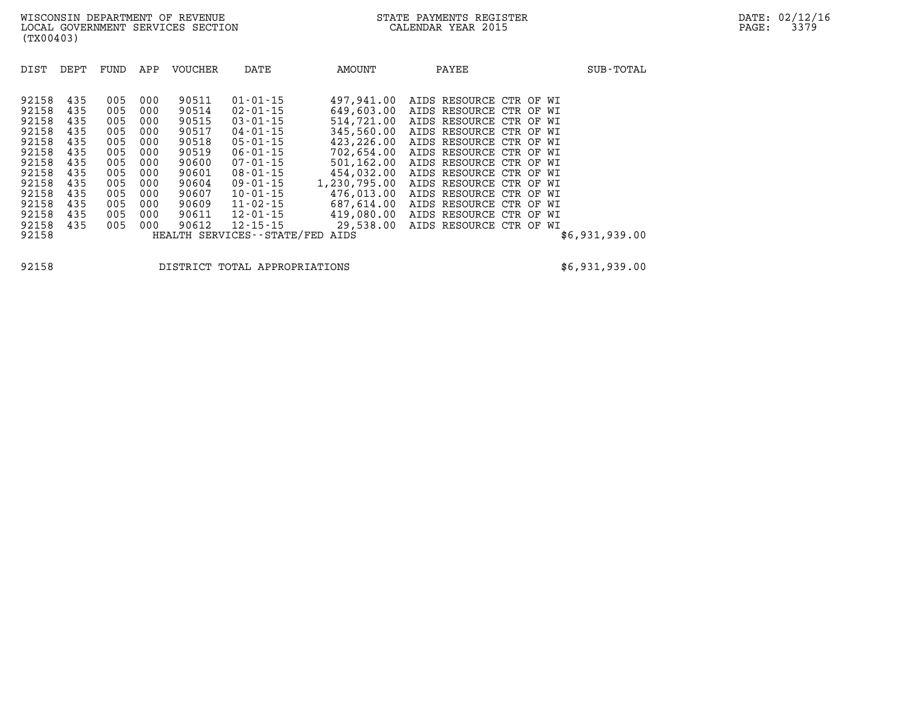| DIST                                                                                                              | DEPT                                                                                    | FUND                                                                                    | APP                                                                                     | <b>VOUCHER</b>                                                                                                    | DATE                                                                                                                                                                                                                             | AMOUNT                                                                                                                                                                              | PAYEE                                                                                                                                                                                                                                                                                                                                              |                | SUB-TOTAL      |
|-------------------------------------------------------------------------------------------------------------------|-----------------------------------------------------------------------------------------|-----------------------------------------------------------------------------------------|-----------------------------------------------------------------------------------------|-------------------------------------------------------------------------------------------------------------------|----------------------------------------------------------------------------------------------------------------------------------------------------------------------------------------------------------------------------------|-------------------------------------------------------------------------------------------------------------------------------------------------------------------------------------|----------------------------------------------------------------------------------------------------------------------------------------------------------------------------------------------------------------------------------------------------------------------------------------------------------------------------------------------------|----------------|----------------|
| 92158<br>92158<br>92158<br>92158<br>92158<br>92158<br>92158<br>92158<br>92158<br>92158<br>92158<br>92158<br>92158 | 435<br>435<br>435<br>435<br>435<br>435<br>435<br>435<br>435<br>435<br>435<br>435<br>435 | 005<br>005<br>005<br>005<br>005<br>005<br>005<br>005<br>005<br>005<br>005<br>005<br>005 | 000<br>000<br>000<br>000<br>000<br>000<br>000<br>000<br>000<br>000<br>000<br>000<br>000 | 90511<br>90514<br>90515<br>90517<br>90518<br>90519<br>90600<br>90601<br>90604<br>90607<br>90609<br>90611<br>90612 | $01 - 01 - 15$<br>$02 - 01 - 15$<br>$03 - 01 - 15$<br>$04 - 01 - 15$<br>$05 - 01 - 15$<br>$06 - 01 - 15$<br>$07 - 01 - 15$<br>$08 - 01 - 15$<br>$09 - 01 - 15$<br>$10 - 01 - 15$<br>11-02-15<br>$12 - 01 - 15$<br>$12 - 15 - 15$ | 497,941.00<br>649,603.00<br>514,721.00<br>345,560.00<br>423,226.00<br>702,654.00<br>501,162.00<br>454,032.00<br>1,230,795.00<br>476,013.00<br>687,614.00<br>419,080.00<br>29,538.00 | AIDS RESOURCE CTR OF WI<br>AIDS RESOURCE CTR OF WI<br>AIDS RESOURCE CTR OF WI<br>AIDS RESOURCE CTR OF WI<br>AIDS RESOURCE CTR OF WI<br>AIDS RESOURCE CTR OF<br>AIDS RESOURCE CTR OF<br>AIDS RESOURCE CTR OF WI<br>AIDS RESOURCE CTR OF WI<br>AIDS RESOURCE CTR OF WI<br>AIDS RESOURCE CTR OF WI<br>AIDS RESOURCE CTR OF WI<br>AIDS RESOURCE CTR OF | WI<br>WI<br>WI |                |
| 92158                                                                                                             |                                                                                         |                                                                                         |                                                                                         |                                                                                                                   | HEALTH SERVICES - - STATE/FED                                                                                                                                                                                                    | AIDS                                                                                                                                                                                |                                                                                                                                                                                                                                                                                                                                                    |                | \$6,931,939.00 |

**92158 DISTRICT TOTAL APPROPRIATIONS \$6,931,939.00**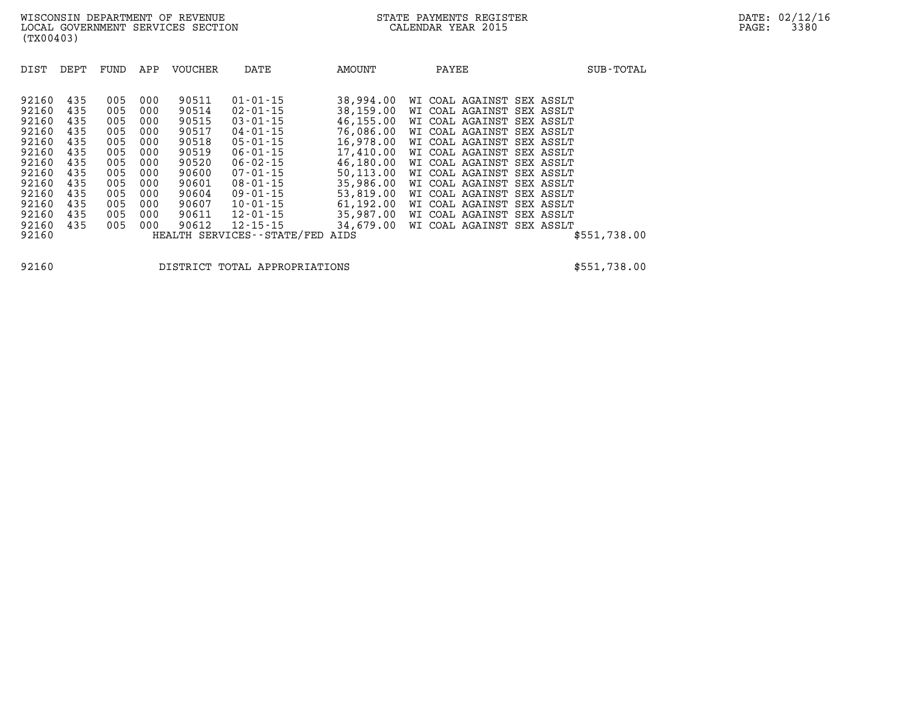| 90511<br>92160<br>435<br>005<br>000<br>$01 - 01 - 15$<br>38,994.00<br>WI COAL AGAINST<br>SEX ASSLT<br>90514<br>92160<br>435<br>005<br>000<br>$02 - 01 - 15$<br>38,159.00<br>WI COAL AGAINST<br>SEX ASSLT<br>$03 - 01 - 15$<br>46,155.00<br>92160<br>435<br>000<br>90515<br>005<br>WI COAL AGAINST<br>SEX ASSLT<br>92160<br>90517<br>SEX ASSLT                                                                                                                                                                                                                                                                                                                                                                                                                                                                                                                                                                                                                                                             | DIST<br>DEPT<br><b>VOUCHER</b><br>APP<br>FUND | DATE<br>AMOUNT              | PAYEE           | SUB-TOTAL    |
|-----------------------------------------------------------------------------------------------------------------------------------------------------------------------------------------------------------------------------------------------------------------------------------------------------------------------------------------------------------------------------------------------------------------------------------------------------------------------------------------------------------------------------------------------------------------------------------------------------------------------------------------------------------------------------------------------------------------------------------------------------------------------------------------------------------------------------------------------------------------------------------------------------------------------------------------------------------------------------------------------------------|-----------------------------------------------|-----------------------------|-----------------|--------------|
| 16,978.00<br>92160<br>435<br>90518<br>$05 - 01 - 15$<br>005<br>000<br>WI COAL AGAINST<br>SEX ASSLT<br>17,410.00<br>92160<br>435<br>90519<br>$06 - 01 - 15$<br>005<br>000<br>WI COAL AGAINST<br>SEX ASSLT<br>46,180.00<br>$06 - 02 - 15$<br>92160<br>435<br>005<br>000<br>90520<br>WI COAL AGAINST<br>SEX ASSLT<br>50, 113, 00<br>92160<br>435<br>005<br>000<br>90600<br>$07 - 01 - 15$<br>WI COAL AGAINST<br>SEX ASSLT<br>35,986.00<br>92160<br>435<br>000<br>90601<br>$08 - 01 - 15$<br>005<br>WI COAL AGAINST<br>SEX ASSLT<br>53,819.00<br>92160<br>435<br>000<br>90604<br>$09 - 01 - 15$<br>005<br>WI COAL AGAINST<br>SEX ASSLT<br>61,192.00<br>92160<br>435<br>005<br>000<br>90607<br>$10 - 01 - 15$<br>WI COAL AGAINST<br>SEX ASSLT<br>35,987.00<br>92160<br>$12 - 01 - 15$<br>435<br>005<br>000<br>90611<br>WI COAL AGAINST<br>SEX ASSLT<br>34,679.00<br>92160<br>000<br>$12 - 15 - 15$<br>435<br>005<br>90612<br>COAL AGAINST<br>SEX ASSLT<br>WI<br>92160<br>HEALTH SERVICES - - STATE/FED<br>AIDS | 435<br>005<br>000                             | 76,086.00<br>$04 - 01 - 15$ | WI COAL AGAINST | \$551,738.00 |

**92160 DISTRICT TOTAL APPROPRIATIONS \$551,738.00**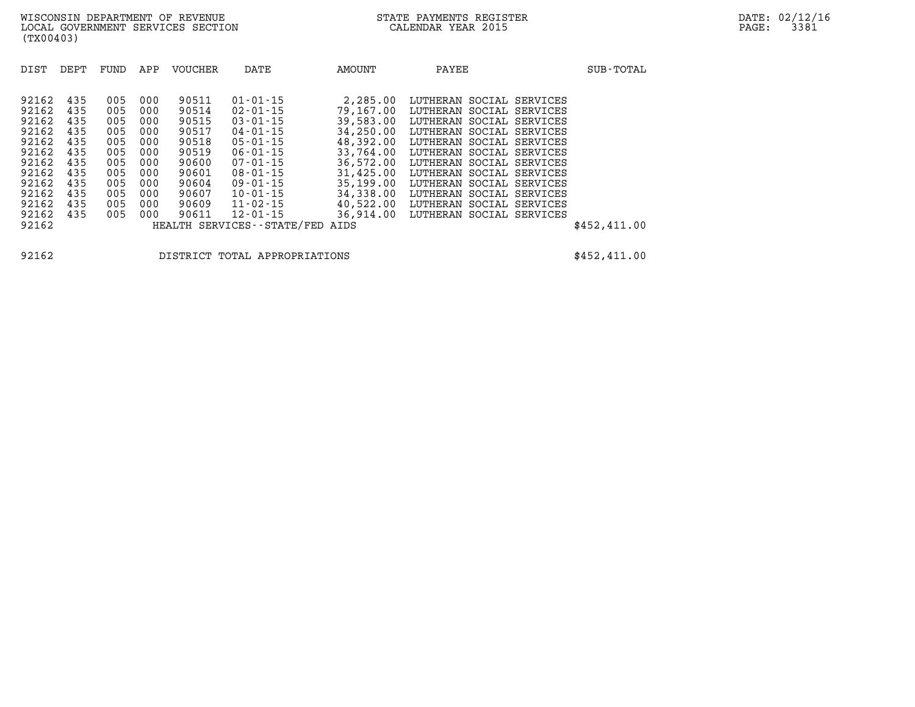| DIST  | DEPT | FUND | APP | VOUCHER | DATE                          | <b>AMOUNT</b> | PAYEE                       | SUB-TOTAL     |
|-------|------|------|-----|---------|-------------------------------|---------------|-----------------------------|---------------|
|       |      |      |     |         |                               |               |                             |               |
| 92162 | 435  | 005  | 000 | 90511   | $01 - 01 - 15$                | 2,285.00      | LUTHERAN SOCIAL SERVICES    |               |
| 92162 | 435  | 005  | 000 | 90514   | $02 - 01 - 15$                | 79,167.00     | LUTHERAN SOCIAL SERVICES    |               |
| 92162 | 435  | 005  | 000 | 90515   | $03 - 01 - 15$                | 39,583.00     | LUTHERAN SOCIAL SERVICES    |               |
| 92162 | 435  | 005  | 000 | 90517   | $04 - 01 - 15$                | 34,250.00     | LUTHERAN SOCIAL SERVICES    |               |
| 92162 | 435  | 005  | 000 | 90518   | $05 - 01 - 15$                | 48,392.00     | LUTHERAN SOCIAL SERVICES    |               |
| 92162 | 435  | 005  | 000 | 90519   | $06 - 01 - 15$                | 33,764.00     | LUTHERAN SOCIAL SERVICES    |               |
| 92162 | 435  | 005  | 000 | 90600   | $07 - 01 - 15$                | 36,572.00     | LUTHERAN SOCIAL SERVICES    |               |
| 92162 | 435  | 005  | 000 | 90601   | $08 - 01 - 15$                | 31,425.00     | LUTHERAN SOCIAL SERVICES    |               |
| 92162 | 435  | 005  | 000 | 90604   | $09 - 01 - 15$                | 35,199.00     | LUTHERAN SOCIAL<br>SERVICES |               |
| 92162 | 435  | 005  | 000 | 90607   | $10 - 01 - 15$                | 34,338.00     | LUTHERAN SOCIAL SERVICES    |               |
| 92162 | 435  | 005  | 000 | 90609   | $11 - 02 - 15$                | 40,522.00     | LUTHERAN SOCIAL SERVICES    |               |
| 92162 | 435  | 005  | 000 | 90611   | $12 - 01 - 15$                | 36,914.00     | LUTHERAN SOCIAL SERVICES    |               |
| 92162 |      |      |     |         | HEALTH SERVICES - - STATE/FED | AIDS          |                             | \$452, 411.00 |

**92162 DISTRICT TOTAL APPROPRIATIONS \$452,411.00**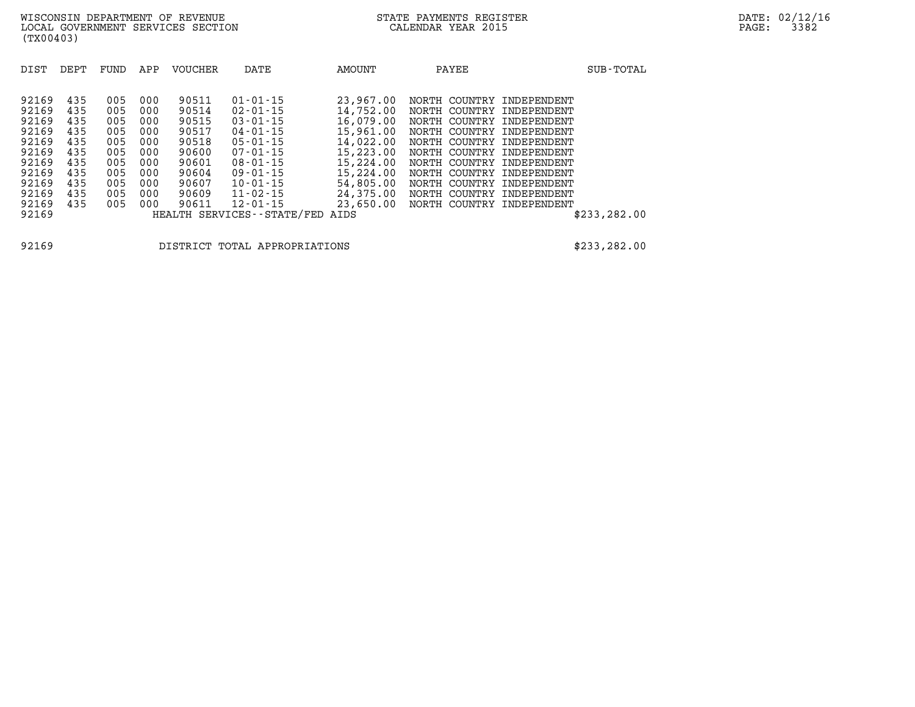| DIST  | DEPT | FUND | APP | <b>VOUCHER</b> | DATE                       | AMOUNT    | PAYEE            | SUB-TOTAL           |
|-------|------|------|-----|----------------|----------------------------|-----------|------------------|---------------------|
|       |      |      |     |                |                            |           |                  |                     |
| 92169 | 435  | 005  | 000 | 90511          | $01 - 01 - 15$             | 23,967.00 | NORTH            | COUNTRY INDEPENDENT |
| 92169 | 435  | 005  | 000 | 90514          | $02 - 01 - 15$             | 14,752.00 | COUNTRY<br>NORTH | INDEPENDENT         |
| 92169 | 435  | 005  | 000 | 90515          | $03 - 01 - 15$             | 16,079.00 | NORTH            | COUNTRY INDEPENDENT |
| 92169 | 435  | 005  | 000 | 90517          | $04 - 01 - 15$             | 15,961.00 | NORTH            | COUNTRY INDEPENDENT |
| 92169 | 435  | 005  | 000 | 90518          | $05 - 01 - 15$             | 14,022.00 | NORTH            | COUNTRY INDEPENDENT |
| 92169 | 435  | 005  | 000 | 90600          | $07 - 01 - 15$             | 15,223.00 | NORTH            | COUNTRY INDEPENDENT |
| 92169 | 435  | 005  | 000 | 90601          | $08 - 01 - 15$             | 15,224.00 | NORTH            | COUNTRY INDEPENDENT |
| 92169 | 435  | 005  | 000 | 90604          | $09 - 01 - 15$             | 15,224.00 | NORTH            | COUNTRY INDEPENDENT |
| 92169 | 435  | 005  | 000 | 90607          | $10 - 01 - 15$             | 54,805,00 | NORTH            | COUNTRY INDEPENDENT |
| 92169 | 435  | 005  | 000 | 90609          | $11 - 02 - 15$             | 24,375.00 | NORTH<br>COUNTRY | INDEPENDENT         |
| 92169 | 435  | 005  | 000 | 90611          | $12 - 01 - 15$             | 23,650.00 | NORTH            | COUNTRY INDEPENDENT |
| 92169 |      |      |     |                | HEALTH SERVICES--STATE/FED | AIDS      |                  | \$233, 282.00       |

**92169 DISTRICT TOTAL APPROPRIATIONS \$233,282.00**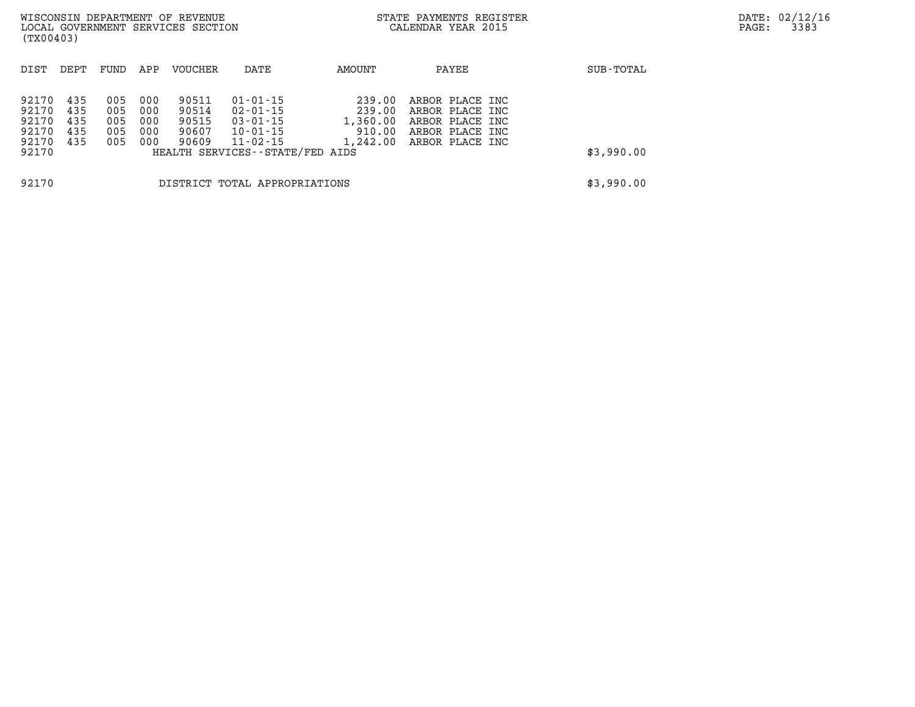| (TX00403)                                          |                                 |                                 |                                 | WISCONSIN DEPARTMENT OF REVENUE<br>LOCAL GOVERNMENT SERVICES SECTION |                                                                                                                           |                                                    | STATE PAYMENTS REGISTER<br>CALENDAR YEAR 2015                                               |            | DATE: 02/12/16<br>3383<br>PAGE: |
|----------------------------------------------------|---------------------------------|---------------------------------|---------------------------------|----------------------------------------------------------------------|---------------------------------------------------------------------------------------------------------------------------|----------------------------------------------------|---------------------------------------------------------------------------------------------|------------|---------------------------------|
| DIST                                               | DEPT                            | FUND                            | APP                             | VOUCHER                                                              | DATE                                                                                                                      | AMOUNT                                             | PAYEE                                                                                       | SUB-TOTAL  |                                 |
| 92170<br>92170<br>92170<br>92170<br>92170<br>92170 | 435<br>435<br>435<br>435<br>435 | 005<br>005<br>005<br>005<br>005 | 000<br>000<br>000<br>000<br>000 | 90511<br>90514<br>90515<br>90607<br>90609                            | $01 - 01 - 15$<br>$02 - 01 - 15$<br>$03 - 01 - 15$<br>$10 - 01 - 15$<br>$11 - 02 - 15$<br>HEALTH SERVICES--STATE/FED AIDS | 239.00<br>239.00<br>1,360.00<br>910.00<br>1,242.00 | ARBOR PLACE INC<br>ARBOR PLACE INC<br>ARBOR PLACE INC<br>ARBOR PLACE INC<br>ARBOR PLACE INC | \$3,990.00 |                                 |
| 92170                                              |                                 |                                 |                                 |                                                                      | DISTRICT TOTAL APPROPRIATIONS                                                                                             |                                                    |                                                                                             | \$3,990.00 |                                 |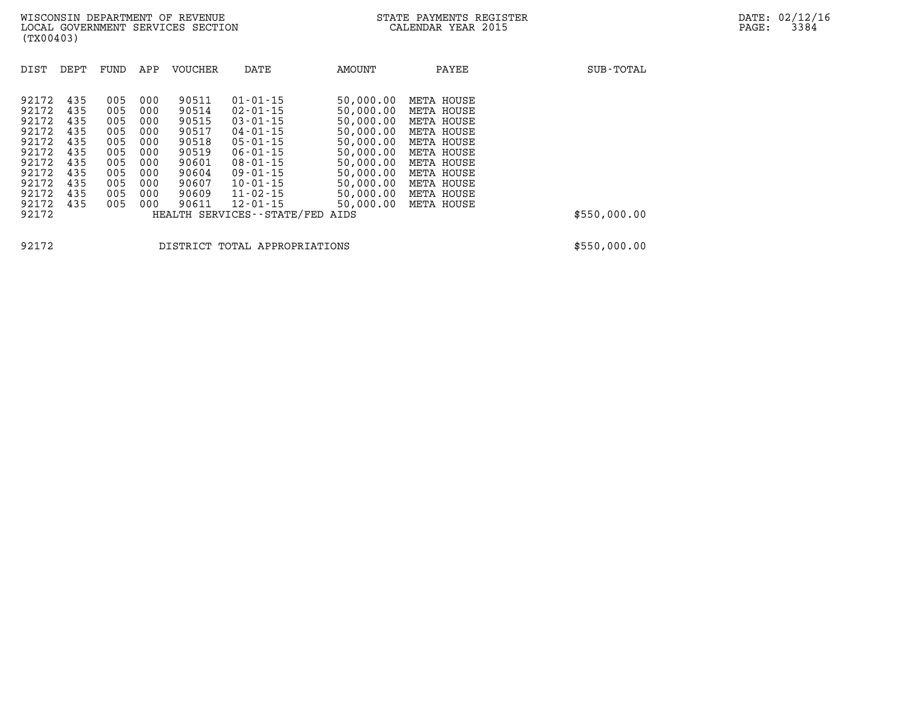| DIST                                                        | DEPT                                          | FUND                                          | APP                                           | <b>VOUCHER</b>                                              | DATE                                                                                                                 | AMOUNT                                                                                  | PAYEE                                                                                          | SUB-TOTAL    |
|-------------------------------------------------------------|-----------------------------------------------|-----------------------------------------------|-----------------------------------------------|-------------------------------------------------------------|----------------------------------------------------------------------------------------------------------------------|-----------------------------------------------------------------------------------------|------------------------------------------------------------------------------------------------|--------------|
| 92172<br>92172<br>92172<br>92172<br>92172<br>92172<br>92172 | 435<br>435<br>435<br>435<br>435<br>435<br>435 | 005<br>005<br>005<br>005<br>005<br>005<br>005 | 000<br>000<br>000<br>000<br>000<br>000<br>000 | 90511<br>90514<br>90515<br>90517<br>90518<br>90519<br>90601 | $01 - 01 - 15$<br>$02 - 01 - 15$<br>$03 - 01 - 15$<br>04-01-15<br>$05 - 01 - 15$<br>$06 - 01 - 15$<br>$08 - 01 - 15$ | 50,000.00<br>50,000.00<br>50,000.00<br>50,000.00<br>50,000.00<br>50,000.00<br>50,000.00 | META HOUSE<br>META HOUSE<br>META HOUSE<br>META HOUSE<br>META HOUSE<br>META HOUSE<br>META HOUSE |              |
| 92172<br>92172<br>92172<br>92172<br>92172                   | 435<br>435<br>435<br>435                      | 005<br>005<br>005<br>005                      | 000<br>000<br>000<br>000                      | 90604<br>90607<br>90609<br>90611                            | $09 - 01 - 15$<br>$10 - 01 - 15$<br>$11 - 02 - 15$<br>$12 - 01 - 15$<br>HEALTH SERVICES - - STATE/FED                | 50,000.00<br>50,000.00<br>50,000.00<br>50,000.00<br>AIDS                                | META HOUSE<br>META HOUSE<br>META HOUSE<br>META HOUSE                                           | \$550,000.00 |

**92172 DISTRICT TOTAL APPROPRIATIONS \$550,000.00**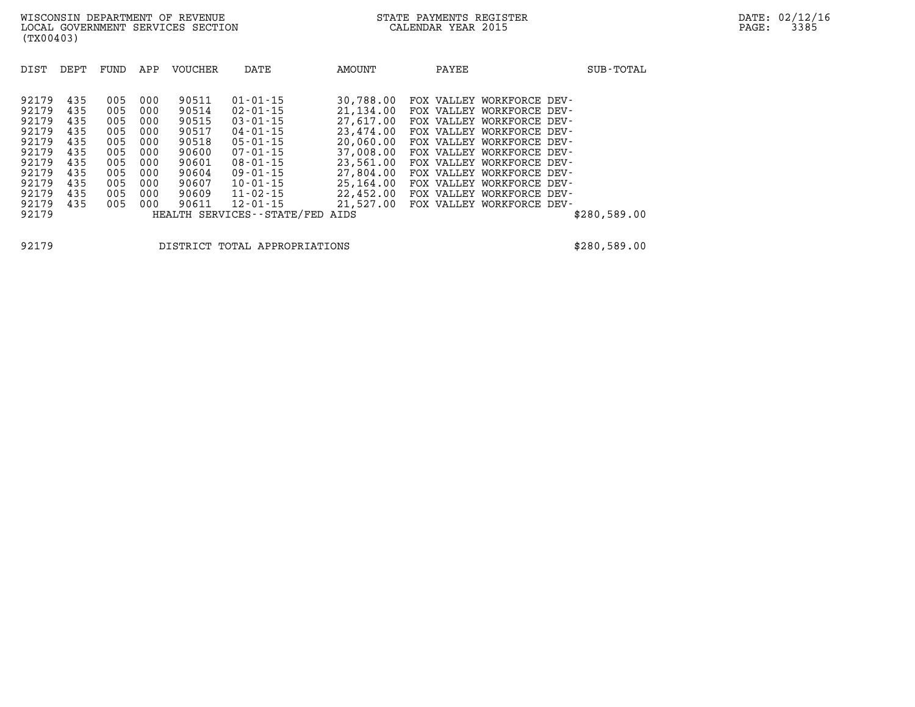| DIST  | DEPT | FUND | APP | <b>VOUCHER</b> | DATE                          | AMOUNT    | PAYEE                     | SUB-TOTAL    |
|-------|------|------|-----|----------------|-------------------------------|-----------|---------------------------|--------------|
| 92179 | 435  | 005  | 000 | 90511          | $01 - 01 - 15$                | 30,788.00 | FOX VALLEY WORKFORCE DEV- |              |
| 92179 | 435  | 005  | 000 | 90514          | $02 - 01 - 15$                | 21,134.00 | FOX VALLEY WORKFORCE DEV- |              |
| 92179 | 435  | 005  | 000 | 90515          | $03 - 01 - 15$                | 27,617.00 | FOX VALLEY WORKFORCE DEV- |              |
| 92179 | 435  | 005  | 000 | 90517          | $04 - 01 - 15$                | 23,474.00 | FOX VALLEY WORKFORCE DEV- |              |
| 92179 | 435  | 005  | 000 | 90518          | $05 - 01 - 15$                | 20,060.00 | FOX VALLEY WORKFORCE DEV- |              |
| 92179 | 435  | 005  | 000 | 90600          | $07 - 01 - 15$                | 37,008.00 | FOX VALLEY WORKFORCE DEV- |              |
| 92179 | 435  | 005  | 000 | 90601          | $08 - 01 - 15$                | 23,561.00 | FOX VALLEY WORKFORCE DEV- |              |
| 92179 | 435  | 005  | 000 | 90604          | $09 - 01 - 15$                | 27,804,00 | FOX VALLEY WORKFORCE DEV- |              |
| 92179 | 435  | 005  | 000 | 90607          | $10 - 01 - 15$                | 25,164.00 | FOX VALLEY WORKFORCE DEV- |              |
| 92179 | 435  | 005  | 000 | 90609          | $11 - 02 - 15$                | 22,452.00 | FOX VALLEY WORKFORCE DEV- |              |
| 92179 | 435  | 005  | 000 | 90611          | $12 - 01 - 15$                | 21,527.00 | FOX VALLEY WORKFORCE DEV- |              |
| 92179 |      |      |     |                | HEALTH SERVICES - - STATE/FED | AIDS      |                           | \$280,589.00 |

**92179 DISTRICT TOTAL APPROPRIATIONS \$280,589.00**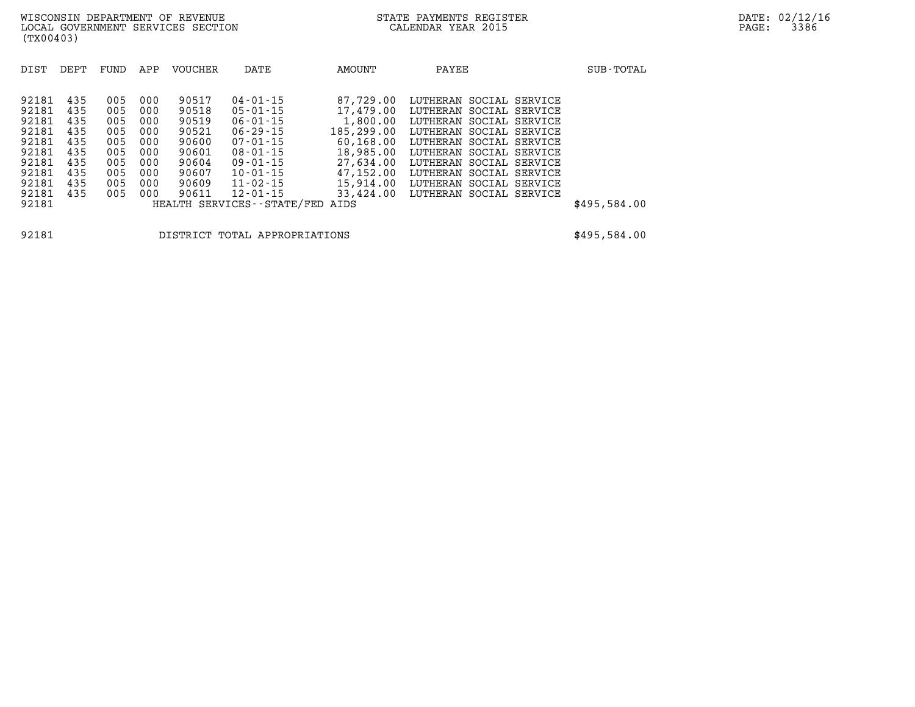| DIST  | DEPT | FUND | APP | <b>VOUCHER</b> | DATE                       | AMOUNT     | PAYEE                   | SUB-TOTAL    |
|-------|------|------|-----|----------------|----------------------------|------------|-------------------------|--------------|
|       |      |      |     |                |                            |            |                         |              |
| 92181 | 435  | 005  | 000 | 90517          | $04 - 01 - 15$             | 87,729.00  | LUTHERAN SOCIAL SERVICE |              |
| 92181 | 435  | 005  | 000 | 90518          | $05 - 01 - 15$             | 17,479.00  | LUTHERAN SOCIAL SERVICE |              |
| 92181 | 435  | 005  | 000 | 90519          | $06 - 01 - 15$             | 1,800.00   | LUTHERAN SOCIAL SERVICE |              |
| 92181 | 435  | 005  | 000 | 90521          | $06 - 29 - 15$             | 185,299.00 | LUTHERAN SOCIAL SERVICE |              |
| 92181 | 435  | 005  | 000 | 90600          | $07 - 01 - 15$             | 60,168.00  | LUTHERAN SOCIAL SERVICE |              |
| 92181 | 435  | 005  | 000 | 90601          | $08 - 01 - 15$             | 18,985.00  | LUTHERAN SOCIAL SERVICE |              |
| 92181 | 435  | 005  | 000 | 90604          | $09 - 01 - 15$             | 27,634.00  | LUTHERAN SOCIAL SERVICE |              |
| 92181 | 435  | 005  | 000 | 90607          | $10 - 01 - 15$             | 47,152.00  | LUTHERAN SOCIAL SERVICE |              |
| 92181 | 435  | 005  | 000 | 90609          | $11 - 02 - 15$             | 15,914.00  | LUTHERAN SOCIAL SERVICE |              |
| 92181 | 435  | 005  | 000 | 90611          | $12 - 01 - 15$             | 33,424.00  | LUTHERAN SOCIAL SERVICE |              |
| 92181 |      |      |     |                | HEALTH SERVICES--STATE/FED | AIDS       |                         | \$495,584.00 |

**92181 DISTRICT TOTAL APPROPRIATIONS \$495,584.00**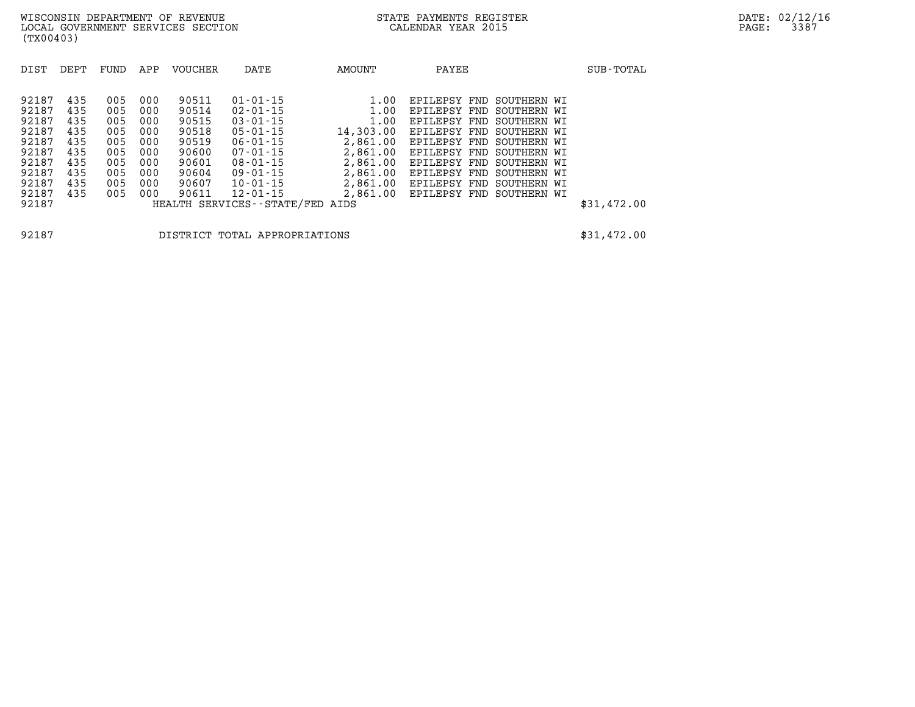| DIST  | DEPT | FUND | APP | <b>VOUCHER</b> | DATE                            | AMOUNT    | PAYEE                    |             | SUB-TOTAL   |
|-------|------|------|-----|----------------|---------------------------------|-----------|--------------------------|-------------|-------------|
| 92187 | 435  | 005  | 000 | 90511          | $01 - 01 - 15$                  | 1.00      | EPILEPSY FND SOUTHERN WI |             |             |
| 92187 | 435  | 005  | 000 | 90514          | $02 - 01 - 15$                  | 1.00      | EPILEPSY<br>FND          | SOUTHERN WI |             |
| 92187 | 435  | 005  | 000 | 90515          | $03 - 01 - 15$                  | 1.00      | EPILEPSY FND SOUTHERN WI |             |             |
| 92187 | 435  | 005  | 000 | 90518          | $05 - 01 - 15$                  | 14,303.00 | EPILEPSY FND SOUTHERN WI |             |             |
| 92187 | 435  | 005  | 000 | 90519          | $06 - 01 - 15$                  | 2,861.00  | EPILEPSY FND SOUTHERN WI |             |             |
| 92187 | 435  | 005  | 000 | 90600          | $07 - 01 - 15$                  | 2,861.00  | EPILEPSY FND SOUTHERN WI |             |             |
| 92187 | 435  | 005  | 000 | 90601          | $08 - 01 - 15$                  | 2,861.00  | EPILEPSY FND SOUTHERN WI |             |             |
| 92187 | 435  | 005  | 000 | 90604          | $09 - 01 - 15$                  | 2,861.00  | EPILEPSY FND SOUTHERN WI |             |             |
| 92187 | 435  | 005  | 000 | 90607          | 10-01-15                        | 2,861.00  | EPILEPSY FND SOUTHERN WI |             |             |
| 92187 | 435  | 005  | 000 | 90611          | $12 - 01 - 15$                  | 2,861.00  | EPILEPSY FND SOUTHERN WI |             |             |
| 92187 |      |      |     |                | HEALTH SERVICES--STATE/FED AIDS |           |                          |             | \$31,472.00 |

**92187 DISTRICT TOTAL APPROPRIATIONS \$31,472.00**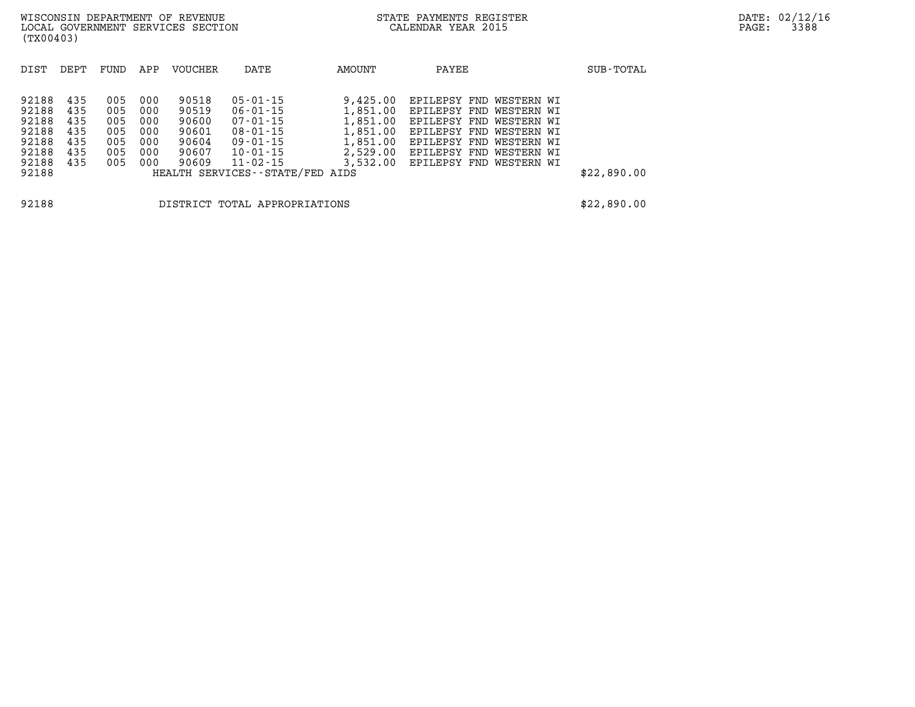| DIST  | DEPT | FUND | APP | <b>VOUCHER</b> | DATE                            | AMOUNT   | PAYEE                   | SUB-TOTAL   |
|-------|------|------|-----|----------------|---------------------------------|----------|-------------------------|-------------|
|       |      |      |     |                |                                 |          |                         |             |
| 92188 | 435  | 005  | 000 | 90518          | $05 - 01 - 15$                  | 9,425.00 | EPILEPSY FND WESTERN WI |             |
| 92188 | 435  | 005  | 000 | 90519          | 06-01-15                        | 1,851.00 | EPILEPSY FND WESTERN WI |             |
| 92188 | 435  | 005  | 000 | 90600          | 07-01-15                        | 1,851.00 | EPILEPSY FND WESTERN WI |             |
| 92188 | 435  | 005  | 000 | 90601          | $08 - 01 - 15$                  | 1,851.00 | EPILEPSY FND WESTERN WI |             |
| 92188 | 435  | 005  | 000 | 90604          | 09-01-15                        | 1,851.00 | EPILEPSY FND WESTERN WI |             |
| 92188 | 435  | 005  | 000 | 90607          | 10-01-15                        | 2,529.00 | EPILEPSY FND WESTERN WI |             |
| 92188 | 435  | 005  | 000 | 90609          | 11-02-15                        | 3,532.00 | EPILEPSY FND WESTERN WI |             |
| 92188 |      |      |     |                | HEALTH SERVICES--STATE/FED AIDS |          |                         | \$22,890.00 |
|       |      |      |     |                |                                 |          |                         |             |
|       |      |      |     |                |                                 |          |                         |             |
| 92188 |      |      |     |                | DISTRICT TOTAL APPROPRIATIONS   |          |                         | \$22,890.00 |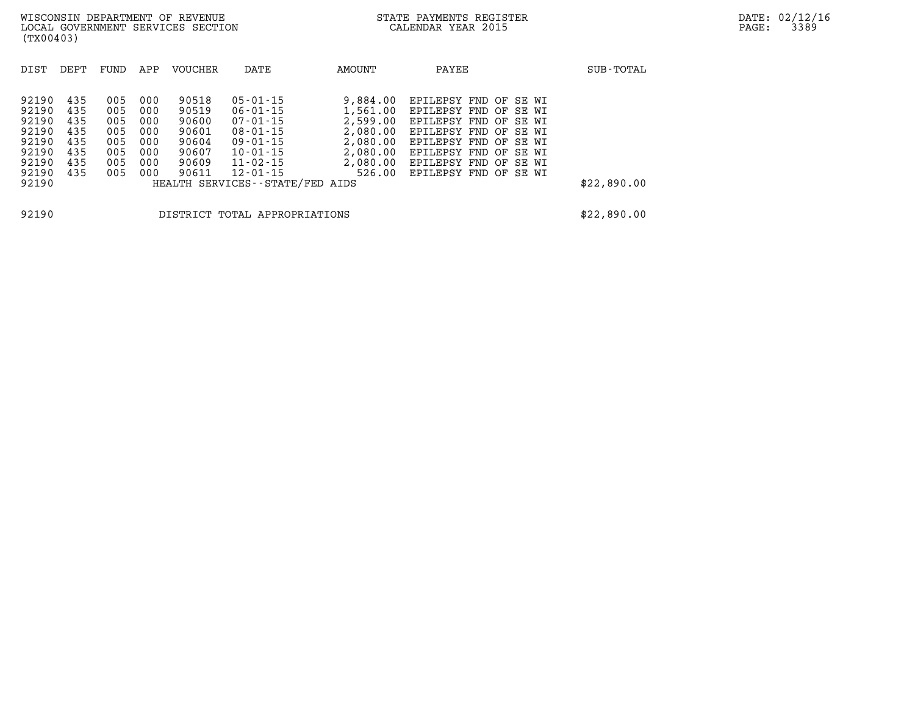| DIST           | DEPT       | FUND       | APP        | <b>VOUCHER</b> | DATE                                              | AMOUNT   | PAYEE                                                   | SUB-TOTAL   |
|----------------|------------|------------|------------|----------------|---------------------------------------------------|----------|---------------------------------------------------------|-------------|
| 92190          | 435        | 005        | 000        | 90518          | $05 - 01 - 15$                                    | 9,884.00 | EPILEPSY FND OF SE WI                                   |             |
| 92190          | 435        | 005        | 000        | 90519          | 06-01-15                                          |          | 1,561.00 EPILEPSY FND OF SE WI                          |             |
| 92190<br>92190 | 435<br>435 | 005<br>005 | 000<br>000 | 90600<br>90601 | 07-01-15<br>$08 - 01 - 15$                        | 2,599.00 | EPILEPSY FND OF SE WI<br>2,080.00 EPILEPSY FND OF SE WI |             |
| 92190          | 435        | 005        | 000        | 90604          | 09-01-15                                          |          | 2,080.00 EPILEPSY FND OF SE WI                          |             |
| 92190          | 435        | 005        | 000        | 90607          | $10 - 01 - 15$                                    |          | 2,080.00 EPILEPSY FND OF SE WI                          |             |
| 92190          | 435        | 005        | 000        | 90609          | 11-02-15                                          |          | 2,080.00 EPILEPSY FND OF SE WI                          |             |
| 92190<br>92190 | 435        | 005        | 000        | 90611          | $12 - 01 - 15$<br>HEALTH SERVICES--STATE/FED AIDS |          | 526.00 EPILEPSY FND OF SE WI                            | \$22,890.00 |
| 92190          |            |            |            |                | DISTRICT TOTAL APPROPRIATIONS                     |          |                                                         | \$22,890.00 |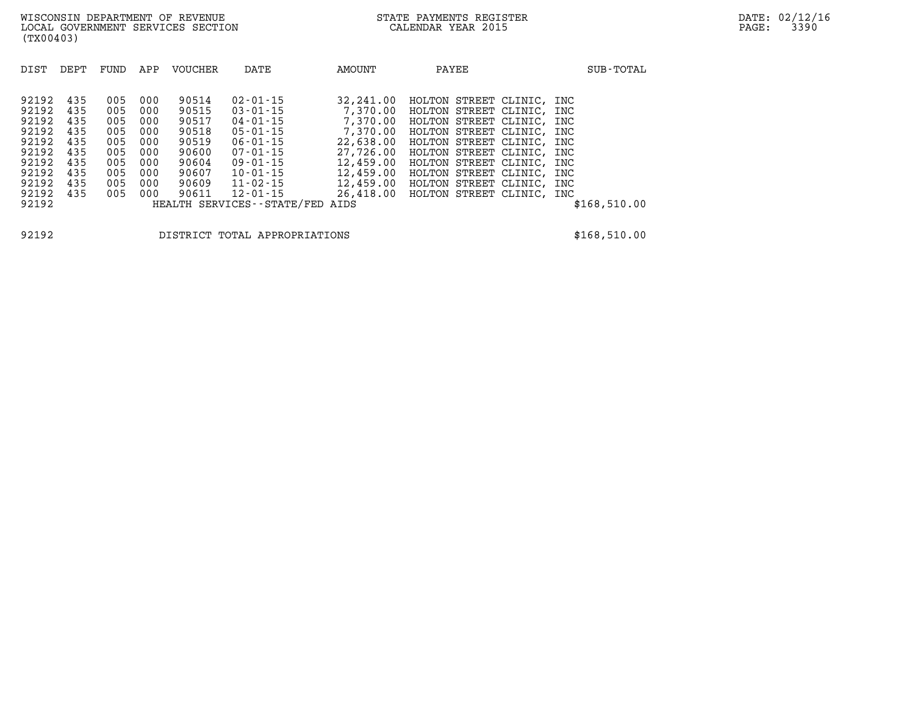| DIST                                               | DEPT                                   | FUND                                   | APP                                    | <b>VOUCHER</b>                                     | DATE                                                                                         | AMOUNT                                                                  | PAYEE                                                                                                                                              | SUB-TOTAL                              |
|----------------------------------------------------|----------------------------------------|----------------------------------------|----------------------------------------|----------------------------------------------------|----------------------------------------------------------------------------------------------|-------------------------------------------------------------------------|----------------------------------------------------------------------------------------------------------------------------------------------------|----------------------------------------|
| 92192<br>92192<br>92192<br>92192<br>92192<br>92192 | 435<br>435<br>435<br>435<br>435<br>435 | 005<br>005<br>005<br>005<br>005<br>005 | 000<br>000<br>000<br>000<br>000<br>000 | 90514<br>90515<br>90517<br>90518<br>90519<br>90600 | $02 - 01 - 15$<br>$03 - 01 - 15$<br>04-01-15<br>$05 - 01 - 15$<br>$06 - 01 - 15$<br>07-01-15 | 32,241.00<br>7,370.00<br>7,370.00<br>7,370.00<br>22,638.00<br>27,726.00 | HOLTON STREET CLINIC,<br>HOLTON STREET CLINIC,<br>HOLTON STREET CLINIC,<br>HOLTON STREET CLINIC,<br>HOLTON STREET CLINIC,<br>HOLTON STREET CLINIC, | INC<br>INC<br>INC<br>INC<br>INC<br>INC |
| 92192                                              | 435                                    | 005                                    | 000                                    | 90604                                              | $09 - 01 - 15$                                                                               | 12,459.00                                                               | HOLTON STREET CLINIC,                                                                                                                              | INC                                    |
| 92192<br>92192                                     | 435<br>435                             | 005<br>005                             | 000<br>000                             | 90607<br>90609                                     | $10 - 01 - 15$<br>$11 - 02 - 15$                                                             | 12,459.00<br>12,459.00                                                  | HOLTON STREET CLINIC,<br>HOLTON STREET CLINIC,                                                                                                     | INC<br>INC                             |
| 92192<br>92192                                     | 435                                    | 005                                    | 000                                    | 90611                                              | $12 - 01 - 15$<br>HEALTH SERVICES - - STATE/FED                                              | 26,418.00<br>AIDS                                                       | HOLTON STREET CLINIC,                                                                                                                              | INC<br>\$168,510.00                    |

**92192 DISTRICT TOTAL APPROPRIATIONS \$168,510.00**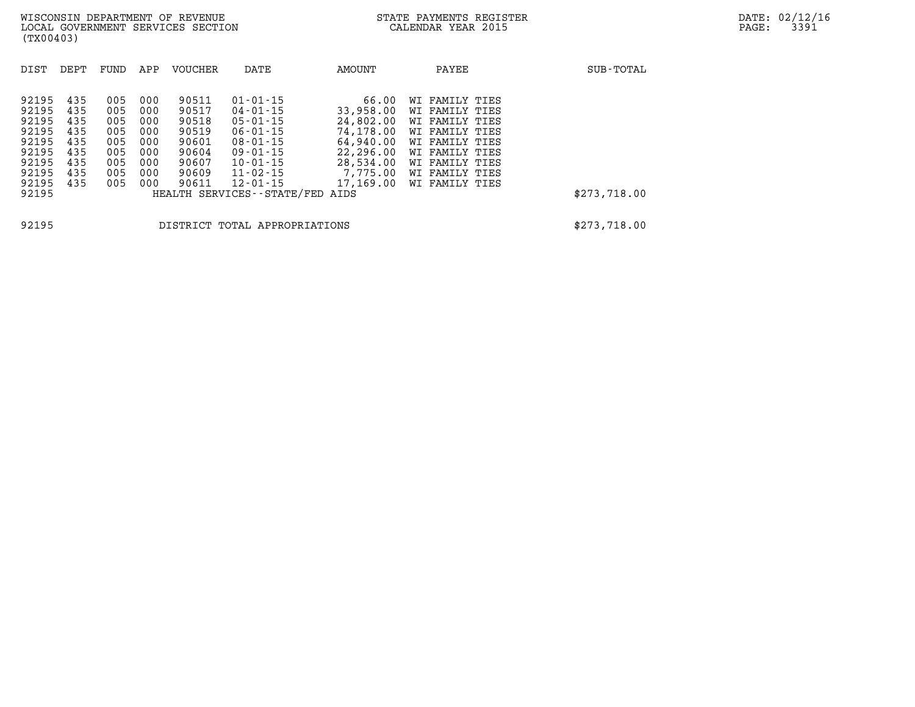| DIST           | DEPT       | FUND       | APP        | <b>VOUCHER</b> | DATE                                              | AMOUNT                 | PAYEE                            | SUB-TOTAL    |
|----------------|------------|------------|------------|----------------|---------------------------------------------------|------------------------|----------------------------------|--------------|
| 92195          | 435        | 005        | 000        | 90511          | $01 - 01 - 15$                                    | 66.00                  | WI FAMILY TIES                   |              |
| 92195          | 435        | 005        | 000        | 90517          | $04 - 01 - 15$                                    | 33,958.00              | WI FAMILY TIES                   |              |
| 92195<br>92195 | 435<br>435 | 005<br>005 | 000<br>000 | 90518<br>90519 | $05 - 01 - 15$<br>$06 - 01 - 15$                  | 24,802.00<br>74,178.00 | WI FAMILY TIES<br>WI FAMILY TIES |              |
| 92195          | 435        | 005        | 000        | 90601          | $08 - 01 - 15$                                    | 64,940.00              | WI FAMILY TIES                   |              |
| 92195<br>92195 | 435<br>435 | 005<br>005 | 000<br>000 | 90604<br>90607 | 09-01-15<br>$10 - 01 - 15$                        | 22,296.00<br>28,534.00 | WI FAMILY TIES<br>WI FAMILY TIES |              |
| 92195          | 435        | 005        | 000        | 90609          | $11 - 02 - 15$                                    | 7,775.00               | WI FAMILY TIES                   |              |
| 92195<br>92195 | 435        | 005        | 000        | 90611          | $12 - 01 - 15$<br>HEALTH SERVICES--STATE/FED AIDS | 17,169.00              | WI FAMILY TIES                   | \$273,718.00 |
|                |            |            |            |                |                                                   |                        |                                  |              |
| 92195          |            |            |            |                | DISTRICT TOTAL APPROPRIATIONS                     |                        |                                  | \$273,718.00 |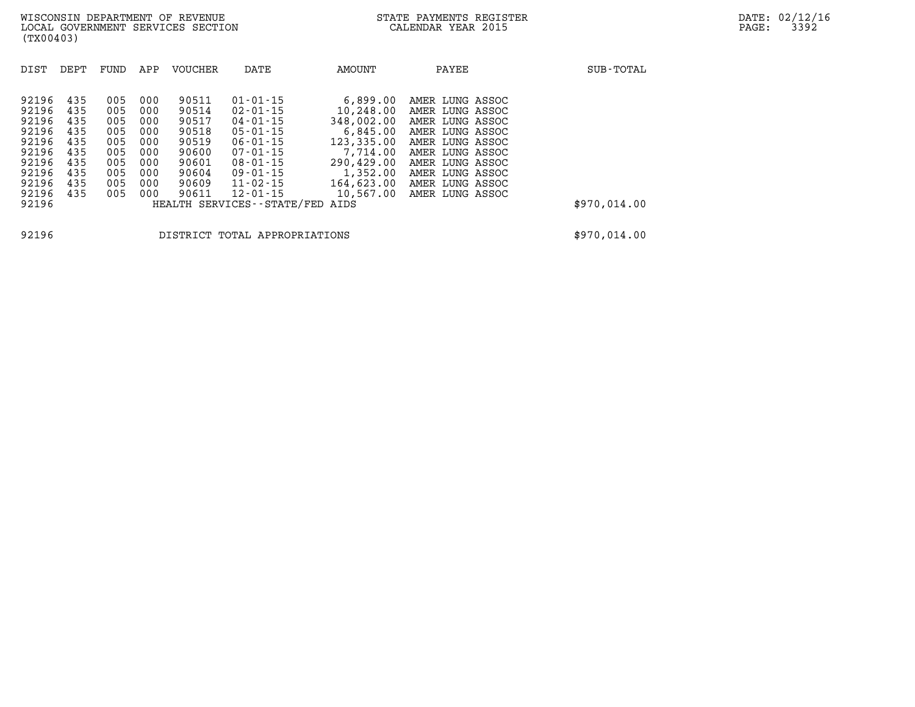| DIST  | DEPT | FUND | APP | <b>VOUCHER</b> | DATE                          | AMOUNT     | PAYEE           | SUB-TOTAL    |
|-------|------|------|-----|----------------|-------------------------------|------------|-----------------|--------------|
| 92196 | 435  | 005  | 000 | 90511          | $01 - 01 - 15$                | 6,899.00   | AMER LUNG ASSOC |              |
| 92196 | 435  | 005  | 000 | 90514          | $02 - 01 - 15$                | 10,248.00  | AMER LUNG ASSOC |              |
| 92196 | 435  | 005  | 000 | 90517          | 04-01-15                      | 348,002.00 | AMER LUNG ASSOC |              |
| 92196 | 435  | 005  | 000 | 90518          | $05 - 01 - 15$                | 6,845.00   | AMER LUNG ASSOC |              |
| 92196 | 435  | 005  | 000 | 90519          | $06 - 01 - 15$                | 123,335.00 | AMER LUNG ASSOC |              |
| 92196 | 435  | 005  | 000 | 90600          | $07 - 01 - 15$                | 7,714.00   | AMER LUNG ASSOC |              |
| 92196 | 435  | 005  | 000 | 90601          | $08 - 01 - 15$                | 290,429.00 | AMER LUNG ASSOC |              |
| 92196 | 435  | 005  | 000 | 90604          | $09 - 01 - 15$                | 1,352.00   | AMER LUNG ASSOC |              |
| 92196 | 435  | 005  | 000 | 90609          | $11 - 02 - 15$                | 164,623.00 | AMER LUNG ASSOC |              |
| 92196 | 435  | 005  | 000 | 90611          | $12 - 01 - 15$                | 10,567.00  | AMER LUNG ASSOC |              |
| 92196 |      |      |     |                | HEALTH SERVICES - - STATE/FED | AIDS       |                 | \$970,014.00 |
|       |      |      |     |                |                               |            |                 |              |

**92196 DISTRICT TOTAL APPROPRIATIONS \$970,014.00**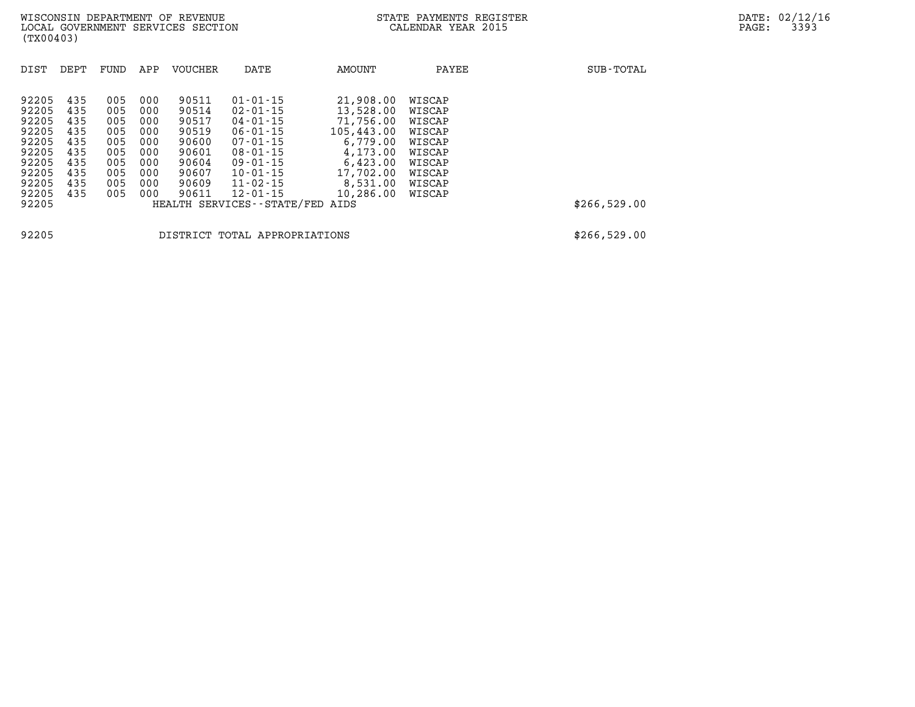| DIST                                                                                   | DEPT                                                               | FUND                                                               | APP                                                                | <b>VOUCHER</b>                                                                         | DATE                                                                                                                                                                       | AMOUNT                                                                                                                      | PAYEE                                                                                            | SUB-TOTAL    |
|----------------------------------------------------------------------------------------|--------------------------------------------------------------------|--------------------------------------------------------------------|--------------------------------------------------------------------|----------------------------------------------------------------------------------------|----------------------------------------------------------------------------------------------------------------------------------------------------------------------------|-----------------------------------------------------------------------------------------------------------------------------|--------------------------------------------------------------------------------------------------|--------------|
| 92205<br>92205<br>92205<br>92205<br>92205<br>92205<br>92205<br>92205<br>92205<br>92205 | 435<br>435<br>435<br>435<br>435<br>435<br>435<br>435<br>435<br>435 | 005<br>005<br>005<br>005<br>005<br>005<br>005<br>005<br>005<br>005 | 000<br>000<br>000<br>000<br>000<br>000<br>000<br>000<br>000<br>000 | 90511<br>90514<br>90517<br>90519<br>90600<br>90601<br>90604<br>90607<br>90609<br>90611 | $01 - 01 - 15$<br>$02 - 01 - 15$<br>04-01-15<br>$06 - 01 - 15$<br>$07 - 01 - 15$<br>$08 - 01 - 15$<br>$09 - 01 - 15$<br>$10 - 01 - 15$<br>$11 - 02 - 15$<br>$12 - 01 - 15$ | 21,908.00<br>13,528.00<br>71,756.00<br>105,443.00<br>6,779.00<br>4,173.00<br>6,423.00<br>17,702.00<br>8,531.00<br>10,286.00 | WISCAP<br>WISCAP<br>WISCAP<br>WISCAP<br>WISCAP<br>WISCAP<br>WISCAP<br>WISCAP<br>WISCAP<br>WISCAP |              |
| 92205                                                                                  |                                                                    |                                                                    |                                                                    |                                                                                        | HEALTH SERVICES - - STATE/FED                                                                                                                                              | AIDS                                                                                                                        |                                                                                                  | \$266,529.00 |
|                                                                                        |                                                                    |                                                                    |                                                                    |                                                                                        |                                                                                                                                                                            |                                                                                                                             |                                                                                                  |              |

**92205 DISTRICT TOTAL APPROPRIATIONS \$266,529.00**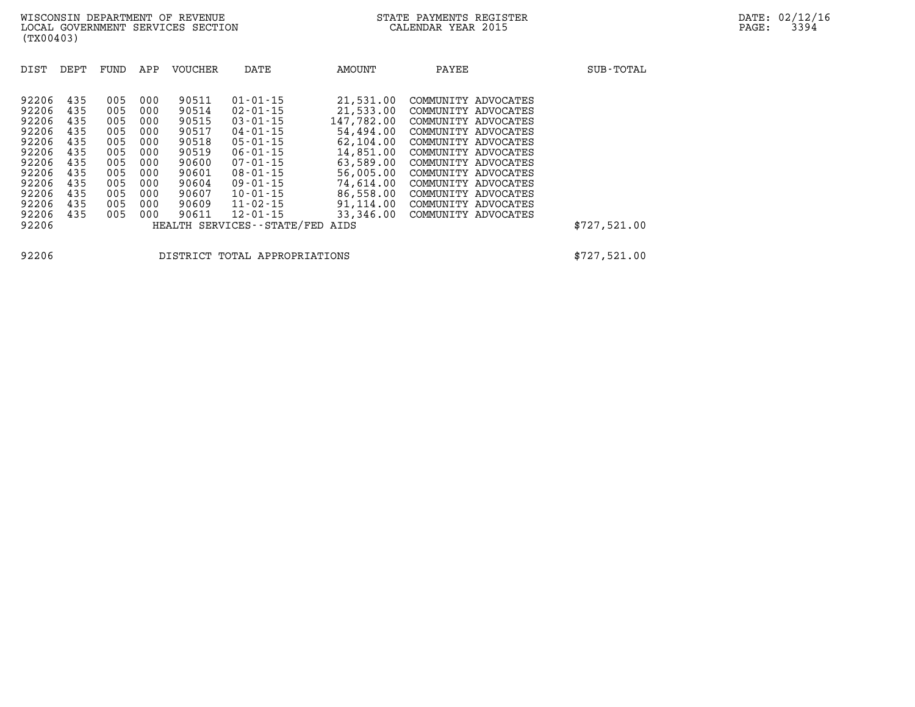| DIST                                                                          | DEPT                                                        | FUND                                                        | APP                                                         | <b>VOUCHER</b>                                                                | DATE                                                                                                                                                           | AMOUNT                                                                                                             | PAYEE                                                                                                                                                                                                       | SUB-TOTAL    |
|-------------------------------------------------------------------------------|-------------------------------------------------------------|-------------------------------------------------------------|-------------------------------------------------------------|-------------------------------------------------------------------------------|----------------------------------------------------------------------------------------------------------------------------------------------------------------|--------------------------------------------------------------------------------------------------------------------|-------------------------------------------------------------------------------------------------------------------------------------------------------------------------------------------------------------|--------------|
| 92206<br>92206<br>92206<br>92206<br>92206<br>92206<br>92206<br>92206<br>92206 | 435<br>435<br>435<br>435<br>435<br>435<br>435<br>435<br>435 | 005<br>005<br>005<br>005<br>005<br>005<br>005<br>005<br>005 | 000<br>000<br>000<br>000<br>000<br>000<br>000<br>000<br>000 | 90511<br>90514<br>90515<br>90517<br>90518<br>90519<br>90600<br>90601<br>90604 | $01 - 01 - 15$<br>$02 - 01 - 15$<br>$03 - 01 - 15$<br>$04 - 01 - 15$<br>$05 - 01 - 15$<br>$06 - 01 - 15$<br>$07 - 01 - 15$<br>$08 - 01 - 15$<br>$09 - 01 - 15$ | 21,531.00<br>21,533.00<br>147,782.00<br>54,494.00<br>62,104.00<br>14,851.00<br>63,589.00<br>56,005.00<br>74,614.00 | COMMUNITY ADVOCATES<br>COMMUNITY ADVOCATES<br>COMMUNITY ADVOCATES<br>COMMUNITY ADVOCATES<br>COMMUNITY ADVOCATES<br>COMMUNITY ADVOCATES<br>COMMUNITY ADVOCATES<br>COMMUNITY ADVOCATES<br>COMMUNITY ADVOCATES |              |
| 92206                                                                         | 435                                                         | 005                                                         | 000                                                         | 90607                                                                         | $10 - 01 - 15$                                                                                                                                                 | 86,558.00                                                                                                          | COMMUNITY<br>ADVOCATES                                                                                                                                                                                      |              |
| 92206<br>92206                                                                | 435<br>435                                                  | 005<br>005                                                  | 000<br>000                                                  | 90609<br>90611                                                                | $11 - 02 - 15$<br>$12 - 01 - 15$                                                                                                                               | 91,114.00<br>33,346.00                                                                                             | COMMUNITY ADVOCATES<br>COMMUNITY ADVOCATES                                                                                                                                                                  |              |
| 92206                                                                         |                                                             |                                                             |                                                             |                                                                               | HEALTH SERVICES - - STATE/FED                                                                                                                                  | AIDS                                                                                                               |                                                                                                                                                                                                             | \$727,521.00 |

**92206 DISTRICT TOTAL APPROPRIATIONS \$727,521.00**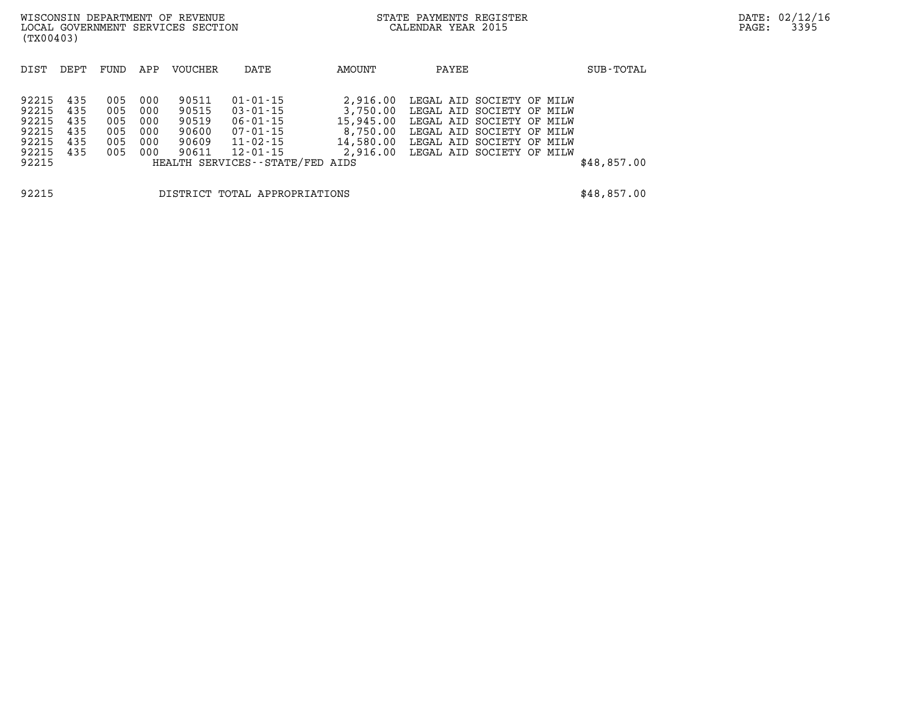|                                                                 | WISCONSIN DEPARTMENT OF REVENUE<br>LOCAL GOVERNMENT SERVICES SECTION<br>(TX00403) |                                        |                                        |                                                    |                                                                                                                  |                                               | STATE PAYMENTS REGISTER<br>CALENDAR YEAR 2015 |                                                                                                                                                                                               |  | PAGE:       | DATE: 02/12/16<br>3395 |  |
|-----------------------------------------------------------------|-----------------------------------------------------------------------------------|----------------------------------------|----------------------------------------|----------------------------------------------------|------------------------------------------------------------------------------------------------------------------|-----------------------------------------------|-----------------------------------------------|-----------------------------------------------------------------------------------------------------------------------------------------------------------------------------------------------|--|-------------|------------------------|--|
| DIST                                                            | DEPT                                                                              | FUND                                   | APP                                    | VOUCHER                                            | DATE                                                                                                             | AMOUNT                                        | PAYEE                                         |                                                                                                                                                                                               |  | SUB-TOTAL   |                        |  |
| 92215<br>92215<br>92215<br>92215<br>92215<br>92215 435<br>92215 | 435<br>435<br>435<br>435<br>435                                                   | 005<br>005<br>005<br>005<br>005<br>005 | 000<br>000<br>000<br>000<br>000<br>000 | 90511<br>90515<br>90519<br>90600<br>90609<br>90611 | $01 - 01 - 15$<br>03-01-15<br>06-01-15<br>07-01-15<br>11-02-15<br>12-01-15<br>HEALTH SERVICES - - STATE/FED AIDS | 2,916.00<br>3,750.00<br>15,945.00<br>8,750.00 |                                               | LEGAL AID SOCIETY OF MILW<br>LEGAL AID SOCIETY OF MILW<br>LEGAL AID SOCIETY OF MILW<br>LEGAL AID SOCIETY OF MILW<br>14,580.00 LEGAL AID SOCIETY OF MILW<br>2,916.00 LEGAL AID SOCIETY OF MILW |  | \$48,857.00 |                        |  |
| 92215                                                           |                                                                                   |                                        |                                        |                                                    | DISTRICT TOTAL APPROPRIATIONS                                                                                    |                                               |                                               |                                                                                                                                                                                               |  | \$48,857.00 |                        |  |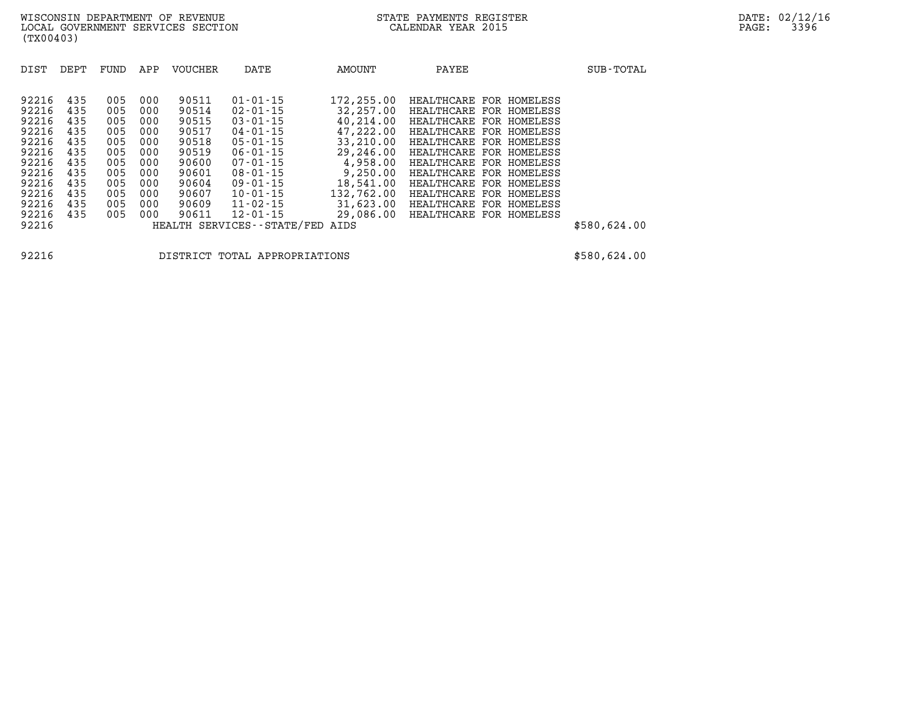| DIST  | DEPT | FUND | APP | <b>VOUCHER</b> | DATE                          | AMOUNT     | PAYEE                      | SUB-TOTAL    |
|-------|------|------|-----|----------------|-------------------------------|------------|----------------------------|--------------|
|       |      |      |     |                |                               |            |                            |              |
| 92216 | 435  | 005  | 000 | 90511          | $01 - 01 - 15$                | 172,255.00 | HEALTHCARE FOR HOMELESS    |              |
| 92216 | 435  | 005  | 000 | 90514          | $02 - 01 - 15$                | 32,257,00  | HEALTHCARE<br>FOR HOMELESS |              |
| 92216 | 435  | 005  | 000 | 90515          | $03 - 01 - 15$                | 40,214.00  | HEALTHCARE<br>FOR HOMELESS |              |
| 92216 | 435  | 005  | 000 | 90517          | $04 - 01 - 15$                | 47,222.00  | HEALTHCARE<br>FOR HOMELESS |              |
| 92216 | 435  | 005  | 000 | 90518          | $05 - 01 - 15$                | 33,210.00  | HEALTHCARE FOR HOMELESS    |              |
| 92216 | 435  | 005  | 000 | 90519          | $06 - 01 - 15$                | 29,246.00  | HEALTHCARE<br>FOR HOMELESS |              |
| 92216 | 435  | 005  | 000 | 90600          | $07 - 01 - 15$                | 4,958.00   | HEALTHCARE FOR HOMELESS    |              |
| 92216 | 435  | 005  | 000 | 90601          | $08 - 01 - 15$                | 9,250.00   | HEALTHCARE<br>FOR HOMELESS |              |
| 92216 | 435  | 005  | 000 | 90604          | $09 - 01 - 15$                | 18,541.00  | HEALTHCARE FOR HOMELESS    |              |
| 92216 | 435  | 005  | 000 | 90607          | $10 - 01 - 15$                | 132,762.00 | HEALTHCARE<br>FOR HOMELESS |              |
| 92216 | 435  | 005  | 000 | 90609          | $11 - 02 - 15$                | 31,623.00  | HEALTHCARE FOR HOMELESS    |              |
| 92216 | 435  | 005  | 000 | 90611          | 12-01-15                      | 29,086.00  | HEALTHCARE FOR HOMELESS    |              |
| 92216 |      |      |     |                | HEALTH SERVICES - - STATE/FED | AIDS       |                            | \$580,624.00 |

**92216 DISTRICT TOTAL APPROPRIATIONS \$580,624.00**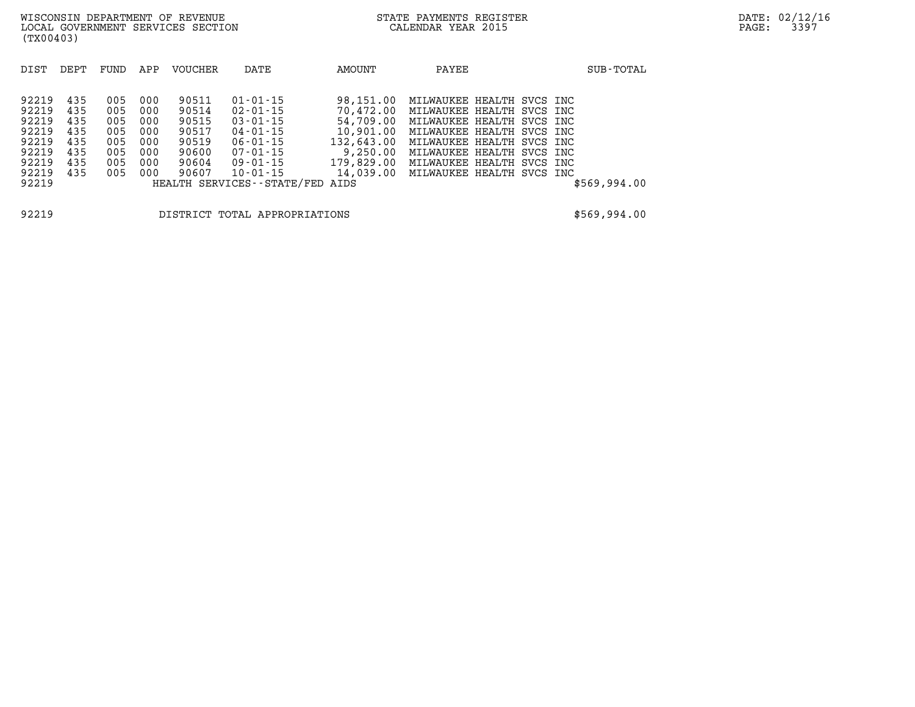| DIST           | DEPT       | FUND       | APP        | <b>VOUCHER</b> | DATE                             | AMOUNT                                           | PAYEE                                                                      |  | SUB-TOTAL    |
|----------------|------------|------------|------------|----------------|----------------------------------|--------------------------------------------------|----------------------------------------------------------------------------|--|--------------|
| 92219<br>92219 | 435<br>435 | 005<br>005 | 000<br>000 | 90511<br>90514 | $01 - 01 - 15$<br>$02 - 01 - 15$ | 98,151.00<br>70,472.00                           | MILWAUKEE HEALTH SVCS INC<br>MILWAUKEE HEALTH SVCS INC                     |  |              |
| 92219<br>92219 | 435<br>435 | 005<br>005 | 000<br>000 | 90515<br>90517 | $03 - 01 - 15$<br>$04 - 01 - 15$ |                                                  | 54,709.00 MILWAUKEE HEALTH SVCS INC<br>10,901.00 MILWAUKEE HEALTH SVCS INC |  |              |
| 92219<br>92219 | 435<br>435 | 005<br>005 | 000<br>000 | 90519<br>90600 | 06-01-15<br>07-01-15             | 132,643.00 MILWAUKEE HEALTH SVCS INC<br>9,250.00 | MILWAUKEE HEALTH SVCS INC                                                  |  |              |
| 92219<br>92219 | 435<br>435 | 005<br>005 | 000<br>000 | 90604<br>90607 | $09 - 01 - 15$<br>10-01-15       | 179,829.00 MILWAUKEE HEALTH SVCS INC             | 14,039.00 MILWAUKEE HEALTH SVCS INC                                        |  |              |
| 92219          |            |            |            |                | HEALTH SERVICES--STATE/FED AIDS  |                                                  |                                                                            |  | \$569,994.00 |

**92219 DISTRICT TOTAL APPROPRIATIONS \$569,994.00**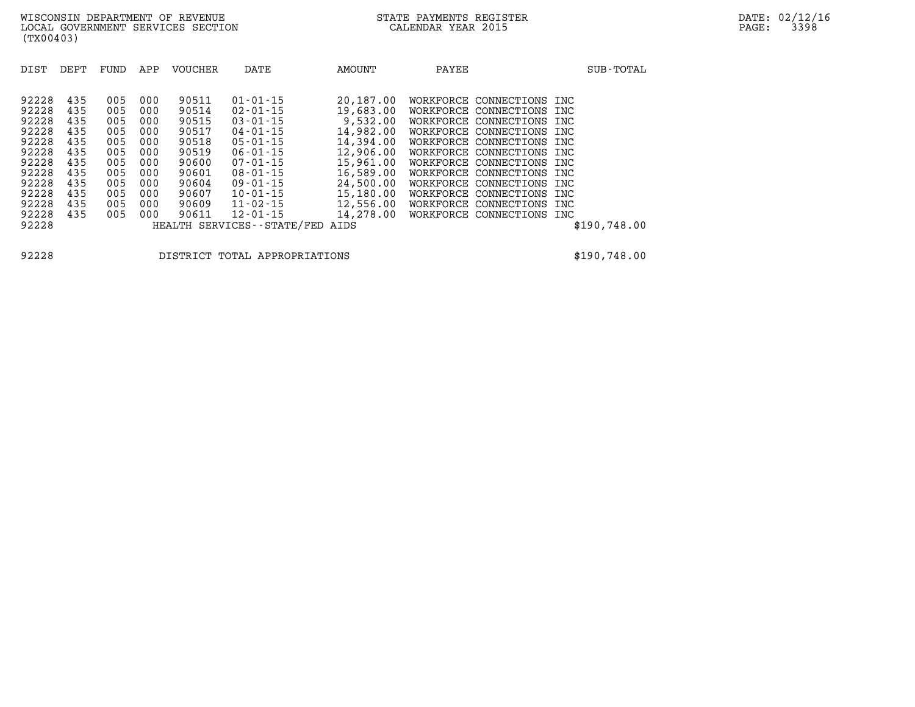| DIST  | DEPT | FUND | APP | <b>VOUCHER</b> | DATE                          | AMOUNT    | PAYEE     |                           |     | SUB-TOTAL    |
|-------|------|------|-----|----------------|-------------------------------|-----------|-----------|---------------------------|-----|--------------|
|       |      |      |     |                |                               |           |           |                           |     |              |
| 92228 | 435  | 005  | 000 | 90511          | $01 - 01 - 15$                | 20,187.00 | WORKFORCE | CONNECTIONS INC           |     |              |
| 92228 | 435  | 005  | 000 | 90514          | $02 - 01 - 15$                | 19,683.00 | WORKFORCE | CONNECTIONS               | INC |              |
| 92228 | 435  | 005  | 000 | 90515          | $03 - 01 - 15$                | 9,532.00  | WORKFORCE | CONNECTIONS               | INC |              |
| 92228 | 435  | 005  | 000 | 90517          | $04 - 01 - 15$                | 14,982.00 | WORKFORCE | CONNECTIONS               | INC |              |
| 92228 | 435  | 005  | 000 | 90518          | $05 - 01 - 15$                | 14,394.00 | WORKFORCE | CONNECTIONS               | INC |              |
| 92228 | 435  | 005  | 000 | 90519          | $06 - 01 - 15$                | 12,906.00 | WORKFORCE | CONNECTIONS INC           |     |              |
| 92228 | 435  | 005  | 000 | 90600          | $07 - 01 - 15$                | 15,961.00 | WORKFORCE | CONNECTIONS INC           |     |              |
| 92228 | 435  | 005  | 000 | 90601          | $08 - 01 - 15$                | 16,589.00 | WORKFORCE | CONNECTIONS INC           |     |              |
| 92228 | 435  | 005  | 000 | 90604          | $09 - 01 - 15$                | 24,500.00 | WORKFORCE | CONNECTIONS INC           |     |              |
| 92228 | 435  | 005  | 000 | 90607          | $10 - 01 - 15$                | 15,180.00 | WORKFORCE | CONNECTIONS INC           |     |              |
| 92228 | 435  | 005  | 000 | 90609          | $11 - 02 - 15$                | 12,556.00 | WORKFORCE | CONNECTIONS               | INC |              |
| 92228 | 435  | 005  | 000 | 90611          | $12 - 01 - 15$                | 14,278.00 |           | WORKFORCE CONNECTIONS INC |     |              |
| 92228 |      |      |     |                | HEALTH SERVICES - - STATE/FED | AIDS      |           |                           |     | \$190,748.00 |
|       |      |      |     |                |                               |           |           |                           |     |              |

**92228 DISTRICT TOTAL APPROPRIATIONS \$190,748.00**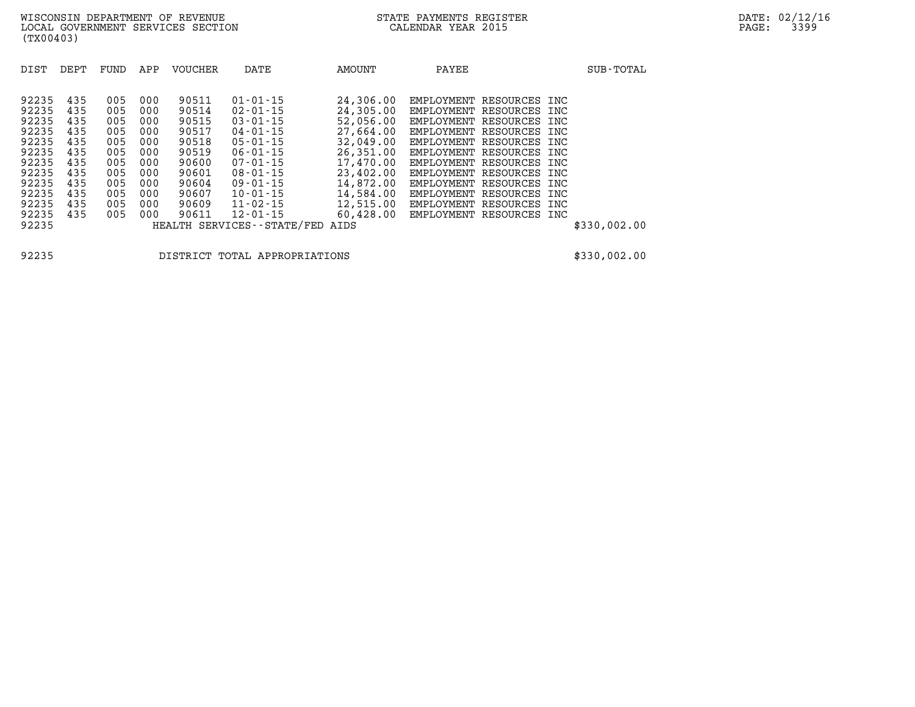| 92235<br>435<br>90511<br>$01 - 01 - 15$<br>24,306.00<br>005<br>000<br>EMPLOYMENT RESOURCES INC<br>24,305,00<br>92235<br>90514<br>435<br>005<br>$02 - 01 - 15$<br>000<br>EMPLOYMENT<br>RESOURCES INC<br>92235<br>90515<br>435<br>$03 - 01 - 15$<br>52,056.00<br>005<br>000<br>EMPLOYMENT<br>RESOURCES INC<br>27,664.00<br>92235<br>90517<br>435<br>005<br>$04 - 01 - 15$<br>000<br>EMPLOYMENT<br>RESOURCES INC<br>92235<br>90518<br>32,049.00<br>435<br>005<br>000<br>$05 - 01 - 15$<br>EMPLOYMENT RESOURCES INC | DIST  | DEPT | FUND | APP | VOUCHER | DATE           | AMOUNT    | PAYEE      |               | SUB-TOTAL |
|-----------------------------------------------------------------------------------------------------------------------------------------------------------------------------------------------------------------------------------------------------------------------------------------------------------------------------------------------------------------------------------------------------------------------------------------------------------------------------------------------------------------|-------|------|------|-----|---------|----------------|-----------|------------|---------------|-----------|
|                                                                                                                                                                                                                                                                                                                                                                                                                                                                                                                 |       |      |      |     |         |                |           |            |               |           |
|                                                                                                                                                                                                                                                                                                                                                                                                                                                                                                                 |       |      |      |     |         |                |           |            |               |           |
|                                                                                                                                                                                                                                                                                                                                                                                                                                                                                                                 |       |      |      |     |         |                |           |            |               |           |
|                                                                                                                                                                                                                                                                                                                                                                                                                                                                                                                 |       |      |      |     |         |                |           |            |               |           |
|                                                                                                                                                                                                                                                                                                                                                                                                                                                                                                                 |       |      |      |     |         |                |           |            |               |           |
|                                                                                                                                                                                                                                                                                                                                                                                                                                                                                                                 |       |      |      |     |         |                |           |            |               |           |
|                                                                                                                                                                                                                                                                                                                                                                                                                                                                                                                 | 92235 | 435  | 005  | 000 | 90519   | $06 - 01 - 15$ | 26,351.00 | EMPLOYMENT | RESOURCES INC |           |
| 92235<br>90600<br>435<br>17,470.00<br>005<br>000<br>$07 - 01 - 15$<br>EMPLOYMENT<br>RESOURCES INC                                                                                                                                                                                                                                                                                                                                                                                                               |       |      |      |     |         |                |           |            |               |           |
| 23,402.00<br>92235<br>90601<br>435<br>$08 - 01 - 15$<br>005<br>000<br>EMPLOYMENT<br>RESOURCES INC                                                                                                                                                                                                                                                                                                                                                                                                               |       |      |      |     |         |                |           |            |               |           |
| 14,872.00<br>92235<br>90604<br>435<br>005<br>000<br>$09 - 01 - 15$<br>RESOURCES INC<br>EMPLOYMENT                                                                                                                                                                                                                                                                                                                                                                                                               |       |      |      |     |         |                |           |            |               |           |
| 14,584.00<br>92235<br>90607<br>435<br>005<br>$10 - 01 - 15$<br>000<br>EMPLOYMENT<br>RESOURCES INC                                                                                                                                                                                                                                                                                                                                                                                                               |       |      |      |     |         |                |           |            |               |           |
| 92235<br>435<br>90609<br>$11 - 02 - 15$<br>12,515.00<br>005<br>000<br>EMPLOYMENT<br>RESOURCES INC                                                                                                                                                                                                                                                                                                                                                                                                               |       |      |      |     |         |                |           |            |               |           |
| 60,428.00<br>92235<br>435<br>90611<br>005<br>000<br>$12 - 01 - 15$<br>EMPLOYMENT RESOURCES INC                                                                                                                                                                                                                                                                                                                                                                                                                  |       |      |      |     |         |                |           |            |               |           |
| 92235<br>HEALTH SERVICES - - STATE/FED<br>\$330,002.00<br>AIDS                                                                                                                                                                                                                                                                                                                                                                                                                                                  |       |      |      |     |         |                |           |            |               |           |

**92235 DISTRICT TOTAL APPROPRIATIONS \$330,002.00**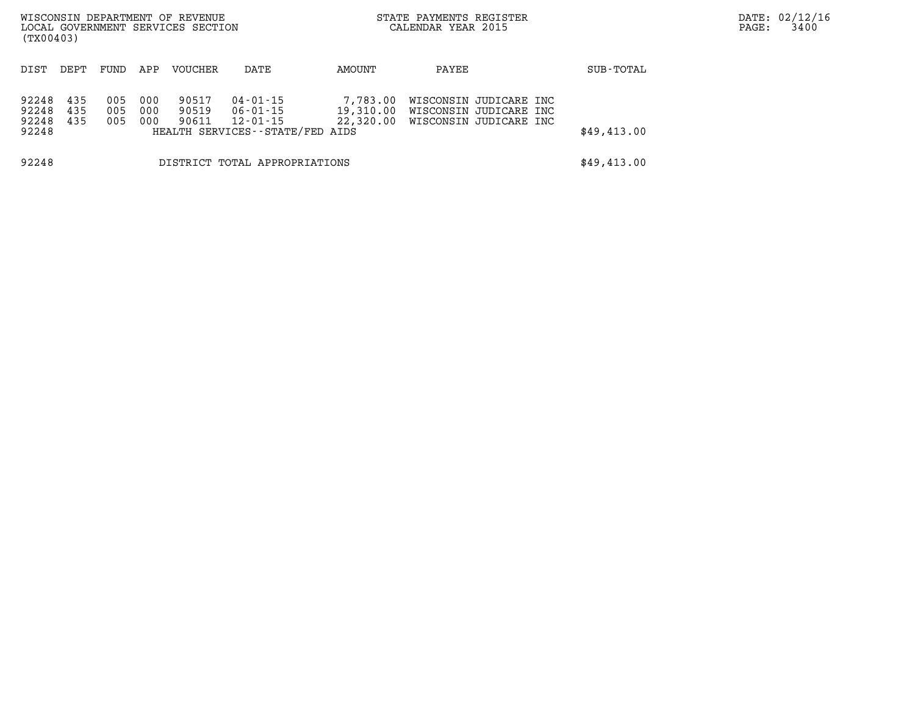| WISCONSIN DEPARTMENT OF REVENUE<br>LOCAL GOVERNMENT SERVICES SECTION<br>(TX00403) |            |             |            |                |                                  |                        | STATE PAYMENTS REGISTER<br>CALENDAR YEAR 2015 |                                                  | DATE: 02/12/16<br>3400<br>PAGE: |  |  |
|-----------------------------------------------------------------------------------|------------|-------------|------------|----------------|----------------------------------|------------------------|-----------------------------------------------|--------------------------------------------------|---------------------------------|--|--|
|                                                                                   |            |             |            |                |                                  |                        |                                               |                                                  |                                 |  |  |
| DIST                                                                              | DEPT.      | <b>FUND</b> | APP        | <b>VOUCHER</b> | DATE                             | AMOUNT                 | PAYEE                                         |                                                  | SUB-TOTAL                       |  |  |
| 92248                                                                             | 435        | 005         | 000        | 90517          | 04-01-15                         | 7,783.00               |                                               | WISCONSIN JUDICARE INC                           |                                 |  |  |
| 92248<br>92248                                                                    | 435<br>435 | 005<br>005  | 000<br>000 | 90519<br>90611 | $06 - 01 - 15$<br>$12 - 01 - 15$ | 19,310.00<br>22,320.00 |                                               | WISCONSIN JUDICARE INC<br>WISCONSIN JUDICARE INC |                                 |  |  |
| 92248                                                                             |            |             |            |                | HEALTH SERVICES--STATE/FED AIDS  |                        |                                               |                                                  | \$49,413.00                     |  |  |
| 92248                                                                             |            |             |            |                | DISTRICT TOTAL APPROPRIATIONS    |                        |                                               |                                                  | \$49,413.00                     |  |  |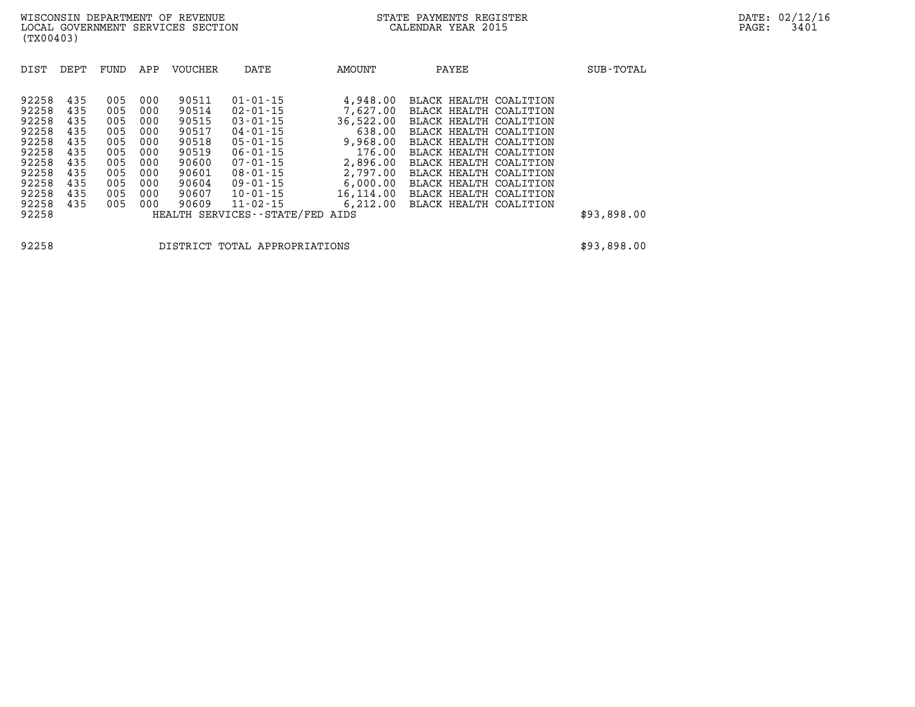| DEPT<br>APP<br><b>VOUCHER</b><br>DATE<br>DIST<br>FUND                                                                                                                                                                                                                                                                                                                                                                                                                                                                                                                                                                                                                                     | AMOUNT                                                                                                                                 | PAYEE                                                                                                                                                                                                                                                                                      | SUB-TOTAL   |
|-------------------------------------------------------------------------------------------------------------------------------------------------------------------------------------------------------------------------------------------------------------------------------------------------------------------------------------------------------------------------------------------------------------------------------------------------------------------------------------------------------------------------------------------------------------------------------------------------------------------------------------------------------------------------------------------|----------------------------------------------------------------------------------------------------------------------------------------|--------------------------------------------------------------------------------------------------------------------------------------------------------------------------------------------------------------------------------------------------------------------------------------------|-------------|
| 92258<br>435<br>90511<br>$01 - 01 - 15$<br>005<br>000<br>92258<br>435<br>90514<br>005<br>000<br>$02 - 01 - 15$<br>92258<br>90515<br>435<br>$03 - 01 - 15$<br>005<br>000<br>92258<br>90517<br>435<br>000<br>$04 - 01 - 15$<br>005<br>92258<br>435<br>000<br>90518<br>$05 - 01 - 15$<br>005<br>92258<br>90519<br>435<br>005<br>000<br>$06 - 01 - 15$<br>92258<br>435<br>000<br>90600<br>005<br>$07 - 01 - 15$<br>92258<br>435<br>90601<br>005<br>000<br>$08 - 01 - 15$<br>92258<br>90604<br>435<br>$09 - 01 - 15$<br>005<br>000<br>92258<br>435<br>005<br>000<br>90607<br>$10 - 01 - 15$<br>92258<br>$11 - 02 - 15$<br>435<br>90609<br>005<br>000<br>92258<br>HEALTH SERVICES - - STATE/FED | 4,948.00<br>7,627,00<br>36,522.00<br>638.00<br>9,968.00<br>176.00<br>2,896.00<br>2,797.00<br>6,000.00<br>16,114.00<br>6,212.00<br>AIDS | BLACK HEALTH COALITION<br>BLACK HEALTH COALITION<br>BLACK HEALTH COALITION<br>BLACK HEALTH COALITION<br>BLACK HEALTH COALITION<br>BLACK HEALTH COALITION<br>BLACK HEALTH COALITION<br>BLACK HEALTH COALITION<br>BLACK HEALTH COALITION<br>BLACK HEALTH COALITION<br>BLACK HEALTH COALITION | \$93,898.00 |

**92258 DISTRICT TOTAL APPROPRIATIONS \$93,898.00**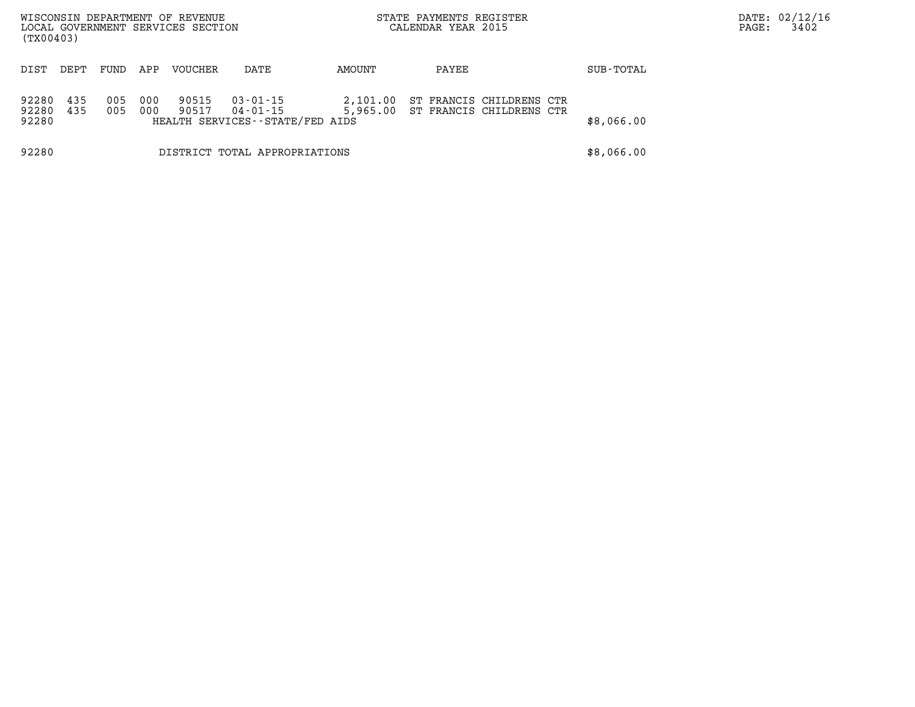| (TX00403)               |            |            |            | WISCONSIN DEPARTMENT OF REVENUE<br>LOCAL GOVERNMENT SERVICES SECTION |                                                         | STATE PAYMENTS REGISTER<br>CALENDAR YEAR 2015 |                                                      | PAGE: | DATE: 02/12/16<br>3402 |  |  |
|-------------------------|------------|------------|------------|----------------------------------------------------------------------|---------------------------------------------------------|-----------------------------------------------|------------------------------------------------------|-------|------------------------|--|--|
| DIST                    | DEPT       | FUND       | APP        | <b>VOUCHER</b>                                                       | DATE                                                    | AMOUNT                                        | PAYEE                                                |       | SUB-TOTAL              |  |  |
| 92280<br>92280<br>92280 | 435<br>435 | 005<br>005 | 000<br>000 | 90515<br>90517                                                       | 03-01-15<br>04-01-15<br>HEALTH SERVICES--STATE/FED AIDS | 2,101.00<br>5,965.00                          | ST FRANCIS CHILDRENS CTR<br>ST FRANCIS CHILDRENS CTR |       | \$8,066.00             |  |  |
| 92280                   |            |            |            |                                                                      | DISTRICT TOTAL APPROPRIATIONS                           |                                               |                                                      |       | \$8,066.00             |  |  |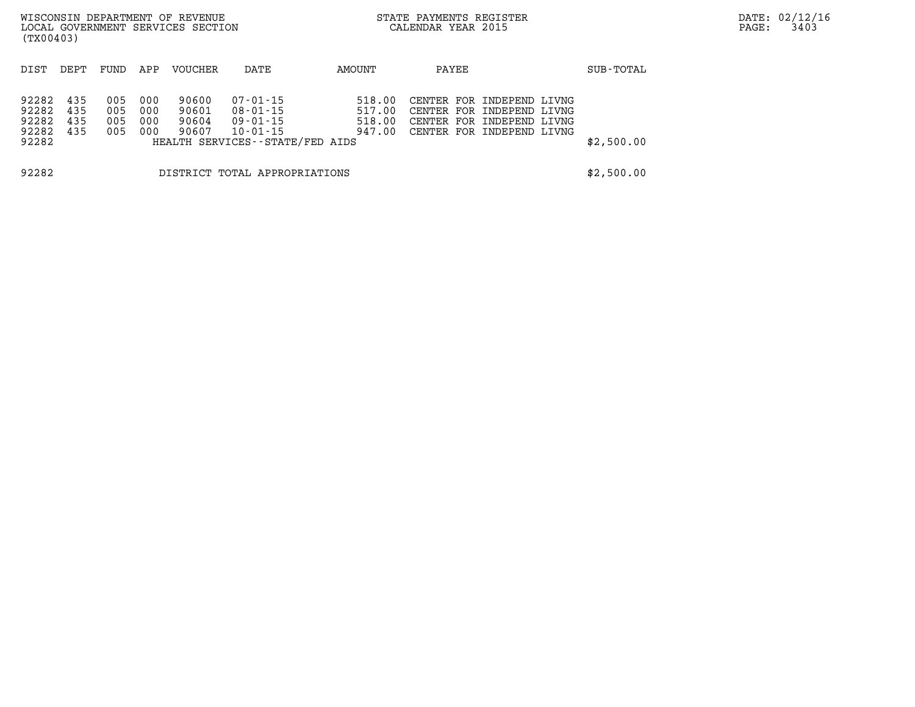| WISCONSIN DEPARTMENT OF REVENUE<br>LOCAL GOVERNMENT SERVICES SECTION<br>(TX00403) |                          |                          |                          |                                  |                                                                                       |                                      | STATE PAYMENTS REGISTER<br>CALENDAR YEAR 2015 |                                                                                                                  |            | DATE: 02/12/16<br>3403<br>PAGE: |  |
|-----------------------------------------------------------------------------------|--------------------------|--------------------------|--------------------------|----------------------------------|---------------------------------------------------------------------------------------|--------------------------------------|-----------------------------------------------|------------------------------------------------------------------------------------------------------------------|------------|---------------------------------|--|
| DIST                                                                              | DEPT                     | FUND                     | APP                      | VOUCHER                          | DATE                                                                                  | AMOUNT                               | PAYEE                                         |                                                                                                                  | SUB-TOTAL  |                                 |  |
| 92282<br>92282<br>92282<br>92282<br>92282                                         | 435<br>435<br>435<br>435 | 005<br>005<br>005<br>005 | 000<br>000<br>000<br>000 | 90600<br>90601<br>90604<br>90607 | 07-01-15<br>08-01-15<br>09-01-15<br>$10 - 01 - 15$<br>HEALTH SERVICES--STATE/FED AIDS | 518.00<br>517.00<br>518.00<br>947.00 |                                               | CENTER FOR INDEPEND LIVNG<br>CENTER FOR INDEPEND LIVNG<br>CENTER FOR INDEPEND LIVNG<br>CENTER FOR INDEPEND LIVNG | \$2,500.00 |                                 |  |
| 92282                                                                             |                          |                          |                          |                                  | DISTRICT TOTAL APPROPRIATIONS                                                         |                                      |                                               |                                                                                                                  | \$2,500.00 |                                 |  |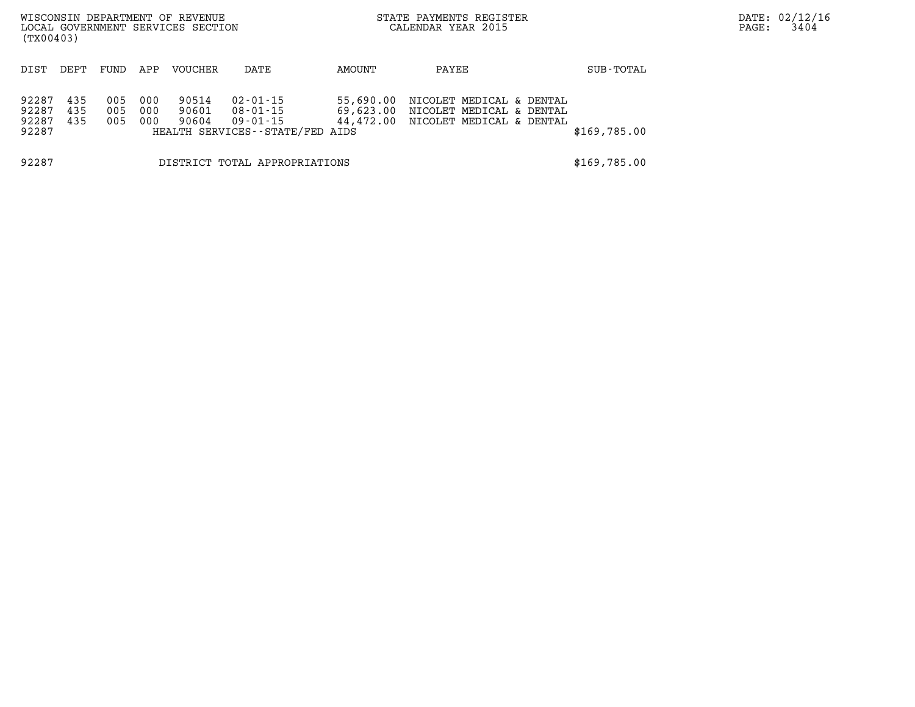| WISCONSIN DEPARTMENT OF REVENUE<br>LOCAL GOVERNMENT SERVICES SECTION<br>(TX00403) |                   |                   |                   |                         |                                                                     |                        | STATE PAYMENTS REGISTER<br>CALENDAR YEAR 2015                                              |              | DATE: 02/12/16<br>PAGE: | 3404 |
|-----------------------------------------------------------------------------------|-------------------|-------------------|-------------------|-------------------------|---------------------------------------------------------------------|------------------------|--------------------------------------------------------------------------------------------|--------------|-------------------------|------|
| DIST                                                                              | DEPT              | FUND              | APP               | <b>VOUCHER</b>          | DATE                                                                | AMOUNT                 | PAYEE                                                                                      | SUB-TOTAL    |                         |      |
| 92287<br>92287<br>92287<br>92287                                                  | 435<br>435<br>435 | 005<br>005<br>005 | 000<br>000<br>000 | 90514<br>90601<br>90604 | 02-01-15<br>08-01-15<br>09-01-15<br>HEALTH SERVICES--STATE/FED AIDS | 55,690.00<br>69,623.00 | NICOLET MEDICAL & DENTAL<br>NICOLET MEDICAL & DENTAL<br>44,472.00 NICOLET MEDICAL & DENTAL | \$169,785.00 |                         |      |
| 92287                                                                             |                   |                   |                   |                         | DISTRICT TOTAL APPROPRIATIONS                                       |                        |                                                                                            | \$169,785.00 |                         |      |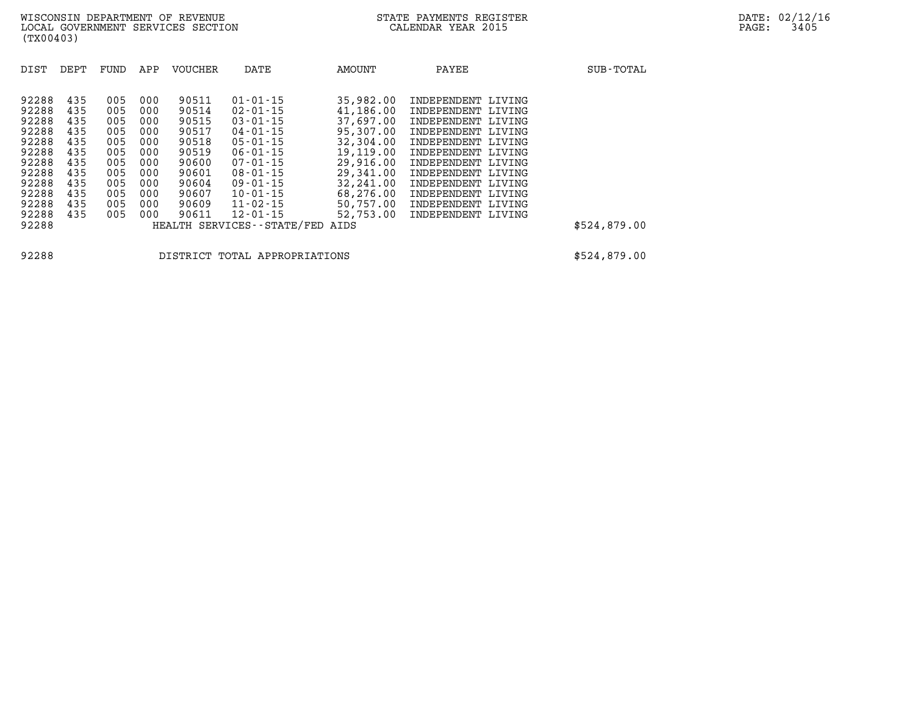| DIST  | DEPT | FUND | APP | <b>VOUCHER</b> | DATE                          | AMOUNT    | PAYEE              | SUB-TOTAL    |
|-------|------|------|-----|----------------|-------------------------------|-----------|--------------------|--------------|
| 92288 | 435  | 005  | 000 | 90511          | $01 - 01 - 15$                | 35,982,00 | INDEPENDENT LIVING |              |
| 92288 | 435  | 005  | 000 | 90514          | $02 - 01 - 15$                | 41,186.00 | INDEPENDENT LIVING |              |
| 92288 | 435  | 005  | 000 | 90515          | $03 - 01 - 15$                | 37,697.00 | INDEPENDENT LIVING |              |
| 92288 | 435  | 005  | 000 | 90517          | $04 - 01 - 15$                | 95,307.00 | INDEPENDENT LIVING |              |
| 92288 | 435  | 005  | 000 | 90518          | $05 - 01 - 15$                | 32,304.00 | INDEPENDENT LIVING |              |
| 92288 | 435  | 005  | 000 | 90519          | $06 - 01 - 15$                | 19,119.00 | INDEPENDENT LIVING |              |
| 92288 | 435  | 005  | 000 | 90600          | $07 - 01 - 15$                | 29,916.00 | INDEPENDENT LIVING |              |
| 92288 | 435  | 005  | 000 | 90601          | $08 - 01 - 15$                | 29,341.00 | INDEPENDENT LIVING |              |
| 92288 | 435  | 005  | 000 | 90604          | 09-01-15                      | 32,241.00 | INDEPENDENT LIVING |              |
| 92288 | 435  | 005  | 000 | 90607          | $10 - 01 - 15$                | 68,276.00 | INDEPENDENT LIVING |              |
| 92288 | 435  | 005  | 000 | 90609          | $11 - 02 - 15$                | 50,757.00 | INDEPENDENT LIVING |              |
| 92288 | 435  | 005  | 000 | 90611          | $12 - 01 - 15$                | 52,753.00 | INDEPENDENT LIVING |              |
| 92288 |      |      |     |                | HEALTH SERVICES - - STATE/FED | AIDS      |                    | \$524,879.00 |

**92288 DISTRICT TOTAL APPROPRIATIONS \$524,879.00**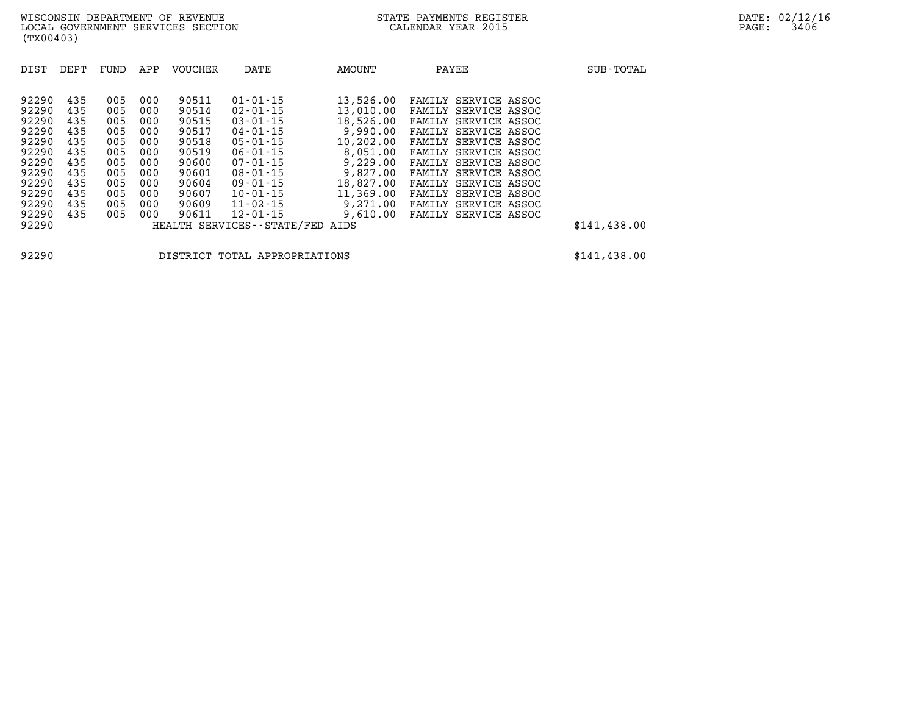| DIST                                                                          | DEPT                                                        | FUND                                                        | APP                                                         | <b>VOUCHER</b>                                                                | DATE                                                                                                                                                           | AMOUNT                                                                                                        | PAYEE                                                                                                                                                                                                                | SUB-TOTAL    |
|-------------------------------------------------------------------------------|-------------------------------------------------------------|-------------------------------------------------------------|-------------------------------------------------------------|-------------------------------------------------------------------------------|----------------------------------------------------------------------------------------------------------------------------------------------------------------|---------------------------------------------------------------------------------------------------------------|----------------------------------------------------------------------------------------------------------------------------------------------------------------------------------------------------------------------|--------------|
| 92290<br>92290<br>92290<br>92290<br>92290<br>92290<br>92290<br>92290<br>92290 | 435<br>435<br>435<br>435<br>435<br>435<br>435<br>435<br>435 | 005<br>005<br>005<br>005<br>005<br>005<br>005<br>005<br>005 | 000<br>000<br>000<br>000<br>000<br>000<br>000<br>000<br>000 | 90511<br>90514<br>90515<br>90517<br>90518<br>90519<br>90600<br>90601<br>90604 | $01 - 01 - 15$<br>$02 - 01 - 15$<br>$03 - 01 - 15$<br>$04 - 01 - 15$<br>$05 - 01 - 15$<br>$06 - 01 - 15$<br>$07 - 01 - 15$<br>$08 - 01 - 15$<br>$09 - 01 - 15$ | 13,526.00<br>13,010.00<br>18,526.00<br>9,990.00<br>10,202.00<br>8,051.00<br>9,229.00<br>9,827.00<br>18,827.00 | FAMILY SERVICE ASSOC<br>FAMILY SERVICE ASSOC<br>FAMILY SERVICE ASSOC<br>FAMILY SERVICE ASSOC<br>FAMILY SERVICE ASSOC<br>FAMILY SERVICE ASSOC<br>FAMILY SERVICE ASSOC<br>FAMILY SERVICE ASSOC<br>FAMILY SERVICE ASSOC |              |
| 92290<br>92290                                                                | 435<br>435                                                  | 005<br>005                                                  | 000<br>000                                                  | 90609<br>90611                                                                | $11 - 02 - 15$<br>$12 - 01 - 15$                                                                                                                               | 9,271.00<br>9,610.00                                                                                          | FAMILY SERVICE ASSOC<br>FAMILY SERVICE ASSOC                                                                                                                                                                         |              |
| 92290                                                                         | 435                                                         | 005                                                         | 000                                                         | 90607                                                                         | $10 - 01 - 15$                                                                                                                                                 | 11,369.00                                                                                                     | FAMILY SERVICE ASSOC                                                                                                                                                                                                 |              |
| 92290                                                                         |                                                             |                                                             |                                                             |                                                                               | HEALTH SERVICES - - STATE/FED                                                                                                                                  | AIDS                                                                                                          |                                                                                                                                                                                                                      | \$141,438.00 |

**92290 DISTRICT TOTAL APPROPRIATIONS \$141,438.00**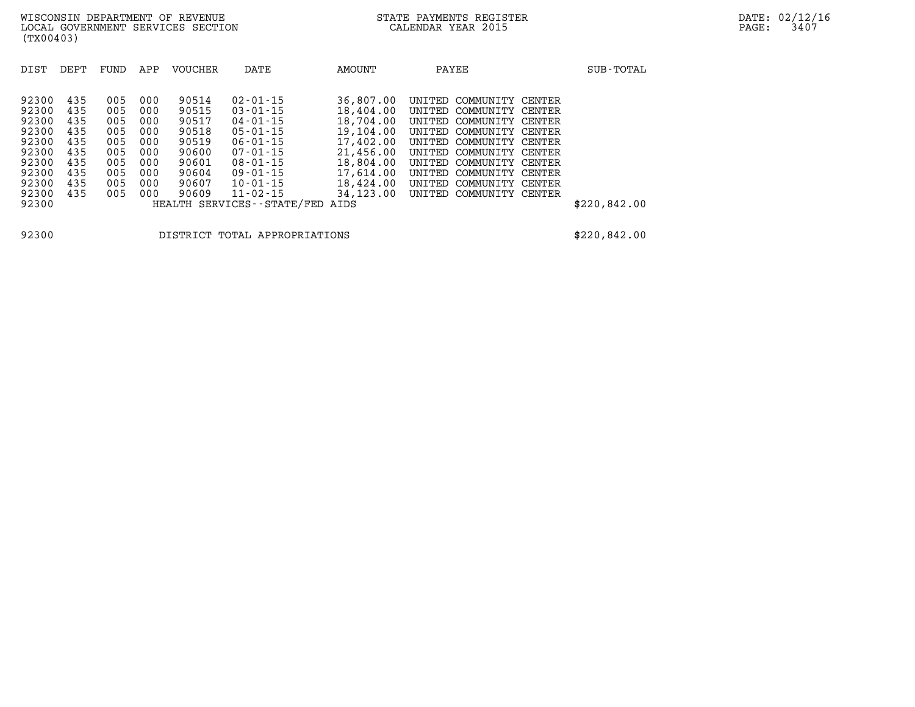| DIST                                                                          | DEPT                                                        | FUND                                                        | APP                                                         | <b>VOUCHER</b>                                                                | DATE                                                                                                                                                           | AMOUNT                                                                                                            | PAYEE                                                                                                                                                                                                                                                       | SUB-TOTAL    |
|-------------------------------------------------------------------------------|-------------------------------------------------------------|-------------------------------------------------------------|-------------------------------------------------------------|-------------------------------------------------------------------------------|----------------------------------------------------------------------------------------------------------------------------------------------------------------|-------------------------------------------------------------------------------------------------------------------|-------------------------------------------------------------------------------------------------------------------------------------------------------------------------------------------------------------------------------------------------------------|--------------|
| 92300<br>92300<br>92300<br>92300<br>92300<br>92300<br>92300<br>92300<br>92300 | 435<br>435<br>435<br>435<br>435<br>435<br>435<br>435<br>435 | 005<br>005<br>005<br>005<br>005<br>005<br>005<br>005<br>005 | 000<br>000<br>000<br>000<br>000<br>000<br>000<br>000<br>000 | 90514<br>90515<br>90517<br>90518<br>90519<br>90600<br>90601<br>90604<br>90607 | $02 - 01 - 15$<br>$03 - 01 - 15$<br>$04 - 01 - 15$<br>$05 - 01 - 15$<br>$06 - 01 - 15$<br>$07 - 01 - 15$<br>$08 - 01 - 15$<br>$09 - 01 - 15$<br>$10 - 01 - 15$ | 36,807,00<br>18,404.00<br>18,704.00<br>19,104.00<br>17,402.00<br>21,456.00<br>18,804.00<br>17,614.00<br>18,424.00 | COMMUNITY CENTER<br>UNITED<br>UNITED COMMUNITY CENTER<br>UNITED COMMUNITY CENTER<br>UNITED COMMUNITY CENTER<br>UNITED COMMUNITY CENTER<br>UNITED COMMUNITY CENTER<br>UNITED<br>COMMUNITY CENTER<br>UNITED<br>COMMUNITY CENTER<br>COMMUNITY CENTER<br>UNITED |              |
| 92300<br>92300                                                                | 435                                                         | 005                                                         | 000                                                         | 90609                                                                         | $11 - 02 - 15$<br>HEALTH SERVICES--STATE/FED AIDS                                                                                                              | 34,123.00                                                                                                         | UNITED COMMUNITY CENTER                                                                                                                                                                                                                                     | \$220,842.00 |

**92300 DISTRICT TOTAL APPROPRIATIONS \$220,842.00**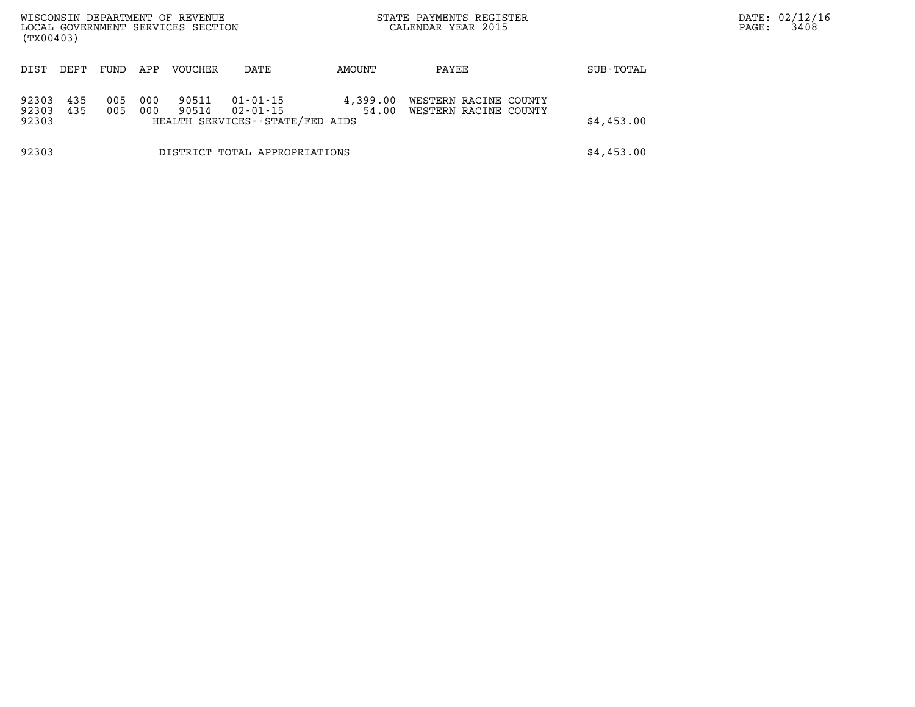| (TX00403)               |            |            |            | WISCONSIN DEPARTMENT OF REVENUE<br>LOCAL GOVERNMENT SERVICES SECTION |                                                               |                   | STATE PAYMENTS REGISTER<br>CALENDAR YEAR 2015  |            | DATE: 02/12/16<br>3408<br>PAGE: |
|-------------------------|------------|------------|------------|----------------------------------------------------------------------|---------------------------------------------------------------|-------------------|------------------------------------------------|------------|---------------------------------|
| DIST                    | DEPT       | FUND       | APP        | <b>VOUCHER</b>                                                       | DATE                                                          | AMOUNT            | PAYEE                                          | SUB-TOTAL  |                                 |
| 92303<br>92303<br>92303 | 435<br>435 | 005<br>005 | 000<br>000 | 90511<br>90514                                                       | $01 - 01 - 15$<br>02-01-15<br>HEALTH SERVICES--STATE/FED AIDS | 4,399.00<br>54.00 | WESTERN RACINE COUNTY<br>WESTERN RACINE COUNTY | \$4,453.00 |                                 |
| 92303                   |            |            |            |                                                                      | DISTRICT TOTAL APPROPRIATIONS                                 |                   |                                                | \$4,453.00 |                                 |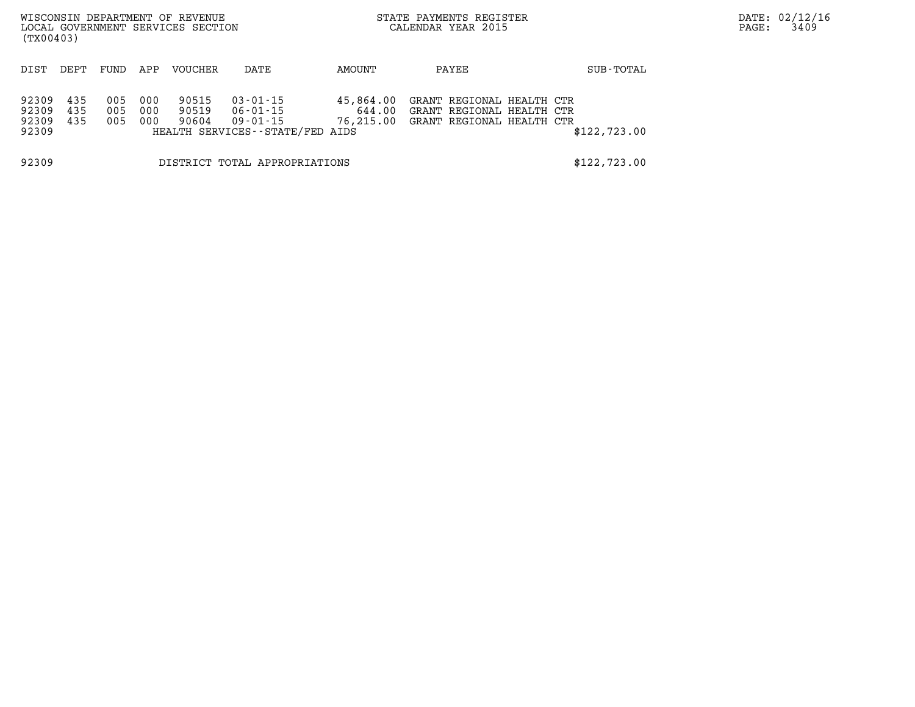| WISCONSIN DEPARTMENT OF REVENUE<br>LOCAL GOVERNMENT SERVICES SECTION<br>(TX00403) |                   |                   |                   |                         |                                                                     |                                  | STATE PAYMENTS REGISTER<br>CALENDAR YEAR 2015                                       |              | DATE: 02/12/16<br>PAGE:<br>3409 |
|-----------------------------------------------------------------------------------|-------------------|-------------------|-------------------|-------------------------|---------------------------------------------------------------------|----------------------------------|-------------------------------------------------------------------------------------|--------------|---------------------------------|
| DIST                                                                              | DEPT              | FUND              | APP               | <b>VOUCHER</b>          | DATE                                                                | AMOUNT                           | PAYEE                                                                               | SUB-TOTAL    |                                 |
| 92309<br>92309<br>92309<br>92309                                                  | 435<br>435<br>435 | 005<br>005<br>005 | 000<br>000<br>000 | 90515<br>90519<br>90604 | 03-01-15<br>06-01-15<br>09-01-15<br>HEALTH SERVICES--STATE/FED AIDS | 45,864.00<br>644.00<br>76,215.00 | GRANT REGIONAL HEALTH CTR<br>GRANT REGIONAL HEALTH CTR<br>GRANT REGIONAL HEALTH CTR | \$122,723.00 |                                 |
| 92309                                                                             |                   |                   |                   |                         | DISTRICT TOTAL APPROPRIATIONS                                       |                                  |                                                                                     | \$122,723.00 |                                 |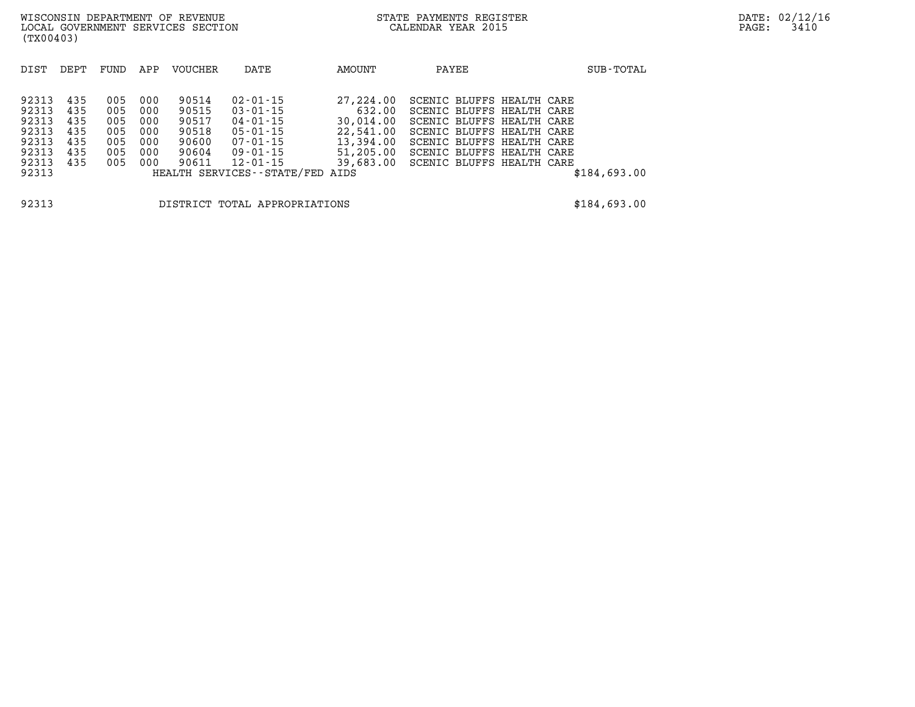| DEPT | FUND | APP | VOUCHER | DATE                    | AMOUNT                           | PAYEE                                                        | SUB-TOTAL                                                                                                                                                                                               |
|------|------|-----|---------|-------------------------|----------------------------------|--------------------------------------------------------------|---------------------------------------------------------------------------------------------------------------------------------------------------------------------------------------------------------|
|      |      |     |         |                         |                                  |                                                              |                                                                                                                                                                                                         |
|      |      |     |         |                         |                                  |                                                              |                                                                                                                                                                                                         |
| 435  |      |     |         |                         |                                  |                                                              |                                                                                                                                                                                                         |
| 435  | 005  | 000 |         | $03 - 01 - 15$          | 632.00                           |                                                              |                                                                                                                                                                                                         |
| 435  | 005  | 000 |         | $04 - 01 - 15$          |                                  |                                                              |                                                                                                                                                                                                         |
| 435  | 005  | 000 | 90518   | $05 - 01 - 15$          | 22,541.00                        |                                                              |                                                                                                                                                                                                         |
| 435  | 005  | 000 | 90600   | $07 - 01 - 15$          | 13,394.00                        |                                                              |                                                                                                                                                                                                         |
| 435  | 005  | 000 | 90604   | $09 - 01 - 15$          | 51,205.00                        |                                                              |                                                                                                                                                                                                         |
| 435  | 005  | 000 | 90611   |                         | 39,683.00                        |                                                              |                                                                                                                                                                                                         |
|      |      |     |         |                         |                                  |                                                              | \$184,693.00                                                                                                                                                                                            |
|      |      |     |         |                         |                                  |                                                              |                                                                                                                                                                                                         |
|      |      | 005 | 000     | 90514<br>90515<br>90517 | $02 - 01 - 15$<br>$12 - 01 - 15$ | 27,224.00<br>30,014.00<br>HEALTH SERVICES--STATE/FED<br>AIDS | SCENIC BLUFFS HEALTH CARE<br>SCENIC BLUFFS HEALTH CARE<br>SCENIC BLUFFS HEALTH CARE<br>SCENIC BLUFFS HEALTH CARE<br>SCENIC BLUFFS HEALTH CARE<br>SCENIC BLUFFS HEALTH CARE<br>SCENIC BLUFFS HEALTH CARE |

**92313 DISTRICT TOTAL APPROPRIATIONS \$184,693.00**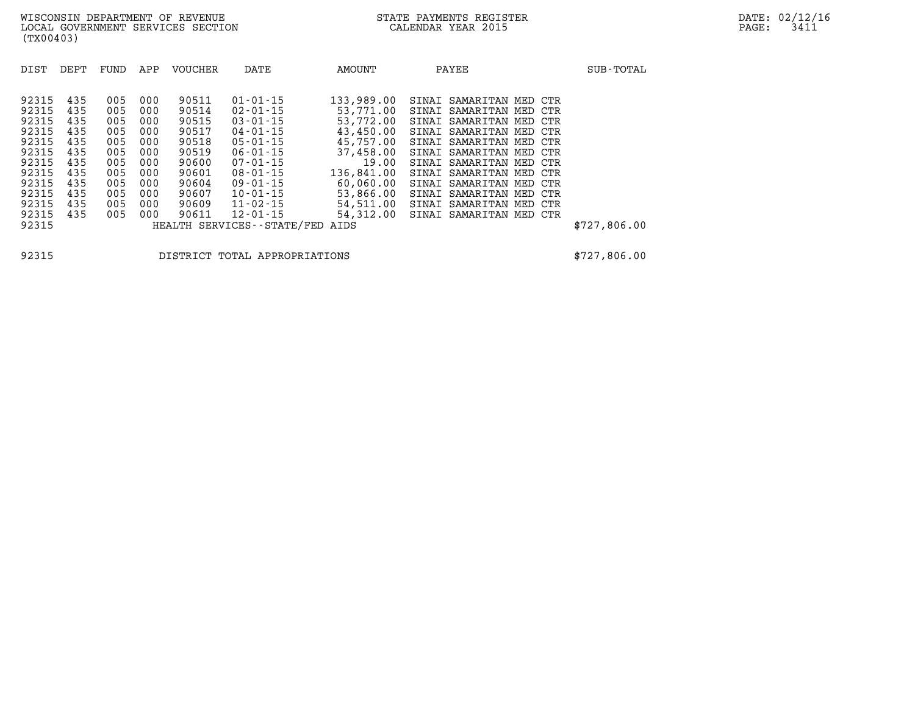| DIST  | DEPT | FUND | APP | <b>VOUCHER</b> | DATE                       | AMOUNT     | PAYEE                      |     | SUB-TOTAL    |
|-------|------|------|-----|----------------|----------------------------|------------|----------------------------|-----|--------------|
|       |      |      |     |                |                            |            |                            |     |              |
| 92315 | 435  | 005  | 000 | 90511          | $01 - 01 - 15$             | 133,989.00 | SINAI SAMARITAN MED CTR    |     |              |
| 92315 | 435  | 005  | 000 | 90514          | $02 - 01 - 15$             | 53,771.00  | SINAI SAMARITAN MED CTR    |     |              |
| 92315 | 435  | 005  | 000 | 90515          | $03 - 01 - 15$             | 53,772.00  | SINAI SAMARITAN MED CTR    |     |              |
| 92315 | 435  | 005  | 000 | 90517          | 04-01-15                   | 43,450.00  | SINAI SAMARITAN MED CTR    |     |              |
| 92315 | 435  | 005  | 000 | 90518          | $05 - 01 - 15$             | 45,757.00  | SINAI SAMARITAN MED CTR    |     |              |
| 92315 | 435  | 005  | 000 | 90519          | $06 - 01 - 15$             | 37,458.00  | SINAI SAMARITAN MED CTR    |     |              |
| 92315 | 435  | 005  | 000 | 90600          | 07-01-15                   | 19.00      | SINAI SAMARITAN MED CTR    |     |              |
| 92315 | 435  | 005  | 000 | 90601          | $08 - 01 - 15$             | 136,841.00 | SINAI SAMARITAN MED CTR    |     |              |
| 92315 | 435  | 005  | 000 | 90604          | 09-01-15                   | 60,060.00  | SINAI SAMARITAN MED CTR    |     |              |
| 92315 | 435  | 005  | 000 | 90607          | $10 - 01 - 15$             | 53,866.00  | SINAI<br>SAMARITAN MED CTR |     |              |
| 92315 | 435  | 005  | 000 | 90609          | $11 - 02 - 15$             | 54,511.00  | SINAI SAMARITAN MED        | CTR |              |
| 92315 | 435  | 005  | 000 | 90611          | $12 - 01 - 15$             | 54,312.00  | SINAI SAMARITAN MED CTR    |     |              |
| 92315 |      |      |     |                | HEALTH SERVICES--STATE/FED | AIDS       |                            |     | \$727,806.00 |

**92315 DISTRICT TOTAL APPROPRIATIONS \$727,806.00**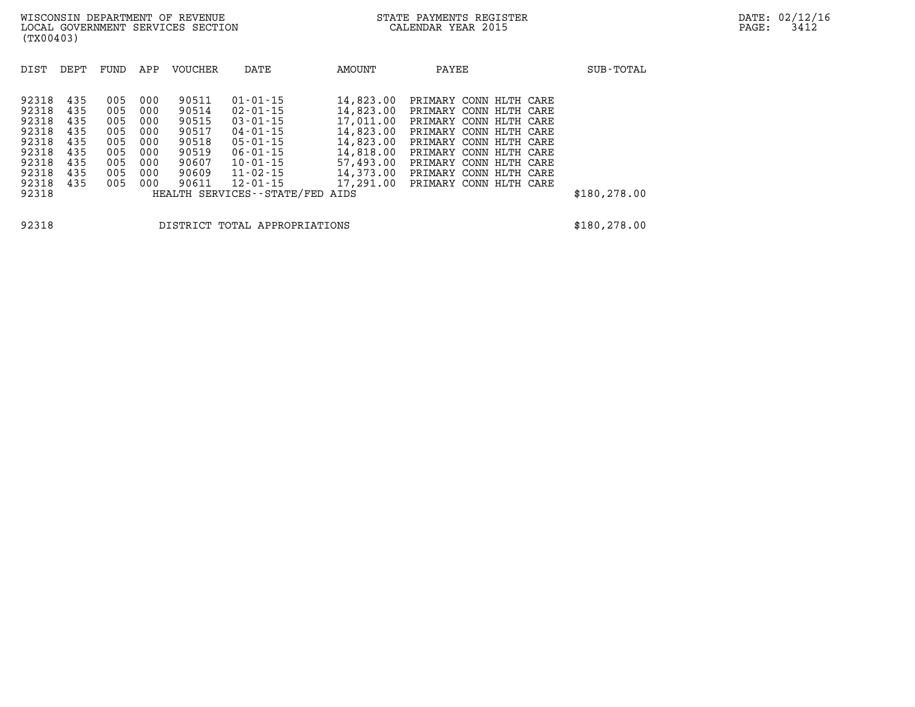| DIST                             | DEPT                     | FUND                     | APP                      | VOUCHER                          | DATE                                                                 | <b>AMOUNT</b>                                    | PAYEE                                                                                                | SUB-TOTAL     |
|----------------------------------|--------------------------|--------------------------|--------------------------|----------------------------------|----------------------------------------------------------------------|--------------------------------------------------|------------------------------------------------------------------------------------------------------|---------------|
| 92318<br>92318<br>92318<br>92318 | 435<br>435<br>435<br>435 | 005<br>005<br>005<br>005 | 000<br>000<br>000<br>000 | 90511<br>90514<br>90515<br>90517 | $01 - 01 - 15$<br>$02 - 01 - 15$<br>$03 - 01 - 15$<br>$04 - 01 - 15$ | 14,823.00<br>14,823.00<br>17,011.00<br>14,823.00 | PRIMARY CONN HLTH CARE<br>PRIMARY CONN HLTH CARE<br>PRIMARY CONN HLTH CARE<br>PRIMARY CONN HLTH CARE |               |
| 92318<br>92318<br>92318          | 435<br>435<br>435        | 005<br>005<br>005        | 000<br>000<br>000        | 90518<br>90519<br>90607          | $05 - 01 - 15$<br>$06 - 01 - 15$<br>$10 - 01 - 15$                   | 14,823.00<br>14,818.00<br>57,493.00              | PRIMARY CONN HLTH CARE<br>PRIMARY CONN HLTH CARE<br>PRIMARY CONN HLTH CARE                           |               |
| 92318<br>92318                   | 435<br>435               | 005<br>005               | 000<br>000               | 90609<br>90611                   | 11-02-15<br>$12 - 01 - 15$                                           | 14,373.00                                        | PRIMARY CONN HLTH CARE<br>17,291.00 PRIMARY CONN HLTH CARE                                           |               |
| 92318                            |                          |                          |                          |                                  | HEALTH SERVICES--STATE/FED AIDS                                      |                                                  |                                                                                                      | \$180, 278.00 |

**92318 DISTRICT TOTAL APPROPRIATIONS \$180,278.00**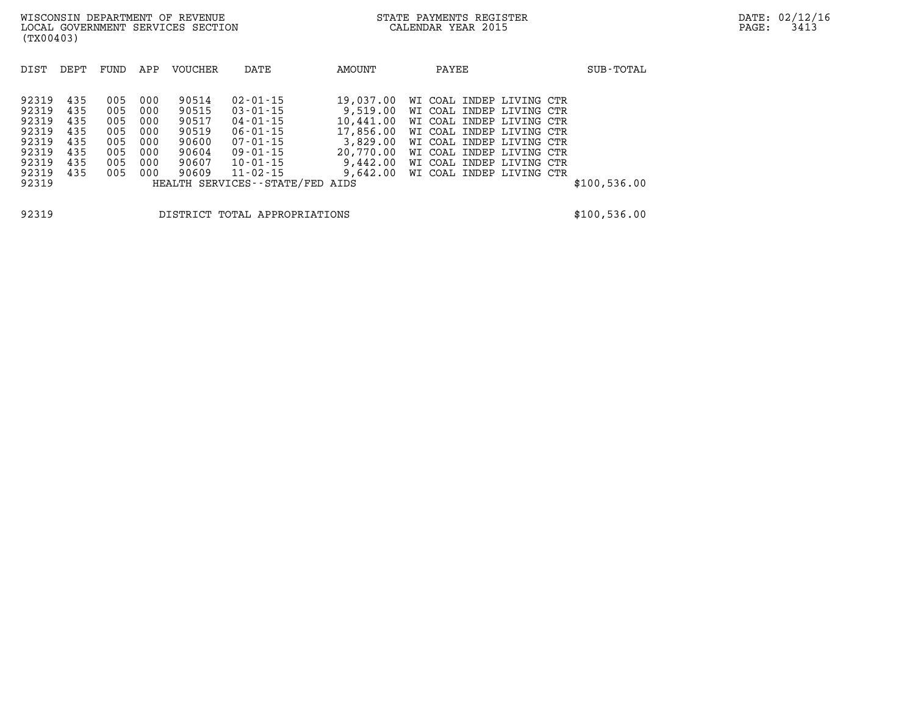| DIST  | DEPT | FUND | APP | <b>VOUCHER</b> | DATE                            | AMOUNT    | PAYEE                    | SUB-TOTAL    |
|-------|------|------|-----|----------------|---------------------------------|-----------|--------------------------|--------------|
|       |      |      |     |                |                                 |           |                          |              |
| 92319 | 435  | 005  | 000 | 90514          | $02 - 01 - 15$                  | 19,037.00 | WI COAL INDEP LIVING CTR |              |
| 92319 | 435  | 005  | 000 | 90515          | $03 - 01 - 15$                  | 9,519.00  | WI COAL INDEP LIVING CTR |              |
| 92319 | 435  | 005  | 000 | 90517          | $04 - 01 - 15$                  | 10,441.00 | WI COAL INDEP LIVING CTR |              |
| 92319 | 435  | 005  | 000 | 90519          | $06 - 01 - 15$                  | 17,856.00 | WI COAL INDEP LIVING CTR |              |
| 92319 | 435  | 005  | 000 | 90600          | $07 - 01 - 15$                  | 3,829.00  | WI COAL INDEP LIVING CTR |              |
| 92319 | 435  | 005  | 000 | 90604          | $09 - 01 - 15$                  | 20,770.00 | WI COAL INDEP LIVING CTR |              |
| 92319 | 435  | 005  | 000 | 90607          | $10 - 01 - 15$                  | 9,442.00  | WI COAL INDEP LIVING CTR |              |
| 92319 | 435  | 005  | 000 | 90609          | $11 - 02 - 15$                  | 9,642.00  | WI COAL INDEP LIVING CTR |              |
| 92319 |      |      |     |                | HEALTH SERVICES--STATE/FED AIDS |           |                          | \$100,536.00 |
|       |      |      |     |                |                                 |           |                          |              |
|       |      |      |     |                |                                 |           |                          |              |

**92319 DISTRICT TOTAL APPROPRIATIONS \$100,536.00**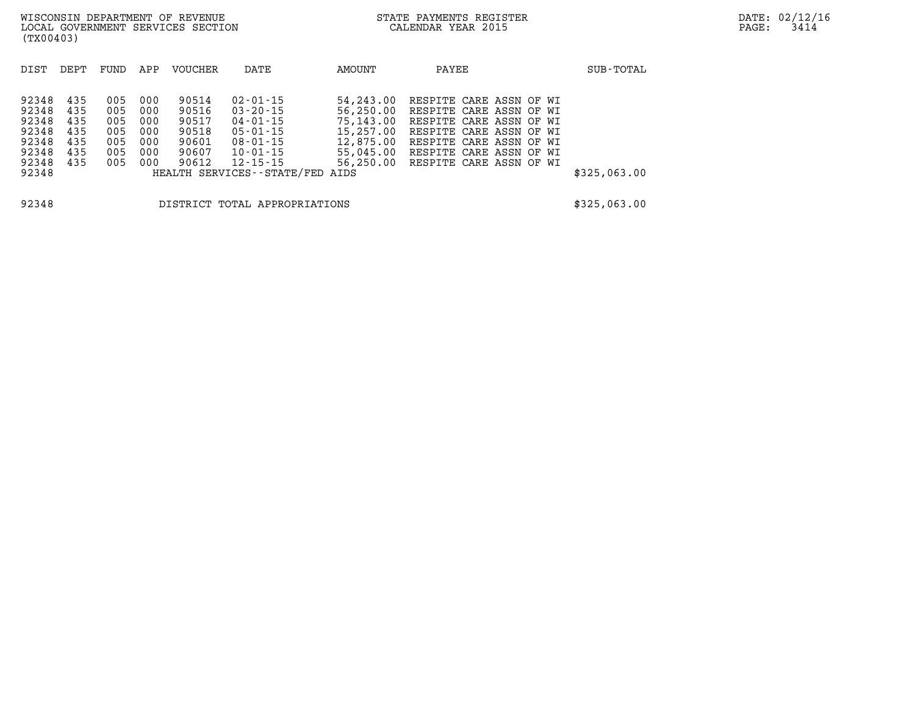| 92348 435 | 005 000 | 90514 | $02 - 01 - 15$                  | 54, 243.00 RESPITE CARE ASSN OF WI |  |  |              |
|-----------|---------|-------|---------------------------------|------------------------------------|--|--|--------------|
| 92348 435 | 005 000 | 90516 | 03-20-15                        | 56,250.00 RESPITE CARE ASSN OF WI  |  |  |              |
| 92348 435 | 005 000 | 90517 | 04-01-15                        | 75,143.00 RESPITE CARE ASSN OF WI  |  |  |              |
| 92348 435 | 005 000 | 90518 | 05-01-15                        | 15,257.00 RESPITE CARE ASSN OF WI  |  |  |              |
| 92348 435 | 005 000 | 90601 | 08-01-15                        | 12,875.00 RESPITE CARE ASSN OF WI  |  |  |              |
| 92348 435 | 005 000 | 90607 | 10-01-15                        | 55,045.00 RESPITE CARE ASSN OF WI  |  |  |              |
| 92348 435 | 005 000 | 90612 | 12-15-15                        | 56,250.00 RESPITE CARE ASSN OF WI  |  |  |              |
| 92348     |         |       | HEALTH SERVICES--STATE/FED AIDS |                                    |  |  | \$325,063.00 |
|           |         |       |                                 |                                    |  |  |              |
|           |         |       |                                 |                                    |  |  |              |

**92348 DISTRICT TOTAL APPROPRIATIONS \$325,063.00**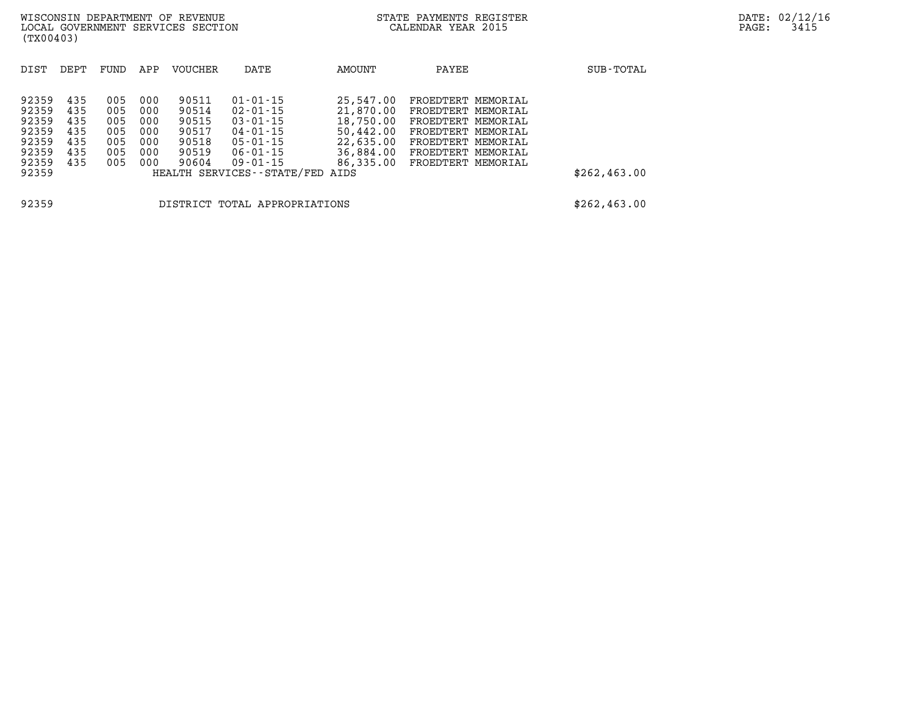| (TX00403)                                                   |                                               |                                               |                                               | WISCONSIN DEPARTMENT OF REVENUE<br>LOCAL GOVERNMENT SERVICES SECTION |                                                                                                    |                                                               | STATE PAYMENTS REGISTER<br>CALENDAR YEAR 2015                                                                                                                              |  | PAGE:     | DATE: 02/12/16<br>3415 |  |
|-------------------------------------------------------------|-----------------------------------------------|-----------------------------------------------|-----------------------------------------------|----------------------------------------------------------------------|----------------------------------------------------------------------------------------------------|---------------------------------------------------------------|----------------------------------------------------------------------------------------------------------------------------------------------------------------------------|--|-----------|------------------------|--|
| DIST                                                        | DEPT                                          | FUND                                          | APP                                           | <b>VOUCHER</b>                                                       | DATE                                                                                               | AMOUNT                                                        | PAYEE                                                                                                                                                                      |  | SUB-TOTAL |                        |  |
| 92359<br>92359<br>92359<br>92359<br>92359<br>92359<br>92359 | 435<br>435<br>435<br>435<br>435<br>435<br>435 | 005<br>005<br>005<br>005<br>005<br>005<br>005 | 000<br>000<br>000<br>000<br>000<br>000<br>000 | 90511<br>90514<br>90515<br>90517<br>90518<br>90519<br>90604          | 01-01-15<br>$02 - 01 - 15$<br>$03 - 01 - 15$<br>04-01-15<br>$05 - 01 - 15$<br>06-01-15<br>09-01-15 | 25,547.00<br>21,870.00<br>18,750.00<br>22,635.00<br>36,884.00 | FROEDTERT MEMORIAL<br>FROEDTERT MEMORIAL<br>FROEDTERT MEMORIAL<br>50,442.00 FROEDTERT MEMORIAL<br>FROEDTERT MEMORIAL<br>FROEDTERT MEMORIAL<br>86,335.00 FROEDTERT MEMORIAL |  |           |                        |  |

**92359 DISTRICT TOTAL APPROPRIATIONS \$262,463.00** 

**92359 HEALTH SERVICES--STATE/FED AIDS \$262,463.00**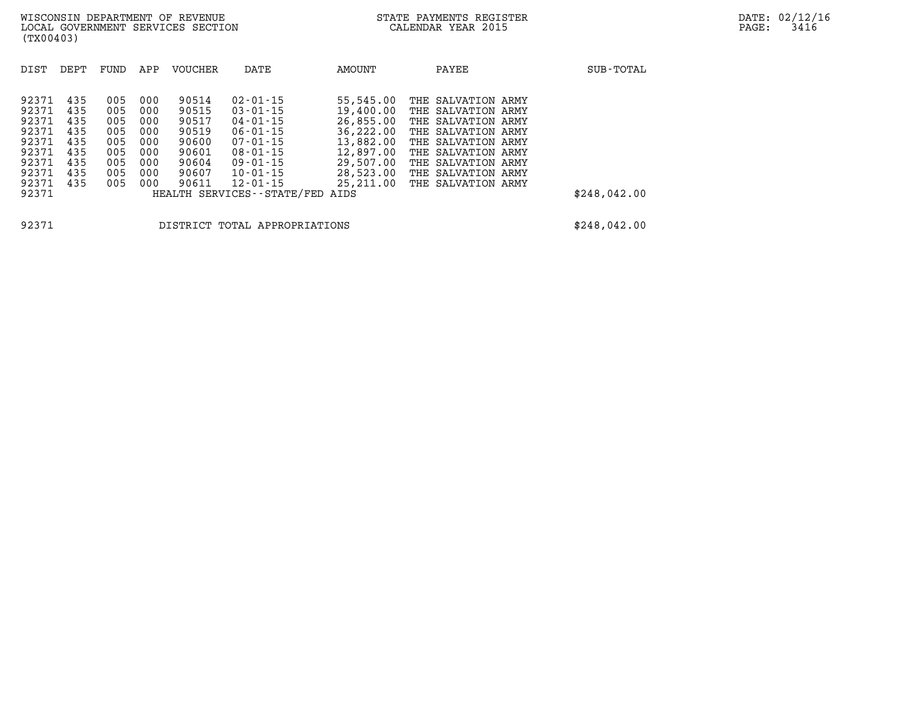| DIST                                                                          | DEPT                                                        | FUND                                                        | APP                                                         | <b>VOUCHER</b>                                                                | DATE                                                                                                                                                           | AMOUNT                                                                                                            |     | PAYEE                                                                                                                                                                                          | SUB-TOTAL    |
|-------------------------------------------------------------------------------|-------------------------------------------------------------|-------------------------------------------------------------|-------------------------------------------------------------|-------------------------------------------------------------------------------|----------------------------------------------------------------------------------------------------------------------------------------------------------------|-------------------------------------------------------------------------------------------------------------------|-----|------------------------------------------------------------------------------------------------------------------------------------------------------------------------------------------------|--------------|
| 92371<br>92371<br>92371<br>92371<br>92371<br>92371<br>92371<br>92371<br>92371 | 435<br>435<br>435<br>435<br>435<br>435<br>435<br>435<br>435 | 005<br>005<br>005<br>005<br>005<br>005<br>005<br>005<br>005 | 000<br>000<br>000<br>000<br>000<br>000<br>000<br>000<br>000 | 90514<br>90515<br>90517<br>90519<br>90600<br>90601<br>90604<br>90607<br>90611 | $02 - 01 - 15$<br>$03 - 01 - 15$<br>$04 - 01 - 15$<br>$06 - 01 - 15$<br>$07 - 01 - 15$<br>$08 - 01 - 15$<br>$09 - 01 - 15$<br>$10 - 01 - 15$<br>$12 - 01 - 15$ | 55,545.00<br>19,400.00<br>26,855.00<br>36,222.00<br>13,882.00<br>12,897.00<br>29,507.00<br>28,523.00<br>25,211.00 | THE | THE SALVATION ARMY<br>THE SALVATION ARMY<br>THE SALVATION ARMY<br>THE SALVATION ARMY<br>THE SALVATION ARMY<br>THE SALVATION ARMY<br>SALVATION ARMY<br>THE SALVATION ARMY<br>THE SALVATION ARMY |              |
| 92371                                                                         |                                                             |                                                             |                                                             |                                                                               | HEALTH SERVICES--STATE/FED AIDS                                                                                                                                |                                                                                                                   |     |                                                                                                                                                                                                | \$248,042.00 |
| 92371                                                                         |                                                             |                                                             |                                                             |                                                                               | DISTRICT TOTAL APPROPRIATIONS                                                                                                                                  |                                                                                                                   |     |                                                                                                                                                                                                | \$248,042.00 |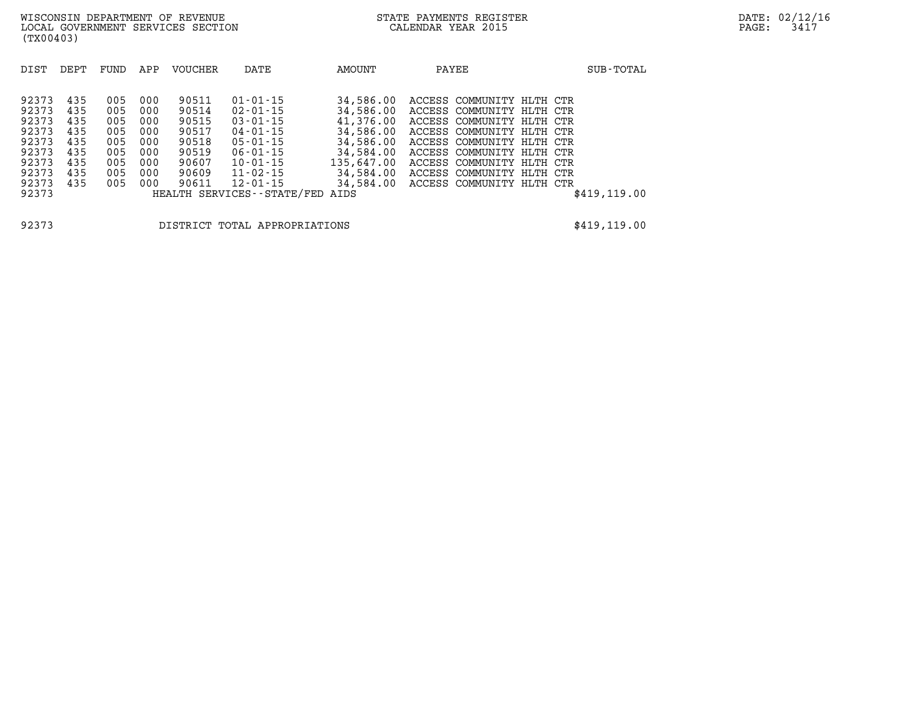| DIST                                      | DEPT                            | FUND                            | APP                             | <b>VOUCHER</b>                            | DATE                                                                                                  | AMOUNT                                                        | PAYEE                                                                                                                                         | SUB-TOTAL     |
|-------------------------------------------|---------------------------------|---------------------------------|---------------------------------|-------------------------------------------|-------------------------------------------------------------------------------------------------------|---------------------------------------------------------------|-----------------------------------------------------------------------------------------------------------------------------------------------|---------------|
| 92373<br>92373<br>92373<br>92373<br>92373 | 435<br>435<br>435<br>435<br>435 | 005<br>005<br>005<br>005<br>005 | 000<br>000<br>000<br>000<br>000 | 90511<br>90514<br>90515<br>90517<br>90518 | $01 - 01 - 15$<br>$02 - 01 - 15$<br>$03 - 01 - 15$<br>$04 - 01 - 15$<br>$05 - 01 - 15$                | 34,586.00<br>34,586.00<br>41,376.00<br>34,586.00<br>34,586.00 | ACCESS COMMUNITY HLTH CTR<br>ACCESS COMMUNITY HLTH CTR<br>ACCESS COMMUNITY HLTH CTR<br>ACCESS COMMUNITY HLTH CTR<br>ACCESS COMMUNITY HLTH CTR |               |
| 92373<br>92373<br>92373<br>92373<br>92373 | 435<br>435<br>435<br>435        | 005<br>005<br>005<br>005        | 000<br>000<br>000<br>000        | 90519<br>90607<br>90609<br>90611          | $06 - 01 - 15$<br>$10 - 01 - 15$<br>$11 - 02 - 15$<br>$12 - 01 - 15$<br>HEALTH SERVICES - - STATE/FED | 34,584.00<br>135,647.00<br>34,584.00<br>34,584.00<br>AIDS     | ACCESS COMMUNITY HLTH CTR<br>ACCESS COMMUNITY HLTH CTR<br>ACCESS COMMUNITY HLTH CTR<br>ACCESS COMMUNITY HLTH CTR                              | \$419, 119.00 |

**92373 DISTRICT TOTAL APPROPRIATIONS \$419,119.00**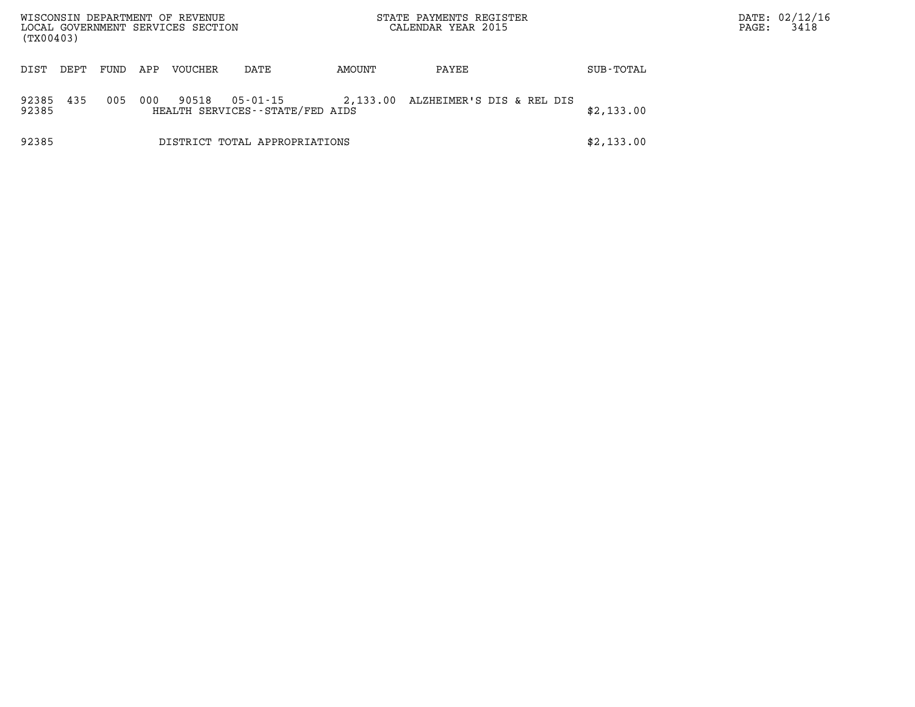| (TX00403)      |      |      |     | WISCONSIN DEPARTMENT OF REVENUE<br>LOCAL GOVERNMENT SERVICES SECTION |                                             |          | STATE PAYMENTS REGISTER<br>CALENDAR YEAR 2015 |            | PAGE: | DATE: 02/12/16<br>3418 |
|----------------|------|------|-----|----------------------------------------------------------------------|---------------------------------------------|----------|-----------------------------------------------|------------|-------|------------------------|
| DIST           | DEPT | FUND | APP | <b>VOUCHER</b>                                                       | DATE                                        | AMOUNT   | PAYEE                                         | SUB-TOTAL  |       |                        |
| 92385<br>92385 | 435  | 005  | 000 | 90518                                                                | 05-01-15<br>HEALTH SERVICES--STATE/FED AIDS | 2,133.00 | ALZHEIMER'S DIS & REL DIS                     | \$2,133.00 |       |                        |
| 92385          |      |      |     |                                                                      | DISTRICT TOTAL APPROPRIATIONS               |          |                                               | \$2,133.00 |       |                        |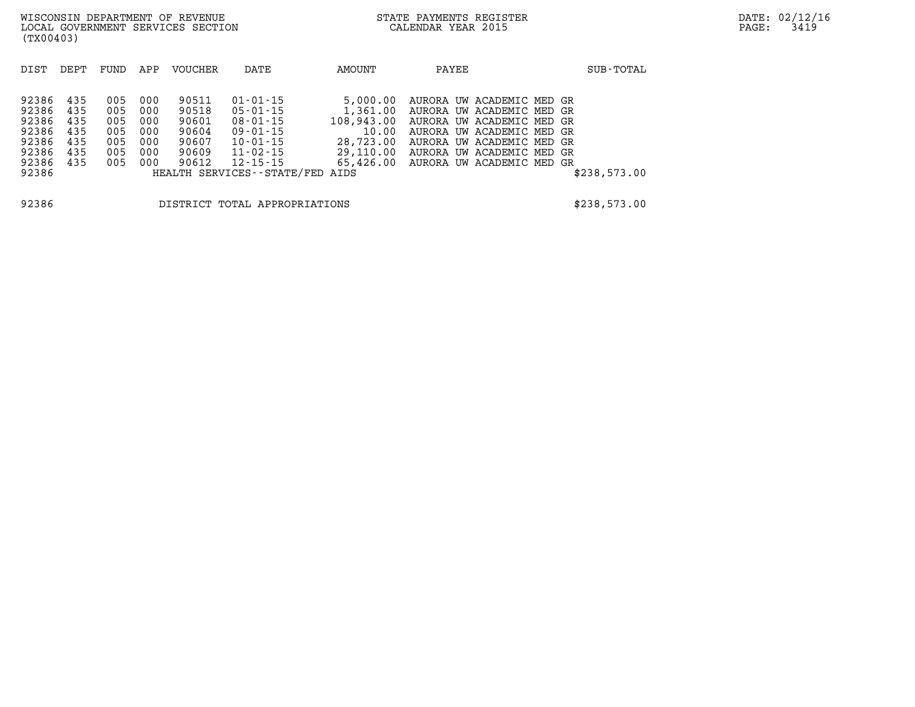| DIST                                                        | DEPT                                          | FUND                                          | APP                                           | <b>VOUCHER</b>                                              | DATE                                                                                                           | AMOUNT                                                                             | PAYEE                                                                                                                                                                                                   | SUB-TOTAL    |
|-------------------------------------------------------------|-----------------------------------------------|-----------------------------------------------|-----------------------------------------------|-------------------------------------------------------------|----------------------------------------------------------------------------------------------------------------|------------------------------------------------------------------------------------|---------------------------------------------------------------------------------------------------------------------------------------------------------------------------------------------------------|--------------|
| 92386<br>92386<br>92386<br>92386<br>92386<br>92386<br>92386 | 435<br>435<br>435<br>435<br>435<br>435<br>435 | 005<br>005<br>005<br>005<br>005<br>005<br>005 | 000<br>000<br>000<br>000<br>000<br>000<br>000 | 90511<br>90518<br>90601<br>90604<br>90607<br>90609<br>90612 | $01 - 01 - 15$<br>05-01-15<br>$08 - 01 - 15$<br>$09 - 01 - 15$<br>$10 - 01 - 15$<br>11-02-15<br>$12 - 15 - 15$ | 5,000.00<br>1,361.00<br>108,943.00<br>10.00<br>28,723.00<br>29,110.00<br>65,426.00 | AURORA UW ACADEMIC MED GR<br>AURORA UW ACADEMIC MED GR<br>AURORA UW ACADEMIC MED GR<br>AURORA UW ACADEMIC MED GR<br>AURORA UW ACADEMIC MED GR<br>AURORA UW ACADEMIC MED GR<br>AURORA UW ACADEMIC MED GR |              |
| 92386                                                       |                                               |                                               |                                               |                                                             | HEALTH SERVICES--STATE/FED                                                                                     | AIDS                                                                               |                                                                                                                                                                                                         | \$238,573.00 |

**92386 DISTRICT TOTAL APPROPRIATIONS \$238,573.00**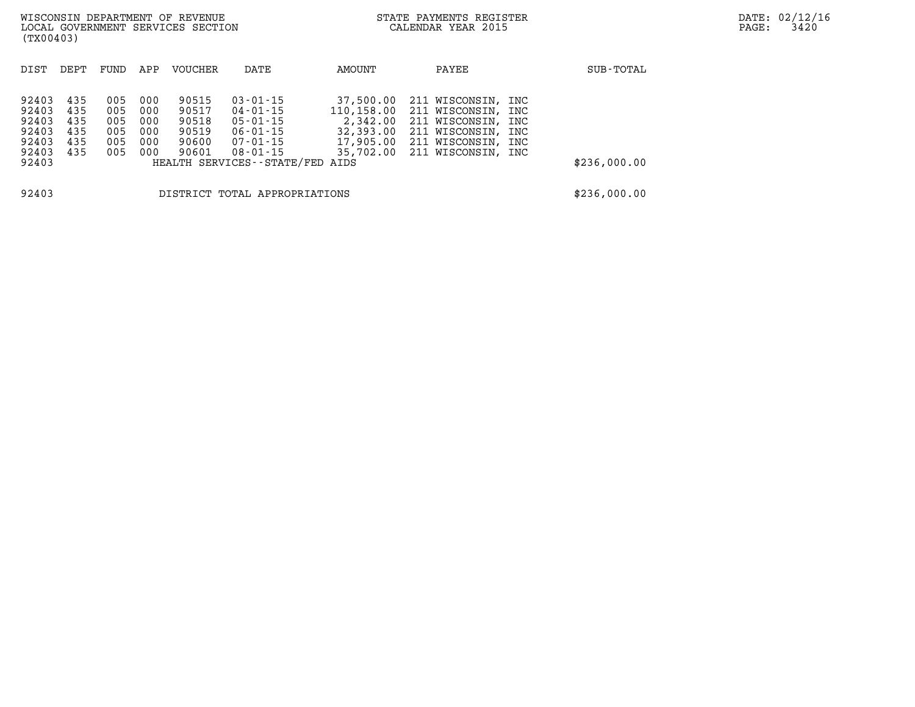| (TX00403)                                                   |                                        |                                        |                                        | WISCONSIN DEPARTMENT OF REVENUE<br>LOCAL GOVERNMENT SERVICES SECTION |                                                                                                               | STATE PAYMENTS REGISTER<br>CALENDAR YEAR 2015    |                                                                                                                                                      | DATE: 02/12/1<br>3420<br>PAGE: |              |  |
|-------------------------------------------------------------|----------------------------------------|----------------------------------------|----------------------------------------|----------------------------------------------------------------------|---------------------------------------------------------------------------------------------------------------|--------------------------------------------------|------------------------------------------------------------------------------------------------------------------------------------------------------|--------------------------------|--------------|--|
| DIST                                                        | DEPT                                   | FUND                                   | APP                                    | <b>VOUCHER</b>                                                       | DATE                                                                                                          | AMOUNT                                           | PAYEE                                                                                                                                                |                                | SUB-TOTAL    |  |
| 92403<br>92403<br>92403<br>92403<br>92403<br>92403<br>92403 | 435<br>435<br>435<br>435<br>435<br>435 | 005<br>005<br>005<br>005<br>005<br>005 | 000<br>000<br>000<br>000<br>000<br>000 | 90515<br>90517<br>90518<br>90519<br>90600<br>90601                   | $03 - 01 - 15$<br>04-01-15<br>05-01-15<br>06-01-15<br>07-01-15<br>08-01-15<br>HEALTH SERVICES--STATE/FED AIDS | 37,500.00<br>110,158.00<br>2,342.00<br>32,393.00 | 211 WISCONSIN, INC<br>211 WISCONSIN, INC<br>211 WISCONSIN, INC<br>211 WISCONSIN, INC<br>17,905.00 211 WISCONSIN, INC<br>35,702.00 211 WISCONSIN, INC |                                | \$236,000.00 |  |
| 92403<br>DISTRICT TOTAL APPROPRIATIONS                      |                                        |                                        |                                        |                                                                      |                                                                                                               |                                                  |                                                                                                                                                      |                                | \$236,000.00 |  |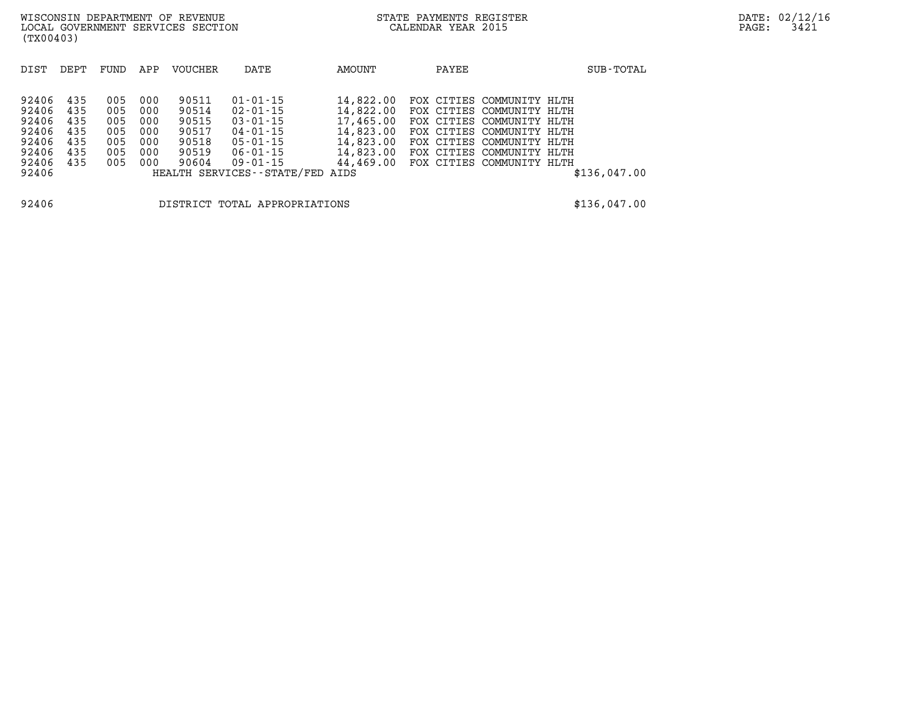| DIST  | DEPT | FUND | APP | VOUCHER | DATE                          | AMOUNT    | PAYEE                        | SUB-TOTAL    |
|-------|------|------|-----|---------|-------------------------------|-----------|------------------------------|--------------|
|       |      |      |     |         |                               |           |                              |              |
| 92406 | 435  | 005  | 000 | 90511   | $01 - 01 - 15$                | 14,822.00 | FOX CITIES COMMUNITY HLTH    |              |
| 92406 | 435  | 005  | 000 | 90514   | $02 - 01 - 15$                | 14,822.00 | FOX CITIES COMMUNITY HLTH    |              |
| 92406 | 435  | 005  | 000 | 90515   | $03 - 01 - 15$                | 17,465.00 | FOX CITIES COMMUNITY HLTH    |              |
| 92406 | 435  | 005  | 000 | 90517   | $04 - 01 - 15$                | 14,823.00 | FOX CITIES COMMUNITY HLTH    |              |
| 92406 | 435  | 005  | 000 | 90518   | $05 - 01 - 15$                | 14,823.00 | FOX CITIES COMMUNITY HLTH    |              |
| 92406 | 435  | 005  | 000 | 90519   | $06 - 01 - 15$                | 14,823.00 | FOX CITIES<br>COMMUNITY HLTH |              |
| 92406 | 435  | 005  | 000 | 90604   | $09 - 01 - 15$                | 44,469.00 | FOX CITIES COMMUNITY HLTH    |              |
| 92406 |      |      |     |         | HEALTH SERVICES - - STATE/FED | AIDS      |                              | \$136,047.00 |
|       |      |      |     |         |                               |           |                              |              |

**92406 DISTRICT TOTAL APPROPRIATIONS \$136,047.00**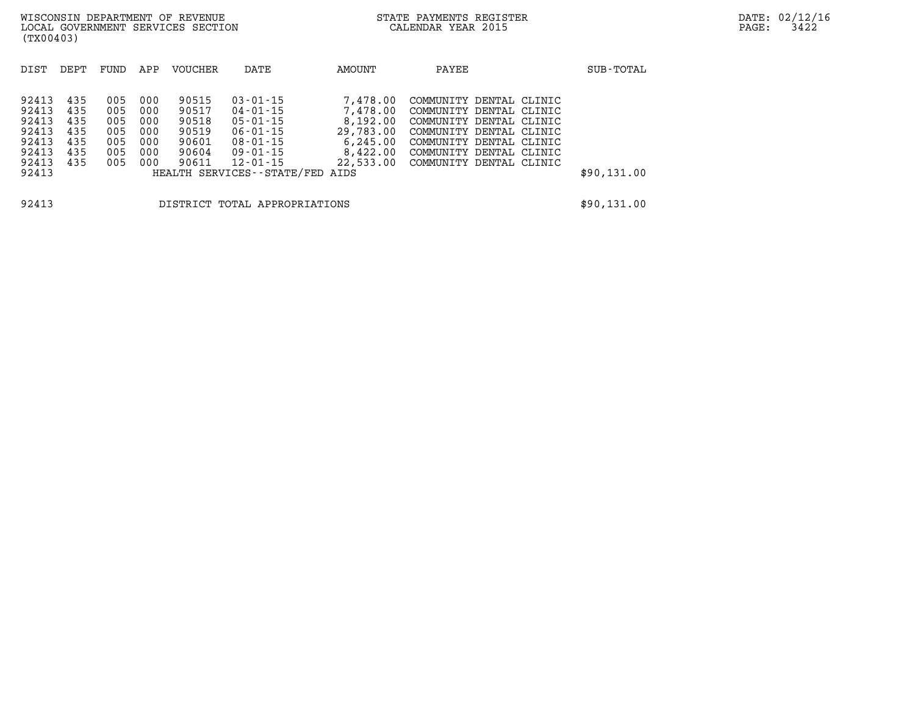**(TX00403)** 

DIST DEPT FUND APP VOUCHER DATE AMOUNT PAYEE **PAYEE** SUB-TOTAL **92413 435 005 000 90515 03-01-15 7,478.00 COMMUNITY DENTAL CLINIC 92413 435 005 000 90517 04-01-15 7,478.00 COMMUNITY DENTAL CLINIC 92413 435 005 000 90518 05-01-15 8,192.00 COMMUNITY DENTAL CLINIC 92413 435 005 000 90519 06-01-15 29,783.00 COMMUNITY DENTAL CLINIC 92413 435 005 000 90601 08-01-15 6,245.00 COMMUNITY DENTAL CLINIC 92413 435 005 000 90604 09-01-15 8,422.00 COMMUNITY DENTAL CLINIC 92413 435 005 000 90611 12-01-15 22,533.00 COMMUNITY DENTAL CLINIC 92413 HEALTH SERVICES--STATE/FED AIDS \$90,131.00** 

**92413 DISTRICT TOTAL APPROPRIATIONS \$90,131.00**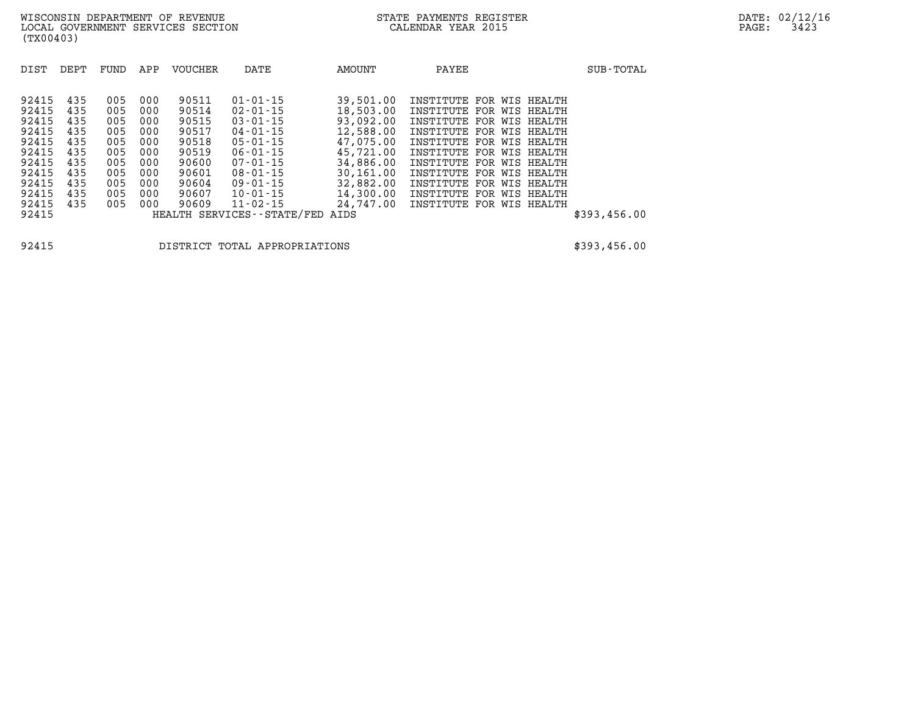| DIST                                                                                                     | DEPT                                                                      | FUND                                                                      | APP                                                                       | <b>VOUCHER</b>                                                                                  | DATE                                                                                                                                                                                                                                | AMOUNT                                                                                                                                              | PAYEE                                                                                                                                                                                                                                                                                                            |  | SUB-TOTAL    |
|----------------------------------------------------------------------------------------------------------|---------------------------------------------------------------------------|---------------------------------------------------------------------------|---------------------------------------------------------------------------|-------------------------------------------------------------------------------------------------|-------------------------------------------------------------------------------------------------------------------------------------------------------------------------------------------------------------------------------------|-----------------------------------------------------------------------------------------------------------------------------------------------------|------------------------------------------------------------------------------------------------------------------------------------------------------------------------------------------------------------------------------------------------------------------------------------------------------------------|--|--------------|
| 92415<br>92415<br>92415<br>92415<br>92415<br>92415<br>92415<br>92415<br>92415<br>92415<br>92415<br>92415 | 435<br>435<br>435<br>435<br>435<br>435<br>435<br>435<br>435<br>435<br>435 | 005<br>005<br>005<br>005<br>005<br>005<br>005<br>005<br>005<br>005<br>005 | 000<br>000<br>000<br>000<br>000<br>000<br>000<br>000<br>000<br>000<br>000 | 90511<br>90514<br>90515<br>90517<br>90518<br>90519<br>90600<br>90601<br>90604<br>90607<br>90609 | $01 - 01 - 15$<br>$02 - 01 - 15$<br>$03 - 01 - 15$<br>$04 - 01 - 15$<br>$05 - 01 - 15$<br>$06 - 01 - 15$<br>$07 - 01 - 15$<br>$08 - 01 - 15$<br>$09 - 01 - 15$<br>$10 - 01 - 15$<br>$11 - 02 - 15$<br>HEALTH SERVICES - - STATE/FED | 39,501.00<br>18,503.00<br>93,092.00<br>12,588.00<br>47,075,00<br>45,721.00<br>34,886.00<br>30,161.00<br>32,882.00<br>14,300.00<br>24,747.00<br>AIDS | INSTITUTE FOR WIS HEALTH<br>INSTITUTE FOR WIS HEALTH<br>INSTITUTE FOR WIS HEALTH<br>INSTITUTE FOR WIS HEALTH<br>INSTITUTE FOR WIS HEALTH<br>INSTITUTE FOR WIS HEALTH<br>INSTITUTE FOR WIS HEALTH<br>INSTITUTE FOR WIS HEALTH<br>INSTITUTE FOR WIS HEALTH<br>INSTITUTE FOR WIS HEALTH<br>INSTITUTE FOR WIS HEALTH |  | \$393,456.00 |

**92415 DISTRICT TOTAL APPROPRIATIONS \$393,456.00**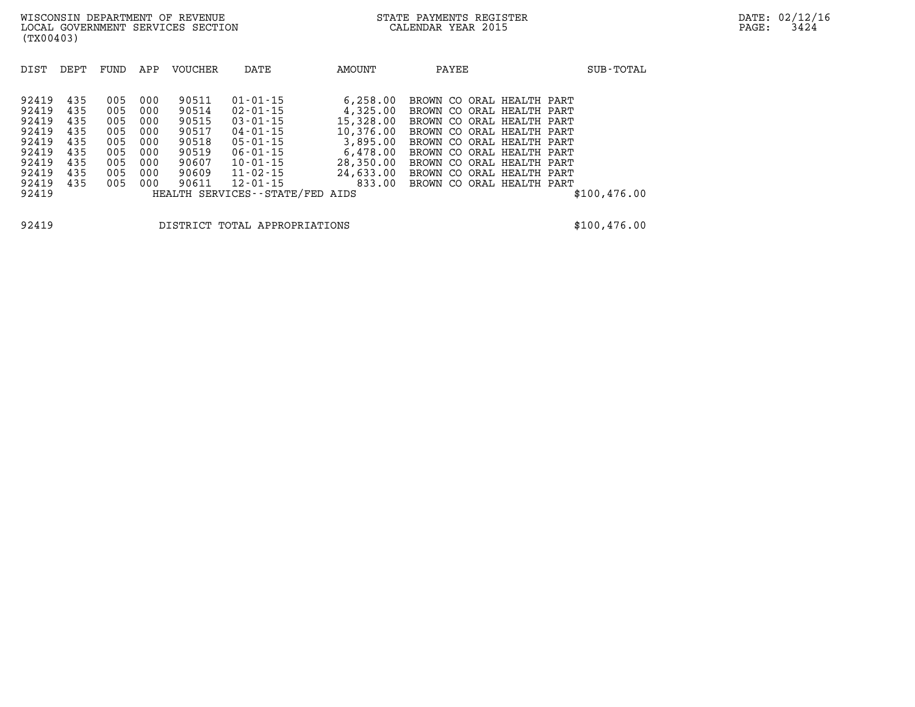| DIST  | DEPT | FUND | APP | <b>VOUCHER</b> | DATE                            | AMOUNT    | PAYEE                     | SUB-TOTAL     |
|-------|------|------|-----|----------------|---------------------------------|-----------|---------------------------|---------------|
| 92419 | 435  | 005  | 000 | 90511          | $01 - 01 - 15$                  | 6,258.00  | BROWN CO ORAL HEALTH PART |               |
| 92419 | 435  | 005  | 000 | 90514          | 02-01-15                        | 4,325.00  | BROWN CO ORAL HEALTH PART |               |
| 92419 | 435  | 005  | 000 | 90515          | $03 - 01 - 15$                  | 15,328.00 | BROWN CO ORAL HEALTH PART |               |
| 92419 | 435  | 005  | 000 | 90517          | 04-01-15                        | 10,376.00 | BROWN CO ORAL HEALTH PART |               |
| 92419 | 435  | 005  | 000 | 90518          | $05 - 01 - 15$                  | 3,895.00  | BROWN CO ORAL HEALTH PART |               |
| 92419 | 435  | 005  | 000 | 90519          | $06 - 01 - 15$                  | 6,478.00  | BROWN CO ORAL HEALTH PART |               |
| 92419 | 435  | 005  | 000 | 90607          | $10 - 01 - 15$                  | 28,350.00 | BROWN CO ORAL HEALTH PART |               |
| 92419 | 435  | 005  | 000 | 90609          | 11-02-15                        | 24,633.00 | BROWN CO ORAL HEALTH PART |               |
| 92419 | 435  | 005  | 000 | 90611          | 12-01-15                        | 833.00    | BROWN CO ORAL HEALTH PART |               |
| 92419 |      |      |     |                | HEALTH SERVICES--STATE/FED AIDS |           |                           | \$100, 476.00 |
|       |      |      |     |                |                                 |           |                           |               |
|       |      |      |     |                |                                 |           |                           |               |

**92419 DISTRICT TOTAL APPROPRIATIONS \$100,476.00**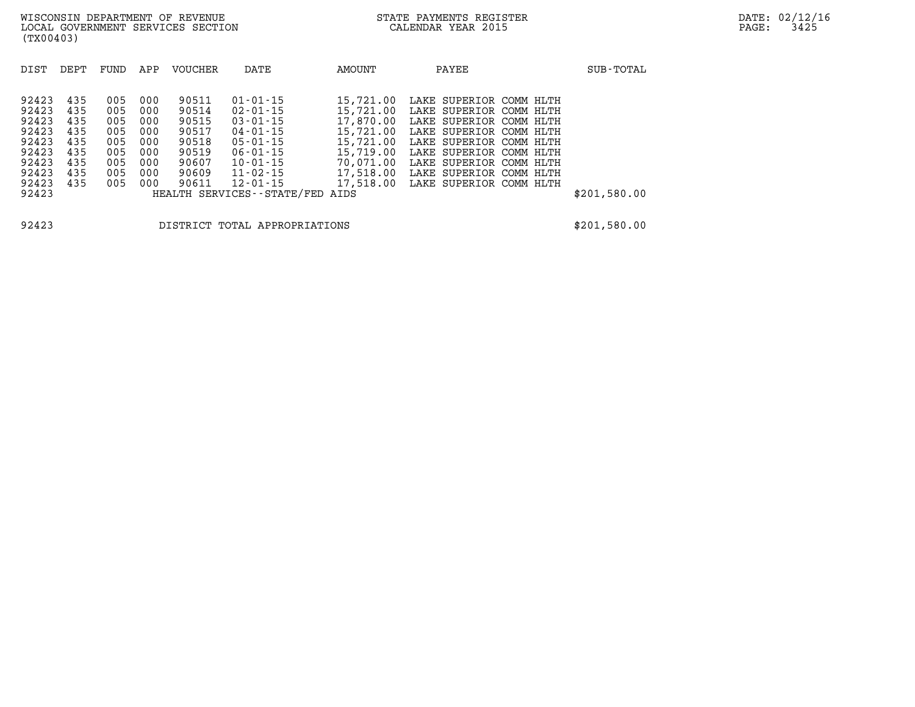| DIST                                               | DEPT                            | FUND                            | APP                             | <b>VOUCHER</b>                            | DATE                                                                                                                   | AMOUNT                                                        | PAYEE                                                                                                                               | SUB-TOTAL    |
|----------------------------------------------------|---------------------------------|---------------------------------|---------------------------------|-------------------------------------------|------------------------------------------------------------------------------------------------------------------------|---------------------------------------------------------------|-------------------------------------------------------------------------------------------------------------------------------------|--------------|
| 92423<br>92423<br>92423<br>92423                   | 435<br>435<br>435<br>435        | 005<br>005<br>005<br>005        | 000<br>000<br>000<br>000        | 90511<br>90514<br>90515<br>90517          | $01 - 01 - 15$<br>$02 - 01 - 15$<br>$03 - 01 - 15$<br>$04 - 01 - 15$                                                   | 15,721.00<br>15,721.00<br>17,870.00<br>15,721.00              | LAKE SUPERIOR COMM HLTH<br>LAKE SUPERIOR COMM HLTH<br>LAKE SUPERIOR COMM HLTH<br>LAKE SUPERIOR COMM HLTH                            |              |
| 92423<br>92423<br>92423<br>92423<br>92423<br>92423 | 435<br>435<br>435<br>435<br>435 | 005<br>005<br>005<br>005<br>005 | 000<br>000<br>000<br>000<br>000 | 90518<br>90519<br>90607<br>90609<br>90611 | $05 - 01 - 15$<br>$06 - 01 - 15$<br>$10 - 01 - 15$<br>11-02-15<br>$12 - 01 - 15$<br>HEALTH SERVICES - - STATE/FED AIDS | 15,721.00<br>15,719.00<br>70,071.00<br>17,518.00<br>17,518.00 | LAKE SUPERIOR COMM HLTH<br>LAKE SUPERIOR COMM HLTH<br>LAKE SUPERIOR COMM HLTH<br>LAKE SUPERIOR COMM HLTH<br>LAKE SUPERIOR COMM HLTH | \$201,580.00 |

**92423 DISTRICT TOTAL APPROPRIATIONS \$201,580.00**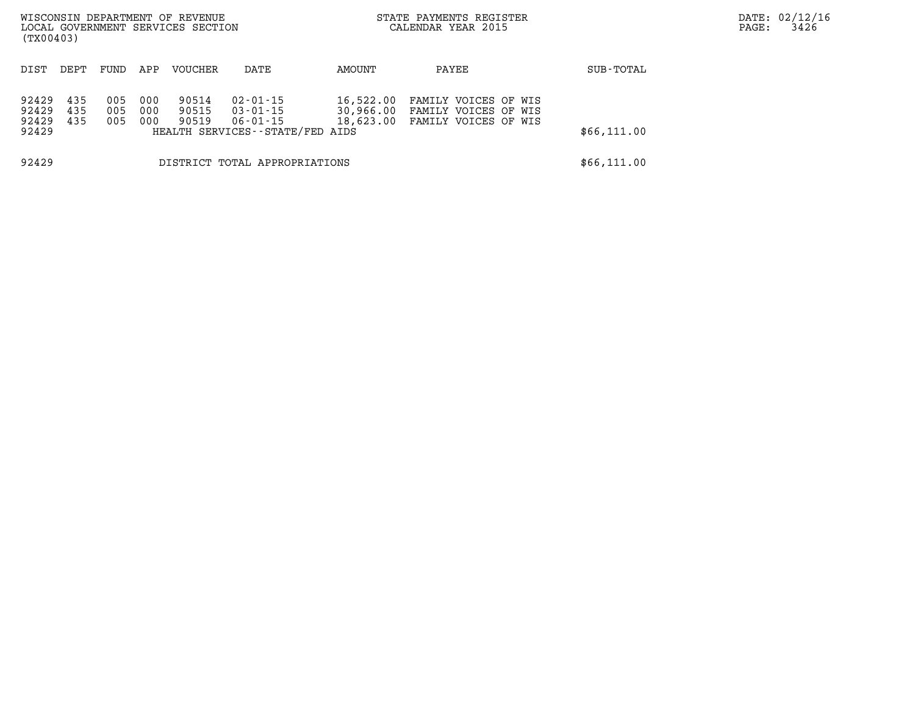| (TX00403)                        |                               |                   |                   | WISCONSIN DEPARTMENT OF REVENUE<br>LOCAL GOVERNMENT SERVICES SECTION |                                                                                 |                        | STATE PAYMENTS REGISTER<br>CALENDAR YEAR 2015                                  |             | PAGE: | DATE: 02/12/16<br>3426 |
|----------------------------------|-------------------------------|-------------------|-------------------|----------------------------------------------------------------------|---------------------------------------------------------------------------------|------------------------|--------------------------------------------------------------------------------|-------------|-------|------------------------|
| DIST                             | DEPT.                         | FUND              | APP               | <b>VOUCHER</b>                                                       | DATE                                                                            | AMOUNT                 | PAYEE                                                                          | SUB-TOTAL   |       |                        |
| 92429<br>92429<br>92429<br>92429 | 435<br>435<br>435             | 005<br>005<br>005 | 000<br>000<br>000 | 90514<br>90515<br>90519                                              | $02 - 01 - 15$<br>$03 - 01 - 15$<br>06-01-15<br>HEALTH SERVICES--STATE/FED AIDS | 16,522.00<br>30,966.00 | FAMILY VOICES OF WIS<br>FAMILY VOICES OF WIS<br>18,623.00 FAMILY VOICES OF WIS | \$66,111.00 |       |                        |
| 92429                            | DISTRICT TOTAL APPROPRIATIONS |                   |                   |                                                                      |                                                                                 |                        |                                                                                | \$66,111.00 |       |                        |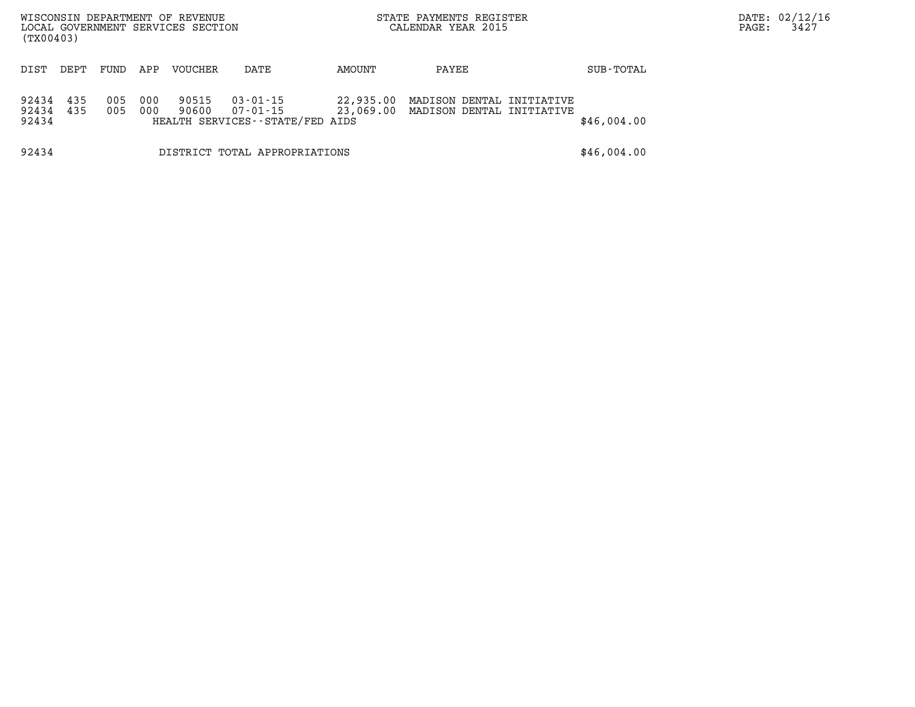| WISCONSIN DEPARTMENT OF REVENUE<br>LOCAL GOVERNMENT SERVICES SECTION<br>(TX00403) |      |            |            |                |                                                         |           | STATE PAYMENTS REGISTER<br>CALENDAR YEAR 2015                    |             | PAGE: | DATE: 02/12/16<br>3427 |
|-----------------------------------------------------------------------------------|------|------------|------------|----------------|---------------------------------------------------------|-----------|------------------------------------------------------------------|-------------|-------|------------------------|
| DIST                                                                              | DEPT | FUND       | APP        | VOUCHER        | DATE                                                    | AMOUNT    | PAYEE                                                            | SUB-TOTAL   |       |                        |
| 92434<br>92434 435<br>92434                                                       | 435  | 005<br>005 | 000<br>000 | 90515<br>90600 | 03-01-15<br>07-01-15<br>HEALTH SERVICES--STATE/FED AIDS | 22,935.00 | MADISON DENTAL INITIATIVE<br>23,069.00 MADISON DENTAL INITIATIVE | \$46,004.00 |       |                        |
| 92434<br>DISTRICT TOTAL APPROPRIATIONS                                            |      |            |            |                |                                                         |           |                                                                  | \$46,004.00 |       |                        |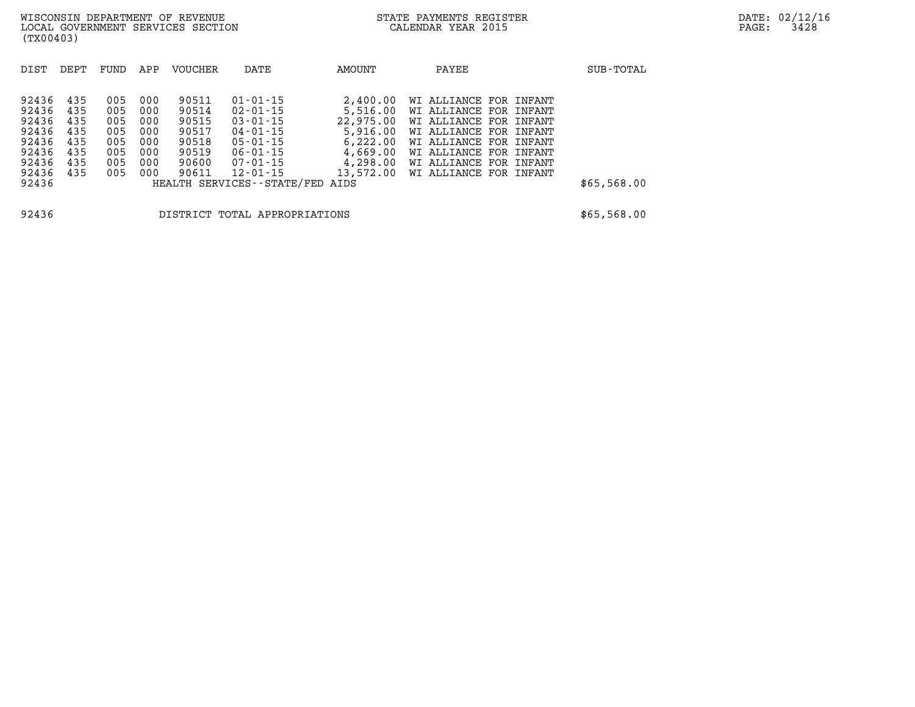| DIST  | DEPT | FUND | APP | <b>VOUCHER</b> | DATE                            | AMOUNT    | PAYEE                  | SUB-TOTAL   |
|-------|------|------|-----|----------------|---------------------------------|-----------|------------------------|-------------|
|       |      |      |     |                |                                 |           |                        |             |
| 92436 | 435  | 005  | 000 | 90511          | $01 - 01 - 15$                  | 2,400.00  | WI ALLIANCE FOR INFANT |             |
| 92436 | 435  | 005  | 000 | 90514          | $02 - 01 - 15$                  | 5,516.00  | WI ALLIANCE FOR INFANT |             |
| 92436 | 435  | 005  | 000 | 90515          | $03 - 01 - 15$                  | 22,975,00 | WI ALLIANCE FOR INFANT |             |
| 92436 | 435  | 005  | 000 | 90517          | $04 - 01 - 15$                  | 5,916.00  | WI ALLIANCE FOR INFANT |             |
| 92436 | 435  | 005  | 000 | 90518          | $05 - 01 - 15$                  | 6,222.00  | WI ALLIANCE FOR INFANT |             |
| 92436 | 435  | 005  | 000 | 90519          | $06 - 01 - 15$                  | 4,669.00  | WI ALLIANCE FOR INFANT |             |
| 92436 | 435  | 005  | 000 | 90600          | 07-01-15                        | 4,298.00  | WI ALLIANCE FOR INFANT |             |
| 92436 | 435  | 005  | 000 | 90611          | $12 - 01 - 15$                  | 13,572.00 | WI ALLIANCE FOR INFANT |             |
| 92436 |      |      |     |                | HEALTH SERVICES--STATE/FED AIDS |           |                        | \$65,568.00 |
|       |      |      |     |                |                                 |           |                        |             |
| 92436 |      |      |     |                | DISTRICT TOTAL APPROPRIATIONS   |           |                        | \$65,568.00 |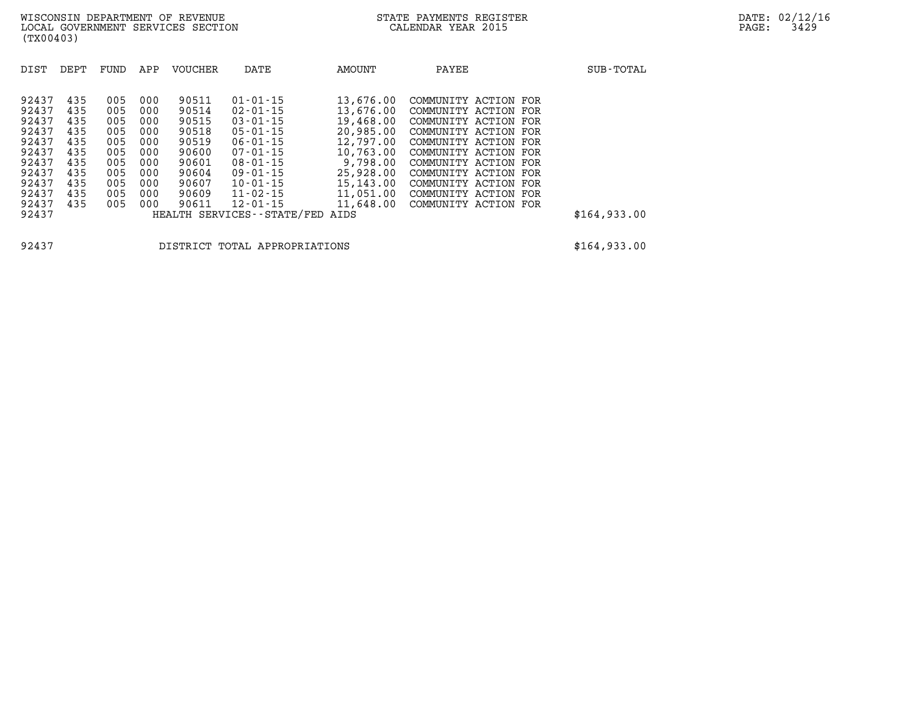| DIST  | DEPT | FUND | APP | <b>VOUCHER</b> | DATE                          | AMOUNT    | PAYEE                | SUB-TOTAL    |
|-------|------|------|-----|----------------|-------------------------------|-----------|----------------------|--------------|
| 92437 | 435  | 005  | 000 | 90511          | $01 - 01 - 15$                | 13,676.00 | COMMUNITY ACTION FOR |              |
| 92437 | 435  | 005  | 000 | 90514          | $02 - 01 - 15$                | 13,676.00 | COMMUNITY ACTION FOR |              |
| 92437 | 435  | 005  | 000 | 90515          | $03 - 01 - 15$                | 19,468.00 | COMMUNITY ACTION FOR |              |
| 92437 | 435  | 005  | 000 | 90518          | $05 - 01 - 15$                | 20,985.00 | COMMUNITY ACTION FOR |              |
| 92437 | 435  | 005  | 000 | 90519          | $06 - 01 - 15$                | 12,797.00 | COMMUNITY ACTION FOR |              |
| 92437 | 435  | 005  | 000 | 90600          | $07 - 01 - 15$                | 10,763.00 | COMMUNITY ACTION FOR |              |
| 92437 | 435  | 005  | 000 | 90601          | $08 - 01 - 15$                | 9,798.00  | COMMUNITY ACTION FOR |              |
| 92437 | 435  | 005  | 000 | 90604          | $09 - 01 - 15$                | 25,928.00 | COMMUNITY ACTION FOR |              |
| 92437 | 435  | 005  | 000 | 90607          | $10 - 01 - 15$                | 15,143.00 | COMMUNITY ACTION FOR |              |
| 92437 | 435  | 005  | 000 | 90609          | $11 - 02 - 15$                | 11,051.00 | COMMUNITY ACTION FOR |              |
| 92437 | 435  | 005  | 000 | 90611          | $12 - 01 - 15$                | 11,648.00 | COMMUNITY ACTION FOR |              |
| 92437 |      |      |     |                | HEALTH SERVICES - - STATE/FED | AIDS      |                      | \$164,933.00 |

**92437 DISTRICT TOTAL APPROPRIATIONS \$164,933.00**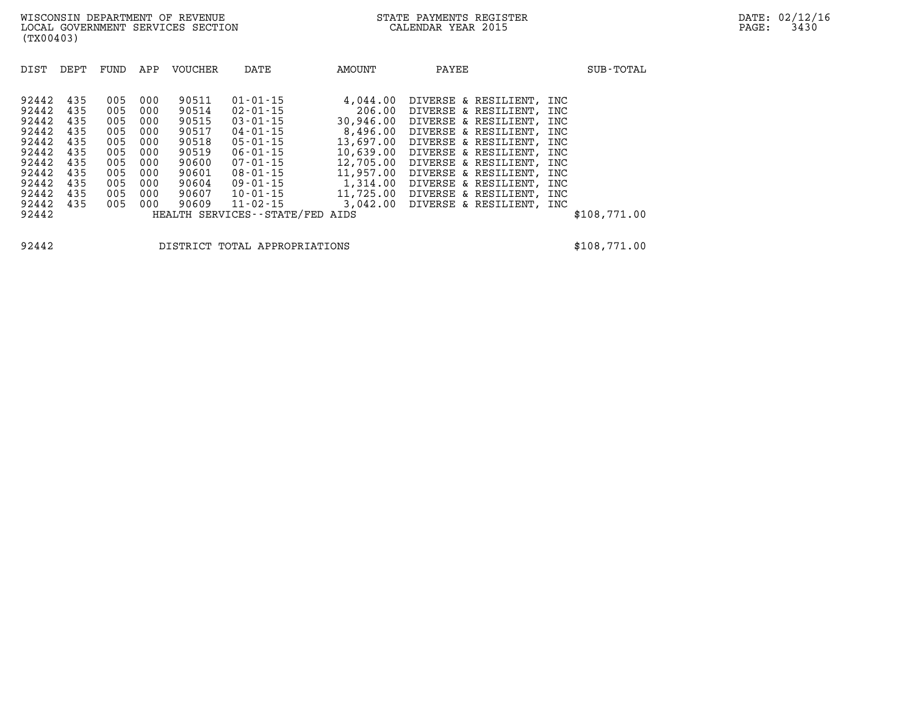| DIST  | DEPT | FUND | APP | <b>VOUCHER</b> | DATE                            | AMOUNT    | PAYEE                    | SUB-TOTAL    |
|-------|------|------|-----|----------------|---------------------------------|-----------|--------------------------|--------------|
|       |      |      |     |                |                                 |           |                          |              |
| 92442 | 435  | 005  | 000 | 90511          | $01 - 01 - 15$                  | 4,044.00  | DIVERSE & RESILIENT,     | INC          |
| 92442 | 435  | 005  | 000 | 90514          | 02-01-15                        | 206.00    | DIVERSE & RESILIENT,     | INC          |
| 92442 | 435  | 005  | 000 | 90515          | $03 - 01 - 15$                  | 30,946.00 | DIVERSE & RESILIENT,     | INC          |
| 92442 | 435  | 005  | 000 | 90517          | 04-01-15                        | 8,496.00  | DIVERSE & RESILIENT,     | INC          |
| 92442 | 435  | 005  | 000 | 90518          | 05-01-15                        | 13,697.00 | DIVERSE & RESILIENT,     | INC          |
| 92442 | 435  | 005  | 000 | 90519          | $06 - 01 - 15$                  | 10,639.00 | DIVERSE & RESILIENT,     | INC          |
| 92442 | 435  | 005  | 000 | 90600          | 07-01-15                        | 12,705.00 | DIVERSE & RESILIENT,     | INC          |
| 92442 | 435  | 005  | 000 | 90601          | 08-01-15                        | 11,957.00 | DIVERSE & RESILIENT,     | INC          |
| 92442 | 435  | 005  | 000 | 90604          | 09-01-15                        | 1,314.00  | DIVERSE & RESILIENT,     | INC          |
| 92442 | 435  | 005  | 000 | 90607          | 10-01-15                        | 11,725.00 | DIVERSE & RESILIENT,     | INC          |
| 92442 | 435  | 005  | 000 | 90609          | 11-02-15                        | 3,042.00  | DIVERSE & RESILIENT, INC |              |
| 92442 |      |      |     |                | HEALTH SERVICES--STATE/FED AIDS |           |                          | \$108,771.00 |

**92442 DISTRICT TOTAL APPROPRIATIONS \$108,771.00**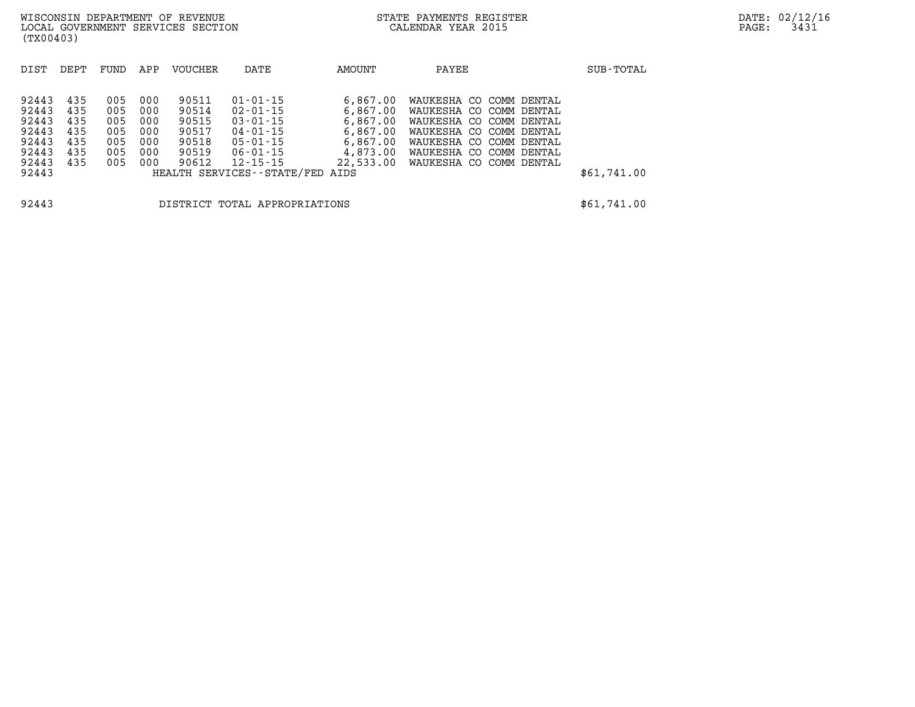| DIST  | DEPT | FUND | APP | VOUCHER | DATE                            | AMOUNT    | PAYEE                   | SUB-TOTAL   |
|-------|------|------|-----|---------|---------------------------------|-----------|-------------------------|-------------|
| 92443 | 435  | 005  | 000 | 90511   | $01 - 01 - 15$                  | 6,867.00  | WAUKESHA CO COMM DENTAL |             |
| 92443 | 435  | 005  | 000 | 90514   | $02 - 01 - 15$                  | 6,867.00  | WAUKESHA CO COMM DENTAL |             |
| 92443 | 435  | 005  | 000 | 90515   | $03 - 01 - 15$                  | 6,867.00  | WAUKESHA CO COMM DENTAL |             |
| 92443 | 435  | 005  | 000 | 90517   | $04 - 01 - 15$                  | 6,867.00  | WAUKESHA CO COMM DENTAL |             |
| 92443 | 435  | 005  | 000 | 90518   | 05-01-15                        | 6,867.00  | WAUKESHA CO COMM DENTAL |             |
| 92443 | 435  | 005  | 000 | 90519   | 06-01-15                        | 4,873.00  | WAUKESHA CO COMM DENTAL |             |
| 92443 | 435  | 005  | 000 | 90612   | 12-15-15                        | 22,533.00 | WAUKESHA CO COMM DENTAL |             |
| 92443 |      |      |     |         | HEALTH SERVICES--STATE/FED AIDS |           |                         | \$61,741.00 |

**92443 DISTRICT TOTAL APPROPRIATIONS \$61,741.00**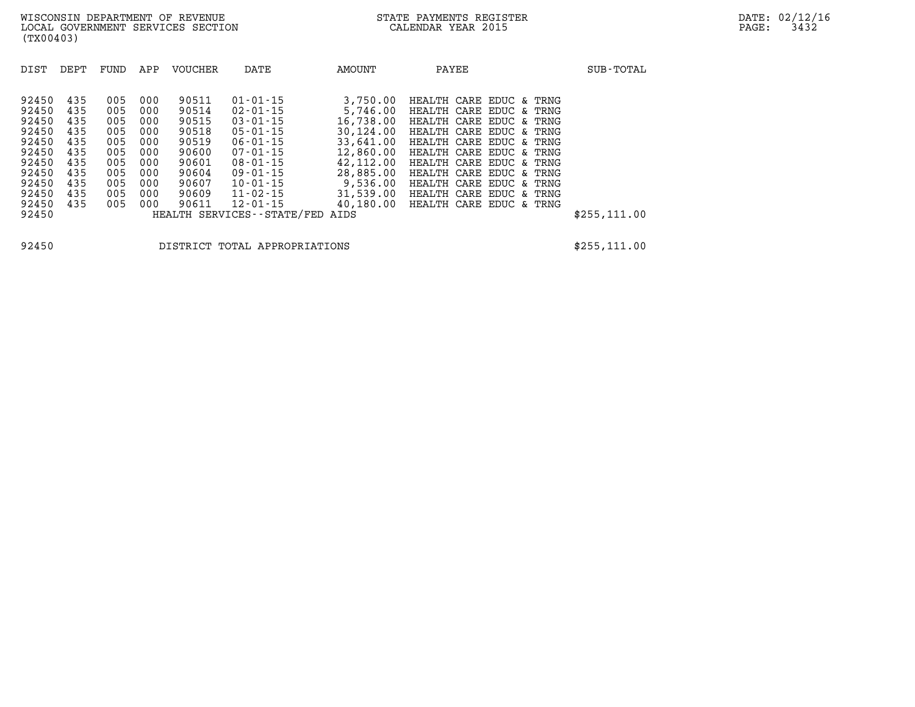| DIST                                                                                   | DEPT                                                               | FUND                                                               | APP                                                                | <b>VOUCHER</b>                                                                         | DATE                                                                                                                                                                             | AMOUNT                                                                                                                      | PAYEE                                                                                                                                                                                                                                                                      | SUB-TOTAL     |
|----------------------------------------------------------------------------------------|--------------------------------------------------------------------|--------------------------------------------------------------------|--------------------------------------------------------------------|----------------------------------------------------------------------------------------|----------------------------------------------------------------------------------------------------------------------------------------------------------------------------------|-----------------------------------------------------------------------------------------------------------------------------|----------------------------------------------------------------------------------------------------------------------------------------------------------------------------------------------------------------------------------------------------------------------------|---------------|
| 92450<br>92450<br>92450<br>92450<br>92450<br>92450<br>92450<br>92450<br>92450<br>92450 | 435<br>435<br>435<br>435<br>435<br>435<br>435<br>435<br>435<br>435 | 005<br>005<br>005<br>005<br>005<br>005<br>005<br>005<br>005<br>005 | 000<br>000<br>000<br>000<br>000<br>000<br>000<br>000<br>000<br>000 | 90511<br>90514<br>90515<br>90518<br>90519<br>90600<br>90601<br>90604<br>90607<br>90609 | $01 - 01 - 15$<br>$02 - 01 - 15$<br>$03 - 01 - 15$<br>$05 - 01 - 15$<br>$06 - 01 - 15$<br>$07 - 01 - 15$<br>$08 - 01 - 15$<br>$09 - 01 - 15$<br>$10 - 01 - 15$<br>$11 - 02 - 15$ | 3,750.00<br>5,746.00<br>16,738.00<br>30,124.00<br>33,641.00<br>12,860.00<br>42,112.00<br>28,885.00<br>9,536.00<br>31,539.00 | HEALTH CARE EDUC & TRNG<br>HEALTH CARE EDUC & TRNG<br>HEALTH CARE EDUC & TRNG<br>HEALTH CARE EDUC & TRNG<br>HEALTH CARE EDUC & TRNG<br>HEALTH CARE EDUC & TRNG<br>HEALTH CARE EDUC & TRNG<br>HEALTH CARE EDUC & TRNG<br>HEALTH CARE EDUC & TRNG<br>HEALTH CARE EDUC & TRNG |               |
| 92450<br>92450                                                                         | 435                                                                | 005                                                                | 000                                                                | 90611                                                                                  | $12 - 01 - 15$<br>HEALTH SERVICES--STATE/FED                                                                                                                                     | 40,180.00<br>AIDS                                                                                                           | HEALTH CARE EDUC & TRNG                                                                                                                                                                                                                                                    | \$255, 111.00 |

**92450 DISTRICT TOTAL APPROPRIATIONS \$255,111.00**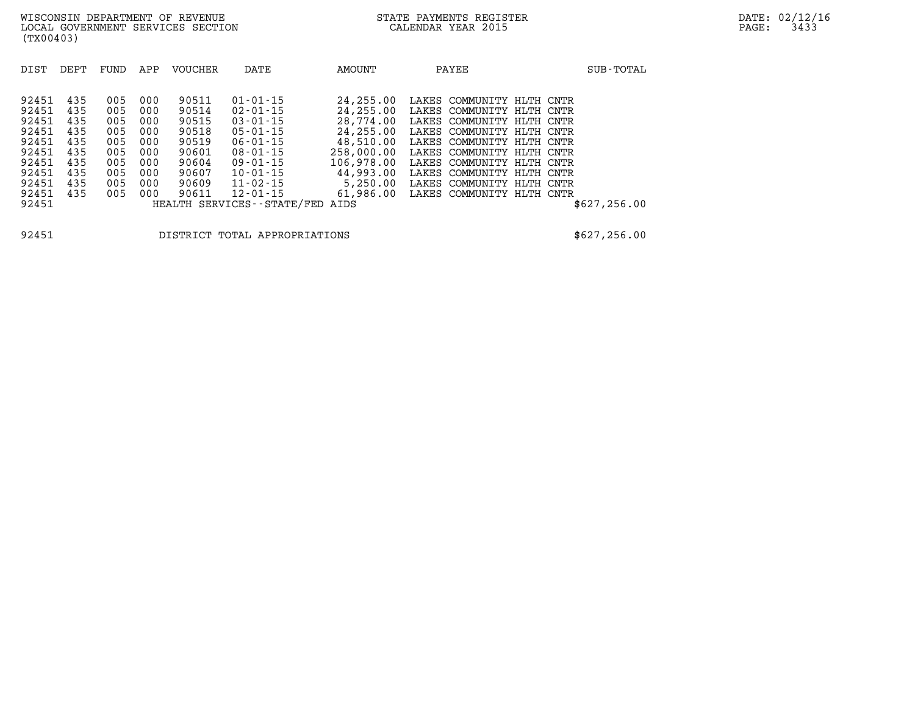| DIST  | DEPT | FUND | APP | VOUCHER | DATE                          | AMOUNT     | PAYEE                        |           | SUB-TOTAL     |
|-------|------|------|-----|---------|-------------------------------|------------|------------------------------|-----------|---------------|
|       |      |      |     |         |                               |            |                              |           |               |
| 92451 | 435  | 005  | 000 | 90511   | $01 - 01 - 15$                | 24,255.00  | COMMUNITY HLTH CNTR<br>LAKES |           |               |
| 92451 | 435  | 005  | 000 | 90514   | $02 - 01 - 15$                | 24,255.00  | LAKES<br>COMMUNITY HLTH CNTR |           |               |
| 92451 | 435  | 005  | 000 | 90515   | $03 - 01 - 15$                | 28,774.00  | LAKES<br>COMMUNITY           | HLTH CNTR |               |
| 92451 | 435  | 005  | 000 | 90518   | $05 - 01 - 15$                | 24,255.00  | LAKES COMMUNITY HLTH CNTR    |           |               |
| 92451 | 435  | 005  | 000 | 90519   | $06 - 01 - 15$                | 48,510.00  | LAKES<br>COMMUNITY           | HLTH CNTR |               |
| 92451 | 435  | 005  | 000 | 90601   | $08 - 01 - 15$                | 258,000.00 | LAKES COMMUNITY              | HLTH CNTR |               |
| 92451 | 435  | 005  | 000 | 90604   | $09 - 01 - 15$                | 106,978.00 | LAKES<br>COMMUNITY           | HLTH CNTR |               |
| 92451 | 435  | 005  | 000 | 90607   | $10 - 01 - 15$                | 44,993.00  | COMMUNITY<br>LAKES           | HLTH CNTR |               |
| 92451 | 435  | 005  | 000 | 90609   | $11 - 02 - 15$                | 5,250.00   | LAKES COMMUNITY HLTH CNTR    |           |               |
| 92451 | 435  | 005  | 000 | 90611   | $12 - 01 - 15$                | 61,986.00  | COMMUNITY HLTH CNTR<br>LAKES |           |               |
| 92451 |      |      |     |         | HEALTH SERVICES - - STATE/FED | AIDS       |                              |           | \$627, 256.00 |

**92451 DISTRICT TOTAL APPROPRIATIONS \$627,256.00**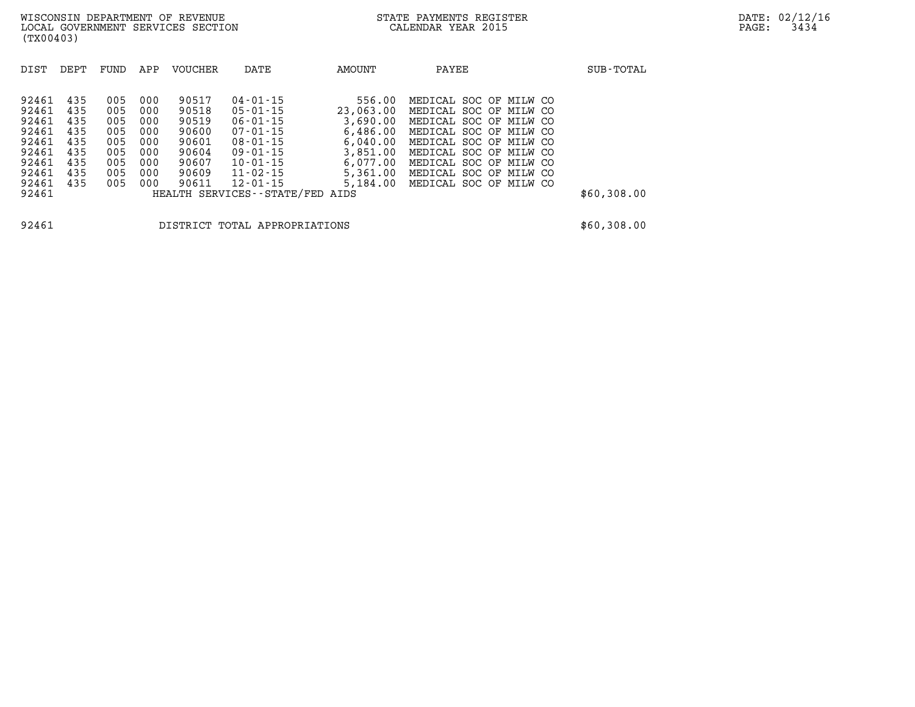| DIST           | DEPT | FUND | APP | <b>VOUCHER</b> | DATE                                              | AMOUNT    | PAYEE                  | SUB-TOTAL   |
|----------------|------|------|-----|----------------|---------------------------------------------------|-----------|------------------------|-------------|
| 92461          | 435  | 005  | 000 | 90517          | $04 - 01 - 15$                                    | 556.00    | MEDICAL SOC OF MILW CO |             |
| 92461          | 435  | 005  | 000 | 90518          | $05 - 01 - 15$                                    | 23,063.00 | MEDICAL SOC OF MILW CO |             |
| 92461          | 435  | 005  | 000 | 90519          | $06 - 01 - 15$                                    | 3,690.00  | MEDICAL SOC OF MILW CO |             |
| 92461          | 435  | 005  | 000 | 90600          | $07 - 01 - 15$                                    | 6,486.00  | MEDICAL SOC OF MILW CO |             |
| 92461          | 435  | 005  | 000 | 90601          | $08 - 01 - 15$                                    | 6,040.00  | MEDICAL SOC OF MILW CO |             |
| 92461          | 435  | 005  | 000 | 90604          | $09 - 01 - 15$                                    | 3,851.00  | MEDICAL SOC OF MILW CO |             |
| 92461          | 435  | 005  | 000 | 90607          | $10 - 01 - 15$                                    | 6.077.00  | MEDICAL SOC OF MILW CO |             |
| 92461          | 435  | 005  | 000 | 90609          | $11 - 02 - 15$                                    | 5,361.00  | MEDICAL SOC OF MILW CO |             |
| 92461<br>92461 | 435  | 005  | 000 | 90611          | $12 - 01 - 15$<br>HEALTH SERVICES--STATE/FED AIDS | 5,184.00  | MEDICAL SOC OF MILW CO | \$60,308.00 |
| 92461          |      |      |     |                | DISTRICT TOTAL APPROPRIATIONS                     |           |                        | \$60,308.00 |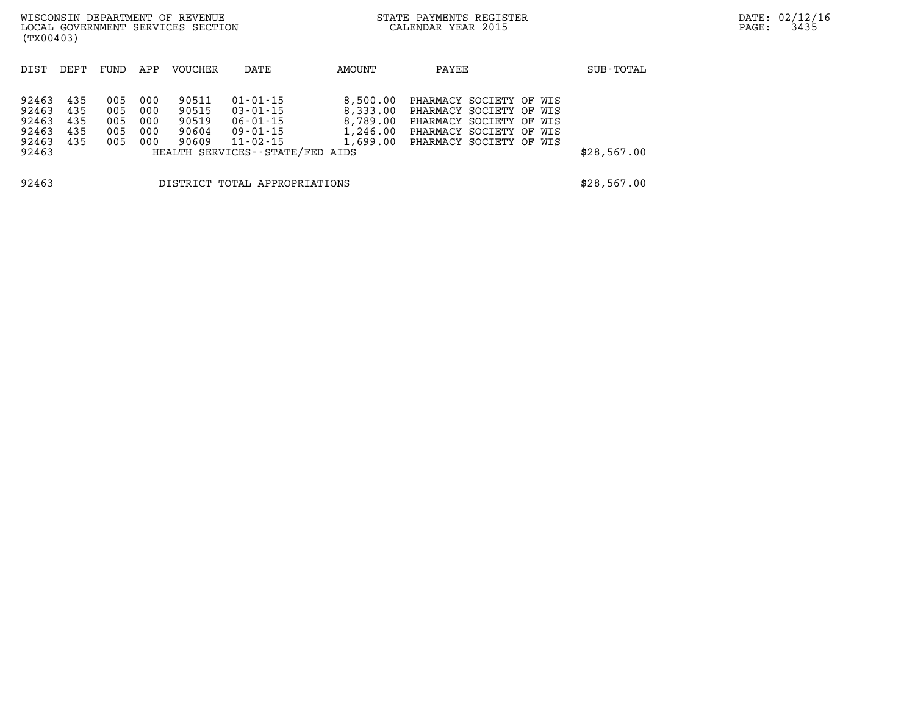| (TX00403)                                          |                                 |                                 |                                 | WISCONSIN DEPARTMENT OF REVENUE<br>LOCAL GOVERNMENT SERVICES SECTION |                                                                                                                     |                                              | STATE PAYMENTS REGISTER<br>CALENDAR YEAR 2015                                                                                                |  | PAGE:       | DATE: 02/12/1<br>3435 |  |
|----------------------------------------------------|---------------------------------|---------------------------------|---------------------------------|----------------------------------------------------------------------|---------------------------------------------------------------------------------------------------------------------|----------------------------------------------|----------------------------------------------------------------------------------------------------------------------------------------------|--|-------------|-----------------------|--|
| DIST                                               | DEPT                            | FUND                            | APP                             | <b>VOUCHER</b>                                                       | DATE                                                                                                                | AMOUNT                                       | PAYEE                                                                                                                                        |  | SUB-TOTAL   |                       |  |
| 92463<br>92463<br>92463<br>92463<br>92463<br>92463 | 435<br>435<br>435<br>435<br>435 | 005<br>005<br>005<br>005<br>005 | 000<br>000<br>000<br>000<br>000 | 90511<br>90515<br>90519<br>90604<br>90609                            | $01 - 01 - 15$<br>$03 - 01 - 15$<br>$06 - 01 - 15$<br>09-01-15<br>$11 - 02 - 15$<br>HEALTH SERVICES--STATE/FED AIDS | 8,500.00<br>8,333.00<br>8,789.00<br>1,246.00 | PHARMACY SOCIETY OF WIS<br>PHARMACY SOCIETY OF WIS<br>PHARMACY SOCIETY OF WIS<br>PHARMACY SOCIETY OF WIS<br>1,699.00 PHARMACY SOCIETY OF WIS |  | \$28,567.00 |                       |  |
| 92463                                              |                                 |                                 |                                 |                                                                      | DISTRICT TOTAL APPROPRIATIONS                                                                                       |                                              |                                                                                                                                              |  | \$28,567.00 |                       |  |

**DATE: 02/12/16<br>PAGE: 3435**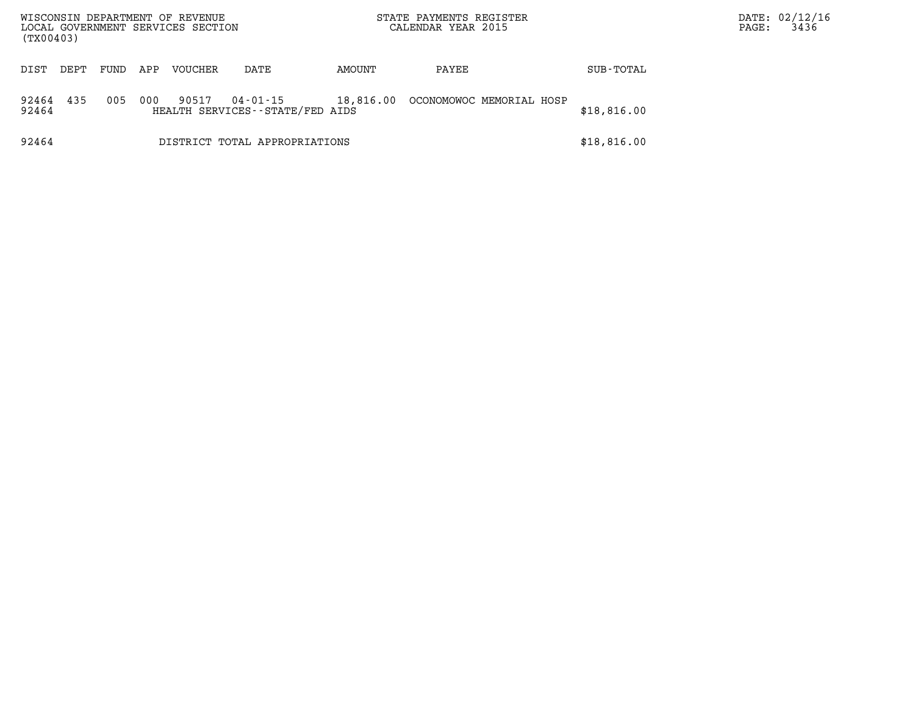| (TX00403)      |      |      |     | WISCONSIN DEPARTMENT OF REVENUE<br>LOCAL GOVERNMENT SERVICES SECTION |                                             |           | STATE PAYMENTS REGISTER<br>CALENDAR YEAR 2015 |             | DATE: 02/12/16<br>3436<br>PAGE: |  |
|----------------|------|------|-----|----------------------------------------------------------------------|---------------------------------------------|-----------|-----------------------------------------------|-------------|---------------------------------|--|
| DIST           | DEPT | FUND | APP | <b>VOUCHER</b>                                                       | DATE                                        | AMOUNT    | PAYEE                                         | SUB-TOTAL   |                                 |  |
| 92464<br>92464 | 435  | 005  | 000 | 90517                                                                | 04-01-15<br>HEALTH SERVICES--STATE/FED AIDS | 18,816.00 | OCONOMOWOC MEMORIAL HOSP                      | \$18,816.00 |                                 |  |
| 92464          |      |      |     |                                                                      | DISTRICT TOTAL APPROPRIATIONS               |           |                                               | \$18,816.00 |                                 |  |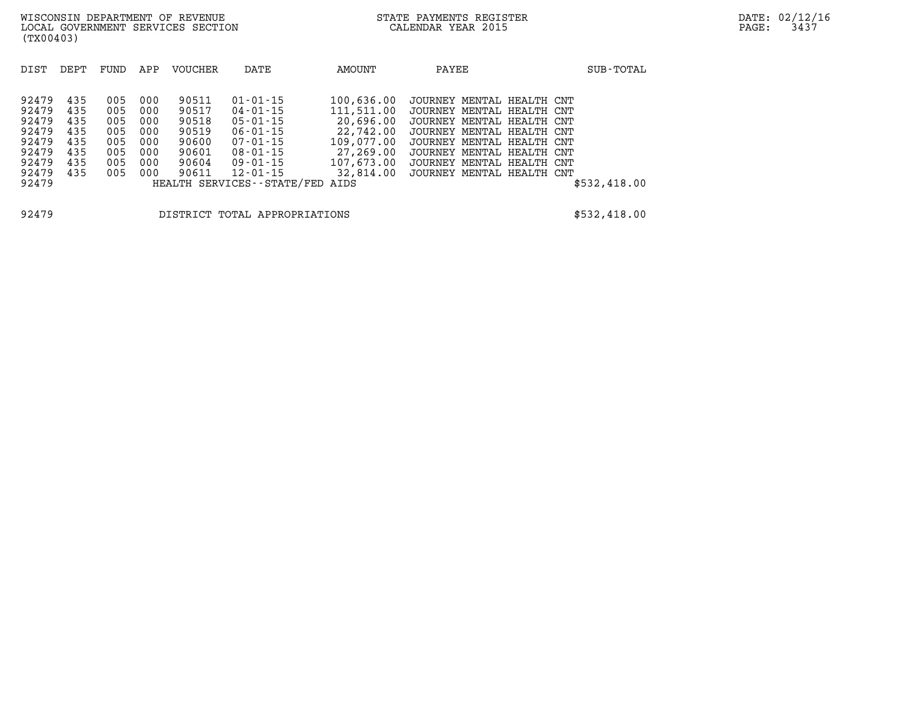| DIST  | DEPT | FUND | APP | <b>VOUCHER</b> | DATE                       | AMOUNT     | PAYEE                     | SUB-TOTAL    |
|-------|------|------|-----|----------------|----------------------------|------------|---------------------------|--------------|
|       |      |      |     |                |                            |            |                           |              |
|       |      |      |     |                |                            |            |                           |              |
| 92479 | 435  | 005  | 000 | 90511          | $01 - 01 - 15$             | 100,636.00 | JOURNEY MENTAL HEALTH CNT |              |
| 92479 | 435  | 005  | 000 | 90517          | 04-01-15                   | 111,511.00 | JOURNEY MENTAL HEALTH CNT |              |
| 92479 | 435  | 005  | 000 | 90518          | 05-01-15                   | 20,696.00  | JOURNEY MENTAL HEALTH CNT |              |
| 92479 | 435  | 005  | 000 | 90519          | 06-01-15                   | 22,742.00  | JOURNEY MENTAL HEALTH CNT |              |
| 92479 | 435  | 005  | 000 | 90600          | 07-01-15                   | 109,077.00 | JOURNEY MENTAL HEALTH CNT |              |
| 92479 | 435  | 005  | 000 | 90601          | 08-01-15                   | 27,269.00  | JOURNEY MENTAL HEALTH CNT |              |
| 92479 | 435  | 005  | 000 | 90604          | 09-01-15                   | 107,673.00 | JOURNEY MENTAL HEALTH CNT |              |
| 92479 | 435  | 005  | 000 | 90611          | $12 - 01 - 15$             | 32,814.00  | JOURNEY MENTAL HEALTH CNT |              |
| 92479 |      |      |     |                | HEALTH SERVICES--STATE/FED | AIDS       |                           | \$532,418.00 |
|       |      |      |     |                |                            |            |                           |              |
|       |      |      |     |                |                            |            |                           |              |

**92479 DISTRICT TOTAL APPROPRIATIONS \$532,418.00**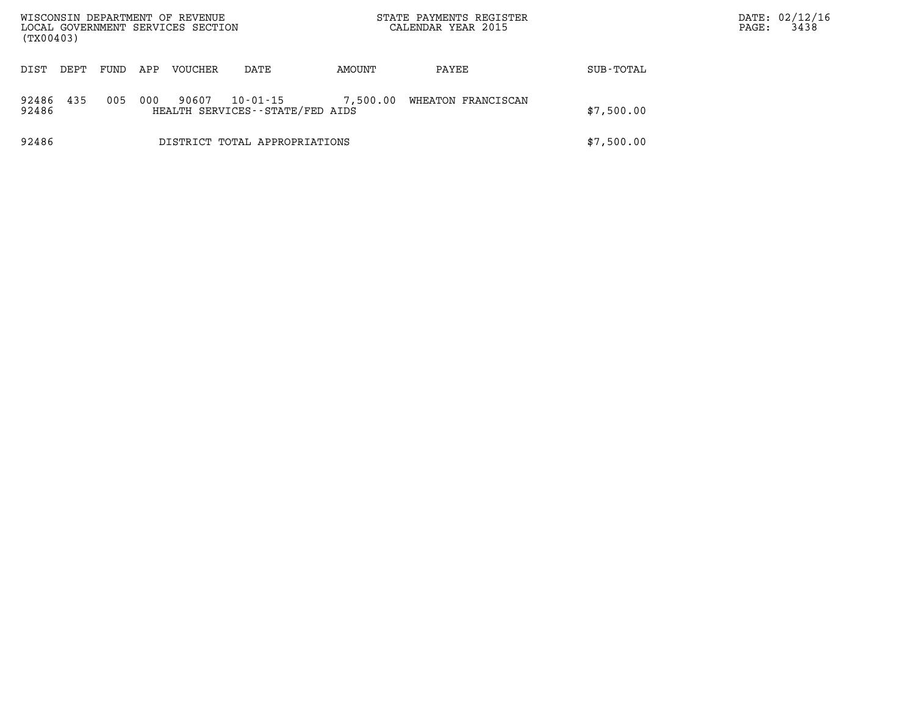| (TX00403)      |      |      |     | WISCONSIN DEPARTMENT OF REVENUE<br>LOCAL GOVERNMENT SERVICES SECTION |                                             |          | STATE PAYMENTS REGISTER<br>CALENDAR YEAR 2015 |            | PAGE: | DATE: 02/12/16<br>3438 |
|----------------|------|------|-----|----------------------------------------------------------------------|---------------------------------------------|----------|-----------------------------------------------|------------|-------|------------------------|
| DIST           | DEPT | FUND | APP | <b>VOUCHER</b>                                                       | DATE                                        | AMOUNT   | PAYEE                                         | SUB-TOTAL  |       |                        |
| 92486<br>92486 | 435  | 005  | 000 | 90607                                                                | 10-01-15<br>HEALTH SERVICES--STATE/FED AIDS | 7,500.00 | WHEATON FRANCISCAN                            | \$7,500.00 |       |                        |
| 92486          |      |      |     |                                                                      | DISTRICT TOTAL APPROPRIATIONS               |          |                                               | \$7,500.00 |       |                        |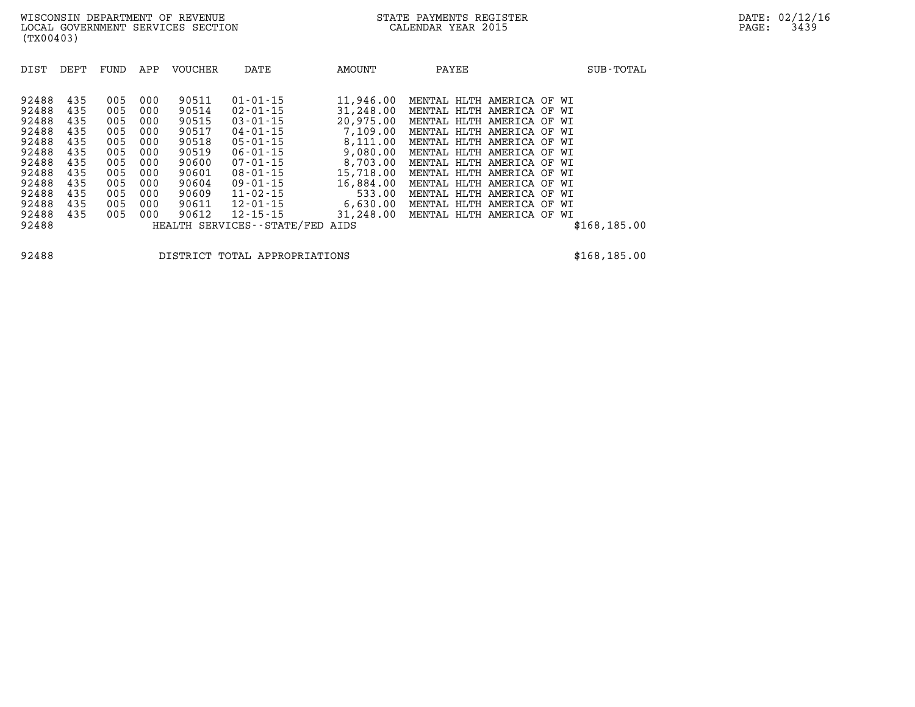| DIST<br>DEPT                                                                                                                                                                                          | FUND                                                                             | APP                                                                              | <b>VOUCHER</b>                                                                                           | DATE                                                                                                                                                                                                                                                  | AMOUNT                                                                                                                                                   | PAYEE                                                                                                                                                                                                                                                                                                                                                                                     | SUB-TOTAL     |
|-------------------------------------------------------------------------------------------------------------------------------------------------------------------------------------------------------|----------------------------------------------------------------------------------|----------------------------------------------------------------------------------|----------------------------------------------------------------------------------------------------------|-------------------------------------------------------------------------------------------------------------------------------------------------------------------------------------------------------------------------------------------------------|----------------------------------------------------------------------------------------------------------------------------------------------------------|-------------------------------------------------------------------------------------------------------------------------------------------------------------------------------------------------------------------------------------------------------------------------------------------------------------------------------------------------------------------------------------------|---------------|
| 92488<br>435<br>92488<br>435<br>92488<br>435<br>92488<br>435<br>92488<br>435<br>92488<br>435<br>92488<br>435<br>92488<br>435<br>92488<br>435<br>92488<br>435<br>92488<br>435<br>92488<br>435<br>92488 | 005<br>005<br>005<br>005<br>005<br>005<br>005<br>005<br>005<br>005<br>005<br>005 | 000<br>000<br>000<br>000<br>000<br>000<br>000<br>000<br>000<br>000<br>000<br>000 | 90511<br>90514<br>90515<br>90517<br>90518<br>90519<br>90600<br>90601<br>90604<br>90609<br>90611<br>90612 | $01 - 01 - 15$<br>$02 - 01 - 15$<br>$03 - 01 - 15$<br>$04 - 01 - 15$<br>$05 - 01 - 15$<br>$06 - 01 - 15$<br>$07 - 01 - 15$<br>$08 - 01 - 15$<br>$09 - 01 - 15$<br>$11 - 02 - 15$<br>$12 - 01 - 15$<br>$12 - 15 - 15$<br>HEALTH SERVICES - - STATE/FED | 11,946.00<br>31,248.00<br>20,975.00<br>7,109.00<br>8,111.00<br>9,080.00<br>8,703.00<br>15,718.00<br>16,884.00<br>533.00<br>6,630.00<br>31,248.00<br>AIDS | MENTAL HLTH AMERICA OF WI<br>MENTAL HLTH AMERICA OF WI<br>MENTAL HLTH AMERICA<br>OF<br>WI<br>MENTAL HLTH AMERICA OF<br>WI<br>MENTAL HLTH AMERICA OF WI<br>HLTH AMERICA OF WI<br>MENTAL<br>MENTAL HLTH AMERICA OF<br>WI<br>MENTAL HLTH AMERICA OF WI<br>HLTH<br>AMERICA<br>MENTAL<br>OF<br>WI<br>MENTAL HLTH AMERICA OF<br>WI<br>MENTAL HLTH AMERICA OF WI<br>MENTAL HLTH AMERICA OF<br>WI | \$168, 185.00 |

**92488 DISTRICT TOTAL APPROPRIATIONS \$168,185.00**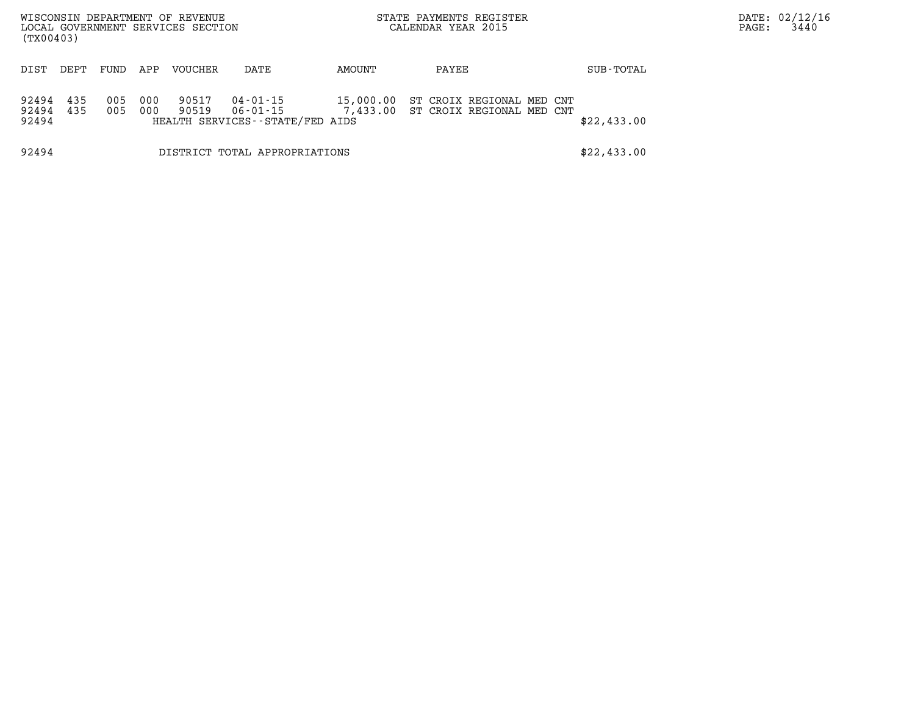| (TX00403)               |            |            |            | WISCONSIN DEPARTMENT OF REVENUE<br>LOCAL GOVERNMENT SERVICES SECTION |                                                         |           | STATE PAYMENTS REGISTER<br>CALENDAR YEAR 2015                   |  | PAGE:       | DATE: 02/12/16<br>3440 |  |
|-------------------------|------------|------------|------------|----------------------------------------------------------------------|---------------------------------------------------------|-----------|-----------------------------------------------------------------|--|-------------|------------------------|--|
| DIST                    | DEPT       | FUND       | APP        | VOUCHER                                                              | DATE                                                    | AMOUNT    | PAYEE                                                           |  | SUB-TOTAL   |                        |  |
| 92494<br>92494<br>92494 | 435<br>435 | 005<br>005 | 000<br>000 | 90517<br>90519                                                       | 04-01-15<br>06-01-15<br>HEALTH SERVICES--STATE/FED AIDS | 15,000.00 | ST CROIX REGIONAL MED CNT<br>7,433.00 ST CROIX REGIONAL MED CNT |  | \$22,433.00 |                        |  |
| 92494                   |            |            |            |                                                                      | DISTRICT TOTAL APPROPRIATIONS                           |           |                                                                 |  | \$22,433.00 |                        |  |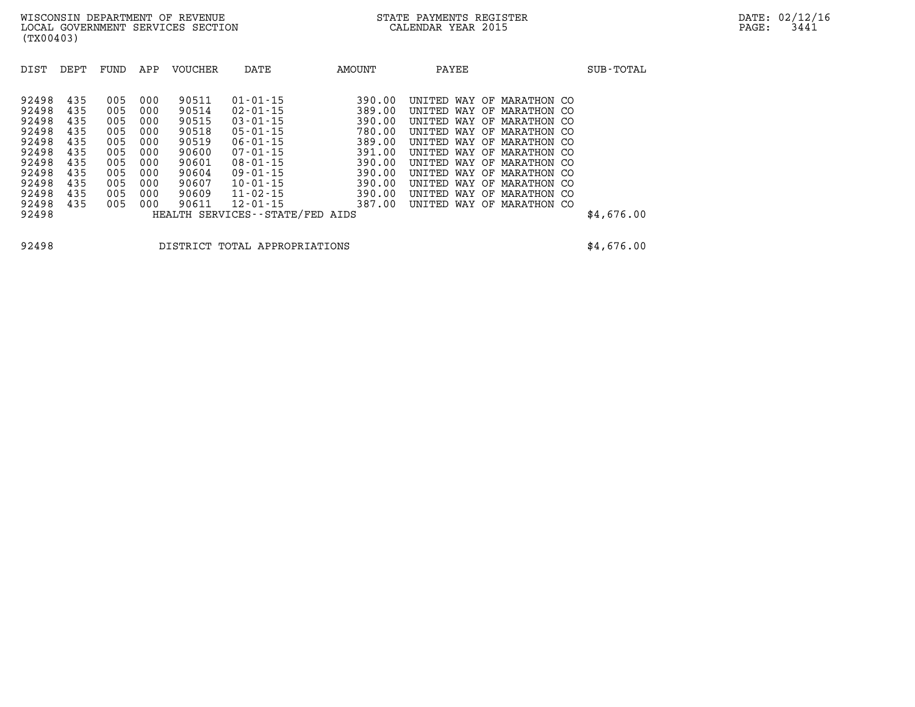| DIST                                                        | DEPT                                          | FUND                                          | APP                                           | VOUCHER                                                     | DATE                                                                                                                       | <b>AMOUNT</b>                                                      | PAYEE                                                                                                                                            |                                                                                                       | SUB-TOTAL  |
|-------------------------------------------------------------|-----------------------------------------------|-----------------------------------------------|-----------------------------------------------|-------------------------------------------------------------|----------------------------------------------------------------------------------------------------------------------------|--------------------------------------------------------------------|--------------------------------------------------------------------------------------------------------------------------------------------------|-------------------------------------------------------------------------------------------------------|------------|
| 92498<br>92498<br>92498<br>92498<br>92498<br>92498<br>92498 | 435<br>435<br>435<br>435<br>435<br>435<br>435 | 005<br>005<br>005<br>005<br>005<br>005<br>005 | 000<br>000<br>000<br>000<br>000<br>000<br>000 | 90511<br>90514<br>90515<br>90518<br>90519<br>90600<br>90601 | $01 - 01 - 15$<br>$02 - 01 - 15$<br>$03 - 01 - 15$<br>$05 - 01 - 15$<br>$06 - 01 - 15$<br>$07 - 01 - 15$<br>$08 - 01 - 15$ | 390.00<br>389.00<br>390.00<br>780.00<br>389.00<br>391.00<br>390.00 | WAY<br>UNTTED.<br>OF<br>UNITED<br>WAY OF<br>UNITED<br>WAY<br>OF<br>UNITED<br>WAY OF<br>UNITED<br>WAY OF<br>UNTTED.<br>WAY OF<br>UNITED<br>WAY OF | MARATHON CO<br>MARATHON CO<br>MARATHON CO<br>MARATHON CO<br>MARATHON CO<br>MARATHON CO<br>MARATHON CO |            |
| 92498<br>92498<br>92498<br>92498<br>92498                   | 435<br>435<br>435<br>435                      | 005<br>005<br>005<br>005                      | 000<br>000<br>000<br>000                      | 90604<br>90607<br>90609<br>90611                            | $09 - 01 - 15$<br>$10 - 01 - 15$<br>$11 - 02 - 15$<br>$12 - 01 - 15$<br>HEALTH SERVICES--STATE/FED AIDS                    | 390.00<br>390.00<br>390.00<br>387.00                               | <b>UNTTED</b><br>WAY<br>OF.<br>WAY OF<br>UNITED<br><b>UNTTED</b><br>WAY OF<br><b>UNTTED</b><br>WAY<br>OF                                         | MARATHON CO<br>MARATHON CO<br>MARATHON CO<br>MARATHON CO                                              | \$4,676.00 |

**92498 DISTRICT TOTAL APPROPRIATIONS \$4,676.00**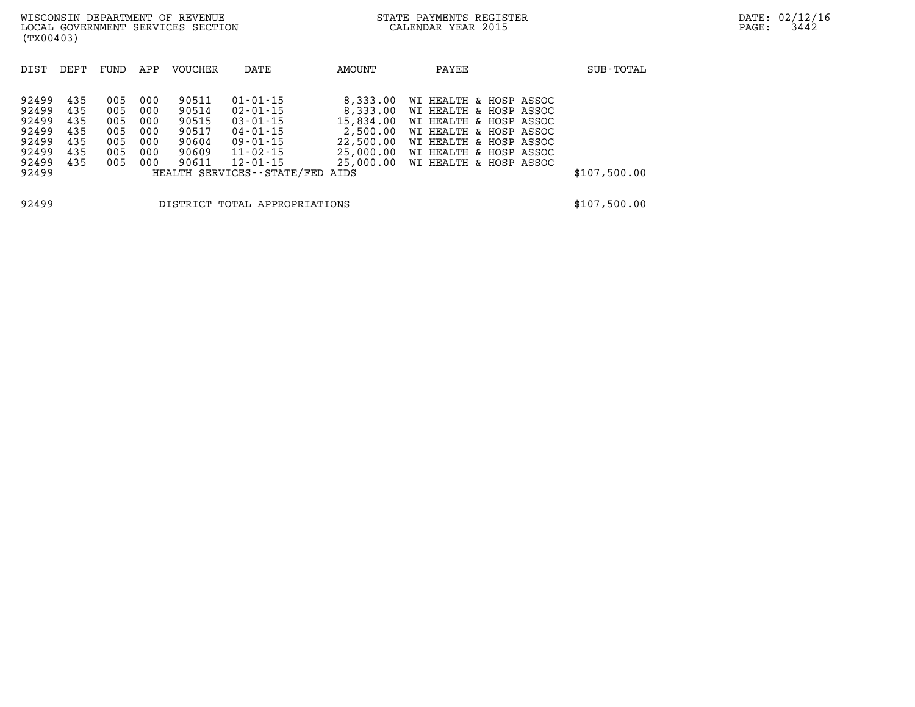| DIST                                                                 | DEPT                                          | FUND                                          | APP                                           | VOUCHER                                                     | DATE                                                                                                                                                          | AMOUNT                                                                               | PAYEE                                                                                                                                                                              | SUB-TOTAL    |
|----------------------------------------------------------------------|-----------------------------------------------|-----------------------------------------------|-----------------------------------------------|-------------------------------------------------------------|---------------------------------------------------------------------------------------------------------------------------------------------------------------|--------------------------------------------------------------------------------------|------------------------------------------------------------------------------------------------------------------------------------------------------------------------------------|--------------|
| 92499<br>92499<br>92499<br>92499<br>92499<br>92499<br>92499<br>92499 | 435<br>435<br>435<br>435<br>435<br>435<br>435 | 005<br>005<br>005<br>005<br>005<br>005<br>005 | 000<br>000<br>000<br>000<br>000<br>000<br>000 | 90511<br>90514<br>90515<br>90517<br>90604<br>90609<br>90611 | $01 - 01 - 15$<br>$02 - 01 - 15$<br>$03 - 01 - 15$<br>$04 - 01 - 15$<br>$09 - 01 - 15$<br>$11 - 02 - 15$<br>$12 - 01 - 15$<br>HEALTH SERVICES--STATE/FED AIDS | 8,333.00<br>8,333.00<br>15,834.00<br>2,500.00<br>22,500.00<br>25,000.00<br>25,000.00 | WI HEALTH & HOSP ASSOC<br>WI HEALTH & HOSP ASSOC<br>WI HEALTH & HOSP ASSOC<br>WI HEALTH & HOSP ASSOC<br>WI HEALTH & HOSP ASSOC<br>WI HEALTH & HOSP ASSOC<br>WI HEALTH & HOSP ASSOC | \$107,500.00 |

**92499 DISTRICT TOTAL APPROPRIATIONS \$107,500.00**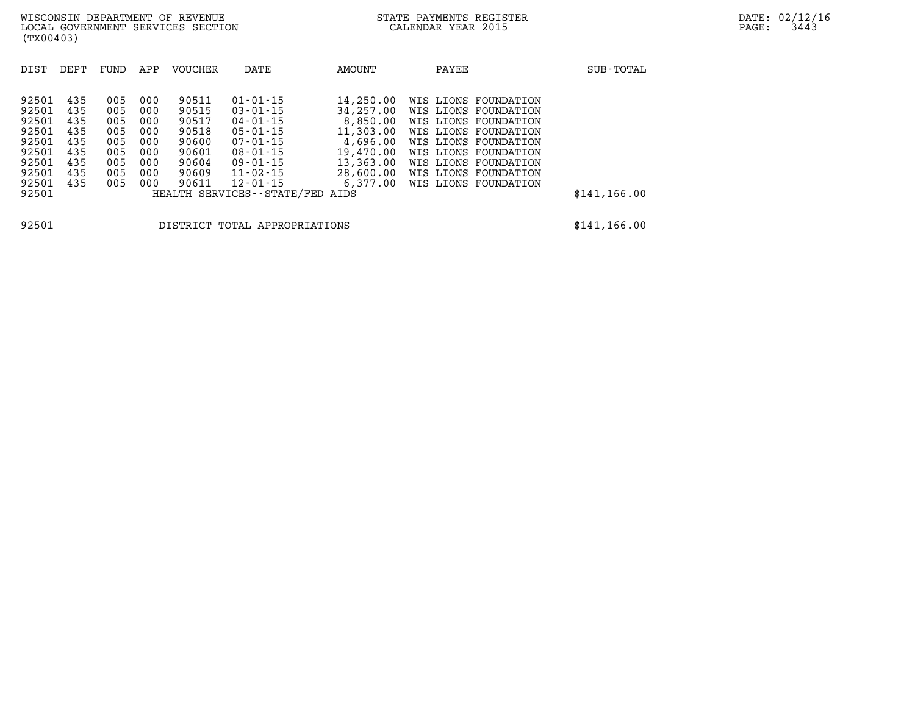| DIST                                                                          | DEPT                                                        | FUND                                                        | APP                                                         | <b>VOUCHER</b>                                                                | DATE                                                                                                                                                     | AMOUNT                                                                                                         | PAYEE                                                                                                                                                                                                                | SUB-TOTAL     |
|-------------------------------------------------------------------------------|-------------------------------------------------------------|-------------------------------------------------------------|-------------------------------------------------------------|-------------------------------------------------------------------------------|----------------------------------------------------------------------------------------------------------------------------------------------------------|----------------------------------------------------------------------------------------------------------------|----------------------------------------------------------------------------------------------------------------------------------------------------------------------------------------------------------------------|---------------|
| 92501<br>92501<br>92501<br>92501<br>92501<br>92501<br>92501<br>92501<br>92501 | 435<br>435<br>435<br>435<br>435<br>435<br>435<br>435<br>435 | 005<br>005<br>005<br>005<br>005<br>005<br>005<br>005<br>005 | 000<br>000<br>000<br>000<br>000<br>000<br>000<br>000<br>000 | 90511<br>90515<br>90517<br>90518<br>90600<br>90601<br>90604<br>90609<br>90611 | $01 - 01 - 15$<br>$03 - 01 - 15$<br>$04 - 01 - 15$<br>$05 - 01 - 15$<br>$07 - 01 - 15$<br>$08 - 01 - 15$<br>$09 - 01 - 15$<br>11-02-15<br>$12 - 01 - 15$ | 14,250.00<br>34,257,00<br>8,850.00<br>11,303.00<br>4,696.00<br>19,470.00<br>13,363.00<br>28,600.00<br>6,377.00 | WIS LIONS FOUNDATION<br>WIS LIONS FOUNDATION<br>WIS LIONS FOUNDATION<br>WIS LIONS FOUNDATION<br>WIS LIONS FOUNDATION<br>WIS LIONS FOUNDATION<br>WIS LIONS FOUNDATION<br>WIS LIONS FOUNDATION<br>WIS LIONS FOUNDATION |               |
| 92501                                                                         |                                                             |                                                             |                                                             |                                                                               | HEALTH SERVICES--STATE/FED AIDS                                                                                                                          |                                                                                                                |                                                                                                                                                                                                                      | \$141, 166.00 |
|                                                                               |                                                             |                                                             |                                                             |                                                                               |                                                                                                                                                          |                                                                                                                |                                                                                                                                                                                                                      |               |

**92501 DISTRICT TOTAL APPROPRIATIONS \$141,166.00**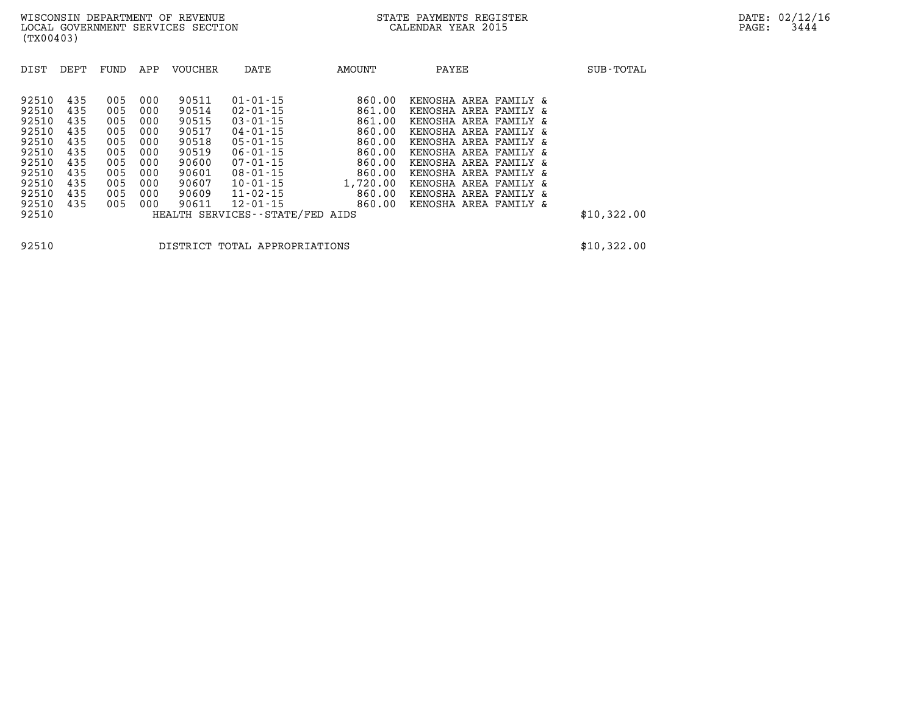| DIST                                                                                                     | DEPT                                                                      | FUND                                                                      | APP                                                                       | <b>VOUCHER</b>                                                                                  | DATE                                                                                                                                                                                                                                  | AMOUNT                                                                                                       | PAYEE                                                                                                                                                                                                                                                                           | SUB-TOTAL   |
|----------------------------------------------------------------------------------------------------------|---------------------------------------------------------------------------|---------------------------------------------------------------------------|---------------------------------------------------------------------------|-------------------------------------------------------------------------------------------------|---------------------------------------------------------------------------------------------------------------------------------------------------------------------------------------------------------------------------------------|--------------------------------------------------------------------------------------------------------------|---------------------------------------------------------------------------------------------------------------------------------------------------------------------------------------------------------------------------------------------------------------------------------|-------------|
| 92510<br>92510<br>92510<br>92510<br>92510<br>92510<br>92510<br>92510<br>92510<br>92510<br>92510<br>92510 | 435<br>435<br>435<br>435<br>435<br>435<br>435<br>435<br>435<br>435<br>435 | 005<br>005<br>005<br>005<br>005<br>005<br>005<br>005<br>005<br>005<br>005 | 000<br>000<br>000<br>000<br>000<br>000<br>000<br>000<br>000<br>000<br>000 | 90511<br>90514<br>90515<br>90517<br>90518<br>90519<br>90600<br>90601<br>90607<br>90609<br>90611 | $01 - 01 - 15$<br>$02 - 01 - 15$<br>$03 - 01 - 15$<br>$04 - 01 - 15$<br>$05 - 01 - 15$<br>$06 - 01 - 15$<br>$07 - 01 - 15$<br>$08 - 01 - 15$<br>$10 - 01 - 15$<br>$11 - 02 - 15$<br>$12 - 01 - 15$<br>HEALTH SERVICES--STATE/FED AIDS | 860.00<br>861.00<br>861.00<br>860.00<br>860.00<br>860.00<br>860.00<br>860.00<br>1,720.00<br>860.00<br>860.00 | KENOSHA AREA FAMILY &<br>KENOSHA AREA FAMILY &<br>KENOSHA AREA FAMILY &<br>KENOSHA AREA FAMILY &<br>KENOSHA AREA FAMILY &<br>KENOSHA AREA FAMILY &<br>KENOSHA AREA FAMILY &<br>KENOSHA AREA FAMILY &<br>KENOSHA AREA FAMILY &<br>KENOSHA AREA FAMILY &<br>KENOSHA AREA FAMILY & | \$10,322.00 |

**92510 DISTRICT TOTAL APPROPRIATIONS \$10,322.00**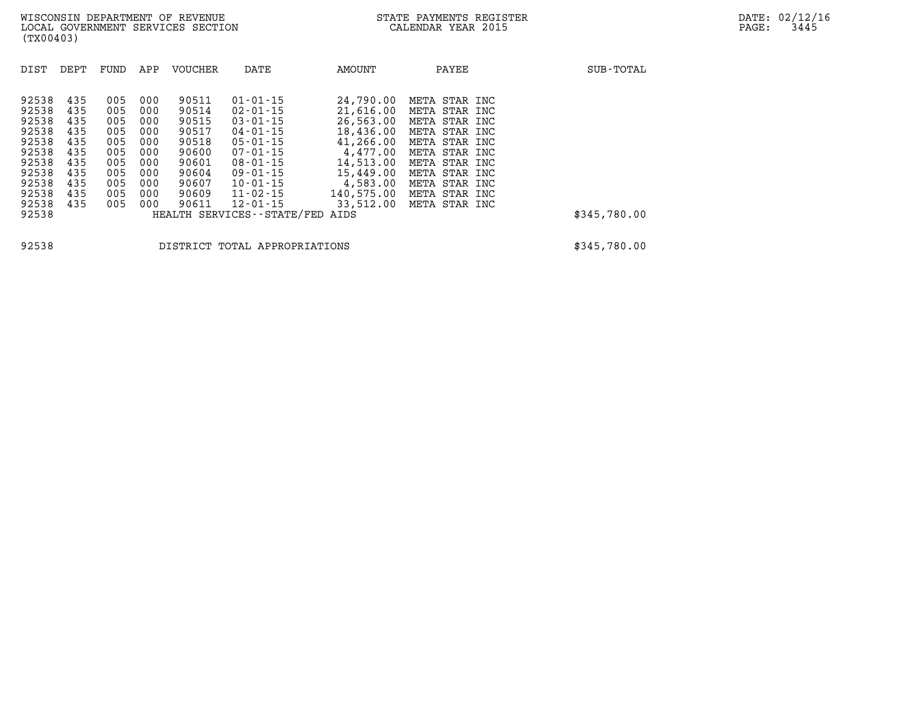| DIST                                                                 | DEPT                                                 | FUND                                                 | APP                                                  | <b>VOUCHER</b>                                                       | DATE                                                                                                                                         | AMOUNT                                                                                              | PAYEE                                                                                                                                | SUB-TOTAL    |
|----------------------------------------------------------------------|------------------------------------------------------|------------------------------------------------------|------------------------------------------------------|----------------------------------------------------------------------|----------------------------------------------------------------------------------------------------------------------------------------------|-----------------------------------------------------------------------------------------------------|--------------------------------------------------------------------------------------------------------------------------------------|--------------|
| 92538<br>92538<br>92538<br>92538<br>92538<br>92538<br>92538<br>92538 | 435<br>435<br>435<br>435<br>435<br>435<br>435<br>435 | 005<br>005<br>005<br>005<br>005<br>005<br>005<br>005 | 000<br>000<br>000<br>000<br>000<br>000<br>000<br>000 | 90511<br>90514<br>90515<br>90517<br>90518<br>90600<br>90601<br>90604 | $01 - 01 - 15$<br>$02 - 01 - 15$<br>$03 - 01 - 15$<br>$04 - 01 - 15$<br>$05 - 01 - 15$<br>$07 - 01 - 15$<br>$08 - 01 - 15$<br>$09 - 01 - 15$ | 24,790.00<br>21,616.00<br>26,563.00<br>18,436.00<br>41,266.00<br>4,477.00<br>14,513.00<br>15,449.00 | META STAR INC<br>META STAR INC<br>META STAR INC<br>META STAR INC<br>META STAR INC<br>META STAR INC<br>META STAR INC<br>META STAR INC |              |
| 92538<br>92538<br>92538                                              | 435<br>435<br>435                                    | 005<br>005<br>005                                    | 000<br>000<br>000                                    | 90607<br>90609<br>90611                                              | $10 - 01 - 15$<br>$11 - 02 - 15$<br>$12 - 01 - 15$                                                                                           | 4,583.00<br>140,575.00<br>33,512.00                                                                 | META<br>STAR INC<br>META STAR INC<br>META STAR INC                                                                                   |              |
| 92538                                                                |                                                      |                                                      |                                                      |                                                                      | HEALTH SERVICES - - STATE/FED                                                                                                                | AIDS                                                                                                |                                                                                                                                      | \$345,780.00 |

**92538 DISTRICT TOTAL APPROPRIATIONS \$345,780.00**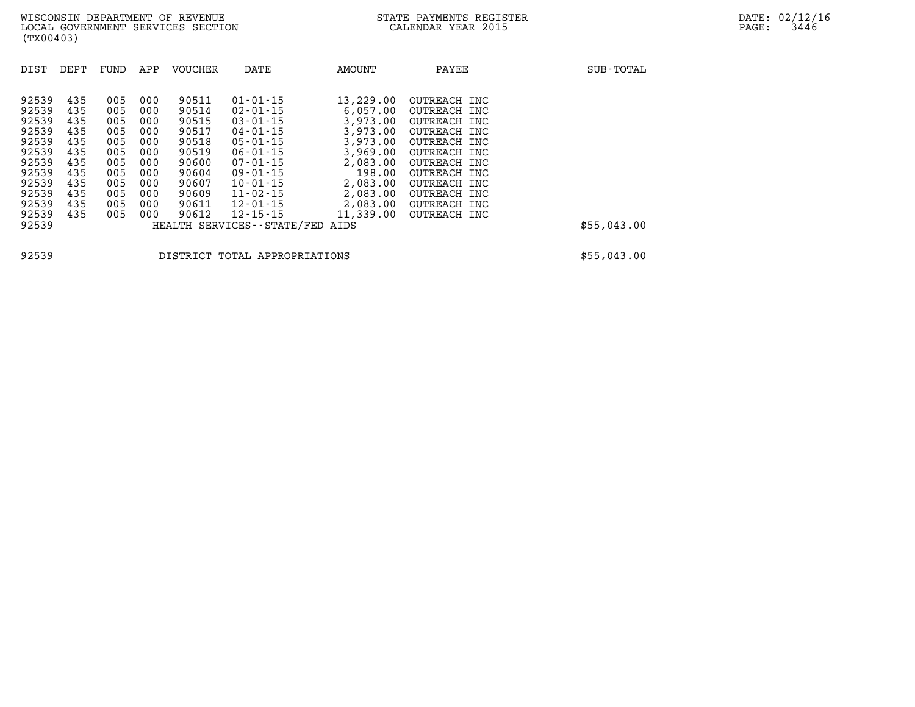| DIST                                                                 | DEPT                                                 | FUND                                                 | APP                                                  | <b>VOUCHER</b>                                                       | DATE                                                                                                                                         | AMOUNT                                                                                      | PAYEE                                                                                                                        | SUB-TOTAL   |
|----------------------------------------------------------------------|------------------------------------------------------|------------------------------------------------------|------------------------------------------------------|----------------------------------------------------------------------|----------------------------------------------------------------------------------------------------------------------------------------------|---------------------------------------------------------------------------------------------|------------------------------------------------------------------------------------------------------------------------------|-------------|
| 92539<br>92539<br>92539<br>92539<br>92539<br>92539<br>92539<br>92539 | 435<br>435<br>435<br>435<br>435<br>435<br>435<br>435 | 005<br>005<br>005<br>005<br>005<br>005<br>005<br>005 | 000<br>000<br>000<br>000<br>000<br>000<br>000<br>000 | 90511<br>90514<br>90515<br>90517<br>90518<br>90519<br>90600<br>90604 | $01 - 01 - 15$<br>$02 - 01 - 15$<br>$03 - 01 - 15$<br>$04 - 01 - 15$<br>$05 - 01 - 15$<br>$06 - 01 - 15$<br>$07 - 01 - 15$<br>$09 - 01 - 15$ | 13,229.00<br>6.057.00<br>3,973.00<br>3,973.00<br>3,973.00<br>3,969,00<br>2,083.00<br>198.00 | OUTREACH INC<br>OUTREACH INC<br>OUTREACH INC<br>OUTREACH INC<br>OUTREACH INC<br>OUTREACH INC<br>OUTREACH INC<br>OUTREACH INC |             |
| 92539<br>92539<br>92539<br>92539<br>92539                            | 435<br>435<br>435<br>435                             | 005<br>005<br>005<br>005                             | 000<br>000<br>000<br>000                             | 90607<br>90609<br>90611<br>90612                                     | $10 - 01 - 15$<br>$11 - 02 - 15$<br>$12 - 01 - 15$<br>$12 - 15 - 15$<br>HEALTH SERVICES - - STATE/FED                                        | 2,083.00<br>2,083.00<br>2,083.00<br>11,339.00<br>AIDS                                       | OUTREACH INC<br>OUTREACH INC<br>OUTREACH INC<br>OUTREACH INC                                                                 | \$55,043.00 |

**92539 DISTRICT TOTAL APPROPRIATIONS \$55,043.00**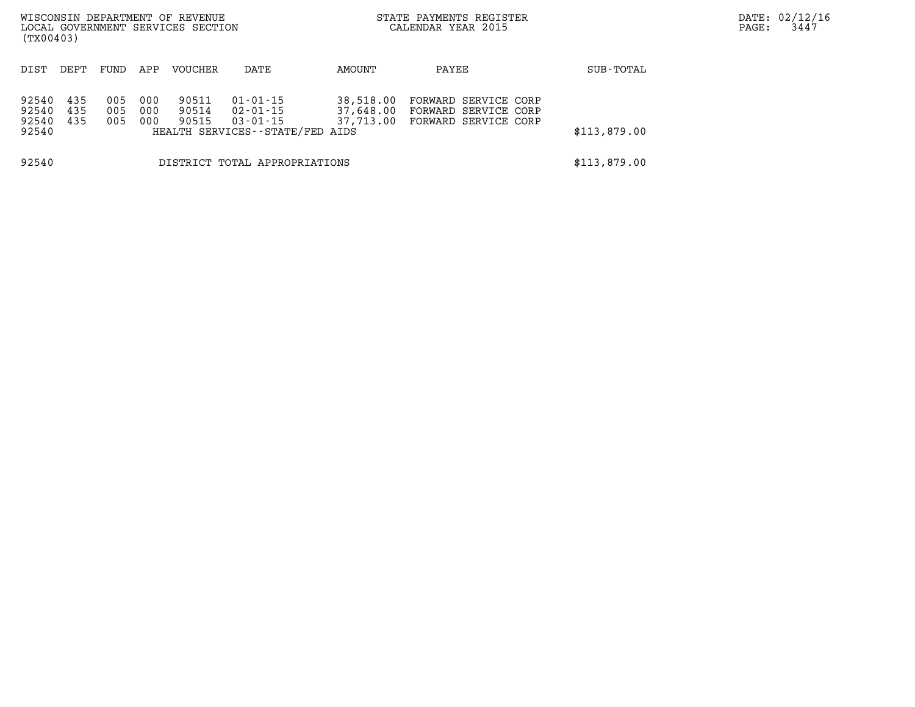| (TX00403)                        |                   |                   |                   | WISCONSIN DEPARTMENT OF REVENUE<br>LOCAL GOVERNMENT SERVICES SECTION |                                                                                 |                                     | STATE PAYMENTS REGISTER<br>CALENDAR YEAR 2015                        |              | DATE: 02/12/16<br>3447<br>PAGE: |
|----------------------------------|-------------------|-------------------|-------------------|----------------------------------------------------------------------|---------------------------------------------------------------------------------|-------------------------------------|----------------------------------------------------------------------|--------------|---------------------------------|
| DIST                             | DEPT              | FUND              | APP               | <b>VOUCHER</b>                                                       | DATE                                                                            | AMOUNT                              | PAYEE                                                                | SUB-TOTAL    |                                 |
| 92540<br>92540<br>92540<br>92540 | 435<br>435<br>435 | 005<br>005<br>005 | 000<br>000<br>000 | 90511<br>90514<br>90515                                              | $01 - 01 - 15$<br>02-01-15<br>$03 - 01 - 15$<br>HEALTH SERVICES--STATE/FED AIDS | 38,518.00<br>37,648.00<br>37,713.00 | FORWARD SERVICE CORP<br>FORWARD SERVICE CORP<br>FORWARD SERVICE CORP | \$113,879.00 |                                 |
| 92540                            |                   |                   |                   |                                                                      | DISTRICT TOTAL APPROPRIATIONS                                                   |                                     |                                                                      | \$113,879.00 |                                 |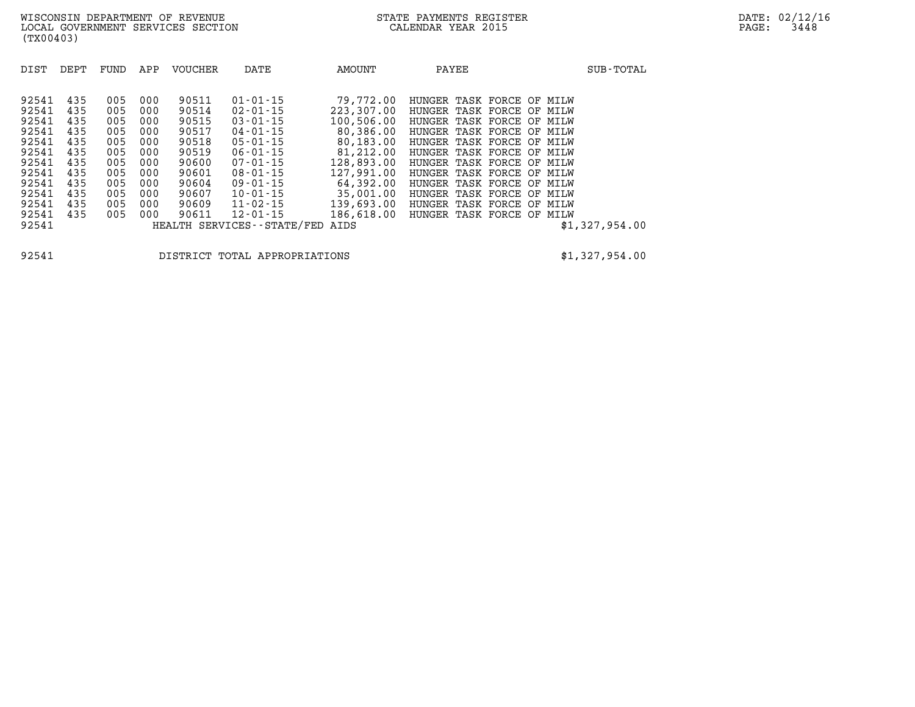| DIST  | DEPT | FUND | APP | <b>VOUCHER</b> | DATE                       | AMOUNT     | PAYEE                     | SUB-TOTAL      |
|-------|------|------|-----|----------------|----------------------------|------------|---------------------------|----------------|
| 92541 | 435  | 005  | 000 | 90511          | $01 - 01 - 15$             | 79,772.00  | HUNGER TASK FORCE OF MILW |                |
| 92541 | 435  | 005  | 000 | 90514          | 02-01-15                   | 223,307.00 | HUNGER TASK FORCE OF      | MILW           |
| 92541 | 435  | 005  | 000 | 90515          | $03 - 01 - 15$             | 100,506.00 | HUNGER TASK FORCE OF MILW |                |
| 92541 | 435  | 005  | 000 | 90517          | 04-01-15                   | 80,386.00  | HUNGER TASK FORCE OF MILW |                |
| 92541 | 435  | 005  | 000 | 90518          | $05 - 01 - 15$             | 80,183.00  | HUNGER TASK FORCE OF MILW |                |
| 92541 | 435  | 005  | 000 | 90519          | $06 - 01 - 15$             | 81,212.00  | HUNGER TASK FORCE OF MILW |                |
| 92541 | 435  | 005  | 000 | 90600          | 07-01-15                   | 128,893.00 | HUNGER TASK FORCE OF MILW |                |
| 92541 | 435  | 005  | 000 | 90601          | 08-01-15                   | 127,991,00 | HUNGER TASK FORCE OF MILW |                |
| 92541 | 435  | 005  | 000 | 90604          | 09-01-15                   | 64,392.00  | HUNGER TASK FORCE OF MILW |                |
| 92541 | 435  | 005  | 000 | 90607          | $10 - 01 - 15$             | 35,001.00  | HUNGER TASK FORCE OF      | MILW           |
| 92541 | 435  | 005  | 000 | 90609          | 11-02-15                   | 139,693.00 | HUNGER TASK FORCE OF MILW |                |
| 92541 | 435  | 005  | 000 | 90611          | 12-01-15                   | 186,618.00 | HUNGER TASK FORCE OF MILW |                |
| 92541 |      |      |     |                | HEALTH SERVICES--STATE/FED | AIDS       |                           | \$1,327,954.00 |

**92541 DISTRICT TOTAL APPROPRIATIONS \$1,327,954.00**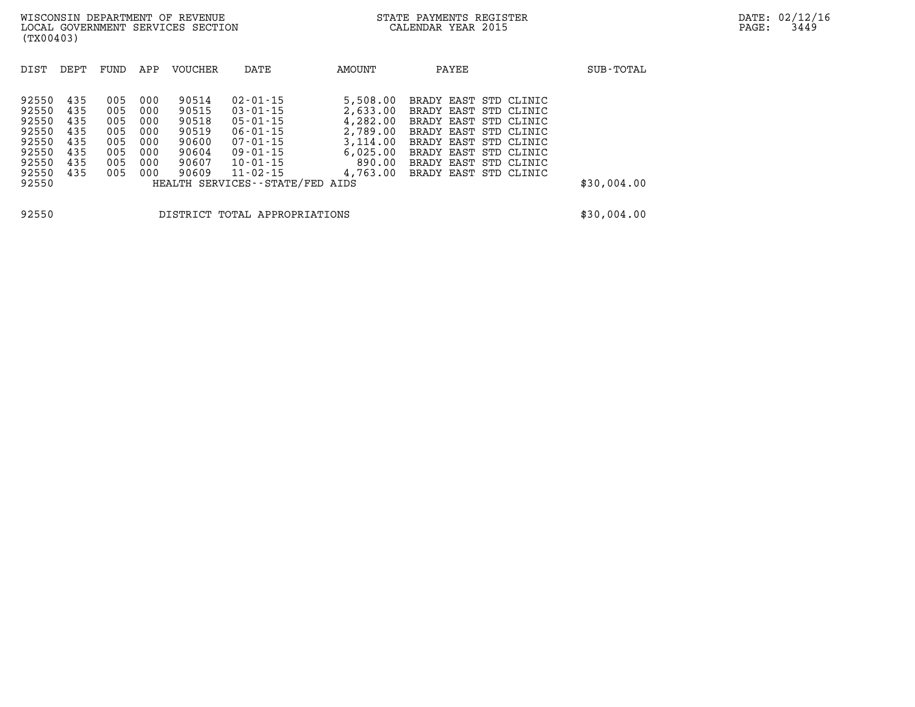| DIST                                                                 | DEPT                                                 | FUND                                                 | APP                                                  | <b>VOUCHER</b>                                                       | DATE                                                                                                                                         | <b>AMOUNT</b>                                                                              | PAYEE                                                                                                                                                                                                | SUB-TOTAL   |
|----------------------------------------------------------------------|------------------------------------------------------|------------------------------------------------------|------------------------------------------------------|----------------------------------------------------------------------|----------------------------------------------------------------------------------------------------------------------------------------------|--------------------------------------------------------------------------------------------|------------------------------------------------------------------------------------------------------------------------------------------------------------------------------------------------------|-------------|
| 92550<br>92550<br>92550<br>92550<br>92550<br>92550<br>92550<br>92550 | 435<br>435<br>435<br>435<br>435<br>435<br>435<br>435 | 005<br>005<br>005<br>005<br>005<br>005<br>005<br>005 | 000<br>000<br>000<br>000<br>000<br>000<br>000<br>000 | 90514<br>90515<br>90518<br>90519<br>90600<br>90604<br>90607<br>90609 | $02 - 01 - 15$<br>$03 - 01 - 15$<br>$05 - 01 - 15$<br>$06 - 01 - 15$<br>$07 - 01 - 15$<br>$09 - 01 - 15$<br>$10 - 01 - 15$<br>$11 - 02 - 15$ | 5,508.00<br>2,633,00<br>4,282.00<br>2,789.00<br>3,114.00<br>6.025.00<br>890.00<br>4,763.00 | BRADY EAST STD CLINIC<br>BRADY EAST STD CLINIC<br>BRADY EAST STD CLINIC<br>BRADY EAST STD CLINIC<br>BRADY EAST STD CLINIC<br>BRADY EAST STD CLINIC<br>BRADY EAST STD CLINIC<br>BRADY EAST STD CLINIC |             |
| 92550                                                                |                                                      |                                                      |                                                      |                                                                      | HEALTH SERVICES--STATE/FED AIDS                                                                                                              |                                                                                            |                                                                                                                                                                                                      | \$30,004.00 |
| 92550                                                                |                                                      |                                                      |                                                      |                                                                      | DISTRICT TOTAL APPROPRIATIONS                                                                                                                |                                                                                            |                                                                                                                                                                                                      | \$30,004.00 |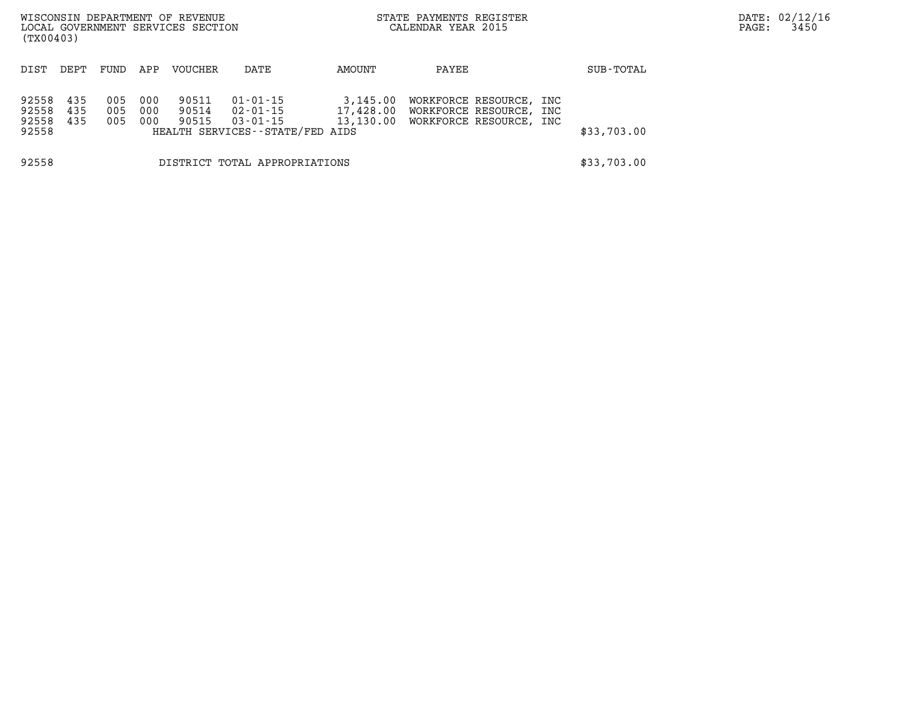| (TX00403)                        |                   |                   |                   | WISCONSIN DEPARTMENT OF REVENUE<br>LOCAL GOVERNMENT SERVICES SECTION |                                                                                 | STATE PAYMENTS REGISTER<br>CALENDAR YEAR 2015 |                                                                                 |            |             |  |  |
|----------------------------------|-------------------|-------------------|-------------------|----------------------------------------------------------------------|---------------------------------------------------------------------------------|-----------------------------------------------|---------------------------------------------------------------------------------|------------|-------------|--|--|
| DIST                             | DEPT              | FUND              | APP               | <b>VOUCHER</b>                                                       | DATE                                                                            | AMOUNT                                        | PAYEE                                                                           |            | SUB-TOTAL   |  |  |
| 92558<br>92558<br>92558<br>92558 | 435<br>435<br>435 | 005<br>005<br>005 | 000<br>000<br>000 | 90511<br>90514<br>90515                                              | $01 - 01 - 15$<br>02-01-15<br>$03 - 01 - 15$<br>HEALTH SERVICES--STATE/FED AIDS | 3,145.00<br>17,428.00                         | WORKFORCE RESOURCE,<br>WORKFORCE RESOURCE,<br>13,130.00 WORKFORCE RESOURCE, INC | INC<br>INC | \$33,703.00 |  |  |
| 92558                            |                   |                   |                   |                                                                      | DISTRICT TOTAL APPROPRIATIONS                                                   |                                               |                                                                                 |            | \$33,703.00 |  |  |

DATE: 02/12/16 PAGE: 3450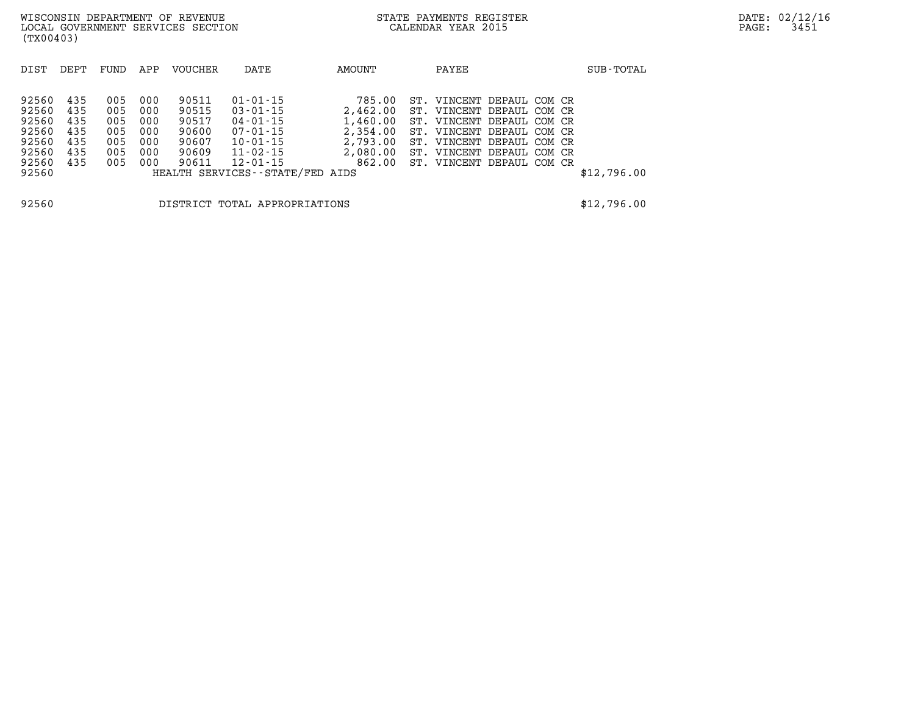| DIST  | DEPT | FUND | APP | VOUCHER | DATE                            | AMOUNT   | PAYEE                     |  | SUB-TOTAL   |
|-------|------|------|-----|---------|---------------------------------|----------|---------------------------|--|-------------|
|       |      |      |     |         |                                 |          |                           |  |             |
| 92560 | 435  | 005  | 000 | 90511   | $01 - 01 - 15$                  | 785.00   | ST. VINCENT DEPAUL COM CR |  |             |
| 92560 | 435  | 005  | 000 | 90515   | $03 - 01 - 15$                  | 2,462.00 | ST. VINCENT DEPAUL COM CR |  |             |
| 92560 | 435  | 005  | 000 | 90517   | $04 - 01 - 15$                  | 1,460.00 | ST. VINCENT DEPAUL COM CR |  |             |
| 92560 | 435  | 005  | 000 | 90600   | $07 - 01 - 15$                  | 2,354.00 | ST. VINCENT DEPAUL COM CR |  |             |
| 92560 | 435  | 005  | 000 | 90607   | $10 - 01 - 15$                  | 2,793.00 | ST. VINCENT DEPAUL COM CR |  |             |
| 92560 | 435  | 005  | 000 | 90609   | $11 - 02 - 15$                  | 2,080.00 | ST. VINCENT DEPAUL COM CR |  |             |
| 92560 | 435  | 005  | 000 | 90611   | $12 - 01 - 15$                  | 862.00   | ST. VINCENT DEPAUL COM CR |  |             |
| 92560 |      |      |     |         | HEALTH SERVICES--STATE/FED AIDS |          |                           |  | \$12,796.00 |
|       |      |      |     |         |                                 |          |                           |  |             |
| 92560 |      |      |     |         | DISTRICT TOTAL APPROPRIATIONS   |          |                           |  | \$12,796.00 |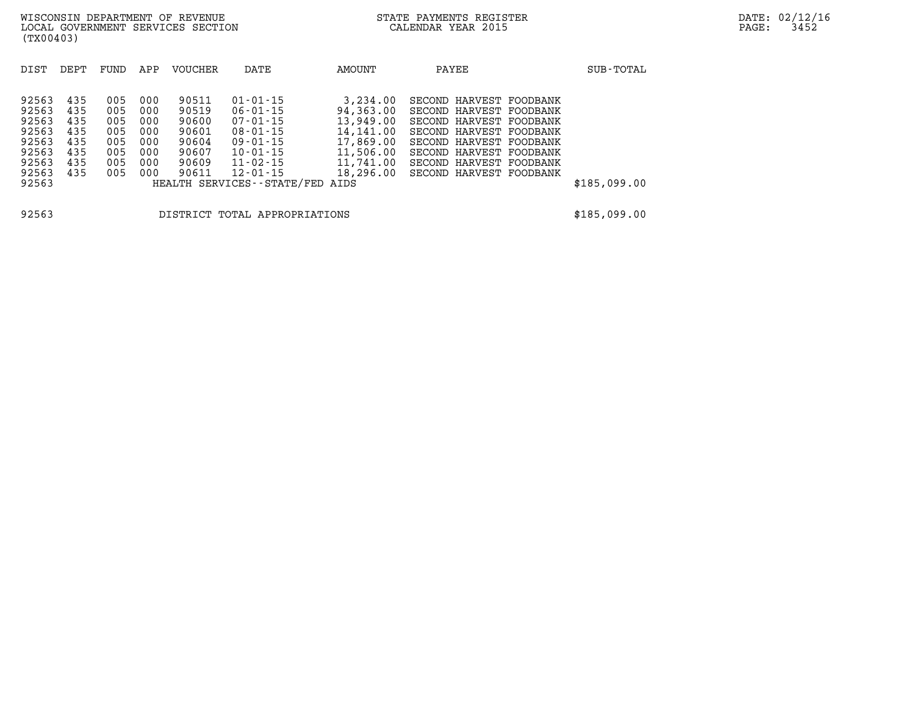| DIST  | DEPT | FUND | APP | <b>VOUCHER</b> | DATE                          | AMOUNT    | PAYEE                   | SUB-TOTAL    |
|-------|------|------|-----|----------------|-------------------------------|-----------|-------------------------|--------------|
|       |      |      |     |                |                               |           |                         |              |
| 92563 | 435  | 005  | 000 | 90511          | $01 - 01 - 15$                | 3,234.00  | SECOND HARVEST FOODBANK |              |
| 92563 | 435  | 005  | 000 | 90519          | $06 - 01 - 15$                | 94,363.00 | SECOND HARVEST FOODBANK |              |
| 92563 | 435  | 005  | 000 | 90600          | $07 - 01 - 15$                | 13,949.00 | SECOND HARVEST FOODBANK |              |
| 92563 | 435  | 005  | 000 | 90601          | $08 - 01 - 15$                | 14,141.00 | SECOND HARVEST FOODBANK |              |
| 92563 | 435  | 005  | 000 | 90604          | $09 - 01 - 15$                | 17,869.00 | SECOND HARVEST FOODBANK |              |
| 92563 | 435  | 005  | 000 | 90607          | $10 - 01 - 15$                | 11,506.00 | SECOND HARVEST FOODBANK |              |
| 92563 | 435  | 005  | 000 | 90609          | $11 - 02 - 15$                | 11,741.00 | SECOND HARVEST FOODBANK |              |
| 92563 | 435  | 005  | 000 | 90611          | 12-01-15                      | 18,296.00 | SECOND HARVEST FOODBANK |              |
| 92563 |      |      |     |                | HEALTH SERVICES - - STATE/FED | AIDS      |                         | \$185,099.00 |
|       |      |      |     |                |                               |           |                         |              |
|       |      |      |     |                |                               |           |                         |              |

**92563 DISTRICT TOTAL APPROPRIATIONS \$185,099.00**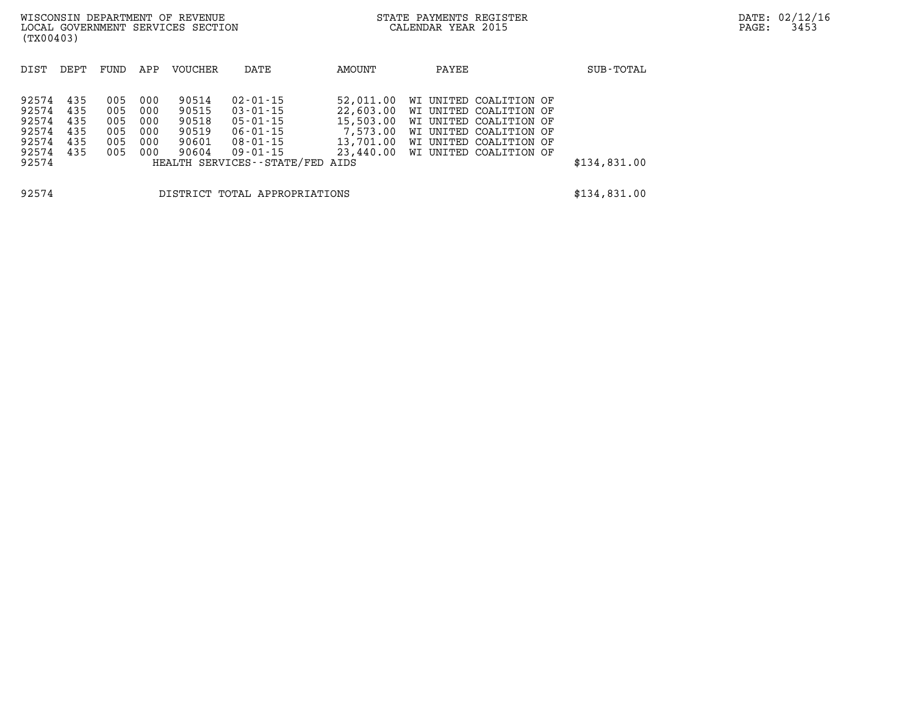| (TX00403)                                                       |                                 |                                        |                                        | WISCONSIN DEPARTMENT OF REVENUE<br>LOCAL GOVERNMENT SERVICES SECTION |                                                                                                         |                                                 | STATE PAYMENTS REGISTER<br>CALENDAR YEAR 2015                                                                                                                                |              | DATE: 02/12/16<br>3453<br>PAGE: |
|-----------------------------------------------------------------|---------------------------------|----------------------------------------|----------------------------------------|----------------------------------------------------------------------|---------------------------------------------------------------------------------------------------------|-------------------------------------------------|------------------------------------------------------------------------------------------------------------------------------------------------------------------------------|--------------|---------------------------------|
| DIST                                                            | DEPT                            | FUND                                   | APP                                    | VOUCHER                                                              | DATE                                                                                                    | AMOUNT                                          | PAYEE                                                                                                                                                                        | SUB-TOTAL    |                                 |
| 92574<br>92574<br>92574<br>92574<br>92574<br>92574 435<br>92574 | 435<br>435<br>435<br>435<br>435 | 005<br>005<br>005<br>005<br>005<br>005 | 000<br>000<br>000<br>000<br>000<br>000 | 90514<br>90515<br>90518<br>90519<br>90601<br>90604                   | 02-01-15<br>03-01-15<br>05-01-15<br>06-01-15<br>08-01-15<br>09-01-15<br>HEALTH SERVICES--STATE/FED AIDS | 52,011.00<br>22,603.00<br>15,503.00<br>7,573.00 | WI UNITED COALITION OF<br>WI UNITED COALITION OF<br>WI UNITED COALITION OF<br>WI UNITED COALITION OF<br>13,701.00 WI UNITED COALITION OF<br>23,440.00 WI UNITED COALITION OF | \$134,831.00 |                                 |
| 92574                                                           |                                 |                                        |                                        |                                                                      | DISTRICT TOTAL APPROPRIATIONS                                                                           |                                                 |                                                                                                                                                                              | \$134,831.00 |                                 |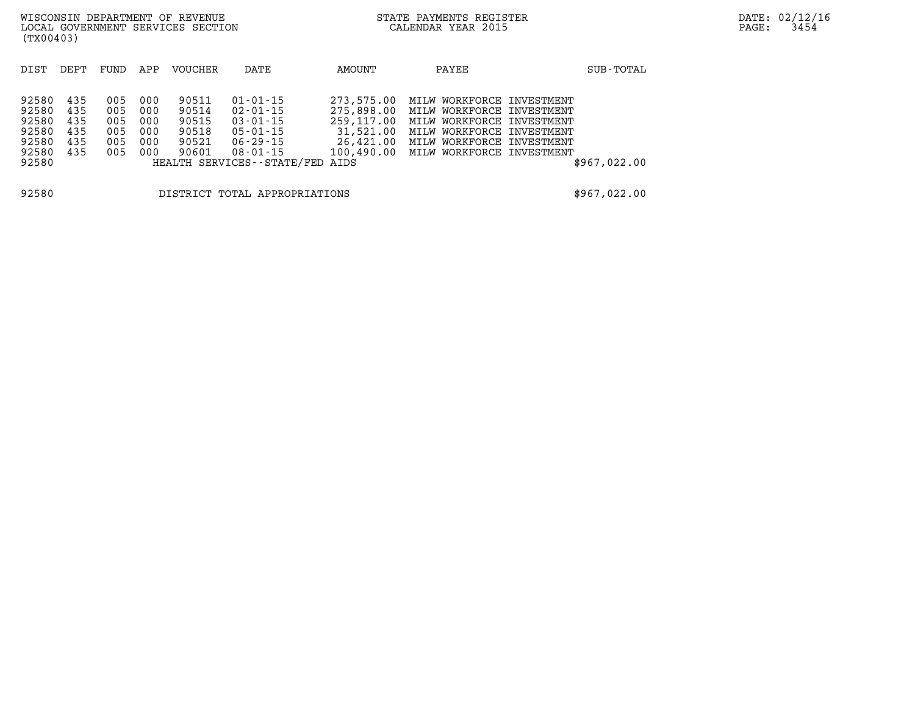| (TX00403)                                                   |                                        |                                        |                                        | WISCONSIN DEPARTMENT OF REVENUE<br>LOCAL GOVERNMENT SERVICES SECTION |                                                                                                               |                                                                  | STATE PAYMENTS REGISTER<br>CALENDAR YEAR 2015                                                                                                                                         | DATE: 02/12/16<br>PAGE: | 3454 |  |
|-------------------------------------------------------------|----------------------------------------|----------------------------------------|----------------------------------------|----------------------------------------------------------------------|---------------------------------------------------------------------------------------------------------------|------------------------------------------------------------------|---------------------------------------------------------------------------------------------------------------------------------------------------------------------------------------|-------------------------|------|--|
| DIST                                                        | DEPT                                   | FUND                                   | APP                                    | VOUCHER                                                              | DATE                                                                                                          | AMOUNT                                                           | PAYEE                                                                                                                                                                                 | SUB-TOTAL               |      |  |
| 92580<br>92580<br>92580<br>92580<br>92580<br>92580<br>92580 | 435<br>435<br>435<br>435<br>435<br>435 | 005<br>005<br>005<br>005<br>005<br>005 | 000<br>000<br>000<br>000<br>000<br>000 | 90511<br>90514<br>90515<br>90518<br>90521<br>90601                   | $01 - 01 - 15$<br>02-01-15<br>03-01-15<br>05-01-15<br>06-29-15<br>08-01-15<br>HEALTH SERVICES--STATE/FED AIDS | 273,575.00<br>275,898.00<br>259,117.00<br>31,521.00<br>26,421.00 | MILW WORKFORCE INVESTMENT<br>MILW WORKFORCE INVESTMENT<br>MILW WORKFORCE INVESTMENT<br>MILW WORKFORCE INVESTMENT<br>MILW WORKFORCE INVESTMENT<br>100,490.00 MILW WORKFORCE INVESTMENT | \$967,022.00            |      |  |
| 92580                                                       |                                        |                                        |                                        |                                                                      | DISTRICT TOTAL APPROPRIATIONS                                                                                 |                                                                  |                                                                                                                                                                                       | \$967,022.00            |      |  |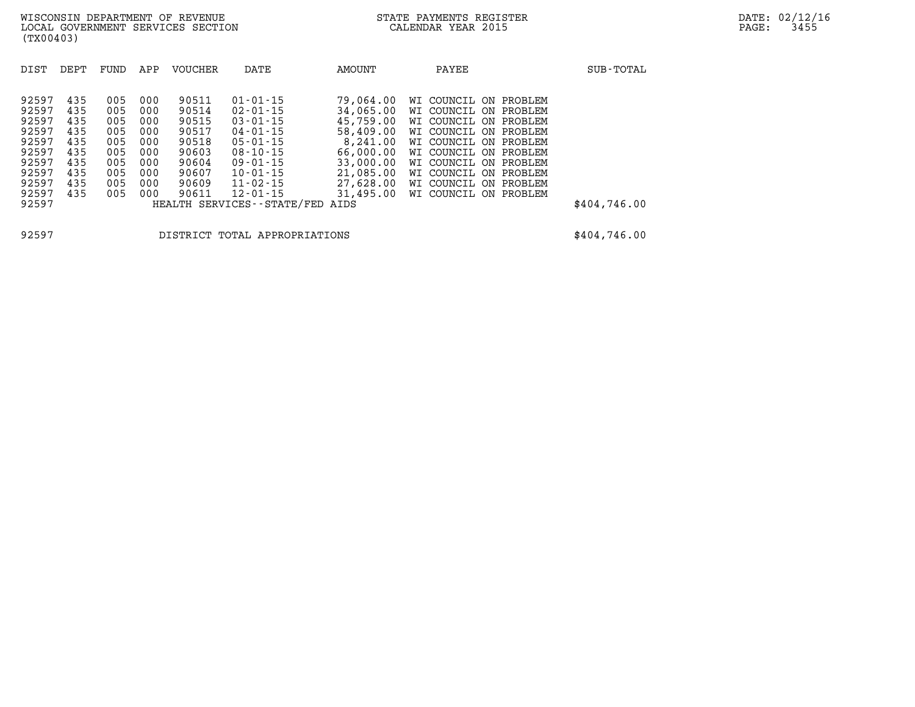| DIST  | DEPT | FUND | APP | <b>VOUCHER</b> | DATE                          | AMOUNT    | PAYEE                    | SUB-TOTAL    |
|-------|------|------|-----|----------------|-------------------------------|-----------|--------------------------|--------------|
|       |      |      |     |                |                               |           |                          |              |
| 92597 | 435  | 005  | 000 | 90511          | $01 - 01 - 15$                | 79,064.00 | WI COUNCIL ON<br>PROBLEM |              |
| 92597 | 435  | 005  | 000 | 90514          | $02 - 01 - 15$                | 34,065,00 | WI COUNCIL ON<br>PROBLEM |              |
| 92597 | 435  | 005  | 000 | 90515          | $03 - 01 - 15$                | 45,759.00 | WI COUNCIL ON PROBLEM    |              |
| 92597 | 435  | 005  | 000 | 90517          | $04 - 01 - 15$                | 58,409.00 | WI COUNCIL ON PROBLEM    |              |
| 92597 | 435  | 005  | 000 | 90518          | $05 - 01 - 15$                | 8,241.00  | WI COUNCIL ON PROBLEM    |              |
| 92597 | 435  | 005  | 000 | 90603          | $08 - 10 - 15$                | 66,000,00 | WI COUNCIL ON PROBLEM    |              |
| 92597 | 435  | 005  | 000 | 90604          | $09 - 01 - 15$                | 33,000.00 | WI COUNCIL ON PROBLEM    |              |
| 92597 | 435  | 005  | 000 | 90607          | $10 - 01 - 15$                | 21,085.00 | WI COUNCIL ON<br>PROBLEM |              |
| 92597 | 435  | 005  | 000 | 90609          | $11 - 02 - 15$                | 27,628,00 | WI COUNCIL ON PROBLEM    |              |
| 92597 | 435  | 005  | 000 | 90611          | $12 - 01 - 15$                | 31,495.00 | WI COUNCIL ON<br>PROBLEM |              |
| 92597 |      |      |     |                | HEALTH SERVICES - - STATE/FED | AIDS      |                          | \$404,746.00 |

**92597 DISTRICT TOTAL APPROPRIATIONS \$404,746.00**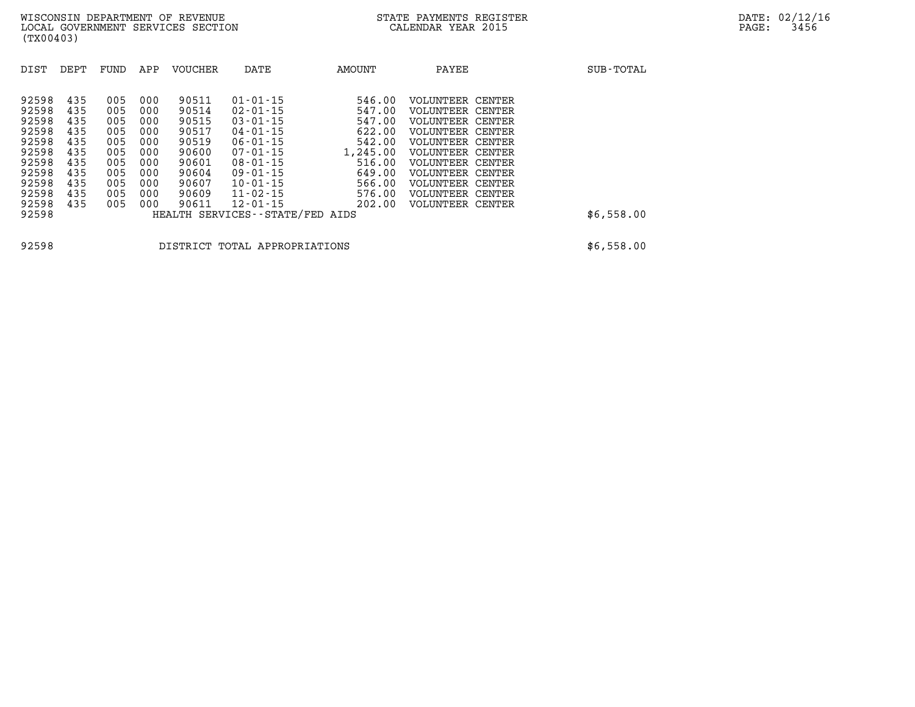| DIST  | DEPT | FUND | APP | <b>VOUCHER</b> | DATE                            | <b>AMOUNT</b> | PAYEE                   |        | SUB-TOTAL  |
|-------|------|------|-----|----------------|---------------------------------|---------------|-------------------------|--------|------------|
| 92598 | 435  | 005  | 000 | 90511          | $01 - 01 - 15$                  | 546.00        | VOLUNTEER               | CENTER |            |
| 92598 | 435  | 005  | 000 | 90514          | $02 - 01 - 15$                  | 547.00        | <b>VOLUNTEER CENTER</b> |        |            |
| 92598 | 435  | 005  | 000 | 90515          | $03 - 01 - 15$                  | 547.00        | VOLUNTEER               | CENTER |            |
| 92598 | 435  | 005  | 000 | 90517          | $04 - 01 - 15$                  | 622.00        | <b>VOLUNTEER CENTER</b> |        |            |
| 92598 | 435  | 005  | 000 | 90519          | $06 - 01 - 15$                  | 542.00        | VOLUNTEER               | CENTER |            |
| 92598 | 435  | 005  | 000 | 90600          | $07 - 01 - 15$                  | 1,245.00      | <b>VOLUNTEER CENTER</b> |        |            |
| 92598 | 435  | 005  | 000 | 90601          | $08 - 01 - 15$                  | 516.00        | VOLUNTEER               | CENTER |            |
| 92598 | 435  | 005  | 000 | 90604          | $09 - 01 - 15$                  | 649.00        | <b>VOLUNTEER CENTER</b> |        |            |
| 92598 | 435  | 005  | 000 | 90607          | $10 - 01 - 15$                  | 566.00        | VOLUNTEER               | CENTER |            |
| 92598 | 435  | 005  | 000 | 90609          | $11 - 02 - 15$                  | 576.00        | <b>VOLUNTEER CENTER</b> |        |            |
| 92598 | 435  | 005  | 000 | 90611          | $12 - 01 - 15$                  | 202.00        | <b>VOLUNTEER CENTER</b> |        |            |
| 92598 |      |      |     |                | HEALTH SERVICES--STATE/FED AIDS |               |                         |        | \$6,558.00 |
|       |      |      |     |                |                                 |               |                         |        |            |

**92598 DISTRICT TOTAL APPROPRIATIONS \$6,558.00**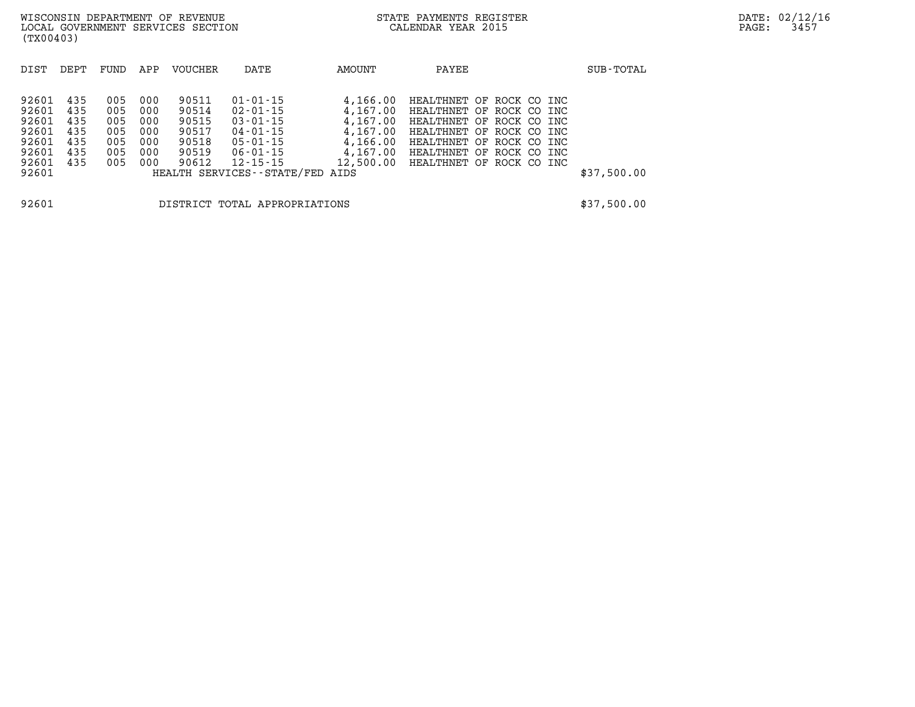| 92601 435 |     | 005 000 | 90511 | 01-01-15                        |                                    | 4,166.00 HEALTHNET OF ROCK CO INC |  |  |             |
|-----------|-----|---------|-------|---------------------------------|------------------------------------|-----------------------------------|--|--|-------------|
| 92601     | 435 | 005 000 | 90514 | 02-01-15                        |                                    | 4,167.00 HEALTHNET OF ROCK CO INC |  |  |             |
| 92601 435 |     | 005 000 | 90515 | $03 - 01 - 15$                  |                                    | 4,167.00 HEALTHNET OF ROCK CO INC |  |  |             |
| 92601 435 |     | 005 000 | 90517 | 04-01-15                        |                                    | 4,167.00 HEALTHNET OF ROCK CO INC |  |  |             |
| 92601 435 |     | 005 000 | 90518 | 05-01-15                        |                                    | 4,166.00 HEALTHNET OF ROCK CO INC |  |  |             |
| 92601 435 |     | 005 000 | 90519 | 06-01-15                        |                                    | 4,167.00 HEALTHNET OF ROCK CO INC |  |  |             |
| 92601 435 |     | 005 000 | 90612 | 12-15-15                        | 12,500.00 HEALTHNET OF ROCK CO INC |                                   |  |  |             |
| 92601     |     |         |       | HEALTH SERVICES--STATE/FED AIDS |                                    |                                   |  |  | \$37,500.00 |
|           |     |         |       |                                 |                                    |                                   |  |  |             |
|           |     |         |       |                                 |                                    |                                   |  |  |             |

**92601 DISTRICT TOTAL APPROPRIATIONS \$37,500.00**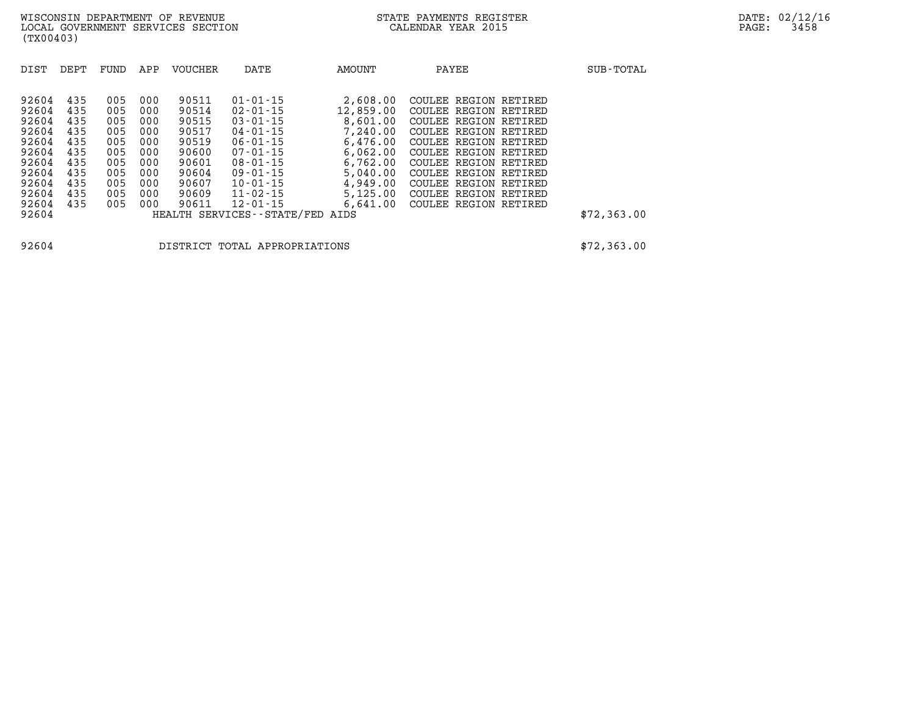| DIST                                                                                   | DEPT                                                               | FUND                                                               | APP                                                                | <b>VOUCHER</b>                                                                         | DATE                                                                                                                                                                             | AMOUNT                                                                                                                | PAYEE                                                                                                                                                                                                                                                  | SUB-TOTAL   |
|----------------------------------------------------------------------------------------|--------------------------------------------------------------------|--------------------------------------------------------------------|--------------------------------------------------------------------|----------------------------------------------------------------------------------------|----------------------------------------------------------------------------------------------------------------------------------------------------------------------------------|-----------------------------------------------------------------------------------------------------------------------|--------------------------------------------------------------------------------------------------------------------------------------------------------------------------------------------------------------------------------------------------------|-------------|
| 92604<br>92604<br>92604<br>92604<br>92604<br>92604<br>92604<br>92604<br>92604<br>92604 | 435<br>435<br>435<br>435<br>435<br>435<br>435<br>435<br>435<br>435 | 005<br>005<br>005<br>005<br>005<br>005<br>005<br>005<br>005<br>005 | 000<br>000<br>000<br>000<br>000<br>000<br>000<br>000<br>000<br>000 | 90511<br>90514<br>90515<br>90517<br>90519<br>90600<br>90601<br>90604<br>90607<br>90609 | $01 - 01 - 15$<br>$02 - 01 - 15$<br>$03 - 01 - 15$<br>$04 - 01 - 15$<br>$06 - 01 - 15$<br>$07 - 01 - 15$<br>$08 - 01 - 15$<br>$09 - 01 - 15$<br>$10 - 01 - 15$<br>$11 - 02 - 15$ | 2,608.00<br>12,859,00<br>8,601.00<br>7,240.00<br>6.476.00<br>6.062.00<br>6,762.00<br>5,040.00<br>4,949.00<br>5,125.00 | COULEE REGION RETIRED<br>COULEE REGION RETIRED<br>COULEE REGION RETIRED<br>COULEE REGION RETIRED<br>COULEE REGION RETIRED<br>COULEE REGION RETIRED<br>COULEE REGION RETIRED<br>COULEE REGION RETIRED<br>COULEE REGION RETIRED<br>COULEE REGION RETIRED |             |
| 92604<br>92604                                                                         | 435                                                                | 005                                                                | 000                                                                | 90611                                                                                  | $12 - 01 - 15$<br>HEALTH SERVICES--STATE/FED AIDS                                                                                                                                | 6.641.00                                                                                                              | COULEE REGION RETIRED                                                                                                                                                                                                                                  | \$72,363.00 |

**92604 DISTRICT TOTAL APPROPRIATIONS \$72,363.00**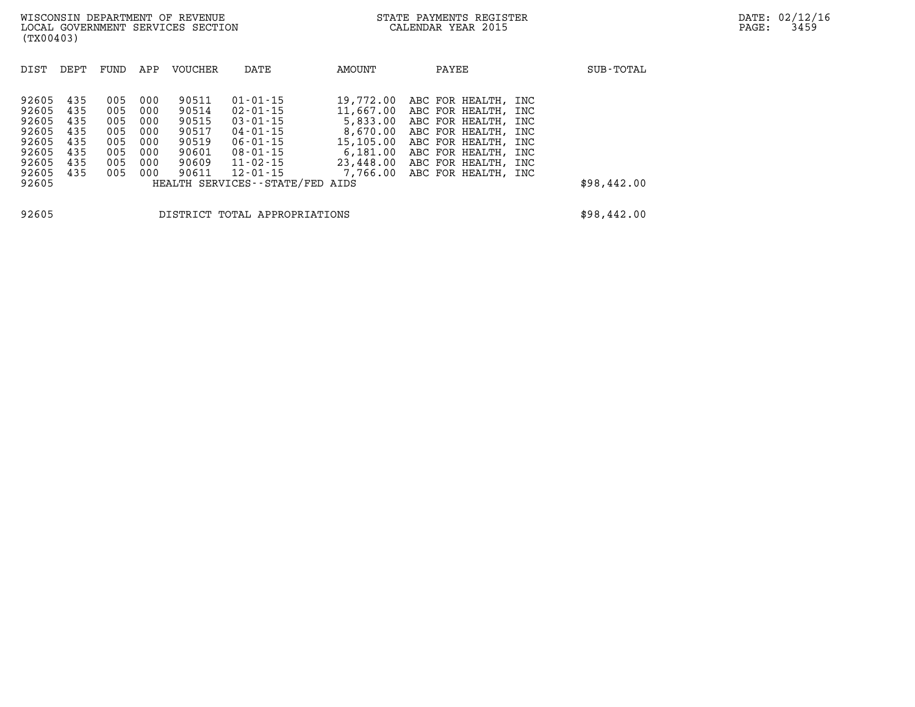| DIST                    | DEPT              | FUND              | APP               | <b>VOUCHER</b>          | DATE                                               | AMOUNT                | PAYEE                                                                     | SUB-TOTAL         |
|-------------------------|-------------------|-------------------|-------------------|-------------------------|----------------------------------------------------|-----------------------|---------------------------------------------------------------------------|-------------------|
| 92605<br>92605<br>92605 | 435<br>435<br>435 | 005<br>005<br>005 | 000<br>000<br>000 | 90511<br>90514<br>90515 | $01 - 01 - 15$<br>02-01-15<br>$03 - 01 - 15$       | 19,772.00<br>5,833.00 | ABC FOR HEALTH,<br>11,667.00 ABC FOR HEALTH,<br>ABC FOR HEALTH,           | INC<br>INC<br>INC |
| 92605<br>92605          | 435<br>435        | 005<br>005        | 000<br>000        | 90517<br>90519          | 04-01-15<br>$06 - 01 - 15$                         | 15,105.00             | 8,670.00 ABC FOR HEALTH,<br>ABC FOR HEALTH,                               | INC<br>INC        |
| 92605<br>92605<br>92605 | 435<br>435<br>435 | 005<br>005<br>005 | 000<br>000<br>000 | 90601<br>90609<br>90611 | $08 - 01 - 15$<br>$11 - 02 - 15$<br>$12 - 01 - 15$ | 23,448.00             | $6.181.00$ ABC FOR HEALTH.<br>ABC FOR HEALTH,<br>7,766.00 ABC FOR HEALTH, | INC<br>INC<br>INC |
| 92605                   |                   |                   |                   |                         | HEALTH SERVICES--STATE/FED AIDS                    |                       |                                                                           | \$98,442.00       |
| 92605                   |                   |                   |                   |                         | DISTRICT TOTAL APPROPRIATIONS                      |                       |                                                                           | \$98,442.00       |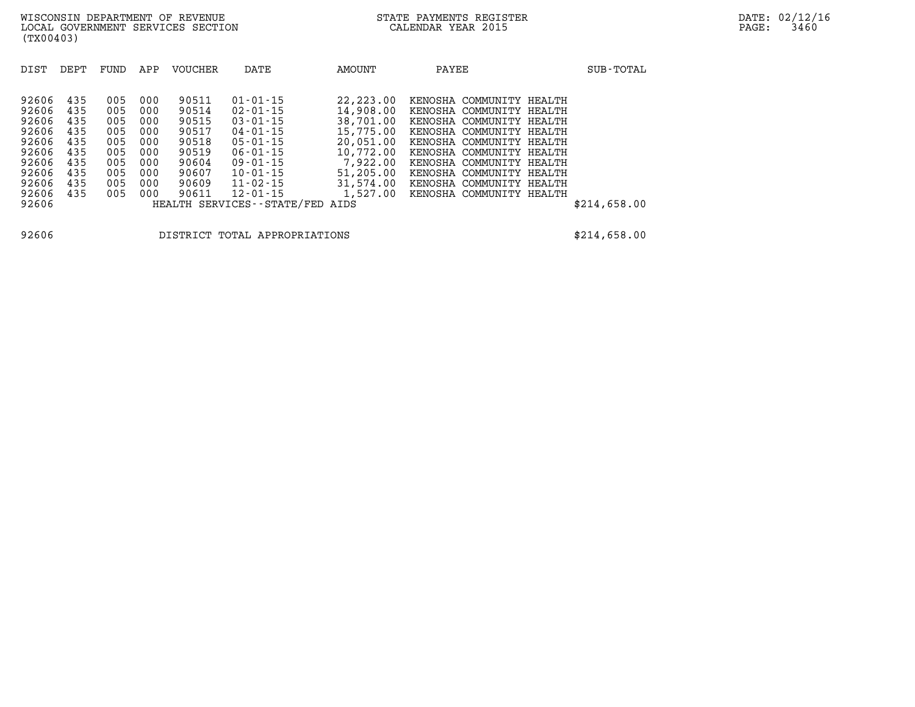| DIST  | DEPT | FUND | APP | <b>VOUCHER</b> | DATE                          | AMOUNT      | PAYEE                       | SUB-TOTAL    |
|-------|------|------|-----|----------------|-------------------------------|-------------|-----------------------------|--------------|
|       |      |      |     |                |                               |             |                             |              |
| 92606 | 435  | 005  | 000 | 90511          | $01 - 01 - 15$                | 22, 223, 00 | KENOSHA COMMUNITY HEALTH    |              |
| 92606 | 435  | 005  | 000 | 90514          | $02 - 01 - 15$                | 14,908.00   | KENOSHA COMMUNITY HEALTH    |              |
| 92606 | 435  | 005  | 000 | 90515          | $03 - 01 - 15$                | 38,701.00   | KENOSHA COMMUNITY<br>HEALTH |              |
| 92606 | 435  | 005  | 000 | 90517          | $04 - 01 - 15$                | 15,775.00   | KENOSHA COMMUNITY HEALTH    |              |
| 92606 | 435  | 005  | 000 | 90518          | $05 - 01 - 15$                | 20,051.00   | KENOSHA COMMUNITY HEALTH    |              |
| 92606 | 435  | 005  | 000 | 90519          | $06 - 01 - 15$                | 10,772.00   | KENOSHA COMMUNITY HEALTH    |              |
| 92606 | 435  | 005  | 000 | 90604          | $09 - 01 - 15$                | 7,922,00    | KENOSHA COMMUNITY HEALTH    |              |
| 92606 | 435  | 005  | 000 | 90607          | $10 - 01 - 15$                | 51,205.00   | KENOSHA COMMUNITY HEALTH    |              |
| 92606 | 435  | 005  | 000 | 90609          | $11 - 02 - 15$                | 31,574.00   | KENOSHA COMMUNITY HEALTH    |              |
| 92606 | 435  | 005  | 000 | 90611          | $12 - 01 - 15$                | 1,527.00    | KENOSHA COMMUNITY HEALTH    |              |
| 92606 |      |      |     |                | HEALTH SERVICES - - STATE/FED | AIDS        |                             | \$214,658.00 |

**92606 DISTRICT TOTAL APPROPRIATIONS \$214,658.00**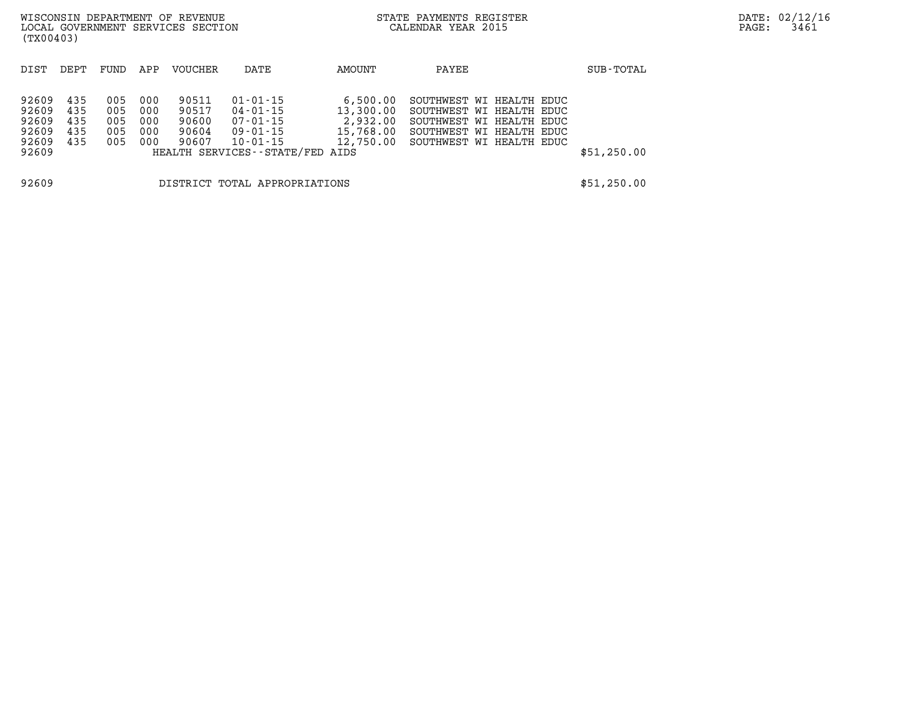| WISCONSIN DEPARTMENT OF REVENUE<br>LOCAL GOVERNMENT SERVICES SECTION<br>(TX00403) |                                 |                                 |                                 |                                           |                                                                                                               |                                                | STATE PAYMENTS REGISTER<br>CALENDAR YEAR 2015                                                                                                      |             | PAGE: | DATE: 02/12/1<br>3461 |
|-----------------------------------------------------------------------------------|---------------------------------|---------------------------------|---------------------------------|-------------------------------------------|---------------------------------------------------------------------------------------------------------------|------------------------------------------------|----------------------------------------------------------------------------------------------------------------------------------------------------|-------------|-------|-----------------------|
| DIST                                                                              | DEPT                            | FUND                            | APP                             | <b>VOUCHER</b>                            | DATE                                                                                                          | AMOUNT                                         | PAYEE                                                                                                                                              | SUB-TOTAL   |       |                       |
| 92609<br>92609<br>92609<br>92609<br>92609<br>92609                                | 435<br>435<br>435<br>435<br>435 | 005<br>005<br>005<br>005<br>005 | 000<br>000<br>000<br>000<br>000 | 90511<br>90517<br>90600<br>90604<br>90607 | $01 - 01 - 15$<br>04-01-15<br>$07 - 01 - 15$<br>09-01-15<br>$10 - 01 - 15$<br>HEALTH SERVICES--STATE/FED AIDS | 6.500.00<br>13,300.00<br>2,932.00<br>15,768.00 | SOUTHWEST WI HEALTH EDUC<br>SOUTHWEST WI HEALTH EDUC<br>SOUTHWEST WI HEALTH EDUC<br>SOUTHWEST WI HEALTH EDUC<br>12,750.00 SOUTHWEST WI HEALTH EDUC | \$51,250.00 |       |                       |
| 92609                                                                             |                                 |                                 |                                 |                                           | DISTRICT TOTAL APPROPRIATIONS                                                                                 |                                                |                                                                                                                                                    | \$51,250.00 |       |                       |

**DATE: 02/12/16<br>PAGE: 3461**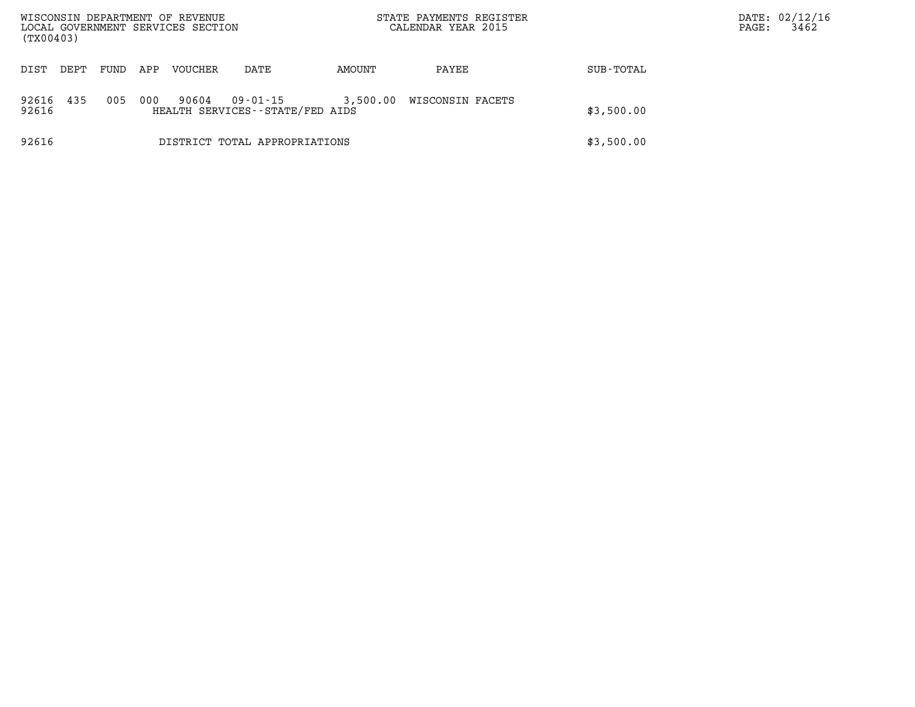| WISCONSIN DEPARTMENT OF REVENUE<br>LOCAL GOVERNMENT SERVICES SECTION<br>(TX00403) |      |      |     |         |                                             | STATE PAYMENTS REGISTER<br>CALENDAR YEAR 2015 |                  |            | DATE: 02/12/16<br>3462<br>PAGE: |
|-----------------------------------------------------------------------------------|------|------|-----|---------|---------------------------------------------|-----------------------------------------------|------------------|------------|---------------------------------|
| DIST                                                                              | DEPT | FUND | APP | VOUCHER | DATE                                        | AMOUNT                                        | PAYEE            | SUB-TOTAL  |                                 |
| 92616<br>92616                                                                    | 435  | 005  | 000 | 90604   | 09-01-15<br>HEALTH SERVICES--STATE/FED AIDS | 3,500.00                                      | WISCONSIN FACETS | \$3,500.00 |                                 |
| 92616                                                                             |      |      |     |         | DISTRICT TOTAL APPROPRIATIONS               |                                               |                  | \$3,500.00 |                                 |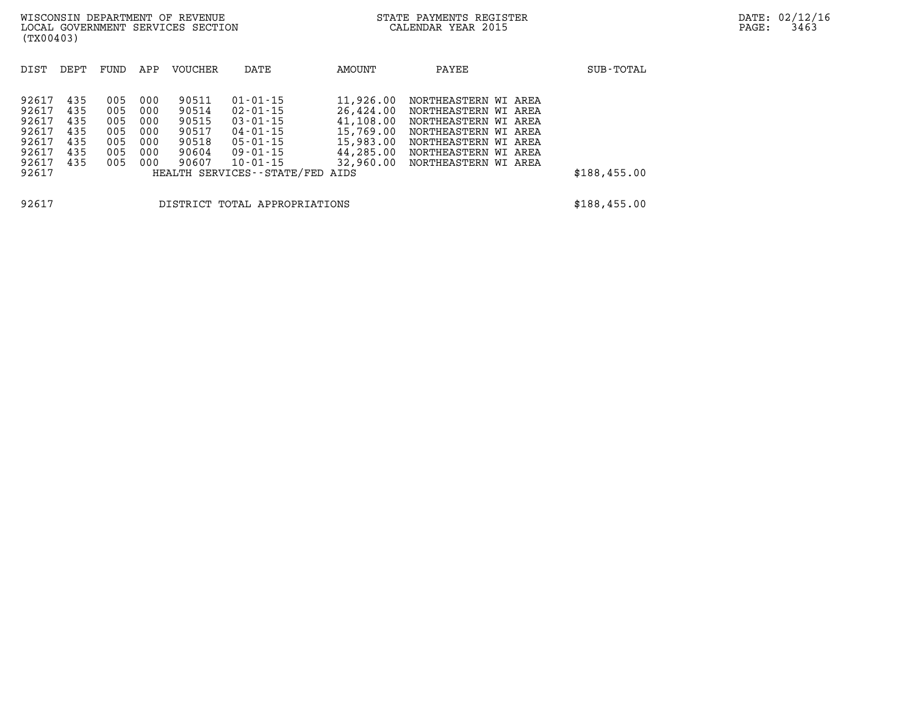| WISCONSIN DEPARTMENT OF REVENUE |  |                                   |  |
|---------------------------------|--|-----------------------------------|--|
|                                 |  | LOCAL GOVERNMENT SERVICES SECTION |  |
| (TX00403)                       |  |                                   |  |

| DIST                                                        | DEPT                                          | FUND                                          | APP                                           | <b>VOUCHER</b>                                              | DATE                                                                                                                       | AMOUNT                                                                                  | PAYEE                                                                                                                                                 |                      | SUB-TOTAL    |
|-------------------------------------------------------------|-----------------------------------------------|-----------------------------------------------|-----------------------------------------------|-------------------------------------------------------------|----------------------------------------------------------------------------------------------------------------------------|-----------------------------------------------------------------------------------------|-------------------------------------------------------------------------------------------------------------------------------------------------------|----------------------|--------------|
| 92617<br>92617<br>92617<br>92617<br>92617<br>92617<br>92617 | 435<br>435<br>435<br>435<br>435<br>435<br>435 | 005<br>005<br>005<br>005<br>005<br>005<br>005 | 000<br>000<br>000<br>000<br>000<br>000<br>000 | 90511<br>90514<br>90515<br>90517<br>90518<br>90604<br>90607 | $01 - 01 - 15$<br>$02 - 01 - 15$<br>$03 - 01 - 15$<br>$04 - 01 - 15$<br>$05 - 01 - 15$<br>$09 - 01 - 15$<br>$10 - 01 - 15$ | 11,926.00<br>26,424.00<br>41,108.00<br>15,769.00<br>15,983.00<br>44,285.00<br>32,960.00 | NORTHEASTERN WI<br>NORTHEASTERN WI AREA<br>NORTHEASTERN WI AREA<br>NORTHEASTERN WI AREA<br>NORTHEASTERN WI<br>NORTHEASTERN WI<br>NORTHEASTERN WI AREA | AREA<br>AREA<br>AREA |              |
| 92617                                                       |                                               |                                               |                                               |                                                             | HEALTH SERVICES--STATE/FED                                                                                                 | AIDS                                                                                    |                                                                                                                                                       |                      | \$188,455.00 |
| 92617                                                       |                                               |                                               |                                               | DISTRICT                                                    | TOTAL APPROPRIATIONS                                                                                                       |                                                                                         |                                                                                                                                                       |                      | \$188,455.00 |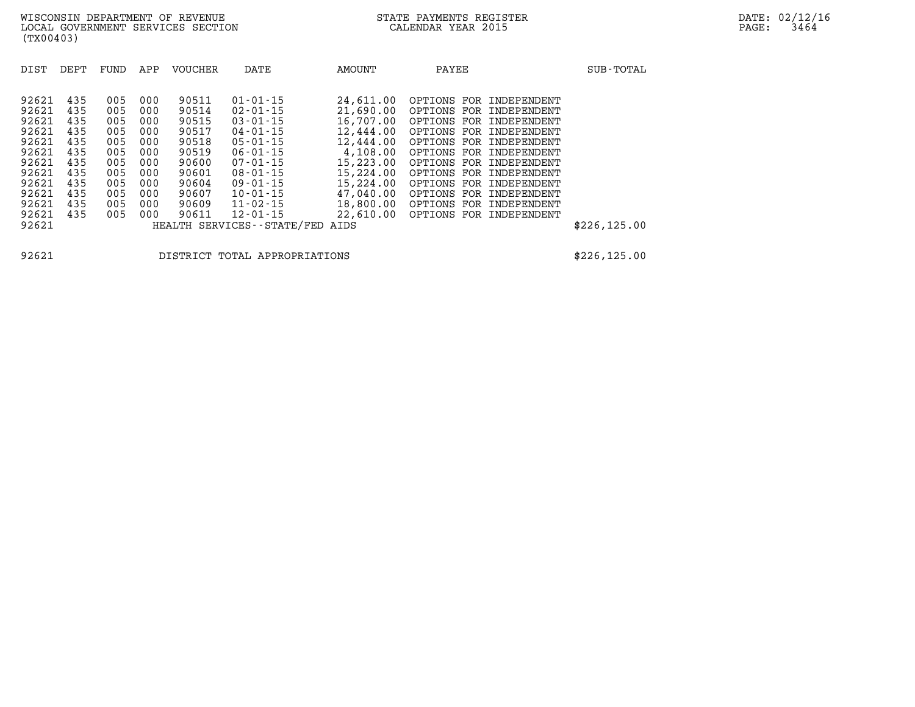| DIST  | DEPT | FUND | APP | VOUCHER | DATE                          | AMOUNT    | PAYEE                      | SUB-TOTAL     |
|-------|------|------|-----|---------|-------------------------------|-----------|----------------------------|---------------|
|       |      |      |     |         |                               |           |                            |               |
| 92621 | 435  | 005  | 000 | 90511   | $01 - 01 - 15$                | 24,611.00 | OPTIONS FOR INDEPENDENT    |               |
| 92621 | 435  | 005  | 000 | 90514   | $02 - 01 - 15$                | 21,690.00 | OPTIONS FOR<br>INDEPENDENT |               |
| 92621 | 435  | 005  | 000 | 90515   | $03 - 01 - 15$                | 16,707.00 | OPTIONS FOR INDEPENDENT    |               |
| 92621 | 435  | 005  | 000 | 90517   | $04 - 01 - 15$                | 12,444.00 | OPTIONS FOR INDEPENDENT    |               |
| 92621 | 435  | 005  | 000 | 90518   | $05 - 01 - 15$                | 12,444.00 | OPTIONS FOR INDEPENDENT    |               |
| 92621 | 435  | 005  | 000 | 90519   | $06 - 01 - 15$                | 4,108.00  | OPTIONS FOR INDEPENDENT    |               |
| 92621 | 435  | 005  | 000 | 90600   | $07 - 01 - 15$                | 15,223.00 | OPTIONS FOR INDEPENDENT    |               |
| 92621 | 435  | 005  | 000 | 90601   | $08 - 01 - 15$                | 15,224.00 | OPTIONS FOR INDEPENDENT    |               |
| 92621 | 435  | 005  | 000 | 90604   | $09 - 01 - 15$                | 15,224.00 | OPTIONS FOR INDEPENDENT    |               |
| 92621 | 435  | 005  | 000 | 90607   | $10 - 01 - 15$                | 47,040.00 | OPTIONS FOR INDEPENDENT    |               |
| 92621 | 435  | 005  | 000 | 90609   | $11 - 02 - 15$                | 18,800.00 | OPTIONS FOR<br>INDEPENDENT |               |
| 92621 | 435  | 005  | 000 | 90611   | $12 - 01 - 15$                | 22,610.00 | OPTIONS FOR INDEPENDENT    |               |
| 92621 |      |      |     |         | HEALTH SERVICES - - STATE/FED | AIDS      |                            | \$226, 125.00 |
|       |      |      |     |         |                               |           |                            |               |

**92621 DISTRICT TOTAL APPROPRIATIONS \$226,125.00**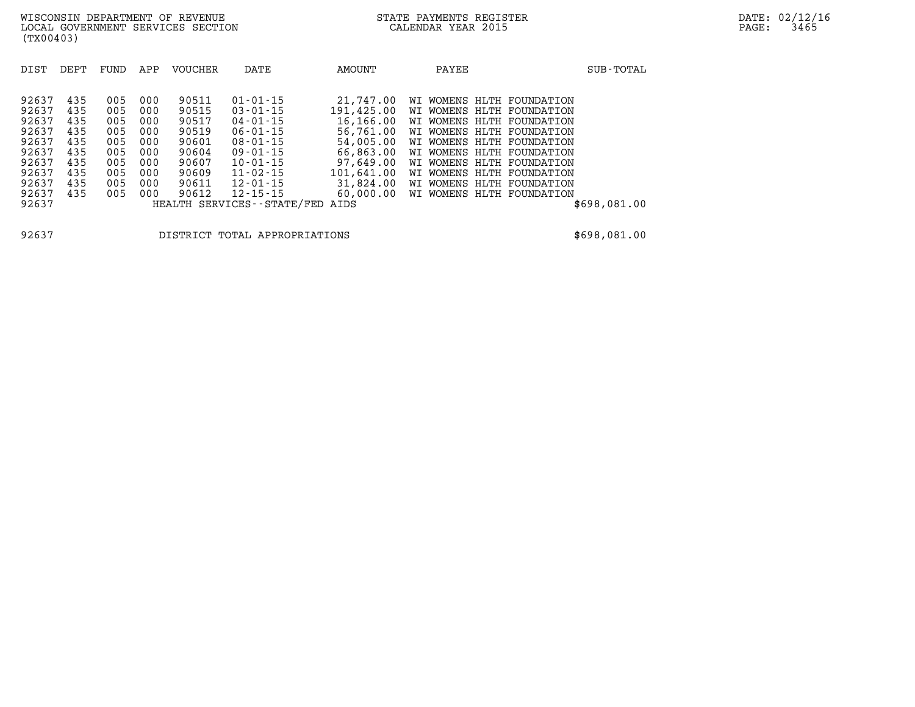| DIST  | DEPT | FUND | APP | VOUCHER | DATE                          | AMOUNT     | PAYEE                     | SUB-TOTAL    |
|-------|------|------|-----|---------|-------------------------------|------------|---------------------------|--------------|
|       |      |      |     |         |                               |            |                           |              |
| 92637 | 435  | 005  | 000 | 90511   | $01 - 01 - 15$                | 21,747.00  | WI WOMENS HLTH FOUNDATION |              |
| 92637 | 435  | 005  | 000 | 90515   | $03 - 01 - 15$                | 191,425.00 | WI WOMENS HLTH FOUNDATION |              |
| 92637 | 435  | 005  | 000 | 90517   | $04 - 01 - 15$                | 16,166.00  | WI WOMENS HLTH FOUNDATION |              |
| 92637 | 435  | 005  | 000 | 90519   | $06 - 01 - 15$                | 56,761.00  | WI WOMENS HLTH FOUNDATION |              |
| 92637 | 435  | 005  | 000 | 90601   | 08-01-15                      | 54,005,00  | WI WOMENS HLTH FOUNDATION |              |
| 92637 | 435  | 005  | 000 | 90604   | $09 - 01 - 15$                | 66,863,00  | WI WOMENS HLTH FOUNDATION |              |
| 92637 | 435  | 005  | 000 | 90607   | $10 - 01 - 15$                | 97,649,00  | WI WOMENS HLTH FOUNDATION |              |
| 92637 | 435  | 005  | 000 | 90609   | $11 - 02 - 15$                | 101,641.00 | WI WOMENS HLTH FOUNDATION |              |
| 92637 | 435  | 005  | 000 | 90611   | $12 - 01 - 15$                | 31,824.00  | WI WOMENS HLTH FOUNDATION |              |
| 92637 | 435  | 005  | 000 | 90612   | $12 - 15 - 15$                | 60,000.00  | WI WOMENS HLTH FOUNDATION |              |
| 92637 |      |      |     |         | HEALTH SERVICES - - STATE/FED | AIDS       |                           | \$698,081.00 |

**92637 DISTRICT TOTAL APPROPRIATIONS \$698,081.00**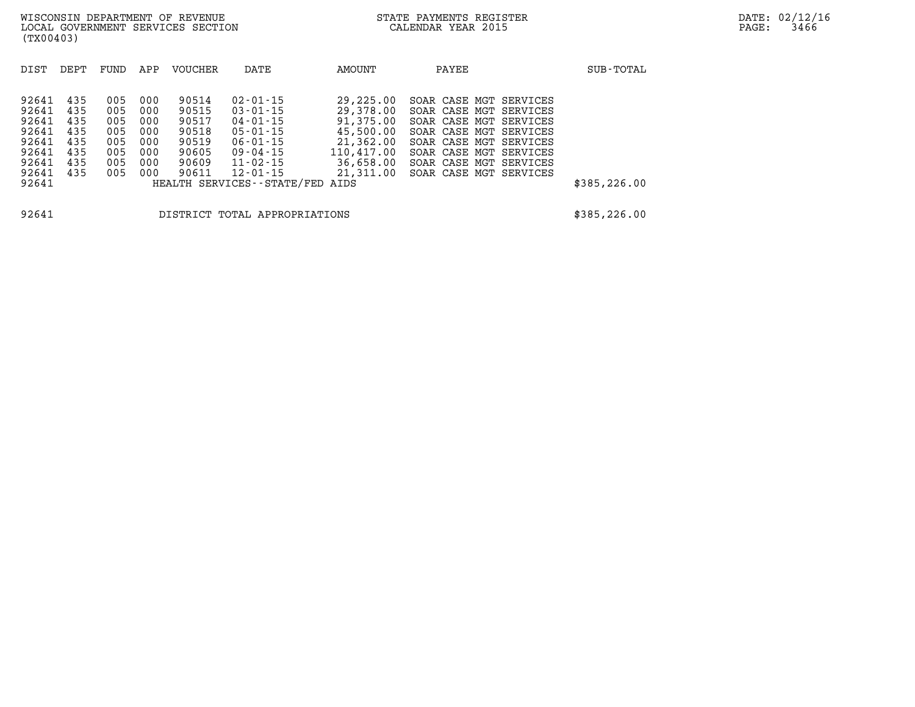| DIST                                                                 | DEPT                                                 | FUND                                                 | APP                                                  | <b>VOUCHER</b>                                                       | DATE                                                                                                                                         | AMOUNT                                                                                                | PAYEE                                                                                                                                                                                                                             | SUB-TOTAL     |
|----------------------------------------------------------------------|------------------------------------------------------|------------------------------------------------------|------------------------------------------------------|----------------------------------------------------------------------|----------------------------------------------------------------------------------------------------------------------------------------------|-------------------------------------------------------------------------------------------------------|-----------------------------------------------------------------------------------------------------------------------------------------------------------------------------------------------------------------------------------|---------------|
| 92641<br>92641<br>92641<br>92641<br>92641<br>92641<br>92641<br>92641 | 435<br>435<br>435<br>435<br>435<br>435<br>435<br>435 | 005<br>005<br>005<br>005<br>005<br>005<br>005<br>005 | 000<br>000<br>000<br>000<br>000<br>000<br>000<br>000 | 90514<br>90515<br>90517<br>90518<br>90519<br>90605<br>90609<br>90611 | $02 - 01 - 15$<br>$03 - 01 - 15$<br>$04 - 01 - 15$<br>$05 - 01 - 15$<br>$06 - 01 - 15$<br>$09 - 04 - 15$<br>$11 - 02 - 15$<br>$12 - 01 - 15$ | 29,225.00<br>29,378.00<br>91,375.00<br>45,500.00<br>21,362.00<br>110,417.00<br>36,658.00<br>21,311.00 | SOAR CASE MGT<br>SERVICES<br>SOAR CASE MGT SERVICES<br>SOAR CASE MGT<br>SERVICES<br>SOAR CASE MGT<br>SERVICES<br>SOAR CASE MGT<br>SERVICES<br>SOAR CASE MGT<br>SERVICES<br>SOAR CASE MGT<br>SERVICES<br>SOAR CASE MGT<br>SERVICES | \$385, 226.00 |
| 92641                                                                | HEALTH SERVICES--STATE/FED<br>AIDS                   |                                                      |                                                      |                                                                      |                                                                                                                                              |                                                                                                       |                                                                                                                                                                                                                                   |               |
| 92641<br>DISTRICT TOTAL APPROPRIATIONS                               |                                                      |                                                      |                                                      |                                                                      |                                                                                                                                              |                                                                                                       |                                                                                                                                                                                                                                   | \$385, 226.00 |

**(TX00403)**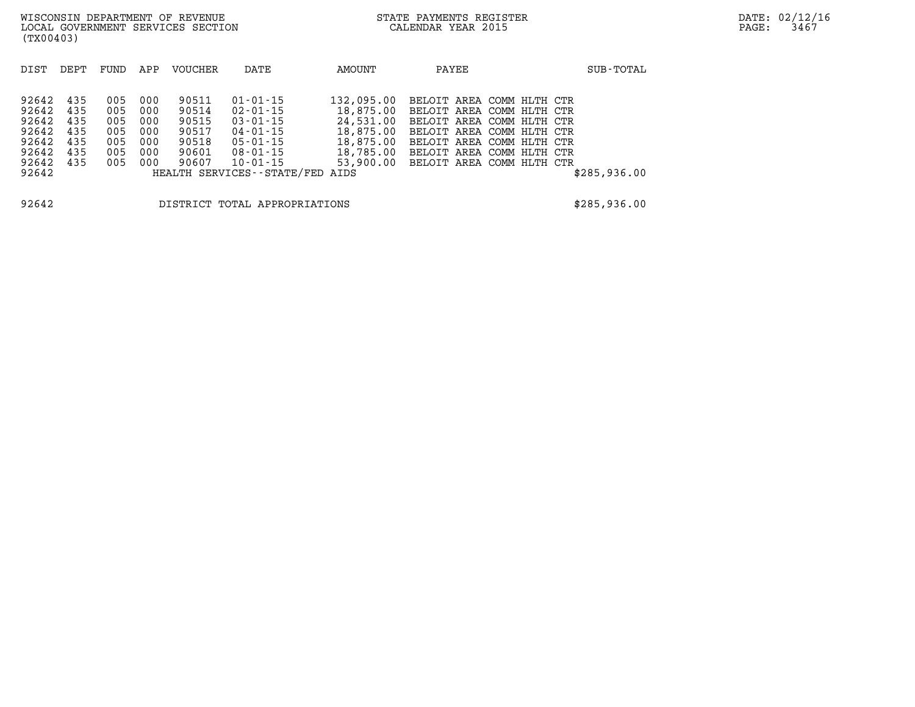| 92642 435 | 005 000 | 90511 | 01-01-15                        | 132,095.00 BELOIT AREA COMM HLTH CTR |  |  |              |
|-----------|---------|-------|---------------------------------|--------------------------------------|--|--|--------------|
| 92642 435 | 005 000 | 90514 | 02-01-15                        | 18,875.00 BELOIT AREA COMM HLTH CTR  |  |  |              |
| 92642 435 | 005 000 | 90515 | 03-01-15                        | 24,531.00 BELOIT AREA COMM HLTH CTR  |  |  |              |
| 92642 435 | 005 000 | 90517 | 04-01-15                        | 18,875.00 BELOIT AREA COMM HLTH CTR  |  |  |              |
| 92642 435 | 005 000 | 90518 | 05-01-15                        | 18,875.00 BELOIT AREA COMM HLTH CTR  |  |  |              |
| 92642 435 | 005 000 | 90601 | 08-01-15                        | 18,785.00 BELOIT AREA COMM HLTH CTR  |  |  |              |
| 92642 435 | 005 000 | 90607 | 10-01-15                        | 53,900.00 BELOIT AREA COMM HLTH CTR  |  |  |              |
| 92642     |         |       | HEALTH SERVICES--STATE/FED AIDS |                                      |  |  | \$285,936.00 |
|           |         |       |                                 |                                      |  |  |              |

**92642 DISTRICT TOTAL APPROPRIATIONS \$285,936.00**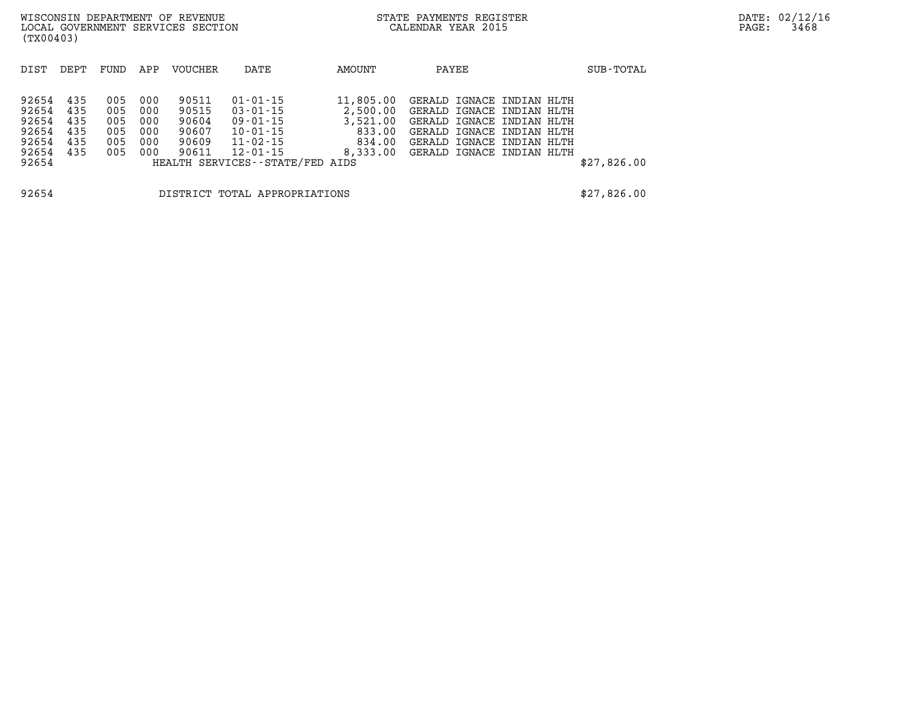| (TX00403)                                                   |                                        |                                        |                                        | WISCONSIN DEPARTMENT OF REVENUE<br>LOCAL GOVERNMENT SERVICES SECTION |                                                                                                         |                                           | STATE PAYMENTS REGISTER<br>CALENDAR YEAR 2015                                                                                                                                                |             | DATE: 02/12/16<br>PAGE:<br>3468 |
|-------------------------------------------------------------|----------------------------------------|----------------------------------------|----------------------------------------|----------------------------------------------------------------------|---------------------------------------------------------------------------------------------------------|-------------------------------------------|----------------------------------------------------------------------------------------------------------------------------------------------------------------------------------------------|-------------|---------------------------------|
| DIST                                                        | DEPT                                   | FUND                                   | APP                                    | <b>VOUCHER</b>                                                       | DATE                                                                                                    | AMOUNT                                    | PAYEE                                                                                                                                                                                        | SUB-TOTAL   |                                 |
| 92654<br>92654<br>92654<br>92654<br>92654<br>92654<br>92654 | 435<br>435<br>435<br>435<br>435<br>435 | 005<br>005<br>005<br>005<br>005<br>005 | 000<br>000<br>000<br>000<br>000<br>000 | 90511<br>90515<br>90604<br>90607<br>90609<br>90611                   | 01-01-15<br>03-01-15<br>09-01-15<br>10-01-15<br>11-02-15<br>12-01-15<br>HEALTH SERVICES--STATE/FED AIDS | 11,805.00<br>3,521.00<br>833.00<br>834.00 | GERALD IGNACE INDIAN HLTH<br>2,500.00 GERALD IGNACE INDIAN HLTH<br>GERALD IGNACE INDIAN HLTH<br>GERALD IGNACE INDIAN HLTH<br>GERALD IGNACE INDIAN HLTH<br>8,333.00 GERALD IGNACE INDIAN HLTH | \$27,826.00 |                                 |

**92654 DISTRICT TOTAL APPROPRIATIONS \$27,826.00**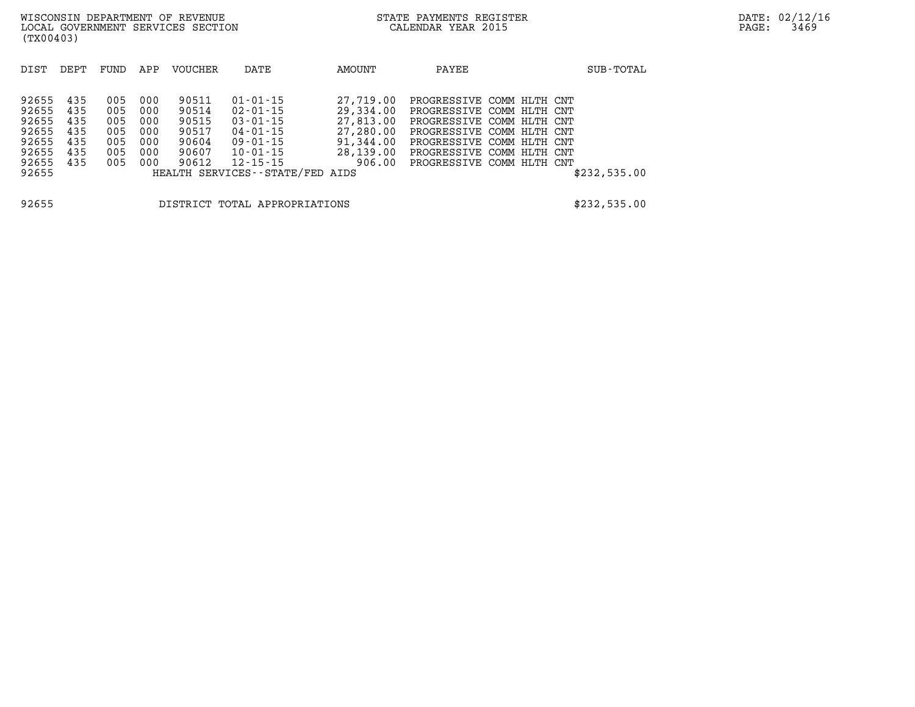| DIST                                                                 | DEPT                                          | FUND                                          | APP                                           | <b>VOUCHER</b>                                              | DATE                                                                                                                                                          | AMOUNT                                                                               | PAYEE                                                                                                                                                                                                   | SUB-TOTAL    |
|----------------------------------------------------------------------|-----------------------------------------------|-----------------------------------------------|-----------------------------------------------|-------------------------------------------------------------|---------------------------------------------------------------------------------------------------------------------------------------------------------------|--------------------------------------------------------------------------------------|---------------------------------------------------------------------------------------------------------------------------------------------------------------------------------------------------------|--------------|
| 92655<br>92655<br>92655<br>92655<br>92655<br>92655<br>92655<br>92655 | 435<br>435<br>435<br>435<br>435<br>435<br>435 | 005<br>005<br>005<br>005<br>005<br>005<br>005 | 000<br>000<br>000<br>000<br>000<br>000<br>000 | 90511<br>90514<br>90515<br>90517<br>90604<br>90607<br>90612 | $01 - 01 - 15$<br>$02 - 01 - 15$<br>$03 - 01 - 15$<br>$04 - 01 - 15$<br>$09 - 01 - 15$<br>$10 - 01 - 15$<br>$12 - 15 - 15$<br>HEALTH SERVICES--STATE/FED AIDS | 27,719.00<br>29,334.00<br>27,813,00<br>27,280.00<br>91,344.00<br>28,139.00<br>906.00 | PROGRESSIVE COMM HLTH CNT<br>PROGRESSIVE COMM HLTH CNT<br>PROGRESSIVE COMM HLTH CNT<br>PROGRESSIVE COMM HLTH CNT<br>PROGRESSIVE COMM HLTH CNT<br>PROGRESSIVE COMM HLTH CNT<br>PROGRESSIVE COMM HLTH CNT | \$232,535.00 |

**92655 DISTRICT TOTAL APPROPRIATIONS \$232,535.00**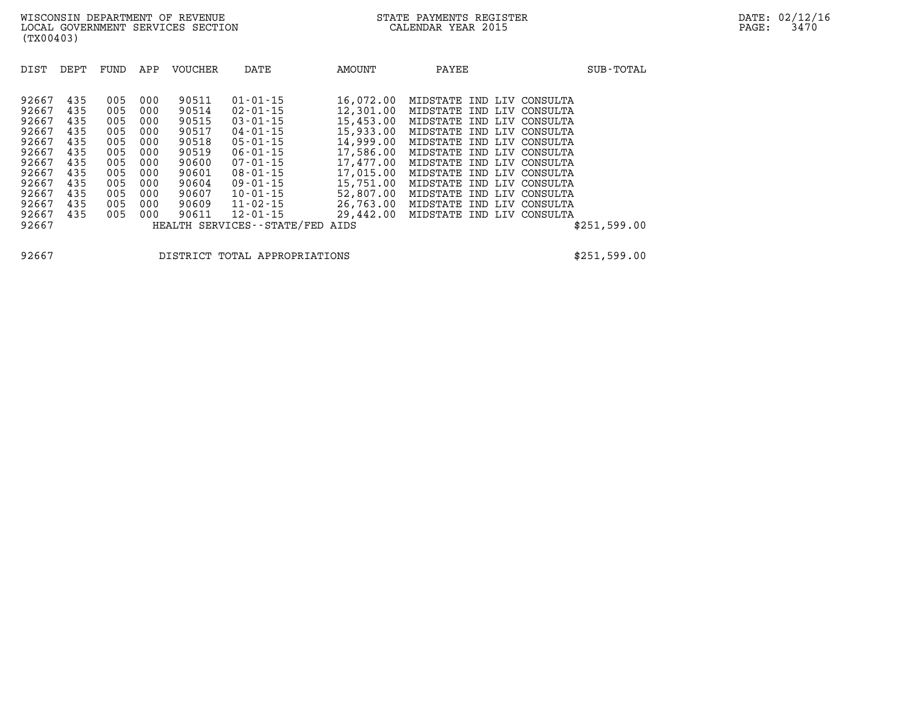| DIST<br>DEPT                                                                                                                                                                                          | FUND                                                                             | APP                                                                              | <b>VOUCHER</b>                                                                                           | DATE                                                                                                                                                                                                                                                  | AMOUNT                                                                                                                                                           | PAYEE                                                                                                                                                                                                                                                                                                                                                                                                          | SUB-TOTAL    |
|-------------------------------------------------------------------------------------------------------------------------------------------------------------------------------------------------------|----------------------------------------------------------------------------------|----------------------------------------------------------------------------------|----------------------------------------------------------------------------------------------------------|-------------------------------------------------------------------------------------------------------------------------------------------------------------------------------------------------------------------------------------------------------|------------------------------------------------------------------------------------------------------------------------------------------------------------------|----------------------------------------------------------------------------------------------------------------------------------------------------------------------------------------------------------------------------------------------------------------------------------------------------------------------------------------------------------------------------------------------------------------|--------------|
| 92667<br>435<br>92667<br>435<br>92667<br>435<br>92667<br>435<br>92667<br>435<br>92667<br>435<br>92667<br>435<br>92667<br>435<br>92667<br>435<br>92667<br>435<br>92667<br>435<br>92667<br>435<br>92667 | 005<br>005<br>005<br>005<br>005<br>005<br>005<br>005<br>005<br>005<br>005<br>005 | 000<br>000<br>000<br>000<br>000<br>000<br>000<br>000<br>000<br>000<br>000<br>000 | 90511<br>90514<br>90515<br>90517<br>90518<br>90519<br>90600<br>90601<br>90604<br>90607<br>90609<br>90611 | $01 - 01 - 15$<br>$02 - 01 - 15$<br>$03 - 01 - 15$<br>$04 - 01 - 15$<br>$05 - 01 - 15$<br>$06 - 01 - 15$<br>$07 - 01 - 15$<br>$08 - 01 - 15$<br>$09 - 01 - 15$<br>$10 - 01 - 15$<br>$11 - 02 - 15$<br>$12 - 01 - 15$<br>HEALTH SERVICES - - STATE/FED | 16,072.00<br>12,301.00<br>15,453.00<br>15,933.00<br>14,999.00<br>17,586.00<br>17,477.00<br>17,015.00<br>15,751.00<br>52,807.00<br>26,763.00<br>29,442.00<br>AIDS | MIDSTATE IND LIV<br>CONSULTA<br>MIDSTATE IND<br>CONSULTA<br>LIV<br>MIDSTATE IND LIV<br>CONSULTA<br>MIDSTATE IND LIV<br>CONSULTA<br>MIDSTATE IND<br>CONSULTA<br>LIV<br>MIDSTATE IND LIV CONSULTA<br>MIDSTATE IND LIV<br>CONSULTA<br>MIDSTATE<br>CONSULTA<br>IND<br>LIV<br>MIDSTATE IND<br>LIV<br>CONSULTA<br>MIDSTATE IND LIV<br>CONSULTA<br>MIDSTATE<br>CONSULTA<br>LIV<br>IND<br>MIDSTATE IND LIV<br>CONSULTA | \$251,599.00 |

**92667 DISTRICT TOTAL APPROPRIATIONS \$251,599.00**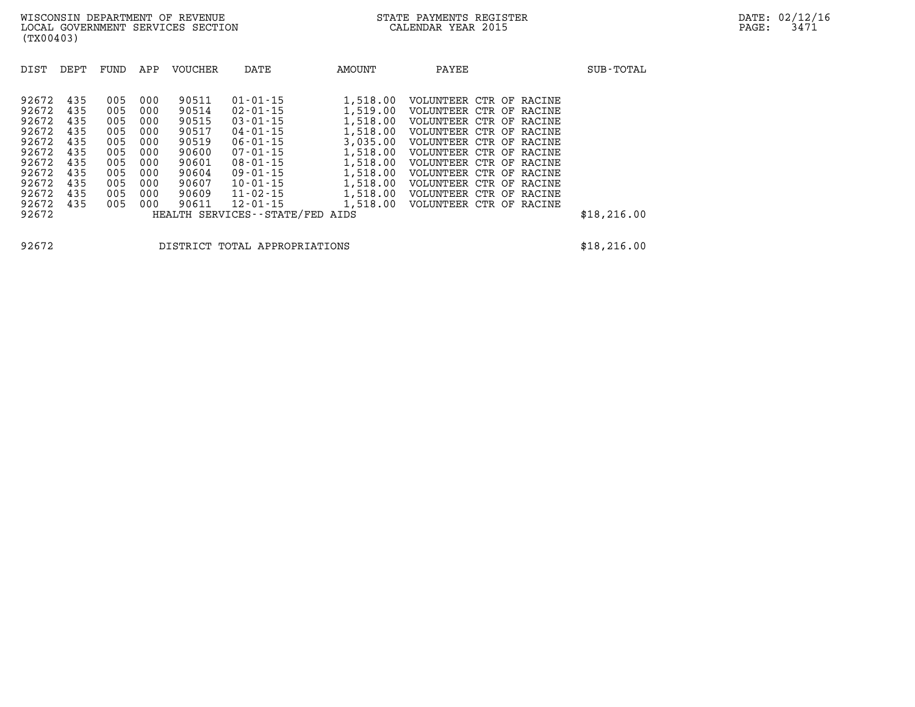| DIST                                                                                                     | DEPT                                                                      | FUND                                                                      | APP                                                                       | <b>VOUCHER</b>                                                                                  | DATE                                                                                                                                                                                                                                  | AMOUNT                                                                                                                           | PAYEE                                                                                                                                                                                                                                                                                                                                        | SUB-TOTAL    |
|----------------------------------------------------------------------------------------------------------|---------------------------------------------------------------------------|---------------------------------------------------------------------------|---------------------------------------------------------------------------|-------------------------------------------------------------------------------------------------|---------------------------------------------------------------------------------------------------------------------------------------------------------------------------------------------------------------------------------------|----------------------------------------------------------------------------------------------------------------------------------|----------------------------------------------------------------------------------------------------------------------------------------------------------------------------------------------------------------------------------------------------------------------------------------------------------------------------------------------|--------------|
| 92672<br>92672<br>92672<br>92672<br>92672<br>92672<br>92672<br>92672<br>92672<br>92672<br>92672<br>92672 | 435<br>435<br>435<br>435<br>435<br>435<br>435<br>435<br>435<br>435<br>435 | 005<br>005<br>005<br>005<br>005<br>005<br>005<br>005<br>005<br>005<br>005 | 000<br>000<br>000<br>000<br>000<br>000<br>000<br>000<br>000<br>000<br>000 | 90511<br>90514<br>90515<br>90517<br>90519<br>90600<br>90601<br>90604<br>90607<br>90609<br>90611 | $01 - 01 - 15$<br>$02 - 01 - 15$<br>$03 - 01 - 15$<br>$04 - 01 - 15$<br>$06 - 01 - 15$<br>$07 - 01 - 15$<br>$08 - 01 - 15$<br>$09 - 01 - 15$<br>$10 - 01 - 15$<br>$11 - 02 - 15$<br>$12 - 01 - 15$<br>HEALTH SERVICES--STATE/FED AIDS | 1,518.00<br>1,519.00<br>1,518.00<br>1,518.00<br>3,035.00<br>1,518.00<br>1,518.00<br>1,518.00<br>1,518.00<br>1,518.00<br>1,518.00 | VOLUNTEER<br>CTR OF RACINE<br>VOLUNTEER<br>CTR<br>OF RACINE<br>VOLUNTEER<br>CTR OF RACINE<br>CTR OF RACINE<br>VOLUNTEER<br>CTR OF RACINE<br>VOLUNTEER<br>VOLUNTEER<br>CTR OF RACINE<br>VOLUNTEER<br>CTR OF RACINE<br>VOLUNTEER<br>CTR OF RACINE<br>VOLUNTEER<br>CTR<br>OF RACINE<br>VOLUNTEER<br>CTR OF RACINE<br>VOLUNTEER<br>CTR OF RACINE | \$18, 216.00 |

**92672 DISTRICT TOTAL APPROPRIATIONS \$18,216.00**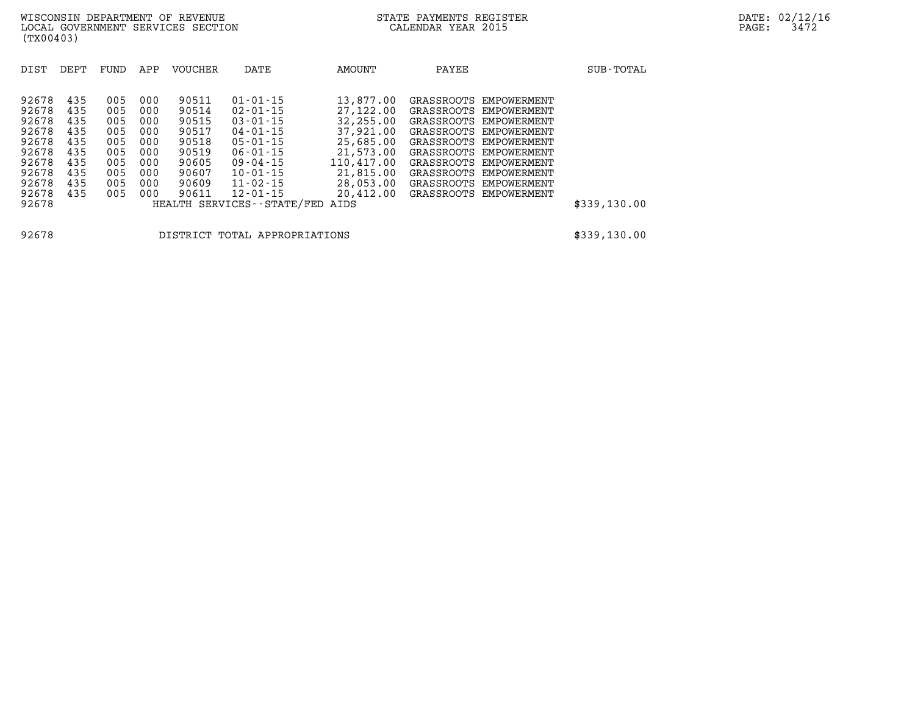| (TX00403)                                                   |                                               |                                               |                                               | WISCONSIN DEPARTMENT OF REVENUE<br>LOCAL GOVERNMENT SERVICES SECTION |                                                                                                                |                                                                            | STATE PAYMENTS REGISTER<br>CALENDAR YEAR 2015 |                                                                                                                                                          | DATE: 02/12/16<br>3472<br>PAGE: |  |
|-------------------------------------------------------------|-----------------------------------------------|-----------------------------------------------|-----------------------------------------------|----------------------------------------------------------------------|----------------------------------------------------------------------------------------------------------------|----------------------------------------------------------------------------|-----------------------------------------------|----------------------------------------------------------------------------------------------------------------------------------------------------------|---------------------------------|--|
| DIST                                                        | DEPT                                          | FUND                                          | APP                                           | VOUCHER                                                              | DATE                                                                                                           | AMOUNT                                                                     | PAYEE                                         |                                                                                                                                                          | SUB-TOTAL                       |  |
| 92678<br>92678<br>92678<br>92678<br>92678<br>92678<br>92678 | 435<br>435<br>435<br>435<br>435<br>435<br>435 | 005<br>005<br>005<br>005<br>005<br>005<br>005 | 000<br>000<br>000<br>000<br>000<br>000<br>000 | 90511<br>90514<br>90515<br>90517<br>90518<br>90519<br>90605          | 01-01-15<br>$02 - 01 - 15$<br>$03 - 01 - 15$<br>04-01-15<br>$05 - 01 - 15$<br>$06 - 01 - 15$<br>$09 - 04 - 15$ | 13,877.00<br>27,122,00<br>32,255.00<br>37,921.00<br>25,685.00<br>21,573.00 | 110,417.00 GRASSROOTS EMPOWERMENT             | GRASSROOTS EMPOWERMENT<br>GRASSROOTS EMPOWERMENT<br>GRASSROOTS EMPOWERMENT<br>GRASSROOTS EMPOWERMENT<br>GRASSROOTS EMPOWERMENT<br>GRASSROOTS EMPOWERMENT |                                 |  |
| 92678<br>92678<br>0.250                                     | 435<br>435<br>$\Lambda \cap \Gamma$           | 005<br>005<br>$\cap$ $\cap$ $\subset$         | 000<br>000<br>0.00                            | 90607<br>90609<br>0.0611                                             | $10 - 01 - 15$<br>$11 - 02 - 15$<br>10.011                                                                     | 21,815.00<br>28,053.00<br>00 110 00                                        |                                               | GRASSROOTS EMPOWERMENT<br>GRASSROOTS EMPOWERMENT<br>ana ganooma introvitintatio                                                                          |                                 |  |

**92678 435 005 000 90611 12-01-15 20,412.00 GRASSROOTS EMPOWERMENT 92678 HEALTH SERVICES--STATE/FED AIDS \$339,130.00** 

**92678 DISTRICT TOTAL APPROPRIATIONS \$339,130.00**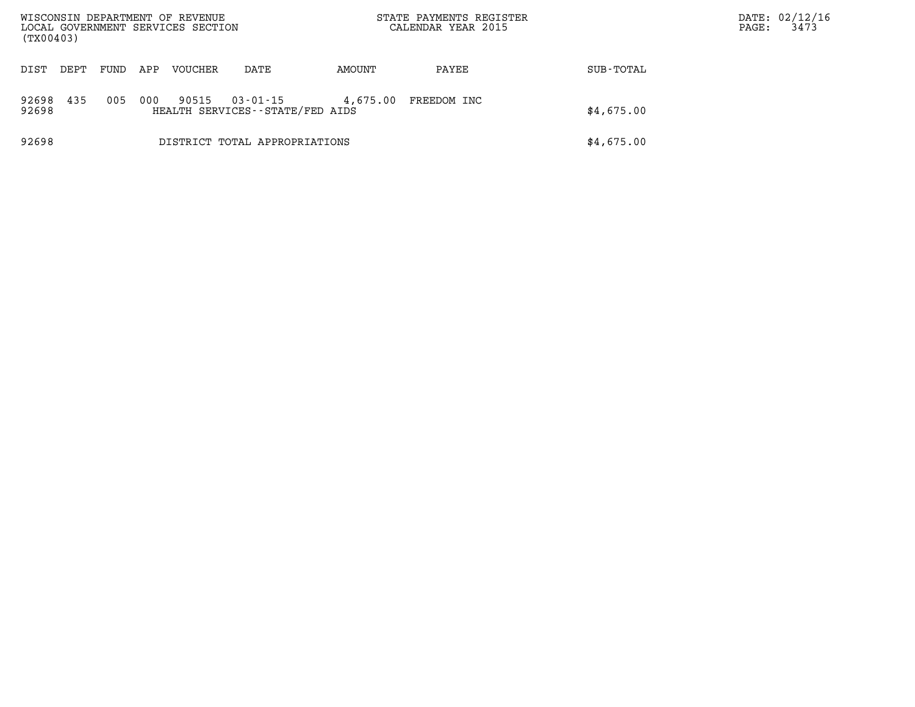| (TX00403)      |      |      |     | WISCONSIN DEPARTMENT OF REVENUE<br>LOCAL GOVERNMENT SERVICES SECTION |                                             |          | STATE PAYMENTS REGISTER<br>CALENDAR YEAR 2015 |            | DATE: 02/12/16<br>3473<br>PAGE: |
|----------------|------|------|-----|----------------------------------------------------------------------|---------------------------------------------|----------|-----------------------------------------------|------------|---------------------------------|
| DIST           | DEPT | FUND | APP | VOUCHER                                                              | DATE                                        | AMOUNT   | PAYEE                                         | SUB-TOTAL  |                                 |
| 92698<br>92698 | 435  | 005  | 000 | 90515                                                                | 03-01-15<br>HEALTH SERVICES--STATE/FED AIDS | 4,675.00 | FREEDOM INC                                   | \$4,675.00 |                                 |
| 92698          |      |      |     |                                                                      | DISTRICT TOTAL APPROPRIATIONS               |          |                                               | \$4,675.00 |                                 |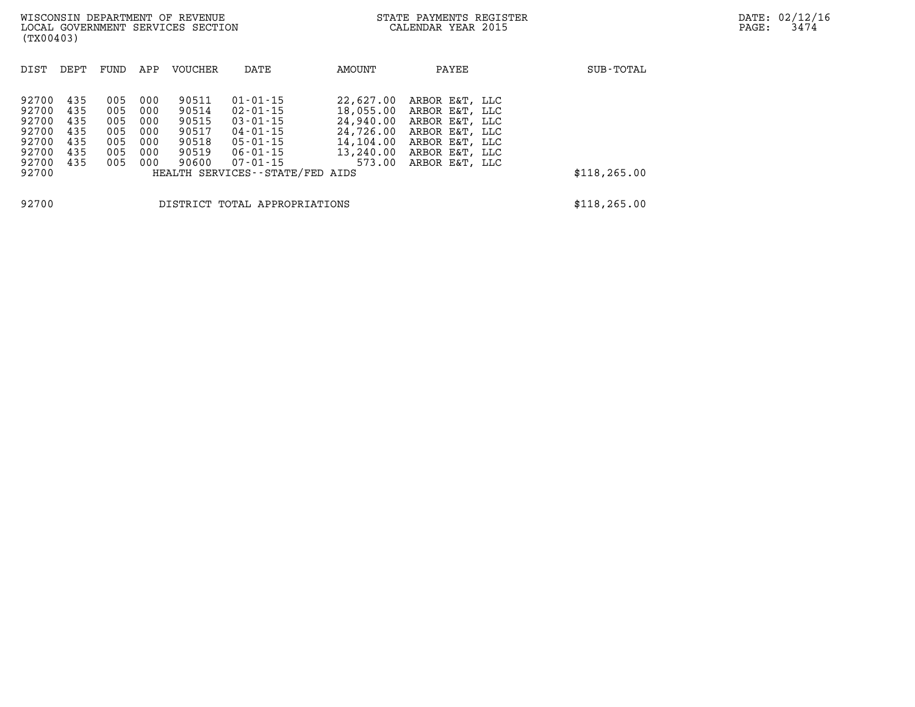| DIST  | DEPT | FUND | APP | <b>VOUCHER</b> | DATE                            | AMOUNT    | PAYEE          | SUB-TOTAL     |
|-------|------|------|-----|----------------|---------------------------------|-----------|----------------|---------------|
|       |      |      |     |                |                                 |           |                |               |
| 92700 | 435  | 005  | 000 | 90511          | $01 - 01 - 15$                  | 22,627,00 | ARBOR E&T, LLC |               |
| 92700 | 435  | 005  | 000 | 90514          | 02-01-15                        | 18,055.00 | ARBOR E&T, LLC |               |
| 92700 | 435  | 005  | 000 | 90515          | $03 - 01 - 15$                  | 24,940.00 | ARBOR E&T, LLC |               |
| 92700 | 435  | 005  | 000 | 90517          | $04 - 01 - 15$                  | 24,726.00 | ARBOR E&T, LLC |               |
| 92700 | 435  | 005  | 000 | 90518          | 05-01-15                        | 14,104.00 | ARBOR E&T, LLC |               |
| 92700 | 435  | 005  | 000 | 90519          | 06-01-15                        | 13,240.00 | ARBOR E&T, LLC |               |
| 92700 | 435  | 005  | 000 | 90600          | 07-01-15                        | 573.00    | ARBOR E&T, LLC |               |
| 92700 |      |      |     |                | HEALTH SERVICES--STATE/FED AIDS |           |                | \$118, 265.00 |
|       |      |      |     |                |                                 |           |                |               |
| 92700 |      |      |     |                | DISTRICT TOTAL APPROPRIATIONS   |           |                | \$118, 265.00 |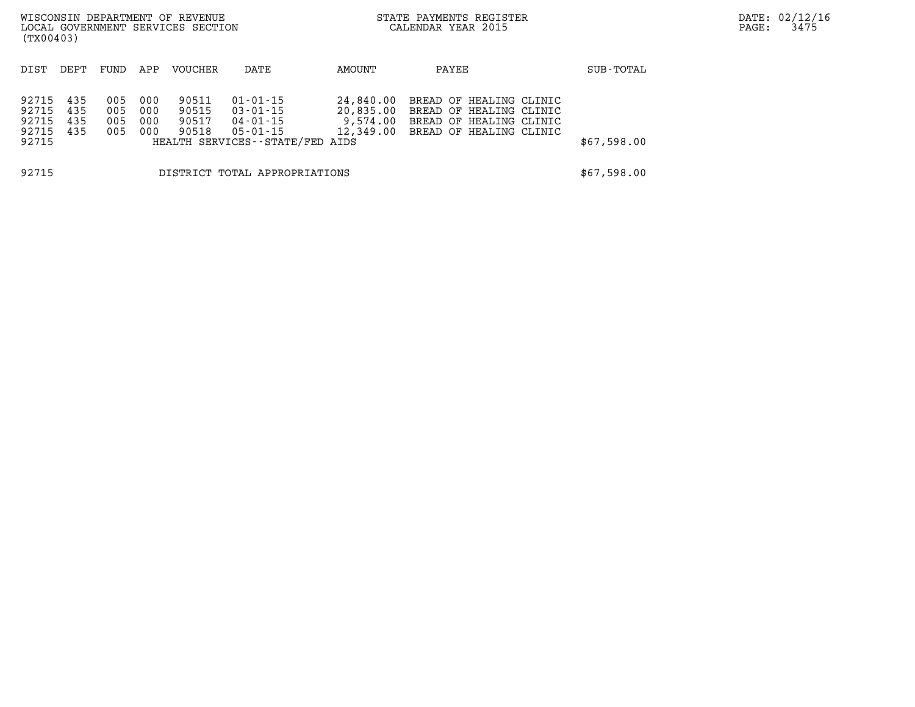| (TX00403)                                 |                          |                          |                          | WISCONSIN DEPARTMENT OF REVENUE<br>LOCAL GOVERNMENT SERVICES SECTION |                                                                                 |                                    | STATE PAYMENTS REGISTER<br>CALENDAR YEAR 2015                                                                      |             | DATE: 02/12/16<br>3475<br>PAGE: |
|-------------------------------------------|--------------------------|--------------------------|--------------------------|----------------------------------------------------------------------|---------------------------------------------------------------------------------|------------------------------------|--------------------------------------------------------------------------------------------------------------------|-------------|---------------------------------|
| DIST                                      | DEPT                     | FUND                     | APP                      | VOUCHER                                                              | DATE                                                                            | AMOUNT                             | PAYEE                                                                                                              | SUB-TOTAL   |                                 |
| 92715<br>92715<br>92715<br>92715<br>92715 | 435<br>435<br>435<br>435 | 005<br>005<br>005<br>005 | 000<br>000<br>000<br>000 | 90511<br>90515<br>90517<br>90518                                     | 01-01-15<br>03-01-15<br>04-01-15<br>05-01-15<br>HEALTH SERVICES--STATE/FED AIDS | 24,840.00<br>20,835.00<br>9,574.00 | BREAD OF HEALING CLINIC<br>BREAD OF HEALING CLINIC<br>BREAD OF HEALING CLINIC<br>12,349.00 BREAD OF HEALING CLINIC | \$67,598.00 |                                 |
| 92715<br>DISTRICT TOTAL APPROPRIATIONS    |                          |                          |                          |                                                                      |                                                                                 |                                    | \$67,598.00                                                                                                        |             |                                 |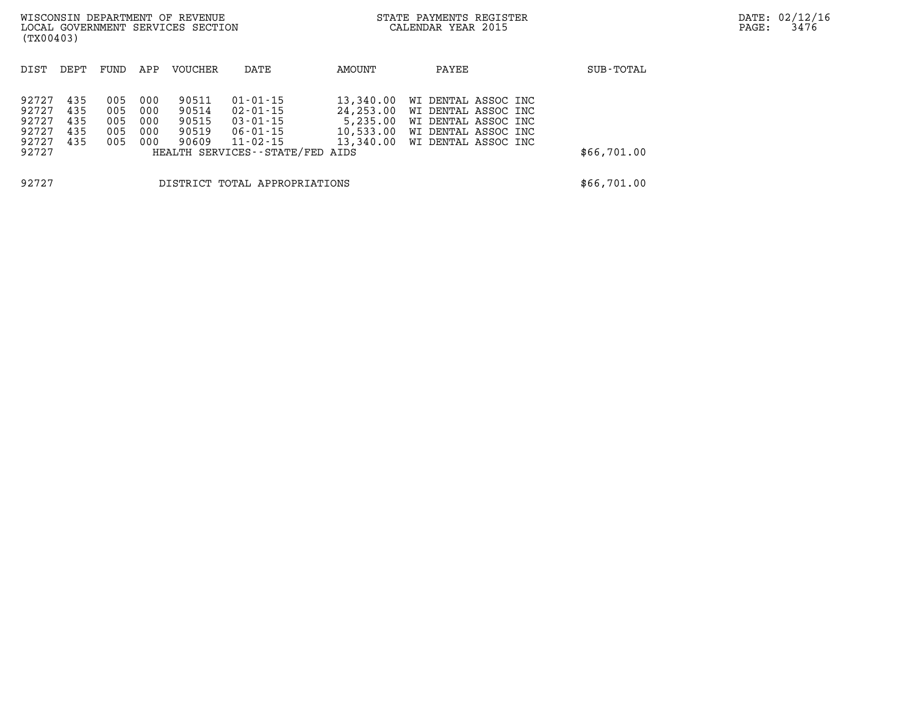| (TX00403)                                          |                                 |                                 |                                 | WISCONSIN DEPARTMENT OF REVENUE<br>LOCAL GOVERNMENT SERVICES SECTION |                                                                                                                     |                                                 | STATE PAYMENTS REGISTER<br>CALENDAR YEAR 2015                                                                             |             | DATE: 02/12/16<br>3476<br>PAGE: |
|----------------------------------------------------|---------------------------------|---------------------------------|---------------------------------|----------------------------------------------------------------------|---------------------------------------------------------------------------------------------------------------------|-------------------------------------------------|---------------------------------------------------------------------------------------------------------------------------|-------------|---------------------------------|
| DIST                                               | DEPT                            | FUND                            | APP                             | <b>VOUCHER</b>                                                       | DATE                                                                                                                | AMOUNT                                          | PAYEE                                                                                                                     | SUB-TOTAL   |                                 |
| 92727<br>92727<br>92727<br>92727<br>92727<br>92727 | 435<br>435<br>435<br>435<br>435 | 005<br>005<br>005<br>005<br>005 | 000<br>000<br>000<br>000<br>000 | 90511<br>90514<br>90515<br>90519<br>90609                            | $01 - 01 - 15$<br>$02 - 01 - 15$<br>$03 - 01 - 15$<br>$06 - 01 - 15$<br>11-02-15<br>HEALTH SERVICES--STATE/FED AIDS | 13,340.00<br>24,253.00<br>5,235.00<br>10,533.00 | WI DENTAL ASSOC INC<br>WI DENTAL ASSOC INC<br>WI DENTAL ASSOC INC<br>WI DENTAL ASSOC INC<br>13,340.00 WI DENTAL ASSOC INC | \$66,701.00 |                                 |
| 92727<br>DISTRICT TOTAL APPROPRIATIONS             |                                 |                                 |                                 |                                                                      |                                                                                                                     |                                                 | \$66,701.00                                                                                                               |             |                                 |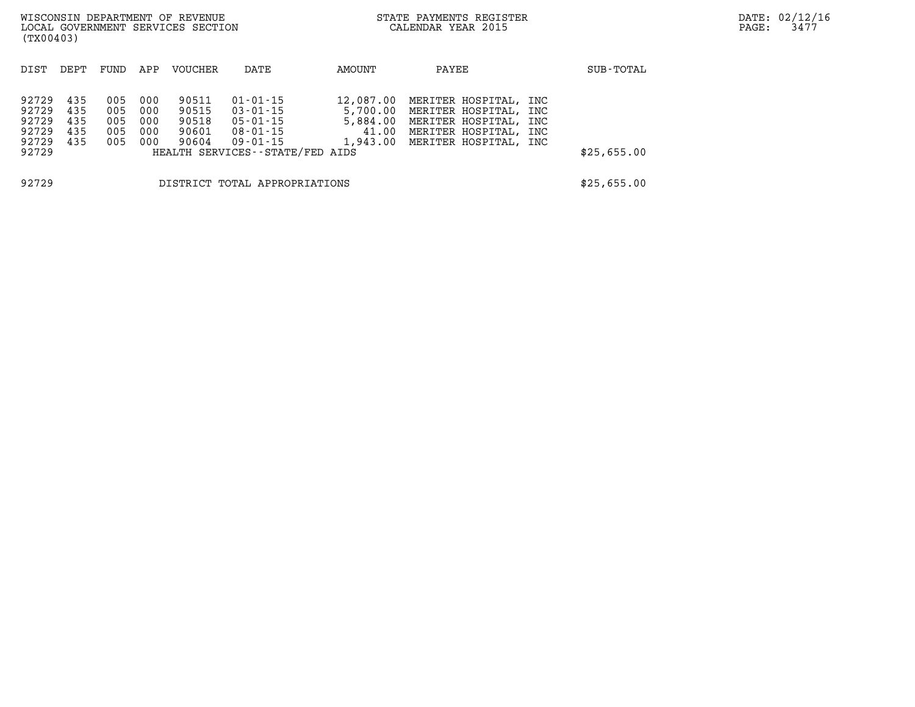| (TX00403)                                          |                                 |                                 |                                 | WISCONSIN DEPARTMENT OF REVENUE<br>LOCAL GOVERNMENT SERVICES SECTION |                                                                                                         | STATE PAYMENTS REGISTER<br>CALENDAR YEAR 2015 |                                                                                                                                             | PAGE: | DATE: 02/12/1<br>3477 |  |  |
|----------------------------------------------------|---------------------------------|---------------------------------|---------------------------------|----------------------------------------------------------------------|---------------------------------------------------------------------------------------------------------|-----------------------------------------------|---------------------------------------------------------------------------------------------------------------------------------------------|-------|-----------------------|--|--|
| DIST                                               | DEPT                            | FUND                            | APP                             | VOUCHER                                                              | DATE                                                                                                    | AMOUNT                                        | PAYEE                                                                                                                                       |       | SUB-TOTAL             |  |  |
| 92729<br>92729<br>92729<br>92729<br>92729<br>92729 | 435<br>435<br>435<br>435<br>435 | 005<br>005<br>005<br>005<br>005 | 000<br>000<br>000<br>000<br>000 | 90511<br>90515<br>90518<br>90601<br>90604                            | $01 - 01 - 15$<br>$03 - 01 - 15$<br>05-01-15<br>08-01-15<br>09-01-15<br>HEALTH SERVICES--STATE/FED AIDS | 12,087.00<br>41.00<br>1,943.00                | MERITER HOSPITAL, INC<br>5,700.00 MERITER HOSPITAL, INC<br>5,884.00 MERITER HOSPITAL, INC<br>MERITER HOSPITAL, INC<br>MERITER HOSPITAL, INC |       | \$25,655.00           |  |  |
| 92729<br>DISTRICT TOTAL APPROPRIATIONS             |                                 |                                 |                                 |                                                                      |                                                                                                         |                                               |                                                                                                                                             |       | \$25,655.00           |  |  |

**DATE: 02/12/16<br>PAGE: 3477**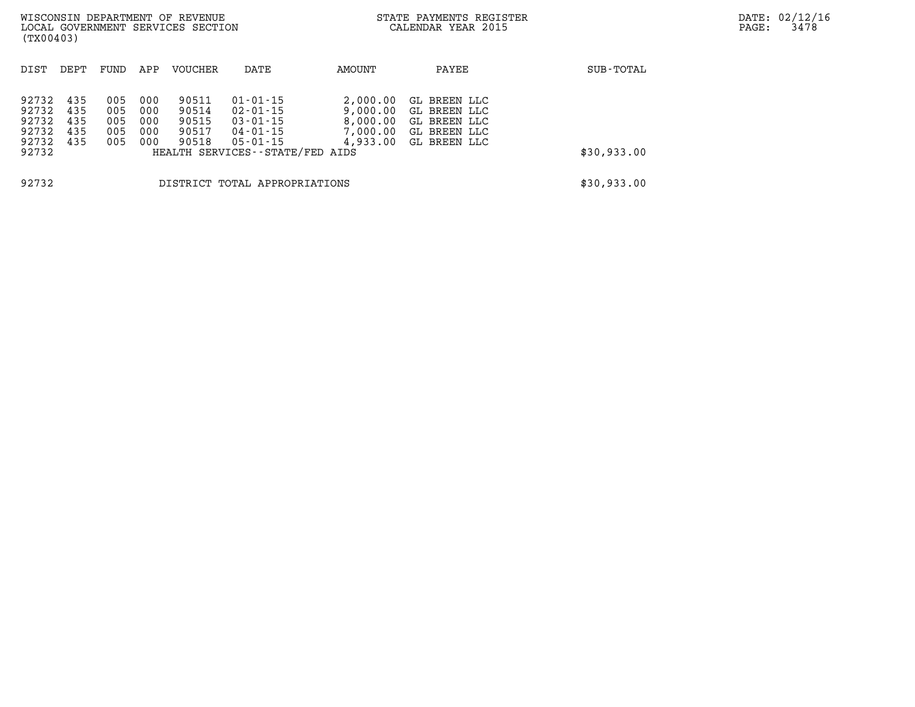| (TX00403)                                          |                                 |                                 |                                 | WISCONSIN DEPARTMENT OF REVENUE<br>LOCAL GOVERNMENT SERVICES SECTION |                                                                                                         |                                                          | STATE PAYMENTS REGISTER<br>CALENDAR YEAR 2015                                |             | DATE: 02/12/16<br>3478<br>PAGE: |
|----------------------------------------------------|---------------------------------|---------------------------------|---------------------------------|----------------------------------------------------------------------|---------------------------------------------------------------------------------------------------------|----------------------------------------------------------|------------------------------------------------------------------------------|-------------|---------------------------------|
| DIST                                               | DEPT                            | FUND                            | APP                             | VOUCHER                                                              | DATE                                                                                                    | AMOUNT                                                   | PAYEE                                                                        | SUB-TOTAL   |                                 |
| 92732<br>92732<br>92732<br>92732<br>92732<br>92732 | 435<br>435<br>435<br>435<br>435 | 005<br>005<br>005<br>005<br>005 | 000<br>000<br>000<br>000<br>000 | 90511<br>90514<br>90515<br>90517<br>90518                            | $01 - 01 - 15$<br>02-01-15<br>03-01-15<br>04-01-15<br>$05 - 01 - 15$<br>HEALTH SERVICES--STATE/FED AIDS | 2,000.00<br>9,000.00<br>8,000.00<br>7,000.00<br>4,933.00 | GL BREEN LLC<br>GL BREEN LLC<br>GL BREEN LLC<br>GL BREEN LLC<br>GL BREEN LLC | \$30,933.00 |                                 |
| 92732                                              |                                 |                                 |                                 |                                                                      | DISTRICT TOTAL APPROPRIATIONS                                                                           |                                                          |                                                                              | \$30,933.00 |                                 |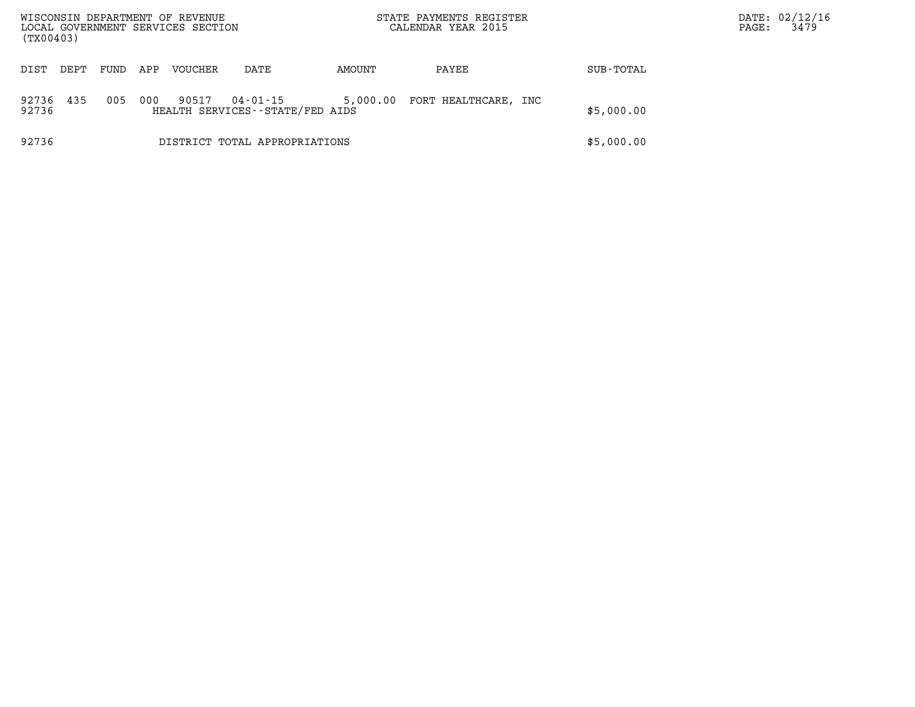| WISCONSIN DEPARTMENT OF REVENUE<br>LOCAL GOVERNMENT SERVICES SECTION<br>(TX00403) |      |      |     |                |                                             | STATE PAYMENTS REGISTER<br>CALENDAR YEAR 2015 |                      |            | PAGE: | DATE: 02/12/16<br>3479 |
|-----------------------------------------------------------------------------------|------|------|-----|----------------|---------------------------------------------|-----------------------------------------------|----------------------|------------|-------|------------------------|
| DIST                                                                              | DEPT | FUND | APP | <b>VOUCHER</b> | DATE                                        | AMOUNT                                        | PAYEE                | SUB-TOTAL  |       |                        |
| 92736<br>92736                                                                    | 435  | 005  | 000 | 90517          | 04-01-15<br>HEALTH SERVICES--STATE/FED AIDS | 5,000.00                                      | FORT HEALTHCARE, INC | \$5,000.00 |       |                        |
| 92736                                                                             |      |      |     |                | DISTRICT TOTAL APPROPRIATIONS               |                                               |                      | \$5,000.00 |       |                        |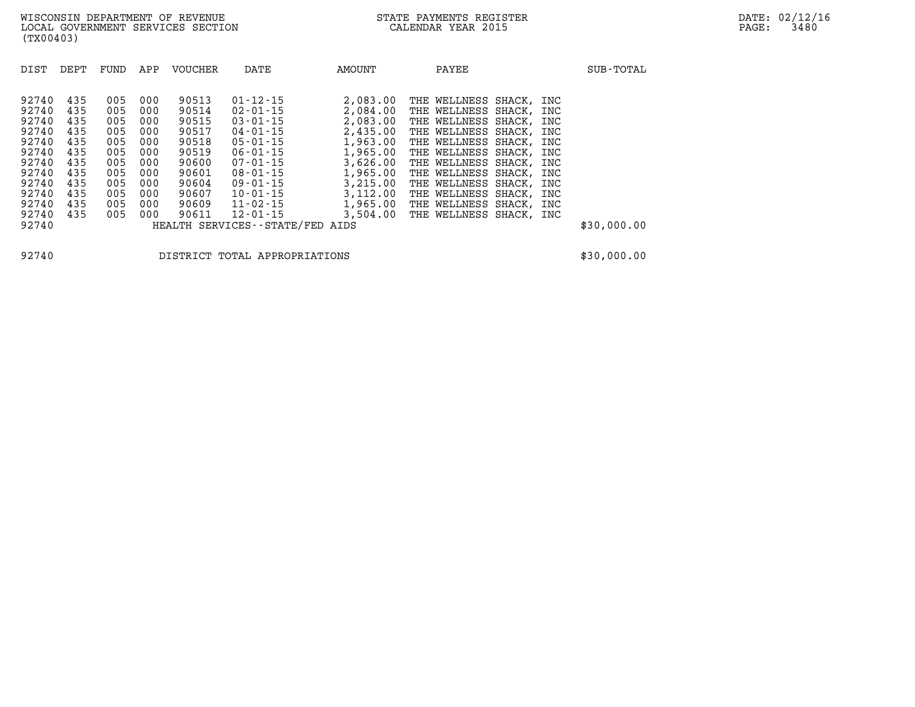| DIST  | DEPT | FUND | APP | <b>VOUCHER</b> | DATE                            | AMOUNT   | PAYEE                   |     | SUB-TOTAL   |
|-------|------|------|-----|----------------|---------------------------------|----------|-------------------------|-----|-------------|
| 92740 | 435  | 005  | 000 | 90513          | $01 - 12 - 15$                  | 2,083.00 | THE WELLNESS SHACK,     | INC |             |
| 92740 | 435  | 005  | 000 | 90514          | $02 - 01 - 15$                  | 2,084.00 | THE WELLNESS SHACK, INC |     |             |
| 92740 | 435  | 005  | 000 | 90515          | $03 - 01 - 15$                  | 2,083.00 | THE WELLNESS SHACK,     | INC |             |
| 92740 | 435  | 005  | 000 | 90517          | 04-01-15                        | 2,435.00 | THE WELLNESS SHACK,     | INC |             |
| 92740 | 435  | 005  | 000 | 90518          | $05 - 01 - 15$                  | 1,963.00 | THE WELLNESS SHACK, INC |     |             |
| 92740 | 435  | 005  | 000 | 90519          | $06 - 01 - 15$                  | 1,965.00 | THE WELLNESS SHACK, INC |     |             |
| 92740 | 435  | 005  | 000 | 90600          | $07 - 01 - 15$                  | 3,626.00 | THE WELLNESS SHACK, INC |     |             |
| 92740 | 435  | 005  | 000 | 90601          | $08 - 01 - 15$                  | 1,965.00 | THE WELLNESS SHACK,     | INC |             |
| 92740 | 435  | 005  | 000 | 90604          | $09 - 01 - 15$                  | 3,215.00 | THE WELLNESS SHACK, INC |     |             |
| 92740 | 435  | 005  | 000 | 90607          | $10 - 01 - 15$                  | 3,112.00 | THE WELLNESS SHACK,     | INC |             |
| 92740 | 435  | 005  | 000 | 90609          | $11 - 02 - 15$                  | 1,965.00 | THE WELLNESS SHACK,     | INC |             |
| 92740 | 435  | 005  | 000 | 90611          | $12 - 01 - 15$                  | 3,504.00 | THE WELLNESS SHACK, INC |     |             |
| 92740 |      |      |     |                | HEALTH SERVICES--STATE/FED AIDS |          |                         |     | \$30,000.00 |

**92740 DISTRICT TOTAL APPROPRIATIONS \$30,000.00**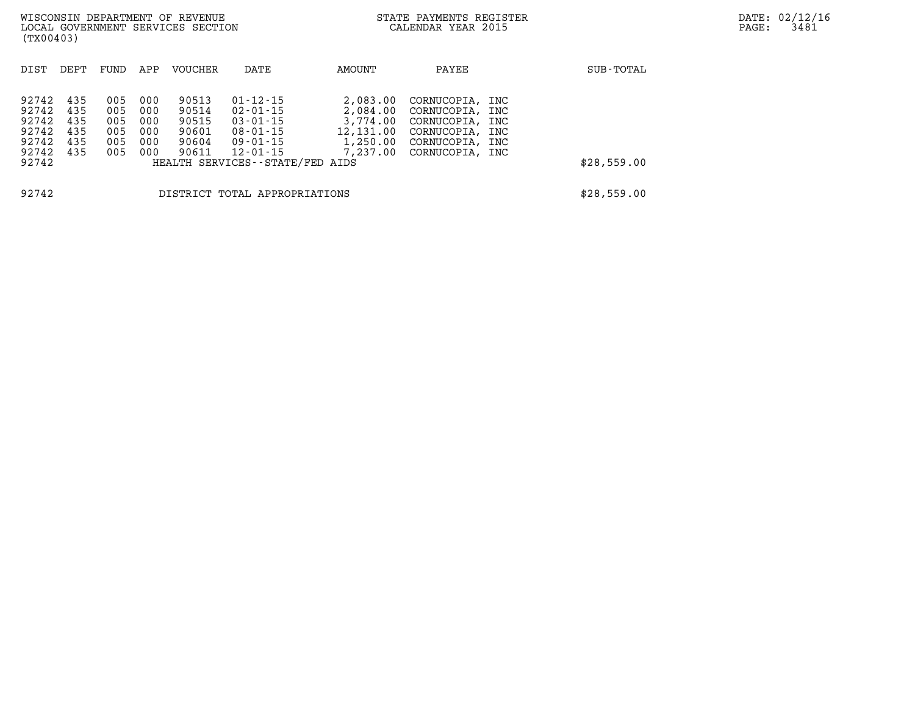| (TX00403)                                          |                                        |                                        |                                        | WISCONSIN DEPARTMENT OF REVENUE<br>LOCAL GOVERNMENT SERVICES SECTION |                                                                            |                                                                       | STATE PAYMENTS REGISTER<br>CALENDAR YEAR 2015                                                                  |             | DATE: 02/12/16<br>3481<br>PAGE: |
|----------------------------------------------------|----------------------------------------|----------------------------------------|----------------------------------------|----------------------------------------------------------------------|----------------------------------------------------------------------------|-----------------------------------------------------------------------|----------------------------------------------------------------------------------------------------------------|-------------|---------------------------------|
| DIST                                               | DEPT                                   | FUND                                   | APP                                    | VOUCHER                                                              | DATE                                                                       | AMOUNT                                                                | PAYEE                                                                                                          | SUB-TOTAL   |                                 |
| 92742<br>92742<br>92742<br>92742<br>92742<br>92742 | 435<br>435<br>435<br>435<br>435<br>435 | 005<br>005<br>005<br>005<br>005<br>005 | 000<br>000<br>000<br>000<br>000<br>000 | 90513<br>90514<br>90515<br>90601<br>90604<br>90611                   | $01 - 12 - 15$<br>02-01-15<br>03-01-15<br>08-01-15<br>09-01-15<br>12-01-15 | 2,083.00<br>2,084.00<br>3,774.00<br>12,131.00<br>1,250.00<br>7,237.00 | CORNUCOPIA, INC<br>CORNUCOPIA, INC<br>CORNUCOPIA, INC<br>CORNUCOPIA, INC<br>CORNUCOPIA, INC<br>CORNUCOPIA, INC |             |                                 |
| 92742                                              |                                        |                                        |                                        |                                                                      | HEALTH SERVICES--STATE/FED AIDS                                            |                                                                       |                                                                                                                | \$28,559.00 |                                 |
| 92742                                              |                                        |                                        |                                        |                                                                      | DISTRICT TOTAL APPROPRIATIONS                                              |                                                                       |                                                                                                                | \$28,559.00 |                                 |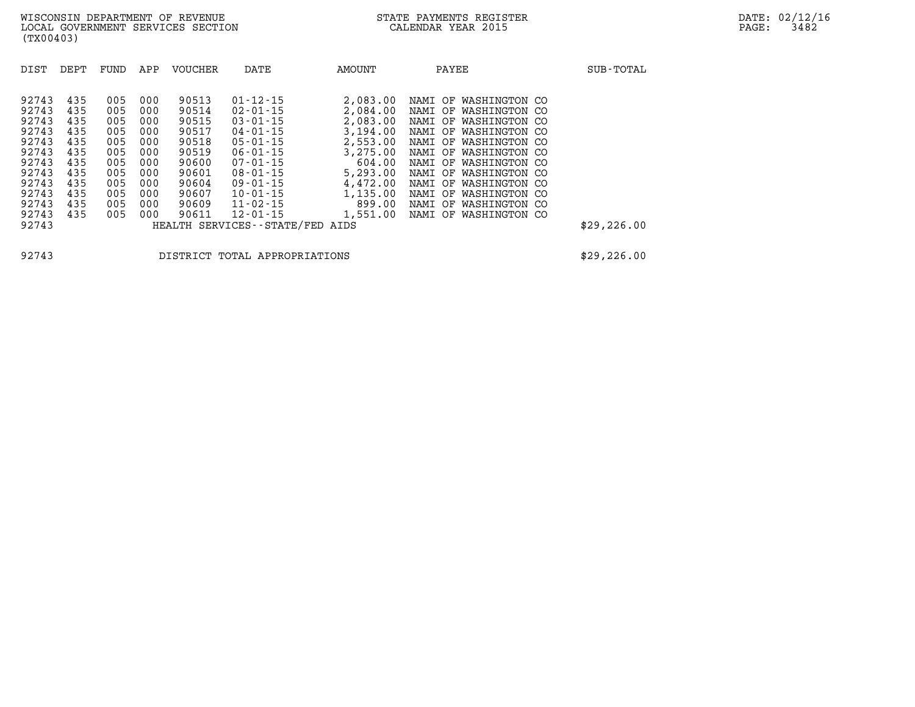| DIST                                                                                                              | DEPT                                                                             | FUND                                                                             | APP                                                                              | <b>VOUCHER</b>                                                                                           | DATE                                                                                                                                                                                                                                                    | AMOUNT                                                                                                                                   | PAYEE                                                                                                                                                                                                                                                                                                                                  | SUB-TOTAL                  |
|-------------------------------------------------------------------------------------------------------------------|----------------------------------------------------------------------------------|----------------------------------------------------------------------------------|----------------------------------------------------------------------------------|----------------------------------------------------------------------------------------------------------|---------------------------------------------------------------------------------------------------------------------------------------------------------------------------------------------------------------------------------------------------------|------------------------------------------------------------------------------------------------------------------------------------------|----------------------------------------------------------------------------------------------------------------------------------------------------------------------------------------------------------------------------------------------------------------------------------------------------------------------------------------|----------------------------|
| 92743<br>92743<br>92743<br>92743<br>92743<br>92743<br>92743<br>92743<br>92743<br>92743<br>92743<br>92743<br>92743 | 435<br>435<br>435<br>435<br>435<br>435<br>435<br>435<br>435<br>435<br>435<br>435 | 005<br>005<br>005<br>005<br>005<br>005<br>005<br>005<br>005<br>005<br>005<br>005 | 000<br>000<br>000<br>000<br>000<br>000<br>000<br>000<br>000<br>000<br>000<br>000 | 90513<br>90514<br>90515<br>90517<br>90518<br>90519<br>90600<br>90601<br>90604<br>90607<br>90609<br>90611 | $01 - 12 - 15$<br>$02 - 01 - 15$<br>$03 - 01 - 15$<br>$04 - 01 - 15$<br>$05 - 01 - 15$<br>$06 - 01 - 15$<br>$07 - 01 - 15$<br>$08 - 01 - 15$<br>$09 - 01 - 15$<br>$10 - 01 - 15$<br>$11 - 02 - 15$<br>$12 - 01 - 15$<br>HEALTH SERVICES--STATE/FED AIDS | 2,083.00<br>2,084.00<br>2,083.00<br>3,194.00<br>2,553.00<br>3,275.00<br>604.00<br>5,293.00<br>4,472.00<br>1,135.00<br>899.00<br>1,551.00 | NAMI OF<br>WASHINGTON CO<br>NAMI OF<br>WASHINGTON CO<br>NAMI OF<br>WASHINGTON CO<br>NAMI OF<br>WASHINGTON<br>WASHINGTON CO<br>NAMI OF<br>NAMI OF<br>WASHINGTON CO<br>NAMI OF<br>WASHINGTON<br>NAMI OF<br>WASHINGTON CO<br>NAMI OF<br>WASHINGTON CO<br>NAMI OF<br>WASHINGTON CO<br>NAMI OF<br>WASHINGTON CO<br>NAMI OF<br>WASHINGTON CO | CO.<br>-CO<br>\$29, 226.00 |
|                                                                                                                   |                                                                                  |                                                                                  |                                                                                  |                                                                                                          |                                                                                                                                                                                                                                                         |                                                                                                                                          |                                                                                                                                                                                                                                                                                                                                        |                            |

**92743 DISTRICT TOTAL APPROPRIATIONS \$29,226.00**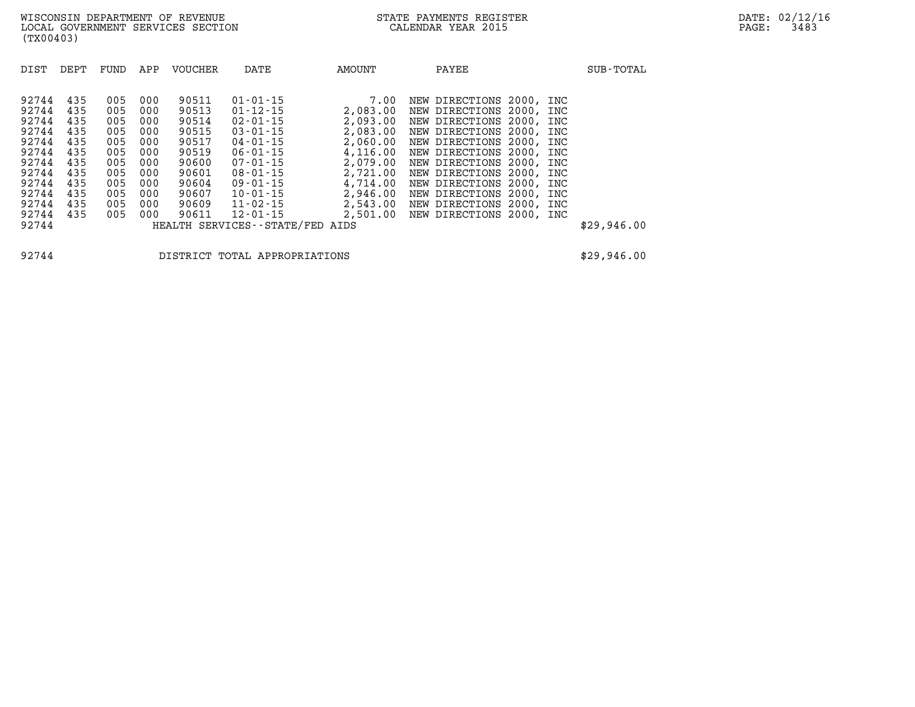| DIST  | DEPT | FUND | APP | <b>VOUCHER</b> | DATE                            | AMOUNT   | PAYEE                    |  | SUB-TOTAL   |
|-------|------|------|-----|----------------|---------------------------------|----------|--------------------------|--|-------------|
| 92744 | 435  | 005  | 000 | 90511          | $01 - 01 - 15$                  | 7.00     | NEW DIRECTIONS 2000, INC |  |             |
| 92744 | 435  | 005  | 000 | 90513          | $01 - 12 - 15$                  | 2,083.00 | NEW DIRECTIONS 2000, INC |  |             |
| 92744 | 435  | 005  | 000 | 90514          | $02 - 01 - 15$                  | 2,093.00 | NEW DIRECTIONS 2000, INC |  |             |
| 92744 | 435  | 005  | 000 | 90515          | $03 - 01 - 15$                  | 2,083.00 | NEW DIRECTIONS 2000, INC |  |             |
| 92744 | 435  | 005  | 000 | 90517          | 04-01-15                        | 2,060.00 | NEW DIRECTIONS 2000, INC |  |             |
| 92744 | 435  | 005  | 000 | 90519          | $06 - 01 - 15$                  | 4,116.00 | NEW DIRECTIONS 2000, INC |  |             |
| 92744 | 435  | 005  | 000 | 90600          | $07 - 01 - 15$                  | 2,079.00 | NEW DIRECTIONS 2000, INC |  |             |
| 92744 | 435  | 005  | 000 | 90601          | $08 - 01 - 15$                  | 2,721.00 | NEW DIRECTIONS 2000, INC |  |             |
| 92744 | 435  | 005  | 000 | 90604          | $09 - 01 - 15$                  | 4,714.00 | NEW DIRECTIONS 2000, INC |  |             |
| 92744 | 435  | 005  | 000 | 90607          | $10 - 01 - 15$                  | 2,946.00 | NEW DIRECTIONS 2000, INC |  |             |
| 92744 | 435  | 005  | 000 | 90609          | 11-02-15                        | 2,543.00 | NEW DIRECTIONS 2000, INC |  |             |
| 92744 | 435  | 005  | 000 | 90611          | $12 - 01 - 15$                  | 2,501.00 | NEW DIRECTIONS 2000, INC |  |             |
| 92744 |      |      |     |                | HEALTH SERVICES--STATE/FED AIDS |          |                          |  | \$29,946.00 |

**92744 DISTRICT TOTAL APPROPRIATIONS \$29,946.00**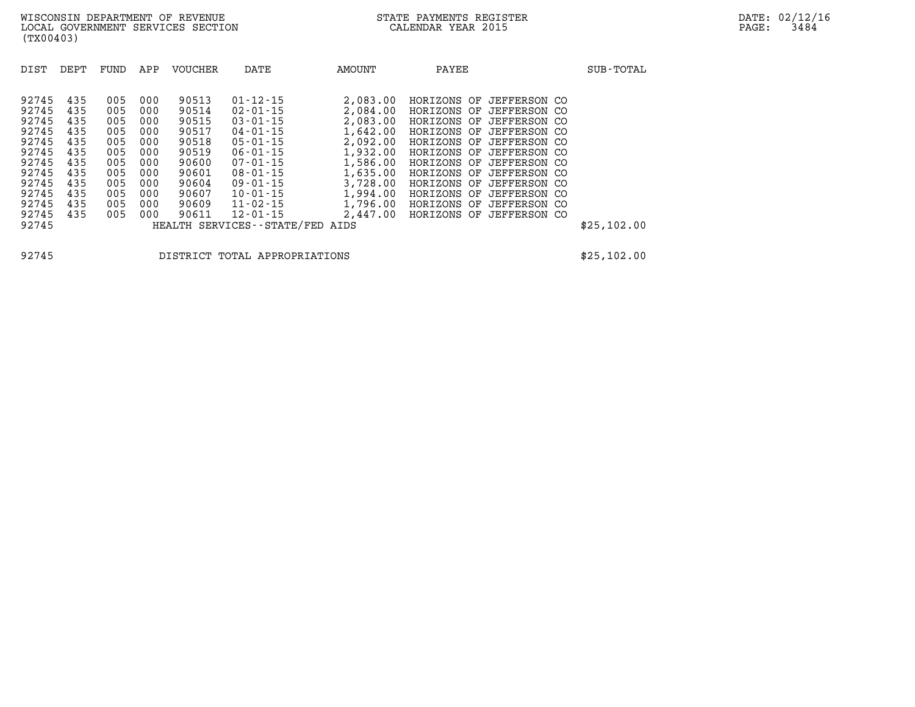| 90513<br>$01 - 12 - 15$<br>92745<br>435<br>005<br>2,083.00<br>000<br>HORIZONS<br>OF<br>JEFFERSON CO<br>92745<br>435<br>005<br>000<br>90514<br>$02 - 01 - 15$<br>2,084.00<br>HORIZONS<br>OF<br>JEFFERSON CO<br>92745<br>435<br>005<br>90515<br>$03 - 01 - 15$<br>2,083.00<br>000<br>HORIZONS<br>OF<br>JEFFERSON CO<br>1,642.00<br>92745<br>435<br>90517<br>005<br>000<br>$04 - 01 - 15$<br>JEFFERSON CO<br>HORIZONS<br>OF<br>2,092.00<br>92745<br>435<br>90518<br>$05 - 01 - 15$<br>005<br>000<br>HORIZONS<br>OF JEFFERSON CO                                                                                                                                                                                                                                                           | SUB-TOTAL   |
|----------------------------------------------------------------------------------------------------------------------------------------------------------------------------------------------------------------------------------------------------------------------------------------------------------------------------------------------------------------------------------------------------------------------------------------------------------------------------------------------------------------------------------------------------------------------------------------------------------------------------------------------------------------------------------------------------------------------------------------------------------------------------------------|-------------|
| 92745<br>435<br>90519<br>1,932.00<br>005<br>$06 - 01 - 15$<br>000<br>JEFFERSON CO<br>HORIZONS<br>OF<br>92745<br>435<br>90600<br>1,586.00<br>005<br>000<br>$07 - 01 - 15$<br>HORIZONS<br>JEFFERSON CO<br>OF<br>1,635.00<br>92745<br>435<br>90601<br>005<br>000<br>$08 - 01 - 15$<br>HORIZONS OF<br>JEFFERSON CO<br>90604<br>3,728.00<br>92745<br>435<br>005<br>000<br>$09 - 01 - 15$<br>JEFFERSON CO<br>HORIZONS<br>OF<br>1,994.00<br>92745<br>435<br>90607<br>005<br>000<br>$10 - 01 - 15$<br>HORIZONS<br>OF JEFFERSON CO<br>1,796.00<br>92745<br>435<br>90609<br>$11 - 02 - 15$<br>005<br>000<br>HORIZONS<br>OF<br>JEFFERSON CO<br>92745<br>435<br>90611<br>$12 - 01 - 15$<br>2,447.00<br>005<br>000<br>HORIZONS<br>JEFFERSON CO<br>OF<br>92745<br>HEALTH SERVICES--STATE/FED<br>AIDS | \$25,102.00 |

**(TX00403)** 

**92745 DISTRICT TOTAL APPROPRIATIONS \$25,102.00**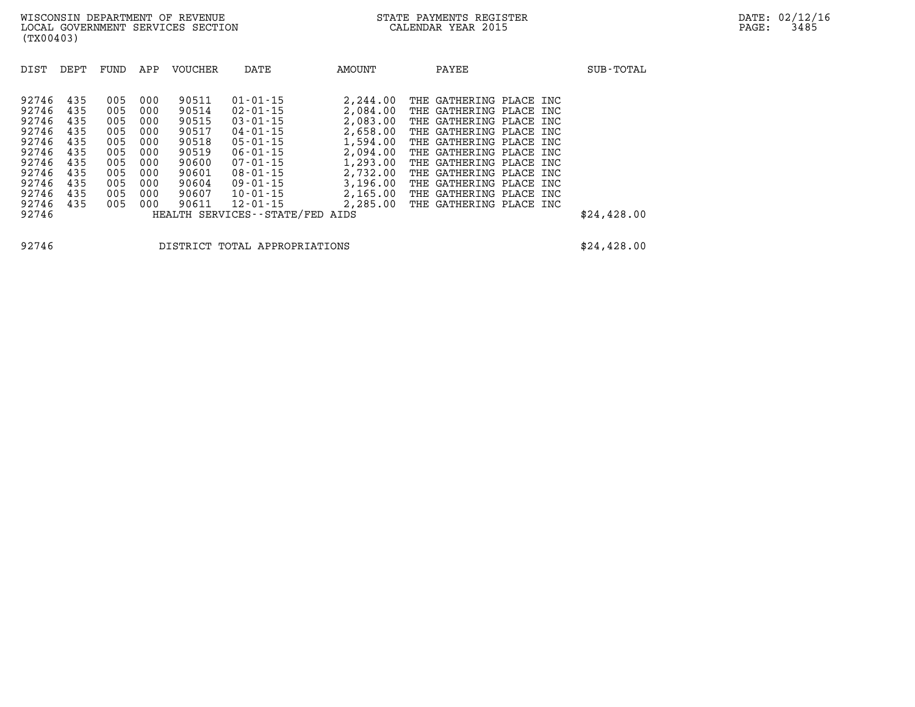| DIST  | DEPT | FUND | APP | <b>VOUCHER</b> | DATE                            | AMOUNT   | PAYEE                   | SUB-TOTAL   |
|-------|------|------|-----|----------------|---------------------------------|----------|-------------------------|-------------|
| 92746 | 435  | 005  | 000 | 90511          | $01 - 01 - 15$                  | 2,244.00 | THE GATHERING PLACE INC |             |
| 92746 | 435  | 005  | 000 | 90514          | $02 - 01 - 15$                  | 2,084.00 | THE GATHERING PLACE INC |             |
| 92746 | 435  | 005  | 000 | 90515          | $03 - 01 - 15$                  | 2,083.00 | THE GATHERING PLACE INC |             |
| 92746 | 435  | 005  | 000 | 90517          | $04 - 01 - 15$                  | 2,658.00 | THE GATHERING PLACE INC |             |
| 92746 | 435  | 005  | 000 | 90518          | $05 - 01 - 15$                  | 1,594.00 | THE GATHERING PLACE INC |             |
| 92746 | 435  | 005  | 000 | 90519          | $06 - 01 - 15$                  | 2,094.00 | THE GATHERING PLACE INC |             |
| 92746 | 435  | 005  | 000 | 90600          | $07 - 01 - 15$                  | 1,293.00 | THE GATHERING PLACE INC |             |
| 92746 | 435  | 005  | 000 | 90601          | $08 - 01 - 15$                  | 2,732.00 | THE GATHERING PLACE INC |             |
| 92746 | 435  | 005  | 000 | 90604          | $09 - 01 - 15$                  | 3,196.00 | THE GATHERING PLACE INC |             |
| 92746 | 435  | 005  | 000 | 90607          | $10 - 01 - 15$                  | 2,165.00 | THE GATHERING PLACE INC |             |
| 92746 | 435  | 005  | 000 | 90611          | $12 - 01 - 15$                  | 2,285.00 | THE GATHERING PLACE INC |             |
| 92746 |      |      |     |                | HEALTH SERVICES--STATE/FED AIDS |          |                         | \$24,428.00 |

**92746 DISTRICT TOTAL APPROPRIATIONS \$24,428.00**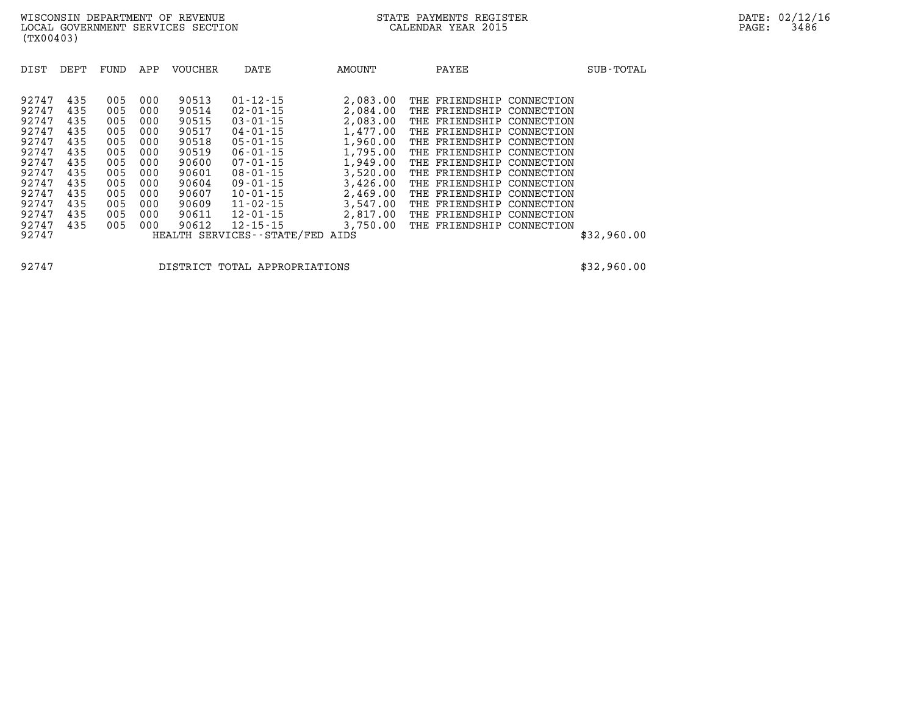| DIST                                                                                                                       | DEPT                                                                                    | FUND                                                                                    | APP                                                                                     | <b>VOUCHER</b>                                                                                                    | DATE                                                                                                                                                                                                                                                                    | AMOUNT                                                                                                                                                           | PAYEE                                                                                                                                                                                                                                                                                                                                                                                                                                       | SUB-TOTAL   |
|----------------------------------------------------------------------------------------------------------------------------|-----------------------------------------------------------------------------------------|-----------------------------------------------------------------------------------------|-----------------------------------------------------------------------------------------|-------------------------------------------------------------------------------------------------------------------|-------------------------------------------------------------------------------------------------------------------------------------------------------------------------------------------------------------------------------------------------------------------------|------------------------------------------------------------------------------------------------------------------------------------------------------------------|---------------------------------------------------------------------------------------------------------------------------------------------------------------------------------------------------------------------------------------------------------------------------------------------------------------------------------------------------------------------------------------------------------------------------------------------|-------------|
| 92747<br>92747<br>92747<br>92747<br>92747<br>92747<br>92747<br>92747<br>92747<br>92747<br>92747<br>92747<br>92747<br>92747 | 435<br>435<br>435<br>435<br>435<br>435<br>435<br>435<br>435<br>435<br>435<br>435<br>435 | 005<br>005<br>005<br>005<br>005<br>005<br>005<br>005<br>005<br>005<br>005<br>005<br>005 | 000<br>000<br>000<br>000<br>000<br>000<br>000<br>000<br>000<br>000<br>000<br>000<br>000 | 90513<br>90514<br>90515<br>90517<br>90518<br>90519<br>90600<br>90601<br>90604<br>90607<br>90609<br>90611<br>90612 | $01 - 12 - 15$<br>$02 - 01 - 15$<br>$03 - 01 - 15$<br>$04 - 01 - 15$<br>$05 - 01 - 15$<br>$06 - 01 - 15$<br>$07 - 01 - 15$<br>$08 - 01 - 15$<br>$09 - 01 - 15$<br>$10 - 01 - 15$<br>$11 - 02 - 15$<br>$12 - 01 - 15$<br>$12 - 15 - 15$<br>HEALTH SERVICES - - STATE/FED | 2,083.00<br>2,084.00<br>2,083.00<br>1,477.00<br>1,960.00<br>1,795.00<br>1,949.00<br>3,520.00<br>3,426.00<br>2,469.00<br>3,547.00<br>2,817.00<br>3,750.00<br>AIDS | FRIENDSHIP<br>THE<br>CONNECTION<br>FRIENDSHIP<br>THE<br>CONNECTION<br>THE FRIENDSHIP<br>CONNECTION<br>THE FRIENDSHIP<br>CONNECTION<br>THE FRIENDSHIP<br>CONNECTION<br>THE FRIENDSHIP<br>CONNECTION<br>THE<br>FRIENDSHIP<br>CONNECTION<br>THE<br>FRIENDSHIP<br>CONNECTION<br>THE FRIENDSHIP<br>CONNECTION<br>THE FRIENDSHIP<br>CONNECTION<br>THE FRIENDSHIP<br>CONNECTION<br>THE FRIENDSHIP<br>CONNECTION<br>THE<br>FRIENDSHIP<br>CONNECTION | \$32,960.00 |

**92747 DISTRICT TOTAL APPROPRIATIONS \$32,960.00**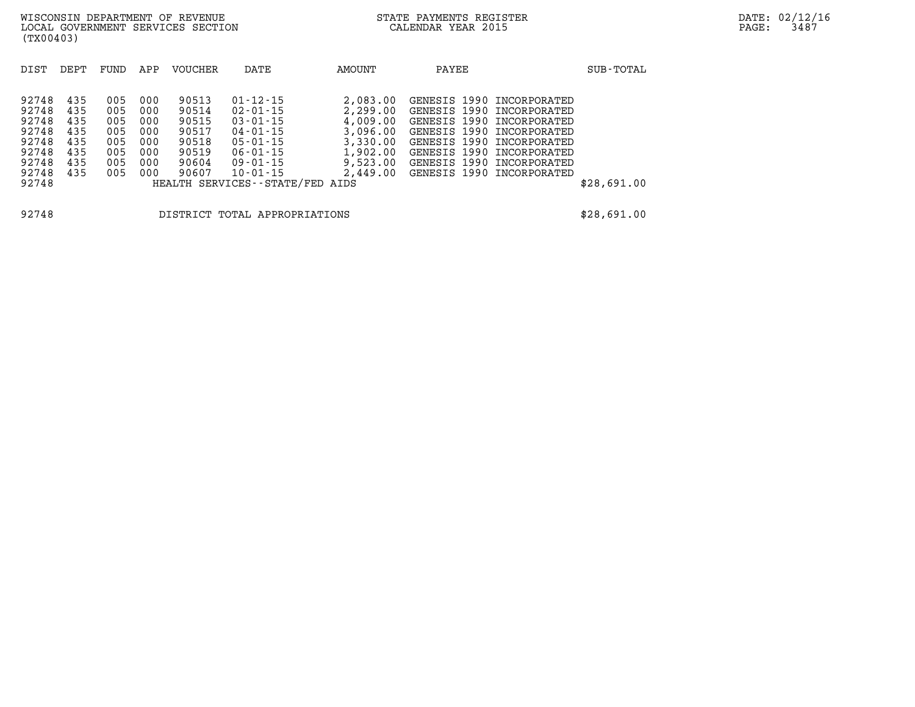| DIST  | DEPT | FUND | APP | <b>VOUCHER</b> | DATE                            | AMOUNT   | PAYEE                     | SUB-TOTAL   |
|-------|------|------|-----|----------------|---------------------------------|----------|---------------------------|-------------|
|       |      |      |     |                |                                 |          |                           |             |
|       |      |      |     |                |                                 |          |                           |             |
| 92748 | 435  | 005  | 000 | 90513          | $01 - 12 - 15$                  | 2,083.00 | GENESIS 1990 INCORPORATED |             |
| 92748 | 435  | 005  | 000 | 90514          | $02 - 01 - 15$                  | 2,299.00 | GENESIS 1990 INCORPORATED |             |
| 92748 | 435  | 005  | 000 | 90515          | $03 - 01 - 15$                  | 4,009.00 | GENESIS 1990 INCORPORATED |             |
| 92748 | 435  | 005  | 000 | 90517          | $04 - 01 - 15$                  | 3,096.00 | GENESIS 1990 INCORPORATED |             |
| 92748 | 435  | 005  | 000 | 90518          | $05 - 01 - 15$                  | 3,330.00 | GENESIS 1990 INCORPORATED |             |
| 92748 | 435  | 005  | 000 | 90519          | $06 - 01 - 15$                  | 1,902.00 | GENESIS 1990 INCORPORATED |             |
| 92748 | 435  | 005  | 000 | 90604          | $09 - 01 - 15$                  | 9,523.00 | GENESIS 1990 INCORPORATED |             |
| 92748 | 435  | 005  | 000 | 90607          | $10 - 01 - 15$                  | 2,449.00 | GENESIS 1990 INCORPORATED |             |
| 92748 |      |      |     |                | HEALTH SERVICES--STATE/FED AIDS |          |                           | \$28,691.00 |
|       |      |      |     |                |                                 |          |                           |             |
|       |      |      |     |                |                                 |          |                           |             |

**92748 DISTRICT TOTAL APPROPRIATIONS \$28,691.00**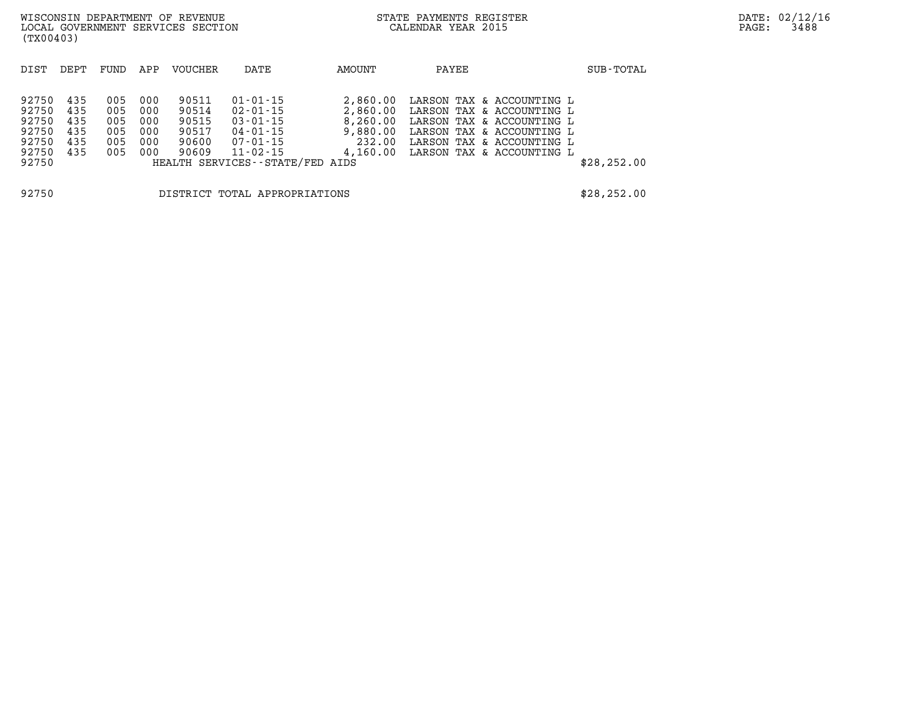| (TX00403)                                                   |                                        |                                        |                                        | WISCONSIN DEPARTMENT OF REVENUE<br>LOCAL GOVERNMENT SERVICES SECTION |                                                                                                               |                                                        | STATE PAYMENTS REGISTER<br>CALENDAR YEAR 2015 |                                                                                                                                                                                     | PAGE:        | DATE: 02/12/16<br>3488 |  |
|-------------------------------------------------------------|----------------------------------------|----------------------------------------|----------------------------------------|----------------------------------------------------------------------|---------------------------------------------------------------------------------------------------------------|--------------------------------------------------------|-----------------------------------------------|-------------------------------------------------------------------------------------------------------------------------------------------------------------------------------------|--------------|------------------------|--|
| DIST                                                        | DEPT                                   | FUND                                   | APP                                    | VOUCHER                                                              | DATE                                                                                                          | AMOUNT                                                 | PAYEE                                         |                                                                                                                                                                                     | SUB-TOTAL    |                        |  |
| 92750<br>92750<br>92750<br>92750<br>92750<br>92750<br>92750 | 435<br>435<br>435<br>435<br>435<br>435 | 005<br>005<br>005<br>005<br>005<br>005 | 000<br>000<br>000<br>000<br>000<br>000 | 90511<br>90514<br>90515<br>90517<br>90600<br>90609                   | $01 - 01 - 15$<br>02-01-15<br>03-01-15<br>04-01-15<br>07-01-15<br>11-02-15<br>HEALTH SERVICES--STATE/FED AIDS | 2,860.00<br>2,860.00<br>8,260.00<br>9,880.00<br>232.00 |                                               | LARSON TAX & ACCOUNTING L<br>LARSON TAX & ACCOUNTING L<br>LARSON TAX & ACCOUNTING L<br>LARSON TAX & ACCOUNTING L<br>LARSON TAX & ACCOUNTING L<br>4,160.00 LARSON TAX & ACCOUNTING L | \$28, 252.00 |                        |  |
| 92750                                                       |                                        |                                        |                                        |                                                                      | DISTRICT TOTAL APPROPRIATIONS                                                                                 |                                                        |                                               |                                                                                                                                                                                     | \$28, 252.00 |                        |  |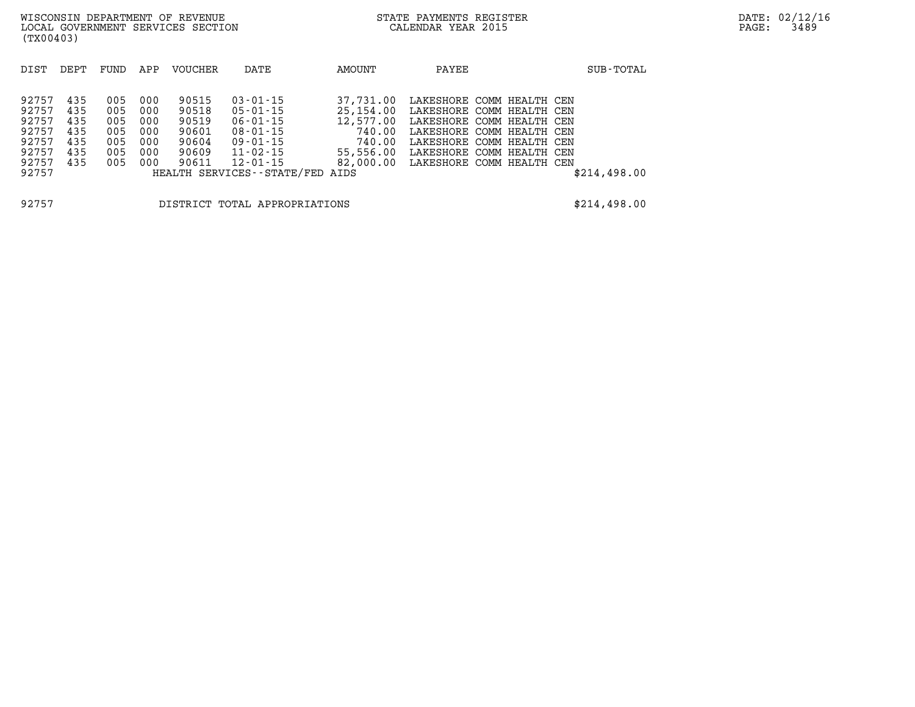| DIST                                                                 | DEPT                                          | FUND                                          | APP                                           | VOUCHER                                                     | DATE                                                                                                                                                  | AMOUNT                                                                                    | PAYEE                                                                                                                                                                                   |                 | SUB-TOTAL    |
|----------------------------------------------------------------------|-----------------------------------------------|-----------------------------------------------|-----------------------------------------------|-------------------------------------------------------------|-------------------------------------------------------------------------------------------------------------------------------------------------------|-------------------------------------------------------------------------------------------|-----------------------------------------------------------------------------------------------------------------------------------------------------------------------------------------|-----------------|--------------|
| 92757<br>92757<br>92757<br>92757<br>92757<br>92757<br>92757<br>92757 | 435<br>435<br>435<br>435<br>435<br>435<br>435 | 005<br>005<br>005<br>005<br>005<br>005<br>005 | 000<br>000<br>000<br>000<br>000<br>000<br>000 | 90515<br>90518<br>90519<br>90601<br>90604<br>90609<br>90611 | $03 - 01 - 15$<br>05-01-15<br>$06 - 01 - 15$<br>$08 - 01 - 15$<br>$09 - 01 - 15$<br>$11 - 02 - 15$<br>$12 - 01 - 15$<br>HEALTH SERVICES - - STATE/FED | 37,731,00<br>25,154.00<br>12,577.00<br>740.00<br>740.00<br>55,556.00<br>82,000.00<br>AIDS | LAKESHORE COMM HEALTH CEN<br>LAKESHORE COMM HEALTH CEN<br>LAKESHORE COMM HEALTH CEN<br>LAKESHORE COMM HEALTH CEN<br>LAKESHORE COMM HEALTH CEN<br>LAKESHORE<br>LAKESHORE COMM HEALTH CEN | COMM HEALTH CEN | \$214,498.00 |

**92757 DISTRICT TOTAL APPROPRIATIONS \$214,498.00**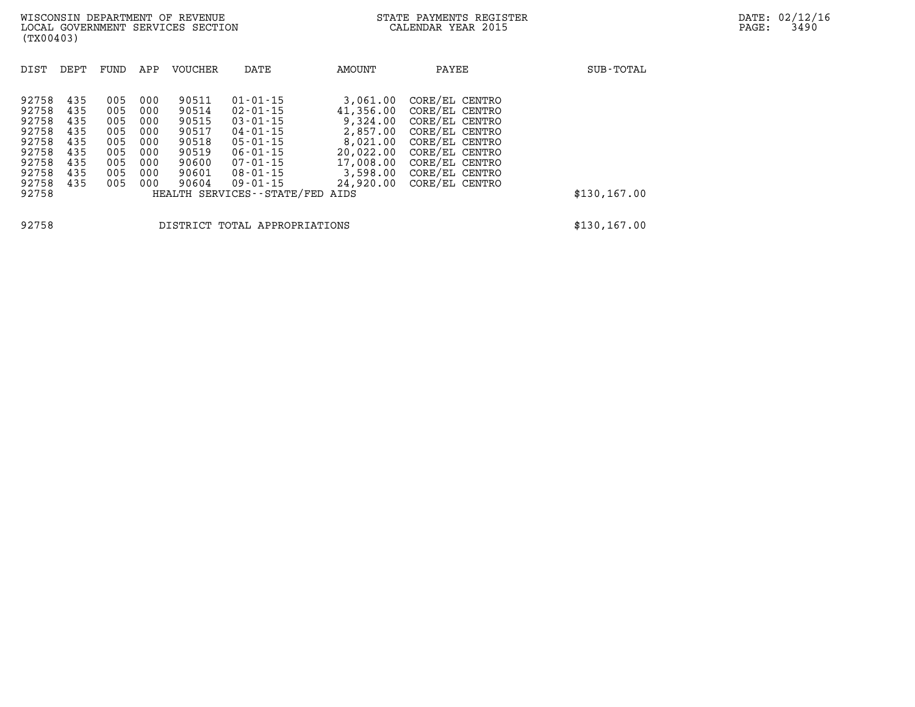| DIST                                                                          | DEPT                                                        | FUND                                                        | APP                                                         | <b>VOUCHER</b>                                                                | DATE                                                                                                                                                           | <b>AMOUNT</b>                                                                                                | PAYEE                                                                                                                                                          | SUB-TOTAL    |
|-------------------------------------------------------------------------------|-------------------------------------------------------------|-------------------------------------------------------------|-------------------------------------------------------------|-------------------------------------------------------------------------------|----------------------------------------------------------------------------------------------------------------------------------------------------------------|--------------------------------------------------------------------------------------------------------------|----------------------------------------------------------------------------------------------------------------------------------------------------------------|--------------|
| 92758<br>92758<br>92758<br>92758<br>92758<br>92758<br>92758<br>92758<br>92758 | 435<br>435<br>435<br>435<br>435<br>435<br>435<br>435<br>435 | 005<br>005<br>005<br>005<br>005<br>005<br>005<br>005<br>005 | 000<br>000<br>000<br>000<br>000<br>000<br>000<br>000<br>000 | 90511<br>90514<br>90515<br>90517<br>90518<br>90519<br>90600<br>90601<br>90604 | $01 - 01 - 15$<br>$02 - 01 - 15$<br>$03 - 01 - 15$<br>$04 - 01 - 15$<br>$05 - 01 - 15$<br>$06 - 01 - 15$<br>$07 - 01 - 15$<br>$08 - 01 - 15$<br>$09 - 01 - 15$ | 3,061.00<br>41,356.00<br>9,324.00<br>2,857.00<br>8,021.00<br>20,022.00<br>17,008.00<br>3,598.00<br>24,920,00 | CORE/EL CENTRO<br>CORE/EL CENTRO<br>CORE/EL CENTRO<br>CORE/EL CENTRO<br>CORE/EL CENTRO<br>CORE/EL CENTRO<br>CORE/EL CENTRO<br>CORE/EL CENTRO<br>CORE/EL CENTRO |              |
| 92758                                                                         |                                                             |                                                             |                                                             |                                                                               | HEALTH SERVICES--STATE/FED AIDS                                                                                                                                |                                                                                                              |                                                                                                                                                                | \$130,167.00 |
| 92758                                                                         |                                                             |                                                             |                                                             |                                                                               | DISTRICT TOTAL APPROPRIATIONS                                                                                                                                  |                                                                                                              |                                                                                                                                                                | \$130,167.00 |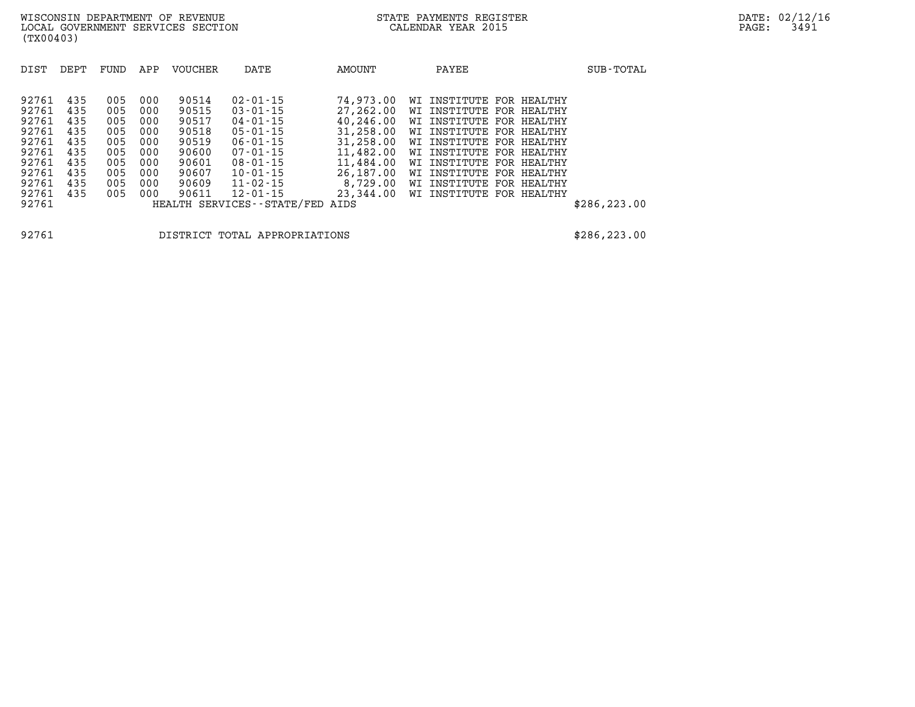| DIST  | DEPT | FUND | APP | VOUCHER | DATE                          | AMOUNT    | PAYEE                          | SUB-TOTAL     |
|-------|------|------|-----|---------|-------------------------------|-----------|--------------------------------|---------------|
|       |      |      |     |         |                               |           |                                |               |
| 92761 | 435  | 005  | 000 | 90514   | $02 - 01 - 15$                | 74,973.00 | INSTITUTE<br>FOR HEALTHY<br>WΙ |               |
| 92761 | 435  | 005  | 000 | 90515   | $03 - 01 - 15$                | 27,262.00 | WI INSTITUTE<br>FOR HEALTHY    |               |
| 92761 | 435  | 005  | 000 | 90517   | $04 - 01 - 15$                | 40,246.00 | WI INSTITUTE<br>FOR HEALTHY    |               |
| 92761 | 435  | 005  | 000 | 90518   | $05 - 01 - 15$                | 31,258.00 | FOR HEALTHY<br>WI INSTITUTE    |               |
| 92761 | 435  | 005  | 000 | 90519   | $06 - 01 - 15$                | 31,258.00 | WI INSTITUTE<br>FOR HEALTHY    |               |
| 92761 | 435  | 005  | 000 | 90600   | $07 - 01 - 15$                | 11,482.00 | FOR HEALTHY<br>WI INSTITUTE    |               |
| 92761 | 435  | 005  | 000 | 90601   | $08 - 01 - 15$                | 11,484.00 | WI INSTITUTE<br>FOR HEALTHY    |               |
| 92761 | 435  | 005  | 000 | 90607   | $10 - 01 - 15$                | 26,187.00 | INSTITUTE<br>FOR HEALTHY<br>WΙ |               |
| 92761 | 435  | 005  | 000 | 90609   | $11 - 02 - 15$                | 8,729.00  | WI INSTITUTE<br>FOR HEALTHY    |               |
| 92761 | 435  | 005  | 000 | 90611   | $12 - 01 - 15$                | 23,344.00 | WI INSTITUTE<br>FOR HEALTHY    |               |
| 92761 |      |      |     |         | HEALTH SERVICES - - STATE/FED | AIDS      |                                | \$286, 223.00 |
|       |      |      |     |         |                               |           |                                |               |

**92761 DISTRICT TOTAL APPROPRIATIONS \$286,223.00**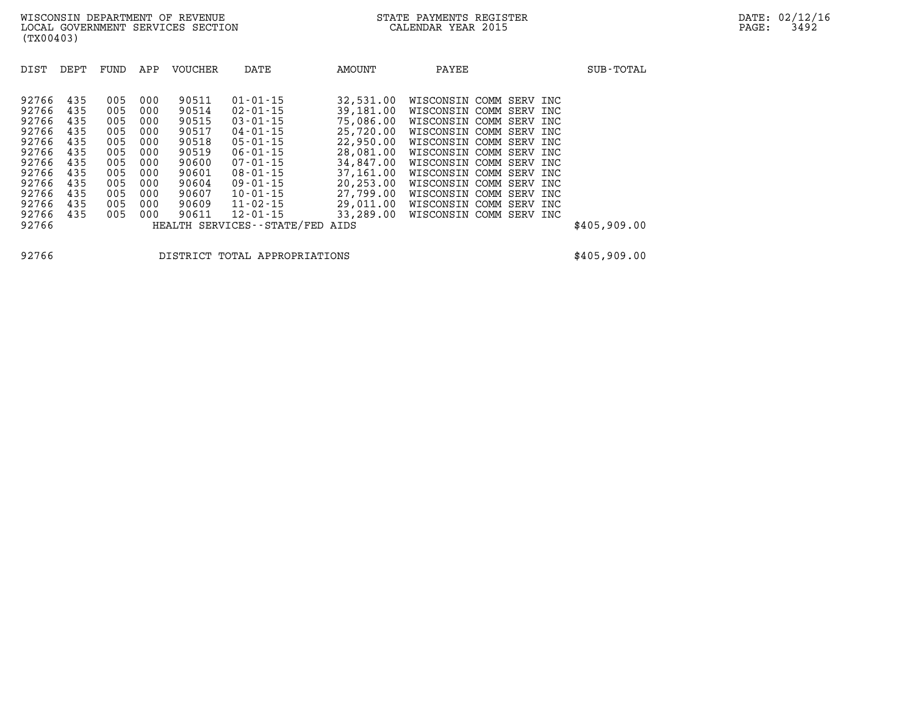| DIST<br>DEPT                                                                                                                                                                                          | FUND                                                                             | APP                                                                              | <b>VOUCHER</b>                                                                                           | DATE                                                                                                                                                                                                                                                  | <b>AMOUNT</b>                                                                                                                                                    | PAYEE                                                                                                                                                                                                                                                                                                                                                                                                                         | SUB-TOTAL    |
|-------------------------------------------------------------------------------------------------------------------------------------------------------------------------------------------------------|----------------------------------------------------------------------------------|----------------------------------------------------------------------------------|----------------------------------------------------------------------------------------------------------|-------------------------------------------------------------------------------------------------------------------------------------------------------------------------------------------------------------------------------------------------------|------------------------------------------------------------------------------------------------------------------------------------------------------------------|-------------------------------------------------------------------------------------------------------------------------------------------------------------------------------------------------------------------------------------------------------------------------------------------------------------------------------------------------------------------------------------------------------------------------------|--------------|
| 92766<br>435<br>92766<br>435<br>92766<br>435<br>92766<br>435<br>435<br>92766<br>92766<br>435<br>92766<br>435<br>92766<br>435<br>92766<br>435<br>92766<br>435<br>92766<br>435<br>435<br>92766<br>92766 | 005<br>005<br>005<br>005<br>005<br>005<br>005<br>005<br>005<br>005<br>005<br>005 | 000<br>000<br>000<br>000<br>000<br>000<br>000<br>000<br>000<br>000<br>000<br>000 | 90511<br>90514<br>90515<br>90517<br>90518<br>90519<br>90600<br>90601<br>90604<br>90607<br>90609<br>90611 | $01 - 01 - 15$<br>$02 - 01 - 15$<br>$03 - 01 - 15$<br>$04 - 01 - 15$<br>$05 - 01 - 15$<br>$06 - 01 - 15$<br>$07 - 01 - 15$<br>$08 - 01 - 15$<br>$09 - 01 - 15$<br>$10 - 01 - 15$<br>$11 - 02 - 15$<br>$12 - 01 - 15$<br>HEALTH SERVICES - - STATE/FED | 32,531.00<br>39,181.00<br>75,086.00<br>25,720.00<br>22,950,00<br>28,081.00<br>34,847,00<br>37,161.00<br>20,253.00<br>27,799.00<br>29,011,00<br>33,289.00<br>AIDS | WISCONSIN<br>COMM<br>SERV<br>INC<br>WISCONSIN<br>COMM<br>SERV<br>INC<br>WISCONSIN<br>COMM<br>SERV<br>INC<br>COMM<br>WISCONSIN<br>SERV<br>INC<br>COMM<br>WISCONSIN<br>SERV<br>INC<br>WISCONSIN COMM<br>SERV<br>INC<br>COMM<br>WISCONSIN<br>SERV<br>INC<br>WISCONSIN<br>COMM<br>SERV<br>INC<br>COMM<br>WISCONSIN<br>SERV INC<br>WISCONSIN<br>COMM<br>SERV<br>INC<br>WISCONSIN<br>COMM<br>SERV<br>INC<br>WISCONSIN COMM SERV INC | \$405,909.00 |

**92766 DISTRICT TOTAL APPROPRIATIONS \$405,909.00**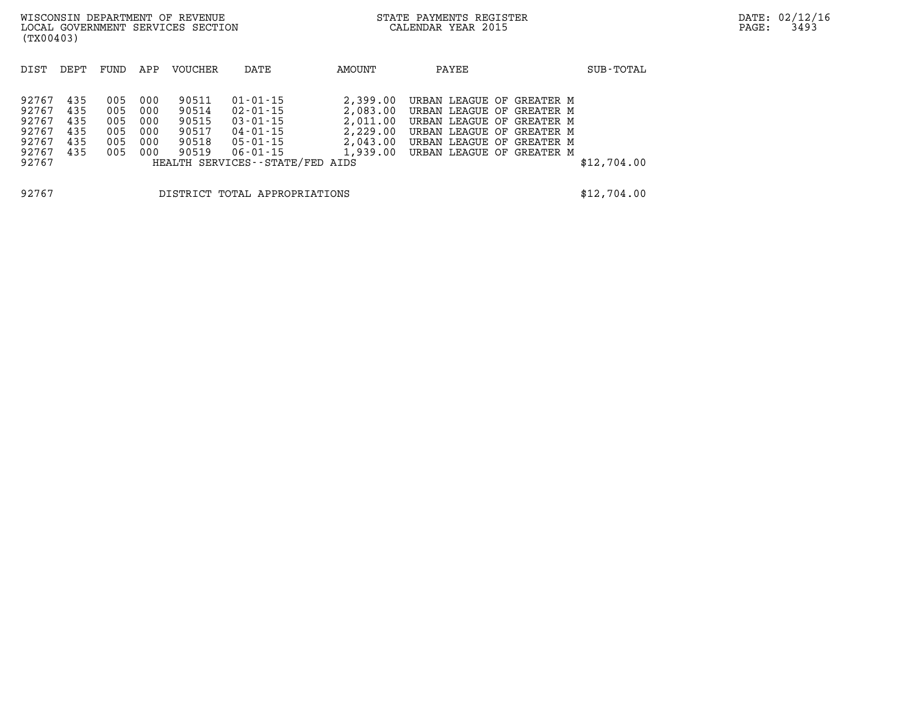| WISCONSIN DEPARTMENT OF REVENUE<br>LOCAL GOVERNMENT SERVICES SECTION<br>(TX00403) |                                        |                                        |                                        |                                                    |                                                                                                               |                                              | STATE PAYMENTS REGISTER<br>CALENDAR YEAR 2015                                                                                                                                                | DATE: 02/12/16<br>3493<br>PAGE: |  |
|-----------------------------------------------------------------------------------|----------------------------------------|----------------------------------------|----------------------------------------|----------------------------------------------------|---------------------------------------------------------------------------------------------------------------|----------------------------------------------|----------------------------------------------------------------------------------------------------------------------------------------------------------------------------------------------|---------------------------------|--|
| DIST                                                                              | DEPT                                   | FUND                                   | APP                                    | <b>VOUCHER</b>                                     | DATE                                                                                                          | AMOUNT                                       | PAYEE                                                                                                                                                                                        | SUB-TOTAL                       |  |
| 92767<br>92767<br>92767<br>92767<br>92767<br>92767<br>92767                       | 435<br>435<br>435<br>435<br>435<br>435 | 005<br>005<br>005<br>005<br>005<br>005 | 000<br>000<br>000<br>000<br>000<br>000 | 90511<br>90514<br>90515<br>90517<br>90518<br>90519 | 01-01-15<br>02-01-15<br>$03 - 01 - 15$<br>04-01-15<br>05-01-15<br>06-01-15<br>HEALTH SERVICES--STATE/FED AIDS | 2,399.00<br>2,083.00<br>2,011.00<br>2,229.00 | URBAN LEAGUE OF GREATER M<br>URBAN LEAGUE OF GREATER M<br>URBAN LEAGUE OF GREATER M<br>URBAN LEAGUE OF GREATER M<br>2,043.00 URBAN LEAGUE OF GREATER M<br>1,939.00 URBAN LEAGUE OF GREATER M | \$12,704.00                     |  |

**92767 DISTRICT TOTAL APPROPRIATIONS \$12,704.00**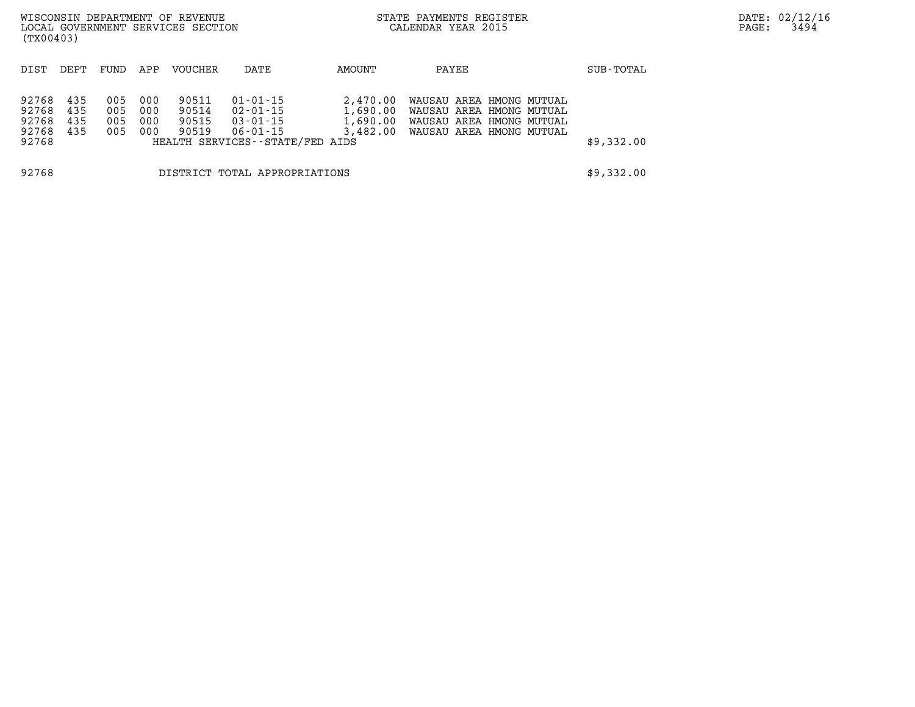| WISCONSIN DEPARTMENT OF REVENUE<br>LOCAL GOVERNMENT SERVICES SECTION<br>(TX00403) |                               |                          |                          |                                  |                                                                                 |                                  | STATE PAYMENTS REGISTER<br>CALENDAR YEAR 2015                                                                         |            | DATE: 02/12/16<br>3494<br>PAGE: |
|-----------------------------------------------------------------------------------|-------------------------------|--------------------------|--------------------------|----------------------------------|---------------------------------------------------------------------------------|----------------------------------|-----------------------------------------------------------------------------------------------------------------------|------------|---------------------------------|
| DIST                                                                              | DEPT                          | FUND                     | APP                      | VOUCHER                          | DATE                                                                            | AMOUNT                           | PAYEE                                                                                                                 | SUB-TOTAL  |                                 |
| 92768<br>92768<br>92768<br>92768<br>92768                                         | 435<br>435<br>435<br>435      | 005<br>005<br>005<br>005 | 000<br>000<br>000<br>000 | 90511<br>90514<br>90515<br>90519 | 01-01-15<br>02-01-15<br>03-01-15<br>06-01-15<br>HEALTH SERVICES--STATE/FED AIDS | 2,470.00<br>1,690.00<br>1,690.00 | WAUSAU AREA HMONG MUTUAL<br>WAUSAU AREA HMONG MUTUAL<br>WAUSAU AREA HMONG MUTUAL<br>3,482.00 WAUSAU AREA HMONG MUTUAL | \$9,332.00 |                                 |
| 92768                                                                             | DISTRICT TOTAL APPROPRIATIONS |                          |                          |                                  |                                                                                 |                                  |                                                                                                                       | \$9,332.00 |                                 |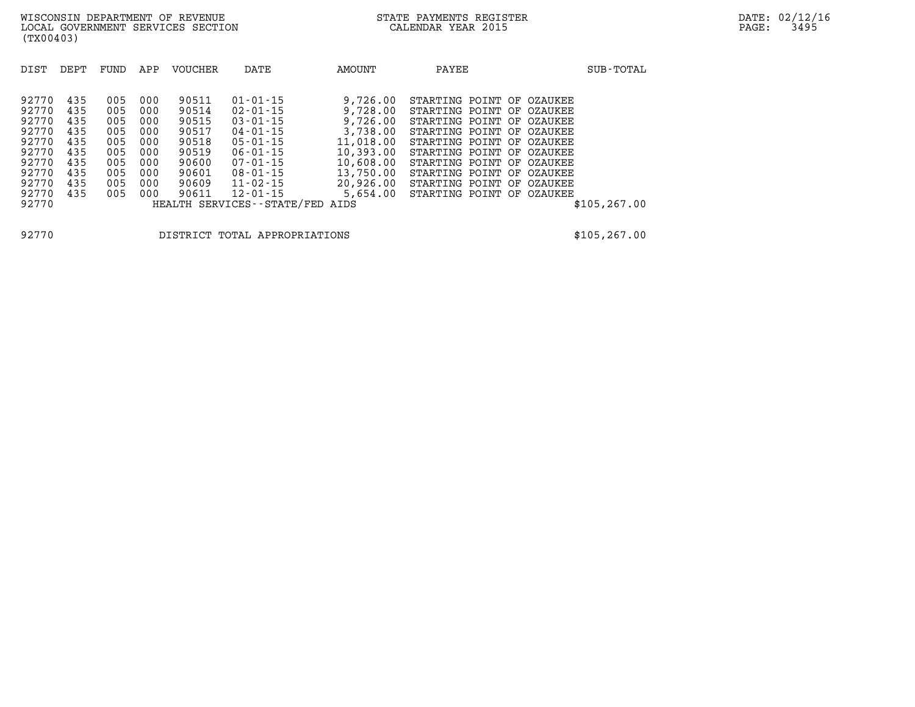| DIST  | DEPT | FUND | APP | VOUCHER | DATE                            | AMOUNT    | PAYEE                     | SUB-TOTAL     |
|-------|------|------|-----|---------|---------------------------------|-----------|---------------------------|---------------|
|       |      |      |     |         |                                 |           |                           |               |
| 92770 | 435  | 005  | 000 | 90511   | $01 - 01 - 15$                  | 9,726.00  | STARTING POINT OF OZAUKEE |               |
| 92770 | 435  | 005  | 000 | 90514   | $02 - 01 - 15$                  | 9,728.00  | STARTING POINT OF OZAUKEE |               |
| 92770 | 435  | 005  | 000 | 90515   | $03 - 01 - 15$                  | 9,726.00  | STARTING POINT OF OZAUKEE |               |
| 92770 | 435  | 005  | 000 | 90517   | $04 - 01 - 15$                  | 3,738.00  | STARTING POINT OF OZAUKEE |               |
| 92770 | 435  | 005  | 000 | 90518   | $05 - 01 - 15$                  | 11,018.00 | STARTING POINT OF OZAUKEE |               |
| 92770 | 435  | 005  | 000 | 90519   | $06 - 01 - 15$                  | 10,393.00 | STARTING POINT OF OZAUKEE |               |
| 92770 | 435  | 005  | 000 | 90600   | $07 - 01 - 15$                  | 10,608.00 | STARTING POINT OF OZAUKEE |               |
| 92770 | 435  | 005  | 000 | 90601   | $08 - 01 - 15$                  | 13,750.00 | STARTING POINT OF OZAUKEE |               |
| 92770 | 435  | 005  | 000 | 90609   | $11 - 02 - 15$                  | 20,926.00 | STARTING POINT OF OZAUKEE |               |
| 92770 | 435  | 005  | 000 | 90611   | $12 - 01 - 15$                  | 5,654.00  | STARTING POINT OF OZAUKEE |               |
| 92770 |      |      |     |         | HEALTH SERVICES--STATE/FED AIDS |           |                           | \$105, 267.00 |

**92770 DISTRICT TOTAL APPROPRIATIONS \$105,267.00**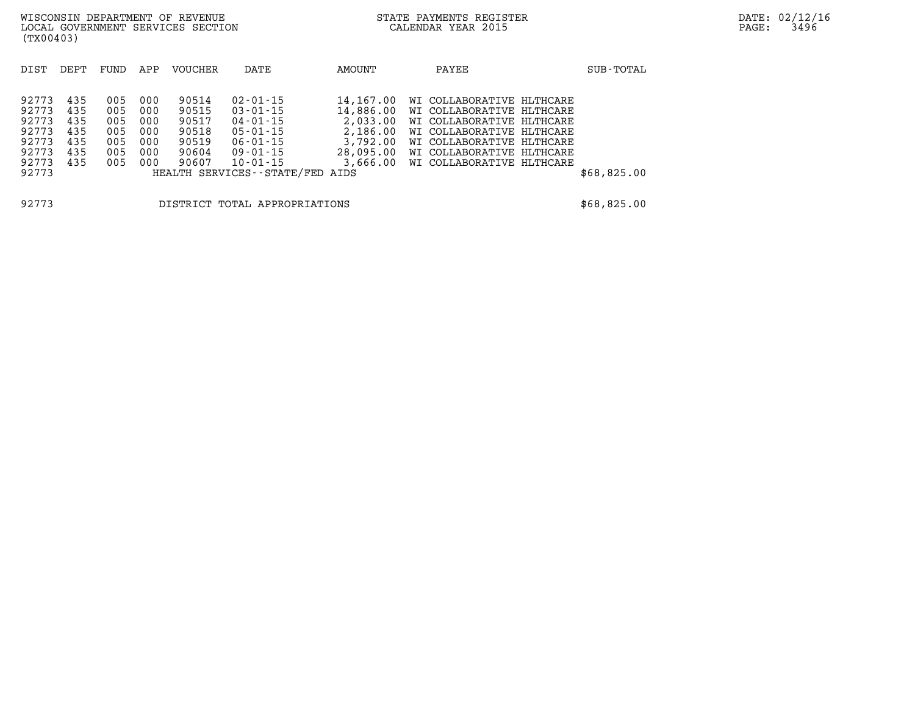| DIST  | DEPT | FUND | APP | <b>VOUCHER</b> | DATE                            | AMOUNT    | PAYEE                     | SUB-TOTAL   |
|-------|------|------|-----|----------------|---------------------------------|-----------|---------------------------|-------------|
|       |      |      |     |                |                                 |           |                           |             |
| 92773 | 435  | 005  | 000 | 90514          | $02 - 01 - 15$                  | 14,167.00 | WI COLLABORATIVE HLTHCARE |             |
| 92773 | 435  | 005  | 000 | 90515          | $03 - 01 - 15$                  | 14,886.00 | WI COLLABORATIVE HLTHCARE |             |
| 92773 | 435  | 005  | 000 | 90517          | $04 - 01 - 15$                  | 2,033.00  | WI COLLABORATIVE HLTHCARE |             |
| 92773 | 435  | 005  | 000 | 90518          | $05 - 01 - 15$                  | 2,186.00  | WI COLLABORATIVE HLTHCARE |             |
| 92773 | 435  | 005  | 000 | 90519          | $06 - 01 - 15$                  | 3,792.00  | WI COLLABORATIVE HLTHCARE |             |
| 92773 | 435  | 005  | 000 | 90604          | 09-01-15                        | 28,095.00 | WI COLLABORATIVE HLTHCARE |             |
| 92773 | 435  | 005  | 000 | 90607          | $10 - 01 - 15$                  | 3,666.00  | WI COLLABORATIVE HLTHCARE |             |
| 92773 |      |      |     |                | HEALTH SERVICES--STATE/FED AIDS |           |                           | \$68,825.00 |
|       |      |      |     |                |                                 |           |                           |             |
| 92773 |      |      |     |                | DISTRICT TOTAL APPROPRIATIONS   |           |                           | \$68,825.00 |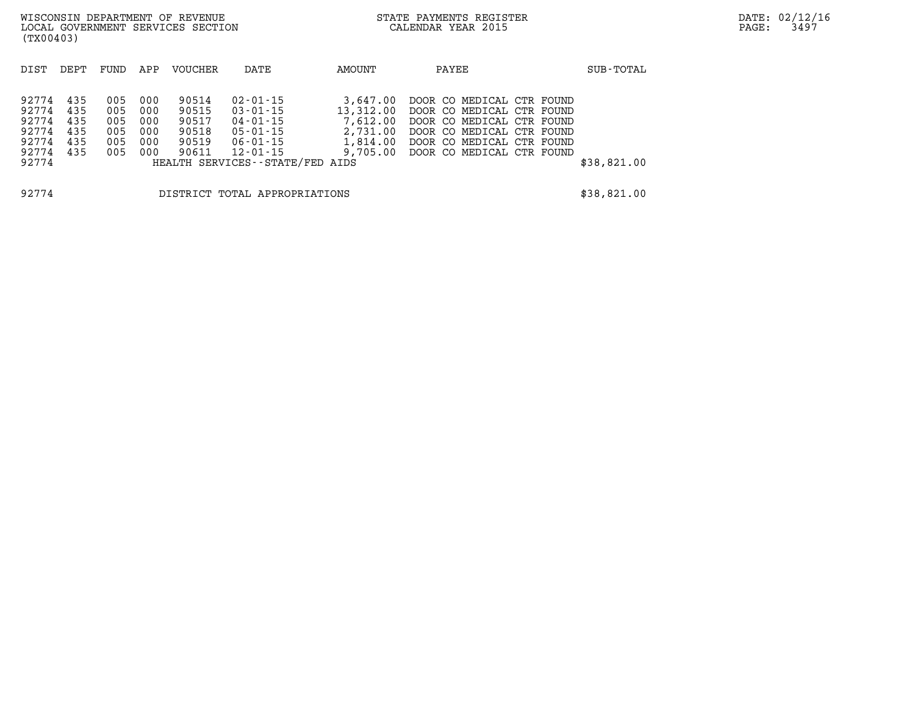| (TX00403)                                                       |                                 |                                        |                                        | WISCONSIN DEPARTMENT OF REVENUE<br>LOCAL GOVERNMENT SERVICES SECTION |                                                                                                         |                                                           | STATE PAYMENTS REGISTER<br>CALENDAR YEAR 2015                                                                                                                                       |  | DATE: 02/12/16<br>3497<br>$\mathtt{PAGE:}$ |  |
|-----------------------------------------------------------------|---------------------------------|----------------------------------------|----------------------------------------|----------------------------------------------------------------------|---------------------------------------------------------------------------------------------------------|-----------------------------------------------------------|-------------------------------------------------------------------------------------------------------------------------------------------------------------------------------------|--|--------------------------------------------|--|
| DIST                                                            | DEPT                            | FUND                                   | APP                                    | VOUCHER                                                              | DATE                                                                                                    | AMOUNT                                                    | PAYEE                                                                                                                                                                               |  | SUB-TOTAL                                  |  |
| 92774<br>92774<br>92774<br>92774<br>92774<br>92774 435<br>92774 | 435<br>435<br>435<br>435<br>435 | 005<br>005<br>005<br>005<br>005<br>005 | 000<br>000<br>000<br>000<br>000<br>000 | 90514<br>90515<br>90517<br>90518<br>90519<br>90611                   | 02-01-15<br>03-01-15<br>04-01-15<br>05-01-15<br>06-01-15<br>12-01-15<br>HEALTH SERVICES--STATE/FED AIDS | 3,647.00<br>13,312.00<br>7,612.00<br>2,731.00<br>1,814.00 | DOOR CO MEDICAL CTR FOUND<br>DOOR CO MEDICAL CTR FOUND<br>DOOR CO MEDICAL CTR FOUND<br>DOOR CO MEDICAL CTR FOUND<br>DOOR CO MEDICAL CTR FOUND<br>9,705.00 DOOR CO MEDICAL CTR FOUND |  | \$38,821.00                                |  |
| 92774                                                           |                                 |                                        |                                        |                                                                      | DISTRICT TOTAL APPROPRIATIONS                                                                           |                                                           |                                                                                                                                                                                     |  | \$38,821.00                                |  |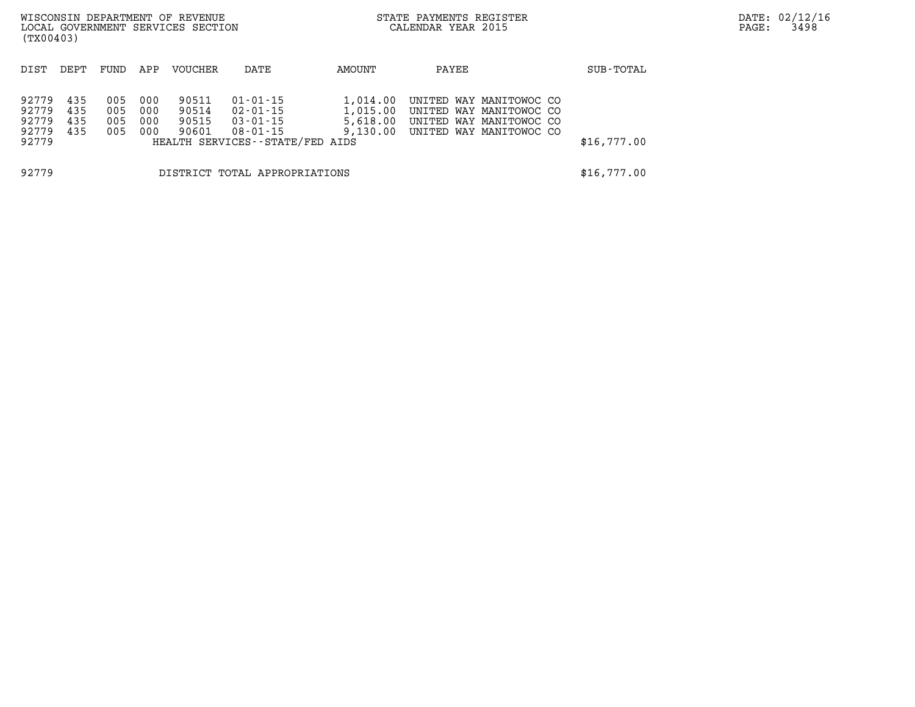| WISCONSIN DEPARTMENT OF REVENUE<br>LOCAL GOVERNMENT SERVICES SECTION<br>(TX00403) |                          |                          |                          |                                  |                                                                                       |                                  | STATE PAYMENTS REGISTER<br>CALENDAR YEAR 2015 |                                                                                                                   | DATE: 02/12/16<br>3498<br>PAGE: |  |
|-----------------------------------------------------------------------------------|--------------------------|--------------------------|--------------------------|----------------------------------|---------------------------------------------------------------------------------------|----------------------------------|-----------------------------------------------|-------------------------------------------------------------------------------------------------------------------|---------------------------------|--|
| DIST                                                                              | DEPT                     | FUND                     | APP                      | VOUCHER                          | DATE                                                                                  | AMOUNT                           | PAYEE                                         |                                                                                                                   | SUB-TOTAL                       |  |
| 92779<br>92779<br>92779<br>92779<br>92779                                         | 435<br>435<br>435<br>435 | 005<br>005<br>005<br>005 | 000<br>000<br>000<br>000 | 90511<br>90514<br>90515<br>90601 | 01-01-15<br>$02 - 01 - 15$<br>03-01-15<br>08-01-15<br>HEALTH SERVICES--STATE/FED AIDS | 1,014.00<br>1,015.00<br>5,618.00 |                                               | UNITED WAY MANITOWOC CO<br>UNITED WAY MANITOWOC CO<br>UNITED WAY MANITOWOC CO<br>9,130.00 UNITED WAY MANITOWOC CO | \$16,777.00                     |  |
| 92779                                                                             |                          |                          |                          |                                  | DISTRICT TOTAL APPROPRIATIONS                                                         |                                  |                                               |                                                                                                                   | \$16,777.00                     |  |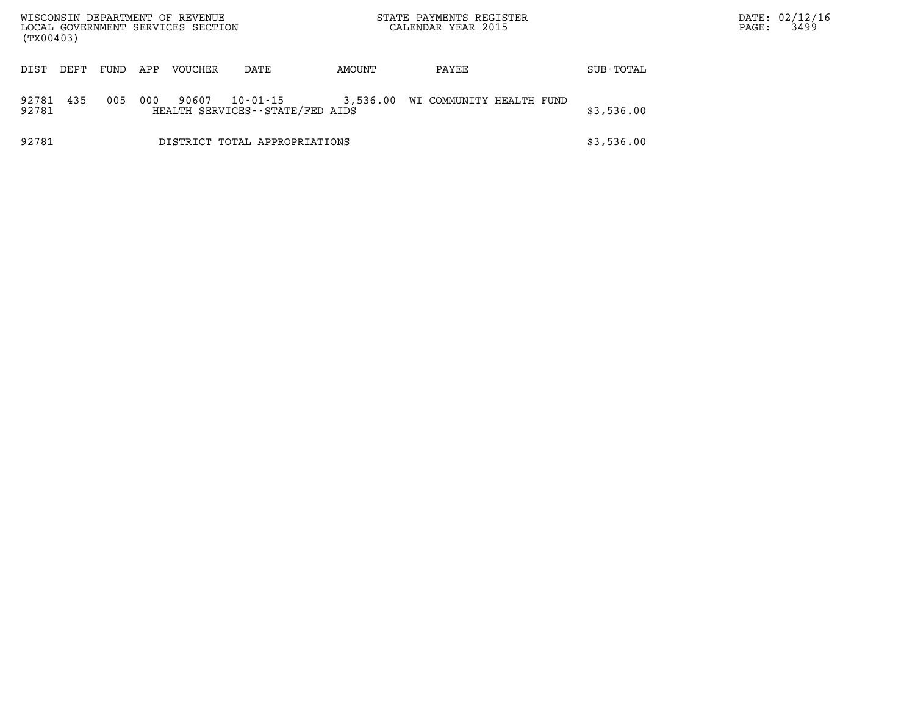| (TX00403)                              |      |      |     | WISCONSIN DEPARTMENT OF REVENUE<br>LOCAL GOVERNMENT SERVICES SECTION |                                                   |          | STATE PAYMENTS REGISTER<br>CALENDAR YEAR 2015 |            | PAGE: | DATE: 02/12/16<br>3499 |
|----------------------------------------|------|------|-----|----------------------------------------------------------------------|---------------------------------------------------|----------|-----------------------------------------------|------------|-------|------------------------|
| DIST                                   | DEPT | FUND | APP | <b>VOUCHER</b>                                                       | DATE                                              | AMOUNT   | PAYEE                                         | SUB-TOTAL  |       |                        |
| 92781<br>92781                         | 435  | 005  | 000 | 90607                                                                | $10 - 01 - 15$<br>HEALTH SERVICES--STATE/FED AIDS | 3,536.00 | WI COMMUNITY HEALTH FUND                      | \$3,536.00 |       |                        |
| 92781<br>DISTRICT TOTAL APPROPRIATIONS |      |      |     |                                                                      |                                                   |          |                                               | \$3,536.00 |       |                        |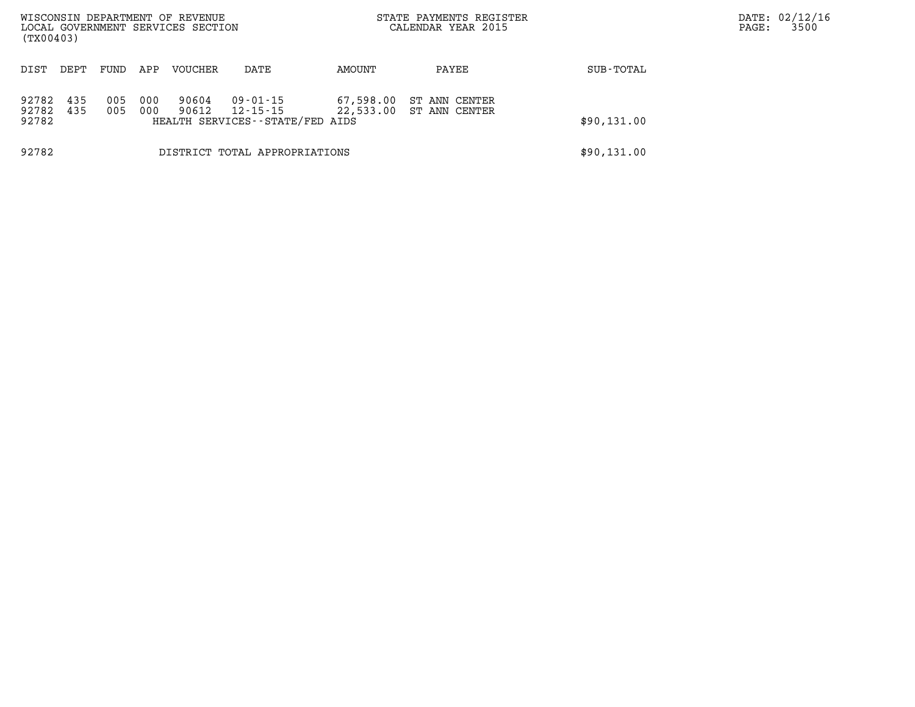| WISCONSIN DEPARTMENT OF REVENUE<br>LOCAL GOVERNMENT SERVICES SECTION<br>(TX00403) |                               |            |            |                |                                                         |           | STATE PAYMENTS REGISTER<br>CALENDAR YEAR 2015 |             | DATE: 02/12/16<br>3500<br>PAGE: |  |
|-----------------------------------------------------------------------------------|-------------------------------|------------|------------|----------------|---------------------------------------------------------|-----------|-----------------------------------------------|-------------|---------------------------------|--|
| DIST                                                                              | DEPT                          | FUND       | APP        | VOUCHER        | DATE                                                    | AMOUNT    | PAYEE                                         | SUB-TOTAL   |                                 |  |
| 92782<br>92782<br>92782                                                           | 435<br>435                    | 005<br>005 | 000<br>000 | 90604<br>90612 | 09-01-15<br>12-15-15<br>HEALTH SERVICES--STATE/FED AIDS | 67,598.00 | ST ANN CENTER<br>22,533.00 ST ANN CENTER      | \$90,131.00 |                                 |  |
| 92782                                                                             | DISTRICT TOTAL APPROPRIATIONS |            |            |                |                                                         |           |                                               | \$90,131.00 |                                 |  |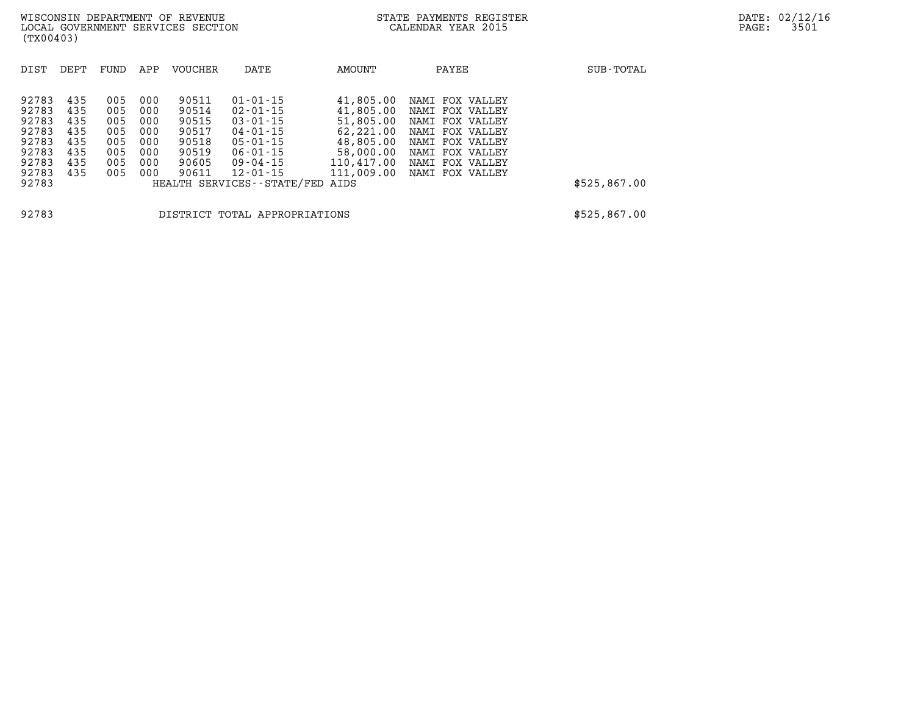| DIST  | DEPT | FUND | APP | <b>VOUCHER</b> | DATE                          | AMOUNT     | PAYEE                 | SUB-TOTAL    |
|-------|------|------|-----|----------------|-------------------------------|------------|-----------------------|--------------|
|       |      |      |     |                |                               |            |                       |              |
| 92783 | 435  | 005  | 000 | 90511          | $01 - 01 - 15$                | 41,805.00  | FOX VALLEY<br>NAMI    |              |
| 92783 | 435  | 005  | 000 | 90514          | $02 - 01 - 15$                | 41,805.00  | FOX<br>NAMI<br>VALLEY |              |
| 92783 | 435  | 005  | 000 | 90515          | $03 - 01 - 15$                | 51,805.00  | FOX<br>VALLEY<br>NAMI |              |
| 92783 | 435  | 005  | 000 | 90517          | $04 - 01 - 15$                | 62,221.00  | NAMI<br>FOX<br>VALLEY |              |
| 92783 | 435  | 005  | 000 | 90518          | $05 - 01 - 15$                | 48,805.00  | FOX VALLEY<br>NAMI    |              |
| 92783 | 435  | 005  | 000 | 90519          | $06 - 01 - 15$                | 58,000.00  | FOX<br>NAMI<br>VALLEY |              |
| 92783 | 435  | 005  | 000 | 90605          | $09 - 04 - 15$                | 110,417.00 | FOX VALLEY<br>NAMI    |              |
| 92783 | 435  | 005  | 000 | 90611          | $12 - 01 - 15$                | 111,009.00 | FOX VALLEY<br>NAMI    |              |
| 92783 |      |      |     |                | HEALTH SERVICES - - STATE/FED | AIDS       |                       | \$525,867.00 |
|       |      |      |     |                |                               |            |                       |              |
|       |      |      |     |                |                               |            |                       |              |
| 92783 |      |      |     |                | DISTRICT TOTAL APPROPRIATIONS |            |                       | \$525,867.00 |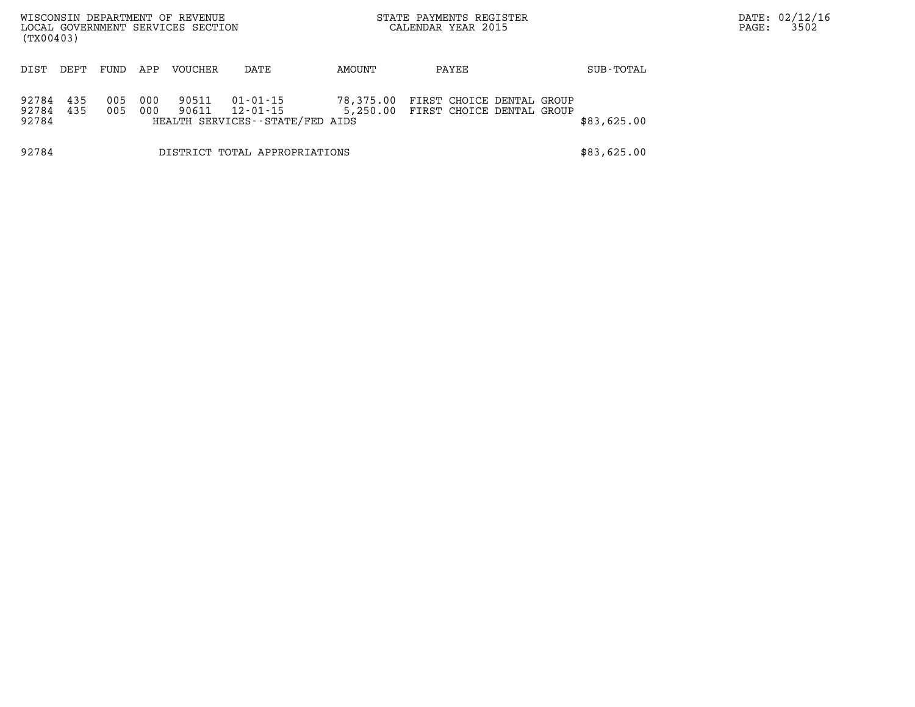| (TX00403)               |                               |            |            | WISCONSIN DEPARTMENT OF REVENUE<br>LOCAL GOVERNMENT SERVICES SECTION |                                                         |                       | STATE PAYMENTS REGISTER<br>CALENDAR YEAR 2015          |  | PAGE:       | DATE: 02/12/16<br>3502 |  |
|-------------------------|-------------------------------|------------|------------|----------------------------------------------------------------------|---------------------------------------------------------|-----------------------|--------------------------------------------------------|--|-------------|------------------------|--|
| DIST                    | DEPT                          | FUND       | APP        | VOUCHER                                                              | DATE                                                    | AMOUNT                | PAYEE                                                  |  | SUB-TOTAL   |                        |  |
| 92784<br>92784<br>92784 | 435<br>435                    | 005<br>005 | 000<br>000 | 90511<br>90611                                                       | 01-01-15<br>12-01-15<br>HEALTH SERVICES--STATE/FED AIDS | 78,375.00<br>5,250.00 | FIRST CHOICE DENTAL GROUP<br>FIRST CHOICE DENTAL GROUP |  | \$83,625.00 |                        |  |
| 92784                   | DISTRICT TOTAL APPROPRIATIONS |            |            |                                                                      |                                                         |                       |                                                        |  | \$83,625.00 |                        |  |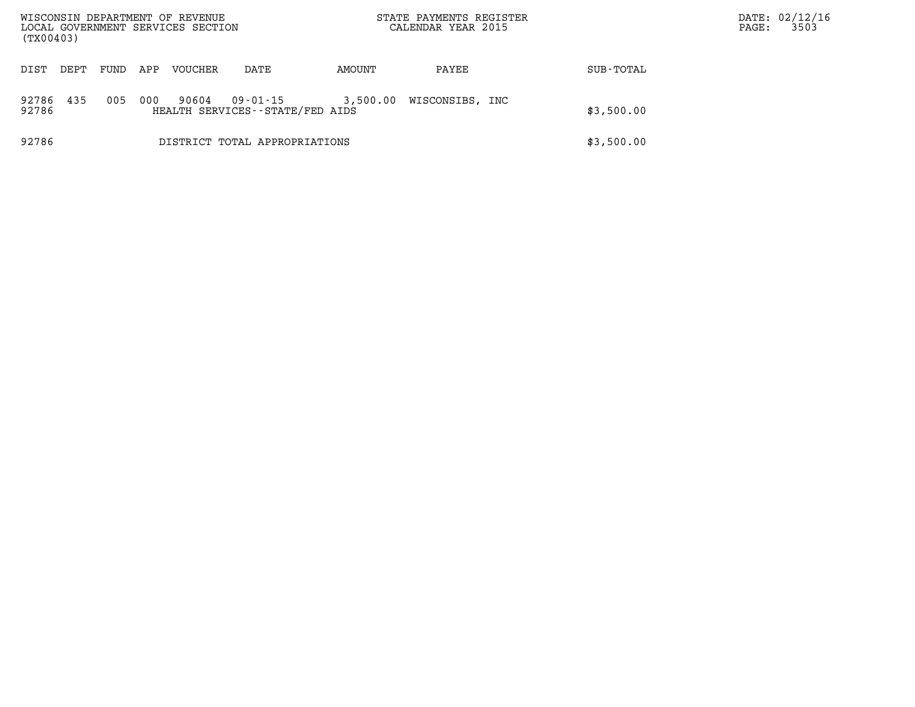| WISCONSIN DEPARTMENT OF REVENUE<br>LOCAL GOVERNMENT SERVICES SECTION<br>(TX00403) |                               |      |     |         |                                             |          | STATE PAYMENTS REGISTER<br>CALENDAR YEAR 2015 |            | PAGE: | DATE: 02/12/16<br>3503 |
|-----------------------------------------------------------------------------------|-------------------------------|------|-----|---------|---------------------------------------------|----------|-----------------------------------------------|------------|-------|------------------------|
| DIST                                                                              | DEPT                          | FUND | APP | VOUCHER | DATE                                        | AMOUNT   | PAYEE                                         | SUB-TOTAL  |       |                        |
| 92786<br>92786                                                                    | 435                           | 005  | 000 | 90604   | 09-01-15<br>HEALTH SERVICES--STATE/FED AIDS | 3,500.00 | WISCONSIBS, INC                               | \$3,500.00 |       |                        |
| 92786                                                                             | DISTRICT TOTAL APPROPRIATIONS |      |     |         |                                             |          |                                               | \$3,500.00 |       |                        |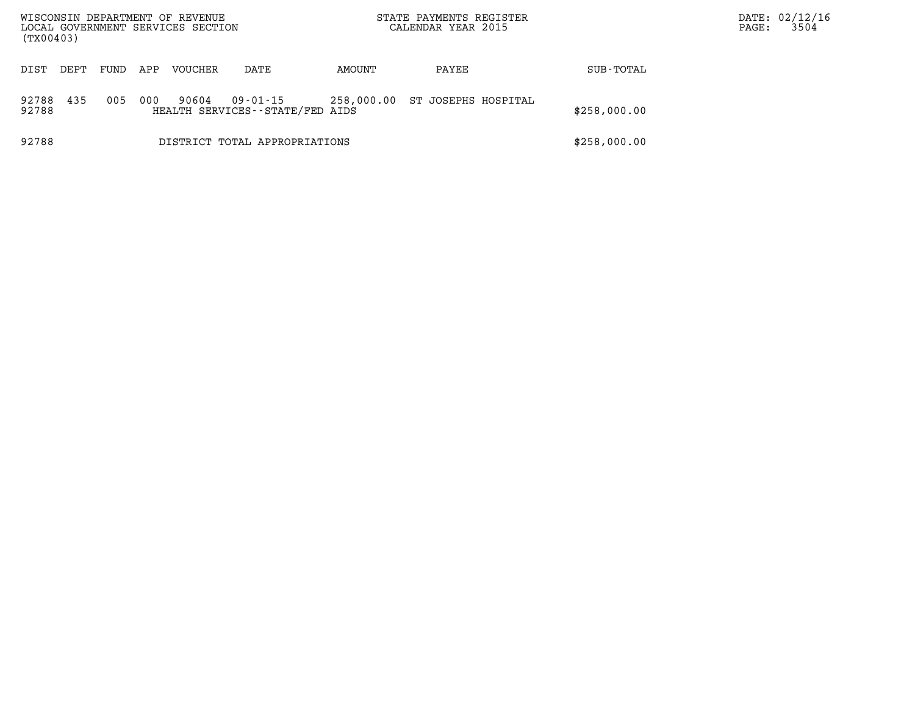| WISCONSIN DEPARTMENT OF REVENUE<br>LOCAL GOVERNMENT SERVICES SECTION<br>(TX00403) |      |      |     |         |                                             | STATE PAYMENTS REGISTER<br>CALENDAR YEAR 2015 |                     | PAGE:        | DATE: 02/12/16<br>3504 |  |
|-----------------------------------------------------------------------------------|------|------|-----|---------|---------------------------------------------|-----------------------------------------------|---------------------|--------------|------------------------|--|
| DIST                                                                              | DEPT | FUND | APP | VOUCHER | DATE                                        | AMOUNT                                        | PAYEE               | SUB-TOTAL    |                        |  |
| 92788<br>92788                                                                    | 435  | 005  | 000 | 90604   | 09-01-15<br>HEALTH SERVICES--STATE/FED AIDS | 258,000.00                                    | ST JOSEPHS HOSPITAL | \$258,000.00 |                        |  |
| 92788                                                                             |      |      |     |         | DISTRICT TOTAL APPROPRIATIONS               |                                               |                     | \$258,000.00 |                        |  |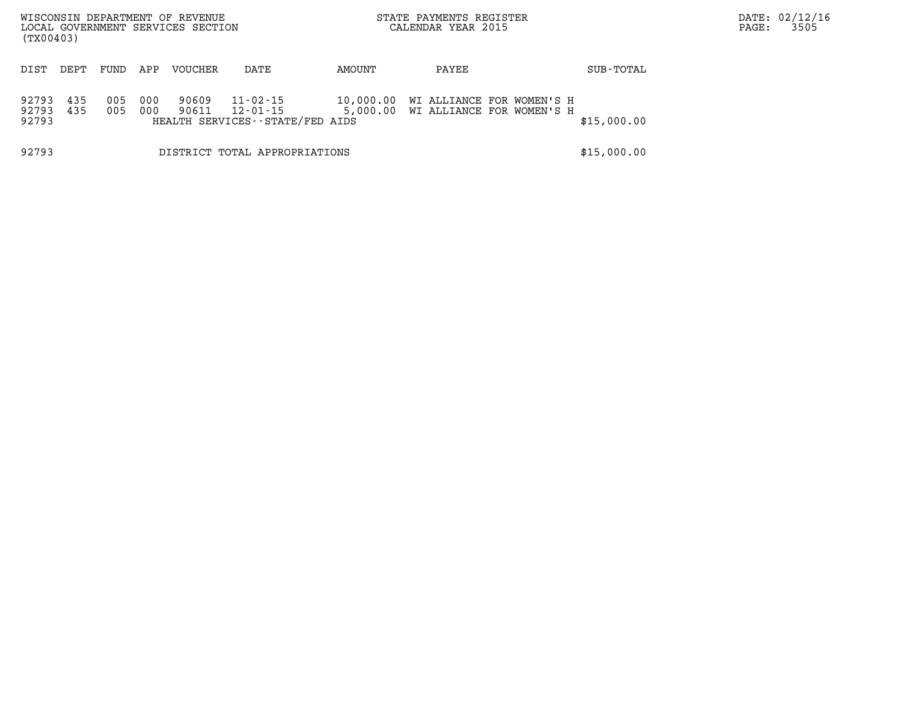| WISCONSIN DEPARTMENT OF REVENUE<br>LOCAL GOVERNMENT SERVICES SECTION<br>(TX00403) |                               |            |            |                |                                                         |        | STATE PAYMENTS REGISTER<br>CALENDAR YEAR 2015                             |  | PAGE:       | DATE: 02/12/16<br>3505 |  |
|-----------------------------------------------------------------------------------|-------------------------------|------------|------------|----------------|---------------------------------------------------------|--------|---------------------------------------------------------------------------|--|-------------|------------------------|--|
| DIST                                                                              | DEPT                          | FUND       | APP        | VOUCHER        | DATE                                                    | AMOUNT | PAYEE                                                                     |  | SUB-TOTAL   |                        |  |
| 92793<br>92793<br>92793                                                           | 435<br>435                    | 005<br>005 | 000<br>000 | 90609<br>90611 | 11-02-15<br>12-01-15<br>HEALTH SERVICES--STATE/FED AIDS |        | 10,000.00 WI ALLIANCE FOR WOMEN'S H<br>5,000.00 WI ALLIANCE FOR WOMEN'S H |  | \$15,000.00 |                        |  |
| 92793                                                                             | DISTRICT TOTAL APPROPRIATIONS |            |            |                |                                                         |        |                                                                           |  | \$15,000.00 |                        |  |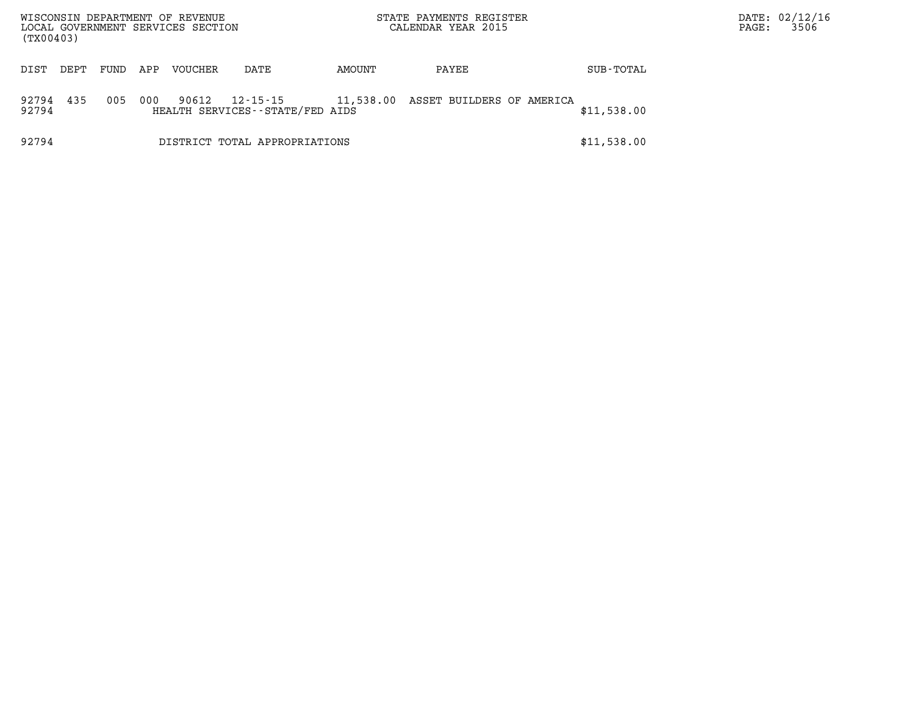| WISCONSIN DEPARTMENT OF REVENUE<br>LOCAL GOVERNMENT SERVICES SECTION<br>(TX00403) |      |      |     |         |                                             |        | STATE PAYMENTS REGISTER<br>CALENDAR YEAR 2015 |             | PAGE: | DATE: 02/12/16<br>3506 |
|-----------------------------------------------------------------------------------|------|------|-----|---------|---------------------------------------------|--------|-----------------------------------------------|-------------|-------|------------------------|
| DIST                                                                              | DEPT | FUND | APP | VOUCHER | DATE                                        | AMOUNT | PAYEE                                         | SUB-TOTAL   |       |                        |
| 92794<br>92794                                                                    | 435  | 005  | 000 | 90612   | 12-15-15<br>HEALTH SERVICES--STATE/FED AIDS |        | 11,538.00 ASSET BUILDERS OF AMERICA           | \$11,538.00 |       |                        |
| 92794                                                                             |      |      |     |         | DISTRICT TOTAL APPROPRIATIONS               |        |                                               | \$11,538.00 |       |                        |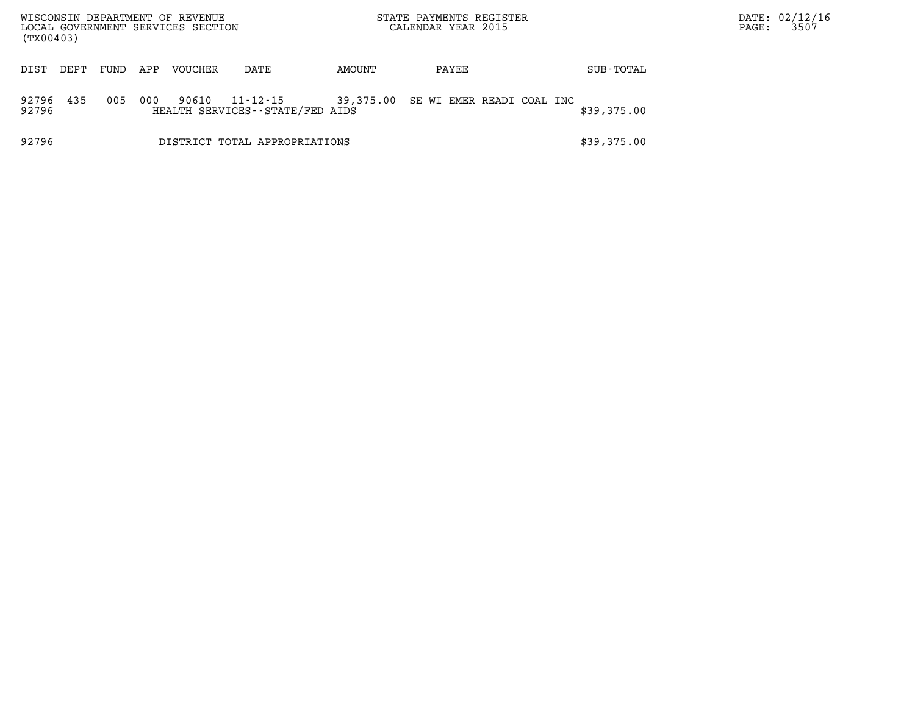| WISCONSIN DEPARTMENT OF REVENUE<br>LOCAL GOVERNMENT SERVICES SECTION<br>(TX00403) |      |      |     |         |                                                   |        | STATE PAYMENTS REGISTER<br>CALENDAR YEAR 2015 |  | PAGE:       | DATE: 02/12/16<br>3507 |  |
|-----------------------------------------------------------------------------------|------|------|-----|---------|---------------------------------------------------|--------|-----------------------------------------------|--|-------------|------------------------|--|
| DIST                                                                              | DEPT | FUND | APP | VOUCHER | DATE                                              | AMOUNT | PAYEE                                         |  | SUB-TOTAL   |                        |  |
| 92796<br>92796                                                                    | 435  | 005  | 000 | 90610   | $11 - 12 - 15$<br>HEALTH SERVICES--STATE/FED AIDS |        | 39,375.00 SE WI EMER READI COAL INC           |  | \$39,375.00 |                        |  |
| 92796                                                                             |      |      |     |         | DISTRICT TOTAL APPROPRIATIONS                     |        |                                               |  | \$39,375.00 |                        |  |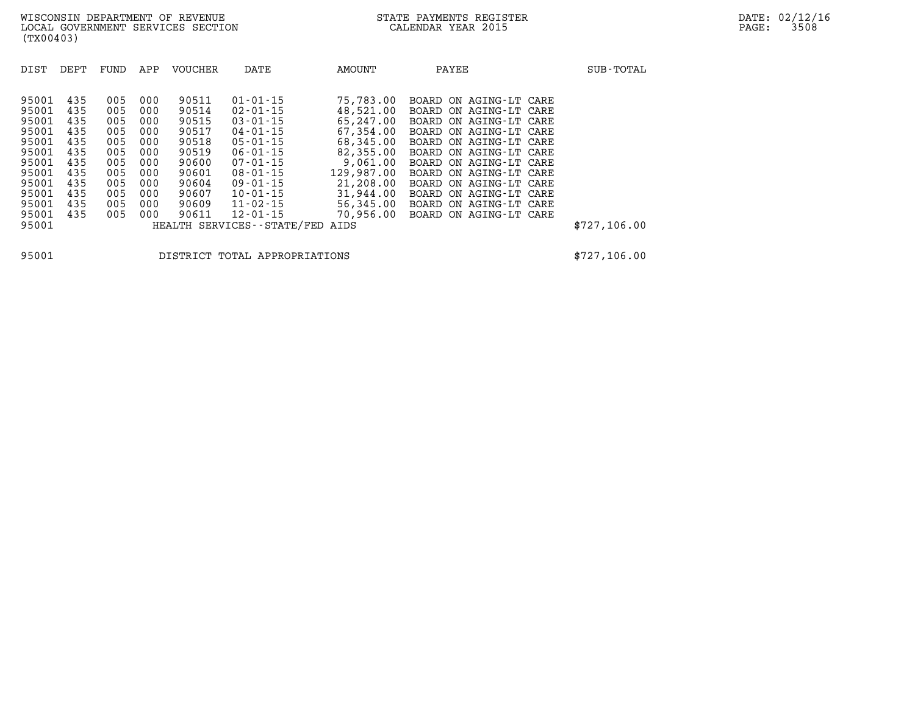| DIST  | DEPT | FUND | APP | <b>VOUCHER</b> | DATE                            | AMOUNT     | PAYEE                  | SUB-TOTAL    |
|-------|------|------|-----|----------------|---------------------------------|------------|------------------------|--------------|
| 95001 | 435  | 005  | 000 | 90511          | $01 - 01 - 15$                  | 75,783.00  | BOARD ON AGING-LT CARE |              |
| 95001 | 435  | 005  | 000 | 90514          | $02 - 01 - 15$                  | 48,521.00  | BOARD ON AGING-LT CARE |              |
| 95001 | 435  | 005  | 000 | 90515          | $03 - 01 - 15$                  | 65,247.00  | BOARD ON AGING-LT CARE |              |
| 95001 | 435  | 005  | 000 | 90517          | $04 - 01 - 15$                  | 67,354.00  | BOARD ON AGING-LT CARE |              |
| 95001 | 435  | 005  | 000 | 90518          | $05 - 01 - 15$                  | 68,345.00  | BOARD ON AGING-LT CARE |              |
| 95001 | 435  | 005  | 000 | 90519          | $06 - 01 - 15$                  | 82,355.00  | BOARD ON AGING-LT CARE |              |
| 95001 | 435  | 005  | 000 | 90600          | $07 - 01 - 15$                  | 9.061.00   | BOARD ON AGING-LT CARE |              |
| 95001 | 435  | 005  | 000 | 90601          | $08 - 01 - 15$                  | 129,987.00 | BOARD ON AGING-LT CARE |              |
| 95001 | 435  | 005  | 000 | 90604          | $09 - 01 - 15$                  | 21,208.00  | BOARD ON AGING-LT CARE |              |
| 95001 | 435  | 005  | 000 | 90607          | $10 - 01 - 15$                  | 31,944.00  | BOARD ON AGING-LT CARE |              |
| 95001 | 435  | 005  | 000 | 90609          | $11 - 02 - 15$                  | 56,345.00  | BOARD ON AGING-LT CARE |              |
| 95001 | 435  | 005  | 000 | 90611          | $12 - 01 - 15$                  | 70,956.00  | BOARD ON AGING-LT CARE |              |
| 95001 |      |      |     |                | HEALTH SERVICES--STATE/FED AIDS |            |                        | \$727,106.00 |

**95001 DISTRICT TOTAL APPROPRIATIONS \$727,106.00**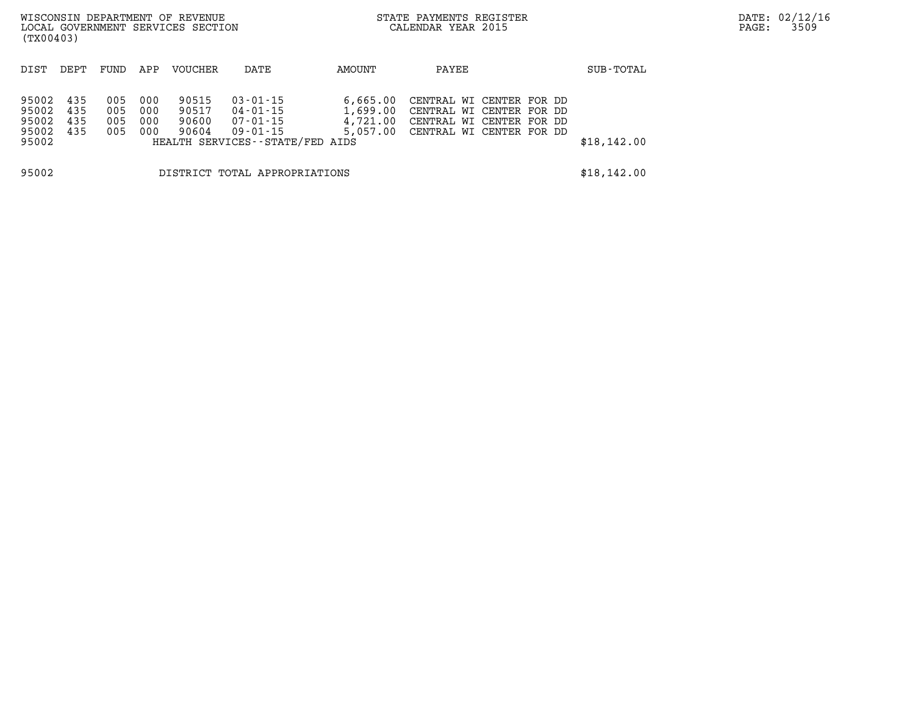| WISCONSIN DEPARTMENT OF REVENUE<br>LOCAL GOVERNMENT SERVICES SECTION<br>(TX00403) |                               |                          |                          |                                  |                                                                                       |                                  | STATE PAYMENTS REGISTER<br>CALENDAR YEAR 2015 |                                                                                                                       |             | DATE: 02/12/16<br>3509<br>PAGE: |
|-----------------------------------------------------------------------------------|-------------------------------|--------------------------|--------------------------|----------------------------------|---------------------------------------------------------------------------------------|----------------------------------|-----------------------------------------------|-----------------------------------------------------------------------------------------------------------------------|-------------|---------------------------------|
| DIST                                                                              | DEPT                          | FUND                     | APP                      | VOUCHER                          | DATE                                                                                  | AMOUNT                           | PAYEE                                         |                                                                                                                       | SUB-TOTAL   |                                 |
| 95002<br>95002<br>95002<br>95002<br>95002                                         | 435<br>435<br>435<br>435      | 005<br>005<br>005<br>005 | 000<br>000<br>000<br>000 | 90515<br>90517<br>90600<br>90604 | $03 - 01 - 15$<br>04-01-15<br>07-01-15<br>09-01-15<br>HEALTH SERVICES--STATE/FED AIDS | 6,665.00<br>1,699.00<br>4,721.00 |                                               | CENTRAL WI CENTER FOR DD<br>CENTRAL WI CENTER FOR DD<br>CENTRAL WI CENTER FOR DD<br>5,057.00 CENTRAL WI CENTER FOR DD | \$18,142.00 |                                 |
| 95002                                                                             | DISTRICT TOTAL APPROPRIATIONS |                          |                          |                                  |                                                                                       |                                  |                                               |                                                                                                                       | \$18,142.00 |                                 |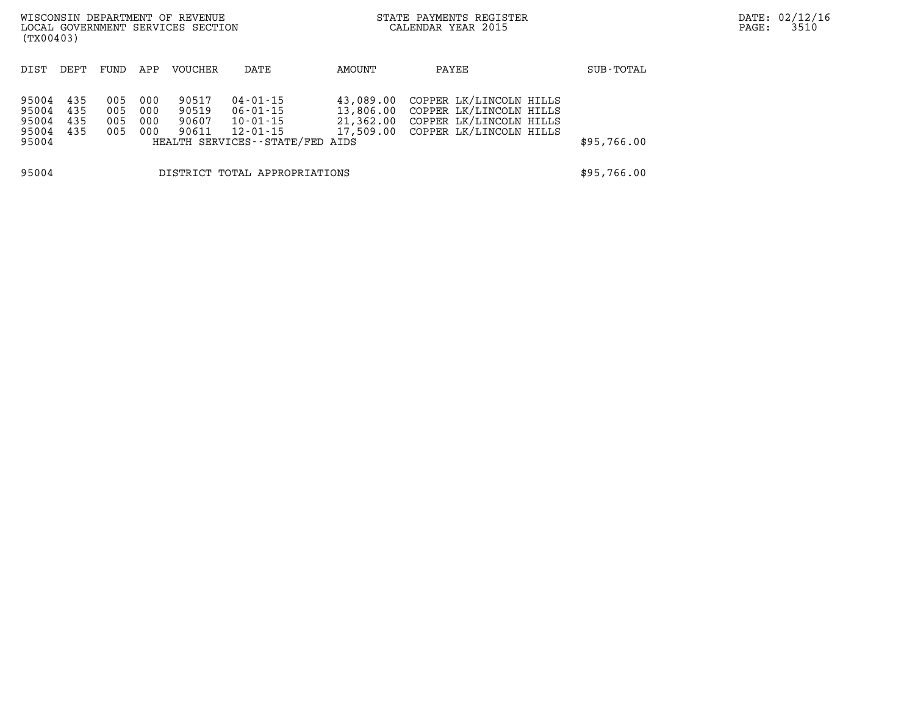| WISCONSIN DEPARTMENT OF REVENUE<br>LOCAL GOVERNMENT SERVICES SECTION<br>(TX00403) |                               |                          |                          |                                  |                                                                                 | STATE PAYMENTS REGISTER<br>CALENDAR YEAR 2015 |                                                                                                                              | DATE: 02/12/16<br>3510<br>PAGE: |  |
|-----------------------------------------------------------------------------------|-------------------------------|--------------------------|--------------------------|----------------------------------|---------------------------------------------------------------------------------|-----------------------------------------------|------------------------------------------------------------------------------------------------------------------------------|---------------------------------|--|
| DIST                                                                              | DEPT                          | FUND                     | APP                      | VOUCHER                          | DATE                                                                            | AMOUNT                                        | PAYEE                                                                                                                        | SUB-TOTAL                       |  |
| 95004<br>95004<br>95004<br>95004<br>95004                                         | 435<br>435<br>435<br>435      | 005<br>005<br>005<br>005 | 000<br>000<br>000<br>000 | 90517<br>90519<br>90607<br>90611 | 04-01-15<br>06-01-15<br>10-01-15<br>12-01-15<br>HEALTH SERVICES--STATE/FED AIDS | 43,089.00<br>13,806.00                        | COPPER LK/LINCOLN HILLS<br>COPPER LK/LINCOLN HILLS<br>21,362.00 COPPER LK/LINCOLN HILLS<br>17,509.00 COPPER LK/LINCOLN HILLS | \$95,766.00                     |  |
| 95004                                                                             | DISTRICT TOTAL APPROPRIATIONS |                          |                          |                                  |                                                                                 |                                               |                                                                                                                              | \$95,766.00                     |  |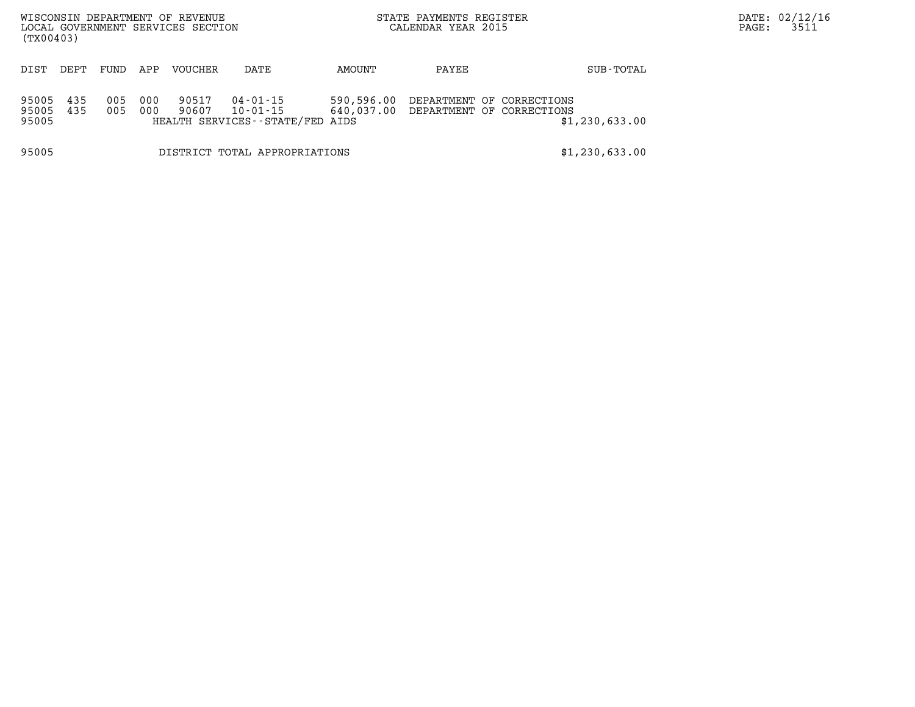| WISCONSIN DEPARTMENT OF REVENUE<br>LOCAL GOVERNMENT SERVICES SECTION<br>(TX00403) |            |            |            |                |                                                         |            | STATE PAYMENTS REGISTER<br>CALENDAR YEAR 2015 | PAGE:                                                             | DATE: 02/12/16<br>3511 |  |  |
|-----------------------------------------------------------------------------------|------------|------------|------------|----------------|---------------------------------------------------------|------------|-----------------------------------------------|-------------------------------------------------------------------|------------------------|--|--|
| DIST                                                                              | DEPT       | FUND       | APP        | VOUCHER        | DATE                                                    | AMOUNT     | PAYEE                                         |                                                                   | SUB-TOTAL              |  |  |
| 95005<br>95005<br>95005                                                           | 435<br>435 | 005<br>005 | 000<br>000 | 90517<br>90607 | 04-01-15<br>10-01-15<br>HEALTH SERVICES--STATE/FED AIDS | 590,596.00 |                                               | DEPARTMENT OF CORRECTIONS<br>640,037.00 DEPARTMENT OF CORRECTIONS | \$1,230,633.00         |  |  |
| 95005                                                                             |            |            |            |                | DISTRICT TOTAL APPROPRIATIONS                           |            |                                               |                                                                   | \$1,230,633.00         |  |  |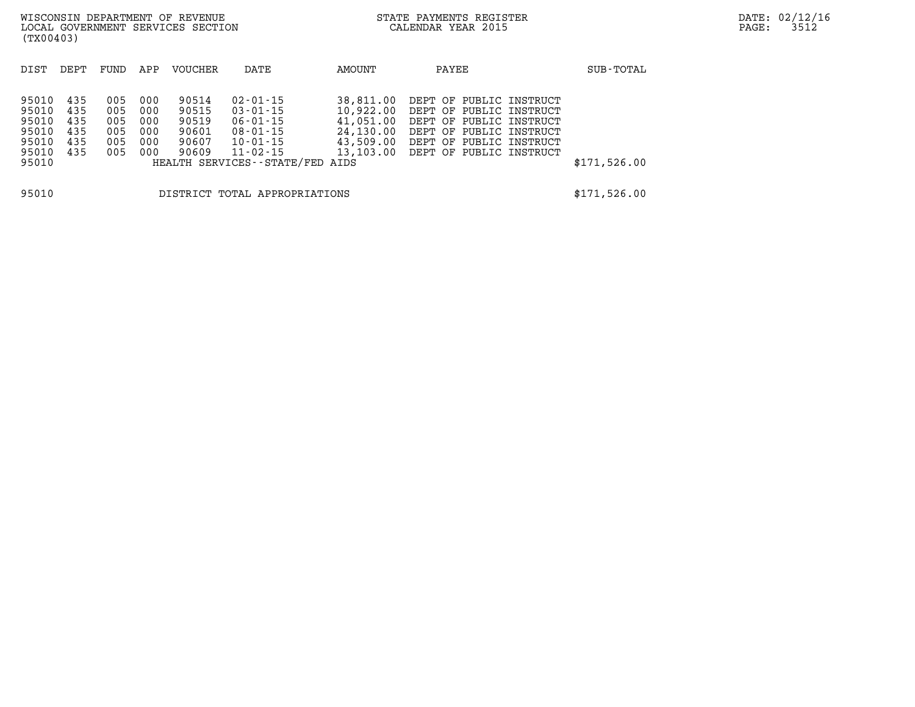| WISCONSIN DEPARTMENT OF REVENUE<br>LOCAL GOVERNMENT SERVICES SECTION<br>(TX00403) |                                                                                                                                                                                                                                                                                             |      |     |         |      |                                                               | STATE PAYMENTS REGISTER<br>CALENDAR YEAR 2015                                                                                                                            |              | DATE: 02/12/16<br>3512<br>PAGE: |
|-----------------------------------------------------------------------------------|---------------------------------------------------------------------------------------------------------------------------------------------------------------------------------------------------------------------------------------------------------------------------------------------|------|-----|---------|------|---------------------------------------------------------------|--------------------------------------------------------------------------------------------------------------------------------------------------------------------------|--------------|---------------------------------|
| DIST                                                                              | DEPT                                                                                                                                                                                                                                                                                        | FUND | APP | VOUCHER | DATE | AMOUNT                                                        | PAYEE                                                                                                                                                                    | SUB-TOTAL    |                                 |
| 95010<br>95010<br>95010<br>95010<br>95010<br>95010<br>95010                       | 435<br>005<br>000<br>90514<br>02-01-15<br>005<br>435<br>000<br>90515<br>03-01-15<br>005<br>435<br>000<br>90519<br>06-01-15<br>005<br>90601<br>435<br>000<br>08-01-15<br>005<br>435<br>000<br>90607<br>10-01-15<br>435<br>005<br>90609<br>000<br>11-02-15<br>HEALTH SERVICES--STATE/FED AIDS |      |     |         |      | 38,811.00<br>10,922.00<br>41,051.00<br>24,130.00<br>43,509.00 | DEPT OF PUBLIC INSTRUCT<br>DEPT OF PUBLIC INSTRUCT<br>DEPT OF PUBLIC INSTRUCT<br>DEPT OF PUBLIC INSTRUCT<br>DEPT OF PUBLIC INSTRUCT<br>13,103.00 DEPT OF PUBLIC INSTRUCT | \$171,526.00 |                                 |
| 95010<br>DISTRICT TOTAL APPROPRIATIONS                                            |                                                                                                                                                                                                                                                                                             |      |     |         |      |                                                               |                                                                                                                                                                          |              |                                 |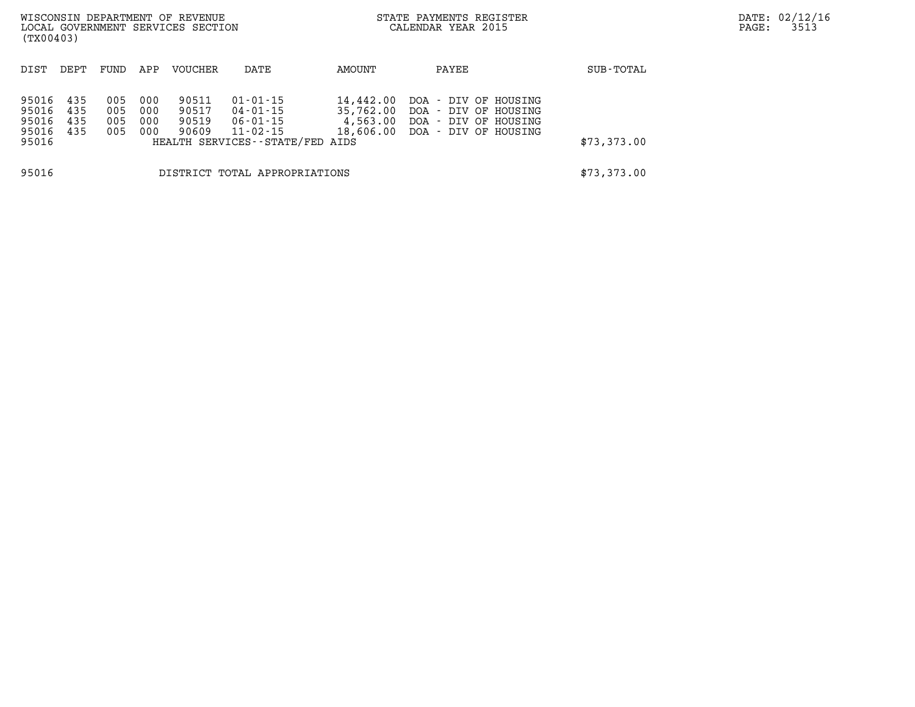| (TX00403)                                 |                               |                          |                          | WISCONSIN DEPARTMENT OF REVENUE<br>LOCAL GOVERNMENT SERVICES SECTION |                                                                                       |                                    | STATE PAYMENTS REGISTER<br>CALENDAR YEAR 2015                                                          |             | DATE: 02/12/16<br>3513<br>PAGE: |
|-------------------------------------------|-------------------------------|--------------------------|--------------------------|----------------------------------------------------------------------|---------------------------------------------------------------------------------------|------------------------------------|--------------------------------------------------------------------------------------------------------|-------------|---------------------------------|
| DIST                                      | DEPT                          | FUND                     | APP                      | VOUCHER                                                              | DATE                                                                                  | AMOUNT                             | PAYEE                                                                                                  | SUB-TOTAL   |                                 |
| 95016<br>95016<br>95016<br>95016<br>95016 | 435<br>435<br>435<br>435      | 005<br>005<br>005<br>005 | 000<br>000<br>000<br>000 | 90511<br>90517<br>90519<br>90609                                     | $01 - 01 - 15$<br>04-01-15<br>06-01-15<br>11-02-15<br>HEALTH SERVICES--STATE/FED AIDS | 14,442.00<br>35,762.00<br>4,563.00 | DOA – DIV OF HOUSING<br>DOA – DIV OF HOUSING<br>DOA – DIV OF HOUSING<br>18,606.00 DOA - DIV OF HOUSING | \$73,373.00 |                                 |
| 95016                                     | DISTRICT TOTAL APPROPRIATIONS |                          |                          |                                                                      |                                                                                       |                                    |                                                                                                        | \$73,373.00 |                                 |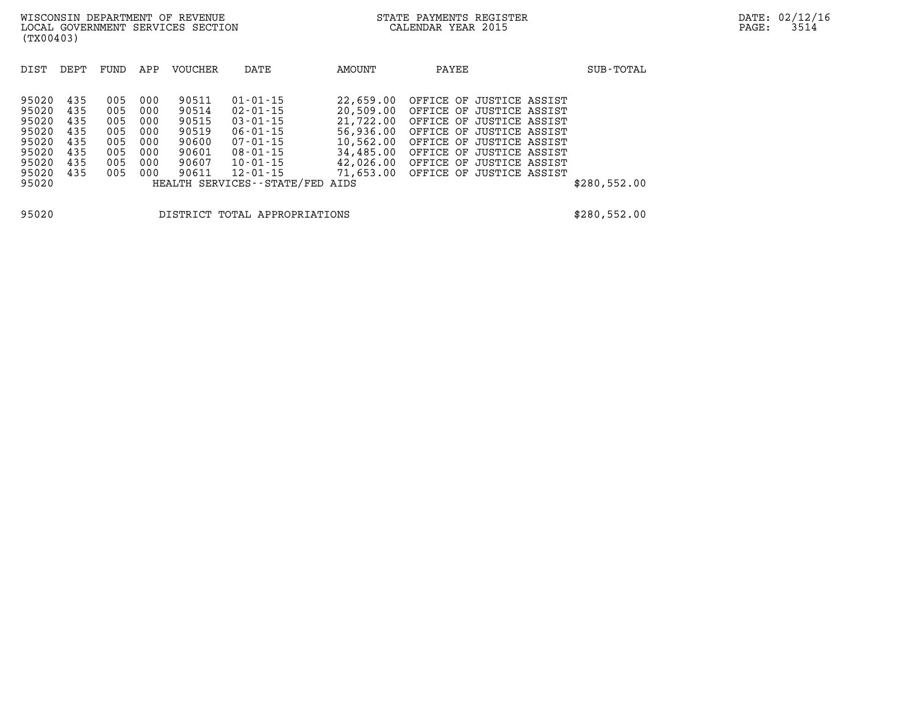| DIST  | DEPT | FUND | APP | <b>VOUCHER</b> | DATE                            | AMOUNT    | PAYEE                    | SUB-TOTAL    |
|-------|------|------|-----|----------------|---------------------------------|-----------|--------------------------|--------------|
|       |      |      |     |                |                                 |           |                          |              |
| 95020 | 435  | 005  | 000 | 90511          | $01 - 01 - 15$                  | 22,659.00 | OFFICE OF JUSTICE ASSIST |              |
| 95020 | 435  | 005  | 000 | 90514          | $02 - 01 - 15$                  | 20,509.00 | OFFICE OF JUSTICE ASSIST |              |
| 95020 | 435  | 005  | 000 | 90515          | $03 - 01 - 15$                  | 21,722.00 | OFFICE OF JUSTICE ASSIST |              |
| 95020 | 435  | 005  | 000 | 90519          | $06 - 01 - 15$                  | 56,936.00 | OFFICE OF JUSTICE ASSIST |              |
| 95020 | 435  | 005  | 000 | 90600          | $07 - 01 - 15$                  | 10,562.00 | OFFICE OF JUSTICE ASSIST |              |
| 95020 | 435  | 005  | 000 | 90601          | $08 - 01 - 15$                  | 34,485.00 | OFFICE OF JUSTICE ASSIST |              |
| 95020 | 435  | 005  | 000 | 90607          | $10 - 01 - 15$                  | 42,026.00 | OFFICE OF JUSTICE ASSIST |              |
| 95020 | 435  | 005  | 000 | 90611          | $12 - 01 - 15$                  | 71,653.00 | OFFICE OF JUSTICE ASSIST |              |
| 95020 |      |      |     |                | HEALTH SERVICES--STATE/FED AIDS |           |                          | \$280,552.00 |
|       |      |      |     |                |                                 |           |                          |              |
|       |      |      |     |                |                                 |           |                          |              |

**95020 DISTRICT TOTAL APPROPRIATIONS \$280,552.00**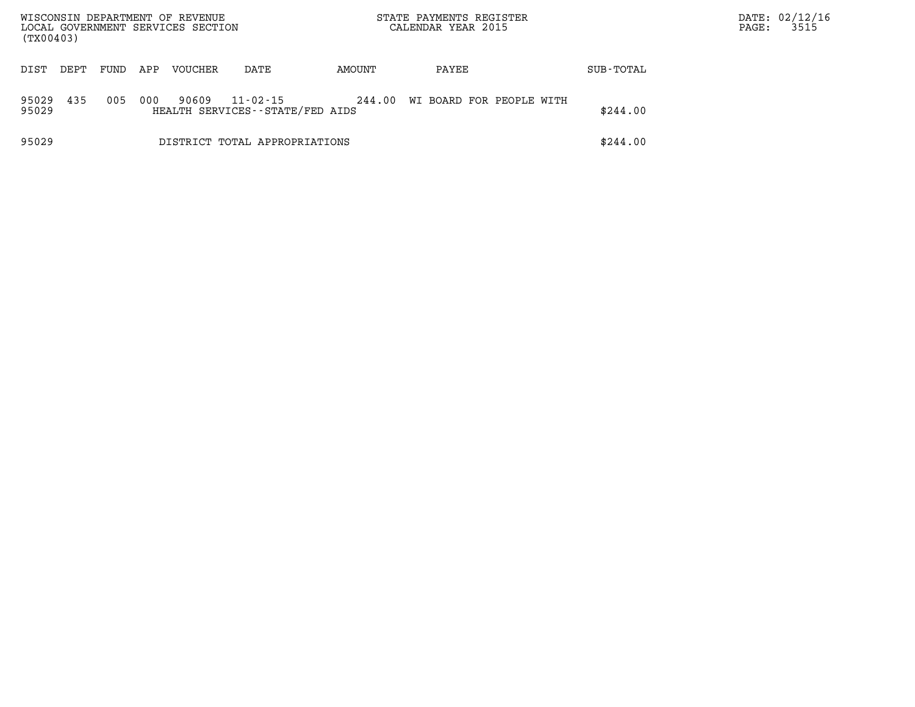| WISCONSIN DEPARTMENT OF REVENUE<br>LOCAL GOVERNMENT SERVICES SECTION<br>(TX00403) |      |      |     |                |                                                   |        | STATE PAYMENTS REGISTER<br>CALENDAR YEAR 2015 |           | DATE: 02/12/16<br>PAGE: | 3515 |
|-----------------------------------------------------------------------------------|------|------|-----|----------------|---------------------------------------------------|--------|-----------------------------------------------|-----------|-------------------------|------|
| DIST                                                                              | DEPT | FUND | APP | <b>VOUCHER</b> | DATE                                              | AMOUNT | PAYEE                                         | SUB-TOTAL |                         |      |
| 95029<br>95029                                                                    | 435  | 005  | 000 | 90609          | $11 - 02 - 15$<br>HEALTH SERVICES--STATE/FED AIDS | 244.00 | WI BOARD FOR PEOPLE WITH                      | \$244.00  |                         |      |
| 95029                                                                             |      |      |     |                | DISTRICT TOTAL APPROPRIATIONS                     |        |                                               | \$244.00  |                         |      |